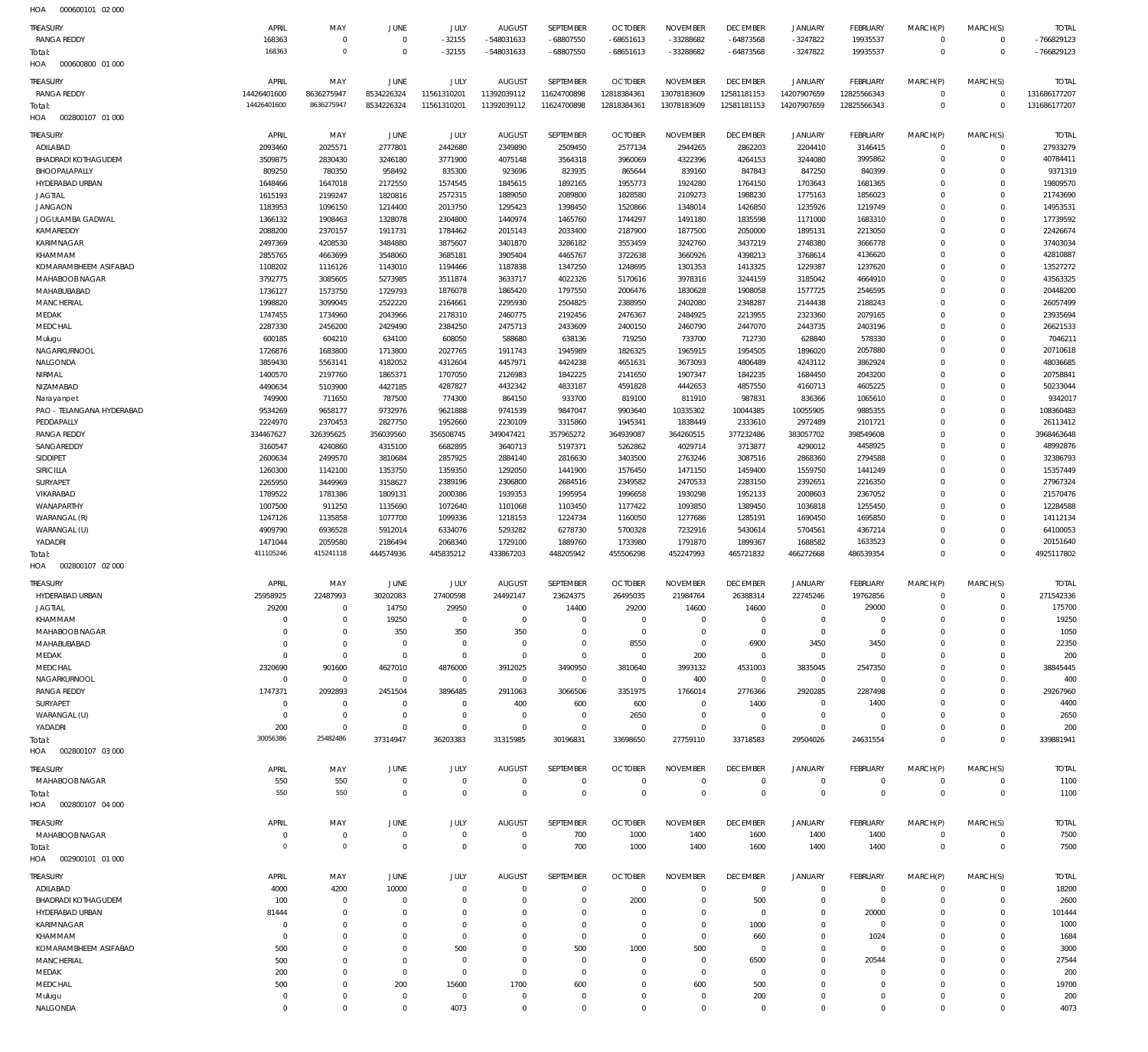| HOA<br>000600101 02 000                 |                            |                              |                       |                        |                           |                          |                            |                             |                             |                            |                             |                         |                              |                           |
|-----------------------------------------|----------------------------|------------------------------|-----------------------|------------------------|---------------------------|--------------------------|----------------------------|-----------------------------|-----------------------------|----------------------------|-----------------------------|-------------------------|------------------------------|---------------------------|
| <b>TREASURY</b>                         | APRIL                      | MAY                          | <b>JUNE</b>           | <b>JULY</b>            | <b>AUGUST</b>             | SEPTEMBER                | <b>OCTOBER</b>             | <b>NOVEMBER</b>             | <b>DECEMBER</b>             | <b>JANUARY</b>             | <b>FEBRUARY</b>             | MARCH(P)                | MARCH(S)                     | <b>TOTAL</b>              |
| <b>RANGA REDDY</b>                      | 168363                     | $\mathbf 0$                  | $^{\circ}$            | $-32155$               | -548031633                | $-68807550$              | $-68651613$                | -33288682                   | $-64873568$                 | $-3247822$                 | 19935537                    | $\mathbf 0$             | $\mathbf 0$                  | -766829123                |
| Total:                                  | 168363                     | $\circ$                      | $\Omega$              | $-32155$               | -548031633                | $-68807550$              | $-68651613$                | -33288682                   | $-64873568$                 | $-3247822$                 | 19935537                    | $\overline{0}$          | $\mathbf 0$                  | -766829123                |
| HOA<br>000600800 01 000                 |                            |                              |                       |                        |                           |                          |                            |                             |                             |                            |                             |                         |                              |                           |
| <b>TREASURY</b>                         | APRIL                      | MAY                          | <b>JUNE</b>           | <b>JULY</b>            | <b>AUGUST</b>             | SEPTEMBER                | <b>OCTOBER</b>             | <b>NOVEMBER</b>             | <b>DECEMBER</b>             | <b>JANUARY</b>             | <b>FEBRUARY</b>             | MARCH(P)                | MARCH(S)                     | <b>TOTAL</b>              |
| <b>RANGA REDDY</b>                      | 14426401600<br>14426401600 | 8636275947<br>8636275947     | 8534226324            | 11561310201            | 11392039112               | 11624700898              | 12818384361                | 13078183609                 | 12581181153                 | 14207907659                | 12825566343                 | $\mathbf 0$<br>$\Omega$ | $^{\circ}$<br>$\overline{0}$ | 131686177207              |
| Total:<br>HOA<br>002800107 01 000       |                            |                              | 8534226324            | 11561310201            | 11392039112               | 11624700898              | 12818384361                | 13078183609                 | 12581181153                 | 14207907659                | 12825566343                 |                         |                              | 131686177207              |
|                                         |                            |                              |                       |                        |                           |                          |                            |                             |                             |                            |                             |                         |                              |                           |
| <b>TREASURY</b><br>ADILABAD             | APRIL<br>2093460           | MAY<br>2025571               | JUNE<br>2777801       | JULY<br>2442680        | <b>AUGUST</b><br>2349890  | SEPTEMBER<br>2509450     | <b>OCTOBER</b><br>2577134  | <b>NOVEMBER</b><br>2944265  | <b>DECEMBER</b><br>2862203  | JANUARY<br>2204410         | FEBRUARY<br>3146415         | MARCH(P)<br>$\Omega$    | MARCH(S)<br>$^{\circ}$       | <b>TOTAL</b><br>27933279  |
| BHADRADI KOTHAGUDEM                     | 3509875                    | 2830430                      | 3246180               | 3771900                | 4075148                   | 3564318                  | 3960069                    | 4322396                     | 4264153                     | 3244080                    | 3995862                     | $\Omega$                | $\mathbf 0$                  | 40784411                  |
| BHOOPALAPALLY                           | 809250                     | 780350                       | 958492                | 835300                 | 923696                    | 823935                   | 865644                     | 839160                      | 847843                      | 847250                     | 840399                      | $\Omega$                | $^{\circ}$                   | 9371319                   |
| HYDERABAD URBAN                         | 1648466                    | 1647018                      | 2172550               | 1574545                | 1845615                   | 1892165                  | 1955773                    | 1924280                     | 1764150                     | 1703643                    | 1681365                     | $\Omega$                | $\circ$                      | 19809570                  |
| <b>JAGTIAL</b>                          | 1615193                    | 2199247                      | 1820816               | 2572315                | 1889050                   | 2089800                  | 1828580                    | 2109273                     | 1988230                     | 1775163                    | 1856023                     | $\Omega$                | $\circ$                      | 21743690                  |
| <b>JANGAON</b><br>JOGULAMBA GADWAL      | 1183953<br>1366132         | 1096150<br>1908463           | 1214400<br>1328078    | 2013750<br>2304800     | 1295423<br>1440974        | 1398450<br>1465760       | 1520866<br>1744297         | 1348014<br>1491180          | 1426850<br>1835598          | 1235926<br>1171000         | 1219749<br>1683310          | $\Omega$<br>$\Omega$    | $\mathbf 0$<br>$\circ$       | 14953531<br>17739592      |
| KAMAREDDY                               | 2088200                    | 2370157                      | 1911731               | 1784462                | 2015143                   | 2033400                  | 2187900                    | 1877500                     | 2050000                     | 1895131                    | 2213050                     | $\Omega$                | $\Omega$                     | 22426674                  |
| KARIMNAGAR                              | 2497369                    | 4208530                      | 3484880               | 3875607                | 3401870                   | 3286182                  | 3553459                    | 3242760                     | 3437219                     | 2748380                    | 3666778                     | $\Omega$                | $\circ$                      | 37403034                  |
| KHAMMAM                                 | 2855765                    | 4663699                      | 3548060               | 3685181                | 3905404                   | 4465767                  | 3722638                    | 3660926                     | 4398213                     | 3768614                    | 4136620                     | $\Omega$                | $\mathbf 0$                  | 42810887                  |
| KOMARAMBHEEM ASIFABAD                   | 1108202                    | 1116126                      | 1143010               | 1194466                | 1187838                   | 1347250                  | 1248695                    | 1301353                     | 1413325                     | 1229387                    | 1237620                     | $\Omega$<br>$\Omega$    | $\circ$                      | 13527272                  |
| MAHABOOB NAGAR<br>MAHABUBABAD           | 3792775<br>1736127         | 3085605<br>1573750           | 5273985<br>1729793    | 3511874<br>1876078     | 3633717<br>1865420        | 4022326<br>1797550       | 5170616<br>2006476         | 3978316<br>1830628          | 3244159<br>1908058          | 3185042<br>1577725         | 4664910<br>2546595          | $\Omega$                | $\mathbf 0$<br>$^{\circ}$    | 43563325<br>20448200      |
| MANCHERIAL                              | 1998820                    | 3099045                      | 2522220               | 2164661                | 2295930                   | 2504825                  | 2388950                    | 2402080                     | 2348287                     | 2144438                    | 2188243                     | $\Omega$                | $\circ$                      | 26057499                  |
| MEDAK                                   | 1747455                    | 1734960                      | 2043966               | 2178310                | 2460775                   | 2192456                  | 2476367                    | 2484925                     | 2213955                     | 2323360                    | 2079165                     | $\Omega$                | $^{\circ}$                   | 23935694                  |
| MEDCHAL                                 | 2287330                    | 2456200                      | 2429490               | 2384250                | 2475713                   | 2433609                  | 2400150                    | 2460790                     | 2447070                     | 2443735                    | 2403196                     | $\Omega$                | $\Omega$                     | 26621533                  |
| Mulugu                                  | 600185                     | 604210                       | 634100                | 608050                 | 588680                    | 638136                   | 719250                     | 733700                      | 712730                      | 628840                     | 578330                      | $\Omega$<br>$\Omega$    | $\circ$                      | 7046211                   |
| NAGARKURNOOL<br>NALGONDA                | 1726876<br>3859430         | 1683800<br>5563141           | 1713800<br>4182052    | 2027765<br>4312604     | 1911743<br>4457971        | 1945989<br>4424238       | 1826325<br>4651631         | 1965915<br>3673093          | 1954505<br>4806489          | 1896020<br>4243112         | 2057880<br>3862924          | $\Omega$                | $\mathbf 0$<br>$\circ$       | 20710618<br>48036685      |
| NIRMAL                                  | 1400570                    | 2197760                      | 1865371               | 1707050                | 2126983                   | 1842225                  | 2141650                    | 1907347                     | 1842235                     | 1684450                    | 2043200                     | $\Omega$                | $^{\circ}$                   | 20758841                  |
| NIZAMABAD                               | 4490634                    | 5103900                      | 4427185               | 4287827                | 4432342                   | 4833187                  | 4591828                    | 4442653                     | 4857550                     | 4160713                    | 4605225                     | $\Omega$                | $\mathbf 0$                  | 50233044                  |
| Narayanpet                              | 749900                     | 711650                       | 787500                | 774300                 | 864150                    | 933700                   | 819100                     | 811910                      | 987831                      | 836366                     | 1065610                     | $\Omega$                | $\mathbf 0$                  | 9342017                   |
| PAO - TELANGANA HYDERABAD<br>PEDDAPALLY | 9534269                    | 9658177<br>2370453           | 9732976<br>2827750    | 9621888                | 9741539                   | 9847047                  | 9903640                    | 10335302                    | 10044385                    | 10055905                   | 9885355                     | $\Omega$<br>$\Omega$    | $\circ$<br>$\circ$           | 108360483                 |
| <b>RANGA REDDY</b>                      | 2224970<br>334467627       | 326395625                    | 356039560             | 1952660<br>356508745   | 2230109<br>349047421      | 3315860<br>357965272     | 1945341<br>364939087       | 1838449<br>364260515        | 2333610<br>377232486        | 2972489<br>383057702       | 2101721<br>398549608        | $\Omega$                | $\mathbf 0$                  | 26113412<br>3968463648    |
| SANGAREDDY                              | 3160547                    | 4240860                      | 4315100               | 6682895                | 3640713                   | 5197371                  | 5262862                    | 4029714                     | 3713877                     | 4290012                    | 4458925                     | $\Omega$                | $\Omega$                     | 48992876                  |
| SIDDIPET                                | 2600634                    | 2499570                      | 3810684               | 2857925                | 2884140                   | 2816630                  | 3403500                    | 2763246                     | 3087516                     | 2868360                    | 2794588                     | $\Omega$                | $\circ$                      | 32386793                  |
| SIRICILLA                               | 1260300                    | 1142100                      | 1353750               | 1359350                | 1292050                   | 1441900                  | 1576450                    | 1471150                     | 1459400                     | 1559750                    | 1441249                     | $\Omega$                | $^{\circ}$                   | 15357449                  |
| SURYAPET<br>VIKARABAD                   | 2265950<br>1789522         | 3449969<br>1781386           | 3158627<br>1809131    | 2389196<br>2000386     | 2306800<br>1939353        | 2684516<br>1995954       | 2349582<br>1996658         | 2470533<br>1930298          | 2283150<br>1952133          | 2392651<br>2008603         | 2216350<br>2367052          | $\Omega$<br>$\Omega$    | $\mathbf 0$<br>$\mathbf 0$   | 27967324<br>21570476      |
| WANAPARTHY                              | 1007500                    | 911250                       | 1135690               | 1072640                | 1101068                   | 1103450                  | 1177422                    | 1093850                     | 1389450                     | 1036818                    | 1255450                     | $\Omega$                | $\mathbf 0$                  | 12284588                  |
| WARANGAL (R)                            | 1247126                    | 1135858                      | 1077700               | 1099336                | 1218153                   | 1224734                  | 1160050                    | 1277686                     | 1285191                     | 1690450                    | 1695850                     | $\Omega$                | $\circ$                      | 14112134                  |
| WARANGAL (U)                            | 4909790                    | 6936528                      | 5912014               | 6334076                | 5293282                   | 6278730                  | 5700328                    | 7232916                     | 5430614                     | 5704561                    | 4367214                     | $\Omega$                | $\circ$                      | 64100053                  |
| YADADRI                                 | 1471044                    | 2059580                      | 2186494               | 2068340                | 1729100                   | 1889760                  | 1733980                    | 1791870                     | 1899367                     | 1688582                    | 1633523                     | $\Omega$                | $\mathbf 0$                  | 20151640                  |
| Total:<br>002800107 02 000<br>HOA       | 411105246                  | 415241118                    | 444574936             | 445835212              | 433867203                 | 448205942                | 455506298                  | 452247993                   | 465721832                   | 466272668                  | 486539354                   | $\Omega$                | $\overline{0}$               | 4925117802                |
|                                         |                            |                              |                       |                        |                           |                          |                            |                             |                             |                            |                             |                         |                              |                           |
| TREASURY<br>HYDERABAD URBAN             | APRIL<br>25958925          | MAY<br>22487993              | JUNE<br>30202083      | JULY<br>27400598       | <b>AUGUST</b><br>24492147 | SEPTEMBER<br>23624375    | <b>OCTOBER</b><br>26495035 | <b>NOVEMBER</b><br>21984764 | <b>DECEMBER</b><br>26388314 | <b>JANUARY</b><br>22745246 | <b>FEBRUARY</b><br>19762856 | MARCH(P)<br>$\Omega$    | MARCH(S)<br>$\Omega$         | <b>TOTAL</b><br>271542336 |
| <b>JAGTIAL</b>                          | 29200                      | $\mathbf{0}$                 | 14750                 | 29950                  | $\Omega$                  | 14400                    | 29200                      | 14600                       | 14600                       | $^{\circ}$                 | 29000                       | $\Omega$                | $\mathbf 0$                  | 175700                    |
| KHAMMAM                                 | $\Omega$                   | $\mathbf 0$                  | 19250                 | $\Omega$               | $\Omega$                  | $^{\circ}$               | $\circ$                    | $\circ$                     | $\circ$                     | $^{\circ}$                 | $\circ$                     | $\Omega$                | $^{\circ}$                   | 19250                     |
| MAHABOOB NAGAR                          |                            | $\mathbf 0$                  | 350                   | 350                    | 350                       | $^{\circ}$               | $\circ$                    | $^{\circ}$                  | $\circ$                     | $^{\circ}$                 | $\circ$                     | $\Omega$                | 0                            | 1050                      |
| MAHABUBABAD                             | $\Omega$                   | $\mathbf 0$                  | $\Omega$              | $\Omega$               | $\circ$                   | $^{\circ}$               | 8550                       | $^{\circ}$                  | 6900                        | 3450                       | 3450                        | $\Omega$                | $\Omega$                     | 22350                     |
| MEDAK<br>MEDCHAL                        | $\Omega$<br>2320690        | $\mathbf 0$<br>901600        | $^{\circ}$<br>4627010 | $\mathbf 0$<br>4876000 | $^{\circ}$<br>3912025     | $^{\circ}$<br>3490950    | $\circ$<br>3810640         | 200<br>3993132              | $^{\circ}$<br>4531003       | $^{\circ}$<br>3835045      | $\circ$<br>2547350          | $\Omega$                | $\Omega$<br>$\Omega$         | 200<br>38845445           |
| NAGARKURNOOL                            | $\mathbf 0$                | $\mathbf 0$                  | $\Omega$              | $^{\circ}$             | $^{\circ}$                | $^{\circ}$               | $\circ$                    | 400                         | $^{\circ}$                  | $^{\circ}$                 | $\Omega$                    | $\Omega$                | $\Omega$                     | 400                       |
| <b>RANGA REDDY</b>                      | 1747371                    | 2092893                      | 2451504               | 3896485                | 2911063                   | 3066506                  | 3351975                    | 1766014                     | 2776366                     | 2920285                    | 2287498                     | $\Omega$                | 0                            | 29267960                  |
| SURYAPET                                | 0                          | $\mathbf{0}$                 | $\Omega$              | $\Omega$               | 400                       | 600                      | 600                        | $\circ$                     | 1400                        | $^{\circ}$                 | 1400                        |                         |                              | 4400                      |
| WARANGAL (U)<br>YADADRI                 | $\mathbf{0}$<br>200        | $\mathbf 0$<br>$\mathbf{0}$  | $\Omega$<br>$\Omega$  | $\Omega$<br>$\Omega$   | $\circ$<br>$\Omega$       | $^{\circ}$<br>$^{\circ}$ | 2650<br>$\circ$            | $^{\circ}$<br>$^{\circ}$    | $\circ$<br>$^{\circ}$       | $^{\circ}$<br>$^{\circ}$   | $\Omega$<br>$\Omega$        | $\Omega$<br>$\Omega$    | 0<br>0                       | 2650<br>200               |
| Total:                                  | 30056386                   | 25482486                     | 37314947              | 36203383               | 31315985                  | 30196831                 | 33698650                   | 27759110                    | 33718583                    | 29504026                   | 24631554                    | $\Omega$                | $\Omega$                     | 339881941                 |
| HOA<br>002800107 03 000                 |                            |                              |                       |                        |                           |                          |                            |                             |                             |                            |                             |                         |                              |                           |
| <b>TREASURY</b>                         | APRIL                      | MAY                          | JUNE                  | JULY                   | <b>AUGUST</b>             | SEPTEMBER                | <b>OCTOBER</b>             | <b>NOVEMBER</b>             | <b>DECEMBER</b>             | <b>JANUARY</b>             | <b>FEBRUARY</b>             | MARCH(P)                | MARCH(S)                     | <b>TOTAL</b>              |
| MAHABOOB NAGAR                          | 550                        | 550                          | $\circ$               | $^{\circ}$             | $\circ$                   | $\circ$                  | $\circ$                    | $^{\circ}$                  | $^{\circ}$                  | $\circ$                    | $\circ$                     | 0                       | $^{\circ}$                   | 1100                      |
| Total:                                  | 550                        | 550                          | $\Omega$              | $\Omega$               | $\Omega$                  | $\mathbf 0$              | $\Omega$                   | $\mathbf 0$                 | $\mathbf 0$                 | $\mathbf 0$                | $\Omega$                    | $\overline{0}$          | $\overline{0}$               | 1100                      |
| 002800107 04 000<br>HOA                 |                            |                              |                       |                        |                           |                          |                            |                             |                             |                            |                             |                         |                              |                           |
| <b>TREASURY</b>                         | APRIL                      | MAY                          | JUNE                  | JULY                   | <b>AUGUST</b>             | SEPTEMBER                | <b>OCTOBER</b>             | <b>NOVEMBER</b>             | <b>DECEMBER</b>             | <b>JANUARY</b>             | <b>FEBRUARY</b>             | MARCH(P)                | MARCH(S)                     | <b>TOTAL</b>              |
| MAHABOOB NAGAR                          | -0                         | $\mathbf 0$                  | $\Omega$              | $\Omega$               | $^{\circ}$                | 700                      | 1000                       | 1400                        | 1600                        | 1400                       | 1400                        | $\Omega$                | 0                            | 7500                      |
| Total:                                  | $\Omega$                   | $\mathbf 0$                  | $^{\circ}$            | $^{\circ}$             | $\circ$                   | 700                      | 1000                       | 1400                        | 1600                        | 1400                       | 1400                        | $\overline{0}$          | $\overline{0}$               | 7500                      |
| 002900101 01 000<br>HOA                 |                            |                              |                       |                        |                           |                          |                            |                             |                             |                            |                             |                         |                              |                           |
| <b>TREASURY</b>                         | APRIL                      | MAY                          | <b>JUNE</b>           | <b>JULY</b>            | <b>AUGUST</b>             | SEPTEMBER                | <b>OCTOBER</b>             | <b>NOVEMBER</b>             | <b>DECEMBER</b>             | <b>JANUARY</b>             | FEBRUARY                    | MARCH(P)                | MARCH(S)                     | <b>TOTAL</b>              |
| ADILABAD<br>BHADRADI KOTHAGUDEM         | 4000<br>100                | 4200<br>$\mathbf{0}$         | 10000<br>$\Omega$     | $\Omega$<br>$\Omega$   | $\Omega$<br>$\Omega$      | $\Omega$<br>$^{\circ}$   | $\Omega$<br>2000           | $\Omega$<br>$\Omega$        | $\circ$<br>500              | $^{\circ}$<br>$\mathbf 0$  | $^{\circ}$<br>$^{\circ}$    | $\Omega$<br>$\Omega$    | 0<br>$^{\circ}$              | 18200<br>2600             |
| HYDERABAD URBAN                         | 81444                      | $\mathbf{0}$                 | - 0                   | $\Omega$               | $\Omega$                  | $\circ$                  | $\Omega$                   | $^{\circ}$                  | $\circ$                     | $^{\circ}$                 | 20000                       | $\Omega$                | 0                            | 101444                    |
| KARIMNAGAR                              | $\Omega$                   | $\mathbf{0}$                 | $\Omega$              | $\Omega$               | $\Omega$                  | $\Omega$                 | $\Omega$                   | $\mathbf 0$                 | 1000                        | $^{\circ}$                 | $\circ$                     | $\Omega$                | $^{\circ}$                   | 1000                      |
| KHAMMAM                                 | $\Omega$                   | $\mathbf{0}$                 | $\Omega$              | $\Omega$               | $\Omega$                  | $^{\circ}$               | $\Omega$                   | $^{\circ}$                  | 660                         | $^{\circ}$                 | 1024                        | $\Omega$                | 0                            | 1684                      |
| KOMARAMBHEEM ASIFABAD                   | 500                        | $\mathbf{0}$                 | $\Omega$              | 500                    | $\Omega$                  | 500                      | 1000                       | 500                         | $\circ$                     | $^{\circ}$                 | $\Omega$                    | $\Omega$                | $\mathbf 0$                  | 3000                      |
| <b>MANCHERIAL</b><br>MEDAK              | 500<br>200                 | $\mathbf{0}$<br>$\mathbf{0}$ | $\Omega$<br>$\Omega$  | $\Omega$<br>$\Omega$   | $\Omega$<br>$\Omega$      | $^{\circ}$<br>$^{\circ}$ | $\Omega$<br>$\Omega$       | $^{\circ}$<br>$^{\circ}$    | 6500<br>$\circ$             | $^{\circ}$<br>$^{\circ}$   | 20544<br>$\Omega$           | $\Omega$<br>$\Omega$    | 0<br>$\mathbf 0$             | 27544<br>200              |
| MEDCHAL                                 | 500                        | $\mathbf{0}$                 | 200                   | 15600                  | 1700                      | 600                      | $\Omega$                   | 600                         | 500                         | $^{\circ}$                 | $\Omega$                    | $\Omega$                | 0                            | 19700                     |
| Mulugu                                  | $\mathbf 0$                | $\mathbf 0$                  | $\mathbf{0}$          | $\Omega$               | $\mathbf 0$               | $\mathbf{0}$             | $\overline{0}$             | $\mathbf{0}$                | 200                         | $\mathbf{0}$               | $^{\circ}$                  | $\mathbf 0$             | $\mathbf 0$                  | 200                       |
| NAI GONDA                               | $\Omega$                   | $\cap$                       | $\Omega$              | 4073                   | $\Omega$                  | $\Omega$                 | $\Omega$                   | $\Omega$                    | $\Omega$                    | $\Omega$                   | $\Omega$                    | $\cap$                  | $\Omega$                     | 4073                      |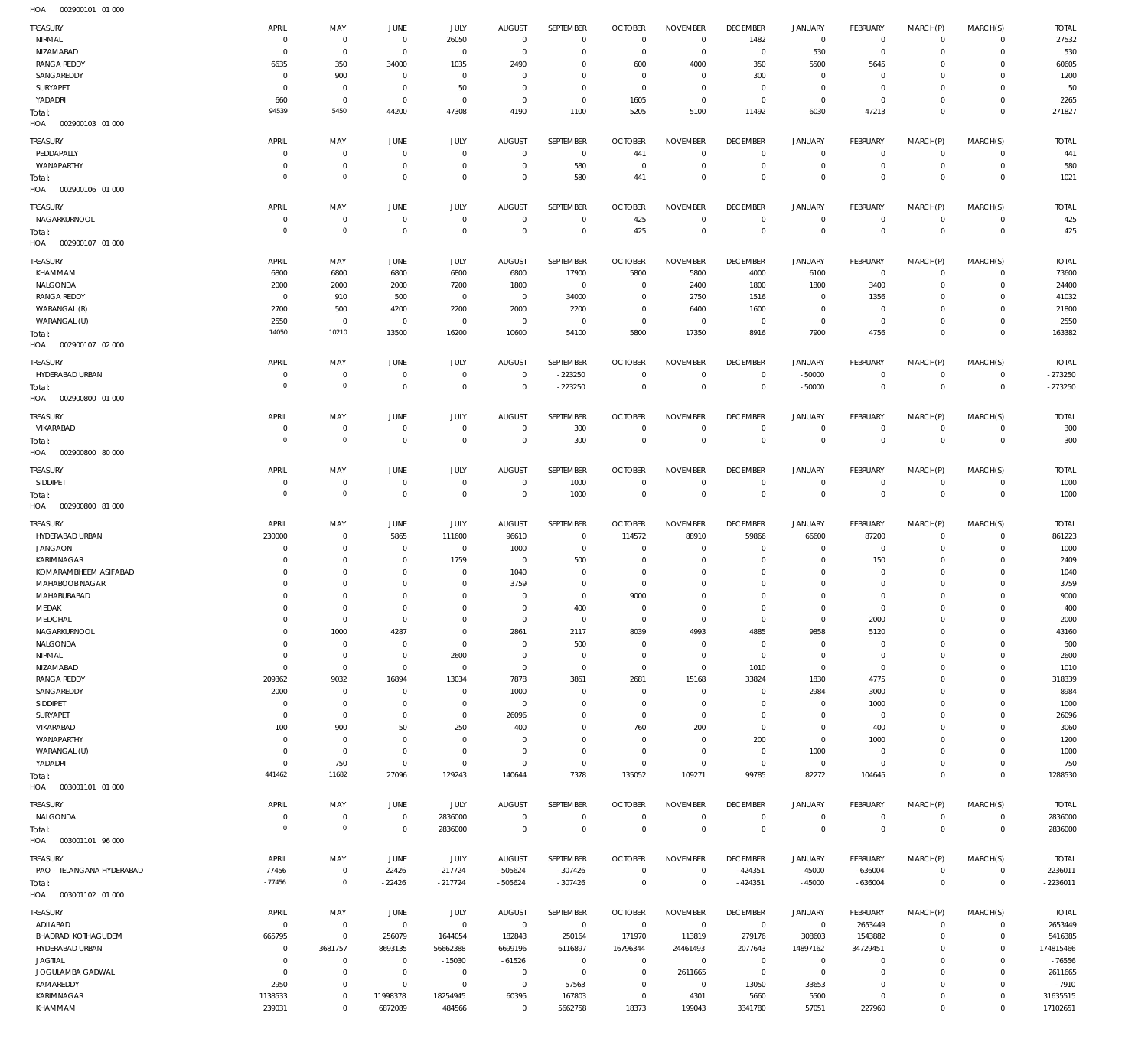| TREASURY<br>NIRMAL                      | APRIL<br>0                | MAY<br>$\mathbf 0$         | <b>JUNE</b><br>$\overline{0}$    | JULY<br>26050              | <b>AUGUST</b><br>$\overline{0}$ | SEPTEMBER<br>$\mathbf 0$      | <b>OCTOBER</b><br>$\overline{0}$ | <b>NOVEMBER</b><br>$\mathbf 0$ | <b>DECEMBER</b><br>1482          | <b>JANUARY</b><br>$\overline{0}$ | FEBRUARY<br>$\overline{0}$    | MARCH(P)<br>$\mathbf 0$    | MARCH(S)<br>$\mathbf 0$    | <b>TOTAL</b><br>27532 |
|-----------------------------------------|---------------------------|----------------------------|----------------------------------|----------------------------|---------------------------------|-------------------------------|----------------------------------|--------------------------------|----------------------------------|----------------------------------|-------------------------------|----------------------------|----------------------------|-----------------------|
| NIZAMABAD                               | $^{\circ}$                | $\mathbf 0$                | $\mathbf 0$                      | 0                          | $\overline{0}$                  | $\mathbf 0$                   | $\overline{0}$                   | $\mathbf 0$                    | $\overline{0}$                   | 530                              | $\overline{0}$                | 0                          | $\mathbf 0$                | 530                   |
| <b>RANGA REDDY</b>                      | 6635                      | 350                        | 34000                            | 1035                       | 2490                            | $\mathbf 0$                   | 600                              | 4000                           | 350                              | 5500                             | 5645                          | $\Omega$                   | $\mathbf 0$                | 60605                 |
| SANGAREDDY<br>SURYAPET                  | 0<br>0                    | 900<br>$\mathbf 0$         | $\overline{0}$<br>$\overline{0}$ | $\mathbf 0$<br>50          | 0<br>0                          | $\mathbf 0$<br>$\mathbf 0$    | $^{\circ}$<br>$\overline{0}$     | 0<br>$\mathbf 0$               | 300<br>$\overline{0}$            | $\mathbf 0$<br>$\mathbf 0$       | $\overline{0}$<br>$\circ$     | 0<br>$\Omega$              | $\mathbf 0$<br>$\mathbf 0$ | 1200<br>50            |
| YADADRI                                 | 660                       | $\mathbf 0$                | $\overline{0}$                   | $\mathbf 0$                | $\overline{0}$                  | $\mathbf 0$                   | 1605                             | $\mathbf 0$                    | $\overline{0}$                   | $\mathbf 0$                      | $\mathbf 0$                   | 0                          | $\mathbf 0$                | 2265                  |
| Total:                                  | 94539                     | 5450                       | 44200                            | 47308                      | 4190                            | 1100                          | 5205                             | 5100                           | 11492                            | 6030                             | 47213                         | $\mathbf 0$                | $\mathbf{0}$               | 271827                |
| 002900103 01 000<br>HOA                 |                           |                            |                                  |                            |                                 |                               |                                  |                                |                                  |                                  |                               |                            |                            |                       |
| <b>TREASURY</b>                         | APRIL                     | MAY                        | <b>JUNE</b>                      | JULY                       | <b>AUGUST</b>                   | SEPTEMBER                     | <b>OCTOBER</b>                   | <b>NOVEMBER</b>                | <b>DECEMBER</b>                  | <b>JANUARY</b>                   | FEBRUARY                      | MARCH(P)                   | MARCH(S)                   | <b>TOTAL</b>          |
| PEDDAPALLY                              | 0                         | $\mathbf 0$                | $^{\circ}$                       | $\mathbf 0$                | $\mathbf{0}$                    | $^{\circ}$                    | 441                              | $\mathbf 0$                    | $\overline{0}$                   | $^{\circ}$                       | $\circ$                       | $\mathbf 0$                | $\mathbf 0$                | 441                   |
| WANAPARTHY                              | 0                         | $\mathbf 0$                | $\mathbf 0$                      | $\mathbf 0$                | 0                               | 580                           | $\overline{0}$                   | $\mathbf 0$                    | $\overline{0}$                   | $\mathbf 0$                      | $\overline{0}$                | $\mathbf 0$                | $\overline{0}$             | 580                   |
| Total:                                  | $\Omega$                  | $\mathbf 0$                | $\mathbf 0$                      | $\mathbf 0$                | $\mathbf 0$                     | 580                           | 441                              | $\mathbf 0$                    | $\overline{0}$                   | $\mathbf 0$                      | $\overline{0}$                | $\mathbf 0$                | $\mathbf 0$                | 1021                  |
| HOA<br>002900106 01 000                 |                           |                            |                                  |                            |                                 |                               |                                  |                                |                                  |                                  |                               |                            |                            |                       |
| TREASURY                                | APRIL                     | MAY                        | <b>JUNE</b>                      | JULY                       | <b>AUGUST</b>                   | <b>SEPTEMBER</b>              | <b>OCTOBER</b>                   | <b>NOVEMBER</b>                | <b>DECEMBER</b>                  | <b>JANUARY</b>                   | FEBRUARY                      | MARCH(P)                   | MARCH(S)                   | <b>TOTAL</b>          |
| NAGARKURNOOL                            | 0                         | $\mathbf 0$                | $\mathbf 0$                      | 0                          | 0                               | 0                             | 425                              | $\mathbf 0$                    | $\overline{0}$                   | $\mathbf 0$                      | $\overline{0}$                | $\mathbf 0$                | $\overline{0}$             | 425                   |
| Total:                                  | $\overline{0}$            | $\mathbb O$                | $\overline{0}$                   | $\mathbf 0$                | $\overline{0}$                  | $\mathbf 0$                   | 425                              | $\mathbf 0$                    | $\overline{0}$                   | $\overline{0}$                   | $\overline{0}$                | $\mathbf 0$                | $\mathbf 0$                | 425                   |
| HOA<br>002900107 01 000                 |                           |                            |                                  |                            |                                 |                               |                                  |                                |                                  |                                  |                               |                            |                            |                       |
| TREASURY                                | APRIL                     | MAY                        | <b>JUNE</b>                      | JULY                       | <b>AUGUST</b>                   | SEPTEMBER                     | <b>OCTOBER</b>                   | <b>NOVEMBER</b>                | <b>DECEMBER</b>                  | <b>JANUARY</b>                   | FEBRUARY                      | MARCH(P)                   | MARCH(S)                   | <b>TOTAL</b>          |
| KHAMMAM                                 | 6800                      | 6800                       | 6800                             | 6800                       | 6800                            | 17900                         | 5800                             | 5800                           | 4000                             | 6100                             | $\overline{0}$                | $\mathbf 0$                | $\mathbf 0$                | 73600                 |
| NALGONDA<br><b>RANGA REDDY</b>          | 2000<br>0                 | 2000<br>910                | 2000<br>500                      | 7200<br>$\mathbf 0$        | 1800<br>$\overline{0}$          | $\overline{0}$<br>34000       | $^{\circ}$<br>$^{\circ}$         | 2400<br>2750                   | 1800<br>1516                     | 1800<br>$^{\circ}$               | 3400<br>1356                  | 0<br>0                     | $\mathbf 0$<br>$\mathbf 0$ | 24400<br>41032        |
| WARANGAL (R)                            | 2700                      | 500                        | 4200                             | 2200                       | 2000                            | 2200                          | $^{\circ}$                       | 6400                           | 1600                             | 0                                | $\mathbf 0$                   | 0                          | $\mathbf 0$                | 21800                 |
| WARANGAL (U)                            | 2550                      | $\mathbf 0$                | $\mathbf 0$                      | $\mathbf 0$                | $^{\circ}$                      | $\overline{0}$                | $\overline{0}$                   | $^{\circ}$                     | $\overline{0}$                   | $\mathbf{0}$                     | $\mathbf 0$                   | $\mathbf 0$                | $\mathbf 0$                | 2550                  |
| Total:                                  | 14050                     | 10210                      | 13500                            | 16200                      | 10600                           | 54100                         | 5800                             | 17350                          | 8916                             | 7900                             | 4756                          | $\mathbf 0$                | $\overline{0}$             | 163382                |
| 002900107 02 000<br>HOA                 |                           |                            |                                  |                            |                                 |                               |                                  |                                |                                  |                                  |                               |                            |                            |                       |
| TREASURY                                | APRIL                     | MAY                        | <b>JUNE</b>                      | JULY                       | AUGUST                          | SEPTEMBER                     | <b>OCTOBER</b>                   | <b>NOVEMBER</b>                | <b>DECEMBER</b>                  | <b>JANUARY</b>                   | FEBRUARY                      | MARCH(P)                   | MARCH(S)                   | <b>TOTAL</b>          |
| HYDERABAD URBAN                         | 0                         | $\mathbf 0$                | $\mathbf 0$                      | $\mathbf 0$                | $\overline{0}$                  | $-223250$                     | $\overline{0}$                   | $\mathbf 0$                    | $\overline{0}$                   | $-50000$                         | $\overline{0}$                | $\mathbf 0$                | $\mathbf 0$                | $-273250$             |
| Total:                                  | $\overline{0}$            | $\mathbb O$                | $\overline{0}$                   | $\mathbf 0$                | $\overline{0}$                  | $-223250$                     | $\overline{0}$                   | $\mathbf 0$                    | $\overline{0}$                   | $-50000$                         | $\overline{0}$                | $\mathbf 0$                | $\overline{0}$             | $-273250$             |
| HOA<br>002900800 01 000                 |                           |                            |                                  |                            |                                 |                               |                                  |                                |                                  |                                  |                               |                            |                            |                       |
| TREASURY                                | APRIL                     | MAY                        | <b>JUNE</b>                      | JULY                       | <b>AUGUST</b>                   | SEPTEMBER                     | <b>OCTOBER</b>                   | <b>NOVEMBER</b>                | <b>DECEMBER</b>                  | <b>JANUARY</b>                   | FEBRUARY                      | MARCH(P)                   | MARCH(S)                   | <b>TOTAL</b>          |
| VIKARABAD                               | 0                         | $\mathbf 0$                | $\mathbf 0$                      | 0                          | $\mathbf 0$                     | 300                           | $\overline{0}$                   | $\mathbf 0$                    | $\overline{0}$                   | $\circ$                          | $\overline{0}$                | $\mathbf 0$                | $\mathbf 0$                | 300                   |
| Total:                                  | $\overline{0}$            | $\mathbf 0$                | $\overline{0}$                   | $\mathbf 0$                | $\mathbf 0$                     | 300                           | $\overline{0}$                   | $\overline{0}$                 | $\overline{0}$                   | $\overline{0}$                   | $\overline{0}$                | $\overline{0}$             | $\mathbf 0$                | 300                   |
| HOA<br>002900800 80 000                 |                           |                            |                                  |                            |                                 |                               |                                  |                                |                                  |                                  |                               |                            |                            |                       |
| TREASURY                                | APRIL                     | MAY                        | <b>JUNE</b>                      | JULY                       | <b>AUGUST</b>                   | SEPTEMBER                     | <b>OCTOBER</b>                   | <b>NOVEMBER</b>                | <b>DECEMBER</b>                  | <b>JANUARY</b>                   | FEBRUARY                      | MARCH(P)                   | MARCH(S)                   | <b>TOTAL</b>          |
| SIDDIPET                                | 0                         | $\mathbf 0$                | $\mathbf 0$                      | $\bf 0$                    | $\mathbf 0$                     | 1000                          | $\overline{0}$                   | $\mathbf 0$                    | $\overline{0}$<br>$\overline{0}$ | $\circ$                          | $\overline{0}$                | $\mathbf 0$<br>$\mathbf 0$ | $\overline{0}$             | 1000                  |
|                                         |                           |                            |                                  |                            |                                 |                               |                                  |                                |                                  | $\overline{0}$                   | $\overline{0}$                |                            | $\overline{0}$             | 1000                  |
| Total:                                  | $\overline{0}$            | $\mathbb O$                | $\overline{0}$                   | $\mathbf 0$                | $\overline{0}$                  | 1000                          | $\overline{0}$                   | $\mathbf 0$                    |                                  |                                  |                               |                            |                            |                       |
| HOA<br>002900800 81 000                 |                           |                            |                                  |                            |                                 |                               |                                  |                                |                                  |                                  |                               |                            |                            |                       |
| <b>TREASURY</b>                         | APRIL                     | MAY                        | <b>JUNE</b>                      | JULY                       | <b>AUGUST</b>                   | SEPTEMBER                     | <b>OCTOBER</b>                   | <b>NOVEMBER</b>                | <b>DECEMBER</b>                  | <b>JANUARY</b>                   | FEBRUARY                      | MARCH(P)                   | MARCH(S)                   | <b>TOTAL</b>          |
| HYDERABAD URBAN                         | 230000                    | $\mathbf 0$                | 5865                             | 111600                     | 96610                           | $\mathbf 0$                   | 114572                           | 88910                          | 59866                            | 66600                            | 87200                         | $\mathbf 0$                | $\mathbf 0$                | 861223                |
| <b>JANGAON</b>                          | 0                         | $\mathbf 0$                | $\mathbf 0$                      | $\mathbf 0$                | 1000                            | $\mathbf 0$                   | $^{\circ}$                       | 0                              | $^{\circ}$                       | $^{\circ}$                       | $\overline{0}$                | $^{\circ}$                 | $\mathbf 0$                | 1000                  |
| KARIMNAGAR                              | 0<br>0                    | $\mathbf 0$<br>$\mathbf 0$ | $\overline{0}$<br>$^{\circ}$     | 1759<br>$\mathbf 0$        | $\overline{0}$                  | 500<br>$\mathbf 0$            | $^{\circ}$<br>$\overline{0}$     | $\mathbf 0$<br>$\mathbf 0$     | $\mathbf 0$<br>$\mathbf 0$       | $\mathbf 0$<br>0                 | 150<br>$\circ$                | 0<br>$\Omega$              | $\mathbf 0$<br>$\mathbf 0$ | 2409                  |
| KOMARAMBHEEM ASIFABAD<br>MAHABOOB NAGAR | 0                         | $\mathbf 0$                | $^{\circ}$                       | $\mathbf 0$                | 1040<br>3759                    | $\mathbf 0$                   | $^{\circ}$                       | $\mathbf 0$                    | $\mathbf 0$                      | 0                                | $\circ$                       | 0                          | $\mathbf 0$                | 1040<br>3759          |
| MAHABUBABAD                             | $\mathbf 0$               | $\mathbf 0$                | $\mathbf{0}$                     | $\mathbf 0$                | $\mathbf 0$                     | $\mathbf 0$                   | 9000                             | $\mathbf 0$                    | $\mathbf 0$                      | $\mathbf 0$                      | $\mathbf{0}$                  | $\Omega$                   | $\mathbf 0$                | 9000                  |
| MEDAK                                   | $\mathbf 0$               | $\mathbf 0$                | $\mathbf{0}$                     | $\mathbf 0$                | $\mathbf{0}$                    | 400                           | $\overline{0}$                   | $\mathbf 0$                    | $\mathbf 0$                      | $\mathbf 0$                      | $\mathbf 0$                   | $\mathbf 0$                | $\mathbf 0$                | 400                   |
| MEDCHAL                                 | $\mathbf 0$               | $\mathbb O$                | $\mathbf 0$                      | $\mathbf 0$                | $\mathbf 0$                     | $\mathbf 0$                   | $\overline{0}$                   | $\mathbf 0$                    | $\overline{0}$                   | $\circ$                          | 2000                          | 0                          | $\mathbf 0$                | 2000                  |
| NAGARKURNOOL                            | $\mathbf 0$               | 1000                       | 4287                             | $\mathbf 0$                | 2861                            | 2117                          | 8039                             | 4993                           | 4885                             | 9858                             | 5120                          | $\mathbf 0$                | $\mathbf 0$                | 43160                 |
| NALGONDA                                | 0                         | $\mathbf 0$                | $\mathbf 0$                      | $\mathbf 0$                | $\overline{0}$                  | 500                           | $\overline{0}$                   | $\mathbf 0$                    | $\overline{0}$                   | $\mathbf 0$                      | $\overline{0}$                | 0                          | $\mathbf 0$                | 500                   |
| NIRMAL<br>NIZAMABAD                     | $^{\circ}$<br>$\mathbf 0$ | $\mathbb O$<br>$\mathbf 0$ | $\mathbf 0$<br>$\mathbf 0$       | 2600<br>$\mathbf 0$        | $\mathbf 0$<br>$^{\circ}$       | $\mathbf 0$<br>$\mathbf 0$    | $\overline{0}$<br>$\overline{0}$ | $\mathbf 0$<br>$\mathbf 0$     | $\overline{0}$<br>1010           | $\mathbf 0$<br>$\mathbf{0}$      | $\overline{0}$<br>$\mathbf 0$ | 0<br>0                     | $\mathbf 0$<br>$\mathbf 0$ | 2600<br>1010          |
| <b>RANGA REDDY</b>                      | 209362                    | 9032                       | 16894                            | 13034                      | 7878                            | 3861                          | 2681                             | 15168                          | 33824                            | 1830                             | 4775                          | 0                          | $\mathbf 0$                | 318339                |
| SANGAREDDY                              | 2000                      | $\mathbb O$                | $^{\circ}$                       | $\mathbf 0$                | 1000                            | $\mathbf 0$                   | $\overline{0}$                   | $\mathbf 0$                    | $^{\circ}$                       | 2984                             | 3000                          | $\Omega$                   | $\mathbf 0$                | 8984                  |
| SIDDIPET                                | $^{\circ}$                | $\mathbb O$                | $\overline{0}$                   | $\mathsf{O}\xspace$        | $\mathbf 0$                     | $\mathbf 0$                   | $\overline{0}$                   | $\mathbf 0$                    | $\mathbf 0$                      | $\mathbf 0$                      | 1000                          | 0                          | $\mathbf 0$                | 1000                  |
| SURYAPET                                | $^{\circ}$                | $\mathbf 0$                | $^{\circ}$                       | $\mathbf 0$                | 26096                           | $\mathbf 0$                   | $^{\circ}$                       | $\mathbf 0$                    | $\mathbf 0$                      | $\mathbf 0$                      | $\overline{0}$                | $\Omega$                   | $\mathbf 0$                | 26096                 |
| VIKARABAD                               | 100                       | 900                        | 50                               | 250                        | 400                             | $\mathbf 0$                   | 760                              | 200                            | $\overline{0}$                   | $\mathbf 0$                      | 400                           | 0                          | $\mathbf 0$                | 3060                  |
| WANAPARTHY                              | $^{\circ}$<br>$\mathbf 0$ | $\mathbb O$                | $^{\circ}$<br>$^{\circ}$         | $\mathbf 0$<br>$\mathbf 0$ | $\mathbf 0$<br>$\overline{0}$   | $\mathbf 0$<br>$\mathbf 0$    | $\overline{0}$                   | $\mathbf 0$<br>$\mathbf 0$     | 200                              | $\circ$                          | 1000                          | $\Omega$<br>0              | $\mathbf 0$<br>$\mathbf 0$ | 1200                  |
| WARANGAL (U)<br>YADADRI                 | $\mathbf 0$               | $\mathbf 0$<br>750         | $\mathbf 0$                      | $\mathsf{O}\xspace$        | $\mathbf 0$                     | $\mathbf 0$                   | $\overline{0}$<br>$\overline{0}$ | $\mathbf 0$                    | $\overline{0}$<br>$\overline{0}$ | 1000<br>$\overline{0}$           | $\mathbf 0$<br>$\overline{0}$ | $\mathbf 0$                | $\mathbf 0$                | 1000<br>750           |
| Total:                                  | 441462                    | 11682                      | 27096                            | 129243                     | 140644                          | 7378                          | 135052                           | 109271                         | 99785                            | 82272                            | 104645                        | $\mathbf 0$                | $\overline{0}$             | 1288530               |
| HOA<br>003001101 01 000                 |                           |                            |                                  |                            |                                 |                               |                                  |                                |                                  |                                  |                               |                            |                            |                       |
| TREASURY                                | APRIL                     | MAY                        | JUNE                             | JULY                       | AUGUST                          | SEPTEMBER                     | <b>OCTOBER</b>                   | <b>NOVEMBER</b>                | <b>DECEMBER</b>                  | <b>JANUARY</b>                   | FEBRUARY                      | MARCH(P)                   | MARCH(S)                   | <b>TOTAL</b>          |
| NALGONDA                                | 0                         | $\mathbf 0$                | $\mathbf 0$                      | 2836000                    | $\overline{0}$                  | $\bf 0$                       | $\overline{0}$                   | $\mathbf 0$                    | $\overline{0}$                   | $\overline{0}$                   | $\overline{0}$                | $\mathbf 0$                | $\overline{0}$             | 2836000               |
| Total:                                  | $\overline{0}$            | $\mathbb O$                | $\overline{0}$                   | 2836000                    | $\overline{0}$                  | $\mathbf 0$                   | $\overline{0}$                   | $\overline{0}$                 | $\overline{0}$                   | $\overline{0}$                   | $\overline{0}$                | $\mathbf 0$                | $\overline{0}$             | 2836000               |
| 003001101 96 000<br>HOA                 |                           |                            |                                  |                            |                                 |                               |                                  |                                |                                  |                                  |                               |                            |                            |                       |
| TREASURY                                | APRIL                     | MAY                        | JUNE                             | JULY                       | AUGUST                          | SEPTEMBER                     | <b>OCTOBER</b>                   | <b>NOVEMBER</b>                | <b>DECEMBER</b>                  | <b>JANUARY</b>                   | FEBRUARY                      | MARCH(P)                   | MARCH(S)                   | <b>TOTAL</b>          |
| PAO - TELANGANA HYDERABAD               | $-77456$                  | $\mathbf 0$                | $-22426$                         | $-217724$                  | $-505624$                       | $-307426$                     | $\overline{0}$                   | $\mathbf 0$                    | $-424351$                        | $-45000$                         | $-636004$                     | $\mathbf 0$                | $\overline{0}$             | $-2236011$            |
| Total:                                  | $-77456$                  | $\mathbf 0$                | $-22426$                         | $-217724$                  | $-505624$                       | $-307426$                     | $\overline{0}$                   | $\mathbf 0$                    | $-424351$                        | $-45000$                         | $-636004$                     | $\overline{0}$             | $\mathbf 0$                | $-2236011$            |
| HOA<br>003001102 01 000                 |                           |                            |                                  |                            |                                 |                               |                                  |                                |                                  |                                  |                               |                            |                            |                       |
| TREASURY                                | APRIL                     | MAY                        | JUNE                             | JULY                       | AUGUST                          | SEPTEMBER                     | <b>OCTOBER</b>                   | <b>NOVEMBER</b>                | <b>DECEMBER</b>                  | <b>JANUARY</b>                   | FEBRUARY                      | MARCH(P)                   | MARCH(S)                   | <b>TOTAL</b>          |
| ADILABAD                                | $^{\circ}$                | $\overline{0}$             | $\overline{0}$                   | $\mathsf{O}\xspace$        | $\overline{0}$                  | $\overline{0}$                | $\overline{0}$                   | $\overline{0}$                 | $\overline{0}$                   | $\overline{0}$                   | 2653449                       | $\mathbf 0$                | $\mathbf 0$                | 2653449               |
| BHADRADI KOTHAGUDEM                     | 665795                    | $\mathbf 0$                | 256079                           | 1644054                    | 182843                          | 250164                        | 171970                           | 113819                         | 279176                           | 308603                           | 1543882                       | 0                          | $\mathbf 0$                | 5416385               |
| HYDERABAD URBAN                         | $\mathbf 0$<br>0          | 3681757<br>$\mathbf 0$     | 8693135<br>$\overline{0}$        | 56662388                   | 6699196                         | 6116897                       | 16796344<br>$\overline{0}$       | 24461493<br>$\overline{0}$     | 2077643                          | 14897162<br>$\circ$              | 34729451<br>$\mathbf{0}$      | 0<br>0                     | $\mathbf 0$<br>$\mathbf 0$ | 174815466             |
| <b>JAGTIAL</b><br>JOGULAMBA GADWAL      | $^{\circ}$                | $\mathbb O$                | $\overline{0}$                   | $-15030$<br>0              | $-61526$<br>$\overline{0}$      | $\overline{0}$<br>$\mathbf 0$ | $\overline{0}$                   | 2611665                        | $\overline{0}$<br>$\overline{0}$ | $\circ$                          | $\mathbf 0$                   | $\Omega$                   | $\mathbf 0$                | $-76556$<br>2611665   |
| KAMAREDDY                               | 2950                      | $\mathbf 0$                | $\overline{0}$                   | $\mathbf 0$                | $\overline{0}$                  | $-57563$                      | $\overline{0}$                   | $\overline{0}$                 | 13050                            | 33653                            | $\circ$                       | 0                          | $\mathbf 0$                | $-7910$               |
| <b>KARIMNAGAR</b><br>KHAMMAM            | 1138533<br>239031         | $\mathbb O$<br>$\mathbf 0$ | 11998378<br>6872089              | 18254945<br>484566         | 60395<br>$\mathbf{0}$           | 167803<br>5662758             | $\overline{0}$<br>18373          | 4301<br>199043                 | 5660<br>3341780                  | 5500<br>57051                    | $^{\circ}$<br>227960          | 0<br>$\mathbf 0$           | $\mathbf 0$<br>$\mathbf 0$ | 31635515<br>17102651  |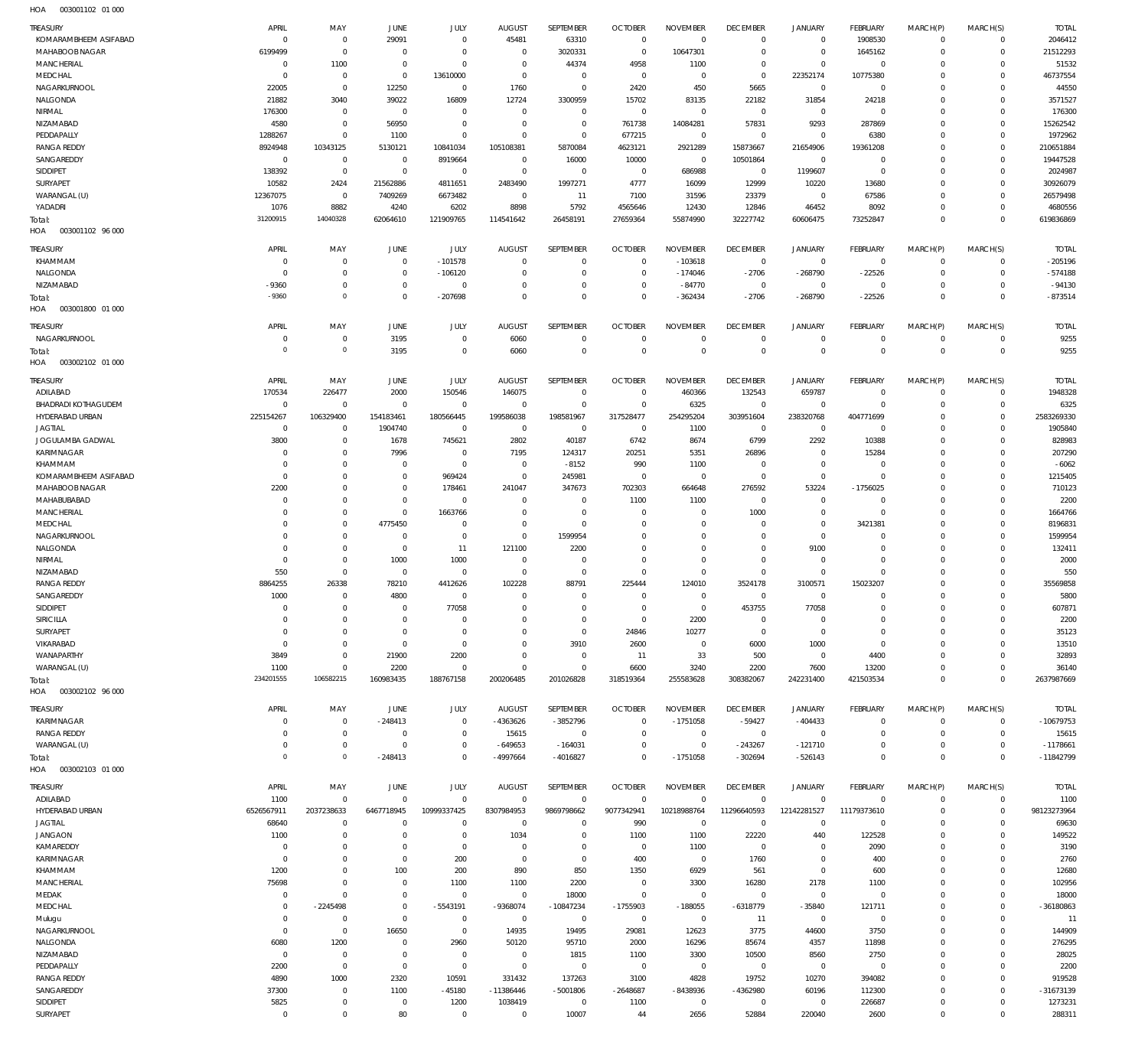| TREASURY                            | APRIL                        | MAY                        | JUNE                             | JULY                       | <b>AUGUST</b>              | SEPTEMBER                    | <b>OCTOBER</b>                   | <b>NOVEMBER</b>         | <b>DECEMBER</b>            | <b>JANUARY</b>                     | FEBRUARY                         | MARCH(P)                   | MARCH(S)                         | <b>TOTAL</b>           |
|-------------------------------------|------------------------------|----------------------------|----------------------------------|----------------------------|----------------------------|------------------------------|----------------------------------|-------------------------|----------------------------|------------------------------------|----------------------------------|----------------------------|----------------------------------|------------------------|
| KOMARAMBHEEM ASIFABAD               | $^{\circ}$                   | $\mathbf 0$                | 29091                            | $\mathbf 0$                | 45481                      | 63310                        | $\overline{0}$                   | $\mathbb O$             | $\mathbf 0$                | $\mathbf 0$                        | 1908530                          | $\mathbf 0$                | $\overline{0}$                   | 2046412                |
| MAHABOOB NAGAR<br><b>MANCHERIAL</b> | 6199499<br>$^{\circ}$        | $\mathbf 0$<br>1100        | $\overline{0}$<br>$\overline{0}$ | $\mathbf 0$<br>$\mathbf 0$ | $\mathbf 0$<br>$\mathbf 0$ | 3020331<br>44374             | $\overline{0}$<br>4958           | 10647301<br>1100        | $\mathbf 0$<br>$\mathbf 0$ | $\mathbf 0$<br>$\mathsf{O}\xspace$ | 1645162<br>$\overline{0}$        | $\circ$<br>$\Omega$        | $\circ$<br>$\mathbf{0}$          | 21512293<br>51532      |
| MEDCHAL                             | $\overline{0}$               | $\mathbf 0$                | $\overline{0}$                   | 13610000                   | $\mathbf 0$                | $\mathbf 0$                  | $\overline{0}$                   | $\mathbf 0$             | $\overline{0}$             | 22352174                           | 10775380                         | $\Omega$                   | $\mathbf{0}$                     | 46737554               |
| NAGARKURNOOL                        | 22005                        | $\mathbf 0$                | 12250                            | $\mathbf 0$                | 1760                       | $\mathbb O$                  | 2420                             | 450                     | 5665                       | $\mathsf 0$                        | $\overline{0}$                   | $\Omega$                   | $\Omega$                         | 44550                  |
| NALGONDA                            | 21882                        | 3040                       | 39022                            | 16809                      | 12724                      | 3300959                      | 15702                            | 83135                   | 22182                      | 31854                              | 24218                            | $\Omega$                   | $\mathbf{0}$                     | 3571527                |
| NIRMAL                              | 176300                       | $\mathbf 0$                | $\overline{0}$                   | $\mathbf 0$                | $\mathbf 0$                | $\mathbb O$                  | $\overline{0}$                   | $\mathbf 0$             | $\mathbf 0$                | $\overline{0}$                     | $\overline{0}$                   | $\Omega$                   | $\Omega$                         | 176300                 |
| NIZAMABAD                           | 4580                         | $\mathbf 0$                | 56950                            | $\mathbf 0$                | $\mathbf 0$                | $\mathbb O$                  | 761738                           | 14084281                | 57831                      | 9293                               | 287869                           | $\Omega$                   | $\mathbf{0}$                     | 15262542               |
| PEDDAPALLY<br><b>RANGA REDDY</b>    | 1288267<br>8924948           | $\mathbf 0$<br>10343125    | 1100<br>5130121                  | $\mathbf 0$<br>10841034    | $\mathbf 0$<br>105108381   | $\mathbb O$<br>5870084       | 677215<br>4623121                | $\mathbf 0$<br>2921289  | $\overline{0}$<br>15873667 | $\overline{0}$<br>21654906         | 6380<br>19361208                 | $\Omega$<br>$\Omega$       | $\Omega$<br>$\mathbf{0}$         | 1972962<br>210651884   |
| SANGAREDDY                          | $\mathbf 0$                  | $\mathbf 0$                | $\overline{0}$                   | 8919664                    | $\mathbf 0$                | 16000                        | 10000                            | $\mathbb O$             | 10501864                   | $\overline{0}$                     | $\overline{0}$                   | $\Omega$                   | $\mathbf{0}$                     | 19447528               |
| SIDDIPET                            | 138392                       | $\mathbf 0$                | $\overline{0}$                   | $\mathbf 0$                | $\mathbf 0$                | $\mathbb O$                  | $\overline{0}$                   | 686988                  | $\mathbf 0$                | 1199607                            | $\overline{0}$                   | $\Omega$                   | $\mathbf{0}$                     | 2024987                |
| <b>SURYAPET</b>                     | 10582                        | 2424                       | 21562886                         | 4811651                    | 2483490                    | 1997271                      | 4777                             | 16099                   | 12999                      | 10220                              | 13680                            | $\Omega$                   | $\mathbf{0}$                     | 30926079               |
| WARANGAL (U)                        | 12367075                     | $\mathbf 0$                | 7409269                          | 6673482                    | $\mathbf 0$                | 11                           | 7100                             | 31596                   | 23379                      | $\overline{0}$                     | 67586                            | $\Omega$                   | $\mathbf{0}$                     | 26579498               |
| YADADRI                             | 1076                         | 8882                       | 4240                             | 6202                       | 8898                       | 5792                         | 4565646                          | 12430                   | 12846                      | 46452                              | 8092                             | $\Omega$                   | $\mathbf{0}$                     | 4680556                |
| Total:<br>003001102 96 000          | 31200915                     | 14040328                   | 62064610                         | 121909765                  | 114541642                  | 26458191                     | 27659364                         | 55874990                | 32227742                   | 60606475                           | 73252847                         | $\mathbf 0$                | $\overline{0}$                   | 619836869              |
| HOA                                 |                              |                            |                                  |                            |                            |                              |                                  |                         |                            |                                    |                                  |                            |                                  |                        |
| <b>TREASURY</b>                     | APRIL                        | MAY                        | JUNE                             | JULY                       | <b>AUGUST</b>              | SEPTEMBER                    | <b>OCTOBER</b>                   | <b>NOVEMBER</b>         | <b>DECEMBER</b>            | <b>JANUARY</b>                     | <b>FEBRUARY</b>                  | MARCH(P)                   | MARCH(S)                         | <b>TOTAL</b>           |
| KHAMMAM<br>NALGONDA                 | $\Omega$<br>0                | $\mathbf 0$<br>$\mathbf 0$ | $^{\circ}$<br>$^{\circ}$         | $-101578$<br>$-106120$     | $\mathbf 0$<br>0           | $\mathbf 0$<br>$\mathbf 0$   | $^{\circ}$<br>$^{\circ}$         | $-103618$<br>$-174046$  | $\,0\,$<br>$-2706$         | $\mathbf 0$<br>$-268790$           | $\overline{0}$<br>$-22526$       | $\mathbf 0$<br>$\Omega$    | $\mathbf{0}$<br>$\circ$          | $-205196$<br>$-574188$ |
| NIZAMABAD                           | $-9360$                      | $\mathbf 0$                | $^{\circ}$                       | $\mathbf 0$                | $\Omega$                   | $\mathbf 0$                  | $\mathbf 0$                      | $-84770$                | $\mathbf 0$                | $\mathbf 0$                        | $^{\circ}$                       | $\Omega$                   | $\mathbf 0$                      | $-94130$               |
| Total:                              | $-9360$                      | $\circ$                    | $\mathbf{0}$                     | $-207698$                  | $\Omega$                   | $\mathbf 0$                  | $\mathbf 0$                      | $-362434$               | $-2706$                    | $-268790$                          | $-22526$                         | $\Omega$                   | $\mathbf 0$                      | $-873514$              |
| HOA<br>003001800 01 000             |                              |                            |                                  |                            |                            |                              |                                  |                         |                            |                                    |                                  |                            |                                  |                        |
| TREASURY                            | APRIL                        | MAY                        | JUNE                             | JULY                       | <b>AUGUST</b>              | <b>SEPTEMBER</b>             | <b>OCTOBER</b>                   | <b>NOVEMBER</b>         | <b>DECEMBER</b>            | <b>JANUARY</b>                     | FEBRUARY                         | MARCH(P)                   | MARCH(S)                         | <b>TOTAL</b>           |
| NAGARKURNOOL                        | C                            | $\mathbf 0$                | 3195                             | $\mathbf 0$                | 6060                       | $\mathbf 0$                  | $^{\circ}$                       | $\overline{0}$          | 0                          | 0                                  | $\overline{0}$                   | $\mathbf 0$                | $\circ$                          | 9255                   |
| Total:                              | $\overline{0}$               | $\circ$                    | 3195                             | $\mathbf 0$                | 6060                       | $\mathbf 0$                  | $\overline{0}$                   | $\mathbf 0$             | $\mathbf{0}$               | $\mathbf 0$                        | $\overline{0}$                   | $\mathbf 0$                | $\overline{0}$                   | 9255                   |
| HOA<br>003002102 01 000             |                              |                            |                                  |                            |                            |                              |                                  |                         |                            |                                    |                                  |                            |                                  |                        |
| TREASURY                            | APRIL                        | MAY                        | JUNE                             | JULY                       | <b>AUGUST</b>              | SEPTEMBER                    | <b>OCTOBER</b>                   | <b>NOVEMBER</b>         | <b>DECEMBER</b>            | <b>JANUARY</b>                     | FEBRUARY                         | MARCH(P)                   | MARCH(S)                         | <b>TOTAL</b>           |
| ADILABAD                            | 170534                       | 226477                     | 2000                             | 150546                     | 146075                     | $\mathbf 0$                  | $\overline{0}$                   | 460366                  | 132543                     | 659787                             | $\overline{0}$                   | $\Omega$                   | $\mathbf{0}$                     | 1948328                |
| <b>BHADRADI KOTHAGUDEM</b>          | $\mathbf{0}$                 | $\mathbf 0$                | $\overline{0}$                   | $\mathbf 0$                | $\mathbf 0$                | $\mathbf 0$                  | $\overline{0}$                   | 6325                    | $\mathbf 0$                | $\mathbf 0$                        | $\overline{0}$                   | $\Omega$                   | $\mathbf{0}$                     | 6325                   |
| HYDERABAD URBAN                     | 225154267                    | 106329400                  | 154183461                        | 180566445                  | 199586038                  | 198581967                    | 317528477                        | 254295204               | 303951604                  | 238320768                          | 404771699                        | $\Omega$                   | $\mathbf{0}$                     | 2583269330             |
| <b>JAGTIAL</b><br>JOGULAMBA GADWAL  | $^{\circ}$<br>3800           | $^{\circ}$<br>$\mathbf 0$  | 1904740<br>1678                  | $\mathbf 0$<br>745621      | $\mathbf 0$<br>2802        | $\mathbf 0$<br>40187         | $\overline{0}$<br>6742           | 1100<br>8674            | $\mathbf 0$<br>6799        | $\mathbf 0$<br>2292                | $\overline{0}$<br>10388          | $\Omega$<br>$\Omega$       | $\Omega$<br>$\mathbf 0$          | 1905840<br>828983      |
| KARIMNAGAR                          | 0                            | $\mathbf 0$                | 7996                             | $\mathbf 0$                | 7195                       | 124317                       | 20251                            | 5351                    | 26896                      | $\mathbf 0$                        | 15284                            | $\Omega$                   | $\Omega$                         | 207290                 |
| KHAMMAM                             | $\Omega$                     | $\mathbf 0$                | $\overline{0}$                   | $\mathbf 0$                | $\mathbf 0$                | $-8152$                      | 990                              | 1100                    | $\mathbf 0$                | $\mathbf 0$                        | $\overline{0}$                   | $\Omega$                   | $\mathbf 0$                      | $-6062$                |
| KOMARAMBHEEM ASIFABAD               | $\Omega$                     | $\mathbf 0$                | $^{\circ}$                       | 969424                     | $\mathbf 0$                | 245981                       | $\overline{0}$                   | $\mathbf 0$             | $\mathbf 0$                | $\mathbf 0$                        | $\overline{0}$                   | $\Omega$                   | $\Omega$                         | 1215405                |
| MAHABOOB NAGAR                      | 2200                         | $\mathbf 0$                | $^{\circ}$                       | 178461                     | 241047                     | 347673                       | 702303                           | 664648                  | 276592                     | 53224                              | $-1756025$                       | $\Omega$                   | $\mathbf 0$                      | 710123                 |
| MAHABUBABAD                         | 0                            | $\mathbf 0$                | $^{\circ}$                       | $\mathbf 0$                | $\mathbf 0$                | $\mathbf 0$                  | 1100                             | 1100                    | $\mathbf 0$                | $\mathbf 0$                        | $\overline{0}$                   | $\Omega$                   | $\mathbf 0$                      | 2200                   |
| <b>MANCHERIAL</b>                   | $\Omega$                     | $\mathbf 0$                | $\overline{0}$                   | 1663766                    | 0                          | $\mathbf 0$<br>$\mathbf 0$   | $^{\circ}$                       | $\Omega$<br>$\mathbf 0$ | 1000                       | $\mathbf 0$<br>$\mathbf 0$         | $\overline{0}$                   | $\Omega$<br>$\Omega$       | $\Omega$<br>$\mathbf 0$          | 1664766                |
| MEDCHAL<br>NAGARKURNOOL             | $\Omega$<br>$\Omega$         | $\mathbf 0$<br>$\mathbf 0$ | 4775450<br>$\overline{0}$        | $\mathbf 0$<br>$\mathbf 0$ | $\mathbf 0$<br>$\mathbf 0$ | 1599954                      | $\mathbf 0$<br>$^{\circ}$        | $\mathbf 0$             | $\mathbf 0$<br>$\mathbf 0$ | $\mathbf 0$                        | 3421381<br>$\mathbf 0$           | $\Omega$                   | $\mathbf 0$                      | 8196831<br>1599954     |
| NALGONDA                            | $\Omega$                     | $\mathbf 0$                | $^{\circ}$                       | 11                         | 121100                     | 2200                         | $^{\circ}$                       | $\Omega$                | $\mathbf 0$                | 9100                               | $\overline{0}$                   | $\Omega$                   | $\Omega$                         | 132411                 |
| NIRMAL                              | 0                            | $\mathbf 0$                | 1000                             | 1000                       | $\mathbf 0$                | $\mathbf 0$                  | $^{\circ}$                       | $\mathbf 0$             | $\mathbf 0$                | $\mathbf 0$                        | $\overline{0}$                   | $\Omega$                   | $\mathbf 0$                      | 2000                   |
| NIZAMABAD                           | 550                          | $\mathbf 0$                | $^{\circ}$                       | $\mathbf 0$                | $\mathbf 0$                | $\mathbf 0$                  | $\Omega$                         | $\Omega$                | $\mathbf 0$                | $\mathbf 0$                        | $\Omega$                         | $\Omega$                   | $\Omega$                         | 550                    |
| <b>RANGA REDDY</b>                  | 8864255                      | 26338                      | 78210                            | 4412626                    | 102228                     | 88791                        | 225444                           | 124010                  | 3524178                    | 3100571                            | 15023207                         | $\Omega$                   | $\mathbf 0$                      | 35569858               |
| SANGAREDDY                          | 1000                         | $\mathbf{0}$               | 4800                             | $\mathbf 0$                | $\Omega$                   | $\mathbf 0$                  | $^{\circ}$                       | $\mathbf{0}$            | $\mathbf 0$                | $\mathbf 0$                        | $\Omega$                         | $\Omega$                   | $\Omega$                         | 5800                   |
| SIDDIPET<br>SIRICILLA               | $\mathbf{0}$<br>$\mathbf{0}$ | $\mathbf 0$<br>$\mathbf 0$ | $\Omega$<br>$\mathbf{0}$         | 77058<br>$\mathbf 0$       | $\Omega$<br>$\mathbf 0$    | $\mathbf{0}$<br>$\mathbf 0$  | $\Omega$<br>$\overline{0}$       | $\Omega$<br>2200        | 453755<br>0                | 77058<br>$\mathsf{O}\xspace$       | $\Omega$<br>$\mathbf 0$          | $\Omega$<br>$\mathbf 0$    | $\Omega$<br>$\mathbf 0$          | 607871<br>2200         |
| SURYAPET                            | $\mathbf 0$                  | $\mathbf 0$                | $^{\circ}$                       | $\mathbf 0$                | $\Omega$                   | $\mathbf 0$                  | 24846                            | 10277                   | $\mathbf 0$                | $\mathbf 0$                        | $\overline{0}$                   | $\Omega$                   | $\mathbf 0$                      | 35123                  |
| VIKARABAD                           | $^{\circ}$                   | $\mathbf 0$                | $^{\circ}$                       | $\mathbf 0$                | $\mathbf 0$                | 3910                         | 2600                             | $\mathbf 0$             | 6000                       | 1000                               | $\overline{0}$                   | $\Omega$                   | $\mathbf 0$                      | 13510                  |
| WANAPARTHY                          | 3849                         | $\mathbf 0$                | 21900                            | 2200                       | 0                          | $\mathbf 0$                  | 11                               | 33                      | 500                        | $\mathbf 0$                        | 4400                             | $\Omega$                   | $\mathbf 0$                      | 32893                  |
| WARANGAL (U)                        | 1100                         | $\mathbf 0$                | 2200                             | $\mathbf 0$                | $\Omega$                   | $\mathbf 0$                  | 6600                             | 3240                    | 2200                       | 7600                               | 13200                            | $\Omega$                   | $\mathbf{0}$                     | 36140                  |
| Total:                              | 234201555                    | 106582215                  | 160983435                        | 188767158                  | 200206485                  | 201026828                    | 318519364                        | 255583628               | 308382067                  | 242231400                          | 421503534                        | $\Omega$                   | $\mathbf 0$                      | 2637987669             |
| HOA   003002102   96   000          |                              |                            |                                  |                            |                            |                              |                                  |                         |                            |                                    |                                  |                            |                                  |                        |
| TREASURY                            | APRIL                        | MAY                        | JUNE                             | JULY                       | <b>AUGUST</b>              | SEPTEMBER                    | <b>OCTOBER</b>                   | <b>NOVEMBER</b>         | <b>DECEMBER</b>            | <b>JANUARY</b>                     | <b>FEBRUARY</b>                  | MARCH(P)                   | MARCH(S)                         | <b>TOTAL</b>           |
| KARIMNAGAR<br><b>RANGA REDDY</b>    | 0<br>$\Omega$                | $\mathbf 0$<br>$\mathbf 0$ | $-248413$<br>$\overline{0}$      | $\mathbf 0$<br>$\mathbb O$ | -4363626<br>15615          | $-3852796$<br>$\overline{0}$ | $\overline{0}$<br>$\overline{0}$ | $-1751058$<br>$\,0\,$   | $-59427$<br>$\mathbf 0$    | $-404433$<br>$\overline{0}$        | $\overline{0}$<br>$\overline{0}$ | $\mathbf 0$<br>$\mathbf 0$ | $\overline{0}$<br>$\overline{0}$ | $-10679753$<br>15615   |
| WARANGAL (U)                        | 0                            | $\mathbf 0$                | $\overline{0}$                   | $\mathbf 0$                | $-649653$                  | $-164031$                    | $^{\circ}$                       | $\mathbb O$             | $-243267$                  | $-121710$                          | $\overline{0}$                   | $\mathbf 0$                | $\overline{0}$                   | $-1178661$             |
| Total:                              | $\circ$                      | $\mathbf 0$                | $-248413$                        | $\mathbf 0$                | -4997664                   | $-4016827$                   | $^{\circ}$                       | $-1751058$              | $-302694$                  | $-526143$                          | $\overline{0}$                   | $\mathbf 0$                | $\overline{0}$                   | $-11842799$            |
| HOA<br>003002103 01 000             |                              |                            |                                  |                            |                            |                              |                                  |                         |                            |                                    |                                  |                            |                                  |                        |
| TREASURY                            | APRIL                        | MAY                        | JUNE                             | JULY                       | <b>AUGUST</b>              | SEPTEMBER                    | <b>OCTOBER</b>                   | <b>NOVEMBER</b>         | <b>DECEMBER</b>            | JANUARY                            | FEBRUARY                         | MARCH(P)                   | MARCH(S)                         | <b>TOTAL</b>           |
| ADILABAD                            | 1100                         | $\mathbf 0$                | $\Omega$                         | $\mathbf 0$                | $\mathbf 0$                | $\mathbf 0$                  | $\Omega$                         | $\Omega$                | $\mathbf 0$                | $\mathbf 0$                        | $\overline{0}$                   | $\Omega$                   | $\mathbf{0}$                     | 1100                   |
| HYDERABAD URBAN                     | 6526567911                   | 2037238633                 | 6467718945                       | 10999337425                | 8307984953                 | 9869798662                   | 9077342941                       | 10218988764             | 11296640593                | 12142281527                        | 11179373610                      | $\Omega$                   | $\circ$                          | 98123273964            |
| <b>JAGTIAL</b>                      | 68640                        | $\mathbf 0$                | $\Omega$                         | $\mathbf 0$                | $\mathbf 0$                | $\mathbf 0$                  | 990                              | $\overline{0}$          | $\mathbf 0$                | $\mathbf 0$                        | $\overline{0}$                   | $\Omega$                   | $\mathbf 0$                      | 69630                  |
| <b>JANGAON</b>                      | 1100                         | $\mathbf 0$                | $^{\circ}$                       | $\mathbf 0$                | 1034                       | $\mathbf 0$                  | 1100                             | 1100                    | 22220                      | 440                                | 122528                           | $\Omega$                   | $\mathbf{0}$                     | 149522                 |
| KAMAREDDY<br>KARIMNAGAR             | 0<br>$\Omega$                | $\mathbf 0$<br>$\mathbf 0$ | $\overline{0}$<br>$^{\circ}$     | $\mathbf 0$<br>200         | $\mathbf 0$<br>$\mathbf 0$ | $\mathbf 0$<br>$\mathbf 0$   | $^{\circ}$<br>400                | 1100<br>$\mathbf 0$     | $\mathbf 0$<br>1760        | 0<br>$\mathbf 0$                   | 2090<br>400                      | $\Omega$<br>$\Omega$       | $\mathbf 0$<br>$\Omega$          | 3190<br>2760           |
| KHAMMAM                             | 1200                         | $\mathbf 0$                | 100                              | 200                        | 890                        | 850                          | 1350                             | 6929                    | 561                        | $\mathbf 0$                        | 600                              | $\Omega$                   | $\mathbf 0$                      | 12680                  |
| MANCHERIAL                          | 75698                        | $\mathbf 0$                | $\mathbf 0$                      | 1100                       | 1100                       | 2200                         | $\overline{0}$                   | 3300                    | 16280                      | 2178                               | 1100                             | $\Omega$                   | $\Omega$                         | 102956                 |
| MEDAK                               | $^{\circ}$                   | $\mathbf 0$                | $\overline{0}$                   | $\mathbf 0$                | $\mathbf 0$                | 18000                        | $\overline{0}$                   | $\mathbf 0$             | $\mathbf 0$                | $\mathbf 0$                        | $\overline{0}$                   | $\Omega$                   | $\mathbf 0$                      | 18000                  |
| MEDCHAL                             | 0                            | $-2245498$                 | $\mathbf 0$                      | $-5543191$                 | -9368074                   | $-10847234$                  | $-1755903$                       | $-188055$               | $-6318779$                 | $-35840$                           | 121711                           | $\Omega$                   | $\mathbf 0$                      | $-36180863$            |
| Mulugu                              | 0                            | $\mathbf 0$                | $^{\circ}$                       | $\mathbf 0$                | $\mathbf 0$                | $\mathbf 0$                  | $\overline{0}$                   | $\mathbf 0$             | 11                         | $\mathbf 0$                        | $\overline{0}$                   | $\Omega$                   | $\mathbf 0$                      | 11                     |
| NAGARKURNOOL                        | $^{\circ}$                   | $\mathbf 0$                | 16650                            | $\mathbf 0$                | 14935                      | 19495                        | 29081                            | 12623                   | 3775                       | 44600                              | 3750                             | $\Omega$                   | $\mathbf 0$                      | 144909                 |
| NALGONDA<br>NIZAMABAD               | 6080<br>$^{\circ}$           | 1200<br>$\mathbf 0$        | $^{\circ}$<br>$^{\circ}$         | 2960<br>$\mathbf 0$        | 50120<br>$\mathbf 0$       | 95710<br>1815                | 2000<br>1100                     | 16296<br>3300           | 85674<br>10500             | 4357<br>8560                       | 11898<br>2750                    | $\Omega$<br>$\Omega$       | $\mathbf 0$<br>$\mathbf 0$       | 276295<br>28025        |
| PEDDAPALLY                          | 2200                         | $\mathbf 0$                | $\mathbf 0$                      | $\mathbf 0$                | $\mathbf 0$                | $\mathbf 0$                  | $\overline{0}$                   | $\mathbf{0}$            | $\mathbf 0$                | $\mathbf 0$                        | $\overline{0}$                   | $\Omega$                   | $\mathbf 0$                      | 2200                   |
| <b>RANGA REDDY</b>                  | 4890                         | 1000                       | 2320                             | 10591                      | 331432                     | 137263                       | 3100                             | 4828                    | 19752                      | 10270                              | 394082                           | $\Omega$                   | $\mathbf{0}$                     | 919528                 |
| SANGAREDDY                          | 37300                        | $\mathbf 0$                | 1100                             | $-45180$                   | $-11386446$                | $-5001806$                   | $-2648687$                       | -8438936                | -4362980                   | 60196                              | 112300                           | $\Omega$                   | $\mathbf 0$                      | $-31673139$            |
| SIDDIPET                            | 5825                         | $\mathbf 0$                | $\mathbf 0$                      | 1200                       | 1038419                    | $\mathbf 0$                  | 1100                             | $\mathbf{0}$            | $^{\circ}$                 | $\mathbf 0$                        | 226687                           | $\mathbf 0$                | $\mathbf{0}$                     | 1273231                |
| SURYAPET                            | $^{\circ}$                   | $\mathbf 0$                | 80                               | $\mathbf 0$                | $\mathbf 0$                | 10007                        | 44                               | 2656                    | 52884                      | 220040                             | 2600                             | $\mathbf 0$                | $\mathbf 0$                      | 288311                 |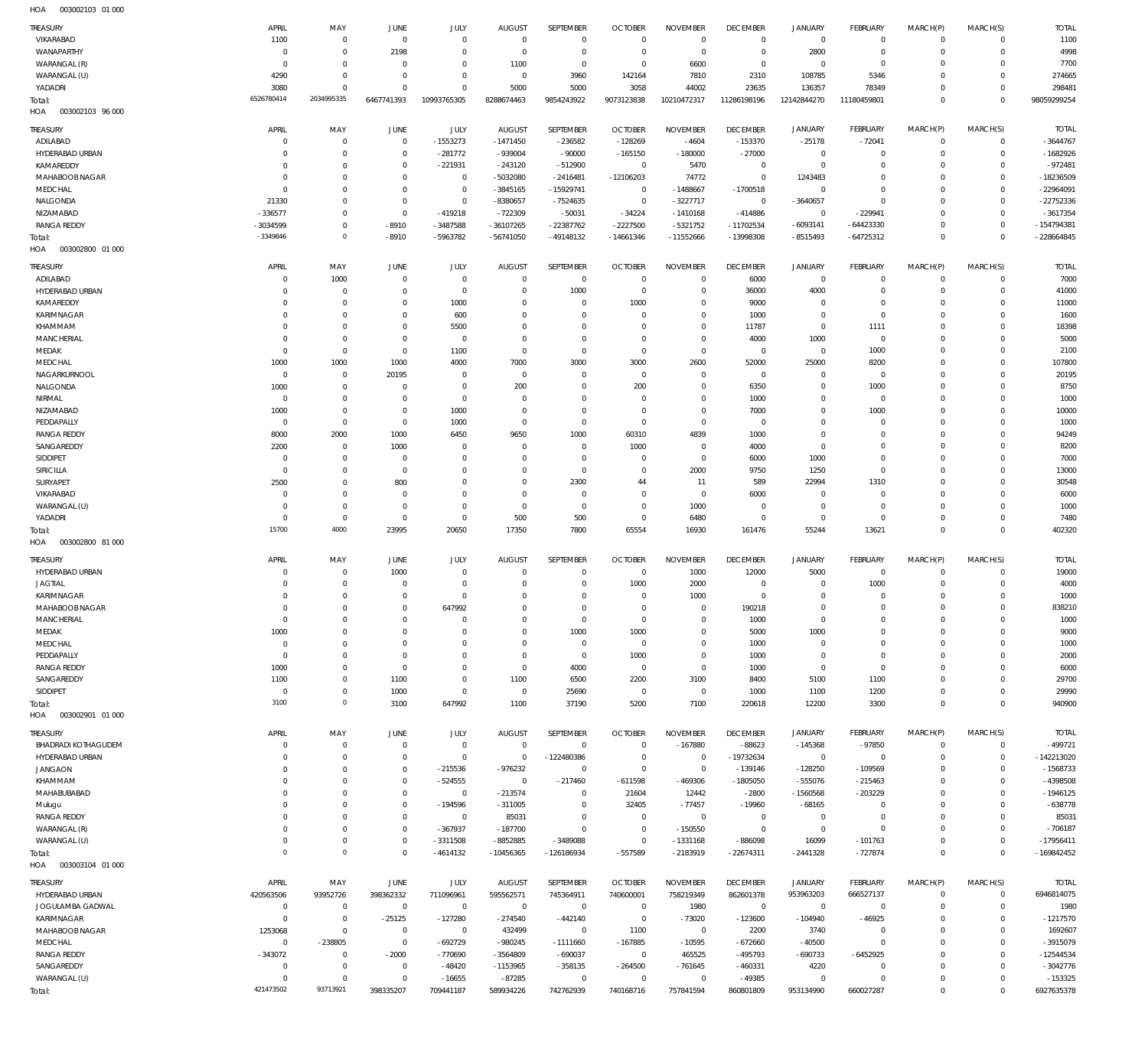| TREASURY<br>VIKARABAD                         | APRIL<br>1100          | MAY<br>$\mathbf 0$               | <b>JUNE</b><br>$\Omega$    | JULY<br>$\Omega$         | <b>AUGUST</b><br>$\Omega$       | SEPTEMBER<br>$\Omega$       | <b>OCTOBER</b><br>$\overline{0}$ | <b>NOVEMBER</b><br>$\overline{0}$ | <b>DECEMBER</b><br>$\mathbf 0$ | <b>JANUARY</b><br>$\mathbf 0$ | <b>FEBRUARY</b><br>$\Omega$ | MARCH(P)<br>$\Omega$       | MARCH(S)<br>$\Omega$    | <b>TOTAL</b><br>1100      |
|-----------------------------------------------|------------------------|----------------------------------|----------------------------|--------------------------|---------------------------------|-----------------------------|----------------------------------|-----------------------------------|--------------------------------|-------------------------------|-----------------------------|----------------------------|-------------------------|---------------------------|
| WANAPARTHY                                    | $^{\circ}$             | $\overline{0}$                   | 2198                       | $\Omega$                 | $\Omega$                        | $\Omega$                    | $\Omega$                         | $\Omega$                          | $^{\circ}$                     | 2800                          | $^{\circ}$                  | $\Omega$                   | $\Omega$                | 4998                      |
| WARANGAL (R)                                  | $\Omega$               | $\overline{0}$                   | $\Omega$                   | $\Omega$                 | 1100                            | $\Omega$                    | $\Omega$                         | 6600                              | $\Omega$                       | $\circ$                       | $\Omega$                    | O                          | $\Omega$                | 7700                      |
| WARANGAL (U)                                  | 4290                   | $\overline{0}$                   | $\Omega$                   | $\Omega$                 | $\Omega$                        | 3960                        | 142164                           | 7810                              | 2310                           | 108785                        | 5346                        | O                          | $\Omega$                | 274665                    |
| YADADRI                                       | 3080                   | $\Omega$                         | $\Omega$                   | $\Omega$                 | 5000                            | 5000                        | 3058                             | 44002                             | 23635                          | 136357                        | 78349                       | $\Omega$                   | $\Omega$                | 298481                    |
| Total:                                        | 6526780414             | 2034995335                       | 6467741393                 | 10993765305              | 8288674463                      | 9854243922                  | 9073123838                       | 10210472317                       | 11286198196                    | 12142844270                   | 11180459801                 | $\Omega$                   | $\Omega$                | 98059299254               |
| 003002103 96 000<br>HOA                       |                        |                                  |                            |                          |                                 |                             |                                  |                                   |                                |                               |                             |                            |                         |                           |
| TREASURY                                      | APRIL                  | MAY                              | JUNE                       | JULY                     | <b>AUGUST</b>                   | SEPTEMBER                   | <b>OCTOBER</b>                   | <b>NOVEMBER</b>                   | <b>DECEMBER</b>                | <b>JANUARY</b>                | <b>FEBRUARY</b>             | MARCH(P)                   | MARCH(S)                | <b>TOTAL</b>              |
| ADILABAD                                      | 0                      | $\overline{0}$                   | $\Omega$                   | $-1553273$               | $-1471450$                      | $-236582$                   | $-128269$                        | $-4604$                           | $-153370$                      | $-25178$                      | $-72041$                    | $\mathbf 0$                | $^{\circ}$              | $-3644767$                |
| HYDERABAD URBAN                               | $\Omega$               | $\overline{0}$                   | $\Omega$                   | $-281772$                | $-939004$                       | $-90000$                    | $-165150$                        | $-180000$                         | $-27000$                       | $\mathbf 0$                   | $\Omega$                    | $\mathbf 0$                | $\Omega$                | $-1682926$                |
| KAMAREDDY                                     | $\Omega$               | $\overline{0}$                   | $\Omega$                   | $-221931$                | $-243120$                       | $-512900$                   | $\overline{0}$                   | 5470                              | $^{\circ}$                     | $\mathbf 0$                   | O                           | $\Omega$                   | $\Omega$                | $-972481$                 |
| MAHABOOB NAGAR                                | $\Omega$               | $\overline{0}$                   | $\Omega$                   | $\mathbb O$              | -5032080                        | $-2416481$                  | $-12106203$                      | 74772                             | $^{\circ}$                     | 1243483                       | O                           | $\Omega$                   | $\Omega$                | $-18236509$               |
| MEDCHAL                                       | $\Omega$               | $\overline{0}$                   | $\Omega$                   | $\mathbb O$              | $-3845165$                      | $-15929741$                 | $\Omega$                         | $-1488667$                        | $-1700518$                     | 0                             | $\Omega$                    | $\Omega$                   | $\Omega$                | $-22964091$               |
| NALGONDA                                      | 21330                  | $\overline{0}$                   | $\Omega$                   | $\mathbf{0}$             | -8380657                        | $-7524635$                  | $\overline{0}$                   | $-3227717$                        | $\overline{0}$                 | $-3640657$                    | $\Omega$                    | $\Omega$                   | $\Omega$                | $-22752336$               |
| NIZAMABAD<br><b>RANGA REDDY</b>               | $-336577$<br>-3034599  | $\overline{0}$<br>$\mathbf 0$    | $\Omega$<br>$-8910$        | $-419218$<br>$-3487588$  | -722309<br>$-36107265$          | $-50031$<br>$-22387762$     | $-34224$<br>$-2227500$           | $-1410168$<br>$-5321752$          | $-414886$<br>$-11702534$       | 0<br>$-6093141$               | $-229941$<br>$-64423330$    | $\Omega$<br>$\Omega$       | $\Omega$<br>$\Omega$    | $-3617354$<br>-154794381  |
| Total:                                        | -3349846               | $\overline{0}$                   | $-8910$                    | -5963782                 | $-56741050$                     | $-49148132$                 | $-14661346$                      | $-11552666$                       | -13998308                      | $-8515493$                    | $-64725312$                 | $\mathbf 0$                | $\Omega$                | $-228664845$              |
| 003002800 01 000<br>HOA                       |                        |                                  |                            |                          |                                 |                             |                                  |                                   |                                |                               |                             |                            |                         |                           |
|                                               | <b>APRIL</b>           | MAY                              |                            | JULY                     | <b>AUGUST</b>                   | SEPTEMBER                   | <b>OCTOBER</b>                   | <b>NOVEMBER</b>                   | <b>DECEMBER</b>                |                               |                             |                            |                         | <b>TOTAL</b>              |
| <b>TREASURY</b><br>ADILABAD                   | $\Omega$               | 1000                             | <b>JUNE</b><br>$\Omega$    | $^{\circ}$               | $\Omega$                        | $\overline{0}$              | $\overline{0}$                   | $\Omega$                          | 6000                           | <b>JANUARY</b><br>$\circ$     | <b>FEBRUARY</b><br>$\Omega$ | MARCH(P)<br>$\Omega$       | MARCH(S)<br>$\Omega$    | 7000                      |
| HYDERABAD URBAN                               | $\Omega$               | $^{\circ}$                       | $\Omega$                   | $\Omega$                 | $\Omega$                        | 1000                        | $\Omega$                         | $\Omega$                          | 36000                          | 4000                          | $\Omega$                    | $\Omega$                   | $\Omega$                | 41000                     |
| KAMAREDDY                                     | $\Omega$               | $^{\circ}$                       | $\Omega$                   | 1000                     | $\Omega$                        | $\Omega$                    | 1000                             | $\Omega$                          | 9000                           | $\circ$                       | $\Omega$                    | $\Omega$                   | $\Omega$                | 11000                     |
| KARIMNAGAR                                    | $\Omega$               | $^{\circ}$                       | $\Omega$                   | 600                      | $\Omega$                        | $\Omega$                    | $\Omega$                         | $\Omega$                          | 1000                           | $\circ$                       | $\Omega$                    | O                          | $\Omega$                | 1600                      |
| KHAMMAM                                       | $\Omega$               | $\overline{0}$                   | $\Omega$                   | 5500                     | $\Omega$                        | $\Omega$                    | $\Omega$                         | $\Omega$                          | 11787                          | $\mathbf 0$                   | 1111                        | $\Omega$                   | $\Omega$                | 18398                     |
| <b>MANCHERIAL</b>                             | $\Omega$               | $\overline{0}$                   | $\Omega$                   | $\Omega$                 | $\Omega$                        | $\Omega$                    | $\Omega$                         | $\Omega$                          | 4000                           | 1000                          | $\mathbf 0$                 | O                          | $\Omega$                | 5000                      |
| MEDAK                                         | $\Omega$               | $\Omega$                         | $\Omega$                   | 1100                     | $\Omega$                        | $\Omega$                    | $\Omega$                         | $\Omega$                          | $\Omega$                       | $\mathbf 0$                   | 1000                        | O                          | $\Omega$                | 2100                      |
| MEDCHAL                                       | 1000                   | 1000                             | 1000                       | 4000                     | 7000                            | 3000                        | 3000                             | 2600                              | 52000                          | 25000                         | 8200                        | O                          | $\Omega$                | 107800                    |
| NAGARKURNOOL                                  | $^{\circ}$             | $\overline{0}$                   | 20195                      | $\Omega$                 | $\Omega$                        | $\Omega$                    | $\Omega$                         | $\Omega$                          | $\Omega$                       | $\circ$                       | $\Omega$                    | $\Omega$                   | $\Omega$                | 20195                     |
| NALGONDA<br>NIRMAL                            | 1000<br>$^{\circ}$     | $\overline{0}$<br>$^{\circ}$     | $\Omega$<br>$\Omega$       | $\Omega$<br>$\Omega$     | 200<br>$\Omega$                 | $\Omega$<br>$\Omega$        | 200<br>$\Omega$                  | $\Omega$<br>$\Omega$              | 6350                           | $\circ$                       | 1000<br>$\Omega$            | $\Omega$<br>O              | $\Omega$<br>$\Omega$    | 8750                      |
| NIZAMABAD                                     | 1000                   | $\Omega$                         | $\Omega$                   | 1000                     | $\Omega$                        | $\Omega$                    | $\Omega$                         | $\Omega$                          | 1000<br>7000                   | $\circ$<br>$\Omega$           | 1000                        | O                          | $\Omega$                | 1000<br>10000             |
| PEDDAPALLY                                    | $^{\circ}$             | $\overline{0}$                   | $\Omega$                   | 1000                     | $\Omega$                        | $\Omega$                    | $\Omega$                         | $\Omega$                          | $\Omega$                       | $\circ$                       | $\Omega$                    | $\Omega$                   | $\Omega$                | 1000                      |
| <b>RANGA REDDY</b>                            | 8000                   | 2000                             | 1000                       | 6450                     | 9650                            | 1000                        | 60310                            | 4839                              | 1000                           | $\Omega$                      | O                           | O                          | $\Omega$                | 94249                     |
| SANGAREDDY                                    | 2200                   | $^{\circ}$                       | 1000                       | $\Omega$                 | $\Omega$                        | $\overline{0}$              | 1000                             | $\Omega$                          | 4000                           | $\circ$                       | $\Omega$                    | $\Omega$                   | $\Omega$                | 8200                      |
| SIDDIPET                                      | $\Omega$               | $^{\circ}$                       | $\Omega$                   | $\Omega$                 | $\Omega$                        | $\Omega$                    | $\Omega$                         | $\Omega$                          | 6000                           | 1000                          | O                           | O                          | $\Omega$                | 7000                      |
| SIRICILLA                                     | $\Omega$               | $^{\circ}$                       | $\Omega$                   | $\Omega$                 | $\Omega$                        | $\overline{0}$              | $\Omega$                         | 2000                              | 9750                           | 1250                          | $\Omega$                    | $\Omega$                   | $\Omega$                | 13000                     |
| SURYAPET                                      | 2500                   | $^{\circ}$                       | 800                        | $\Omega$                 | $\Omega$                        | 2300                        | 44                               | 11                                | 589                            | 22994                         | 1310                        | O                          | $\Omega$                | 30548                     |
| VIKARABAD                                     | $\mathbf 0$            | $^{\circ}$                       | $\Omega$                   | $\Omega$                 | $\Omega$                        | $\overline{0}$              | $\Omega$                         | $\overline{0}$                    | 6000                           | $\mathbf 0$                   | $\Omega$                    | $\Omega$                   | $\Omega$                | 6000                      |
| WARANGAL (U)                                  | $\Omega$               | $\overline{0}$                   | $\Omega$                   | $\Omega$                 | $\Omega$                        | $\Omega$                    | $\Omega$                         | 1000                              | $\Omega$                       | $\circ$                       | $\Omega$                    | $\Omega$                   | $\Omega$                | 1000                      |
| YADADRI                                       | $\Omega$<br>15700      | $\mathbf 0$<br>4000              | $\Omega$                   | $\Omega$                 | 500                             | 500                         | $\Omega$                         | 6480                              | $\Omega$                       | $\circ$                       | $\Omega$                    | $\Omega$<br>$\Omega$       | $\Omega$                | 7480                      |
| Total:<br>003002800 81 000<br>HOA             |                        |                                  | 23995                      | 20650                    | 17350                           | 7800                        | 65554                            | 16930                             | 161476                         | 55244                         | 13621                       |                            | $\Omega$                | 402320                    |
|                                               |                        |                                  |                            |                          |                                 |                             |                                  |                                   |                                |                               |                             |                            |                         |                           |
| <b>TREASURY</b>                               | APRIL                  | MAY                              | JUNE                       | JULY                     | <b>AUGUST</b>                   | SEPTEMBER                   | <b>OCTOBER</b>                   | <b>NOVEMBER</b>                   | <b>DECEMBER</b>                | <b>JANUARY</b>                | <b>FEBRUARY</b>             | MARCH(P)                   | MARCH(S)                | <b>TOTAL</b>              |
| HYDERABAD URBAN<br><b>JAGTIAL</b>             | 0<br>$\Omega$          | $\overline{0}$<br>$\overline{0}$ | 1000<br>$\Omega$           | $^{\circ}$<br>$\Omega$   | $\Omega$<br>$\Omega$            | $\Omega$<br>$\Omega$        | $\Omega$<br>1000                 | 1000<br>2000                      | 12000<br>$\Omega$              | 5000<br>$\circ$               | $\mathbf 0$<br>1000         | $\mathbf 0$<br>$\mathbf 0$ | $\mathbf 0$<br>$\Omega$ | 19000<br>4000             |
| KARIMNAGAR                                    | $\Omega$               | $\overline{0}$                   | $\Omega$                   | $\Omega$                 | $\Omega$                        | $\Omega$                    | $\overline{0}$                   | 1000                              | $\Omega$                       | $\mathbf 0$                   | $\Omega$                    | $\Omega$                   | $\Omega$                | 1000                      |
| MAHAROOR NAGAR                                | $\Omega$               | $\Omega$                         | $\Omega$                   | 647992                   |                                 | $\Omega$                    | $\Omega$                         | $\Omega$                          | 190218                         | $\Omega$                      | $\Omega$                    | $\Omega$                   | $\Omega$                | 838210                    |
| <b>MANCHERIAL</b>                             | $\overline{0}$         | $\overline{0}$                   | $\Omega$                   | $\Omega$                 | $\Omega$                        | $\mathbf 0$                 | $\overline{0}$                   | $\Omega$                          | 1000                           | $\mathsf{O}\xspace$           | $\Omega$                    | 0                          | $\mathbf 0$             | 1000                      |
| MEDAK                                         | 1000                   | $\overline{0}$                   | $\Omega$                   | $\Omega$                 | $\Omega$                        | 1000                        | 1000                             | $\Omega$                          | 5000                           | 1000                          | $\Omega$                    | 0                          | $\Omega$                | 9000                      |
| MEDCHAL                                       | $\mathbf 0$            | $\mathbf 0$                      | $\Omega$                   | $\Omega$                 | $\Omega$                        | $\overline{0}$              | $\overline{0}$                   | $\Omega$                          | 1000                           | $\mathsf{O}\xspace$           | $\Omega$                    | $\Omega$                   | $\Omega$                | 1000                      |
| PEDDAPALLY                                    | $^{\circ}$             | $\mathbf 0$                      | $\Omega$                   | $\Omega$                 | $\Omega$                        | $\mathbf 0$                 | 1000                             | $\mathbf 0$                       | 1000                           | $\mathsf{O}\xspace$           | $\Omega$                    | $\Omega$                   | $\Omega$                | 2000                      |
| <b>RANGA REDDY</b>                            | 1000                   | $\mathbf 0$                      | $\Omega$                   | $\Omega$                 | $\mathbf{0}$                    | 4000                        | $\overline{0}$                   | $\mathbf 0$                       | 1000                           | $\mathbf 0$                   | $\Omega$                    | $\Omega$                   | $\Omega$                | 6000                      |
| SANGAREDDY                                    | 1100                   | $\overline{0}$                   | 1100                       | $\mathbf{0}$             | 1100                            | 6500                        | 2200                             | 3100                              | 8400                           | 5100                          | 1100                        | $\Omega$                   | $\Omega$                | 29700                     |
| SIDDIPET                                      | $\overline{0}$<br>3100 | $\overline{0}$<br>$\overline{0}$ | 1000<br>3100               | $\mathbb O$<br>647992    | $\mathbf{0}$<br>1100            | 25690<br>37190              | $\overline{0}$<br>5200           | $\mathbf 0$<br>7100               | 1000<br>220618                 | 1100<br>12200                 | 1200<br>3300                | $\Omega$<br>$\mathbf 0$    | $\Omega$<br>$\mathbf 0$ | 29990<br>940900           |
| Total:<br>HOA<br>003002901 01 000             |                        |                                  |                            |                          |                                 |                             |                                  |                                   |                                |                               |                             |                            |                         |                           |
|                                               |                        |                                  |                            |                          |                                 |                             |                                  |                                   |                                |                               |                             |                            |                         |                           |
| <b>TREASURY</b><br><b>BHADRADI KOTHAGUDEM</b> | APRIL<br>$\mathbf 0$   | MAY<br>$\overline{0}$            | JUNE<br>$\overline{0}$     | JULY<br>$\mathbb O$      | <b>AUGUST</b><br>$\overline{0}$ | SEPTEMBER<br>$\overline{0}$ | <b>OCTOBER</b><br>$\overline{0}$ | <b>NOVEMBER</b><br>$-167880$      | <b>DECEMBER</b><br>$-88623$    | <b>JANUARY</b>                | <b>FEBRUARY</b><br>$-97850$ | MARCH(P)<br>$\mathbf 0$    | MARCH(S)<br>$\mathbf 0$ | <b>TOTAL</b><br>$-499721$ |
| <b>HYDERABAD URBAN</b>                        | $\Omega$               | $\mathbf 0$                      | $\Omega$                   | $^{\circ}$               | $^{\circ}$                      | -122480386                  | $\overline{0}$                   | $\overline{0}$                    | -19732634                      | $-145368$<br>$\mathbf 0$      | $\mathbf 0$                 | $\Omega$                   | $\mathbf 0$             | $-142213020$              |
| <b>JANGAON</b>                                | $\mathbf 0$            | $\overline{0}$                   | $\overline{0}$             | $-215536$                | $-976232$                       | $\overline{0}$              | $\Omega$                         | $\overline{0}$                    | $-139146$                      | $-128250$                     | $-109569$                   | O                          | $\Omega$                | $-1568733$                |
| KHAMMAM                                       | $\mathbf 0$            | $\mathbf 0$                      | $\mathbf{0}$               | $-524555$                | $\Omega$                        | $-217460$                   | $-611598$                        | -469306                           | $-1805050$                     | $-555076$                     | $-215463$                   | $\Omega$                   | $\Omega$                | -4398508                  |
| MAHABUBABAD                                   | $\Omega$               | $\overline{0}$                   | $\Omega$                   | $\mathbb O$              | $-213574$                       | $\Omega$                    | 21604                            | 12442                             | $-2800$                        | $-1560568$                    | $-203229$                   | O                          | $\Omega$                | $-1946125$                |
| Mulugu                                        | $\Omega$               | $\overline{0}$                   | $\Omega$                   | -194596                  | $-311005$                       | $\Omega$                    | 32405                            | $-77457$                          | $-19960$                       | $-68165$                      | $\Omega$                    | $\Omega$                   | $\Omega$                | $-638778$                 |
| <b>RANGA REDDY</b>                            | $\Omega$               | $^{\circ}$                       | $\Omega$                   | $\mathbf{0}$             | 85031                           | $\Omega$                    | $\overline{0}$                   | $\mathbf 0$                       | $\overline{0}$                 | $\mathbf 0$                   | $\Omega$                    | O                          | $\Omega$                | 85031                     |
| WARANGAL (R)                                  | $\mathbf 0$            | $\mathbf 0$                      | $\mathbf{0}$               | $-367937$                | $-187700$                       | $\Omega$                    | $\overline{0}$                   | $-150550$                         | $\overline{0}$                 | $\mathbf 0$                   | O                           | $\Omega$                   | $\Omega$                | $-706187$                 |
| WARANGAL (U)                                  | $\mathbf 0$            | $\mathbf 0$                      | $\overline{0}$             | $-3311508$               | $-8852885$                      | $-3489088$                  | $\overline{0}$                   | $-1331168$                        | $-886098$                      | 16099                         | $-101763$                   | $\Omega$                   | $\Omega$                | $-17956411$               |
| Total:                                        | $\mathbf 0$            | $\circ$                          | $\Omega$                   | $-4614132$               | $-10456365$                     | -126186934                  | -557589                          | -2183919                          | $-22674311$                    | $-2441328$                    | $-727874$                   | $\mathbf 0$                | $\Omega$                | $-169842452$              |
| HOA   003003104   01   000                    |                        |                                  |                            |                          |                                 |                             |                                  |                                   |                                |                               |                             |                            |                         |                           |
| <b>TREASURY</b>                               | APRIL                  | MAY                              | JUNE                       | <b>JULY</b>              | <b>AUGUST</b>                   | SEPTEMBER                   | <b>OCTOBER</b>                   | <b>NOVEMBER</b>                   | <b>DECEMBER</b>                | <b>JANUARY</b>                | FEBRUARY                    | MARCH(P)                   | MARCH(S)                | <b>TOTAL</b>              |
| HYDERABAD URBAN                               | 420563506              | 93952726                         | 398362332                  | 711096961                | 595562571                       | 745364911                   | 740600001                        | 758219349                         | 862601378                      | 953963203                     | 666527137                   | $\mathbf 0$                | $\mathbf 0$             | 6946814075                |
| JOGULAMBA GADWAL                              | $\mathbf 0$            | $\overline{0}$                   | $\overline{0}$             | $\overline{0}$           | $\overline{0}$                  | $\mathbf 0$                 | $\overline{0}$                   | 1980                              | $\overline{0}$                 | $\mathsf{O}\xspace$           | $\mathbf 0$                 | 0                          | $\mathbf 0$             | 1980                      |
| KARIMNAGAR<br>MAHABOOB NAGAR                  | $\mathbf 0$<br>1253068 | $\mathbf 0$<br>$\mathbf 0$       | $-25125$<br>$\overline{0}$ | $-127280$<br>$\mathbb O$ | $-274540$<br>432499             | $-442140$<br>$\overline{0}$ | $\mathbf 0$<br>1100              | $-73020$<br>$\overline{0}$        | $-123600$<br>2200              | $-104940$<br>3740             | $-46925$<br>$\mathbf 0$     | $\Omega$<br>$\Omega$       | $\Omega$<br>$\Omega$    | $-1217570$<br>1692607     |
| MEDCHAL                                       | $\overline{0}$         | -238805                          | $\mathbb O$                | -692729                  | $-980245$                       | $-1111660$                  | $-167885$                        | $-10595$                          | $-672660$                      | $-40500$                      | $\mathbf 0$                 | $\Omega$                   | $\Omega$                | $-3915079$                |
| <b>RANGA REDDY</b>                            | $-343072$              | $\mathbf 0$                      | $-2000$                    | $-770690$                | $-3564809$                      | $-690037$                   | $\overline{0}$                   | 465525                            | $-495793$                      | $-690733$                     | $-6452925$                  | $\Omega$                   | $\Omega$                | $-12544534$               |
| SANGAREDDY                                    | $\overline{0}$         | $\overline{0}$                   | $\overline{0}$             | $-48420$                 | -1153965                        | $-358135$                   | $-264500$                        | $-761645$                         | $-460331$                      | 4220                          | $^{\circ}$                  | $\Omega$                   | $\Omega$                | $-3042776$                |
| WARANGAL (U)                                  | $\mathbf 0$            | $\mathbf 0$                      | $\overline{0}$             | $-16655$                 | $-87285$                        | $\overline{0}$              | $\overline{0}$                   | $\overline{0}$                    | $-49385$                       | $\mathsf{O}\xspace$           | $\Omega$                    | $\Omega$                   | $\Omega$                | $-153325$                 |
| Total:                                        | 421473502              | 93713921                         | 398335207                  | 709441187                | 589934226                       | 742762939                   | 740168716                        | 757841594                         | 860801809                      | 953134990                     | 660027287                   | $\mathbf 0$                | $\Omega$                | 6927635378                |
|                                               |                        |                                  |                            |                          |                                 |                             |                                  |                                   |                                |                               |                             |                            |                         |                           |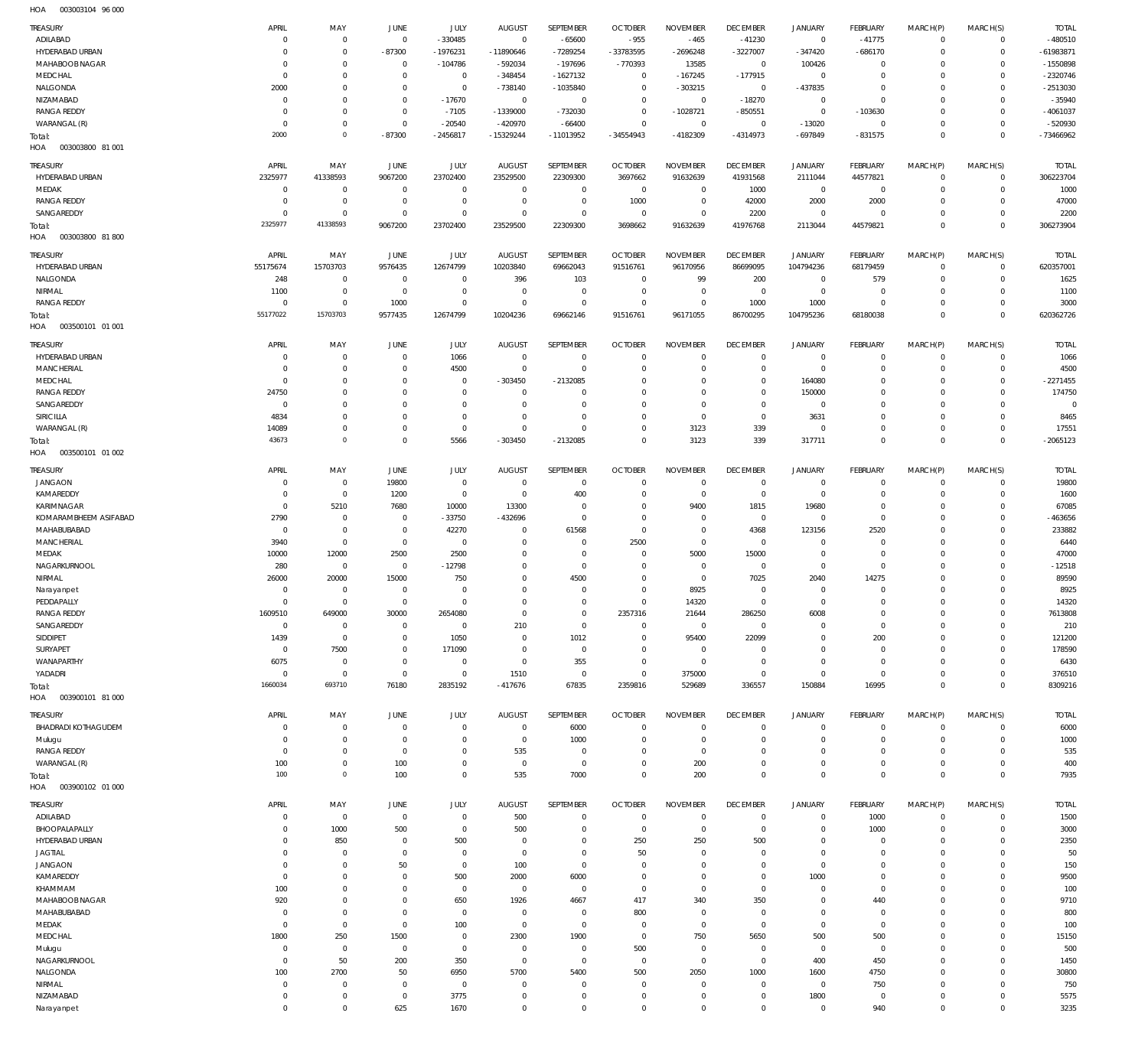003003104 96 000 HOA

| TREASURY                             | APRIL                     | MAY                                | JUNE                             | JULY                       | <b>AUGUST</b>            | SEPTEMBER               | <b>OCTOBER</b>                | <b>NOVEMBER</b>            | <b>DECEMBER</b>              | <b>JANUARY</b>             | <b>FEBRUARY</b>               | MARCH(P)                | MARCH(S)                       | <b>TOTAL</b>              |
|--------------------------------------|---------------------------|------------------------------------|----------------------------------|----------------------------|--------------------------|-------------------------|-------------------------------|----------------------------|------------------------------|----------------------------|-------------------------------|-------------------------|--------------------------------|---------------------------|
| ADILABAD                             | $\mathsf{C}$              | $\mathbf 0$                        | $\overline{0}$                   | $-330485$                  | $\mathbf 0$              | $-65600$                | $-955$                        | $-465$                     | $-41230$                     | $\overline{0}$             | $-41775$                      | $\mathbf 0$             | $\overline{0}$                 | $-480510$                 |
| HYDERABAD URBAN                      | C                         | $\mathbf 0$                        | $-87300$                         | $-1976231$                 | -11890646                | $-7289254$              | -33783595                     | $-2696248$                 | $-3227007$                   | $-347420$                  | $-686170$                     | $\Omega$                | $\circ$                        | $-61983871$               |
| MAHABOOB NAGAR                       | C                         | $\mathbf 0$                        | $\overline{0}$                   | $-104786$                  | $-592034$                | $-197696$               | $-770393$                     | 13585                      | $\overline{0}$               | 100426                     | $\overline{0}$                | $\Omega$                | $\mathbf{0}$                   | $-1550898$                |
| MEDCHAL                              | 0                         | $\mathbf 0$                        | $\overline{0}$                   | $\mathbf 0$                | $-348454$                | $-1627132$              | $\overline{0}$                | $-167245$                  | $-177915$                    | $\mathsf 0$                | $\overline{0}$                | $\Omega$                | $\mathbf{0}$                   | $-2320746$                |
| NALGONDA                             | 2000                      | $\mathbf 0$                        | $\overline{0}$                   | $\mathbf 0$                | $-738140$                | $-1035840$              | $\overline{0}$                | $-303215$                  | $\overline{0}$               | $-437835$                  | $\overline{0}$                | $\Omega$                | $\Omega$                       | $-2513030$                |
| NIZAMABAD                            | C                         | $\mathbf 0$                        | $\overline{0}$                   | $-17670$                   | $\overline{0}$           | $\overline{0}$          | $\overline{0}$                | $\,0\,$                    | $-18270$                     | $\mathsf 0$                | $\overline{0}$                | $\Omega$                | $\Omega$                       | $-35940$                  |
| <b>RANGA REDDY</b>                   | C                         | $\mathbf 0$                        | $\overline{0}$                   | $-7105$                    | $-1339000$               | $-732030$               | $\overline{0}$                | $-1028721$                 | $-850551$                    | $\mathbf 0$                | $-103630$                     | $\Omega$                | $\mathbf{0}$                   | $-4061037$                |
| WARANGAL (R)                         | 0<br>2000                 | $\mathbf 0$<br>$\mathsf{O}\xspace$ | $\overline{0}$<br>$-87300$       | $-20540$<br>$-2456817$     | $-420970$<br>-15329244   | $-66400$<br>$-11013952$ | $\overline{0}$<br>$-34554943$ | $\,0\,$<br>$-4182309$      | $\overline{0}$<br>$-4314973$ | $-13020$<br>$-697849$      | $\overline{0}$<br>$-831575$   | $\Omega$<br>$\Omega$    | $\mathbf{0}$<br>$\overline{0}$ | $-520930$<br>-73466962    |
| Total:<br>003003800 81 001<br>HOA    |                           |                                    |                                  |                            |                          |                         |                               |                            |                              |                            |                               |                         |                                |                           |
|                                      |                           |                                    |                                  |                            |                          |                         |                               |                            |                              |                            |                               |                         |                                |                           |
| TREASURY<br>HYDERABAD URBAN          | APRIL                     | MAY<br>41338593                    | JUNE                             | <b>JULY</b>                | <b>AUGUST</b>            | SEPTEMBER               | <b>OCTOBER</b>                | <b>NOVEMBER</b>            | <b>DECEMBER</b>              | <b>JANUARY</b>             | <b>FEBRUARY</b>               | MARCH(P)<br>$\mathbf 0$ | MARCH(S)<br>$\overline{0}$     | <b>TOTAL</b><br>306223704 |
| MEDAK                                | 2325977<br>$^{\circ}$     | $^{\circ}$                         | 9067200<br>$\overline{0}$        | 23702400<br>$^{\circ}$     | 23529500<br>$\mathbf 0$  | 22309300<br>$\mathbf 0$ | 3697662<br>$\overline{0}$     | 91632639<br>$^{\circ}$     | 41931568<br>1000             | 2111044<br>$\mathsf 0$     | 44577821<br>$\overline{0}$    | $\Omega$                | $\mathbf{0}$                   | 1000                      |
| <b>RANGA REDDY</b>                   | $\Omega$                  | $\mathbf 0$                        | $\overline{0}$                   | $\mathbf 0$                | $\mathbf 0$              | $\mathbf 0$             | 1000                          | $\mathbf 0$                | 42000                        | 2000                       | 2000                          | $\Omega$                | $\mathbf 0$                    | 47000                     |
| SANGAREDDY                           | $^{\circ}$                | $\mathbf 0$                        | $\overline{0}$                   | $\mathbf 0$                | $\mathbf 0$              | $\mathbf 0$             | $\overline{0}$                | $\mathbf 0$                | 2200                         | $\mathbf 0$                | $\overline{0}$                | $\Omega$                | $\mathbf{0}$                   | 2200                      |
| Total:                               | 2325977                   | 41338593                           | 9067200                          | 23702400                   | 23529500                 | 22309300                | 3698662                       | 91632639                   | 41976768                     | 2113044                    | 44579821                      | $\Omega$                | $\Omega$                       | 306273904                 |
| HOA<br>003003800 81800               |                           |                                    |                                  |                            |                          |                         |                               |                            |                              |                            |                               |                         |                                |                           |
| TREASURY                             | APRIL                     | MAY                                | JUNE                             | <b>JULY</b>                | <b>AUGUST</b>            | SEPTEMBER               | <b>OCTOBER</b>                | <b>NOVEMBER</b>            | <b>DECEMBER</b>              | <b>JANUARY</b>             | <b>FEBRUARY</b>               | MARCH(P)                | MARCH(S)                       | <b>TOTAL</b>              |
| HYDERABAD URBAN                      | 55175674                  | 15703703                           | 9576435                          | 12674799                   | 10203840                 | 69662043                | 91516761                      | 96170956                   | 86699095                     | 104794236                  | 68179459                      | $\mathbf 0$             | $\overline{0}$                 | 620357001                 |
| NALGONDA                             | 248                       | $\mathbf 0$                        | $\overline{0}$                   | $\mathbf 0$                | 396                      | 103                     | $\overline{0}$                | 99                         | 200                          | $\overline{0}$             | 579                           | $\mathbf 0$             | $\circ$                        | 1625                      |
| NIRMAL                               | 1100                      | $\mathbf 0$                        | $\overline{0}$                   | $\mathbf 0$                | $\mathbf 0$              | $\mathbf 0$             | $\overline{0}$                | $\mathbf 0$                | $\overline{0}$               | $\overline{0}$             | $\overline{0}$                | $\Omega$                | $\Omega$                       | 1100                      |
| <b>RANGA REDDY</b>                   | $\overline{0}$            | $\mathbf 0$                        | 1000                             | $\mathbf 0$                | $^{\circ}$               | $\mathbf 0$             | $\overline{0}$                | $\mathbf 0$                | 1000                         | 1000                       | $\overline{0}$                | $\Omega$                | $\mathbf{0}$                   | 3000                      |
| Total:                               | 55177022                  | 15703703                           | 9577435                          | 12674799                   | 10204236                 | 69662146                | 91516761                      | 96171055                   | 86700295                     | 104795236                  | 68180038                      | $\Omega$                | $\overline{0}$                 | 620362726                 |
| HOA<br>003500101 01 001              |                           |                                    |                                  |                            |                          |                         |                               |                            |                              |                            |                               |                         |                                |                           |
| TREASURY                             | APRIL                     | MAY                                | JUNE                             | JULY                       | <b>AUGUST</b>            | SEPTEMBER               | <b>OCTOBER</b>                | <b>NOVEMBER</b>            | <b>DECEMBER</b>              | <b>JANUARY</b>             | <b>FEBRUARY</b>               | MARCH(P)                | MARCH(S)                       | <b>TOTAL</b>              |
| HYDERABAD URBAN                      | -C                        | $^{\circ}$                         | $\overline{0}$                   | 1066                       | $\mathbf 0$              | $\mathbf 0$             | $\overline{0}$                | $\Omega$                   | $\mathbf 0$                  | $\mathbf 0$                | $\overline{0}$                | $\Omega$                | $\mathbf{0}$                   | 1066                      |
| <b>MANCHERIAL</b>                    | C                         | $\mathbf 0$                        | $\Omega$                         | 4500                       | $\mathbf 0$              | $\mathbf 0$             | $\Omega$                      | $\Omega$                   | $\mathbf 0$                  | $\mathbf 0$                | $\Omega$                      | $\Omega$                | $\mathbf 0$                    | 4500                      |
| MEDCHAL<br><b>RANGA REDDY</b>        | $\Omega$<br>24750         | $\mathbf 0$<br>$\mathbf 0$         | $\Omega$<br>$\Omega$             | $\mathbf 0$<br>$\mathbf 0$ | $-303450$<br>$\mathbf 0$ | $-2132085$<br>$\Omega$  | $\Omega$<br>$\Omega$          | $\Omega$<br>$\Omega$       | $\mathbf 0$<br>$\mathbf 0$   | 164080<br>150000           | $\mathbf 0$<br>$\Omega$       | $\Omega$<br>$\Omega$    | $\mathbf 0$<br>$\Omega$        | $-2271455$<br>174750      |
| SANGAREDDY                           | $\Omega$                  | $\Omega$                           | $\Omega$                         | $\Omega$                   | $\Omega$                 | $\Omega$                | $\Omega$                      | $\Omega$                   | $\mathbf 0$                  | $\mathbf 0$                | $\Omega$                      | $\Omega$                | $\Omega$                       | $\Omega$                  |
| <b>SIRICILLA</b>                     | 4834                      | $\mathbf 0$                        | $\Omega$                         | $\mathbf 0$                | $\mathbf 0$              | $\mathbf 0$             | $^{\circ}$                    | $\mathbf 0$                | $\mathbf 0$                  | 3631                       | $\Omega$                      | $\Omega$                | $\Omega$                       | 8465                      |
| WARANGAL (R)                         | 14089                     | $\mathbf 0$                        | $\Omega$                         | $\mathbf 0$                | $\mathbf 0$              | $\Omega$                | $\Omega$                      | 3123                       | 339                          | $\mathbf 0$                | $\Omega$                      | $\Omega$                | $\Omega$                       | 17551                     |
| Total:                               | 43673                     | $\mathsf{O}\xspace$                | $\Omega$                         | 5566                       | $-303450$                | $-2132085$              | $\Omega$                      | 3123                       | 339                          | 317711                     | $\Omega$                      | $\Omega$                | $\mathbf 0$                    | $-2065123$                |
| HOA<br>003500101 01 002              |                           |                                    |                                  |                            |                          |                         |                               |                            |                              |                            |                               |                         |                                |                           |
| TREASURY                             | APRIL                     | MAY                                | JUNE                             | <b>JULY</b>                | <b>AUGUST</b>            | SEPTEMBER               | <b>OCTOBER</b>                | <b>NOVEMBER</b>            | <b>DECEMBER</b>              | <b>JANUARY</b>             | <b>FEBRUARY</b>               | MARCH(P)                | MARCH(S)                       | <b>TOTAL</b>              |
| <b>JANGAON</b>                       | $\mathsf{C}$              | $\mathbf 0$                        | 19800                            | $\mathbf 0$                | $\mathbf 0$              | $\mathbb O$             | $\overline{0}$                | $\mathbf 0$                | $\overline{0}$               | $\overline{0}$             | $\overline{0}$                | $\mathbf 0$             | $\mathbf{0}$                   | 19800                     |
| KAMAREDDY                            | -C                        | $\mathbf 0$                        | 1200                             | $\mathbf 0$                | $\mathbf 0$              | 400                     | $^{\circ}$                    | $\overline{0}$             | $\overline{0}$               | $\mathbf 0$                | $\overline{0}$                | $\Omega$                | $\mathbf{0}$                   | 1600                      |
| KARIMNAGAR                           | $\overline{0}$            | 5210                               | 7680                             | 10000                      | 13300                    | $\mathbf 0$             | $\overline{0}$                | 9400                       | 1815                         | 19680                      | $\overline{0}$                | $\Omega$                | $\mathbf{0}$                   | 67085                     |
| KOMARAMBHEEM ASIFABAD                | 2790                      | $\mathbf 0$                        | $\overline{0}$                   | $-33750$                   | $-432696$                | $\mathbf 0$             | $\overline{0}$                | $^{\circ}$                 | $\overline{0}$               | $\mathbf 0$                | $\overline{0}$                | $\Omega$                | $\mathbf{0}$                   | -463656                   |
| MAHABUBABAD                          | $\overline{0}$            | $\mathbf 0$                        | $\mathbf{0}$                     | 42270                      | $^{\circ}$               | 61568                   | $\overline{0}$                | $\mathbf 0$                | 4368                         | 123156                     | 2520                          | $\Omega$                | $\mathbf 0$                    | 233882                    |
| MANCHERIAL                           | 3940                      | $\mathbf 0$                        | $\overline{0}$                   | $\mathbb O$                | $^{\circ}$               | $\mathbf 0$             | 2500                          | $\mathbf 0$                | $\mathbf 0$                  | $\mathbf 0$                | $\overline{0}$                | $\Omega$                | $\mathbf{0}$                   | 6440                      |
| MEDAK                                | 10000                     | 12000                              | 2500                             | 2500                       | $\Omega$                 | $\mathbf 0$             | $\overline{0}$                | 5000                       | 15000                        | $\mathbf 0$                | $\overline{0}$                | $\Omega$                | $\mathbf{0}$                   | 47000                     |
| NAGARKURNOOL<br>NIRMAL               | 280<br>26000              | $\mathbf 0$<br>20000               | $\overline{0}$<br>15000          | $-12798$<br>750            | $\Omega$<br>$\Omega$     | $\mathbf 0$<br>4500     | $^{\circ}$<br>$^{\circ}$      | $\mathbf 0$<br>$\mathbf 0$ | $\mathbf 0$<br>7025          | $\mathbf 0$<br>2040        | $\overline{0}$<br>14275       | $\Omega$<br>$\Omega$    | $\mathbf 0$<br>$\Omega$        | $-12518$<br>89590         |
| Narayanpet                           | C                         | $\mathbf 0$                        | 0                                | $^{\circ}$                 | $\Omega$                 | $\mathbf 0$             | $^{\circ}$                    | 8925                       | $\mathbf 0$                  | $\mathbf 0$                | $\overline{0}$                | $\Omega$                | $\mathbf{0}$                   | 8925                      |
| PEDDAPALLY                           | $\Omega$                  | $\mathbf 0$                        | $\Omega$                         | $\mathbf 0$                | $\Omega$                 | $\mathbf 0$             | $\Omega$                      | 14320                      | $\Omega$                     | $\Omega$                   | $\overline{0}$                | $\Omega$                | $\Omega$                       | 14320                     |
| RANGA REDDY                          | 1609510                   | 649000                             | 30000                            | 2654080                    | $^{\circ}$               | $\mathbf 0$             | 2357316                       | 21644                      | 286250                       | 6008                       | $\overline{0}$                | $\Omega$                | $\mathbf 0$                    | 7613808                   |
| SANGAREDDY                           | $^{\circ}$                | $\mathbf 0$                        | $\mathbf{0}$                     | $\mathbf 0$                | 210                      | $\mathbf 0$             | $\overline{0}$                | $\mathbf 0$                | $\mathbf 0$                  | $\mathbf 0$                | $\overline{0}$                | $\Omega$                | $\mathbf{0}$                   | 210                       |
| SIDDIPET                             | 1439                      | $\mathbf 0$                        | $\overline{0}$                   | 1050                       | $\mathbf 0$              | 1012                    | $^{\circ}$                    | 95400                      | 22099                        | $\mathbf 0$                | 200                           | $\Omega$                | $\mathbf{0}$                   | 121200                    |
| SURYAPET                             | $\mathbf 0$               | 7500                               | $^{\circ}$                       | 171090                     | $^{\circ}$               | $\overline{0}$          | $\mathbf 0$                   | $\mathbf 0$                | $\mathbf 0$                  | $\mathbf 0$                | $\overline{0}$                | $\Omega$                | $\mathbf 0$                    | 178590                    |
| WANAPARTHY                           | 6075                      | $\mathbf 0$                        | $\overline{0}$                   | $\mathbf 0$                | $\mathbf 0$              | 355                     | $^{\circ}$                    | $\mathbf 0$                | $\overline{0}$               | $\mathbf 0$                | $\overline{0}$                | $\Omega$                | $\mathbf{0}$                   | 6430                      |
| YADADRI                              | $\overline{0}$<br>1660034 | $\mathbf 0$<br>693710              | $\overline{0}$                   | $\mathbf 0$                | 1510                     | $\overline{0}$          | $\overline{0}$                | 375000                     | 0                            | $\mathbf 0$<br>150884      | $\overline{0}$<br>16995       | $\mathbf 0$<br>$\Omega$ | $\mathbf{0}$<br>$\Omega$       | 376510                    |
| Total:<br>003900101 81 000<br>HOA    |                           |                                    | 76180                            | 2835192                    | $-417676$                | 67835                   | 2359816                       | 529689                     | 336557                       |                            |                               |                         |                                | 8309216                   |
|                                      |                           |                                    |                                  |                            |                          |                         |                               |                            |                              |                            |                               |                         |                                |                           |
| TREASURY                             | APRIL                     | MAY                                | JUNE                             | JULY                       | <b>AUGUST</b>            | <b>SEPTEMBER</b>        | <b>OCTOBER</b>                | <b>NOVEMBER</b>            | <b>DECEMBER</b>              | <b>JANUARY</b>             | <b>FEBRUARY</b>               | MARCH(P)                | MARCH(S)                       | <b>TOTAL</b>              |
| <b>BHADRADI KOTHAGUDEM</b><br>Mulugu | 0<br>C                    | $\mathbf 0$<br>$\mathbf{0}$        | $\overline{0}$<br>$\overline{0}$ | $^{\circ}$<br>$\Omega$     | $^{\circ}$<br>$^{\circ}$ | 6000<br>1000            | $\overline{0}$<br>$^{\circ}$  | $^{\circ}$<br>$\Omega$     | $\mathbf 0$<br>$\mathbf 0$   | $\mathbf 0$<br>$\mathbf 0$ | $\overline{0}$<br>$\mathbf 0$ | $\mathbf 0$<br>$\Omega$ | $^{\circ}$<br>$\mathbf 0$      | 6000<br>1000              |
| <b>RANGA REDDY</b>                   | $\Omega$                  | $\mathbf 0$                        | $^{\circ}$                       | $\Omega$                   | 535                      | $^{\circ}$              | $^{\circ}$                    | $^{\circ}$                 | $\mathbf 0$                  | $\mathbf 0$                | $^{\circ}$                    | $\Omega$                | $\mathbf 0$                    | 535                       |
| WARANGAL (R)                         | 100                       | $\mathbf 0$                        | 100                              | $\Omega$                   | $\mathbf 0$              | $\mathbf 0$             | $^{\circ}$                    | 200                        | $\mathbf 0$                  | $\mathbf 0$                | $\mathbf 0$                   | $\mathbf 0$             | $\mathbf 0$                    | 400                       |
| Total:                               | 100                       | $\mathsf{O}\xspace$                | 100                              | $\Omega$                   | 535                      | 7000                    | $\Omega$                      | 200                        | $\Omega$                     | $\Omega$                   | $\Omega$                      | $\Omega$                | $\mathbf 0$                    | 7935                      |
| HOA<br>003900102 01 000              |                           |                                    |                                  |                            |                          |                         |                               |                            |                              |                            |                               |                         |                                |                           |
| TREASURY                             | APRIL                     | MAY                                | JUNE                             | JULY                       | <b>AUGUST</b>            | SEPTEMBER               | <b>OCTOBER</b>                | <b>NOVEMBER</b>            | <b>DECEMBER</b>              | <b>JANUARY</b>             | <b>FEBRUARY</b>               | MARCH(P)                | MARCH(S)                       | <b>TOTAL</b>              |
| ADILABAD                             | $\Omega$                  | $\mathbf 0$                        | $\overline{0}$                   | $\mathbf 0$                | 500                      | $\mathbb O$             | $\overline{0}$                | $\mathbf 0$                | $\mathbf 0$                  | $\mathbf 0$                | 1000                          | $\mathbf 0$             | $\mathbf{0}$                   | 1500                      |
| BHOOPALAPALLY                        | C                         | 1000                               | 500                              | $\mathbb O$                | 500                      | $\mathbf 0$             | $\overline{0}$                | $\overline{0}$             | $\mathbf 0$                  | $\mathbf 0$                | 1000                          | $\mathbf 0$             | $\mathbf{0}$                   | 3000                      |
| HYDERABAD URBAN                      | $\Omega$                  | 850                                | $\overline{0}$                   | 500                        | $^{\circ}$               | $\mathbf 0$             | 250                           | 250                        | 500                          | $\mathbf 0$                | $\overline{0}$                | $\mathbf 0$             | $\mathbf{0}$                   | 2350                      |
| <b>JAGTIAL</b>                       | $\Omega$                  | $\mathbf 0$                        | $\overline{0}$                   | $^{\circ}$                 | $^{\circ}$               | $\mathbf 0$             | 50                            | $^{\circ}$                 | $\mathbf 0$                  | $\mathbf 0$                | $\overline{0}$                | $\Omega$                | $\mathbf 0$                    | 50                        |
| <b>JANGAON</b>                       | $\Omega$                  | $\mathbf 0$                        | 50                               | $\mathbf 0$                | 100                      | $\mathbf 0$             | $\overline{0}$                | $\mathbf{0}$               | $\mathbf 0$                  | $\mathbf 0$                | $\overline{0}$                | $\Omega$                | $\mathbf{0}$                   | 150                       |
| KAMAREDDY                            | $^{\circ}$                | $\mathbf 0$                        | 0                                | 500                        | 2000                     | 6000                    | $\overline{0}$                | $\mathbf 0$                | $\mathbf 0$                  | 1000                       | $\overline{0}$                | $\Omega$                | $\mathbf 0$                    | 9500                      |
| KHAMMAM<br>MAHABOOB NAGAR            | 100                       | $\mathbf 0$<br>$\mathbf 0$         | $\overline{0}$<br>0              | $\mathbf 0$<br>650         | $^{\circ}$<br>1926       | $\mathbf 0$<br>4667     | $\overline{0}$<br>417         | $\mathbf 0$<br>340         | $\mathbf 0$                  | $\mathbf 0$<br>$\mathbf 0$ | $\overline{0}$<br>440         | $\Omega$<br>$\Omega$    | $\mathbf{0}$<br>$\mathbf 0$    | 100<br>9710               |
| MAHABUBABAD                          | 920<br>$\overline{0}$     | $\mathbf 0$                        | $\overline{0}$                   | $\mathbf 0$                | $^{\circ}$               | $\mathbf 0$             | 800                           | $\overline{0}$             | 350<br>$\mathbf 0$           | $\mathbf 0$                | $\overline{0}$                | $\Omega$                | $\Omega$                       | 800                       |
| MEDAK                                | $^{\circ}$                | $\mathbf 0$                        | $\overline{0}$                   | 100                        | $\mathbf 0$              | $\mathbf 0$             | $^{\circ}$                    | $\mathbf 0$                | $\overline{0}$               | $\mathbf 0$                | $\overline{0}$                | $\Omega$                | $\mathbf 0$                    | 100                       |
| MEDCHAL                              | 1800                      | 250                                | 1500                             | $\mathbf 0$                | 2300                     | 1900                    | $\overline{0}$                | 750                        | 5650                         | 500                        | 500                           | $\Omega$                | $\mathbf 0$                    | 15150                     |
| Mulugu                               | $\overline{0}$            | $\mathbf 0$                        | $\overline{0}$                   | $\mathbf 0$                | $\mathbf 0$              | $\mathbf 0$             | 500                           | $^{\circ}$                 | $\mathbf 0$                  | $\mathbf 0$                | $\overline{0}$                | $\Omega$                | $\mathbf 0$                    | 500                       |
| NAGARKURNOOL                         | $\overline{0}$            | 50                                 | 200                              | 350                        | $\mathbf 0$              | $\mathbf 0$             | $\overline{0}$                | $\mathbf 0$                | $\mathbf 0$                  | 400                        | 450                           | $\Omega$                | $\mathbf 0$                    | 1450                      |
| NALGONDA                             | 100                       | 2700                               | 50                               | 6950                       | 5700                     | 5400                    | 500                           | 2050                       | 1000                         | 1600                       | 4750                          | $\Omega$                | $\mathbf 0$                    | 30800                     |
| NIRMAL                               | $\overline{0}$            | $\mathbf 0$                        | $\overline{0}$                   | $\mathbf 0$                | $\mathbf 0$              | $\mathbf 0$             | $\overline{0}$                | $^{\circ}$                 | $\mathbf 0$                  | $\mathbf 0$                | 750                           | $\Omega$                | $\mathbf{0}$                   | 750                       |
| NIZAMABAD                            | $\Omega$                  | $\mathbf 0$                        | $^{\circ}$                       | 3775                       | $\mathbf 0$              | $\mathbb O$             | $^{\circ}$                    | $^{\circ}$                 | $\mathbf 0$                  | 1800                       | $\overline{0}$                | $\mathbf 0$             | $\mathbf{0}$                   | 5575                      |
| Narayanpet                           | $^{\circ}$                | $\mathbf 0$                        | 625                              | 1670                       | $\mathbf 0$              | $\mathbf 0$             | $\mathbf 0$                   | $\mathbf 0$                | $\mathbf 0$                  | $\mathsf{O}\xspace$        | 940                           | $\mathbf 0$             | $\mathbf{0}$                   | 3235                      |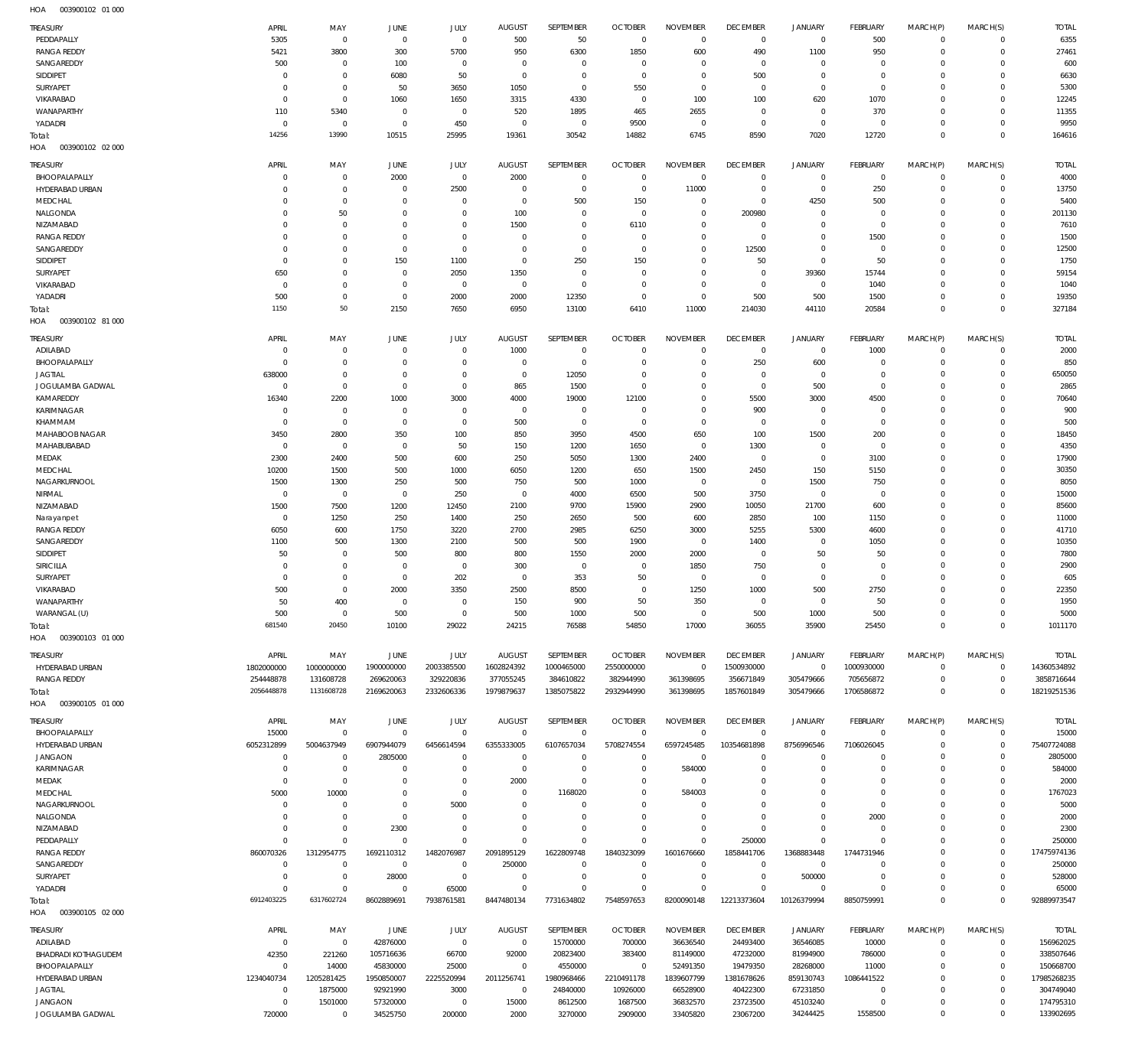| <b>TREASURY</b>            | APRIL          | MAY<br>$\overline{0}$ | <b>JUNE</b>    | JULY         | <b>AUGUST</b><br>500 | SEPTEMBER      | <b>OCTOBER</b> | <b>NOVEMBER</b><br>$\mathbf 0$ | <b>DECEMBER</b> | <b>JANUARY</b>      | FEBRUARY    | MARCH(P)    | MARCH(S)    | <b>TOTAL</b> |
|----------------------------|----------------|-----------------------|----------------|--------------|----------------------|----------------|----------------|--------------------------------|-----------------|---------------------|-------------|-------------|-------------|--------------|
| PEDDAPALLY                 | 5305           |                       | $\overline{0}$ | $\mathbb O$  |                      | 50             | $\overline{0}$ |                                | $\mathbf 0$     | $\mathbf 0$         | 500         | $\mathbf 0$ | $\mathbf 0$ | 6355         |
| <b>RANGA REDDY</b>         | 5421           | 3800                  | 300            | 5700         | 950                  | 6300           | 1850           | 600                            | 490             | 1100                | 950         | 0           | $\mathbf 0$ | 27461        |
| SANGAREDDY                 | 500            | $^{\circ}$            | 100            | $^{\circ}$   | $\circ$              | $^{\circ}$     | $\Omega$       | $\mathbf 0$                    | $\overline{0}$  | $\circ$             | $\mathbf 0$ | 0           | $\circ$     | 600          |
| SIDDIPET                   | $^{\circ}$     | $\overline{0}$        | 6080           | 50           | $^{\circ}$           | $^{\circ}$     | $\overline{0}$ | $\mathbf 0$                    | 500             | $\mathbf 0$         | 0           | 0           | $\mathbf 0$ | 6630         |
| <b>SURYAPET</b>            | $\mathbf 0$    | $\overline{0}$        | 50             | 3650         | 1050                 | $\mathbf{0}$   | 550            | $\mathbf 0$                    | $\overline{0}$  | $\mathbf 0$         | $\mathbf 0$ | 0           | 0           | 5300         |
| VIKARABAD                  | $^{\circ}$     | $\overline{0}$        | 1060           | 1650         | 3315                 | 4330           | $\overline{0}$ | 100                            | 100             | 620                 | 1070        | 0           | 0           | 12245        |
| WANAPARTHY                 | 110            | 5340                  | $\overline{0}$ | $^{\circ}$   | 520                  | 1895           | 465            | 2655                           | $\overline{0}$  | $\mathbf 0$         | 370         | 0           | 0           | 11355        |
| YADADRI                    | $^{\circ}$     | $\mathbf 0$           | $\overline{0}$ | 450          | $^{\circ}$           | $\overline{0}$ | 9500           | $\mathbf 0$                    | $\overline{0}$  | $\mathbf 0$         | $\mathbf 0$ | 0           | $\mathbf 0$ | 9950         |
| Total:                     | 14256          | 13990                 | 10515          | 25995        | 19361                | 30542          | 14882          | 6745                           | 8590            | 7020                | 12720       | $\mathbf 0$ | $\mathbf 0$ | 164616       |
| 003900102 02 000<br>HOA    |                |                       |                |              |                      |                |                |                                |                 |                     |             |             |             |              |
| <b>TREASURY</b>            | APRIL          | MAY                   | <b>JUNE</b>    | JULY         | <b>AUGUST</b>        | SEPTEMBER      | <b>OCTOBER</b> | <b>NOVEMBER</b>                | <b>DECEMBER</b> | <b>JANUARY</b>      | FEBRUARY    | MARCH(P)    | MARCH(S)    | <b>TOTAL</b> |
| BHOOPALAPALLY              | $\mathbf 0$    | $^{\circ}$            | 2000           | $^{\circ}$   | 2000                 | $^{\circ}$     | $\mathbf 0$    | $\mathbf 0$                    | $^{\circ}$      | 0                   | $\mathbf 0$ | $\mathbf 0$ | $\mathbf 0$ | 400C         |
| HYDERABAD URBAN            | $\mathbf 0$    | $\overline{0}$        | $\Omega$       | 2500         | $\circ$              | $\mathbf 0$    | $\Omega$       | 11000                          | $^{\circ}$      | $\mathsf{O}\xspace$ | 250         | 0           | $\mathbf 0$ | 13750        |
| MEDCHAL                    | $\mathbf 0$    | $\overline{0}$        | $\Omega$       | $\Omega$     | $^{\circ}$           | 500            | 150            | $\mathbf 0$                    | $\overline{0}$  | 4250                | 500         | 0           | 0           | 5400         |
| NALGONDA                   | $\Omega$       | 50                    | $\Omega$       | $\Omega$     | 100                  | $^{\circ}$     | $\mathbf 0$    | $\mathbf 0$                    | 200980          | $\mathbf 0$         | $^{\circ}$  | 0           | $\mathbf 0$ | 201130       |
| NIZAMABAD                  | $\mathbf 0$    | $\overline{0}$        | $\Omega$       | $\Omega$     | 1500                 | $\mathbf{0}$   | 6110           | $\mathbf 0$                    | $^{\circ}$      | $\mathbf 0$         | $^{\circ}$  | 0           | $\mathbf 0$ | 7610         |
| <b>RANGA REDDY</b>         | $\Omega$       | $\overline{0}$        | $\Omega$       | $\Omega$     | $^{\circ}$           | $\mathbf{0}$   | 0              | $\mathbf 0$                    | $^{\circ}$      | $\mathbf 0$         | 1500        | 0           | 0           | 1500         |
| SANGAREDDY                 | $\mathbf 0$    | $\overline{0}$        | $\Omega$       | $\mathbf{0}$ | $\Omega$             | $\Omega$       | $\Omega$       | $\mathbf 0$                    | 12500           | $\mathbf 0$         | $^{\circ}$  | 0           | $\mathbf 0$ | 12500        |
| SIDDIPET                   | 0              | $\overline{0}$        | 150            | 1100         | $\circ$              | 250            | 150            | $\mathbf 0$                    | 50              | $\mathbf 0$         | 50          | 0           | 0           | 1750         |
| SURYAPET                   | 650            | $\overline{0}$        | $\Omega$       | 2050         | 1350                 | $^{\circ}$     | $^{\circ}$     | $\mathbf 0$                    | $^{\circ}$      | 39360               | 15744       | 0           | $\mathbf 0$ | 59154        |
| VIKARABAD                  | $^{\circ}$     | $\overline{0}$        | $\overline{0}$ | $^{\circ}$   | $^{\circ}$           | $\mathbf{0}$   | $\Omega$       | $\mathbf 0$                    | $\mathbf 0$     | $\mathbf 0$         | 1040        | 0           | 0           | 1040         |
| YADADRI                    | 500            | $\overline{0}$        | $\Omega$       | 2000         | 2000                 | 12350          | $\Omega$       | $\mathbf 0$                    | 500             | 500                 | 1500        | 0           | $\mathbf 0$ | 19350        |
| Total:                     | 1150           | 50                    | 2150           | 7650         | 6950                 | 13100          | 6410           | 11000                          | 214030          | 44110               | 20584       | $\Omega$    | $\mathbf 0$ | 327184       |
| 003900102 81 000<br>HOA    |                |                       |                |              |                      |                |                |                                |                 |                     |             |             |             |              |
|                            | APRIL          |                       |                |              |                      | SEPTEMBER      | <b>OCTOBER</b> |                                | <b>DECEMBER</b> |                     |             | MARCH(P)    |             |              |
| <b>TREASURY</b>            |                | MAY                   | JUNE           | JULY         | <b>AUGUST</b>        |                |                | <b>NOVEMBER</b>                |                 | <b>JANUARY</b>      | FEBRUARY    |             | MARCH(S)    | <b>TOTAL</b> |
| ADILABAD                   | 0              | $^{\circ}$            | $\overline{0}$ | $^{\circ}$   | 1000                 | $^{\circ}$     | $\Omega$       | $\Omega$                       | $\overline{0}$  | 0                   | 1000        | 0           | $\mathbf 0$ | 2000         |
| BHOOPALAPALLY              | $^{\circ}$     | $\overline{0}$        | $\overline{0}$ | $\mathbf{0}$ | $^{\circ}$           | $\mathbf 0$    | $\Omega$       | $\mathbf 0$                    | 250             | 600                 | $\mathbf 0$ | 0           | $\mathbf 0$ | 850          |
| <b>JAGTIAL</b>             | 638000         | $\overline{0}$        | $\overline{0}$ | $^{\circ}$   | $^{\circ}$           | 12050          | $\Omega$       | $\mathbf 0$                    | $\overline{0}$  | $\circ$             | $\mathbf 0$ | 0           | $\mathbf 0$ | 650050       |
| JOGULAMBA GADWAL           | $^{\circ}$     | $\overline{0}$        | $\overline{0}$ | $^{\circ}$   | 865                  | 1500           | $\Omega$       | $\mathbf 0$                    | $\mathbf 0$     | 500                 | $\mathbf 0$ | 0           | 0           | 2865         |
| KAMAREDDY                  | 16340          | 2200                  | 1000           | 3000         | 4000                 | 19000          | 12100          | $\mathbf 0$                    | 5500            | 3000                | 4500        | 0           | 0           | 70640        |
| KARIMNAGAR                 | $\mathbf 0$    | $\mathbf 0$           | 0              | $^{\circ}$   | $^{\circ}$           | $\overline{0}$ | $^{\circ}$     | $\mathbf 0$                    | 900             | $\circ$             | 0           | 0           | 0           | 900          |
| KHAMMAM                    | $\overline{0}$ | $\mathbf 0$           | $\overline{0}$ | $^{\circ}$   | 500                  | $\overline{0}$ | $\overline{0}$ | $\mathbf 0$                    | $\overline{0}$  | $\mathbf 0$         | $\mathbf 0$ | 0           | 0           | 500          |
| MAHABOOB NAGAR             | 3450           | 2800                  | 350            | 100          | 850                  | 3950           | 4500           | 650                            | 100             | 1500                | 200         | 0           | 0           | 18450        |
| MAHABUBABAD                | $^{\circ}$     | $\overline{0}$        | $\overline{0}$ | 50           | 150                  | 1200           | 1650           | $\mathbf 0$                    | 1300            | $\circ$             | $\mathbf 0$ | 0           | 0           | 4350         |
| MEDAK                      | 2300           | 2400                  | 500            | 600          | 250                  | 5050           | 1300           | 2400                           | $\overline{0}$  | $\mathbf 0$         | 3100        | 0           | $\mathbf 0$ | 17900        |
| MEDCHAL                    | 10200          | 1500                  | 500            | 1000         | 6050                 | 1200           | 650            | 1500                           | 2450            | 150                 | 5150        | 0           | 0           | 30350        |
| NAGARKURNOOL               | 1500           | 1300                  | 250            | 500          | 750                  | 500            | 1000           | $\mathbf 0$                    | $\overline{0}$  | 1500                | 750         | 0           | 0           | 8050         |
| NIRMAL                     | $^{\circ}$     | $\overline{0}$        | $\overline{0}$ | 250          | $^{\circ}$           | 4000           | 6500           | 500                            | 3750            | $\mathbf 0$         | $\mathbf 0$ | 0           | 0           | 15000        |
| NIZAMABAD                  | 1500           | 7500                  | 1200           | 12450        | 2100                 | 9700           | 15900          | 2900                           | 10050           | 21700               | 600         | 0           | 0           | 85600        |
| Narayanpet                 | $^{\circ}$     | 1250                  | 250            | 1400         | 250                  | 2650           | 500            | 600                            | 2850            | 100                 | 1150        | 0           | 0           | 11000        |
| <b>RANGA REDDY</b>         | 6050           | 600                   | 1750           | 3220         | 2700                 | 2985           | 6250           | 3000                           | 5255            | 5300                | 4600        | 0           | 0           | 41710        |
| SANGAREDDY                 | 1100           | 500                   | 1300           | 2100         | 500                  | 500            | 1900           | $\mathbf 0$                    | 1400            | $\circ$             | 1050        | 0           | 0           | 10350        |
| SIDDIPET                   | 50             | $^{\circ}$            | 500            | 800          | 800                  | 1550           | 2000           | 2000                           | $^{\circ}$      | 50                  | 50          | 0           | 0           | 7800         |
| SIRICILLA                  | $^{\circ}$     | $\overline{0}$        | $\overline{0}$ | $^{\circ}$   | 300                  | $\overline{0}$ | $\Omega$       | 1850                           | 750             | $\mathbf 0$         | $\mathbf 0$ | 0           | 0           | 2900         |
| <b>SURYAPET</b>            | $^{\circ}$     | $\overline{0}$        | $\overline{0}$ | 202          | $\circ$              | 353            | 50             | $\overline{0}$                 | $^{\circ}$      | $\mathbf 0$         | $\mathbf 0$ | 0           | $\mathbf 0$ | 605          |
| VIKARABAD                  | 500            | $\overline{0}$        | 2000           | 3350         | 2500                 | 8500           | $\Omega$       | 1250                           | 1000            | 500                 | 2750        | 0           | 0           | 22350        |
| WANAPARTHY                 | 50             | 400                   | $\Omega$       | $\Omega$     | 150                  | 900            | 50             | 350                            | $\Omega$        | $\mathbf 0$         | 50          | $\mathbf 0$ | $\circ$     | 1950         |
| WARANGAL (U)               | 500            | - 0                   | 500            | 0            | 500                  | 1000           | 500            |                                | 500             | 1000                | 500         | 0           | 0           | 500C         |
| Total:                     | 681540         | 20450                 | 10100          | 29022        | 24215                | 76588          | 54850          | 17000                          | 36055           | 35900               | 25450       | $\mathbf 0$ | $\mathbf 0$ | 1011170      |
| 003900103 01 000<br>HOA    |                |                       |                |              |                      |                |                |                                |                 |                     |             |             |             |              |
| <b>TREASURY</b>            | APRIL          | MAY                   | JUNE           | <b>JULY</b>  | <b>AUGUST</b>        | SEPTEMBER      | <b>OCTOBER</b> | <b>NOVEMBER</b>                | <b>DECEMBER</b> | JANUARY             | FEBRUARY    | MARCH(P)    | MARCH(S)    | <b>TOTAL</b> |
| HYDERABAD URBAN            | 1802000000     | 1000000000            | 1900000000     | 2003385500   | 1602824392           | 1000465000     | 2550000000     | $\mathbf 0$                    | 1500930000      | $\mathsf{O}\xspace$ | 1000930000  | $\mathbf 0$ | $\mathbf 0$ | 14360534892  |
| <b>RANGA REDDY</b>         | 254448878      | 131608728             | 269620063      | 329220836    | 377055245            | 384610822      | 382944990      | 361398695                      | 356671849       | 305479666           | 705656872   | 0           | $\mathbf 0$ | 3858716644   |
| Total:                     | 2056448878     | 1131608728            | 2169620063     | 2332606336   | 1979879637           | 1385075822     | 2932944990     | 361398695                      | 1857601849      | 305479666           | 1706586872  | $\mathbf 0$ | $\mathbf 0$ | 18219251536  |
| 003900105 01 000<br>HOA    |                |                       |                |              |                      |                |                |                                |                 |                     |             |             |             |              |
|                            |                |                       |                |              |                      |                |                |                                |                 |                     |             |             |             |              |
| <b>TREASURY</b>            | APRIL          | MAY                   | JUNE           | <b>JULY</b>  | <b>AUGUST</b>        | SEPTEMBER      | <b>OCTOBER</b> | <b>NOVEMBER</b>                | <b>DECEMBER</b> | <b>JANUARY</b>      | FEBRUARY    | MARCH(P)    | MARCH(S)    | <b>TOTAL</b> |
| BHOOPALAPALLY              | 15000          | $\overline{0}$        | $\Omega$       | $\Omega$     | $\Omega$             | $\mathbf 0$    | $\Omega$       | $\overline{0}$                 | $\mathbf 0$     | $\mathsf{O}\xspace$ | $\mathbf 0$ | 0           | $\mathbf 0$ | 15000        |
| HYDERABAD URBAN            | 6052312899     | 5004637949            | 6907944079     | 6456614594   | 6355333005           | 6107657034     | 5708274554     | 6597245485                     | 10354681898     | 8756996546          | 7106026045  | 0           | $\mathbf 0$ | 75407724088  |
| <b>JANGAON</b>             | $^{\circ}$     | $^{\circ}$            | 2805000        | $^{\circ}$   | $^{\circ}$           | $^{\circ}$     | $\Omega$       | $\mathbf 0$                    | $\mathbf 0$     | $\mathbf 0$         | 0           | 0           | $\mathbf 0$ | 2805000      |
| KARIMNAGAR                 | $\mathbf 0$    | $\overline{0}$        | 0              | $\mathbf{0}$ | $\mathbf{0}$         | $\mathbf{0}$   | $\Omega$       | 584000                         | $\mathbf 0$     | $\mathbf 0$         | 0           | $\Omega$    | $\mathbf 0$ | 584000       |
| MEDAK                      | $^{\circ}$     | $\overline{0}$        | 0              | $^{\circ}$   | 2000                 | $^{\circ}$     | $\Omega$       | $\mathbf 0$                    | 0               | $\mathbf 0$         | 0           | 0           | 0           | 2000         |
| MEDCHAL                    | 5000           | 10000                 | $\Omega$       | $\mathbf{0}$ | $^{\circ}$           | 1168020        | $\Omega$       | 584003                         | $\Omega$        | $\mathbf 0$         | $\Omega$    | $\Omega$    | $\mathbf 0$ | 1767023      |
| NAGARKURNOOL               | $\mathbf 0$    | $\overline{0}$        | $\overline{0}$ | 5000         | $^{\circ}$           | $\Omega$       | $\Omega$       | $\mathbf 0$                    | 0               | $\mathbf 0$         | 0           | 0           | 0           | 5000         |
| NALGONDA                   | $\mathbf 0$    | $\overline{0}$        | $\overline{0}$ | $\Omega$     | $\Omega$             | $\Omega$       | $\Omega$       | $\mathbf 0$                    | $\mathbf 0$     | $\mathbf 0$         | 2000        | 0           | 0           | 2000         |
| NIZAMABAD                  | $\mathbf 0$    | $\mathbf 0$           | 2300           | $\mathbf{0}$ | $^{\circ}$           | $\mathbf{0}$   | $\Omega$       | $\mathbf 0$                    | $\overline{0}$  | $\mathbf 0$         | $\mathbf 0$ | $\Omega$    | $\mathbf 0$ | 2300         |
| PEDDAPALLY                 | $\Omega$       | $\overline{0}$        | $\Omega$       | $\Omega$     | $\Omega$             | $\Omega$       | $\Omega$       | $\Omega$                       | 250000          | $\mathbf 0$         | $\mathbf 0$ | $\Omega$    | 0           | 250000       |
| <b>RANGA REDDY</b>         | 860070326      | 1312954775            | 1692110312     | 1482076987   | 2091895129           | 1622809748     | 1840323099     | 1601676660                     | 1858441706      | 1368883448          | 1744731946  | $\Omega$    | $\mathbf 0$ | 17475974136  |
| SANGAREDDY                 | $^{\circ}$     | $\overline{0}$        | $\overline{0}$ | $\mathbf{0}$ | 250000               | $\mathbf{0}$   | $\Omega$       | $\Omega$                       | $\mathbf 0$     | $\mathbf 0$         | 0           | 0           | $\mathbf 0$ | 250000       |
| SURYAPET                   | $\overline{0}$ | $\overline{0}$        | 28000          | $\mathbf{0}$ | $^{\circ}$           | $^{\circ}$     | $\mathbf{0}$   | $\mathbf 0$                    | $\mathbf 0$     | 500000              | 0           | $\Omega$    | $\mathbf 0$ | 528000       |
| YADADRI                    | $\Omega$       | $\overline{0}$        | $\overline{0}$ | 65000        | $\Omega$             | $\Omega$       | $\Omega$       | $\mathbf 0$                    | $\Omega$        | $\mathbf 0$         | $\Omega$    | $\mathbf 0$ | $\mathbf 0$ | 65000        |
| Total:                     | 6912403225     | 6317602724            | 8602889691     | 7938761581   | 8447480134           | 7731634802     | 7548597653     | 8200090148                     | 12213373604     | 10126379994         | 8850759991  | $\mathbf 0$ | $\mathbf 0$ | 92889973547  |
| HOA<br>003900105 02 000    |                |                       |                |              |                      |                |                |                                |                 |                     |             |             |             |              |
| <b>TREASURY</b>            | APRIL          | MAY                   | JUNE           | <b>JULY</b>  | <b>AUGUST</b>        | SEPTEMBER      | <b>OCTOBER</b> | <b>NOVEMBER</b>                | <b>DECEMBER</b> | <b>JANUARY</b>      | FEBRUARY    | MARCH(P)    | MARCH(S)    | <b>TOTAL</b> |
| ADILABAD                   | $\overline{0}$ | $^{\circ}$            | 42876000       | $\mathbf{0}$ | $\overline{0}$       | 15700000       | 700000         | 36636540                       | 24493400        | 36546085            | 10000       | 0           | $\mathbf 0$ | 156962025    |
| <b>BHADRADI KOTHAGUDEM</b> | 42350          | 221260                | 105716636      | 66700        | 92000                | 20823400       | 383400         | 81149000                       | 47232000        | 81994900            | 786000      | 0           | $\mathbf 0$ | 338507646    |
| BHOOPALAPALLY              | $\mathbf 0$    | 14000                 | 45830000       | 25000        | $\Omega$             | 4550000        | 0              | 52491350                       | 19479350        | 28268000            | 11000       | 0           | $\mathbf 0$ | 150668700    |
| HYDERABAD URBAN            | 1234040734     | 1205281425            | 1950850007     | 2225520994   | 2011256741           | 1980968466     | 2210491178     | 1839607799                     | 1381678626      | 859130743           | 1086441522  | $\Omega$    | $\mathbf 0$ | 17985268235  |
| <b>JAGTIAL</b>             | $\overline{0}$ | 1875000               | 92921990       | 3000         | $^{\circ}$           | 24840000       | 10926000       | 66528900                       | 40422300        | 67231850            | 0           | $\Omega$    | $\mathbf 0$ | 304749040    |
| <b>JANGAON</b>             | $\mathbf 0$    | 1501000               | 57320000       | $^{\circ}$   | 15000                | 8612500        | 1687500        | 36832570                       | 23723500        | 45103240            | $\mathbf 0$ | 0           | $\mathbf 0$ | 174795310    |
| JOGULAMBA GADWAL           | 720000         | $^{\circ}$            | 34525750       | 200000       | 2000                 | 3270000        | 2909000        | 33405820                       | 23067200        | 34244425            | 1558500     | $\mathbf 0$ | $\mathbf 0$ | 133902695    |
|                            |                |                       |                |              |                      |                |                |                                |                 |                     |             |             |             |              |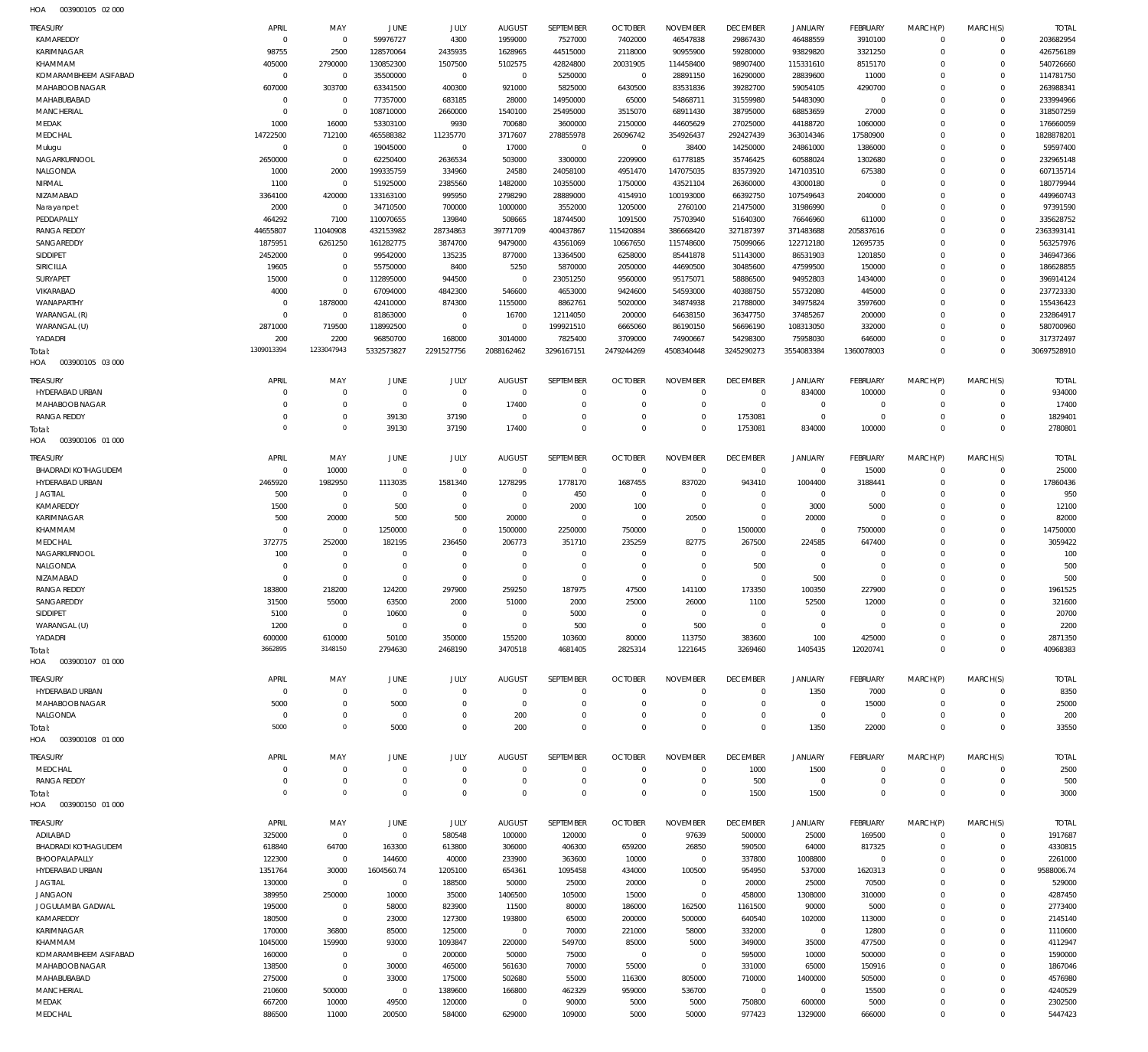003900105 02 000 HOA

| TREASURY                          | APRIL             | MAY                      | JUNE                    | JULY             | <b>AUGUST</b>     | SEPTEMBER            | <b>OCTOBER</b>      | <b>NOVEMBER</b>          | <b>DECEMBER</b>          | <b>JANUARY</b>            | <b>FEBRUARY</b>     | MARCH(P)             | MARCH(S)                | <b>TOTAL</b>            |
|-----------------------------------|-------------------|--------------------------|-------------------------|------------------|-------------------|----------------------|---------------------|--------------------------|--------------------------|---------------------------|---------------------|----------------------|-------------------------|-------------------------|
| KAMAREDDY                         | $\mathbf 0$       | $\mathbf 0$              | 59976727                | 4300             | 1959000           | 7527000              | 7402000             | 46547838                 | 29867430                 | 46488559                  | 3910100             | $\Omega$             | $\Omega$                | 203682954               |
| KARIMNAGAR                        | 98755             | 2500                     | 128570064               | 2435935          | 1628965           | 44515000             | 2118000             | 90955900                 | 59280000                 | 93829820                  | 3321250             | $\Omega$             | $\circ$                 | 426756189               |
| KHAMMAM                           | 405000            | 2790000                  | 130852300               | 1507500          | 5102575           | 42824800             | 20031905            | 114458400                | 98907400                 | 115331610                 | 8515170             | $\Omega$             | $\Omega$                | 540726660               |
| KOMARAMBHEEM ASIFABAD             | $\mathbf 0$       | $\mathbf 0$              | 35500000                | $\mathbb O$      | $\overline{0}$    | 5250000              | $\overline{0}$      | 28891150                 | 16290000                 | 28839600                  | 11000               | $\Omega$             | $\Omega$                | 114781750               |
| MAHABOOB NAGAR                    | 607000            | 303700                   | 63341500                | 400300           | 921000            | 5825000              | 6430500             | 83531836                 | 39282700                 | 59054105                  | 4290700             | $\Omega$             | $\mathbf 0$             | 263988341               |
| MAHABUBABAD                       | $^{\circ}$        | $\mathbf 0$              | 77357000                | 683185           | 28000             | 14950000             | 65000               | 54868711                 | 31559980                 | 54483090                  | $\overline{0}$      | $\Omega$             | $\Omega$                | 233994966               |
| <b>MANCHERIAL</b>                 | $\Omega$          | $\mathbf 0$              | 108710000               | 2660000          | 1540100           | 25495000             | 3515070             | 68911430                 | 38795000                 | 68853659                  | 27000               | $\Omega$             | $\mathbf 0$<br>$\Omega$ | 318507259               |
| MEDAK<br>MEDCHAL                  | 1000<br>14722500  | 16000<br>712100          | 53303100<br>465588382   | 9930<br>11235770 | 700680<br>3717607 | 3600000<br>278855978 | 2150000<br>26096742 | 44605629<br>354926437    | 27025000<br>292427439    | 44188720<br>363014346     | 1060000<br>17580900 | $\Omega$<br>$\Omega$ | $\mathbf 0$             | 176660059<br>1828878201 |
|                                   | $\mathbf{0}$      | $\mathbf 0$              | 19045000                | $\mathbf 0$      | 17000             | $\overline{0}$       | $\overline{0}$      | 38400                    | 14250000                 | 24861000                  | 1386000             | $\Omega$             | $\Omega$                | 59597400                |
| Mulugu<br>NAGARKURNOOL            | 2650000           | $\mathbf 0$              | 62250400                | 2636534          | 503000            | 3300000              | 2209900             | 61778185                 | 35746425                 | 60588024                  | 1302680             | $\Omega$             | $\Omega$                | 232965148               |
| NALGONDA                          | 1000              | 2000                     | 199335759               | 334960           | 24580             | 24058100             | 4951470             | 147075035                | 83573920                 | 147103510                 | 675380              | $\Omega$             | $\Omega$                | 607135714               |
| NIRMAL                            | 1100              | $\mathbf 0$              | 51925000                | 2385560          | 1482000           | 10355000             | 1750000             | 43521104                 | 26360000                 | 43000180                  | $\overline{0}$      | $\Omega$             | $\mathbf 0$             | 180779944               |
| NIZAMABAD                         | 3364100           | 420000                   | 133163100               | 995950           | 2798290           | 28889000             | 4154910             | 100193000                | 66392750                 | 107549643                 | 2040000             | $\Omega$             | $\circ$                 | 449960743               |
| Narayanpet                        | 2000              | $\mathbf 0$              | 34710500                | 700000           | 1000000           | 3552000              | 1205000             | 2760100                  | 21475000                 | 31986990                  | $\overline{0}$      | $\Omega$             | $\Omega$                | 97391590                |
| PEDDAPALLY                        | 464292            | 7100                     | 110070655               | 139840           | 508665            | 18744500             | 1091500             | 75703940                 | 51640300                 | 76646960                  | 611000              | $\Omega$             | $\Omega$                | 335628752               |
| <b>RANGA REDDY</b>                | 44655807          | 11040908                 | 432153982               | 28734863         | 39771709          | 400437867            | 115420884           | 386668420                | 327187397                | 371483688                 | 205837616           | $\Omega$             | $\mathbf 0$             | 2363393141              |
| SANGAREDDY                        | 1875951           | 6261250                  | 161282775               | 3874700          | 9479000           | 43561069             | 10667650            | 115748600                | 75099066                 | 122712180                 | 12695735            | $\Omega$             | $\Omega$                | 563257976               |
| <b>SIDDIPET</b>                   | 2452000           | $\mathbf 0$              | 99542000                | 135235           | 877000            | 13364500             | 6258000             | 85441878                 | 51143000                 | 86531903                  | 1201850             | $\Omega$             | $\circ$                 | 346947366               |
| SIRICILLA                         | 19605             | $\mathbf 0$              | 55750000                | 8400             | 5250              | 5870000              | 2050000             | 44690500                 | 30485600                 | 47599500                  | 150000              | $\Omega$             | $\Omega$                | 186628855               |
| <b>SURYAPET</b>                   | 15000             | $\mathbf 0$              | 112895000               | 944500           | $\overline{0}$    | 23051250             | 9560000             | 95175071                 | 58886500                 | 94952803                  | 1434000             | $\Omega$             | $\mathbf 0$             | 396914124               |
| VIKARABAD                         | 4000              | $\mathbf{0}$             | 67094000                | 4842300          | 546600            | 4653000              | 9424600             | 54593000                 | 40388750                 | 55732080                  | 445000              | $\Omega$             | $\Omega$                | 237723330               |
| WANAPARTHY                        | $\mathsf{C}$      | 1878000                  | 42410000                | 874300           | 1155000           | 8862761              | 5020000             | 34874938                 | 21788000                 | 34975824                  | 3597600             | $\Omega$             | $\mathbf 0$             | 155436423               |
| WARANGAL (R)                      | $\mathbf 0$       | $\mathbf 0$              | 81863000                | $\mathbf 0$      | 16700             | 12114050             | 200000              | 64638150                 | 36347750                 | 37485267                  | 200000              | $\Omega$             | $\Omega$                | 232864917               |
| WARANGAL (U)                      | 2871000           | 719500                   | 118992500               | $\mathbf 0$      | $\mathbf 0$       | 199921510            | 6665060             | 86190150                 | 56696190                 | 108313050                 | 332000              | $\Omega$             | $\Omega$                | 580700960               |
| YADADRI                           | 200               | 2200                     | 96850700                | 168000           | 3014000           | 7825400              | 3709000             | 74900667                 | 54298300                 | 75958030                  | 646000              | $\Omega$             | $\Omega$                | 317372497               |
| Total:                            | 1309013394        | 1233047943               | 5332573827              | 2291527756       | 2088162462        | 3296167151           | 2479244269          | 4508340448               | 3245290273               | 3554083384                | 1360078003          | $\Omega$             | $\Omega$                | 30697528910             |
| HOA<br>003900105 03 000           |                   |                          |                         |                  |                   |                      |                     |                          |                          |                           |                     |                      |                         |                         |
| TREASURY                          | APRIL             | MAY                      | <b>JUNE</b>             | JULY             | <b>AUGUST</b>     | SEPTEMBER            | <b>OCTOBER</b>      | <b>NOVEMBER</b>          | <b>DECEMBER</b>          | <b>JANUARY</b>            | <b>FEBRUARY</b>     | MARCH(P)             | MARCH(S)                | <b>TOTAL</b>            |
| HYDERABAD URBAN                   | C                 | $^{\circ}$               | $\mathbf 0$             | $\mathbf 0$      | $\mathbf{0}$      | $\Omega$             | $\Omega$            | $^{\circ}$               | $\overline{0}$           | 834000                    | 100000              | $\Omega$             | $\Omega$                | 934000                  |
| MAHABOOB NAGAR                    | C                 | $\mathbf{0}$             | $^{\circ}$              | $\mathbf 0$      | 17400             | $\mathbf 0$          | $\mathbf 0$         | $\Omega$                 | $\overline{0}$           | $\overline{0}$            | $^{\circ}$          | $\Omega$             | $\Omega$                | 17400                   |
| <b>RANGA REDDY</b>                | $\Omega$          | $\mathbf 0$              | 39130                   | 37190            | $\mathbf 0$       | $\Omega$             | $\Omega$            | $\Omega$                 | 1753081                  | $\mathbf{0}$              | $\overline{0}$      | $\Omega$             | $\Omega$                | 1829401                 |
| Total:                            | $\circ$           | $\circ$                  | 39130                   | 37190            | 17400             | $\Omega$             | $\overline{0}$      | $\Omega$                 | 1753081                  | 834000                    | 100000              | $\Omega$             | $\Omega$                | 2780801                 |
| HOA<br>003900106 01 000           |                   |                          |                         |                  |                   |                      |                     |                          |                          |                           |                     |                      |                         |                         |
| <b>TREASURY</b>                   | APRIL             | MAY                      | JUNE                    | JULY             | <b>AUGUST</b>     | SEPTEMBER            | <b>OCTOBER</b>      | <b>NOVEMBER</b>          | <b>DECEMBER</b>          | <b>JANUARY</b>            | <b>FEBRUARY</b>     | MARCH(P)             | MARCH(S)                | <b>TOTAL</b>            |
| BHADRADI KOTHAGUDEM               | $\mathbf 0$       | 10000                    | $\circ$                 | $\mathbf 0$      | $\mathbf{0}$      | $\mathbf 0$          | $\overline{0}$      | $\overline{0}$           | $\overline{0}$           | $\overline{0}$            | 15000               | $\Omega$             | $\Omega$                | 25000                   |
| HYDERABAD URBAN                   | 2465920           | 1982950                  | 1113035                 | 1581340          | 1278295           | 1778170              | 1687455             | 837020                   | 943410                   | 1004400                   | 3188441             | $\Omega$             | $\Omega$                | 17860436                |
| <b>JAGTIAL</b>                    | 500               | $^{\circ}$               | $^{\circ}$              | $^{\circ}$       | $\overline{0}$    | 450                  | $\overline{0}$      | $\overline{0}$           | $\overline{0}$           | $\overline{0}$            | $\overline{0}$      | $\Omega$             | $\Omega$                | 950                     |
| KAMAREDDY                         | 1500              | $\mathbf 0$              | 500                     | $\mathbf 0$      | $\overline{0}$    | 2000                 | 100                 | $\overline{0}$           | $\overline{0}$           | 3000                      | 5000                | $\Omega$             | $\Omega$                | 12100                   |
| KARIMNAGAR                        | 500               | 20000                    | 500                     | 500              | 20000             | $\overline{0}$       | $\overline{0}$      | 20500                    | $\overline{0}$           | 20000                     | $\overline{0}$      | $\Omega$             | $\Omega$                | 82000                   |
| KHAMMAM                           | $\overline{0}$    | $\mathbf 0$              | 1250000                 | $\mathbf 0$      | 1500000           | 2250000              | 750000              | $\overline{0}$           | 1500000                  | $\overline{0}$            | 7500000             | $\Omega$             | $\Omega$                | 14750000                |
| MEDCHAL                           | 372775            | 252000                   | 182195                  | 236450           | 206773            | 351710               | 235259              | 82775                    | 267500                   | 224585                    | 647400              | $\Omega$             | $\Omega$                | 3059422                 |
| NAGARKURNOOL                      | 100               | $\mathbf 0$              | $^{\circ}$              | $\mathbf 0$      | $\Omega$          | $\Omega$             | $\overline{0}$      | $\overline{0}$           | $\overline{0}$           | $\overline{0}$            | $^{\circ}$          | $\Omega$             | $\Omega$                | 100                     |
| NALGONDA                          | $\overline{0}$    | $\mathbf 0$              | $\circ$                 | $\mathbf 0$      | $\overline{0}$    | $\mathbf 0$          | $\overline{0}$      | $\overline{0}$           | 500                      | $\overline{0}$            | $\overline{0}$      | $\Omega$             | $\Omega$                | 500                     |
| NIZAMABAD                         | $\Omega$          | $\mathbf 0$              | $\overline{0}$          | $\mathbf 0$      | $\mathbf{0}$      | $\Omega$             | $\overline{0}$      | $\overline{0}$           | $\overline{0}$           | 500                       | $\overline{0}$      | $\Omega$             | $\Omega$                | 500                     |
| <b>RANGA REDDY</b>                | 183800            | 218200                   | 124200                  | 297900           | 259250            | 187975               | 47500               | 141100                   | 173350                   | 100350                    | 227900              | $\Omega$             | $\Omega$                | 1961525                 |
| SANGAREDDY                        | 31500             | 55000                    | 63500                   | 2000             | 51000             | 2000                 | 25000               | 26000                    | 1100                     | 52500                     | 12000               | $\Omega$             | $\Omega$                | 321600                  |
| <b>SIDDIPET</b>                   | 5100              | $\mathbf{0}$             | 10600                   | $\Omega$         | $\Omega$          | 5000                 | 0                   | $^{\circ}$               | $\overline{0}$           | $\mathbf 0$               | $\Omega$            |                      | $\Omega$                | 20700                   |
| WARANGAL (U)                      | 1200              | $\mathbf 0$              | $^{\circ}$              | $\mathbf 0$      | $\mathbf{0}$      | 500                  | $\overline{0}$      | 500                      | $\mathbf{0}$             | $\mathbf{0}$              | $\overline{0}$      | $\Omega$             | $\Omega$                | 2200                    |
| YADADRI                           | 600000<br>3662895 | 610000<br>3148150        | 50100                   | 350000           | 155200            | 103600               | 80000               | 113750                   | 383600                   | 100                       | 425000              | $\Omega$<br>$\Omega$ | $\Omega$<br>$\Omega$    | 2871350                 |
| Total:<br>003900107 01 000<br>HOA |                   |                          | 2794630                 | 2468190          | 3470518           | 4681405              | 2825314             | 1221645                  | 3269460                  | 1405435                   | 12020741            |                      |                         | 40968383                |
|                                   |                   |                          |                         |                  |                   |                      |                     |                          |                          |                           |                     |                      |                         |                         |
| TREASURY                          | APRIL             | MAY                      | <b>JUNE</b>             | <b>JULY</b>      | <b>AUGUST</b>     | SEPTEMBER            | <b>OCTOBER</b>      | <b>NOVEMBER</b>          | <b>DECEMBER</b>          | <b>JANUARY</b>            | <b>FEBRUARY</b>     | MARCH(P)             | MARCH(S)                | <b>TOTAL</b>            |
| HYDERABAD URBAN                   | $\Omega$          | $^{\circ}$               | $\Omega$                | $\Omega$         | $\mathbf 0$       | $\mathbf 0$          | $\overline{0}$      | $\Omega$                 | $^{\circ}$               | 1350                      | 7000                | $\Omega$             | $\Omega$                | 8350                    |
| MAHABOOB NAGAR                    | 5000              | $\mathbf{0}$             | 5000                    | $\Omega$         | $\mathbf 0$       | $\mathbf 0$          | $\mathbf 0$         | $\mathbf 0$              | $\mathbf{0}$             | $\mathbf 0$               | 15000               | $\Omega$             | $\Omega$                | 25000                   |
| NALGONDA                          | $\overline{0}$    | $\mathbf{0}$             | $^{\circ}$              | $\Omega$         | 200               | $\mathbf 0$          | $\mathbf 0$         | $\mathbf 0$              | $\mathbf{0}$             | $\overline{0}$            | $\overline{0}$      | $\Omega$             | $\Omega$                | 200                     |
| Total:<br>003900108 01 000        | 5000              | $\mathbf 0$              | 5000                    | $\Omega$         | 200               | $\mathbf 0$          | $\mathbf 0$         | $\mathbf 0$              | $\mathbf{0}$             | 1350                      | 22000               | $\Omega$             | $\Omega$                | 33550                   |
| HOA                               |                   |                          |                         |                  |                   |                      |                     |                          |                          |                           |                     |                      |                         |                         |
| TREASURY                          | APRIL             | MAY                      | JUNE                    | JULY             | <b>AUGUST</b>     | SEPTEMBER            | <b>OCTOBER</b>      | <b>NOVEMBER</b>          | <b>DECEMBER</b>          | <b>JANUARY</b>            | <b>FEBRUARY</b>     | MARCH(P)             | MARCH(S)                | <b>TOTAL</b>            |
| MEDCHAL                           | $\Omega$          | $\mathbf 0$              | $^{\circ}$              | $\mathbf 0$      | $\mathbf 0$       | $\mathbf 0$          | $\overline{0}$      | $\overline{0}$           | 1000                     | 1500                      | $\overline{0}$      | $\Omega$             | $\Omega$                | 2500                    |
| <b>RANGA REDDY</b>                | C                 | $\mathbf 0$              | $^{\circ}$              | $\mathbf 0$      | $\mathbf 0$       | $\mathbf 0$          | $\overline{0}$      | $\overline{0}$           | 500                      | $\overline{0}$            | $\overline{0}$      | $^{\circ}$           | $\mathbf 0$             | 500                     |
| Total:                            | $\circ$           | $\circ$                  | $\mathbf 0$             | $\mathbf 0$      | $\Omega$          | $\mathbf 0$          | $\overline{0}$      | $\mathbf 0$              | 1500                     | 1500                      | $\overline{0}$      | $^{\circ}$           | $\mathbf{0}$            | 3000                    |
| 003900150 01 000<br>HOA           |                   |                          |                         |                  |                   |                      |                     |                          |                          |                           |                     |                      |                         |                         |
| TREASURY                          | APRIL             | MAY                      | <b>JUNE</b>             | JULY             | <b>AUGUST</b>     | SEPTEMBER            | <b>OCTOBER</b>      | <b>NOVEMBER</b>          | <b>DECEMBER</b>          | <b>JANUARY</b>            | <b>FEBRUARY</b>     | MARCH(P)             | MARCH(S)                | <b>TOTAL</b>            |
| ADILABAD                          | 325000            | $\mathbf{0}$             | $\mathbf 0$             | 580548           | 100000            | 120000               | $\overline{0}$      | 97639                    | 500000                   | 25000                     | 169500              | $\Omega$             | $\mathbf 0$             | 1917687                 |
| <b>BHADRADI KOTHAGUDEM</b>        | 618840            | 64700                    | 163300                  | 613800           | 306000            | 406300               | 659200              | 26850                    | 590500                   | 64000                     | 817325              | $\Omega$             | $\Omega$                | 4330815                 |
| BHOOPALAPALLY                     | 122300            | $^{\circ}$               | 144600                  | 40000            | 233900            | 363600               | 10000               | $\overline{0}$           | 337800                   | 1008800                   | $^{\circ}$          | $\Omega$             | $\Omega$                | 2261000                 |
| HYDERABAD URBAN                   | 1351764           | 30000                    | 1604560.74              | 1205100          | 654361            | 1095458              | 434000              | 100500                   | 954950                   | 537000                    | 1620313             | $\Omega$             | $\Omega$                | 9588006.74              |
| <b>JAGTIAL</b>                    | 130000            | $^{\circ}$               | $^{\circ}$              | 188500           | 50000             | 25000                | 20000               | $\overline{0}$           | 20000                    | 25000                     | 70500               | $\Omega$             | $\Omega$                | 529000                  |
| <b>JANGAON</b>                    | 389950            | 250000                   | 10000                   | 35000            | 1406500           | 105000               | 15000               | $\overline{0}$           | 458000                   | 1308000                   | 310000              | $\Omega$             | $\Omega$                | 4287450                 |
| JOGULAMBA GADWAL                  | 195000            | $^{\circ}$               | 58000                   | 823900           | 11500             | 80000                | 186000              | 162500                   | 1161500                  | 90000                     | 5000                | $\Omega$             | $\Omega$                | 2773400                 |
| KAMAREDDY                         | 180500            | $\mathbf{0}$             | 23000                   | 127300           | 193800            | 65000                | 200000              | 500000                   | 640540                   | 102000                    | 113000              | $\Omega$             | $\Omega$                | 2145140                 |
| KARIMNAGAR                        | 170000            | 36800                    | 85000                   | 125000           | $\overline{0}$    | 70000                | 221000              | 58000                    | 332000                   | $\overline{0}$            | 12800               | $\Omega$             | $\Omega$                | 1110600                 |
| KHAMMAM                           | 1045000           | 159900                   | 93000                   | 1093847          | 220000            | 549700               | 85000               | 5000                     | 349000                   | 35000                     | 477500              | $\Omega$             | $\Omega$                | 4112947                 |
| KOMARAMBHEEM ASIFABAD             | 160000            | $\overline{0}$           | $\mathbf 0$             | 200000           | 50000             | 75000                | $\overline{0}$      | $^{\circ}$               | 595000                   | 10000                     | 500000              | $\Omega$             | $\Omega$                | 1590000                 |
| MAHABOOB NAGAR<br>MAHABUBABAD     | 138500            | $\mathbf{0}$<br>$\Omega$ | 30000                   | 465000<br>175000 | 561630            | 70000                | 55000               | $\overline{0}$<br>805000 | 331000                   | 65000                     | 150916              | $\Omega$<br>$\Omega$ | $\Omega$<br>$\Omega$    | 1867046                 |
| <b>MANCHERIAL</b>                 | 275000<br>210600  | 500000                   | 33000<br>$\overline{0}$ | 1389600          | 502680<br>166800  | 55000<br>462329      | 116300<br>959000    | 536700                   | 710000<br>$\overline{0}$ | 1400000<br>$\overline{0}$ | 505000<br>15500     | $\Omega$             | $\Omega$                | 4576980<br>4240529      |
| MEDAK                             | 667200            | 10000                    | 49500                   | 120000           | $\mathbf 0$       | 90000                | 5000                | 5000                     | 750800                   | 600000                    | 5000                | $\Omega$             | $\Omega$                | 2302500                 |
| MEDCHAL                           | 886500            | 11000                    | 200500                  | 584000           | 629000            | 109000               | 5000                | 50000                    | 977423                   | 1329000                   | 666000              | $\Omega$             | $\Omega$                | 5447423                 |
|                                   |                   |                          |                         |                  |                   |                      |                     |                          |                          |                           |                     |                      |                         |                         |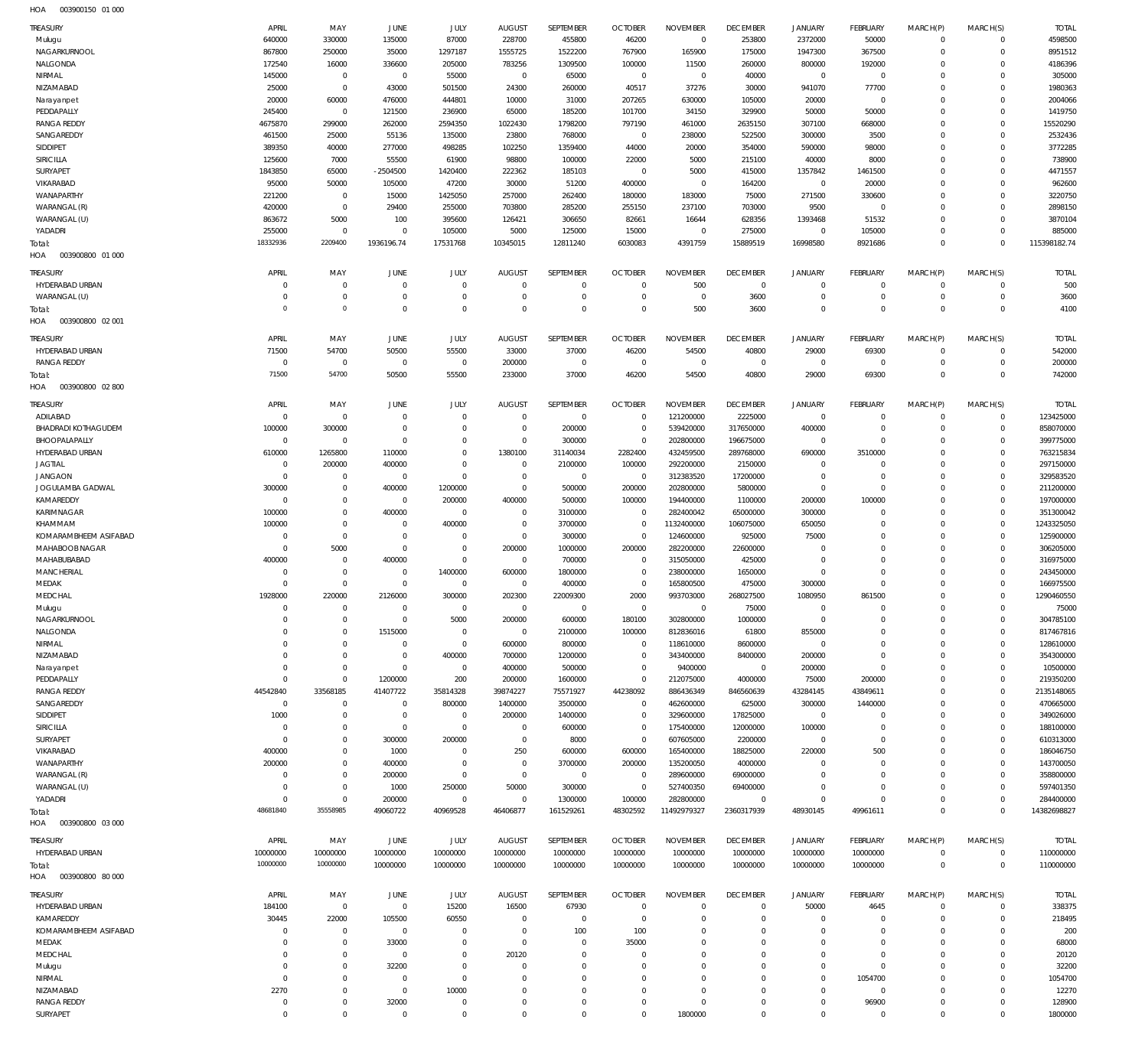| HOA | 003900150 01 000 |  |
|-----|------------------|--|

| <b>TREASURY</b>                    | APRIL                        | MAY                                | JUNE                             | JULY                       | <b>AUGUST</b>                 | SEPTEMBER            | <b>OCTOBER</b>                   | <b>NOVEMBER</b>               | <b>DECEMBER</b>                 | <b>JANUARY</b>           | <b>FEBRUARY</b>          | MARCH(P)                | MARCH(S)                   | <b>TOTAL</b>            |
|------------------------------------|------------------------------|------------------------------------|----------------------------------|----------------------------|-------------------------------|----------------------|----------------------------------|-------------------------------|---------------------------------|--------------------------|--------------------------|-------------------------|----------------------------|-------------------------|
| Mulugu                             | 640000                       | 330000                             | 135000                           | 87000                      | 228700                        | 455800               | 46200                            | $\Omega$                      | 253800                          | 2372000                  | 50000                    | $\mathbf{0}$            | 0                          | 4598500                 |
| NAGARKURNOOL                       | 867800                       | 250000                             | 35000                            | 1297187                    | 1555725                       | 1522200              | 767900                           | 165900                        | 175000                          | 1947300                  | 367500                   | $\Omega$                | $\Omega$                   | 8951512                 |
| NALGONDA<br>NIRMAL                 | 172540<br>145000             | 16000<br>$\mathbf 0$               | 336600<br>$\overline{0}$         | 205000<br>55000            | 783256<br>$\overline{0}$      | 1309500<br>65000     | 100000<br>$\overline{0}$         | 11500<br>$\overline{0}$       | 260000<br>40000                 | 800000<br>$\overline{0}$ | 192000<br>$\overline{0}$ | $\Omega$<br>$\Omega$    | $\Omega$<br>$\Omega$       | 4186396<br>305000       |
| NIZAMABAD                          | 25000                        | $\mathbf 0$                        | 43000                            | 501500                     | 24300                         | 260000               | 40517                            | 37276                         | 30000                           | 941070                   | 77700                    | $\Omega$                | $\Omega$                   | 1980363                 |
| Narayanpet                         | 20000                        | 60000                              | 476000                           | 444801                     | 10000                         | 31000                | 207265                           | 630000                        | 105000                          | 20000                    | $\Omega$                 | $\Omega$                | $\Omega$                   | 2004066                 |
| PEDDAPALLY                         | 245400                       | $\mathbf 0$                        | 121500                           | 236900                     | 65000                         | 185200               | 101700                           | 34150                         | 329900                          | 50000                    | 50000                    | $\Omega$                | $\Omega$                   | 1419750                 |
| <b>RANGA REDDY</b><br>SANGAREDDY   | 4675870<br>461500            | 299000<br>25000                    | 262000<br>55136                  | 2594350<br>135000          | 1022430<br>23800              | 1798200<br>768000    | 797190<br>$\overline{0}$         | 461000<br>238000              | 2635150<br>522500               | 307100<br>300000         | 668000<br>3500           | $\Omega$<br>$\Omega$    | $\Omega$<br>$\Omega$       | 15520290<br>2532436     |
| SIDDIPET                           | 389350                       | 40000                              | 277000                           | 498285                     | 102250                        | 1359400              | 44000                            | 20000                         | 354000                          | 590000                   | 98000                    | $\Omega$                | $\Omega$                   | 3772285                 |
| <b>SIRICILLA</b>                   | 125600                       | 7000                               | 55500                            | 61900                      | 98800                         | 100000               | 22000                            | 5000                          | 215100                          | 40000                    | 8000                     | $\Omega$                | $\Omega$                   | 738900                  |
| <b>SURYAPET</b>                    | 1843850                      | 65000                              | $-2504500$                       | 1420400                    | 222362                        | 185103               | $\overline{0}$                   | 5000                          | 415000                          | 1357842                  | 1461500                  | $\Omega$                | $\Omega$                   | 4471557                 |
| VIKARABAD                          | 95000                        | 50000                              | 105000                           | 47200                      | 30000                         | 51200                | 400000                           | $^{\circ}$                    | 164200                          | $\Omega$                 | 20000                    | $\Omega$                | $\Omega$                   | 962600                  |
| WANAPARTHY<br>WARANGAL (R)         | 221200                       | $\mathbf 0$<br>$\mathbf 0$         | 15000                            | 1425050                    | 257000                        | 262400               | 180000                           | 183000                        | 75000                           | 271500                   | 330600                   | $\Omega$<br>$\Omega$    | $\Omega$<br>$\Omega$       | 3220750                 |
| WARANGAL (U)                       | 420000<br>863672             | 5000                               | 29400<br>100                     | 255000<br>395600           | 703800<br>126421              | 285200<br>306650     | 255150<br>82661                  | 237100<br>16644               | 703000<br>628356                | 9500<br>1393468          | $\overline{0}$<br>51532  | $\Omega$                | $\Omega$                   | 2898150<br>3870104      |
| YADADRI                            | 255000                       | $\mathbf 0$                        | $\overline{0}$                   | 105000                     | 5000                          | 125000               | 15000                            | $^{\circ}$                    | 275000                          | $\Omega$                 | 105000                   | $\Omega$                | $\Omega$                   | 885000                  |
| Total:                             | 18332936                     | 2209400                            | 1936196.74                       | 17531768                   | 10345015                      | 12811240             | 6030083                          | 4391759                       | 15889519                        | 16998580                 | 8921686                  | $\Omega$                | $\Omega$                   | 115398182.74            |
| HOA<br>003900800 01 000            |                              |                                    |                                  |                            |                               |                      |                                  |                               |                                 |                          |                          |                         |                            |                         |
| <b>TREASURY</b>                    | APRIL                        | MAY                                | <b>JUNE</b>                      | JULY                       | <b>AUGUST</b>                 | SEPTEMBER            | <b>OCTOBER</b>                   | <b>NOVEMBER</b>               | <b>DECEMBER</b>                 | <b>JANUARY</b>           | FEBRUARY                 | MARCH(P)                | MARCH(S)                   | <b>TOTAL</b>            |
| HYDERABAD URBAN                    | $\Omega$                     | $\mathbf 0$                        | $\overline{0}$                   | $\mathbf 0$                | $\mathbf 0$                   | $\mathbf 0$          | $\overline{0}$                   | 500                           | $\mathbf 0$                     | $\Omega$                 | $\Omega$                 | $^{\circ}$              | $\mathbf 0$                | 500                     |
| WARANGAL (U)                       | $^{\circ}$                   | $\bf 0$                            | $\overline{0}$                   | $\mathbf 0$                | $\mathbf 0$                   | $\bf 0$              | $\overline{0}$                   | $^{\circ}$                    | 3600                            | $^{\circ}$               | $\mathbf 0$              | $^{\circ}$              | 0                          | 3600                    |
| Total:<br>HOA<br>003900800 02 001  | $\circ$                      | $\mathbf 0$                        | $\overline{0}$                   | $\Omega$                   | $\Omega$                      | $\Omega$             | $\Omega$                         | 500                           | 3600                            | $\Omega$                 | $\Omega$                 | $\Omega$                | $\mathbf 0$                | 4100                    |
|                                    |                              |                                    |                                  |                            |                               |                      |                                  |                               |                                 |                          |                          |                         |                            |                         |
| <b>TREASURY</b><br>HYDERABAD URBAN | APRIL<br>71500               | MAY<br>54700                       | <b>JUNE</b><br>50500             | JULY<br>55500              | <b>AUGUST</b><br>33000        | SEPTEMBER<br>37000   | <b>OCTOBER</b><br>46200          | <b>NOVEMBER</b><br>54500      | <b>DECEMBER</b><br>40800        | <b>JANUARY</b><br>29000  | <b>FEBRUARY</b><br>69300 | MARCH(P)<br>$\Omega$    | MARCH(S)<br>0              | <b>TOTAL</b><br>542000  |
| <b>RANGA REDDY</b>                 | $\overline{0}$               | $\mathbf 0$                        | $\overline{0}$                   | $\overline{0}$             | 200000                        | $\overline{0}$       | $\overline{0}$                   | $\overline{0}$                | $^{\circ}$                      | $\Omega$                 | $\mathbf 0$              | $\Omega$                | $\mathbf 0$                | 200000                  |
| Total:                             | 71500                        | 54700                              | 50500                            | 55500                      | 233000                        | 37000                | 46200                            | 54500                         | 40800                           | 29000                    | 69300                    | $\Omega$                | $\Omega$                   | 742000                  |
| 003900800 02 800<br>HOA            |                              |                                    |                                  |                            |                               |                      |                                  |                               |                                 |                          |                          |                         |                            |                         |
| <b>TREASURY</b>                    | APRIL                        | MAY                                | JUNE                             | JULY                       | <b>AUGUST</b>                 | SEPTEMBER            | <b>OCTOBER</b>                   | <b>NOVEMBER</b>               | <b>DECEMBER</b>                 | <b>JANUARY</b>           | <b>FEBRUARY</b>          | MARCH(P)                | MARCH(S)                   | <b>TOTAL</b>            |
| ADILABAD                           | $\overline{0}$               | $\mathbf{0}$                       | $\overline{0}$                   | $^{\circ}$                 | $\mathbf{0}$                  | $\overline{0}$       | $^{\circ}$                       | 121200000                     | 2225000                         | $\overline{0}$           | $\overline{0}$           | $\overline{0}$          | $\mathbf 0$                | 123425000               |
| BHADRADI KOTHAGUDEM                | 100000                       | 300000                             | $\overline{0}$                   | $\mathbf 0$                | $\overline{0}$                | 200000               | $\overline{0}$                   | 539420000                     | 317650000                       | 400000                   | $\mathbf 0$              | $\mathbf 0$             | $\mathbf 0$                | 858070000               |
| BHOOPALAPALLY                      | $\mathbf 0$                  | $\mathbf 0$                        | $\overline{0}$                   | $\Omega$<br>$\Omega$       | $\overline{0}$                | 300000               | $\overline{0}$                   | 202800000                     | 196675000                       | $\overline{0}$           | $\overline{0}$           | $\Omega$                | $\mathbf 0$                | 399775000               |
| HYDERABAD URBAN<br><b>JAGTIAL</b>  | 610000<br>$^{\circ}$         | 1265800<br>200000                  | 110000<br>400000                 | $\Omega$                   | 1380100<br>$\overline{0}$     | 31140034<br>2100000  | 2282400<br>100000                | 432459500<br>292200000        | 289768000<br>2150000            | 690000<br>$\Omega$       | 3510000<br>$\Omega$      | $\Omega$<br>$\Omega$    | $\mathbf 0$<br>$\mathbf 0$ | 763215834<br>297150000  |
| <b>JANGAON</b>                     | $^{\circ}$                   | $\mathbf 0$                        | $\overline{0}$                   | $\mathbf 0$                | $\overline{0}$                | $\overline{0}$       | $\overline{0}$                   | 312383520                     | 17200000                        | $\Omega$                 | $\Omega$                 | $\Omega$                | $\mathbf 0$                | 329583520               |
| JOGULAMBA GADWAL                   | 300000                       | $\mathsf{O}\xspace$                | 400000                           | 1200000                    | $\overline{0}$                | 500000               | 200000                           | 202800000                     | 5800000                         | $\Omega$                 | $\overline{0}$           | $\Omega$                | $\mathbf 0$                | 211200000               |
| KAMAREDDY                          | $^{\circ}$                   | $\mathbf 0$                        | $\overline{0}$                   | 200000                     | 400000                        | 500000               | 100000                           | 194400000                     | 1100000                         | 200000                   | 100000                   | $\Omega$                | $\mathbf 0$                | 197000000               |
| KARIMNAGAR                         | 100000                       | $\mathbf 0$                        | 400000                           | $\mathbf 0$                | $\overline{0}$                | 3100000              | $\overline{0}$                   | 282400042                     | 65000000                        | 300000                   | $\Omega$                 | $\Omega$                | $\mathbf 0$                | 351300042               |
| KHAMMAM<br>KOMARAMBHEEM ASIFABAD   | 100000<br>$^{\circ}$         | $\mathbf 0$<br>$\mathsf{O}\xspace$ | $\overline{0}$<br>$\overline{0}$ | 400000<br>$\mathbf 0$      | $\overline{0}$<br>$\mathbf 0$ | 3700000<br>300000    | $\overline{0}$<br>$\overline{0}$ | 1132400000<br>124600000       | 106075000<br>925000             | 650050<br>75000          | $\Omega$<br>$\mathbf 0$  | $\Omega$<br>$\Omega$    | $\mathbf 0$<br>$\mathbf 0$ | 1243325050<br>125900000 |
| MAHABOOB NAGAR                     | $^{\circ}$                   | 5000                               | $\overline{0}$                   | $\mathbf 0$                | 200000                        | 1000000              | 200000                           | 282200000                     | 22600000                        | $\Omega$                 | $\Omega$                 | $\Omega$                | $\mathbf 0$                | 306205000               |
| MAHABUBABAD                        | 400000                       | $\bf 0$                            | 400000                           | $\mathbf 0$                | $\overline{0}$                | 700000               | $^{\circ}$                       | 315050000                     | 425000                          | $\Omega$                 | $\Omega$                 | $\Omega$                | $\mathbf 0$                | 316975000               |
| MANCHERIAL                         | $\Omega$                     | $\mathbf 0$                        | $\overline{0}$                   | 1400000                    | 600000                        | 1800000              | $\overline{0}$                   | 238000000                     | 1650000                         | $\Omega$                 | $\Omega$                 | $\Omega$                | $\mathbf 0$                | 243450000               |
| MEDAK                              | $\Omega$                     | $\mathbf 0$                        | $\overline{0}$                   | $\mathbf 0$                | $\overline{0}$                | 400000               | $\overline{0}$                   | 165800500                     | 475000                          | 300000                   | $\overline{0}$           | $\Omega$                | $\mathbf 0$                | 166975500               |
| MEDCHAL                            | 1928000<br>$\Omega$          | 220000<br>$\Omega$                 | 2126000<br>$\Omega$              | 300000<br>$\Omega$         | 202300<br>$\Omega$            | 22009300<br>$\Omega$ | 2000<br>$\Omega$                 | 993703000<br>$\Omega$         | 268027500<br>75000              | 1080950<br>$\Omega$      | 861500<br>$\Omega$       | $\Omega$<br>$\Omega$    | $\Omega$<br>$\Omega$       | 1290460550<br>75000     |
| Mulugu<br>NAGARKURNOOL             | $\mathbf 0$                  | $\mathbf 0$                        | $\overline{0}$                   | 5000                       | 200000                        | 600000               | 180100                           | 302800000                     | 1000000                         | $\Omega$                 | $\Omega$                 | $\Omega$                | $\mathbf 0$                | 304785100               |
| NALGONDA                           | $^{\circ}$                   | $\mathbf 0$                        | 1515000                          | $\overline{0}$             | $\overline{0}$                | 2100000              | 100000                           | 812836016                     | 61800                           | 855000                   | $\mathbf 0$              | $\Omega$                | $\mathbf 0$                | 817467816               |
| NIRMAL                             | $\Omega$                     | $\mathbf 0$                        | $\overline{0}$                   | $\mathbf 0$                | 600000                        | 800000               | $\overline{0}$                   | 118610000                     | 8600000                         | $^{\circ}$               | $\Omega$                 | $\Omega$                | $\mathbf 0$                | 128610000               |
| NIZAMABAD                          | $\Omega$                     | $\mathbf 0$                        | $\overline{0}$                   | 400000                     | 700000                        | 1200000              | $\overline{0}$                   | 343400000                     | 8400000                         | 200000                   | $\mathbf 0$              | $\Omega$                | $\mathbf 0$                | 354300000               |
| Narayanpet                         | $^{\circ}$<br>$\overline{0}$ | $\mathbf 0$<br>$\mathbf 0$         | $\overline{0}$                   | $\overline{0}$             | 400000                        | 500000               | $\Omega$<br>$\overline{0}$       | 9400000                       | $\mathbf 0$                     | 200000                   | $\mathbf 0$              | $\Omega$                | $\mathbf 0$<br>$\mathbf 0$ | 10500000                |
| PEDDAPALLY<br><b>RANGA REDDY</b>   | 44542840                     | 33568185                           | 1200000<br>41407722              | 200<br>35814328            | 200000<br>39874227            | 1600000<br>75571927  | 44238092                         | 212075000<br>886436349        | 4000000<br>846560639            | 75000<br>43284145        | 200000<br>43849611       | $\Omega$<br>$\Omega$    | $\mathbf 0$                | 219350200<br>2135148065 |
| SANGAREDDY                         | $^{\circ}$                   | $\mathbf 0$                        | $\overline{0}$                   | 800000                     | 1400000                       | 3500000              | $^{\circ}$                       | 462600000                     | 625000                          | 300000                   | 1440000                  | $\Omega$                | $\mathbf 0$                | 470665000               |
| SIDDIPET                           | 1000                         | $\bf 0$                            | $\overline{0}$                   | $\overline{0}$             | 200000                        | 1400000              | $\overline{0}$                   | 329600000                     | 17825000                        | $\overline{0}$           | $\mathbf 0$              | $\Omega$                | $\mathbf 0$                | 349026000               |
| SIRICILLA                          | $\Omega$                     | $\mathbf 0$                        | $\overline{0}$                   | $\mathbf 0$                | $\overline{0}$                | 600000               | $\overline{0}$                   | 175400000                     | 12000000                        | 100000                   | $\mathbf 0$              | $\Omega$                | $\mathbf 0$                | 188100000               |
| SURYAPET                           | $^{\circ}$                   | $\mathbf 0$<br>$\mathbf 0$         | 300000                           | 200000                     | $\overline{0}$                | 8000                 | $\overline{0}$                   | 607605000                     | 2200000                         | $^{\circ}$               | $\Omega$                 | $\Omega$                | $\mathbf 0$<br>$\mathbf 0$ | 610313000               |
| VIKARABAD<br>WANAPARTHY            | 400000<br>200000             | $\mathbf 0$                        | 1000<br>400000                   | $\mathbf 0$<br>$\mathbf 0$ | 250<br>$\mathbf 0$            | 600000<br>3700000    | 600000<br>200000                 | 165400000<br>135200050        | 18825000<br>4000000             | 220000<br>$\Omega$       | 500<br>$\Omega$          | $\Omega$<br>$\Omega$    | $\mathbf 0$                | 186046750<br>143700050  |
| WARANGAL (R)                       | $^{\circ}$                   | $\mathbf 0$                        | 200000                           | $\mathbf 0$                | $\overline{0}$                | $\overline{0}$       | $^{\circ}$                       | 289600000                     | 69000000                        | $\Omega$                 | $\Omega$                 | -C                      | $\mathbf 0$                | 358800000               |
| WARANGAL (U)                       | $^{\circ}$                   | $\mathbf 0$                        | 1000                             | 250000                     | 50000                         | 300000               | $\overline{0}$                   | 527400350                     | 69400000                        | $\Omega$                 | $\Omega$                 | $\Omega$                | $\mathbf 0$                | 597401350               |
| YADADRI                            | $\overline{0}$               | $\mathbf 0$                        | 200000                           | $\mathbf 0$                | $\mathbf 0$                   | 1300000              | 100000                           | 282800000                     | $\mathbf 0$                     | $\Omega$                 | $\Omega$                 | $\Omega$                | $\mathbf 0$                | 284400000               |
| Total:                             | 48681840                     | 35558985                           | 49060722                         | 40969528                   | 46406877                      | 161529261            | 48302592                         | 11492979327                   | 2360317939                      | 48930145                 | 49961611                 | $\Omega$                | $\mathbf 0$                | 14382698827             |
| 003900800 03 000<br>HOA            |                              |                                    |                                  |                            |                               |                      |                                  |                               |                                 |                          |                          |                         |                            |                         |
| <b>TREASURY</b>                    | APRIL                        | MAY                                | JUNE                             | JULY                       | <b>AUGUST</b>                 | SEPTEMBER            | <b>OCTOBER</b>                   | <b>NOVEMBER</b>               | <b>DECEMBER</b>                 | <b>JANUARY</b>           | <b>FEBRUARY</b>          | MARCH(P)                | MARCH(S)                   | <b>TOTAL</b>            |
| HYDERABAD URBAN                    | 10000000<br>10000000         | 10000000<br>10000000               | 10000000<br>10000000             | 10000000<br>10000000       | 10000000<br>10000000          | 10000000<br>10000000 | 10000000<br>10000000             | 10000000<br>10000000          | 10000000<br>10000000            | 10000000<br>10000000     | 10000000<br>10000000     | $\Omega$<br>$\mathbf 0$ | $\mathbf 0$<br>$\mathbf 0$ | 110000000<br>110000000  |
| Total:<br>003900800 80 000<br>HOA  |                              |                                    |                                  |                            |                               |                      |                                  |                               |                                 |                          |                          |                         |                            |                         |
|                                    |                              |                                    |                                  |                            |                               |                      |                                  |                               |                                 |                          |                          |                         |                            |                         |
| <b>TREASURY</b><br>HYDERABAD URBAN | APRIL<br>184100              | MAY<br>$\mathbf 0$                 | JUNE<br>$\overline{0}$           | JULY<br>15200              | <b>AUGUST</b><br>16500        | SEPTEMBER<br>67930   | <b>OCTOBER</b><br>$\overline{0}$ | <b>NOVEMBER</b><br>$^{\circ}$ | <b>DECEMBER</b><br>$\mathbf{0}$ | <b>JANUARY</b><br>50000  | <b>FEBRUARY</b><br>4645  | MARCH(P)<br>$^{\circ}$  | MARCH(S)<br>$\mathbf 0$    | <b>TOTAL</b><br>338375  |
| KAMAREDDY                          | 30445                        | 22000                              | 105500                           | 60550                      | $\overline{0}$                | $\overline{0}$       | $\overline{0}$                   | $\Omega$                      | $\Omega$                        | $\Omega$                 | $\mathbf 0$              | $\Omega$                | $\mathbf 0$                | 218495                  |
| KOMARAMBHEEM ASIFABAD              | $^{\circ}$                   | $\mathbf 0$                        | $\overline{0}$                   | $\mathbf 0$                | $\overline{0}$                | 100                  | 100                              | $\Omega$                      | $\Omega$                        | $\Omega$                 | $\Omega$                 | $\Omega$                | $\Omega$                   | 200                     |
| MEDAK                              | $\Omega$                     | $\mathbf 0$                        | 33000                            | $\mathbf 0$                | $\overline{0}$                | $^{\circ}$           | 35000                            | $\Omega$                      | $\Omega$                        | $\Omega$                 | $\Omega$                 | $\Omega$                | $\Omega$                   | 68000                   |
| MEDCHAL                            | $\Omega$                     | $\mathbf 0$                        | $\overline{0}$                   | $\mathbf 0$                | 20120                         | 0                    | $\overline{0}$                   | $\Omega$                      | $\Omega$                        | $\Omega$                 | $\Omega$                 | $\Omega$                | $\Omega$                   | 20120                   |
| Mulugu                             | $\Omega$                     | $\mathbf 0$<br>$\mathbf 0$         | 32200                            | $\mathbf 0$<br>$\mathbf 0$ | $\overline{0}$<br>$\Omega$    | 0<br>$\Omega$        | $\overline{0}$<br>$\Omega$       | $\Omega$<br>$\Omega$          | $\Omega$<br>$\Omega$            | $\Omega$<br>$\Omega$     | $\Omega$                 | $\Omega$<br>$\Omega$    | $\Omega$<br>$\Omega$       | 32200                   |
| NIRMAL<br>NIZAMABAD                | $^{\circ}$<br>2270           | $\mathbf 0$                        | $\overline{0}$<br>$\overline{0}$ | 10000                      | $\overline{0}$                | 0                    | $\overline{0}$                   | $\Omega$                      | $\Omega$                        | $\Omega$                 | 1054700<br>$\mathbf 0$   | $\Omega$                | $\mathbf 0$                | 1054700<br>12270        |
| <b>RANGA REDDY</b>                 | $\mathbf 0$                  | $\mathsf{O}\xspace$                | 32000                            | 0                          | $\mathbf 0$                   | 0                    | $\overline{0}$                   | $^{\circ}$                    | $\mathbf{0}$                    | $\Omega$                 | 96900                    | $^{\circ}$              | $\mathbf 0$                | 128900                  |
| SURYAPET                           | $\Omega$                     | $\Omega$                           | $\overline{0}$                   | $\mathbf 0$                | $\Omega$                      | $\Omega$             | $\Omega$                         | 1800000                       | $\overline{0}$                  | $\Omega$                 | $\mathbf 0$              | $\Omega$                | $\Omega$                   | 1800000                 |
|                                    |                              |                                    |                                  |                            |                               |                      |                                  |                               |                                 |                          |                          |                         |                            |                         |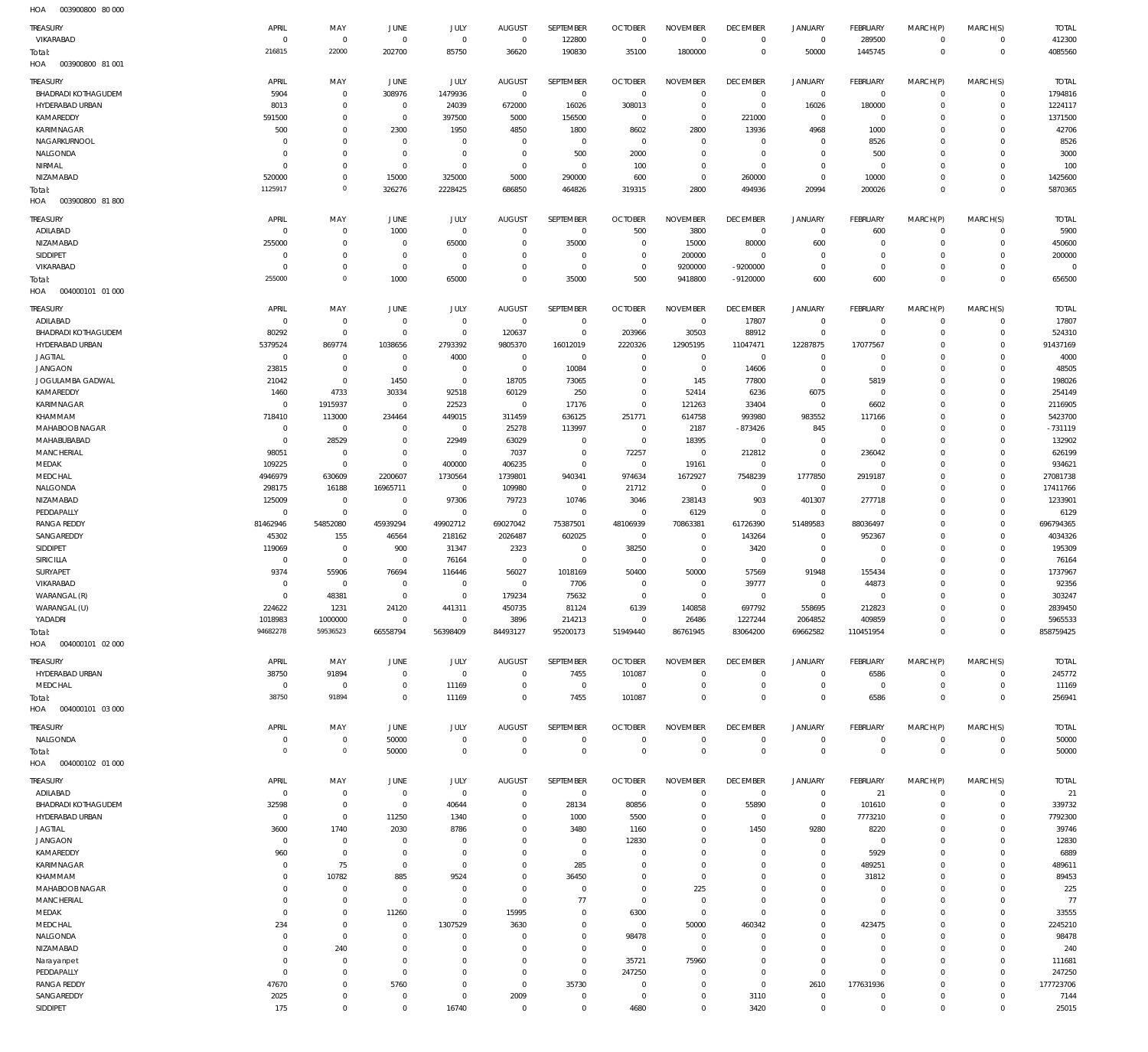003900800 80 000 HOA

| ,,,,,<br>TREASURY                                    | APRIL                | MAY                              | JUNE                          | JULY                        | <b>AUGUST</b>              | SEPTEMBER                  | <b>OCTOBER</b>                | <b>NOVEMBER</b>               | <b>DECEMBER</b>                  | <b>JANUARY</b>                | <b>FEBRUARY</b>                  | MARCH(P)               | MARCH(S)                      | <b>TOTAL</b>             |
|------------------------------------------------------|----------------------|----------------------------------|-------------------------------|-----------------------------|----------------------------|----------------------------|-------------------------------|-------------------------------|----------------------------------|-------------------------------|----------------------------------|------------------------|-------------------------------|--------------------------|
| VIKARABAD                                            | $\Omega$             | $\mathbf 0$                      | $\mathbf{0}$                  | $\mathbf 0$                 | $\mathbf 0$                | 122800                     | $\overline{0}$                | $\overline{0}$                | $\overline{0}$                   | $\overline{0}$                | 289500                           | $^{\circ}$             | $\mathbf 0$                   | 412300                   |
| Total:                                               | 216815               | 22000                            | 202700                        | 85750                       | 36620                      | 190830                     | 35100                         | 1800000                       | $\overline{0}$                   | 50000                         | 1445745                          | $\mathbf 0$            | $\mathbf 0$                   | 4085560                  |
| HOA<br>003900800 81 001                              |                      |                                  |                               |                             |                            |                            |                               |                               |                                  |                               |                                  |                        |                               |                          |
| TREASURY                                             | APRIL                | MAY                              | JUNE                          | JULY                        | <b>AUGUST</b>              | SEPTEMBER                  | <b>OCTOBER</b>                | <b>NOVEMBER</b>               | <b>DECEMBER</b>                  | <b>JANUARY</b>                | <b>FEBRUARY</b>                  | MARCH(P)               | MARCH(S)                      | <b>TOTAL</b>             |
| <b>BHADRADI KOTHAGUDEM</b><br><b>HYDERABAD URBAN</b> | 5904                 | $\overline{0}$<br>$\mathbf 0$    | 308976<br>$\mathbf 0$         | 1479936                     | $\mathbb O$                | $\overline{0}$             | $\overline{0}$                | $\mathbf 0$<br>$\overline{0}$ | $\overline{0}$                   | $\overline{0}$                | $\overline{0}$                   | $^{\circ}$<br>$\Omega$ | $\mathbf 0$<br>$\mathbf 0$    | 1794816<br>1224117       |
| KAMAREDDY                                            | 8013<br>591500       | $\overline{0}$                   | $\,0\,$                       | 24039<br>397500             | 672000<br>5000             | 16026<br>156500            | 308013<br>$\overline{0}$      | $\mathbf 0$                   | $\overline{0}$<br>221000         | 16026<br>$\overline{0}$       | 180000<br>$\mathbb O$            | $\Omega$               | $\Omega$                      | 1371500                  |
| KARIMNAGAR                                           | 500                  | $\mathbf 0$                      | 2300                          | 1950                        | 4850                       | 1800                       | 8602                          | 2800                          | 13936                            | 4968                          | 1000                             | $\Omega$               | $\Omega$                      | 42706                    |
| NAGARKURNOOL                                         | $\Omega$             | $\mathbf 0$                      | $\mathbf 0$                   | $\mathbf 0$                 | $\mathbf 0$                | $\overline{0}$             | $\overline{0}$                | $\mathbf 0$                   | $\overline{0}$                   | $\mathbf 0$                   | 8526                             | $\Omega$               | $\Omega$                      | 8526                     |
| NALGONDA                                             | - 0                  | $\mathbf 0$                      | $\mathbf{0}$                  | $\mathbf 0$                 | $^{\circ}$                 | 500                        | 2000                          | $\mathbf 0$                   | $\overline{0}$                   | $\mathbf 0$                   | 500                              | $\Omega$               | $\Omega$                      | 3000                     |
| NIRMAL<br>NIZAMABAD                                  | $\Omega$<br>520000   | $\overline{0}$<br>$\mathbf 0$    | $\mathbf 0$<br>15000          | $\mathbf 0$<br>325000       | $\mathbf 0$<br>5000        | $\overline{0}$<br>290000   | 100<br>600                    | $\mathbf 0$<br>$\mathbf 0$    | $\overline{0}$<br>260000         | $\mathbf 0$<br>$\mathbf 0$    | $\mathbb O$<br>10000             | $\Omega$<br>$\Omega$   | $\Omega$<br>$\Omega$          | 100<br>1425600           |
| Total:                                               | 1125917              | $\mathbf{0}$                     | 326276                        | 2228425                     | 686850                     | 464826                     | 319315                        | 2800                          | 494936                           | 20994                         | 200026                           | $\overline{0}$         | $\mathbf{0}$                  | 5870365                  |
| HOA<br>003900800 81800                               |                      |                                  |                               |                             |                            |                            |                               |                               |                                  |                               |                                  |                        |                               |                          |
| TREASURY                                             | APRIL                | MAY                              | JUNE                          | JULY                        | <b>AUGUST</b>              | SEPTEMBER                  | <b>OCTOBER</b>                | <b>NOVEMBER</b>               | <b>DECEMBER</b>                  | <b>JANUARY</b>                | <b>FEBRUARY</b>                  | MARCH(P)               | MARCH(S)                      | <b>TOTAL</b>             |
| ADILABAD                                             | $\Omega$             | $\mathbf 0$                      | 1000                          | $\mathbf 0$                 | $\mathbf 0$                | $\mathbf 0$                | 500                           | 3800                          | $\overline{0}$                   | $\overline{0}$                | 600                              | $\Omega$               | $\Omega$                      | 5900                     |
| NIZAMABAD                                            | 255000               | $\overline{0}$                   | $\mathbf 0$                   | 65000                       | 0                          | 35000                      | $\overline{0}$                | 15000                         | 80000                            | 600                           | $\circ$                          | $\Omega$               | $\mathbf 0$                   | 450600                   |
| SIDDIPET                                             | $\Omega$             | $\mathbf 0$                      | $\overline{0}$                | $^{\circ}$                  | $\Omega$                   | $^{\circ}$                 | $\overline{0}$                | 200000                        | $\mathbf 0$                      | $\mathbf 0$                   | $\overline{0}$                   | $\Omega$               | $\Omega$                      | 200000                   |
| VIKARABAD<br>Total:                                  | $\Omega$<br>255000   | $\mathbf 0$<br>$\mathbf 0$       | $\mathbf 0$<br>1000           | $\mathbf 0$<br>65000        | $\Omega$<br>$\Omega$       | $\mathbf 0$<br>35000       | $\mathbf{0}$<br>500           | 9200000<br>9418800            | -9200000<br>$-9120000$           | $\mathbf 0$<br>600            | $\mathbf 0$<br>600               | $\Omega$<br>$\Omega$   | $\mathbf 0$<br>$\overline{0}$ | $\overline{0}$<br>656500 |
| HOA<br>004000101 01 000                              |                      |                                  |                               |                             |                            |                            |                               |                               |                                  |                               |                                  |                        |                               |                          |
| TREASURY                                             | APRIL                | MAY                              | JUNE                          | JULY                        | <b>AUGUST</b>              | SEPTEMBER                  | <b>OCTOBER</b>                | <b>NOVEMBER</b>               | <b>DECEMBER</b>                  | <b>JANUARY</b>                | <b>FEBRUARY</b>                  | MARCH(P)               | MARCH(S)                      | <b>TOTAL</b>             |
| ADILABAD                                             | $\Omega$             | $\overline{0}$                   | $\mathbf 0$                   | $\mathbf 0$                 | $\mathbb O$                | $\mathbb O$                | $\overline{0}$                | $\overline{0}$                | 17807                            | $\overline{0}$                | $\mathbb O$                      | $^{\circ}$             | $\mathbf 0$                   | 17807                    |
| <b>BHADRADI KOTHAGUDEM</b>                           | 80292                | $\mathbf 0$                      | $^{\circ}$                    | $\mathbf 0$                 | 120637                     | $\mathbf 0$                | 203966                        | 30503                         | 88912                            | $\mathbf 0$                   | $\mathbf 0$                      | $\Omega$               | $\mathbf 0$                   | 524310                   |
| HYDERABAD URBAN                                      | 5379524              | 869774                           | 1038656                       | 2793392                     | 9805370                    | 16012019                   | 2220326                       | 12905195                      | 11047471                         | 12287875                      | 17077567                         | $\Omega$               | $\mathbf 0$                   | 91437169                 |
| <b>JAGTIAL</b>                                       | $^{\circ}$           | $\overline{0}$                   | $^{\circ}$                    | 4000                        | $\mathbf 0$                | $\mathbf 0$                | $\overline{0}$                | $\overline{0}$                | $\overline{0}$                   | $\mathbf 0$                   | $\overline{0}$                   | $\Omega$               | $\Omega$                      | 4000                     |
| <b>JANGAON</b><br>JOGULAMBA GADWAL                   | 23815<br>21042       | $\overline{0}$<br>$\overline{0}$ | $\mathbf{0}$<br>1450          | $\mathbf 0$<br>$\mathbf 0$  | $\mathbf 0$<br>18705       | 10084<br>73065             | $\overline{0}$<br>0           | $\overline{0}$<br>145         | 14606<br>77800                   | $\mathbf 0$<br>$\mathbf 0$    | $\mathbb O$<br>5819              | $\Omega$<br>$\Omega$   | $\Omega$<br>$\Omega$          | 48505<br>198026          |
| KAMAREDDY                                            | 1460                 | 4733                             | 30334                         | 92518                       | 60129                      | 250                        | $\mathbf{0}$                  | 52414                         | 6236                             | 6075                          | $\mathbf 0$                      | $\Omega$               | $\Omega$                      | 254149                   |
| KARIMNAGAR                                           | $^{\circ}$           | 1915937                          | $\mathbf{0}$                  | 22523                       | $\mathbb O$                | 17176                      | $\mathbf 0$                   | 121263                        | 33404                            | $\overline{0}$                | 6602                             | $\Omega$               | $\Omega$                      | 2116905                  |
| KHAMMAM                                              | 718410               | 113000                           | 234464                        | 449015                      | 311459                     | 636125                     | 251771                        | 614758                        | 993980                           | 983552                        | 117166                           | $\Omega$               | $\Omega$                      | 5423700                  |
| MAHABOOB NAGAR                                       | $^{\circ}$           | $\overline{0}$                   | $^{\circ}$                    | $\mathbf 0$                 | 25278                      | 113997                     | $\overline{0}$                | 2187                          | $-873426$                        | 845                           | $\circ$                          | $\Omega$               | $\Omega$                      | $-731119$                |
| MAHABUBABAD<br>MANCHERIAL                            | $\Omega$<br>98051    | 28529<br>$\overline{0}$          | $\mathbf 0$<br>$\mathbf 0$    | 22949<br>$\mathbf 0$        | 63029<br>7037              | $\mathbf 0$<br>$\mathbb O$ | $\overline{0}$<br>72257       | 18395<br>$\,0\,$              | $\overline{0}$<br>212812         | $\mathbf 0$<br>$\mathbf 0$    | $\mathbf 0$<br>236042            | $\Omega$<br>$\Omega$   | $\Omega$<br>$\Omega$          | 132902<br>626199         |
| MEDAK                                                | 109225               | $\overline{0}$                   | $\mathbf 0$                   | 400000                      | 406235                     | $\mathbf 0$                | $\overline{0}$                | 19161                         | $\overline{0}$                   | $\mathbf 0$                   | $\mathbb O$                      | $\Omega$               | $\Omega$                      | 934621                   |
| MEDCHAL                                              | 4946979              | 630609                           | 2200607                       | 1730564                     | 1739801                    | 940341                     | 974634                        | 1672927                       | 7548239                          | 1777850                       | 2919187                          | $\Omega$               | $\circ$                       | 27081738                 |
| NALGONDA                                             | 298175               | 16188                            | 16965711                      | $\mathbf 0$                 | 109980                     | $\overline{0}$             | 21712                         | $\overline{0}$                | $\overline{0}$                   | $\overline{0}$                | $\mathbb O$                      | $\Omega$               | $\Omega$                      | 17411766                 |
| NIZAMABAD                                            | 125009               | $\overline{0}$                   | $^{\circ}$                    | 97306                       | 79723                      | 10746                      | 3046                          | 238143                        | 903                              | 401307                        | 277718                           | $\Omega$               | $\Omega$                      | 1233901                  |
| PEDDAPALLY<br><b>RANGA REDDY</b>                     | $\Omega$<br>81462946 | $\,0\,$<br>54852080              | $\mathbf{0}$<br>45939294      | $\mathbf 0$<br>49902712     | $\mathbb O$<br>69027042    | $\mathbb O$<br>75387501    | $\overline{0}$<br>48106939    | 6129<br>70863381              | $\overline{0}$<br>61726390       | $\overline{0}$<br>51489583    | $\circ$<br>88036497              | $\Omega$<br>$\Omega$   | $\Omega$<br>$\mathbf 0$       | 6129<br>696794365        |
| SANGAREDDY                                           | 45302                | 155                              | 46564                         | 218162                      | 2026487                    | 602025                     | $\overline{0}$                | $\overline{0}$                | 143264                           | $\mathbf 0$                   | 952367                           | $\Omega$               | $\Omega$                      | 4034326                  |
| SIDDIPET                                             | 119069               | $\overline{0}$                   | 900                           | 31347                       | 2323                       | $\mathbf 0$                | 38250                         | $\overline{0}$                | 3420                             | $\mathbf 0$                   | $\overline{0}$                   | $\Omega$               | $\Omega$                      | 195309                   |
| SIRICILLA                                            | $^{\circ}$           | $\overline{0}$                   | $\mathbf 0$                   | 76164                       | $\mathbb O$                | $\mathbb O$                | $\overline{0}$                | $\overline{0}$                | $\overline{0}$                   | $\mathbf 0$                   | $\mathbf 0$                      | $\Omega$               | $\Omega$                      | 76164                    |
| SURYAPET                                             | 9374                 | 55906                            | 76694                         | 116446                      | 56027                      | 1018169                    | 50400                         | 50000                         | 57569                            | 91948                         | 155434                           | $\Omega$               | $\Omega$                      | 1737967                  |
| VIKARABAD<br>WARANGAL (R)                            | - 0<br>$\Omega$      | $\mathbf 0$<br>48381             | $^{\circ}$<br>$\mathbb O$     | $\mathbf{0}$<br>$\mathbf 0$ | $\mathbf 0$<br>179234      | 7706<br>75632              | $\mathbf 0$<br>$\overline{0}$ | $\mathbf 0$<br>$\mathbf 0$    | 39777<br>$\overline{0}$          | $\mathbf 0$<br>$\mathbf 0$    | 44873<br>$\mathbf 0$             | $\Omega$<br>$\Omega$   | $\Omega$<br>$\mathbf 0$       | 92356<br>303247          |
| WARANGAL (U)                                         | 224622               | 1231                             | 24120                         | 441311                      | 450735                     | 81124                      | 6139                          | 140858                        | 697792                           | 558695                        | 212823                           | $\Omega$               | $\cap$                        | 2839450                  |
| YADADRI                                              | 1018983              | 1000000                          | $^{\circ}$                    | $\mathbf{0}$                | 3896                       | 214213                     | $\mathbf 0$                   | 26486                         | 1227244                          | 2064852                       | 409859                           | $^{\circ}$             | $\mathbf 0$                   | 5965533                  |
| Total:                                               | 94682278             | 59536523                         | 66558794                      | 56398409                    | 84493127                   | 95200173                   | 51949440                      | 86761945                      | 83064200                         | 69662582                      | 110451954                        | $\mathbf 0$            | $\mathbb O$                   | 858759425                |
| HOA<br>004000101 02 000                              |                      |                                  |                               |                             |                            |                            |                               |                               |                                  |                               |                                  |                        |                               |                          |
| TREASURY                                             | APRIL                | MAY                              | JUNE                          | JULY                        | <b>AUGUST</b>              | SEPTEMBER                  | <b>OCTOBER</b>                | <b>NOVEMBER</b>               | <b>DECEMBER</b>                  | <b>JANUARY</b>                | <b>FEBRUARY</b>                  | MARCH(P)               | MARCH(S)                      | <b>TOTAL</b>             |
| <b>HYDERABAD URBAN</b><br>MEDCHAL                    | 38750<br>$\Omega$    | 91894<br>$\overline{0}$          | $\overline{0}$<br>$\mathbf 0$ | $\mathbf 0$<br>11169        | $\mathbf 0$<br>$\mathbf 0$ | 7455<br>$\mathbf 0$        | 101087<br>$\overline{0}$      | $\Omega$<br>$\mathbf 0$       | $\overline{0}$<br>$\overline{0}$ | $\overline{0}$<br>$\mathbf 0$ | 6586<br>$\mathbf 0$              | $\Omega$<br>$^{\circ}$ | $\mathbf 0$<br>$\mathbf 0$    | 245772<br>11169          |
| Total:                                               | 38750                | 91894                            | $\mathbb O$                   | 11169                       | $\mathbf{0}$               | 7455                       | 101087                        | $\mathbf 0$                   | $\mathbf 0$                      | $\mathbf 0$                   | 6586                             | $\Omega$               | $\mathbb O$                   | 256941                   |
| 004000101 03 000<br>HOA                              |                      |                                  |                               |                             |                            |                            |                               |                               |                                  |                               |                                  |                        |                               |                          |
| <b>TREASURY</b>                                      | APRIL                | MAY                              | JUNE                          | JULY                        | <b>AUGUST</b>              | SEPTEMBER                  | <b>OCTOBER</b>                | <b>NOVEMBER</b>               | <b>DECEMBER</b>                  | <b>JANUARY</b>                | FEBRUARY                         | MARCH(P)               | MARCH(S)                      | <b>TOTAL</b>             |
| NALGONDA                                             | 0                    | $\overline{0}$                   | 50000                         | $\mathbf 0$                 | $^{\circ}$                 | $\mathbf 0$                | $\overline{0}$                | $\mathbf 0$                   | $\overline{0}$                   | $\mathbf 0$                   | $\mathbb O$                      | $^{\circ}$             | $\mathbf 0$                   | 50000                    |
| Total:                                               | $\Omega$             | $\mathbf{0}$                     | 50000                         | $\mathbf 0$                 | $\mathbf 0$                | $\mathbf 0$                | $\overline{0}$                | $\overline{0}$                | $\overline{0}$                   | $\mathbf 0$                   | $\,0\,$                          | $\mathbf 0$            | $\,0\,$                       | 50000                    |
| HOA<br>004000102 01 000                              |                      |                                  |                               |                             |                            |                            |                               |                               |                                  |                               |                                  |                        |                               |                          |
| TREASURY                                             | APRIL                | MAY                              | JUNE                          | JULY                        | <b>AUGUST</b>              | SEPTEMBER                  | <b>OCTOBER</b>                | <b>NOVEMBER</b>               | <b>DECEMBER</b>                  | <b>JANUARY</b>                | <b>FEBRUARY</b>                  | MARCH(P)               | MARCH(S)                      | <b>TOTAL</b>             |
| ADILABAD                                             | $\Omega$             | $\overline{0}$                   | $\mathbf 0$                   | $\mathbf 0$                 | $\mathbf 0$                | $\mathbf 0$                | $\overline{0}$                | $\mathbf 0$<br>$\Omega$       | $\overline{0}$                   | $\mathbf 0$                   | 21                               | $\Omega$               | $\mathbf 0$                   | 21                       |
| <b>BHADRADI KOTHAGUDEM</b><br>HYDERABAD URBAN        | 32598<br>$^{\circ}$  | $\mathbf 0$<br>$\mathbf 0$       | $\mathbf 0$<br>11250          | 40644<br>1340               | $\Omega$<br>$\Omega$       | 28134<br>1000              | 80856<br>5500                 | $\mathbf 0$                   | 55890<br>$\overline{0}$          | $\mathbf 0$<br>$\mathbf 0$    | 101610<br>7773210                | $\Omega$<br>$\Omega$   | $\mathbf 0$<br>$\mathbf 0$    | 339732<br>7792300        |
| <b>JAGTIAL</b>                                       | 3600                 | 1740                             | 2030                          | 8786                        | $\Omega$                   | 3480                       | 1160                          | $\mathbf 0$                   | 1450                             | 9280                          | 8220                             | $\Omega$               | $\Omega$                      | 39746                    |
| <b>JANGAON</b>                                       | $\circ$              | $\mathbf 0$                      | $^{\circ}$                    | $\mathbf 0$                 | $\Omega$                   | $\mathbf 0$                | 12830                         | $\Omega$                      | $\mathbf 0$                      | $\mathbf 0$                   | $\circ$                          | $\Omega$               | $\Omega$                      | 12830                    |
| KAMAREDDY                                            | 960                  | $\mathbf 0$                      | $^{\circ}$                    | $^{\circ}$                  | $\Omega$                   | $\mathbf 0$                | $\mathbf 0$                   | $\mathbf 0$                   | $\mathbf 0$                      | $\mathbf 0$                   | 5929                             | $\Omega$               | $\Omega$                      | 6889                     |
| KARIMNAGAR                                           | $\Omega$             | 75                               | $\overline{0}$                | $\mathbf 0$                 | $\Omega$                   | 285                        | $\mathbf 0$                   | $\mathbf 0$                   | $\mathbf 0$                      | $\mathbf 0$                   | 489251                           | $\Omega$               | $\Omega$                      | 489611                   |
| KHAMMAM<br>MAHABOOB NAGAR                            | $\Omega$<br>$\Omega$ | 10782<br>$\overline{0}$          | 885<br>$\mathbf{0}$           | 9524<br>$\mathbf{0}$        | $\Omega$<br>0              | 36450<br>$\mathbf 0$       | $\mathbf 0$<br>$\mathbf 0$    | $\mathbf 0$<br>225            | $\mathbf 0$<br>$\mathbf 0$       | $\mathbf 0$<br>$\mathbf 0$    | 31812<br>$\circ$                 | $\Omega$<br>$\Omega$   | $\Omega$<br>$\Omega$          | 89453<br>225             |
| MANCHERIAL                                           | $\Omega$             | $\mathbf 0$                      | $^{\circ}$                    | $\mathbf 0$                 | $\mathbf 0$                | 77                         | $\overline{0}$                | $\mathbf 0$                   | $\mathbf 0$                      | $\mathbf 0$                   | $\mathbf 0$                      | $\Omega$               | $\Omega$                      | 77                       |
| MEDAK                                                | $\Omega$             | $\mathbf 0$                      | 11260                         | $\mathbf 0$                 | 15995                      | $\mathbf 0$                | 6300                          | $\overline{0}$                | $\overline{0}$                   | $\mathbf 0$                   | $\mathbf 0$                      | $\Omega$               | $\Omega$                      | 33555                    |
| MEDCHAL                                              | 234                  | $\mathbf 0$                      | $^{\circ}$                    | 1307529                     | 3630                       | $\mathbf 0$                | $\overline{0}$                | 50000                         | 460342                           | $\mathbf 0$                   | 423475                           | $\Omega$               | $\Omega$                      | 2245210                  |
| NALGONDA                                             | $\Omega$             | $\mathbf 0$                      | $\mathbf{0}$                  | $\mathbf 0$                 | $\Omega$                   | $\mathbf 0$                | 98478                         | $\overline{0}$                | $^{\circ}$                       | 0                             | $\overline{0}$                   | $\Omega$               | $\Omega$                      | 98478                    |
| NIZAMABAD<br>Narayanpet                              | $\Omega$<br>$\Omega$ | 240<br>$\overline{0}$            | $^{\circ}$<br>$\Omega$        | $\mathbf 0$<br>$\Omega$     | $\Omega$<br>$\Omega$       | $\mathbf 0$<br>$\mathbf 0$ | $^{\circ}$<br>35721           | $\mathbf 0$<br>75960          | $\mathbf 0$<br>$\mathbf 0$       | $\mathbf 0$<br>$\mathbf 0$    | $\overline{0}$<br>$\overline{0}$ | $\Omega$<br>$\Omega$   | $\Omega$<br>$\Omega$          | 240<br>111681            |
| PEDDAPALLY                                           | $\Omega$             | $\mathbf 0$                      | $\overline{0}$                | $\mathbf 0$                 | $\mathbf 0$                | $\mathbf 0$                | 247250                        | $\mathbf 0$                   | $\overline{0}$                   | $\mathbf 0$                   | $\Omega$                         | $\Omega$               | $\circ$                       | 247250                   |
| <b>RANGA REDDY</b>                                   | 47670                | $\mathbf 0$                      | 5760                          | $\mathbf 0$                 | $\mathbf 0$                | 35730                      | $\overline{0}$                | $\mathbf 0$                   | $\overline{0}$                   | 2610                          | 177631936                        | $\Omega$               | $\circ$                       | 177723706                |
| SANGAREDDY                                           | 2025                 | $\overline{0}$                   | $^{\circ}$                    | $\mathbf 0$                 | 2009                       | $\mathbf 0$                | $\overline{0}$                | $\mathbf 0$                   | 3110                             | $\mathbf 0$                   | $\overline{0}$                   | $\Omega$               | $\mathbf 0$                   | 7144                     |
| SIDDIPET                                             | 175                  | $\mathbf 0$                      | $\mathbf 0$                   | 16740                       | $\mathbf 0$                | $\mathbf 0$                | 4680                          | $\mathbf 0$                   | 3420                             | $\mathsf{O}\xspace$           | $\mathbf 0$                      | $\Omega$               | $\mathbf 0$                   | 25015                    |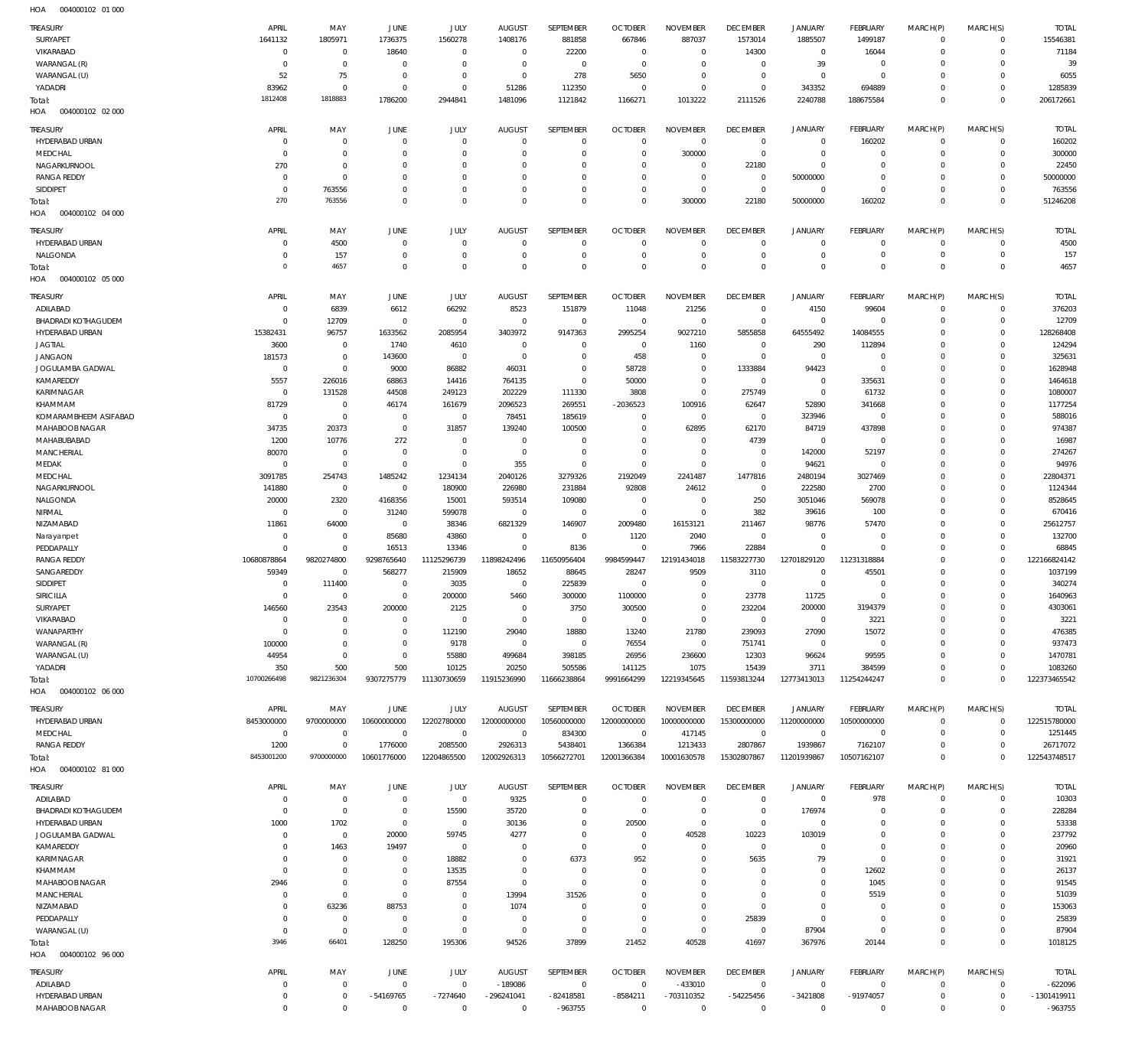| TREASURY                                      | APRIL                      | MAY                          | JUNE                             | JULY                       | <b>AUGUST</b>             | SEPTEMBER                  | <b>OCTOBER</b>                   | <b>NOVEMBER</b>               | <b>DECEMBER</b>                  | <b>JANUARY</b>             | <b>FEBRUARY</b>                  | MARCH(P)               | MARCH(S)                      | <b>TOTAL</b>             |
|-----------------------------------------------|----------------------------|------------------------------|----------------------------------|----------------------------|---------------------------|----------------------------|----------------------------------|-------------------------------|----------------------------------|----------------------------|----------------------------------|------------------------|-------------------------------|--------------------------|
| SURYAPET                                      | 1641132                    | 1805971                      | 1736375                          | 1560278                    | 1408176                   | 881858                     | 667846                           | 887037                        | 1573014                          | 1885507                    | 1499187                          | $\mathbf{0}$           | $\mathbf 0$                   | 15546381                 |
| VIKARABAD                                     | $\mathbf 0$                | $\mathbf 0$                  | 18640                            | $\mathbf 0$                | $^{\circ}$                | 22200                      | $^{\circ}$                       | $\mathbf 0$<br>$\mathbf 0$    | 14300                            | $\mathbf 0$<br>39          | 16044                            | $\Omega$<br>$\Omega$   | $\mathbf 0$<br>$\mathbf 0$    | 71184<br>39              |
| WARANGAL (R)<br>WARANGAL (U)                  | $\mathbf 0$<br>52          | $\mathbf 0$<br>75            | $\overline{0}$<br>$\overline{0}$ | $\mathbf 0$<br>$\mathbf 0$ | $\circ$<br>$\mathbf 0$    | $\mathbf{0}$<br>278        | $^{\circ}$<br>5650               | $\mathbf 0$                   | $^{\circ}$<br>$\mathbf 0$        | $\mathbf 0$                | $\overline{0}$<br>$\overline{0}$ | $\Omega$               | $\mathbf 0$                   | 6055                     |
| YADADRI                                       | 83962                      | $\mathbf 0$                  | $\overline{0}$                   | $\mathbf 0$                | 51286                     | 112350                     | $^{\circ}$                       | $\mathbf 0$                   | $\mathbf 0$                      | 343352                     | 694889                           | $\Omega$               | $\mathbf 0$                   | 1285839                  |
| Total:                                        | 1812408                    | 1818883                      | 1786200                          | 2944841                    | 1481096                   | 1121842                    | 1166271                          | 1013222                       | 2111526                          | 2240788                    | 188675584                        | $\Omega$               | $\overline{0}$                | 206172661                |
| HOA<br>004000102 02 000                       |                            |                              |                                  |                            |                           |                            |                                  |                               |                                  |                            |                                  |                        |                               |                          |
| TREASURY                                      | APRIL                      | MAY                          | JUNE                             | JULY                       | <b>AUGUST</b>             | SEPTEMBER                  | <b>OCTOBER</b>                   | <b>NOVEMBER</b>               | <b>DECEMBER</b>                  | <b>JANUARY</b>             | FEBRUARY                         | MARCH(P)               | MARCH(S)                      | <b>TOTAL</b>             |
| HYDERABAD URBAN                               | $\Omega$                   | $\mathbf 0$                  | $\overline{0}$                   | $\mathbf 0$                | $\mathbf 0$               | $\mathbf 0$                | $\mathbf 0$                      | $\mathbf 0$                   | $\overline{0}$                   | $\overline{0}$             | 160202                           | $\mathbf 0$            | $\mathbf 0$                   | 160202                   |
| MEDCHAL                                       | $\Omega$                   | $\mathbf 0$                  | 0                                | $\mathbf 0$                | 0                         | $\mathbf 0$                | $^{\circ}$                       | 300000                        | $\overline{0}$                   | $\mathbf 0$                | $^{\circ}$                       | 0                      | $\mathbf 0$                   | 300000                   |
| NAGARKURNOOL                                  | 270                        | $\mathbf 0$                  | $\mathbf 0$                      | $\mathbf 0$                | $\Omega$                  | $\mathbf 0$                | $\mathbf 0$                      | $\mathbf 0$                   | 22180                            | $\mathbf 0$                | $\overline{0}$                   | 0                      | $\mathbf 0$                   | 22450                    |
| <b>RANGA REDDY</b><br>SIDDIPET                | $\mathbf 0$<br>$\mathbf 0$ | $\mathbf 0$<br>763556        | 0<br>$\Omega$                    | $\mathbf 0$<br>$\mathbf 0$ | $\Omega$<br>$\Omega$      | $\mathbf 0$<br>$\mathbf 0$ | $^{\circ}$<br>$^{\circ}$         | $\mathbf 0$<br>$\mathbf 0$    | $\overline{0}$<br>$\overline{0}$ | 50000000<br>$\mathbf 0$    | $\overline{0}$<br>$\overline{0}$ | 0<br>$\Omega$          | $\mathbf 0$<br>$\mathbf 0$    | 50000000<br>763556       |
| Total:                                        | 270                        | 763556                       | $^{\circ}$                       | $\mathbf 0$                | $\Omega$                  | $\mathsf 0$                | $\mathbf 0$                      | 300000                        | 22180                            | 50000000                   | 160202                           | $\Omega$               | $\overline{0}$                | 51246208                 |
| HOA<br>004000102 04 000                       |                            |                              |                                  |                            |                           |                            |                                  |                               |                                  |                            |                                  |                        |                               |                          |
| TREASURY                                      | APRIL                      | MAY                          | JUNE                             | JULY                       | <b>AUGUST</b>             | SEPTEMBER                  | <b>OCTOBER</b>                   | <b>NOVEMBER</b>               | <b>DECEMBER</b>                  | <b>JANUARY</b>             | <b>FEBRUARY</b>                  | MARCH(P)               | MARCH(S)                      | <b>TOTAL</b>             |
| HYDERABAD URBAN                               | $\Omega$                   | 4500                         | $\overline{0}$                   | $\mathbf 0$                | $\mathbf 0$               | $\mathbf{0}$               | $^{\circ}$                       | $\mathbf 0$                   | $\mathbf{0}$                     | $\mathbf 0$                | $\overline{0}$                   | $^{\circ}$             | $\mathbf 0$                   | 4500                     |
| NALGONDA                                      | $\Omega$                   | 157                          | $\overline{0}$                   | $\mathbf 0$                | 0                         | $\mathbf 0$                | $^{\circ}$                       | $\overline{0}$                | $\mathbf 0$                      | $\mathbf 0$                | $\overline{0}$                   | $\mathbf 0$            | $\mathbf 0$                   | 157                      |
| Total:                                        | $\Omega$                   | 4657                         | $\Omega$                         | $\mathbf 0$                | $\Omega$                  | $\mathsf 0$                | $\mathbf 0$                      | $\mathbf 0$                   | $\mathbf 0$                      | $\mathbf 0$                | $\overline{0}$                   | $\mathbf 0$            | $\overline{0}$                | 4657                     |
| HOA<br>004000102 05 000                       |                            |                              |                                  |                            |                           |                            |                                  |                               |                                  |                            |                                  |                        |                               |                          |
| TREASURY                                      | APRIL                      | MAY                          | JUNE                             | JULY                       | <b>AUGUST</b>             | SEPTEMBER                  | <b>OCTOBER</b>                   | <b>NOVEMBER</b>               | <b>DECEMBER</b>                  | <b>JANUARY</b>             | FEBRUARY                         | MARCH(P)               | MARCH(S)                      | <b>TOTAL</b>             |
| ADILABAD                                      | $\Omega$                   | 6839                         | 6612                             | 66292                      | 8523                      | 151879                     | 11048                            | 21256                         | $\overline{0}$                   | 4150                       | 99604                            | $\mathbf{0}$           | $\mathbf 0$                   | 376203                   |
| <b>BHADRADI KOTHAGUDEM</b><br>HYDERABAD URBAN | 15382431                   | 12709<br>96757               | $\overline{0}$<br>1633562        | $\mathbf 0$<br>2085954     | $\overline{0}$<br>3403972 | $\mathbf 0$<br>9147363     | 0<br>2995254                     | $^{\circ}$<br>9027210         | $\overline{0}$<br>5855858        | $\mathbf 0$<br>64555492    | $\overline{0}$<br>14084555       | 0<br>0                 | $\mathbf 0$<br>$\mathbf 0$    | 12709<br>128268408       |
| <b>JAGTIAL</b>                                | 3600                       | $\mathbf 0$                  | 1740                             | 4610                       | $\mathbf 0$               | $\mathbf 0$                | $^{\circ}$                       | 1160                          | $\mathbf 0$                      | 290                        | 112894                           | $\Omega$               | $\mathbf 0$                   | 124294                   |
| <b>JANGAON</b>                                | 181573                     | $\mathbf 0$                  | 143600                           | $\mathbf 0$                | $^{\circ}$                | $\mathbf 0$                | 458                              | $\mathbf 0$                   | $\overline{0}$                   | $\mathbf 0$                | $\overline{0}$                   | $\Omega$               | $\mathbf 0$                   | 325631                   |
| JOGULAMBA GADWAL                              | $\mathbf 0$                | $\mathbb O$                  | 9000                             | 86882                      | 46031                     | $\mathbf 0$                | 58728                            | $\mathbf 0$                   | 1333884                          | 94423                      | $\overline{0}$                   | $\Omega$               | $\mathbf 0$                   | 1628948                  |
| KAMAREDDY                                     | 5557                       | 226016                       | 68863                            | 14416                      | 764135                    | $\mathbf 0$                | 50000                            | $\mathbf 0$                   | $^{\circ}$                       | $\mathbf 0$                | 335631                           | $\Omega$               | $\Omega$                      | 1464618                  |
| KARIMNAGAR                                    | $\mathbf 0$                | 131528                       | 44508                            | 249123                     | 202229                    | 111330                     | 3808                             | $\mathbf 0$                   | 275749                           | $\mathbf 0$                | 61732                            | $\Omega$               | $\mathbf 0$                   | 1080007                  |
| KHAMMAM<br>KOMARAMBHEEM ASIFABAD              | 81729<br>$\mathbf 0$       | $\mathbf 0$<br>$\mathbf 0$   | 46174<br>$\overline{0}$          | 161679<br>$\,0\,$          | 2096523<br>78451          | 269551<br>185619           | $-2036523$<br>$^{\circ}$         | 100916<br>$\mathbf 0$         | 62647<br>$\mathbf 0$             | 52890<br>323946            | 341668<br>$\overline{0}$         | $\Omega$<br>$\Omega$   | $\Omega$<br>$\mathbf 0$       | 1177254<br>588016        |
| MAHABOOB NAGAR                                | 34735                      | 20373                        | $\mathbb O$                      | 31857                      | 139240                    | 100500                     | $\mathbf 0$                      | 62895                         | 62170                            | 84719                      | 437898                           | $\Omega$               | $\mathbf 0$                   | 974387                   |
| MAHABUBABAD                                   | 1200                       | 10776                        | 272                              | $\mathbb O$                | $^{\circ}$                | $\mathbf 0$                | $\mathbf 0$                      | $\mathbf 0$                   | 4739                             | $\mathbf 0$                | $\overline{0}$                   | $\Omega$               | $\mathbf 0$                   | 16987                    |
| MANCHERIAL                                    | 80070                      | $\mathbf 0$                  | $\overline{0}$                   | $\mathbb O$                | $^{\circ}$                | $\mathbf 0$                | $\mathbf 0$                      | $\mathbf 0$                   | $\mathbf 0$                      | 142000                     | 52197                            | $\Omega$               | $\mathbf 0$                   | 274267                   |
| MEDAK                                         | $\Omega$                   | $\mathbf 0$                  | $\overline{0}$                   | $\mathbb O$                | 355                       | $\mathbf 0$                | $\mathbf 0$                      | $\mathbf 0$                   | $\mathbf 0$                      | 94621                      | $\overline{0}$                   | $\Omega$               | $\mathbf 0$                   | 94976                    |
| MEDCHAL                                       | 3091785                    | 254743                       | 1485242                          | 1234134                    | 2040126                   | 3279326                    | 2192049                          | 2241487                       | 1477816                          | 2480194                    | 3027469                          | $\Omega$               | $\mathbf 0$                   | 22804371                 |
| NAGARKURNOOL<br>NALGONDA                      | 141880<br>20000            | $\mathbf 0$<br>2320          | $\overline{0}$<br>4168356        | 180900<br>15001            | 226980<br>593514          | 231884<br>109080           | 92808<br>0                       | 24612<br>$^{\circ}$           | $^{\circ}$<br>250                | 222580<br>3051046          | 2700<br>569078                   | $\Omega$<br>$\Omega$   | $\mathbf 0$<br>$\mathbf 0$    | 1124344<br>8528645       |
| NIRMAL                                        | $\Omega$                   | $\mathbf 0$                  | 31240                            | 599078                     | $^{\circ}$                | $\mathbf 0$                | $^{\circ}$                       | $\mathbf 0$                   | 382                              | 39616                      | 100                              | $\Omega$               | $\mathbf 0$                   | 670416                   |
| NIZAMABAD                                     | 11861                      | 64000                        | $\overline{0}$                   | 38346                      | 6821329                   | 146907                     | 2009480                          | 16153121                      | 211467                           | 98776                      | 57470                            | $\Omega$               | $\mathbf 0$                   | 25612757                 |
| Narayanpet                                    | $\Omega$                   | $\mathbf 0$                  | 85680                            | 43860                      | $\mathbf 0$               | $\mathbf 0$                | 1120                             | 2040                          | $\mathbf 0$                      | $\mathbf 0$                | $\overline{0}$                   | $\Omega$               | $\mathbf 0$                   | 132700                   |
| PEDDAPALLY                                    | $\Omega$                   | $\mathbb O$                  | 16513                            | 13346                      | $\mathbf 0$               | 8136                       | $\overline{0}$                   | 7966                          | 22884                            | $\mathbf 0$                | $\overline{0}$                   | $\Omega$               | $\mathbf 0$                   | 68845                    |
| <b>RANGA REDDY</b>                            | 10680878864                | 9820274800<br>$\overline{0}$ | 9298765640                       | 11125296739                | 11898242496               | 11650956404                | 9984599447                       | 12191434018                   | 11583227730                      | 12701829120<br>$\mathbf 0$ | 11231318884                      | $\Omega$<br>$\Omega$   | $\mathbf 0$<br>$\Omega$       | 122166824142             |
| SANGAREDDY<br>SIDDIPET                        | 59349<br>$\Omega$          | 111400                       | 568277<br>$\overline{0}$         | 215909<br>3035             | 18652<br>0                | 88645<br>225839            | 28247<br>0                       | 9509<br>0                     | 3110<br>$\mathbf 0$              | $\mathbf 0$                | 45501<br>$^{\circ}$              | $\Omega$               | $^{\circ}$                    | 1037199<br>340274        |
| <b>SIRICILLA</b>                              | $\Omega$                   | $\mathbf 0$                  | $\overline{0}$                   | 200000                     | 5460                      | 300000                     | 1100000                          | $\mathbf 0$                   | 23778                            | 11725                      | $\overline{0}$                   | $\Omega$               | $\mathbf 0$                   | 1640963                  |
| SURYAPET                                      | 146560                     | 23543                        | 200000                           | 2125                       | $\mathbf{0}$              | 3750                       | 300500                           | $\Omega$                      | 232204                           | 200000                     | 3194379                          | $\Omega$               | $\Omega$                      | 4303061                  |
| VIKARABAD                                     | $\Omega$                   | $\mathbf 0$                  | $\mathbf 0$                      | $\mathbb O$                | $\mathbf{0}$              | $\mathbf 0$                | $\overline{0}$                   | $\mathbf 0$                   | $\mathbb O$                      | $\mathbf 0$                | 3221                             | 0                      | $^{\circ}$                    | 3221                     |
| WANAPARTHY                                    | $\Omega$                   | $\mathbf 0$                  | $\overline{0}$                   | 112190                     | 29040                     | 18880                      | 13240                            | 21780                         | 239093                           | 27090                      | 15072                            | 0                      | $^{\circ}$                    | 476385                   |
| WARANGAL (R)<br>WARANGAL (U)                  | 100000<br>44954            | $\mathbf 0$<br>$\mathbf 0$   | $\mathbf 0$<br>$\overline{0}$    | 9178<br>55880              | $^{\circ}$<br>499684      | $\mathbf 0$<br>398185      | 76554<br>26956                   | $\mathbf 0$<br>236600         | 751741<br>12303                  | $\bf 0$<br>96624           | $\overline{0}$<br>99595          | $\Omega$<br>$\Omega$   | $^{\circ}$<br>$^{\circ}$      | 937473<br>1470781        |
| YADADRI                                       | 350                        | 500                          | 500                              | 10125                      | 20250                     | 505586                     | 141125                           | 1075                          | 15439                            | 3711                       | 384599                           | 0                      | $\mathbf 0$                   | 1083260                  |
| Total:                                        | 10700266498                | 9821236304                   | 9307275779                       | 11130730659                | 11915236990               | 11666238864                | 9991664299                       | 12219345645                   | 11593813244                      | 12773413013                | 11254244247                      | $\mathbf 0$            | $\overline{0}$                | 122373465542             |
| 004000102 06 000<br>HOA                       |                            |                              |                                  |                            |                           |                            |                                  |                               |                                  |                            |                                  |                        |                               |                          |
| <b>TREASURY</b>                               | APRIL                      | MAY                          | JUNE                             | JULY                       | <b>AUGUST</b>             | SEPTEMBER                  | <b>OCTOBER</b>                   | <b>NOVEMBER</b>               | <b>DECEMBER</b>                  | <b>JANUARY</b>             | FEBRUARY                         | MARCH(P)               | MARCH(S)                      | <b>TOTAL</b>             |
| HYDERABAD URBAN                               | 8453000000                 | 9700000000                   | 10600000000                      | 12202780000                | 12000000000               | 10560000000                | 12000000000                      | 10000000000                   | 15300000000                      | 11200000000                | 10500000000                      | $\mathbf 0$            | $\mathbf 0$                   | 122515780000             |
| MEDCHAL                                       | $\mathbf 0$                | $\mathbf 0$                  | $\mathbf 0$                      | $\mathbf 0$                | $\mathbf 0$               | 834300                     | $\overline{0}$                   | 417145                        | $\mathbf{0}$                     | $\mathbf{0}$               | $\overline{0}$                   | 0                      | $\mathbf 0$                   | 1251445                  |
| <b>RANGA REDDY</b>                            | 1200<br>8453001200         | $\mathbf 0$<br>9700000000    | 1776000<br>10601776000           | 2085500<br>12204865500     | 2926313<br>12002926313    | 5438401<br>10566272701     | 1366384<br>12001366384           | 1213433<br>10001630578        | 2807867<br>15302807867           | 1939867<br>11201939867     | 7162107<br>10507162107           | 0<br>$\Omega$          | $\mathbf 0$<br>$\overline{0}$ | 26717072<br>122543748517 |
| Total:<br>HOA<br>004000102 81 000             |                            |                              |                                  |                            |                           |                            |                                  |                               |                                  |                            |                                  |                        |                               |                          |
|                                               |                            |                              |                                  |                            |                           |                            |                                  |                               |                                  |                            |                                  |                        |                               |                          |
| <b>TREASURY</b><br>ADILABAD                   | APRIL<br>0                 | MAY<br>$\mathbf 0$           | JUNE<br>$\overline{0}$           | JULY<br>$\,0\,$            | <b>AUGUST</b><br>9325     | SEPTEMBER<br>$\mathbf 0$   | <b>OCTOBER</b><br>$\overline{0}$ | <b>NOVEMBER</b><br>$^{\circ}$ | <b>DECEMBER</b><br>$^{\circ}$    | <b>JANUARY</b><br>$\,0\,$  | FEBRUARY<br>978                  | MARCH(P)<br>$^{\circ}$ | MARCH(S)<br>$\mathbf 0$       | <b>TOTAL</b><br>10303    |
| <b>BHADRADI KOTHAGUDEM</b>                    | $\Omega$                   | $\mathbf 0$                  | $\overline{0}$                   | 15590                      | 35720                     | $\mathbf 0$                | 0                                | $\mathbf 0$                   | $\mathbf 0$                      | 176974                     | $\overline{0}$                   | 0                      | $\mathbf 0$                   | 228284                   |
| HYDERABAD URBAN                               | 1000                       | 1702                         | $\overline{0}$                   | $\,0\,$                    | 30136                     | $\mathbf{0}$               | 20500                            | $\mathbf 0$                   | $^{\circ}$                       | $\overline{0}$             | $^{\circ}$                       | $\Omega$               | $^{\circ}$                    | 53338                    |
| JOGULAMBA GADWAL                              | $\Omega$                   | $\mathbf 0$                  | 20000                            | 59745                      | 4277                      | $\mathbf 0$                | $\mathbf 0$                      | 40528                         | 10223                            | 103019                     | $\mathbf 0$                      | $\Omega$               | $\mathbf 0$                   | 237792                   |
| KAMAREDDY                                     | $\Omega$                   | 1463                         | 19497                            | $\mathbf 0$                | 0                         | $\mathbf 0$                | $^{\circ}$                       | $\mathbf 0$                   | $\overline{0}$                   | $\mathbf 0$                | $^{\circ}$                       | $\Omega$               | $\mathbf 0$                   | 20960                    |
| KARIMNAGAR                                    |                            | $\mathbf 0$                  | $\overline{0}$                   | 18882                      | 0                         | 6373<br>$\mathbf 0$        | 952                              | $\mathbf 0$                   | 5635                             | 79<br>$\mathbf 0$          | $\overline{0}$                   | $\Omega$               | $^{\circ}$<br>$\mathbf 0$     | 31921                    |
| KHAMMAM<br>MAHABOOB NAGAR                     | $\Omega$<br>2946           | $\mathbf 0$<br>$\mathbf 0$   | $\mathbf 0$<br>$\overline{0}$    | 13535<br>87554             | 0<br>$\mathbf 0$          | $\mathbf 0$                | $^{\circ}$<br>$^{\circ}$         | $\mathbf 0$<br>$\mathbf 0$    | $\mathbf 0$<br>$\mathbf 0$       | $\mathbf 0$                | 12602<br>1045                    | $\Omega$<br>$\Omega$   | $^{\circ}$                    | 26137<br>91545           |
| <b>MANCHERIAL</b>                             | $\Omega$                   | $\mathbf 0$                  | $\overline{0}$                   | $\mathbf 0$                | 13994                     | 31526                      | $^{\circ}$                       | $\mathbf 0$                   | $\overline{0}$                   | $\mathbf 0$                | 5519                             | $\Omega$               | $\mathbf 0$                   | 51039                    |
| NIZAMABAD                                     |                            | 63236                        | 88753                            | $\mathbf 0$                | 1074                      | $\mathbf 0$                | $\mathbf 0$                      | $\mathbf 0$                   | $^{\circ}$                       | $\mathbf 0$                | $^{\circ}$                       | 0                      | $^{\circ}$                    | 153063                   |
| PEDDAPALLY                                    |                            | $\mathbf 0$                  | $\overline{0}$                   | $\mathbf 0$                | 0                         | $\mathbf 0$                | $\mathbf 0$                      | $\mathbf 0$                   | 25839                            | $\mathbf 0$                | $\overline{0}$                   | $\Omega$               | $\mathbf 0$                   | 25839                    |
| WARANGAL (U)                                  | $\mathbf{0}$               | $\mathbf 0$                  | $\overline{0}$                   | $\mathbf 0$                | $^{\circ}$                | $\mathbf 0$                | $^{\circ}$                       | $\mathbf 0$                   | $\mathbf 0$                      | 87904                      | $\overline{0}$                   | 0                      | $\mathbf 0$                   | 87904                    |
| Total:                                        | 3946                       | 66401                        | 128250                           | 195306                     | 94526                     | 37899                      | 21452                            | 40528                         | 41697                            | 367976                     | 20144                            | $\Omega$               | $\overline{0}$                | 1018125                  |
| 004000102 96 000<br>HOA                       |                            |                              |                                  |                            |                           |                            |                                  |                               |                                  |                            |                                  |                        |                               |                          |
| <b>TREASURY</b>                               | APRIL                      | MAY                          | JUNE                             | JULY                       | <b>AUGUST</b>             | SEPTEMBER                  | <b>OCTOBER</b>                   | <b>NOVEMBER</b>               | <b>DECEMBER</b>                  | <b>JANUARY</b>             | FEBRUARY                         | MARCH(P)               | MARCH(S)                      | <b>TOTAL</b>             |
| ADILABAD<br>HYDERABAD URBAN                   | $\mathbf{0}$               | $\overline{0}$               | $\mathbf 0$                      | $\mathbf 0$                | $-189086$                 | $\mathbf{0}$               | $^{\circ}$                       | $-433010$                     | $\overline{0}$                   | $\mathbf 0$                | $\overline{0}$                   | $^{\circ}$             | $\mathbf 0$                   | $-622096$                |
|                                               |                            |                              |                                  |                            |                           |                            |                                  |                               |                                  |                            |                                  |                        |                               |                          |
| MAHABOOB NAGAR                                | $\Omega$<br>$\mathbf 0$    | $\mathbf 0$<br>$\mathbb O$   | -54169765<br>$\mathbf 0$         | $-7274640$<br>$\mathbf 0$  | -296241041<br>$\mathbf 0$ | $-82418581$<br>$-963755$   | $-8584211$<br>$\mathbf 0$        | -703110352<br>$\mathbf 0$     | $-54225456$<br>$\mathbf 0$       | $-3421808$<br>$\mathbf 0$  | -91974057<br>$\overline{0}$      | 0<br>$\mathbf 0$       | $\mathbf 0$<br>$\mathbf 0$    | -1301419911<br>$-963755$ |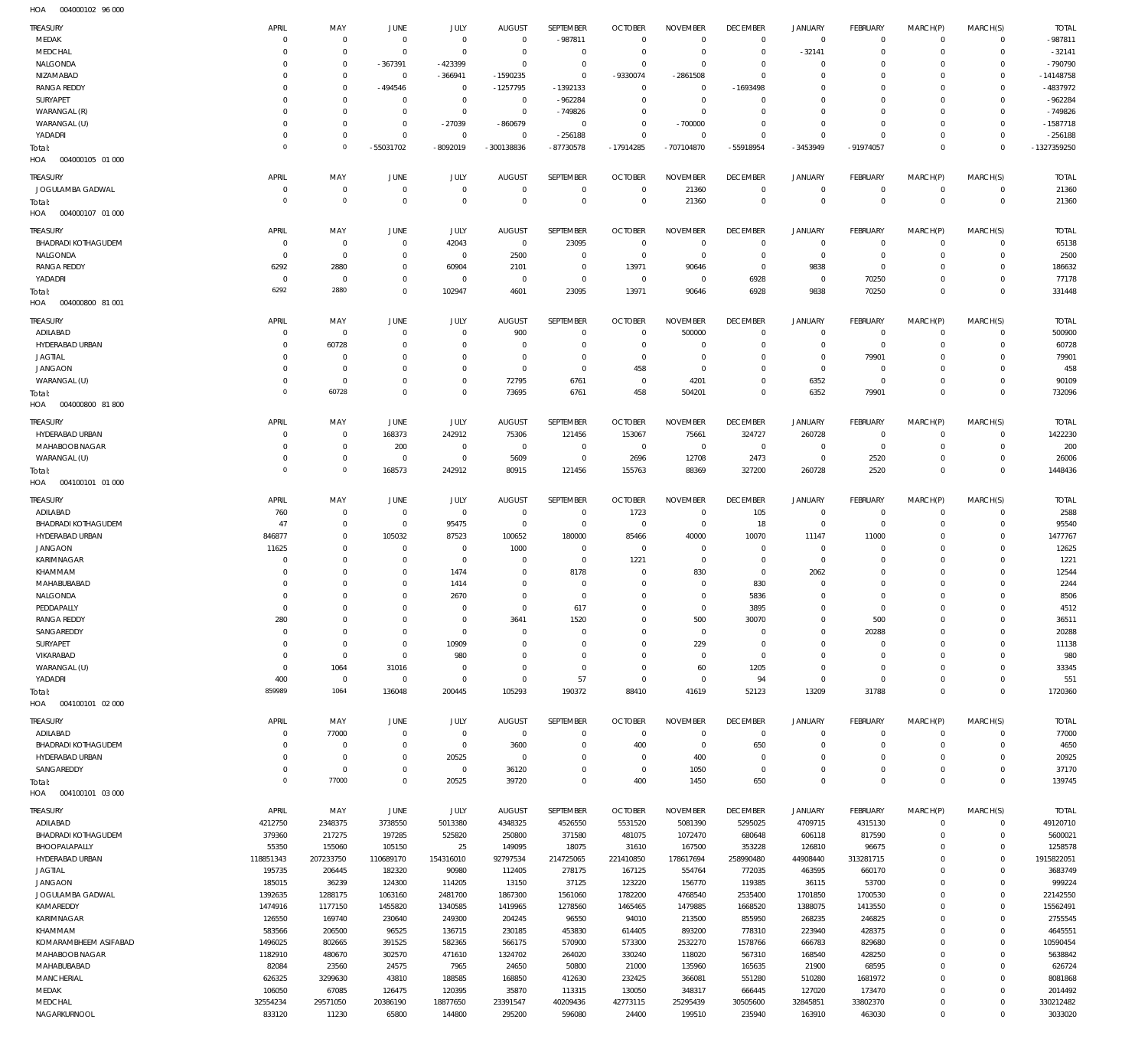004000102 96 000 HOA

| TREASURY                               | APRIL                   | MAY               | <b>JUNE</b>                   | JULY              | <b>AUGUST</b>                   | SEPTEMBER               | <b>OCTOBER</b>                   | <b>NOVEMBER</b>                   | <b>DECEMBER</b>                   | <b>JANUARY</b>                | FEBRUARY                   | MARCH(P)               | MARCH(S)                   | <b>TOTAL</b>          |
|----------------------------------------|-------------------------|-------------------|-------------------------------|-------------------|---------------------------------|-------------------------|----------------------------------|-----------------------------------|-----------------------------------|-------------------------------|----------------------------|------------------------|----------------------------|-----------------------|
| MEDAK                                  | $\overline{0}$          | $^{\circ}$        | $\overline{0}$                | $\mathbf 0$       | $\overline{0}$                  | $-987811$               | $\overline{0}$                   | $\mathbf 0$                       | $\overline{0}$                    | $\mathbf 0$                   | $\mathbf 0$                | $\mathbf{0}$           | $\mathbf{0}$               | $-987811$             |
| MEDCHAL                                | $\Omega$                | $\mathbf 0$       | $\overline{0}$                | $\mathbf{0}$      | $\overline{0}$                  | $^{\circ}$              | $\overline{0}$                   | $\overline{0}$                    | $\overline{0}$                    | $-32141$                      | $\overline{0}$             | 0                      | $\mathbf 0$                | $-32141$              |
| NALGONDA                               | $\Omega$                | $\mathbf 0$       | -367391                       | -423399           | $\overline{0}$                  | $\mathbf 0$             | $\overline{0}$                   | $\Omega$                          | $\overline{0}$                    | $^{\circ}$                    | 0                          | $\Omega$               | $\mathbf{0}$               | $-790790$             |
| NIZAMABAD                              | $\Omega$                | 0                 | $\overline{0}$                | $-366941$         | $-1590235$                      | $\mathbf{0}$            | -9330074                         | -2861508                          | $\overline{0}$                    | 0                             | $\overline{0}$             | $\Omega$               | $\mathbf{0}$               | $-14148758$           |
| <b>RANGA REDDY</b><br>SURYAPET         | $\Omega$<br>$\Omega$    | $\mathbf 0$<br>0  | -494546<br>$^{\circ}$         | 0<br>$\mathbf{0}$ | $-1257795$<br>$\overline{0}$    | $-1392133$<br>$-962284$ | $\overline{0}$<br>$\overline{0}$ | $\circ$<br>$\overline{0}$         | $-1693498$<br>$\overline{0}$      | 0<br>0                        | 0<br>$^{\circ}$            | $\Omega$<br>0          | $\mathbf 0$<br>$^{\circ}$  | -4837972<br>$-962284$ |
| WARANGAL (R)                           | $\Omega$                | $\mathbf 0$       | $\overline{0}$                | $^{\circ}$        | $\overline{0}$                  | $-749826$               | $\overline{0}$                   | $\overline{0}$                    | $\overline{0}$                    | 0                             | $\overline{0}$             | $\Omega$               | $^{\circ}$                 | $-749826$             |
| WARANGAL (U)                           | $\overline{0}$          | $\mathbf 0$       | $\overline{0}$                | $-27039$          | $-860679$                       | $\overline{0}$          | $\overline{0}$                   | $-700000$                         | $\overline{0}$                    | $\mathbf 0$                   | $\overline{0}$             | $\Omega$               | $^{\circ}$                 | $-1587718$            |
| YADADRI                                | $\overline{0}$          | $\mathbf 0$       | $\overline{0}$                | $\mathbf{0}$      | $\mathbf{0}$                    | $-256188$               | $\overline{0}$                   | $\Omega$                          | $\overline{0}$                    | $\mathbf 0$                   | $\overline{0}$             | $\Omega$               | $\mathbf{0}$               | $-256188$             |
| Total:                                 | $\Omega$                | $\mathbf 0$       | -55031702                     | -8092019          | -300138836                      | -87730578               | $-17914285$                      | -707104870                        | -55918954                         | -3453949                      | -91974057                  | $\Omega$               | $\overline{0}$             | -1327359250           |
| HOA<br>004000105 01 000                |                         |                   |                               |                   |                                 |                         |                                  |                                   |                                   |                               |                            |                        |                            |                       |
| TREASURY                               | APRIL                   | MAY               | <b>JUNE</b>                   | JULY              | <b>AUGUST</b>                   | SEPTEMBER               | <b>OCTOBER</b>                   | <b>NOVEMBER</b>                   | <b>DECEMBER</b>                   | <b>JANUARY</b>                | <b>FEBRUARY</b>            | MARCH(P)               | MARCH(S)                   | <b>TOTAL</b>          |
| JOGULAMBA GADWAL                       | $\overline{0}$          | $\mathbf 0$       | $\overline{0}$                | $^{\circ}$        | $\overline{0}$                  | $\mathbf 0$             | $\overline{0}$                   | 21360                             | $\overline{0}$                    | $\mathbf 0$                   | $\overline{0}$             | $^{\circ}$             | $\mathbf{0}$               | 21360                 |
| Total:                                 | $\Omega$                | $\mathbf 0$       | $\mathbb O$                   | $\mathbf 0$       | $\overline{0}$                  | $\mathbf 0$             | $\overline{0}$                   | 21360                             | $\overline{0}$                    | $\mathbf 0$                   | $\overline{0}$             | $\mathbf 0$            | $\overline{0}$             | 21360                 |
| HOA<br>004000107 01 000                |                         |                   |                               |                   |                                 |                         |                                  |                                   |                                   |                               |                            |                        |                            |                       |
|                                        |                         |                   |                               |                   |                                 |                         |                                  |                                   |                                   |                               |                            |                        |                            |                       |
| TREASURY<br><b>BHADRADI KOTHAGUDEM</b> | APRIL<br>$\overline{0}$ | MAY<br>$^{\circ}$ | <b>JUNE</b><br>$\overline{0}$ | JULY<br>42043     | <b>AUGUST</b><br>$\overline{0}$ | SEPTEMBER<br>23095      | <b>OCTOBER</b><br>$\overline{0}$ | <b>NOVEMBER</b><br>$\overline{0}$ | <b>DECEMBER</b><br>$\overline{0}$ | <b>JANUARY</b><br>$\mathbf 0$ | FEBRUARY<br>$\overline{0}$ | MARCH(P)<br>$^{\circ}$ | MARCH(S)<br>$^{\circ}$     | <b>TOTAL</b><br>65138 |
| NALGONDA                               | $\overline{0}$          | $\mathbf 0$       | $\mathbf 0$                   | $\overline{0}$    | 2500                            | $\mathbf 0$             | $\overline{0}$                   | $\mathbf 0$                       | $\overline{0}$                    | $\mathbf 0$                   | $\overline{0}$             | 0                      | $\mathbf{0}$               | 2500                  |
| <b>RANGA REDDY</b>                     | 6292                    | 2880              | $\mathbf 0$                   | 60904             | 2101                            | $\mathbf 0$             | 13971                            | 90646                             | $\overline{0}$                    | 9838                          | $\circ$                    | $\Omega$               | $\mathbf 0$                | 186632                |
| YADADRI                                | - 0                     | $^{\circ}$        | $\mathbf 0$                   | $\overline{0}$    | $\overline{0}$                  | $\mathbf 0$             | $\overline{0}$                   | $\overline{0}$                    | 6928                              | $\mathbf 0$                   | 70250                      | 0                      | $\mathbf{0}$               | 77178                 |
| Total:                                 | 6292                    | 2880              | $\mathbb O$                   | 102947            | 4601                            | 23095                   | 13971                            | 90646                             | 6928                              | 9838                          | 70250                      | $\Omega$               | $\mathbf 0$                | 331448                |
| HOA<br>004000800 81 001                |                         |                   |                               |                   |                                 |                         |                                  |                                   |                                   |                               |                            |                        |                            |                       |
| TREASURY                               | APRIL                   | MAY               | <b>JUNE</b>                   | JULY              | <b>AUGUST</b>                   | <b>SEPTEMBER</b>        | <b>OCTOBER</b>                   | <b>NOVEMBER</b>                   | <b>DECEMBER</b>                   | <b>JANUARY</b>                | FEBRUARY                   | MARCH(P)               | MARCH(S)                   | <b>TOTAL</b>          |
| ADILABAD                               | 0                       | $\overline{0}$    | $\overline{0}$                | $\mathbf 0$       | 900                             | $^{\circ}$              | $\overline{0}$                   | 500000                            | $\overline{0}$                    | $\mathbf 0$                   | $\circ$                    | $^{\circ}$             | $^{\circ}$                 | 500900                |
| HYDERABAD URBAN                        | $\Omega$                | 60728             | $^{\circ}$                    | 0                 | 0                               | 0                       | $\overline{0}$                   | 0                                 | $\overline{0}$                    | $\mathbf 0$                   | $\overline{0}$             | 0                      | $\overline{0}$             | 60728                 |
| <b>JAGTIAL</b>                         | $\Omega$                | 0                 | $\overline{0}$                | 0                 | $\overline{0}$                  | 0                       | $\overline{0}$                   | 0                                 | $^{\circ}$                        | $\mathbf 0$                   | 79901                      | $\Omega$               | $^{\circ}$                 | 79901                 |
| <b>JANGAON</b>                         | $\Omega$                | $\mathbf 0$       | $\overline{0}$                | 0                 | $\overline{0}$                  | $\mathbf 0$             | 458                              | 0                                 | $^{\circ}$                        | $\mathbf 0$                   | $\overline{0}$             | $\Omega$               | $^{\circ}$                 | 458                   |
| WARANGAL (U)                           | $\overline{0}$          | $^{\circ}$        | $\overline{0}$                | 0                 | 72795                           | 6761                    | $\overline{0}$                   | 4201                              | $^{\circ}$                        | 6352                          | $\mathbf 0$                | 0                      | $\mathbf{0}$               | 90109                 |
| Total:                                 | $\Omega$                | 60728             | $\overline{0}$                | $\mathbf 0$       | 73695                           | 6761                    | 458                              | 504201                            | $\overline{0}$                    | 6352                          | 79901                      | $\mathbf 0$            | $\mathbf 0$                | 732096                |
| HOA<br>004000800 81800                 |                         |                   |                               |                   |                                 |                         |                                  |                                   |                                   |                               |                            |                        |                            |                       |
| TREASURY                               | APRIL                   | MAY               | JUNE                          | JULY              | <b>AUGUST</b>                   | SEPTEMBER               | <b>OCTOBER</b>                   | <b>NOVEMBER</b>                   | <b>DECEMBER</b>                   | <b>JANUARY</b>                | FEBRUARY                   | MARCH(P)               | MARCH(S)                   | <b>TOTAL</b>          |
| HYDERABAD URBAN                        | 0                       | $^{\circ}$        | 168373                        | 242912            | 75306                           | 121456                  | 153067                           | 75661                             | 324727                            | 260728                        | $\overline{0}$             | 0                      | $^{\circ}$                 | 1422230               |
| MAHABOOB NAGAR                         | $\Omega$                | $\mathbf 0$       | 200                           | $\mathbf{0}$      | $\overline{0}$                  | $\mathbf{0}$            | $\overline{0}$                   | $\overline{0}$                    | $\overline{0}$                    | $\mathbf 0$                   | $\mathbf 0$                | 0                      | $\mathbf{0}$               | 200                   |
| WARANGAL (U)                           | $\overline{0}$          | $\mathbf 0$       | $\overline{0}$                | $\mathbf{0}$      | 5609                            | $\overline{0}$          | 2696                             | 12708                             | 2473                              | $\mathbf 0$                   | 2520                       | 0                      | $^{\circ}$                 | 26006                 |
| Total:                                 | $\Omega$                | $\mathbf 0$       | 168573                        | 242912            | 80915                           | 121456                  | 155763                           | 88369                             | 327200                            | 260728                        | 2520                       | $\mathbf 0$            | $\mathbf 0$                | 1448436               |
| HOA<br>004100101 01 000                |                         |                   |                               |                   |                                 |                         |                                  |                                   |                                   |                               |                            |                        |                            |                       |
| TREASURY                               | APRIL                   | MAY               | <b>JUNE</b>                   | JULY              | <b>AUGUST</b>                   | SEPTEMBER               | <b>OCTOBER</b>                   | <b>NOVEMBER</b>                   | <b>DECEMBER</b>                   | <b>JANUARY</b>                | FEBRUARY                   | MARCH(P)               | MARCH(S)                   | <b>TOTAL</b>          |
| ADILABAD                               | 760                     | $\mathbf 0$       | $\overline{0}$                | $^{\circ}$        | $\overline{0}$                  | $^{\circ}$              | 1723                             | $\mathbf{0}$                      | 105                               | $\mathbf 0$                   | $\mathbf 0$                | $^{\circ}$             | $^{\circ}$                 | 2588                  |
| <b>BHADRADI KOTHAGUDEM</b>             | 47                      | $\mathbf 0$       | $\overline{0}$                | 95475             | $^{\circ}$                      | $^{\circ}$              | $\overline{0}$                   | $\overline{0}$                    | 18                                | $\mathbf 0$                   | $\mathbf 0$                | 0                      | $^{\circ}$                 | 95540                 |
| HYDERABAD URBAN                        | 846877                  | 0                 | 105032                        | 87523             | 100652                          | 180000                  | 85466                            | 40000                             | 10070                             | 11147                         | 11000                      | 0                      | $^{\circ}$                 | 1477767               |
| <b>JANGAON</b>                         | 11625                   | 0                 | $\overline{0}$                | $\overline{0}$    | 1000                            | 0                       | $\overline{0}$                   | 0                                 | $^{\circ}$                        | $\mathbf 0$                   | $\overline{0}$             | $\Omega$               | $^{\circ}$                 | 12625                 |
| KARIMNAGAR                             | $\Omega$                | 0                 | $\overline{0}$                | $^{\circ}$        | $\overline{0}$                  | $^{\circ}$              | 1221                             | $^{\circ}$                        | $\overline{0}$                    | $\mathbf 0$                   | $\overline{0}$             | 0                      | $^{\circ}$                 | 1221                  |
| KHAMMAM                                | $\Omega$                | 0                 | $\overline{0}$                | 1474              | $\mathbf 0$                     | 8178                    | $\overline{0}$                   | 830                               | $\overline{0}$                    | 2062                          | 0                          | 0                      | $^{\circ}$                 | 12544                 |
| MAHABUBABAD                            | $\Omega$                | 0                 | $\overline{0}$                | 1414              | $\Omega$                        | 0                       | $\overline{0}$                   | 0                                 | 830                               | $^{\circ}$                    | 0                          | $\Omega$               | $^{\circ}$                 | 2244                  |
| NALGONDA                               | $\overline{0}$          | 0                 | $\overline{0}$                | 2670              | 0                               | $\mathbf 0$             | $\overline{0}$                   | 0                                 | 5836                              | 0                             | 0                          | 0                      | $^{\circ}$                 | 8506                  |
| PEDDAPALLY                             | $\Omega$                | 0                 | $\mathbf{0}$                  | 0                 | $\Omega$                        | 617                     | $\mathbf{0}$                     | $\Omega$                          | 3895                              | $\Omega$                      | $\Omega$                   | $\Omega$               | $\Omega$                   | 4512                  |
| RANGA REDDY<br>SANGAREDDY              | 280<br>$\overline{0}$   | 0<br>$\mathbf 0$  | $\circ$<br>$\overline{0}$     | 0<br>$\mathbf 0$  | 3641<br>$\overline{0}$          | 1520<br>$\mathbf 0$     | $\circ$<br>$\mathbf{0}$          | 500<br>$\mathbf{0}$               | 30070<br>$\overline{0}$           | 0<br>$\mathbf 0$              | 500<br>20288               | 0<br>0                 | $\circ$<br>$\mathbf{0}$    | 36511                 |
| SURYAPET                               | $\overline{0}$          | $\mathbf 0$       | $\overline{0}$                | 10909             | $\mathbf 0$                     | $\mathbf 0$             | $\mathbf{0}$                     | 229                               | $\overline{0}$                    | $\mathbf 0$                   | $\mathbf 0$                | 0                      | $\mathbf{0}$               | 20288<br>11138        |
| VIKARABAD                              | $\overline{0}$          | $\mathbf 0$       | $\mathbb O$                   | 980               | $\mathbf 0$                     | $\mathbf 0$             | $\mathbf{0}$                     | $\mathbf{0}$                      | $\overline{0}$                    | $\mathbf 0$                   | $\overline{0}$             | 0                      | $\mathbf{0}$               | 980                   |
| WARANGAL (U)                           | $\mathbf 0$             | 1064              | 31016                         | $\overline{0}$    | $\mathbf{0}$                    | $\mathbf 0$             | $\overline{0}$                   | 60                                | 1205                              | $\mathbf 0$                   | $\overline{0}$             | 0                      | $\mathbf{0}$               | 33345                 |
| YADADRI                                | 400                     | $\overline{0}$    | $\overline{0}$                | $\mathbf{0}$      | $\mathbb O$                     | 57                      | $\overline{0}$                   | $\mathbf{0}$                      | 94                                | $\mathbf 0$                   | $\mathbf 0$                | 0                      | $\mathbf{0}$               | 551                   |
| Total:                                 | 859989                  | 1064              | 136048                        | 200445            | 105293                          | 190372                  | 88410                            | 41619                             | 52123                             | 13209                         | 31788                      | $\mathbf 0$            | $\overline{0}$             | 1720360               |
| HOA<br>004100101 02 000                |                         |                   |                               |                   |                                 |                         |                                  |                                   |                                   |                               |                            |                        |                            |                       |
| <b>TREASURY</b>                        | APRIL                   | MAY               | JUNE                          | JULY              | <b>AUGUST</b>                   | SEPTEMBER               | <b>OCTOBER</b>                   | <b>NOVEMBER</b>                   | <b>DECEMBER</b>                   | <b>JANUARY</b>                | FEBRUARY                   | MARCH(P)               | MARCH(S)                   | <b>TOTAL</b>          |
| ADILABAD                               | $\overline{0}$          | 77000             | $\overline{0}$                | $\mathbf 0$       | $\overline{0}$                  | $\mathbf 0$             | $\mathbf 0$                      | $\overline{0}$                    | $\mathbf 0$                       | $\overline{0}$                | $\overline{0}$             | $\mathbf{0}$           | $\overline{0}$             | 77000                 |
| <b>BHADRADI KOTHAGUDEM</b>             | $\overline{0}$          | $\overline{0}$    | $\overline{0}$                | $\overline{0}$    | 3600                            | $\mathbf 0$             | 400                              | $\mathbf{0}$                      | 650                               | $\mathbf 0$                   | $\overline{0}$             | $^{\circ}$             | $\mathbf{0}$               | 4650                  |
| HYDERABAD URBAN                        | $\overline{0}$          | $\mathbf{0}$      | $\overline{0}$                | 20525             | $\overline{0}$                  | $\mathbf 0$             | $\overline{0}$                   | 400                               | $\overline{0}$                    | $\mathbf 0$                   | $\overline{0}$             | 0                      | $\mathbf{0}$               | 20925                 |
| SANGAREDDY                             | $\mathbf 0$             | $\overline{0}$    | $\mathbf 0$                   | $\overline{0}$    | 36120                           | $\mathbf 0$             | $\overline{0}$                   | 1050                              | $\mathbf 0$                       | $\mathbf 0$                   | $\mathbf 0$                | $\mathbf 0$            | $\circ$                    | 37170                 |
| Total:                                 | $\circ$                 | 77000             | $\mathbb O$                   | 20525             | 39720                           | $\mathbf 0$             | 400                              | 1450                              | 650                               | $\overline{0}$                | $\overline{0}$             | $\mathbf 0$            | $\overline{0}$             | 139745                |
| HOA   004100101   03   000             |                         |                   |                               |                   |                                 |                         |                                  |                                   |                                   |                               |                            |                        |                            |                       |
| TREASURY                               | APRIL                   | MAY               | JUNE                          | JULY              | <b>AUGUST</b>                   | SEPTEMBER               | <b>OCTOBER</b>                   | <b>NOVEMBER</b>                   | <b>DECEMBER</b>                   | <b>JANUARY</b>                | FEBRUARY                   | MARCH(P)               | MARCH(S)                   | <b>TOTAL</b>          |
| ADILABAD                               | 4212750                 | 2348375           | 3738550                       | 5013380           | 4348325                         | 4526550                 | 5531520                          | 5081390                           | 5295025                           | 4709715                       | 4315130                    | $\mathbf{0}$           | $\overline{0}$             | 49120710              |
| <b>BHADRADI KOTHAGUDEM</b>             | 379360                  | 217275            | 197285                        | 525820            | 250800                          | 371580                  | 481075                           | 1072470                           | 680648                            | 606118                        | 817590                     | $\mathbf 0$            | $\mathbf{0}$               | 5600021               |
| BHOOPALAPALLY                          | 55350                   | 155060            | 105150                        | 25                | 149095                          | 18075                   | 31610                            | 167500                            | 353228                            | 126810                        | 96675                      | 0                      | $\mathbf{0}$               | 1258578               |
| HYDERABAD URBAN                        | 118851343               | 207233750         | 110689170                     | 154316010         | 92797534                        | 214725065               | 221410850                        | 178617694                         | 258990480                         | 44908440                      | 313281715                  | $\Omega$               | $\circ$                    | 1915822051            |
| JAGTIAL                                | 195735                  | 206445            | 182320                        | 90980             | 112405                          | 278175                  | 167125                           | 554764                            | 772035                            | 463595                        | 660170                     | 0                      | $\mathbf{0}$               | 3683749               |
| <b>JANGAON</b>                         | 185015                  | 36239             | 124300                        | 114205            | 13150                           | 37125                   | 123220                           | 156770                            | 119385                            | 36115                         | 53700                      | 0                      | $\mathbf{0}$               | 999224                |
| JOGULAMBA GADWAL                       | 1392635                 | 1288175           | 1063160                       | 2481700           | 1867300                         | 1561060                 | 1782200                          | 4768540                           | 2535400                           | 1701850                       | 1700530                    | 0                      | $\mathbf{0}$               | 22142550              |
| KAMAREDDY                              | 1474916                 | 1177150           | 1455820                       | 1340585           | 1419965                         | 1278560                 | 1465465                          | 1479885                           | 1668520                           | 1388075                       | 1413550                    | 0                      | $\mathbf{0}$               | 15562491              |
| KARIMNAGAR                             | 126550                  | 169740            | 230640                        | 249300            | 204245                          | 96550                   | 94010                            | 213500                            | 855950                            | 268235                        | 246825                     | 0                      | $\mathbf 0$                | 2755545               |
| KHAMMAM                                | 583566                  | 206500            | 96525                         | 136715            | 230185                          | 453830                  | 614405                           | 893200                            | 778310                            | 223940                        | 428375                     | 0                      | $\mathbf{0}$               | 4645551               |
| KOMARAMBHEEM ASIFABAD                  | 1496025<br>1182910      | 802665            | 391525<br>302570              | 582365            | 566175                          | 570900                  | 573300                           | 2532270                           | 1578766                           | 666783                        | 829680<br>428250           | 0<br>0                 | $\mathbf 0$<br>$\mathbf 0$ | 10590454<br>5638842   |
| MAHABOOB NAGAR<br>MAHABUBABAD          | 82084                   | 480670<br>23560   | 24575                         | 471610<br>7965    | 1324702<br>24650                | 264020<br>50800         | 330240<br>21000                  | 118020<br>135960                  | 567310<br>165635                  | 168540<br>21900               | 68595                      | 0                      | $\mathbf 0$                | 626724                |
| <b>MANCHERIAL</b>                      | 626325                  | 3299630           | 43810                         | 188585            | 168850                          | 412630                  | 232425                           | 366081                            | 551280                            | 510280                        | 1681972                    | 0                      | $\mathbf 0$                | 8081868               |
| MEDAK                                  | 106050                  | 67085             | 126475                        | 120395            | 35870                           | 113315                  | 130050                           | 348317                            | 666445                            | 127020                        | 173470                     | 0                      | $\mathbf{0}$               | 2014492               |
| MEDCHAL                                | 32554234                | 29571050          | 20386190                      | 18877650          | 23391547                        | 40209436                | 42773115                         | 25295439                          | 30505600                          | 32845851                      | 33802370                   | 0                      | $\circ$                    | 330212482             |
| NAGARKURNOOL                           | 833120                  | 11230             | 65800                         | 144800            | 295200                          | 596080                  | 24400                            | 199510                            | 235940                            | 163910                        | 463030                     | $\mathbf 0$            | $\circ$                    | 3033020               |
|                                        |                         |                   |                               |                   |                                 |                         |                                  |                                   |                                   |                               |                            |                        |                            |                       |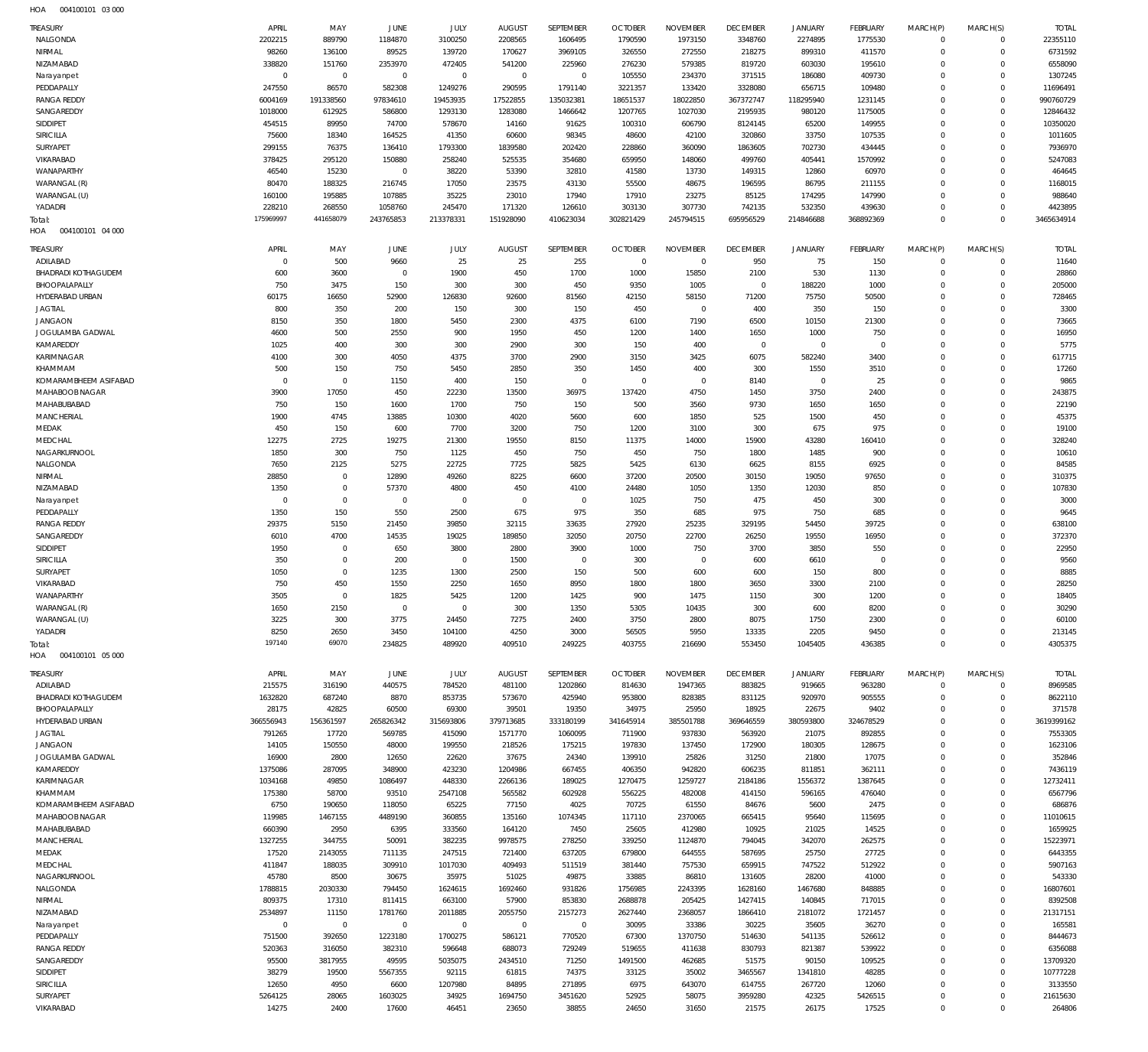| HOA | 004100101 03 000 |  |
|-----|------------------|--|

| 2202215<br>1184870<br>3100250<br>1775530<br>22355110<br>NALGONDA<br>889790<br>2208565<br>1606495<br>1790590<br>1973150<br>3348760<br>2274895<br>$\mathbf 0$<br>0<br>6731592<br>NIRMAL<br>98260<br>89525<br>139720<br>170627<br>3969105<br>326550<br>272550<br>218275<br>899310<br>411570<br>$\mathbf 0$<br>136100<br>$\mathbf 0$<br>6558090<br>NIZAMABAD<br>338820<br>151760<br>2353970<br>472405<br>541200<br>225960<br>276230<br>579385<br>819720<br>603030<br>195610<br>$\Omega$<br>$\Omega$<br>$\mathbf 0$<br>$\mathbf 0$<br>$\overline{0}$<br>$\mathbf{0}$<br>$\mathbf 0$<br>$\overline{0}$<br>105550<br>234370<br>371515<br>186080<br>409730<br>$\Omega$<br>1307245<br>Narayanpet<br>$\Omega$<br>247550<br>86570<br>582308<br>656715<br>PEDDAPALLY<br>1249276<br>290595<br>3221357<br>133420<br>3328080<br>$\mathbf 0$<br>11696491<br>1791140<br>109480<br>$\Omega$<br>191338560<br><b>RANGA REDDY</b><br>6004169<br>97834610<br>19453935<br>17522855<br>135032381<br>18651537<br>18022850<br>367372747<br>118295940<br>1231145<br>$\Omega$<br>990760729<br>$\Omega$<br>2195935<br>SANGAREDDY<br>1018000<br>586800<br>1293130<br>1283080<br>1207765<br>1027030<br>980120<br>1175005<br>$\mathbf 0$<br>12846432<br>612925<br>1466642<br>$\Omega$<br>454515<br>SIDDIPET<br>89950<br>74700<br>578670<br>100310<br>606790<br>8124145<br>65200<br>149955<br>$\Omega$<br>10350020<br>14160<br>91625<br>$\Omega$<br><b>SIRICILLA</b><br>75600<br>18340<br>164525<br>41350<br>60600<br>98345<br>48600<br>42100<br>320860<br>33750<br>107535<br>$\mathbf 0$<br>1011605<br>$\Omega$<br>7936970<br>SURYAPET<br>299155<br>76375<br>136410<br>1793300<br>1839580<br>228860<br>360090<br>1863605<br>702730<br>434445<br>$\Omega$<br>202420<br>$\Omega$<br>525535<br>5247083<br>VIKARABAD<br>378425<br>295120<br>150880<br>258240<br>659950<br>148060<br>499760<br>405441<br>$\Omega$<br>354680<br>1570992<br>$\Omega$<br>464645<br>WANAPARTHY<br>46540<br>15230<br>$\overline{0}$<br>38220<br>53390<br>41580<br>13730<br>149315<br>12860<br>60970<br>$\Omega$<br>32810<br>$\Omega$<br>80470<br>188325<br>216745<br>17050<br>23575<br>43130<br>55500<br>48675<br>196595<br>86795<br>211155<br>$\Omega$<br>1168015<br>WARANGAL (R)<br>$\Omega$<br>988640<br>160100<br>195885<br>107885<br>35225<br>23010<br>17940<br>17910<br>23275<br>85125<br>174295<br>147990<br>$\Omega$<br>WARANGAL (U)<br>$\Omega$<br>228210<br>4423895<br>268550<br>1058760<br>245470<br>171320<br>126610<br>303130<br>307730<br>742135<br>532350<br>439630<br>$\Omega$<br>YADADRI<br>$\Omega$<br>175969997<br>441658079<br>$\Omega$<br>3465634914<br>243765853<br>213378331<br>151928090<br>410623034<br>302821429<br>245794515<br>695956529<br>214846688<br>368892369<br>$\Omega$<br>Total:<br>HOA<br>004100101 04 000<br>SEPTEMBER<br><b>DECEMBER</b><br>MARCH(S)<br>APRIL<br><b>JUNE</b><br>JULY<br><b>AUGUST</b><br><b>OCTOBER</b><br><b>NOVEMBER</b><br><b>JANUARY</b><br><b>FEBRUARY</b><br>MARCH(P)<br><b>TOTAL</b><br><b>TREASURY</b><br>MAY<br>25<br>$\mathbf 0$<br>500<br>9660<br>25<br>255<br>$\mathbf{0}$<br>950<br>75<br>150<br>11640<br>ADILABAD<br>$^{\circ}$<br>$^{\circ}$<br>0<br>1900<br>530<br><b>BHADRADI KOTHAGUDEM</b><br>600<br>$\overline{0}$<br>450<br>1700<br>1000<br>15850<br>2100<br>1130<br>$\mathbf 0$<br>28860<br>3600<br>$\mathbf 0$<br>BHOOPALAPALLY<br>750<br>3475<br>150<br>300<br>450<br>9350<br>1005<br>$\mathbf 0$<br>188220<br>1000<br>$\mathbf 0$<br>205000<br>300<br>$\Omega$<br>HYDERABAD URBAN<br>60175<br>16650<br>52900<br>126830<br>42150<br>58150<br>71200<br>75750<br>50500<br>$\mathbf 0$<br>728465<br>92600<br>81560<br>$\Omega$<br>3300<br><b>JAGTIAL</b><br>800<br>350<br>200<br>150<br>150<br>450<br>$\mathbf{0}$<br>400<br>350<br>150<br>$\mathbf 0$<br>300<br>$\Omega$<br><b>JANGAON</b><br>8150<br>350<br>1800<br>5450<br>7190<br>6500<br>10150<br>21300<br>$\mathbf 0$<br>73665<br>2300<br>4375<br>6100<br>$\Omega$<br>16950<br>JOGULAMBA GADWAL<br>4600<br>500<br>2550<br>900<br>1950<br>450<br>1200<br>1400<br>1650<br>1000<br>750<br>$\mathbf 0$<br>$\Omega$<br>KAMAREDDY<br>5775<br>1025<br>300<br>300<br>150<br>400<br>$\mathbf 0$<br>$\mathbf 0$<br>400<br>2900<br>300<br>$\mathbf 0$<br>$\circ$<br>$\Omega$<br>617715<br>KARIMNAGAR<br>4100<br>300<br>4050<br>4375<br>3700<br>2900<br>3150<br>3425<br>6075<br>582240<br>3400<br>$\mathbf 0$<br>$\Omega$<br>KHAMMAM<br>500<br>150<br>750<br>5450<br>2850<br>350<br>1450<br>400<br>300<br>1550<br>3510<br>$\mathbf 0$<br>17260<br>$\Omega$<br>25<br>9865<br>KOMARAMBHEEM ASIFABAD<br>$\mathbf 0$<br>$\mathbf 0$<br>1150<br>400<br>150<br>$\mathbf{0}$<br>8140<br>$\mathbf 0$<br>$\circ$<br>$^{\circ}$<br>$\mathbf 0$<br>$\Omega$<br>MAHABOOB NAGAR<br>3900<br>17050<br>450<br>22230<br>36975<br>137420<br>4750<br>1450<br>3750<br>2400<br>$\mathbf 0$<br>243875<br>13500<br>$\Omega$<br>22190<br>MAHABUBABAD<br>750<br>150<br>1600<br>1700<br>750<br>150<br>500<br>3560<br>9730<br>1650<br>1650<br>$\mathbf 0$<br>$\Omega$<br>MANCHERIAL<br>1900<br>4745<br>13885<br>10300<br>4020<br>600<br>1850<br>525<br>1500<br>450<br>$\mathbf 0$<br>45375<br>5600<br>$\Omega$<br>975<br>MEDAK<br>450<br>150<br>600<br>7700<br>3200<br>750<br>1200<br>3100<br>300<br>675<br>$\mathbf 0$<br>19100<br>$\Omega$<br>MEDCHAL<br>12275<br>2725<br>19275<br>21300<br>19550<br>11375<br>14000<br>15900<br>43280<br>160410<br>$\mathbf 0$<br>328240<br>8150<br>$\Omega$<br>NAGARKURNOOL<br>1850<br>300<br>750<br>1125<br>450<br>750<br>450<br>750<br>1800<br>1485<br>900<br>$\mathbf 0$<br>10610<br>$\Omega$<br>NALGONDA<br>7650<br>2125<br>5275<br>22725<br>7725<br>5825<br>5425<br>6130<br>6625<br>8155<br>6925<br>$\mathbf 0$<br>84585<br>$\Omega$<br>310375<br>NIRMAL<br>28850<br>$\mathbf 0$<br>12890<br>49260<br>8225<br>37200<br>20500<br>30150<br>19050<br>97650<br>$\mathbf 0$<br>6600<br>$\Omega$<br>$\mathbf 0$<br>107830<br>NIZAMABAD<br>1350<br>57370<br>4800<br>450<br>24480<br>1050<br>1350<br>12030<br>850<br>$\mathbf 0$<br>4100<br>$\Omega$<br>$\mathbf 0$<br>$\mathbf 0$<br>$\overline{0}$<br>$\mathbf{0}$<br>$\overline{0}$<br>1025<br>750<br>475<br>450<br>300<br>$\mathbf 0$<br>3000<br>$\circ$<br>$\Omega$<br>Narayanpet<br>150<br>550<br>685<br>PEDDAPALLY<br>1350<br>2500<br>675<br>975<br>350<br>975<br>750<br>685<br>$\mathbf 0$<br>9645<br>$\Omega$<br><b>RANGA REDDY</b><br>29375<br>5150<br>21450<br>39850<br>32115<br>33635<br>27920<br>25235<br>329195<br>54450<br>39725<br>$\mathbf 0$<br>638100<br>$\Omega$<br>372370<br>SANGAREDDY<br>6010<br>4700<br>14535<br>19025<br>189850<br>32050<br>20750<br>22700<br>26250<br>19550<br>16950<br>$\mathbf 0$<br>$\Omega$<br>22950<br>SIDDIPET<br>1950<br>650<br>3800<br>2800<br>3900<br>750<br>3700<br>3850<br>550<br>$\mathbf 0$<br>$\mathbf 0$<br>1000<br>$\Omega$<br>$\mathbf 0$<br><b>SIRICILLA</b><br>350<br>200<br>$\mathbf{0}$<br>1500<br>$\overline{0}$<br>300<br>600<br>6610<br>$\mathbf 0$<br>9560<br>$^{\circ}$<br>$\circ$<br>$\Omega$<br>SURYAPET<br>1050<br>$\mathbf 0$<br>1235<br>1300<br>150<br>600<br>150<br>800<br>$\mathbf 0$<br>8885<br>2500<br>500<br>600<br>$\Omega$<br>450<br>1550<br>VIKARABAD<br>750<br>2250<br>1650<br>8950<br>1800<br>1800<br>3650<br>3300<br>2100<br>$\mathbf 0$<br>28250<br>$\Omega$<br>WANAPARTHY<br>3505<br>$\mathbf 0$<br>1825<br>5425<br>1200<br>1425<br>900<br>1475<br>1150<br>300<br>1200<br>$\Omega$<br>18405<br>$\Omega$<br>1650<br>2150<br>30290<br>WARANGAL (R)<br>$\circ$<br>$\circ$<br>300<br>1350<br>5305<br>10435<br>300<br>600<br>8200<br>$\Omega$<br>$\Omega$<br>3225<br>300<br>3775<br>3750<br>2800<br>8075<br>1750<br>2300<br>60100<br>WARANGAL (U)<br>24450<br>7275<br>2400<br>$\mathbf 0$<br>0<br>8250<br>YADADRI<br>2650<br>3450<br>104100<br>4250<br>56505<br>5950<br>13335<br>2205<br>9450<br>$\mathbf 0$<br>213145<br>3000<br>$\mathbf 0$<br>197140<br>69070<br>4305375<br>234825<br>489920<br>409510<br>249225<br>403755<br>216690<br>553450<br>1045405<br>436385<br>$\mathbf 0$<br>$\mathbf 0$<br>Total:<br>HOA   004100101   05   000<br>APRIL<br>SEPTEMBER<br><b>DECEMBER</b><br>TREASURY<br>MAY<br><b>JUNE</b><br>JULY<br><b>AUGUST</b><br><b>OCTOBER</b><br><b>NOVEMBER</b><br><b>JANUARY</b><br><b>FEBRUARY</b><br>MARCH(P)<br>MARCH(S)<br><b>TOTAL</b><br>215575<br>440575<br>784520<br>316190<br>481100<br>1202860<br>814630<br>1947365<br>883825<br>919665<br>963280<br>8969585<br>ADILABAD<br>$^{\circ}$<br>0<br>905555<br>8622110<br>BHADRADI KOTHAGUDEM<br>1632820<br>687240<br>8870<br>853735<br>573670<br>425940<br>953800<br>828385<br>831125<br>920970<br>$\mathbf 0$<br>$\mathbf 0$<br>BHOOPALAPALLY<br>28175<br>42825<br>60500<br>69300<br>39501<br>34975<br>25950<br>18925<br>22675<br>9402<br>$\mathbf 0$<br>371578<br>19350<br>$\Omega$<br>366556943<br>156361597<br>265826342<br>369646559<br>380593800<br>3619399162<br>HYDERABAD URBAN<br>315693806<br>379713685<br>333180199<br>341645914<br>385501788<br>324678529<br>$\mathbf 0$<br>$\Omega$<br>7553305<br><b>JAGTIAL</b><br>791265<br>17720<br>569785<br>415090<br>1571770<br>1060095<br>937830<br>563920<br>21075<br>892855<br>$\mathbf 0$<br>711900<br>$\Omega$<br>1623106<br><b>JANGAON</b><br>14105<br>150550<br>48000<br>199550<br>218526<br>175215<br>197830<br>137450<br>172900<br>180305<br>128675<br>$\Omega$<br>$\Omega$<br>352846<br>JOGULAMBA GADWAL<br>16900<br>12650<br>22620<br>37675<br>139910<br>25826<br>31250<br>21800<br>17075<br>2800<br>24340<br>$\Omega$<br>$\Omega$<br>KAMAREDDY<br>942820<br>606235<br>1375086<br>287095<br>348900<br>423230<br>1204986<br>667455<br>406350<br>811851<br>362111<br>$\Omega$<br>7436119<br>$\Omega$<br>12732411<br>KARIMNAGAR<br>1034168<br>49850<br>1086497<br>448330<br>2266136<br>1270475<br>1259727<br>2184186<br>1556372<br>1387645<br>$\mathbf 0$<br>189025<br>$\Omega$<br>175380<br>565582<br>556225<br>482008<br>6567796<br>KHAMMAM<br>58700<br>93510<br>2547108<br>602928<br>414150<br>596165<br>476040<br>$\Omega$<br>$\Omega$<br>KOMARAMBHEEM ASIFABAD<br>6750<br>190650<br>118050<br>65225<br>70725<br>61550<br>84676<br>5600<br>2475<br>686876<br>77150<br>4025<br>$\Omega$<br>$\Omega$<br>360855<br>MAHABOOB NAGAR<br>119985<br>1467155<br>4489190<br>135160<br>1074345<br>117110<br>2370065<br>665415<br>95640<br>115695<br>$\mathbf 0$<br>11010615<br>$\Omega$<br>MAHABUBABAD<br>660390<br>2950<br>6395<br>333560<br>164120<br>7450<br>25605<br>412980<br>10925<br>21025<br>14525<br>$\mathbf 0$<br>1659925<br>$\Omega$<br>MANCHERIAL<br>1327255<br>344755<br>382235<br>262575<br>50091<br>9978575<br>278250<br>339250<br>1124870<br>794045<br>342070<br>$\Omega$<br>15223971<br>$\Omega$<br>6443355<br>MEDAK<br>17520<br>2143055<br>711135<br>247515<br>721400<br>637205<br>679800<br>644555<br>587695<br>25750<br>27725<br>$\Omega$<br>$\Omega$<br>5907163<br>MEDCHAL<br>411847<br>188035<br>309910<br>1017030<br>409493<br>511519<br>757530<br>659915<br>747522<br>512922<br>381440<br>$\Omega$<br>$\Omega$<br>45780<br>543330<br>NAGARKURNOOL<br>8500<br>30675<br>35975<br>51025<br>49875<br>33885<br>86810<br>131605<br>28200<br>41000<br>$\Omega$<br>$\Omega$<br>NALGONDA<br>1788815<br>2030330<br>794450<br>1624615<br>1692460<br>931826<br>1756985<br>2243395<br>1628160<br>1467680<br>848885<br>$\mathbf 0$<br>16807601<br>$\Omega$<br>809375<br>1427415<br>8392508<br>NIRMAL<br>17310<br>811415<br>663100<br>57900<br>853830<br>2688878<br>205425<br>140845<br>717015<br>$\Omega$<br>$\Omega$<br>NIZAMABAD<br>2534897<br>11150<br>1781760<br>2011885<br>2055750<br>2157273<br>2627440<br>2368057<br>1866410<br>2181072<br>1721457<br>$\Omega$<br>21317151<br>$\Omega$<br>$\mathsf 0$<br>165581<br>$\mathbf 0$<br>$\overline{0}$<br>$\overline{0}$<br>$\mathbf{0}$<br>$\mathsf 0$<br>30095<br>33386<br>30225<br>35605<br>36270<br>$\Omega$<br>Narayanpet<br>$\Omega$<br>PEDDAPALLY<br>751500<br>392650<br>1223180<br>1700275<br>586121<br>770520<br>1370750<br>514630<br>541135<br>526612<br>8444673<br>67300<br>$\Omega$<br>$\Omega$<br>520363<br>6356088<br><b>RANGA REDDY</b><br>316050<br>382310<br>688073<br>729249<br>519655<br>411638<br>830793<br>821387<br>539922<br>$\Omega$<br>596648<br>$\Omega$<br>SANGAREDDY<br>95500<br>3817955<br>49595<br>5035075<br>2434510<br>71250<br>1491500<br>462685<br>51575<br>90150<br>109525<br>$\mathbf 0$<br>13709320<br>$\Omega$<br>5567355<br>3465567<br>10777228<br>SIDDIPET<br>38279<br>19500<br>92115<br>61815<br>74375<br>33125<br>35002<br>1341810<br>48285<br>$\mathbf 0$<br>$\Omega$<br>3133550<br><b>SIRICILLA</b><br>12650<br>4950<br>6600<br>1207980<br>84895<br>271895<br>6975<br>643070<br>614755<br>267720<br>12060<br>$\Omega$<br>$\Omega$<br>58075<br>42325<br>5426515<br>SURYAPET<br>5264125<br>28065<br>1603025<br>34925<br>1694750<br>3451620<br>52925<br>3959280<br>$\mathbf 0$<br>21615630<br>$\Omega$<br>VIKARABAD<br>14275<br>2400<br>17600<br>46451<br>23650<br>38855<br>31650<br>21575<br>26175<br>17525<br>$\mathbf 0$<br>264806<br>24650<br>$\mathbf 0$ | <b>TREASURY</b> | APRIL | MAY | JUNE | JULY | <b>AUGUST</b> | SEPTEMBER | <b>OCTOBER</b> | <b>NOVEMBER</b> | <b>DECEMBER</b> | <b>JANUARY</b> | <b>FEBRUARY</b> | MARCH(P) | MARCH(S) | <b>TOTAL</b> |
|------------------------------------------------------------------------------------------------------------------------------------------------------------------------------------------------------------------------------------------------------------------------------------------------------------------------------------------------------------------------------------------------------------------------------------------------------------------------------------------------------------------------------------------------------------------------------------------------------------------------------------------------------------------------------------------------------------------------------------------------------------------------------------------------------------------------------------------------------------------------------------------------------------------------------------------------------------------------------------------------------------------------------------------------------------------------------------------------------------------------------------------------------------------------------------------------------------------------------------------------------------------------------------------------------------------------------------------------------------------------------------------------------------------------------------------------------------------------------------------------------------------------------------------------------------------------------------------------------------------------------------------------------------------------------------------------------------------------------------------------------------------------------------------------------------------------------------------------------------------------------------------------------------------------------------------------------------------------------------------------------------------------------------------------------------------------------------------------------------------------------------------------------------------------------------------------------------------------------------------------------------------------------------------------------------------------------------------------------------------------------------------------------------------------------------------------------------------------------------------------------------------------------------------------------------------------------------------------------------------------------------------------------------------------------------------------------------------------------------------------------------------------------------------------------------------------------------------------------------------------------------------------------------------------------------------------------------------------------------------------------------------------------------------------------------------------------------------------------------------------------------------------------------------------------------------------------------------------------------------------------------------------------------------------------------------------------------------------------------------------------------------------------------------------------------------------------------------------------------------------------------------------------------------------------------------------------------------------------------------------------------------------------------------------------------------------------------------------------------------------------------------------------------------------------------------------------------------------------------------------------------------------------------------------------------------------------------------------------------------------------------------------------------------------------------------------------------------------------------------------------------------------------------------------------------------------------------------------------------------------------------------------------------------------------------------------------------------------------------------------------------------------------------------------------------------------------------------------------------------------------------------------------------------------------------------------------------------------------------------------------------------------------------------------------------------------------------------------------------------------------------------------------------------------------------------------------------------------------------------------------------------------------------------------------------------------------------------------------------------------------------------------------------------------------------------------------------------------------------------------------------------------------------------------------------------------------------------------------------------------------------------------------------------------------------------------------------------------------------------------------------------------------------------------------------------------------------------------------------------------------------------------------------------------------------------------------------------------------------------------------------------------------------------------------------------------------------------------------------------------------------------------------------------------------------------------------------------------------------------------------------------------------------------------------------------------------------------------------------------------------------------------------------------------------------------------------------------------------------------------------------------------------------------------------------------------------------------------------------------------------------------------------------------------------------------------------------------------------------------------------------------------------------------------------------------------------------------------------------------------------------------------------------------------------------------------------------------------------------------------------------------------------------------------------------------------------------------------------------------------------------------------------------------------------------------------------------------------------------------------------------------------------------------------------------------------------------------------------------------------------------------------------------------------------------------------------------------------------------------------------------------------------------------------------------------------------------------------------------------------------------------------------------------------------------------------------------------------------------------------------------------------------------------------------------------------------------------------------------------------------------------------------------------------------------------------------------------------------------------------------------------------------------------------------------------------------------------------------------------------------------------------------------------------------------------------------------------------------------------------------------------------------------------------------------------------------------------------------------------------------------------------------------------------------------------------------------------------------------------------------------------------------------------------------------------------------------------------------------------------------------------------------------------------------------------------------------------------------------------------------------------------------------------------------------------------------------------------------------------------------------------------------------------------------------------------------------------------------------------------------------------------------------------------------------------------------------------------------------------------------------------------------------------------------------------------------------------------------------------------------------------------------------------------------------------------------------------------------------------------------------------------------------------------------------------------------------------------------------------------------------------------------------------------------------------------------------------------------------------------------------------------------------------------------------------------------------------------------------------------------------------------------------------------------------------------------------------------------------------------------------------------------------------------------------------------------------------------------------------------------------------------------------------------------------------------------------------------------------------------------------------------------------------------------------------------------------------------------------------------------------------------------------------------------------------------------------------------------------------------------------------------------------------------------------------------------------------------------------------------------------------------------------------------------------------------------------------------------------------------------------------------------------------------------------------------------------------------------------------------------------------------------------------------------------------------------------------------------------------------------------------------------------------------------------------------------------------------------------------------------------------------------------------------------------------------------------------------------------------------------------------------------------------------------------------------------------------------------------------------------------------------------------------------------------------------------------------------------------------------------------------------------------------------------------------------------------------------------------------------------------------------------------------------------------------------------------------------------------------------------------------------------------------------------------------------------------------------------------------------------------------------------------------------------------------------------------------------------------------------------------------------------------------------------------------------------------------------------------------------------------------------------------------------------------------------------------------------------------------------------------------------------------------------------------------------------------------------------------------------------------------------------------------------------------------------------------------------------------------------------------------------------------------------------------------------------------------------------------------------------------------------------------------------------------------------------------------------------------------------------------------------------------------------------------------------------------------------------------------------------------------------------------------------------------------------------------------------------------------------------------------------------------------------------------------------------------------------------------------------------------------------------------------------------------------------------------------------------------------------------------------------------------------------------------------------------------------------------------------------------------------------------------------------------------------------------------------------------------------------------|-----------------|-------|-----|------|------|---------------|-----------|----------------|-----------------|-----------------|----------------|-----------------|----------|----------|--------------|
|                                                                                                                                                                                                                                                                                                                                                                                                                                                                                                                                                                                                                                                                                                                                                                                                                                                                                                                                                                                                                                                                                                                                                                                                                                                                                                                                                                                                                                                                                                                                                                                                                                                                                                                                                                                                                                                                                                                                                                                                                                                                                                                                                                                                                                                                                                                                                                                                                                                                                                                                                                                                                                                                                                                                                                                                                                                                                                                                                                                                                                                                                                                                                                                                                                                                                                                                                                                                                                                                                                                                                                                                                                                                                                                                                                                                                                                                                                                                                                                                                                                                                                                                                                                                                                                                                                                                                                                                                                                                                                                                                                                                                                                                                                                                                                                                                                                                                                                                                                                                                                                                                                                                                                                                                                                                                                                                                                                                                                                                                                                                                                                                                                                                                                                                                                                                                                                                                                                                                                                                                                                                                                                                                                                                                                                                                                                                                                                                                                                                                                                                                                                                                                                                                                                                                                                                                                                                                                                                                                                                                                                                                                                                                                                                                                                                                                                                                                                                                                                                                                                                                                                                                                                                                                                                                                                                                                                                                                                                                                                                                                                                                                                                                                                                                                                                                                                                                                                                                                                                                                                                                                                                                                                                                                                                                                                                                                                                                                                                                                                                                                                                                                                                                                                                                                                                                                                                                                                                                                                                                                                                                                                                                                                                                                                                                                                                                                                                                                                                                                                                                                                                                                                                                                                                                                                                                                                                                                                                                                                                                                                                                                                                                                                                                                                                                                                                                                                                                                                                                                                                                                                                                                                                                                                                                                                                                                                                                                                                                                                                                                                                                                                                                                                                                                                                                                                                                                                                                                                                                                                                                                                                                                                                                                                                                                                                                                                                                                                                                                                                                                                                                                                                                                                                                                                                                                                                                                                                                                                                                                                                      |                 |       |     |      |      |               |           |                |                 |                 |                |                 |          |          |              |
|                                                                                                                                                                                                                                                                                                                                                                                                                                                                                                                                                                                                                                                                                                                                                                                                                                                                                                                                                                                                                                                                                                                                                                                                                                                                                                                                                                                                                                                                                                                                                                                                                                                                                                                                                                                                                                                                                                                                                                                                                                                                                                                                                                                                                                                                                                                                                                                                                                                                                                                                                                                                                                                                                                                                                                                                                                                                                                                                                                                                                                                                                                                                                                                                                                                                                                                                                                                                                                                                                                                                                                                                                                                                                                                                                                                                                                                                                                                                                                                                                                                                                                                                                                                                                                                                                                                                                                                                                                                                                                                                                                                                                                                                                                                                                                                                                                                                                                                                                                                                                                                                                                                                                                                                                                                                                                                                                                                                                                                                                                                                                                                                                                                                                                                                                                                                                                                                                                                                                                                                                                                                                                                                                                                                                                                                                                                                                                                                                                                                                                                                                                                                                                                                                                                                                                                                                                                                                                                                                                                                                                                                                                                                                                                                                                                                                                                                                                                                                                                                                                                                                                                                                                                                                                                                                                                                                                                                                                                                                                                                                                                                                                                                                                                                                                                                                                                                                                                                                                                                                                                                                                                                                                                                                                                                                                                                                                                                                                                                                                                                                                                                                                                                                                                                                                                                                                                                                                                                                                                                                                                                                                                                                                                                                                                                                                                                                                                                                                                                                                                                                                                                                                                                                                                                                                                                                                                                                                                                                                                                                                                                                                                                                                                                                                                                                                                                                                                                                                                                                                                                                                                                                                                                                                                                                                                                                                                                                                                                                                                                                                                                                                                                                                                                                                                                                                                                                                                                                                                                                                                                                                                                                                                                                                                                                                                                                                                                                                                                                                                                                                                                                                                                                                                                                                                                                                                                                                                                                                                                                                                                      |                 |       |     |      |      |               |           |                |                 |                 |                |                 |          |          |              |
|                                                                                                                                                                                                                                                                                                                                                                                                                                                                                                                                                                                                                                                                                                                                                                                                                                                                                                                                                                                                                                                                                                                                                                                                                                                                                                                                                                                                                                                                                                                                                                                                                                                                                                                                                                                                                                                                                                                                                                                                                                                                                                                                                                                                                                                                                                                                                                                                                                                                                                                                                                                                                                                                                                                                                                                                                                                                                                                                                                                                                                                                                                                                                                                                                                                                                                                                                                                                                                                                                                                                                                                                                                                                                                                                                                                                                                                                                                                                                                                                                                                                                                                                                                                                                                                                                                                                                                                                                                                                                                                                                                                                                                                                                                                                                                                                                                                                                                                                                                                                                                                                                                                                                                                                                                                                                                                                                                                                                                                                                                                                                                                                                                                                                                                                                                                                                                                                                                                                                                                                                                                                                                                                                                                                                                                                                                                                                                                                                                                                                                                                                                                                                                                                                                                                                                                                                                                                                                                                                                                                                                                                                                                                                                                                                                                                                                                                                                                                                                                                                                                                                                                                                                                                                                                                                                                                                                                                                                                                                                                                                                                                                                                                                                                                                                                                                                                                                                                                                                                                                                                                                                                                                                                                                                                                                                                                                                                                                                                                                                                                                                                                                                                                                                                                                                                                                                                                                                                                                                                                                                                                                                                                                                                                                                                                                                                                                                                                                                                                                                                                                                                                                                                                                                                                                                                                                                                                                                                                                                                                                                                                                                                                                                                                                                                                                                                                                                                                                                                                                                                                                                                                                                                                                                                                                                                                                                                                                                                                                                                                                                                                                                                                                                                                                                                                                                                                                                                                                                                                                                                                                                                                                                                                                                                                                                                                                                                                                                                                                                                                                                                                                                                                                                                                                                                                                                                                                                                                                                                                                                                                      |                 |       |     |      |      |               |           |                |                 |                 |                |                 |          |          |              |
|                                                                                                                                                                                                                                                                                                                                                                                                                                                                                                                                                                                                                                                                                                                                                                                                                                                                                                                                                                                                                                                                                                                                                                                                                                                                                                                                                                                                                                                                                                                                                                                                                                                                                                                                                                                                                                                                                                                                                                                                                                                                                                                                                                                                                                                                                                                                                                                                                                                                                                                                                                                                                                                                                                                                                                                                                                                                                                                                                                                                                                                                                                                                                                                                                                                                                                                                                                                                                                                                                                                                                                                                                                                                                                                                                                                                                                                                                                                                                                                                                                                                                                                                                                                                                                                                                                                                                                                                                                                                                                                                                                                                                                                                                                                                                                                                                                                                                                                                                                                                                                                                                                                                                                                                                                                                                                                                                                                                                                                                                                                                                                                                                                                                                                                                                                                                                                                                                                                                                                                                                                                                                                                                                                                                                                                                                                                                                                                                                                                                                                                                                                                                                                                                                                                                                                                                                                                                                                                                                                                                                                                                                                                                                                                                                                                                                                                                                                                                                                                                                                                                                                                                                                                                                                                                                                                                                                                                                                                                                                                                                                                                                                                                                                                                                                                                                                                                                                                                                                                                                                                                                                                                                                                                                                                                                                                                                                                                                                                                                                                                                                                                                                                                                                                                                                                                                                                                                                                                                                                                                                                                                                                                                                                                                                                                                                                                                                                                                                                                                                                                                                                                                                                                                                                                                                                                                                                                                                                                                                                                                                                                                                                                                                                                                                                                                                                                                                                                                                                                                                                                                                                                                                                                                                                                                                                                                                                                                                                                                                                                                                                                                                                                                                                                                                                                                                                                                                                                                                                                                                                                                                                                                                                                                                                                                                                                                                                                                                                                                                                                                                                                                                                                                                                                                                                                                                                                                                                                                                                                                                                                      |                 |       |     |      |      |               |           |                |                 |                 |                |                 |          |          |              |
|                                                                                                                                                                                                                                                                                                                                                                                                                                                                                                                                                                                                                                                                                                                                                                                                                                                                                                                                                                                                                                                                                                                                                                                                                                                                                                                                                                                                                                                                                                                                                                                                                                                                                                                                                                                                                                                                                                                                                                                                                                                                                                                                                                                                                                                                                                                                                                                                                                                                                                                                                                                                                                                                                                                                                                                                                                                                                                                                                                                                                                                                                                                                                                                                                                                                                                                                                                                                                                                                                                                                                                                                                                                                                                                                                                                                                                                                                                                                                                                                                                                                                                                                                                                                                                                                                                                                                                                                                                                                                                                                                                                                                                                                                                                                                                                                                                                                                                                                                                                                                                                                                                                                                                                                                                                                                                                                                                                                                                                                                                                                                                                                                                                                                                                                                                                                                                                                                                                                                                                                                                                                                                                                                                                                                                                                                                                                                                                                                                                                                                                                                                                                                                                                                                                                                                                                                                                                                                                                                                                                                                                                                                                                                                                                                                                                                                                                                                                                                                                                                                                                                                                                                                                                                                                                                                                                                                                                                                                                                                                                                                                                                                                                                                                                                                                                                                                                                                                                                                                                                                                                                                                                                                                                                                                                                                                                                                                                                                                                                                                                                                                                                                                                                                                                                                                                                                                                                                                                                                                                                                                                                                                                                                                                                                                                                                                                                                                                                                                                                                                                                                                                                                                                                                                                                                                                                                                                                                                                                                                                                                                                                                                                                                                                                                                                                                                                                                                                                                                                                                                                                                                                                                                                                                                                                                                                                                                                                                                                                                                                                                                                                                                                                                                                                                                                                                                                                                                                                                                                                                                                                                                                                                                                                                                                                                                                                                                                                                                                                                                                                                                                                                                                                                                                                                                                                                                                                                                                                                                                                                                                      |                 |       |     |      |      |               |           |                |                 |                 |                |                 |          |          |              |
|                                                                                                                                                                                                                                                                                                                                                                                                                                                                                                                                                                                                                                                                                                                                                                                                                                                                                                                                                                                                                                                                                                                                                                                                                                                                                                                                                                                                                                                                                                                                                                                                                                                                                                                                                                                                                                                                                                                                                                                                                                                                                                                                                                                                                                                                                                                                                                                                                                                                                                                                                                                                                                                                                                                                                                                                                                                                                                                                                                                                                                                                                                                                                                                                                                                                                                                                                                                                                                                                                                                                                                                                                                                                                                                                                                                                                                                                                                                                                                                                                                                                                                                                                                                                                                                                                                                                                                                                                                                                                                                                                                                                                                                                                                                                                                                                                                                                                                                                                                                                                                                                                                                                                                                                                                                                                                                                                                                                                                                                                                                                                                                                                                                                                                                                                                                                                                                                                                                                                                                                                                                                                                                                                                                                                                                                                                                                                                                                                                                                                                                                                                                                                                                                                                                                                                                                                                                                                                                                                                                                                                                                                                                                                                                                                                                                                                                                                                                                                                                                                                                                                                                                                                                                                                                                                                                                                                                                                                                                                                                                                                                                                                                                                                                                                                                                                                                                                                                                                                                                                                                                                                                                                                                                                                                                                                                                                                                                                                                                                                                                                                                                                                                                                                                                                                                                                                                                                                                                                                                                                                                                                                                                                                                                                                                                                                                                                                                                                                                                                                                                                                                                                                                                                                                                                                                                                                                                                                                                                                                                                                                                                                                                                                                                                                                                                                                                                                                                                                                                                                                                                                                                                                                                                                                                                                                                                                                                                                                                                                                                                                                                                                                                                                                                                                                                                                                                                                                                                                                                                                                                                                                                                                                                                                                                                                                                                                                                                                                                                                                                                                                                                                                                                                                                                                                                                                                                                                                                                                                                                                                                      |                 |       |     |      |      |               |           |                |                 |                 |                |                 |          |          |              |
|                                                                                                                                                                                                                                                                                                                                                                                                                                                                                                                                                                                                                                                                                                                                                                                                                                                                                                                                                                                                                                                                                                                                                                                                                                                                                                                                                                                                                                                                                                                                                                                                                                                                                                                                                                                                                                                                                                                                                                                                                                                                                                                                                                                                                                                                                                                                                                                                                                                                                                                                                                                                                                                                                                                                                                                                                                                                                                                                                                                                                                                                                                                                                                                                                                                                                                                                                                                                                                                                                                                                                                                                                                                                                                                                                                                                                                                                                                                                                                                                                                                                                                                                                                                                                                                                                                                                                                                                                                                                                                                                                                                                                                                                                                                                                                                                                                                                                                                                                                                                                                                                                                                                                                                                                                                                                                                                                                                                                                                                                                                                                                                                                                                                                                                                                                                                                                                                                                                                                                                                                                                                                                                                                                                                                                                                                                                                                                                                                                                                                                                                                                                                                                                                                                                                                                                                                                                                                                                                                                                                                                                                                                                                                                                                                                                                                                                                                                                                                                                                                                                                                                                                                                                                                                                                                                                                                                                                                                                                                                                                                                                                                                                                                                                                                                                                                                                                                                                                                                                                                                                                                                                                                                                                                                                                                                                                                                                                                                                                                                                                                                                                                                                                                                                                                                                                                                                                                                                                                                                                                                                                                                                                                                                                                                                                                                                                                                                                                                                                                                                                                                                                                                                                                                                                                                                                                                                                                                                                                                                                                                                                                                                                                                                                                                                                                                                                                                                                                                                                                                                                                                                                                                                                                                                                                                                                                                                                                                                                                                                                                                                                                                                                                                                                                                                                                                                                                                                                                                                                                                                                                                                                                                                                                                                                                                                                                                                                                                                                                                                                                                                                                                                                                                                                                                                                                                                                                                                                                                                                                                                                      |                 |       |     |      |      |               |           |                |                 |                 |                |                 |          |          |              |
|                                                                                                                                                                                                                                                                                                                                                                                                                                                                                                                                                                                                                                                                                                                                                                                                                                                                                                                                                                                                                                                                                                                                                                                                                                                                                                                                                                                                                                                                                                                                                                                                                                                                                                                                                                                                                                                                                                                                                                                                                                                                                                                                                                                                                                                                                                                                                                                                                                                                                                                                                                                                                                                                                                                                                                                                                                                                                                                                                                                                                                                                                                                                                                                                                                                                                                                                                                                                                                                                                                                                                                                                                                                                                                                                                                                                                                                                                                                                                                                                                                                                                                                                                                                                                                                                                                                                                                                                                                                                                                                                                                                                                                                                                                                                                                                                                                                                                                                                                                                                                                                                                                                                                                                                                                                                                                                                                                                                                                                                                                                                                                                                                                                                                                                                                                                                                                                                                                                                                                                                                                                                                                                                                                                                                                                                                                                                                                                                                                                                                                                                                                                                                                                                                                                                                                                                                                                                                                                                                                                                                                                                                                                                                                                                                                                                                                                                                                                                                                                                                                                                                                                                                                                                                                                                                                                                                                                                                                                                                                                                                                                                                                                                                                                                                                                                                                                                                                                                                                                                                                                                                                                                                                                                                                                                                                                                                                                                                                                                                                                                                                                                                                                                                                                                                                                                                                                                                                                                                                                                                                                                                                                                                                                                                                                                                                                                                                                                                                                                                                                                                                                                                                                                                                                                                                                                                                                                                                                                                                                                                                                                                                                                                                                                                                                                                                                                                                                                                                                                                                                                                                                                                                                                                                                                                                                                                                                                                                                                                                                                                                                                                                                                                                                                                                                                                                                                                                                                                                                                                                                                                                                                                                                                                                                                                                                                                                                                                                                                                                                                                                                                                                                                                                                                                                                                                                                                                                                                                                                                                                                                      |                 |       |     |      |      |               |           |                |                 |                 |                |                 |          |          |              |
|                                                                                                                                                                                                                                                                                                                                                                                                                                                                                                                                                                                                                                                                                                                                                                                                                                                                                                                                                                                                                                                                                                                                                                                                                                                                                                                                                                                                                                                                                                                                                                                                                                                                                                                                                                                                                                                                                                                                                                                                                                                                                                                                                                                                                                                                                                                                                                                                                                                                                                                                                                                                                                                                                                                                                                                                                                                                                                                                                                                                                                                                                                                                                                                                                                                                                                                                                                                                                                                                                                                                                                                                                                                                                                                                                                                                                                                                                                                                                                                                                                                                                                                                                                                                                                                                                                                                                                                                                                                                                                                                                                                                                                                                                                                                                                                                                                                                                                                                                                                                                                                                                                                                                                                                                                                                                                                                                                                                                                                                                                                                                                                                                                                                                                                                                                                                                                                                                                                                                                                                                                                                                                                                                                                                                                                                                                                                                                                                                                                                                                                                                                                                                                                                                                                                                                                                                                                                                                                                                                                                                                                                                                                                                                                                                                                                                                                                                                                                                                                                                                                                                                                                                                                                                                                                                                                                                                                                                                                                                                                                                                                                                                                                                                                                                                                                                                                                                                                                                                                                                                                                                                                                                                                                                                                                                                                                                                                                                                                                                                                                                                                                                                                                                                                                                                                                                                                                                                                                                                                                                                                                                                                                                                                                                                                                                                                                                                                                                                                                                                                                                                                                                                                                                                                                                                                                                                                                                                                                                                                                                                                                                                                                                                                                                                                                                                                                                                                                                                                                                                                                                                                                                                                                                                                                                                                                                                                                                                                                                                                                                                                                                                                                                                                                                                                                                                                                                                                                                                                                                                                                                                                                                                                                                                                                                                                                                                                                                                                                                                                                                                                                                                                                                                                                                                                                                                                                                                                                                                                                                                                                      |                 |       |     |      |      |               |           |                |                 |                 |                |                 |          |          |              |
|                                                                                                                                                                                                                                                                                                                                                                                                                                                                                                                                                                                                                                                                                                                                                                                                                                                                                                                                                                                                                                                                                                                                                                                                                                                                                                                                                                                                                                                                                                                                                                                                                                                                                                                                                                                                                                                                                                                                                                                                                                                                                                                                                                                                                                                                                                                                                                                                                                                                                                                                                                                                                                                                                                                                                                                                                                                                                                                                                                                                                                                                                                                                                                                                                                                                                                                                                                                                                                                                                                                                                                                                                                                                                                                                                                                                                                                                                                                                                                                                                                                                                                                                                                                                                                                                                                                                                                                                                                                                                                                                                                                                                                                                                                                                                                                                                                                                                                                                                                                                                                                                                                                                                                                                                                                                                                                                                                                                                                                                                                                                                                                                                                                                                                                                                                                                                                                                                                                                                                                                                                                                                                                                                                                                                                                                                                                                                                                                                                                                                                                                                                                                                                                                                                                                                                                                                                                                                                                                                                                                                                                                                                                                                                                                                                                                                                                                                                                                                                                                                                                                                                                                                                                                                                                                                                                                                                                                                                                                                                                                                                                                                                                                                                                                                                                                                                                                                                                                                                                                                                                                                                                                                                                                                                                                                                                                                                                                                                                                                                                                                                                                                                                                                                                                                                                                                                                                                                                                                                                                                                                                                                                                                                                                                                                                                                                                                                                                                                                                                                                                                                                                                                                                                                                                                                                                                                                                                                                                                                                                                                                                                                                                                                                                                                                                                                                                                                                                                                                                                                                                                                                                                                                                                                                                                                                                                                                                                                                                                                                                                                                                                                                                                                                                                                                                                                                                                                                                                                                                                                                                                                                                                                                                                                                                                                                                                                                                                                                                                                                                                                                                                                                                                                                                                                                                                                                                                                                                                                                                                                                                      |                 |       |     |      |      |               |           |                |                 |                 |                |                 |          |          |              |
|                                                                                                                                                                                                                                                                                                                                                                                                                                                                                                                                                                                                                                                                                                                                                                                                                                                                                                                                                                                                                                                                                                                                                                                                                                                                                                                                                                                                                                                                                                                                                                                                                                                                                                                                                                                                                                                                                                                                                                                                                                                                                                                                                                                                                                                                                                                                                                                                                                                                                                                                                                                                                                                                                                                                                                                                                                                                                                                                                                                                                                                                                                                                                                                                                                                                                                                                                                                                                                                                                                                                                                                                                                                                                                                                                                                                                                                                                                                                                                                                                                                                                                                                                                                                                                                                                                                                                                                                                                                                                                                                                                                                                                                                                                                                                                                                                                                                                                                                                                                                                                                                                                                                                                                                                                                                                                                                                                                                                                                                                                                                                                                                                                                                                                                                                                                                                                                                                                                                                                                                                                                                                                                                                                                                                                                                                                                                                                                                                                                                                                                                                                                                                                                                                                                                                                                                                                                                                                                                                                                                                                                                                                                                                                                                                                                                                                                                                                                                                                                                                                                                                                                                                                                                                                                                                                                                                                                                                                                                                                                                                                                                                                                                                                                                                                                                                                                                                                                                                                                                                                                                                                                                                                                                                                                                                                                                                                                                                                                                                                                                                                                                                                                                                                                                                                                                                                                                                                                                                                                                                                                                                                                                                                                                                                                                                                                                                                                                                                                                                                                                                                                                                                                                                                                                                                                                                                                                                                                                                                                                                                                                                                                                                                                                                                                                                                                                                                                                                                                                                                                                                                                                                                                                                                                                                                                                                                                                                                                                                                                                                                                                                                                                                                                                                                                                                                                                                                                                                                                                                                                                                                                                                                                                                                                                                                                                                                                                                                                                                                                                                                                                                                                                                                                                                                                                                                                                                                                                                                                                                                                                      |                 |       |     |      |      |               |           |                |                 |                 |                |                 |          |          |              |
|                                                                                                                                                                                                                                                                                                                                                                                                                                                                                                                                                                                                                                                                                                                                                                                                                                                                                                                                                                                                                                                                                                                                                                                                                                                                                                                                                                                                                                                                                                                                                                                                                                                                                                                                                                                                                                                                                                                                                                                                                                                                                                                                                                                                                                                                                                                                                                                                                                                                                                                                                                                                                                                                                                                                                                                                                                                                                                                                                                                                                                                                                                                                                                                                                                                                                                                                                                                                                                                                                                                                                                                                                                                                                                                                                                                                                                                                                                                                                                                                                                                                                                                                                                                                                                                                                                                                                                                                                                                                                                                                                                                                                                                                                                                                                                                                                                                                                                                                                                                                                                                                                                                                                                                                                                                                                                                                                                                                                                                                                                                                                                                                                                                                                                                                                                                                                                                                                                                                                                                                                                                                                                                                                                                                                                                                                                                                                                                                                                                                                                                                                                                                                                                                                                                                                                                                                                                                                                                                                                                                                                                                                                                                                                                                                                                                                                                                                                                                                                                                                                                                                                                                                                                                                                                                                                                                                                                                                                                                                                                                                                                                                                                                                                                                                                                                                                                                                                                                                                                                                                                                                                                                                                                                                                                                                                                                                                                                                                                                                                                                                                                                                                                                                                                                                                                                                                                                                                                                                                                                                                                                                                                                                                                                                                                                                                                                                                                                                                                                                                                                                                                                                                                                                                                                                                                                                                                                                                                                                                                                                                                                                                                                                                                                                                                                                                                                                                                                                                                                                                                                                                                                                                                                                                                                                                                                                                                                                                                                                                                                                                                                                                                                                                                                                                                                                                                                                                                                                                                                                                                                                                                                                                                                                                                                                                                                                                                                                                                                                                                                                                                                                                                                                                                                                                                                                                                                                                                                                                                                                                                                      |                 |       |     |      |      |               |           |                |                 |                 |                |                 |          |          |              |
|                                                                                                                                                                                                                                                                                                                                                                                                                                                                                                                                                                                                                                                                                                                                                                                                                                                                                                                                                                                                                                                                                                                                                                                                                                                                                                                                                                                                                                                                                                                                                                                                                                                                                                                                                                                                                                                                                                                                                                                                                                                                                                                                                                                                                                                                                                                                                                                                                                                                                                                                                                                                                                                                                                                                                                                                                                                                                                                                                                                                                                                                                                                                                                                                                                                                                                                                                                                                                                                                                                                                                                                                                                                                                                                                                                                                                                                                                                                                                                                                                                                                                                                                                                                                                                                                                                                                                                                                                                                                                                                                                                                                                                                                                                                                                                                                                                                                                                                                                                                                                                                                                                                                                                                                                                                                                                                                                                                                                                                                                                                                                                                                                                                                                                                                                                                                                                                                                                                                                                                                                                                                                                                                                                                                                                                                                                                                                                                                                                                                                                                                                                                                                                                                                                                                                                                                                                                                                                                                                                                                                                                                                                                                                                                                                                                                                                                                                                                                                                                                                                                                                                                                                                                                                                                                                                                                                                                                                                                                                                                                                                                                                                                                                                                                                                                                                                                                                                                                                                                                                                                                                                                                                                                                                                                                                                                                                                                                                                                                                                                                                                                                                                                                                                                                                                                                                                                                                                                                                                                                                                                                                                                                                                                                                                                                                                                                                                                                                                                                                                                                                                                                                                                                                                                                                                                                                                                                                                                                                                                                                                                                                                                                                                                                                                                                                                                                                                                                                                                                                                                                                                                                                                                                                                                                                                                                                                                                                                                                                                                                                                                                                                                                                                                                                                                                                                                                                                                                                                                                                                                                                                                                                                                                                                                                                                                                                                                                                                                                                                                                                                                                                                                                                                                                                                                                                                                                                                                                                                                                                                                                      |                 |       |     |      |      |               |           |                |                 |                 |                |                 |          |          |              |
|                                                                                                                                                                                                                                                                                                                                                                                                                                                                                                                                                                                                                                                                                                                                                                                                                                                                                                                                                                                                                                                                                                                                                                                                                                                                                                                                                                                                                                                                                                                                                                                                                                                                                                                                                                                                                                                                                                                                                                                                                                                                                                                                                                                                                                                                                                                                                                                                                                                                                                                                                                                                                                                                                                                                                                                                                                                                                                                                                                                                                                                                                                                                                                                                                                                                                                                                                                                                                                                                                                                                                                                                                                                                                                                                                                                                                                                                                                                                                                                                                                                                                                                                                                                                                                                                                                                                                                                                                                                                                                                                                                                                                                                                                                                                                                                                                                                                                                                                                                                                                                                                                                                                                                                                                                                                                                                                                                                                                                                                                                                                                                                                                                                                                                                                                                                                                                                                                                                                                                                                                                                                                                                                                                                                                                                                                                                                                                                                                                                                                                                                                                                                                                                                                                                                                                                                                                                                                                                                                                                                                                                                                                                                                                                                                                                                                                                                                                                                                                                                                                                                                                                                                                                                                                                                                                                                                                                                                                                                                                                                                                                                                                                                                                                                                                                                                                                                                                                                                                                                                                                                                                                                                                                                                                                                                                                                                                                                                                                                                                                                                                                                                                                                                                                                                                                                                                                                                                                                                                                                                                                                                                                                                                                                                                                                                                                                                                                                                                                                                                                                                                                                                                                                                                                                                                                                                                                                                                                                                                                                                                                                                                                                                                                                                                                                                                                                                                                                                                                                                                                                                                                                                                                                                                                                                                                                                                                                                                                                                                                                                                                                                                                                                                                                                                                                                                                                                                                                                                                                                                                                                                                                                                                                                                                                                                                                                                                                                                                                                                                                                                                                                                                                                                                                                                                                                                                                                                                                                                                                                                                                      |                 |       |     |      |      |               |           |                |                 |                 |                |                 |          |          |              |
|                                                                                                                                                                                                                                                                                                                                                                                                                                                                                                                                                                                                                                                                                                                                                                                                                                                                                                                                                                                                                                                                                                                                                                                                                                                                                                                                                                                                                                                                                                                                                                                                                                                                                                                                                                                                                                                                                                                                                                                                                                                                                                                                                                                                                                                                                                                                                                                                                                                                                                                                                                                                                                                                                                                                                                                                                                                                                                                                                                                                                                                                                                                                                                                                                                                                                                                                                                                                                                                                                                                                                                                                                                                                                                                                                                                                                                                                                                                                                                                                                                                                                                                                                                                                                                                                                                                                                                                                                                                                                                                                                                                                                                                                                                                                                                                                                                                                                                                                                                                                                                                                                                                                                                                                                                                                                                                                                                                                                                                                                                                                                                                                                                                                                                                                                                                                                                                                                                                                                                                                                                                                                                                                                                                                                                                                                                                                                                                                                                                                                                                                                                                                                                                                                                                                                                                                                                                                                                                                                                                                                                                                                                                                                                                                                                                                                                                                                                                                                                                                                                                                                                                                                                                                                                                                                                                                                                                                                                                                                                                                                                                                                                                                                                                                                                                                                                                                                                                                                                                                                                                                                                                                                                                                                                                                                                                                                                                                                                                                                                                                                                                                                                                                                                                                                                                                                                                                                                                                                                                                                                                                                                                                                                                                                                                                                                                                                                                                                                                                                                                                                                                                                                                                                                                                                                                                                                                                                                                                                                                                                                                                                                                                                                                                                                                                                                                                                                                                                                                                                                                                                                                                                                                                                                                                                                                                                                                                                                                                                                                                                                                                                                                                                                                                                                                                                                                                                                                                                                                                                                                                                                                                                                                                                                                                                                                                                                                                                                                                                                                                                                                                                                                                                                                                                                                                                                                                                                                                                                                                                                                                      |                 |       |     |      |      |               |           |                |                 |                 |                |                 |          |          |              |
|                                                                                                                                                                                                                                                                                                                                                                                                                                                                                                                                                                                                                                                                                                                                                                                                                                                                                                                                                                                                                                                                                                                                                                                                                                                                                                                                                                                                                                                                                                                                                                                                                                                                                                                                                                                                                                                                                                                                                                                                                                                                                                                                                                                                                                                                                                                                                                                                                                                                                                                                                                                                                                                                                                                                                                                                                                                                                                                                                                                                                                                                                                                                                                                                                                                                                                                                                                                                                                                                                                                                                                                                                                                                                                                                                                                                                                                                                                                                                                                                                                                                                                                                                                                                                                                                                                                                                                                                                                                                                                                                                                                                                                                                                                                                                                                                                                                                                                                                                                                                                                                                                                                                                                                                                                                                                                                                                                                                                                                                                                                                                                                                                                                                                                                                                                                                                                                                                                                                                                                                                                                                                                                                                                                                                                                                                                                                                                                                                                                                                                                                                                                                                                                                                                                                                                                                                                                                                                                                                                                                                                                                                                                                                                                                                                                                                                                                                                                                                                                                                                                                                                                                                                                                                                                                                                                                                                                                                                                                                                                                                                                                                                                                                                                                                                                                                                                                                                                                                                                                                                                                                                                                                                                                                                                                                                                                                                                                                                                                                                                                                                                                                                                                                                                                                                                                                                                                                                                                                                                                                                                                                                                                                                                                                                                                                                                                                                                                                                                                                                                                                                                                                                                                                                                                                                                                                                                                                                                                                                                                                                                                                                                                                                                                                                                                                                                                                                                                                                                                                                                                                                                                                                                                                                                                                                                                                                                                                                                                                                                                                                                                                                                                                                                                                                                                                                                                                                                                                                                                                                                                                                                                                                                                                                                                                                                                                                                                                                                                                                                                                                                                                                                                                                                                                                                                                                                                                                                                                                                                                                                                      |                 |       |     |      |      |               |           |                |                 |                 |                |                 |          |          |              |
|                                                                                                                                                                                                                                                                                                                                                                                                                                                                                                                                                                                                                                                                                                                                                                                                                                                                                                                                                                                                                                                                                                                                                                                                                                                                                                                                                                                                                                                                                                                                                                                                                                                                                                                                                                                                                                                                                                                                                                                                                                                                                                                                                                                                                                                                                                                                                                                                                                                                                                                                                                                                                                                                                                                                                                                                                                                                                                                                                                                                                                                                                                                                                                                                                                                                                                                                                                                                                                                                                                                                                                                                                                                                                                                                                                                                                                                                                                                                                                                                                                                                                                                                                                                                                                                                                                                                                                                                                                                                                                                                                                                                                                                                                                                                                                                                                                                                                                                                                                                                                                                                                                                                                                                                                                                                                                                                                                                                                                                                                                                                                                                                                                                                                                                                                                                                                                                                                                                                                                                                                                                                                                                                                                                                                                                                                                                                                                                                                                                                                                                                                                                                                                                                                                                                                                                                                                                                                                                                                                                                                                                                                                                                                                                                                                                                                                                                                                                                                                                                                                                                                                                                                                                                                                                                                                                                                                                                                                                                                                                                                                                                                                                                                                                                                                                                                                                                                                                                                                                                                                                                                                                                                                                                                                                                                                                                                                                                                                                                                                                                                                                                                                                                                                                                                                                                                                                                                                                                                                                                                                                                                                                                                                                                                                                                                                                                                                                                                                                                                                                                                                                                                                                                                                                                                                                                                                                                                                                                                                                                                                                                                                                                                                                                                                                                                                                                                                                                                                                                                                                                                                                                                                                                                                                                                                                                                                                                                                                                                                                                                                                                                                                                                                                                                                                                                                                                                                                                                                                                                                                                                                                                                                                                                                                                                                                                                                                                                                                                                                                                                                                                                                                                                                                                                                                                                                                                                                                                                                                                                                                                      |                 |       |     |      |      |               |           |                |                 |                 |                |                 |          |          |              |
|                                                                                                                                                                                                                                                                                                                                                                                                                                                                                                                                                                                                                                                                                                                                                                                                                                                                                                                                                                                                                                                                                                                                                                                                                                                                                                                                                                                                                                                                                                                                                                                                                                                                                                                                                                                                                                                                                                                                                                                                                                                                                                                                                                                                                                                                                                                                                                                                                                                                                                                                                                                                                                                                                                                                                                                                                                                                                                                                                                                                                                                                                                                                                                                                                                                                                                                                                                                                                                                                                                                                                                                                                                                                                                                                                                                                                                                                                                                                                                                                                                                                                                                                                                                                                                                                                                                                                                                                                                                                                                                                                                                                                                                                                                                                                                                                                                                                                                                                                                                                                                                                                                                                                                                                                                                                                                                                                                                                                                                                                                                                                                                                                                                                                                                                                                                                                                                                                                                                                                                                                                                                                                                                                                                                                                                                                                                                                                                                                                                                                                                                                                                                                                                                                                                                                                                                                                                                                                                                                                                                                                                                                                                                                                                                                                                                                                                                                                                                                                                                                                                                                                                                                                                                                                                                                                                                                                                                                                                                                                                                                                                                                                                                                                                                                                                                                                                                                                                                                                                                                                                                                                                                                                                                                                                                                                                                                                                                                                                                                                                                                                                                                                                                                                                                                                                                                                                                                                                                                                                                                                                                                                                                                                                                                                                                                                                                                                                                                                                                                                                                                                                                                                                                                                                                                                                                                                                                                                                                                                                                                                                                                                                                                                                                                                                                                                                                                                                                                                                                                                                                                                                                                                                                                                                                                                                                                                                                                                                                                                                                                                                                                                                                                                                                                                                                                                                                                                                                                                                                                                                                                                                                                                                                                                                                                                                                                                                                                                                                                                                                                                                                                                                                                                                                                                                                                                                                                                                                                                                                                                                                      |                 |       |     |      |      |               |           |                |                 |                 |                |                 |          |          |              |
|                                                                                                                                                                                                                                                                                                                                                                                                                                                                                                                                                                                                                                                                                                                                                                                                                                                                                                                                                                                                                                                                                                                                                                                                                                                                                                                                                                                                                                                                                                                                                                                                                                                                                                                                                                                                                                                                                                                                                                                                                                                                                                                                                                                                                                                                                                                                                                                                                                                                                                                                                                                                                                                                                                                                                                                                                                                                                                                                                                                                                                                                                                                                                                                                                                                                                                                                                                                                                                                                                                                                                                                                                                                                                                                                                                                                                                                                                                                                                                                                                                                                                                                                                                                                                                                                                                                                                                                                                                                                                                                                                                                                                                                                                                                                                                                                                                                                                                                                                                                                                                                                                                                                                                                                                                                                                                                                                                                                                                                                                                                                                                                                                                                                                                                                                                                                                                                                                                                                                                                                                                                                                                                                                                                                                                                                                                                                                                                                                                                                                                                                                                                                                                                                                                                                                                                                                                                                                                                                                                                                                                                                                                                                                                                                                                                                                                                                                                                                                                                                                                                                                                                                                                                                                                                                                                                                                                                                                                                                                                                                                                                                                                                                                                                                                                                                                                                                                                                                                                                                                                                                                                                                                                                                                                                                                                                                                                                                                                                                                                                                                                                                                                                                                                                                                                                                                                                                                                                                                                                                                                                                                                                                                                                                                                                                                                                                                                                                                                                                                                                                                                                                                                                                                                                                                                                                                                                                                                                                                                                                                                                                                                                                                                                                                                                                                                                                                                                                                                                                                                                                                                                                                                                                                                                                                                                                                                                                                                                                                                                                                                                                                                                                                                                                                                                                                                                                                                                                                                                                                                                                                                                                                                                                                                                                                                                                                                                                                                                                                                                                                                                                                                                                                                                                                                                                                                                                                                                                                                                                                                                                      |                 |       |     |      |      |               |           |                |                 |                 |                |                 |          |          |              |
|                                                                                                                                                                                                                                                                                                                                                                                                                                                                                                                                                                                                                                                                                                                                                                                                                                                                                                                                                                                                                                                                                                                                                                                                                                                                                                                                                                                                                                                                                                                                                                                                                                                                                                                                                                                                                                                                                                                                                                                                                                                                                                                                                                                                                                                                                                                                                                                                                                                                                                                                                                                                                                                                                                                                                                                                                                                                                                                                                                                                                                                                                                                                                                                                                                                                                                                                                                                                                                                                                                                                                                                                                                                                                                                                                                                                                                                                                                                                                                                                                                                                                                                                                                                                                                                                                                                                                                                                                                                                                                                                                                                                                                                                                                                                                                                                                                                                                                                                                                                                                                                                                                                                                                                                                                                                                                                                                                                                                                                                                                                                                                                                                                                                                                                                                                                                                                                                                                                                                                                                                                                                                                                                                                                                                                                                                                                                                                                                                                                                                                                                                                                                                                                                                                                                                                                                                                                                                                                                                                                                                                                                                                                                                                                                                                                                                                                                                                                                                                                                                                                                                                                                                                                                                                                                                                                                                                                                                                                                                                                                                                                                                                                                                                                                                                                                                                                                                                                                                                                                                                                                                                                                                                                                                                                                                                                                                                                                                                                                                                                                                                                                                                                                                                                                                                                                                                                                                                                                                                                                                                                                                                                                                                                                                                                                                                                                                                                                                                                                                                                                                                                                                                                                                                                                                                                                                                                                                                                                                                                                                                                                                                                                                                                                                                                                                                                                                                                                                                                                                                                                                                                                                                                                                                                                                                                                                                                                                                                                                                                                                                                                                                                                                                                                                                                                                                                                                                                                                                                                                                                                                                                                                                                                                                                                                                                                                                                                                                                                                                                                                                                                                                                                                                                                                                                                                                                                                                                                                                                                                                                                      |                 |       |     |      |      |               |           |                |                 |                 |                |                 |          |          |              |
|                                                                                                                                                                                                                                                                                                                                                                                                                                                                                                                                                                                                                                                                                                                                                                                                                                                                                                                                                                                                                                                                                                                                                                                                                                                                                                                                                                                                                                                                                                                                                                                                                                                                                                                                                                                                                                                                                                                                                                                                                                                                                                                                                                                                                                                                                                                                                                                                                                                                                                                                                                                                                                                                                                                                                                                                                                                                                                                                                                                                                                                                                                                                                                                                                                                                                                                                                                                                                                                                                                                                                                                                                                                                                                                                                                                                                                                                                                                                                                                                                                                                                                                                                                                                                                                                                                                                                                                                                                                                                                                                                                                                                                                                                                                                                                                                                                                                                                                                                                                                                                                                                                                                                                                                                                                                                                                                                                                                                                                                                                                                                                                                                                                                                                                                                                                                                                                                                                                                                                                                                                                                                                                                                                                                                                                                                                                                                                                                                                                                                                                                                                                                                                                                                                                                                                                                                                                                                                                                                                                                                                                                                                                                                                                                                                                                                                                                                                                                                                                                                                                                                                                                                                                                                                                                                                                                                                                                                                                                                                                                                                                                                                                                                                                                                                                                                                                                                                                                                                                                                                                                                                                                                                                                                                                                                                                                                                                                                                                                                                                                                                                                                                                                                                                                                                                                                                                                                                                                                                                                                                                                                                                                                                                                                                                                                                                                                                                                                                                                                                                                                                                                                                                                                                                                                                                                                                                                                                                                                                                                                                                                                                                                                                                                                                                                                                                                                                                                                                                                                                                                                                                                                                                                                                                                                                                                                                                                                                                                                                                                                                                                                                                                                                                                                                                                                                                                                                                                                                                                                                                                                                                                                                                                                                                                                                                                                                                                                                                                                                                                                                                                                                                                                                                                                                                                                                                                                                                                                                                                                                                                      |                 |       |     |      |      |               |           |                |                 |                 |                |                 |          |          |              |
|                                                                                                                                                                                                                                                                                                                                                                                                                                                                                                                                                                                                                                                                                                                                                                                                                                                                                                                                                                                                                                                                                                                                                                                                                                                                                                                                                                                                                                                                                                                                                                                                                                                                                                                                                                                                                                                                                                                                                                                                                                                                                                                                                                                                                                                                                                                                                                                                                                                                                                                                                                                                                                                                                                                                                                                                                                                                                                                                                                                                                                                                                                                                                                                                                                                                                                                                                                                                                                                                                                                                                                                                                                                                                                                                                                                                                                                                                                                                                                                                                                                                                                                                                                                                                                                                                                                                                                                                                                                                                                                                                                                                                                                                                                                                                                                                                                                                                                                                                                                                                                                                                                                                                                                                                                                                                                                                                                                                                                                                                                                                                                                                                                                                                                                                                                                                                                                                                                                                                                                                                                                                                                                                                                                                                                                                                                                                                                                                                                                                                                                                                                                                                                                                                                                                                                                                                                                                                                                                                                                                                                                                                                                                                                                                                                                                                                                                                                                                                                                                                                                                                                                                                                                                                                                                                                                                                                                                                                                                                                                                                                                                                                                                                                                                                                                                                                                                                                                                                                                                                                                                                                                                                                                                                                                                                                                                                                                                                                                                                                                                                                                                                                                                                                                                                                                                                                                                                                                                                                                                                                                                                                                                                                                                                                                                                                                                                                                                                                                                                                                                                                                                                                                                                                                                                                                                                                                                                                                                                                                                                                                                                                                                                                                                                                                                                                                                                                                                                                                                                                                                                                                                                                                                                                                                                                                                                                                                                                                                                                                                                                                                                                                                                                                                                                                                                                                                                                                                                                                                                                                                                                                                                                                                                                                                                                                                                                                                                                                                                                                                                                                                                                                                                                                                                                                                                                                                                                                                                                                                                                                                      |                 |       |     |      |      |               |           |                |                 |                 |                |                 |          |          |              |
|                                                                                                                                                                                                                                                                                                                                                                                                                                                                                                                                                                                                                                                                                                                                                                                                                                                                                                                                                                                                                                                                                                                                                                                                                                                                                                                                                                                                                                                                                                                                                                                                                                                                                                                                                                                                                                                                                                                                                                                                                                                                                                                                                                                                                                                                                                                                                                                                                                                                                                                                                                                                                                                                                                                                                                                                                                                                                                                                                                                                                                                                                                                                                                                                                                                                                                                                                                                                                                                                                                                                                                                                                                                                                                                                                                                                                                                                                                                                                                                                                                                                                                                                                                                                                                                                                                                                                                                                                                                                                                                                                                                                                                                                                                                                                                                                                                                                                                                                                                                                                                                                                                                                                                                                                                                                                                                                                                                                                                                                                                                                                                                                                                                                                                                                                                                                                                                                                                                                                                                                                                                                                                                                                                                                                                                                                                                                                                                                                                                                                                                                                                                                                                                                                                                                                                                                                                                                                                                                                                                                                                                                                                                                                                                                                                                                                                                                                                                                                                                                                                                                                                                                                                                                                                                                                                                                                                                                                                                                                                                                                                                                                                                                                                                                                                                                                                                                                                                                                                                                                                                                                                                                                                                                                                                                                                                                                                                                                                                                                                                                                                                                                                                                                                                                                                                                                                                                                                                                                                                                                                                                                                                                                                                                                                                                                                                                                                                                                                                                                                                                                                                                                                                                                                                                                                                                                                                                                                                                                                                                                                                                                                                                                                                                                                                                                                                                                                                                                                                                                                                                                                                                                                                                                                                                                                                                                                                                                                                                                                                                                                                                                                                                                                                                                                                                                                                                                                                                                                                                                                                                                                                                                                                                                                                                                                                                                                                                                                                                                                                                                                                                                                                                                                                                                                                                                                                                                                                                                                                                                                                                      |                 |       |     |      |      |               |           |                |                 |                 |                |                 |          |          |              |
|                                                                                                                                                                                                                                                                                                                                                                                                                                                                                                                                                                                                                                                                                                                                                                                                                                                                                                                                                                                                                                                                                                                                                                                                                                                                                                                                                                                                                                                                                                                                                                                                                                                                                                                                                                                                                                                                                                                                                                                                                                                                                                                                                                                                                                                                                                                                                                                                                                                                                                                                                                                                                                                                                                                                                                                                                                                                                                                                                                                                                                                                                                                                                                                                                                                                                                                                                                                                                                                                                                                                                                                                                                                                                                                                                                                                                                                                                                                                                                                                                                                                                                                                                                                                                                                                                                                                                                                                                                                                                                                                                                                                                                                                                                                                                                                                                                                                                                                                                                                                                                                                                                                                                                                                                                                                                                                                                                                                                                                                                                                                                                                                                                                                                                                                                                                                                                                                                                                                                                                                                                                                                                                                                                                                                                                                                                                                                                                                                                                                                                                                                                                                                                                                                                                                                                                                                                                                                                                                                                                                                                                                                                                                                                                                                                                                                                                                                                                                                                                                                                                                                                                                                                                                                                                                                                                                                                                                                                                                                                                                                                                                                                                                                                                                                                                                                                                                                                                                                                                                                                                                                                                                                                                                                                                                                                                                                                                                                                                                                                                                                                                                                                                                                                                                                                                                                                                                                                                                                                                                                                                                                                                                                                                                                                                                                                                                                                                                                                                                                                                                                                                                                                                                                                                                                                                                                                                                                                                                                                                                                                                                                                                                                                                                                                                                                                                                                                                                                                                                                                                                                                                                                                                                                                                                                                                                                                                                                                                                                                                                                                                                                                                                                                                                                                                                                                                                                                                                                                                                                                                                                                                                                                                                                                                                                                                                                                                                                                                                                                                                                                                                                                                                                                                                                                                                                                                                                                                                                                                                                                                                      |                 |       |     |      |      |               |           |                |                 |                 |                |                 |          |          |              |
|                                                                                                                                                                                                                                                                                                                                                                                                                                                                                                                                                                                                                                                                                                                                                                                                                                                                                                                                                                                                                                                                                                                                                                                                                                                                                                                                                                                                                                                                                                                                                                                                                                                                                                                                                                                                                                                                                                                                                                                                                                                                                                                                                                                                                                                                                                                                                                                                                                                                                                                                                                                                                                                                                                                                                                                                                                                                                                                                                                                                                                                                                                                                                                                                                                                                                                                                                                                                                                                                                                                                                                                                                                                                                                                                                                                                                                                                                                                                                                                                                                                                                                                                                                                                                                                                                                                                                                                                                                                                                                                                                                                                                                                                                                                                                                                                                                                                                                                                                                                                                                                                                                                                                                                                                                                                                                                                                                                                                                                                                                                                                                                                                                                                                                                                                                                                                                                                                                                                                                                                                                                                                                                                                                                                                                                                                                                                                                                                                                                                                                                                                                                                                                                                                                                                                                                                                                                                                                                                                                                                                                                                                                                                                                                                                                                                                                                                                                                                                                                                                                                                                                                                                                                                                                                                                                                                                                                                                                                                                                                                                                                                                                                                                                                                                                                                                                                                                                                                                                                                                                                                                                                                                                                                                                                                                                                                                                                                                                                                                                                                                                                                                                                                                                                                                                                                                                                                                                                                                                                                                                                                                                                                                                                                                                                                                                                                                                                                                                                                                                                                                                                                                                                                                                                                                                                                                                                                                                                                                                                                                                                                                                                                                                                                                                                                                                                                                                                                                                                                                                                                                                                                                                                                                                                                                                                                                                                                                                                                                                                                                                                                                                                                                                                                                                                                                                                                                                                                                                                                                                                                                                                                                                                                                                                                                                                                                                                                                                                                                                                                                                                                                                                                                                                                                                                                                                                                                                                                                                                                                                                                      |                 |       |     |      |      |               |           |                |                 |                 |                |                 |          |          |              |
|                                                                                                                                                                                                                                                                                                                                                                                                                                                                                                                                                                                                                                                                                                                                                                                                                                                                                                                                                                                                                                                                                                                                                                                                                                                                                                                                                                                                                                                                                                                                                                                                                                                                                                                                                                                                                                                                                                                                                                                                                                                                                                                                                                                                                                                                                                                                                                                                                                                                                                                                                                                                                                                                                                                                                                                                                                                                                                                                                                                                                                                                                                                                                                                                                                                                                                                                                                                                                                                                                                                                                                                                                                                                                                                                                                                                                                                                                                                                                                                                                                                                                                                                                                                                                                                                                                                                                                                                                                                                                                                                                                                                                                                                                                                                                                                                                                                                                                                                                                                                                                                                                                                                                                                                                                                                                                                                                                                                                                                                                                                                                                                                                                                                                                                                                                                                                                                                                                                                                                                                                                                                                                                                                                                                                                                                                                                                                                                                                                                                                                                                                                                                                                                                                                                                                                                                                                                                                                                                                                                                                                                                                                                                                                                                                                                                                                                                                                                                                                                                                                                                                                                                                                                                                                                                                                                                                                                                                                                                                                                                                                                                                                                                                                                                                                                                                                                                                                                                                                                                                                                                                                                                                                                                                                                                                                                                                                                                                                                                                                                                                                                                                                                                                                                                                                                                                                                                                                                                                                                                                                                                                                                                                                                                                                                                                                                                                                                                                                                                                                                                                                                                                                                                                                                                                                                                                                                                                                                                                                                                                                                                                                                                                                                                                                                                                                                                                                                                                                                                                                                                                                                                                                                                                                                                                                                                                                                                                                                                                                                                                                                                                                                                                                                                                                                                                                                                                                                                                                                                                                                                                                                                                                                                                                                                                                                                                                                                                                                                                                                                                                                                                                                                                                                                                                                                                                                                                                                                                                                                                                                                      |                 |       |     |      |      |               |           |                |                 |                 |                |                 |          |          |              |
|                                                                                                                                                                                                                                                                                                                                                                                                                                                                                                                                                                                                                                                                                                                                                                                                                                                                                                                                                                                                                                                                                                                                                                                                                                                                                                                                                                                                                                                                                                                                                                                                                                                                                                                                                                                                                                                                                                                                                                                                                                                                                                                                                                                                                                                                                                                                                                                                                                                                                                                                                                                                                                                                                                                                                                                                                                                                                                                                                                                                                                                                                                                                                                                                                                                                                                                                                                                                                                                                                                                                                                                                                                                                                                                                                                                                                                                                                                                                                                                                                                                                                                                                                                                                                                                                                                                                                                                                                                                                                                                                                                                                                                                                                                                                                                                                                                                                                                                                                                                                                                                                                                                                                                                                                                                                                                                                                                                                                                                                                                                                                                                                                                                                                                                                                                                                                                                                                                                                                                                                                                                                                                                                                                                                                                                                                                                                                                                                                                                                                                                                                                                                                                                                                                                                                                                                                                                                                                                                                                                                                                                                                                                                                                                                                                                                                                                                                                                                                                                                                                                                                                                                                                                                                                                                                                                                                                                                                                                                                                                                                                                                                                                                                                                                                                                                                                                                                                                                                                                                                                                                                                                                                                                                                                                                                                                                                                                                                                                                                                                                                                                                                                                                                                                                                                                                                                                                                                                                                                                                                                                                                                                                                                                                                                                                                                                                                                                                                                                                                                                                                                                                                                                                                                                                                                                                                                                                                                                                                                                                                                                                                                                                                                                                                                                                                                                                                                                                                                                                                                                                                                                                                                                                                                                                                                                                                                                                                                                                                                                                                                                                                                                                                                                                                                                                                                                                                                                                                                                                                                                                                                                                                                                                                                                                                                                                                                                                                                                                                                                                                                                                                                                                                                                                                                                                                                                                                                                                                                                                                                                                      |                 |       |     |      |      |               |           |                |                 |                 |                |                 |          |          |              |
|                                                                                                                                                                                                                                                                                                                                                                                                                                                                                                                                                                                                                                                                                                                                                                                                                                                                                                                                                                                                                                                                                                                                                                                                                                                                                                                                                                                                                                                                                                                                                                                                                                                                                                                                                                                                                                                                                                                                                                                                                                                                                                                                                                                                                                                                                                                                                                                                                                                                                                                                                                                                                                                                                                                                                                                                                                                                                                                                                                                                                                                                                                                                                                                                                                                                                                                                                                                                                                                                                                                                                                                                                                                                                                                                                                                                                                                                                                                                                                                                                                                                                                                                                                                                                                                                                                                                                                                                                                                                                                                                                                                                                                                                                                                                                                                                                                                                                                                                                                                                                                                                                                                                                                                                                                                                                                                                                                                                                                                                                                                                                                                                                                                                                                                                                                                                                                                                                                                                                                                                                                                                                                                                                                                                                                                                                                                                                                                                                                                                                                                                                                                                                                                                                                                                                                                                                                                                                                                                                                                                                                                                                                                                                                                                                                                                                                                                                                                                                                                                                                                                                                                                                                                                                                                                                                                                                                                                                                                                                                                                                                                                                                                                                                                                                                                                                                                                                                                                                                                                                                                                                                                                                                                                                                                                                                                                                                                                                                                                                                                                                                                                                                                                                                                                                                                                                                                                                                                                                                                                                                                                                                                                                                                                                                                                                                                                                                                                                                                                                                                                                                                                                                                                                                                                                                                                                                                                                                                                                                                                                                                                                                                                                                                                                                                                                                                                                                                                                                                                                                                                                                                                                                                                                                                                                                                                                                                                                                                                                                                                                                                                                                                                                                                                                                                                                                                                                                                                                                                                                                                                                                                                                                                                                                                                                                                                                                                                                                                                                                                                                                                                                                                                                                                                                                                                                                                                                                                                                                                                                                                                      |                 |       |     |      |      |               |           |                |                 |                 |                |                 |          |          |              |
|                                                                                                                                                                                                                                                                                                                                                                                                                                                                                                                                                                                                                                                                                                                                                                                                                                                                                                                                                                                                                                                                                                                                                                                                                                                                                                                                                                                                                                                                                                                                                                                                                                                                                                                                                                                                                                                                                                                                                                                                                                                                                                                                                                                                                                                                                                                                                                                                                                                                                                                                                                                                                                                                                                                                                                                                                                                                                                                                                                                                                                                                                                                                                                                                                                                                                                                                                                                                                                                                                                                                                                                                                                                                                                                                                                                                                                                                                                                                                                                                                                                                                                                                                                                                                                                                                                                                                                                                                                                                                                                                                                                                                                                                                                                                                                                                                                                                                                                                                                                                                                                                                                                                                                                                                                                                                                                                                                                                                                                                                                                                                                                                                                                                                                                                                                                                                                                                                                                                                                                                                                                                                                                                                                                                                                                                                                                                                                                                                                                                                                                                                                                                                                                                                                                                                                                                                                                                                                                                                                                                                                                                                                                                                                                                                                                                                                                                                                                                                                                                                                                                                                                                                                                                                                                                                                                                                                                                                                                                                                                                                                                                                                                                                                                                                                                                                                                                                                                                                                                                                                                                                                                                                                                                                                                                                                                                                                                                                                                                                                                                                                                                                                                                                                                                                                                                                                                                                                                                                                                                                                                                                                                                                                                                                                                                                                                                                                                                                                                                                                                                                                                                                                                                                                                                                                                                                                                                                                                                                                                                                                                                                                                                                                                                                                                                                                                                                                                                                                                                                                                                                                                                                                                                                                                                                                                                                                                                                                                                                                                                                                                                                                                                                                                                                                                                                                                                                                                                                                                                                                                                                                                                                                                                                                                                                                                                                                                                                                                                                                                                                                                                                                                                                                                                                                                                                                                                                                                                                                                                                                                                      |                 |       |     |      |      |               |           |                |                 |                 |                |                 |          |          |              |
|                                                                                                                                                                                                                                                                                                                                                                                                                                                                                                                                                                                                                                                                                                                                                                                                                                                                                                                                                                                                                                                                                                                                                                                                                                                                                                                                                                                                                                                                                                                                                                                                                                                                                                                                                                                                                                                                                                                                                                                                                                                                                                                                                                                                                                                                                                                                                                                                                                                                                                                                                                                                                                                                                                                                                                                                                                                                                                                                                                                                                                                                                                                                                                                                                                                                                                                                                                                                                                                                                                                                                                                                                                                                                                                                                                                                                                                                                                                                                                                                                                                                                                                                                                                                                                                                                                                                                                                                                                                                                                                                                                                                                                                                                                                                                                                                                                                                                                                                                                                                                                                                                                                                                                                                                                                                                                                                                                                                                                                                                                                                                                                                                                                                                                                                                                                                                                                                                                                                                                                                                                                                                                                                                                                                                                                                                                                                                                                                                                                                                                                                                                                                                                                                                                                                                                                                                                                                                                                                                                                                                                                                                                                                                                                                                                                                                                                                                                                                                                                                                                                                                                                                                                                                                                                                                                                                                                                                                                                                                                                                                                                                                                                                                                                                                                                                                                                                                                                                                                                                                                                                                                                                                                                                                                                                                                                                                                                                                                                                                                                                                                                                                                                                                                                                                                                                                                                                                                                                                                                                                                                                                                                                                                                                                                                                                                                                                                                                                                                                                                                                                                                                                                                                                                                                                                                                                                                                                                                                                                                                                                                                                                                                                                                                                                                                                                                                                                                                                                                                                                                                                                                                                                                                                                                                                                                                                                                                                                                                                                                                                                                                                                                                                                                                                                                                                                                                                                                                                                                                                                                                                                                                                                                                                                                                                                                                                                                                                                                                                                                                                                                                                                                                                                                                                                                                                                                                                                                                                                                                                                                                      |                 |       |     |      |      |               |           |                |                 |                 |                |                 |          |          |              |
|                                                                                                                                                                                                                                                                                                                                                                                                                                                                                                                                                                                                                                                                                                                                                                                                                                                                                                                                                                                                                                                                                                                                                                                                                                                                                                                                                                                                                                                                                                                                                                                                                                                                                                                                                                                                                                                                                                                                                                                                                                                                                                                                                                                                                                                                                                                                                                                                                                                                                                                                                                                                                                                                                                                                                                                                                                                                                                                                                                                                                                                                                                                                                                                                                                                                                                                                                                                                                                                                                                                                                                                                                                                                                                                                                                                                                                                                                                                                                                                                                                                                                                                                                                                                                                                                                                                                                                                                                                                                                                                                                                                                                                                                                                                                                                                                                                                                                                                                                                                                                                                                                                                                                                                                                                                                                                                                                                                                                                                                                                                                                                                                                                                                                                                                                                                                                                                                                                                                                                                                                                                                                                                                                                                                                                                                                                                                                                                                                                                                                                                                                                                                                                                                                                                                                                                                                                                                                                                                                                                                                                                                                                                                                                                                                                                                                                                                                                                                                                                                                                                                                                                                                                                                                                                                                                                                                                                                                                                                                                                                                                                                                                                                                                                                                                                                                                                                                                                                                                                                                                                                                                                                                                                                                                                                                                                                                                                                                                                                                                                                                                                                                                                                                                                                                                                                                                                                                                                                                                                                                                                                                                                                                                                                                                                                                                                                                                                                                                                                                                                                                                                                                                                                                                                                                                                                                                                                                                                                                                                                                                                                                                                                                                                                                                                                                                                                                                                                                                                                                                                                                                                                                                                                                                                                                                                                                                                                                                                                                                                                                                                                                                                                                                                                                                                                                                                                                                                                                                                                                                                                                                                                                                                                                                                                                                                                                                                                                                                                                                                                                                                                                                                                                                                                                                                                                                                                                                                                                                                                                                                                      |                 |       |     |      |      |               |           |                |                 |                 |                |                 |          |          |              |
|                                                                                                                                                                                                                                                                                                                                                                                                                                                                                                                                                                                                                                                                                                                                                                                                                                                                                                                                                                                                                                                                                                                                                                                                                                                                                                                                                                                                                                                                                                                                                                                                                                                                                                                                                                                                                                                                                                                                                                                                                                                                                                                                                                                                                                                                                                                                                                                                                                                                                                                                                                                                                                                                                                                                                                                                                                                                                                                                                                                                                                                                                                                                                                                                                                                                                                                                                                                                                                                                                                                                                                                                                                                                                                                                                                                                                                                                                                                                                                                                                                                                                                                                                                                                                                                                                                                                                                                                                                                                                                                                                                                                                                                                                                                                                                                                                                                                                                                                                                                                                                                                                                                                                                                                                                                                                                                                                                                                                                                                                                                                                                                                                                                                                                                                                                                                                                                                                                                                                                                                                                                                                                                                                                                                                                                                                                                                                                                                                                                                                                                                                                                                                                                                                                                                                                                                                                                                                                                                                                                                                                                                                                                                                                                                                                                                                                                                                                                                                                                                                                                                                                                                                                                                                                                                                                                                                                                                                                                                                                                                                                                                                                                                                                                                                                                                                                                                                                                                                                                                                                                                                                                                                                                                                                                                                                                                                                                                                                                                                                                                                                                                                                                                                                                                                                                                                                                                                                                                                                                                                                                                                                                                                                                                                                                                                                                                                                                                                                                                                                                                                                                                                                                                                                                                                                                                                                                                                                                                                                                                                                                                                                                                                                                                                                                                                                                                                                                                                                                                                                                                                                                                                                                                                                                                                                                                                                                                                                                                                                                                                                                                                                                                                                                                                                                                                                                                                                                                                                                                                                                                                                                                                                                                                                                                                                                                                                                                                                                                                                                                                                                                                                                                                                                                                                                                                                                                                                                                                                                                                                                                      |                 |       |     |      |      |               |           |                |                 |                 |                |                 |          |          |              |
|                                                                                                                                                                                                                                                                                                                                                                                                                                                                                                                                                                                                                                                                                                                                                                                                                                                                                                                                                                                                                                                                                                                                                                                                                                                                                                                                                                                                                                                                                                                                                                                                                                                                                                                                                                                                                                                                                                                                                                                                                                                                                                                                                                                                                                                                                                                                                                                                                                                                                                                                                                                                                                                                                                                                                                                                                                                                                                                                                                                                                                                                                                                                                                                                                                                                                                                                                                                                                                                                                                                                                                                                                                                                                                                                                                                                                                                                                                                                                                                                                                                                                                                                                                                                                                                                                                                                                                                                                                                                                                                                                                                                                                                                                                                                                                                                                                                                                                                                                                                                                                                                                                                                                                                                                                                                                                                                                                                                                                                                                                                                                                                                                                                                                                                                                                                                                                                                                                                                                                                                                                                                                                                                                                                                                                                                                                                                                                                                                                                                                                                                                                                                                                                                                                                                                                                                                                                                                                                                                                                                                                                                                                                                                                                                                                                                                                                                                                                                                                                                                                                                                                                                                                                                                                                                                                                                                                                                                                                                                                                                                                                                                                                                                                                                                                                                                                                                                                                                                                                                                                                                                                                                                                                                                                                                                                                                                                                                                                                                                                                                                                                                                                                                                                                                                                                                                                                                                                                                                                                                                                                                                                                                                                                                                                                                                                                                                                                                                                                                                                                                                                                                                                                                                                                                                                                                                                                                                                                                                                                                                                                                                                                                                                                                                                                                                                                                                                                                                                                                                                                                                                                                                                                                                                                                                                                                                                                                                                                                                                                                                                                                                                                                                                                                                                                                                                                                                                                                                                                                                                                                                                                                                                                                                                                                                                                                                                                                                                                                                                                                                                                                                                                                                                                                                                                                                                                                                                                                                                                                                                                                      |                 |       |     |      |      |               |           |                |                 |                 |                |                 |          |          |              |
|                                                                                                                                                                                                                                                                                                                                                                                                                                                                                                                                                                                                                                                                                                                                                                                                                                                                                                                                                                                                                                                                                                                                                                                                                                                                                                                                                                                                                                                                                                                                                                                                                                                                                                                                                                                                                                                                                                                                                                                                                                                                                                                                                                                                                                                                                                                                                                                                                                                                                                                                                                                                                                                                                                                                                                                                                                                                                                                                                                                                                                                                                                                                                                                                                                                                                                                                                                                                                                                                                                                                                                                                                                                                                                                                                                                                                                                                                                                                                                                                                                                                                                                                                                                                                                                                                                                                                                                                                                                                                                                                                                                                                                                                                                                                                                                                                                                                                                                                                                                                                                                                                                                                                                                                                                                                                                                                                                                                                                                                                                                                                                                                                                                                                                                                                                                                                                                                                                                                                                                                                                                                                                                                                                                                                                                                                                                                                                                                                                                                                                                                                                                                                                                                                                                                                                                                                                                                                                                                                                                                                                                                                                                                                                                                                                                                                                                                                                                                                                                                                                                                                                                                                                                                                                                                                                                                                                                                                                                                                                                                                                                                                                                                                                                                                                                                                                                                                                                                                                                                                                                                                                                                                                                                                                                                                                                                                                                                                                                                                                                                                                                                                                                                                                                                                                                                                                                                                                                                                                                                                                                                                                                                                                                                                                                                                                                                                                                                                                                                                                                                                                                                                                                                                                                                                                                                                                                                                                                                                                                                                                                                                                                                                                                                                                                                                                                                                                                                                                                                                                                                                                                                                                                                                                                                                                                                                                                                                                                                                                                                                                                                                                                                                                                                                                                                                                                                                                                                                                                                                                                                                                                                                                                                                                                                                                                                                                                                                                                                                                                                                                                                                                                                                                                                                                                                                                                                                                                                                                                                                                                                      |                 |       |     |      |      |               |           |                |                 |                 |                |                 |          |          |              |
|                                                                                                                                                                                                                                                                                                                                                                                                                                                                                                                                                                                                                                                                                                                                                                                                                                                                                                                                                                                                                                                                                                                                                                                                                                                                                                                                                                                                                                                                                                                                                                                                                                                                                                                                                                                                                                                                                                                                                                                                                                                                                                                                                                                                                                                                                                                                                                                                                                                                                                                                                                                                                                                                                                                                                                                                                                                                                                                                                                                                                                                                                                                                                                                                                                                                                                                                                                                                                                                                                                                                                                                                                                                                                                                                                                                                                                                                                                                                                                                                                                                                                                                                                                                                                                                                                                                                                                                                                                                                                                                                                                                                                                                                                                                                                                                                                                                                                                                                                                                                                                                                                                                                                                                                                                                                                                                                                                                                                                                                                                                                                                                                                                                                                                                                                                                                                                                                                                                                                                                                                                                                                                                                                                                                                                                                                                                                                                                                                                                                                                                                                                                                                                                                                                                                                                                                                                                                                                                                                                                                                                                                                                                                                                                                                                                                                                                                                                                                                                                                                                                                                                                                                                                                                                                                                                                                                                                                                                                                                                                                                                                                                                                                                                                                                                                                                                                                                                                                                                                                                                                                                                                                                                                                                                                                                                                                                                                                                                                                                                                                                                                                                                                                                                                                                                                                                                                                                                                                                                                                                                                                                                                                                                                                                                                                                                                                                                                                                                                                                                                                                                                                                                                                                                                                                                                                                                                                                                                                                                                                                                                                                                                                                                                                                                                                                                                                                                                                                                                                                                                                                                                                                                                                                                                                                                                                                                                                                                                                                                                                                                                                                                                                                                                                                                                                                                                                                                                                                                                                                                                                                                                                                                                                                                                                                                                                                                                                                                                                                                                                                                                                                                                                                                                                                                                                                                                                                                                                                                                                                                                                      |                 |       |     |      |      |               |           |                |                 |                 |                |                 |          |          |              |
|                                                                                                                                                                                                                                                                                                                                                                                                                                                                                                                                                                                                                                                                                                                                                                                                                                                                                                                                                                                                                                                                                                                                                                                                                                                                                                                                                                                                                                                                                                                                                                                                                                                                                                                                                                                                                                                                                                                                                                                                                                                                                                                                                                                                                                                                                                                                                                                                                                                                                                                                                                                                                                                                                                                                                                                                                                                                                                                                                                                                                                                                                                                                                                                                                                                                                                                                                                                                                                                                                                                                                                                                                                                                                                                                                                                                                                                                                                                                                                                                                                                                                                                                                                                                                                                                                                                                                                                                                                                                                                                                                                                                                                                                                                                                                                                                                                                                                                                                                                                                                                                                                                                                                                                                                                                                                                                                                                                                                                                                                                                                                                                                                                                                                                                                                                                                                                                                                                                                                                                                                                                                                                                                                                                                                                                                                                                                                                                                                                                                                                                                                                                                                                                                                                                                                                                                                                                                                                                                                                                                                                                                                                                                                                                                                                                                                                                                                                                                                                                                                                                                                                                                                                                                                                                                                                                                                                                                                                                                                                                                                                                                                                                                                                                                                                                                                                                                                                                                                                                                                                                                                                                                                                                                                                                                                                                                                                                                                                                                                                                                                                                                                                                                                                                                                                                                                                                                                                                                                                                                                                                                                                                                                                                                                                                                                                                                                                                                                                                                                                                                                                                                                                                                                                                                                                                                                                                                                                                                                                                                                                                                                                                                                                                                                                                                                                                                                                                                                                                                                                                                                                                                                                                                                                                                                                                                                                                                                                                                                                                                                                                                                                                                                                                                                                                                                                                                                                                                                                                                                                                                                                                                                                                                                                                                                                                                                                                                                                                                                                                                                                                                                                                                                                                                                                                                                                                                                                                                                                                                                                                                      |                 |       |     |      |      |               |           |                |                 |                 |                |                 |          |          |              |
|                                                                                                                                                                                                                                                                                                                                                                                                                                                                                                                                                                                                                                                                                                                                                                                                                                                                                                                                                                                                                                                                                                                                                                                                                                                                                                                                                                                                                                                                                                                                                                                                                                                                                                                                                                                                                                                                                                                                                                                                                                                                                                                                                                                                                                                                                                                                                                                                                                                                                                                                                                                                                                                                                                                                                                                                                                                                                                                                                                                                                                                                                                                                                                                                                                                                                                                                                                                                                                                                                                                                                                                                                                                                                                                                                                                                                                                                                                                                                                                                                                                                                                                                                                                                                                                                                                                                                                                                                                                                                                                                                                                                                                                                                                                                                                                                                                                                                                                                                                                                                                                                                                                                                                                                                                                                                                                                                                                                                                                                                                                                                                                                                                                                                                                                                                                                                                                                                                                                                                                                                                                                                                                                                                                                                                                                                                                                                                                                                                                                                                                                                                                                                                                                                                                                                                                                                                                                                                                                                                                                                                                                                                                                                                                                                                                                                                                                                                                                                                                                                                                                                                                                                                                                                                                                                                                                                                                                                                                                                                                                                                                                                                                                                                                                                                                                                                                                                                                                                                                                                                                                                                                                                                                                                                                                                                                                                                                                                                                                                                                                                                                                                                                                                                                                                                                                                                                                                                                                                                                                                                                                                                                                                                                                                                                                                                                                                                                                                                                                                                                                                                                                                                                                                                                                                                                                                                                                                                                                                                                                                                                                                                                                                                                                                                                                                                                                                                                                                                                                                                                                                                                                                                                                                                                                                                                                                                                                                                                                                                                                                                                                                                                                                                                                                                                                                                                                                                                                                                                                                                                                                                                                                                                                                                                                                                                                                                                                                                                                                                                                                                                                                                                                                                                                                                                                                                                                                                                                                                                                                                                                      |                 |       |     |      |      |               |           |                |                 |                 |                |                 |          |          |              |
|                                                                                                                                                                                                                                                                                                                                                                                                                                                                                                                                                                                                                                                                                                                                                                                                                                                                                                                                                                                                                                                                                                                                                                                                                                                                                                                                                                                                                                                                                                                                                                                                                                                                                                                                                                                                                                                                                                                                                                                                                                                                                                                                                                                                                                                                                                                                                                                                                                                                                                                                                                                                                                                                                                                                                                                                                                                                                                                                                                                                                                                                                                                                                                                                                                                                                                                                                                                                                                                                                                                                                                                                                                                                                                                                                                                                                                                                                                                                                                                                                                                                                                                                                                                                                                                                                                                                                                                                                                                                                                                                                                                                                                                                                                                                                                                                                                                                                                                                                                                                                                                                                                                                                                                                                                                                                                                                                                                                                                                                                                                                                                                                                                                                                                                                                                                                                                                                                                                                                                                                                                                                                                                                                                                                                                                                                                                                                                                                                                                                                                                                                                                                                                                                                                                                                                                                                                                                                                                                                                                                                                                                                                                                                                                                                                                                                                                                                                                                                                                                                                                                                                                                                                                                                                                                                                                                                                                                                                                                                                                                                                                                                                                                                                                                                                                                                                                                                                                                                                                                                                                                                                                                                                                                                                                                                                                                                                                                                                                                                                                                                                                                                                                                                                                                                                                                                                                                                                                                                                                                                                                                                                                                                                                                                                                                                                                                                                                                                                                                                                                                                                                                                                                                                                                                                                                                                                                                                                                                                                                                                                                                                                                                                                                                                                                                                                                                                                                                                                                                                                                                                                                                                                                                                                                                                                                                                                                                                                                                                                                                                                                                                                                                                                                                                                                                                                                                                                                                                                                                                                                                                                                                                                                                                                                                                                                                                                                                                                                                                                                                                                                                                                                                                                                                                                                                                                                                                                                                                                                                                                                                      |                 |       |     |      |      |               |           |                |                 |                 |                |                 |          |          |              |
|                                                                                                                                                                                                                                                                                                                                                                                                                                                                                                                                                                                                                                                                                                                                                                                                                                                                                                                                                                                                                                                                                                                                                                                                                                                                                                                                                                                                                                                                                                                                                                                                                                                                                                                                                                                                                                                                                                                                                                                                                                                                                                                                                                                                                                                                                                                                                                                                                                                                                                                                                                                                                                                                                                                                                                                                                                                                                                                                                                                                                                                                                                                                                                                                                                                                                                                                                                                                                                                                                                                                                                                                                                                                                                                                                                                                                                                                                                                                                                                                                                                                                                                                                                                                                                                                                                                                                                                                                                                                                                                                                                                                                                                                                                                                                                                                                                                                                                                                                                                                                                                                                                                                                                                                                                                                                                                                                                                                                                                                                                                                                                                                                                                                                                                                                                                                                                                                                                                                                                                                                                                                                                                                                                                                                                                                                                                                                                                                                                                                                                                                                                                                                                                                                                                                                                                                                                                                                                                                                                                                                                                                                                                                                                                                                                                                                                                                                                                                                                                                                                                                                                                                                                                                                                                                                                                                                                                                                                                                                                                                                                                                                                                                                                                                                                                                                                                                                                                                                                                                                                                                                                                                                                                                                                                                                                                                                                                                                                                                                                                                                                                                                                                                                                                                                                                                                                                                                                                                                                                                                                                                                                                                                                                                                                                                                                                                                                                                                                                                                                                                                                                                                                                                                                                                                                                                                                                                                                                                                                                                                                                                                                                                                                                                                                                                                                                                                                                                                                                                                                                                                                                                                                                                                                                                                                                                                                                                                                                                                                                                                                                                                                                                                                                                                                                                                                                                                                                                                                                                                                                                                                                                                                                                                                                                                                                                                                                                                                                                                                                                                                                                                                                                                                                                                                                                                                                                                                                                                                                                                                                                      |                 |       |     |      |      |               |           |                |                 |                 |                |                 |          |          |              |
|                                                                                                                                                                                                                                                                                                                                                                                                                                                                                                                                                                                                                                                                                                                                                                                                                                                                                                                                                                                                                                                                                                                                                                                                                                                                                                                                                                                                                                                                                                                                                                                                                                                                                                                                                                                                                                                                                                                                                                                                                                                                                                                                                                                                                                                                                                                                                                                                                                                                                                                                                                                                                                                                                                                                                                                                                                                                                                                                                                                                                                                                                                                                                                                                                                                                                                                                                                                                                                                                                                                                                                                                                                                                                                                                                                                                                                                                                                                                                                                                                                                                                                                                                                                                                                                                                                                                                                                                                                                                                                                                                                                                                                                                                                                                                                                                                                                                                                                                                                                                                                                                                                                                                                                                                                                                                                                                                                                                                                                                                                                                                                                                                                                                                                                                                                                                                                                                                                                                                                                                                                                                                                                                                                                                                                                                                                                                                                                                                                                                                                                                                                                                                                                                                                                                                                                                                                                                                                                                                                                                                                                                                                                                                                                                                                                                                                                                                                                                                                                                                                                                                                                                                                                                                                                                                                                                                                                                                                                                                                                                                                                                                                                                                                                                                                                                                                                                                                                                                                                                                                                                                                                                                                                                                                                                                                                                                                                                                                                                                                                                                                                                                                                                                                                                                                                                                                                                                                                                                                                                                                                                                                                                                                                                                                                                                                                                                                                                                                                                                                                                                                                                                                                                                                                                                                                                                                                                                                                                                                                                                                                                                                                                                                                                                                                                                                                                                                                                                                                                                                                                                                                                                                                                                                                                                                                                                                                                                                                                                                                                                                                                                                                                                                                                                                                                                                                                                                                                                                                                                                                                                                                                                                                                                                                                                                                                                                                                                                                                                                                                                                                                                                                                                                                                                                                                                                                                                                                                                                                                                                                                      |                 |       |     |      |      |               |           |                |                 |                 |                |                 |          |          |              |
|                                                                                                                                                                                                                                                                                                                                                                                                                                                                                                                                                                                                                                                                                                                                                                                                                                                                                                                                                                                                                                                                                                                                                                                                                                                                                                                                                                                                                                                                                                                                                                                                                                                                                                                                                                                                                                                                                                                                                                                                                                                                                                                                                                                                                                                                                                                                                                                                                                                                                                                                                                                                                                                                                                                                                                                                                                                                                                                                                                                                                                                                                                                                                                                                                                                                                                                                                                                                                                                                                                                                                                                                                                                                                                                                                                                                                                                                                                                                                                                                                                                                                                                                                                                                                                                                                                                                                                                                                                                                                                                                                                                                                                                                                                                                                                                                                                                                                                                                                                                                                                                                                                                                                                                                                                                                                                                                                                                                                                                                                                                                                                                                                                                                                                                                                                                                                                                                                                                                                                                                                                                                                                                                                                                                                                                                                                                                                                                                                                                                                                                                                                                                                                                                                                                                                                                                                                                                                                                                                                                                                                                                                                                                                                                                                                                                                                                                                                                                                                                                                                                                                                                                                                                                                                                                                                                                                                                                                                                                                                                                                                                                                                                                                                                                                                                                                                                                                                                                                                                                                                                                                                                                                                                                                                                                                                                                                                                                                                                                                                                                                                                                                                                                                                                                                                                                                                                                                                                                                                                                                                                                                                                                                                                                                                                                                                                                                                                                                                                                                                                                                                                                                                                                                                                                                                                                                                                                                                                                                                                                                                                                                                                                                                                                                                                                                                                                                                                                                                                                                                                                                                                                                                                                                                                                                                                                                                                                                                                                                                                                                                                                                                                                                                                                                                                                                                                                                                                                                                                                                                                                                                                                                                                                                                                                                                                                                                                                                                                                                                                                                                                                                                                                                                                                                                                                                                                                                                                                                                                                                                                                      |                 |       |     |      |      |               |           |                |                 |                 |                |                 |          |          |              |
|                                                                                                                                                                                                                                                                                                                                                                                                                                                                                                                                                                                                                                                                                                                                                                                                                                                                                                                                                                                                                                                                                                                                                                                                                                                                                                                                                                                                                                                                                                                                                                                                                                                                                                                                                                                                                                                                                                                                                                                                                                                                                                                                                                                                                                                                                                                                                                                                                                                                                                                                                                                                                                                                                                                                                                                                                                                                                                                                                                                                                                                                                                                                                                                                                                                                                                                                                                                                                                                                                                                                                                                                                                                                                                                                                                                                                                                                                                                                                                                                                                                                                                                                                                                                                                                                                                                                                                                                                                                                                                                                                                                                                                                                                                                                                                                                                                                                                                                                                                                                                                                                                                                                                                                                                                                                                                                                                                                                                                                                                                                                                                                                                                                                                                                                                                                                                                                                                                                                                                                                                                                                                                                                                                                                                                                                                                                                                                                                                                                                                                                                                                                                                                                                                                                                                                                                                                                                                                                                                                                                                                                                                                                                                                                                                                                                                                                                                                                                                                                                                                                                                                                                                                                                                                                                                                                                                                                                                                                                                                                                                                                                                                                                                                                                                                                                                                                                                                                                                                                                                                                                                                                                                                                                                                                                                                                                                                                                                                                                                                                                                                                                                                                                                                                                                                                                                                                                                                                                                                                                                                                                                                                                                                                                                                                                                                                                                                                                                                                                                                                                                                                                                                                                                                                                                                                                                                                                                                                                                                                                                                                                                                                                                                                                                                                                                                                                                                                                                                                                                                                                                                                                                                                                                                                                                                                                                                                                                                                                                                                                                                                                                                                                                                                                                                                                                                                                                                                                                                                                                                                                                                                                                                                                                                                                                                                                                                                                                                                                                                                                                                                                                                                                                                                                                                                                                                                                                                                                                                                                                                                                      |                 |       |     |      |      |               |           |                |                 |                 |                |                 |          |          |              |
|                                                                                                                                                                                                                                                                                                                                                                                                                                                                                                                                                                                                                                                                                                                                                                                                                                                                                                                                                                                                                                                                                                                                                                                                                                                                                                                                                                                                                                                                                                                                                                                                                                                                                                                                                                                                                                                                                                                                                                                                                                                                                                                                                                                                                                                                                                                                                                                                                                                                                                                                                                                                                                                                                                                                                                                                                                                                                                                                                                                                                                                                                                                                                                                                                                                                                                                                                                                                                                                                                                                                                                                                                                                                                                                                                                                                                                                                                                                                                                                                                                                                                                                                                                                                                                                                                                                                                                                                                                                                                                                                                                                                                                                                                                                                                                                                                                                                                                                                                                                                                                                                                                                                                                                                                                                                                                                                                                                                                                                                                                                                                                                                                                                                                                                                                                                                                                                                                                                                                                                                                                                                                                                                                                                                                                                                                                                                                                                                                                                                                                                                                                                                                                                                                                                                                                                                                                                                                                                                                                                                                                                                                                                                                                                                                                                                                                                                                                                                                                                                                                                                                                                                                                                                                                                                                                                                                                                                                                                                                                                                                                                                                                                                                                                                                                                                                                                                                                                                                                                                                                                                                                                                                                                                                                                                                                                                                                                                                                                                                                                                                                                                                                                                                                                                                                                                                                                                                                                                                                                                                                                                                                                                                                                                                                                                                                                                                                                                                                                                                                                                                                                                                                                                                                                                                                                                                                                                                                                                                                                                                                                                                                                                                                                                                                                                                                                                                                                                                                                                                                                                                                                                                                                                                                                                                                                                                                                                                                                                                                                                                                                                                                                                                                                                                                                                                                                                                                                                                                                                                                                                                                                                                                                                                                                                                                                                                                                                                                                                                                                                                                                                                                                                                                                                                                                                                                                                                                                                                                                                                                                                      |                 |       |     |      |      |               |           |                |                 |                 |                |                 |          |          |              |
|                                                                                                                                                                                                                                                                                                                                                                                                                                                                                                                                                                                                                                                                                                                                                                                                                                                                                                                                                                                                                                                                                                                                                                                                                                                                                                                                                                                                                                                                                                                                                                                                                                                                                                                                                                                                                                                                                                                                                                                                                                                                                                                                                                                                                                                                                                                                                                                                                                                                                                                                                                                                                                                                                                                                                                                                                                                                                                                                                                                                                                                                                                                                                                                                                                                                                                                                                                                                                                                                                                                                                                                                                                                                                                                                                                                                                                                                                                                                                                                                                                                                                                                                                                                                                                                                                                                                                                                                                                                                                                                                                                                                                                                                                                                                                                                                                                                                                                                                                                                                                                                                                                                                                                                                                                                                                                                                                                                                                                                                                                                                                                                                                                                                                                                                                                                                                                                                                                                                                                                                                                                                                                                                                                                                                                                                                                                                                                                                                                                                                                                                                                                                                                                                                                                                                                                                                                                                                                                                                                                                                                                                                                                                                                                                                                                                                                                                                                                                                                                                                                                                                                                                                                                                                                                                                                                                                                                                                                                                                                                                                                                                                                                                                                                                                                                                                                                                                                                                                                                                                                                                                                                                                                                                                                                                                                                                                                                                                                                                                                                                                                                                                                                                                                                                                                                                                                                                                                                                                                                                                                                                                                                                                                                                                                                                                                                                                                                                                                                                                                                                                                                                                                                                                                                                                                                                                                                                                                                                                                                                                                                                                                                                                                                                                                                                                                                                                                                                                                                                                                                                                                                                                                                                                                                                                                                                                                                                                                                                                                                                                                                                                                                                                                                                                                                                                                                                                                                                                                                                                                                                                                                                                                                                                                                                                                                                                                                                                                                                                                                                                                                                                                                                                                                                                                                                                                                                                                                                                                                                                                                                      |                 |       |     |      |      |               |           |                |                 |                 |                |                 |          |          |              |
|                                                                                                                                                                                                                                                                                                                                                                                                                                                                                                                                                                                                                                                                                                                                                                                                                                                                                                                                                                                                                                                                                                                                                                                                                                                                                                                                                                                                                                                                                                                                                                                                                                                                                                                                                                                                                                                                                                                                                                                                                                                                                                                                                                                                                                                                                                                                                                                                                                                                                                                                                                                                                                                                                                                                                                                                                                                                                                                                                                                                                                                                                                                                                                                                                                                                                                                                                                                                                                                                                                                                                                                                                                                                                                                                                                                                                                                                                                                                                                                                                                                                                                                                                                                                                                                                                                                                                                                                                                                                                                                                                                                                                                                                                                                                                                                                                                                                                                                                                                                                                                                                                                                                                                                                                                                                                                                                                                                                                                                                                                                                                                                                                                                                                                                                                                                                                                                                                                                                                                                                                                                                                                                                                                                                                                                                                                                                                                                                                                                                                                                                                                                                                                                                                                                                                                                                                                                                                                                                                                                                                                                                                                                                                                                                                                                                                                                                                                                                                                                                                                                                                                                                                                                                                                                                                                                                                                                                                                                                                                                                                                                                                                                                                                                                                                                                                                                                                                                                                                                                                                                                                                                                                                                                                                                                                                                                                                                                                                                                                                                                                                                                                                                                                                                                                                                                                                                                                                                                                                                                                                                                                                                                                                                                                                                                                                                                                                                                                                                                                                                                                                                                                                                                                                                                                                                                                                                                                                                                                                                                                                                                                                                                                                                                                                                                                                                                                                                                                                                                                                                                                                                                                                                                                                                                                                                                                                                                                                                                                                                                                                                                                                                                                                                                                                                                                                                                                                                                                                                                                                                                                                                                                                                                                                                                                                                                                                                                                                                                                                                                                                                                                                                                                                                                                                                                                                                                                                                                                                                                                                                                      |                 |       |     |      |      |               |           |                |                 |                 |                |                 |          |          |              |
|                                                                                                                                                                                                                                                                                                                                                                                                                                                                                                                                                                                                                                                                                                                                                                                                                                                                                                                                                                                                                                                                                                                                                                                                                                                                                                                                                                                                                                                                                                                                                                                                                                                                                                                                                                                                                                                                                                                                                                                                                                                                                                                                                                                                                                                                                                                                                                                                                                                                                                                                                                                                                                                                                                                                                                                                                                                                                                                                                                                                                                                                                                                                                                                                                                                                                                                                                                                                                                                                                                                                                                                                                                                                                                                                                                                                                                                                                                                                                                                                                                                                                                                                                                                                                                                                                                                                                                                                                                                                                                                                                                                                                                                                                                                                                                                                                                                                                                                                                                                                                                                                                                                                                                                                                                                                                                                                                                                                                                                                                                                                                                                                                                                                                                                                                                                                                                                                                                                                                                                                                                                                                                                                                                                                                                                                                                                                                                                                                                                                                                                                                                                                                                                                                                                                                                                                                                                                                                                                                                                                                                                                                                                                                                                                                                                                                                                                                                                                                                                                                                                                                                                                                                                                                                                                                                                                                                                                                                                                                                                                                                                                                                                                                                                                                                                                                                                                                                                                                                                                                                                                                                                                                                                                                                                                                                                                                                                                                                                                                                                                                                                                                                                                                                                                                                                                                                                                                                                                                                                                                                                                                                                                                                                                                                                                                                                                                                                                                                                                                                                                                                                                                                                                                                                                                                                                                                                                                                                                                                                                                                                                                                                                                                                                                                                                                                                                                                                                                                                                                                                                                                                                                                                                                                                                                                                                                                                                                                                                                                                                                                                                                                                                                                                                                                                                                                                                                                                                                                                                                                                                                                                                                                                                                                                                                                                                                                                                                                                                                                                                                                                                                                                                                                                                                                                                                                                                                                                                                                                                                                                                      |                 |       |     |      |      |               |           |                |                 |                 |                |                 |          |          |              |
|                                                                                                                                                                                                                                                                                                                                                                                                                                                                                                                                                                                                                                                                                                                                                                                                                                                                                                                                                                                                                                                                                                                                                                                                                                                                                                                                                                                                                                                                                                                                                                                                                                                                                                                                                                                                                                                                                                                                                                                                                                                                                                                                                                                                                                                                                                                                                                                                                                                                                                                                                                                                                                                                                                                                                                                                                                                                                                                                                                                                                                                                                                                                                                                                                                                                                                                                                                                                                                                                                                                                                                                                                                                                                                                                                                                                                                                                                                                                                                                                                                                                                                                                                                                                                                                                                                                                                                                                                                                                                                                                                                                                                                                                                                                                                                                                                                                                                                                                                                                                                                                                                                                                                                                                                                                                                                                                                                                                                                                                                                                                                                                                                                                                                                                                                                                                                                                                                                                                                                                                                                                                                                                                                                                                                                                                                                                                                                                                                                                                                                                                                                                                                                                                                                                                                                                                                                                                                                                                                                                                                                                                                                                                                                                                                                                                                                                                                                                                                                                                                                                                                                                                                                                                                                                                                                                                                                                                                                                                                                                                                                                                                                                                                                                                                                                                                                                                                                                                                                                                                                                                                                                                                                                                                                                                                                                                                                                                                                                                                                                                                                                                                                                                                                                                                                                                                                                                                                                                                                                                                                                                                                                                                                                                                                                                                                                                                                                                                                                                                                                                                                                                                                                                                                                                                                                                                                                                                                                                                                                                                                                                                                                                                                                                                                                                                                                                                                                                                                                                                                                                                                                                                                                                                                                                                                                                                                                                                                                                                                                                                                                                                                                                                                                                                                                                                                                                                                                                                                                                                                                                                                                                                                                                                                                                                                                                                                                                                                                                                                                                                                                                                                                                                                                                                                                                                                                                                                                                                                                                                                                                      |                 |       |     |      |      |               |           |                |                 |                 |                |                 |          |          |              |
|                                                                                                                                                                                                                                                                                                                                                                                                                                                                                                                                                                                                                                                                                                                                                                                                                                                                                                                                                                                                                                                                                                                                                                                                                                                                                                                                                                                                                                                                                                                                                                                                                                                                                                                                                                                                                                                                                                                                                                                                                                                                                                                                                                                                                                                                                                                                                                                                                                                                                                                                                                                                                                                                                                                                                                                                                                                                                                                                                                                                                                                                                                                                                                                                                                                                                                                                                                                                                                                                                                                                                                                                                                                                                                                                                                                                                                                                                                                                                                                                                                                                                                                                                                                                                                                                                                                                                                                                                                                                                                                                                                                                                                                                                                                                                                                                                                                                                                                                                                                                                                                                                                                                                                                                                                                                                                                                                                                                                                                                                                                                                                                                                                                                                                                                                                                                                                                                                                                                                                                                                                                                                                                                                                                                                                                                                                                                                                                                                                                                                                                                                                                                                                                                                                                                                                                                                                                                                                                                                                                                                                                                                                                                                                                                                                                                                                                                                                                                                                                                                                                                                                                                                                                                                                                                                                                                                                                                                                                                                                                                                                                                                                                                                                                                                                                                                                                                                                                                                                                                                                                                                                                                                                                                                                                                                                                                                                                                                                                                                                                                                                                                                                                                                                                                                                                                                                                                                                                                                                                                                                                                                                                                                                                                                                                                                                                                                                                                                                                                                                                                                                                                                                                                                                                                                                                                                                                                                                                                                                                                                                                                                                                                                                                                                                                                                                                                                                                                                                                                                                                                                                                                                                                                                                                                                                                                                                                                                                                                                                                                                                                                                                                                                                                                                                                                                                                                                                                                                                                                                                                                                                                                                                                                                                                                                                                                                                                                                                                                                                                                                                                                                                                                                                                                                                                                                                                                                                                                                                                                                                                                      |                 |       |     |      |      |               |           |                |                 |                 |                |                 |          |          |              |
|                                                                                                                                                                                                                                                                                                                                                                                                                                                                                                                                                                                                                                                                                                                                                                                                                                                                                                                                                                                                                                                                                                                                                                                                                                                                                                                                                                                                                                                                                                                                                                                                                                                                                                                                                                                                                                                                                                                                                                                                                                                                                                                                                                                                                                                                                                                                                                                                                                                                                                                                                                                                                                                                                                                                                                                                                                                                                                                                                                                                                                                                                                                                                                                                                                                                                                                                                                                                                                                                                                                                                                                                                                                                                                                                                                                                                                                                                                                                                                                                                                                                                                                                                                                                                                                                                                                                                                                                                                                                                                                                                                                                                                                                                                                                                                                                                                                                                                                                                                                                                                                                                                                                                                                                                                                                                                                                                                                                                                                                                                                                                                                                                                                                                                                                                                                                                                                                                                                                                                                                                                                                                                                                                                                                                                                                                                                                                                                                                                                                                                                                                                                                                                                                                                                                                                                                                                                                                                                                                                                                                                                                                                                                                                                                                                                                                                                                                                                                                                                                                                                                                                                                                                                                                                                                                                                                                                                                                                                                                                                                                                                                                                                                                                                                                                                                                                                                                                                                                                                                                                                                                                                                                                                                                                                                                                                                                                                                                                                                                                                                                                                                                                                                                                                                                                                                                                                                                                                                                                                                                                                                                                                                                                                                                                                                                                                                                                                                                                                                                                                                                                                                                                                                                                                                                                                                                                                                                                                                                                                                                                                                                                                                                                                                                                                                                                                                                                                                                                                                                                                                                                                                                                                                                                                                                                                                                                                                                                                                                                                                                                                                                                                                                                                                                                                                                                                                                                                                                                                                                                                                                                                                                                                                                                                                                                                                                                                                                                                                                                                                                                                                                                                                                                                                                                                                                                                                                                                                                                                                                                                                      |                 |       |     |      |      |               |           |                |                 |                 |                |                 |          |          |              |
|                                                                                                                                                                                                                                                                                                                                                                                                                                                                                                                                                                                                                                                                                                                                                                                                                                                                                                                                                                                                                                                                                                                                                                                                                                                                                                                                                                                                                                                                                                                                                                                                                                                                                                                                                                                                                                                                                                                                                                                                                                                                                                                                                                                                                                                                                                                                                                                                                                                                                                                                                                                                                                                                                                                                                                                                                                                                                                                                                                                                                                                                                                                                                                                                                                                                                                                                                                                                                                                                                                                                                                                                                                                                                                                                                                                                                                                                                                                                                                                                                                                                                                                                                                                                                                                                                                                                                                                                                                                                                                                                                                                                                                                                                                                                                                                                                                                                                                                                                                                                                                                                                                                                                                                                                                                                                                                                                                                                                                                                                                                                                                                                                                                                                                                                                                                                                                                                                                                                                                                                                                                                                                                                                                                                                                                                                                                                                                                                                                                                                                                                                                                                                                                                                                                                                                                                                                                                                                                                                                                                                                                                                                                                                                                                                                                                                                                                                                                                                                                                                                                                                                                                                                                                                                                                                                                                                                                                                                                                                                                                                                                                                                                                                                                                                                                                                                                                                                                                                                                                                                                                                                                                                                                                                                                                                                                                                                                                                                                                                                                                                                                                                                                                                                                                                                                                                                                                                                                                                                                                                                                                                                                                                                                                                                                                                                                                                                                                                                                                                                                                                                                                                                                                                                                                                                                                                                                                                                                                                                                                                                                                                                                                                                                                                                                                                                                                                                                                                                                                                                                                                                                                                                                                                                                                                                                                                                                                                                                                                                                                                                                                                                                                                                                                                                                                                                                                                                                                                                                                                                                                                                                                                                                                                                                                                                                                                                                                                                                                                                                                                                                                                                                                                                                                                                                                                                                                                                                                                                                                                                                                      |                 |       |     |      |      |               |           |                |                 |                 |                |                 |          |          |              |
|                                                                                                                                                                                                                                                                                                                                                                                                                                                                                                                                                                                                                                                                                                                                                                                                                                                                                                                                                                                                                                                                                                                                                                                                                                                                                                                                                                                                                                                                                                                                                                                                                                                                                                                                                                                                                                                                                                                                                                                                                                                                                                                                                                                                                                                                                                                                                                                                                                                                                                                                                                                                                                                                                                                                                                                                                                                                                                                                                                                                                                                                                                                                                                                                                                                                                                                                                                                                                                                                                                                                                                                                                                                                                                                                                                                                                                                                                                                                                                                                                                                                                                                                                                                                                                                                                                                                                                                                                                                                                                                                                                                                                                                                                                                                                                                                                                                                                                                                                                                                                                                                                                                                                                                                                                                                                                                                                                                                                                                                                                                                                                                                                                                                                                                                                                                                                                                                                                                                                                                                                                                                                                                                                                                                                                                                                                                                                                                                                                                                                                                                                                                                                                                                                                                                                                                                                                                                                                                                                                                                                                                                                                                                                                                                                                                                                                                                                                                                                                                                                                                                                                                                                                                                                                                                                                                                                                                                                                                                                                                                                                                                                                                                                                                                                                                                                                                                                                                                                                                                                                                                                                                                                                                                                                                                                                                                                                                                                                                                                                                                                                                                                                                                                                                                                                                                                                                                                                                                                                                                                                                                                                                                                                                                                                                                                                                                                                                                                                                                                                                                                                                                                                                                                                                                                                                                                                                                                                                                                                                                                                                                                                                                                                                                                                                                                                                                                                                                                                                                                                                                                                                                                                                                                                                                                                                                                                                                                                                                                                                                                                                                                                                                                                                                                                                                                                                                                                                                                                                                                                                                                                                                                                                                                                                                                                                                                                                                                                                                                                                                                                                                                                                                                                                                                                                                                                                                                                                                                                                                                                                                      |                 |       |     |      |      |               |           |                |                 |                 |                |                 |          |          |              |
|                                                                                                                                                                                                                                                                                                                                                                                                                                                                                                                                                                                                                                                                                                                                                                                                                                                                                                                                                                                                                                                                                                                                                                                                                                                                                                                                                                                                                                                                                                                                                                                                                                                                                                                                                                                                                                                                                                                                                                                                                                                                                                                                                                                                                                                                                                                                                                                                                                                                                                                                                                                                                                                                                                                                                                                                                                                                                                                                                                                                                                                                                                                                                                                                                                                                                                                                                                                                                                                                                                                                                                                                                                                                                                                                                                                                                                                                                                                                                                                                                                                                                                                                                                                                                                                                                                                                                                                                                                                                                                                                                                                                                                                                                                                                                                                                                                                                                                                                                                                                                                                                                                                                                                                                                                                                                                                                                                                                                                                                                                                                                                                                                                                                                                                                                                                                                                                                                                                                                                                                                                                                                                                                                                                                                                                                                                                                                                                                                                                                                                                                                                                                                                                                                                                                                                                                                                                                                                                                                                                                                                                                                                                                                                                                                                                                                                                                                                                                                                                                                                                                                                                                                                                                                                                                                                                                                                                                                                                                                                                                                                                                                                                                                                                                                                                                                                                                                                                                                                                                                                                                                                                                                                                                                                                                                                                                                                                                                                                                                                                                                                                                                                                                                                                                                                                                                                                                                                                                                                                                                                                                                                                                                                                                                                                                                                                                                                                                                                                                                                                                                                                                                                                                                                                                                                                                                                                                                                                                                                                                                                                                                                                                                                                                                                                                                                                                                                                                                                                                                                                                                                                                                                                                                                                                                                                                                                                                                                                                                                                                                                                                                                                                                                                                                                                                                                                                                                                                                                                                                                                                                                                                                                                                                                                                                                                                                                                                                                                                                                                                                                                                                                                                                                                                                                                                                                                                                                                                                                                                                                                                      |                 |       |     |      |      |               |           |                |                 |                 |                |                 |          |          |              |
|                                                                                                                                                                                                                                                                                                                                                                                                                                                                                                                                                                                                                                                                                                                                                                                                                                                                                                                                                                                                                                                                                                                                                                                                                                                                                                                                                                                                                                                                                                                                                                                                                                                                                                                                                                                                                                                                                                                                                                                                                                                                                                                                                                                                                                                                                                                                                                                                                                                                                                                                                                                                                                                                                                                                                                                                                                                                                                                                                                                                                                                                                                                                                                                                                                                                                                                                                                                                                                                                                                                                                                                                                                                                                                                                                                                                                                                                                                                                                                                                                                                                                                                                                                                                                                                                                                                                                                                                                                                                                                                                                                                                                                                                                                                                                                                                                                                                                                                                                                                                                                                                                                                                                                                                                                                                                                                                                                                                                                                                                                                                                                                                                                                                                                                                                                                                                                                                                                                                                                                                                                                                                                                                                                                                                                                                                                                                                                                                                                                                                                                                                                                                                                                                                                                                                                                                                                                                                                                                                                                                                                                                                                                                                                                                                                                                                                                                                                                                                                                                                                                                                                                                                                                                                                                                                                                                                                                                                                                                                                                                                                                                                                                                                                                                                                                                                                                                                                                                                                                                                                                                                                                                                                                                                                                                                                                                                                                                                                                                                                                                                                                                                                                                                                                                                                                                                                                                                                                                                                                                                                                                                                                                                                                                                                                                                                                                                                                                                                                                                                                                                                                                                                                                                                                                                                                                                                                                                                                                                                                                                                                                                                                                                                                                                                                                                                                                                                                                                                                                                                                                                                                                                                                                                                                                                                                                                                                                                                                                                                                                                                                                                                                                                                                                                                                                                                                                                                                                                                                                                                                                                                                                                                                                                                                                                                                                                                                                                                                                                                                                                                                                                                                                                                                                                                                                                                                                                                                                                                                                                                                                      |                 |       |     |      |      |               |           |                |                 |                 |                |                 |          |          |              |
|                                                                                                                                                                                                                                                                                                                                                                                                                                                                                                                                                                                                                                                                                                                                                                                                                                                                                                                                                                                                                                                                                                                                                                                                                                                                                                                                                                                                                                                                                                                                                                                                                                                                                                                                                                                                                                                                                                                                                                                                                                                                                                                                                                                                                                                                                                                                                                                                                                                                                                                                                                                                                                                                                                                                                                                                                                                                                                                                                                                                                                                                                                                                                                                                                                                                                                                                                                                                                                                                                                                                                                                                                                                                                                                                                                                                                                                                                                                                                                                                                                                                                                                                                                                                                                                                                                                                                                                                                                                                                                                                                                                                                                                                                                                                                                                                                                                                                                                                                                                                                                                                                                                                                                                                                                                                                                                                                                                                                                                                                                                                                                                                                                                                                                                                                                                                                                                                                                                                                                                                                                                                                                                                                                                                                                                                                                                                                                                                                                                                                                                                                                                                                                                                                                                                                                                                                                                                                                                                                                                                                                                                                                                                                                                                                                                                                                                                                                                                                                                                                                                                                                                                                                                                                                                                                                                                                                                                                                                                                                                                                                                                                                                                                                                                                                                                                                                                                                                                                                                                                                                                                                                                                                                                                                                                                                                                                                                                                                                                                                                                                                                                                                                                                                                                                                                                                                                                                                                                                                                                                                                                                                                                                                                                                                                                                                                                                                                                                                                                                                                                                                                                                                                                                                                                                                                                                                                                                                                                                                                                                                                                                                                                                                                                                                                                                                                                                                                                                                                                                                                                                                                                                                                                                                                                                                                                                                                                                                                                                                                                                                                                                                                                                                                                                                                                                                                                                                                                                                                                                                                                                                                                                                                                                                                                                                                                                                                                                                                                                                                                                                                                                                                                                                                                                                                                                                                                                                                                                                                                                                                                      |                 |       |     |      |      |               |           |                |                 |                 |                |                 |          |          |              |
|                                                                                                                                                                                                                                                                                                                                                                                                                                                                                                                                                                                                                                                                                                                                                                                                                                                                                                                                                                                                                                                                                                                                                                                                                                                                                                                                                                                                                                                                                                                                                                                                                                                                                                                                                                                                                                                                                                                                                                                                                                                                                                                                                                                                                                                                                                                                                                                                                                                                                                                                                                                                                                                                                                                                                                                                                                                                                                                                                                                                                                                                                                                                                                                                                                                                                                                                                                                                                                                                                                                                                                                                                                                                                                                                                                                                                                                                                                                                                                                                                                                                                                                                                                                                                                                                                                                                                                                                                                                                                                                                                                                                                                                                                                                                                                                                                                                                                                                                                                                                                                                                                                                                                                                                                                                                                                                                                                                                                                                                                                                                                                                                                                                                                                                                                                                                                                                                                                                                                                                                                                                                                                                                                                                                                                                                                                                                                                                                                                                                                                                                                                                                                                                                                                                                                                                                                                                                                                                                                                                                                                                                                                                                                                                                                                                                                                                                                                                                                                                                                                                                                                                                                                                                                                                                                                                                                                                                                                                                                                                                                                                                                                                                                                                                                                                                                                                                                                                                                                                                                                                                                                                                                                                                                                                                                                                                                                                                                                                                                                                                                                                                                                                                                                                                                                                                                                                                                                                                                                                                                                                                                                                                                                                                                                                                                                                                                                                                                                                                                                                                                                                                                                                                                                                                                                                                                                                                                                                                                                                                                                                                                                                                                                                                                                                                                                                                                                                                                                                                                                                                                                                                                                                                                                                                                                                                                                                                                                                                                                                                                                                                                                                                                                                                                                                                                                                                                                                                                                                                                                                                                                                                                                                                                                                                                                                                                                                                                                                                                                                                                                                                                                                                                                                                                                                                                                                                                                                                                                                                                                                                      |                 |       |     |      |      |               |           |                |                 |                 |                |                 |          |          |              |
|                                                                                                                                                                                                                                                                                                                                                                                                                                                                                                                                                                                                                                                                                                                                                                                                                                                                                                                                                                                                                                                                                                                                                                                                                                                                                                                                                                                                                                                                                                                                                                                                                                                                                                                                                                                                                                                                                                                                                                                                                                                                                                                                                                                                                                                                                                                                                                                                                                                                                                                                                                                                                                                                                                                                                                                                                                                                                                                                                                                                                                                                                                                                                                                                                                                                                                                                                                                                                                                                                                                                                                                                                                                                                                                                                                                                                                                                                                                                                                                                                                                                                                                                                                                                                                                                                                                                                                                                                                                                                                                                                                                                                                                                                                                                                                                                                                                                                                                                                                                                                                                                                                                                                                                                                                                                                                                                                                                                                                                                                                                                                                                                                                                                                                                                                                                                                                                                                                                                                                                                                                                                                                                                                                                                                                                                                                                                                                                                                                                                                                                                                                                                                                                                                                                                                                                                                                                                                                                                                                                                                                                                                                                                                                                                                                                                                                                                                                                                                                                                                                                                                                                                                                                                                                                                                                                                                                                                                                                                                                                                                                                                                                                                                                                                                                                                                                                                                                                                                                                                                                                                                                                                                                                                                                                                                                                                                                                                                                                                                                                                                                                                                                                                                                                                                                                                                                                                                                                                                                                                                                                                                                                                                                                                                                                                                                                                                                                                                                                                                                                                                                                                                                                                                                                                                                                                                                                                                                                                                                                                                                                                                                                                                                                                                                                                                                                                                                                                                                                                                                                                                                                                                                                                                                                                                                                                                                                                                                                                                                                                                                                                                                                                                                                                                                                                                                                                                                                                                                                                                                                                                                                                                                                                                                                                                                                                                                                                                                                                                                                                                                                                                                                                                                                                                                                                                                                                                                                                                                                                                                                                      |                 |       |     |      |      |               |           |                |                 |                 |                |                 |          |          |              |
|                                                                                                                                                                                                                                                                                                                                                                                                                                                                                                                                                                                                                                                                                                                                                                                                                                                                                                                                                                                                                                                                                                                                                                                                                                                                                                                                                                                                                                                                                                                                                                                                                                                                                                                                                                                                                                                                                                                                                                                                                                                                                                                                                                                                                                                                                                                                                                                                                                                                                                                                                                                                                                                                                                                                                                                                                                                                                                                                                                                                                                                                                                                                                                                                                                                                                                                                                                                                                                                                                                                                                                                                                                                                                                                                                                                                                                                                                                                                                                                                                                                                                                                                                                                                                                                                                                                                                                                                                                                                                                                                                                                                                                                                                                                                                                                                                                                                                                                                                                                                                                                                                                                                                                                                                                                                                                                                                                                                                                                                                                                                                                                                                                                                                                                                                                                                                                                                                                                                                                                                                                                                                                                                                                                                                                                                                                                                                                                                                                                                                                                                                                                                                                                                                                                                                                                                                                                                                                                                                                                                                                                                                                                                                                                                                                                                                                                                                                                                                                                                                                                                                                                                                                                                                                                                                                                                                                                                                                                                                                                                                                                                                                                                                                                                                                                                                                                                                                                                                                                                                                                                                                                                                                                                                                                                                                                                                                                                                                                                                                                                                                                                                                                                                                                                                                                                                                                                                                                                                                                                                                                                                                                                                                                                                                                                                                                                                                                                                                                                                                                                                                                                                                                                                                                                                                                                                                                                                                                                                                                                                                                                                                                                                                                                                                                                                                                                                                                                                                                                                                                                                                                                                                                                                                                                                                                                                                                                                                                                                                                                                                                                                                                                                                                                                                                                                                                                                                                                                                                                                                                                                                                                                                                                                                                                                                                                                                                                                                                                                                                                                                                                                                                                                                                                                                                                                                                                                                                                                                                                                                                                      |                 |       |     |      |      |               |           |                |                 |                 |                |                 |          |          |              |
|                                                                                                                                                                                                                                                                                                                                                                                                                                                                                                                                                                                                                                                                                                                                                                                                                                                                                                                                                                                                                                                                                                                                                                                                                                                                                                                                                                                                                                                                                                                                                                                                                                                                                                                                                                                                                                                                                                                                                                                                                                                                                                                                                                                                                                                                                                                                                                                                                                                                                                                                                                                                                                                                                                                                                                                                                                                                                                                                                                                                                                                                                                                                                                                                                                                                                                                                                                                                                                                                                                                                                                                                                                                                                                                                                                                                                                                                                                                                                                                                                                                                                                                                                                                                                                                                                                                                                                                                                                                                                                                                                                                                                                                                                                                                                                                                                                                                                                                                                                                                                                                                                                                                                                                                                                                                                                                                                                                                                                                                                                                                                                                                                                                                                                                                                                                                                                                                                                                                                                                                                                                                                                                                                                                                                                                                                                                                                                                                                                                                                                                                                                                                                                                                                                                                                                                                                                                                                                                                                                                                                                                                                                                                                                                                                                                                                                                                                                                                                                                                                                                                                                                                                                                                                                                                                                                                                                                                                                                                                                                                                                                                                                                                                                                                                                                                                                                                                                                                                                                                                                                                                                                                                                                                                                                                                                                                                                                                                                                                                                                                                                                                                                                                                                                                                                                                                                                                                                                                                                                                                                                                                                                                                                                                                                                                                                                                                                                                                                                                                                                                                                                                                                                                                                                                                                                                                                                                                                                                                                                                                                                                                                                                                                                                                                                                                                                                                                                                                                                                                                                                                                                                                                                                                                                                                                                                                                                                                                                                                                                                                                                                                                                                                                                                                                                                                                                                                                                                                                                                                                                                                                                                                                                                                                                                                                                                                                                                                                                                                                                                                                                                                                                                                                                                                                                                                                                                                                                                                                                                                                                                      |                 |       |     |      |      |               |           |                |                 |                 |                |                 |          |          |              |
|                                                                                                                                                                                                                                                                                                                                                                                                                                                                                                                                                                                                                                                                                                                                                                                                                                                                                                                                                                                                                                                                                                                                                                                                                                                                                                                                                                                                                                                                                                                                                                                                                                                                                                                                                                                                                                                                                                                                                                                                                                                                                                                                                                                                                                                                                                                                                                                                                                                                                                                                                                                                                                                                                                                                                                                                                                                                                                                                                                                                                                                                                                                                                                                                                                                                                                                                                                                                                                                                                                                                                                                                                                                                                                                                                                                                                                                                                                                                                                                                                                                                                                                                                                                                                                                                                                                                                                                                                                                                                                                                                                                                                                                                                                                                                                                                                                                                                                                                                                                                                                                                                                                                                                                                                                                                                                                                                                                                                                                                                                                                                                                                                                                                                                                                                                                                                                                                                                                                                                                                                                                                                                                                                                                                                                                                                                                                                                                                                                                                                                                                                                                                                                                                                                                                                                                                                                                                                                                                                                                                                                                                                                                                                                                                                                                                                                                                                                                                                                                                                                                                                                                                                                                                                                                                                                                                                                                                                                                                                                                                                                                                                                                                                                                                                                                                                                                                                                                                                                                                                                                                                                                                                                                                                                                                                                                                                                                                                                                                                                                                                                                                                                                                                                                                                                                                                                                                                                                                                                                                                                                                                                                                                                                                                                                                                                                                                                                                                                                                                                                                                                                                                                                                                                                                                                                                                                                                                                                                                                                                                                                                                                                                                                                                                                                                                                                                                                                                                                                                                                                                                                                                                                                                                                                                                                                                                                                                                                                                                                                                                                                                                                                                                                                                                                                                                                                                                                                                                                                                                                                                                                                                                                                                                                                                                                                                                                                                                                                                                                                                                                                                                                                                                                                                                                                                                                                                                                                                                                                                                                                                      |                 |       |     |      |      |               |           |                |                 |                 |                |                 |          |          |              |
|                                                                                                                                                                                                                                                                                                                                                                                                                                                                                                                                                                                                                                                                                                                                                                                                                                                                                                                                                                                                                                                                                                                                                                                                                                                                                                                                                                                                                                                                                                                                                                                                                                                                                                                                                                                                                                                                                                                                                                                                                                                                                                                                                                                                                                                                                                                                                                                                                                                                                                                                                                                                                                                                                                                                                                                                                                                                                                                                                                                                                                                                                                                                                                                                                                                                                                                                                                                                                                                                                                                                                                                                                                                                                                                                                                                                                                                                                                                                                                                                                                                                                                                                                                                                                                                                                                                                                                                                                                                                                                                                                                                                                                                                                                                                                                                                                                                                                                                                                                                                                                                                                                                                                                                                                                                                                                                                                                                                                                                                                                                                                                                                                                                                                                                                                                                                                                                                                                                                                                                                                                                                                                                                                                                                                                                                                                                                                                                                                                                                                                                                                                                                                                                                                                                                                                                                                                                                                                                                                                                                                                                                                                                                                                                                                                                                                                                                                                                                                                                                                                                                                                                                                                                                                                                                                                                                                                                                                                                                                                                                                                                                                                                                                                                                                                                                                                                                                                                                                                                                                                                                                                                                                                                                                                                                                                                                                                                                                                                                                                                                                                                                                                                                                                                                                                                                                                                                                                                                                                                                                                                                                                                                                                                                                                                                                                                                                                                                                                                                                                                                                                                                                                                                                                                                                                                                                                                                                                                                                                                                                                                                                                                                                                                                                                                                                                                                                                                                                                                                                                                                                                                                                                                                                                                                                                                                                                                                                                                                                                                                                                                                                                                                                                                                                                                                                                                                                                                                                                                                                                                                                                                                                                                                                                                                                                                                                                                                                                                                                                                                                                                                                                                                                                                                                                                                                                                                                                                                                                                                                                                                      |                 |       |     |      |      |               |           |                |                 |                 |                |                 |          |          |              |
|                                                                                                                                                                                                                                                                                                                                                                                                                                                                                                                                                                                                                                                                                                                                                                                                                                                                                                                                                                                                                                                                                                                                                                                                                                                                                                                                                                                                                                                                                                                                                                                                                                                                                                                                                                                                                                                                                                                                                                                                                                                                                                                                                                                                                                                                                                                                                                                                                                                                                                                                                                                                                                                                                                                                                                                                                                                                                                                                                                                                                                                                                                                                                                                                                                                                                                                                                                                                                                                                                                                                                                                                                                                                                                                                                                                                                                                                                                                                                                                                                                                                                                                                                                                                                                                                                                                                                                                                                                                                                                                                                                                                                                                                                                                                                                                                                                                                                                                                                                                                                                                                                                                                                                                                                                                                                                                                                                                                                                                                                                                                                                                                                                                                                                                                                                                                                                                                                                                                                                                                                                                                                                                                                                                                                                                                                                                                                                                                                                                                                                                                                                                                                                                                                                                                                                                                                                                                                                                                                                                                                                                                                                                                                                                                                                                                                                                                                                                                                                                                                                                                                                                                                                                                                                                                                                                                                                                                                                                                                                                                                                                                                                                                                                                                                                                                                                                                                                                                                                                                                                                                                                                                                                                                                                                                                                                                                                                                                                                                                                                                                                                                                                                                                                                                                                                                                                                                                                                                                                                                                                                                                                                                                                                                                                                                                                                                                                                                                                                                                                                                                                                                                                                                                                                                                                                                                                                                                                                                                                                                                                                                                                                                                                                                                                                                                                                                                                                                                                                                                                                                                                                                                                                                                                                                                                                                                                                                                                                                                                                                                                                                                                                                                                                                                                                                                                                                                                                                                                                                                                                                                                                                                                                                                                                                                                                                                                                                                                                                                                                                                                                                                                                                                                                                                                                                                                                                                                                                                                                                                                                                      |                 |       |     |      |      |               |           |                |                 |                 |                |                 |          |          |              |
|                                                                                                                                                                                                                                                                                                                                                                                                                                                                                                                                                                                                                                                                                                                                                                                                                                                                                                                                                                                                                                                                                                                                                                                                                                                                                                                                                                                                                                                                                                                                                                                                                                                                                                                                                                                                                                                                                                                                                                                                                                                                                                                                                                                                                                                                                                                                                                                                                                                                                                                                                                                                                                                                                                                                                                                                                                                                                                                                                                                                                                                                                                                                                                                                                                                                                                                                                                                                                                                                                                                                                                                                                                                                                                                                                                                                                                                                                                                                                                                                                                                                                                                                                                                                                                                                                                                                                                                                                                                                                                                                                                                                                                                                                                                                                                                                                                                                                                                                                                                                                                                                                                                                                                                                                                                                                                                                                                                                                                                                                                                                                                                                                                                                                                                                                                                                                                                                                                                                                                                                                                                                                                                                                                                                                                                                                                                                                                                                                                                                                                                                                                                                                                                                                                                                                                                                                                                                                                                                                                                                                                                                                                                                                                                                                                                                                                                                                                                                                                                                                                                                                                                                                                                                                                                                                                                                                                                                                                                                                                                                                                                                                                                                                                                                                                                                                                                                                                                                                                                                                                                                                                                                                                                                                                                                                                                                                                                                                                                                                                                                                                                                                                                                                                                                                                                                                                                                                                                                                                                                                                                                                                                                                                                                                                                                                                                                                                                                                                                                                                                                                                                                                                                                                                                                                                                                                                                                                                                                                                                                                                                                                                                                                                                                                                                                                                                                                                                                                                                                                                                                                                                                                                                                                                                                                                                                                                                                                                                                                                                                                                                                                                                                                                                                                                                                                                                                                                                                                                                                                                                                                                                                                                                                                                                                                                                                                                                                                                                                                                                                                                                                                                                                                                                                                                                                                                                                                                                                                                                                                                                                      |                 |       |     |      |      |               |           |                |                 |                 |                |                 |          |          |              |
|                                                                                                                                                                                                                                                                                                                                                                                                                                                                                                                                                                                                                                                                                                                                                                                                                                                                                                                                                                                                                                                                                                                                                                                                                                                                                                                                                                                                                                                                                                                                                                                                                                                                                                                                                                                                                                                                                                                                                                                                                                                                                                                                                                                                                                                                                                                                                                                                                                                                                                                                                                                                                                                                                                                                                                                                                                                                                                                                                                                                                                                                                                                                                                                                                                                                                                                                                                                                                                                                                                                                                                                                                                                                                                                                                                                                                                                                                                                                                                                                                                                                                                                                                                                                                                                                                                                                                                                                                                                                                                                                                                                                                                                                                                                                                                                                                                                                                                                                                                                                                                                                                                                                                                                                                                                                                                                                                                                                                                                                                                                                                                                                                                                                                                                                                                                                                                                                                                                                                                                                                                                                                                                                                                                                                                                                                                                                                                                                                                                                                                                                                                                                                                                                                                                                                                                                                                                                                                                                                                                                                                                                                                                                                                                                                                                                                                                                                                                                                                                                                                                                                                                                                                                                                                                                                                                                                                                                                                                                                                                                                                                                                                                                                                                                                                                                                                                                                                                                                                                                                                                                                                                                                                                                                                                                                                                                                                                                                                                                                                                                                                                                                                                                                                                                                                                                                                                                                                                                                                                                                                                                                                                                                                                                                                                                                                                                                                                                                                                                                                                                                                                                                                                                                                                                                                                                                                                                                                                                                                                                                                                                                                                                                                                                                                                                                                                                                                                                                                                                                                                                                                                                                                                                                                                                                                                                                                                                                                                                                                                                                                                                                                                                                                                                                                                                                                                                                                                                                                                                                                                                                                                                                                                                                                                                                                                                                                                                                                                                                                                                                                                                                                                                                                                                                                                                                                                                                                                                                                                                                                                                      |                 |       |     |      |      |               |           |                |                 |                 |                |                 |          |          |              |
|                                                                                                                                                                                                                                                                                                                                                                                                                                                                                                                                                                                                                                                                                                                                                                                                                                                                                                                                                                                                                                                                                                                                                                                                                                                                                                                                                                                                                                                                                                                                                                                                                                                                                                                                                                                                                                                                                                                                                                                                                                                                                                                                                                                                                                                                                                                                                                                                                                                                                                                                                                                                                                                                                                                                                                                                                                                                                                                                                                                                                                                                                                                                                                                                                                                                                                                                                                                                                                                                                                                                                                                                                                                                                                                                                                                                                                                                                                                                                                                                                                                                                                                                                                                                                                                                                                                                                                                                                                                                                                                                                                                                                                                                                                                                                                                                                                                                                                                                                                                                                                                                                                                                                                                                                                                                                                                                                                                                                                                                                                                                                                                                                                                                                                                                                                                                                                                                                                                                                                                                                                                                                                                                                                                                                                                                                                                                                                                                                                                                                                                                                                                                                                                                                                                                                                                                                                                                                                                                                                                                                                                                                                                                                                                                                                                                                                                                                                                                                                                                                                                                                                                                                                                                                                                                                                                                                                                                                                                                                                                                                                                                                                                                                                                                                                                                                                                                                                                                                                                                                                                                                                                                                                                                                                                                                                                                                                                                                                                                                                                                                                                                                                                                                                                                                                                                                                                                                                                                                                                                                                                                                                                                                                                                                                                                                                                                                                                                                                                                                                                                                                                                                                                                                                                                                                                                                                                                                                                                                                                                                                                                                                                                                                                                                                                                                                                                                                                                                                                                                                                                                                                                                                                                                                                                                                                                                                                                                                                                                                                                                                                                                                                                                                                                                                                                                                                                                                                                                                                                                                                                                                                                                                                                                                                                                                                                                                                                                                                                                                                                                                                                                                                                                                                                                                                                                                                                                                                                                                                                                                                                      |                 |       |     |      |      |               |           |                |                 |                 |                |                 |          |          |              |
|                                                                                                                                                                                                                                                                                                                                                                                                                                                                                                                                                                                                                                                                                                                                                                                                                                                                                                                                                                                                                                                                                                                                                                                                                                                                                                                                                                                                                                                                                                                                                                                                                                                                                                                                                                                                                                                                                                                                                                                                                                                                                                                                                                                                                                                                                                                                                                                                                                                                                                                                                                                                                                                                                                                                                                                                                                                                                                                                                                                                                                                                                                                                                                                                                                                                                                                                                                                                                                                                                                                                                                                                                                                                                                                                                                                                                                                                                                                                                                                                                                                                                                                                                                                                                                                                                                                                                                                                                                                                                                                                                                                                                                                                                                                                                                                                                                                                                                                                                                                                                                                                                                                                                                                                                                                                                                                                                                                                                                                                                                                                                                                                                                                                                                                                                                                                                                                                                                                                                                                                                                                                                                                                                                                                                                                                                                                                                                                                                                                                                                                                                                                                                                                                                                                                                                                                                                                                                                                                                                                                                                                                                                                                                                                                                                                                                                                                                                                                                                                                                                                                                                                                                                                                                                                                                                                                                                                                                                                                                                                                                                                                                                                                                                                                                                                                                                                                                                                                                                                                                                                                                                                                                                                                                                                                                                                                                                                                                                                                                                                                                                                                                                                                                                                                                                                                                                                                                                                                                                                                                                                                                                                                                                                                                                                                                                                                                                                                                                                                                                                                                                                                                                                                                                                                                                                                                                                                                                                                                                                                                                                                                                                                                                                                                                                                                                                                                                                                                                                                                                                                                                                                                                                                                                                                                                                                                                                                                                                                                                                                                                                                                                                                                                                                                                                                                                                                                                                                                                                                                                                                                                                                                                                                                                                                                                                                                                                                                                                                                                                                                                                                                                                                                                                                                                                                                                                                                                                                                                                                                                                                      |                 |       |     |      |      |               |           |                |                 |                 |                |                 |          |          |              |
|                                                                                                                                                                                                                                                                                                                                                                                                                                                                                                                                                                                                                                                                                                                                                                                                                                                                                                                                                                                                                                                                                                                                                                                                                                                                                                                                                                                                                                                                                                                                                                                                                                                                                                                                                                                                                                                                                                                                                                                                                                                                                                                                                                                                                                                                                                                                                                                                                                                                                                                                                                                                                                                                                                                                                                                                                                                                                                                                                                                                                                                                                                                                                                                                                                                                                                                                                                                                                                                                                                                                                                                                                                                                                                                                                                                                                                                                                                                                                                                                                                                                                                                                                                                                                                                                                                                                                                                                                                                                                                                                                                                                                                                                                                                                                                                                                                                                                                                                                                                                                                                                                                                                                                                                                                                                                                                                                                                                                                                                                                                                                                                                                                                                                                                                                                                                                                                                                                                                                                                                                                                                                                                                                                                                                                                                                                                                                                                                                                                                                                                                                                                                                                                                                                                                                                                                                                                                                                                                                                                                                                                                                                                                                                                                                                                                                                                                                                                                                                                                                                                                                                                                                                                                                                                                                                                                                                                                                                                                                                                                                                                                                                                                                                                                                                                                                                                                                                                                                                                                                                                                                                                                                                                                                                                                                                                                                                                                                                                                                                                                                                                                                                                                                                                                                                                                                                                                                                                                                                                                                                                                                                                                                                                                                                                                                                                                                                                                                                                                                                                                                                                                                                                                                                                                                                                                                                                                                                                                                                                                                                                                                                                                                                                                                                                                                                                                                                                                                                                                                                                                                                                                                                                                                                                                                                                                                                                                                                                                                                                                                                                                                                                                                                                                                                                                                                                                                                                                                                                                                                                                                                                                                                                                                                                                                                                                                                                                                                                                                                                                                                                                                                                                                                                                                                                                                                                                                                                                                                                                                                                                      |                 |       |     |      |      |               |           |                |                 |                 |                |                 |          |          |              |
|                                                                                                                                                                                                                                                                                                                                                                                                                                                                                                                                                                                                                                                                                                                                                                                                                                                                                                                                                                                                                                                                                                                                                                                                                                                                                                                                                                                                                                                                                                                                                                                                                                                                                                                                                                                                                                                                                                                                                                                                                                                                                                                                                                                                                                                                                                                                                                                                                                                                                                                                                                                                                                                                                                                                                                                                                                                                                                                                                                                                                                                                                                                                                                                                                                                                                                                                                                                                                                                                                                                                                                                                                                                                                                                                                                                                                                                                                                                                                                                                                                                                                                                                                                                                                                                                                                                                                                                                                                                                                                                                                                                                                                                                                                                                                                                                                                                                                                                                                                                                                                                                                                                                                                                                                                                                                                                                                                                                                                                                                                                                                                                                                                                                                                                                                                                                                                                                                                                                                                                                                                                                                                                                                                                                                                                                                                                                                                                                                                                                                                                                                                                                                                                                                                                                                                                                                                                                                                                                                                                                                                                                                                                                                                                                                                                                                                                                                                                                                                                                                                                                                                                                                                                                                                                                                                                                                                                                                                                                                                                                                                                                                                                                                                                                                                                                                                                                                                                                                                                                                                                                                                                                                                                                                                                                                                                                                                                                                                                                                                                                                                                                                                                                                                                                                                                                                                                                                                                                                                                                                                                                                                                                                                                                                                                                                                                                                                                                                                                                                                                                                                                                                                                                                                                                                                                                                                                                                                                                                                                                                                                                                                                                                                                                                                                                                                                                                                                                                                                                                                                                                                                                                                                                                                                                                                                                                                                                                                                                                                                                                                                                                                                                                                                                                                                                                                                                                                                                                                                                                                                                                                                                                                                                                                                                                                                                                                                                                                                                                                                                                                                                                                                                                                                                                                                                                                                                                                                                                                                                                                                                      |                 |       |     |      |      |               |           |                |                 |                 |                |                 |          |          |              |
|                                                                                                                                                                                                                                                                                                                                                                                                                                                                                                                                                                                                                                                                                                                                                                                                                                                                                                                                                                                                                                                                                                                                                                                                                                                                                                                                                                                                                                                                                                                                                                                                                                                                                                                                                                                                                                                                                                                                                                                                                                                                                                                                                                                                                                                                                                                                                                                                                                                                                                                                                                                                                                                                                                                                                                                                                                                                                                                                                                                                                                                                                                                                                                                                                                                                                                                                                                                                                                                                                                                                                                                                                                                                                                                                                                                                                                                                                                                                                                                                                                                                                                                                                                                                                                                                                                                                                                                                                                                                                                                                                                                                                                                                                                                                                                                                                                                                                                                                                                                                                                                                                                                                                                                                                                                                                                                                                                                                                                                                                                                                                                                                                                                                                                                                                                                                                                                                                                                                                                                                                                                                                                                                                                                                                                                                                                                                                                                                                                                                                                                                                                                                                                                                                                                                                                                                                                                                                                                                                                                                                                                                                                                                                                                                                                                                                                                                                                                                                                                                                                                                                                                                                                                                                                                                                                                                                                                                                                                                                                                                                                                                                                                                                                                                                                                                                                                                                                                                                                                                                                                                                                                                                                                                                                                                                                                                                                                                                                                                                                                                                                                                                                                                                                                                                                                                                                                                                                                                                                                                                                                                                                                                                                                                                                                                                                                                                                                                                                                                                                                                                                                                                                                                                                                                                                                                                                                                                                                                                                                                                                                                                                                                                                                                                                                                                                                                                                                                                                                                                                                                                                                                                                                                                                                                                                                                                                                                                                                                                                                                                                                                                                                                                                                                                                                                                                                                                                                                                                                                                                                                                                                                                                                                                                                                                                                                                                                                                                                                                                                                                                                                                                                                                                                                                                                                                                                                                                                                                                                                                                                                      |                 |       |     |      |      |               |           |                |                 |                 |                |                 |          |          |              |
|                                                                                                                                                                                                                                                                                                                                                                                                                                                                                                                                                                                                                                                                                                                                                                                                                                                                                                                                                                                                                                                                                                                                                                                                                                                                                                                                                                                                                                                                                                                                                                                                                                                                                                                                                                                                                                                                                                                                                                                                                                                                                                                                                                                                                                                                                                                                                                                                                                                                                                                                                                                                                                                                                                                                                                                                                                                                                                                                                                                                                                                                                                                                                                                                                                                                                                                                                                                                                                                                                                                                                                                                                                                                                                                                                                                                                                                                                                                                                                                                                                                                                                                                                                                                                                                                                                                                                                                                                                                                                                                                                                                                                                                                                                                                                                                                                                                                                                                                                                                                                                                                                                                                                                                                                                                                                                                                                                                                                                                                                                                                                                                                                                                                                                                                                                                                                                                                                                                                                                                                                                                                                                                                                                                                                                                                                                                                                                                                                                                                                                                                                                                                                                                                                                                                                                                                                                                                                                                                                                                                                                                                                                                                                                                                                                                                                                                                                                                                                                                                                                                                                                                                                                                                                                                                                                                                                                                                                                                                                                                                                                                                                                                                                                                                                                                                                                                                                                                                                                                                                                                                                                                                                                                                                                                                                                                                                                                                                                                                                                                                                                                                                                                                                                                                                                                                                                                                                                                                                                                                                                                                                                                                                                                                                                                                                                                                                                                                                                                                                                                                                                                                                                                                                                                                                                                                                                                                                                                                                                                                                                                                                                                                                                                                                                                                                                                                                                                                                                                                                                                                                                                                                                                                                                                                                                                                                                                                                                                                                                                                                                                                                                                                                                                                                                                                                                                                                                                                                                                                                                                                                                                                                                                                                                                                                                                                                                                                                                                                                                                                                                                                                                                                                                                                                                                                                                                                                                                                                                                                                                                                      |                 |       |     |      |      |               |           |                |                 |                 |                |                 |          |          |              |
|                                                                                                                                                                                                                                                                                                                                                                                                                                                                                                                                                                                                                                                                                                                                                                                                                                                                                                                                                                                                                                                                                                                                                                                                                                                                                                                                                                                                                                                                                                                                                                                                                                                                                                                                                                                                                                                                                                                                                                                                                                                                                                                                                                                                                                                                                                                                                                                                                                                                                                                                                                                                                                                                                                                                                                                                                                                                                                                                                                                                                                                                                                                                                                                                                                                                                                                                                                                                                                                                                                                                                                                                                                                                                                                                                                                                                                                                                                                                                                                                                                                                                                                                                                                                                                                                                                                                                                                                                                                                                                                                                                                                                                                                                                                                                                                                                                                                                                                                                                                                                                                                                                                                                                                                                                                                                                                                                                                                                                                                                                                                                                                                                                                                                                                                                                                                                                                                                                                                                                                                                                                                                                                                                                                                                                                                                                                                                                                                                                                                                                                                                                                                                                                                                                                                                                                                                                                                                                                                                                                                                                                                                                                                                                                                                                                                                                                                                                                                                                                                                                                                                                                                                                                                                                                                                                                                                                                                                                                                                                                                                                                                                                                                                                                                                                                                                                                                                                                                                                                                                                                                                                                                                                                                                                                                                                                                                                                                                                                                                                                                                                                                                                                                                                                                                                                                                                                                                                                                                                                                                                                                                                                                                                                                                                                                                                                                                                                                                                                                                                                                                                                                                                                                                                                                                                                                                                                                                                                                                                                                                                                                                                                                                                                                                                                                                                                                                                                                                                                                                                                                                                                                                                                                                                                                                                                                                                                                                                                                                                                                                                                                                                                                                                                                                                                                                                                                                                                                                                                                                                                                                                                                                                                                                                                                                                                                                                                                                                                                                                                                                                                                                                                                                                                                                                                                                                                                                                                                                                                                                                                                      |                 |       |     |      |      |               |           |                |                 |                 |                |                 |          |          |              |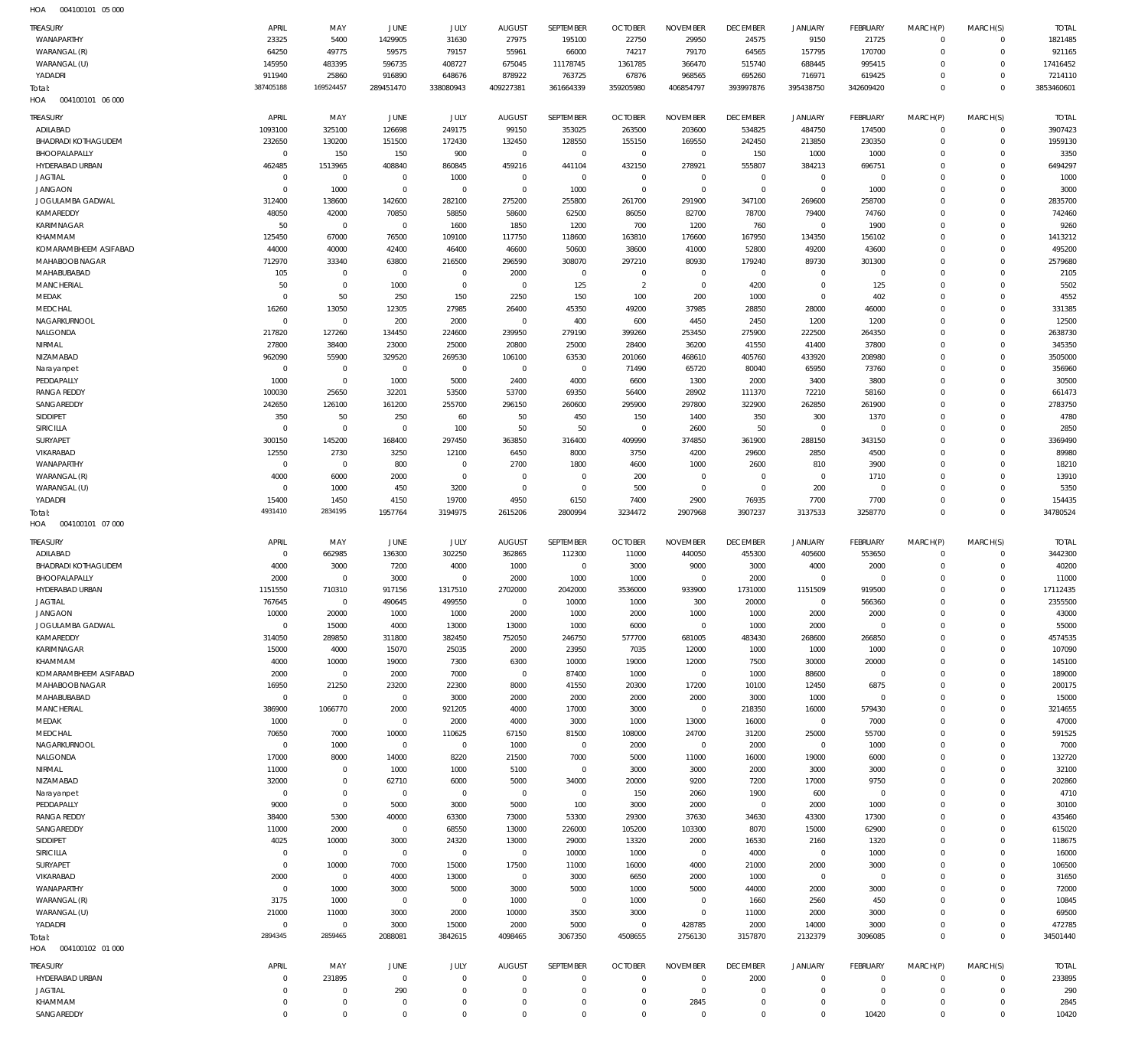004100101 05 000 HOA

| TREASURY<br>WANAPARTHY           | APRIL<br>23325           | MAY<br>5400                | JUNE<br>1429905            | JULY<br>31630              | <b>AUGUST</b><br>27975  | SEPTEMBER<br>195100        | <b>OCTOBER</b><br>22750    | <b>NOVEMBER</b><br>29950   | <b>DECEMBER</b><br>24575   | <b>JANUARY</b><br>9150     | <b>FEBRUARY</b><br>21725 | MARCH(P)<br>$^{\circ}$     | MARCH(S)<br>$\mathbf 0$    | <b>TOTAL</b><br>1821485 |
|----------------------------------|--------------------------|----------------------------|----------------------------|----------------------------|-------------------------|----------------------------|----------------------------|----------------------------|----------------------------|----------------------------|--------------------------|----------------------------|----------------------------|-------------------------|
| WARANGAL (R)                     | 64250                    | 49775                      | 59575                      | 79157                      | 55961                   | 66000                      | 74217                      | 79170                      | 64565                      | 157795                     | 170700                   | $\mathbf 0$                | $\mathbf 0$                | 921165                  |
| WARANGAL (U)<br>YADADRI          | 145950<br>911940         | 483395<br>25860            | 596735<br>916890           | 408727<br>648676           | 675045<br>878922        | 11178745<br>763725         | 1361785<br>67876           | 366470<br>968565           | 515740<br>695260           | 688445<br>716971           | 995415<br>619425         | $\mathbf 0$<br>$\mathbf 0$ | $\mathbf 0$<br>$\mathbf 0$ | 17416452<br>7214110     |
| Total:                           | 387405188                | 169524457                  | 289451470                  | 338080943                  | 409227381               | 361664339                  | 359205980                  | 406854797                  | 393997876                  | 395438750                  | 342609420                | $\mathbf 0$                | $\Omega$                   | 3853460601              |
| HOA<br>004100101 06 000          |                          |                            |                            |                            |                         |                            |                            |                            |                            |                            |                          |                            |                            |                         |
| TREASURY                         | APRIL                    | MAY                        | JUNE                       | JULY                       | <b>AUGUST</b>           | SEPTEMBER                  | <b>OCTOBER</b>             | <b>NOVEMBER</b>            | <b>DECEMBER</b>            | <b>JANUARY</b>             | <b>FEBRUARY</b>          | MARCH(P)                   | MARCH(S)                   | <b>TOTAL</b>            |
| ADILABAD                         | 1093100                  | 325100                     | 126698                     | 249175                     | 99150                   | 353025                     | 263500                     | 203600                     | 534825                     | 484750                     | 174500                   | $^{\circ}$                 | $\mathbf 0$                | 3907423                 |
| <b>BHADRADI KOTHAGUDEM</b>       | 232650                   | 130200                     | 151500                     | 172430                     | 132450                  | 128550                     | 155150                     | 169550                     | 242450                     | 213850                     | 230350                   | $\Omega$                   | 0                          | 1959130                 |
| BHOOPALAPALLY                    | $\mathbf 0$              | 150                        | 150                        | 900                        | $\mathbf 0$             | $\mathbf 0$                | $\overline{0}$             | $\mathbf 0$                | 150                        | 1000                       | 1000                     | $\Omega$                   | $\mathbf 0$                | 3350                    |
| HYDERABAD URBAN                  | 462485                   | 1513965                    | 408840                     | 860845                     | 459216                  | 441104                     | 432150                     | 278921                     | 555807                     | 384213                     | 696751                   | $\Omega$                   | 0                          | 6494297                 |
| <b>JAGTIAL</b>                   | $\mathbf 0$              | $\mathbb O$                | $\mathbf 0$                | 1000                       | $\mathbf 0$             | $\mathbf 0$                | $^{\circ}$                 | $\mathbf 0$                | $\mathbf 0$                | $\mathbf 0$                | $\overline{0}$           | $\Omega$                   | $\Omega$                   | 1000                    |
| <b>JANGAON</b>                   | $^{\circ}$               | 1000                       | $\mathbf 0$                | $\mathbf 0$                | $\mathbf 0$             | 1000                       | $\overline{0}$             | $\mathbf 0$                | $\mathbf 0$                | $\mathbf 0$                | 1000                     | $\Omega$                   | 0                          | 3000                    |
| JOGULAMBA GADWAL                 | 312400                   | 138600                     | 142600                     | 282100                     | 275200                  | 255800                     | 261700                     | 291900                     | 347100                     | 269600                     | 258700                   | $\Omega$                   | $\Omega$                   | 2835700                 |
| KAMAREDDY<br>KARIMNAGAR          | 48050<br>50              | 42000<br>$\mathbf 0$       | 70850<br>$\mathbf 0$       | 58850<br>1600              | 58600<br>1850           | 62500<br>1200              | 86050<br>700               | 82700<br>1200              | 78700<br>760               | 79400<br>$\mathbf 0$       | 74760<br>1900            | $\Omega$<br>$\Omega$       | 0<br>$\Omega$              | 742460<br>9260          |
| KHAMMAM                          | 125450                   | 67000                      | 76500                      | 109100                     | 117750                  | 118600                     | 163810                     | 176600                     | 167950                     | 134350                     | 156102                   | $\Omega$                   | $\Omega$                   | 1413212                 |
| KOMARAMBHEEM ASIFABAD            | 44000                    | 40000                      | 42400                      | 46400                      | 46600                   | 50600                      | 38600                      | 41000                      | 52800                      | 49200                      | 43600                    | $\Omega$                   | $\Omega$                   | 495200                  |
| MAHABOOB NAGAR                   | 712970                   | 33340                      | 63800                      | 216500                     | 296590                  | 308070                     | 297210                     | 80930                      | 179240                     | 89730                      | 301300                   | $\Omega$                   | $\Omega$                   | 2579680                 |
| MAHABUBABAD                      | 105                      | $\mathbf 0$                | $\mathbf 0$                | $\mathbf 0$                | 2000                    | $\mathbf 0$                | $^{\circ}$                 | $\mathbf 0$                | $\mathbf 0$                | $\mathbf 0$                | $\overline{0}$           | $\Omega$                   | $\Omega$                   | 2105                    |
| <b>MANCHERIAL</b>                | 50                       | $\mathbf 0$                | 1000                       | $\mathbf 0$                | $\mathbf 0$             | 125                        | $\overline{2}$             | $\mathbf 0$                | 4200                       | $\mathbf 0$                | 125                      | $\Omega$                   | $\Omega$                   | 5502                    |
| MEDAK                            | $\mathbf 0$              | 50                         | 250                        | 150                        | 2250                    | 150                        | 100                        | 200                        | 1000                       | $\mathbf 0$                | 402                      | $\Omega$                   | $\Omega$                   | 4552                    |
| MEDCHAL                          | 16260                    | 13050<br>$\mathbf 0$       | 12305                      | 27985                      | 26400                   | 45350                      | 49200                      | 37985                      | 28850                      | 28000                      | 46000                    | $\Omega$<br>$\Omega$       | $\Omega$<br>$\Omega$       | 331385                  |
| NAGARKURNOOL<br>NALGONDA         | $\mathbf{0}$<br>217820   | 127260                     | 200<br>134450              | 2000<br>224600             | $\mathbf 0$<br>239950   | 400<br>279190              | 600<br>399260              | 4450<br>253450             | 2450<br>275900             | 1200<br>222500             | 1200<br>264350           | $\Omega$                   | $\Omega$                   | 12500<br>2638730        |
| NIRMAL                           | 27800                    | 38400                      | 23000                      | 25000                      | 20800                   | 25000                      | 28400                      | 36200                      | 41550                      | 41400                      | 37800                    | $\Omega$                   | $\Omega$                   | 345350                  |
| NIZAMABAD                        | 962090                   | 55900                      | 329520                     | 269530                     | 106100                  | 63530                      | 201060                     | 468610                     | 405760                     | 433920                     | 208980                   | $\Omega$                   | $\Omega$                   | 3505000                 |
| Narayanpet                       | $\mathbf 0$              | $\mathbf 0$                | $\mathbf 0$                | 0                          | $\mathbf 0$             | $\mathbf 0$                | 71490                      | 65720                      | 80040                      | 65950                      | 73760                    | $\Omega$                   | $\Omega$                   | 356960                  |
| PEDDAPALLY                       | 1000                     | $\mathbf 0$                | 1000                       | 5000                       | 2400                    | 4000                       | 6600                       | 1300                       | 2000                       | 3400                       | 3800                     | $\Omega$                   | $\Omega$                   | 30500                   |
| <b>RANGA REDDY</b>               | 100030                   | 25650                      | 32201                      | 53500                      | 53700                   | 69350                      | 56400                      | 28902                      | 111370                     | 72210                      | 58160                    | $\Omega$                   | $\mathbf 0$                | 661473                  |
| SANGAREDDY                       | 242650                   | 126100                     | 161200                     | 255700                     | 296150                  | 260600                     | 295900                     | 297800                     | 322900                     | 262850                     | 261900                   | $\Omega$                   | $\Omega$                   | 2783750                 |
| SIDDIPET                         | 350                      | 50                         | 250                        | 60                         | 50                      | 450                        | 150                        | 1400                       | 350                        | 300                        | 1370                     | $\Omega$                   | $\Omega$                   | 4780                    |
| SIRICILLA<br>SURYAPET            | $\mathbf 0$<br>300150    | $\mathbf 0$<br>145200      | $\mathbf 0$<br>168400      | 100<br>297450              | 50<br>363850            | 50<br>316400               | $\overline{0}$<br>409990   | 2600<br>374850             | 50<br>361900               | $\mathbf 0$<br>288150      | $\overline{0}$<br>343150 | $\Omega$<br>$\Omega$       | $\Omega$<br>$\Omega$       | 2850<br>3369490         |
| VIKARABAD                        | 12550                    | 2730                       | 3250                       | 12100                      | 6450                    | 8000                       | 3750                       | 4200                       | 29600                      | 2850                       | 4500                     | $\Omega$                   | $\Omega$                   | 89980                   |
| WANAPARTHY                       | $^{\circ}$               | $\mathbb O$                | 800                        | $^{\circ}$                 | 2700                    | 1800                       | 4600                       | 1000                       | 2600                       | 810                        | 3900                     | $\Omega$                   | $\Omega$                   | 18210                   |
| WARANGAL (R)                     | 4000                     | 6000                       | 2000                       | $\mathbf 0$                | $^{\circ}$              | $\mathbf 0$                | 200                        | $^{\circ}$                 | $^{\circ}$                 | $\mathbf 0$                | 1710                     | $\Omega$                   | $\Omega$                   | 13910                   |
| WARANGAL (U)                     | $^{\circ}$               | 1000                       | 450                        | 3200                       | $^{\circ}$              | $\mathbf 0$                | 500                        | $\mathbf 0$                | $\mathbf 0$                | 200                        | $\overline{0}$           | $\Omega$                   | $\Omega$                   | 5350                    |
| YADADRI                          | 15400                    | 1450                       | 4150                       | 19700                      | 4950                    | 6150                       | 7400                       | 2900                       | 76935                      | 7700                       | 7700                     | $\Omega$                   | $\mathbf 0$                | 154435                  |
| Total:                           | 4931410                  | 2834195                    | 1957764                    | 3194975                    | 2615206                 | 2800994                    | 3234472                    | 2907968                    | 3907237                    | 3137533                    | 3258770                  | $\Omega$                   | $\Omega$                   | 34780524                |
|                                  |                          |                            |                            |                            |                         |                            |                            |                            |                            |                            |                          |                            |                            |                         |
| HOA<br>004100101 07 000          |                          |                            |                            |                            |                         |                            |                            |                            |                            |                            |                          |                            |                            |                         |
| TREASURY                         | APRIL                    | MAY                        | JUNE                       | JULY                       | <b>AUGUST</b>           | SEPTEMBER                  | <b>OCTOBER</b>             | <b>NOVEMBER</b>            | <b>DECEMBER</b>            | <b>JANUARY</b>             | <b>FEBRUARY</b>          | MARCH(P)                   | MARCH(S)                   | <b>TOTAL</b>            |
| ADILABAD                         | $^{\circ}$               | 662985                     | 136300                     | 302250                     | 362865                  | 112300                     | 11000                      | 440050                     | 455300                     | 405600                     | 553650                   | $^{\circ}$                 | $\mathbf 0$                | 3442300                 |
| <b>BHADRADI KOTHAGUDEM</b>       | 4000                     | 3000                       | 7200                       | 4000                       | 1000                    | $\mathbf 0$                | 3000                       | 9000                       | 3000                       | 4000                       | 2000                     | $\mathbf 0$                | $\mathbf 0$                | 40200                   |
| BHOOPALAPALLY                    | 2000                     | $\mathbb O$                | 3000                       | $\mathbb O$                | 2000                    | 1000                       | 1000                       | $\mathbf 0$                | 2000                       | $\mathbb O$                | $\mathbf 0$              | $\mathbf 0$                | 0                          | 11000                   |
| HYDERABAD URBAN                  | 1151550                  | 710310                     | 917156                     | 1317510                    | 2702000                 | 2042000                    | 3536000                    | 933900                     | 1731000                    | 1151509                    | 919500                   | $\Omega$                   | $\mathbf 0$                | 17112435                |
| <b>JAGTIAL</b><br><b>JANGAON</b> | 767645<br>10000          | $\mathbf 0$<br>20000       | 490645<br>1000             | 499550<br>1000             | $\mathbf 0$<br>2000     | 10000<br>1000              | 1000<br>2000               | 300<br>1000                | 20000<br>1000              | $\mathbf 0$<br>2000        | 566360<br>2000           | $\mathbf 0$<br>0           | $\mathbf 0$<br>0           | 2355500<br>43000        |
| JOGULAMBA GADWAL                 | $\mathbf 0$              | 15000                      | 4000                       | 13000                      | 13000                   | 1000                       | 6000                       | $\overline{0}$             | 1000                       | 2000                       | $\overline{0}$           | $\mathbf 0$                | $\mathbf 0$                | 55000                   |
| KAMAREDDY                        | 314050                   | 289850                     | 311800                     | 382450                     | 752050                  | 246750                     | 577700                     | 681005                     | 483430                     | 268600                     | 266850                   | $\mathbf 0$                | $\mathbf 0$                | 4574535                 |
| <b>KARIMNAGAR</b>                | 15000                    | 4000                       | 15070                      | 25035                      | 2000                    | 23950                      | 7035                       | 12000                      | 1000                       | 1000                       | 1000                     | $\mathbf 0$                | $\mathbf 0$                | 107090                  |
| KHAMMAM                          | 4000                     | 10000                      | 19000                      | 7300                       | 6300                    | 10000                      | 19000                      | 12000                      | 7500                       | 30000                      | 20000                    | 0                          | $\mathbf 0$                | 145100                  |
| KOMARAMBHEEM ASIFABAD            | 2000                     | $\mathbf 0$                | 2000                       | 7000                       | $\overline{0}$          | 87400                      | 1000                       | $\overline{0}$             | 1000                       | 88600                      | $\overline{0}$           | $\mathbf 0$                | $\mathbf 0$                | 189000                  |
| MAHABOOB NAGAR                   | 16950                    | 21250                      | 23200                      | 22300                      | 8000                    | 41550                      | 20300                      | 17200                      | 10100                      | 12450                      | 6875                     | $\mathbf 0$                | $\mathbf 0$                | 200175                  |
| MAHABUBABAD                      | $\mathbf 0$              | $\mathbf 0$                | $\,0\,$                    | 3000                       | 2000                    | 2000                       | 2000                       | 2000<br>$\mathbb O$        | 3000                       | 1000                       | $\overline{0}$           | $\mathbf 0$<br>$\mathbf 0$ | $\mathbf 0$<br>$\mathbf 0$ | 15000                   |
| MANCHERIAL<br>MEDAK              | 386900<br>1000           | 1066770<br>$\mathbf 0$     | 2000<br>$\mathbf 0$        | 921205<br>2000             | 4000<br>4000            | 17000<br>3000              | 3000<br>1000               | 13000                      | 218350<br>16000            | 16000<br>$\mathbf 0$       | 579430<br>7000           | $\mathbf 0$                | $\mathbf 0$                | 3214655<br>47000        |
| MEDCHAL                          | 70650                    | 7000                       | 10000                      | 110625                     | 67150                   | 81500                      | 108000                     | 24700                      | 31200                      | 25000                      | 55700                    | $\mathbf 0$                | $\mathbf 0$                | 591525                  |
| NAGARKURNOOL                     | $\mathbf 0$              | 1000                       | $\,0\,$                    | $\mathbf 0$                | 1000                    | $\overline{0}$             | 2000                       | $\overline{0}$             | 2000                       | $\mathbf 0$                | 1000                     | $\mathbf 0$                | $\mathbf 0$                | 7000                    |
| NALGONDA                         | 17000                    | 8000                       | 14000                      | 8220                       | 21500                   | 7000                       | 5000                       | 11000                      | 16000                      | 19000                      | 6000                     | 0                          | $\mathbf 0$                | 132720                  |
| NIRMAL                           | 11000                    | $\mathbf 0$                | 1000                       | 1000                       | 5100                    | $\overline{0}$             | 3000                       | 3000                       | 2000                       | 3000                       | 3000                     | $\mathbf 0$                | $\mathbf 0$                | 32100                   |
| NIZAMABAD                        | 32000                    | $\mathbf 0$                | 62710                      | 6000                       | 5000                    | 34000                      | 20000                      | 9200                       | 7200                       | 17000                      | 9750                     | $\mathbf 0$                | $\mathbf 0$                | 202860                  |
| Narayanpet                       | $\mathbf 0$              | $\mathbf 0$                | $\,0\,$                    | $\mathbf 0$                | $\mathbf 0$             | $\overline{0}$             | 150                        | 2060                       | 1900                       | 600                        | $\overline{0}$           | $\mathbf 0$<br>$\mathbf 0$ | $\mathbf 0$<br>$\mathbf 0$ | 4710                    |
| PEDDAPALLY<br>RANGA REDDY        | 9000<br>38400            | $\mathbf 0$<br>5300        | 5000<br>40000              | 3000<br>63300              | 5000<br>73000           | 100<br>53300               | 3000<br>29300              | 2000<br>37630              | $\mathbf 0$<br>34630       | 2000<br>43300              | 1000<br>17300            | $\mathbf 0$                | $\mathbf 0$                | 30100<br>435460         |
| SANGAREDDY                       | 11000                    | 2000                       | $\,0\,$                    | 68550                      | 13000                   | 226000                     | 105200                     | 103300                     | 8070                       | 15000                      | 62900                    | $\mathbf 0$                | $\mathbf 0$                | 615020                  |
| SIDDIPET                         | 4025                     | 10000                      | 3000                       | 24320                      | 13000                   | 29000                      | 13320                      | 2000                       | 16530                      | 2160                       | 1320                     | $\mathbf 0$                | $\mathbf 0$                | 118675                  |
| SIRICILLA                        | $\mathbf 0$              | $\mathbf 0$                | $\mathbb O$                | $\mathbb O$                | $\mathbb O$             | 10000                      | 1000                       | $\mathbb O$                | 4000                       | $\mathbb O$                | 1000                     | $\mathbf 0$                | $\mathbf 0$                | 16000                   |
| SURYAPET                         | $\mathbf 0$              | 10000                      | 7000                       | 15000                      | 17500                   | 11000                      | 16000                      | 4000                       | 21000                      | 2000                       | 3000                     | $\mathbf 0$                | $\mathbf 0$                | 106500                  |
| VIKARABAD                        | 2000                     | $\mathbf 0$                | 4000                       | 13000                      | $\mathbf 0$             | 3000                       | 6650                       | 2000                       | 1000                       | $\,0\,$                    | $\overline{0}$           | $\mathbf 0$                | $\mathbf 0$                | 31650                   |
| WANAPARTHY                       | $\mathbf 0$              | 1000                       | 3000                       | 5000                       | 3000                    | 5000                       | 1000                       | 5000                       | 44000                      | 2000                       | 3000                     | $\mathbf 0$<br>0           | 0<br>$\mathbf 0$           | 72000                   |
| WARANGAL (R)<br>WARANGAL (U)     | 3175<br>21000            | 1000<br>11000              | $\,0\,$<br>3000            | $\mathbf 0$<br>2000        | 1000<br>10000           | $\overline{0}$<br>3500     | 1000<br>3000               | $\mathbf 0$<br>$\mathbf 0$ | 1660<br>11000              | 2560<br>2000               | 450<br>3000              | $\mathbf 0$                | $\mathbf 0$                | 10845<br>69500          |
| YADADRI                          | $\mathbf 0$              | $\mathbf 0$                | 3000                       | 15000                      | 2000                    | 5000                       | $\overline{0}$             | 428785                     | 2000                       | 14000                      | 3000                     | $\mathbf 0$                | $\mathbf 0$                | 472785                  |
| Total:                           | 2894345                  | 2859465                    | 2088081                    | 3842615                    | 4098465                 | 3067350                    | 4508655                    | 2756130                    | 3157870                    | 2132379                    | 3096085                  | $\mathbf 0$                | $\mathbf 0$                | 34501440                |
| HOA<br>004100102 01 000          |                          |                            |                            |                            |                         |                            |                            |                            |                            |                            |                          |                            |                            |                         |
| TREASURY                         | APRIL                    | MAY                        | <b>JUNE</b>                | <b>JULY</b>                | <b>AUGUST</b>           | SEPTEMBER                  | <b>OCTOBER</b>             | <b>NOVEMBER</b>            | <b>DECEMBER</b>            | <b>JANUARY</b>             | <b>FEBRUARY</b>          | MARCH(P)                   | MARCH(S)                   | <b>TOTAL</b>            |
| HYDERABAD URBAN                  | $\mathbf 0$              | 231895                     | $\mathbf 0$                | $\mathbf 0$                | $\mathbf 0$             | $\mathbf 0$                | $^{\circ}$                 | $\Omega$                   | 2000                       | $\mathbf 0$                | $\overline{0}$           | $\Omega$                   | $\mathbf 0$                | 233895                  |
| <b>JAGTIAL</b>                   | $^{\circ}$               | $\mathbf 0$                | 290                        | $\mathbf 0$                | $^{\circ}$              | $\mathbf 0$                | $^{\circ}$                 | $\mathbf 0$                | $\mathbf 0$                | $\mathbf 0$                | $\overline{0}$           | $\mathbf 0$                | $\mathbf 0$                | 290                     |
| KHAMMAM<br>SANGAREDDY            | $\mathbf{0}$<br>$\Omega$ | $\mathbf 0$<br>$\mathbf 0$ | $\mathbb O$<br>$\mathbf 0$ | $\mathbf 0$<br>$\mathbf 0$ | $\mathbf 0$<br>$\Omega$ | $\mathbb O$<br>$\mathbf 0$ | $\mathbf 0$<br>$\mathbf 0$ | 2845<br>$\mathbf 0$        | $\mathbf 0$<br>$\mathbf 0$ | $\mathbb O$<br>$\mathbf 0$ | $\overline{0}$<br>10420  | $\mathbf 0$<br>$\mathbf 0$ | 0<br>$\mathbf 0$           | 2845<br>10420           |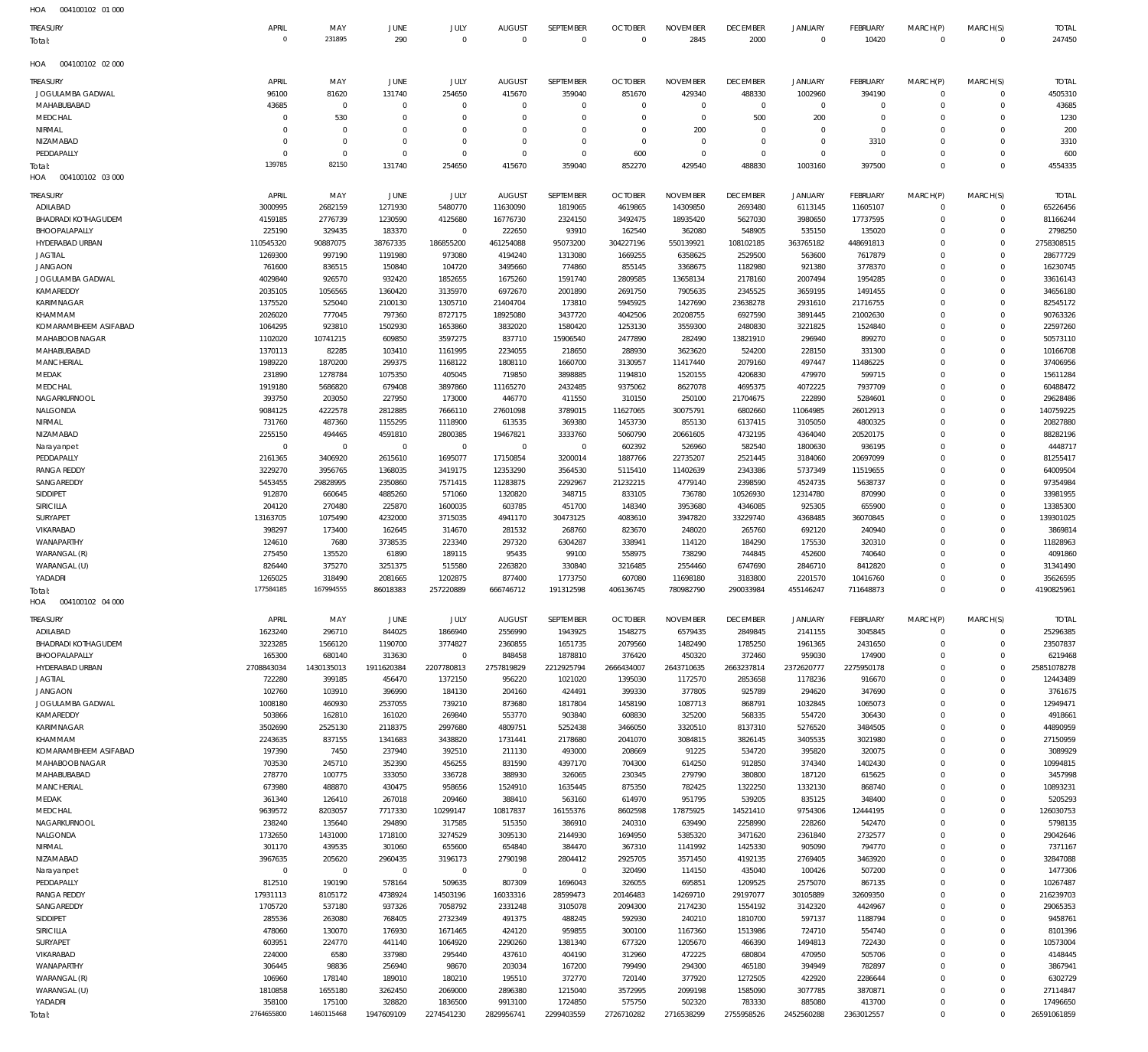| 231895<br>290<br>2845<br>2000<br>$\Omega$<br>$\overline{0}$<br>$\overline{0}$<br>$\mathbf{0}$<br>$\overline{0}$<br>$\mathbf{0}$<br>10420<br>$\overline{0}$<br>$\overline{0}$<br>247450<br>HOA<br>004100102 02 000<br><b>NOVEMBER</b><br><b>TREASURY</b><br>APRIL<br>MAY<br>JUNE<br>JULY<br><b>AUGUST</b><br>SEPTEMBER<br><b>OCTOBER</b><br><b>DECEMBER</b><br><b>JANUARY</b><br><b>FEBRUARY</b><br>MARCH(P)<br>MARCH(S)<br><b>TOTAL</b><br>4505310<br>JOGULAMBA GADWAL<br>96100<br>81620<br>131740<br>254650<br>415670<br>359040<br>851670<br>429340<br>488330<br>1002960<br>394190<br>$\overline{0}$<br>$^{\circ}$<br>MAHABUBABAD<br>43685<br>$\overline{0}$<br>$\overline{0}$<br>$\overline{0}$<br>$\overline{0}$<br>$\mathbf{0}$<br>$\overline{0}$<br>$\mathbf 0$<br>$\overline{0}$<br>$\overline{0}$<br>$\overline{0}$<br>$\overline{0}$<br>43685<br>$\mathbf 0$<br>1230<br>MEDCHAL<br>530<br>$\overline{0}$<br>$\Omega$<br>$\mathbf 0$<br>$\overline{0}$<br>$\overline{0}$<br>500<br>200<br>$\overline{0}$<br>$\overline{0}$<br>$^{\circ}$<br>$\Omega$<br>$\Omega$<br>NIRMAL<br>$\overline{0}$<br>$\Omega$<br>$\overline{0}$<br>200<br>$\overline{0}$<br>$\mathbf 0$<br>$\overline{0}$<br>$\overline{0}$<br>200<br>$\Omega$<br>$^{\circ}$<br>$^{\circ}$<br>$\mathbf 0$<br>$\Omega$<br>NIZAMABAD<br>$\overline{0}$<br>$\overline{0}$<br>$\overline{0}$<br>$\overline{0}$<br>$\overline{0}$<br>$\mathbf 0$<br>3310<br>$\mathbf 0$<br>3310<br>$^{\circ}$<br>$^{\circ}$<br>$\mathbf 0$<br>$\mathbf 0$<br>$\Omega$<br>PEDDAPALLY<br>$\overline{0}$<br>$\overline{0}$<br>$\mathbf 0$<br>$\overline{0}$<br>$\mathbf{0}$<br>600<br>$\mathbf{0}$<br>$\overline{0}$<br>$\mathbf 0$<br>$\overline{0}$<br>$\Omega$<br>$\overline{0}$<br>600<br>$^{\circ}$<br>139785<br>82150<br>$\Omega$<br>131740<br>254650<br>415670<br>359040<br>852270<br>429540<br>488830<br>1003160<br>397500<br>$\Omega$<br>4554335<br>Total:<br>HOA<br>004100102 03 000<br>APRIL<br>MAY<br><b>JUNE</b><br><b>JULY</b><br><b>AUGUST</b><br>SEPTEMBER<br><b>OCTOBER</b><br><b>NOVEMBER</b><br><b>DECEMBER</b><br><b>JANUARY</b><br><b>FEBRUARY</b><br>MARCH(P)<br>MARCH(S)<br><b>TOTAL</b><br>ADILABAD<br>3000995<br>2682159<br>1271930<br>5480770<br>11630090<br>1819065<br>4619865<br>14309850<br>2693480<br>6113145<br>11605107<br>$\mathbf 0$<br>$\overline{0}$<br>65226456<br>81166244<br><b>BHADRADI KOTHAGUDEM</b><br>4159185<br>2776739<br>1230590<br>4125680<br>16776730<br>2324150<br>3492475<br>18935420<br>5627030<br>3980650<br>17737595<br>$\Omega$<br>$\overline{0}$<br>BHOOPALAPALLY<br>225190<br>329435<br>183370<br>$\mathbf 0$<br>222650<br>93910<br>162540<br>362080<br>548905<br>535150<br>135020<br>$\overline{0}$<br>2798250<br>$\Omega$<br>186855200<br>HYDERABAD URBAN<br>110545320<br>90887075<br>38767335<br>461254088<br>95073200<br>304227196<br>550139921<br>108102185<br>363765182<br>448691813<br>$\mathbf 0$<br>2758308515<br>$\Omega$<br>28677729<br><b>JAGTIAL</b><br>1269300<br>997190<br>1191980<br>973080<br>4194240<br>1313080<br>1669255<br>6358625<br>2529500<br>563600<br>7617879<br>$\overline{0}$<br>$\Omega$<br>16230745<br>JANGAON<br>761600<br>836515<br>150840<br>104720<br>3495660<br>774860<br>855145<br>3368675<br>1182980<br>921380<br>3778370<br>$\Omega$<br>$\mathbf 0$<br>4029840<br>JOGULAMBA GADWAL<br>926570<br>932420<br>1852655<br>1675260<br>1591740<br>2809585<br>13658134<br>2178160<br>2007494<br>1954285<br>$\Omega$<br>$\Omega$<br>33616143<br>KAMAREDDY<br>2035105<br>1056565<br>1360420<br>3135970<br>6972670<br>2001890<br>2691750<br>7905635<br>2345525<br>3659195<br>1491455<br>$\Omega$<br>$\mathbf 0$<br>34656180<br>KARIMNAGAR<br>1375520<br>525040<br>2100130<br>1305710<br>21404704<br>173810<br>5945925<br>1427690<br>23638278<br>2931610<br>21716755<br>$\Omega$<br>82545172<br>$\Omega$<br>90763326<br>KHAMMAM<br>2026020<br>777045<br>797360<br>8727175<br>18925080<br>3437720<br>4042506<br>20208755<br>6927590<br>3891445<br>21002630<br>$\Omega$<br>$\mathbf 0$<br>KOMARAMBHEEM ASIFABAD<br>1064295<br>923810<br>1502930<br>1653860<br>3832020<br>1580420<br>1253130<br>3559300<br>2480830<br>3221825<br>1524840<br>$\Omega$<br>22597260<br>$\Omega$<br>MAHABOOB NAGAR<br>50573110<br>1102020<br>10741215<br>609850<br>3597275<br>837710<br>15906540<br>2477890<br>282490<br>13821910<br>296940<br>899270<br>$\Omega$<br>$\Omega$<br>MAHABUBABAD<br>1370113<br>82285<br>103410<br>1161995<br>2234055<br>218650<br>288930<br>3623620<br>524200<br>228150<br>331300<br>$\overline{0}$<br>10166708<br>$\Omega$<br>37406956<br>MANCHERIAL<br>1989220<br>1870200<br>299375<br>1168122<br>1808110<br>1660700<br>3130957<br>11417440<br>2079160<br>497447<br>11486225<br>$\Omega$<br>$\mathbf 0$<br>MEDAK<br>231890<br>1278784<br>1075350<br>405045<br>719850<br>3898885<br>1194810<br>1520155<br>4206830<br>479970<br>599715<br>$\Omega$<br>$\Omega$<br>15611284<br>60488472<br>MEDCHAL<br>1919180<br>5686820<br>679408<br>3897860<br>11165270<br>2432485<br>9375062<br>8627078<br>4695375<br>4072225<br>7937709<br>$\Omega$<br>$\mathbf 0$<br>NAGARKURNOOL<br>393750<br>203050<br>227950<br>173000<br>446770<br>411550<br>310150<br>250100<br>21704675<br>222890<br>5284601<br>$\Omega$<br>29628486<br>$\Omega$<br>NALGONDA<br>9084125<br>4222578<br>2812885<br>7666110<br>27601098<br>3789015<br>11627065<br>30075791<br>6802660<br>11064985<br>26012913<br>$\Omega$<br>$\mathbf 0$<br>140759225<br>NIRMAL<br>731760<br>487360<br>1155295<br>1118900<br>613535<br>369380<br>1453730<br>855130<br>6137415<br>3105050<br>4800325<br>$\mathbf 0$<br>20827880<br>$\Omega$<br>NIZAMABAD<br>2255150<br>494465<br>4591810<br>2800385<br>19467821<br>3333760<br>5060790<br>20661605<br>4732195<br>4364040<br>20520175<br>$\Omega$<br>$\mathbf 0$<br>88282196<br>$\mathbf 0$<br>$\mathbf 0$<br>$\Omega$<br>$\mathbf 0$<br>$\mathbf 0$<br>602392<br>526960<br>582540<br>1800630<br>936195<br>$\Omega$<br>4448717<br>$\Omega$<br>$\Omega$<br>Narayanpet<br>PEDDAPALLY<br>2161365<br>3406920<br>2615610<br>1695077<br>17150854<br>3200014<br>1887766<br>22735207<br>2521445<br>3184060<br>20697099<br>$\Omega$<br>$\mathbf 0$<br>81255417<br><b>RANGA REDDY</b><br>3229270<br>3956765<br>1368035<br>3419175<br>12353290<br>3564530<br>5115410<br>11402639<br>2343386<br>5737349<br>11519655<br>$\Omega$<br>$\Omega$<br>64009504<br>5453455<br>SANGAREDDY<br>29828995<br>2350860<br>7571415<br>11283875<br>2292967<br>21232215<br>4779140<br>2398590<br>4524735<br>5638737<br>$\mathbf 0$<br>97354984<br>$\Omega$<br>SIDDIPET<br>912870<br>660645<br>4885260<br>571060<br>1320820<br>348715<br>833105<br>736780<br>10526930<br>12314780<br>870990<br>$\Omega$<br>33981955<br>$\Omega$<br>13385300<br>SIRICILLA<br>204120<br>270480<br>225870<br>1600035<br>603785<br>451700<br>148340<br>3953680<br>4346085<br>925305<br>655900<br>$\Omega$<br>$\Omega$<br>SURYAPET<br>13163705<br>1075490<br>4232000<br>3715035<br>4941170<br>30473125<br>4083610<br>3947820<br>33229740<br>4368485<br>36070845<br>$\mathbf 0$<br>139301025<br>$\Omega$<br>3869814<br>VIKARABAD<br>398297<br>173400<br>162645<br>314670<br>281532<br>268760<br>823670<br>248020<br>265760<br>692120<br>240940<br>$\Omega$<br>$\Omega$<br>WANAPARTHY<br>124610<br>7680<br>3738535<br>223340<br>297320<br>6304287<br>338941<br>114120<br>184290<br>175530<br>320310<br>$\overline{0}$<br>11828963<br>$\Omega$<br>WARANGAL (R)<br>275450<br>135520<br>61890<br>189115<br>95435<br>99100<br>558975<br>738290<br>744845<br>452600<br>740640<br>$\mathbf 0$<br>4091860<br>O<br>WARANGAL (U)<br>826440<br>375270<br>3251375<br>515580<br>2263820<br>330840<br>3216485<br>2554460<br>6747690<br>2846710<br>8412820<br>$\Omega$<br>31341490<br>$\Omega$<br>YADADRI<br>1265025<br>318490<br>2081665<br>1202875<br>877400<br>1773750<br>607080<br>11698180<br>3183800<br>2201570<br>10416760<br>$\mathbf 0$<br>35626595<br>0<br>177584185<br>167994555<br>86018383<br>257220889<br>666746712<br>191312598<br>406136745<br>780982790<br>290033984<br>455146247<br>711648873<br>$\Omega$<br>$\Omega$<br>4190825961<br>Total:<br>HOA<br>004100102 04 000<br><b>TREASURY</b><br>APRIL<br>MAY<br>JUNE<br>JULY<br><b>AUGUST</b><br>SEPTEMBER<br><b>OCTOBER</b><br><b>NOVEMBER</b><br><b>DECEMBER</b><br><b>JANUARY</b><br>FEBRUARY<br>MARCH(P)<br>MARCH(S)<br><b>TOTAL</b><br>ADILABAD<br>1623240<br>296710<br>844025<br>1866940<br>2556990<br>1943925<br>1548275<br>6579435<br>2849845<br>2141155<br>3045845<br>$\overline{0}$<br>$\overline{0}$<br>25296385<br>$\overline{0}$<br>23507837<br><b>BHADRADI KOTHAGUDEM</b><br>3223285<br>1566120<br>1190700<br>3774827<br>2360855<br>1651735<br>2079560<br>1482490<br>1785250<br>1961365<br>2431650<br>$\mathbf 0$<br>$\overline{0}$<br>BHOOPALAPALLY<br>165300<br>680140<br>313630<br>$\mathbf 0$<br>848458<br>1878810<br>376420<br>450320<br>372460<br>959030<br>174900<br>$\Omega$<br>6219468<br>$\overline{0}$<br>HYDERABAD URBAN<br>2708843034<br>1430135013<br>1911620384<br>2207780813<br>2757819829<br>2212925794<br>2666434007<br>2643710635<br>2663237814<br>2372620777<br>2275950178<br>25851078278<br>$\mathbf 0$<br>$\Omega$<br><b>JAGTIAL</b><br>722280<br>399185<br>456470<br>1372150<br>956220<br>1021020<br>1395030<br>1172570<br>2853658<br>1178236<br>916670<br>$\Omega$<br>12443489<br><b>JANGAON</b><br>102760<br>103910<br>396990<br>184130<br>204160<br>424491<br>399330<br>377805<br>925789<br>294620<br>347690<br>$\overline{0}$<br>3761675<br>$\Omega$<br>JOGULAMBA GADWAL<br>1008180<br>460930<br>2537055<br>739210<br>873680<br>1817804<br>1458190<br>1087713<br>868791<br>1032845<br>1065073<br>$\mathbf 0$<br>$\overline{0}$<br>12949471<br>4918661<br>KAMAREDDY<br>503866<br>162810<br>161020<br>269840<br>553770<br>903840<br>608830<br>325200<br>568335<br>554720<br>306430<br>$\Omega$<br>$\overline{0}$<br>KARIMNAGAR<br>3502690<br>2525130<br>2118375<br>2997680<br>4809751<br>5252438<br>3466050<br>3320510<br>8137310<br>5276520<br>3484505<br>$\Omega$<br>$\overline{0}$<br>44890959<br>KHAMMAM<br>2243635<br>837155<br>1341683<br>3438820<br>1731441<br>2178680<br>2041070<br>3084815<br>3826145<br>3405535<br>3021980<br>$\overline{0}$<br>27150959<br>$\Omega$<br>3089929<br>KOMARAMBHEEM ASIFABAD<br>197390<br>7450<br>237940<br>392510<br>211130<br>493000<br>208669<br>91225<br>534720<br>395820<br>320075<br>$\Omega$<br>$\Omega$<br>MAHABOOB NAGAR<br>703530<br>245710<br>352390<br>456255<br>831590<br>4397170<br>704300<br>614250<br>912850<br>374340<br>1402430<br>$\mathbf 0$<br>$\overline{0}$<br>10994815<br>MAHABUBABAD<br>278770<br>100775<br>333050<br>336728<br>388930<br>326065<br>230345<br>279790<br>380800<br>187120<br>615625<br>$\Omega$<br>$\Omega$<br>3457998<br>MANCHERIAL<br>673980<br>488870<br>430475<br>958656<br>1524910<br>1635445<br>875350<br>782425<br>1322250<br>1332130<br>868740<br>$\overline{0}$<br>10893231<br>$\Omega$<br>$\overline{0}$<br>MEDAK<br>361340<br>126410<br>267018<br>209460<br>388410<br>563160<br>614970<br>951795<br>539205<br>835125<br>348400<br>$\Omega$<br>5205293<br>$\overline{0}$<br>126030753<br>MEDCHAL<br>9639572<br>8203057<br>7717330<br>10299147<br>10817837<br>16155376<br>8602598<br>17875925<br>14521410<br>9754306<br>12444195<br>$\Omega$<br>NAGARKURNOOL<br>238240<br>135640<br>294890<br>317585<br>515350<br>386910<br>240310<br>639490<br>2258990<br>228260<br>542470<br>$\mathbf 0$<br>$\overline{0}$<br>5798135<br>NALGONDA<br>1732650<br>1431000<br>1718100<br>3274529<br>3095130<br>2144930<br>1694950<br>5385320<br>3471620<br>2361840<br>2732577<br>$\Omega$<br>$\overline{0}$<br>29042646<br>NIRMAL<br>301170<br>439535<br>301060<br>655600<br>654840<br>384470<br>367310<br>1141992<br>1425330<br>905090<br>794770<br>$\Omega$<br>$\Omega$<br>7371167<br>NIZAMABAD<br>3967635<br>205620<br>2960435<br>3196173<br>2790198<br>2804412<br>2925705<br>3571450<br>4192135<br>2769405<br>3463920<br>$\mathbf 0$<br>$\overline{0}$<br>32847088<br>$\overline{0}$<br>$\overline{0}$<br>$\overline{0}$<br>$\mathbf 0$<br>$\,0\,$<br>$\,0\,$<br>320490<br>114150<br>435040<br>100426<br>507200<br>$\Omega$<br>$\Omega$<br>1477306<br>Narayanpet<br>PEDDAPALLY<br>812510<br>190190<br>578164<br>509635<br>807309<br>1696043<br>326055<br>695851<br>1209525<br>2575070<br>867135<br>$\Omega$<br>$\overline{0}$<br>10267487<br>$\overline{0}$<br><b>RANGA REDDY</b><br>17931113<br>8105172<br>4738924<br>14503196<br>16033316<br>28599473<br>20146483<br>14269710<br>29197077<br>30105889<br>32609350<br>$\Omega$<br>216239703<br>$\overline{0}$<br>SANGAREDDY<br>1705720<br>537180<br>937326<br>7058792<br>2331248<br>3105078<br>2094300<br>2174230<br>1554192<br>3142320<br>4424967<br>$\Omega$<br>29065353<br>SIDDIPET<br>285536<br>263080<br>768405<br>2732349<br>491375<br>488245<br>592930<br>240210<br>1810700<br>597137<br>1188794<br>$\mathbf 0$<br>$\overline{0}$<br>9458761<br>SIRICILLA<br>478060<br>130070<br>176930<br>1671465<br>424120<br>959855<br>300100<br>1167360<br>1513986<br>724710<br>554740<br>$\mathbf 0$<br>8101396<br>$\Omega$<br>SURYAPET<br>603951<br>224770<br>441140<br>1064920<br>2290260<br>1381340<br>677320<br>1205670<br>466390<br>1494813<br>722430<br>$\Omega$<br>$\Omega$<br>10573004<br>4148445<br>VIKARABAD<br>224000<br>6580<br>337980<br>295440<br>437610<br>404190<br>312960<br>472225<br>680804<br>470950<br>505706<br>$\mathbf 0$<br>$\overline{0}$<br>WANAPARTHY<br>306445<br>98836<br>256940<br>98670<br>203034<br>167200<br>799490<br>294300<br>465180<br>394949<br>782897<br>$\Omega$<br>$\Omega$<br>3867941<br>6302729<br>WARANGAL (R)<br>106960<br>178140<br>189010<br>180210<br>195510<br>372770<br>720140<br>377920<br>1272505<br>422920<br>2286644<br>$\Omega$<br>$\overline{0}$<br>WARANGAL (U)<br>1810858<br>1655180<br>3262450<br>2069000<br>2896380<br>1215040<br>3572995<br>2099198<br>1585090<br>3077785<br>3870871<br>$\Omega$<br>$\Omega$<br>27114847<br>YADADRI<br>358100<br>175100<br>328820<br>1836500<br>9913100<br>1724850<br>575750<br>502320<br>783330<br>885080<br>413700<br>$\mathbf 0$<br>$\overline{0}$<br>17496650<br>2764655800<br>1460115468<br>1947609109<br>2274541230<br>2829956741<br>2299403559<br>2726710282<br>2716538299<br>2755958526<br>2452560288<br>2363012557<br>$\mathbf 0$<br>$\Omega$<br>26591061859<br>Total: | 1011<br><b>TREASURY</b> | APRIL | MAY | JUNE | JULY | <b>AUGUST</b> | SEPTEMBER | <b>OCTOBER</b> | <b>NOVEMBER</b> | <b>DECEMBER</b> | <b>JANUARY</b> | <b>FEBRUARY</b> | MARCH(P) | MARCH(S) | <b>TOTAL</b> |
|----------------------------------------------------------------------------------------------------------------------------------------------------------------------------------------------------------------------------------------------------------------------------------------------------------------------------------------------------------------------------------------------------------------------------------------------------------------------------------------------------------------------------------------------------------------------------------------------------------------------------------------------------------------------------------------------------------------------------------------------------------------------------------------------------------------------------------------------------------------------------------------------------------------------------------------------------------------------------------------------------------------------------------------------------------------------------------------------------------------------------------------------------------------------------------------------------------------------------------------------------------------------------------------------------------------------------------------------------------------------------------------------------------------------------------------------------------------------------------------------------------------------------------------------------------------------------------------------------------------------------------------------------------------------------------------------------------------------------------------------------------------------------------------------------------------------------------------------------------------------------------------------------------------------------------------------------------------------------------------------------------------------------------------------------------------------------------------------------------------------------------------------------------------------------------------------------------------------------------------------------------------------------------------------------------------------------------------------------------------------------------------------------------------------------------------------------------------------------------------------------------------------------------------------------------------------------------------------------------------------------------------------------------------------------------------------------------------------------------------------------------------------------------------------------------------------------------------------------------------------------------------------------------------------------------------------------------------------------------------------------------------------------------------------------------------------------------------------------------------------------------------------------------------------------------------------------------------------------------------------------------------------------------------------------------------------------------------------------------------------------------------------------------------------------------------------------------------------------------------------------------------------------------------------------------------------------------------------------------------------------------------------------------------------------------------------------------------------------------------------------------------------------------------------------------------------------------------------------------------------------------------------------------------------------------------------------------------------------------------------------------------------------------------------------------------------------------------------------------------------------------------------------------------------------------------------------------------------------------------------------------------------------------------------------------------------------------------------------------------------------------------------------------------------------------------------------------------------------------------------------------------------------------------------------------------------------------------------------------------------------------------------------------------------------------------------------------------------------------------------------------------------------------------------------------------------------------------------------------------------------------------------------------------------------------------------------------------------------------------------------------------------------------------------------------------------------------------------------------------------------------------------------------------------------------------------------------------------------------------------------------------------------------------------------------------------------------------------------------------------------------------------------------------------------------------------------------------------------------------------------------------------------------------------------------------------------------------------------------------------------------------------------------------------------------------------------------------------------------------------------------------------------------------------------------------------------------------------------------------------------------------------------------------------------------------------------------------------------------------------------------------------------------------------------------------------------------------------------------------------------------------------------------------------------------------------------------------------------------------------------------------------------------------------------------------------------------------------------------------------------------------------------------------------------------------------------------------------------------------------------------------------------------------------------------------------------------------------------------------------------------------------------------------------------------------------------------------------------------------------------------------------------------------------------------------------------------------------------------------------------------------------------------------------------------------------------------------------------------------------------------------------------------------------------------------------------------------------------------------------------------------------------------------------------------------------------------------------------------------------------------------------------------------------------------------------------------------------------------------------------------------------------------------------------------------------------------------------------------------------------------------------------------------------------------------------------------------------------------------------------------------------------------------------------------------------------------------------------------------------------------------------------------------------------------------------------------------------------------------------------------------------------------------------------------------------------------------------------------------------------------------------------------------------------------------------------------------------------------------------------------------------------------------------------------------------------------------------------------------------------------------------------------------------------------------------------------------------------------------------------------------------------------------------------------------------------------------------------------------------------------------------------------------------------------------------------------------------------------------------------------------------------------------------------------------------------------------------------------------------------------------------------------------------------------------------------------------------------------------------------------------------------------------------------------------------------------------------------------------------------------------------------------------------------------------------------------------------------------------------------------------------------------------------------------------------------------------------------------------------------------------------------------------------------------------------------------------------------------------------------------------------------------------------------------------------------------------------------------------------------------------------------------------------------------------------------------------------------------------------------------------------------------------------------------------------------------------------------------------------------------------------------------------------------------------------------------------------------------------------------------------------------------------------------------------------------------------------------------------------------------------------------------------------------------------------------------------------------------------------------------------------------------------------------------------------------------------------------------------------------------------------------------------------------------------------------------------------------------------------------------------------------------------------------------------------------------------------------------------------------------------------------------------------------------------------------------------------------------------------------------------------------------------------------------------------------------------------------------------------------------------------------------------------------------------------------------------------------------------------------------------------------------------------------------------------------------------------------------------------------------------------------------------------------------------------------------------------------------------------------------------------------------------------------------------------------------------------------------------------------------------------------------------------------------------------------------------------------------------------------------------------------------------------------------------------------------------------------------------------------------------------------------------------------------------------------------------------------------------------------------------------------------------------------------------------------------------------------------------------------------------------------------------------------------------------------------------------------------------------------------------------------------------------------------------------------------------------------------------------------------------------------------------------------------------------------------------------------------------------------------------------------------------------------------------------------------------------------------------------------------------------------------------------------------------------------------------------------------------------------------------------------------------------------------------------------------------------------------------------------------------------------------------------------------------------------------------------------------------------------------------------------------------------------------------------------------------------------------------------------------------------------------------------------------------------------------------------------------------------------------------------------------------------------------------------------------------------------------------------------------------------------------------------------------------------------------------------------------------------------------------------------------------------------------------------------------------------------------------------------------------------------------------------------------------------------------------------------------------------------------------------------------------------------------------------------------------------------------------------------------------------------------------------------------------------------------------------------------------------------------------------------------------------------------------------------------------------------------------------------------------------------------------------------------------------------------------------------------------------------------------------------------------------------------------------------------------------------------------------------------------------------------------------------------------------------------------------------------------------------------------------------------------------------------------------------------------------------------------------------------------------------------------------------------------------------------------------------------------|-------------------------|-------|-----|------|------|---------------|-----------|----------------|-----------------|-----------------|----------------|-----------------|----------|----------|--------------|
|                                                                                                                                                                                                                                                                                                                                                                                                                                                                                                                                                                                                                                                                                                                                                                                                                                                                                                                                                                                                                                                                                                                                                                                                                                                                                                                                                                                                                                                                                                                                                                                                                                                                                                                                                                                                                                                                                                                                                                                                                                                                                                                                                                                                                                                                                                                                                                                                                                                                                                                                                                                                                                                                                                                                                                                                                                                                                                                                                                                                                                                                                                                                                                                                                                                                                                                                                                                                                                                                                                                                                                                                                                                                                                                                                                                                                                                                                                                                                                                                                                                                                                                                                                                                                                                                                                                                                                                                                                                                                                                                                                                                                                                                                                                                                                                                                                                                                                                                                                                                                                                                                                                                                                                                                                                                                                                                                                                                                                                                                                                                                                                                                                                                                                                                                                                                                                                                                                                                                                                                                                                                                                                                                                                                                                                                                                                                                                                                                                                                                                                                                                                                                                                                                                                                                                                                                                                                                                                                                                                                                                                                                                                                                                                                                                                                                                                                                                                                                                                                                                                                                                                                                                                                                                                                                                                                                                                                                                                                                                                                                                                                                                                                                                                                                                                                                                                                                                                                                                                                                                                                                                                                                                                                                                                                                                                                                                                                                                                                                                                                                                                                                                                                                                                                                                                                                                                                                                                                                                                                                                                                                                                                                                                                                                                                                                                                                                                                                                                                                                                                                                                                                                                                                                                                                                                                                                                                                                                                                                                                                                                                                                                                                                                                                                                                                                                                                                                                                                                                                                                                                                                                                                                                                                                                                                                                                                                                                                                                                                                                                                                                                                                                                                                                                                                                                                                                                                                                                                                                                                                                                                                                                                                                                                                                                                                                                                                                                                                                                                                                                                                                                                                                                                                                                                                                                                                                                                                                                                                                                                                                                                                                                                                                                                                                                                                                                                                                                                                                                                                                                                                                                                                                                                                                                                                                                                                                                                                                                                                                                                                                                                                                                                                                                                                                                                                                                                                                                                | Total:                  |       |     |      |      |               |           |                |                 |                 |                |                 |          |          |              |
|                                                                                                                                                                                                                                                                                                                                                                                                                                                                                                                                                                                                                                                                                                                                                                                                                                                                                                                                                                                                                                                                                                                                                                                                                                                                                                                                                                                                                                                                                                                                                                                                                                                                                                                                                                                                                                                                                                                                                                                                                                                                                                                                                                                                                                                                                                                                                                                                                                                                                                                                                                                                                                                                                                                                                                                                                                                                                                                                                                                                                                                                                                                                                                                                                                                                                                                                                                                                                                                                                                                                                                                                                                                                                                                                                                                                                                                                                                                                                                                                                                                                                                                                                                                                                                                                                                                                                                                                                                                                                                                                                                                                                                                                                                                                                                                                                                                                                                                                                                                                                                                                                                                                                                                                                                                                                                                                                                                                                                                                                                                                                                                                                                                                                                                                                                                                                                                                                                                                                                                                                                                                                                                                                                                                                                                                                                                                                                                                                                                                                                                                                                                                                                                                                                                                                                                                                                                                                                                                                                                                                                                                                                                                                                                                                                                                                                                                                                                                                                                                                                                                                                                                                                                                                                                                                                                                                                                                                                                                                                                                                                                                                                                                                                                                                                                                                                                                                                                                                                                                                                                                                                                                                                                                                                                                                                                                                                                                                                                                                                                                                                                                                                                                                                                                                                                                                                                                                                                                                                                                                                                                                                                                                                                                                                                                                                                                                                                                                                                                                                                                                                                                                                                                                                                                                                                                                                                                                                                                                                                                                                                                                                                                                                                                                                                                                                                                                                                                                                                                                                                                                                                                                                                                                                                                                                                                                                                                                                                                                                                                                                                                                                                                                                                                                                                                                                                                                                                                                                                                                                                                                                                                                                                                                                                                                                                                                                                                                                                                                                                                                                                                                                                                                                                                                                                                                                                                                                                                                                                                                                                                                                                                                                                                                                                                                                                                                                                                                                                                                                                                                                                                                                                                                                                                                                                                                                                                                                                                                                                                                                                                                                                                                                                                                                                                                                                                                                                                                                |                         |       |     |      |      |               |           |                |                 |                 |                |                 |          |          |              |
|                                                                                                                                                                                                                                                                                                                                                                                                                                                                                                                                                                                                                                                                                                                                                                                                                                                                                                                                                                                                                                                                                                                                                                                                                                                                                                                                                                                                                                                                                                                                                                                                                                                                                                                                                                                                                                                                                                                                                                                                                                                                                                                                                                                                                                                                                                                                                                                                                                                                                                                                                                                                                                                                                                                                                                                                                                                                                                                                                                                                                                                                                                                                                                                                                                                                                                                                                                                                                                                                                                                                                                                                                                                                                                                                                                                                                                                                                                                                                                                                                                                                                                                                                                                                                                                                                                                                                                                                                                                                                                                                                                                                                                                                                                                                                                                                                                                                                                                                                                                                                                                                                                                                                                                                                                                                                                                                                                                                                                                                                                                                                                                                                                                                                                                                                                                                                                                                                                                                                                                                                                                                                                                                                                                                                                                                                                                                                                                                                                                                                                                                                                                                                                                                                                                                                                                                                                                                                                                                                                                                                                                                                                                                                                                                                                                                                                                                                                                                                                                                                                                                                                                                                                                                                                                                                                                                                                                                                                                                                                                                                                                                                                                                                                                                                                                                                                                                                                                                                                                                                                                                                                                                                                                                                                                                                                                                                                                                                                                                                                                                                                                                                                                                                                                                                                                                                                                                                                                                                                                                                                                                                                                                                                                                                                                                                                                                                                                                                                                                                                                                                                                                                                                                                                                                                                                                                                                                                                                                                                                                                                                                                                                                                                                                                                                                                                                                                                                                                                                                                                                                                                                                                                                                                                                                                                                                                                                                                                                                                                                                                                                                                                                                                                                                                                                                                                                                                                                                                                                                                                                                                                                                                                                                                                                                                                                                                                                                                                                                                                                                                                                                                                                                                                                                                                                                                                                                                                                                                                                                                                                                                                                                                                                                                                                                                                                                                                                                                                                                                                                                                                                                                                                                                                                                                                                                                                                                                                                                                                                                                                                                                                                                                                                                                                                                                                                                                                                                                                |                         |       |     |      |      |               |           |                |                 |                 |                |                 |          |          |              |
|                                                                                                                                                                                                                                                                                                                                                                                                                                                                                                                                                                                                                                                                                                                                                                                                                                                                                                                                                                                                                                                                                                                                                                                                                                                                                                                                                                                                                                                                                                                                                                                                                                                                                                                                                                                                                                                                                                                                                                                                                                                                                                                                                                                                                                                                                                                                                                                                                                                                                                                                                                                                                                                                                                                                                                                                                                                                                                                                                                                                                                                                                                                                                                                                                                                                                                                                                                                                                                                                                                                                                                                                                                                                                                                                                                                                                                                                                                                                                                                                                                                                                                                                                                                                                                                                                                                                                                                                                                                                                                                                                                                                                                                                                                                                                                                                                                                                                                                                                                                                                                                                                                                                                                                                                                                                                                                                                                                                                                                                                                                                                                                                                                                                                                                                                                                                                                                                                                                                                                                                                                                                                                                                                                                                                                                                                                                                                                                                                                                                                                                                                                                                                                                                                                                                                                                                                                                                                                                                                                                                                                                                                                                                                                                                                                                                                                                                                                                                                                                                                                                                                                                                                                                                                                                                                                                                                                                                                                                                                                                                                                                                                                                                                                                                                                                                                                                                                                                                                                                                                                                                                                                                                                                                                                                                                                                                                                                                                                                                                                                                                                                                                                                                                                                                                                                                                                                                                                                                                                                                                                                                                                                                                                                                                                                                                                                                                                                                                                                                                                                                                                                                                                                                                                                                                                                                                                                                                                                                                                                                                                                                                                                                                                                                                                                                                                                                                                                                                                                                                                                                                                                                                                                                                                                                                                                                                                                                                                                                                                                                                                                                                                                                                                                                                                                                                                                                                                                                                                                                                                                                                                                                                                                                                                                                                                                                                                                                                                                                                                                                                                                                                                                                                                                                                                                                                                                                                                                                                                                                                                                                                                                                                                                                                                                                                                                                                                                                                                                                                                                                                                                                                                                                                                                                                                                                                                                                                                                                                                                                                                                                                                                                                                                                                                                                                                                                                                                                                                |                         |       |     |      |      |               |           |                |                 |                 |                |                 |          |          |              |
|                                                                                                                                                                                                                                                                                                                                                                                                                                                                                                                                                                                                                                                                                                                                                                                                                                                                                                                                                                                                                                                                                                                                                                                                                                                                                                                                                                                                                                                                                                                                                                                                                                                                                                                                                                                                                                                                                                                                                                                                                                                                                                                                                                                                                                                                                                                                                                                                                                                                                                                                                                                                                                                                                                                                                                                                                                                                                                                                                                                                                                                                                                                                                                                                                                                                                                                                                                                                                                                                                                                                                                                                                                                                                                                                                                                                                                                                                                                                                                                                                                                                                                                                                                                                                                                                                                                                                                                                                                                                                                                                                                                                                                                                                                                                                                                                                                                                                                                                                                                                                                                                                                                                                                                                                                                                                                                                                                                                                                                                                                                                                                                                                                                                                                                                                                                                                                                                                                                                                                                                                                                                                                                                                                                                                                                                                                                                                                                                                                                                                                                                                                                                                                                                                                                                                                                                                                                                                                                                                                                                                                                                                                                                                                                                                                                                                                                                                                                                                                                                                                                                                                                                                                                                                                                                                                                                                                                                                                                                                                                                                                                                                                                                                                                                                                                                                                                                                                                                                                                                                                                                                                                                                                                                                                                                                                                                                                                                                                                                                                                                                                                                                                                                                                                                                                                                                                                                                                                                                                                                                                                                                                                                                                                                                                                                                                                                                                                                                                                                                                                                                                                                                                                                                                                                                                                                                                                                                                                                                                                                                                                                                                                                                                                                                                                                                                                                                                                                                                                                                                                                                                                                                                                                                                                                                                                                                                                                                                                                                                                                                                                                                                                                                                                                                                                                                                                                                                                                                                                                                                                                                                                                                                                                                                                                                                                                                                                                                                                                                                                                                                                                                                                                                                                                                                                                                                                                                                                                                                                                                                                                                                                                                                                                                                                                                                                                                                                                                                                                                                                                                                                                                                                                                                                                                                                                                                                                                                                                                                                                                                                                                                                                                                                                                                                                                                                                                                                                                                |                         |       |     |      |      |               |           |                |                 |                 |                |                 |          |          |              |
|                                                                                                                                                                                                                                                                                                                                                                                                                                                                                                                                                                                                                                                                                                                                                                                                                                                                                                                                                                                                                                                                                                                                                                                                                                                                                                                                                                                                                                                                                                                                                                                                                                                                                                                                                                                                                                                                                                                                                                                                                                                                                                                                                                                                                                                                                                                                                                                                                                                                                                                                                                                                                                                                                                                                                                                                                                                                                                                                                                                                                                                                                                                                                                                                                                                                                                                                                                                                                                                                                                                                                                                                                                                                                                                                                                                                                                                                                                                                                                                                                                                                                                                                                                                                                                                                                                                                                                                                                                                                                                                                                                                                                                                                                                                                                                                                                                                                                                                                                                                                                                                                                                                                                                                                                                                                                                                                                                                                                                                                                                                                                                                                                                                                                                                                                                                                                                                                                                                                                                                                                                                                                                                                                                                                                                                                                                                                                                                                                                                                                                                                                                                                                                                                                                                                                                                                                                                                                                                                                                                                                                                                                                                                                                                                                                                                                                                                                                                                                                                                                                                                                                                                                                                                                                                                                                                                                                                                                                                                                                                                                                                                                                                                                                                                                                                                                                                                                                                                                                                                                                                                                                                                                                                                                                                                                                                                                                                                                                                                                                                                                                                                                                                                                                                                                                                                                                                                                                                                                                                                                                                                                                                                                                                                                                                                                                                                                                                                                                                                                                                                                                                                                                                                                                                                                                                                                                                                                                                                                                                                                                                                                                                                                                                                                                                                                                                                                                                                                                                                                                                                                                                                                                                                                                                                                                                                                                                                                                                                                                                                                                                                                                                                                                                                                                                                                                                                                                                                                                                                                                                                                                                                                                                                                                                                                                                                                                                                                                                                                                                                                                                                                                                                                                                                                                                                                                                                                                                                                                                                                                                                                                                                                                                                                                                                                                                                                                                                                                                                                                                                                                                                                                                                                                                                                                                                                                                                                                                                                                                                                                                                                                                                                                                                                                                                                                                                                                                                                                |                         |       |     |      |      |               |           |                |                 |                 |                |                 |          |          |              |
|                                                                                                                                                                                                                                                                                                                                                                                                                                                                                                                                                                                                                                                                                                                                                                                                                                                                                                                                                                                                                                                                                                                                                                                                                                                                                                                                                                                                                                                                                                                                                                                                                                                                                                                                                                                                                                                                                                                                                                                                                                                                                                                                                                                                                                                                                                                                                                                                                                                                                                                                                                                                                                                                                                                                                                                                                                                                                                                                                                                                                                                                                                                                                                                                                                                                                                                                                                                                                                                                                                                                                                                                                                                                                                                                                                                                                                                                                                                                                                                                                                                                                                                                                                                                                                                                                                                                                                                                                                                                                                                                                                                                                                                                                                                                                                                                                                                                                                                                                                                                                                                                                                                                                                                                                                                                                                                                                                                                                                                                                                                                                                                                                                                                                                                                                                                                                                                                                                                                                                                                                                                                                                                                                                                                                                                                                                                                                                                                                                                                                                                                                                                                                                                                                                                                                                                                                                                                                                                                                                                                                                                                                                                                                                                                                                                                                                                                                                                                                                                                                                                                                                                                                                                                                                                                                                                                                                                                                                                                                                                                                                                                                                                                                                                                                                                                                                                                                                                                                                                                                                                                                                                                                                                                                                                                                                                                                                                                                                                                                                                                                                                                                                                                                                                                                                                                                                                                                                                                                                                                                                                                                                                                                                                                                                                                                                                                                                                                                                                                                                                                                                                                                                                                                                                                                                                                                                                                                                                                                                                                                                                                                                                                                                                                                                                                                                                                                                                                                                                                                                                                                                                                                                                                                                                                                                                                                                                                                                                                                                                                                                                                                                                                                                                                                                                                                                                                                                                                                                                                                                                                                                                                                                                                                                                                                                                                                                                                                                                                                                                                                                                                                                                                                                                                                                                                                                                                                                                                                                                                                                                                                                                                                                                                                                                                                                                                                                                                                                                                                                                                                                                                                                                                                                                                                                                                                                                                                                                                                                                                                                                                                                                                                                                                                                                                                                                                                                                                                                |                         |       |     |      |      |               |           |                |                 |                 |                |                 |          |          |              |
|                                                                                                                                                                                                                                                                                                                                                                                                                                                                                                                                                                                                                                                                                                                                                                                                                                                                                                                                                                                                                                                                                                                                                                                                                                                                                                                                                                                                                                                                                                                                                                                                                                                                                                                                                                                                                                                                                                                                                                                                                                                                                                                                                                                                                                                                                                                                                                                                                                                                                                                                                                                                                                                                                                                                                                                                                                                                                                                                                                                                                                                                                                                                                                                                                                                                                                                                                                                                                                                                                                                                                                                                                                                                                                                                                                                                                                                                                                                                                                                                                                                                                                                                                                                                                                                                                                                                                                                                                                                                                                                                                                                                                                                                                                                                                                                                                                                                                                                                                                                                                                                                                                                                                                                                                                                                                                                                                                                                                                                                                                                                                                                                                                                                                                                                                                                                                                                                                                                                                                                                                                                                                                                                                                                                                                                                                                                                                                                                                                                                                                                                                                                                                                                                                                                                                                                                                                                                                                                                                                                                                                                                                                                                                                                                                                                                                                                                                                                                                                                                                                                                                                                                                                                                                                                                                                                                                                                                                                                                                                                                                                                                                                                                                                                                                                                                                                                                                                                                                                                                                                                                                                                                                                                                                                                                                                                                                                                                                                                                                                                                                                                                                                                                                                                                                                                                                                                                                                                                                                                                                                                                                                                                                                                                                                                                                                                                                                                                                                                                                                                                                                                                                                                                                                                                                                                                                                                                                                                                                                                                                                                                                                                                                                                                                                                                                                                                                                                                                                                                                                                                                                                                                                                                                                                                                                                                                                                                                                                                                                                                                                                                                                                                                                                                                                                                                                                                                                                                                                                                                                                                                                                                                                                                                                                                                                                                                                                                                                                                                                                                                                                                                                                                                                                                                                                                                                                                                                                                                                                                                                                                                                                                                                                                                                                                                                                                                                                                                                                                                                                                                                                                                                                                                                                                                                                                                                                                                                                                                                                                                                                                                                                                                                                                                                                                                                                                                                                                                                |                         |       |     |      |      |               |           |                |                 |                 |                |                 |          |          |              |
|                                                                                                                                                                                                                                                                                                                                                                                                                                                                                                                                                                                                                                                                                                                                                                                                                                                                                                                                                                                                                                                                                                                                                                                                                                                                                                                                                                                                                                                                                                                                                                                                                                                                                                                                                                                                                                                                                                                                                                                                                                                                                                                                                                                                                                                                                                                                                                                                                                                                                                                                                                                                                                                                                                                                                                                                                                                                                                                                                                                                                                                                                                                                                                                                                                                                                                                                                                                                                                                                                                                                                                                                                                                                                                                                                                                                                                                                                                                                                                                                                                                                                                                                                                                                                                                                                                                                                                                                                                                                                                                                                                                                                                                                                                                                                                                                                                                                                                                                                                                                                                                                                                                                                                                                                                                                                                                                                                                                                                                                                                                                                                                                                                                                                                                                                                                                                                                                                                                                                                                                                                                                                                                                                                                                                                                                                                                                                                                                                                                                                                                                                                                                                                                                                                                                                                                                                                                                                                                                                                                                                                                                                                                                                                                                                                                                                                                                                                                                                                                                                                                                                                                                                                                                                                                                                                                                                                                                                                                                                                                                                                                                                                                                                                                                                                                                                                                                                                                                                                                                                                                                                                                                                                                                                                                                                                                                                                                                                                                                                                                                                                                                                                                                                                                                                                                                                                                                                                                                                                                                                                                                                                                                                                                                                                                                                                                                                                                                                                                                                                                                                                                                                                                                                                                                                                                                                                                                                                                                                                                                                                                                                                                                                                                                                                                                                                                                                                                                                                                                                                                                                                                                                                                                                                                                                                                                                                                                                                                                                                                                                                                                                                                                                                                                                                                                                                                                                                                                                                                                                                                                                                                                                                                                                                                                                                                                                                                                                                                                                                                                                                                                                                                                                                                                                                                                                                                                                                                                                                                                                                                                                                                                                                                                                                                                                                                                                                                                                                                                                                                                                                                                                                                                                                                                                                                                                                                                                                                                                                                                                                                                                                                                                                                                                                                                                                                                                                                                                                |                         |       |     |      |      |               |           |                |                 |                 |                |                 |          |          |              |
|                                                                                                                                                                                                                                                                                                                                                                                                                                                                                                                                                                                                                                                                                                                                                                                                                                                                                                                                                                                                                                                                                                                                                                                                                                                                                                                                                                                                                                                                                                                                                                                                                                                                                                                                                                                                                                                                                                                                                                                                                                                                                                                                                                                                                                                                                                                                                                                                                                                                                                                                                                                                                                                                                                                                                                                                                                                                                                                                                                                                                                                                                                                                                                                                                                                                                                                                                                                                                                                                                                                                                                                                                                                                                                                                                                                                                                                                                                                                                                                                                                                                                                                                                                                                                                                                                                                                                                                                                                                                                                                                                                                                                                                                                                                                                                                                                                                                                                                                                                                                                                                                                                                                                                                                                                                                                                                                                                                                                                                                                                                                                                                                                                                                                                                                                                                                                                                                                                                                                                                                                                                                                                                                                                                                                                                                                                                                                                                                                                                                                                                                                                                                                                                                                                                                                                                                                                                                                                                                                                                                                                                                                                                                                                                                                                                                                                                                                                                                                                                                                                                                                                                                                                                                                                                                                                                                                                                                                                                                                                                                                                                                                                                                                                                                                                                                                                                                                                                                                                                                                                                                                                                                                                                                                                                                                                                                                                                                                                                                                                                                                                                                                                                                                                                                                                                                                                                                                                                                                                                                                                                                                                                                                                                                                                                                                                                                                                                                                                                                                                                                                                                                                                                                                                                                                                                                                                                                                                                                                                                                                                                                                                                                                                                                                                                                                                                                                                                                                                                                                                                                                                                                                                                                                                                                                                                                                                                                                                                                                                                                                                                                                                                                                                                                                                                                                                                                                                                                                                                                                                                                                                                                                                                                                                                                                                                                                                                                                                                                                                                                                                                                                                                                                                                                                                                                                                                                                                                                                                                                                                                                                                                                                                                                                                                                                                                                                                                                                                                                                                                                                                                                                                                                                                                                                                                                                                                                                                                                                                                                                                                                                                                                                                                                                                                                                                                                                                                                                                | <b>TREASURY</b>         |       |     |      |      |               |           |                |                 |                 |                |                 |          |          |              |
|                                                                                                                                                                                                                                                                                                                                                                                                                                                                                                                                                                                                                                                                                                                                                                                                                                                                                                                                                                                                                                                                                                                                                                                                                                                                                                                                                                                                                                                                                                                                                                                                                                                                                                                                                                                                                                                                                                                                                                                                                                                                                                                                                                                                                                                                                                                                                                                                                                                                                                                                                                                                                                                                                                                                                                                                                                                                                                                                                                                                                                                                                                                                                                                                                                                                                                                                                                                                                                                                                                                                                                                                                                                                                                                                                                                                                                                                                                                                                                                                                                                                                                                                                                                                                                                                                                                                                                                                                                                                                                                                                                                                                                                                                                                                                                                                                                                                                                                                                                                                                                                                                                                                                                                                                                                                                                                                                                                                                                                                                                                                                                                                                                                                                                                                                                                                                                                                                                                                                                                                                                                                                                                                                                                                                                                                                                                                                                                                                                                                                                                                                                                                                                                                                                                                                                                                                                                                                                                                                                                                                                                                                                                                                                                                                                                                                                                                                                                                                                                                                                                                                                                                                                                                                                                                                                                                                                                                                                                                                                                                                                                                                                                                                                                                                                                                                                                                                                                                                                                                                                                                                                                                                                                                                                                                                                                                                                                                                                                                                                                                                                                                                                                                                                                                                                                                                                                                                                                                                                                                                                                                                                                                                                                                                                                                                                                                                                                                                                                                                                                                                                                                                                                                                                                                                                                                                                                                                                                                                                                                                                                                                                                                                                                                                                                                                                                                                                                                                                                                                                                                                                                                                                                                                                                                                                                                                                                                                                                                                                                                                                                                                                                                                                                                                                                                                                                                                                                                                                                                                                                                                                                                                                                                                                                                                                                                                                                                                                                                                                                                                                                                                                                                                                                                                                                                                                                                                                                                                                                                                                                                                                                                                                                                                                                                                                                                                                                                                                                                                                                                                                                                                                                                                                                                                                                                                                                                                                                                                                                                                                                                                                                                                                                                                                                                                                                                                                                                                                |                         |       |     |      |      |               |           |                |                 |                 |                |                 |          |          |              |
|                                                                                                                                                                                                                                                                                                                                                                                                                                                                                                                                                                                                                                                                                                                                                                                                                                                                                                                                                                                                                                                                                                                                                                                                                                                                                                                                                                                                                                                                                                                                                                                                                                                                                                                                                                                                                                                                                                                                                                                                                                                                                                                                                                                                                                                                                                                                                                                                                                                                                                                                                                                                                                                                                                                                                                                                                                                                                                                                                                                                                                                                                                                                                                                                                                                                                                                                                                                                                                                                                                                                                                                                                                                                                                                                                                                                                                                                                                                                                                                                                                                                                                                                                                                                                                                                                                                                                                                                                                                                                                                                                                                                                                                                                                                                                                                                                                                                                                                                                                                                                                                                                                                                                                                                                                                                                                                                                                                                                                                                                                                                                                                                                                                                                                                                                                                                                                                                                                                                                                                                                                                                                                                                                                                                                                                                                                                                                                                                                                                                                                                                                                                                                                                                                                                                                                                                                                                                                                                                                                                                                                                                                                                                                                                                                                                                                                                                                                                                                                                                                                                                                                                                                                                                                                                                                                                                                                                                                                                                                                                                                                                                                                                                                                                                                                                                                                                                                                                                                                                                                                                                                                                                                                                                                                                                                                                                                                                                                                                                                                                                                                                                                                                                                                                                                                                                                                                                                                                                                                                                                                                                                                                                                                                                                                                                                                                                                                                                                                                                                                                                                                                                                                                                                                                                                                                                                                                                                                                                                                                                                                                                                                                                                                                                                                                                                                                                                                                                                                                                                                                                                                                                                                                                                                                                                                                                                                                                                                                                                                                                                                                                                                                                                                                                                                                                                                                                                                                                                                                                                                                                                                                                                                                                                                                                                                                                                                                                                                                                                                                                                                                                                                                                                                                                                                                                                                                                                                                                                                                                                                                                                                                                                                                                                                                                                                                                                                                                                                                                                                                                                                                                                                                                                                                                                                                                                                                                                                                                                                                                                                                                                                                                                                                                                                                                                                                                                                                                                                |                         |       |     |      |      |               |           |                |                 |                 |                |                 |          |          |              |
|                                                                                                                                                                                                                                                                                                                                                                                                                                                                                                                                                                                                                                                                                                                                                                                                                                                                                                                                                                                                                                                                                                                                                                                                                                                                                                                                                                                                                                                                                                                                                                                                                                                                                                                                                                                                                                                                                                                                                                                                                                                                                                                                                                                                                                                                                                                                                                                                                                                                                                                                                                                                                                                                                                                                                                                                                                                                                                                                                                                                                                                                                                                                                                                                                                                                                                                                                                                                                                                                                                                                                                                                                                                                                                                                                                                                                                                                                                                                                                                                                                                                                                                                                                                                                                                                                                                                                                                                                                                                                                                                                                                                                                                                                                                                                                                                                                                                                                                                                                                                                                                                                                                                                                                                                                                                                                                                                                                                                                                                                                                                                                                                                                                                                                                                                                                                                                                                                                                                                                                                                                                                                                                                                                                                                                                                                                                                                                                                                                                                                                                                                                                                                                                                                                                                                                                                                                                                                                                                                                                                                                                                                                                                                                                                                                                                                                                                                                                                                                                                                                                                                                                                                                                                                                                                                                                                                                                                                                                                                                                                                                                                                                                                                                                                                                                                                                                                                                                                                                                                                                                                                                                                                                                                                                                                                                                                                                                                                                                                                                                                                                                                                                                                                                                                                                                                                                                                                                                                                                                                                                                                                                                                                                                                                                                                                                                                                                                                                                                                                                                                                                                                                                                                                                                                                                                                                                                                                                                                                                                                                                                                                                                                                                                                                                                                                                                                                                                                                                                                                                                                                                                                                                                                                                                                                                                                                                                                                                                                                                                                                                                                                                                                                                                                                                                                                                                                                                                                                                                                                                                                                                                                                                                                                                                                                                                                                                                                                                                                                                                                                                                                                                                                                                                                                                                                                                                                                                                                                                                                                                                                                                                                                                                                                                                                                                                                                                                                                                                                                                                                                                                                                                                                                                                                                                                                                                                                                                                                                                                                                                                                                                                                                                                                                                                                                                                                                                                                                                |                         |       |     |      |      |               |           |                |                 |                 |                |                 |          |          |              |
|                                                                                                                                                                                                                                                                                                                                                                                                                                                                                                                                                                                                                                                                                                                                                                                                                                                                                                                                                                                                                                                                                                                                                                                                                                                                                                                                                                                                                                                                                                                                                                                                                                                                                                                                                                                                                                                                                                                                                                                                                                                                                                                                                                                                                                                                                                                                                                                                                                                                                                                                                                                                                                                                                                                                                                                                                                                                                                                                                                                                                                                                                                                                                                                                                                                                                                                                                                                                                                                                                                                                                                                                                                                                                                                                                                                                                                                                                                                                                                                                                                                                                                                                                                                                                                                                                                                                                                                                                                                                                                                                                                                                                                                                                                                                                                                                                                                                                                                                                                                                                                                                                                                                                                                                                                                                                                                                                                                                                                                                                                                                                                                                                                                                                                                                                                                                                                                                                                                                                                                                                                                                                                                                                                                                                                                                                                                                                                                                                                                                                                                                                                                                                                                                                                                                                                                                                                                                                                                                                                                                                                                                                                                                                                                                                                                                                                                                                                                                                                                                                                                                                                                                                                                                                                                                                                                                                                                                                                                                                                                                                                                                                                                                                                                                                                                                                                                                                                                                                                                                                                                                                                                                                                                                                                                                                                                                                                                                                                                                                                                                                                                                                                                                                                                                                                                                                                                                                                                                                                                                                                                                                                                                                                                                                                                                                                                                                                                                                                                                                                                                                                                                                                                                                                                                                                                                                                                                                                                                                                                                                                                                                                                                                                                                                                                                                                                                                                                                                                                                                                                                                                                                                                                                                                                                                                                                                                                                                                                                                                                                                                                                                                                                                                                                                                                                                                                                                                                                                                                                                                                                                                                                                                                                                                                                                                                                                                                                                                                                                                                                                                                                                                                                                                                                                                                                                                                                                                                                                                                                                                                                                                                                                                                                                                                                                                                                                                                                                                                                                                                                                                                                                                                                                                                                                                                                                                                                                                                                                                                                                                                                                                                                                                                                                                                                                                                                                                                                                                |                         |       |     |      |      |               |           |                |                 |                 |                |                 |          |          |              |
|                                                                                                                                                                                                                                                                                                                                                                                                                                                                                                                                                                                                                                                                                                                                                                                                                                                                                                                                                                                                                                                                                                                                                                                                                                                                                                                                                                                                                                                                                                                                                                                                                                                                                                                                                                                                                                                                                                                                                                                                                                                                                                                                                                                                                                                                                                                                                                                                                                                                                                                                                                                                                                                                                                                                                                                                                                                                                                                                                                                                                                                                                                                                                                                                                                                                                                                                                                                                                                                                                                                                                                                                                                                                                                                                                                                                                                                                                                                                                                                                                                                                                                                                                                                                                                                                                                                                                                                                                                                                                                                                                                                                                                                                                                                                                                                                                                                                                                                                                                                                                                                                                                                                                                                                                                                                                                                                                                                                                                                                                                                                                                                                                                                                                                                                                                                                                                                                                                                                                                                                                                                                                                                                                                                                                                                                                                                                                                                                                                                                                                                                                                                                                                                                                                                                                                                                                                                                                                                                                                                                                                                                                                                                                                                                                                                                                                                                                                                                                                                                                                                                                                                                                                                                                                                                                                                                                                                                                                                                                                                                                                                                                                                                                                                                                                                                                                                                                                                                                                                                                                                                                                                                                                                                                                                                                                                                                                                                                                                                                                                                                                                                                                                                                                                                                                                                                                                                                                                                                                                                                                                                                                                                                                                                                                                                                                                                                                                                                                                                                                                                                                                                                                                                                                                                                                                                                                                                                                                                                                                                                                                                                                                                                                                                                                                                                                                                                                                                                                                                                                                                                                                                                                                                                                                                                                                                                                                                                                                                                                                                                                                                                                                                                                                                                                                                                                                                                                                                                                                                                                                                                                                                                                                                                                                                                                                                                                                                                                                                                                                                                                                                                                                                                                                                                                                                                                                                                                                                                                                                                                                                                                                                                                                                                                                                                                                                                                                                                                                                                                                                                                                                                                                                                                                                                                                                                                                                                                                                                                                                                                                                                                                                                                                                                                                                                                                                                                                                                                |                         |       |     |      |      |               |           |                |                 |                 |                |                 |          |          |              |
|                                                                                                                                                                                                                                                                                                                                                                                                                                                                                                                                                                                                                                                                                                                                                                                                                                                                                                                                                                                                                                                                                                                                                                                                                                                                                                                                                                                                                                                                                                                                                                                                                                                                                                                                                                                                                                                                                                                                                                                                                                                                                                                                                                                                                                                                                                                                                                                                                                                                                                                                                                                                                                                                                                                                                                                                                                                                                                                                                                                                                                                                                                                                                                                                                                                                                                                                                                                                                                                                                                                                                                                                                                                                                                                                                                                                                                                                                                                                                                                                                                                                                                                                                                                                                                                                                                                                                                                                                                                                                                                                                                                                                                                                                                                                                                                                                                                                                                                                                                                                                                                                                                                                                                                                                                                                                                                                                                                                                                                                                                                                                                                                                                                                                                                                                                                                                                                                                                                                                                                                                                                                                                                                                                                                                                                                                                                                                                                                                                                                                                                                                                                                                                                                                                                                                                                                                                                                                                                                                                                                                                                                                                                                                                                                                                                                                                                                                                                                                                                                                                                                                                                                                                                                                                                                                                                                                                                                                                                                                                                                                                                                                                                                                                                                                                                                                                                                                                                                                                                                                                                                                                                                                                                                                                                                                                                                                                                                                                                                                                                                                                                                                                                                                                                                                                                                                                                                                                                                                                                                                                                                                                                                                                                                                                                                                                                                                                                                                                                                                                                                                                                                                                                                                                                                                                                                                                                                                                                                                                                                                                                                                                                                                                                                                                                                                                                                                                                                                                                                                                                                                                                                                                                                                                                                                                                                                                                                                                                                                                                                                                                                                                                                                                                                                                                                                                                                                                                                                                                                                                                                                                                                                                                                                                                                                                                                                                                                                                                                                                                                                                                                                                                                                                                                                                                                                                                                                                                                                                                                                                                                                                                                                                                                                                                                                                                                                                                                                                                                                                                                                                                                                                                                                                                                                                                                                                                                                                                                                                                                                                                                                                                                                                                                                                                                                                                                                                                                                                |                         |       |     |      |      |               |           |                |                 |                 |                |                 |          |          |              |
|                                                                                                                                                                                                                                                                                                                                                                                                                                                                                                                                                                                                                                                                                                                                                                                                                                                                                                                                                                                                                                                                                                                                                                                                                                                                                                                                                                                                                                                                                                                                                                                                                                                                                                                                                                                                                                                                                                                                                                                                                                                                                                                                                                                                                                                                                                                                                                                                                                                                                                                                                                                                                                                                                                                                                                                                                                                                                                                                                                                                                                                                                                                                                                                                                                                                                                                                                                                                                                                                                                                                                                                                                                                                                                                                                                                                                                                                                                                                                                                                                                                                                                                                                                                                                                                                                                                                                                                                                                                                                                                                                                                                                                                                                                                                                                                                                                                                                                                                                                                                                                                                                                                                                                                                                                                                                                                                                                                                                                                                                                                                                                                                                                                                                                                                                                                                                                                                                                                                                                                                                                                                                                                                                                                                                                                                                                                                                                                                                                                                                                                                                                                                                                                                                                                                                                                                                                                                                                                                                                                                                                                                                                                                                                                                                                                                                                                                                                                                                                                                                                                                                                                                                                                                                                                                                                                                                                                                                                                                                                                                                                                                                                                                                                                                                                                                                                                                                                                                                                                                                                                                                                                                                                                                                                                                                                                                                                                                                                                                                                                                                                                                                                                                                                                                                                                                                                                                                                                                                                                                                                                                                                                                                                                                                                                                                                                                                                                                                                                                                                                                                                                                                                                                                                                                                                                                                                                                                                                                                                                                                                                                                                                                                                                                                                                                                                                                                                                                                                                                                                                                                                                                                                                                                                                                                                                                                                                                                                                                                                                                                                                                                                                                                                                                                                                                                                                                                                                                                                                                                                                                                                                                                                                                                                                                                                                                                                                                                                                                                                                                                                                                                                                                                                                                                                                                                                                                                                                                                                                                                                                                                                                                                                                                                                                                                                                                                                                                                                                                                                                                                                                                                                                                                                                                                                                                                                                                                                                                                                                                                                                                                                                                                                                                                                                                                                                                                                                                                                |                         |       |     |      |      |               |           |                |                 |                 |                |                 |          |          |              |
|                                                                                                                                                                                                                                                                                                                                                                                                                                                                                                                                                                                                                                                                                                                                                                                                                                                                                                                                                                                                                                                                                                                                                                                                                                                                                                                                                                                                                                                                                                                                                                                                                                                                                                                                                                                                                                                                                                                                                                                                                                                                                                                                                                                                                                                                                                                                                                                                                                                                                                                                                                                                                                                                                                                                                                                                                                                                                                                                                                                                                                                                                                                                                                                                                                                                                                                                                                                                                                                                                                                                                                                                                                                                                                                                                                                                                                                                                                                                                                                                                                                                                                                                                                                                                                                                                                                                                                                                                                                                                                                                                                                                                                                                                                                                                                                                                                                                                                                                                                                                                                                                                                                                                                                                                                                                                                                                                                                                                                                                                                                                                                                                                                                                                                                                                                                                                                                                                                                                                                                                                                                                                                                                                                                                                                                                                                                                                                                                                                                                                                                                                                                                                                                                                                                                                                                                                                                                                                                                                                                                                                                                                                                                                                                                                                                                                                                                                                                                                                                                                                                                                                                                                                                                                                                                                                                                                                                                                                                                                                                                                                                                                                                                                                                                                                                                                                                                                                                                                                                                                                                                                                                                                                                                                                                                                                                                                                                                                                                                                                                                                                                                                                                                                                                                                                                                                                                                                                                                                                                                                                                                                                                                                                                                                                                                                                                                                                                                                                                                                                                                                                                                                                                                                                                                                                                                                                                                                                                                                                                                                                                                                                                                                                                                                                                                                                                                                                                                                                                                                                                                                                                                                                                                                                                                                                                                                                                                                                                                                                                                                                                                                                                                                                                                                                                                                                                                                                                                                                                                                                                                                                                                                                                                                                                                                                                                                                                                                                                                                                                                                                                                                                                                                                                                                                                                                                                                                                                                                                                                                                                                                                                                                                                                                                                                                                                                                                                                                                                                                                                                                                                                                                                                                                                                                                                                                                                                                                                                                                                                                                                                                                                                                                                                                                                                                                                                                                                                                                |                         |       |     |      |      |               |           |                |                 |                 |                |                 |          |          |              |
|                                                                                                                                                                                                                                                                                                                                                                                                                                                                                                                                                                                                                                                                                                                                                                                                                                                                                                                                                                                                                                                                                                                                                                                                                                                                                                                                                                                                                                                                                                                                                                                                                                                                                                                                                                                                                                                                                                                                                                                                                                                                                                                                                                                                                                                                                                                                                                                                                                                                                                                                                                                                                                                                                                                                                                                                                                                                                                                                                                                                                                                                                                                                                                                                                                                                                                                                                                                                                                                                                                                                                                                                                                                                                                                                                                                                                                                                                                                                                                                                                                                                                                                                                                                                                                                                                                                                                                                                                                                                                                                                                                                                                                                                                                                                                                                                                                                                                                                                                                                                                                                                                                                                                                                                                                                                                                                                                                                                                                                                                                                                                                                                                                                                                                                                                                                                                                                                                                                                                                                                                                                                                                                                                                                                                                                                                                                                                                                                                                                                                                                                                                                                                                                                                                                                                                                                                                                                                                                                                                                                                                                                                                                                                                                                                                                                                                                                                                                                                                                                                                                                                                                                                                                                                                                                                                                                                                                                                                                                                                                                                                                                                                                                                                                                                                                                                                                                                                                                                                                                                                                                                                                                                                                                                                                                                                                                                                                                                                                                                                                                                                                                                                                                                                                                                                                                                                                                                                                                                                                                                                                                                                                                                                                                                                                                                                                                                                                                                                                                                                                                                                                                                                                                                                                                                                                                                                                                                                                                                                                                                                                                                                                                                                                                                                                                                                                                                                                                                                                                                                                                                                                                                                                                                                                                                                                                                                                                                                                                                                                                                                                                                                                                                                                                                                                                                                                                                                                                                                                                                                                                                                                                                                                                                                                                                                                                                                                                                                                                                                                                                                                                                                                                                                                                                                                                                                                                                                                                                                                                                                                                                                                                                                                                                                                                                                                                                                                                                                                                                                                                                                                                                                                                                                                                                                                                                                                                                                                                                                                                                                                                                                                                                                                                                                                                                                                                                                                                                                |                         |       |     |      |      |               |           |                |                 |                 |                |                 |          |          |              |
|                                                                                                                                                                                                                                                                                                                                                                                                                                                                                                                                                                                                                                                                                                                                                                                                                                                                                                                                                                                                                                                                                                                                                                                                                                                                                                                                                                                                                                                                                                                                                                                                                                                                                                                                                                                                                                                                                                                                                                                                                                                                                                                                                                                                                                                                                                                                                                                                                                                                                                                                                                                                                                                                                                                                                                                                                                                                                                                                                                                                                                                                                                                                                                                                                                                                                                                                                                                                                                                                                                                                                                                                                                                                                                                                                                                                                                                                                                                                                                                                                                                                                                                                                                                                                                                                                                                                                                                                                                                                                                                                                                                                                                                                                                                                                                                                                                                                                                                                                                                                                                                                                                                                                                                                                                                                                                                                                                                                                                                                                                                                                                                                                                                                                                                                                                                                                                                                                                                                                                                                                                                                                                                                                                                                                                                                                                                                                                                                                                                                                                                                                                                                                                                                                                                                                                                                                                                                                                                                                                                                                                                                                                                                                                                                                                                                                                                                                                                                                                                                                                                                                                                                                                                                                                                                                                                                                                                                                                                                                                                                                                                                                                                                                                                                                                                                                                                                                                                                                                                                                                                                                                                                                                                                                                                                                                                                                                                                                                                                                                                                                                                                                                                                                                                                                                                                                                                                                                                                                                                                                                                                                                                                                                                                                                                                                                                                                                                                                                                                                                                                                                                                                                                                                                                                                                                                                                                                                                                                                                                                                                                                                                                                                                                                                                                                                                                                                                                                                                                                                                                                                                                                                                                                                                                                                                                                                                                                                                                                                                                                                                                                                                                                                                                                                                                                                                                                                                                                                                                                                                                                                                                                                                                                                                                                                                                                                                                                                                                                                                                                                                                                                                                                                                                                                                                                                                                                                                                                                                                                                                                                                                                                                                                                                                                                                                                                                                                                                                                                                                                                                                                                                                                                                                                                                                                                                                                                                                                                                                                                                                                                                                                                                                                                                                                                                                                                                                                                                                |                         |       |     |      |      |               |           |                |                 |                 |                |                 |          |          |              |
|                                                                                                                                                                                                                                                                                                                                                                                                                                                                                                                                                                                                                                                                                                                                                                                                                                                                                                                                                                                                                                                                                                                                                                                                                                                                                                                                                                                                                                                                                                                                                                                                                                                                                                                                                                                                                                                                                                                                                                                                                                                                                                                                                                                                                                                                                                                                                                                                                                                                                                                                                                                                                                                                                                                                                                                                                                                                                                                                                                                                                                                                                                                                                                                                                                                                                                                                                                                                                                                                                                                                                                                                                                                                                                                                                                                                                                                                                                                                                                                                                                                                                                                                                                                                                                                                                                                                                                                                                                                                                                                                                                                                                                                                                                                                                                                                                                                                                                                                                                                                                                                                                                                                                                                                                                                                                                                                                                                                                                                                                                                                                                                                                                                                                                                                                                                                                                                                                                                                                                                                                                                                                                                                                                                                                                                                                                                                                                                                                                                                                                                                                                                                                                                                                                                                                                                                                                                                                                                                                                                                                                                                                                                                                                                                                                                                                                                                                                                                                                                                                                                                                                                                                                                                                                                                                                                                                                                                                                                                                                                                                                                                                                                                                                                                                                                                                                                                                                                                                                                                                                                                                                                                                                                                                                                                                                                                                                                                                                                                                                                                                                                                                                                                                                                                                                                                                                                                                                                                                                                                                                                                                                                                                                                                                                                                                                                                                                                                                                                                                                                                                                                                                                                                                                                                                                                                                                                                                                                                                                                                                                                                                                                                                                                                                                                                                                                                                                                                                                                                                                                                                                                                                                                                                                                                                                                                                                                                                                                                                                                                                                                                                                                                                                                                                                                                                                                                                                                                                                                                                                                                                                                                                                                                                                                                                                                                                                                                                                                                                                                                                                                                                                                                                                                                                                                                                                                                                                                                                                                                                                                                                                                                                                                                                                                                                                                                                                                                                                                                                                                                                                                                                                                                                                                                                                                                                                                                                                                                                                                                                                                                                                                                                                                                                                                                                                                                                                                                                                |                         |       |     |      |      |               |           |                |                 |                 |                |                 |          |          |              |
|                                                                                                                                                                                                                                                                                                                                                                                                                                                                                                                                                                                                                                                                                                                                                                                                                                                                                                                                                                                                                                                                                                                                                                                                                                                                                                                                                                                                                                                                                                                                                                                                                                                                                                                                                                                                                                                                                                                                                                                                                                                                                                                                                                                                                                                                                                                                                                                                                                                                                                                                                                                                                                                                                                                                                                                                                                                                                                                                                                                                                                                                                                                                                                                                                                                                                                                                                                                                                                                                                                                                                                                                                                                                                                                                                                                                                                                                                                                                                                                                                                                                                                                                                                                                                                                                                                                                                                                                                                                                                                                                                                                                                                                                                                                                                                                                                                                                                                                                                                                                                                                                                                                                                                                                                                                                                                                                                                                                                                                                                                                                                                                                                                                                                                                                                                                                                                                                                                                                                                                                                                                                                                                                                                                                                                                                                                                                                                                                                                                                                                                                                                                                                                                                                                                                                                                                                                                                                                                                                                                                                                                                                                                                                                                                                                                                                                                                                                                                                                                                                                                                                                                                                                                                                                                                                                                                                                                                                                                                                                                                                                                                                                                                                                                                                                                                                                                                                                                                                                                                                                                                                                                                                                                                                                                                                                                                                                                                                                                                                                                                                                                                                                                                                                                                                                                                                                                                                                                                                                                                                                                                                                                                                                                                                                                                                                                                                                                                                                                                                                                                                                                                                                                                                                                                                                                                                                                                                                                                                                                                                                                                                                                                                                                                                                                                                                                                                                                                                                                                                                                                                                                                                                                                                                                                                                                                                                                                                                                                                                                                                                                                                                                                                                                                                                                                                                                                                                                                                                                                                                                                                                                                                                                                                                                                                                                                                                                                                                                                                                                                                                                                                                                                                                                                                                                                                                                                                                                                                                                                                                                                                                                                                                                                                                                                                                                                                                                                                                                                                                                                                                                                                                                                                                                                                                                                                                                                                                                                                                                                                                                                                                                                                                                                                                                                                                                                                                                                                                |                         |       |     |      |      |               |           |                |                 |                 |                |                 |          |          |              |
|                                                                                                                                                                                                                                                                                                                                                                                                                                                                                                                                                                                                                                                                                                                                                                                                                                                                                                                                                                                                                                                                                                                                                                                                                                                                                                                                                                                                                                                                                                                                                                                                                                                                                                                                                                                                                                                                                                                                                                                                                                                                                                                                                                                                                                                                                                                                                                                                                                                                                                                                                                                                                                                                                                                                                                                                                                                                                                                                                                                                                                                                                                                                                                                                                                                                                                                                                                                                                                                                                                                                                                                                                                                                                                                                                                                                                                                                                                                                                                                                                                                                                                                                                                                                                                                                                                                                                                                                                                                                                                                                                                                                                                                                                                                                                                                                                                                                                                                                                                                                                                                                                                                                                                                                                                                                                                                                                                                                                                                                                                                                                                                                                                                                                                                                                                                                                                                                                                                                                                                                                                                                                                                                                                                                                                                                                                                                                                                                                                                                                                                                                                                                                                                                                                                                                                                                                                                                                                                                                                                                                                                                                                                                                                                                                                                                                                                                                                                                                                                                                                                                                                                                                                                                                                                                                                                                                                                                                                                                                                                                                                                                                                                                                                                                                                                                                                                                                                                                                                                                                                                                                                                                                                                                                                                                                                                                                                                                                                                                                                                                                                                                                                                                                                                                                                                                                                                                                                                                                                                                                                                                                                                                                                                                                                                                                                                                                                                                                                                                                                                                                                                                                                                                                                                                                                                                                                                                                                                                                                                                                                                                                                                                                                                                                                                                                                                                                                                                                                                                                                                                                                                                                                                                                                                                                                                                                                                                                                                                                                                                                                                                                                                                                                                                                                                                                                                                                                                                                                                                                                                                                                                                                                                                                                                                                                                                                                                                                                                                                                                                                                                                                                                                                                                                                                                                                                                                                                                                                                                                                                                                                                                                                                                                                                                                                                                                                                                                                                                                                                                                                                                                                                                                                                                                                                                                                                                                                                                                                                                                                                                                                                                                                                                                                                                                                                                                                                                                                                |                         |       |     |      |      |               |           |                |                 |                 |                |                 |          |          |              |
|                                                                                                                                                                                                                                                                                                                                                                                                                                                                                                                                                                                                                                                                                                                                                                                                                                                                                                                                                                                                                                                                                                                                                                                                                                                                                                                                                                                                                                                                                                                                                                                                                                                                                                                                                                                                                                                                                                                                                                                                                                                                                                                                                                                                                                                                                                                                                                                                                                                                                                                                                                                                                                                                                                                                                                                                                                                                                                                                                                                                                                                                                                                                                                                                                                                                                                                                                                                                                                                                                                                                                                                                                                                                                                                                                                                                                                                                                                                                                                                                                                                                                                                                                                                                                                                                                                                                                                                                                                                                                                                                                                                                                                                                                                                                                                                                                                                                                                                                                                                                                                                                                                                                                                                                                                                                                                                                                                                                                                                                                                                                                                                                                                                                                                                                                                                                                                                                                                                                                                                                                                                                                                                                                                                                                                                                                                                                                                                                                                                                                                                                                                                                                                                                                                                                                                                                                                                                                                                                                                                                                                                                                                                                                                                                                                                                                                                                                                                                                                                                                                                                                                                                                                                                                                                                                                                                                                                                                                                                                                                                                                                                                                                                                                                                                                                                                                                                                                                                                                                                                                                                                                                                                                                                                                                                                                                                                                                                                                                                                                                                                                                                                                                                                                                                                                                                                                                                                                                                                                                                                                                                                                                                                                                                                                                                                                                                                                                                                                                                                                                                                                                                                                                                                                                                                                                                                                                                                                                                                                                                                                                                                                                                                                                                                                                                                                                                                                                                                                                                                                                                                                                                                                                                                                                                                                                                                                                                                                                                                                                                                                                                                                                                                                                                                                                                                                                                                                                                                                                                                                                                                                                                                                                                                                                                                                                                                                                                                                                                                                                                                                                                                                                                                                                                                                                                                                                                                                                                                                                                                                                                                                                                                                                                                                                                                                                                                                                                                                                                                                                                                                                                                                                                                                                                                                                                                                                                                                                                                                                                                                                                                                                                                                                                                                                                                                                                                                                                                                |                         |       |     |      |      |               |           |                |                 |                 |                |                 |          |          |              |
|                                                                                                                                                                                                                                                                                                                                                                                                                                                                                                                                                                                                                                                                                                                                                                                                                                                                                                                                                                                                                                                                                                                                                                                                                                                                                                                                                                                                                                                                                                                                                                                                                                                                                                                                                                                                                                                                                                                                                                                                                                                                                                                                                                                                                                                                                                                                                                                                                                                                                                                                                                                                                                                                                                                                                                                                                                                                                                                                                                                                                                                                                                                                                                                                                                                                                                                                                                                                                                                                                                                                                                                                                                                                                                                                                                                                                                                                                                                                                                                                                                                                                                                                                                                                                                                                                                                                                                                                                                                                                                                                                                                                                                                                                                                                                                                                                                                                                                                                                                                                                                                                                                                                                                                                                                                                                                                                                                                                                                                                                                                                                                                                                                                                                                                                                                                                                                                                                                                                                                                                                                                                                                                                                                                                                                                                                                                                                                                                                                                                                                                                                                                                                                                                                                                                                                                                                                                                                                                                                                                                                                                                                                                                                                                                                                                                                                                                                                                                                                                                                                                                                                                                                                                                                                                                                                                                                                                                                                                                                                                                                                                                                                                                                                                                                                                                                                                                                                                                                                                                                                                                                                                                                                                                                                                                                                                                                                                                                                                                                                                                                                                                                                                                                                                                                                                                                                                                                                                                                                                                                                                                                                                                                                                                                                                                                                                                                                                                                                                                                                                                                                                                                                                                                                                                                                                                                                                                                                                                                                                                                                                                                                                                                                                                                                                                                                                                                                                                                                                                                                                                                                                                                                                                                                                                                                                                                                                                                                                                                                                                                                                                                                                                                                                                                                                                                                                                                                                                                                                                                                                                                                                                                                                                                                                                                                                                                                                                                                                                                                                                                                                                                                                                                                                                                                                                                                                                                                                                                                                                                                                                                                                                                                                                                                                                                                                                                                                                                                                                                                                                                                                                                                                                                                                                                                                                                                                                                                                                                                                                                                                                                                                                                                                                                                                                                                                                                                                                                                |                         |       |     |      |      |               |           |                |                 |                 |                |                 |          |          |              |
|                                                                                                                                                                                                                                                                                                                                                                                                                                                                                                                                                                                                                                                                                                                                                                                                                                                                                                                                                                                                                                                                                                                                                                                                                                                                                                                                                                                                                                                                                                                                                                                                                                                                                                                                                                                                                                                                                                                                                                                                                                                                                                                                                                                                                                                                                                                                                                                                                                                                                                                                                                                                                                                                                                                                                                                                                                                                                                                                                                                                                                                                                                                                                                                                                                                                                                                                                                                                                                                                                                                                                                                                                                                                                                                                                                                                                                                                                                                                                                                                                                                                                                                                                                                                                                                                                                                                                                                                                                                                                                                                                                                                                                                                                                                                                                                                                                                                                                                                                                                                                                                                                                                                                                                                                                                                                                                                                                                                                                                                                                                                                                                                                                                                                                                                                                                                                                                                                                                                                                                                                                                                                                                                                                                                                                                                                                                                                                                                                                                                                                                                                                                                                                                                                                                                                                                                                                                                                                                                                                                                                                                                                                                                                                                                                                                                                                                                                                                                                                                                                                                                                                                                                                                                                                                                                                                                                                                                                                                                                                                                                                                                                                                                                                                                                                                                                                                                                                                                                                                                                                                                                                                                                                                                                                                                                                                                                                                                                                                                                                                                                                                                                                                                                                                                                                                                                                                                                                                                                                                                                                                                                                                                                                                                                                                                                                                                                                                                                                                                                                                                                                                                                                                                                                                                                                                                                                                                                                                                                                                                                                                                                                                                                                                                                                                                                                                                                                                                                                                                                                                                                                                                                                                                                                                                                                                                                                                                                                                                                                                                                                                                                                                                                                                                                                                                                                                                                                                                                                                                                                                                                                                                                                                                                                                                                                                                                                                                                                                                                                                                                                                                                                                                                                                                                                                                                                                                                                                                                                                                                                                                                                                                                                                                                                                                                                                                                                                                                                                                                                                                                                                                                                                                                                                                                                                                                                                                                                                                                                                                                                                                                                                                                                                                                                                                                                                                                                                                                                |                         |       |     |      |      |               |           |                |                 |                 |                |                 |          |          |              |
|                                                                                                                                                                                                                                                                                                                                                                                                                                                                                                                                                                                                                                                                                                                                                                                                                                                                                                                                                                                                                                                                                                                                                                                                                                                                                                                                                                                                                                                                                                                                                                                                                                                                                                                                                                                                                                                                                                                                                                                                                                                                                                                                                                                                                                                                                                                                                                                                                                                                                                                                                                                                                                                                                                                                                                                                                                                                                                                                                                                                                                                                                                                                                                                                                                                                                                                                                                                                                                                                                                                                                                                                                                                                                                                                                                                                                                                                                                                                                                                                                                                                                                                                                                                                                                                                                                                                                                                                                                                                                                                                                                                                                                                                                                                                                                                                                                                                                                                                                                                                                                                                                                                                                                                                                                                                                                                                                                                                                                                                                                                                                                                                                                                                                                                                                                                                                                                                                                                                                                                                                                                                                                                                                                                                                                                                                                                                                                                                                                                                                                                                                                                                                                                                                                                                                                                                                                                                                                                                                                                                                                                                                                                                                                                                                                                                                                                                                                                                                                                                                                                                                                                                                                                                                                                                                                                                                                                                                                                                                                                                                                                                                                                                                                                                                                                                                                                                                                                                                                                                                                                                                                                                                                                                                                                                                                                                                                                                                                                                                                                                                                                                                                                                                                                                                                                                                                                                                                                                                                                                                                                                                                                                                                                                                                                                                                                                                                                                                                                                                                                                                                                                                                                                                                                                                                                                                                                                                                                                                                                                                                                                                                                                                                                                                                                                                                                                                                                                                                                                                                                                                                                                                                                                                                                                                                                                                                                                                                                                                                                                                                                                                                                                                                                                                                                                                                                                                                                                                                                                                                                                                                                                                                                                                                                                                                                                                                                                                                                                                                                                                                                                                                                                                                                                                                                                                                                                                                                                                                                                                                                                                                                                                                                                                                                                                                                                                                                                                                                                                                                                                                                                                                                                                                                                                                                                                                                                                                                                                                                                                                                                                                                                                                                                                                                                                                                                                                                                                                |                         |       |     |      |      |               |           |                |                 |                 |                |                 |          |          |              |
|                                                                                                                                                                                                                                                                                                                                                                                                                                                                                                                                                                                                                                                                                                                                                                                                                                                                                                                                                                                                                                                                                                                                                                                                                                                                                                                                                                                                                                                                                                                                                                                                                                                                                                                                                                                                                                                                                                                                                                                                                                                                                                                                                                                                                                                                                                                                                                                                                                                                                                                                                                                                                                                                                                                                                                                                                                                                                                                                                                                                                                                                                                                                                                                                                                                                                                                                                                                                                                                                                                                                                                                                                                                                                                                                                                                                                                                                                                                                                                                                                                                                                                                                                                                                                                                                                                                                                                                                                                                                                                                                                                                                                                                                                                                                                                                                                                                                                                                                                                                                                                                                                                                                                                                                                                                                                                                                                                                                                                                                                                                                                                                                                                                                                                                                                                                                                                                                                                                                                                                                                                                                                                                                                                                                                                                                                                                                                                                                                                                                                                                                                                                                                                                                                                                                                                                                                                                                                                                                                                                                                                                                                                                                                                                                                                                                                                                                                                                                                                                                                                                                                                                                                                                                                                                                                                                                                                                                                                                                                                                                                                                                                                                                                                                                                                                                                                                                                                                                                                                                                                                                                                                                                                                                                                                                                                                                                                                                                                                                                                                                                                                                                                                                                                                                                                                                                                                                                                                                                                                                                                                                                                                                                                                                                                                                                                                                                                                                                                                                                                                                                                                                                                                                                                                                                                                                                                                                                                                                                                                                                                                                                                                                                                                                                                                                                                                                                                                                                                                                                                                                                                                                                                                                                                                                                                                                                                                                                                                                                                                                                                                                                                                                                                                                                                                                                                                                                                                                                                                                                                                                                                                                                                                                                                                                                                                                                                                                                                                                                                                                                                                                                                                                                                                                                                                                                                                                                                                                                                                                                                                                                                                                                                                                                                                                                                                                                                                                                                                                                                                                                                                                                                                                                                                                                                                                                                                                                                                                                                                                                                                                                                                                                                                                                                                                                                                                                                                                                                |                         |       |     |      |      |               |           |                |                 |                 |                |                 |          |          |              |
|                                                                                                                                                                                                                                                                                                                                                                                                                                                                                                                                                                                                                                                                                                                                                                                                                                                                                                                                                                                                                                                                                                                                                                                                                                                                                                                                                                                                                                                                                                                                                                                                                                                                                                                                                                                                                                                                                                                                                                                                                                                                                                                                                                                                                                                                                                                                                                                                                                                                                                                                                                                                                                                                                                                                                                                                                                                                                                                                                                                                                                                                                                                                                                                                                                                                                                                                                                                                                                                                                                                                                                                                                                                                                                                                                                                                                                                                                                                                                                                                                                                                                                                                                                                                                                                                                                                                                                                                                                                                                                                                                                                                                                                                                                                                                                                                                                                                                                                                                                                                                                                                                                                                                                                                                                                                                                                                                                                                                                                                                                                                                                                                                                                                                                                                                                                                                                                                                                                                                                                                                                                                                                                                                                                                                                                                                                                                                                                                                                                                                                                                                                                                                                                                                                                                                                                                                                                                                                                                                                                                                                                                                                                                                                                                                                                                                                                                                                                                                                                                                                                                                                                                                                                                                                                                                                                                                                                                                                                                                                                                                                                                                                                                                                                                                                                                                                                                                                                                                                                                                                                                                                                                                                                                                                                                                                                                                                                                                                                                                                                                                                                                                                                                                                                                                                                                                                                                                                                                                                                                                                                                                                                                                                                                                                                                                                                                                                                                                                                                                                                                                                                                                                                                                                                                                                                                                                                                                                                                                                                                                                                                                                                                                                                                                                                                                                                                                                                                                                                                                                                                                                                                                                                                                                                                                                                                                                                                                                                                                                                                                                                                                                                                                                                                                                                                                                                                                                                                                                                                                                                                                                                                                                                                                                                                                                                                                                                                                                                                                                                                                                                                                                                                                                                                                                                                                                                                                                                                                                                                                                                                                                                                                                                                                                                                                                                                                                                                                                                                                                                                                                                                                                                                                                                                                                                                                                                                                                                                                                                                                                                                                                                                                                                                                                                                                                                                                                                                                                |                         |       |     |      |      |               |           |                |                 |                 |                |                 |          |          |              |
|                                                                                                                                                                                                                                                                                                                                                                                                                                                                                                                                                                                                                                                                                                                                                                                                                                                                                                                                                                                                                                                                                                                                                                                                                                                                                                                                                                                                                                                                                                                                                                                                                                                                                                                                                                                                                                                                                                                                                                                                                                                                                                                                                                                                                                                                                                                                                                                                                                                                                                                                                                                                                                                                                                                                                                                                                                                                                                                                                                                                                                                                                                                                                                                                                                                                                                                                                                                                                                                                                                                                                                                                                                                                                                                                                                                                                                                                                                                                                                                                                                                                                                                                                                                                                                                                                                                                                                                                                                                                                                                                                                                                                                                                                                                                                                                                                                                                                                                                                                                                                                                                                                                                                                                                                                                                                                                                                                                                                                                                                                                                                                                                                                                                                                                                                                                                                                                                                                                                                                                                                                                                                                                                                                                                                                                                                                                                                                                                                                                                                                                                                                                                                                                                                                                                                                                                                                                                                                                                                                                                                                                                                                                                                                                                                                                                                                                                                                                                                                                                                                                                                                                                                                                                                                                                                                                                                                                                                                                                                                                                                                                                                                                                                                                                                                                                                                                                                                                                                                                                                                                                                                                                                                                                                                                                                                                                                                                                                                                                                                                                                                                                                                                                                                                                                                                                                                                                                                                                                                                                                                                                                                                                                                                                                                                                                                                                                                                                                                                                                                                                                                                                                                                                                                                                                                                                                                                                                                                                                                                                                                                                                                                                                                                                                                                                                                                                                                                                                                                                                                                                                                                                                                                                                                                                                                                                                                                                                                                                                                                                                                                                                                                                                                                                                                                                                                                                                                                                                                                                                                                                                                                                                                                                                                                                                                                                                                                                                                                                                                                                                                                                                                                                                                                                                                                                                                                                                                                                                                                                                                                                                                                                                                                                                                                                                                                                                                                                                                                                                                                                                                                                                                                                                                                                                                                                                                                                                                                                                                                                                                                                                                                                                                                                                                                                                                                                                                                                                                |                         |       |     |      |      |               |           |                |                 |                 |                |                 |          |          |              |
|                                                                                                                                                                                                                                                                                                                                                                                                                                                                                                                                                                                                                                                                                                                                                                                                                                                                                                                                                                                                                                                                                                                                                                                                                                                                                                                                                                                                                                                                                                                                                                                                                                                                                                                                                                                                                                                                                                                                                                                                                                                                                                                                                                                                                                                                                                                                                                                                                                                                                                                                                                                                                                                                                                                                                                                                                                                                                                                                                                                                                                                                                                                                                                                                                                                                                                                                                                                                                                                                                                                                                                                                                                                                                                                                                                                                                                                                                                                                                                                                                                                                                                                                                                                                                                                                                                                                                                                                                                                                                                                                                                                                                                                                                                                                                                                                                                                                                                                                                                                                                                                                                                                                                                                                                                                                                                                                                                                                                                                                                                                                                                                                                                                                                                                                                                                                                                                                                                                                                                                                                                                                                                                                                                                                                                                                                                                                                                                                                                                                                                                                                                                                                                                                                                                                                                                                                                                                                                                                                                                                                                                                                                                                                                                                                                                                                                                                                                                                                                                                                                                                                                                                                                                                                                                                                                                                                                                                                                                                                                                                                                                                                                                                                                                                                                                                                                                                                                                                                                                                                                                                                                                                                                                                                                                                                                                                                                                                                                                                                                                                                                                                                                                                                                                                                                                                                                                                                                                                                                                                                                                                                                                                                                                                                                                                                                                                                                                                                                                                                                                                                                                                                                                                                                                                                                                                                                                                                                                                                                                                                                                                                                                                                                                                                                                                                                                                                                                                                                                                                                                                                                                                                                                                                                                                                                                                                                                                                                                                                                                                                                                                                                                                                                                                                                                                                                                                                                                                                                                                                                                                                                                                                                                                                                                                                                                                                                                                                                                                                                                                                                                                                                                                                                                                                                                                                                                                                                                                                                                                                                                                                                                                                                                                                                                                                                                                                                                                                                                                                                                                                                                                                                                                                                                                                                                                                                                                                                                                                                                                                                                                                                                                                                                                                                                                                                                                                                                                                                |                         |       |     |      |      |               |           |                |                 |                 |                |                 |          |          |              |
|                                                                                                                                                                                                                                                                                                                                                                                                                                                                                                                                                                                                                                                                                                                                                                                                                                                                                                                                                                                                                                                                                                                                                                                                                                                                                                                                                                                                                                                                                                                                                                                                                                                                                                                                                                                                                                                                                                                                                                                                                                                                                                                                                                                                                                                                                                                                                                                                                                                                                                                                                                                                                                                                                                                                                                                                                                                                                                                                                                                                                                                                                                                                                                                                                                                                                                                                                                                                                                                                                                                                                                                                                                                                                                                                                                                                                                                                                                                                                                                                                                                                                                                                                                                                                                                                                                                                                                                                                                                                                                                                                                                                                                                                                                                                                                                                                                                                                                                                                                                                                                                                                                                                                                                                                                                                                                                                                                                                                                                                                                                                                                                                                                                                                                                                                                                                                                                                                                                                                                                                                                                                                                                                                                                                                                                                                                                                                                                                                                                                                                                                                                                                                                                                                                                                                                                                                                                                                                                                                                                                                                                                                                                                                                                                                                                                                                                                                                                                                                                                                                                                                                                                                                                                                                                                                                                                                                                                                                                                                                                                                                                                                                                                                                                                                                                                                                                                                                                                                                                                                                                                                                                                                                                                                                                                                                                                                                                                                                                                                                                                                                                                                                                                                                                                                                                                                                                                                                                                                                                                                                                                                                                                                                                                                                                                                                                                                                                                                                                                                                                                                                                                                                                                                                                                                                                                                                                                                                                                                                                                                                                                                                                                                                                                                                                                                                                                                                                                                                                                                                                                                                                                                                                                                                                                                                                                                                                                                                                                                                                                                                                                                                                                                                                                                                                                                                                                                                                                                                                                                                                                                                                                                                                                                                                                                                                                                                                                                                                                                                                                                                                                                                                                                                                                                                                                                                                                                                                                                                                                                                                                                                                                                                                                                                                                                                                                                                                                                                                                                                                                                                                                                                                                                                                                                                                                                                                                                                                                                                                                                                                                                                                                                                                                                                                                                                                                                                                                                                |                         |       |     |      |      |               |           |                |                 |                 |                |                 |          |          |              |
|                                                                                                                                                                                                                                                                                                                                                                                                                                                                                                                                                                                                                                                                                                                                                                                                                                                                                                                                                                                                                                                                                                                                                                                                                                                                                                                                                                                                                                                                                                                                                                                                                                                                                                                                                                                                                                                                                                                                                                                                                                                                                                                                                                                                                                                                                                                                                                                                                                                                                                                                                                                                                                                                                                                                                                                                                                                                                                                                                                                                                                                                                                                                                                                                                                                                                                                                                                                                                                                                                                                                                                                                                                                                                                                                                                                                                                                                                                                                                                                                                                                                                                                                                                                                                                                                                                                                                                                                                                                                                                                                                                                                                                                                                                                                                                                                                                                                                                                                                                                                                                                                                                                                                                                                                                                                                                                                                                                                                                                                                                                                                                                                                                                                                                                                                                                                                                                                                                                                                                                                                                                                                                                                                                                                                                                                                                                                                                                                                                                                                                                                                                                                                                                                                                                                                                                                                                                                                                                                                                                                                                                                                                                                                                                                                                                                                                                                                                                                                                                                                                                                                                                                                                                                                                                                                                                                                                                                                                                                                                                                                                                                                                                                                                                                                                                                                                                                                                                                                                                                                                                                                                                                                                                                                                                                                                                                                                                                                                                                                                                                                                                                                                                                                                                                                                                                                                                                                                                                                                                                                                                                                                                                                                                                                                                                                                                                                                                                                                                                                                                                                                                                                                                                                                                                                                                                                                                                                                                                                                                                                                                                                                                                                                                                                                                                                                                                                                                                                                                                                                                                                                                                                                                                                                                                                                                                                                                                                                                                                                                                                                                                                                                                                                                                                                                                                                                                                                                                                                                                                                                                                                                                                                                                                                                                                                                                                                                                                                                                                                                                                                                                                                                                                                                                                                                                                                                                                                                                                                                                                                                                                                                                                                                                                                                                                                                                                                                                                                                                                                                                                                                                                                                                                                                                                                                                                                                                                                                                                                                                                                                                                                                                                                                                                                                                                                                                                                                                                                |                         |       |     |      |      |               |           |                |                 |                 |                |                 |          |          |              |
|                                                                                                                                                                                                                                                                                                                                                                                                                                                                                                                                                                                                                                                                                                                                                                                                                                                                                                                                                                                                                                                                                                                                                                                                                                                                                                                                                                                                                                                                                                                                                                                                                                                                                                                                                                                                                                                                                                                                                                                                                                                                                                                                                                                                                                                                                                                                                                                                                                                                                                                                                                                                                                                                                                                                                                                                                                                                                                                                                                                                                                                                                                                                                                                                                                                                                                                                                                                                                                                                                                                                                                                                                                                                                                                                                                                                                                                                                                                                                                                                                                                                                                                                                                                                                                                                                                                                                                                                                                                                                                                                                                                                                                                                                                                                                                                                                                                                                                                                                                                                                                                                                                                                                                                                                                                                                                                                                                                                                                                                                                                                                                                                                                                                                                                                                                                                                                                                                                                                                                                                                                                                                                                                                                                                                                                                                                                                                                                                                                                                                                                                                                                                                                                                                                                                                                                                                                                                                                                                                                                                                                                                                                                                                                                                                                                                                                                                                                                                                                                                                                                                                                                                                                                                                                                                                                                                                                                                                                                                                                                                                                                                                                                                                                                                                                                                                                                                                                                                                                                                                                                                                                                                                                                                                                                                                                                                                                                                                                                                                                                                                                                                                                                                                                                                                                                                                                                                                                                                                                                                                                                                                                                                                                                                                                                                                                                                                                                                                                                                                                                                                                                                                                                                                                                                                                                                                                                                                                                                                                                                                                                                                                                                                                                                                                                                                                                                                                                                                                                                                                                                                                                                                                                                                                                                                                                                                                                                                                                                                                                                                                                                                                                                                                                                                                                                                                                                                                                                                                                                                                                                                                                                                                                                                                                                                                                                                                                                                                                                                                                                                                                                                                                                                                                                                                                                                                                                                                                                                                                                                                                                                                                                                                                                                                                                                                                                                                                                                                                                                                                                                                                                                                                                                                                                                                                                                                                                                                                                                                                                                                                                                                                                                                                                                                                                                                                                                                                                                                |                         |       |     |      |      |               |           |                |                 |                 |                |                 |          |          |              |
|                                                                                                                                                                                                                                                                                                                                                                                                                                                                                                                                                                                                                                                                                                                                                                                                                                                                                                                                                                                                                                                                                                                                                                                                                                                                                                                                                                                                                                                                                                                                                                                                                                                                                                                                                                                                                                                                                                                                                                                                                                                                                                                                                                                                                                                                                                                                                                                                                                                                                                                                                                                                                                                                                                                                                                                                                                                                                                                                                                                                                                                                                                                                                                                                                                                                                                                                                                                                                                                                                                                                                                                                                                                                                                                                                                                                                                                                                                                                                                                                                                                                                                                                                                                                                                                                                                                                                                                                                                                                                                                                                                                                                                                                                                                                                                                                                                                                                                                                                                                                                                                                                                                                                                                                                                                                                                                                                                                                                                                                                                                                                                                                                                                                                                                                                                                                                                                                                                                                                                                                                                                                                                                                                                                                                                                                                                                                                                                                                                                                                                                                                                                                                                                                                                                                                                                                                                                                                                                                                                                                                                                                                                                                                                                                                                                                                                                                                                                                                                                                                                                                                                                                                                                                                                                                                                                                                                                                                                                                                                                                                                                                                                                                                                                                                                                                                                                                                                                                                                                                                                                                                                                                                                                                                                                                                                                                                                                                                                                                                                                                                                                                                                                                                                                                                                                                                                                                                                                                                                                                                                                                                                                                                                                                                                                                                                                                                                                                                                                                                                                                                                                                                                                                                                                                                                                                                                                                                                                                                                                                                                                                                                                                                                                                                                                                                                                                                                                                                                                                                                                                                                                                                                                                                                                                                                                                                                                                                                                                                                                                                                                                                                                                                                                                                                                                                                                                                                                                                                                                                                                                                                                                                                                                                                                                                                                                                                                                                                                                                                                                                                                                                                                                                                                                                                                                                                                                                                                                                                                                                                                                                                                                                                                                                                                                                                                                                                                                                                                                                                                                                                                                                                                                                                                                                                                                                                                                                                                                                                                                                                                                                                                                                                                                                                                                                                                                                                                                                                |                         |       |     |      |      |               |           |                |                 |                 |                |                 |          |          |              |
|                                                                                                                                                                                                                                                                                                                                                                                                                                                                                                                                                                                                                                                                                                                                                                                                                                                                                                                                                                                                                                                                                                                                                                                                                                                                                                                                                                                                                                                                                                                                                                                                                                                                                                                                                                                                                                                                                                                                                                                                                                                                                                                                                                                                                                                                                                                                                                                                                                                                                                                                                                                                                                                                                                                                                                                                                                                                                                                                                                                                                                                                                                                                                                                                                                                                                                                                                                                                                                                                                                                                                                                                                                                                                                                                                                                                                                                                                                                                                                                                                                                                                                                                                                                                                                                                                                                                                                                                                                                                                                                                                                                                                                                                                                                                                                                                                                                                                                                                                                                                                                                                                                                                                                                                                                                                                                                                                                                                                                                                                                                                                                                                                                                                                                                                                                                                                                                                                                                                                                                                                                                                                                                                                                                                                                                                                                                                                                                                                                                                                                                                                                                                                                                                                                                                                                                                                                                                                                                                                                                                                                                                                                                                                                                                                                                                                                                                                                                                                                                                                                                                                                                                                                                                                                                                                                                                                                                                                                                                                                                                                                                                                                                                                                                                                                                                                                                                                                                                                                                                                                                                                                                                                                                                                                                                                                                                                                                                                                                                                                                                                                                                                                                                                                                                                                                                                                                                                                                                                                                                                                                                                                                                                                                                                                                                                                                                                                                                                                                                                                                                                                                                                                                                                                                                                                                                                                                                                                                                                                                                                                                                                                                                                                                                                                                                                                                                                                                                                                                                                                                                                                                                                                                                                                                                                                                                                                                                                                                                                                                                                                                                                                                                                                                                                                                                                                                                                                                                                                                                                                                                                                                                                                                                                                                                                                                                                                                                                                                                                                                                                                                                                                                                                                                                                                                                                                                                                                                                                                                                                                                                                                                                                                                                                                                                                                                                                                                                                                                                                                                                                                                                                                                                                                                                                                                                                                                                                                                                                                                                                                                                                                                                                                                                                                                                                                                                                                                                                                |                         |       |     |      |      |               |           |                |                 |                 |                |                 |          |          |              |
|                                                                                                                                                                                                                                                                                                                                                                                                                                                                                                                                                                                                                                                                                                                                                                                                                                                                                                                                                                                                                                                                                                                                                                                                                                                                                                                                                                                                                                                                                                                                                                                                                                                                                                                                                                                                                                                                                                                                                                                                                                                                                                                                                                                                                                                                                                                                                                                                                                                                                                                                                                                                                                                                                                                                                                                                                                                                                                                                                                                                                                                                                                                                                                                                                                                                                                                                                                                                                                                                                                                                                                                                                                                                                                                                                                                                                                                                                                                                                                                                                                                                                                                                                                                                                                                                                                                                                                                                                                                                                                                                                                                                                                                                                                                                                                                                                                                                                                                                                                                                                                                                                                                                                                                                                                                                                                                                                                                                                                                                                                                                                                                                                                                                                                                                                                                                                                                                                                                                                                                                                                                                                                                                                                                                                                                                                                                                                                                                                                                                                                                                                                                                                                                                                                                                                                                                                                                                                                                                                                                                                                                                                                                                                                                                                                                                                                                                                                                                                                                                                                                                                                                                                                                                                                                                                                                                                                                                                                                                                                                                                                                                                                                                                                                                                                                                                                                                                                                                                                                                                                                                                                                                                                                                                                                                                                                                                                                                                                                                                                                                                                                                                                                                                                                                                                                                                                                                                                                                                                                                                                                                                                                                                                                                                                                                                                                                                                                                                                                                                                                                                                                                                                                                                                                                                                                                                                                                                                                                                                                                                                                                                                                                                                                                                                                                                                                                                                                                                                                                                                                                                                                                                                                                                                                                                                                                                                                                                                                                                                                                                                                                                                                                                                                                                                                                                                                                                                                                                                                                                                                                                                                                                                                                                                                                                                                                                                                                                                                                                                                                                                                                                                                                                                                                                                                                                                                                                                                                                                                                                                                                                                                                                                                                                                                                                                                                                                                                                                                                                                                                                                                                                                                                                                                                                                                                                                                                                                                                                                                                                                                                                                                                                                                                                                                                                                                                                                                                                                |                         |       |     |      |      |               |           |                |                 |                 |                |                 |          |          |              |
|                                                                                                                                                                                                                                                                                                                                                                                                                                                                                                                                                                                                                                                                                                                                                                                                                                                                                                                                                                                                                                                                                                                                                                                                                                                                                                                                                                                                                                                                                                                                                                                                                                                                                                                                                                                                                                                                                                                                                                                                                                                                                                                                                                                                                                                                                                                                                                                                                                                                                                                                                                                                                                                                                                                                                                                                                                                                                                                                                                                                                                                                                                                                                                                                                                                                                                                                                                                                                                                                                                                                                                                                                                                                                                                                                                                                                                                                                                                                                                                                                                                                                                                                                                                                                                                                                                                                                                                                                                                                                                                                                                                                                                                                                                                                                                                                                                                                                                                                                                                                                                                                                                                                                                                                                                                                                                                                                                                                                                                                                                                                                                                                                                                                                                                                                                                                                                                                                                                                                                                                                                                                                                                                                                                                                                                                                                                                                                                                                                                                                                                                                                                                                                                                                                                                                                                                                                                                                                                                                                                                                                                                                                                                                                                                                                                                                                                                                                                                                                                                                                                                                                                                                                                                                                                                                                                                                                                                                                                                                                                                                                                                                                                                                                                                                                                                                                                                                                                                                                                                                                                                                                                                                                                                                                                                                                                                                                                                                                                                                                                                                                                                                                                                                                                                                                                                                                                                                                                                                                                                                                                                                                                                                                                                                                                                                                                                                                                                                                                                                                                                                                                                                                                                                                                                                                                                                                                                                                                                                                                                                                                                                                                                                                                                                                                                                                                                                                                                                                                                                                                                                                                                                                                                                                                                                                                                                                                                                                                                                                                                                                                                                                                                                                                                                                                                                                                                                                                                                                                                                                                                                                                                                                                                                                                                                                                                                                                                                                                                                                                                                                                                                                                                                                                                                                                                                                                                                                                                                                                                                                                                                                                                                                                                                                                                                                                                                                                                                                                                                                                                                                                                                                                                                                                                                                                                                                                                                                                                                                                                                                                                                                                                                                                                                                                                                                                                                                                                                                |                         |       |     |      |      |               |           |                |                 |                 |                |                 |          |          |              |
|                                                                                                                                                                                                                                                                                                                                                                                                                                                                                                                                                                                                                                                                                                                                                                                                                                                                                                                                                                                                                                                                                                                                                                                                                                                                                                                                                                                                                                                                                                                                                                                                                                                                                                                                                                                                                                                                                                                                                                                                                                                                                                                                                                                                                                                                                                                                                                                                                                                                                                                                                                                                                                                                                                                                                                                                                                                                                                                                                                                                                                                                                                                                                                                                                                                                                                                                                                                                                                                                                                                                                                                                                                                                                                                                                                                                                                                                                                                                                                                                                                                                                                                                                                                                                                                                                                                                                                                                                                                                                                                                                                                                                                                                                                                                                                                                                                                                                                                                                                                                                                                                                                                                                                                                                                                                                                                                                                                                                                                                                                                                                                                                                                                                                                                                                                                                                                                                                                                                                                                                                                                                                                                                                                                                                                                                                                                                                                                                                                                                                                                                                                                                                                                                                                                                                                                                                                                                                                                                                                                                                                                                                                                                                                                                                                                                                                                                                                                                                                                                                                                                                                                                                                                                                                                                                                                                                                                                                                                                                                                                                                                                                                                                                                                                                                                                                                                                                                                                                                                                                                                                                                                                                                                                                                                                                                                                                                                                                                                                                                                                                                                                                                                                                                                                                                                                                                                                                                                                                                                                                                                                                                                                                                                                                                                                                                                                                                                                                                                                                                                                                                                                                                                                                                                                                                                                                                                                                                                                                                                                                                                                                                                                                                                                                                                                                                                                                                                                                                                                                                                                                                                                                                                                                                                                                                                                                                                                                                                                                                                                                                                                                                                                                                                                                                                                                                                                                                                                                                                                                                                                                                                                                                                                                                                                                                                                                                                                                                                                                                                                                                                                                                                                                                                                                                                                                                                                                                                                                                                                                                                                                                                                                                                                                                                                                                                                                                                                                                                                                                                                                                                                                                                                                                                                                                                                                                                                                                                                                                                                                                                                                                                                                                                                                                                                                                                                                                                                                                |                         |       |     |      |      |               |           |                |                 |                 |                |                 |          |          |              |
|                                                                                                                                                                                                                                                                                                                                                                                                                                                                                                                                                                                                                                                                                                                                                                                                                                                                                                                                                                                                                                                                                                                                                                                                                                                                                                                                                                                                                                                                                                                                                                                                                                                                                                                                                                                                                                                                                                                                                                                                                                                                                                                                                                                                                                                                                                                                                                                                                                                                                                                                                                                                                                                                                                                                                                                                                                                                                                                                                                                                                                                                                                                                                                                                                                                                                                                                                                                                                                                                                                                                                                                                                                                                                                                                                                                                                                                                                                                                                                                                                                                                                                                                                                                                                                                                                                                                                                                                                                                                                                                                                                                                                                                                                                                                                                                                                                                                                                                                                                                                                                                                                                                                                                                                                                                                                                                                                                                                                                                                                                                                                                                                                                                                                                                                                                                                                                                                                                                                                                                                                                                                                                                                                                                                                                                                                                                                                                                                                                                                                                                                                                                                                                                                                                                                                                                                                                                                                                                                                                                                                                                                                                                                                                                                                                                                                                                                                                                                                                                                                                                                                                                                                                                                                                                                                                                                                                                                                                                                                                                                                                                                                                                                                                                                                                                                                                                                                                                                                                                                                                                                                                                                                                                                                                                                                                                                                                                                                                                                                                                                                                                                                                                                                                                                                                                                                                                                                                                                                                                                                                                                                                                                                                                                                                                                                                                                                                                                                                                                                                                                                                                                                                                                                                                                                                                                                                                                                                                                                                                                                                                                                                                                                                                                                                                                                                                                                                                                                                                                                                                                                                                                                                                                                                                                                                                                                                                                                                                                                                                                                                                                                                                                                                                                                                                                                                                                                                                                                                                                                                                                                                                                                                                                                                                                                                                                                                                                                                                                                                                                                                                                                                                                                                                                                                                                                                                                                                                                                                                                                                                                                                                                                                                                                                                                                                                                                                                                                                                                                                                                                                                                                                                                                                                                                                                                                                                                                                                                                                                                                                                                                                                                                                                                                                                                                                                                                                                                                                |                         |       |     |      |      |               |           |                |                 |                 |                |                 |          |          |              |
|                                                                                                                                                                                                                                                                                                                                                                                                                                                                                                                                                                                                                                                                                                                                                                                                                                                                                                                                                                                                                                                                                                                                                                                                                                                                                                                                                                                                                                                                                                                                                                                                                                                                                                                                                                                                                                                                                                                                                                                                                                                                                                                                                                                                                                                                                                                                                                                                                                                                                                                                                                                                                                                                                                                                                                                                                                                                                                                                                                                                                                                                                                                                                                                                                                                                                                                                                                                                                                                                                                                                                                                                                                                                                                                                                                                                                                                                                                                                                                                                                                                                                                                                                                                                                                                                                                                                                                                                                                                                                                                                                                                                                                                                                                                                                                                                                                                                                                                                                                                                                                                                                                                                                                                                                                                                                                                                                                                                                                                                                                                                                                                                                                                                                                                                                                                                                                                                                                                                                                                                                                                                                                                                                                                                                                                                                                                                                                                                                                                                                                                                                                                                                                                                                                                                                                                                                                                                                                                                                                                                                                                                                                                                                                                                                                                                                                                                                                                                                                                                                                                                                                                                                                                                                                                                                                                                                                                                                                                                                                                                                                                                                                                                                                                                                                                                                                                                                                                                                                                                                                                                                                                                                                                                                                                                                                                                                                                                                                                                                                                                                                                                                                                                                                                                                                                                                                                                                                                                                                                                                                                                                                                                                                                                                                                                                                                                                                                                                                                                                                                                                                                                                                                                                                                                                                                                                                                                                                                                                                                                                                                                                                                                                                                                                                                                                                                                                                                                                                                                                                                                                                                                                                                                                                                                                                                                                                                                                                                                                                                                                                                                                                                                                                                                                                                                                                                                                                                                                                                                                                                                                                                                                                                                                                                                                                                                                                                                                                                                                                                                                                                                                                                                                                                                                                                                                                                                                                                                                                                                                                                                                                                                                                                                                                                                                                                                                                                                                                                                                                                                                                                                                                                                                                                                                                                                                                                                                                                                                                                                                                                                                                                                                                                                                                                                                                                                                                                                                                |                         |       |     |      |      |               |           |                |                 |                 |                |                 |          |          |              |
|                                                                                                                                                                                                                                                                                                                                                                                                                                                                                                                                                                                                                                                                                                                                                                                                                                                                                                                                                                                                                                                                                                                                                                                                                                                                                                                                                                                                                                                                                                                                                                                                                                                                                                                                                                                                                                                                                                                                                                                                                                                                                                                                                                                                                                                                                                                                                                                                                                                                                                                                                                                                                                                                                                                                                                                                                                                                                                                                                                                                                                                                                                                                                                                                                                                                                                                                                                                                                                                                                                                                                                                                                                                                                                                                                                                                                                                                                                                                                                                                                                                                                                                                                                                                                                                                                                                                                                                                                                                                                                                                                                                                                                                                                                                                                                                                                                                                                                                                                                                                                                                                                                                                                                                                                                                                                                                                                                                                                                                                                                                                                                                                                                                                                                                                                                                                                                                                                                                                                                                                                                                                                                                                                                                                                                                                                                                                                                                                                                                                                                                                                                                                                                                                                                                                                                                                                                                                                                                                                                                                                                                                                                                                                                                                                                                                                                                                                                                                                                                                                                                                                                                                                                                                                                                                                                                                                                                                                                                                                                                                                                                                                                                                                                                                                                                                                                                                                                                                                                                                                                                                                                                                                                                                                                                                                                                                                                                                                                                                                                                                                                                                                                                                                                                                                                                                                                                                                                                                                                                                                                                                                                                                                                                                                                                                                                                                                                                                                                                                                                                                                                                                                                                                                                                                                                                                                                                                                                                                                                                                                                                                                                                                                                                                                                                                                                                                                                                                                                                                                                                                                                                                                                                                                                                                                                                                                                                                                                                                                                                                                                                                                                                                                                                                                                                                                                                                                                                                                                                                                                                                                                                                                                                                                                                                                                                                                                                                                                                                                                                                                                                                                                                                                                                                                                                                                                                                                                                                                                                                                                                                                                                                                                                                                                                                                                                                                                                                                                                                                                                                                                                                                                                                                                                                                                                                                                                                                                                                                                                                                                                                                                                                                                                                                                                                                                                                                                                                                                |                         |       |     |      |      |               |           |                |                 |                 |                |                 |          |          |              |
|                                                                                                                                                                                                                                                                                                                                                                                                                                                                                                                                                                                                                                                                                                                                                                                                                                                                                                                                                                                                                                                                                                                                                                                                                                                                                                                                                                                                                                                                                                                                                                                                                                                                                                                                                                                                                                                                                                                                                                                                                                                                                                                                                                                                                                                                                                                                                                                                                                                                                                                                                                                                                                                                                                                                                                                                                                                                                                                                                                                                                                                                                                                                                                                                                                                                                                                                                                                                                                                                                                                                                                                                                                                                                                                                                                                                                                                                                                                                                                                                                                                                                                                                                                                                                                                                                                                                                                                                                                                                                                                                                                                                                                                                                                                                                                                                                                                                                                                                                                                                                                                                                                                                                                                                                                                                                                                                                                                                                                                                                                                                                                                                                                                                                                                                                                                                                                                                                                                                                                                                                                                                                                                                                                                                                                                                                                                                                                                                                                                                                                                                                                                                                                                                                                                                                                                                                                                                                                                                                                                                                                                                                                                                                                                                                                                                                                                                                                                                                                                                                                                                                                                                                                                                                                                                                                                                                                                                                                                                                                                                                                                                                                                                                                                                                                                                                                                                                                                                                                                                                                                                                                                                                                                                                                                                                                                                                                                                                                                                                                                                                                                                                                                                                                                                                                                                                                                                                                                                                                                                                                                                                                                                                                                                                                                                                                                                                                                                                                                                                                                                                                                                                                                                                                                                                                                                                                                                                                                                                                                                                                                                                                                                                                                                                                                                                                                                                                                                                                                                                                                                                                                                                                                                                                                                                                                                                                                                                                                                                                                                                                                                                                                                                                                                                                                                                                                                                                                                                                                                                                                                                                                                                                                                                                                                                                                                                                                                                                                                                                                                                                                                                                                                                                                                                                                                                                                                                                                                                                                                                                                                                                                                                                                                                                                                                                                                                                                                                                                                                                                                                                                                                                                                                                                                                                                                                                                                                                                                                                                                                                                                                                                                                                                                                                                                                                                                                                                                                                |                         |       |     |      |      |               |           |                |                 |                 |                |                 |          |          |              |
|                                                                                                                                                                                                                                                                                                                                                                                                                                                                                                                                                                                                                                                                                                                                                                                                                                                                                                                                                                                                                                                                                                                                                                                                                                                                                                                                                                                                                                                                                                                                                                                                                                                                                                                                                                                                                                                                                                                                                                                                                                                                                                                                                                                                                                                                                                                                                                                                                                                                                                                                                                                                                                                                                                                                                                                                                                                                                                                                                                                                                                                                                                                                                                                                                                                                                                                                                                                                                                                                                                                                                                                                                                                                                                                                                                                                                                                                                                                                                                                                                                                                                                                                                                                                                                                                                                                                                                                                                                                                                                                                                                                                                                                                                                                                                                                                                                                                                                                                                                                                                                                                                                                                                                                                                                                                                                                                                                                                                                                                                                                                                                                                                                                                                                                                                                                                                                                                                                                                                                                                                                                                                                                                                                                                                                                                                                                                                                                                                                                                                                                                                                                                                                                                                                                                                                                                                                                                                                                                                                                                                                                                                                                                                                                                                                                                                                                                                                                                                                                                                                                                                                                                                                                                                                                                                                                                                                                                                                                                                                                                                                                                                                                                                                                                                                                                                                                                                                                                                                                                                                                                                                                                                                                                                                                                                                                                                                                                                                                                                                                                                                                                                                                                                                                                                                                                                                                                                                                                                                                                                                                                                                                                                                                                                                                                                                                                                                                                                                                                                                                                                                                                                                                                                                                                                                                                                                                                                                                                                                                                                                                                                                                                                                                                                                                                                                                                                                                                                                                                                                                                                                                                                                                                                                                                                                                                                                                                                                                                                                                                                                                                                                                                                                                                                                                                                                                                                                                                                                                                                                                                                                                                                                                                                                                                                                                                                                                                                                                                                                                                                                                                                                                                                                                                                                                                                                                                                                                                                                                                                                                                                                                                                                                                                                                                                                                                                                                                                                                                                                                                                                                                                                                                                                                                                                                                                                                                                                                                                                                                                                                                                                                                                                                                                                                                                                                                                                                                                                |                         |       |     |      |      |               |           |                |                 |                 |                |                 |          |          |              |
|                                                                                                                                                                                                                                                                                                                                                                                                                                                                                                                                                                                                                                                                                                                                                                                                                                                                                                                                                                                                                                                                                                                                                                                                                                                                                                                                                                                                                                                                                                                                                                                                                                                                                                                                                                                                                                                                                                                                                                                                                                                                                                                                                                                                                                                                                                                                                                                                                                                                                                                                                                                                                                                                                                                                                                                                                                                                                                                                                                                                                                                                                                                                                                                                                                                                                                                                                                                                                                                                                                                                                                                                                                                                                                                                                                                                                                                                                                                                                                                                                                                                                                                                                                                                                                                                                                                                                                                                                                                                                                                                                                                                                                                                                                                                                                                                                                                                                                                                                                                                                                                                                                                                                                                                                                                                                                                                                                                                                                                                                                                                                                                                                                                                                                                                                                                                                                                                                                                                                                                                                                                                                                                                                                                                                                                                                                                                                                                                                                                                                                                                                                                                                                                                                                                                                                                                                                                                                                                                                                                                                                                                                                                                                                                                                                                                                                                                                                                                                                                                                                                                                                                                                                                                                                                                                                                                                                                                                                                                                                                                                                                                                                                                                                                                                                                                                                                                                                                                                                                                                                                                                                                                                                                                                                                                                                                                                                                                                                                                                                                                                                                                                                                                                                                                                                                                                                                                                                                                                                                                                                                                                                                                                                                                                                                                                                                                                                                                                                                                                                                                                                                                                                                                                                                                                                                                                                                                                                                                                                                                                                                                                                                                                                                                                                                                                                                                                                                                                                                                                                                                                                                                                                                                                                                                                                                                                                                                                                                                                                                                                                                                                                                                                                                                                                                                                                                                                                                                                                                                                                                                                                                                                                                                                                                                                                                                                                                                                                                                                                                                                                                                                                                                                                                                                                                                                                                                                                                                                                                                                                                                                                                                                                                                                                                                                                                                                                                                                                                                                                                                                                                                                                                                                                                                                                                                                                                                                                                                                                                                                                                                                                                                                                                                                                                                                                                                                                                                                                |                         |       |     |      |      |               |           |                |                 |                 |                |                 |          |          |              |
|                                                                                                                                                                                                                                                                                                                                                                                                                                                                                                                                                                                                                                                                                                                                                                                                                                                                                                                                                                                                                                                                                                                                                                                                                                                                                                                                                                                                                                                                                                                                                                                                                                                                                                                                                                                                                                                                                                                                                                                                                                                                                                                                                                                                                                                                                                                                                                                                                                                                                                                                                                                                                                                                                                                                                                                                                                                                                                                                                                                                                                                                                                                                                                                                                                                                                                                                                                                                                                                                                                                                                                                                                                                                                                                                                                                                                                                                                                                                                                                                                                                                                                                                                                                                                                                                                                                                                                                                                                                                                                                                                                                                                                                                                                                                                                                                                                                                                                                                                                                                                                                                                                                                                                                                                                                                                                                                                                                                                                                                                                                                                                                                                                                                                                                                                                                                                                                                                                                                                                                                                                                                                                                                                                                                                                                                                                                                                                                                                                                                                                                                                                                                                                                                                                                                                                                                                                                                                                                                                                                                                                                                                                                                                                                                                                                                                                                                                                                                                                                                                                                                                                                                                                                                                                                                                                                                                                                                                                                                                                                                                                                                                                                                                                                                                                                                                                                                                                                                                                                                                                                                                                                                                                                                                                                                                                                                                                                                                                                                                                                                                                                                                                                                                                                                                                                                                                                                                                                                                                                                                                                                                                                                                                                                                                                                                                                                                                                                                                                                                                                                                                                                                                                                                                                                                                                                                                                                                                                                                                                                                                                                                                                                                                                                                                                                                                                                                                                                                                                                                                                                                                                                                                                                                                                                                                                                                                                                                                                                                                                                                                                                                                                                                                                                                                                                                                                                                                                                                                                                                                                                                                                                                                                                                                                                                                                                                                                                                                                                                                                                                                                                                                                                                                                                                                                                                                                                                                                                                                                                                                                                                                                                                                                                                                                                                                                                                                                                                                                                                                                                                                                                                                                                                                                                                                                                                                                                                                                                                                                                                                                                                                                                                                                                                                                                                                                                                                                                                                |                         |       |     |      |      |               |           |                |                 |                 |                |                 |          |          |              |
|                                                                                                                                                                                                                                                                                                                                                                                                                                                                                                                                                                                                                                                                                                                                                                                                                                                                                                                                                                                                                                                                                                                                                                                                                                                                                                                                                                                                                                                                                                                                                                                                                                                                                                                                                                                                                                                                                                                                                                                                                                                                                                                                                                                                                                                                                                                                                                                                                                                                                                                                                                                                                                                                                                                                                                                                                                                                                                                                                                                                                                                                                                                                                                                                                                                                                                                                                                                                                                                                                                                                                                                                                                                                                                                                                                                                                                                                                                                                                                                                                                                                                                                                                                                                                                                                                                                                                                                                                                                                                                                                                                                                                                                                                                                                                                                                                                                                                                                                                                                                                                                                                                                                                                                                                                                                                                                                                                                                                                                                                                                                                                                                                                                                                                                                                                                                                                                                                                                                                                                                                                                                                                                                                                                                                                                                                                                                                                                                                                                                                                                                                                                                                                                                                                                                                                                                                                                                                                                                                                                                                                                                                                                                                                                                                                                                                                                                                                                                                                                                                                                                                                                                                                                                                                                                                                                                                                                                                                                                                                                                                                                                                                                                                                                                                                                                                                                                                                                                                                                                                                                                                                                                                                                                                                                                                                                                                                                                                                                                                                                                                                                                                                                                                                                                                                                                                                                                                                                                                                                                                                                                                                                                                                                                                                                                                                                                                                                                                                                                                                                                                                                                                                                                                                                                                                                                                                                                                                                                                                                                                                                                                                                                                                                                                                                                                                                                                                                                                                                                                                                                                                                                                                                                                                                                                                                                                                                                                                                                                                                                                                                                                                                                                                                                                                                                                                                                                                                                                                                                                                                                                                                                                                                                                                                                                                                                                                                                                                                                                                                                                                                                                                                                                                                                                                                                                                                                                                                                                                                                                                                                                                                                                                                                                                                                                                                                                                                                                                                                                                                                                                                                                                                                                                                                                                                                                                                                                                                                                                                                                                                                                                                                                                                                                                                                                                                                                                                                                                |                         |       |     |      |      |               |           |                |                 |                 |                |                 |          |          |              |
|                                                                                                                                                                                                                                                                                                                                                                                                                                                                                                                                                                                                                                                                                                                                                                                                                                                                                                                                                                                                                                                                                                                                                                                                                                                                                                                                                                                                                                                                                                                                                                                                                                                                                                                                                                                                                                                                                                                                                                                                                                                                                                                                                                                                                                                                                                                                                                                                                                                                                                                                                                                                                                                                                                                                                                                                                                                                                                                                                                                                                                                                                                                                                                                                                                                                                                                                                                                                                                                                                                                                                                                                                                                                                                                                                                                                                                                                                                                                                                                                                                                                                                                                                                                                                                                                                                                                                                                                                                                                                                                                                                                                                                                                                                                                                                                                                                                                                                                                                                                                                                                                                                                                                                                                                                                                                                                                                                                                                                                                                                                                                                                                                                                                                                                                                                                                                                                                                                                                                                                                                                                                                                                                                                                                                                                                                                                                                                                                                                                                                                                                                                                                                                                                                                                                                                                                                                                                                                                                                                                                                                                                                                                                                                                                                                                                                                                                                                                                                                                                                                                                                                                                                                                                                                                                                                                                                                                                                                                                                                                                                                                                                                                                                                                                                                                                                                                                                                                                                                                                                                                                                                                                                                                                                                                                                                                                                                                                                                                                                                                                                                                                                                                                                                                                                                                                                                                                                                                                                                                                                                                                                                                                                                                                                                                                                                                                                                                                                                                                                                                                                                                                                                                                                                                                                                                                                                                                                                                                                                                                                                                                                                                                                                                                                                                                                                                                                                                                                                                                                                                                                                                                                                                                                                                                                                                                                                                                                                                                                                                                                                                                                                                                                                                                                                                                                                                                                                                                                                                                                                                                                                                                                                                                                                                                                                                                                                                                                                                                                                                                                                                                                                                                                                                                                                                                                                                                                                                                                                                                                                                                                                                                                                                                                                                                                                                                                                                                                                                                                                                                                                                                                                                                                                                                                                                                                                                                                                                                                                                                                                                                                                                                                                                                                                                                                                                                                                                                                                |                         |       |     |      |      |               |           |                |                 |                 |                |                 |          |          |              |
|                                                                                                                                                                                                                                                                                                                                                                                                                                                                                                                                                                                                                                                                                                                                                                                                                                                                                                                                                                                                                                                                                                                                                                                                                                                                                                                                                                                                                                                                                                                                                                                                                                                                                                                                                                                                                                                                                                                                                                                                                                                                                                                                                                                                                                                                                                                                                                                                                                                                                                                                                                                                                                                                                                                                                                                                                                                                                                                                                                                                                                                                                                                                                                                                                                                                                                                                                                                                                                                                                                                                                                                                                                                                                                                                                                                                                                                                                                                                                                                                                                                                                                                                                                                                                                                                                                                                                                                                                                                                                                                                                                                                                                                                                                                                                                                                                                                                                                                                                                                                                                                                                                                                                                                                                                                                                                                                                                                                                                                                                                                                                                                                                                                                                                                                                                                                                                                                                                                                                                                                                                                                                                                                                                                                                                                                                                                                                                                                                                                                                                                                                                                                                                                                                                                                                                                                                                                                                                                                                                                                                                                                                                                                                                                                                                                                                                                                                                                                                                                                                                                                                                                                                                                                                                                                                                                                                                                                                                                                                                                                                                                                                                                                                                                                                                                                                                                                                                                                                                                                                                                                                                                                                                                                                                                                                                                                                                                                                                                                                                                                                                                                                                                                                                                                                                                                                                                                                                                                                                                                                                                                                                                                                                                                                                                                                                                                                                                                                                                                                                                                                                                                                                                                                                                                                                                                                                                                                                                                                                                                                                                                                                                                                                                                                                                                                                                                                                                                                                                                                                                                                                                                                                                                                                                                                                                                                                                                                                                                                                                                                                                                                                                                                                                                                                                                                                                                                                                                                                                                                                                                                                                                                                                                                                                                                                                                                                                                                                                                                                                                                                                                                                                                                                                                                                                                                                                                                                                                                                                                                                                                                                                                                                                                                                                                                                                                                                                                                                                                                                                                                                                                                                                                                                                                                                                                                                                                                                                                                                                                                                                                                                                                                                                                                                                                                                                                                                                                                                |                         |       |     |      |      |               |           |                |                 |                 |                |                 |          |          |              |
|                                                                                                                                                                                                                                                                                                                                                                                                                                                                                                                                                                                                                                                                                                                                                                                                                                                                                                                                                                                                                                                                                                                                                                                                                                                                                                                                                                                                                                                                                                                                                                                                                                                                                                                                                                                                                                                                                                                                                                                                                                                                                                                                                                                                                                                                                                                                                                                                                                                                                                                                                                                                                                                                                                                                                                                                                                                                                                                                                                                                                                                                                                                                                                                                                                                                                                                                                                                                                                                                                                                                                                                                                                                                                                                                                                                                                                                                                                                                                                                                                                                                                                                                                                                                                                                                                                                                                                                                                                                                                                                                                                                                                                                                                                                                                                                                                                                                                                                                                                                                                                                                                                                                                                                                                                                                                                                                                                                                                                                                                                                                                                                                                                                                                                                                                                                                                                                                                                                                                                                                                                                                                                                                                                                                                                                                                                                                                                                                                                                                                                                                                                                                                                                                                                                                                                                                                                                                                                                                                                                                                                                                                                                                                                                                                                                                                                                                                                                                                                                                                                                                                                                                                                                                                                                                                                                                                                                                                                                                                                                                                                                                                                                                                                                                                                                                                                                                                                                                                                                                                                                                                                                                                                                                                                                                                                                                                                                                                                                                                                                                                                                                                                                                                                                                                                                                                                                                                                                                                                                                                                                                                                                                                                                                                                                                                                                                                                                                                                                                                                                                                                                                                                                                                                                                                                                                                                                                                                                                                                                                                                                                                                                                                                                                                                                                                                                                                                                                                                                                                                                                                                                                                                                                                                                                                                                                                                                                                                                                                                                                                                                                                                                                                                                                                                                                                                                                                                                                                                                                                                                                                                                                                                                                                                                                                                                                                                                                                                                                                                                                                                                                                                                                                                                                                                                                                                                                                                                                                                                                                                                                                                                                                                                                                                                                                                                                                                                                                                                                                                                                                                                                                                                                                                                                                                                                                                                                                                                                                                                                                                                                                                                                                                                                                                                                                                                                                                                                                                |                         |       |     |      |      |               |           |                |                 |                 |                |                 |          |          |              |
|                                                                                                                                                                                                                                                                                                                                                                                                                                                                                                                                                                                                                                                                                                                                                                                                                                                                                                                                                                                                                                                                                                                                                                                                                                                                                                                                                                                                                                                                                                                                                                                                                                                                                                                                                                                                                                                                                                                                                                                                                                                                                                                                                                                                                                                                                                                                                                                                                                                                                                                                                                                                                                                                                                                                                                                                                                                                                                                                                                                                                                                                                                                                                                                                                                                                                                                                                                                                                                                                                                                                                                                                                                                                                                                                                                                                                                                                                                                                                                                                                                                                                                                                                                                                                                                                                                                                                                                                                                                                                                                                                                                                                                                                                                                                                                                                                                                                                                                                                                                                                                                                                                                                                                                                                                                                                                                                                                                                                                                                                                                                                                                                                                                                                                                                                                                                                                                                                                                                                                                                                                                                                                                                                                                                                                                                                                                                                                                                                                                                                                                                                                                                                                                                                                                                                                                                                                                                                                                                                                                                                                                                                                                                                                                                                                                                                                                                                                                                                                                                                                                                                                                                                                                                                                                                                                                                                                                                                                                                                                                                                                                                                                                                                                                                                                                                                                                                                                                                                                                                                                                                                                                                                                                                                                                                                                                                                                                                                                                                                                                                                                                                                                                                                                                                                                                                                                                                                                                                                                                                                                                                                                                                                                                                                                                                                                                                                                                                                                                                                                                                                                                                                                                                                                                                                                                                                                                                                                                                                                                                                                                                                                                                                                                                                                                                                                                                                                                                                                                                                                                                                                                                                                                                                                                                                                                                                                                                                                                                                                                                                                                                                                                                                                                                                                                                                                                                                                                                                                                                                                                                                                                                                                                                                                                                                                                                                                                                                                                                                                                                                                                                                                                                                                                                                                                                                                                                                                                                                                                                                                                                                                                                                                                                                                                                                                                                                                                                                                                                                                                                                                                                                                                                                                                                                                                                                                                                                                                                                                                                                                                                                                                                                                                                                                                                                                                                                                                                                                |                         |       |     |      |      |               |           |                |                 |                 |                |                 |          |          |              |
|                                                                                                                                                                                                                                                                                                                                                                                                                                                                                                                                                                                                                                                                                                                                                                                                                                                                                                                                                                                                                                                                                                                                                                                                                                                                                                                                                                                                                                                                                                                                                                                                                                                                                                                                                                                                                                                                                                                                                                                                                                                                                                                                                                                                                                                                                                                                                                                                                                                                                                                                                                                                                                                                                                                                                                                                                                                                                                                                                                                                                                                                                                                                                                                                                                                                                                                                                                                                                                                                                                                                                                                                                                                                                                                                                                                                                                                                                                                                                                                                                                                                                                                                                                                                                                                                                                                                                                                                                                                                                                                                                                                                                                                                                                                                                                                                                                                                                                                                                                                                                                                                                                                                                                                                                                                                                                                                                                                                                                                                                                                                                                                                                                                                                                                                                                                                                                                                                                                                                                                                                                                                                                                                                                                                                                                                                                                                                                                                                                                                                                                                                                                                                                                                                                                                                                                                                                                                                                                                                                                                                                                                                                                                                                                                                                                                                                                                                                                                                                                                                                                                                                                                                                                                                                                                                                                                                                                                                                                                                                                                                                                                                                                                                                                                                                                                                                                                                                                                                                                                                                                                                                                                                                                                                                                                                                                                                                                                                                                                                                                                                                                                                                                                                                                                                                                                                                                                                                                                                                                                                                                                                                                                                                                                                                                                                                                                                                                                                                                                                                                                                                                                                                                                                                                                                                                                                                                                                                                                                                                                                                                                                                                                                                                                                                                                                                                                                                                                                                                                                                                                                                                                                                                                                                                                                                                                                                                                                                                                                                                                                                                                                                                                                                                                                                                                                                                                                                                                                                                                                                                                                                                                                                                                                                                                                                                                                                                                                                                                                                                                                                                                                                                                                                                                                                                                                                                                                                                                                                                                                                                                                                                                                                                                                                                                                                                                                                                                                                                                                                                                                                                                                                                                                                                                                                                                                                                                                                                                                                                                                                                                                                                                                                                                                                                                                                                                                                                                                                |                         |       |     |      |      |               |           |                |                 |                 |                |                 |          |          |              |
|                                                                                                                                                                                                                                                                                                                                                                                                                                                                                                                                                                                                                                                                                                                                                                                                                                                                                                                                                                                                                                                                                                                                                                                                                                                                                                                                                                                                                                                                                                                                                                                                                                                                                                                                                                                                                                                                                                                                                                                                                                                                                                                                                                                                                                                                                                                                                                                                                                                                                                                                                                                                                                                                                                                                                                                                                                                                                                                                                                                                                                                                                                                                                                                                                                                                                                                                                                                                                                                                                                                                                                                                                                                                                                                                                                                                                                                                                                                                                                                                                                                                                                                                                                                                                                                                                                                                                                                                                                                                                                                                                                                                                                                                                                                                                                                                                                                                                                                                                                                                                                                                                                                                                                                                                                                                                                                                                                                                                                                                                                                                                                                                                                                                                                                                                                                                                                                                                                                                                                                                                                                                                                                                                                                                                                                                                                                                                                                                                                                                                                                                                                                                                                                                                                                                                                                                                                                                                                                                                                                                                                                                                                                                                                                                                                                                                                                                                                                                                                                                                                                                                                                                                                                                                                                                                                                                                                                                                                                                                                                                                                                                                                                                                                                                                                                                                                                                                                                                                                                                                                                                                                                                                                                                                                                                                                                                                                                                                                                                                                                                                                                                                                                                                                                                                                                                                                                                                                                                                                                                                                                                                                                                                                                                                                                                                                                                                                                                                                                                                                                                                                                                                                                                                                                                                                                                                                                                                                                                                                                                                                                                                                                                                                                                                                                                                                                                                                                                                                                                                                                                                                                                                                                                                                                                                                                                                                                                                                                                                                                                                                                                                                                                                                                                                                                                                                                                                                                                                                                                                                                                                                                                                                                                                                                                                                                                                                                                                                                                                                                                                                                                                                                                                                                                                                                                                                                                                                                                                                                                                                                                                                                                                                                                                                                                                                                                                                                                                                                                                                                                                                                                                                                                                                                                                                                                                                                                                                                                                                                                                                                                                                                                                                                                                                                                                                                                                                                                                                |                         |       |     |      |      |               |           |                |                 |                 |                |                 |          |          |              |
|                                                                                                                                                                                                                                                                                                                                                                                                                                                                                                                                                                                                                                                                                                                                                                                                                                                                                                                                                                                                                                                                                                                                                                                                                                                                                                                                                                                                                                                                                                                                                                                                                                                                                                                                                                                                                                                                                                                                                                                                                                                                                                                                                                                                                                                                                                                                                                                                                                                                                                                                                                                                                                                                                                                                                                                                                                                                                                                                                                                                                                                                                                                                                                                                                                                                                                                                                                                                                                                                                                                                                                                                                                                                                                                                                                                                                                                                                                                                                                                                                                                                                                                                                                                                                                                                                                                                                                                                                                                                                                                                                                                                                                                                                                                                                                                                                                                                                                                                                                                                                                                                                                                                                                                                                                                                                                                                                                                                                                                                                                                                                                                                                                                                                                                                                                                                                                                                                                                                                                                                                                                                                                                                                                                                                                                                                                                                                                                                                                                                                                                                                                                                                                                                                                                                                                                                                                                                                                                                                                                                                                                                                                                                                                                                                                                                                                                                                                                                                                                                                                                                                                                                                                                                                                                                                                                                                                                                                                                                                                                                                                                                                                                                                                                                                                                                                                                                                                                                                                                                                                                                                                                                                                                                                                                                                                                                                                                                                                                                                                                                                                                                                                                                                                                                                                                                                                                                                                                                                                                                                                                                                                                                                                                                                                                                                                                                                                                                                                                                                                                                                                                                                                                                                                                                                                                                                                                                                                                                                                                                                                                                                                                                                                                                                                                                                                                                                                                                                                                                                                                                                                                                                                                                                                                                                                                                                                                                                                                                                                                                                                                                                                                                                                                                                                                                                                                                                                                                                                                                                                                                                                                                                                                                                                                                                                                                                                                                                                                                                                                                                                                                                                                                                                                                                                                                                                                                                                                                                                                                                                                                                                                                                                                                                                                                                                                                                                                                                                                                                                                                                                                                                                                                                                                                                                                                                                                                                                                                                                                                                                                                                                                                                                                                                                                                                                                                                                                                                                |                         |       |     |      |      |               |           |                |                 |                 |                |                 |          |          |              |
|                                                                                                                                                                                                                                                                                                                                                                                                                                                                                                                                                                                                                                                                                                                                                                                                                                                                                                                                                                                                                                                                                                                                                                                                                                                                                                                                                                                                                                                                                                                                                                                                                                                                                                                                                                                                                                                                                                                                                                                                                                                                                                                                                                                                                                                                                                                                                                                                                                                                                                                                                                                                                                                                                                                                                                                                                                                                                                                                                                                                                                                                                                                                                                                                                                                                                                                                                                                                                                                                                                                                                                                                                                                                                                                                                                                                                                                                                                                                                                                                                                                                                                                                                                                                                                                                                                                                                                                                                                                                                                                                                                                                                                                                                                                                                                                                                                                                                                                                                                                                                                                                                                                                                                                                                                                                                                                                                                                                                                                                                                                                                                                                                                                                                                                                                                                                                                                                                                                                                                                                                                                                                                                                                                                                                                                                                                                                                                                                                                                                                                                                                                                                                                                                                                                                                                                                                                                                                                                                                                                                                                                                                                                                                                                                                                                                                                                                                                                                                                                                                                                                                                                                                                                                                                                                                                                                                                                                                                                                                                                                                                                                                                                                                                                                                                                                                                                                                                                                                                                                                                                                                                                                                                                                                                                                                                                                                                                                                                                                                                                                                                                                                                                                                                                                                                                                                                                                                                                                                                                                                                                                                                                                                                                                                                                                                                                                                                                                                                                                                                                                                                                                                                                                                                                                                                                                                                                                                                                                                                                                                                                                                                                                                                                                                                                                                                                                                                                                                                                                                                                                                                                                                                                                                                                                                                                                                                                                                                                                                                                                                                                                                                                                                                                                                                                                                                                                                                                                                                                                                                                                                                                                                                                                                                                                                                                                                                                                                                                                                                                                                                                                                                                                                                                                                                                                                                                                                                                                                                                                                                                                                                                                                                                                                                                                                                                                                                                                                                                                                                                                                                                                                                                                                                                                                                                                                                                                                                                                                                                                                                                                                                                                                                                                                                                                                                                                                                                                                                |                         |       |     |      |      |               |           |                |                 |                 |                |                 |          |          |              |
|                                                                                                                                                                                                                                                                                                                                                                                                                                                                                                                                                                                                                                                                                                                                                                                                                                                                                                                                                                                                                                                                                                                                                                                                                                                                                                                                                                                                                                                                                                                                                                                                                                                                                                                                                                                                                                                                                                                                                                                                                                                                                                                                                                                                                                                                                                                                                                                                                                                                                                                                                                                                                                                                                                                                                                                                                                                                                                                                                                                                                                                                                                                                                                                                                                                                                                                                                                                                                                                                                                                                                                                                                                                                                                                                                                                                                                                                                                                                                                                                                                                                                                                                                                                                                                                                                                                                                                                                                                                                                                                                                                                                                                                                                                                                                                                                                                                                                                                                                                                                                                                                                                                                                                                                                                                                                                                                                                                                                                                                                                                                                                                                                                                                                                                                                                                                                                                                                                                                                                                                                                                                                                                                                                                                                                                                                                                                                                                                                                                                                                                                                                                                                                                                                                                                                                                                                                                                                                                                                                                                                                                                                                                                                                                                                                                                                                                                                                                                                                                                                                                                                                                                                                                                                                                                                                                                                                                                                                                                                                                                                                                                                                                                                                                                                                                                                                                                                                                                                                                                                                                                                                                                                                                                                                                                                                                                                                                                                                                                                                                                                                                                                                                                                                                                                                                                                                                                                                                                                                                                                                                                                                                                                                                                                                                                                                                                                                                                                                                                                                                                                                                                                                                                                                                                                                                                                                                                                                                                                                                                                                                                                                                                                                                                                                                                                                                                                                                                                                                                                                                                                                                                                                                                                                                                                                                                                                                                                                                                                                                                                                                                                                                                                                                                                                                                                                                                                                                                                                                                                                                                                                                                                                                                                                                                                                                                                                                                                                                                                                                                                                                                                                                                                                                                                                                                                                                                                                                                                                                                                                                                                                                                                                                                                                                                                                                                                                                                                                                                                                                                                                                                                                                                                                                                                                                                                                                                                                                                                                                                                                                                                                                                                                                                                                                                                                                                                                                                                                |                         |       |     |      |      |               |           |                |                 |                 |                |                 |          |          |              |
|                                                                                                                                                                                                                                                                                                                                                                                                                                                                                                                                                                                                                                                                                                                                                                                                                                                                                                                                                                                                                                                                                                                                                                                                                                                                                                                                                                                                                                                                                                                                                                                                                                                                                                                                                                                                                                                                                                                                                                                                                                                                                                                                                                                                                                                                                                                                                                                                                                                                                                                                                                                                                                                                                                                                                                                                                                                                                                                                                                                                                                                                                                                                                                                                                                                                                                                                                                                                                                                                                                                                                                                                                                                                                                                                                                                                                                                                                                                                                                                                                                                                                                                                                                                                                                                                                                                                                                                                                                                                                                                                                                                                                                                                                                                                                                                                                                                                                                                                                                                                                                                                                                                                                                                                                                                                                                                                                                                                                                                                                                                                                                                                                                                                                                                                                                                                                                                                                                                                                                                                                                                                                                                                                                                                                                                                                                                                                                                                                                                                                                                                                                                                                                                                                                                                                                                                                                                                                                                                                                                                                                                                                                                                                                                                                                                                                                                                                                                                                                                                                                                                                                                                                                                                                                                                                                                                                                                                                                                                                                                                                                                                                                                                                                                                                                                                                                                                                                                                                                                                                                                                                                                                                                                                                                                                                                                                                                                                                                                                                                                                                                                                                                                                                                                                                                                                                                                                                                                                                                                                                                                                                                                                                                                                                                                                                                                                                                                                                                                                                                                                                                                                                                                                                                                                                                                                                                                                                                                                                                                                                                                                                                                                                                                                                                                                                                                                                                                                                                                                                                                                                                                                                                                                                                                                                                                                                                                                                                                                                                                                                                                                                                                                                                                                                                                                                                                                                                                                                                                                                                                                                                                                                                                                                                                                                                                                                                                                                                                                                                                                                                                                                                                                                                                                                                                                                                                                                                                                                                                                                                                                                                                                                                                                                                                                                                                                                                                                                                                                                                                                                                                                                                                                                                                                                                                                                                                                                                                                                                                                                                                                                                                                                                                                                                                                                                                                                                                                                                |                         |       |     |      |      |               |           |                |                 |                 |                |                 |          |          |              |
|                                                                                                                                                                                                                                                                                                                                                                                                                                                                                                                                                                                                                                                                                                                                                                                                                                                                                                                                                                                                                                                                                                                                                                                                                                                                                                                                                                                                                                                                                                                                                                                                                                                                                                                                                                                                                                                                                                                                                                                                                                                                                                                                                                                                                                                                                                                                                                                                                                                                                                                                                                                                                                                                                                                                                                                                                                                                                                                                                                                                                                                                                                                                                                                                                                                                                                                                                                                                                                                                                                                                                                                                                                                                                                                                                                                                                                                                                                                                                                                                                                                                                                                                                                                                                                                                                                                                                                                                                                                                                                                                                                                                                                                                                                                                                                                                                                                                                                                                                                                                                                                                                                                                                                                                                                                                                                                                                                                                                                                                                                                                                                                                                                                                                                                                                                                                                                                                                                                                                                                                                                                                                                                                                                                                                                                                                                                                                                                                                                                                                                                                                                                                                                                                                                                                                                                                                                                                                                                                                                                                                                                                                                                                                                                                                                                                                                                                                                                                                                                                                                                                                                                                                                                                                                                                                                                                                                                                                                                                                                                                                                                                                                                                                                                                                                                                                                                                                                                                                                                                                                                                                                                                                                                                                                                                                                                                                                                                                                                                                                                                                                                                                                                                                                                                                                                                                                                                                                                                                                                                                                                                                                                                                                                                                                                                                                                                                                                                                                                                                                                                                                                                                                                                                                                                                                                                                                                                                                                                                                                                                                                                                                                                                                                                                                                                                                                                                                                                                                                                                                                                                                                                                                                                                                                                                                                                                                                                                                                                                                                                                                                                                                                                                                                                                                                                                                                                                                                                                                                                                                                                                                                                                                                                                                                                                                                                                                                                                                                                                                                                                                                                                                                                                                                                                                                                                                                                                                                                                                                                                                                                                                                                                                                                                                                                                                                                                                                                                                                                                                                                                                                                                                                                                                                                                                                                                                                                                                                                                                                                                                                                                                                                                                                                                                                                                                                                                                                                                                |                         |       |     |      |      |               |           |                |                 |                 |                |                 |          |          |              |
|                                                                                                                                                                                                                                                                                                                                                                                                                                                                                                                                                                                                                                                                                                                                                                                                                                                                                                                                                                                                                                                                                                                                                                                                                                                                                                                                                                                                                                                                                                                                                                                                                                                                                                                                                                                                                                                                                                                                                                                                                                                                                                                                                                                                                                                                                                                                                                                                                                                                                                                                                                                                                                                                                                                                                                                                                                                                                                                                                                                                                                                                                                                                                                                                                                                                                                                                                                                                                                                                                                                                                                                                                                                                                                                                                                                                                                                                                                                                                                                                                                                                                                                                                                                                                                                                                                                                                                                                                                                                                                                                                                                                                                                                                                                                                                                                                                                                                                                                                                                                                                                                                                                                                                                                                                                                                                                                                                                                                                                                                                                                                                                                                                                                                                                                                                                                                                                                                                                                                                                                                                                                                                                                                                                                                                                                                                                                                                                                                                                                                                                                                                                                                                                                                                                                                                                                                                                                                                                                                                                                                                                                                                                                                                                                                                                                                                                                                                                                                                                                                                                                                                                                                                                                                                                                                                                                                                                                                                                                                                                                                                                                                                                                                                                                                                                                                                                                                                                                                                                                                                                                                                                                                                                                                                                                                                                                                                                                                                                                                                                                                                                                                                                                                                                                                                                                                                                                                                                                                                                                                                                                                                                                                                                                                                                                                                                                                                                                                                                                                                                                                                                                                                                                                                                                                                                                                                                                                                                                                                                                                                                                                                                                                                                                                                                                                                                                                                                                                                                                                                                                                                                                                                                                                                                                                                                                                                                                                                                                                                                                                                                                                                                                                                                                                                                                                                                                                                                                                                                                                                                                                                                                                                                                                                                                                                                                                                                                                                                                                                                                                                                                                                                                                                                                                                                                                                                                                                                                                                                                                                                                                                                                                                                                                                                                                                                                                                                                                                                                                                                                                                                                                                                                                                                                                                                                                                                                                                                                                                                                                                                                                                                                                                                                                                                                                                                                                                                                                                |                         |       |     |      |      |               |           |                |                 |                 |                |                 |          |          |              |
|                                                                                                                                                                                                                                                                                                                                                                                                                                                                                                                                                                                                                                                                                                                                                                                                                                                                                                                                                                                                                                                                                                                                                                                                                                                                                                                                                                                                                                                                                                                                                                                                                                                                                                                                                                                                                                                                                                                                                                                                                                                                                                                                                                                                                                                                                                                                                                                                                                                                                                                                                                                                                                                                                                                                                                                                                                                                                                                                                                                                                                                                                                                                                                                                                                                                                                                                                                                                                                                                                                                                                                                                                                                                                                                                                                                                                                                                                                                                                                                                                                                                                                                                                                                                                                                                                                                                                                                                                                                                                                                                                                                                                                                                                                                                                                                                                                                                                                                                                                                                                                                                                                                                                                                                                                                                                                                                                                                                                                                                                                                                                                                                                                                                                                                                                                                                                                                                                                                                                                                                                                                                                                                                                                                                                                                                                                                                                                                                                                                                                                                                                                                                                                                                                                                                                                                                                                                                                                                                                                                                                                                                                                                                                                                                                                                                                                                                                                                                                                                                                                                                                                                                                                                                                                                                                                                                                                                                                                                                                                                                                                                                                                                                                                                                                                                                                                                                                                                                                                                                                                                                                                                                                                                                                                                                                                                                                                                                                                                                                                                                                                                                                                                                                                                                                                                                                                                                                                                                                                                                                                                                                                                                                                                                                                                                                                                                                                                                                                                                                                                                                                                                                                                                                                                                                                                                                                                                                                                                                                                                                                                                                                                                                                                                                                                                                                                                                                                                                                                                                                                                                                                                                                                                                                                                                                                                                                                                                                                                                                                                                                                                                                                                                                                                                                                                                                                                                                                                                                                                                                                                                                                                                                                                                                                                                                                                                                                                                                                                                                                                                                                                                                                                                                                                                                                                                                                                                                                                                                                                                                                                                                                                                                                                                                                                                                                                                                                                                                                                                                                                                                                                                                                                                                                                                                                                                                                                                                                                                                                                                                                                                                                                                                                                                                                                                                                                                                                                                                |                         |       |     |      |      |               |           |                |                 |                 |                |                 |          |          |              |
|                                                                                                                                                                                                                                                                                                                                                                                                                                                                                                                                                                                                                                                                                                                                                                                                                                                                                                                                                                                                                                                                                                                                                                                                                                                                                                                                                                                                                                                                                                                                                                                                                                                                                                                                                                                                                                                                                                                                                                                                                                                                                                                                                                                                                                                                                                                                                                                                                                                                                                                                                                                                                                                                                                                                                                                                                                                                                                                                                                                                                                                                                                                                                                                                                                                                                                                                                                                                                                                                                                                                                                                                                                                                                                                                                                                                                                                                                                                                                                                                                                                                                                                                                                                                                                                                                                                                                                                                                                                                                                                                                                                                                                                                                                                                                                                                                                                                                                                                                                                                                                                                                                                                                                                                                                                                                                                                                                                                                                                                                                                                                                                                                                                                                                                                                                                                                                                                                                                                                                                                                                                                                                                                                                                                                                                                                                                                                                                                                                                                                                                                                                                                                                                                                                                                                                                                                                                                                                                                                                                                                                                                                                                                                                                                                                                                                                                                                                                                                                                                                                                                                                                                                                                                                                                                                                                                                                                                                                                                                                                                                                                                                                                                                                                                                                                                                                                                                                                                                                                                                                                                                                                                                                                                                                                                                                                                                                                                                                                                                                                                                                                                                                                                                                                                                                                                                                                                                                                                                                                                                                                                                                                                                                                                                                                                                                                                                                                                                                                                                                                                                                                                                                                                                                                                                                                                                                                                                                                                                                                                                                                                                                                                                                                                                                                                                                                                                                                                                                                                                                                                                                                                                                                                                                                                                                                                                                                                                                                                                                                                                                                                                                                                                                                                                                                                                                                                                                                                                                                                                                                                                                                                                                                                                                                                                                                                                                                                                                                                                                                                                                                                                                                                                                                                                                                                                                                                                                                                                                                                                                                                                                                                                                                                                                                                                                                                                                                                                                                                                                                                                                                                                                                                                                                                                                                                                                                                                                                                                                                                                                                                                                                                                                                                                                                                                                                                                                                                                                |                         |       |     |      |      |               |           |                |                 |                 |                |                 |          |          |              |
|                                                                                                                                                                                                                                                                                                                                                                                                                                                                                                                                                                                                                                                                                                                                                                                                                                                                                                                                                                                                                                                                                                                                                                                                                                                                                                                                                                                                                                                                                                                                                                                                                                                                                                                                                                                                                                                                                                                                                                                                                                                                                                                                                                                                                                                                                                                                                                                                                                                                                                                                                                                                                                                                                                                                                                                                                                                                                                                                                                                                                                                                                                                                                                                                                                                                                                                                                                                                                                                                                                                                                                                                                                                                                                                                                                                                                                                                                                                                                                                                                                                                                                                                                                                                                                                                                                                                                                                                                                                                                                                                                                                                                                                                                                                                                                                                                                                                                                                                                                                                                                                                                                                                                                                                                                                                                                                                                                                                                                                                                                                                                                                                                                                                                                                                                                                                                                                                                                                                                                                                                                                                                                                                                                                                                                                                                                                                                                                                                                                                                                                                                                                                                                                                                                                                                                                                                                                                                                                                                                                                                                                                                                                                                                                                                                                                                                                                                                                                                                                                                                                                                                                                                                                                                                                                                                                                                                                                                                                                                                                                                                                                                                                                                                                                                                                                                                                                                                                                                                                                                                                                                                                                                                                                                                                                                                                                                                                                                                                                                                                                                                                                                                                                                                                                                                                                                                                                                                                                                                                                                                                                                                                                                                                                                                                                                                                                                                                                                                                                                                                                                                                                                                                                                                                                                                                                                                                                                                                                                                                                                                                                                                                                                                                                                                                                                                                                                                                                                                                                                                                                                                                                                                                                                                                                                                                                                                                                                                                                                                                                                                                                                                                                                                                                                                                                                                                                                                                                                                                                                                                                                                                                                                                                                                                                                                                                                                                                                                                                                                                                                                                                                                                                                                                                                                                                                                                                                                                                                                                                                                                                                                                                                                                                                                                                                                                                                                                                                                                                                                                                                                                                                                                                                                                                                                                                                                                                                                                                                                                                                                                                                                                                                                                                                                                                                                                                                                                                                                |                         |       |     |      |      |               |           |                |                 |                 |                |                 |          |          |              |
|                                                                                                                                                                                                                                                                                                                                                                                                                                                                                                                                                                                                                                                                                                                                                                                                                                                                                                                                                                                                                                                                                                                                                                                                                                                                                                                                                                                                                                                                                                                                                                                                                                                                                                                                                                                                                                                                                                                                                                                                                                                                                                                                                                                                                                                                                                                                                                                                                                                                                                                                                                                                                                                                                                                                                                                                                                                                                                                                                                                                                                                                                                                                                                                                                                                                                                                                                                                                                                                                                                                                                                                                                                                                                                                                                                                                                                                                                                                                                                                                                                                                                                                                                                                                                                                                                                                                                                                                                                                                                                                                                                                                                                                                                                                                                                                                                                                                                                                                                                                                                                                                                                                                                                                                                                                                                                                                                                                                                                                                                                                                                                                                                                                                                                                                                                                                                                                                                                                                                                                                                                                                                                                                                                                                                                                                                                                                                                                                                                                                                                                                                                                                                                                                                                                                                                                                                                                                                                                                                                                                                                                                                                                                                                                                                                                                                                                                                                                                                                                                                                                                                                                                                                                                                                                                                                                                                                                                                                                                                                                                                                                                                                                                                                                                                                                                                                                                                                                                                                                                                                                                                                                                                                                                                                                                                                                                                                                                                                                                                                                                                                                                                                                                                                                                                                                                                                                                                                                                                                                                                                                                                                                                                                                                                                                                                                                                                                                                                                                                                                                                                                                                                                                                                                                                                                                                                                                                                                                                                                                                                                                                                                                                                                                                                                                                                                                                                                                                                                                                                                                                                                                                                                                                                                                                                                                                                                                                                                                                                                                                                                                                                                                                                                                                                                                                                                                                                                                                                                                                                                                                                                                                                                                                                                                                                                                                                                                                                                                                                                                                                                                                                                                                                                                                                                                                                                                                                                                                                                                                                                                                                                                                                                                                                                                                                                                                                                                                                                                                                                                                                                                                                                                                                                                                                                                                                                                                                                                                                                                                                                                                                                                                                                                                                                                                                                                                                                                                                                |                         |       |     |      |      |               |           |                |                 |                 |                |                 |          |          |              |
|                                                                                                                                                                                                                                                                                                                                                                                                                                                                                                                                                                                                                                                                                                                                                                                                                                                                                                                                                                                                                                                                                                                                                                                                                                                                                                                                                                                                                                                                                                                                                                                                                                                                                                                                                                                                                                                                                                                                                                                                                                                                                                                                                                                                                                                                                                                                                                                                                                                                                                                                                                                                                                                                                                                                                                                                                                                                                                                                                                                                                                                                                                                                                                                                                                                                                                                                                                                                                                                                                                                                                                                                                                                                                                                                                                                                                                                                                                                                                                                                                                                                                                                                                                                                                                                                                                                                                                                                                                                                                                                                                                                                                                                                                                                                                                                                                                                                                                                                                                                                                                                                                                                                                                                                                                                                                                                                                                                                                                                                                                                                                                                                                                                                                                                                                                                                                                                                                                                                                                                                                                                                                                                                                                                                                                                                                                                                                                                                                                                                                                                                                                                                                                                                                                                                                                                                                                                                                                                                                                                                                                                                                                                                                                                                                                                                                                                                                                                                                                                                                                                                                                                                                                                                                                                                                                                                                                                                                                                                                                                                                                                                                                                                                                                                                                                                                                                                                                                                                                                                                                                                                                                                                                                                                                                                                                                                                                                                                                                                                                                                                                                                                                                                                                                                                                                                                                                                                                                                                                                                                                                                                                                                                                                                                                                                                                                                                                                                                                                                                                                                                                                                                                                                                                                                                                                                                                                                                                                                                                                                                                                                                                                                                                                                                                                                                                                                                                                                                                                                                                                                                                                                                                                                                                                                                                                                                                                                                                                                                                                                                                                                                                                                                                                                                                                                                                                                                                                                                                                                                                                                                                                                                                                                                                                                                                                                                                                                                                                                                                                                                                                                                                                                                                                                                                                                                                                                                                                                                                                                                                                                                                                                                                                                                                                                                                                                                                                                                                                                                                                                                                                                                                                                                                                                                                                                                                                                                                                                                                                                                                                                                                                                                                                                                                                                                                                                                                                                                                |                         |       |     |      |      |               |           |                |                 |                 |                |                 |          |          |              |
|                                                                                                                                                                                                                                                                                                                                                                                                                                                                                                                                                                                                                                                                                                                                                                                                                                                                                                                                                                                                                                                                                                                                                                                                                                                                                                                                                                                                                                                                                                                                                                                                                                                                                                                                                                                                                                                                                                                                                                                                                                                                                                                                                                                                                                                                                                                                                                                                                                                                                                                                                                                                                                                                                                                                                                                                                                                                                                                                                                                                                                                                                                                                                                                                                                                                                                                                                                                                                                                                                                                                                                                                                                                                                                                                                                                                                                                                                                                                                                                                                                                                                                                                                                                                                                                                                                                                                                                                                                                                                                                                                                                                                                                                                                                                                                                                                                                                                                                                                                                                                                                                                                                                                                                                                                                                                                                                                                                                                                                                                                                                                                                                                                                                                                                                                                                                                                                                                                                                                                                                                                                                                                                                                                                                                                                                                                                                                                                                                                                                                                                                                                                                                                                                                                                                                                                                                                                                                                                                                                                                                                                                                                                                                                                                                                                                                                                                                                                                                                                                                                                                                                                                                                                                                                                                                                                                                                                                                                                                                                                                                                                                                                                                                                                                                                                                                                                                                                                                                                                                                                                                                                                                                                                                                                                                                                                                                                                                                                                                                                                                                                                                                                                                                                                                                                                                                                                                                                                                                                                                                                                                                                                                                                                                                                                                                                                                                                                                                                                                                                                                                                                                                                                                                                                                                                                                                                                                                                                                                                                                                                                                                                                                                                                                                                                                                                                                                                                                                                                                                                                                                                                                                                                                                                                                                                                                                                                                                                                                                                                                                                                                                                                                                                                                                                                                                                                                                                                                                                                                                                                                                                                                                                                                                                                                                                                                                                                                                                                                                                                                                                                                                                                                                                                                                                                                                                                                                                                                                                                                                                                                                                                                                                                                                                                                                                                                                                                                                                                                                                                                                                                                                                                                                                                                                                                                                                                                                                                                                                                                                                                                                                                                                                                                                                                                                                                                                                                                                                |                         |       |     |      |      |               |           |                |                 |                 |                |                 |          |          |              |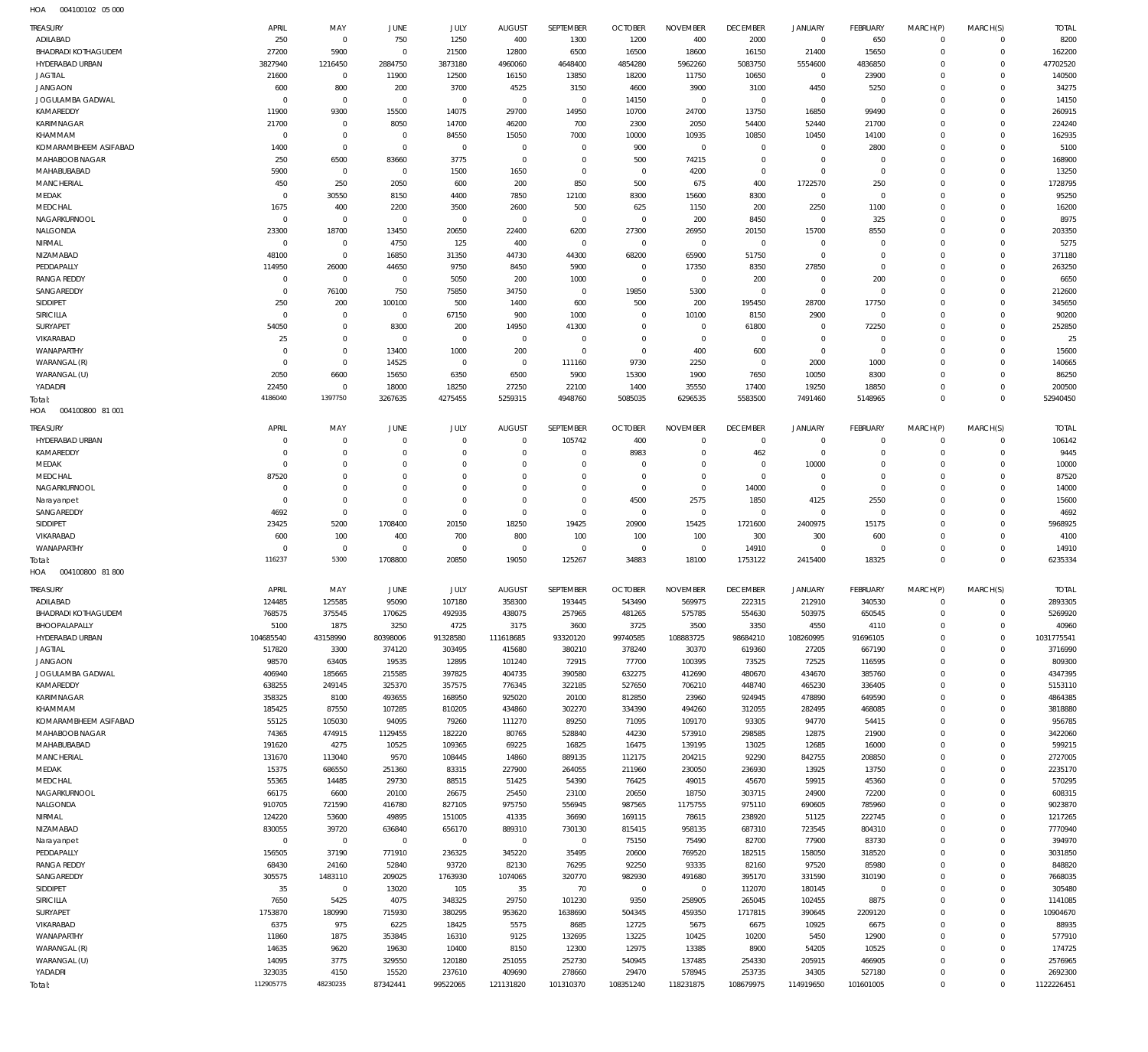004100102 05 000 HOA

| <b>TREASURY</b><br>ADILABAD             | APRIL<br>250                     | MAY<br>$\mathbf 0$           | <b>JUNE</b><br>750         | JULY<br>1250         | <b>AUGUST</b><br>400    | SEPTEMBER                    | <b>OCTOBER</b><br>1200  | <b>NOVEMBER</b><br>400 | <b>DECEMBER</b><br>2000 | JANUARY<br>$\overline{0}$ | <b>FEBRUARY</b><br>650 | MARCH(P)<br>$\Omega$ | MARCH(S)<br>$\Omega$ | <b>TOTAL</b><br>8200 |
|-----------------------------------------|----------------------------------|------------------------------|----------------------------|----------------------|-------------------------|------------------------------|-------------------------|------------------------|-------------------------|---------------------------|------------------------|----------------------|----------------------|----------------------|
| <b>BHADRADI KOTHAGUDEM</b>              | 27200                            | 5900                         | $\overline{0}$             | 21500                | 12800                   | 1300<br>6500                 | 16500                   | 18600                  | 16150                   | 21400                     | 15650                  | $\Omega$             | $\Omega$             | 162200               |
| <b>HYDERABAD URBAN</b>                  | 3827940                          | 1216450                      | 2884750                    | 3873180              | 4960060                 | 4648400                      | 4854280                 | 5962260                | 5083750                 | 5554600                   | 4836850                | $\Omega$             | $\Omega$             | 47702520             |
| <b>JAGTIAL</b>                          | 21600                            | $\overline{0}$               | 11900                      | 12500                | 16150                   | 13850                        | 18200                   | 11750                  | 10650                   | $^{\circ}$                | 23900                  | $\Omega$             | $\Omega$             | 140500               |
| <b>JANGAON</b>                          | 600                              | 800                          | 200                        | 3700                 | 4525                    | 3150                         | 4600                    | 3900                   | 3100                    | 4450                      | 5250                   | $\Omega$             | $\Omega$             | 34275                |
| <b>JOGULAMBA GADWAL</b>                 | $\overline{0}$                   | $\mathbf 0$                  | $\overline{0}$             | $\mathbf 0$          | $\mathbf 0$             | $\overline{0}$               | 14150                   | $^{\circ}$             | $\overline{0}$          | $^{\circ}$                | $^{\circ}$             | $\Omega$             | $\Omega$             | 14150                |
| KAMAREDDY                               | 11900                            | 9300                         | 15500                      | 14075                | 29700                   | 14950                        | 10700                   | 24700                  | 13750                   | 16850                     | 99490                  |                      | $\Omega$             | 260915               |
| KARIMNAGAR                              | 21700                            | $^{\circ}$                   | 8050                       | 14700                | 46200                   | 700                          | 2300                    | 2050                   | 54400                   | 52440                     | 21700                  | $\Omega$             | $\Omega$             | 224240               |
| KHAMMAM                                 | $\overline{0}$                   | $\mathbf{0}$<br>$\mathbf{0}$ | $\overline{0}$             | 84550                | 15050<br>$\overline{0}$ | 7000                         | 10000                   | 10935                  | 10850<br>$\Omega$       | 10450<br>$\Omega$         | 14100                  | $\Omega$             | $\Omega$<br>$\Omega$ | 162935               |
| KOMARAMBHEEM ASIFABAD<br>MAHABOOB NAGAR | 1400<br>250                      | 6500                         | $\overline{0}$<br>83660    | $^{\circ}$<br>3775   | $\overline{0}$          | $\overline{0}$<br>$^{\circ}$ | 900<br>500              | $^{\circ}$<br>74215    | $\overline{0}$          | $\Omega$                  | 2800<br>$^{\circ}$     |                      | $\Omega$             | 5100<br>168900       |
| MAHABUBABAD                             | 5900                             | $^{\circ}$                   | $\overline{0}$             | 1500                 | 1650                    | $^{\circ}$                   | $\overline{0}$          | 4200                   | $\overline{0}$          | $^{\circ}$                | $\mathbf 0$            | $\Omega$             | $\Omega$             | 13250                |
| <b>MANCHERIAL</b>                       | 450                              | 250                          | 2050                       | 600                  | 200                     | 850                          | 500                     | 675                    | 400                     | 1722570                   | 250                    |                      | $\Omega$             | 1728795              |
| MEDAK                                   | $\overline{0}$                   | 30550                        | 8150                       | 4400                 | 7850                    | 12100                        | 8300                    | 15600                  | 8300                    | $^{\circ}$                | $^{\circ}$             |                      | $\Omega$             | 95250                |
| MEDCHAL                                 | 1675                             | 400                          | 2200                       | 3500                 | 2600                    | 500                          | 625                     | 1150                   | 200                     | 2250                      | 1100                   |                      | $\Omega$             | 16200                |
| NAGARKURNOOL                            | $\overline{0}$                   | $^{\circ}$                   | $\overline{0}$             | $\mathbf 0$          | $\mathbf 0$             | $\overline{0}$               | $\overline{0}$          | 200                    | 8450                    | $^{\circ}$                | 325                    |                      | $\Omega$             | 8975                 |
| NALGONDA                                | 23300                            | 18700                        | 13450                      | 20650                | 22400                   | 6200                         | 27300                   | 26950                  | 20150                   | 15700                     | 8550                   |                      | $\Omega$             | 203350               |
| NIRMAL                                  | $\overline{0}$                   | $\mathbf 0$                  | 4750                       | 125                  | 400                     | $\overline{0}$               | $\overline{0}$          | $^{\circ}$             | $\overline{0}$          | $^{\circ}$                | $^{\circ}$             | $\Omega$             | $\Omega$             | 5275                 |
| NIZAMABAD                               | 48100                            | $\mathbf 0$                  | 16850                      | 31350                | 44730                   | 44300                        | 68200                   | 65900                  | 51750                   | $\Omega$                  | $\mathbf{0}$           |                      | $\Omega$             | 371180               |
| PEDDAPALLY                              | 114950                           | 26000                        | 44650                      | 9750                 | 8450                    | 5900                         | $\mathbf 0$             | 17350                  | 8350                    | 27850                     | $\mathbf{0}$           | $\Omega$             | $\Omega$             | 263250               |
| <b>RANGA REDDY</b><br>SANGAREDDY        | $\overline{0}$<br>$\overline{0}$ | $\overline{0}$<br>76100      | $\overline{0}$<br>750      | 5050<br>75850        | 200<br>34750            | 1000<br>$\overline{0}$       | $\overline{0}$<br>19850 | $^{\circ}$<br>5300     | 200<br>$\overline{0}$   | $^{\circ}$<br>$\Omega$    | 200<br>$^{\circ}$      | $\Omega$             | $\Omega$<br>$\Omega$ | 6650<br>212600       |
| SIDDIPET                                | 250                              | 200                          | 100100                     | 500                  | 1400                    | 600                          | 500                     | 200                    | 195450                  | 28700                     | 17750                  |                      | $\Omega$             | 345650               |
| <b>SIRICILLA</b>                        | $\Omega$                         | $\mathbf{0}$                 | $\overline{0}$             | 67150                | 900                     | 1000                         | $\overline{0}$          | 10100                  | 8150                    | 2900                      | $^{\circ}$             | $\Omega$             | $\Omega$             | 90200                |
| SURYAPET                                | 54050                            | $\mathbf 0$                  | 8300                       | 200                  | 14950                   | 41300                        | $\overline{0}$          | $^{\circ}$             | 61800                   | $^{\circ}$                | 72250                  | $\Omega$             | $\Omega$             | 252850               |
| VIKARABAD                               | 25                               | $\mathbf 0$                  | $\overline{0}$             | $^{\circ}$           | $\mathbf 0$             | $\mathbf 0$                  | $\overline{0}$          | $\overline{0}$         | $\overline{0}$          | $\Omega$                  | $^{\circ}$             |                      | $\Omega$             | 25                   |
| WANAPARTHY                              | $\Omega$                         | $\mathbf 0$                  | 13400                      | 1000                 | 200                     | $\overline{0}$               | $\overline{0}$          | 400                    | 600                     | $^{\circ}$                | $\mathbf 0$            | $\Omega$             | $\Omega$             | 15600                |
| WARANGAL (R)                            | $\overline{0}$                   | $\mathbf 0$                  | 14525                      | $^{\circ}$           | $\mathbf 0$             | 111160                       | 9730                    | 2250                   | $^{\circ}$              | 2000                      | 1000                   |                      | $\Omega$             | 140665               |
| WARANGAL (U)                            | 2050                             | 6600                         | 15650                      | 6350                 | 6500                    | 5900                         | 15300                   | 1900                   | 7650                    | 10050                     | 8300                   |                      | $\Omega$             | 86250                |
| YADADRI                                 | 22450                            | $\mathbf 0$                  | 18000                      | 18250                | 27250                   | 22100                        | 1400                    | 35550                  | 17400                   | 19250                     | 18850                  | $\Omega$             | $\Omega$             | 200500               |
| Total:                                  | 4186040                          | 1397750                      | 3267635                    | 4275455              | 5259315                 | 4948760                      | 5085035                 | 6296535                | 5583500                 | 7491460                   | 5148965                | $\Omega$             | $\Omega$             | 52940450             |
| 004100800 81 001<br>HOA                 |                                  |                              |                            |                      |                         |                              |                         |                        |                         |                           |                        |                      |                      |                      |
| <b>TREASURY</b>                         | APRIL                            | MAY                          | <b>JUNE</b>                | JULY                 | <b>AUGUST</b>           | SEPTEMBER                    | <b>OCTOBER</b>          | <b>NOVEMBER</b>        | <b>DECEMBER</b>         | <b>JANUARY</b>            | <b>FEBRUARY</b>        | MARCH(P)             | MARCH(S)             | <b>TOTAL</b>         |
| HYDERABAD URBAN                         | $\Omega$                         | $\mathbf{0}$                 | $\overline{0}$             | $\mathbf 0$          | $\overline{0}$          | 105742                       | 400                     | $\Omega$               | $^{\circ}$              | $^{\circ}$                | $^{\circ}$             | $\Omega$             | $\Omega$             | 106142               |
| KAMAREDDY                               | $\Omega$                         | $\mathbf 0$                  | $\mathbf{0}$               | $\Omega$             | $\Omega$                | $\Omega$                     | 8983                    | $\Omega$               | 462                     | $^{\circ}$                | $^{\circ}$             | $\Omega$             | $\Omega$             | 9445                 |
| MEDAK                                   | $\Omega$                         | $\Omega$                     | $\mathbf{0}$               | $\Omega$             | $\Omega$                | $\Omega$                     | $\Omega$                | $\Omega$               | $\Omega$                | 10000                     | $\Omega$               | $\Omega$             | $\Omega$             | 10000                |
| MEDCHAL                                 | 87520                            | $\mathbf 0$                  | $\overline{0}$             | $\Omega$             | $\Omega$                | $\Omega$                     | $\Omega$                | $\Omega$               | $\overline{0}$          | $\Omega$                  | $\Omega$               |                      | $\Omega$             | 87520                |
| NAGARKURNOOL                            | $\Omega$<br>$\Omega$             | $\Omega$<br>$\mathbf 0$      | $\Omega$<br>$\overline{0}$ | $\Omega$<br>$\Omega$ | $\Omega$<br>$\Omega$    | $\Omega$<br>$\Omega$         | $\Omega$<br>4500        | $\Omega$<br>2575       | 14000<br>1850           | $\Omega$                  | $\Omega$<br>2550       | $\Omega$             | $\Omega$<br>$\Omega$ | 14000<br>15600       |
| Narayanpet<br>SANGAREDDY                | 4692                             | $\Omega$                     | $\Omega$                   | $\Omega$             | $\Omega$                | $\Omega$                     | $\Omega$                | $\Omega$               | $\Omega$                | 4125<br>$\Omega$          | $\Omega$               | $\Omega$             | $\Omega$             | 4692                 |
| SIDDIPET                                | 23425                            | 5200                         | 1708400                    | 20150                | 18250                   | 19425                        | 20900                   | 15425                  | 1721600                 | 2400975                   | 15175                  |                      | $\Omega$             | 5968925              |
| VIKARABAD                               | 600                              | 100                          | 400                        | 700                  | 800                     | 100                          | 100                     | 100                    | 300                     | 300                       | 600                    |                      | $\Omega$             | 4100                 |
| WANAPARTHY                              | $\Omega$                         | $\overline{0}$               | $\mathbf{0}$               | $^{\circ}$           | $\overline{0}$          | $\overline{0}$               | $^{\circ}$              | $\Omega$               | 14910                   | $^{\circ}$                | $^{\circ}$             | $\Omega$             | $\Omega$             | 14910                |
| Total:                                  | 116237                           | 5300                         | 1708800                    | 20850                | 19050                   | 125267                       | 34883                   | 18100                  | 1753122                 | 2415400                   | 18325                  | $\Omega$             | $\Omega$             | 6235334              |
| HOA<br>004100800 81800                  |                                  |                              |                            |                      |                         |                              |                         |                        |                         |                           |                        |                      |                      |                      |
| <b>TREASURY</b>                         | APRIL                            | MAY                          | <b>JUNE</b>                | JULY                 | <b>AUGUST</b>           | <b>SEPTEMBER</b>             | <b>OCTOBER</b>          | <b>NOVEMBER</b>        | <b>DECEMBER</b>         | <b>JANUARY</b>            | <b>FEBRUARY</b>        | MARCH(P)             | MARCH(S)             | <b>TOTAL</b>         |
| ADILABAD                                | 124485                           | 125585                       | 95090                      | 107180               | 358300                  | 193445                       | 543490                  | 569975                 | 222315                  | 212910                    | 340530                 | $\Omega$             | $\Omega$             | 2893305              |
| <b>BHADRADI KOTHAGUDEM</b>              | 768575                           | 375545                       | 170625                     | 492935               | 438075                  | 257965                       | 481265                  | 575785                 | 554630                  | 503975                    | 650545                 | -0                   | $\Omega$             | 5269920              |
| BHOOPALAPALLY                           | 5100                             | 1875                         | 3250                       | 4725                 | 3175                    | 3600                         | 3725                    | 3500                   | 3350                    | 4550                      | 4110                   | $\Omega$             | $\Omega$             | 40960                |
| HYDERABAD URBAN                         | 104685540                        | 43158990                     | 80398006                   | 91328580             | 111618685               | 93320120                     | 99740585                | 108883725              | 98684210                | 108260995                 | 91696105               | $\Omega$             | $\Omega$             | 1031775541           |
| <b>JAGTIAL</b>                          | 517820                           | 3300                         | 374120                     | 303495               | 415680                  | 380210                       | 378240                  | 30370                  | 619360                  | 27205                     | 667190                 | $\Omega$             | $\Omega$             | 3716990              |
| <b>JANGAON</b>                          | 98570                            | 63405                        | 19535                      | 12895                | 101240                  | 72915                        | 77700                   | 100395                 | 73525                   | 72525                     | 116595                 | $\Omega$             | $\Omega$             | 809300               |
| JOGULAMBA GADWAL                        | 406940                           | 185665                       | 215585                     | 397825               | 404735                  | 390580                       | 632275                  | 412690                 | 480670                  | 434670                    | 385760                 | $\Omega$             | $\Omega$             | 4347395              |
| KAMAREDDY                               | 638255                           | 249145                       | 325370                     | 357575               | 776345                  | 322185                       | 527650                  | 706210                 | 448740                  | 465230                    | 336405                 | $\Omega$             | $\Omega$<br>$\Omega$ | 5153110              |
| KARIMNAGAR<br>KHAMMAM                   | 358325<br>185425                 | 8100<br>87550                | 493655<br>107285           | 168950<br>810205     | 925020<br>434860        | 20100<br>302270              | 812850<br>334390        | 23960<br>494260        | 924945<br>312055        | 478890<br>282495          | 649590<br>468085       | $\Omega$<br>$\Omega$ | $\Omega$             | 4864385<br>3818880   |
| KOMARAMBHEEM ASIFABAD                   | 55125                            | 105030                       | 94095                      | 79260                | 111270                  | 89250                        | 71095                   | 109170                 | 93305                   | 94770                     | 54415                  | $\Omega$             | $\Omega$             | 956785               |
| MAHABOOB NAGAR                          | 74365                            | 474915                       | 1129455                    | 182220               | 80765                   | 528840                       | 44230                   | 573910                 | 298585                  | 12875                     | 21900                  | $\Omega$             | $\Omega$             | 3422060              |
| MAHABUBABAD                             | 191620                           | 4275                         | 10525                      | 109365               | 69225                   | 16825                        | 16475                   | 139195                 | 13025                   | 12685                     | 16000                  | $\Omega$             | $\Omega$             | 599215               |
| MANCHERIAL                              | 131670                           | 113040                       | 9570                       | 108445               | 14860                   | 889135                       | 112175                  | 204215                 | 92290                   | 842755                    | 208850                 | $\Omega$             | $\Omega$             | 2727005              |
| MEDAK                                   | 15375                            | 686550                       | 251360                     | 83315                | 227900                  | 264055                       | 211960                  | 230050                 | 236930                  | 13925                     | 13750                  | $\Omega$             | $\Omega$             | 2235170              |
| MEDCHAL                                 | 55365                            | 14485                        | 29730                      | 88515                | 51425                   | 54390                        | 76425                   | 49015                  | 45670                   | 59915                     | 45360                  | $\Omega$             | $\Omega$             | 570295               |
| NAGARKURNOOL                            | 66175                            | 6600                         | 20100                      | 26675                | 25450                   | 23100                        | 20650                   | 18750                  | 303715                  | 24900                     | 72200                  | $\Omega$             | $\Omega$             | 608315               |
| NALGONDA                                | 910705                           | 721590                       | 416780                     | 827105               | 975750                  | 556945                       | 987565                  | 1175755                | 975110                  | 690605                    | 785960                 | $\Omega$<br>$\Omega$ | $\Omega$<br>$\Omega$ | 9023870              |
| NIRMAL<br>NIZAMABAD                     | 124220<br>830055                 | 53600<br>39720               | 49895<br>636840            | 151005<br>656170     | 41335<br>889310         | 36690<br>730130              | 169115<br>815415        | 78615<br>958135        | 238920<br>687310        | 51125<br>723545           | 222745<br>804310       | $\Omega$             | $\Omega$             | 1217265<br>7770940   |
| Narayanpet                              | $\mathbf 0$                      | $\overline{0}$               | $\overline{0}$             | $\overline{0}$       | $\,0\,$                 | $\,0\,$                      | 75150                   | 75490                  | 82700                   | 77900                     | 83730                  | $\Omega$             | $\Omega$             | 394970               |
| PEDDAPALLY                              | 156505                           | 37190                        | 771910                     | 236325               | 345220                  | 35495                        | 20600                   | 769520                 | 182515                  | 158050                    | 318520                 | $\Omega$             | $\Omega$             | 3031850              |
| <b>RANGA REDDY</b>                      | 68430                            | 24160                        | 52840                      | 93720                | 82130                   | 76295                        | 92250                   | 93335                  | 82160                   | 97520                     | 85980                  | $\Omega$             | $\Omega$             | 848820               |
| SANGAREDDY                              | 305575                           | 1483110                      | 209025                     | 1763930              | 1074065                 | 320770                       | 982930                  | 491680                 | 395170                  | 331590                    | 310190                 | $\Omega$             | $\Omega$             | 7668035              |
| SIDDIPET                                | 35                               | $\overline{0}$               | 13020                      | 105                  | 35                      | 70                           | $\overline{0}$          | $\overline{0}$         | 112070                  | 180145                    | $\overline{0}$         | $\Omega$             | $\Omega$             | 305480               |
| SIRICILLA                               | 7650                             | 5425                         | 4075                       | 348325               | 29750                   | 101230                       | 9350                    | 258905                 | 265045                  | 102455                    | 8875                   | $\Omega$             | $\Omega$             | 1141085              |
| SURYAPET                                | 1753870                          | 180990                       | 715930                     | 380295               | 953620                  | 1638690                      | 504345                  | 459350                 | 1717815                 | 390645                    | 2209120                | $\Omega$             | $\Omega$             | 10904670             |
| VIKARABAD                               | 6375                             | 975                          | 6225                       | 18425                | 5575                    | 8685                         | 12725                   | 5675                   | 6675                    | 10925                     | 6675                   | $\Omega$             | $\Omega$             | 88935                |
| WANAPARTHY                              | 11860                            | 1875                         | 353845                     | 16310                | 9125                    | 132695                       | 13225                   | 10425                  | 10200                   | 5450                      | 12900                  | $\Omega$             | $\Omega$             | 577910               |
| WARANGAL (R)                            | 14635                            | 9620                         | 19630                      | 10400                | 8150                    | 12300                        | 12975                   | 13385                  | 8900                    | 54205                     | 10525                  | $\Omega$             | $\Omega$             | 174725               |
| WARANGAL (U)<br>YADADRI                 | 14095<br>323035                  | 3775<br>4150                 | 329550<br>15520            | 120180<br>237610     | 251055<br>409690        | 252730<br>278660             | 540945<br>29470         | 137485<br>578945       | 254330<br>253735        | 205915<br>34305           | 466905<br>527180       | $\Omega$<br>$\Omega$ | $\Omega$<br>$\Omega$ | 2576965<br>2692300   |
| Total:                                  | 112905775                        | 48230235                     | 87342441                   | 99522065             | 121131820               | 101310370                    | 108351240               | 118231875              | 108679975               | 114919650                 | 101601005              | $\mathbf 0$          | $\mathbb O$          | 1122226451           |
|                                         |                                  |                              |                            |                      |                         |                              |                         |                        |                         |                           |                        |                      |                      |                      |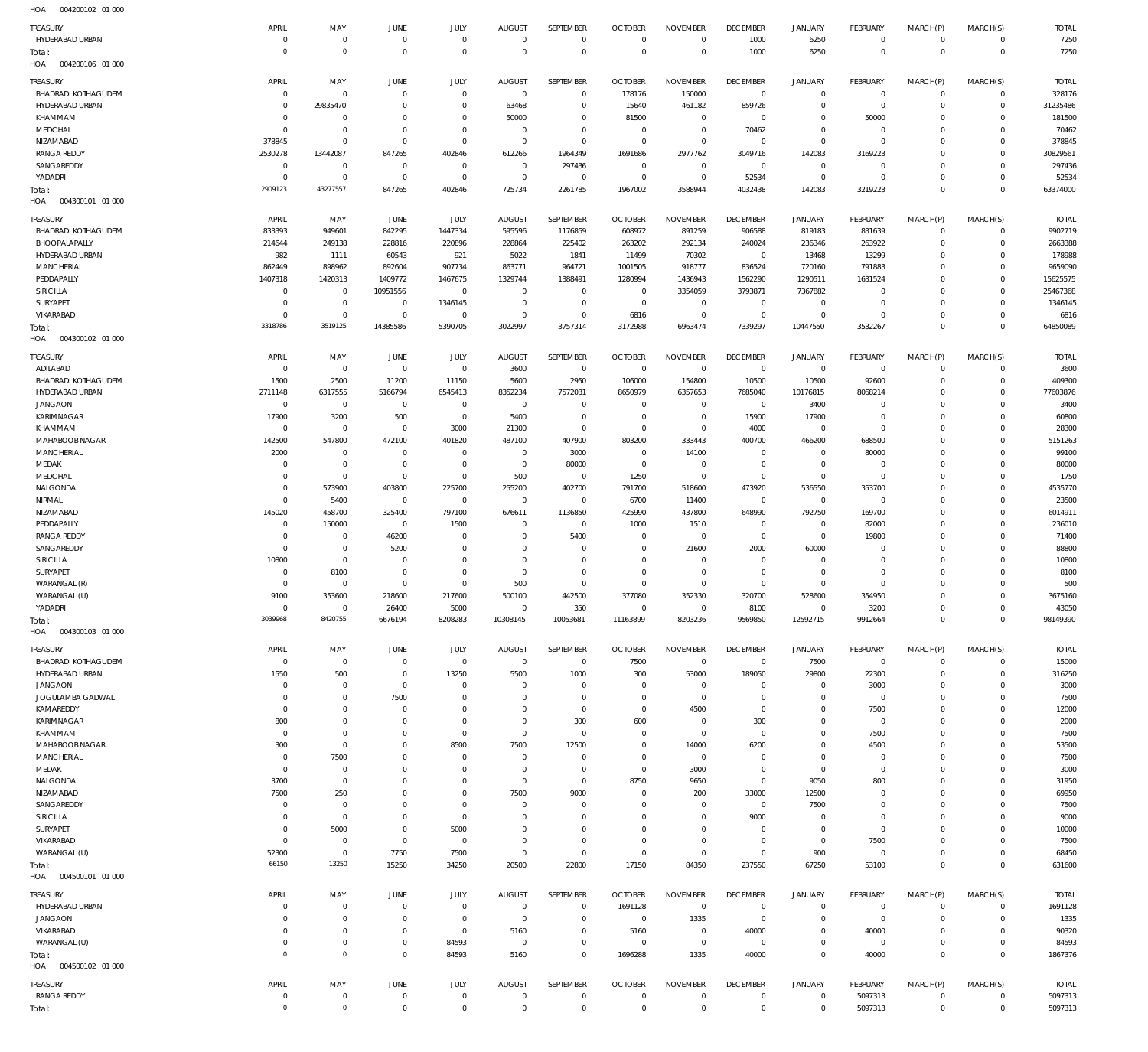| .                          |                |                     |                |             |                |                |                |                 |                 |                     |                 |             |                |              |
|----------------------------|----------------|---------------------|----------------|-------------|----------------|----------------|----------------|-----------------|-----------------|---------------------|-----------------|-------------|----------------|--------------|
| TREASURY                   | APRIL          | MAY                 | JUNE           | JULY        | <b>AUGUST</b>  | SEPTEMBER      | <b>OCTOBER</b> | <b>NOVEMBER</b> | <b>DECEMBER</b> | <b>JANUARY</b>      | FEBRUARY        | MARCH(P)    | MARCH(S)       | <b>TOTAL</b> |
| HYDERABAD URBAN            | $\Omega$       | $\mathbf 0$         | $^{\circ}$     | $\mathbf 0$ | $\Omega$       | $\mathbf 0$    | $\Omega$       | $\mathbf 0$     | 1000            | 6250                | $\overline{0}$  | $\Omega$    | $\mathbf{0}$   | 7250         |
|                            |                |                     |                |             |                |                |                |                 |                 |                     |                 |             |                |              |
| Total:                     | $\circ$        | $\mathsf{O}\xspace$ | $^{\circ}$     | $\mathbf 0$ | $\Omega$       | $\mathbf 0$    | $\overline{0}$ | $\mathbf 0$     | 1000            | 6250                | $\overline{0}$  | $\mathbf 0$ | $\overline{0}$ | 7250         |
| HOA<br>004200106 01 000    |                |                     |                |             |                |                |                |                 |                 |                     |                 |             |                |              |
|                            |                |                     |                |             |                |                |                |                 | <b>DECEMBER</b> |                     |                 |             |                |              |
| TREASURY                   | APRIL          | MAY                 | JUNE           | JULY        | <b>AUGUST</b>  | SEPTEMBER      | <b>OCTOBER</b> | <b>NOVEMBER</b> |                 | <b>JANUARY</b>      | <b>FEBRUARY</b> | MARCH(P)    | MARCH(S)       | <b>TOTAL</b> |
| <b>BHADRADI KOTHAGUDEM</b> | $^{\circ}$     | $\mathbf 0$         | 0              | $\mathbf 0$ | $\mathbf 0$    | $\mathbf 0$    | 178176         | 150000          | $\overline{0}$  | $\bf 0$             | $\overline{0}$  | $\Omega$    | $\mathbf{0}$   | 328176       |
| HYDERABAD URBAN            | $\Omega$       | 29835470            | $\overline{0}$ | $\mathbf 0$ | 63468          | $\mathbf 0$    | 15640          | 461182          | 859726          | $\mathbf 0$         | $\overline{0}$  | $\mathbf 0$ | $\overline{0}$ | 31235486     |
| KHAMMAM                    | $\overline{0}$ | $\mathbf 0$         | $\Omega$       | $\mathbf 0$ | 50000          | $\mathbf 0$    | 81500          | $\mathbf 0$     | $\mathbf 0$     | $\bf 0$             | 50000           | $\Omega$    | $\mathbf{0}$   | 181500       |
| MEDCHAL                    | $^{\circ}$     | $\mathbf 0$         | $\Omega$       | $\mathbf 0$ | $\mathbf 0$    | $\mathbf 0$    | $\overline{0}$ | $\mathbf 0$     | 70462           | $\mathbf 0$         | $\overline{0}$  | $\Omega$    | $\mathbf{0}$   | 70462        |
| NIZAMABAD                  | 378845         | $\mathbf 0$         | $\overline{0}$ | $\mathbf 0$ | $\mathbf 0$    | $\mathbf 0$    | $\overline{0}$ | $\mathbb O$     | $\overline{0}$  | $\mathbf 0$         | $\overline{0}$  | $\Omega$    | $\mathbf{0}$   | 378845       |
|                            |                |                     |                |             |                |                |                |                 |                 |                     |                 |             |                |              |
| <b>RANGA REDDY</b>         | 2530278        | 13442087            | 847265         | 402846      | 612266         | 1964349        | 1691686        | 2977762         | 3049716         | 142083              | 3169223         | $\Omega$    | $\Omega$       | 30829561     |
| SANGAREDDY                 | $\mathbf 0$    | $\mathbf 0$         | $\overline{0}$ | $\mathbf 0$ | $\overline{0}$ | 297436         | $^{\circ}$     | $\mathbf 0$     | $\mathbf 0$     | $\mathbf 0$         | $^{\circ}$      | $\Omega$    | $\mathbf{0}$   | 297436       |
| YADADRI                    | $\overline{0}$ | $\mathbf 0$         | 0              | $\mathbf 0$ | $^{\circ}$     | $\overline{0}$ | $\overline{0}$ | $\mathbf 0$     | 52534           | $\bf 0$             | $\overline{0}$  | $\Omega$    | $\mathbf{0}$   | 52534        |
| Total:                     | 2909123        | 43277557            | 847265         | 402846      | 725734         | 2261785        | 1967002        | 3588944         | 4032438         | 142083              | 3219223         | $\Omega$    | $\Omega$       | 63374000     |
| 004300101 01 000           |                |                     |                |             |                |                |                |                 |                 |                     |                 |             |                |              |
| HOA                        |                |                     |                |             |                |                |                |                 |                 |                     |                 |             |                |              |
| TREASURY                   | APRIL          | MAY                 | JUNE           | <b>JULY</b> | <b>AUGUST</b>  | SEPTEMBER      | <b>OCTOBER</b> | <b>NOVEMBER</b> | <b>DECEMBER</b> | <b>JANUARY</b>      | FEBRUARY        | MARCH(P)    | MARCH(S)       | <b>TOTAL</b> |
|                            |                |                     |                |             |                |                |                |                 |                 |                     |                 | $\Omega$    |                |              |
| BHADRADI KOTHAGUDEM        | 833393         | 949601              | 842295         | 1447334     | 595596         | 1176859        | 608972         | 891259          | 906588          | 819183              | 831639          |             | $\mathbf 0$    | 9902719      |
| BHOOPALAPALLY              | 214644         | 249138              | 228816         | 220896      | 228864         | 225402         | 263202         | 292134          | 240024          | 236346              | 263922          | $\Omega$    | $\mathbf 0$    | 2663388      |
| HYDERABAD URBAN            | 982            | 1111                | 60543          | 921         | 5022           | 1841           | 11499          | 70302           | $\,0\,$         | 13468               | 13299           | $\Omega$    | $\mathbf 0$    | 178988       |
| MANCHERIAL                 | 862449         | 898962              | 892604         | 907734      | 863771         | 964721         | 1001505        | 918777          | 836524          | 720160              | 791883          | $\Omega$    | $\Omega$       | 9659090      |
| PEDDAPALLY                 | 1407318        | 1420313             | 1409772        | 1467675     | 1329744        | 1388491        | 1280994        | 1436943         | 1562290         | 1290511             | 1631524         | $\Omega$    | $\Omega$       | 15625575     |
|                            |                |                     |                |             |                |                |                |                 |                 |                     |                 |             |                |              |
| SIRICILLA                  | $\overline{0}$ | $^{\circ}$          | 10951556       | $\mathbf 0$ | $^{\circ}$     | $^{\circ}$     | $\overline{0}$ | 3354059         | 3793871         | 7367882             | $\overline{0}$  | $\Omega$    | $\Omega$       | 25467368     |
| SURYAPET                   | $\Omega$       | $\mathbf 0$         | $\overline{0}$ | 1346145     | $^{\circ}$     | $\mathbf 0$    | $\overline{0}$ | $^{\circ}$      | $\mathbf{0}$    | $\mathbf 0$         | $\overline{0}$  | $\Omega$    | $\Omega$       | 1346145      |
| VIKARABAD                  | $\Omega$       | $\mathbf{0}$        | $\overline{0}$ | $\mathbf 0$ | $^{\circ}$     | $\mathbf 0$    | 6816           | $\mathbf 0$     | $\mathbf 0$     | $\mathbf 0$         | $\overline{0}$  | $\Omega$    | $\mathbf 0$    | 6816         |
| Total:                     | 3318786        | 3519125             | 14385586       | 5390705     | 3022997        | 3757314        | 3172988        | 6963474         | 7339297         | 10447550            | 3532267         | $\Omega$    | $\Omega$       | 64850089     |
|                            |                |                     |                |             |                |                |                |                 |                 |                     |                 |             |                |              |
| HOA<br>004300102 01 000    |                |                     |                |             |                |                |                |                 |                 |                     |                 |             |                |              |
| TREASURY                   | APRIL          | MAY                 | JUNE           | JULY        | <b>AUGUST</b>  | SEPTEMBER      | <b>OCTOBER</b> | <b>NOVEMBER</b> | <b>DECEMBER</b> | <b>JANUARY</b>      | <b>FEBRUARY</b> | MARCH(P)    | MARCH(S)       | <b>TOTAL</b> |
|                            |                |                     |                |             |                |                |                |                 |                 |                     |                 |             |                |              |
| ADILABAD                   | $\overline{0}$ | $\mathbf 0$         | $\overline{0}$ | $\mathbf 0$ | 3600           | $\overline{0}$ | $\overline{0}$ | $\mathbf 0$     | $\overline{0}$  | $\overline{0}$      | $\overline{0}$  | $\circ$     | $\circ$        | 3600         |
| BHADRADI KOTHAGUDEM        | 1500           | 2500                | 11200          | 11150       | 5600           | 2950           | 106000         | 154800          | 10500           | 10500               | 92600           | $\Omega$    | $\mathbf{0}$   | 409300       |
| HYDERABAD URBAN            | 2711148        | 6317555             | 5166794        | 6545413     | 8352234        | 7572031        | 8650979        | 6357653         | 7685040         | 10176815            | 8068214         | $\Omega$    | $\mathbf{0}$   | 77603876     |
| <b>JANGAON</b>             | $\mathbf 0$    | $\mathbf 0$         | $\overline{0}$ | $\mathbb O$ | $\mathbb O$    | $\mathbf 0$    | $\overline{0}$ | $\mathbf 0$     | $\mathbf 0$     | 3400                | $\overline{0}$  | $\Omega$    | $\mathbf{0}$   | 3400         |
| KARIMNAGAR                 | 17900          | 3200                | 500            | $\mathbf 0$ | 5400           | $\mathbf 0$    | $\overline{0}$ | $\mathbf 0$     | 15900           | 17900               | $\overline{0}$  | $\Omega$    | $\Omega$       | 60800        |
|                            |                |                     | $\overline{0}$ |             |                | $\mathbf 0$    | $\overline{0}$ | $\mathbf 0$     |                 |                     | $\overline{0}$  | $\Omega$    | $\mathbf 0$    |              |
| KHAMMAM                    | $\overline{0}$ | $\mathbf 0$         |                | 3000        | 21300          |                |                |                 | 4000            | $\mathbf 0$         |                 |             |                | 28300        |
| MAHABOOB NAGAR             | 142500         | 547800              | 472100         | 401820      | 487100         | 407900         | 803200         | 333443          | 400700          | 466200              | 688500          | $\Omega$    | $\Omega$       | 5151263      |
| MANCHERIAL                 | 2000           | $\mathbf 0$         | $\overline{0}$ | $\mathbf 0$ | $^{\circ}$     | 3000           | $^{\circ}$     | 14100           | 0               | $\mathbf 0$         | 80000           | $\Omega$    | $\mathbf 0$    | 99100        |
| MEDAK                      | $\Omega$       | $\mathbf 0$         | $\overline{0}$ | $\mathbf 0$ | $^{\circ}$     | 80000          | $\overline{0}$ | $\mathbf 0$     | $\overline{0}$  | $\mathbf 0$         | $\overline{0}$  | $\Omega$    | $\Omega$       | 80000        |
| MEDCHAL                    | C              | $\mathbf 0$         | $\overline{0}$ | $\mathbf 0$ | 500            | $\mathbf 0$    | 1250           | $\mathbb O$     | $\overline{0}$  | $\mathbf 0$         | $\overline{0}$  | $\Omega$    | $\mathbf 0$    | 1750         |
|                            |                |                     |                |             |                |                |                |                 |                 |                     |                 |             |                |              |
| NALGONDA                   | 0              | 573900              | 403800         | 225700      | 255200         | 402700         | 791700         | 518600          | 473920          | 536550              | 353700          | $\Omega$    | $\Omega$       | 4535770      |
| NIRMAL                     | $\Omega$       | 5400                | $^{\circ}$     | $\mathbf 0$ | $\mathbf 0$    | $\overline{0}$ | 6700           | 11400           | $\mathbf 0$     | $\mathbb O$         | $\overline{0}$  | $\Omega$    | $\mathbf 0$    | 23500        |
| NIZAMABAD                  | 145020         | 458700              | 325400         | 797100      | 676611         | 1136850        | 425990         | 437800          | 648990          | 792750              | 169700          | $\Omega$    | $\mathbf 0$    | 6014911      |
| PEDDAPALLY                 | $\overline{0}$ | 150000              | $^{\circ}$     | 1500        | $\mathbf 0$    | $\overline{0}$ | 1000           | 1510            | $\mathbf 0$     | $\mathbf 0$         | 82000           | $\Omega$    | $\mathbf 0$    | 236010       |
| <b>RANGA REDDY</b>         | -C             | $\mathbf 0$         | 46200          | $\mathbf 0$ | $\Omega$       | 5400           | $\overline{0}$ | $\mathbf 0$     | $^{\circ}$      | $\mathbf 0$         | 19800           | $\Omega$    | $\mathbf 0$    | 71400        |
|                            |                |                     |                |             |                |                |                |                 |                 |                     |                 |             |                |              |
| SANGAREDDY                 | $\Omega$       | $\mathbf 0$         | 5200           | $\mathbf 0$ | $\Omega$       | $\mathbf 0$    | $\overline{0}$ | 21600           | 2000            | 60000               | $\overline{0}$  | $\Omega$    | $\mathbf 0$    | 88800        |
| SIRICILLA                  | 10800          | $\mathbf 0$         | $\overline{0}$ | $\mathbf 0$ | $\Omega$       | $\mathbf 0$    | $^{\circ}$     | $\mathbf{0}$    | $\mathbf 0$     | $\mathbf 0$         | $\overline{0}$  | $\Omega$    | $\mathbf{0}$   | 10800        |
| SURYAPET                   | $\overline{0}$ | 8100                | $\overline{0}$ | $\mathbf 0$ | $\mathbf 0$    | $\mathbf 0$    | $^{\circ}$     | $\mathbf{0}$    | $\mathbf 0$     | $\mathbf 0$         | $\overline{0}$  | $\Omega$    | $\mathbf 0$    | 8100         |
| WARANGAL (R)               | $\Omega$       | $\mathbf{0}$        | $\Omega$       | $\mathbf 0$ | 500            | $\Omega$       | $\overline{0}$ | $\mathbf 0$     | $\mathbf 0$     | $\mathbf 0$         | $\Omega$        | $\Omega$    | $\Omega$       | 500          |
| WARANGAL (U)               | 9100           | 353600              | 218600         | 217600      | 500100         | 442500         | 377080         | 352330          | 320700          | 528600              | 354950          | $\Omega$    | $\circ$        | 3675160      |
|                            |                |                     |                |             |                |                |                |                 |                 |                     |                 |             |                |              |
| YADADRI                    | $\sqrt{2}$     | $\Omega$            | 26400          | 5000        | $\Omega$       | 350            | $\Omega$       | $\Omega$        | 8100            | $\Omega$            | 3200            | $\Omega$    | $\Omega$       | 43050        |
| Total:                     | 3039968        | 8420755             | 6676194        | 8208283     | 10308145       | 10053681       | 11163899       | 8203236         | 9569850         | 12592715            | 9912664         | $\mathbf 0$ | $\mathbf 0$    | 98149390     |
| 004300103 01 000<br>HOA    |                |                     |                |             |                |                |                |                 |                 |                     |                 |             |                |              |
|                            |                |                     |                |             |                |                |                |                 |                 |                     |                 |             |                |              |
| TREASURY                   | APRIL          | MAY                 | JUNE           | <b>JULY</b> | <b>AUGUST</b>  | SEPTEMBER      | <b>OCTOBER</b> | <b>NOVEMBER</b> | <b>DECEMBER</b> | <b>JANUARY</b>      | <b>FEBRUARY</b> | MARCH(P)    | MARCH(S)       | <b>TOTAL</b> |
| <b>BHADRADI KOTHAGUDEM</b> | $^{\circ}$     | $\mathbf{0}$        | $^{\circ}$     | $\mathbf 0$ | $\mathbf 0$    | $\overline{0}$ | 7500           | $\mathbf 0$     | $\mathbb O$     | 7500                | $\overline{0}$  | $\Omega$    | $\mathbf 0$    | 15000        |
| HYDERABAD URBAN            | 1550           | 500                 | $^{\circ}$     | 13250       | 5500           | 1000           | 300            | 53000           | 189050          | 29800               | 22300           | $\Omega$    | $\mathbf 0$    | 316250       |
| <b>JANGAON</b>             | C              | $^{\circ}$          | $\overline{0}$ | $\Omega$    | $\Omega$       | $\mathbf 0$    | $^{\circ}$     | $^{\circ}$      | $\mathbf 0$     | $\mathbf 0$         | 3000            | 0           | $\Omega$       | 3000         |
|                            |                |                     |                |             |                |                |                |                 |                 |                     |                 |             |                |              |
| JOGULAMBA GADWAL           | $\Omega$       | $\mathbf 0$         | 7500           | $\Omega$    | $\Omega$       | $\mathbf 0$    | $^{\circ}$     | $\Omega$        | $\Omega$        | $\mathbf 0$         | $^{\circ}$      | $\Omega$    | $\Omega$       | 7500         |
| KAMAREDDY                  | $\Omega$       | $\mathbf 0$         | - 0            | $\Omega$    | $\Omega$       | $\mathbf 0$    | $^{\circ}$     | 4500            | $\mathbf 0$     | $\mathbf 0$         | 7500            | 0           | $\circ$        | 12000        |
| KARIMNAGAR                 | 800            | $\Omega$            | $\Omega$       | $\Omega$    | $\Omega$       | 300            | 600            | $\Omega$        | 300             | $\Omega$            | $^{\circ}$      | 0           | $\Omega$       | 2000         |
| KHAMMAM                    | $^{\circ}$     | $\mathbf 0$         | $\Omega$       | $\Omega$    | $\Omega$       | $\mathbf 0$    | $^{\circ}$     | $\Omega$        | $\mathbf 0$     | $\mathbf 0$         | 7500            | $\Omega$    | $\Omega$       | 7500         |
| MAHABOOB NAGAR             | 300            | $\mathbf 0$         | $\Omega$       | 8500        | 7500           | 12500          | $^{\circ}$     | 14000           | 6200            | $\Omega$            | 4500            | O           | $\Omega$       | 53500        |
| <b>MANCHERIAL</b>          | $\Omega$       | 7500                | $\Omega$       | $\Omega$    | $\Omega$       | $^{\circ}$     | $^{\circ}$     | $^{\circ}$      | $\mathbf 0$     | $\Omega$            | $^{\circ}$      | $\Omega$    | $\Omega$       | 7500         |
|                            |                |                     |                |             |                |                |                |                 |                 |                     |                 |             |                |              |
| MEDAK                      | C              | $^{\circ}$          | $\Omega$       | $\Omega$    | $\Omega$       | $^{\circ}$     | $\mathbf 0$    | 3000            | $\mathbf 0$     | $\mathbf 0$         | $\overline{0}$  | O           | $\Omega$       | 3000         |
| NALGONDA                   | 3700           | $\mathbf 0$         | $\Omega$       | $\Omega$    | $\Omega$       | $\Omega$       | 8750           | 9650            | $\Omega$        | 9050                | 800             | $\Omega$    | $\Omega$       | 31950        |
| NIZAMABAD                  | 7500           | 250                 | $\Omega$       | $\Omega$    | 7500           | 9000           | $^{\circ}$     | 200             | 33000           | 12500               | $\mathbf 0$     | 0           | $\mathbf 0$    | 69950        |
| SANGAREDDY                 | C              | $^{\circ}$          | $\Omega$       | $\Omega$    | $\Omega$       | $^{\circ}$     | $^{\circ}$     | $\Omega$        | $\mathbf 0$     | 7500                | $\Omega$        | $\Omega$    | $\Omega$       | 7500         |
| SIRICILLA                  | -C             | $\mathbf 0$         | $\Omega$       | $\Omega$    | $\Omega$       | $\Omega$       | $\Omega$       | $\Omega$        | 9000            | $\mathbf 0$         | $\overline{0}$  | 0           | $\Omega$       | 9000         |
|                            |                |                     |                |             |                |                |                |                 |                 |                     |                 |             |                |              |
| SURYAPET                   | $\Omega$       | 5000                | $\overline{0}$ | 5000        | $\Omega$       | $\Omega$       | $^{\circ}$     | $\Omega$        | $\mathbf 0$     | $\mathbf 0$         | $\overline{0}$  | $\Omega$    | $\Omega$       | 10000        |
| VIKARABAD                  | $\Omega$       | $^{\circ}$          | $^{\circ}$     | $\mathbf 0$ | $\Omega$       | $\Omega$       | $\Omega$       | $\Omega$        | $\mathbf 0$     | $\mathbf 0$         | 7500            | $\Omega$    | $\Omega$       | 7500         |
| WARANGAL (U)               | 52300          | $\mathbf 0$         | 7750           | 7500        | $\Omega$       | $\mathbf 0$    | $^{\circ}$     | $\Omega$        | $\mathbf 0$     | 900                 | $\overline{0}$  | $\Omega$    | $\mathbf 0$    | 68450        |
|                            | 66150          | 13250               | 15250          | 34250       | 20500          | 22800          | 17150          | 84350           | 237550          | 67250               | 53100           | $\Omega$    | $\mathbf 0$    | 631600       |
| Total:                     |                |                     |                |             |                |                |                |                 |                 |                     |                 |             |                |              |
| HOA   004500101   01   000 |                |                     |                |             |                |                |                |                 |                 |                     |                 |             |                |              |
| TREASURY                   | APRIL          | MAY                 | JUNE           | JULY        | <b>AUGUST</b>  | SEPTEMBER      | <b>OCTOBER</b> | <b>NOVEMBER</b> | <b>DECEMBER</b> | <b>JANUARY</b>      | <b>FEBRUARY</b> | MARCH(P)    | MARCH(S)       | <b>TOTAL</b> |
|                            |                |                     |                |             |                |                |                |                 |                 |                     |                 |             |                |              |
| HYDERABAD URBAN            | C              | $\mathbf 0$         | $\overline{0}$ | $\mathbf 0$ | $^{\circ}$     | $\mathbf 0$    | 1691128        | $\mathbf 0$     | $\mathbf 0$     | 0                   | $\overline{0}$  | $\Omega$    | $^{\circ}$     | 1691128      |
| <b>JANGAON</b>             | C              | $\mathbf 0$         | $\overline{0}$ | $\mathbf 0$ | $\mathbf 0$    | $\mathbf 0$    | $\overline{0}$ | 1335            | 0               | $\mathbf 0$         | $\overline{0}$  | $\Omega$    | $\mathbf{0}$   | 1335         |
| VIKARABAD                  | $\Omega$       | $\mathbf 0$         | $\overline{0}$ | $\mathbf 0$ | 5160           | $\mathbf 0$    | 5160           | $\mathbf{0}$    | 40000           | $\mathbf 0$         | 40000           | $\Omega$    | $\mathbf{0}$   | 90320        |
| WARANGAL (U)               | $\Omega$       | $\mathbf 0$         | $^{\circ}$     | 84593       | $\mathbf 0$    | $\mathbf 0$    | $\overline{0}$ | $\mathbf 0$     | 0               | $\mathsf{O}\xspace$ | $\overline{0}$  | $\Omega$    | $\mathbf{0}$   | 84593        |
|                            | $\circ$        | $\circ$             | $\Omega$       | 84593       | 5160           | $\Omega$       | 1696288        | 1335            | 40000           | $\mathbf 0$         | 40000           | $\Omega$    | $\Omega$       | 1867376      |
| Total:                     |                |                     |                |             |                |                |                |                 |                 |                     |                 |             |                |              |
| 004500102 01 000<br>HOA    |                |                     |                |             |                |                |                |                 |                 |                     |                 |             |                |              |
| TREASURY                   | APRIL          | MAY                 | JUNE           | <b>JULY</b> | <b>AUGUST</b>  | SEPTEMBER      | <b>OCTOBER</b> | <b>NOVEMBER</b> | <b>DECEMBER</b> | <b>JANUARY</b>      | <b>FEBRUARY</b> | MARCH(P)    | MARCH(S)       | <b>TOTAL</b> |
|                            |                |                     |                |             |                |                |                |                 |                 |                     |                 |             |                |              |
| <b>RANGA REDDY</b>         | 0              | $\mathbf 0$         | $\overline{0}$ | $\mathbf 0$ | $\mathbf 0$    | $\mathbf 0$    | $^{\circ}$     | $^{\circ}$      | 0               | $\mathbf 0$         | 5097313         | $\mathbf 0$ | $^{\circ}$     | 5097313      |
| Total:                     | $\mathbf 0$    | $\mathsf{O}\xspace$ | $\mathbf 0$    | $\mathbf 0$ | $\mathbf 0$    | $\mathbf 0$    | $\mathbf 0$    | $\Omega$        | $\mathbf 0$     | $\mathbf 0$         | 5097313         | $\mathbf 0$ | $\mathbf 0$    | 5097313      |
|                            |                |                     |                |             |                |                |                |                 |                 |                     |                 |             |                |              |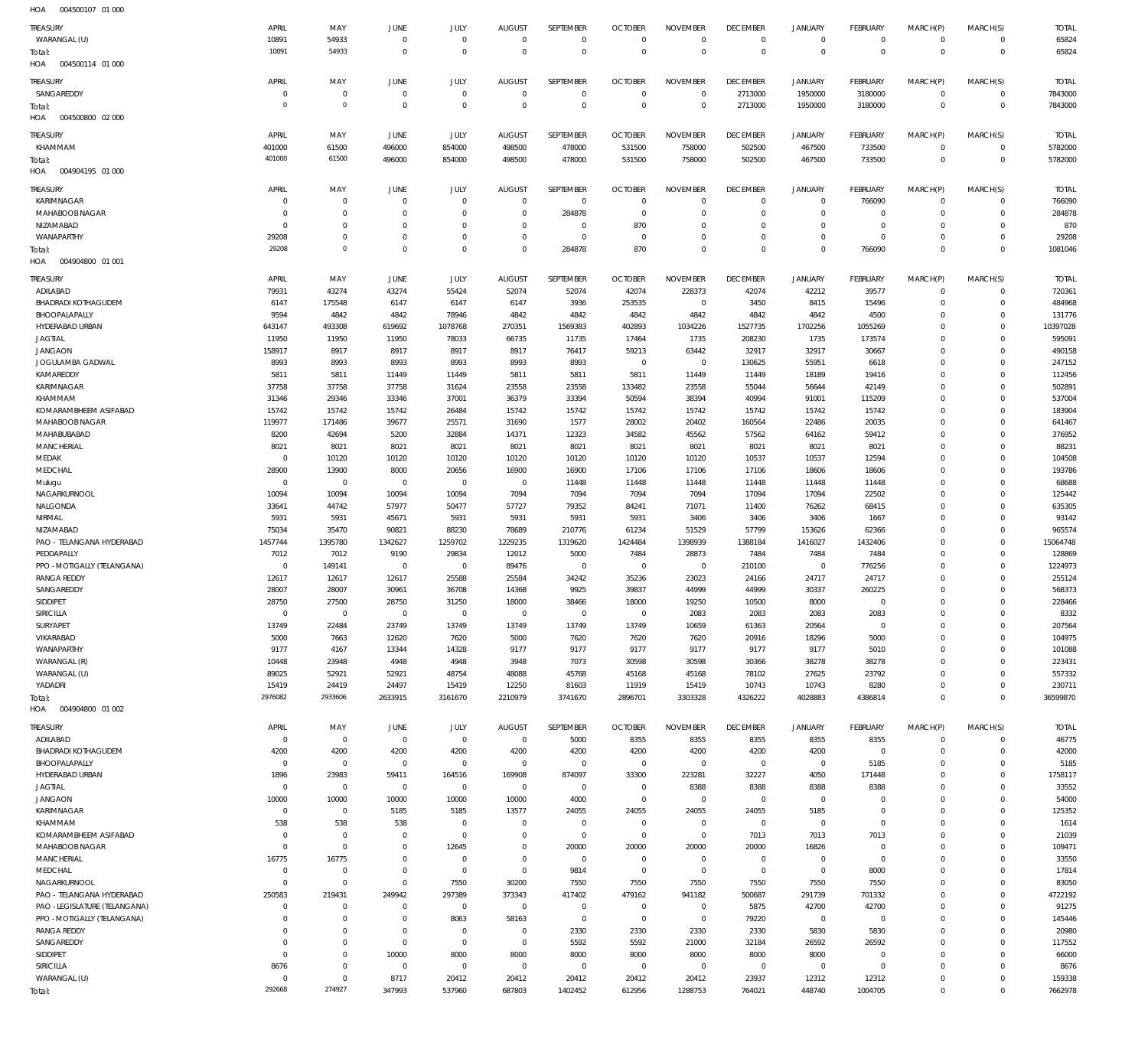| HOA<br>004500107 01 000                     |                      |                                  |                                  |                            |                            |                            |                      |                            |                          |                         |                              |                              |                                            |                    |
|---------------------------------------------|----------------------|----------------------------------|----------------------------------|----------------------------|----------------------------|----------------------------|----------------------|----------------------------|--------------------------|-------------------------|------------------------------|------------------------------|--------------------------------------------|--------------------|
| TREASURY                                    | APRIL                | MAY                              | JUNE                             | JULY                       | <b>AUGUST</b>              | SEPTEMBER                  | <b>OCTOBER</b>       | <b>NOVEMBER</b>            | <b>DECEMBER</b>          | <b>JANUARY</b>          | <b>FEBRUARY</b>              | MARCH(P)                     | MARCH(S)                                   | <b>TOTAL</b>       |
| WARANGAL (U)                                | 10891                | 54933                            | $\overline{0}$                   | $\overline{0}$             | $\mathbf 0$                | $\mathbf 0$                | $\overline{0}$       | $\mathbf 0$                | $^{\circ}$               | $\mathbf{0}$            | $\mathbf 0$                  | $\mathbf{0}$                 | 0                                          | 65824              |
| Total:<br>004500114 01 000<br>HOA           | 10891                | 54933                            | $\overline{0}$                   | $\overline{0}$             | $\Omega$                   | $\mathbf 0$                | $\overline{0}$       | $\overline{0}$             | $\overline{0}$           | $\mathbb O$             | $\mathbf 0$                  | $\overline{0}$               | $\mathbf 0$                                | 65824              |
| TREASURY                                    | APRIL                | MAY                              | JUNE                             | JULY                       | <b>AUGUST</b>              | <b>SEPTEMBER</b>           | <b>OCTOBER</b>       | <b>NOVEMBER</b>            | <b>DECEMBER</b>          | <b>JANUARY</b>          | <b>FEBRUARY</b>              | MARCH(P)                     | MARCH(S)                                   | <b>TOTAL</b>       |
| SANGAREDDY                                  | $\Omega$             | $\overline{0}$                   | $\overline{0}$                   | $\overline{0}$             | $\overline{0}$             | $\mathbb O$                | $\mathbf 0$          | $\mathbf 0$                | 2713000                  | 1950000                 | 3180000                      | $\mathbf{0}$                 | $\mathsf{O}\xspace$                        | 7843000            |
| rotal:                                      | $\mathbf 0$          | $\overline{0}$                   | $\mathbb O$                      | $\overline{0}$             | $\overline{0}$             | $\mathbf 0$                | $\mathbf 0$          | $\mathbf 0$                | 2713000                  | 1950000                 | 3180000                      | $\overline{0}$               | $\mathsf{O}\xspace$                        | 7843000            |
| 004500800 02 000<br>HOA                     |                      |                                  |                                  |                            |                            |                            |                      |                            |                          |                         |                              |                              |                                            |                    |
| TREASURY                                    | APRIL                | MAY                              | JUNE                             | JULY                       | <b>AUGUST</b>              | SEPTEMBER                  | <b>OCTOBER</b>       | <b>NOVEMBER</b>            | <b>DECEMBER</b>          | <b>JANUARY</b>          | FEBRUARY                     | MARCH(P)                     | MARCH(S)                                   | <b>TOTAL</b>       |
| KHAMMAM                                     | 401000               | 61500                            | 496000                           | 854000                     | 498500                     | 478000                     | 531500               | 758000                     | 502500                   | 467500                  | 733500                       | $\mathbf{0}$                 | 0                                          | 5782000            |
| Total:                                      | 401000               | 61500                            | 496000                           | 854000                     | 498500                     | 478000                     | 531500               | 758000                     | 502500                   | 467500                  | 733500                       | $\mathbf 0$                  | $\mathsf{O}\xspace$                        | 5782000            |
| 004904195 01 000<br>HOA                     |                      |                                  |                                  |                            |                            |                            |                      |                            |                          |                         |                              |                              |                                            |                    |
| TREASURY                                    | APRIL                | MAY                              | JUNE                             | JULY                       | <b>AUGUST</b>              | SEPTEMBER                  | <b>OCTOBER</b>       | <b>NOVEMBER</b>            | <b>DECEMBER</b>          | JANUARY                 | <b>FEBRUARY</b>              | MARCH(P)                     | MARCH(S)                                   | <b>TOTAL</b>       |
| KARIMNAGAR                                  | $\Omega$             | $\overline{0}$                   | $\overline{0}$                   | $\mathbf 0$                | $\overline{0}$             | $\overline{0}$             | C                    | $\mathbf 0$                | $\circ$                  | $\mathbf 0$             | 766090                       | $\overline{0}$               | 0                                          | 766090             |
| MAHABOOB NAGAR                              | $\Omega$             | $^{\circ}$                       | $\overline{0}$                   | $\mathbf 0$                | $\overline{0}$             | 284878                     | $^{\circ}$           | $\Omega$                   | $^{\circ}$               | $\mathbf{0}$            | $\mathbf 0$                  | $\mathbf{0}$                 | $\mathbf 0$                                | 284878             |
| NIZAMABAD<br>WANAPARTHY                     | $\Omega$<br>29208    | $\overline{0}$<br>$\overline{0}$ | $\overline{0}$<br>$\overline{0}$ | $\mathbf 0$<br>$\mathbf 0$ | $\mathbf 0$<br>$\mathbf 0$ | $\mathbf 0$<br>$\mathbb O$ | 870<br>$^{\circ}$    | $\mathbf 0$<br>$\mathbf 0$ | $^{\circ}$<br>$^{\circ}$ | $\mathbf{0}$<br>$\circ$ | $\mathbf 0$<br>$\mathbf 0$   | $\mathbf{0}$<br>$\mathbf{0}$ | $\mathsf{O}\xspace$<br>$\mathsf{O}\xspace$ | 870<br>29208       |
| rotal:                                      | 29208                | $\overline{0}$                   | $\mathbb O$                      | $\mathbf 0$                | $\Omega$                   | 284878                     | 870                  | $\mathbf 0$                | $\mathbf 0$              | $\mathbb O$             | 766090                       | $\overline{0}$               | $\mathsf{O}\xspace$                        | 1081046            |
| 004904800 01 001<br>HOA                     |                      |                                  |                                  |                            |                            |                            |                      |                            |                          |                         |                              |                              |                                            |                    |
| <b>TREASURY</b>                             | APRIL                | MAY                              | JUNE                             | JULY                       | <b>AUGUST</b>              | SEPTEMBER                  | <b>OCTOBER</b>       | <b>NOVEMBER</b>            | <b>DECEMBER</b>          | <b>JANUARY</b>          | FEBRUARY                     | MARCH(P)                     | MARCH(S)                                   | <b>TOTAL</b>       |
| ADILABAD                                    | 79931                | 43274                            | 43274                            | 55424                      | 52074                      | 52074                      | 42074                | 228373                     | 42074                    | 42212                   | 39577                        | $\mathbf{0}$                 | $\mathbf 0$                                | 720361             |
| <b>BHADRADI KOTHAGUDEM</b>                  | 6147                 | 175548                           | 6147                             | 6147                       | 6147                       | 3936                       | 253535               | $\overline{0}$             | 3450                     | 8415                    | 15496                        | $\mathbf{0}$                 | $\mathbf 0$                                | 484968             |
| BHOOPALAPALLY                               | 9594                 | 4842                             | 4842                             | 78946                      | 4842                       | 4842                       | 4842                 | 4842                       | 4842                     | 4842                    | 4500                         | $\mathbf 0$<br>$\Omega$      | $\mathbf 0$<br>$\mathbf 0$                 | 131776             |
| HYDERABAD URBAN<br><b>JAGTIAL</b>           | 643147<br>11950      | 493308<br>11950                  | 619692<br>11950                  | 1078768<br>78033           | 270351<br>66735            | 1569383<br>11735           | 402893<br>17464      | 1034226<br>1735            | 1527735<br>208230        | 1702256<br>1735         | 1055269<br>173574            | $\Omega$                     | $\mathbf 0$                                | 10397028<br>595091 |
| <b>JANGAON</b>                              | 158917               | 8917                             | 8917                             | 8917                       | 8917                       | 76417                      | 59213                | 63442                      | 32917                    | 32917                   | 30667                        | $\mathbf 0$                  | $\mathbf 0$                                | 490158             |
| JOGULAMBA GADWAL                            | 8993                 | 8993                             | 8993                             | 8993                       | 8993                       | 8993                       | $^{\circ}$           | $\mathbf 0$                | 130625                   | 55951                   | 6618                         | $\Omega$                     | $\mathbf 0$                                | 247152             |
| KAMAREDDY                                   | 5811                 | 5811                             | 11449                            | 11449                      | 5811                       | 5811                       | 5811                 | 11449                      | 11449                    | 18189                   | 19416                        | $\Omega$                     | $\mathbf 0$                                | 112456             |
| KARIMNAGAR                                  | 37758                | 37758                            | 37758                            | 31624                      | 23558                      | 23558                      | 133482               | 23558                      | 55044                    | 56644                   | 42149                        | $\Omega$                     | $\mathbf 0$                                | 502891             |
| KHAMMAM                                     | 31346                | 29346                            | 33346                            | 37001                      | 36379                      | 33394                      | 50594                | 38394                      | 40994                    | 91001                   | 115209                       | 0                            | $\mathbf 0$                                | 537004             |
| KOMARAMBHEEM ASIFABAD                       | 15742                | 15742                            | 15742                            | 26484                      | 15742                      | 15742                      | 15742                | 15742                      | 15742                    | 15742                   | 15742                        | $\Omega$                     | $\mathbf 0$                                | 183904             |
| MAHABOOB NAGAR<br>MAHABUBABAD               | 119977<br>8200       | 171486<br>42694                  | 39677<br>5200                    | 25571<br>32884             | 31690<br>14371             | 1577<br>12323              | 28002<br>34582       | 20402<br>45562             | 160564<br>57562          | 22486<br>64162          | 20035<br>59412               | $\Omega$<br>$\mathbf 0$      | $\mathbf 0$<br>$\mathbf 0$                 | 641467<br>376952   |
| <b>MANCHERIAL</b>                           | 8021                 | 8021                             | 8021                             | 8021                       | 8021                       | 8021                       | 8021                 | 8021                       | 8021                     | 8021                    | 8021                         | 0                            | $\mathbf 0$                                | 88231              |
| MEDAK                                       | $\Omega$             | 10120                            | 10120                            | 10120                      | 10120                      | 10120                      | 10120                | 10120                      | 10537                    | 10537                   | 12594                        | $\Omega$                     | $\mathbf 0$                                | 104508             |
| MEDCHAL                                     | 28900                | 13900                            | 8000                             | 20656                      | 16900                      | 16900                      | 17106                | 17106                      | 17106                    | 18606                   | 18606                        | $\mathbf 0$                  | $\mathbf 0$                                | 193786             |
| Mulugu                                      | $\Omega$             | $\mathbf 0$                      | $\overline{0}$                   | $\overline{0}$             | $\overline{0}$             | 11448                      | 11448                | 11448                      | 11448                    | 11448                   | 11448                        | $\Omega$                     | $\mathbf 0$                                | 68688              |
| NAGARKURNOOL                                | 10094                | 10094                            | 10094                            | 10094                      | 7094                       | 7094                       | 7094                 | 7094                       | 17094                    | 17094                   | 22502                        | $\Omega$                     | $\mathbf 0$                                | 125442             |
| NALGONDA                                    | 33641                | 44742                            | 57977                            | 50477                      | 57727                      | 79352                      | 84241                | 71071                      | 11400                    | 76262                   | 68415                        | $\Omega$                     | $\mathbf 0$                                | 635305             |
| NIRMAL<br>NIZAMABAD                         | 5931<br>75034        | 5931<br>35470                    | 45671<br>90821                   | 5931<br>88230              | 5931<br>78689              | 5931<br>210776             | 5931<br>61234        | 3406<br>51529              | 3406<br>57799            | 3406<br>153626          | 1667<br>62366                | $\mathbf 0$<br>$\Omega$      | 0<br>$\mathbf 0$                           | 93142<br>965574    |
| PAO - TELANGANA HYDERABAD                   | 1457744              | 1395780                          | 1342627                          | 1259702                    | 1229235                    | 1319620                    | 1424484              | 1398939                    | 1388184                  | 1416027                 | 1432406                      | $\mathbf 0$                  | $\mathbf 0$                                | 15064748           |
| PEDDAPALLY                                  | 7012                 | 7012                             | 9190                             | 29834                      | 12012                      | 5000                       | 7484                 | 28873                      | 7484                     | 7484                    | 7484                         | $\mathbf 0$                  | $\mathbf 0$                                | 128869             |
| PPO - MOTIGALLY (TELANGANA)                 | $\Omega$             | 149141                           | $\overline{0}$                   | $\mathbf 0$                | 89476                      | $\mathbf 0$                | $^{\circ}$           | $\mathbf 0$                | 210100                   | $\mathbf 0$             | 776256                       | $\Omega$                     | $\mathbf 0$                                | 1224973            |
| <b>RANGA REDDY</b>                          | 12617                | 12617                            | 12617                            | 25588                      | 25584                      | 34242                      | 35236                | 23023                      | 24166                    | 24717                   | 24717                        | $\Omega$                     | $\mathbf 0$                                | 255124             |
| SANGAREDDY                                  | 28007                | 28007                            | 30961                            | 36708                      | 14368                      | 9925                       | 39837                | 44999                      | 44999                    | 30337                   | 260225                       | $\Omega$                     | $\mathbf 0$                                | 568373             |
| SIDDIPET                                    | 28750<br>$\Omega$    | 27500                            | 28750                            | 31250                      | 18000                      | 38466                      | 18000                | 19250                      | 10500                    | 8000                    | $\mathbf 0$                  | 0                            | 0                                          | 228466             |
| SIRICILLA<br>SURYAPET                       | 13749                | $\mathbf 0$<br>22484             | $\overline{0}$<br>23749          | $\overline{0}$<br>13749    | $\mathbf 0$<br>13749       | $\mathbf 0$<br>13749       | $\mathbb O$<br>13749 | 2083<br>10659              | 2083<br>61363            | 2083<br>20564           | 2083<br>$\mathbf 0$          | $\mathbf 0$<br>$\mathbf{0}$  | $\mathbf 0$<br>$\mathbf 0$                 | 8332<br>207564     |
| VIKARABAD                                   | 5000                 | 7663                             | 12620                            | 7620                       | 5000                       | 7620                       | 7620                 | 7620                       | 20916                    | 18296                   | 5000                         | $\mathbf 0$                  | $\mathbf 0$                                | 104975             |
| WANAPARTHY                                  | 9177                 | 4167                             | 13344                            | 14328                      | 9177                       | 9177                       | 9177                 | 9177                       | 9177                     | 9177                    | 5010                         | $\Omega$                     | $\mathbf 0$                                | 101088             |
| WARANGAL (R)                                | 10448                | 23948                            | 4948                             | 4948                       | 3948                       | 7073                       | 30598                | 30598                      | 30366                    | 38278                   | 38278                        | $\mathbf 0$                  | $\mathbf 0$                                | 223431             |
| WARANGAL (U)                                | 89025                | 52921                            | 52921                            | 48754                      | 48088                      | 45768                      | 45168                | 45168                      | 78102                    | 27625                   | 23792                        | $\Omega$                     | $\mathbf 0$                                | 557332             |
| YADADRI                                     | 15419                | 24419                            | 24497                            | 15419                      | 12250                      | 81603                      | 11919                | 15419                      | 10743                    | 10743                   | 8280                         | $\mathbf 0$                  | $\mathsf{O}\xspace$                        | 230711             |
| rotal:<br>004904800 01 002<br>HOA           | 2976082              | 2933606                          | 2633915                          | 3161670                    | 2210979                    | 3741670                    | 2896701              | 3303328                    | 4326222                  | 4028883                 | 4386814                      | $\Omega$                     | $\mathbf 0$                                | 36599870           |
| TREASURY                                    | APRIL                | MAY                              | JUNE                             | JULY                       | <b>AUGUST</b>              | SEPTEMBER                  | <b>OCTOBER</b>       | <b>NOVEMBER</b>            | <b>DECEMBER</b>          | <b>JANUARY</b>          | <b>FEBRUARY</b>              | MARCH(P)                     | MARCH(S)                                   | <b>TOTAL</b>       |
| ADILABAD                                    | $\mathbf{0}$         | $\overline{0}$                   | $\overline{0}$                   | $\overline{0}$             | $\overline{0}$             | 5000                       | 8355                 | 8355                       | 8355                     | 8355                    | 8355                         | $\overline{0}$               | $\mathsf{O}\xspace$                        | 46775              |
| <b>BHADRADI KOTHAGUDEM</b><br>BHOOPALAPALLY | 4200<br>$^{\circ}$   | 4200<br>$\overline{0}$           | 4200<br>$\overline{0}$           | 4200<br>$\mathbf 0$        | 4200<br>$\mathbf 0$        | 4200<br>$\overline{0}$     | 4200<br>$\mathbf 0$  | 4200<br>$\mathbf 0$        | 4200<br>$^{\circ}$       | 4200<br>$\circ$         | $\overline{0}$<br>5185       | $\mathbf{0}$<br>$\mathbf 0$  | $\mathsf{O}\xspace$<br>$\mathsf{O}\xspace$ | 42000<br>5185      |
| HYDERABAD URBAN                             | 1896                 | 23983                            | 59411                            | 164516                     | 169908                     | 874097                     | 33300                | 223281                     | 32227                    | 4050                    | 171448                       | $\mathbf 0$                  | 0                                          | 1758117            |
| <b>JAGTIAL</b>                              | $^{\circ}$           | $\overline{0}$                   | $\overline{0}$                   | $\overline{0}$             | $\overline{0}$             | $\overline{0}$             | $\mathbb O$          | 8388                       | 8388                     | 8388                    | 8388                         | $\mathbf 0$                  | $\mathbf 0$                                | 33552              |
| <b>JANGAON</b>                              | 10000                | 10000                            | 10000                            | 10000                      | 10000                      | 4000                       | $^{\circ}$           | $\mathbf 0$                | $^{\circ}$               | $\overline{0}$          | $^{\circ}$                   | $\mathbf 0$                  | $\mathsf{O}\xspace$                        | 54000              |
| KARIMNAGAR                                  | $^{\circ}$           | $\overline{0}$                   | 5185                             | 5185                       | 13577                      | 24055                      | 24055                | 24055                      | 24055                    | 5185                    | $\mathbf 0$                  | $\mathbf 0$                  | $\mathbf 0$                                | 125352             |
| KHAMMAM                                     | 538                  | 538                              | 538                              | $\overline{0}$             | $^{\circ}$                 | $\overline{0}$             | $^{\circ}$           | $\mathbf 0$                | $^{\circ}$               | $\circ$                 | $\mathbf 0$                  | $\mathbf{0}$                 | $\mathsf{O}\xspace$                        | 1614               |
| KOMARAMBHEEM ASIFABAD                       | $^{\circ}$           | $\overline{0}$                   | $\overline{0}$                   | $\overline{0}$             | $\overline{0}$             | $\overline{0}$             | $\mathbf 0$          | $\mathbf 0$                | 7013                     | 7013                    | 7013                         | $\mathbf 0$                  | $\mathbf 0$                                | 21039              |
| MAHABOOB NAGAR<br>MANCHERIAL                | $\Omega$<br>16775    | $\mathbf 0$<br>16775             | $\overline{0}$<br>$\overline{0}$ | 12645<br>$\overline{0}$    | $\mathbf 0$<br>$^{\circ}$  | 20000<br>$\overline{0}$    | 20000<br>$\mathbb O$ | 20000<br>$\mathbf 0$       | 20000<br>$\mathbf{0}$    | 16826<br>$\circ$        | $^{\circ}$<br>$\overline{0}$ | $\mathbf 0$<br>$\mathbf{0}$  | $\mathsf{O}\xspace$<br>$\mathbf 0$         | 109471<br>33550    |
| MEDCHAL                                     | $^{\circ}$           | $\mathbf 0$                      | $\overline{0}$                   | $\overline{0}$             | $\overline{0}$             | 9814                       | $^{\circ}$           | $\mathbf 0$                | $\mathbf 0$              | $\circ$                 | 8000                         | $\mathbf 0$                  | 0                                          | 17814              |
| NAGARKURNOOL                                | $\mathbf 0$          | $\mathbf 0$                      | $\mathbf 0$                      | 7550                       | 30200                      | 7550                       | 7550                 | 7550                       | 7550                     | 7550                    | 7550                         | $\mathbf 0$                  | $\mathbf 0$                                | 83050              |
| PAO - TELANGANA HYDERABAD                   | 250583               | 219431                           | 249942                           | 297389                     | 373343                     | 417402                     | 479162               | 941182                     | 500687                   | 291739                  | 701332                       | $\mathbf 0$                  | 0                                          | 4722192            |
| PAO -LEGISLATURE (TELANGANA)                | $\Omega$             | $^{\circ}$                       | $\overline{0}$                   | $\overline{0}$             | $\overline{0}$             | $\overline{0}$             | $\mathbf 0$          | $\mathbf 0$                | 5875                     | 42700                   | 42700                        | $\mathbf{0}$                 | $\mathbf 0$                                | 91275              |
| PPO - MOTIGALLY (TELANGANA)                 | $\Omega$             | $\overline{0}$                   | $\overline{0}$                   | 8063                       | 58163                      | $\overline{0}$             | $\mathbf 0$          | $\overline{0}$             | 79220                    | $\overline{0}$          | $\overline{0}$               | $\mathbf 0$                  | $\mathsf{O}\xspace$                        | 145446             |
| RANGA REDDY                                 | $\Omega$             | $\mathbf 0$                      | $\overline{0}$                   | $\overline{0}$             | $\overline{0}$             | 2330                       | 2330                 | 2330                       | 2330                     | 5830                    | 5830                         | $\mathbf 0$                  | $\mathbf 0$                                | 20980              |
| SANGAREDDY<br>SIDDIPET                      | $\Omega$<br>$\Omega$ | $\overline{0}$<br>$\mathbf 0$    | $\overline{0}$<br>10000          | $\overline{0}$<br>8000     | $\overline{0}$<br>8000     | 5592<br>8000               | 5592<br>8000         | 21000<br>8000              | 32184<br>8000            | 26592<br>8000           | 26592<br>$\circ$             | $\mathbf 0$<br>$\mathbf{0}$  | 0<br>$\mathbf 0$                           | 117552<br>66000    |
| SIRICILLA                                   | 8676                 | $\overline{0}$                   | $\overline{0}$                   | $\overline{0}$             | $\overline{0}$             | $\overline{0}$             | $\mathbf 0$          | $\mathbf 0$                | $^{\circ}$               | $\circ$                 | $\overline{0}$               | $\mathbf{0}$                 | $\mathsf{O}\xspace$                        | 8676               |
| WARANGAL (U)                                | $^{\circ}$           | $\overline{0}$                   | 8717                             | 20412                      | 20412                      | 20412                      | 20412                | 20412                      | 23937                    | 12312                   | 12312                        | $\circ$                      | 0                                          | 159338             |
| Total:                                      | 292668               | 274927                           | 347993                           | 537960                     | 687803                     | 1402452                    | 612956               | 1288753                    | 764021                   | 448740                  | 1004705                      | $\mathbb O$                  | $\mathbf 0$                                | 7662978            |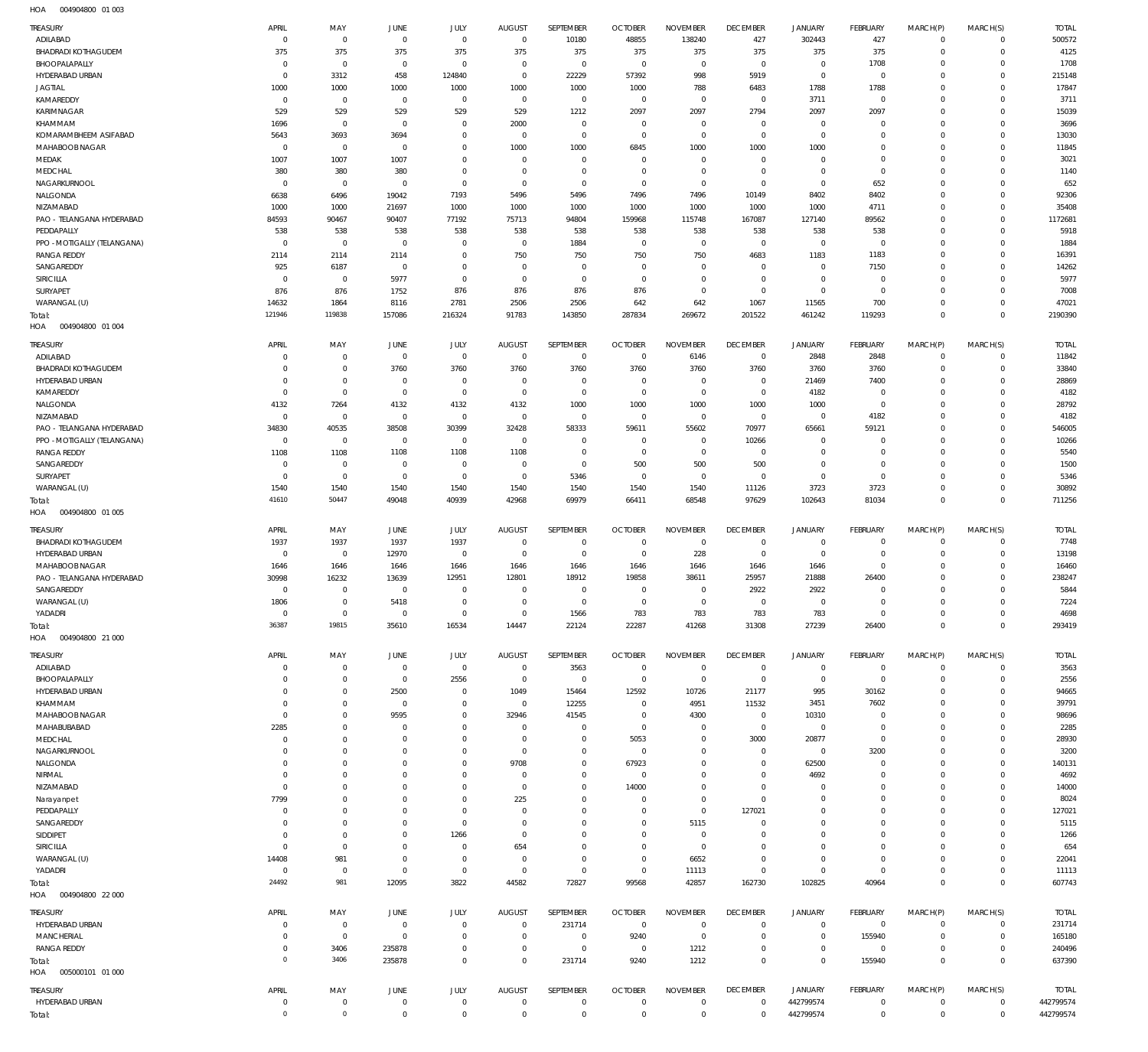004904800 01 003 HOA

| TREASURY                                      | APRIL              | MAY                    | <b>JUNE</b>                   | JULY                    | <b>AUGUST</b>                    | SEPTEMBER                  | <b>OCTOBER</b>                   | <b>NOVEMBER</b>                | <b>DECEMBER</b>                   | <b>JANUARY</b>                   | FEBRUARY                         | MARCH(P)                | MARCH(S)                     | <b>TOTAL</b>              |
|-----------------------------------------------|--------------------|------------------------|-------------------------------|-------------------------|----------------------------------|----------------------------|----------------------------------|--------------------------------|-----------------------------------|----------------------------------|----------------------------------|-------------------------|------------------------------|---------------------------|
| ADILABAD                                      | $\mathbf 0$        | $\overline{0}$         | $\overline{0}$                | $\mathbf 0$             | $\overline{0}$                   | 10180                      | 48855                            | 138240                         | 427                               | 302443                           | 427                              | $^{\circ}$              | $\overline{0}$               | 500572                    |
| <b>BHADRADI KOTHAGUDEM</b><br>BHOOPALAPALLY   | 375<br>$\mathbf 0$ | 375<br>$\overline{0}$  | 375<br>$\overline{0}$         | 375<br>$\mathbf 0$      | 375<br>$\overline{0}$            | 375<br>$\overline{0}$      | 375<br>$\overline{0}$            | 375<br>$\mathbf 0$             | 375<br>$\overline{0}$             | 375<br>$\overline{0}$            | 375<br>1708                      | $\Omega$<br>$\Omega$    | $\mathbf{0}$<br>$\mathbf{0}$ | 4125<br>1708              |
| HYDERABAD URBAN                               | $\mathbf 0$        | 3312                   | 458                           | 124840                  | $\overline{0}$                   | 22229                      | 57392                            | 998                            | 5919                              | $\overline{0}$                   | $\overline{0}$                   | $\Omega$                | $\mathbf{0}$                 | 215148                    |
| <b>JAGTIAL</b>                                | 1000               | 1000                   | 1000                          | 1000                    | 1000                             | 1000                       | 1000                             | 788                            | 6483                              | 1788                             | 1788                             | $\Omega$                | $\mathbf{0}$                 | 17847                     |
| KAMAREDDY                                     | $\overline{0}$     | $\overline{0}$         | $\overline{0}$                | $\mathbf 0$             | $\overline{0}$                   | $\overline{0}$             | $\overline{0}$                   | $\mathbf 0$                    | $\overline{0}$                    | 3711                             | $\overline{0}$                   | $\Omega$                | $\mathbf{0}$                 | 3711                      |
| KARIMNAGAR                                    | 529                | 529                    | 529                           | 529                     | 529                              | 1212                       | 2097                             | 2097                           | 2794                              | 2097                             | 2097                             | $\Omega$                | $\Omega$                     | 15039                     |
| KHAMMAM                                       | 1696               | $\overline{0}$         | $\overline{0}$                | $\mathbf 0$             | 2000                             | $^{\circ}$                 | $\overline{0}$                   | $^{\circ}$                     | $\overline{0}$                    | $\overline{0}$                   | $\overline{0}$                   | $\Omega$                | $\mathbf{0}$                 | 3696                      |
| KOMARAMBHEEM ASIFABAD                         | 5643               | 3693                   | 3694                          | 0                       | $\overline{0}$                   | $\mathbf{0}$               | $\overline{0}$                   | $\mathbf{0}$                   | $\overline{0}$                    | $\mathbf 0$                      | $\overline{0}$                   | $\Omega$                | $\mathbf 0$                  | 13030                     |
| MAHABOOB NAGAR<br>MEDAK                       | $\Omega$<br>1007   | $\overline{0}$<br>1007 | $\overline{0}$<br>1007        | $\Omega$<br>0           | 1000<br>$\mathbf{0}$             | 1000<br>$\mathbf 0$        | 6845<br>$\overline{0}$           | 1000<br>$^{\circ}$             | 1000<br>$\overline{0}$            | 1000<br>$\mathbf 0$              | $\overline{0}$<br>$\overline{0}$ | $\Omega$<br>$\Omega$    | $\mathbf{0}$<br>$\mathbf{0}$ | 11845<br>3021             |
| MEDCHAL                                       | 380                | 380                    | 380                           | $\Omega$                | $\mathbf{0}$                     | $\mathbf 0$                | $\overline{0}$                   | $\mathbf{0}$                   | $\overline{0}$                    | $\mathbf 0$                      | $\overline{0}$                   | $\Omega$                | $\mathbf{0}$                 | 1140                      |
| NAGARKURNOOL                                  | $\mathbf 0$        | $\overline{0}$         | $\overline{0}$                | $^{\circ}$              | $\overline{0}$                   | $^{\circ}$                 | $\overline{0}$                   | $\mathbf{0}$                   | $\overline{0}$                    | $\overline{0}$                   | 652                              | $\Omega$                | $\mathbf{0}$                 | 652                       |
| NALGONDA                                      | 6638               | 6496                   | 19042                         | 7193                    | 5496                             | 5496                       | 7496                             | 7496                           | 10149                             | 8402                             | 8402                             | $\Omega$                | $\mathbf 0$                  | 92306                     |
| NIZAMABAD                                     | 1000               | 1000                   | 21697                         | 1000                    | 1000                             | 1000                       | 1000                             | 1000                           | 1000                              | 1000                             | 4711                             | $\Omega$                | $\Omega$                     | 35408                     |
| PAO - TELANGANA HYDERABAD                     | 84593              | 90467                  | 90407                         | 77192                   | 75713                            | 94804                      | 159968                           | 115748                         | 167087                            | 127140                           | 89562                            | $\Omega$                | $\mathbf{0}$                 | 1172681                   |
| PEDDAPALLY                                    | 538                | 538                    | 538                           | 538                     | 538                              | 538                        | 538                              | 538                            | 538                               | 538                              | 538                              | $\Omega$                | $\mathbf{0}$                 | 5918                      |
| PPO - MOTIGALLY (TELANGANA)                   | $\Omega$           | $\overline{0}$         | $\overline{0}$                | $\Omega$                | $\overline{0}$                   | 1884                       | $\overline{0}$                   | $^{\circ}$                     | $\overline{0}$                    | $\overline{0}$                   | $\overline{0}$                   | $\Omega$                | $\mathbf{0}$                 | 1884                      |
| <b>RANGA REDDY</b>                            | 2114               | 2114                   | 2114                          | $\mathbf 0$             | 750                              | 750                        | 750                              | 750                            | 4683                              | 1183                             | 1183                             | $\Omega$                | $\mathbf{0}$                 | 16391                     |
| SANGAREDDY<br><b>SIRICILLA</b>                | 925<br>$\mathbf 0$ | 6187<br>$\overline{0}$ | $\overline{0}$<br>5977        | $\Omega$<br>$\mathbf 0$ | $\overline{0}$<br>$\overline{0}$ | $\mathbf 0$<br>$\mathbf 0$ | $\overline{0}$<br>$\overline{0}$ | $^{\circ}$<br>$\mathbf 0$      | $\overline{0}$<br>$\overline{0}$  | $\overline{0}$<br>$^{\circ}$     | 7150<br>$\overline{0}$           | $\Omega$<br>$\Omega$    | $\mathbf{0}$<br>$\mathbf{0}$ | 14262<br>5977             |
| SURYAPET                                      | 876                | 876                    | 1752                          | 876                     | 876                              | 876                        | 876                              | $\mathbf 0$                    | $\overline{0}$                    | $\mathbf 0$                      | $\overline{0}$                   | $\Omega$                | $\mathbf{0}$                 | 7008                      |
| WARANGAL (U)                                  | 14632              | 1864                   | 8116                          | 2781                    | 2506                             | 2506                       | 642                              | 642                            | 1067                              | 11565                            | 700                              | $\Omega$                | $\mathbf{0}$                 | 47021                     |
| Total:                                        | 121946             | 119838                 | 157086                        | 216324                  | 91783                            | 143850                     | 287834                           | 269672                         | 201522                            | 461242                           | 119293                           | $\Omega$                | $\Omega$                     | 2190390                   |
| 004904800 01 004<br>HOA                       |                    |                        |                               |                         |                                  |                            |                                  |                                |                                   |                                  |                                  |                         |                              |                           |
| TREASURY                                      | APRIL              | MAY                    | JUNE                          | JULY                    | <b>AUGUST</b>                    | SEPTEMBER                  | <b>OCTOBER</b>                   | <b>NOVEMBER</b>                | <b>DECEMBER</b>                   | <b>JANUARY</b>                   | FEBRUARY                         | MARCH(P)                | MARCH(S)                     | <b>TOTAL</b>              |
| ADILABAD                                      | $\Omega$           | $\mathbf 0$            | $\overline{0}$                | $^{\circ}$              | $\overline{0}$                   | $\overline{0}$             | $\overline{0}$                   | 6146                           | $\overline{0}$                    | 2848                             | 2848                             | $\mathbf 0$             | $^{\circ}$                   | 11842                     |
| <b>BHADRADI KOTHAGUDEM</b>                    | $\Omega$           | $\mathbf 0$            | 3760                          | 3760                    | 3760                             | 3760                       | 3760                             | 3760                           | 3760                              | 3760                             | 3760                             | $\Omega$                | $\mathbf{0}$                 | 33840                     |
| <b>HYDERABAD URBAN</b>                        | $\overline{0}$     | $\mathbf 0$            | $\overline{0}$                | $\mathbf 0$             | $^{\circ}$                       | $\mathbf 0$                | $\overline{0}$                   | $^{\circ}$                     | $\overline{0}$                    | 21469                            | 7400                             | $\Omega$                | $\mathbf{0}$                 | 28869                     |
| KAMAREDDY                                     | $\Omega$           | $\mathbf 0$            | $\overline{0}$                | $\Omega$                | $\overline{0}$                   | $^{\circ}$                 | $\overline{0}$                   | $\mathbf 0$                    | $\overline{0}$                    | 4182                             | $\overline{0}$                   | $\Omega$                | $\mathbf 0$                  | 4182                      |
| NALGONDA                                      | 4132               | 7264                   | 4132                          | 4132                    | 4132                             | 1000                       | 1000                             | 1000                           | 1000                              | 1000                             | $\overline{0}$                   | $\Omega$                | $\mathbf 0$                  | 28792                     |
| NIZAMABAD                                     | $\mathbf 0$        | $^{\circ}$             | $\overline{0}$                | $\mathbf 0$             | $\mathbf 0$                      | $^{\circ}$                 | $\overline{0}$                   | $\mathbf 0$                    | $\overline{0}$                    | $\overline{0}$                   | 4182                             | $\Omega$                | $\mathbf 0$                  | 4182                      |
| PAO - TELANGANA HYDERABAD                     | 34830              | 40535                  | 38508                         | 30399                   | 32428                            | 58333                      | 59611                            | 55602                          | 70977                             | 65661                            | 59121                            | $\Omega$                | $\Omega$                     | 546005                    |
| PPO - MOTIGALLY (TELANGANA)                   | $\overline{0}$     | $\mathbf 0$            | $\overline{0}$                | $\mathbf 0$             | $\overline{0}$                   | $\mathbf 0$<br>$\Omega$    | $\overline{0}$<br>$\overline{0}$ | $\mathbf 0$<br>$\mathbf 0$     | 10266<br>$\overline{0}$           | $\mathbf 0$<br>$\Omega$          | $\overline{0}$<br>$\overline{0}$ | $\Omega$<br>$\Omega$    | $\mathbf 0$<br>$\Omega$      | 10266<br>5540             |
| <b>RANGA REDDY</b><br>SANGAREDDY              | 1108<br>$\Omega$   | 1108<br>$^{\circ}$     | 1108<br>$\overline{0}$        | 1108<br>$\mathbf 0$     | 1108<br>$^{\circ}$               | $\mathbf 0$                | 500                              | 500                            | 500                               | $\mathbf 0$                      | $\overline{0}$                   | $\Omega$                | $\Omega$                     | 1500                      |
| SURYAPET                                      | $\Omega$           | $\mathbf{0}$           | $\overline{0}$                | $^{\circ}$              | $\overline{0}$                   | 5346                       | $\overline{0}$                   | $\mathbf{0}$                   | $\overline{0}$                    | $\mathbf 0$                      | $\overline{0}$                   | $\Omega$                | $\mathbf 0$                  | 5346                      |
| WARANGAL (U)                                  | 1540               | 1540                   | 1540                          | 1540                    | 1540                             | 1540                       | 1540                             | 1540                           | 11126                             | 3723                             | 3723                             | $\Omega$                | $\mathbf 0$                  | 30892                     |
| Total:                                        | 41610              | 50447                  | 49048                         | 40939                   | 42968                            | 69979                      | 66411                            | 68548                          | 97629                             | 102643                           | 81034                            | $\Omega$                | $\overline{0}$               | 711256                    |
|                                               |                    |                        |                               |                         |                                  |                            |                                  |                                |                                   |                                  |                                  |                         |                              |                           |
| HOA<br>004904800 01 005                       |                    |                        |                               |                         |                                  |                            |                                  |                                |                                   |                                  |                                  |                         |                              |                           |
|                                               | APRIL              |                        |                               |                         | <b>AUGUST</b>                    | SEPTEMBER                  |                                  |                                | <b>DECEMBER</b>                   |                                  |                                  |                         |                              | <b>TOTAL</b>              |
| <b>TREASURY</b><br><b>BHADRADI KOTHAGUDEM</b> | 1937               | MAY<br>1937            | JUNE<br>1937                  | JULY<br>1937            | $^{\circ}$                       | $^{\circ}$                 | <b>OCTOBER</b><br>$\overline{0}$ | <b>NOVEMBER</b><br>$\mathbf 0$ | $\overline{0}$                    | <b>JANUARY</b><br>$\overline{0}$ | FEBRUARY<br>$\overline{0}$       | MARCH(P)<br>$\mathbf 0$ | MARCH(S)<br>$\mathbf{0}$     | 7748                      |
| HYDERABAD URBAN                               | $\Omega$           | $\overline{0}$         | 12970                         | $^{\circ}$              | $\overline{0}$                   | $^{\circ}$                 | $\overline{0}$                   | 228                            | $\overline{0}$                    | $\overline{0}$                   | $\overline{0}$                   | $\Omega$                | $\mathbf{0}$                 | 13198                     |
| MAHABOOB NAGAR                                | 1646               | 1646                   | 1646                          | 1646                    | 1646                             | 1646                       | 1646                             | 1646                           | 1646                              | 1646                             | $\overline{0}$                   | $\Omega$                | $\mathbf{0}$                 | 16460                     |
| PAO - TELANGANA HYDERABAD                     | 30998              | 16232                  | 13639                         | 12951                   | 12801                            | 18912                      | 19858                            | 38611                          | 25957                             | 21888                            | 26400                            | $\Omega$                | $\mathbf{0}$                 | 238247                    |
| SANGAREDDY                                    | $\Omega$           | $\mathbf 0$            | $\overline{0}$                | $\Omega$                | $^{\circ}$                       | $\mathbf 0$                | $\overline{0}$                   | $^{\circ}$                     | 2922                              | 2922                             | $\overline{0}$                   | $\Omega$                | $\mathbf{0}$                 | 5844                      |
| WARANGAL (U)                                  | 1806               | $\mathbf 0$            | 5418                          | $\mathbf 0$             | $\mathbf 0$                      | $\mathbf 0$                | $\overline{0}$                   | $\mathbf 0$                    | $\overline{0}$                    | $\mathbf 0$                      | $\overline{0}$                   | $\Omega$                | $\circ$                      | 7224                      |
| YADADRI                                       | $\Omega$           | $\Omega$               | $\Omega$                      | $\Omega$                | $\Omega$                         | 1566                       | 783                              | 783                            | 783                               | 783                              | $\Omega$                         | $\Omega$                | $\Omega$                     | 4698                      |
| Total:                                        | 36387              | 19815                  | 35610                         | 16534                   | 14447                            | 22124                      | 22287                            | 41268                          | 31308                             | 27239                            | 26400                            | $\mathbf 0$             | $\overline{0}$               | 293419                    |
| HOA<br>004904800 21 000                       |                    |                        |                               |                         |                                  |                            |                                  |                                |                                   |                                  |                                  |                         |                              |                           |
| TREASURY                                      | APRIL              | MAY                    | <b>JUNE</b>                   | JULY                    | <b>AUGUST</b>                    | SEPTEMBER                  | <b>OCTOBER</b>                   | <b>NOVEMBER</b>                | <b>DECEMBER</b>                   | <b>JANUARY</b>                   | FEBRUARY                         | MARCH(P)                | MARCH(S)                     | <b>TOTAL</b>              |
| ADILABAD                                      | 0<br>$\Omega$      | 0                      | $\overline{0}$                | $\mathbf 0$             | $\mathbf 0$                      | 3563                       | $\overline{0}$                   | $^{\circ}$                     | $\overline{0}$                    | $\overline{0}$                   | $\overline{0}$                   | $\mathbf 0$<br>$\Omega$ | $\mathbf 0$                  | 3563                      |
| BHOOPALAPALLY                                 | $\Omega$           | 0<br>0                 | $\overline{0}$                | 2556<br>0               | $\overline{0}$                   | $\overline{0}$             | $\overline{0}$                   | $\mathbf 0$                    | $\overline{0}$                    | $\overline{0}$                   | $\overline{0}$                   | $\Omega$                | $\mathbf 0$<br>$\mathbf 0$   | 2556                      |
| HYDERABAD URBAN<br>KHAMMAM                    | $\Omega$           | 0                      | 2500<br>$\overline{0}$        | $\Omega$                | 1049<br>$^{\circ}$               | 15464<br>12255             | 12592<br>$^{\circ}$              | 10726<br>4951                  | 21177<br>11532                    | 995<br>3451                      | 30162<br>7602                    | 0                       | 0                            | 94665<br>39791            |
| MAHABOOB NAGAR                                | $\overline{0}$     | 0                      | 9595                          | $\Omega$                | 32946                            | 41545                      | $\overline{0}$                   | 4300                           | $\overline{0}$                    | 10310                            | $\overline{0}$                   | $\Omega$                | $\mathbf 0$                  | 98696                     |
| MAHABUBABAD                                   | 2285               | 0                      | $\mathbf 0$                   | O                       | $\mathbf 0$                      | $\mathbf 0$                | $\overline{0}$                   | $\Omega$                       | $\overline{0}$                    | $\overline{0}$                   | $\overline{0}$                   | 0                       | 0                            | 2285                      |
| MEDCHAL                                       | $\overline{0}$     | $\Omega$               | $^{\circ}$                    | $\Omega$                | $^{\circ}$                       | $\Omega$                   | 5053                             | $\Omega$                       | 3000                              | 20877                            | $\overline{0}$                   | $\Omega$                | $\Omega$                     | 28930                     |
| NAGARKURNOOL                                  | $\Omega$           | $\Omega$               | $\overline{0}$                | O                       | $^{\circ}$                       | 0                          | $\overline{0}$                   | $\Omega$                       | $\mathbf 0$                       | $\overline{0}$                   | 3200                             | 0                       | $\mathbf 0$                  | 3200                      |
| NALGONDA                                      | $\Omega$           | 0                      | $\mathbf 0$                   | O                       | 9708                             | $\Omega$                   | 67923                            | $\Omega$                       | $\mathbf 0$                       | 62500                            | $^{\circ}$                       | 0                       | $\mathbf 0$                  | 140131                    |
| NIRMAL                                        | $\Omega$           | $\Omega$               | $\mathbf 0$                   | O                       | $\mathbf 0$                      | $\Omega$                   | $\overline{0}$                   | $\Omega$                       | $\Omega$                          | 4692                             | $^{\circ}$                       | $\Omega$                | $\Omega$                     | 4692                      |
| NIZAMABAD                                     | $\overline{0}$     | 0<br>$\Omega$          | $^{\circ}$<br>$\Omega$        | O<br>$\Omega$           | $^{\circ}$                       | $\mathbf 0$<br>$\Omega$    | 14000                            | $\Omega$<br>$\Omega$           | $\overline{0}$                    | $^{\circ}$<br>$\Omega$           | $^{\circ}$<br>$\Omega$           | $\Omega$<br>0           | $\mathbf 0$<br>$\Omega$      | 14000                     |
| Narayanpet                                    | 7799<br>0          | 0                      | $\mathbf 0$                   | $\Omega$                | 225<br>$\Omega$                  | $\mathbf 0$                | $^{\circ}$<br>$^{\circ}$         | $\Omega$                       | $\mathbf 0$                       | $\mathbf 0$                      | $^{\circ}$                       | $\Omega$                | $\Omega$                     | 8024                      |
| PEDDAPALLY<br>SANGAREDDY                      | $\Omega$           | $\Omega$               | $\mathbf 0$                   | $\Omega$                | $\Omega$                         | $\Omega$                   | $\mathbf 0$                      | 5115                           | 127021<br>$^{\circ}$              | $\Omega$                         | $^{\circ}$                       | 0                       | 0                            | 127021<br>5115            |
| SIDDIPET                                      | $\Omega$           | $\Omega$               | $^{\circ}$                    | 1266                    | $\Omega$                         | $\Omega$                   | $^{\circ}$                       | $\Omega$                       | $\Omega$                          | $\Omega$                         | $\Omega$                         | $\Omega$                | $\Omega$                     | 1266                      |
| <b>SIRICILLA</b>                              | $\overline{0}$     | $\mathbf 0$            | $^{\circ}$                    | $\mathbf 0$             | 654                              | $\Omega$                   | $^{\circ}$                       | $^{\circ}$                     | $\overline{0}$                    | $\Omega$                         | $^{\circ}$                       | $\Omega$                | $\mathbf 0$                  | 654                       |
| WARANGAL (U)                                  | 14408              | 981                    | $^{\circ}$                    | $\Omega$                | $\mathbf 0$                      | $\Omega$                   | $^{\circ}$                       | 6652                           | $^{\circ}$                        | $\mathbf 0$                      | $^{\circ}$                       | $\Omega$                | $\mathbf 0$                  | 22041                     |
| YADADRI                                       | $^{\circ}$         | $\mathbf{0}$           | $\overline{0}$                | $\mathbf 0$             | $\mathbf{0}$                     | $\mathbf 0$                | $\overline{0}$                   | 11113                          | $\overline{0}$                    | $\mathbf 0$                      | $\overline{0}$                   | $\Omega$                | $\mathbf 0$                  | 11113                     |
| Total:<br>HOA<br>004904800 22 000             | 24492              | 981                    | 12095                         | 3822                    | 44582                            | 72827                      | 99568                            | 42857                          | 162730                            | 102825                           | 40964                            | $\Omega$                | $\mathbf 0$                  | 607743                    |
| TREASURY                                      | APRIL              | MAY                    | JUNE                          | JULY                    | <b>AUGUST</b>                    | SEPTEMBER                  | <b>OCTOBER</b>                   | <b>NOVEMBER</b>                | <b>DECEMBER</b>                   | <b>JANUARY</b>                   | FEBRUARY                         | MARCH(P)                | MARCH(S)                     | <b>TOTAL</b>              |
| HYDERABAD URBAN                               | $\overline{0}$     | $\mathbf 0$            | $\overline{0}$                | $\mathbf 0$             | $\mathbf{0}$                     | 231714                     | $\overline{0}$                   | $^{\circ}$                     | $\overline{0}$                    | $\overline{0}$                   | $\overline{0}$                   | $\mathbf 0$             | $\mathbf{0}$                 | 231714                    |
| <b>MANCHERIAL</b>                             | $\Omega$           | $\overline{0}$         | $\overline{0}$                | $\Omega$                | $^{\circ}$                       | $\overline{0}$             | 9240                             | $^{\circ}$                     | $\overline{0}$                    | $\mathbf 0$                      | 155940                           | $\Omega$                | $^{\circ}$                   | 165180                    |
| <b>RANGA REDDY</b>                            | $\overline{0}$     | 3406                   | 235878                        | $\mathbf 0$             | $\mathbf{0}$                     | $\overline{0}$             | $\overline{0}$                   | 1212                           | $\overline{0}$                    | $\mathbf 0$                      | $\overline{0}$                   | $\mathbf 0$             | $\circ$                      | 240496                    |
| Total:<br>005000101 01 000<br>HOA             | $\overline{0}$     | 3406                   | 235878                        | $\mathbf 0$             | $\Omega$                         | 231714                     | 9240                             | 1212                           | $\overline{0}$                    | $\mathbf 0$                      | 155940                           | $\Omega$                | $\overline{0}$               | 637390                    |
|                                               | APRIL              |                        |                               |                         |                                  | SEPTEMBER                  |                                  | <b>NOVEMBER</b>                |                                   |                                  |                                  |                         |                              |                           |
| TREASURY<br>HYDERABAD URBAN                   | $\overline{0}$     | MAY<br>0               | <b>JUNE</b><br>$\overline{0}$ | JULY<br>0               | <b>AUGUST</b><br>$\mathbf 0$     | $\mathbf 0$                | <b>OCTOBER</b><br>$\overline{0}$ | $^{\circ}$                     | <b>DECEMBER</b><br>$\overline{0}$ | <b>JANUARY</b><br>442799574      | FEBRUARY<br>$\overline{0}$       | MARCH(P)<br>$\mathbf 0$ | MARCH(S)<br>$\overline{0}$   | <b>TOTAL</b><br>442799574 |
| Total:                                        | $\mathbb O$        | $\mathbf 0$            | $\overline{0}$                | $\mathbf 0$             | $\mathbf 0$                      | $\mathbf 0$                | $\mathbf{0}$                     | $\mathbf 0$                    | $\mathbf 0$                       | 442799574                        | $\overline{0}$                   | $\mathbf 0$             | $\mathbf 0$                  | 442799574                 |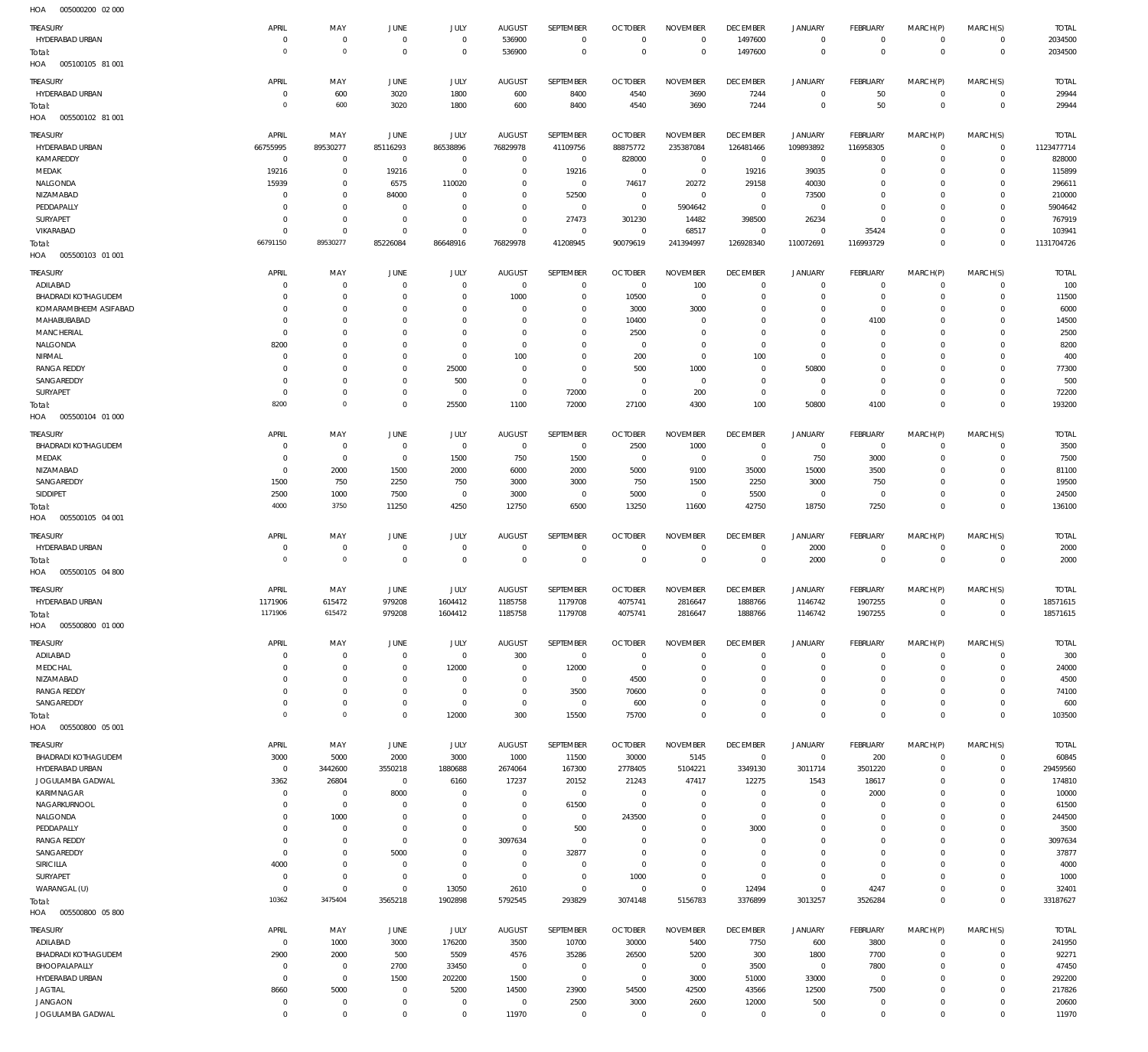| $\cdots$                   |                |                     |                |                     |                |                     |                |                 |                 |                |                 |             |                |              |
|----------------------------|----------------|---------------------|----------------|---------------------|----------------|---------------------|----------------|-----------------|-----------------|----------------|-----------------|-------------|----------------|--------------|
| TREASURY                   | APRIL          | MAY                 | <b>JUNE</b>    | JULY                | <b>AUGUST</b>  | SEPTEMBER           | <b>OCTOBER</b> | <b>NOVEMBER</b> | <b>DECEMBER</b> | <b>JANUARY</b> | <b>FEBRUARY</b> | MARCH(P)    | MARCH(S)       | <b>TOTAL</b> |
| HYDERABAD URBAN            | $\mathbf 0$    | $\mathbf 0$         | $\mathbf{0}$   | $\mathbf 0$         | 536900         | $\mathbf 0$         | $\overline{0}$ | $\mathbf 0$     | 1497600         | $\mathbf 0$    | $\mathbf{0}$    | $\mathbf 0$ | $\mathbf{0}$   | 2034500      |
| Total:                     | $\overline{0}$ | $\mathsf{O}\xspace$ | $\overline{0}$ | $\mathbf 0$         | 536900         | $\mathbf 0$         | $\overline{0}$ | $\mathbf 0$     | 1497600         | $\mathbf 0$    | $\overline{0}$  | $\mathbf 0$ | $\mathbf 0$    | 2034500      |
| 005100105 81 001<br>HOA    |                |                     |                |                     |                |                     |                |                 |                 |                |                 |             |                |              |
|                            |                |                     |                |                     |                |                     |                |                 |                 |                |                 |             |                |              |
| TREASURY                   | APRIL          | MAY                 | <b>JUNE</b>    | JULY                | <b>AUGUST</b>  | SEPTEMBER           | <b>OCTOBER</b> | <b>NOVEMBER</b> | <b>DECEMBER</b> | <b>JANUARY</b> | <b>FEBRUARY</b> | MARCH(P)    | MARCH(S)       | <b>TOTAL</b> |
| HYDERABAD URBAN            | 0              | 600                 | 3020           | 1800                | 600            | 8400                | 4540           | 3690            | 7244            | $\mathbf 0$    | 50              | $\mathbf 0$ | $\mathbf 0$    | 29944        |
| Total:                     | $\overline{0}$ | 600                 | 3020           | 1800                | 600            | 8400                | 4540           | 3690            | 7244            | $\mathbf 0$    | 50              | $\mathbf 0$ | $\overline{0}$ | 29944        |
| 005500102 81 001<br>HOA    |                |                     |                |                     |                |                     |                |                 |                 |                |                 |             |                |              |
|                            |                |                     |                |                     |                |                     |                |                 |                 |                |                 |             |                |              |
| TREASURY                   | APRIL          | MAY                 | <b>JUNE</b>    | JULY                | <b>AUGUST</b>  | SEPTEMBER           | <b>OCTOBER</b> | <b>NOVEMBER</b> | <b>DECEMBER</b> | <b>JANUARY</b> | FEBRUARY        | MARCH(P)    | MARCH(S)       | <b>TOTAL</b> |
| HYDERABAD URBAN            | 66755995       | 89530277            | 85116293       | 86538896            | 76829978       | 41109756            | 88875772       | 235387084       | 126481466       | 109893892      | 116958305       | $\mathbf 0$ | $\circ$        | 1123477714   |
| KAMAREDDY                  | $\overline{0}$ | $\mathbf 0$         | $\overline{0}$ | $\mathbf 0$         | $\mathbf 0$    | $^{\circ}$          | 828000         | $\overline{0}$  | $\overline{0}$  | $^{\circ}$     | $^{\circ}$      | $\Omega$    | $\mathbf{0}$   | 828000       |
| MEDAK                      | 19216          | $\mathbf 0$         | 19216          | $\mathbf 0$         | $\mathbf 0$    | 19216               | $\overline{0}$ | $\mathbf 0$     | 19216           | 39035          | $^{\circ}$      | $\Omega$    | $\mathbf 0$    | 115899       |
| NALGONDA                   | 15939          | $\mathbf 0$         | 6575           | 110020              | $\Omega$       | $\mathbf 0$         | 74617          | 20272           | 29158           | 40030          | $\Omega$        | $\Omega$    | $\Omega$       | 296611       |
| NIZAMABAD                  | $\Omega$       | $\Omega$            | 84000          | $\Omega$            | $\Omega$       | 52500               | $\overline{0}$ | $\mathbf 0$     | $\overline{0}$  | 73500          | $\Omega$        | $\Omega$    | $\Omega$       | 210000       |
| PEDDAPALLY                 | $\Omega$       | $\mathbf 0$         | $\overline{0}$ | $\Omega$            | $\mathbf 0$    | $\mathbf 0$         | $\overline{0}$ | 5904642         | $\overline{0}$  | $\mathbf 0$    | $\Omega$        | $\Omega$    | $\mathbf 0$    | 5904642      |
| SURYAPET                   | $\Omega$       | $\mathbf 0$         | $\overline{0}$ | $\Omega$            | $\Omega$       | 27473               | 301230         | 14482           | 398500          | 26234          | $\Omega$        | $\Omega$    | $\Omega$       | 767919       |
| VIKARABAD                  | $\Omega$       | $\mathbf 0$         | $\mathbf 0$    | $\Omega$            | $\mathbf 0$    | $\mathbf 0$         | $\overline{0}$ | 68517           | $^{\circ}$      | $\mathbf 0$    | 35424           | $\Omega$    | $\mathbf{0}$   | 103941       |
|                            | 66791150       | 89530277            | 85226084       | 86648916            | 76829978       | 41208945            | 90079619       | 241394997       | 126928340       | 110072691      | 116993729       | $\Omega$    | $\mathbf 0$    | 1131704726   |
| Total:                     |                |                     |                |                     |                |                     |                |                 |                 |                |                 |             |                |              |
| 005500103 01 001<br>HOA    |                |                     |                |                     |                |                     |                |                 |                 |                |                 |             |                |              |
| TREASURY                   | APRIL          | MAY                 | <b>JUNE</b>    | JULY                | <b>AUGUST</b>  | SEPTEMBER           | <b>OCTOBER</b> | <b>NOVEMBER</b> | <b>DECEMBER</b> | <b>JANUARY</b> | FEBRUARY        | MARCH(P)    | MARCH(S)       | <b>TOTAL</b> |
| ADILABAD                   | $\Omega$       | $\mathbf 0$         | $\overline{0}$ | $\mathbf 0$         | $\overline{0}$ | $\mathbf 0$         | $\overline{0}$ | 100             | $\overline{0}$  | $^{\circ}$     | $\overline{0}$  | $\Omega$    | $^{\circ}$     | 100          |
| <b>BHADRADI KOTHAGUDEM</b> | $\Omega$       | $\mathbf 0$         | $\overline{0}$ | $\mathbf 0$         | 1000           | $\mathbf 0$         | 10500          | $\mathbf 0$     | $\overline{0}$  | $\mathbf 0$    | $\overline{0}$  | $\mathbf 0$ | $\mathbf{0}$   | 11500        |
|                            | $\Omega$       | $\mathbf 0$         |                | $\Omega$            | $\Omega$       |                     |                |                 |                 |                |                 |             | $\mathbf 0$    |              |
| KOMARAMBHEEM ASIFABAD      |                |                     | $\mathbf 0$    |                     |                | $\mathbf 0$         | 3000           | 3000            | $\overline{0}$  | $\mathbf 0$    | $\overline{0}$  | $\Omega$    |                | 6000         |
| MAHABUBABAD                | $\Omega$       | $\mathbf 0$         | $\mathbf 0$    | $\Omega$            | $\Omega$       | $\mathbf 0$         | 10400          | $\mathbf 0$     | $\overline{0}$  | $\mathbf 0$    | 4100            | $\Omega$    | $^{\circ}$     | 14500        |
| <b>MANCHERIAL</b>          | $\mathbf 0$    | $\mathbf 0$         | $\mathbf 0$    | $\Omega$            | $\mathbf 0$    | $\mathbf 0$         | 2500           | $\mathbf 0$     | $\overline{0}$  | $\mathbf 0$    | $\overline{0}$  | $\Omega$    | $\mathbf 0$    | 2500         |
| NALGONDA                   | 8200           | $\mathbf 0$         | $\mathbf 0$    | $\Omega$            | $\Omega$       | $\Omega$            | $\overline{0}$ | $\Omega$        | $\overline{0}$  | $\Omega$       | $\mathbf{0}$    | $\Omega$    | $\Omega$       | 8200         |
| NIRMAL                     | $\mathbf 0$    | $\mathbf 0$         | $\mathbf 0$    | $\mathbf 0$         | 100            | $\mathbf 0$         | 200            | $\mathbf 0$     | 100             | $\mathbf 0$    | $\mathbf{0}$    | $\Omega$    | $\mathbf 0$    | 400          |
| <b>RANGA REDDY</b>         | $\Omega$       | $\mathbf 0$         | $\mathbf 0$    | 25000               | $\overline{0}$ | $\mathbf 0$         | 500            | 1000            | $\overline{0}$  | 50800          | $^{\circ}$      | $\Omega$    | $\Omega$       | 77300        |
| SANGAREDDY                 | $\Omega$       | $\mathbf 0$         | $\mathbf 0$    | 500                 | $\overline{0}$ | $\mathbf 0$         | $\overline{0}$ | $\overline{0}$  | $\overline{0}$  | $\mathbf 0$    | $\overline{0}$  | $\Omega$    | $\mathbf{0}$   | 500          |
|                            |                | $\mathbf 0$         |                |                     | $\overline{0}$ |                     |                |                 | $\overline{0}$  | $\mathbf 0$    |                 | $\Omega$    | $\mathbf{0}$   |              |
| SURYAPET                   | $\mathbf 0$    |                     | $\mathbf 0$    | $\mathbf 0$         |                | 72000               | $\overline{0}$ | 200             |                 |                | $\overline{0}$  |             |                | 72200        |
| Total:                     | 8200           | $\mathsf{O}\xspace$ | $\mathbf 0$    | 25500               | 1100           | 72000               | 27100          | 4300            | 100             | 50800          | 4100            | $\Omega$    | $\Omega$       | 193200       |
| 005500104 01 000<br>HOA    |                |                     |                |                     |                |                     |                |                 |                 |                |                 |             |                |              |
| TREASURY                   | APRIL          | MAY                 | <b>JUNE</b>    | JULY                | <b>AUGUST</b>  | SEPTEMBER           | <b>OCTOBER</b> | <b>NOVEMBER</b> | <b>DECEMBER</b> | <b>JANUARY</b> | FEBRUARY        | MARCH(P)    | MARCH(S)       | <b>TOTAL</b> |
| <b>BHADRADI KOTHAGUDEM</b> | $\mathbf 0$    | $\mathbf 0$         | $\mathbf 0$    | 0                   | $\mathbf 0$    | $\overline{0}$      | 2500           | 1000            | $\overline{0}$  | $\mathbf 0$    | $\overline{0}$  | 0           | $\mathbf 0$    | 3500         |
|                            |                |                     |                |                     |                |                     |                |                 |                 |                |                 |             |                |              |
| MEDAK                      | $\Omega$       | $\mathbf 0$         | $\mathbf{0}$   | 1500                | 750            | 1500                | $\overline{0}$ | $\Omega$        | $\overline{0}$  | 750            | 3000            | $\Omega$    | $\mathbf 0$    | 7500         |
| NIZAMABAD                  | $\Omega$       | 2000                | 1500           | 2000                | 6000           | 2000                | 5000           | 9100            | 35000           | 15000          | 3500            | $\Omega$    | $\mathbf 0$    | 81100        |
| SANGAREDDY                 | 1500           | 750                 | 2250           | 750                 | 3000           | 3000                | 750            | 1500            | 2250            | 3000           | 750             | $\Omega$    | $\mathbf 0$    | 19500        |
| SIDDIPET                   | 2500           | 1000                | 7500           | $\mathbf 0$         | 3000           | $\overline{0}$      | 5000           | $\mathbf 0$     | 5500            | $\mathbf 0$    | $\overline{0}$  | $\Omega$    | $\mathbf{0}$   | 24500        |
| Total:                     | 4000           | 3750                | 11250          | 4250                | 12750          | 6500                | 13250          | 11600           | 42750           | 18750          | 7250            | $\Omega$    | $\mathbf 0$    | 136100       |
| HOA   005500105   04   001 |                |                     |                |                     |                |                     |                |                 |                 |                |                 |             |                |              |
|                            |                |                     |                |                     |                |                     |                |                 |                 |                |                 |             |                |              |
| TREASURY                   | APRIL          | MAY                 | <b>JUNE</b>    | JULY                | <b>AUGUST</b>  | SEPTEMBER           | <b>OCTOBER</b> | <b>NOVEMBER</b> | <b>DECEMBER</b> | <b>JANUARY</b> | <b>FEBRUARY</b> | MARCH(P)    | MARCH(S)       | <b>TOTAL</b> |
| HYDERABAD URBAN            | $\mathbf 0$    | $\bf 0$             | $\overline{0}$ | $\mathbf 0$         | $\overline{0}$ | $\mathbf 0$         | $\overline{0}$ | $\mathbf 0$     | $\overline{0}$  | 2000           | $\overline{0}$  | $\mathbf 0$ | $\circ$        | 2000         |
| Total:                     | $\overline{0}$ | $\mathsf{O}\xspace$ | $\overline{0}$ | $\mathsf{O}\xspace$ | $\overline{0}$ | $\mathbf 0$         | $\overline{0}$ | $\overline{0}$  | $\overline{0}$  | 2000           | $\overline{0}$  | $\mathbf 0$ | $\overline{0}$ | 2000         |
| 005500105 04 800<br>HOA    |                |                     |                |                     |                |                     |                |                 |                 |                |                 |             |                |              |
|                            |                |                     |                |                     |                |                     |                |                 |                 |                |                 |             |                |              |
| <b>TREASURY</b>            | APRIL          | MAY                 | JUNE           | JULY                | <b>AUGUST</b>  | SEPTEMBER           | <b>OCTOBER</b> | <b>NOVEMBER</b> | <b>DECEMBER</b> | <b>JANUARY</b> | FEBRUARY        | MARCH(P)    | MARCH(S)       | <b>TOTAL</b> |
| HYDERABAD URBAN            | 1171906        | 615472              | 979208         | 1604412             | 1185758        | 1179708             | 4075741        | 2816647         | 1888766         | 1146742        | 1907255         | $\mathbf 0$ | $\mathbf{0}$   | 18571615     |
| Total:                     | 1171906        | 615472              | 979208         | 1604412             | 1185758        | 1179708             | 4075741        | 2816647         | 1888766         | 1146742        | 1907255         | $\mathbf 0$ | $\,0\,$        | 18571615     |
| HOA<br>005500800 01 000    |                |                     |                |                     |                |                     |                |                 |                 |                |                 |             |                |              |
|                            |                |                     |                |                     |                |                     |                |                 |                 |                |                 |             |                |              |
| <b>TREASURY</b>            | APRIL          | MAY                 | <b>JUNE</b>    | JULY                | <b>AUGUST</b>  | SEPTEMBER           | <b>OCTOBER</b> | <b>NOVEMBER</b> | <b>DECEMBER</b> | <b>JANUARY</b> | FEBRUARY        | MARCH(P)    | MARCH(S)       | <b>TOTAL</b> |
| ADILABAD                   | $\mathbf 0$    | $\bf 0$             | $\overline{0}$ | $\mathsf{O}\xspace$ | 300            | $\overline{0}$      | $\overline{0}$ | $\mathbf 0$     | $\overline{0}$  | 0              | $\overline{0}$  | $\mathbf 0$ | $\circ$        | 300          |
| MEDCHAL                    | $\Omega$       | $\mathbf 0$         | $\overline{0}$ | 12000               | $\overline{0}$ | 12000               | $\overline{0}$ | $\Omega$        | $\mathbf 0$     | $\circ$        | $\mathbf{0}$    | $\circ$     | $\circ$        | 24000        |
| NIZAMABAD                  | $\mathbf 0$    | $\mathbf 0$         | $\mathbf 0$    | $\mathbf 0$         | $\overline{0}$ | $\overline{0}$      | 4500           | $\mathbf 0$     | $\overline{0}$  | $\circ$        | $^{\circ}$      | $\circ$     | $\mathbf{0}$   | 4500         |
| <b>RANGA REDDY</b>         | $\mathbf 0$    | $\mathbf 0$         | $\mathbf 0$    | $\mathbf 0$         | $\overline{0}$ | 3500                | 70600          | $\mathbf 0$     | $\overline{0}$  | $\circ$        | $\mathbf{0}$    | $\Omega$    | $\mathbf{0}$   | 74100        |
| SANGAREDDY                 | $\mathbf 0$    | $\mathbf 0$         | $\mathbf 0$    | $\mathbf 0$         | $\mathbf{0}$   | $^{\circ}$          | 600            | $\mathbf 0$     | $\overline{0}$  | $\mathbf 0$    | $\mathbf{0}$    | $\circ$     | $\mathbf{0}$   | 600          |
|                            | $\mathbf 0$    | $\mathsf{O}\xspace$ | $\mathbf 0$    | 12000               | 300            | 15500               | 75700          | $\mathbf 0$     | $\overline{0}$  | $\mathbf 0$    | $\overline{0}$  | $\mathbf 0$ | $\overline{0}$ | 103500       |
| Total:<br>005500800 05 001 |                |                     |                |                     |                |                     |                |                 |                 |                |                 |             |                |              |
| HOA                        |                |                     |                |                     |                |                     |                |                 |                 |                |                 |             |                |              |
| <b>TREASURY</b>            | APRIL          | MAY                 | JUNE           | <b>JULY</b>         | <b>AUGUST</b>  | <b>SEPTEMBER</b>    | <b>OCTOBER</b> | <b>NOVEMBER</b> | <b>DECEMBER</b> | <b>JANUARY</b> | FEBRUARY        | MARCH(P)    | MARCH(S)       | <b>TOTAL</b> |
| <b>BHADRADI KOTHAGUDEM</b> | 3000           | 5000                | 2000           | 3000                | 1000           | 11500               | 30000          | 5145            | $\,0\,$         | $\circ$        | 200             | $\mathbf 0$ | $^{\circ}$     | 60845        |
| HYDERABAD URBAN            | $\overline{0}$ | 3442600             | 3550218        | 1880688             | 2674064        | 167300              | 2778405        | 5104221         | 3349130         | 3011714        | 3501220         | $\Omega$    | $\mathbf{0}$   | 29459560     |
| JOGULAMBA GADWAL           | 3362           | 26804               | $\overline{0}$ | 6160                | 17237          | 20152               | 21243          | 47417           | 12275           | 1543           | 18617           | $\Omega$    | $\mathbf 0$    | 174810       |
|                            |                |                     |                | $\Omega$            |                | $\mathbf 0$         |                |                 |                 |                |                 | $\Omega$    |                |              |
| KARIMNAGAR                 |                | $\mathbf 0$         | 8000           |                     | $\mathbf 0$    |                     | $\overline{0}$ | $\mathbf 0$     | $\overline{0}$  | $^{\circ}$     | 2000            |             | $^{\circ}$     | 10000        |
| NAGARKURNOOL               | $\mathbf 0$    |                     |                |                     | $\mathbf 0$    | 61500               | $\overline{0}$ | $\mathbf 0$     | $\mathbf 0$     | $\mathbf 0$    | $^{\circ}$      | 0           | $^{\circ}$     | 61500        |
|                            | $\mathbf 0$    | $\mathbf 0$         | 0              | $\mathbf 0$         |                |                     |                |                 |                 |                |                 |             |                |              |
| NALGONDA                   | $\Omega$       | 1000                | $\overline{0}$ | $\Omega$            | $\mathbf 0$    | $\mathbf 0$         | 243500         | $\Omega$        | $\overline{0}$  | $\circ$        | $^{\circ}$      | $\Omega$    | $^{\circ}$     | 244500       |
| PEDDAPALLY                 | $\mathbf 0$    | 0                   | $\overline{0}$ | $\mathbf 0$         | $\mathbf 0$    | 500                 | $\overline{0}$ | $\Omega$        | 3000            | $\circ$        | $^{\circ}$      | $\Omega$    | $^{\circ}$     | 3500         |
| <b>RANGA REDDY</b>         | $\mathbf 0$    | $\mathbf 0$         | $\overline{0}$ | $\Omega$            | 3097634        | $\mathbf 0$         | $\mathbf 0$    | $\Omega$        | $\mathbf 0$     | $\circ$        | $^{\circ}$      | $\Omega$    | 0              | 3097634      |
| SANGAREDDY                 | $\mathbf 0$    | $\mathbf 0$         | 5000           | $\Omega$            | $^{\circ}$     | 32877               | $\overline{0}$ | $\Omega$        | $\overline{0}$  | $\mathbf 0$    | $^{\circ}$      | $\Omega$    | $\Omega$       | 37877        |
|                            |                | $\mathbf 0$         | $\mathbf 0$    | $\mathbf 0$         | $\mathbf 0$    | $\mathbf 0$         | $\overline{0}$ | $\Omega$        | $\overline{0}$  | $\mathbf 0$    | $^{\circ}$      | 0           | $^{\circ}$     |              |
| SIRICILLA                  | 4000           |                     |                |                     |                |                     |                | $\Omega$        |                 |                |                 | $\Omega$    | $\Omega$       | 4000         |
| SURYAPET                   | $\mathbf 0$    | $\mathbf 0$         | $\overline{0}$ | $\mathbf 0$         | $\mathbf 0$    | $\mathbf 0$         | 1000           |                 | $\overline{0}$  | $\mathbf 0$    | $^{\circ}$      |             |                | 1000         |
| WARANGAL (U)               | $\overline{0}$ | $\mathbf 0$         | $\mathbf 0$    | 13050               | 2610           | $\mathbf 0$         | $\overline{0}$ | $\mathbf 0$     | 12494           | $\mathbf 0$    | 4247            | $\Omega$    | $\mathbf{0}$   | 32401        |
| Total:                     | 10362          | 3475404             | 3565218        | 1902898             | 5792545        | 293829              | 3074148        | 5156783         | 3376899         | 3013257        | 3526284         | $\mathbf 0$ | $\mathbf 0$    | 33187627     |
| 005500800 05 800<br>HOA    |                |                     |                |                     |                |                     |                |                 |                 |                |                 |             |                |              |
|                            |                |                     |                |                     |                |                     |                |                 |                 |                |                 |             |                |              |
| TREASURY                   | APRIL          | MAY                 | JUNE           | <b>JULY</b>         | <b>AUGUST</b>  | SEPTEMBER           | <b>OCTOBER</b> | <b>NOVEMBER</b> | <b>DECEMBER</b> | <b>JANUARY</b> | FEBRUARY        | MARCH(P)    | MARCH(S)       | <b>TOTAL</b> |
| ADILABAD                   | $\overline{0}$ | 1000                | 3000           | 176200              | 3500           | 10700               | 30000          | 5400            | 7750            | 600            | 3800            | $\mathbf 0$ | $\mathbf{0}$   | 241950       |
| BHADRADI KOTHAGUDEM        | 2900           | 2000                | 500            | 5509                | 4576           | 35286               | 26500          | 5200            | 300             | 1800           | 7700            | $\mathbf 0$ | $\circ$        | 92271        |
| BHOOPALAPALLY              | $\mathbf 0$    | $\bf 0$             | 2700           | 33450               | $\overline{0}$ | $\mathbf 0$         | $\overline{0}$ | $\overline{0}$  | 3500            | $\mathbf 0$    | 7800            | $\Omega$    | $\mathbf{0}$   | 47450        |
| HYDERABAD URBAN            | $\mathbf 0$    | $\mathsf{O}\xspace$ | 1500           | 202200              | 1500           | $\mathbf 0$         | $\overline{0}$ | 3000            | 51000           | 33000          | $\overline{0}$  | $\Omega$    | $\mathbf{0}$   | 292200       |
| <b>JAGTIAL</b>             | 8660           | 5000                | $\overline{0}$ | 5200                | 14500          | 23900               | 54500          | 42500           | 43566           | 12500          | 7500            | $\Omega$    | $\mathbf{0}$   | 217826       |
| <b>JANGAON</b>             | 0              | $\mathsf{O}\xspace$ | $\overline{0}$ | 0                   | $\overline{0}$ | 2500                | 3000           | 2600            | 12000           | 500            | $\overline{0}$  | $\mathbf 0$ | $\circ$        | 20600        |
| JOGULAMBA GADWAL           | $\mathbf 0$    | $\mathbf 0$         | $\bf 0$        | $\mathsf{O}\xspace$ | 11970          | $\mathsf{O}\xspace$ | $\overline{0}$ | $\mathbf 0$     | $\overline{0}$  | $\circ$        | $\overline{0}$  | $\mathbf 0$ | $\mathbf{0}$   | 11970        |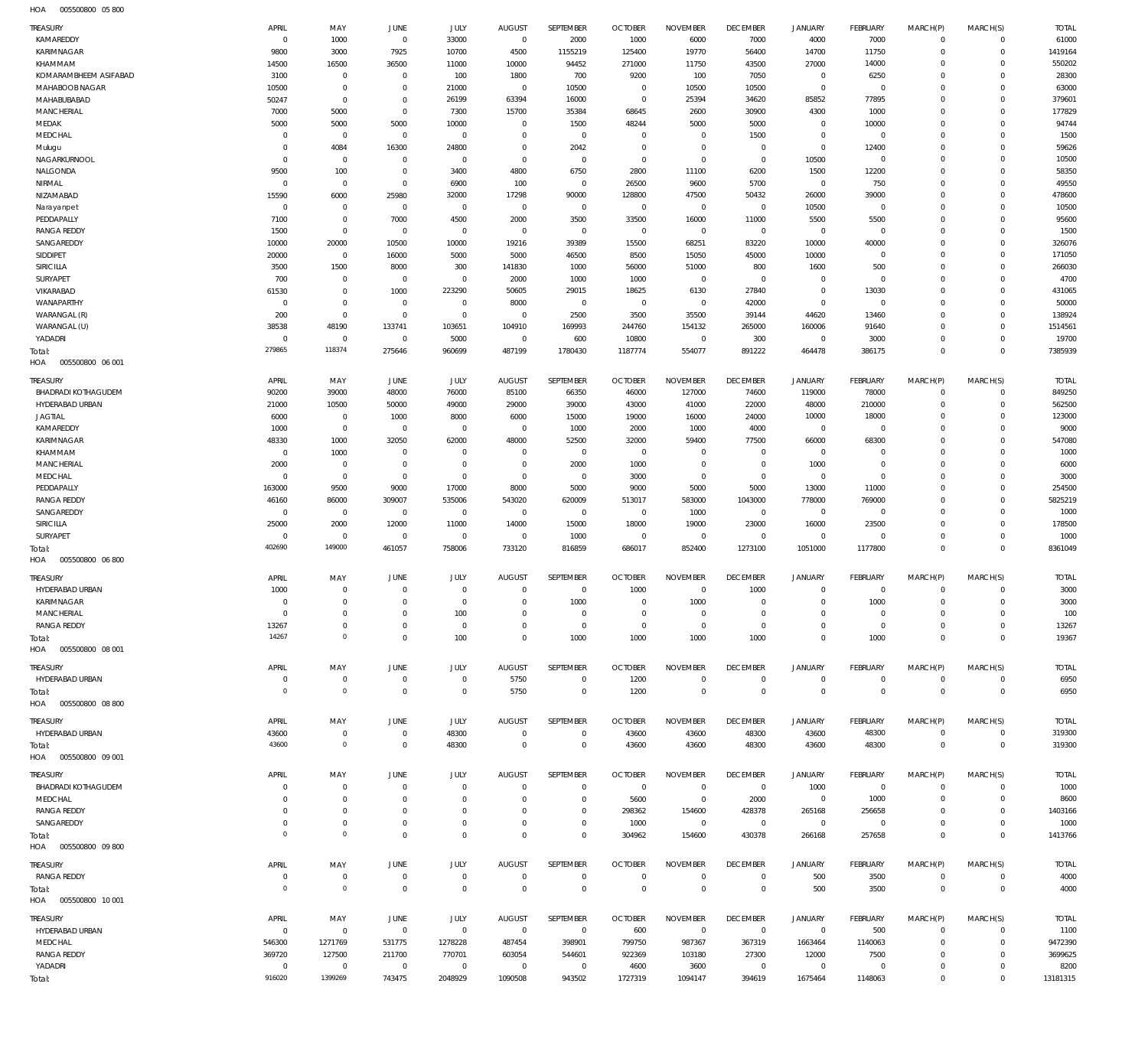| TREASURY                         | APRIL                  | MAY                  | JUNE                    | JULY         | <b>AUGUST</b>          | SEPTEMBER      | <b>OCTOBER</b>         | <b>NOVEMBER</b> | <b>DECEMBER</b> | <b>JANUARY</b>       | FEBRUARY       | MARCH(P)             | MARCH(S)                   | <b>TOTAL</b>    |
|----------------------------------|------------------------|----------------------|-------------------------|--------------|------------------------|----------------|------------------------|-----------------|-----------------|----------------------|----------------|----------------------|----------------------------|-----------------|
| KAMAREDDY                        | $\overline{0}$<br>9800 | 1000                 | $\overline{0}$          | 33000        | $\overline{0}$         | 2000           | 1000                   | 6000<br>19770   | 7000            | 4000                 | 7000           | $\mathbf 0$          | $\mathbf 0$<br>$\mathbf 0$ | 61000           |
| KARIMNAGAR                       |                        | 3000                 | 7925                    | 10700        | 4500                   | 1155219        | 125400                 |                 | 56400           | 14700                | 11750          | $\Omega$             | $\Omega$                   | 1419164         |
| KHAMMAM<br>KOMARAMBHEEM ASIFABAD | 14500                  | 16500<br>$\mathbf 0$ | 36500<br>$\overline{0}$ | 11000        | 10000                  | 94452          | 271000                 | 11750           | 43500           | 27000<br>$\mathbf 0$ | 14000<br>6250  | $\Omega$<br>$\Omega$ | $\Omega$                   | 550202<br>28300 |
| MAHABOOB NAGAR                   | 3100<br>10500          | $\mathbf 0$          | $\overline{0}$          | 100<br>21000 | 1800<br>$\overline{0}$ | 700<br>10500   | 9200<br>$\overline{0}$ | 100<br>10500    | 7050<br>10500   | $\mathbf 0$          | $\overline{0}$ | $\Omega$             | $\Omega$                   | 63000           |
| MAHABUBABAD                      | 50247                  | $\mathbf 0$          | $\overline{0}$          | 26199        | 63394                  | 16000          | $\overline{0}$         | 25394           | 34620           | 85852                | 77895          | $\Omega$             | $\Omega$                   | 379601          |
| MANCHERIAL                       | 7000                   | 5000                 | $\overline{0}$          | 7300         | 15700                  | 35384          | 68645                  | 2600            | 30900           | 4300                 | 1000           | $\Omega$             | $\Omega$                   | 177829          |
| MEDAK                            | 5000                   | 5000                 | 5000                    | 10000        | $\overline{0}$         | 1500           | 48244                  | 5000            | 5000            | $\mathbf 0$          | 10000          | $\Omega$             | $\Omega$                   | 94744           |
| MEDCHAL                          | $\mathbf 0$            | $\mathbf 0$          | $\overline{0}$          | $\mathbf 0$  | $^{\circ}$             | $\overline{0}$ | $\overline{0}$         | $^{\circ}$      | 1500            | $\mathbf 0$          | $\overline{0}$ | $\Omega$             | $\Omega$                   | 1500            |
| Mulugu                           | $\mathbf 0$            | 4084                 | 16300                   | 24800        | $\mathbf 0$            | 2042           | $\overline{0}$         | $\mathbf 0$     | $\overline{0}$  | $\mathbf 0$          | 12400          | $\Omega$             | $\Omega$                   | 59626           |
| NAGARKURNOOL                     | $\mathbf 0$            | $\mathbf 0$          | $\overline{0}$          | $\mathbf 0$  | $\overline{0}$         | $\overline{0}$ | $\mathbb O$            | $\mathbf{0}$    | $\mathbf 0$     | 10500                | $\overline{0}$ | $\Omega$             | $\Omega$                   | 10500           |
| NALGONDA                         | 9500                   | 100                  | $\overline{0}$          | 3400         | 4800                   | 6750           | 2800                   | 11100           | 6200            | 1500                 | 12200          | $\Omega$             | $\Omega$                   | 58350           |
| NIRMAL                           | $\mathbf 0$            | $\mathbf{0}$         | $\overline{0}$          | 6900         | 100                    | $\overline{0}$ | 26500                  | 9600            | 5700            | $\mathbf 0$          | 750            | $\Omega$             | $\Omega$                   | 49550           |
| NIZAMABAD                        | 15590                  | 6000                 | 25980                   | 32000        | 17298                  | 90000          | 128800                 | 47500           | 50432           | 26000                | 39000          | $\Omega$             | $\Omega$                   | 478600          |
| Narayanpet                       | $\overline{0}$         | $\mathbf 0$          | $\overline{0}$          | $\mathbf 0$  | $\overline{0}$         | $\overline{0}$ | $\mathbf 0$            | $\overline{0}$  | $\mathbf 0$     | 10500                | $\overline{0}$ | $\Omega$             | $\Omega$                   | 10500           |
| PEDDAPALLY                       | 7100                   | $\mathbf 0$          | 7000                    | 4500         | 2000                   | 3500           | 33500                  | 16000           | 11000           | 5500                 | 5500           | $\Omega$             | $\Omega$                   | 95600           |
| <b>RANGA REDDY</b>               | 1500                   | $\mathbf 0$          | $\overline{0}$          | $\mathbf 0$  | $\overline{0}$         | $\overline{0}$ | $\overline{0}$         | $\overline{0}$  | $\,0\,$         | $\mathbf 0$          | $\overline{0}$ |                      | $\Omega$                   | 1500            |
| SANGAREDDY                       | 10000                  | 20000                | 10500                   | 10000        | 19216                  | 39389          | 15500                  | 68251           | 83220           | 10000                | 40000          | $\Omega$             | $\Omega$                   | 326076          |
| SIDDIPET                         | 20000                  | $\bf 0$              | 16000                   | 5000         | 5000                   | 46500          | 8500                   | 15050           | 45000           | 10000                | $\overline{0}$ |                      | $\Omega$                   | 171050          |
| SIRICILLA                        | 3500                   | 1500                 | 8000                    | 300          | 141830                 | 1000           | 56000                  | 51000           | 800             | 1600                 | 500            | $\Omega$             | $\Omega$                   | 266030          |
| SURYAPET                         | 700                    | $\bf 0$              | $\overline{0}$          | $\mathbf 0$  | 2000                   | 1000           | 1000                   | $\overline{0}$  | $\mathbf 0$     | $\mathbf 0$          | $\overline{0}$ |                      | $\Omega$                   | 4700            |
| VIKARABAD                        | 61530                  | $\mathbf 0$          | 1000                    | 223290       | 50605                  | 29015          | 18625                  | 6130            | 27840           | $\mathbf 0$          | 13030          | $\Omega$             | $\Omega$                   | 431065          |
| WANAPARTHY                       | $\mathbf 0$            | $\mathbf 0$          | $\overline{0}$          | $\mathbf 0$  | 8000                   | $\overline{0}$ | $\overline{0}$         | $\mathbf 0$     | 42000           | $\mathbf 0$          | $\overline{0}$ | $\Omega$             | $\Omega$                   | 50000           |
| WARANGAL (R)                     | 200                    | $\mathbf 0$          | $\overline{0}$          | $\mathbf 0$  | $\overline{0}$         | 2500           | 3500                   | 35500           | 39144           | 44620                | 13460          | $\Omega$             | $\Omega$                   | 138924          |
| WARANGAL (U)                     | 38538                  | 48190                | 133741                  | 103651       | 104910                 | 169993         | 244760                 | 154132          | 265000          | 160006               | 91640          | $\Omega$             | $\Omega$                   | 1514561         |
| YADADRI                          | $\mathbf 0$            | $\bf 0$              | $\overline{0}$          | 5000         | $\overline{0}$         | 600            | 10800                  | $\mathbf 0$     | 300             | $\mathbf 0$          | 3000           | $\Omega$             | $\mathbf 0$                | 19700           |
| Total:                           | 279865                 | 118374               | 275646                  | 960699       | 487199                 | 1780430        | 1187774                | 554077          | 891222          | 464478               | 386175         | $\Omega$             | $\mathbf 0$                | 7385939         |
| HOA<br>005500800 06 001          |                        |                      |                         |              |                        |                |                        |                 |                 |                      |                |                      |                            |                 |
| <b>TREASURY</b>                  | APRIL                  | MAY                  | JUNE                    | JULY         | <b>AUGUST</b>          | SEPTEMBER      | <b>OCTOBER</b>         | <b>NOVEMBER</b> | <b>DECEMBER</b> | <b>JANUARY</b>       | FEBRUARY       | MARCH(P)             | MARCH(S)                   | <b>TOTAL</b>    |
| <b>BHADRADI KOTHAGUDEM</b>       | 90200                  | 39000                | 48000                   | 76000        | 85100                  | 66350          | 46000                  | 127000          | 74600           | 119000               | 78000          | $\Omega$             | $\mathbf 0$                | 849250          |
| HYDERABAD URBAN                  | 21000                  | 10500                | 50000                   | 49000        | 29000                  | 39000          | 43000                  | 41000           | 22000           | 48000                | 210000         | $\Omega$             | $\mathbf 0$                | 562500          |
| <b>JAGTIAL</b>                   | 6000                   | $\mathbf 0$          | 1000                    | 8000         | 6000                   | 15000          | 19000                  | 16000           | 24000           | 10000                | 18000          | $\Omega$             | $\mathbf 0$                | 123000          |
| KAMAREDDY                        | 1000                   | $\mathbb O$          | $\overline{0}$          | $\mathbf 0$  | $\overline{0}$         | 1000           | 2000                   | 1000            | 4000            | $\mathbf 0$          | $\overline{0}$ | $\Omega$             | $\Omega$                   | 9000            |
| KARIMNAGAR                       | 48330                  | 1000                 | 32050                   | 62000        | 48000                  | 52500          | 32000                  | 59400           | 77500           | 66000                | 68300          | $\Omega$             | $\mathbf 0$                | 547080          |
| KHAMMAM                          | $\mathbf 0$            | 1000                 | $\overline{0}$          | $\mathbf 0$  | $\overline{0}$         | $\overline{0}$ | $\overline{0}$         | $\mathbf{0}$    | $\mathbf 0$     | $\mathbf 0$          | $^{\circ}$     | $\Omega$             | $\Omega$                   | 1000            |
| <b>MANCHERIAL</b>                | 2000                   | $\mathbf 0$          | $\overline{0}$          | $\mathbf 0$  | $\overline{0}$         | 2000           | 1000                   | $\mathbf{0}$    | $\mathbf 0$     | 1000                 | $\overline{0}$ | $\Omega$             | $\mathbf 0$                | 6000            |
| MEDCHAL                          | $\mathbf 0$            | $\mathbf 0$          | $\overline{0}$          | $\mathbf 0$  | $\overline{0}$         | $\overline{0}$ | 3000                   | $\mathbf{0}$    | $\mathbf 0$     | $\mathbf 0$          | $\overline{0}$ | $\Omega$             | $\Omega$                   | 3000            |
| PEDDAPALLY                       | 163000                 | 9500                 | 9000                    | 17000        | 8000                   | 5000           | 9000                   | 5000            | 5000            | 13000                | 11000          | $\Omega$             | $\Omega$                   | 254500          |
| <b>RANGA REDDY</b>               | 46160                  | 86000                | 309007                  | 535006       | 543020                 | 620009         | 513017                 | 583000          | 1043000         | 778000               | 769000         | $\Omega$             | $\Omega$                   | 5825219         |
| SANGAREDDY                       | $\mathbf 0$            | $\mathbf 0$          | $\overline{0}$          | $\mathbf 0$  | $\overline{0}$         | $\overline{0}$ | $\overline{0}$         | 1000            | $\mathbf 0$     | $\mathbf 0$          | $\overline{0}$ | $\Omega$             | $\Omega$                   | 1000            |
| SIRICILLA                        | 25000                  | 2000                 | 12000                   | 11000        | 14000                  | 15000          | 18000                  | 19000           | 23000           | 16000                | 23500          | $\Omega$             | $\mathbf 0$                | 178500          |
| SURYAPET                         | $\mathbf 0$            | $\mathbf 0$          | $\overline{0}$          | $\mathbf 0$  | $\overline{0}$         | 1000           | $\overline{0}$         | $\overline{0}$  | $\mathbf 0$     | $\mathbf 0$          | $\overline{0}$ | $\Omega$             | $\mathbf 0$                | 1000            |
| Total:                           | 402690                 | 149000               | 461057                  | 758006       | 733120                 | 816859         | 686017                 | 852400          | 1273100         | 1051000              | 1177800        | $\Omega$             | $\mathbf 0$                | 8361049         |
| HOA<br>005500800 06 800          |                        |                      |                         |              |                        |                |                        |                 |                 |                      |                |                      |                            |                 |
| TREASURY                         | APRIL                  | MAY                  | JUNE                    | JULY         | <b>AUGUST</b>          | SEPTEMBER      | <b>OCTOBER</b>         | <b>NOVEMBER</b> | <b>DECEMBER</b> | <b>JANUARY</b>       | FEBRUARY       | MARCH(P)             | MARCH(S)                   | <b>TOTAL</b>    |
| HYDERABAD URBAN                  | 1000                   | $\mathbf 0$          | $\overline{0}$          | $\mathbf 0$  | $\overline{0}$         | $\overline{0}$ | 1000                   | $\mathbf 0$     | 1000            | $^{\circ}$           | $^{\circ}$     | $\mathbf 0$          | $\Omega$                   | 3000            |
| KARIMNAGAR                       | $\mathbf 0$            | $\mathbf 0$          | $\overline{0}$          | $\mathbf 0$  | $\overline{0}$         | 1000           | $\overline{0}$         | 1000            | $^{\circ}$      | $\mathbf 0$          | 1000           | $\mathbf 0$          | $\mathbf 0$                | 3000            |
| MANCHERIAL                       | $\Omega$               | $\Omega$             | $\cap$                  | 100          | $\Omega$               |                | $\cap$                 |                 |                 |                      |                |                      | $\cap$                     | 100             |
| <b>RANGA REDDY</b>               | 13267                  | $\mathsf{O}\xspace$  | $\overline{0}$          | $\mathbf 0$  | $\overline{0}$         | $\overline{0}$ | $\overline{0}$         | $\mathbf{0}$    | $\mathbf 0$     | $\,0\,$              | $\mathbf 0$    | $\mathbf 0$          | $\mathbf 0$                | 13267           |
| Total:                           | 14267                  | $\mathsf{O}\xspace$  | $\,0\,$                 | 100          | $\overline{0}$         | 1000           | 1000                   | 1000            | 1000            | $\mathbf 0$          | 1000           | $\mathbb O$          | $\mathbf{0}$               | 19367           |
| HOA   005500800   08   001       |                        |                      |                         |              |                        |                |                        |                 |                 |                      |                |                      |                            |                 |
|                                  |                        |                      |                         |              |                        |                |                        |                 |                 |                      |                |                      |                            |                 |
| TREASURY                         | APRIL                  | MAY                  | JUNE                    | JULY         | <b>AUGUST</b>          | SEPTEMBER      | <b>OCTOBER</b>         | <b>NOVEMBER</b> | <b>DECEMBER</b> | <b>JANUARY</b>       | FEBRUARY       | MARCH(P)             | MARCH(S)                   | <b>TOTAL</b>    |
| HYDERABAD URBAN                  | $\overline{0}$         | $\mathbf 0$          | $\overline{0}$          | $\,0\,$      | 5750                   | $\overline{0}$ | 1200                   | $\mathbf{0}$    | $\mathbf 0$     | $\mathbf 0$          | $\mathbf 0$    | $\mathbf 0$          | $\mathbf 0$                | 6950            |
| Total:                           | $\overline{0}$         | $\mathbf 0$          | $\overline{0}$          | $\mathbf 0$  | 5750                   | $\mathbf 0$    | 1200                   | $\mathbb O$     | $\mathbb O$     | $\mathbb O$          | $\mathbb O$    | $\mathbb O$          | $\mathbf{0}$               | 6950            |
| HOA   005500800   08   800       |                        |                      |                         |              |                        |                |                        |                 |                 |                      |                |                      |                            |                 |
| TREASURY                         | APRIL                  | MAY                  | JUNE                    | JULY         | <b>AUGUST</b>          | SEPTEMBER      | <b>OCTOBER</b>         | <b>NOVEMBER</b> | <b>DECEMBER</b> | <b>JANUARY</b>       | FEBRUARY       | MARCH(P)             | MARCH(S)                   | <b>TOTAL</b>    |
| HYDERABAD URBAN                  | 43600                  | $\mathsf{O}\xspace$  | $\overline{0}$          | 48300        | $\overline{0}$         | $\overline{0}$ | 43600                  | 43600           | 48300           | 43600                | 48300          | $\mathbf 0$          | $\mathbf 0$                | 319300          |
| Total:                           | 43600                  | $\mathbf 0$          | $\overline{0}$          | 48300        | $\overline{0}$         | $\overline{0}$ | 43600                  | 43600           | 48300           | 43600                | 48300          | $\mathbf{0}$         | $\mathbf{0}$               | 319300          |
| HOA<br>005500800 09 001          |                        |                      |                         |              |                        |                |                        |                 |                 |                      |                |                      |                            |                 |
| TREASURY                         | APRIL                  | MAY                  | JUNE                    | JULY         | <b>AUGUST</b>          | SEPTEMBER      | <b>OCTOBER</b>         | <b>NOVEMBER</b> | <b>DECEMBER</b> | <b>JANUARY</b>       | FEBRUARY       | MARCH(P)             | MARCH(S)                   | <b>TOTAL</b>    |
| <b>BHADRADI KOTHAGUDEM</b>       | 0                      | $\mathbf 0$          | $\mathbf 0$             | $\mathbf 0$  | $\overline{0}$         | $\overline{0}$ | $\mathbb O$            | $\overline{0}$  | $\mathbf 0$     | 1000                 | $\overline{0}$ | $\mathbf 0$          | $\mathbf 0$                | 1000            |
| MEDCHAL                          | 0                      | $\bf 0$              | $\overline{0}$          | $\mathbf 0$  | $\mathbf 0$            | $\mathbf 0$    | 5600                   | $\overline{0}$  | 2000            | $\,0\,$              | 1000           | $\circ$              | $\mathbf 0$                | 8600            |
| <b>RANGA REDDY</b>               | 0                      | $\mathbf 0$          | $\overline{0}$          | $\mathbf 0$  | $\mathbf 0$            | $\mathbf 0$    | 298362                 | 154600          | 428378          | 265168               | 256658         | $\Omega$             | $\Omega$                   | 1403166         |
| SANGAREDDY                       | $\mathbf 0$            | $\mathsf{O}\xspace$  | $\overline{0}$          | $\mathbf 0$  | $\mathbf 0$            | $\mathbf 0$    | 1000                   | $\overline{0}$  | $\,0\,$         | $\overline{0}$       | $\overline{0}$ | $\Omega$             | $\mathbf 0$                | 1000            |
| Total:                           | $\Omega$               | $\mathbf 0$          | $\overline{0}$          | $\mathbf 0$  | $\Omega$               | $\mathbf 0$    | 304962                 | 154600          | 430378          | 266168               | 257658         | $\overline{0}$       | $\mathbf{0}$               | 1413766         |
| HOA<br>005500800 09 800          |                        |                      |                         |              |                        |                |                        |                 |                 |                      |                |                      |                            |                 |
|                                  |                        |                      |                         |              |                        |                |                        |                 |                 |                      |                |                      |                            |                 |
| TREASURY                         | APRIL                  | MAY                  | JUNE                    | JULY         | <b>AUGUST</b>          | SEPTEMBER      | <b>OCTOBER</b>         | <b>NOVEMBER</b> | <b>DECEMBER</b> | <b>JANUARY</b>       | FEBRUARY       | MARCH(P)             | MARCH(S)                   | <b>TOTAL</b>    |
| <b>RANGA REDDY</b>               | $\mathbf 0$            | $\bf 0$              | $\overline{0}$          | $\mathbf 0$  | $\overline{0}$         | $\overline{0}$ | $\mathbf 0$            | $\overline{0}$  | $\,0\,$         | 500                  | 3500           | $\mathbf 0$          | $\mathbf 0$                | 4000            |
| Total:                           | $\overline{0}$         | $\,0\,$              | $\overline{0}$          | $\mathbf 0$  | $\overline{0}$         | $\mathbf 0$    | $\mathbb O$            | $\overline{0}$  | $\,0\,$         | 500                  | 3500           | $\mathbf{0}$         | $\mathbf{0}$               | 4000            |
| HOA<br>005500800 10 001          |                        |                      |                         |              |                        |                |                        |                 |                 |                      |                |                      |                            |                 |
| TREASURY                         | APRIL                  | MAY                  | JUNE                    | JULY         | <b>AUGUST</b>          | SEPTEMBER      | <b>OCTOBER</b>         | <b>NOVEMBER</b> | <b>DECEMBER</b> | <b>JANUARY</b>       | FEBRUARY       | MARCH(P)             | MARCH(S)                   | <b>TOTAL</b>    |
| HYDERABAD URBAN                  | $^{\circ}$             | $\mathbf{0}$         | $\overline{0}$          | $\,0\,$      | $\overline{0}$         | $\overline{0}$ | 600                    | $\overline{0}$  | $\,0\,$         | $\mathbf 0$          | 500            | $\mathbf 0$          | $\mathbf 0$                | 1100            |
| MEDCHAL                          | 546300                 | 1271769              | 531775                  | 1278228      | 487454                 | 398901         | 799750                 | 987367          | 367319          | 1663464              | 1140063        | $\mathbf 0$          | $\mathbf 0$                | 9472390         |
| <b>RANGA REDDY</b>               | 369720                 | 127500               | 211700                  | 770701       | 603054                 | 544601         | 922369                 | 103180          | 27300           | 12000                | 7500           | $\Omega$             | $\Omega$                   | 3699625         |
| YADADRI                          | $\mathbf 0$            | $\mathbf 0$          | $\overline{0}$          | $\,0\,$      | $\overline{0}$         | $\overline{0}$ | 4600                   | 3600            | $\,0\,$         | $\,0\,$              | $^{\circ}$     | $\Omega$             | $\mathbf 0$                | 8200            |
| Total:                           | 916020                 | 1399269              | 743475                  | 2048929      | 1090508                | 943502         | 1727319                | 1094147         | 394619          | 1675464              | 1148063        | $\mathbb O$          | $\mathbb O$                | 13181315        |
|                                  |                        |                      |                         |              |                        |                |                        |                 |                 |                      |                |                      |                            |                 |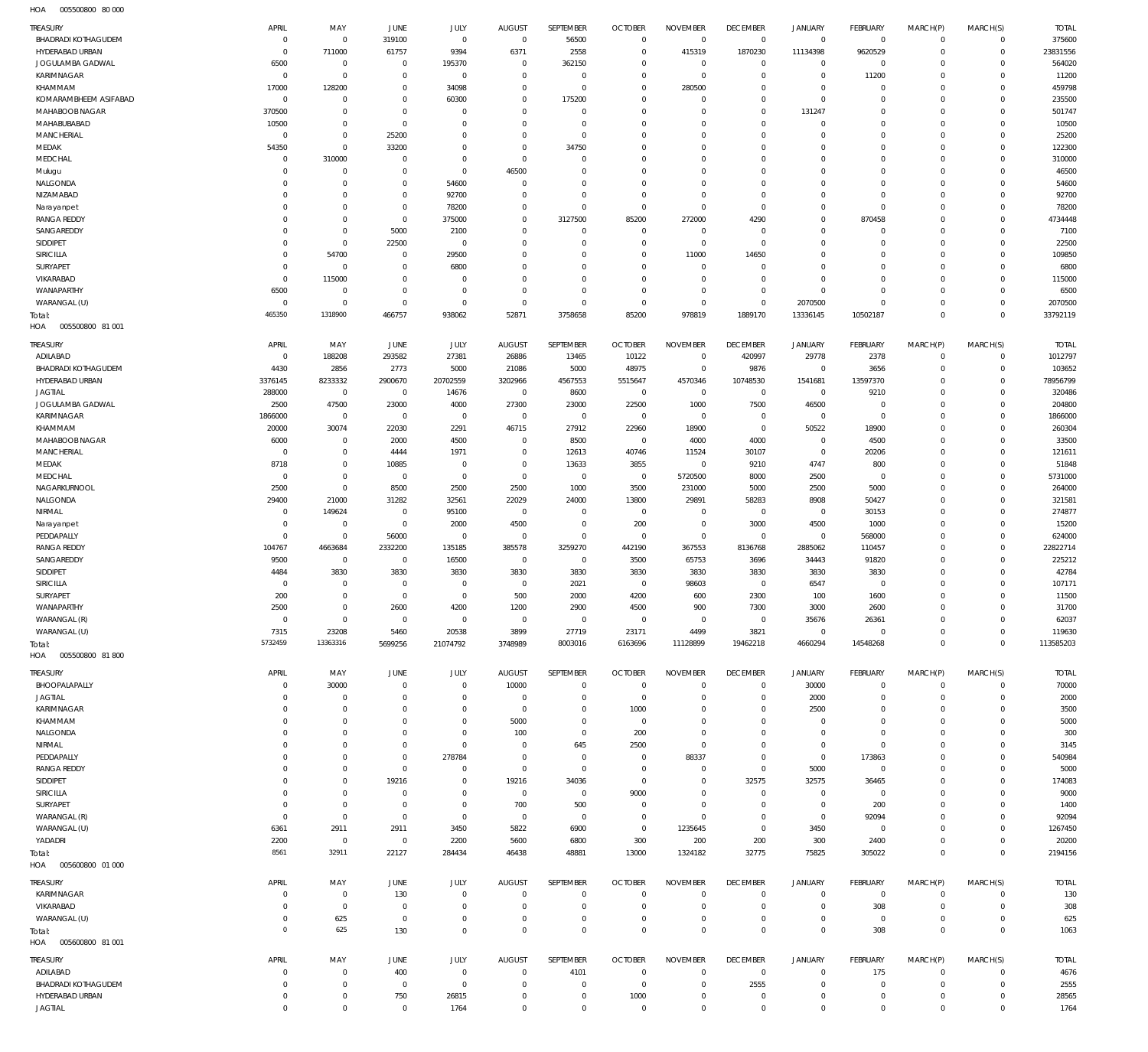005500800 80 000 HOA

| <b>TREASURY</b>                         | APRIL          | MAY                   | JUNE                       | JULY                       | <b>AUGUST</b>                    | SEPTEMBER             | <b>OCTOBER</b>                   | <b>NOVEMBER</b>       | <b>DECEMBER</b>               | <b>JANUARY</b> | <b>FEBRUARY</b>         | MARCH(P)             | MARCH(S)             | <b>TOTAL</b>    |
|-----------------------------------------|----------------|-----------------------|----------------------------|----------------------------|----------------------------------|-----------------------|----------------------------------|-----------------------|-------------------------------|----------------|-------------------------|----------------------|----------------------|-----------------|
| BHADRADI KOTHAGUDEM                     | $\mathbf 0$    | $\mathbf 0$           | 319100                     | $\mathbf 0$                | $\overline{0}$                   | 56500                 | $\overline{0}$                   | $\overline{0}$        | $\mathbf 0$                   | $\mathbf 0$    | $\circ$                 | $\Omega$             | $\mathbf 0$          | 375600          |
| HYDERABAD URBAN                         | $\mathbf 0$    | 711000                | 61757                      | 9394                       | 6371                             | 2558                  | $\overline{0}$                   | 415319                | 1870230                       | 11134398       | 9620529                 | $^{\circ}$           | $\mathsf{O}\xspace$  | 23831556        |
| JOGULAMBA GADWAL                        | 6500           | $\mathbf 0$           | $\mathbf 0$                | 195370                     | $\overline{0}$                   | 362150                | $\overline{0}$                   | $\mathbf{0}$          | $\overline{0}$                | $\circ$        | $^{\circ}$              | $\Omega$             | $\mathbf 0$          | 564020          |
| KARIMNAGAR                              | $\mathbf 0$    | $\mathsf{O}\xspace$   | $\mathbf 0$                | $\mathbf 0$                | $\overline{0}$                   | $\overline{0}$        | $\overline{0}$<br>$\overline{0}$ | $\mathbf{0}$          | $\mathbb O$<br>$\overline{0}$ | $\mathbb O$    | 11200                   | $\Omega$             | $\Omega$<br>$\Omega$ | 11200<br>459798 |
| KHAMMAM                                 | 17000          | 128200<br>$\mathbf 0$ | $\mathbf 0$<br>$\mathbf 0$ | 34098                      | $\overline{0}$<br>$\overline{0}$ | $\mathbf 0$           | $\overline{0}$                   | 280500<br>$\mathbf 0$ | $\mathbb O$                   | $\mathbf 0$    | $\mathbf{0}$<br>$\circ$ | $\Omega$<br>$\Omega$ | $\Omega$             | 235500          |
| KOMARAMBHEEM ASIFABAD<br>MAHABOOB NAGAR | $\mathbf 0$    | $\mathbf 0$           | $\mathbf 0$                | 60300                      | $\mathbf 0$                      | 175200<br>$\mathbf 0$ | $\overline{0}$                   | $\mathbf 0$           | $\overline{0}$                | $\mathbf 0$    | $\mathbf{0}$            | $\Omega$             | $\mathbf 0$          | 501747          |
| MAHABUBABAD                             | 370500         |                       | $\overline{0}$             | $\mathbf 0$<br>$\mathbf 0$ | $\overline{0}$                   | $\mathbf 0$           | $\overline{0}$                   | $\mathbf 0$           | $\overline{0}$                | 131247         | $\mathbf{0}$            | $\Omega$             | $\Omega$             |                 |
|                                         | 10500          | $\mathbf 0$           |                            |                            |                                  |                       | $\overline{0}$                   |                       | $\overline{0}$                | $\mathbf 0$    | $\circ$                 |                      |                      | 10500           |
| MANCHERIAL                              | $\mathbf 0$    | $\mathbf 0$           | 25200                      | $\mathbf 0$                | $\overline{0}$                   | $\mathbf 0$           |                                  | $\mathbf 0$           |                               | $\mathbf 0$    |                         | $\Omega$             | $\mathbf 0$          | 25200           |
| MEDAK                                   | 54350          | $\mathbf 0$           | 33200                      | $\mathbf 0$                | $\overline{0}$                   | 34750                 | $\overline{0}$                   | $\mathbf 0$           | $\overline{0}$                | $\mathbf 0$    | $\circ$                 | $\Omega$             | $\Omega$             | 122300          |
| MEDCHAL                                 | $^{\circ}$     | 310000                | $\mathbf 0$                | $\mathbf 0$                | $\overline{0}$                   | $\mathbf 0$           | $\overline{0}$                   | $\mathbf 0$           | $\overline{0}$                | $\mathbf 0$    | $\circ$                 | $\Omega$             | $\mathbf 0$          | 310000          |
| Mulugu                                  | $^{\circ}$     | $\mathbf 0$           | $\mathbf 0$                | $\mathbf 0$                | 46500                            | $\mathbf 0$           | $\overline{0}$                   | $\mathbf 0$           | $\overline{0}$                | $\mathbf 0$    | $\circ$                 | $\Omega$             | $\Omega$             | 46500           |
| NALGONDA                                | $^{\circ}$     | $\mathbf 0$           | $\mathbf 0$                | 54600                      | $\overline{0}$                   | $\mathbf 0$           | $\overline{0}$                   | $\mathbf 0$           | $\overline{0}$                | $\mathbf 0$    | $\circ$                 | $\Omega$             | $\Omega$             | 54600           |
| NIZAMABAD                               | $^{\circ}$     | $\mathbf 0$           | $\mathbf 0$                | 92700                      | $\overline{0}$                   | $\mathbf 0$           | $\overline{0}$                   | $\mathbf 0$           | $\overline{0}$                | $\mathbf 0$    | $\mathbf{0}$            | $\Omega$             | $\Omega$             | 92700           |
| Narayanpet                              | $\mathbf 0$    | $\mathbf 0$           | $\mathbf 0$                | 78200                      | $\overline{0}$                   | $\overline{0}$        | $\overline{0}$                   | $\mathbf 0$           | $\mathbb O$                   | $\mathbf 0$    | $\mathbb O$             | $\Omega$             | $\Omega$             | 78200           |
| <b>RANGA REDDY</b>                      | $\mathbf 0$    | $\mathbf 0$           | $\overline{0}$             | 375000                     | $\overline{0}$                   | 3127500               | 85200                            | 272000                | 4290                          | $\mathbf 0$    | 870458                  | $\Omega$             | $\Omega$             | 4734448         |
| SANGAREDDY                              | $\mathbf 0$    | $\mathbf 0$           | 5000                       | 2100                       | $\overline{0}$                   | $\mathbf 0$           | $\overline{0}$                   | $\mathbf{0}$          | $\overline{0}$                | $\mathbf 0$    | $\mathbf{0}$            | $\Omega$             | $\Omega$             | 7100            |
| SIDDIPET                                | $\mathbf 0$    | $\mathbf 0$           | 22500                      | $\mathbf 0$                | $\overline{0}$                   | $\mathbf 0$           | $\overline{0}$                   | $\mathbf{0}$          | $\overline{0}$                | $\mathbf 0$    | $\mathbf{0}$            | $\Omega$             | $\Omega$             | 22500           |
| SIRICILLA                               | $^{\circ}$     | 54700                 | $\mathbf 0$                | 29500                      | $\mathbf 0$                      | $\mathbf 0$           | $\overline{0}$                   | 11000                 | 14650                         | $\mathbf 0$    | $\mathbf{0}$            | $\Omega$             | $\Omega$             | 109850          |
| SURYAPET                                | $\mathbf 0$    | $\mathbf 0$           | $\overline{0}$             | 6800                       | $\overline{0}$                   | $\mathbf 0$           | $\overline{0}$                   | $\mathbf 0$           | $\overline{0}$                | $\mathbf 0$    | $\mathbf{0}$            | $\Omega$             | $\Omega$             | 6800            |
| VIKARABAD                               | $\mathbf 0$    | 115000                | $\mathbf 0$                | $\mathbf 0$                | $\overline{0}$                   | $\mathbf 0$           | $\overline{0}$                   | $\overline{0}$        | $\mathbb O$                   | $\mathbf 0$    | $\circ$                 | $\Omega$             | $\mathbf 0$          | 115000          |
| WANAPARTHY                              | 6500           | $\mathbf 0$           | $\mathbf 0$                | $\mathbf 0$                | $\overline{0}$                   | $\mathbf 0$           | $\overline{0}$                   | $\mathbf 0$           | $\mathbb O$                   | $\mathbf 0$    | $\circ$                 | $\Omega$             | $\Omega$             | 6500            |
| WARANGAL (U)                            | $\mathbf 0$    | $\mathbf 0$           | $\mathbf 0$                | $\mathbf 0$                | $\overline{0}$                   | $\mathbf 0$           | $\overline{0}$                   | $\overline{0}$        | $\mathbb O$                   | 2070500        | $\mathbf{0}$            | $\Omega$             | $\mathbf 0$          | 2070500         |
| Total:                                  | 465350         | 1318900               | 466757                     | 938062                     | 52871                            | 3758658               | 85200                            | 978819                | 1889170                       | 13336145       | 10502187                | $\overline{0}$       | $\mathbf{0}$         | 33792119        |
| HOA<br>005500800 81 001                 |                |                       |                            |                            |                                  |                       |                                  |                       |                               |                |                         |                      |                      |                 |
| <b>TREASURY</b>                         | APRIL          | MAY                   | JUNE                       | JULY                       | <b>AUGUST</b>                    | SEPTEMBER             | <b>OCTOBER</b>                   | <b>NOVEMBER</b>       | <b>DECEMBER</b>               | <b>JANUARY</b> | <b>FEBRUARY</b>         | MARCH(P)             | MARCH(S)             | <b>TOTAL</b>    |
| ADILABAD                                | $\mathbf 0$    | 188208                | 293582                     | 27381                      | 26886                            | 13465                 | 10122                            | $\overline{0}$        | 420997                        | 29778          | 2378                    | $^{\circ}$           | $\mathbf 0$          | 1012797         |
| BHADRADI KOTHAGUDEM                     | 4430           | 2856                  | 2773                       | 5000                       | 21086                            | 5000                  | 48975                            | $\mathbf 0$           | 9876                          | $\mathbf{0}$   | 3656                    | $\Omega$             | $\mathbf 0$          | 103652          |
| HYDERABAD URBAN                         | 3376145        | 8233332               | 2900670                    | 20702559                   | 3202966                          | 4567553               | 5515647                          | 4570346               | 10748530                      | 1541681        | 13597370                | $\Omega$             | $\mathbf 0$          | 78956799        |
| <b>JAGTIAL</b>                          | 288000         | $\mathbf 0$           | $\overline{0}$             | 14676                      | $\mathbf 0$                      | 8600                  | $\overline{0}$                   | $\mathbf 0$           | $\overline{0}$                | $\mathbf 0$    | 9210                    | $\Omega$             | $\Omega$             | 320486          |
| JOGULAMBA GADWAL                        | 2500           | 47500                 | 23000                      | 4000                       | 27300                            | 23000                 | 22500                            | 1000                  | 7500                          | 46500          | $\mathbf{0}$            | $\Omega$             | $\Omega$             | 204800          |
| KARIMNAGAR                              | 1866000        | $\mathbf 0$           | $\overline{0}$             | $\mathbf 0$                | $\overline{0}$                   | $\overline{0}$        | $\overline{0}$                   | $\mathbf 0$           | $\mathbf 0$                   | $\mathbf 0$    | $\mathbf{0}$            | $\Omega$             | $\Omega$             | 1866000         |
| KHAMMAM                                 | 20000          | 30074                 | 22030                      | 2291                       | 46715                            | 27912                 | 22960                            | 18900                 | $\mathbb O$                   | 50522          | 18900                   | $\Omega$             | $\Omega$             | 260304          |
| MAHABOOB NAGAR                          | 6000           | $^{\circ}$            | 2000                       | 4500                       | $\mathbf 0$                      | 8500                  | $\overline{0}$                   | 4000                  | 4000                          | $\circ$        | 4500                    |                      | $\Omega$             | 33500           |
| MANCHERIAL                              | $^{\circ}$     | $\mathbf 0$           | 4444                       | 1971                       | $\mathbf 0$                      | 12613                 | 40746                            | 11524                 | 30107                         | $\mathbf 0$    | 20206                   | $\Omega$             | $\Omega$             | 121611          |
| MEDAK                                   | 8718           | $\mathbf 0$           | 10885                      | $\mathbf 0$                | $\overline{0}$                   | 13633                 | 3855                             | $\mathbf 0$           | 9210                          | 4747           | 800                     | $\Omega$             | $\Omega$             | 51848           |
| MEDCHAL                                 | $^{\circ}$     | $\mathbf 0$           | $\overline{0}$             | $\mathbf 0$                | $\overline{0}$                   | $\overline{0}$        | $\overline{0}$                   | 5720500               | 8000                          | 2500           | $\mathbf{0}$            | $\Omega$             | $\Omega$             | 5731000         |
| NAGARKURNOOL                            | 2500           | $\mathbf 0$           | 8500                       | 2500                       | 2500                             | 1000                  | 3500                             | 231000                | 5000                          | 2500           | 5000                    | $\Omega$             | $\Omega$             | 264000          |
| NALGONDA                                | 29400          | 21000                 | 31282                      | 32561                      | 22029                            | 24000                 | 13800                            | 29891                 | 58283                         | 8908           | 50427                   | $\Omega$             | $\Omega$             | 321581          |
| NIRMAL                                  | $^{\circ}$     | 149624                | $\mathbf 0$                | 95100                      | $\overline{0}$                   | $\mathbf 0$           | $\overline{0}$                   | $\mathbf 0$           | $\overline{0}$                | $\mathbf 0$    | 30153                   | $\Omega$             | $\Omega$             | 274877          |
| Narayanpet                              | $^{\circ}$     | $^{\circ}$            | $\overline{0}$             | 2000                       | 4500                             | $\mathbf 0$           | 200                              | $\overline{0}$        | 3000                          | 4500           | 1000                    | $\Omega$             | $\Omega$             | 15200           |
| PEDDAPALLY                              | $\mathbf 0$    | $\mathbf 0$           | 56000                      | $\mathbf 0$                | $\overline{0}$                   | $\mathbf 0$           | $\overline{0}$                   | $\mathbf 0$           | $\overline{0}$                | $\mathbf 0$    | 568000                  | $\Omega$             | $\Omega$             | 624000          |
| <b>RANGA REDDY</b>                      | 104767         | 4663684               | 2332200                    | 135185                     | 385578                           | 3259270               | 442190                           | 367553                | 8136768                       | 2885062        | 110457                  | $\Omega$             | $\Omega$             | 22822714        |
| SANGAREDDY                              | 9500           | $\mathbf 0$           | $\mathbf 0$                | 16500                      | $\overline{0}$                   | $^{\circ}$            | 3500                             | 65753                 | 3696                          | 34443          | 91820                   | $\Omega$             | $\Omega$             | 225212          |
| SIDDIPET                                | 4484           | 3830                  | 3830                       | 3830                       | 3830                             | 3830                  | 3830                             | 3830                  | 3830                          | 3830           | 3830                    | $\Omega$             | $\Omega$             | 42784           |
| <b>SIRICILLA</b>                        | $^{\circ}$     | $\mathbf 0$           | $\mathbf 0$                | 0                          | $\overline{0}$                   | 2021                  | $\overline{0}$                   | 98603                 | $\mathbf 0$                   | 6547           | $\mathbf{0}$            |                      | $\Omega$             | 107171          |
| SURYAPET                                |                | $\mathbf 0$           | $\mathbf 0$                | $\mathbf 0$                |                                  |                       |                                  | 600                   |                               |                |                         | $\Omega$             | $\mathbf 0$          | 11500           |
| WANAPARTHY                              | 200<br>2500    | $\mathbf{0}$          | 2600                       | 4200                       | 500<br>1200                      | 2000<br>2900          | 4200<br>4500                     | 900                   | 2300<br>7300                  | 100<br>3000    | 1600<br>2600            | $\Omega$             | $\mathbf 0$          | 31700           |
|                                         | $\mathbf 0$    | $\mathbf 0$           | $\mathbf 0$                | $\mathbf 0$                | $\overline{0}$                   | $\overline{0}$        |                                  | $\mathbf 0$           |                               |                |                         | $\Omega$             | $\Omega$             |                 |
| WARANGAL (R)                            |                |                       |                            |                            |                                  |                       | $\overline{0}$                   |                       | $\overline{0}$                | 35676          | 26361                   |                      |                      | 62037           |
| WARANGAL (U)                            | 7315           | 23208                 | 5460                       | 20538                      | 3899                             | 27719                 | 23171                            | 4499                  | 3821                          | $\mathbf 0$    | $^{\circ}$              | $\mathbf 0$          | $\mathbf 0$          | 119630          |
| Total:                                  | 5732459        | 13363316              | 5699256                    | 21074792                   | 3748989                          | 8003016               | 6163696                          | 11128899              | 19462218                      | 4660294        | 14548268                | $^{\circ}$           | $\mathbf 0$          | 113585203       |
| HOA   005500800   81   800              |                |                       |                            |                            |                                  |                       |                                  |                       |                               |                |                         |                      |                      |                 |
| TREASURY                                | APRIL          | MAY                   | <b>JUNE</b>                | JULY                       | <b>AUGUST</b>                    | SEPTEMBER             | <b>OCTOBER</b>                   | <b>NOVEMBER</b>       | <b>DECEMBER</b>               | <b>JANUARY</b> | <b>FEBRUARY</b>         | MARCH(P)             | MARCH(S)             | <b>TOTAL</b>    |
| BHOOPALAPALLY                           | $^{\circ}$     | 30000                 | $\overline{0}$             | $\mathbf 0$                | 10000                            | $\mathbf 0$           | $\overline{0}$                   | $\mathbf 0$           | $\mathbf 0$                   | 30000          | $^{\circ}$              | $\Omega$             | $\mathbf 0$          | 70000           |
| <b>JAGTIAL</b>                          | 0              | $\mathbf 0$           | $\mathbf 0$                | $\mathbf 0$                | $\overline{0}$                   | $\mathbf 0$           | $\overline{0}$                   | $\mathbf 0$           | $\mathbf 0$                   | 2000           | $\mathbf{0}$            | $\Omega$             | $\mathbf 0$          | 2000            |
| KARIMNAGAR                              | 0              | $\mathbf 0$           | $\mathbf 0$                | $\mathbf 0$                | $\overline{0}$                   | $\mathbf 0$           | 1000                             | 0                     | $\mathbf 0$                   | 2500           | $^{\circ}$              | $\Omega$             | $\mathbf 0$          | 3500            |
| KHAMMAM                                 | $^{\circ}$     | $\mathbf 0$           | $\mathbf 0$                | $\mathbf 0$                | 5000                             | $\mathbf 0$           | $\overline{0}$                   | $\mathbf 0$           | $\overline{0}$                | $\circ$        | $\mathbf{0}$            | $\Omega$             | $\Omega$             | 5000            |
| NALGONDA                                | 0              | $\mathbf 0$           | $\mathbf 0$                | $\mathbf 0$                | 100                              | $\mathbf 0$           | 200                              | $\mathbf 0$           | $\mathbf{0}$                  | $\circ$        | $\mathbf{0}$            |                      | $\mathbf 0$          | 300             |
| NIRMAL                                  | 0              | $\mathbf 0$           | $\mathbf 0$                | $\mathbf 0$                | $\overline{0}$                   | 645                   | 2500                             | $\mathbf 0$           | $\overline{0}$                | $\mathbf 0$    | $^{\circ}$              |                      | $\Omega$             | 3145            |
| PEDDAPALLY                              | $^{\circ}$     | $\mathbf 0$           | $\mathbf 0$                | 278784                     | $\overline{0}$                   | $^{\circ}$            | $\overline{0}$                   | 88337                 | $\mathbf{0}$                  | $\mathbf 0$    | 173863                  |                      | $\mathbf 0$          | 540984          |
| <b>RANGA REDDY</b>                      | 0              | $\mathbf 0$           | $\mathbf 0$                | $\mathbf 0$                | $\overline{0}$                   | $\mathbf 0$           | $\overline{0}$                   | $\mathbf 0$           | $\mathbb O$                   | 5000           | $\mathbf{0}$            | $\Omega$             | $\Omega$             | 5000            |
| SIDDIPET                                | 0              | $\mathbf 0$           | 19216                      | $\mathbf 0$                | 19216                            | 34036                 | $\overline{0}$                   | $\mathbf 0$           | 32575                         | 32575          | 36465                   |                      | $\Omega$             | 174083          |
| SIRICILLA                               | 0              | $\mathbf 0$           | $\mathbf 0$                | $\mathbf 0$                | $\overline{0}$                   | $\mathbf 0$           | 9000                             | $\mathbf 0$           | $\mathbf 0$                   | $\mathbf 0$    | $^{\circ}$              |                      | $\Omega$             | 9000            |
| SURYAPET                                | $^{\circ}$     | $\mathbf 0$           | $\overline{0}$             | $\mathbf 0$                | 700                              | 500                   | $\overline{0}$                   | $\mathbf 0$           | $\overline{0}$                | $\circ$        | 200                     |                      | $\Omega$             | 1400            |
| WARANGAL (R)                            | $^{\circ}$     | $\mathbf 0$           | $\overline{0}$             | $\mathbf 0$                | $\overline{0}$                   | $^{\circ}$            | $\overline{0}$                   | $\mathbf 0$           | $\mathbf{0}$                  | $\mathbf 0$    | 92094                   | $\Omega$             | $\mathbf 0$          | 92094           |
| WARANGAL (U)                            | 6361           | 2911                  | 2911                       | 3450                       | 5822                             | 6900                  | $\overline{0}$                   | 1235645               | $\overline{0}$                | 3450           | $^{\circ}$              |                      | $\mathbf 0$          | 1267450         |
| YADADRI                                 | 2200           | $\mathbf 0$           | $\overline{0}$             | 2200                       | 5600                             | 6800                  | 300                              | 200                   | 200                           | 300            | 2400                    | $\Omega$             | $\mathbf 0$          | 20200           |
| Total:                                  | 8561           | 32911                 | 22127                      | 284434                     | 46438                            | 48881                 | 13000                            | 1324182               | 32775                         | 75825          | 305022                  | $\overline{0}$       | $\mathbf{0}$         | 2194156         |
| HOA<br>005600800 01 000                 |                |                       |                            |                            |                                  |                       |                                  |                       |                               |                |                         |                      |                      |                 |
|                                         |                |                       |                            |                            |                                  |                       |                                  |                       |                               |                |                         |                      |                      |                 |
| <b>TREASURY</b>                         | APRIL          | MAY                   | <b>JUNE</b>                | JULY                       | <b>AUGUST</b>                    | SEPTEMBER             | <b>OCTOBER</b>                   | <b>NOVEMBER</b>       | <b>DECEMBER</b>               | <b>JANUARY</b> | <b>FEBRUARY</b>         | MARCH(P)             | MARCH(S)             | <b>TOTAL</b>    |
| KARIMNAGAR                              | $^{\circ}$     | $\mathbf 0$           | 130                        | $\mathbf 0$                | $\mathbf 0$                      | $\mathbf 0$           | $\overline{0}$                   | $\mathbf 0$           | $^{\circ}$                    | $\circ$        | $\overline{0}$          | $\circ$              | $\circ$              | 130             |
| VIKARABAD                               | 0              | $\mathbf 0$           | $\overline{0}$             | $\mathbf 0$                | $\mathbf 0$                      | $\mathbf 0$           | $\overline{0}$                   | $\mathbf 0$           | $\mathbf{0}$                  | $\mathbf 0$    | 308                     | 0                    | $\mathbf 0$          | 308             |
| WARANGAL (U)                            | $\mathbf 0$    | 625                   | $\overline{0}$             | $\mathbf 0$                | $\mathbf 0$                      | $\mathbf 0$           | $\overline{0}$                   | $\mathbf 0$           | $\mathbf{0}$                  | $\mathbf 0$    | $\mathbf 0$             | $\circ$              | $\mathbf 0$          | 625             |
| Total:                                  | $\overline{0}$ | 625                   | 130                        | $\mathbf 0$                | $\overline{0}$                   | $\mathbf 0$           | $\overline{0}$                   | $\mathbf 0$           | $\overline{0}$                | $\mathbf 0$    | 308                     | $\mathbf 0$          | $\mathbf{0}$         | 1063            |
| HOA   005600800   81   001              |                |                       |                            |                            |                                  |                       |                                  |                       |                               |                |                         |                      |                      |                 |
| TREASURY                                | APRIL          | MAY                   | <b>JUNE</b>                | JULY                       | <b>AUGUST</b>                    | SEPTEMBER             | <b>OCTOBER</b>                   | <b>NOVEMBER</b>       | <b>DECEMBER</b>               | JANUARY        | <b>FEBRUARY</b>         | MARCH(P)             | MARCH(S)             | <b>TOTAL</b>    |
| ADILABAD                                | $^{\circ}$     | $\mathbf 0$           | 400                        | $\mathbf 0$                | $\overline{0}$                   | 4101                  | $\overline{0}$                   | $\mathbf 0$           | $\overline{0}$                | $\circ$        | 175                     | $\Omega$             | $\mathbf 0$          | 4676            |
| BHADRADI KOTHAGUDEM                     | 0              | $\mathbf 0$           | $\overline{0}$             | $\mathbf 0$                | $\overline{0}$                   | $\mathbf 0$           | $\overline{0}$                   | $\mathbf 0$           | 2555                          | $\mathbf 0$    | $^{\circ}$              | $^{\circ}$           | $\mathbf 0$          | 2555            |
| HYDERABAD URBAN                         | $\mathbf 0$    | $\mathbf 0$           | 750                        | 26815                      | $\overline{0}$                   | $\mathbf 0$           | 1000                             | $\mathbf 0$           | $\mathbf{0}$                  | $\circ$        | $\mathbf 0$             | $\circ$              | $\mathbf 0$          | 28565           |
| <b>JAGTIAL</b>                          | $\mathbf 0$    | $\mathsf{O}\xspace$   | $\mathbf 0$                | 1764                       | $\mathbf{0}$                     | $\mathbf 0$           | $\overline{0}$                   | $\mathbf 0$           | $\overline{0}$                | $\mathbb O$    | $\circ$                 | $\mathbf 0$          | $\mathsf{O}\xspace$  |                 |
|                                         |                |                       |                            |                            |                                  |                       |                                  |                       |                               |                |                         |                      |                      | 1764            |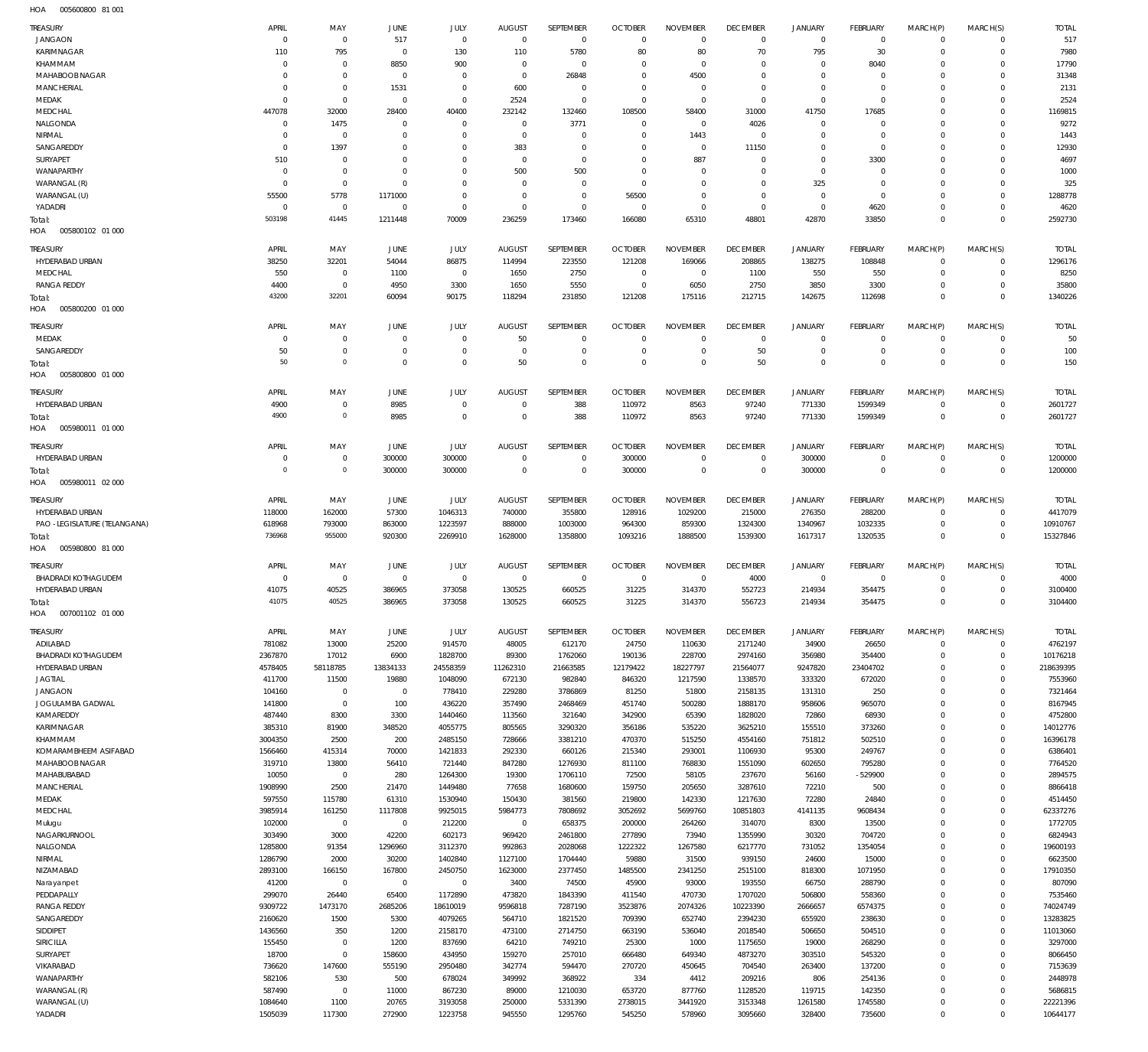005600800 81 001 HOA

| KARIMNAGAR<br>795<br>130<br>5780<br>80<br>80<br>70<br>795<br>30<br>110<br>$^{\circ}$<br>110<br>$\Omega$<br>$\Omega$<br>KHAMMAM<br>8850<br>900<br>8040<br>$\mathbf 0$<br>$\Omega$<br>$\Omega$<br>$\Omega$<br>$\Omega$<br>$\Omega$<br>0<br>$\Omega$<br>C<br>$\Omega$<br>MAHABOOB NAGAR<br>26848<br>4500<br>$\Omega$<br>$^{\circ}$<br>$\Omega$<br>$\Omega$<br>$\Omega$<br>$\Omega$<br>$\Omega$<br>$\Omega$<br>$\Omega$<br>$\Omega$<br>$\Omega$<br><b>MANCHERIAL</b><br>1531<br>600<br>$\mathbf 0$<br>$\Omega$<br>$\overline{0}$<br>$\mathbf 0$<br>0<br>$\Omega$<br>$\Omega$<br>$\Omega$<br>$\Omega$<br>$\Omega$<br>$\Omega$<br>MEDAK<br>$\Omega$<br>$\Omega$<br>2524<br>$\Omega$<br>$\Omega$<br>$\Omega$<br>$\Omega$<br>$\Omega$<br>$\Omega$<br>$\Omega$<br>$\Omega$<br>$\Omega$<br>$\Omega$<br>MEDCHAL<br>447078<br>32000<br>28400<br>40400<br>232142<br>132460<br>108500<br>58400<br>31000<br>41750<br>17685<br>$\Omega$<br>$\Omega$<br>NALGONDA<br>1475<br>3771<br>4026<br>$\Omega$<br>$\Omega$<br>$\Omega$<br>$\Omega$<br>$\Omega$<br>$\Omega$<br>C<br>$\Omega$<br>$\sqrt{ }$<br>$\Omega$<br>NIRMAL<br>1443<br>$\Omega$<br>$\Omega$<br>$\mathbf 0$<br>$\Omega$<br>$\Omega$<br>$\Omega$<br>$\Omega$<br>$\Omega$<br>$\Omega$<br>$\Omega$<br>$\Omega$<br>-C<br>SANGAREDDY<br>1397<br>383<br>11150<br>$\mathbf 0$<br>$\Omega$<br>$\Omega$<br>C<br>C<br>$\Omega$<br>$\Omega$<br>$\Omega$<br>$\Omega$<br>$\Omega$<br><b>SURYAPET</b><br>887<br>3300<br>510<br>$\overline{0}$<br>$\Omega$<br>$\Omega$<br>$\Omega$<br>$\Omega$<br>$\Omega$<br>$\Omega$<br>$\Omega$<br>$\Omega$<br>$\Omega$<br>WANAPARTHY<br>500<br>500<br>$\overline{0}$<br>$\Omega$<br>$\Omega$<br>$\Omega$<br>$\Omega$<br>$\Omega$<br>$\Omega$<br>$\Omega$<br>$\Omega$<br>$\Omega$<br>$\Omega$<br>WARANGAL (R)<br>$\overline{0}$<br>325<br>$\Omega$<br>$\mathbf 0$<br>$\Omega$<br>$\Omega$<br>$\Omega$<br>$\Omega$<br>C<br>C<br>$\Omega$<br>$\Omega$<br>$\Omega$<br>WARANGAL (U)<br>55500<br>5778<br>1171000<br>56500<br>$\Omega$<br>$\Omega$<br>$\Omega$<br>$\circ$<br>$\Omega$<br>$\Omega$<br>$\Omega$<br>$\Omega$<br>$\Omega$<br>YADADRI<br>$\mathbf{0}$<br>$\mathbf 0$<br>4620<br>$\Omega$<br>$\Omega$<br>$\Omega$<br>$\Omega$<br>$\Omega$<br>$\Omega$<br>$\Omega$<br>$\Omega$<br>$\Omega$<br>$\Omega$<br>503198<br>41445<br>1211448<br>70009<br>236259<br>173460<br>166080<br>65310<br>48801<br>42870<br>33850<br>$\Omega$<br>$\Omega$<br>Total:<br>005800102 01 000<br>HOA<br>TREASURY<br>APRIL<br><b>JUNE</b><br>JULY<br><b>AUGUST</b><br>SEPTEMBER<br><b>OCTOBER</b><br><b>NOVEMBER</b><br><b>DECEMBER</b><br><b>JANUARY</b><br><b>FEBRUARY</b><br>MARCH(P)<br>MARCH(S)<br>MAY<br>HYDERABAD URBAN<br>38250<br>32201<br>54044<br>86875<br>114994<br>223550<br>121208<br>169066<br>138275<br>108848<br>208865<br>$\mathbf 0$<br>0<br>MEDCHAL<br>550<br>$\mathbb O$<br>1100<br>$\mathbb O$<br>2750<br>$\mathbb O$<br>1100<br>550<br>550<br>1650<br>$^{\circ}$<br>$\Omega$<br>$\Omega$<br><b>RANGA REDDY</b><br>4400<br>$\mathbb O$<br>4950<br>3300<br>5550<br>6050<br>2750<br>3850<br>3300<br>1650<br>$^{\circ}$<br>$\Omega$<br>$\Omega$<br>43200<br>32201<br>60094<br>90175<br>118294<br>231850<br>121208<br>175116<br>212715<br>142675<br>112698<br>$\Omega$<br>$\Omega$<br>Total:<br>005800200 01 000<br>HOA<br>TREASURY<br>APRIL<br>MAY<br>JUNE<br>JULY<br><b>AUGUST</b><br>SEPTEMBER<br><b>OCTOBER</b><br><b>NOVEMBER</b><br><b>DECEMBER</b><br><b>JANUARY</b><br><b>FEBRUARY</b><br>MARCH(P)<br>MARCH(S)<br>MEDAK<br>50<br>$^{\circ}$<br>$^{\circ}$<br>$\mathbf 0$<br>$\mathbf 0$<br>$\Omega$<br>$\Omega$<br>$^{\circ}$<br>$\mathbf 0$<br>$\Omega$<br>$\Omega$<br>$\mathbf 0$<br>C<br>SANGAREDDY<br>50<br>$\mathbb O$<br>$\mathbf 0$<br>50<br>$\mathbf 0$<br>$^{\circ}$<br>$\mathbf 0$<br>$\overline{0}$<br>$\mathbf 0$<br>$\mathbf 0$<br>$\mathbf 0$<br>$\mathbf 0$<br>$\mathbf 0$<br>50<br>$\circ$<br>50<br>50<br>$\Omega$<br>$\Omega$<br>$\Omega$<br>$\mathbf 0$<br>$\Omega$<br>$\Omega$<br>$\Omega$<br>$\Omega$<br>$\Omega$<br>Total:<br>005800800 01 000<br>HOA<br>APRIL<br>MAY<br><b>JUNE</b><br>JULY<br><b>AUGUST</b><br>SEPTEMBER<br><b>OCTOBER</b><br><b>NOVEMBER</b><br><b>DECEMBER</b><br><b>JANUARY</b><br><b>FEBRUARY</b><br>MARCH(P)<br>MARCH(S)<br><b>TREASURY</b><br>HYDERABAD URBAN<br>4900<br>8985<br>388<br>110972<br>771330<br>1599349<br>$\mathbf 0$<br>$\mathbf 0$<br>$\mathbf 0$<br>8563<br>97240<br>$\mathbf 0$<br>$\mathbf 0$<br>4900<br>$\mathbb O$<br>8985<br>$\mathbf 0$<br>388<br>110972<br>8563<br>97240<br>771330<br>1599349<br>$\mathbf 0$<br>$\mathbf 0$<br>$\overline{0}$<br>Total:<br>005980011 01 000<br>HOA<br>TREASURY<br>APRIL<br>MAY<br>JUNE<br>JULY<br><b>AUGUST</b><br>SEPTEMBER<br><b>OCTOBER</b><br><b>NOVEMBER</b><br><b>DECEMBER</b><br><b>JANUARY</b><br><b>FEBRUARY</b><br>MARCH(P)<br>MARCH(S)<br>HYDERABAD URBAN<br>300000<br>300000<br>300000<br>300000<br>$\overline{0}$<br>$\Omega$<br>$\mathbf 0$<br>$\mathbf 0$<br>$\overline{0}$<br>$\Omega$<br>$\mathbf 0$<br>$\Omega$<br>$\Omega$<br>$\mathbb O$<br>$\circ$<br>300000<br>300000<br>$\mathbf 0$<br>300000<br>$\mathbf 0$<br>300000<br>$\Omega$<br>$\Omega$<br>$^{\circ}$<br>$\Omega$<br>$\overline{0}$<br>Total:<br>005980011 02 000<br>HOA<br>APRIL<br>MAY<br>JUNE<br>JULY<br><b>AUGUST</b><br>SEPTEMBER<br><b>OCTOBER</b><br><b>NOVEMBER</b><br><b>DECEMBER</b><br><b>FEBRUARY</b><br>MARCH(P)<br>MARCH(S)<br>TREASURY<br>JANUARY<br>HYDERABAD URBAN<br>118000<br>162000<br>57300<br>1046313<br>740000<br>355800<br>128916<br>1029200<br>215000<br>288200<br>276350<br>$\mathbf 0$<br>$\mathbf 0$<br>PAO -LEGISLATURE (TELANGANA)<br>793000<br>863000<br>1223597<br>888000<br>964300<br>859300<br>1324300<br>1340967<br>1032335<br>618968<br>1003000<br>$\mathbf 0$<br>$\mathbf 0$<br>736968<br>955000<br>920300<br>2269910<br>1628000<br>1358800<br>1888500<br>1539300<br>1617317<br>1320535<br>$\mathbf 0$<br>1093216<br>$\Omega$<br>Total:<br>005980800 81 000<br>HOA<br>TREASURY<br>APRIL<br>MAY<br>JUNE<br>JULY<br><b>AUGUST</b><br>SEPTEMBER<br><b>OCTOBER</b><br><b>NOVEMBER</b><br><b>DECEMBER</b><br>JANUARY<br>FEBRUARY<br>MARCH(P)<br>MARCH(S)<br><b>BHADRADI KOTHAGUDEM</b><br>$\Omega$<br>$\overline{0}$<br>$\Omega$<br>$\overline{0}$<br>$\overline{0}$<br>$\overline{0}$<br>$\Omega$<br>$\mathbf 0$<br>4000<br>$\circ$<br>$\Omega$<br>$\Omega$<br>$\Omega$<br>HYDERABAD URBAN<br>41075<br>40525<br>386965<br>373058<br>130525<br>660525<br>31225<br>314370<br>552723<br>214934<br>354475<br>$\Omega$<br>$\Omega$<br>41075<br>40525<br>386965<br>373058<br>130525<br>660525<br>31225<br>314370<br>556723<br>214934<br>354475<br>$\Omega$<br>$\Omega$<br>Total:<br>HOA<br>007001102 01 000<br><b>TREASURY</b><br>APRIL<br>MAY<br>JUNE<br>JULY<br><b>AUGUST</b><br>SEPTEMBER<br><b>OCTOBER</b><br><b>NOVEMBER</b><br><b>DECEMBER</b><br><b>JANUARY</b><br>FEBRUARY<br>MARCH(P)<br>MARCH(S)<br>ADILABAD<br>781082<br>13000<br>25200<br>914570<br>48005<br>24750<br>110630<br>2171240<br>34900<br>26650<br>$\mathbf 0$<br>612170<br>$\mathbf 0$<br><b>BHADRADI KOTHAGUDEM</b><br>2367870<br>17012<br>6900<br>1828700<br>89300<br>1762060<br>190136<br>228700<br>2974160<br>356980<br>354400<br>$\mathbf 0$<br>$\mathbf 0$<br>HYDERABAD URBAN<br>4578405<br>58118785<br>13834133<br>24558359<br>11262310<br>21663585<br>12179422<br>18227797<br>21564077<br>9247820<br>23404702<br>$\mathbf 0$<br>$\mathbf 0$<br><b>JAGTIAL</b><br>411700<br>11500<br>19880<br>1048090<br>672130<br>982840<br>846320<br>1217590<br>1338570<br>333320<br>672020<br>$\mathbf 0$<br>$\Omega$<br><b>JANGAON</b><br>104160<br>$\,0\,$<br>$\,0\,$<br>778410<br>229280<br>3786869<br>81250<br>51800<br>2158135<br>131310<br>250<br>$\mathbf 0$<br>$\Omega$<br>JOGULAMBA GADWAL<br>141800<br>$\,0\,$<br>100<br>436220<br>357490<br>2468469<br>451740<br>500280<br>1888170<br>958606<br>965070<br>$\mathbf 0$<br>$\Omega$<br>KAMAREDDY<br>487440<br>8300<br>3300<br>1440460<br>113560<br>342900<br>65390<br>1828020<br>72860<br>68930<br>$\mathbf 0$<br>321640<br>$\Omega$<br>KARIMNAGAR<br>385310<br>81900<br>348520<br>4055775<br>805565<br>3290320<br>356186<br>535220<br>3625210<br>155510<br>373260<br>$\Omega$<br>$\Omega$<br>KHAMMAM<br>3004350<br>2500<br>200<br>2485150<br>728666<br>3381210<br>470370<br>515250<br>4554160<br>751812<br>502510<br>$\mathbf 0$<br>$\Omega$<br>KOMARAMBHEEM ASIFABAD<br>1566460<br>415314<br>70000<br>1421833<br>292330<br>660126<br>215340<br>293001<br>1106930<br>95300<br>249767<br>$\mathbf 0$<br>$\Omega$<br>MAHABOOB NAGAR<br>319710<br>13800<br>56410<br>721440<br>847280<br>811100<br>768830<br>1551090<br>602650<br>795280<br>$\mathbf 0$<br>1276930<br>$\Omega$<br>MAHABUBABAD<br>10050<br>$\boldsymbol{0}$<br>280<br>1264300<br>19300<br>1706110<br>72500<br>58105<br>237670<br>56160<br>$-529900$<br>$\mathbf 0$<br>$\Omega$<br><b>MANCHERIAL</b><br>1908990<br>2500<br>21470<br>1449480<br>77658<br>1680600<br>159750<br>205650<br>3287610<br>72210<br>500<br>$\Omega$<br>$\Omega$<br>MEDAK<br>597550<br>115780<br>61310<br>1530940<br>150430<br>381560<br>219800<br>142330<br>1217630<br>72280<br>24840<br>$\mathbf 0$<br>$\Omega$<br>MEDCHAL<br>3985914<br>161250<br>1117808<br>9925015<br>5984773<br>7808692<br>3052692<br>5699760<br>10851803<br>4141135<br>9608434<br>$\mathbf 0$<br>$\Omega$<br>102000<br>$\,0\,$<br>$\,0\,$<br>212200<br>$\,0\,$<br>658375<br>200000<br>264260<br>314070<br>8300<br>13500<br>$\mathbf 0$<br>Mulugu<br>$\Omega$<br>NAGARKURNOOL<br>303490<br>3000<br>42200<br>602173<br>969420<br>2461800<br>277890<br>73940<br>1355990<br>30320<br>704720<br>$\mathbf 0$<br>$\Omega$<br>NALGONDA<br>1285800<br>91354<br>1296960<br>3112370<br>992863<br>2028068<br>1222322<br>1267580<br>6217770<br>731052<br>1354054<br>$\Omega$<br>$\Omega$<br>NIRMAL<br>1286790<br>2000<br>30200<br>1402840<br>1127100<br>1704440<br>59880<br>31500<br>939150<br>24600<br>15000<br>$\mathbf 0$<br>$\Omega$<br>NIZAMABAD<br>2893100<br>166150<br>167800<br>2450750<br>1623000<br>2377450<br>1485500<br>2341250<br>2515100<br>818300<br>1071950<br>$\Omega$<br>$\Omega$<br>41200<br>$\,0\,$<br>$\mathbf 0$<br>$\,0\,$<br>3400<br>74500<br>45900<br>93000<br>193550<br>66750<br>288790<br>$\mathbf 0$<br>Narayanpet<br>$\Omega$<br>PEDDAPALLY<br>299070<br>26440<br>65400<br>1172890<br>473820<br>1843390<br>411540<br>470730<br>1707020<br>506800<br>558360<br>$\mathbf 0$<br>$\Omega$<br><b>RANGA REDDY</b><br>9309722<br>1473170<br>2685206<br>18610019<br>9596818<br>7287190<br>3523876<br>2074326<br>10223390<br>2666657<br>6574375<br>$\mathbf 0$<br>$\Omega$<br>SANGAREDDY<br>2160620<br>1500<br>5300<br>4079265<br>564710<br>1821520<br>709390<br>652740<br>2394230<br>655920<br>238630<br>$\mathbf 0$<br>$\Omega$<br>SIDDIPET<br>1436560<br>350<br>1200<br>2158170<br>473100<br>2714750<br>663190<br>536040<br>2018540<br>506650<br>504510<br>$\mathbf 0$<br>$\Omega$<br><b>SIRICILLA</b><br>155450<br>$\,0\,$<br>1200<br>837690<br>64210<br>749210<br>25300<br>1000<br>1175650<br>19000<br>268290<br>$\mathbf 0$<br>$\Omega$<br>SURYAPET<br>18700<br>$\,0\,$<br>158600<br>434950<br>159270<br>257010<br>666480<br>649340<br>4873270<br>303510<br>545320<br>$\mathbf 0$<br>$\Omega$<br>VIKARABAD<br>736620<br>147600<br>555190<br>2950480<br>342774<br>594470<br>270720<br>450645<br>704540<br>263400<br>137200<br>$\Omega$<br>$\Omega$ | <b>TREASURY</b> | APRIL    | MAY            | JUNE   | JULY           | <b>AUGUST</b>  | SEPTEMBER          | <b>OCTOBER</b>    | <b>NOVEMBER</b> | <b>DECEMBER</b> | <b>JANUARY</b> | <b>FEBRUARY</b> | MARCH(P)    | MARCH(S) | <b>TOTAL</b>         |
|-------------------------------------------------------------------------------------------------------------------------------------------------------------------------------------------------------------------------------------------------------------------------------------------------------------------------------------------------------------------------------------------------------------------------------------------------------------------------------------------------------------------------------------------------------------------------------------------------------------------------------------------------------------------------------------------------------------------------------------------------------------------------------------------------------------------------------------------------------------------------------------------------------------------------------------------------------------------------------------------------------------------------------------------------------------------------------------------------------------------------------------------------------------------------------------------------------------------------------------------------------------------------------------------------------------------------------------------------------------------------------------------------------------------------------------------------------------------------------------------------------------------------------------------------------------------------------------------------------------------------------------------------------------------------------------------------------------------------------------------------------------------------------------------------------------------------------------------------------------------------------------------------------------------------------------------------------------------------------------------------------------------------------------------------------------------------------------------------------------------------------------------------------------------------------------------------------------------------------------------------------------------------------------------------------------------------------------------------------------------------------------------------------------------------------------------------------------------------------------------------------------------------------------------------------------------------------------------------------------------------------------------------------------------------------------------------------------------------------------------------------------------------------------------------------------------------------------------------------------------------------------------------------------------------------------------------------------------------------------------------------------------------------------------------------------------------------------------------------------------------------------------------------------------------------------------------------------------------------------------------------------------------------------------------------------------------------------------------------------------------------------------------------------------------------------------------------------------------------------------------------------------------------------------------------------------------------------------------------------------------------------------------------------------------------------------------------------------------------------------------------------------------------------------------------------------------------------------------------------------------------------------------------------------------------------------------------------------------------------------------------------------------------------------------------------------------------------------------------------------------------------------------------------------------------------------------------------------------------------------------------------------------------------------------------------------------------------------------------------------------------------------------------------------------------------------------------------------------------------------------------------------------------------------------------------------------------------------------------------------------------------------------------------------------------------------------------------------------------------------------------------------------------------------------------------------------------------------------------------------------------------------------------------------------------------------------------------------------------------------------------------------------------------------------------------------------------------------------------------------------------------------------------------------------------------------------------------------------------------------------------------------------------------------------------------------------------------------------------------------------------------------------------------------------------------------------------------------------------------------------------------------------------------------------------------------------------------------------------------------------------------------------------------------------------------------------------------------------------------------------------------------------------------------------------------------------------------------------------------------------------------------------------------------------------------------------------------------------------------------------------------------------------------------------------------------------------------------------------------------------------------------------------------------------------------------------------------------------------------------------------------------------------------------------------------------------------------------------------------------------------------------------------------------------------------------------------------------------------------------------------------------------------------------------------------------------------------------------------------------------------------------------------------------------------------------------------------------------------------------------------------------------------------------------------------------------------------------------------------------------------------------------------------------------------------------------------------------------------------------------------------------------------------------------------------------------------------------------------------------------------------------------------------------------------------------------------------------------------------------------------------------------------------------------------------------------------------------------------------------------------------------------------------------------------------------------------------------------------------------------------------------------------------------------------------------------------------------------------------------------------------------------------------------------------------------------------------------------------------------------------------------------------------------------------------------------------------------------------------------------------------------------------------------------------------------------------------------------------------------------------------------------------------------------------------------------------------------------------------------------------------------------------------------------------------------------------------------------------------------------------------------------------------------------------------------------------------------------------------------------------------------------------------------------------------------------------------------------------------------------------------------------------------------------------------------------------------------------------------------------------------------------------------------------------------------------------------------------------------------------------------------------------------------------------------------------------------------------------------------------------------------------------------------------------------------------------------------------------------------------------------------------------------------------------------------------------------------------------------------------------------------------------------------------------------------------------------------------------------------------------------------------------------------------------------------------------------------------------------------------------------------------------------------------------------------------------------------------------------------------------------------------------------------------------------------------------------------------------------------------------------------------------------------------------------------------------------------------------------------------------------------------------------------------------------------------------------------------------------------------------------------------------------------------------------------------------------------------------------------------------------------------------------------------------------------------------------------------------------------------------------------------------------------------------------------------------------------------------------------------------------------------------------------------------------------------------------------------------------------------------------------------------------------------------------------------------------------------------------------------------------------------------------------------------------------------------------------------------------------------------------------------------------------------------------------------------------------------------------------------------------------------------------------------------------------------------------------------------------------------------------------------------------------------------------------------------------------------------------------------------------------------------------------------------------------------------------------------------------------------------------------------------------------------------------------------------------------------------------------------------------------------------------------------------------------------------------------------------------------------------|-----------------|----------|----------------|--------|----------------|----------------|--------------------|-------------------|-----------------|-----------------|----------------|-----------------|-------------|----------|----------------------|
|                                                                                                                                                                                                                                                                                                                                                                                                                                                                                                                                                                                                                                                                                                                                                                                                                                                                                                                                                                                                                                                                                                                                                                                                                                                                                                                                                                                                                                                                                                                                                                                                                                                                                                                                                                                                                                                                                                                                                                                                                                                                                                                                                                                                                                                                                                                                                                                                                                                                                                                                                                                                                                                                                                                                                                                                                                                                                                                                                                                                                                                                                                                                                                                                                                                                                                                                                                                                                                                                                                                                                                                                                                                                                                                                                                                                                                                                                                                                                                                                                                                                                                                                                                                                                                                                                                                                                                                                                                                                                                                                                                                                                                                                                                                                                                                                                                                                                                                                                                                                                                                                                                                                                                                                                                                                                                                                                                                                                                                                                                                                                                                                                                                                                                                                                                                                                                                                                                                                                                                                                                                                                                                                                                                                                                                                                                                                                                                                                                                                                                                                                                                                                                                                                                                                                                                                                                                                                                                                                                                                                                                                                                                                                                                                                                                                                                                                                                                                                                                                                                                                                                                                                                                                                                                                                                                                                                                                                                                                                                                                                                                                                                                                                                                                                                                                                                                                                                                                                                                                                                                                                                                                                                                                                                                                                                                                                                                                                                                                                                                                                                                                                                                                                                                                                                                                                                                                                                                                                                                                                                                                                                                                                                                                                                                                                                                                                                                                                                                                                                                                                                                                                                                                                                                                                                                                                                                                                                                                                                                                                                                                                                                                                                                                                                                                                                                                                                                                                                                                                                                                                                                                                                                                                                                                                                                                                                                                                                               | <b>JANGAON</b>  | $\Omega$ | $\overline{0}$ | 517    | $\overline{0}$ | $\overline{0}$ | $\mathbb O$        | $\Omega$          | $\mathbf 0$     | $\overline{0}$  | $\circ$        | $\mathbf 0$     | $\Omega$    | $\Omega$ | 517                  |
|                                                                                                                                                                                                                                                                                                                                                                                                                                                                                                                                                                                                                                                                                                                                                                                                                                                                                                                                                                                                                                                                                                                                                                                                                                                                                                                                                                                                                                                                                                                                                                                                                                                                                                                                                                                                                                                                                                                                                                                                                                                                                                                                                                                                                                                                                                                                                                                                                                                                                                                                                                                                                                                                                                                                                                                                                                                                                                                                                                                                                                                                                                                                                                                                                                                                                                                                                                                                                                                                                                                                                                                                                                                                                                                                                                                                                                                                                                                                                                                                                                                                                                                                                                                                                                                                                                                                                                                                                                                                                                                                                                                                                                                                                                                                                                                                                                                                                                                                                                                                                                                                                                                                                                                                                                                                                                                                                                                                                                                                                                                                                                                                                                                                                                                                                                                                                                                                                                                                                                                                                                                                                                                                                                                                                                                                                                                                                                                                                                                                                                                                                                                                                                                                                                                                                                                                                                                                                                                                                                                                                                                                                                                                                                                                                                                                                                                                                                                                                                                                                                                                                                                                                                                                                                                                                                                                                                                                                                                                                                                                                                                                                                                                                                                                                                                                                                                                                                                                                                                                                                                                                                                                                                                                                                                                                                                                                                                                                                                                                                                                                                                                                                                                                                                                                                                                                                                                                                                                                                                                                                                                                                                                                                                                                                                                                                                                                                                                                                                                                                                                                                                                                                                                                                                                                                                                                                                                                                                                                                                                                                                                                                                                                                                                                                                                                                                                                                                                                                                                                                                                                                                                                                                                                                                                                                                                                                                                                                               |                 |          |                |        |                |                |                    |                   |                 |                 |                |                 |             |          | 7980<br>17790        |
|                                                                                                                                                                                                                                                                                                                                                                                                                                                                                                                                                                                                                                                                                                                                                                                                                                                                                                                                                                                                                                                                                                                                                                                                                                                                                                                                                                                                                                                                                                                                                                                                                                                                                                                                                                                                                                                                                                                                                                                                                                                                                                                                                                                                                                                                                                                                                                                                                                                                                                                                                                                                                                                                                                                                                                                                                                                                                                                                                                                                                                                                                                                                                                                                                                                                                                                                                                                                                                                                                                                                                                                                                                                                                                                                                                                                                                                                                                                                                                                                                                                                                                                                                                                                                                                                                                                                                                                                                                                                                                                                                                                                                                                                                                                                                                                                                                                                                                                                                                                                                                                                                                                                                                                                                                                                                                                                                                                                                                                                                                                                                                                                                                                                                                                                                                                                                                                                                                                                                                                                                                                                                                                                                                                                                                                                                                                                                                                                                                                                                                                                                                                                                                                                                                                                                                                                                                                                                                                                                                                                                                                                                                                                                                                                                                                                                                                                                                                                                                                                                                                                                                                                                                                                                                                                                                                                                                                                                                                                                                                                                                                                                                                                                                                                                                                                                                                                                                                                                                                                                                                                                                                                                                                                                                                                                                                                                                                                                                                                                                                                                                                                                                                                                                                                                                                                                                                                                                                                                                                                                                                                                                                                                                                                                                                                                                                                                                                                                                                                                                                                                                                                                                                                                                                                                                                                                                                                                                                                                                                                                                                                                                                                                                                                                                                                                                                                                                                                                                                                                                                                                                                                                                                                                                                                                                                                                                                                                                               |                 |          |                |        |                |                |                    |                   |                 |                 |                |                 |             |          | 31348                |
|                                                                                                                                                                                                                                                                                                                                                                                                                                                                                                                                                                                                                                                                                                                                                                                                                                                                                                                                                                                                                                                                                                                                                                                                                                                                                                                                                                                                                                                                                                                                                                                                                                                                                                                                                                                                                                                                                                                                                                                                                                                                                                                                                                                                                                                                                                                                                                                                                                                                                                                                                                                                                                                                                                                                                                                                                                                                                                                                                                                                                                                                                                                                                                                                                                                                                                                                                                                                                                                                                                                                                                                                                                                                                                                                                                                                                                                                                                                                                                                                                                                                                                                                                                                                                                                                                                                                                                                                                                                                                                                                                                                                                                                                                                                                                                                                                                                                                                                                                                                                                                                                                                                                                                                                                                                                                                                                                                                                                                                                                                                                                                                                                                                                                                                                                                                                                                                                                                                                                                                                                                                                                                                                                                                                                                                                                                                                                                                                                                                                                                                                                                                                                                                                                                                                                                                                                                                                                                                                                                                                                                                                                                                                                                                                                                                                                                                                                                                                                                                                                                                                                                                                                                                                                                                                                                                                                                                                                                                                                                                                                                                                                                                                                                                                                                                                                                                                                                                                                                                                                                                                                                                                                                                                                                                                                                                                                                                                                                                                                                                                                                                                                                                                                                                                                                                                                                                                                                                                                                                                                                                                                                                                                                                                                                                                                                                                                                                                                                                                                                                                                                                                                                                                                                                                                                                                                                                                                                                                                                                                                                                                                                                                                                                                                                                                                                                                                                                                                                                                                                                                                                                                                                                                                                                                                                                                                                                                                                               |                 |          |                |        |                |                |                    |                   |                 |                 |                |                 |             |          | 2131                 |
|                                                                                                                                                                                                                                                                                                                                                                                                                                                                                                                                                                                                                                                                                                                                                                                                                                                                                                                                                                                                                                                                                                                                                                                                                                                                                                                                                                                                                                                                                                                                                                                                                                                                                                                                                                                                                                                                                                                                                                                                                                                                                                                                                                                                                                                                                                                                                                                                                                                                                                                                                                                                                                                                                                                                                                                                                                                                                                                                                                                                                                                                                                                                                                                                                                                                                                                                                                                                                                                                                                                                                                                                                                                                                                                                                                                                                                                                                                                                                                                                                                                                                                                                                                                                                                                                                                                                                                                                                                                                                                                                                                                                                                                                                                                                                                                                                                                                                                                                                                                                                                                                                                                                                                                                                                                                                                                                                                                                                                                                                                                                                                                                                                                                                                                                                                                                                                                                                                                                                                                                                                                                                                                                                                                                                                                                                                                                                                                                                                                                                                                                                                                                                                                                                                                                                                                                                                                                                                                                                                                                                                                                                                                                                                                                                                                                                                                                                                                                                                                                                                                                                                                                                                                                                                                                                                                                                                                                                                                                                                                                                                                                                                                                                                                                                                                                                                                                                                                                                                                                                                                                                                                                                                                                                                                                                                                                                                                                                                                                                                                                                                                                                                                                                                                                                                                                                                                                                                                                                                                                                                                                                                                                                                                                                                                                                                                                                                                                                                                                                                                                                                                                                                                                                                                                                                                                                                                                                                                                                                                                                                                                                                                                                                                                                                                                                                                                                                                                                                                                                                                                                                                                                                                                                                                                                                                                                                                                                                               |                 |          |                |        |                |                |                    |                   |                 |                 |                |                 |             |          | 2524                 |
|                                                                                                                                                                                                                                                                                                                                                                                                                                                                                                                                                                                                                                                                                                                                                                                                                                                                                                                                                                                                                                                                                                                                                                                                                                                                                                                                                                                                                                                                                                                                                                                                                                                                                                                                                                                                                                                                                                                                                                                                                                                                                                                                                                                                                                                                                                                                                                                                                                                                                                                                                                                                                                                                                                                                                                                                                                                                                                                                                                                                                                                                                                                                                                                                                                                                                                                                                                                                                                                                                                                                                                                                                                                                                                                                                                                                                                                                                                                                                                                                                                                                                                                                                                                                                                                                                                                                                                                                                                                                                                                                                                                                                                                                                                                                                                                                                                                                                                                                                                                                                                                                                                                                                                                                                                                                                                                                                                                                                                                                                                                                                                                                                                                                                                                                                                                                                                                                                                                                                                                                                                                                                                                                                                                                                                                                                                                                                                                                                                                                                                                                                                                                                                                                                                                                                                                                                                                                                                                                                                                                                                                                                                                                                                                                                                                                                                                                                                                                                                                                                                                                                                                                                                                                                                                                                                                                                                                                                                                                                                                                                                                                                                                                                                                                                                                                                                                                                                                                                                                                                                                                                                                                                                                                                                                                                                                                                                                                                                                                                                                                                                                                                                                                                                                                                                                                                                                                                                                                                                                                                                                                                                                                                                                                                                                                                                                                                                                                                                                                                                                                                                                                                                                                                                                                                                                                                                                                                                                                                                                                                                                                                                                                                                                                                                                                                                                                                                                                                                                                                                                                                                                                                                                                                                                                                                                                                                                                                                               |                 |          |                |        |                |                |                    |                   |                 |                 |                |                 |             |          | 1169815<br>9272      |
|                                                                                                                                                                                                                                                                                                                                                                                                                                                                                                                                                                                                                                                                                                                                                                                                                                                                                                                                                                                                                                                                                                                                                                                                                                                                                                                                                                                                                                                                                                                                                                                                                                                                                                                                                                                                                                                                                                                                                                                                                                                                                                                                                                                                                                                                                                                                                                                                                                                                                                                                                                                                                                                                                                                                                                                                                                                                                                                                                                                                                                                                                                                                                                                                                                                                                                                                                                                                                                                                                                                                                                                                                                                                                                                                                                                                                                                                                                                                                                                                                                                                                                                                                                                                                                                                                                                                                                                                                                                                                                                                                                                                                                                                                                                                                                                                                                                                                                                                                                                                                                                                                                                                                                                                                                                                                                                                                                                                                                                                                                                                                                                                                                                                                                                                                                                                                                                                                                                                                                                                                                                                                                                                                                                                                                                                                                                                                                                                                                                                                                                                                                                                                                                                                                                                                                                                                                                                                                                                                                                                                                                                                                                                                                                                                                                                                                                                                                                                                                                                                                                                                                                                                                                                                                                                                                                                                                                                                                                                                                                                                                                                                                                                                                                                                                                                                                                                                                                                                                                                                                                                                                                                                                                                                                                                                                                                                                                                                                                                                                                                                                                                                                                                                                                                                                                                                                                                                                                                                                                                                                                                                                                                                                                                                                                                                                                                                                                                                                                                                                                                                                                                                                                                                                                                                                                                                                                                                                                                                                                                                                                                                                                                                                                                                                                                                                                                                                                                                                                                                                                                                                                                                                                                                                                                                                                                                                                                                                               |                 |          |                |        |                |                |                    |                   |                 |                 |                |                 |             |          | 1443                 |
|                                                                                                                                                                                                                                                                                                                                                                                                                                                                                                                                                                                                                                                                                                                                                                                                                                                                                                                                                                                                                                                                                                                                                                                                                                                                                                                                                                                                                                                                                                                                                                                                                                                                                                                                                                                                                                                                                                                                                                                                                                                                                                                                                                                                                                                                                                                                                                                                                                                                                                                                                                                                                                                                                                                                                                                                                                                                                                                                                                                                                                                                                                                                                                                                                                                                                                                                                                                                                                                                                                                                                                                                                                                                                                                                                                                                                                                                                                                                                                                                                                                                                                                                                                                                                                                                                                                                                                                                                                                                                                                                                                                                                                                                                                                                                                                                                                                                                                                                                                                                                                                                                                                                                                                                                                                                                                                                                                                                                                                                                                                                                                                                                                                                                                                                                                                                                                                                                                                                                                                                                                                                                                                                                                                                                                                                                                                                                                                                                                                                                                                                                                                                                                                                                                                                                                                                                                                                                                                                                                                                                                                                                                                                                                                                                                                                                                                                                                                                                                                                                                                                                                                                                                                                                                                                                                                                                                                                                                                                                                                                                                                                                                                                                                                                                                                                                                                                                                                                                                                                                                                                                                                                                                                                                                                                                                                                                                                                                                                                                                                                                                                                                                                                                                                                                                                                                                                                                                                                                                                                                                                                                                                                                                                                                                                                                                                                                                                                                                                                                                                                                                                                                                                                                                                                                                                                                                                                                                                                                                                                                                                                                                                                                                                                                                                                                                                                                                                                                                                                                                                                                                                                                                                                                                                                                                                                                                                                                                               |                 |          |                |        |                |                |                    |                   |                 |                 |                |                 |             |          | 12930                |
|                                                                                                                                                                                                                                                                                                                                                                                                                                                                                                                                                                                                                                                                                                                                                                                                                                                                                                                                                                                                                                                                                                                                                                                                                                                                                                                                                                                                                                                                                                                                                                                                                                                                                                                                                                                                                                                                                                                                                                                                                                                                                                                                                                                                                                                                                                                                                                                                                                                                                                                                                                                                                                                                                                                                                                                                                                                                                                                                                                                                                                                                                                                                                                                                                                                                                                                                                                                                                                                                                                                                                                                                                                                                                                                                                                                                                                                                                                                                                                                                                                                                                                                                                                                                                                                                                                                                                                                                                                                                                                                                                                                                                                                                                                                                                                                                                                                                                                                                                                                                                                                                                                                                                                                                                                                                                                                                                                                                                                                                                                                                                                                                                                                                                                                                                                                                                                                                                                                                                                                                                                                                                                                                                                                                                                                                                                                                                                                                                                                                                                                                                                                                                                                                                                                                                                                                                                                                                                                                                                                                                                                                                                                                                                                                                                                                                                                                                                                                                                                                                                                                                                                                                                                                                                                                                                                                                                                                                                                                                                                                                                                                                                                                                                                                                                                                                                                                                                                                                                                                                                                                                                                                                                                                                                                                                                                                                                                                                                                                                                                                                                                                                                                                                                                                                                                                                                                                                                                                                                                                                                                                                                                                                                                                                                                                                                                                                                                                                                                                                                                                                                                                                                                                                                                                                                                                                                                                                                                                                                                                                                                                                                                                                                                                                                                                                                                                                                                                                                                                                                                                                                                                                                                                                                                                                                                                                                                                                                               |                 |          |                |        |                |                |                    |                   |                 |                 |                |                 |             |          | 4697                 |
|                                                                                                                                                                                                                                                                                                                                                                                                                                                                                                                                                                                                                                                                                                                                                                                                                                                                                                                                                                                                                                                                                                                                                                                                                                                                                                                                                                                                                                                                                                                                                                                                                                                                                                                                                                                                                                                                                                                                                                                                                                                                                                                                                                                                                                                                                                                                                                                                                                                                                                                                                                                                                                                                                                                                                                                                                                                                                                                                                                                                                                                                                                                                                                                                                                                                                                                                                                                                                                                                                                                                                                                                                                                                                                                                                                                                                                                                                                                                                                                                                                                                                                                                                                                                                                                                                                                                                                                                                                                                                                                                                                                                                                                                                                                                                                                                                                                                                                                                                                                                                                                                                                                                                                                                                                                                                                                                                                                                                                                                                                                                                                                                                                                                                                                                                                                                                                                                                                                                                                                                                                                                                                                                                                                                                                                                                                                                                                                                                                                                                                                                                                                                                                                                                                                                                                                                                                                                                                                                                                                                                                                                                                                                                                                                                                                                                                                                                                                                                                                                                                                                                                                                                                                                                                                                                                                                                                                                                                                                                                                                                                                                                                                                                                                                                                                                                                                                                                                                                                                                                                                                                                                                                                                                                                                                                                                                                                                                                                                                                                                                                                                                                                                                                                                                                                                                                                                                                                                                                                                                                                                                                                                                                                                                                                                                                                                                                                                                                                                                                                                                                                                                                                                                                                                                                                                                                                                                                                                                                                                                                                                                                                                                                                                                                                                                                                                                                                                                                                                                                                                                                                                                                                                                                                                                                                                                                                                                                                               |                 |          |                |        |                |                |                    |                   |                 |                 |                |                 |             |          | 1000                 |
|                                                                                                                                                                                                                                                                                                                                                                                                                                                                                                                                                                                                                                                                                                                                                                                                                                                                                                                                                                                                                                                                                                                                                                                                                                                                                                                                                                                                                                                                                                                                                                                                                                                                                                                                                                                                                                                                                                                                                                                                                                                                                                                                                                                                                                                                                                                                                                                                                                                                                                                                                                                                                                                                                                                                                                                                                                                                                                                                                                                                                                                                                                                                                                                                                                                                                                                                                                                                                                                                                                                                                                                                                                                                                                                                                                                                                                                                                                                                                                                                                                                                                                                                                                                                                                                                                                                                                                                                                                                                                                                                                                                                                                                                                                                                                                                                                                                                                                                                                                                                                                                                                                                                                                                                                                                                                                                                                                                                                                                                                                                                                                                                                                                                                                                                                                                                                                                                                                                                                                                                                                                                                                                                                                                                                                                                                                                                                                                                                                                                                                                                                                                                                                                                                                                                                                                                                                                                                                                                                                                                                                                                                                                                                                                                                                                                                                                                                                                                                                                                                                                                                                                                                                                                                                                                                                                                                                                                                                                                                                                                                                                                                                                                                                                                                                                                                                                                                                                                                                                                                                                                                                                                                                                                                                                                                                                                                                                                                                                                                                                                                                                                                                                                                                                                                                                                                                                                                                                                                                                                                                                                                                                                                                                                                                                                                                                                                                                                                                                                                                                                                                                                                                                                                                                                                                                                                                                                                                                                                                                                                                                                                                                                                                                                                                                                                                                                                                                                                                                                                                                                                                                                                                                                                                                                                                                                                                                                                                               |                 |          |                |        |                |                |                    |                   |                 |                 |                |                 |             |          | 325                  |
|                                                                                                                                                                                                                                                                                                                                                                                                                                                                                                                                                                                                                                                                                                                                                                                                                                                                                                                                                                                                                                                                                                                                                                                                                                                                                                                                                                                                                                                                                                                                                                                                                                                                                                                                                                                                                                                                                                                                                                                                                                                                                                                                                                                                                                                                                                                                                                                                                                                                                                                                                                                                                                                                                                                                                                                                                                                                                                                                                                                                                                                                                                                                                                                                                                                                                                                                                                                                                                                                                                                                                                                                                                                                                                                                                                                                                                                                                                                                                                                                                                                                                                                                                                                                                                                                                                                                                                                                                                                                                                                                                                                                                                                                                                                                                                                                                                                                                                                                                                                                                                                                                                                                                                                                                                                                                                                                                                                                                                                                                                                                                                                                                                                                                                                                                                                                                                                                                                                                                                                                                                                                                                                                                                                                                                                                                                                                                                                                                                                                                                                                                                                                                                                                                                                                                                                                                                                                                                                                                                                                                                                                                                                                                                                                                                                                                                                                                                                                                                                                                                                                                                                                                                                                                                                                                                                                                                                                                                                                                                                                                                                                                                                                                                                                                                                                                                                                                                                                                                                                                                                                                                                                                                                                                                                                                                                                                                                                                                                                                                                                                                                                                                                                                                                                                                                                                                                                                                                                                                                                                                                                                                                                                                                                                                                                                                                                                                                                                                                                                                                                                                                                                                                                                                                                                                                                                                                                                                                                                                                                                                                                                                                                                                                                                                                                                                                                                                                                                                                                                                                                                                                                                                                                                                                                                                                                                                                                                                               |                 |          |                |        |                |                |                    |                   |                 |                 |                |                 |             |          | 1288778<br>4620      |
|                                                                                                                                                                                                                                                                                                                                                                                                                                                                                                                                                                                                                                                                                                                                                                                                                                                                                                                                                                                                                                                                                                                                                                                                                                                                                                                                                                                                                                                                                                                                                                                                                                                                                                                                                                                                                                                                                                                                                                                                                                                                                                                                                                                                                                                                                                                                                                                                                                                                                                                                                                                                                                                                                                                                                                                                                                                                                                                                                                                                                                                                                                                                                                                                                                                                                                                                                                                                                                                                                                                                                                                                                                                                                                                                                                                                                                                                                                                                                                                                                                                                                                                                                                                                                                                                                                                                                                                                                                                                                                                                                                                                                                                                                                                                                                                                                                                                                                                                                                                                                                                                                                                                                                                                                                                                                                                                                                                                                                                                                                                                                                                                                                                                                                                                                                                                                                                                                                                                                                                                                                                                                                                                                                                                                                                                                                                                                                                                                                                                                                                                                                                                                                                                                                                                                                                                                                                                                                                                                                                                                                                                                                                                                                                                                                                                                                                                                                                                                                                                                                                                                                                                                                                                                                                                                                                                                                                                                                                                                                                                                                                                                                                                                                                                                                                                                                                                                                                                                                                                                                                                                                                                                                                                                                                                                                                                                                                                                                                                                                                                                                                                                                                                                                                                                                                                                                                                                                                                                                                                                                                                                                                                                                                                                                                                                                                                                                                                                                                                                                                                                                                                                                                                                                                                                                                                                                                                                                                                                                                                                                                                                                                                                                                                                                                                                                                                                                                                                                                                                                                                                                                                                                                                                                                                                                                                                                                                                                               |                 |          |                |        |                |                |                    |                   |                 |                 |                |                 |             |          | 2592730              |
|                                                                                                                                                                                                                                                                                                                                                                                                                                                                                                                                                                                                                                                                                                                                                                                                                                                                                                                                                                                                                                                                                                                                                                                                                                                                                                                                                                                                                                                                                                                                                                                                                                                                                                                                                                                                                                                                                                                                                                                                                                                                                                                                                                                                                                                                                                                                                                                                                                                                                                                                                                                                                                                                                                                                                                                                                                                                                                                                                                                                                                                                                                                                                                                                                                                                                                                                                                                                                                                                                                                                                                                                                                                                                                                                                                                                                                                                                                                                                                                                                                                                                                                                                                                                                                                                                                                                                                                                                                                                                                                                                                                                                                                                                                                                                                                                                                                                                                                                                                                                                                                                                                                                                                                                                                                                                                                                                                                                                                                                                                                                                                                                                                                                                                                                                                                                                                                                                                                                                                                                                                                                                                                                                                                                                                                                                                                                                                                                                                                                                                                                                                                                                                                                                                                                                                                                                                                                                                                                                                                                                                                                                                                                                                                                                                                                                                                                                                                                                                                                                                                                                                                                                                                                                                                                                                                                                                                                                                                                                                                                                                                                                                                                                                                                                                                                                                                                                                                                                                                                                                                                                                                                                                                                                                                                                                                                                                                                                                                                                                                                                                                                                                                                                                                                                                                                                                                                                                                                                                                                                                                                                                                                                                                                                                                                                                                                                                                                                                                                                                                                                                                                                                                                                                                                                                                                                                                                                                                                                                                                                                                                                                                                                                                                                                                                                                                                                                                                                                                                                                                                                                                                                                                                                                                                                                                                                                                                                                               |                 |          |                |        |                |                |                    |                   |                 |                 |                |                 |             |          |                      |
|                                                                                                                                                                                                                                                                                                                                                                                                                                                                                                                                                                                                                                                                                                                                                                                                                                                                                                                                                                                                                                                                                                                                                                                                                                                                                                                                                                                                                                                                                                                                                                                                                                                                                                                                                                                                                                                                                                                                                                                                                                                                                                                                                                                                                                                                                                                                                                                                                                                                                                                                                                                                                                                                                                                                                                                                                                                                                                                                                                                                                                                                                                                                                                                                                                                                                                                                                                                                                                                                                                                                                                                                                                                                                                                                                                                                                                                                                                                                                                                                                                                                                                                                                                                                                                                                                                                                                                                                                                                                                                                                                                                                                                                                                                                                                                                                                                                                                                                                                                                                                                                                                                                                                                                                                                                                                                                                                                                                                                                                                                                                                                                                                                                                                                                                                                                                                                                                                                                                                                                                                                                                                                                                                                                                                                                                                                                                                                                                                                                                                                                                                                                                                                                                                                                                                                                                                                                                                                                                                                                                                                                                                                                                                                                                                                                                                                                                                                                                                                                                                                                                                                                                                                                                                                                                                                                                                                                                                                                                                                                                                                                                                                                                                                                                                                                                                                                                                                                                                                                                                                                                                                                                                                                                                                                                                                                                                                                                                                                                                                                                                                                                                                                                                                                                                                                                                                                                                                                                                                                                                                                                                                                                                                                                                                                                                                                                                                                                                                                                                                                                                                                                                                                                                                                                                                                                                                                                                                                                                                                                                                                                                                                                                                                                                                                                                                                                                                                                                                                                                                                                                                                                                                                                                                                                                                                                                                                                                                               |                 |          |                |        |                |                |                    |                   |                 |                 |                |                 |             |          | <b>TOTAL</b>         |
|                                                                                                                                                                                                                                                                                                                                                                                                                                                                                                                                                                                                                                                                                                                                                                                                                                                                                                                                                                                                                                                                                                                                                                                                                                                                                                                                                                                                                                                                                                                                                                                                                                                                                                                                                                                                                                                                                                                                                                                                                                                                                                                                                                                                                                                                                                                                                                                                                                                                                                                                                                                                                                                                                                                                                                                                                                                                                                                                                                                                                                                                                                                                                                                                                                                                                                                                                                                                                                                                                                                                                                                                                                                                                                                                                                                                                                                                                                                                                                                                                                                                                                                                                                                                                                                                                                                                                                                                                                                                                                                                                                                                                                                                                                                                                                                                                                                                                                                                                                                                                                                                                                                                                                                                                                                                                                                                                                                                                                                                                                                                                                                                                                                                                                                                                                                                                                                                                                                                                                                                                                                                                                                                                                                                                                                                                                                                                                                                                                                                                                                                                                                                                                                                                                                                                                                                                                                                                                                                                                                                                                                                                                                                                                                                                                                                                                                                                                                                                                                                                                                                                                                                                                                                                                                                                                                                                                                                                                                                                                                                                                                                                                                                                                                                                                                                                                                                                                                                                                                                                                                                                                                                                                                                                                                                                                                                                                                                                                                                                                                                                                                                                                                                                                                                                                                                                                                                                                                                                                                                                                                                                                                                                                                                                                                                                                                                                                                                                                                                                                                                                                                                                                                                                                                                                                                                                                                                                                                                                                                                                                                                                                                                                                                                                                                                                                                                                                                                                                                                                                                                                                                                                                                                                                                                                                                                                                                                                                               |                 |          |                |        |                |                |                    |                   |                 |                 |                |                 |             |          | 1296176              |
|                                                                                                                                                                                                                                                                                                                                                                                                                                                                                                                                                                                                                                                                                                                                                                                                                                                                                                                                                                                                                                                                                                                                                                                                                                                                                                                                                                                                                                                                                                                                                                                                                                                                                                                                                                                                                                                                                                                                                                                                                                                                                                                                                                                                                                                                                                                                                                                                                                                                                                                                                                                                                                                                                                                                                                                                                                                                                                                                                                                                                                                                                                                                                                                                                                                                                                                                                                                                                                                                                                                                                                                                                                                                                                                                                                                                                                                                                                                                                                                                                                                                                                                                                                                                                                                                                                                                                                                                                                                                                                                                                                                                                                                                                                                                                                                                                                                                                                                                                                                                                                                                                                                                                                                                                                                                                                                                                                                                                                                                                                                                                                                                                                                                                                                                                                                                                                                                                                                                                                                                                                                                                                                                                                                                                                                                                                                                                                                                                                                                                                                                                                                                                                                                                                                                                                                                                                                                                                                                                                                                                                                                                                                                                                                                                                                                                                                                                                                                                                                                                                                                                                                                                                                                                                                                                                                                                                                                                                                                                                                                                                                                                                                                                                                                                                                                                                                                                                                                                                                                                                                                                                                                                                                                                                                                                                                                                                                                                                                                                                                                                                                                                                                                                                                                                                                                                                                                                                                                                                                                                                                                                                                                                                                                                                                                                                                                                                                                                                                                                                                                                                                                                                                                                                                                                                                                                                                                                                                                                                                                                                                                                                                                                                                                                                                                                                                                                                                                                                                                                                                                                                                                                                                                                                                                                                                                                                                                                                               |                 |          |                |        |                |                |                    |                   |                 |                 |                |                 |             |          | 8250                 |
|                                                                                                                                                                                                                                                                                                                                                                                                                                                                                                                                                                                                                                                                                                                                                                                                                                                                                                                                                                                                                                                                                                                                                                                                                                                                                                                                                                                                                                                                                                                                                                                                                                                                                                                                                                                                                                                                                                                                                                                                                                                                                                                                                                                                                                                                                                                                                                                                                                                                                                                                                                                                                                                                                                                                                                                                                                                                                                                                                                                                                                                                                                                                                                                                                                                                                                                                                                                                                                                                                                                                                                                                                                                                                                                                                                                                                                                                                                                                                                                                                                                                                                                                                                                                                                                                                                                                                                                                                                                                                                                                                                                                                                                                                                                                                                                                                                                                                                                                                                                                                                                                                                                                                                                                                                                                                                                                                                                                                                                                                                                                                                                                                                                                                                                                                                                                                                                                                                                                                                                                                                                                                                                                                                                                                                                                                                                                                                                                                                                                                                                                                                                                                                                                                                                                                                                                                                                                                                                                                                                                                                                                                                                                                                                                                                                                                                                                                                                                                                                                                                                                                                                                                                                                                                                                                                                                                                                                                                                                                                                                                                                                                                                                                                                                                                                                                                                                                                                                                                                                                                                                                                                                                                                                                                                                                                                                                                                                                                                                                                                                                                                                                                                                                                                                                                                                                                                                                                                                                                                                                                                                                                                                                                                                                                                                                                                                                                                                                                                                                                                                                                                                                                                                                                                                                                                                                                                                                                                                                                                                                                                                                                                                                                                                                                                                                                                                                                                                                                                                                                                                                                                                                                                                                                                                                                                                                                                                                                               |                 |          |                |        |                |                |                    |                   |                 |                 |                |                 |             |          | 35800                |
|                                                                                                                                                                                                                                                                                                                                                                                                                                                                                                                                                                                                                                                                                                                                                                                                                                                                                                                                                                                                                                                                                                                                                                                                                                                                                                                                                                                                                                                                                                                                                                                                                                                                                                                                                                                                                                                                                                                                                                                                                                                                                                                                                                                                                                                                                                                                                                                                                                                                                                                                                                                                                                                                                                                                                                                                                                                                                                                                                                                                                                                                                                                                                                                                                                                                                                                                                                                                                                                                                                                                                                                                                                                                                                                                                                                                                                                                                                                                                                                                                                                                                                                                                                                                                                                                                                                                                                                                                                                                                                                                                                                                                                                                                                                                                                                                                                                                                                                                                                                                                                                                                                                                                                                                                                                                                                                                                                                                                                                                                                                                                                                                                                                                                                                                                                                                                                                                                                                                                                                                                                                                                                                                                                                                                                                                                                                                                                                                                                                                                                                                                                                                                                                                                                                                                                                                                                                                                                                                                                                                                                                                                                                                                                                                                                                                                                                                                                                                                                                                                                                                                                                                                                                                                                                                                                                                                                                                                                                                                                                                                                                                                                                                                                                                                                                                                                                                                                                                                                                                                                                                                                                                                                                                                                                                                                                                                                                                                                                                                                                                                                                                                                                                                                                                                                                                                                                                                                                                                                                                                                                                                                                                                                                                                                                                                                                                                                                                                                                                                                                                                                                                                                                                                                                                                                                                                                                                                                                                                                                                                                                                                                                                                                                                                                                                                                                                                                                                                                                                                                                                                                                                                                                                                                                                                                                                                                                                                                               |                 |          |                |        |                |                |                    |                   |                 |                 |                |                 |             |          | 1340226              |
|                                                                                                                                                                                                                                                                                                                                                                                                                                                                                                                                                                                                                                                                                                                                                                                                                                                                                                                                                                                                                                                                                                                                                                                                                                                                                                                                                                                                                                                                                                                                                                                                                                                                                                                                                                                                                                                                                                                                                                                                                                                                                                                                                                                                                                                                                                                                                                                                                                                                                                                                                                                                                                                                                                                                                                                                                                                                                                                                                                                                                                                                                                                                                                                                                                                                                                                                                                                                                                                                                                                                                                                                                                                                                                                                                                                                                                                                                                                                                                                                                                                                                                                                                                                                                                                                                                                                                                                                                                                                                                                                                                                                                                                                                                                                                                                                                                                                                                                                                                                                                                                                                                                                                                                                                                                                                                                                                                                                                                                                                                                                                                                                                                                                                                                                                                                                                                                                                                                                                                                                                                                                                                                                                                                                                                                                                                                                                                                                                                                                                                                                                                                                                                                                                                                                                                                                                                                                                                                                                                                                                                                                                                                                                                                                                                                                                                                                                                                                                                                                                                                                                                                                                                                                                                                                                                                                                                                                                                                                                                                                                                                                                                                                                                                                                                                                                                                                                                                                                                                                                                                                                                                                                                                                                                                                                                                                                                                                                                                                                                                                                                                                                                                                                                                                                                                                                                                                                                                                                                                                                                                                                                                                                                                                                                                                                                                                                                                                                                                                                                                                                                                                                                                                                                                                                                                                                                                                                                                                                                                                                                                                                                                                                                                                                                                                                                                                                                                                                                                                                                                                                                                                                                                                                                                                                                                                                                                                                                               |                 |          |                |        |                |                |                    |                   |                 |                 |                |                 |             |          |                      |
|                                                                                                                                                                                                                                                                                                                                                                                                                                                                                                                                                                                                                                                                                                                                                                                                                                                                                                                                                                                                                                                                                                                                                                                                                                                                                                                                                                                                                                                                                                                                                                                                                                                                                                                                                                                                                                                                                                                                                                                                                                                                                                                                                                                                                                                                                                                                                                                                                                                                                                                                                                                                                                                                                                                                                                                                                                                                                                                                                                                                                                                                                                                                                                                                                                                                                                                                                                                                                                                                                                                                                                                                                                                                                                                                                                                                                                                                                                                                                                                                                                                                                                                                                                                                                                                                                                                                                                                                                                                                                                                                                                                                                                                                                                                                                                                                                                                                                                                                                                                                                                                                                                                                                                                                                                                                                                                                                                                                                                                                                                                                                                                                                                                                                                                                                                                                                                                                                                                                                                                                                                                                                                                                                                                                                                                                                                                                                                                                                                                                                                                                                                                                                                                                                                                                                                                                                                                                                                                                                                                                                                                                                                                                                                                                                                                                                                                                                                                                                                                                                                                                                                                                                                                                                                                                                                                                                                                                                                                                                                                                                                                                                                                                                                                                                                                                                                                                                                                                                                                                                                                                                                                                                                                                                                                                                                                                                                                                                                                                                                                                                                                                                                                                                                                                                                                                                                                                                                                                                                                                                                                                                                                                                                                                                                                                                                                                                                                                                                                                                                                                                                                                                                                                                                                                                                                                                                                                                                                                                                                                                                                                                                                                                                                                                                                                                                                                                                                                                                                                                                                                                                                                                                                                                                                                                                                                                                                                                                               |                 |          |                |        |                |                |                    |                   |                 |                 |                |                 |             |          | <b>TOTAL</b>         |
|                                                                                                                                                                                                                                                                                                                                                                                                                                                                                                                                                                                                                                                                                                                                                                                                                                                                                                                                                                                                                                                                                                                                                                                                                                                                                                                                                                                                                                                                                                                                                                                                                                                                                                                                                                                                                                                                                                                                                                                                                                                                                                                                                                                                                                                                                                                                                                                                                                                                                                                                                                                                                                                                                                                                                                                                                                                                                                                                                                                                                                                                                                                                                                                                                                                                                                                                                                                                                                                                                                                                                                                                                                                                                                                                                                                                                                                                                                                                                                                                                                                                                                                                                                                                                                                                                                                                                                                                                                                                                                                                                                                                                                                                                                                                                                                                                                                                                                                                                                                                                                                                                                                                                                                                                                                                                                                                                                                                                                                                                                                                                                                                                                                                                                                                                                                                                                                                                                                                                                                                                                                                                                                                                                                                                                                                                                                                                                                                                                                                                                                                                                                                                                                                                                                                                                                                                                                                                                                                                                                                                                                                                                                                                                                                                                                                                                                                                                                                                                                                                                                                                                                                                                                                                                                                                                                                                                                                                                                                                                                                                                                                                                                                                                                                                                                                                                                                                                                                                                                                                                                                                                                                                                                                                                                                                                                                                                                                                                                                                                                                                                                                                                                                                                                                                                                                                                                                                                                                                                                                                                                                                                                                                                                                                                                                                                                                                                                                                                                                                                                                                                                                                                                                                                                                                                                                                                                                                                                                                                                                                                                                                                                                                                                                                                                                                                                                                                                                                                                                                                                                                                                                                                                                                                                                                                                                                                                                                                               |                 |          |                |        |                |                |                    |                   |                 |                 |                |                 |             |          | 50<br>100            |
|                                                                                                                                                                                                                                                                                                                                                                                                                                                                                                                                                                                                                                                                                                                                                                                                                                                                                                                                                                                                                                                                                                                                                                                                                                                                                                                                                                                                                                                                                                                                                                                                                                                                                                                                                                                                                                                                                                                                                                                                                                                                                                                                                                                                                                                                                                                                                                                                                                                                                                                                                                                                                                                                                                                                                                                                                                                                                                                                                                                                                                                                                                                                                                                                                                                                                                                                                                                                                                                                                                                                                                                                                                                                                                                                                                                                                                                                                                                                                                                                                                                                                                                                                                                                                                                                                                                                                                                                                                                                                                                                                                                                                                                                                                                                                                                                                                                                                                                                                                                                                                                                                                                                                                                                                                                                                                                                                                                                                                                                                                                                                                                                                                                                                                                                                                                                                                                                                                                                                                                                                                                                                                                                                                                                                                                                                                                                                                                                                                                                                                                                                                                                                                                                                                                                                                                                                                                                                                                                                                                                                                                                                                                                                                                                                                                                                                                                                                                                                                                                                                                                                                                                                                                                                                                                                                                                                                                                                                                                                                                                                                                                                                                                                                                                                                                                                                                                                                                                                                                                                                                                                                                                                                                                                                                                                                                                                                                                                                                                                                                                                                                                                                                                                                                                                                                                                                                                                                                                                                                                                                                                                                                                                                                                                                                                                                                                                                                                                                                                                                                                                                                                                                                                                                                                                                                                                                                                                                                                                                                                                                                                                                                                                                                                                                                                                                                                                                                                                                                                                                                                                                                                                                                                                                                                                                                                                                                                                                               |                 |          |                |        |                |                |                    |                   |                 |                 |                |                 |             |          | 150                  |
|                                                                                                                                                                                                                                                                                                                                                                                                                                                                                                                                                                                                                                                                                                                                                                                                                                                                                                                                                                                                                                                                                                                                                                                                                                                                                                                                                                                                                                                                                                                                                                                                                                                                                                                                                                                                                                                                                                                                                                                                                                                                                                                                                                                                                                                                                                                                                                                                                                                                                                                                                                                                                                                                                                                                                                                                                                                                                                                                                                                                                                                                                                                                                                                                                                                                                                                                                                                                                                                                                                                                                                                                                                                                                                                                                                                                                                                                                                                                                                                                                                                                                                                                                                                                                                                                                                                                                                                                                                                                                                                                                                                                                                                                                                                                                                                                                                                                                                                                                                                                                                                                                                                                                                                                                                                                                                                                                                                                                                                                                                                                                                                                                                                                                                                                                                                                                                                                                                                                                                                                                                                                                                                                                                                                                                                                                                                                                                                                                                                                                                                                                                                                                                                                                                                                                                                                                                                                                                                                                                                                                                                                                                                                                                                                                                                                                                                                                                                                                                                                                                                                                                                                                                                                                                                                                                                                                                                                                                                                                                                                                                                                                                                                                                                                                                                                                                                                                                                                                                                                                                                                                                                                                                                                                                                                                                                                                                                                                                                                                                                                                                                                                                                                                                                                                                                                                                                                                                                                                                                                                                                                                                                                                                                                                                                                                                                                                                                                                                                                                                                                                                                                                                                                                                                                                                                                                                                                                                                                                                                                                                                                                                                                                                                                                                                                                                                                                                                                                                                                                                                                                                                                                                                                                                                                                                                                                                                                                                               |                 |          |                |        |                |                |                    |                   |                 |                 |                |                 |             |          |                      |
|                                                                                                                                                                                                                                                                                                                                                                                                                                                                                                                                                                                                                                                                                                                                                                                                                                                                                                                                                                                                                                                                                                                                                                                                                                                                                                                                                                                                                                                                                                                                                                                                                                                                                                                                                                                                                                                                                                                                                                                                                                                                                                                                                                                                                                                                                                                                                                                                                                                                                                                                                                                                                                                                                                                                                                                                                                                                                                                                                                                                                                                                                                                                                                                                                                                                                                                                                                                                                                                                                                                                                                                                                                                                                                                                                                                                                                                                                                                                                                                                                                                                                                                                                                                                                                                                                                                                                                                                                                                                                                                                                                                                                                                                                                                                                                                                                                                                                                                                                                                                                                                                                                                                                                                                                                                                                                                                                                                                                                                                                                                                                                                                                                                                                                                                                                                                                                                                                                                                                                                                                                                                                                                                                                                                                                                                                                                                                                                                                                                                                                                                                                                                                                                                                                                                                                                                                                                                                                                                                                                                                                                                                                                                                                                                                                                                                                                                                                                                                                                                                                                                                                                                                                                                                                                                                                                                                                                                                                                                                                                                                                                                                                                                                                                                                                                                                                                                                                                                                                                                                                                                                                                                                                                                                                                                                                                                                                                                                                                                                                                                                                                                                                                                                                                                                                                                                                                                                                                                                                                                                                                                                                                                                                                                                                                                                                                                                                                                                                                                                                                                                                                                                                                                                                                                                                                                                                                                                                                                                                                                                                                                                                                                                                                                                                                                                                                                                                                                                                                                                                                                                                                                                                                                                                                                                                                                                                                                                                               |                 |          |                |        |                |                |                    |                   |                 |                 |                |                 |             |          | <b>TOTAL</b>         |
|                                                                                                                                                                                                                                                                                                                                                                                                                                                                                                                                                                                                                                                                                                                                                                                                                                                                                                                                                                                                                                                                                                                                                                                                                                                                                                                                                                                                                                                                                                                                                                                                                                                                                                                                                                                                                                                                                                                                                                                                                                                                                                                                                                                                                                                                                                                                                                                                                                                                                                                                                                                                                                                                                                                                                                                                                                                                                                                                                                                                                                                                                                                                                                                                                                                                                                                                                                                                                                                                                                                                                                                                                                                                                                                                                                                                                                                                                                                                                                                                                                                                                                                                                                                                                                                                                                                                                                                                                                                                                                                                                                                                                                                                                                                                                                                                                                                                                                                                                                                                                                                                                                                                                                                                                                                                                                                                                                                                                                                                                                                                                                                                                                                                                                                                                                                                                                                                                                                                                                                                                                                                                                                                                                                                                                                                                                                                                                                                                                                                                                                                                                                                                                                                                                                                                                                                                                                                                                                                                                                                                                                                                                                                                                                                                                                                                                                                                                                                                                                                                                                                                                                                                                                                                                                                                                                                                                                                                                                                                                                                                                                                                                                                                                                                                                                                                                                                                                                                                                                                                                                                                                                                                                                                                                                                                                                                                                                                                                                                                                                                                                                                                                                                                                                                                                                                                                                                                                                                                                                                                                                                                                                                                                                                                                                                                                                                                                                                                                                                                                                                                                                                                                                                                                                                                                                                                                                                                                                                                                                                                                                                                                                                                                                                                                                                                                                                                                                                                                                                                                                                                                                                                                                                                                                                                                                                                                                                                                               |                 |          |                |        |                |                |                    |                   |                 |                 |                |                 |             |          | 2601727              |
|                                                                                                                                                                                                                                                                                                                                                                                                                                                                                                                                                                                                                                                                                                                                                                                                                                                                                                                                                                                                                                                                                                                                                                                                                                                                                                                                                                                                                                                                                                                                                                                                                                                                                                                                                                                                                                                                                                                                                                                                                                                                                                                                                                                                                                                                                                                                                                                                                                                                                                                                                                                                                                                                                                                                                                                                                                                                                                                                                                                                                                                                                                                                                                                                                                                                                                                                                                                                                                                                                                                                                                                                                                                                                                                                                                                                                                                                                                                                                                                                                                                                                                                                                                                                                                                                                                                                                                                                                                                                                                                                                                                                                                                                                                                                                                                                                                                                                                                                                                                                                                                                                                                                                                                                                                                                                                                                                                                                                                                                                                                                                                                                                                                                                                                                                                                                                                                                                                                                                                                                                                                                                                                                                                                                                                                                                                                                                                                                                                                                                                                                                                                                                                                                                                                                                                                                                                                                                                                                                                                                                                                                                                                                                                                                                                                                                                                                                                                                                                                                                                                                                                                                                                                                                                                                                                                                                                                                                                                                                                                                                                                                                                                                                                                                                                                                                                                                                                                                                                                                                                                                                                                                                                                                                                                                                                                                                                                                                                                                                                                                                                                                                                                                                                                                                                                                                                                                                                                                                                                                                                                                                                                                                                                                                                                                                                                                                                                                                                                                                                                                                                                                                                                                                                                                                                                                                                                                                                                                                                                                                                                                                                                                                                                                                                                                                                                                                                                                                                                                                                                                                                                                                                                                                                                                                                                                                                                                                                               |                 |          |                |        |                |                |                    |                   |                 |                 |                |                 |             |          | 2601727              |
|                                                                                                                                                                                                                                                                                                                                                                                                                                                                                                                                                                                                                                                                                                                                                                                                                                                                                                                                                                                                                                                                                                                                                                                                                                                                                                                                                                                                                                                                                                                                                                                                                                                                                                                                                                                                                                                                                                                                                                                                                                                                                                                                                                                                                                                                                                                                                                                                                                                                                                                                                                                                                                                                                                                                                                                                                                                                                                                                                                                                                                                                                                                                                                                                                                                                                                                                                                                                                                                                                                                                                                                                                                                                                                                                                                                                                                                                                                                                                                                                                                                                                                                                                                                                                                                                                                                                                                                                                                                                                                                                                                                                                                                                                                                                                                                                                                                                                                                                                                                                                                                                                                                                                                                                                                                                                                                                                                                                                                                                                                                                                                                                                                                                                                                                                                                                                                                                                                                                                                                                                                                                                                                                                                                                                                                                                                                                                                                                                                                                                                                                                                                                                                                                                                                                                                                                                                                                                                                                                                                                                                                                                                                                                                                                                                                                                                                                                                                                                                                                                                                                                                                                                                                                                                                                                                                                                                                                                                                                                                                                                                                                                                                                                                                                                                                                                                                                                                                                                                                                                                                                                                                                                                                                                                                                                                                                                                                                                                                                                                                                                                                                                                                                                                                                                                                                                                                                                                                                                                                                                                                                                                                                                                                                                                                                                                                                                                                                                                                                                                                                                                                                                                                                                                                                                                                                                                                                                                                                                                                                                                                                                                                                                                                                                                                                                                                                                                                                                                                                                                                                                                                                                                                                                                                                                                                                                                                                                                               |                 |          |                |        |                |                |                    |                   |                 |                 |                |                 |             |          |                      |
|                                                                                                                                                                                                                                                                                                                                                                                                                                                                                                                                                                                                                                                                                                                                                                                                                                                                                                                                                                                                                                                                                                                                                                                                                                                                                                                                                                                                                                                                                                                                                                                                                                                                                                                                                                                                                                                                                                                                                                                                                                                                                                                                                                                                                                                                                                                                                                                                                                                                                                                                                                                                                                                                                                                                                                                                                                                                                                                                                                                                                                                                                                                                                                                                                                                                                                                                                                                                                                                                                                                                                                                                                                                                                                                                                                                                                                                                                                                                                                                                                                                                                                                                                                                                                                                                                                                                                                                                                                                                                                                                                                                                                                                                                                                                                                                                                                                                                                                                                                                                                                                                                                                                                                                                                                                                                                                                                                                                                                                                                                                                                                                                                                                                                                                                                                                                                                                                                                                                                                                                                                                                                                                                                                                                                                                                                                                                                                                                                                                                                                                                                                                                                                                                                                                                                                                                                                                                                                                                                                                                                                                                                                                                                                                                                                                                                                                                                                                                                                                                                                                                                                                                                                                                                                                                                                                                                                                                                                                                                                                                                                                                                                                                                                                                                                                                                                                                                                                                                                                                                                                                                                                                                                                                                                                                                                                                                                                                                                                                                                                                                                                                                                                                                                                                                                                                                                                                                                                                                                                                                                                                                                                                                                                                                                                                                                                                                                                                                                                                                                                                                                                                                                                                                                                                                                                                                                                                                                                                                                                                                                                                                                                                                                                                                                                                                                                                                                                                                                                                                                                                                                                                                                                                                                                                                                                                                                                                                                               |                 |          |                |        |                |                |                    |                   |                 |                 |                |                 |             |          | <b>TOTAL</b>         |
|                                                                                                                                                                                                                                                                                                                                                                                                                                                                                                                                                                                                                                                                                                                                                                                                                                                                                                                                                                                                                                                                                                                                                                                                                                                                                                                                                                                                                                                                                                                                                                                                                                                                                                                                                                                                                                                                                                                                                                                                                                                                                                                                                                                                                                                                                                                                                                                                                                                                                                                                                                                                                                                                                                                                                                                                                                                                                                                                                                                                                                                                                                                                                                                                                                                                                                                                                                                                                                                                                                                                                                                                                                                                                                                                                                                                                                                                                                                                                                                                                                                                                                                                                                                                                                                                                                                                                                                                                                                                                                                                                                                                                                                                                                                                                                                                                                                                                                                                                                                                                                                                                                                                                                                                                                                                                                                                                                                                                                                                                                                                                                                                                                                                                                                                                                                                                                                                                                                                                                                                                                                                                                                                                                                                                                                                                                                                                                                                                                                                                                                                                                                                                                                                                                                                                                                                                                                                                                                                                                                                                                                                                                                                                                                                                                                                                                                                                                                                                                                                                                                                                                                                                                                                                                                                                                                                                                                                                                                                                                                                                                                                                                                                                                                                                                                                                                                                                                                                                                                                                                                                                                                                                                                                                                                                                                                                                                                                                                                                                                                                                                                                                                                                                                                                                                                                                                                                                                                                                                                                                                                                                                                                                                                                                                                                                                                                                                                                                                                                                                                                                                                                                                                                                                                                                                                                                                                                                                                                                                                                                                                                                                                                                                                                                                                                                                                                                                                                                                                                                                                                                                                                                                                                                                                                                                                                                                                                                                               |                 |          |                |        |                |                |                    |                   |                 |                 |                |                 |             |          | 1200000              |
|                                                                                                                                                                                                                                                                                                                                                                                                                                                                                                                                                                                                                                                                                                                                                                                                                                                                                                                                                                                                                                                                                                                                                                                                                                                                                                                                                                                                                                                                                                                                                                                                                                                                                                                                                                                                                                                                                                                                                                                                                                                                                                                                                                                                                                                                                                                                                                                                                                                                                                                                                                                                                                                                                                                                                                                                                                                                                                                                                                                                                                                                                                                                                                                                                                                                                                                                                                                                                                                                                                                                                                                                                                                                                                                                                                                                                                                                                                                                                                                                                                                                                                                                                                                                                                                                                                                                                                                                                                                                                                                                                                                                                                                                                                                                                                                                                                                                                                                                                                                                                                                                                                                                                                                                                                                                                                                                                                                                                                                                                                                                                                                                                                                                                                                                                                                                                                                                                                                                                                                                                                                                                                                                                                                                                                                                                                                                                                                                                                                                                                                                                                                                                                                                                                                                                                                                                                                                                                                                                                                                                                                                                                                                                                                                                                                                                                                                                                                                                                                                                                                                                                                                                                                                                                                                                                                                                                                                                                                                                                                                                                                                                                                                                                                                                                                                                                                                                                                                                                                                                                                                                                                                                                                                                                                                                                                                                                                                                                                                                                                                                                                                                                                                                                                                                                                                                                                                                                                                                                                                                                                                                                                                                                                                                                                                                                                                                                                                                                                                                                                                                                                                                                                                                                                                                                                                                                                                                                                                                                                                                                                                                                                                                                                                                                                                                                                                                                                                                                                                                                                                                                                                                                                                                                                                                                                                                                                                                                               |                 |          |                |        |                |                |                    |                   |                 |                 |                |                 |             |          | 1200000              |
|                                                                                                                                                                                                                                                                                                                                                                                                                                                                                                                                                                                                                                                                                                                                                                                                                                                                                                                                                                                                                                                                                                                                                                                                                                                                                                                                                                                                                                                                                                                                                                                                                                                                                                                                                                                                                                                                                                                                                                                                                                                                                                                                                                                                                                                                                                                                                                                                                                                                                                                                                                                                                                                                                                                                                                                                                                                                                                                                                                                                                                                                                                                                                                                                                                                                                                                                                                                                                                                                                                                                                                                                                                                                                                                                                                                                                                                                                                                                                                                                                                                                                                                                                                                                                                                                                                                                                                                                                                                                                                                                                                                                                                                                                                                                                                                                                                                                                                                                                                                                                                                                                                                                                                                                                                                                                                                                                                                                                                                                                                                                                                                                                                                                                                                                                                                                                                                                                                                                                                                                                                                                                                                                                                                                                                                                                                                                                                                                                                                                                                                                                                                                                                                                                                                                                                                                                                                                                                                                                                                                                                                                                                                                                                                                                                                                                                                                                                                                                                                                                                                                                                                                                                                                                                                                                                                                                                                                                                                                                                                                                                                                                                                                                                                                                                                                                                                                                                                                                                                                                                                                                                                                                                                                                                                                                                                                                                                                                                                                                                                                                                                                                                                                                                                                                                                                                                                                                                                                                                                                                                                                                                                                                                                                                                                                                                                                                                                                                                                                                                                                                                                                                                                                                                                                                                                                                                                                                                                                                                                                                                                                                                                                                                                                                                                                                                                                                                                                                                                                                                                                                                                                                                                                                                                                                                                                                                                                                                               |                 |          |                |        |                |                |                    |                   |                 |                 |                |                 |             |          |                      |
|                                                                                                                                                                                                                                                                                                                                                                                                                                                                                                                                                                                                                                                                                                                                                                                                                                                                                                                                                                                                                                                                                                                                                                                                                                                                                                                                                                                                                                                                                                                                                                                                                                                                                                                                                                                                                                                                                                                                                                                                                                                                                                                                                                                                                                                                                                                                                                                                                                                                                                                                                                                                                                                                                                                                                                                                                                                                                                                                                                                                                                                                                                                                                                                                                                                                                                                                                                                                                                                                                                                                                                                                                                                                                                                                                                                                                                                                                                                                                                                                                                                                                                                                                                                                                                                                                                                                                                                                                                                                                                                                                                                                                                                                                                                                                                                                                                                                                                                                                                                                                                                                                                                                                                                                                                                                                                                                                                                                                                                                                                                                                                                                                                                                                                                                                                                                                                                                                                                                                                                                                                                                                                                                                                                                                                                                                                                                                                                                                                                                                                                                                                                                                                                                                                                                                                                                                                                                                                                                                                                                                                                                                                                                                                                                                                                                                                                                                                                                                                                                                                                                                                                                                                                                                                                                                                                                                                                                                                                                                                                                                                                                                                                                                                                                                                                                                                                                                                                                                                                                                                                                                                                                                                                                                                                                                                                                                                                                                                                                                                                                                                                                                                                                                                                                                                                                                                                                                                                                                                                                                                                                                                                                                                                                                                                                                                                                                                                                                                                                                                                                                                                                                                                                                                                                                                                                                                                                                                                                                                                                                                                                                                                                                                                                                                                                                                                                                                                                                                                                                                                                                                                                                                                                                                                                                                                                                                                                                                               |                 |          |                |        |                |                |                    |                   |                 |                 |                |                 |             |          | <b>TOTAL</b>         |
|                                                                                                                                                                                                                                                                                                                                                                                                                                                                                                                                                                                                                                                                                                                                                                                                                                                                                                                                                                                                                                                                                                                                                                                                                                                                                                                                                                                                                                                                                                                                                                                                                                                                                                                                                                                                                                                                                                                                                                                                                                                                                                                                                                                                                                                                                                                                                                                                                                                                                                                                                                                                                                                                                                                                                                                                                                                                                                                                                                                                                                                                                                                                                                                                                                                                                                                                                                                                                                                                                                                                                                                                                                                                                                                                                                                                                                                                                                                                                                                                                                                                                                                                                                                                                                                                                                                                                                                                                                                                                                                                                                                                                                                                                                                                                                                                                                                                                                                                                                                                                                                                                                                                                                                                                                                                                                                                                                                                                                                                                                                                                                                                                                                                                                                                                                                                                                                                                                                                                                                                                                                                                                                                                                                                                                                                                                                                                                                                                                                                                                                                                                                                                                                                                                                                                                                                                                                                                                                                                                                                                                                                                                                                                                                                                                                                                                                                                                                                                                                                                                                                                                                                                                                                                                                                                                                                                                                                                                                                                                                                                                                                                                                                                                                                                                                                                                                                                                                                                                                                                                                                                                                                                                                                                                                                                                                                                                                                                                                                                                                                                                                                                                                                                                                                                                                                                                                                                                                                                                                                                                                                                                                                                                                                                                                                                                                                                                                                                                                                                                                                                                                                                                                                                                                                                                                                                                                                                                                                                                                                                                                                                                                                                                                                                                                                                                                                                                                                                                                                                                                                                                                                                                                                                                                                                                                                                                                                                                               |                 |          |                |        |                |                |                    |                   |                 |                 |                |                 |             |          | 4417079              |
|                                                                                                                                                                                                                                                                                                                                                                                                                                                                                                                                                                                                                                                                                                                                                                                                                                                                                                                                                                                                                                                                                                                                                                                                                                                                                                                                                                                                                                                                                                                                                                                                                                                                                                                                                                                                                                                                                                                                                                                                                                                                                                                                                                                                                                                                                                                                                                                                                                                                                                                                                                                                                                                                                                                                                                                                                                                                                                                                                                                                                                                                                                                                                                                                                                                                                                                                                                                                                                                                                                                                                                                                                                                                                                                                                                                                                                                                                                                                                                                                                                                                                                                                                                                                                                                                                                                                                                                                                                                                                                                                                                                                                                                                                                                                                                                                                                                                                                                                                                                                                                                                                                                                                                                                                                                                                                                                                                                                                                                                                                                                                                                                                                                                                                                                                                                                                                                                                                                                                                                                                                                                                                                                                                                                                                                                                                                                                                                                                                                                                                                                                                                                                                                                                                                                                                                                                                                                                                                                                                                                                                                                                                                                                                                                                                                                                                                                                                                                                                                                                                                                                                                                                                                                                                                                                                                                                                                                                                                                                                                                                                                                                                                                                                                                                                                                                                                                                                                                                                                                                                                                                                                                                                                                                                                                                                                                                                                                                                                                                                                                                                                                                                                                                                                                                                                                                                                                                                                                                                                                                                                                                                                                                                                                                                                                                                                                                                                                                                                                                                                                                                                                                                                                                                                                                                                                                                                                                                                                                                                                                                                                                                                                                                                                                                                                                                                                                                                                                                                                                                                                                                                                                                                                                                                                                                                                                                                                                                               |                 |          |                |        |                |                |                    |                   |                 |                 |                |                 |             |          | 10910767             |
|                                                                                                                                                                                                                                                                                                                                                                                                                                                                                                                                                                                                                                                                                                                                                                                                                                                                                                                                                                                                                                                                                                                                                                                                                                                                                                                                                                                                                                                                                                                                                                                                                                                                                                                                                                                                                                                                                                                                                                                                                                                                                                                                                                                                                                                                                                                                                                                                                                                                                                                                                                                                                                                                                                                                                                                                                                                                                                                                                                                                                                                                                                                                                                                                                                                                                                                                                                                                                                                                                                                                                                                                                                                                                                                                                                                                                                                                                                                                                                                                                                                                                                                                                                                                                                                                                                                                                                                                                                                                                                                                                                                                                                                                                                                                                                                                                                                                                                                                                                                                                                                                                                                                                                                                                                                                                                                                                                                                                                                                                                                                                                                                                                                                                                                                                                                                                                                                                                                                                                                                                                                                                                                                                                                                                                                                                                                                                                                                                                                                                                                                                                                                                                                                                                                                                                                                                                                                                                                                                                                                                                                                                                                                                                                                                                                                                                                                                                                                                                                                                                                                                                                                                                                                                                                                                                                                                                                                                                                                                                                                                                                                                                                                                                                                                                                                                                                                                                                                                                                                                                                                                                                                                                                                                                                                                                                                                                                                                                                                                                                                                                                                                                                                                                                                                                                                                                                                                                                                                                                                                                                                                                                                                                                                                                                                                                                                                                                                                                                                                                                                                                                                                                                                                                                                                                                                                                                                                                                                                                                                                                                                                                                                                                                                                                                                                                                                                                                                                                                                                                                                                                                                                                                                                                                                                                                                                                                                                                               |                 |          |                |        |                |                |                    |                   |                 |                 |                |                 |             |          | 15327846             |
|                                                                                                                                                                                                                                                                                                                                                                                                                                                                                                                                                                                                                                                                                                                                                                                                                                                                                                                                                                                                                                                                                                                                                                                                                                                                                                                                                                                                                                                                                                                                                                                                                                                                                                                                                                                                                                                                                                                                                                                                                                                                                                                                                                                                                                                                                                                                                                                                                                                                                                                                                                                                                                                                                                                                                                                                                                                                                                                                                                                                                                                                                                                                                                                                                                                                                                                                                                                                                                                                                                                                                                                                                                                                                                                                                                                                                                                                                                                                                                                                                                                                                                                                                                                                                                                                                                                                                                                                                                                                                                                                                                                                                                                                                                                                                                                                                                                                                                                                                                                                                                                                                                                                                                                                                                                                                                                                                                                                                                                                                                                                                                                                                                                                                                                                                                                                                                                                                                                                                                                                                                                                                                                                                                                                                                                                                                                                                                                                                                                                                                                                                                                                                                                                                                                                                                                                                                                                                                                                                                                                                                                                                                                                                                                                                                                                                                                                                                                                                                                                                                                                                                                                                                                                                                                                                                                                                                                                                                                                                                                                                                                                                                                                                                                                                                                                                                                                                                                                                                                                                                                                                                                                                                                                                                                                                                                                                                                                                                                                                                                                                                                                                                                                                                                                                                                                                                                                                                                                                                                                                                                                                                                                                                                                                                                                                                                                                                                                                                                                                                                                                                                                                                                                                                                                                                                                                                                                                                                                                                                                                                                                                                                                                                                                                                                                                                                                                                                                                                                                                                                                                                                                                                                                                                                                                                                                                                                                                                               |                 |          |                |        |                |                |                    |                   |                 |                 |                |                 |             |          |                      |
|                                                                                                                                                                                                                                                                                                                                                                                                                                                                                                                                                                                                                                                                                                                                                                                                                                                                                                                                                                                                                                                                                                                                                                                                                                                                                                                                                                                                                                                                                                                                                                                                                                                                                                                                                                                                                                                                                                                                                                                                                                                                                                                                                                                                                                                                                                                                                                                                                                                                                                                                                                                                                                                                                                                                                                                                                                                                                                                                                                                                                                                                                                                                                                                                                                                                                                                                                                                                                                                                                                                                                                                                                                                                                                                                                                                                                                                                                                                                                                                                                                                                                                                                                                                                                                                                                                                                                                                                                                                                                                                                                                                                                                                                                                                                                                                                                                                                                                                                                                                                                                                                                                                                                                                                                                                                                                                                                                                                                                                                                                                                                                                                                                                                                                                                                                                                                                                                                                                                                                                                                                                                                                                                                                                                                                                                                                                                                                                                                                                                                                                                                                                                                                                                                                                                                                                                                                                                                                                                                                                                                                                                                                                                                                                                                                                                                                                                                                                                                                                                                                                                                                                                                                                                                                                                                                                                                                                                                                                                                                                                                                                                                                                                                                                                                                                                                                                                                                                                                                                                                                                                                                                                                                                                                                                                                                                                                                                                                                                                                                                                                                                                                                                                                                                                                                                                                                                                                                                                                                                                                                                                                                                                                                                                                                                                                                                                                                                                                                                                                                                                                                                                                                                                                                                                                                                                                                                                                                                                                                                                                                                                                                                                                                                                                                                                                                                                                                                                                                                                                                                                                                                                                                                                                                                                                                                                                                                                                                               |                 |          |                |        |                |                |                    |                   |                 |                 |                |                 |             |          | <b>TOTAL</b><br>4000 |
|                                                                                                                                                                                                                                                                                                                                                                                                                                                                                                                                                                                                                                                                                                                                                                                                                                                                                                                                                                                                                                                                                                                                                                                                                                                                                                                                                                                                                                                                                                                                                                                                                                                                                                                                                                                                                                                                                                                                                                                                                                                                                                                                                                                                                                                                                                                                                                                                                                                                                                                                                                                                                                                                                                                                                                                                                                                                                                                                                                                                                                                                                                                                                                                                                                                                                                                                                                                                                                                                                                                                                                                                                                                                                                                                                                                                                                                                                                                                                                                                                                                                                                                                                                                                                                                                                                                                                                                                                                                                                                                                                                                                                                                                                                                                                                                                                                                                                                                                                                                                                                                                                                                                                                                                                                                                                                                                                                                                                                                                                                                                                                                                                                                                                                                                                                                                                                                                                                                                                                                                                                                                                                                                                                                                                                                                                                                                                                                                                                                                                                                                                                                                                                                                                                                                                                                                                                                                                                                                                                                                                                                                                                                                                                                                                                                                                                                                                                                                                                                                                                                                                                                                                                                                                                                                                                                                                                                                                                                                                                                                                                                                                                                                                                                                                                                                                                                                                                                                                                                                                                                                                                                                                                                                                                                                                                                                                                                                                                                                                                                                                                                                                                                                                                                                                                                                                                                                                                                                                                                                                                                                                                                                                                                                                                                                                                                                                                                                                                                                                                                                                                                                                                                                                                                                                                                                                                                                                                                                                                                                                                                                                                                                                                                                                                                                                                                                                                                                                                                                                                                                                                                                                                                                                                                                                                                                                                                                                                               |                 |          |                |        |                |                |                    |                   |                 |                 |                |                 |             |          | 3100400              |
|                                                                                                                                                                                                                                                                                                                                                                                                                                                                                                                                                                                                                                                                                                                                                                                                                                                                                                                                                                                                                                                                                                                                                                                                                                                                                                                                                                                                                                                                                                                                                                                                                                                                                                                                                                                                                                                                                                                                                                                                                                                                                                                                                                                                                                                                                                                                                                                                                                                                                                                                                                                                                                                                                                                                                                                                                                                                                                                                                                                                                                                                                                                                                                                                                                                                                                                                                                                                                                                                                                                                                                                                                                                                                                                                                                                                                                                                                                                                                                                                                                                                                                                                                                                                                                                                                                                                                                                                                                                                                                                                                                                                                                                                                                                                                                                                                                                                                                                                                                                                                                                                                                                                                                                                                                                                                                                                                                                                                                                                                                                                                                                                                                                                                                                                                                                                                                                                                                                                                                                                                                                                                                                                                                                                                                                                                                                                                                                                                                                                                                                                                                                                                                                                                                                                                                                                                                                                                                                                                                                                                                                                                                                                                                                                                                                                                                                                                                                                                                                                                                                                                                                                                                                                                                                                                                                                                                                                                                                                                                                                                                                                                                                                                                                                                                                                                                                                                                                                                                                                                                                                                                                                                                                                                                                                                                                                                                                                                                                                                                                                                                                                                                                                                                                                                                                                                                                                                                                                                                                                                                                                                                                                                                                                                                                                                                                                                                                                                                                                                                                                                                                                                                                                                                                                                                                                                                                                                                                                                                                                                                                                                                                                                                                                                                                                                                                                                                                                                                                                                                                                                                                                                                                                                                                                                                                                                                                                                                               |                 |          |                |        |                |                |                    |                   |                 |                 |                |                 |             |          | 3104400              |
|                                                                                                                                                                                                                                                                                                                                                                                                                                                                                                                                                                                                                                                                                                                                                                                                                                                                                                                                                                                                                                                                                                                                                                                                                                                                                                                                                                                                                                                                                                                                                                                                                                                                                                                                                                                                                                                                                                                                                                                                                                                                                                                                                                                                                                                                                                                                                                                                                                                                                                                                                                                                                                                                                                                                                                                                                                                                                                                                                                                                                                                                                                                                                                                                                                                                                                                                                                                                                                                                                                                                                                                                                                                                                                                                                                                                                                                                                                                                                                                                                                                                                                                                                                                                                                                                                                                                                                                                                                                                                                                                                                                                                                                                                                                                                                                                                                                                                                                                                                                                                                                                                                                                                                                                                                                                                                                                                                                                                                                                                                                                                                                                                                                                                                                                                                                                                                                                                                                                                                                                                                                                                                                                                                                                                                                                                                                                                                                                                                                                                                                                                                                                                                                                                                                                                                                                                                                                                                                                                                                                                                                                                                                                                                                                                                                                                                                                                                                                                                                                                                                                                                                                                                                                                                                                                                                                                                                                                                                                                                                                                                                                                                                                                                                                                                                                                                                                                                                                                                                                                                                                                                                                                                                                                                                                                                                                                                                                                                                                                                                                                                                                                                                                                                                                                                                                                                                                                                                                                                                                                                                                                                                                                                                                                                                                                                                                                                                                                                                                                                                                                                                                                                                                                                                                                                                                                                                                                                                                                                                                                                                                                                                                                                                                                                                                                                                                                                                                                                                                                                                                                                                                                                                                                                                                                                                                                                                                                                               |                 |          |                |        |                |                |                    |                   |                 |                 |                |                 |             |          |                      |
|                                                                                                                                                                                                                                                                                                                                                                                                                                                                                                                                                                                                                                                                                                                                                                                                                                                                                                                                                                                                                                                                                                                                                                                                                                                                                                                                                                                                                                                                                                                                                                                                                                                                                                                                                                                                                                                                                                                                                                                                                                                                                                                                                                                                                                                                                                                                                                                                                                                                                                                                                                                                                                                                                                                                                                                                                                                                                                                                                                                                                                                                                                                                                                                                                                                                                                                                                                                                                                                                                                                                                                                                                                                                                                                                                                                                                                                                                                                                                                                                                                                                                                                                                                                                                                                                                                                                                                                                                                                                                                                                                                                                                                                                                                                                                                                                                                                                                                                                                                                                                                                                                                                                                                                                                                                                                                                                                                                                                                                                                                                                                                                                                                                                                                                                                                                                                                                                                                                                                                                                                                                                                                                                                                                                                                                                                                                                                                                                                                                                                                                                                                                                                                                                                                                                                                                                                                                                                                                                                                                                                                                                                                                                                                                                                                                                                                                                                                                                                                                                                                                                                                                                                                                                                                                                                                                                                                                                                                                                                                                                                                                                                                                                                                                                                                                                                                                                                                                                                                                                                                                                                                                                                                                                                                                                                                                                                                                                                                                                                                                                                                                                                                                                                                                                                                                                                                                                                                                                                                                                                                                                                                                                                                                                                                                                                                                                                                                                                                                                                                                                                                                                                                                                                                                                                                                                                                                                                                                                                                                                                                                                                                                                                                                                                                                                                                                                                                                                                                                                                                                                                                                                                                                                                                                                                                                                                                                                                                               |                 |          |                |        |                |                |                    |                   |                 |                 |                |                 |             |          | <b>TOTAL</b>         |
|                                                                                                                                                                                                                                                                                                                                                                                                                                                                                                                                                                                                                                                                                                                                                                                                                                                                                                                                                                                                                                                                                                                                                                                                                                                                                                                                                                                                                                                                                                                                                                                                                                                                                                                                                                                                                                                                                                                                                                                                                                                                                                                                                                                                                                                                                                                                                                                                                                                                                                                                                                                                                                                                                                                                                                                                                                                                                                                                                                                                                                                                                                                                                                                                                                                                                                                                                                                                                                                                                                                                                                                                                                                                                                                                                                                                                                                                                                                                                                                                                                                                                                                                                                                                                                                                                                                                                                                                                                                                                                                                                                                                                                                                                                                                                                                                                                                                                                                                                                                                                                                                                                                                                                                                                                                                                                                                                                                                                                                                                                                                                                                                                                                                                                                                                                                                                                                                                                                                                                                                                                                                                                                                                                                                                                                                                                                                                                                                                                                                                                                                                                                                                                                                                                                                                                                                                                                                                                                                                                                                                                                                                                                                                                                                                                                                                                                                                                                                                                                                                                                                                                                                                                                                                                                                                                                                                                                                                                                                                                                                                                                                                                                                                                                                                                                                                                                                                                                                                                                                                                                                                                                                                                                                                                                                                                                                                                                                                                                                                                                                                                                                                                                                                                                                                                                                                                                                                                                                                                                                                                                                                                                                                                                                                                                                                                                                                                                                                                                                                                                                                                                                                                                                                                                                                                                                                                                                                                                                                                                                                                                                                                                                                                                                                                                                                                                                                                                                                                                                                                                                                                                                                                                                                                                                                                                                                                                                                                               |                 |          |                |        |                |                |                    |                   |                 |                 |                |                 |             |          | 4762197              |
|                                                                                                                                                                                                                                                                                                                                                                                                                                                                                                                                                                                                                                                                                                                                                                                                                                                                                                                                                                                                                                                                                                                                                                                                                                                                                                                                                                                                                                                                                                                                                                                                                                                                                                                                                                                                                                                                                                                                                                                                                                                                                                                                                                                                                                                                                                                                                                                                                                                                                                                                                                                                                                                                                                                                                                                                                                                                                                                                                                                                                                                                                                                                                                                                                                                                                                                                                                                                                                                                                                                                                                                                                                                                                                                                                                                                                                                                                                                                                                                                                                                                                                                                                                                                                                                                                                                                                                                                                                                                                                                                                                                                                                                                                                                                                                                                                                                                                                                                                                                                                                                                                                                                                                                                                                                                                                                                                                                                                                                                                                                                                                                                                                                                                                                                                                                                                                                                                                                                                                                                                                                                                                                                                                                                                                                                                                                                                                                                                                                                                                                                                                                                                                                                                                                                                                                                                                                                                                                                                                                                                                                                                                                                                                                                                                                                                                                                                                                                                                                                                                                                                                                                                                                                                                                                                                                                                                                                                                                                                                                                                                                                                                                                                                                                                                                                                                                                                                                                                                                                                                                                                                                                                                                                                                                                                                                                                                                                                                                                                                                                                                                                                                                                                                                                                                                                                                                                                                                                                                                                                                                                                                                                                                                                                                                                                                                                                                                                                                                                                                                                                                                                                                                                                                                                                                                                                                                                                                                                                                                                                                                                                                                                                                                                                                                                                                                                                                                                                                                                                                                                                                                                                                                                                                                                                                                                                                                                                                               |                 |          |                |        |                |                |                    |                   |                 |                 |                |                 |             |          | 10176218             |
|                                                                                                                                                                                                                                                                                                                                                                                                                                                                                                                                                                                                                                                                                                                                                                                                                                                                                                                                                                                                                                                                                                                                                                                                                                                                                                                                                                                                                                                                                                                                                                                                                                                                                                                                                                                                                                                                                                                                                                                                                                                                                                                                                                                                                                                                                                                                                                                                                                                                                                                                                                                                                                                                                                                                                                                                                                                                                                                                                                                                                                                                                                                                                                                                                                                                                                                                                                                                                                                                                                                                                                                                                                                                                                                                                                                                                                                                                                                                                                                                                                                                                                                                                                                                                                                                                                                                                                                                                                                                                                                                                                                                                                                                                                                                                                                                                                                                                                                                                                                                                                                                                                                                                                                                                                                                                                                                                                                                                                                                                                                                                                                                                                                                                                                                                                                                                                                                                                                                                                                                                                                                                                                                                                                                                                                                                                                                                                                                                                                                                                                                                                                                                                                                                                                                                                                                                                                                                                                                                                                                                                                                                                                                                                                                                                                                                                                                                                                                                                                                                                                                                                                                                                                                                                                                                                                                                                                                                                                                                                                                                                                                                                                                                                                                                                                                                                                                                                                                                                                                                                                                                                                                                                                                                                                                                                                                                                                                                                                                                                                                                                                                                                                                                                                                                                                                                                                                                                                                                                                                                                                                                                                                                                                                                                                                                                                                                                                                                                                                                                                                                                                                                                                                                                                                                                                                                                                                                                                                                                                                                                                                                                                                                                                                                                                                                                                                                                                                                                                                                                                                                                                                                                                                                                                                                                                                                                                                                                               |                 |          |                |        |                |                |                    |                   |                 |                 |                |                 |             |          | 218639395            |
|                                                                                                                                                                                                                                                                                                                                                                                                                                                                                                                                                                                                                                                                                                                                                                                                                                                                                                                                                                                                                                                                                                                                                                                                                                                                                                                                                                                                                                                                                                                                                                                                                                                                                                                                                                                                                                                                                                                                                                                                                                                                                                                                                                                                                                                                                                                                                                                                                                                                                                                                                                                                                                                                                                                                                                                                                                                                                                                                                                                                                                                                                                                                                                                                                                                                                                                                                                                                                                                                                                                                                                                                                                                                                                                                                                                                                                                                                                                                                                                                                                                                                                                                                                                                                                                                                                                                                                                                                                                                                                                                                                                                                                                                                                                                                                                                                                                                                                                                                                                                                                                                                                                                                                                                                                                                                                                                                                                                                                                                                                                                                                                                                                                                                                                                                                                                                                                                                                                                                                                                                                                                                                                                                                                                                                                                                                                                                                                                                                                                                                                                                                                                                                                                                                                                                                                                                                                                                                                                                                                                                                                                                                                                                                                                                                                                                                                                                                                                                                                                                                                                                                                                                                                                                                                                                                                                                                                                                                                                                                                                                                                                                                                                                                                                                                                                                                                                                                                                                                                                                                                                                                                                                                                                                                                                                                                                                                                                                                                                                                                                                                                                                                                                                                                                                                                                                                                                                                                                                                                                                                                                                                                                                                                                                                                                                                                                                                                                                                                                                                                                                                                                                                                                                                                                                                                                                                                                                                                                                                                                                                                                                                                                                                                                                                                                                                                                                                                                                                                                                                                                                                                                                                                                                                                                                                                                                                                                                                               |                 |          |                |        |                |                |                    |                   |                 |                 |                |                 |             |          | 7553960<br>7321464   |
|                                                                                                                                                                                                                                                                                                                                                                                                                                                                                                                                                                                                                                                                                                                                                                                                                                                                                                                                                                                                                                                                                                                                                                                                                                                                                                                                                                                                                                                                                                                                                                                                                                                                                                                                                                                                                                                                                                                                                                                                                                                                                                                                                                                                                                                                                                                                                                                                                                                                                                                                                                                                                                                                                                                                                                                                                                                                                                                                                                                                                                                                                                                                                                                                                                                                                                                                                                                                                                                                                                                                                                                                                                                                                                                                                                                                                                                                                                                                                                                                                                                                                                                                                                                                                                                                                                                                                                                                                                                                                                                                                                                                                                                                                                                                                                                                                                                                                                                                                                                                                                                                                                                                                                                                                                                                                                                                                                                                                                                                                                                                                                                                                                                                                                                                                                                                                                                                                                                                                                                                                                                                                                                                                                                                                                                                                                                                                                                                                                                                                                                                                                                                                                                                                                                                                                                                                                                                                                                                                                                                                                                                                                                                                                                                                                                                                                                                                                                                                                                                                                                                                                                                                                                                                                                                                                                                                                                                                                                                                                                                                                                                                                                                                                                                                                                                                                                                                                                                                                                                                                                                                                                                                                                                                                                                                                                                                                                                                                                                                                                                                                                                                                                                                                                                                                                                                                                                                                                                                                                                                                                                                                                                                                                                                                                                                                                                                                                                                                                                                                                                                                                                                                                                                                                                                                                                                                                                                                                                                                                                                                                                                                                                                                                                                                                                                                                                                                                                                                                                                                                                                                                                                                                                                                                                                                                                                                                                                                               |                 |          |                |        |                |                |                    |                   |                 |                 |                |                 |             |          | 8167945              |
|                                                                                                                                                                                                                                                                                                                                                                                                                                                                                                                                                                                                                                                                                                                                                                                                                                                                                                                                                                                                                                                                                                                                                                                                                                                                                                                                                                                                                                                                                                                                                                                                                                                                                                                                                                                                                                                                                                                                                                                                                                                                                                                                                                                                                                                                                                                                                                                                                                                                                                                                                                                                                                                                                                                                                                                                                                                                                                                                                                                                                                                                                                                                                                                                                                                                                                                                                                                                                                                                                                                                                                                                                                                                                                                                                                                                                                                                                                                                                                                                                                                                                                                                                                                                                                                                                                                                                                                                                                                                                                                                                                                                                                                                                                                                                                                                                                                                                                                                                                                                                                                                                                                                                                                                                                                                                                                                                                                                                                                                                                                                                                                                                                                                                                                                                                                                                                                                                                                                                                                                                                                                                                                                                                                                                                                                                                                                                                                                                                                                                                                                                                                                                                                                                                                                                                                                                                                                                                                                                                                                                                                                                                                                                                                                                                                                                                                                                                                                                                                                                                                                                                                                                                                                                                                                                                                                                                                                                                                                                                                                                                                                                                                                                                                                                                                                                                                                                                                                                                                                                                                                                                                                                                                                                                                                                                                                                                                                                                                                                                                                                                                                                                                                                                                                                                                                                                                                                                                                                                                                                                                                                                                                                                                                                                                                                                                                                                                                                                                                                                                                                                                                                                                                                                                                                                                                                                                                                                                                                                                                                                                                                                                                                                                                                                                                                                                                                                                                                                                                                                                                                                                                                                                                                                                                                                                                                                                                                                               |                 |          |                |        |                |                |                    |                   |                 |                 |                |                 |             |          | 4752800              |
|                                                                                                                                                                                                                                                                                                                                                                                                                                                                                                                                                                                                                                                                                                                                                                                                                                                                                                                                                                                                                                                                                                                                                                                                                                                                                                                                                                                                                                                                                                                                                                                                                                                                                                                                                                                                                                                                                                                                                                                                                                                                                                                                                                                                                                                                                                                                                                                                                                                                                                                                                                                                                                                                                                                                                                                                                                                                                                                                                                                                                                                                                                                                                                                                                                                                                                                                                                                                                                                                                                                                                                                                                                                                                                                                                                                                                                                                                                                                                                                                                                                                                                                                                                                                                                                                                                                                                                                                                                                                                                                                                                                                                                                                                                                                                                                                                                                                                                                                                                                                                                                                                                                                                                                                                                                                                                                                                                                                                                                                                                                                                                                                                                                                                                                                                                                                                                                                                                                                                                                                                                                                                                                                                                                                                                                                                                                                                                                                                                                                                                                                                                                                                                                                                                                                                                                                                                                                                                                                                                                                                                                                                                                                                                                                                                                                                                                                                                                                                                                                                                                                                                                                                                                                                                                                                                                                                                                                                                                                                                                                                                                                                                                                                                                                                                                                                                                                                                                                                                                                                                                                                                                                                                                                                                                                                                                                                                                                                                                                                                                                                                                                                                                                                                                                                                                                                                                                                                                                                                                                                                                                                                                                                                                                                                                                                                                                                                                                                                                                                                                                                                                                                                                                                                                                                                                                                                                                                                                                                                                                                                                                                                                                                                                                                                                                                                                                                                                                                                                                                                                                                                                                                                                                                                                                                                                                                                                                                                               |                 |          |                |        |                |                |                    |                   |                 |                 |                |                 |             |          | 14012776             |
|                                                                                                                                                                                                                                                                                                                                                                                                                                                                                                                                                                                                                                                                                                                                                                                                                                                                                                                                                                                                                                                                                                                                                                                                                                                                                                                                                                                                                                                                                                                                                                                                                                                                                                                                                                                                                                                                                                                                                                                                                                                                                                                                                                                                                                                                                                                                                                                                                                                                                                                                                                                                                                                                                                                                                                                                                                                                                                                                                                                                                                                                                                                                                                                                                                                                                                                                                                                                                                                                                                                                                                                                                                                                                                                                                                                                                                                                                                                                                                                                                                                                                                                                                                                                                                                                                                                                                                                                                                                                                                                                                                                                                                                                                                                                                                                                                                                                                                                                                                                                                                                                                                                                                                                                                                                                                                                                                                                                                                                                                                                                                                                                                                                                                                                                                                                                                                                                                                                                                                                                                                                                                                                                                                                                                                                                                                                                                                                                                                                                                                                                                                                                                                                                                                                                                                                                                                                                                                                                                                                                                                                                                                                                                                                                                                                                                                                                                                                                                                                                                                                                                                                                                                                                                                                                                                                                                                                                                                                                                                                                                                                                                                                                                                                                                                                                                                                                                                                                                                                                                                                                                                                                                                                                                                                                                                                                                                                                                                                                                                                                                                                                                                                                                                                                                                                                                                                                                                                                                                                                                                                                                                                                                                                                                                                                                                                                                                                                                                                                                                                                                                                                                                                                                                                                                                                                                                                                                                                                                                                                                                                                                                                                                                                                                                                                                                                                                                                                                                                                                                                                                                                                                                                                                                                                                                                                                                                                                                               |                 |          |                |        |                |                |                    |                   |                 |                 |                |                 |             |          | 16396178             |
|                                                                                                                                                                                                                                                                                                                                                                                                                                                                                                                                                                                                                                                                                                                                                                                                                                                                                                                                                                                                                                                                                                                                                                                                                                                                                                                                                                                                                                                                                                                                                                                                                                                                                                                                                                                                                                                                                                                                                                                                                                                                                                                                                                                                                                                                                                                                                                                                                                                                                                                                                                                                                                                                                                                                                                                                                                                                                                                                                                                                                                                                                                                                                                                                                                                                                                                                                                                                                                                                                                                                                                                                                                                                                                                                                                                                                                                                                                                                                                                                                                                                                                                                                                                                                                                                                                                                                                                                                                                                                                                                                                                                                                                                                                                                                                                                                                                                                                                                                                                                                                                                                                                                                                                                                                                                                                                                                                                                                                                                                                                                                                                                                                                                                                                                                                                                                                                                                                                                                                                                                                                                                                                                                                                                                                                                                                                                                                                                                                                                                                                                                                                                                                                                                                                                                                                                                                                                                                                                                                                                                                                                                                                                                                                                                                                                                                                                                                                                                                                                                                                                                                                                                                                                                                                                                                                                                                                                                                                                                                                                                                                                                                                                                                                                                                                                                                                                                                                                                                                                                                                                                                                                                                                                                                                                                                                                                                                                                                                                                                                                                                                                                                                                                                                                                                                                                                                                                                                                                                                                                                                                                                                                                                                                                                                                                                                                                                                                                                                                                                                                                                                                                                                                                                                                                                                                                                                                                                                                                                                                                                                                                                                                                                                                                                                                                                                                                                                                                                                                                                                                                                                                                                                                                                                                                                                                                                                                                                               |                 |          |                |        |                |                |                    |                   |                 |                 |                |                 |             |          | 6386401<br>7764520   |
|                                                                                                                                                                                                                                                                                                                                                                                                                                                                                                                                                                                                                                                                                                                                                                                                                                                                                                                                                                                                                                                                                                                                                                                                                                                                                                                                                                                                                                                                                                                                                                                                                                                                                                                                                                                                                                                                                                                                                                                                                                                                                                                                                                                                                                                                                                                                                                                                                                                                                                                                                                                                                                                                                                                                                                                                                                                                                                                                                                                                                                                                                                                                                                                                                                                                                                                                                                                                                                                                                                                                                                                                                                                                                                                                                                                                                                                                                                                                                                                                                                                                                                                                                                                                                                                                                                                                                                                                                                                                                                                                                                                                                                                                                                                                                                                                                                                                                                                                                                                                                                                                                                                                                                                                                                                                                                                                                                                                                                                                                                                                                                                                                                                                                                                                                                                                                                                                                                                                                                                                                                                                                                                                                                                                                                                                                                                                                                                                                                                                                                                                                                                                                                                                                                                                                                                                                                                                                                                                                                                                                                                                                                                                                                                                                                                                                                                                                                                                                                                                                                                                                                                                                                                                                                                                                                                                                                                                                                                                                                                                                                                                                                                                                                                                                                                                                                                                                                                                                                                                                                                                                                                                                                                                                                                                                                                                                                                                                                                                                                                                                                                                                                                                                                                                                                                                                                                                                                                                                                                                                                                                                                                                                                                                                                                                                                                                                                                                                                                                                                                                                                                                                                                                                                                                                                                                                                                                                                                                                                                                                                                                                                                                                                                                                                                                                                                                                                                                                                                                                                                                                                                                                                                                                                                                                                                                                                                                                                               |                 |          |                |        |                |                |                    |                   |                 |                 |                |                 |             |          | 2894575              |
|                                                                                                                                                                                                                                                                                                                                                                                                                                                                                                                                                                                                                                                                                                                                                                                                                                                                                                                                                                                                                                                                                                                                                                                                                                                                                                                                                                                                                                                                                                                                                                                                                                                                                                                                                                                                                                                                                                                                                                                                                                                                                                                                                                                                                                                                                                                                                                                                                                                                                                                                                                                                                                                                                                                                                                                                                                                                                                                                                                                                                                                                                                                                                                                                                                                                                                                                                                                                                                                                                                                                                                                                                                                                                                                                                                                                                                                                                                                                                                                                                                                                                                                                                                                                                                                                                                                                                                                                                                                                                                                                                                                                                                                                                                                                                                                                                                                                                                                                                                                                                                                                                                                                                                                                                                                                                                                                                                                                                                                                                                                                                                                                                                                                                                                                                                                                                                                                                                                                                                                                                                                                                                                                                                                                                                                                                                                                                                                                                                                                                                                                                                                                                                                                                                                                                                                                                                                                                                                                                                                                                                                                                                                                                                                                                                                                                                                                                                                                                                                                                                                                                                                                                                                                                                                                                                                                                                                                                                                                                                                                                                                                                                                                                                                                                                                                                                                                                                                                                                                                                                                                                                                                                                                                                                                                                                                                                                                                                                                                                                                                                                                                                                                                                                                                                                                                                                                                                                                                                                                                                                                                                                                                                                                                                                                                                                                                                                                                                                                                                                                                                                                                                                                                                                                                                                                                                                                                                                                                                                                                                                                                                                                                                                                                                                                                                                                                                                                                                                                                                                                                                                                                                                                                                                                                                                                                                                                                                                               |                 |          |                |        |                |                |                    |                   |                 |                 |                |                 |             |          | 8866418              |
|                                                                                                                                                                                                                                                                                                                                                                                                                                                                                                                                                                                                                                                                                                                                                                                                                                                                                                                                                                                                                                                                                                                                                                                                                                                                                                                                                                                                                                                                                                                                                                                                                                                                                                                                                                                                                                                                                                                                                                                                                                                                                                                                                                                                                                                                                                                                                                                                                                                                                                                                                                                                                                                                                                                                                                                                                                                                                                                                                                                                                                                                                                                                                                                                                                                                                                                                                                                                                                                                                                                                                                                                                                                                                                                                                                                                                                                                                                                                                                                                                                                                                                                                                                                                                                                                                                                                                                                                                                                                                                                                                                                                                                                                                                                                                                                                                                                                                                                                                                                                                                                                                                                                                                                                                                                                                                                                                                                                                                                                                                                                                                                                                                                                                                                                                                                                                                                                                                                                                                                                                                                                                                                                                                                                                                                                                                                                                                                                                                                                                                                                                                                                                                                                                                                                                                                                                                                                                                                                                                                                                                                                                                                                                                                                                                                                                                                                                                                                                                                                                                                                                                                                                                                                                                                                                                                                                                                                                                                                                                                                                                                                                                                                                                                                                                                                                                                                                                                                                                                                                                                                                                                                                                                                                                                                                                                                                                                                                                                                                                                                                                                                                                                                                                                                                                                                                                                                                                                                                                                                                                                                                                                                                                                                                                                                                                                                                                                                                                                                                                                                                                                                                                                                                                                                                                                                                                                                                                                                                                                                                                                                                                                                                                                                                                                                                                                                                                                                                                                                                                                                                                                                                                                                                                                                                                                                                                                                                                               |                 |          |                |        |                |                |                    |                   |                 |                 |                |                 |             |          | 4514450              |
|                                                                                                                                                                                                                                                                                                                                                                                                                                                                                                                                                                                                                                                                                                                                                                                                                                                                                                                                                                                                                                                                                                                                                                                                                                                                                                                                                                                                                                                                                                                                                                                                                                                                                                                                                                                                                                                                                                                                                                                                                                                                                                                                                                                                                                                                                                                                                                                                                                                                                                                                                                                                                                                                                                                                                                                                                                                                                                                                                                                                                                                                                                                                                                                                                                                                                                                                                                                                                                                                                                                                                                                                                                                                                                                                                                                                                                                                                                                                                                                                                                                                                                                                                                                                                                                                                                                                                                                                                                                                                                                                                                                                                                                                                                                                                                                                                                                                                                                                                                                                                                                                                                                                                                                                                                                                                                                                                                                                                                                                                                                                                                                                                                                                                                                                                                                                                                                                                                                                                                                                                                                                                                                                                                                                                                                                                                                                                                                                                                                                                                                                                                                                                                                                                                                                                                                                                                                                                                                                                                                                                                                                                                                                                                                                                                                                                                                                                                                                                                                                                                                                                                                                                                                                                                                                                                                                                                                                                                                                                                                                                                                                                                                                                                                                                                                                                                                                                                                                                                                                                                                                                                                                                                                                                                                                                                                                                                                                                                                                                                                                                                                                                                                                                                                                                                                                                                                                                                                                                                                                                                                                                                                                                                                                                                                                                                                                                                                                                                                                                                                                                                                                                                                                                                                                                                                                                                                                                                                                                                                                                                                                                                                                                                                                                                                                                                                                                                                                                                                                                                                                                                                                                                                                                                                                                                                                                                                                                                               |                 |          |                |        |                |                |                    |                   |                 |                 |                |                 |             |          | 62337276             |
|                                                                                                                                                                                                                                                                                                                                                                                                                                                                                                                                                                                                                                                                                                                                                                                                                                                                                                                                                                                                                                                                                                                                                                                                                                                                                                                                                                                                                                                                                                                                                                                                                                                                                                                                                                                                                                                                                                                                                                                                                                                                                                                                                                                                                                                                                                                                                                                                                                                                                                                                                                                                                                                                                                                                                                                                                                                                                                                                                                                                                                                                                                                                                                                                                                                                                                                                                                                                                                                                                                                                                                                                                                                                                                                                                                                                                                                                                                                                                                                                                                                                                                                                                                                                                                                                                                                                                                                                                                                                                                                                                                                                                                                                                                                                                                                                                                                                                                                                                                                                                                                                                                                                                                                                                                                                                                                                                                                                                                                                                                                                                                                                                                                                                                                                                                                                                                                                                                                                                                                                                                                                                                                                                                                                                                                                                                                                                                                                                                                                                                                                                                                                                                                                                                                                                                                                                                                                                                                                                                                                                                                                                                                                                                                                                                                                                                                                                                                                                                                                                                                                                                                                                                                                                                                                                                                                                                                                                                                                                                                                                                                                                                                                                                                                                                                                                                                                                                                                                                                                                                                                                                                                                                                                                                                                                                                                                                                                                                                                                                                                                                                                                                                                                                                                                                                                                                                                                                                                                                                                                                                                                                                                                                                                                                                                                                                                                                                                                                                                                                                                                                                                                                                                                                                                                                                                                                                                                                                                                                                                                                                                                                                                                                                                                                                                                                                                                                                                                                                                                                                                                                                                                                                                                                                                                                                                                                                                                                               |                 |          |                |        |                |                |                    |                   |                 |                 |                |                 |             |          | 1772705<br>6824943   |
|                                                                                                                                                                                                                                                                                                                                                                                                                                                                                                                                                                                                                                                                                                                                                                                                                                                                                                                                                                                                                                                                                                                                                                                                                                                                                                                                                                                                                                                                                                                                                                                                                                                                                                                                                                                                                                                                                                                                                                                                                                                                                                                                                                                                                                                                                                                                                                                                                                                                                                                                                                                                                                                                                                                                                                                                                                                                                                                                                                                                                                                                                                                                                                                                                                                                                                                                                                                                                                                                                                                                                                                                                                                                                                                                                                                                                                                                                                                                                                                                                                                                                                                                                                                                                                                                                                                                                                                                                                                                                                                                                                                                                                                                                                                                                                                                                                                                                                                                                                                                                                                                                                                                                                                                                                                                                                                                                                                                                                                                                                                                                                                                                                                                                                                                                                                                                                                                                                                                                                                                                                                                                                                                                                                                                                                                                                                                                                                                                                                                                                                                                                                                                                                                                                                                                                                                                                                                                                                                                                                                                                                                                                                                                                                                                                                                                                                                                                                                                                                                                                                                                                                                                                                                                                                                                                                                                                                                                                                                                                                                                                                                                                                                                                                                                                                                                                                                                                                                                                                                                                                                                                                                                                                                                                                                                                                                                                                                                                                                                                                                                                                                                                                                                                                                                                                                                                                                                                                                                                                                                                                                                                                                                                                                                                                                                                                                                                                                                                                                                                                                                                                                                                                                                                                                                                                                                                                                                                                                                                                                                                                                                                                                                                                                                                                                                                                                                                                                                                                                                                                                                                                                                                                                                                                                                                                                                                                                                                               |                 |          |                |        |                |                |                    |                   |                 |                 |                |                 |             |          | 19600193             |
|                                                                                                                                                                                                                                                                                                                                                                                                                                                                                                                                                                                                                                                                                                                                                                                                                                                                                                                                                                                                                                                                                                                                                                                                                                                                                                                                                                                                                                                                                                                                                                                                                                                                                                                                                                                                                                                                                                                                                                                                                                                                                                                                                                                                                                                                                                                                                                                                                                                                                                                                                                                                                                                                                                                                                                                                                                                                                                                                                                                                                                                                                                                                                                                                                                                                                                                                                                                                                                                                                                                                                                                                                                                                                                                                                                                                                                                                                                                                                                                                                                                                                                                                                                                                                                                                                                                                                                                                                                                                                                                                                                                                                                                                                                                                                                                                                                                                                                                                                                                                                                                                                                                                                                                                                                                                                                                                                                                                                                                                                                                                                                                                                                                                                                                                                                                                                                                                                                                                                                                                                                                                                                                                                                                                                                                                                                                                                                                                                                                                                                                                                                                                                                                                                                                                                                                                                                                                                                                                                                                                                                                                                                                                                                                                                                                                                                                                                                                                                                                                                                                                                                                                                                                                                                                                                                                                                                                                                                                                                                                                                                                                                                                                                                                                                                                                                                                                                                                                                                                                                                                                                                                                                                                                                                                                                                                                                                                                                                                                                                                                                                                                                                                                                                                                                                                                                                                                                                                                                                                                                                                                                                                                                                                                                                                                                                                                                                                                                                                                                                                                                                                                                                                                                                                                                                                                                                                                                                                                                                                                                                                                                                                                                                                                                                                                                                                                                                                                                                                                                                                                                                                                                                                                                                                                                                                                                                                                                                               |                 |          |                |        |                |                |                    |                   |                 |                 |                |                 |             |          | 6623500              |
|                                                                                                                                                                                                                                                                                                                                                                                                                                                                                                                                                                                                                                                                                                                                                                                                                                                                                                                                                                                                                                                                                                                                                                                                                                                                                                                                                                                                                                                                                                                                                                                                                                                                                                                                                                                                                                                                                                                                                                                                                                                                                                                                                                                                                                                                                                                                                                                                                                                                                                                                                                                                                                                                                                                                                                                                                                                                                                                                                                                                                                                                                                                                                                                                                                                                                                                                                                                                                                                                                                                                                                                                                                                                                                                                                                                                                                                                                                                                                                                                                                                                                                                                                                                                                                                                                                                                                                                                                                                                                                                                                                                                                                                                                                                                                                                                                                                                                                                                                                                                                                                                                                                                                                                                                                                                                                                                                                                                                                                                                                                                                                                                                                                                                                                                                                                                                                                                                                                                                                                                                                                                                                                                                                                                                                                                                                                                                                                                                                                                                                                                                                                                                                                                                                                                                                                                                                                                                                                                                                                                                                                                                                                                                                                                                                                                                                                                                                                                                                                                                                                                                                                                                                                                                                                                                                                                                                                                                                                                                                                                                                                                                                                                                                                                                                                                                                                                                                                                                                                                                                                                                                                                                                                                                                                                                                                                                                                                                                                                                                                                                                                                                                                                                                                                                                                                                                                                                                                                                                                                                                                                                                                                                                                                                                                                                                                                                                                                                                                                                                                                                                                                                                                                                                                                                                                                                                                                                                                                                                                                                                                                                                                                                                                                                                                                                                                                                                                                                                                                                                                                                                                                                                                                                                                                                                                                                                                                                                               |                 |          |                |        |                |                |                    |                   |                 |                 |                |                 |             |          | 17910350             |
|                                                                                                                                                                                                                                                                                                                                                                                                                                                                                                                                                                                                                                                                                                                                                                                                                                                                                                                                                                                                                                                                                                                                                                                                                                                                                                                                                                                                                                                                                                                                                                                                                                                                                                                                                                                                                                                                                                                                                                                                                                                                                                                                                                                                                                                                                                                                                                                                                                                                                                                                                                                                                                                                                                                                                                                                                                                                                                                                                                                                                                                                                                                                                                                                                                                                                                                                                                                                                                                                                                                                                                                                                                                                                                                                                                                                                                                                                                                                                                                                                                                                                                                                                                                                                                                                                                                                                                                                                                                                                                                                                                                                                                                                                                                                                                                                                                                                                                                                                                                                                                                                                                                                                                                                                                                                                                                                                                                                                                                                                                                                                                                                                                                                                                                                                                                                                                                                                                                                                                                                                                                                                                                                                                                                                                                                                                                                                                                                                                                                                                                                                                                                                                                                                                                                                                                                                                                                                                                                                                                                                                                                                                                                                                                                                                                                                                                                                                                                                                                                                                                                                                                                                                                                                                                                                                                                                                                                                                                                                                                                                                                                                                                                                                                                                                                                                                                                                                                                                                                                                                                                                                                                                                                                                                                                                                                                                                                                                                                                                                                                                                                                                                                                                                                                                                                                                                                                                                                                                                                                                                                                                                                                                                                                                                                                                                                                                                                                                                                                                                                                                                                                                                                                                                                                                                                                                                                                                                                                                                                                                                                                                                                                                                                                                                                                                                                                                                                                                                                                                                                                                                                                                                                                                                                                                                                                                                                                                                               |                 |          |                |        |                |                |                    |                   |                 |                 |                |                 |             |          | 807090               |
|                                                                                                                                                                                                                                                                                                                                                                                                                                                                                                                                                                                                                                                                                                                                                                                                                                                                                                                                                                                                                                                                                                                                                                                                                                                                                                                                                                                                                                                                                                                                                                                                                                                                                                                                                                                                                                                                                                                                                                                                                                                                                                                                                                                                                                                                                                                                                                                                                                                                                                                                                                                                                                                                                                                                                                                                                                                                                                                                                                                                                                                                                                                                                                                                                                                                                                                                                                                                                                                                                                                                                                                                                                                                                                                                                                                                                                                                                                                                                                                                                                                                                                                                                                                                                                                                                                                                                                                                                                                                                                                                                                                                                                                                                                                                                                                                                                                                                                                                                                                                                                                                                                                                                                                                                                                                                                                                                                                                                                                                                                                                                                                                                                                                                                                                                                                                                                                                                                                                                                                                                                                                                                                                                                                                                                                                                                                                                                                                                                                                                                                                                                                                                                                                                                                                                                                                                                                                                                                                                                                                                                                                                                                                                                                                                                                                                                                                                                                                                                                                                                                                                                                                                                                                                                                                                                                                                                                                                                                                                                                                                                                                                                                                                                                                                                                                                                                                                                                                                                                                                                                                                                                                                                                                                                                                                                                                                                                                                                                                                                                                                                                                                                                                                                                                                                                                                                                                                                                                                                                                                                                                                                                                                                                                                                                                                                                                                                                                                                                                                                                                                                                                                                                                                                                                                                                                                                                                                                                                                                                                                                                                                                                                                                                                                                                                                                                                                                                                                                                                                                                                                                                                                                                                                                                                                                                                                                                                                                               |                 |          |                |        |                |                |                    |                   |                 |                 |                |                 |             |          | 7535460              |
|                                                                                                                                                                                                                                                                                                                                                                                                                                                                                                                                                                                                                                                                                                                                                                                                                                                                                                                                                                                                                                                                                                                                                                                                                                                                                                                                                                                                                                                                                                                                                                                                                                                                                                                                                                                                                                                                                                                                                                                                                                                                                                                                                                                                                                                                                                                                                                                                                                                                                                                                                                                                                                                                                                                                                                                                                                                                                                                                                                                                                                                                                                                                                                                                                                                                                                                                                                                                                                                                                                                                                                                                                                                                                                                                                                                                                                                                                                                                                                                                                                                                                                                                                                                                                                                                                                                                                                                                                                                                                                                                                                                                                                                                                                                                                                                                                                                                                                                                                                                                                                                                                                                                                                                                                                                                                                                                                                                                                                                                                                                                                                                                                                                                                                                                                                                                                                                                                                                                                                                                                                                                                                                                                                                                                                                                                                                                                                                                                                                                                                                                                                                                                                                                                                                                                                                                                                                                                                                                                                                                                                                                                                                                                                                                                                                                                                                                                                                                                                                                                                                                                                                                                                                                                                                                                                                                                                                                                                                                                                                                                                                                                                                                                                                                                                                                                                                                                                                                                                                                                                                                                                                                                                                                                                                                                                                                                                                                                                                                                                                                                                                                                                                                                                                                                                                                                                                                                                                                                                                                                                                                                                                                                                                                                                                                                                                                                                                                                                                                                                                                                                                                                                                                                                                                                                                                                                                                                                                                                                                                                                                                                                                                                                                                                                                                                                                                                                                                                                                                                                                                                                                                                                                                                                                                                                                                                                                                                                               |                 |          |                |        |                |                |                    |                   |                 |                 |                |                 |             |          | 74024749<br>13283825 |
|                                                                                                                                                                                                                                                                                                                                                                                                                                                                                                                                                                                                                                                                                                                                                                                                                                                                                                                                                                                                                                                                                                                                                                                                                                                                                                                                                                                                                                                                                                                                                                                                                                                                                                                                                                                                                                                                                                                                                                                                                                                                                                                                                                                                                                                                                                                                                                                                                                                                                                                                                                                                                                                                                                                                                                                                                                                                                                                                                                                                                                                                                                                                                                                                                                                                                                                                                                                                                                                                                                                                                                                                                                                                                                                                                                                                                                                                                                                                                                                                                                                                                                                                                                                                                                                                                                                                                                                                                                                                                                                                                                                                                                                                                                                                                                                                                                                                                                                                                                                                                                                                                                                                                                                                                                                                                                                                                                                                                                                                                                                                                                                                                                                                                                                                                                                                                                                                                                                                                                                                                                                                                                                                                                                                                                                                                                                                                                                                                                                                                                                                                                                                                                                                                                                                                                                                                                                                                                                                                                                                                                                                                                                                                                                                                                                                                                                                                                                                                                                                                                                                                                                                                                                                                                                                                                                                                                                                                                                                                                                                                                                                                                                                                                                                                                                                                                                                                                                                                                                                                                                                                                                                                                                                                                                                                                                                                                                                                                                                                                                                                                                                                                                                                                                                                                                                                                                                                                                                                                                                                                                                                                                                                                                                                                                                                                                                                                                                                                                                                                                                                                                                                                                                                                                                                                                                                                                                                                                                                                                                                                                                                                                                                                                                                                                                                                                                                                                                                                                                                                                                                                                                                                                                                                                                                                                                                                                                                                               |                 |          |                |        |                |                |                    |                   |                 |                 |                |                 |             |          | 11013060             |
|                                                                                                                                                                                                                                                                                                                                                                                                                                                                                                                                                                                                                                                                                                                                                                                                                                                                                                                                                                                                                                                                                                                                                                                                                                                                                                                                                                                                                                                                                                                                                                                                                                                                                                                                                                                                                                                                                                                                                                                                                                                                                                                                                                                                                                                                                                                                                                                                                                                                                                                                                                                                                                                                                                                                                                                                                                                                                                                                                                                                                                                                                                                                                                                                                                                                                                                                                                                                                                                                                                                                                                                                                                                                                                                                                                                                                                                                                                                                                                                                                                                                                                                                                                                                                                                                                                                                                                                                                                                                                                                                                                                                                                                                                                                                                                                                                                                                                                                                                                                                                                                                                                                                                                                                                                                                                                                                                                                                                                                                                                                                                                                                                                                                                                                                                                                                                                                                                                                                                                                                                                                                                                                                                                                                                                                                                                                                                                                                                                                                                                                                                                                                                                                                                                                                                                                                                                                                                                                                                                                                                                                                                                                                                                                                                                                                                                                                                                                                                                                                                                                                                                                                                                                                                                                                                                                                                                                                                                                                                                                                                                                                                                                                                                                                                                                                                                                                                                                                                                                                                                                                                                                                                                                                                                                                                                                                                                                                                                                                                                                                                                                                                                                                                                                                                                                                                                                                                                                                                                                                                                                                                                                                                                                                                                                                                                                                                                                                                                                                                                                                                                                                                                                                                                                                                                                                                                                                                                                                                                                                                                                                                                                                                                                                                                                                                                                                                                                                                                                                                                                                                                                                                                                                                                                                                                                                                                                                                                               |                 |          |                |        |                |                |                    |                   |                 |                 |                |                 |             |          | 3297000              |
|                                                                                                                                                                                                                                                                                                                                                                                                                                                                                                                                                                                                                                                                                                                                                                                                                                                                                                                                                                                                                                                                                                                                                                                                                                                                                                                                                                                                                                                                                                                                                                                                                                                                                                                                                                                                                                                                                                                                                                                                                                                                                                                                                                                                                                                                                                                                                                                                                                                                                                                                                                                                                                                                                                                                                                                                                                                                                                                                                                                                                                                                                                                                                                                                                                                                                                                                                                                                                                                                                                                                                                                                                                                                                                                                                                                                                                                                                                                                                                                                                                                                                                                                                                                                                                                                                                                                                                                                                                                                                                                                                                                                                                                                                                                                                                                                                                                                                                                                                                                                                                                                                                                                                                                                                                                                                                                                                                                                                                                                                                                                                                                                                                                                                                                                                                                                                                                                                                                                                                                                                                                                                                                                                                                                                                                                                                                                                                                                                                                                                                                                                                                                                                                                                                                                                                                                                                                                                                                                                                                                                                                                                                                                                                                                                                                                                                                                                                                                                                                                                                                                                                                                                                                                                                                                                                                                                                                                                                                                                                                                                                                                                                                                                                                                                                                                                                                                                                                                                                                                                                                                                                                                                                                                                                                                                                                                                                                                                                                                                                                                                                                                                                                                                                                                                                                                                                                                                                                                                                                                                                                                                                                                                                                                                                                                                                                                                                                                                                                                                                                                                                                                                                                                                                                                                                                                                                                                                                                                                                                                                                                                                                                                                                                                                                                                                                                                                                                                                                                                                                                                                                                                                                                                                                                                                                                                                                                                                                               |                 |          |                |        |                |                |                    |                   |                 |                 |                |                 |             |          | 8066450              |
|                                                                                                                                                                                                                                                                                                                                                                                                                                                                                                                                                                                                                                                                                                                                                                                                                                                                                                                                                                                                                                                                                                                                                                                                                                                                                                                                                                                                                                                                                                                                                                                                                                                                                                                                                                                                                                                                                                                                                                                                                                                                                                                                                                                                                                                                                                                                                                                                                                                                                                                                                                                                                                                                                                                                                                                                                                                                                                                                                                                                                                                                                                                                                                                                                                                                                                                                                                                                                                                                                                                                                                                                                                                                                                                                                                                                                                                                                                                                                                                                                                                                                                                                                                                                                                                                                                                                                                                                                                                                                                                                                                                                                                                                                                                                                                                                                                                                                                                                                                                                                                                                                                                                                                                                                                                                                                                                                                                                                                                                                                                                                                                                                                                                                                                                                                                                                                                                                                                                                                                                                                                                                                                                                                                                                                                                                                                                                                                                                                                                                                                                                                                                                                                                                                                                                                                                                                                                                                                                                                                                                                                                                                                                                                                                                                                                                                                                                                                                                                                                                                                                                                                                                                                                                                                                                                                                                                                                                                                                                                                                                                                                                                                                                                                                                                                                                                                                                                                                                                                                                                                                                                                                                                                                                                                                                                                                                                                                                                                                                                                                                                                                                                                                                                                                                                                                                                                                                                                                                                                                                                                                                                                                                                                                                                                                                                                                                                                                                                                                                                                                                                                                                                                                                                                                                                                                                                                                                                                                                                                                                                                                                                                                                                                                                                                                                                                                                                                                                                                                                                                                                                                                                                                                                                                                                                                                                                                                                                               |                 |          |                |        |                |                |                    |                   |                 |                 |                |                 |             |          | 7153639              |
| WARANGAL (R)<br>587490<br>$\,0\,$<br>11000<br>867230<br>89000<br>877760<br>1128520<br>119715<br>142350<br>$\mathbf 0$<br>$\Omega$                                                                                                                                                                                                                                                                                                                                                                                                                                                                                                                                                                                                                                                                                                                                                                                                                                                                                                                                                                                                                                                                                                                                                                                                                                                                                                                                                                                                                                                                                                                                                                                                                                                                                                                                                                                                                                                                                                                                                                                                                                                                                                                                                                                                                                                                                                                                                                                                                                                                                                                                                                                                                                                                                                                                                                                                                                                                                                                                                                                                                                                                                                                                                                                                                                                                                                                                                                                                                                                                                                                                                                                                                                                                                                                                                                                                                                                                                                                                                                                                                                                                                                                                                                                                                                                                                                                                                                                                                                                                                                                                                                                                                                                                                                                                                                                                                                                                                                                                                                                                                                                                                                                                                                                                                                                                                                                                                                                                                                                                                                                                                                                                                                                                                                                                                                                                                                                                                                                                                                                                                                                                                                                                                                                                                                                                                                                                                                                                                                                                                                                                                                                                                                                                                                                                                                                                                                                                                                                                                                                                                                                                                                                                                                                                                                                                                                                                                                                                                                                                                                                                                                                                                                                                                                                                                                                                                                                                                                                                                                                                                                                                                                                                                                                                                                                                                                                                                                                                                                                                                                                                                                                                                                                                                                                                                                                                                                                                                                                                                                                                                                                                                                                                                                                                                                                                                                                                                                                                                                                                                                                                                                                                                                                                                                                                                                                                                                                                                                                                                                                                                                                                                                                                                                                                                                                                                                                                                                                                                                                                                                                                                                                                                                                                                                                                                                                                                                                                                                                                                                                                                                                                                                                                                                                                                                             | WANAPARTHY      | 582106   | 530            | 500    | 678024         | 349992         | 368922             | 334               | 4412            | 209216          | 806            | 254136          | $\mathbf 0$ | $\Omega$ | 2448978              |
| $\mathbf 0$<br>$\mathbf 0$                                                                                                                                                                                                                                                                                                                                                                                                                                                                                                                                                                                                                                                                                                                                                                                                                                                                                                                                                                                                                                                                                                                                                                                                                                                                                                                                                                                                                                                                                                                                                                                                                                                                                                                                                                                                                                                                                                                                                                                                                                                                                                                                                                                                                                                                                                                                                                                                                                                                                                                                                                                                                                                                                                                                                                                                                                                                                                                                                                                                                                                                                                                                                                                                                                                                                                                                                                                                                                                                                                                                                                                                                                                                                                                                                                                                                                                                                                                                                                                                                                                                                                                                                                                                                                                                                                                                                                                                                                                                                                                                                                                                                                                                                                                                                                                                                                                                                                                                                                                                                                                                                                                                                                                                                                                                                                                                                                                                                                                                                                                                                                                                                                                                                                                                                                                                                                                                                                                                                                                                                                                                                                                                                                                                                                                                                                                                                                                                                                                                                                                                                                                                                                                                                                                                                                                                                                                                                                                                                                                                                                                                                                                                                                                                                                                                                                                                                                                                                                                                                                                                                                                                                                                                                                                                                                                                                                                                                                                                                                                                                                                                                                                                                                                                                                                                                                                                                                                                                                                                                                                                                                                                                                                                                                                                                                                                                                                                                                                                                                                                                                                                                                                                                                                                                                                                                                                                                                                                                                                                                                                                                                                                                                                                                                                                                                                                                                                                                                                                                                                                                                                                                                                                                                                                                                                                                                                                                                                                                                                                                                                                                                                                                                                                                                                                                                                                                                                                                                                                                                                                                                                                                                                                                                                                                                                                                                                                                    |                 |          |                |        |                |                |                    |                   |                 |                 |                |                 |             |          |                      |
|                                                                                                                                                                                                                                                                                                                                                                                                                                                                                                                                                                                                                                                                                                                                                                                                                                                                                                                                                                                                                                                                                                                                                                                                                                                                                                                                                                                                                                                                                                                                                                                                                                                                                                                                                                                                                                                                                                                                                                                                                                                                                                                                                                                                                                                                                                                                                                                                                                                                                                                                                                                                                                                                                                                                                                                                                                                                                                                                                                                                                                                                                                                                                                                                                                                                                                                                                                                                                                                                                                                                                                                                                                                                                                                                                                                                                                                                                                                                                                                                                                                                                                                                                                                                                                                                                                                                                                                                                                                                                                                                                                                                                                                                                                                                                                                                                                                                                                                                                                                                                                                                                                                                                                                                                                                                                                                                                                                                                                                                                                                                                                                                                                                                                                                                                                                                                                                                                                                                                                                                                                                                                                                                                                                                                                                                                                                                                                                                                                                                                                                                                                                                                                                                                                                                                                                                                                                                                                                                                                                                                                                                                                                                                                                                                                                                                                                                                                                                                                                                                                                                                                                                                                                                                                                                                                                                                                                                                                                                                                                                                                                                                                                                                                                                                                                                                                                                                                                                                                                                                                                                                                                                                                                                                                                                                                                                                                                                                                                                                                                                                                                                                                                                                                                                                                                                                                                                                                                                                                                                                                                                                                                                                                                                                                                                                                                                                                                                                                                                                                                                                                                                                                                                                                                                                                                                                                                                                                                                                                                                                                                                                                                                                                                                                                                                                                                                                                                                                                                                                                                                                                                                                                                                                                                                                                                                                                                                                                               | WARANGAL (U)    | 1084640  | 1100           | 20765  | 3193058        | 250000         | 1210030<br>5331390 | 653720<br>2738015 | 3441920         | 3153348         | 1261580        | 1745580         |             |          | 5686815<br>22221396  |
|                                                                                                                                                                                                                                                                                                                                                                                                                                                                                                                                                                                                                                                                                                                                                                                                                                                                                                                                                                                                                                                                                                                                                                                                                                                                                                                                                                                                                                                                                                                                                                                                                                                                                                                                                                                                                                                                                                                                                                                                                                                                                                                                                                                                                                                                                                                                                                                                                                                                                                                                                                                                                                                                                                                                                                                                                                                                                                                                                                                                                                                                                                                                                                                                                                                                                                                                                                                                                                                                                                                                                                                                                                                                                                                                                                                                                                                                                                                                                                                                                                                                                                                                                                                                                                                                                                                                                                                                                                                                                                                                                                                                                                                                                                                                                                                                                                                                                                                                                                                                                                                                                                                                                                                                                                                                                                                                                                                                                                                                                                                                                                                                                                                                                                                                                                                                                                                                                                                                                                                                                                                                                                                                                                                                                                                                                                                                                                                                                                                                                                                                                                                                                                                                                                                                                                                                                                                                                                                                                                                                                                                                                                                                                                                                                                                                                                                                                                                                                                                                                                                                                                                                                                                                                                                                                                                                                                                                                                                                                                                                                                                                                                                                                                                                                                                                                                                                                                                                                                                                                                                                                                                                                                                                                                                                                                                                                                                                                                                                                                                                                                                                                                                                                                                                                                                                                                                                                                                                                                                                                                                                                                                                                                                                                                                                                                                                                                                                                                                                                                                                                                                                                                                                                                                                                                                                                                                                                                                                                                                                                                                                                                                                                                                                                                                                                                                                                                                                                                                                                                                                                                                                                                                                                                                                                                                                                                                                                                               | YADADRI         | 1505039  | 117300         | 272900 | 1223758        | 945550         | 1295760            | 545250            | 578960          | 3095660         | 328400         | 735600          | $\mathbf 0$ | $\Omega$ | 10644177             |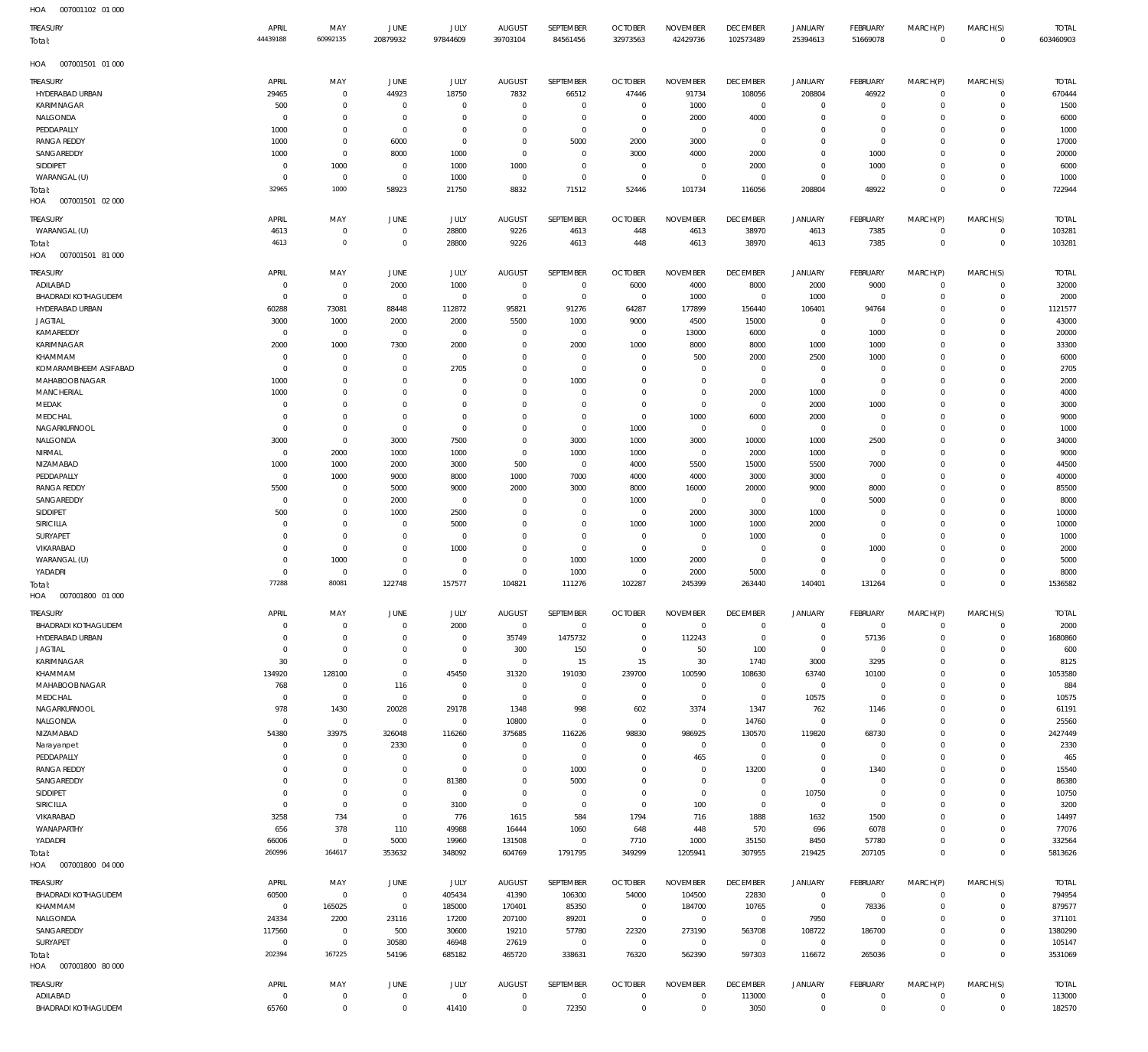| <b>TREASURY</b><br>Total:                            | APRIL<br>44439188          | MAY<br>60992135                  | <b>JUNE</b><br>20879932    | JULY<br>97844609         | <b>AUGUST</b><br>39703104    | SEPTEMBER<br>84561456            | <b>OCTOBER</b><br>32973563 | <b>NOVEMBER</b><br>42429736    | <b>DECEMBER</b><br>102573489  | <b>JANUARY</b><br>25394613       | <b>FEBRUARY</b><br>51669078 | MARCH(P)<br>$\mathbf{0}$ | MARCH(S)<br>$\Omega$     | <b>TOTAL</b><br>603460903 |
|------------------------------------------------------|----------------------------|----------------------------------|----------------------------|--------------------------|------------------------------|----------------------------------|----------------------------|--------------------------------|-------------------------------|----------------------------------|-----------------------------|--------------------------|--------------------------|---------------------------|
| 007001501 01 000<br>HOA                              |                            |                                  |                            |                          |                              |                                  |                            |                                |                               |                                  |                             |                          |                          |                           |
| TREASURY                                             | APRIL                      | MAY                              | <b>JUNE</b>                | JULY                     | <b>AUGUST</b>                | SEPTEMBER                        | <b>OCTOBER</b>             | <b>NOVEMBER</b>                | <b>DECEMBER</b>               | <b>JANUARY</b>                   | FEBRUARY                    | MARCH(P)                 | MARCH(S)                 | <b>TOTAL</b>              |
| HYDERABAD URBAN                                      | 29465                      | $\overline{0}$                   | 44923                      | 18750                    | 7832                         | 66512                            | 47446                      | 91734                          | 108056                        | 208804                           | 46922                       | $\Omega$                 | $\Omega$                 | 670444                    |
| <b>KARIMNAGAR</b>                                    | 500                        | $\mathbf 0$                      | $^{\circ}$                 | $^{\circ}$               | $\mathbf 0$                  | $\overline{0}$                   | $^{\circ}$<br>$\Omega$     | 1000                           | $\mathbf 0$                   | $\mathbf 0$                      | $\Omega$                    | $\Omega$                 | $\Omega$                 | 1500                      |
| NALGONDA<br>PEDDAPALLY                               | $\Omega$<br>1000           | $\overline{0}$<br>$\overline{0}$ | $\Omega$<br>$\mathbf 0$    | $\Omega$<br>$^{\circ}$   | $\Omega$<br>$\Omega$         | $\overline{0}$<br>$\overline{0}$ | $^{\circ}$                 | 2000<br>$\Omega$               | 4000<br>$\mathbf 0$           | $\mathbf 0$<br>$\mathbf 0$       | $\Omega$<br>$\Omega$        | $\Omega$<br>$\Omega$     | $\Omega$<br>$\Omega$     | 6000<br>1000              |
| <b>RANGA REDDY</b>                                   | 1000                       | $\mathbf 0$                      | 6000                       | $\mathbf{0}$             | $\Omega$                     | 5000                             | 2000                       | 3000                           | $\mathbf 0$                   | $\overline{0}$                   | $\Omega$                    | $\Omega$                 | $\Omega$                 | 17000                     |
| SANGAREDDY                                           | 1000                       | $\overline{0}$                   | 8000                       | 1000                     | $\Omega$                     | $\overline{0}$                   | 3000                       | 4000                           | 2000                          | $\mathbf 0$                      | 1000                        | $\Omega$                 | $\Omega$                 | 20000                     |
| SIDDIPET                                             | $\mathbf 0$                | 1000                             | $\mathbf 0$                | 1000                     | 1000                         | $\overline{0}$                   | $\Omega$                   | $^{\circ}$                     | 2000                          | $\mathbf 0$                      | 1000                        | $\Omega$                 | $\Omega$                 | 6000                      |
| WARANGAL (U)<br>Total:                               | $\Omega$<br>32965          | $\overline{0}$<br>1000           | $\mathbf 0$<br>58923       | 1000<br>21750            | $\mathbf{0}$<br>8832         | $\overline{0}$<br>71512          | $\overline{0}$<br>52446    | $\mathbf 0$<br>101734          | $^{\circ}$<br>116056          | $\overline{0}$<br>208804         | $\Omega$<br>48922           | $\Omega$<br>$\Omega$     | $\Omega$<br>$\mathbf{0}$ | 1000<br>722944            |
| 007001501 02 000<br>HOA                              |                            |                                  |                            |                          |                              |                                  |                            |                                |                               |                                  |                             |                          |                          |                           |
| TREASURY                                             | APRIL                      | MAY                              | JUNE                       | JULY                     | <b>AUGUST</b>                | SEPTEMBER                        | <b>OCTOBER</b>             | <b>NOVEMBER</b>                | <b>DECEMBER</b>               | <b>JANUARY</b>                   | FEBRUARY                    | MARCH(P)                 | MARCH(S)                 | <b>TOTAL</b>              |
| WARANGAL (U)                                         | 4613                       | $\overline{0}$                   | $\mathbf 0$                | 28800                    | 9226                         | 4613                             | 448                        | 4613                           | 38970                         | 4613                             | 7385                        | $\Omega$                 | $\Omega$                 | 103281                    |
| Total:                                               | 4613                       | $\overline{0}$                   | $\mathbf 0$                | 28800                    | 9226                         | 4613                             | 448                        | 4613                           | 38970                         | 4613                             | 7385                        | $\Omega$                 | $\overline{0}$           | 103281                    |
| 007001501 81 000<br>HOA                              |                            |                                  |                            |                          |                              |                                  |                            |                                |                               |                                  |                             |                          |                          |                           |
| TREASURY                                             | APRIL                      | MAY                              | <b>JUNE</b>                | JULY                     | <b>AUGUST</b>                | SEPTEMBER                        | <b>OCTOBER</b>             | <b>NOVEMBER</b>                | <b>DECEMBER</b>               | JANUARY                          | FEBRUARY                    | MARCH(P)                 | MARCH(S)                 | <b>TOTAL</b>              |
| ADILABAD                                             | $\Omega$                   | $\overline{0}$                   | 2000                       | 1000                     | $\mathbf{0}$                 | $\overline{0}$                   | 6000                       | 4000                           | 8000                          | 2000                             | 9000                        | $\Omega$                 | $\Omega$                 | 32000                     |
| <b>BHADRADI KOTHAGUDEM</b><br>HYDERABAD URBAN        | $\mathbf 0$<br>60288       | $\overline{0}$<br>73081          | $^{\circ}$<br>88448        | $\overline{0}$<br>112872 | $\overline{0}$<br>95821      | $\overline{0}$<br>91276          | $\overline{0}$<br>64287    | 1000<br>177899                 | $\overline{0}$<br>156440      | 1000<br>106401                   | $\Omega$<br>94764           | $\Omega$<br>$\Omega$     | $\Omega$<br>$\Omega$     | 2000<br>1121577           |
| <b>JAGTIAL</b>                                       | 3000                       | 1000                             | 2000                       | 2000                     | 5500                         | 1000                             | 9000                       | 4500                           | 15000                         | $\overline{0}$                   | $\Omega$                    | $\Omega$                 | $\Omega$                 | 43000                     |
| KAMAREDDY                                            | $\mathbf 0$                | $\overline{0}$                   | $\mathbf 0$                | $\overline{0}$           | $\mathbf 0$                  | $\overline{0}$                   | $^{\circ}$                 | 13000                          | 6000                          | $\overline{0}$                   | 1000                        | $\Omega$                 | $\Omega$                 | 20000                     |
| KARIMNAGAR                                           | 2000                       | 1000                             | 7300                       | 2000                     | $\Omega$                     | 2000                             | 1000                       | 8000                           | 8000                          | 1000                             | 1000                        | $\Omega$                 | $\Omega$                 | 33300                     |
| KHAMMAM                                              | $\mathbf 0$                | $\overline{0}$                   | $\mathbf 0$                | $\overline{0}$           | $\Omega$                     | $\overline{0}$                   | $\Omega$                   | 500                            | 2000                          | 2500                             | 1000                        | $\Omega$                 | $\Omega$                 | 6000                      |
| KOMARAMBHEEM ASIFABAD<br>MAHABOOB NAGAR              | $\Omega$<br>1000           | $\overline{0}$<br>$\overline{0}$ | $\Omega$<br>$\Omega$       | 2705<br>$\Omega$         | $\Omega$<br>$\Omega$         | $\overline{0}$<br>1000           | $\Omega$<br>$\Omega$       | $\Omega$<br>$\overline{0}$     | $\mathbf 0$<br>$\overline{0}$ | $\overline{0}$<br>$\overline{0}$ | $\Omega$<br>$\Omega$        | $\Omega$<br>$\Omega$     | $\Omega$<br>$\Omega$     | 2705<br>2000              |
| <b>MANCHERIAL</b>                                    | 1000                       | $\mathbf 0$                      | $\Omega$                   | $\Omega$                 | $\Omega$                     | $\overline{0}$                   | $\Omega$                   | $\mathbf 0$                    | 2000                          | 1000                             | $\Omega$                    | $\Omega$                 | $\Omega$                 | 4000                      |
| MEDAK                                                | $\mathbf 0$                | $\mathbf 0$                      | $\Omega$                   | $\Omega$                 | $\Omega$                     | $\overline{0}$                   | $\Omega$                   | $\mathbf 0$                    | $\overline{0}$                | 2000                             | 1000                        | $\Omega$                 | $\Omega$                 | 3000                      |
| MEDCHAL                                              | $\mathbf 0$                | $\mathbf 0$                      | $\Omega$                   | $\mathbf{0}$             | $\Omega$                     | $\overline{0}$                   | $\Omega$                   | 1000                           | 6000                          | 2000                             | $\Omega$                    | $\Omega$                 | $\Omega$                 | 9000                      |
| NAGARKURNOOL                                         | $\mathbf 0$                | $\mathbf 0$                      | $\Omega$                   | $\Omega$                 | $\Omega$                     | $\overline{0}$                   | 1000                       | $\mathbf 0$                    | $\overline{0}$                | $\overline{0}$                   | $\Omega$                    | $\Omega$                 | $\Omega$                 | 1000                      |
| NALGONDA<br>NIRMAL                                   | 3000<br>$\mathbf 0$        | $\overline{0}$<br>2000           | 3000<br>1000               | 7500<br>1000             | $\mathbf 0$<br>$\Omega$      | 3000<br>1000                     | 1000<br>1000               | 3000<br>$\overline{0}$         | 10000<br>2000                 | 1000<br>1000                     | 2500<br>$\Omega$            | $\Omega$<br>$\Omega$     | $\Omega$<br>$\Omega$     | 34000<br>9000             |
| NIZAMABAD                                            | 1000                       | 1000                             | 2000                       | 3000                     | 500                          | $\overline{0}$                   | 4000                       | 5500                           | 15000                         | 5500                             | 7000                        | $\Omega$                 | $\Omega$                 | 44500                     |
| PEDDAPALLY                                           | $\mathbf 0$                | 1000                             | 9000                       | 8000                     | 1000                         | 7000                             | 4000                       | 4000                           | 3000                          | 3000                             | $\Omega$                    | $\Omega$                 | $\Omega$                 | 40000                     |
| <b>RANGA REDDY</b>                                   | 5500                       | $\overline{0}$                   | 5000                       | 9000                     | 2000                         | 3000                             | 8000                       | 16000                          | 20000                         | 9000                             | 8000                        | $\Omega$                 | $\Omega$                 | 85500                     |
| SANGAREDDY                                           | $\mathbf 0$                | $\overline{0}$                   | 2000                       | $\overline{0}$           | $\mathbf 0$                  | $\overline{0}$                   | 1000                       | $\overline{0}$                 | $\overline{0}$                | $\overline{0}$                   | 5000                        | $\Omega$                 | $\Omega$                 | 8000                      |
| SIDDIPET                                             | 500                        | $\mathbf 0$<br>$\mathbf 0$       | 1000<br>$\Omega$           | 2500                     | $\Omega$<br>$\Omega$         | $^{\circ}$<br>$\mathbf{0}$       | $^{\circ}$                 | 2000                           | 3000                          | 1000                             | $\Omega$<br>$\Omega$        | $\Omega$<br>$\Omega$     | $\Omega$<br>$\Omega$     | 10000                     |
| <b>SIRICILLA</b><br>SURYAPET                         | $\mathbf 0$<br>$\mathbf 0$ | $\mathbf 0$                      | $\mathbf 0$                | 5000<br>$\mathbf{0}$     | $\Omega$                     | $\mathbf{0}$                     | 1000<br>$^{\circ}$         | 1000<br>$^{\circ}$             | 1000<br>1000                  | 2000<br>$\overline{0}$           | $\Omega$                    | $\Omega$                 | $\Omega$                 | 10000<br>1000             |
| VIKARABAD                                            | $\Omega$                   | $\overline{0}$                   | $\Omega$                   | 1000                     | $\Omega$                     | $\overline{0}$                   | $\Omega$                   | $\mathbf 0$                    | $\overline{0}$                | $\mathbf 0$                      | 1000                        | $\Omega$                 | $\Omega$                 | 2000                      |
| WARANGAL (U)                                         | $\mathbf 0$                | 1000                             | $\mathbf 0$                | $^{\circ}$               | $\mathbf 0$                  | 1000                             | 1000                       | 2000                           | $\overline{0}$                | $\overline{0}$                   | $\Omega$                    | $\Omega$                 | $\Omega$                 | 5000                      |
| YADADRI                                              | $\Omega$                   | $^{\circ}$                       | $\Omega$                   | $\mathbf{0}$             | $\Omega$                     | 1000                             | $^{\circ}$                 | 2000                           | 5000                          | $\mathbf 0$                      | $\Omega$                    | $\Omega$                 | $\Omega$                 | 8000                      |
| Total:<br>007001800 01 000                           | 77288                      | 80081                            | 122748                     | 157577                   | 104821                       | 111276                           | 102287                     | 245399                         | 263440                        | 140401                           | 131264                      | $\Omega$                 | $\Omega$                 | 1536582                   |
| HOA                                                  |                            |                                  |                            |                          |                              |                                  |                            |                                |                               |                                  |                             |                          |                          |                           |
| <b>TREASURY</b>                                      | APRIL                      | MAY                              | JUNE                       | JULY                     | <b>AUGUST</b>                | SEPTEMBER                        | <b>OCTOBER</b>             | <b>NOVEMBER</b>                | <b>DECEMBER</b>               | <b>JANUARY</b>                   | FEBRUARY                    | MARCH(P)                 | MARCH(S)                 | <b>TOTAL</b>              |
| <b>BHADRADI KOTHAGUDEM</b><br><b>HYDERABAD URBAN</b> | $\mathbf 0$<br>$\mathbf 0$ | $\overline{0}$<br>$\overline{0}$ | $\mathbf 0$<br>$\mathbf 0$ | 2000<br>$\overline{0}$   | $\overline{0}$<br>35749      | $\overline{0}$<br>1475732        | $^{\circ}$<br>$\mathbf 0$  | $\Omega$<br>112243             | $\overline{0}$<br>$\mathbf 0$ | $\mathbf 0$<br>$\overline{0}$    | $\overline{0}$<br>57136     | $\Omega$<br>$\Omega$     | $\Omega$<br>$\Omega$     | 2000<br>1680860           |
| <b>JAGTIAL</b>                                       | $\mathbf 0$                | $\overline{0}$                   | $\mathbf 0$                | $\overline{0}$           | 300                          | 150                              | $\mathbf 0$                | 50                             | 100                           | $\overline{0}$                   | $\mathbf 0$                 | $\Omega$                 | $\Omega$                 | 600                       |
| KARIMNAGAR                                           | 30                         | $\overline{0}$                   | $\mathbf 0$                | $\overline{0}$           | $\overline{0}$               | 15                               | 15                         | 30                             | 1740                          | 3000                             | 3295                        | $\Omega$                 | $\Omega$                 | 8125                      |
| KHAMMAM                                              | 134920                     | 128100                           | $\mathbf 0$                | 45450                    | 31320                        | 191030                           | 239700                     | 100590                         | 108630                        | 63740                            | 10100                       | $\Omega$                 | $\Omega$                 | 1053580                   |
| MAHABOOB NAGAR                                       | 768                        | $\overline{0}$                   | 116                        | $\overline{0}$           | $\mathbf 0$                  | $\overline{0}$                   | $\mathbf 0$                | $\mathbf 0$                    | $\overline{0}$                | $\overline{0}$                   | $\overline{0}$              | $\Omega$                 | $\Omega$                 | 884                       |
| MEDCHAL<br>NAGARKURNOOL                              | $\overline{0}$<br>978      | $\overline{0}$<br>1430           | $\overline{0}$<br>20028    | $\overline{0}$<br>29178  | $\overline{0}$<br>1348       | $\overline{0}$<br>998            | $\,0\,$<br>602             | $\mathbf 0$<br>3374            | $\overline{0}$<br>1347        | 10575<br>762                     | $\overline{0}$<br>1146      | $\Omega$<br>$\Omega$     | $\Omega$<br>$\Omega$     | 10575<br>61191            |
| NALGONDA                                             | $\mathbf 0$                | $\overline{0}$                   | $\overline{0}$             | $\overline{0}$           | 10800                        | $\overline{0}$                   | $\mathbf 0$                | $\mathbf 0$                    | 14760                         | $\overline{0}$                   | $\overline{0}$              | $\Omega$                 | $\Omega$                 | 25560                     |
| NIZAMABAD                                            | 54380                      | 33975                            | 326048                     | 116260                   | 375685                       | 116226                           | 98830                      | 986925                         | 130570                        | 119820                           | 68730                       | $\Omega$                 | $\Omega$                 | 2427449                   |
| Narayanpet                                           | $\mathbf 0$                | $\overline{0}$                   | 2330                       | $\overline{0}$           | $\mathbf{0}$                 | $\overline{0}$                   | $^{\circ}$                 | $\mathbf 0$                    | $\overline{0}$                | $\mathbf 0$                      | $\overline{0}$              | $\Omega$                 | $\Omega$                 | 2330                      |
| PEDDAPALLY                                           | $\mathbf 0$<br>$\Omega$    | $\overline{0}$<br>$\overline{0}$ | $\mathbf 0$<br>$\mathbf 0$ | $\overline{0}$           | $\mathbf 0$<br>$\mathbf 0$   | $\overline{0}$                   | $\mathbf 0$                | 465                            | $\overline{0}$                | $\mathbf 0$                      | $\overline{0}$              | $\Omega$<br>$\Omega$     | $\Omega$<br>$\Omega$     | 465                       |
| <b>RANGA REDDY</b><br>SANGAREDDY                     | $\mathbf 0$                | $\overline{0}$                   | $\mathbf 0$                | $\overline{0}$<br>81380  | $\mathbf 0$                  | 1000<br>5000                     | $\mathbf 0$<br>$\mathbf 0$ | $\mathbf 0$<br>$\mathbf 0$     | 13200<br>$\mathbf 0$          | $\mathbf 0$<br>$\overline{0}$    | 1340<br>$\Omega$            | $\Omega$                 | $\Omega$                 | 15540<br>86380            |
| SIDDIPET                                             | $\mathbf 0$                | $\overline{0}$                   | $\mathbf 0$                | $\overline{0}$           | $\mathbf 0$                  | $\overline{0}$                   | $\mathbf 0$                | $\,0\,$                        | $\mathbf 0$                   | 10750                            | $\overline{0}$              | $\Omega$                 | $\Omega$                 | 10750                     |
| <b>SIRICILLA</b>                                     | $\mathbf 0$                | $\overline{0}$                   | $\mathbf 0$                | 3100                     | $\mathbf{0}$                 | $\overline{0}$                   | $\mathbf{0}$               | 100                            | $\mathbf 0$                   | $\overline{0}$                   | $\Omega$                    | $\Omega$                 | $\Omega$                 | 3200                      |
| VIKARABAD                                            | 3258                       | 734                              | $\mathbf 0$                | 776                      | 1615                         | 584                              | 1794                       | 716                            | 1888                          | 1632                             | 1500                        | $\Omega$                 | $\Omega$                 | 14497                     |
| WANAPARTHY                                           | 656                        | 378                              | 110                        | 49988                    | 16444                        | 1060                             | 648                        | 448                            | 570                           | 696                              | 6078                        | $\Omega$<br>$\Omega$     | $\Omega$<br>$\Omega$     | 77076                     |
| YADADRI<br>Total:                                    | 66006<br>260996            | $\overline{0}$<br>164617         | 5000<br>353632             | 19960<br>348092          | 131508<br>604769             | $\overline{0}$<br>1791795        | 7710<br>349299             | 1000<br>1205941                | 35150<br>307955               | 8450<br>219425                   | 57780<br>207105             | $\mathbf{0}$             | $\mathbf 0$              | 332564<br>5813626         |
| 007001800 04 000<br>HOA                              |                            |                                  |                            |                          |                              |                                  |                            |                                |                               |                                  |                             |                          |                          |                           |
| <b>TREASURY</b>                                      | APRIL                      | MAY                              | JUNE                       | JULY                     | <b>AUGUST</b>                | SEPTEMBER                        | <b>OCTOBER</b>             | <b>NOVEMBER</b>                | <b>DECEMBER</b>               | <b>JANUARY</b>                   | FEBRUARY                    | MARCH(P)                 | MARCH(S)                 | <b>TOTAL</b>              |
| <b>BHADRADI KOTHAGUDEM</b>                           | 60500                      | $\overline{0}$                   | $\overline{0}$             | 405434                   | 41390                        | 106300                           | 54000                      | 104500                         | 22830                         | $\overline{0}$                   | $\overline{0}$              | $\Omega$                 | $\Omega$                 | 794954                    |
| KHAMMAM                                              | $\mathbf 0$                | 165025                           | $\overline{0}$             | 185000                   | 170401                       | 85350                            | $\overline{0}$             | 184700                         | 10765                         | $\overline{0}$                   | 78336                       | $\Omega$                 | $\Omega$                 | 879577                    |
| NALGONDA                                             | 24334                      | 2200                             | 23116                      | 17200                    | 207100                       | 89201                            | $\mathbf 0$                | $\mathbf 0$                    | $\mathbf 0$                   | 7950                             | $\Omega$                    | $\Omega$                 | $\Omega$                 | 371101                    |
| SANGAREDDY                                           | 117560                     | $\overline{0}$                   | 500                        | 30600                    | 19210                        | 57780                            | 22320                      | 273190                         | 563708                        | 108722                           | 186700                      | $\Omega$                 | $\Omega$                 | 1380290                   |
| SURYAPET<br>Total:                                   | $\mathbf 0$<br>202394      | $\overline{0}$<br>167225         | 30580<br>54196             | 46948<br>685182          | 27619<br>465720              | $\overline{0}$<br>338631         | $\mathbf 0$<br>76320       | $\mathbf 0$<br>562390          | $\mathbf 0$<br>597303         | $\overline{0}$<br>116672         | $\Omega$<br>265036          | $\Omega$<br>$\Omega$     | $\circ$<br>$\mathbf 0$   | 105147<br>3531069         |
| 007001800 80 000<br>HOA                              |                            |                                  |                            |                          |                              |                                  |                            |                                |                               |                                  |                             |                          |                          |                           |
|                                                      |                            |                                  |                            |                          |                              |                                  |                            |                                |                               |                                  |                             |                          |                          |                           |
| TREASURY<br>ADILABAD                                 | APRIL<br>$\mathbf 0$       | MAY<br>$\overline{0}$            | JUNE<br>$\mathbf 0$        | JULY<br>$\overline{0}$   | <b>AUGUST</b><br>$\mathbf 0$ | SEPTEMBER<br>$\overline{0}$      | <b>OCTOBER</b><br>0        | <b>NOVEMBER</b><br>$\mathbf 0$ | <b>DECEMBER</b><br>113000     | <b>JANUARY</b><br>$\mathbf 0$    | FEBRUARY<br>$\overline{0}$  | MARCH(P)<br>$\mathbf 0$  | MARCH(S)<br>$\Omega$     | <b>TOTAL</b><br>113000    |
| <b>BHADRADI KOTHAGUDEM</b>                           | 65760                      | $\overline{0}$                   | $\mathbf 0$                | 41410                    | $\mathbf 0$                  | 72350                            | $\mathbf 0$                | $\,0\,$                        | 3050                          | $\,0\,$                          | $\mathbf 0$                 | $\mathbf 0$              | $\mathbf 0$              | 182570                    |
|                                                      |                            |                                  |                            |                          |                              |                                  |                            |                                |                               |                                  |                             |                          |                          |                           |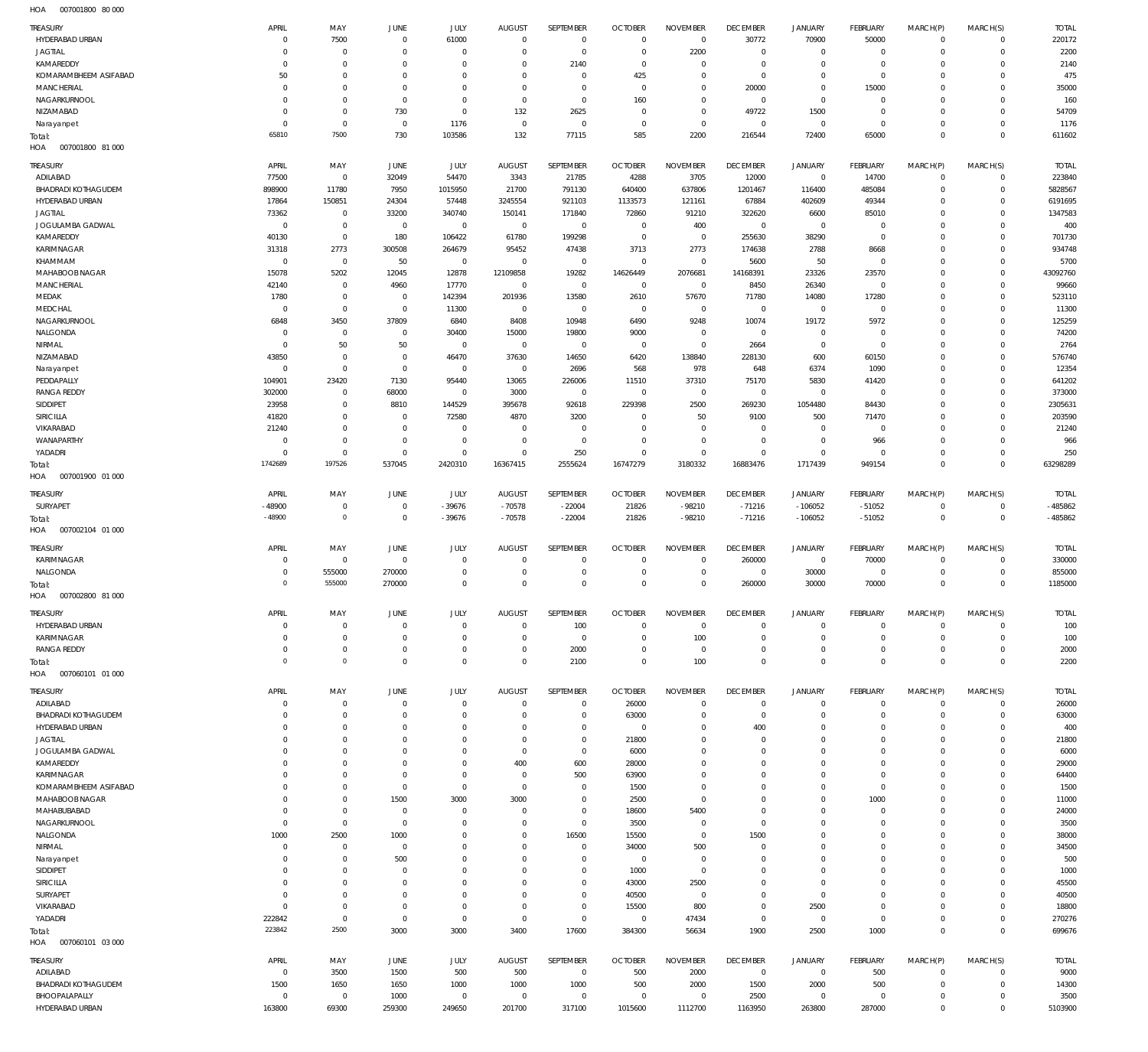007001800 80 000 HOA

| TREASURY                                      | APRIL                    | MAY                              | JUNE                       | <b>JULY</b>              | <b>AUGUST</b>             | SEPTEMBER                     | <b>OCTOBER</b>                   | <b>NOVEMBER</b>                   | <b>DECEMBER</b>           | JANUARY                     | FEBRUARY                   | MARCH(P)                   | MARCH(S)                   | <b>TOTAL</b>           |
|-----------------------------------------------|--------------------------|----------------------------------|----------------------------|--------------------------|---------------------------|-------------------------------|----------------------------------|-----------------------------------|---------------------------|-----------------------------|----------------------------|----------------------------|----------------------------|------------------------|
| HYDERABAD URBAN                               | $^{\circ}$               | 7500                             | $\mathbf 0$                | 61000                    | $\overline{0}$            | $\mathbf 0$                   | $\mathbf 0$                      | $\,0\,$                           | 30772                     | 70900                       | 50000                      | $\mathsf{O}$               | $\circ$                    | 220172                 |
| <b>JAGTIAL</b><br>KAMAREDDY                   | $^{\circ}$<br>$^{\circ}$ | $\overline{0}$<br>$\overline{0}$ | $\Omega$<br>$\Omega$       | $\Omega$<br>$\Omega$     | $\Omega$<br>$\Omega$      | $\mathbf 0$<br>2140           | $\overline{0}$<br>$\overline{0}$ | 2200<br>$\mathbf 0$               | $\mathbf 0$<br>$^{\circ}$ | $\mathbf 0$<br>$\mathbf 0$  | $\mathbf 0$<br>$\mathbf 0$ | $\mathbf 0$<br>$\mathbf 0$ | $\mathbf 0$<br>$\mathbf 0$ | 2200<br>2140           |
| KOMARAMBHEEM ASIFABAD                         | 50                       | $\,0\,$                          | $\Omega$                   | $\Omega$                 | $\Omega$                  | $\overline{0}$                | 425                              | $\mathbf 0$                       | $^{\circ}$                | $\mathbf 0$                 | $\mathbf 0$                | $\mathbf 0$                | $\mathbf 0$                | 475                    |
| MANCHERIAL                                    | $^{\circ}$               | $\mathbf 0$                      | $\Omega$                   | $\Omega$                 | $\Omega$                  | $\mathbf 0$                   | $\overline{0}$                   | $\mathbf 0$                       | 20000                     | $\mathbf 0$                 | 15000                      | $\Omega$                   | $\mathbf 0$                | 35000                  |
| NAGARKURNOOL                                  | $^{\circ}$               | $\mathbf 0$                      | $\Omega$                   | $\Omega$                 | $\Omega$                  | $\mathbf 0$                   | 160                              | $\mathbb O$                       | $\mathbb O$               | $\mathbf 0$                 | $\mathbf 0$                | $\mathbf 0$                | $\mathbf 0$                | 160                    |
| NIZAMABAD                                     | $^{\circ}$               | $\mathbb O$                      | 730                        | $\overline{0}$           | 132                       | 2625                          | $\overline{0}$                   | $\mathbb O$                       | 49722                     | 1500                        | $\mathbf 0$                | $\mathbf 0$                | $\mathbf 0$                | 54709                  |
| Narayanpet                                    | $\overline{0}$           | $\overline{0}$                   | $\overline{0}$             | 1176                     | $\overline{0}$            | $\overline{0}$                | $\mathbf 0$                      | $\,0\,$                           | $\mathbb O$               | $\mathbf 0$                 | $\mathbf 0$                | $\mathbf 0$                | $\mathbf 0$                | 1176                   |
| Total:<br>HOA<br>007001800 81 000             | 65810                    | 7500                             | 730                        | 103586                   | 132                       | 77115                         | 585                              | 2200                              | 216544                    | 72400                       | 65000                      | $\mathbf 0$                | $\mathbf 0$                | 611602                 |
|                                               |                          |                                  |                            |                          |                           |                               |                                  |                                   |                           |                             |                            |                            |                            |                        |
| TREASURY<br>ADILABAD                          | APRIL<br>77500           | MAY<br>$\overline{0}$            | JUNE<br>32049              | JULY<br>54470            | <b>AUGUST</b><br>3343     | SEPTEMBER<br>21785            | <b>OCTOBER</b><br>4288           | <b>NOVEMBER</b><br>3705           | <b>DECEMBER</b><br>12000  | JANUARY<br>$\mathbf 0$      | FEBRUARY<br>14700          | MARCH(P)<br>$\mathbf 0$    | MARCH(S)<br>$\mathbf 0$    | <b>TOTAL</b><br>223840 |
| <b>BHADRADI KOTHAGUDEM</b>                    | 898900                   | 11780                            | 7950                       | 1015950                  | 21700                     | 791130                        | 640400                           | 637806                            | 1201467                   | 116400                      | 485084                     | $\mathbf 0$                | $\mathbf 0$                | 5828567                |
| HYDERABAD URBAN                               | 17864                    | 150851                           | 24304                      | 57448                    | 3245554                   | 921103                        | 1133573                          | 121161                            | 67884                     | 402609                      | 49344                      | $\Omega$                   | $\mathbf 0$                | 6191695                |
| <b>JAGTIAL</b>                                | 73362                    | $\overline{0}$                   | 33200                      | 340740                   | 150141                    | 171840                        | 72860                            | 91210                             | 322620                    | 6600                        | 85010                      | $\Omega$                   | $\mathbf 0$                | 1347583                |
| JOGULAMBA GADWAL                              | $\mathbf 0$              | $\overline{0}$                   | $\overline{0}$             | $\overline{0}$           | $\overline{0}$            | $\mathbf 0$                   | $\mathbf 0$                      | 400                               | $\mathbb O$               | $\mathbf 0$                 | $\overline{0}$             | $\Omega$                   | $\mathbf 0$                | 400                    |
| KAMAREDDY<br>KARIMNAGAR                       | 40130<br>31318           | $\overline{0}$<br>2773           | 180<br>300508              | 106422<br>264679         | 61780<br>95452            | 199298<br>47438               | $\mathbf 0$<br>3713              | $\mathbb O$<br>2773               | 255630<br>174638          | 38290<br>2788               | $\overline{0}$<br>8668     | $\Omega$<br>$\Omega$       | $\mathbf 0$<br>$\Omega$    | 701730<br>934748       |
| KHAMMAM                                       | $^{\circ}$               | $\overline{0}$                   | 50                         | $\overline{0}$           | $\mathbf{0}$              | $\overline{0}$                | $^{\circ}$                       | $\mathbb O$                       | 5600                      | 50                          | $^{\circ}$                 | $\Omega$                   | $\mathbf 0$                | 5700                   |
| MAHABOOB NAGAR                                | 15078                    | 5202                             | 12045                      | 12878                    | 12109858                  | 19282                         | 14626449                         | 2076681                           | 14168391                  | 23326                       | 23570                      | $\Omega$                   | $\mathbf 0$                | 43092760               |
| MANCHERIAL                                    | 42140                    | $\overline{0}$                   | 4960                       | 17770                    | $\overline{0}$            | $\mathbf 0$                   | $\mathbf 0$                      | $\mathbb O$                       | 8450                      | 26340                       | $\mathbf 0$                | $\Omega$                   | $\mathbf 0$                | 99660                  |
| MEDAK                                         | 1780                     | $\mathbb O$                      | $\mathbf{0}$               | 142394                   | 201936                    | 13580                         | 2610                             | 57670                             | 71780                     | 14080                       | 17280                      | $\Omega$                   | $\mathbf 0$                | 523110                 |
| MEDCHAL                                       | $^{\circ}$               | $\overline{0}$                   | $\mathbb O$                | 11300                    | $\overline{0}$            | $\overline{0}$                | $\mathbf 0$                      | $\mathbb O$                       | $\mathbb O$               | $\mathbf 0$                 | $\mathbf 0$                | $\Omega$<br>$\Omega$       | $\Omega$                   | 11300                  |
| NAGARKURNOOL<br>NALGONDA                      | 6848<br>$\overline{0}$   | 3450<br>$\overline{0}$           | 37809<br>$\Omega$          | 6840<br>30400            | 8408<br>15000             | 10948<br>19800                | 6490<br>9000                     | 9248<br>$\mathbb O$               | 10074<br>$\mathbb O$      | 19172<br>$\mathbf 0$        | 5972<br>$\mathbf 0$        | $\Omega$                   | $\mathbf 0$<br>$\Omega$    | 125259<br>74200        |
| NIRMAL                                        | $\mathbf 0$              | 50                               | 50                         | $^{\circ}$               | $\overline{0}$            | $\overline{0}$                | $\mathbf 0$                      | $\mathbb O$                       | 2664                      | $\mathbf 0$                 | $\overline{0}$             | $\Omega$                   | $\mathbf 0$                | 2764                   |
| NIZAMABAD                                     | 43850                    | $\mathbf 0$                      | $\Omega$                   | 46470                    | 37630                     | 14650                         | 6420                             | 138840                            | 228130                    | 600                         | 60150                      | $\Omega$                   | $\Omega$                   | 576740                 |
| Narayanpet                                    | $^{\circ}$               | $\overline{0}$                   | $^{\circ}$                 | $\Omega$                 | $\overline{0}$            | 2696                          | 568                              | 978                               | 648                       | 6374                        | 1090                       | $\Omega$                   | $\mathbf 0$                | 12354                  |
| PEDDAPALLY                                    | 104901                   | 23420                            | 7130                       | 95440                    | 13065                     | 226006                        | 11510                            | 37310                             | 75170                     | 5830                        | 41420                      | $\Omega$                   | $\mathbf 0$                | 641202                 |
| <b>RANGA REDDY</b><br>SIDDIPET                | 302000<br>23958          | $\mathbf 0$<br>$\mathbf 0$       | 68000<br>8810              | $\overline{0}$<br>144529 | 3000<br>395678            | $\overline{0}$<br>92618       | $\mathbf 0$<br>229398            | $\mathbf 0$<br>2500               | $\mathbf 0$<br>269230     | $\mathbf 0$<br>1054480      | $\mathbf 0$<br>84430       | $\Omega$<br>$\Omega$       | $\mathbf 0$<br>$\mathbf 0$ | 373000<br>2305631      |
| SIRICILLA                                     | 41820                    | $\mathbf 0$                      | $\Omega$                   | 72580                    | 4870                      | 3200                          | $\Omega$                         | 50                                | 9100                      | 500                         | 71470                      | $\Omega$                   | $\mathbf 0$                | 203590                 |
| VIKARABAD                                     | 21240                    | $\mathbf 0$                      | $^{\circ}$                 | $\Omega$                 | $\Omega$                  | $\overline{0}$                | $^{\circ}$                       | $\mathbf 0$                       | $\overline{0}$            | $\mathbf 0$                 | $\mathbf 0$                | $\Omega$                   | $\mathbf 0$                | 21240                  |
| WANAPARTHY                                    | $^{\circ}$               | $\mathbf 0$                      | $\Omega$                   | $\Omega$                 | $\Omega$                  | $\mathbf 0$                   | $\overline{0}$                   | $\mathbf 0$                       | $\overline{0}$            | $\mathbf 0$                 | 966                        | $\Omega$                   | $\mathbf 0$                | 966                    |
| YADADRI                                       | $\Omega$                 | $\mathbf 0$                      | $\Omega$                   | $\Omega$                 | $\Omega$                  | 250                           | $^{\circ}$                       | $\mathbf 0$                       | $\overline{0}$            | $\mathbf 0$                 | $^{\circ}$                 | $\mathbf 0$                | $\mathbf 0$                | 250                    |
| Total:                                        | 1742689                  | 197526                           | 537045                     | 2420310                  | 16367415                  | 2555624                       | 16747279                         | 3180332                           | 16883476                  | 1717439                     | 949154                     | $\mathbf 0$                | $\mathbf 0$                | 63298289               |
| HOA<br>007001900 01 000                       |                          |                                  |                            |                          |                           |                               |                                  |                                   |                           |                             |                            |                            |                            |                        |
| TREASURY                                      | APRIL                    | MAY                              | <b>JUNE</b>                | <b>JULY</b>              | <b>AUGUST</b>             | SEPTEMBER                     | <b>OCTOBER</b>                   | <b>NOVEMBER</b>                   | <b>DECEMBER</b>           | JANUARY                     | FEBRUARY                   | MARCH(P)                   | MARCH(S)                   | <b>TOTAL</b>           |
| SURYAPET                                      | -48900<br>$-48900$       | $\overline{0}$<br>$\circ$        | $^{\circ}$<br>$\mathbf{0}$ | $-39676$<br>$-39676$     | $-70578$<br>$-70578$      | $-22004$<br>$-22004$          | 21826<br>21826                   | $-98210$<br>$-98210$              | $-71216$<br>$-71216$      | $-106052$<br>$-106052$      | $-51052$<br>$-51052$       | $^{\circ}$<br>$\mathbf 0$  | 0<br>$\mathbf 0$           | $-485862$<br>$-485862$ |
| Total:<br>007002104 01 000<br>HOA             |                          |                                  |                            |                          |                           |                               |                                  |                                   |                           |                             |                            |                            |                            |                        |
|                                               |                          |                                  |                            |                          |                           |                               |                                  |                                   |                           |                             |                            |                            |                            |                        |
| TREASURY<br>KARIMNAGAR                        | APRIL<br>$^{\circ}$      | MAY<br>$\overline{0}$            | JUNE<br>$^{\circ}$         | JULY<br>$\Omega$         | <b>AUGUST</b><br>$\Omega$ | SEPTEMBER<br>$\overline{0}$   | <b>OCTOBER</b><br>$^{\circ}$     | <b>NOVEMBER</b><br>$\overline{0}$ | <b>DECEMBER</b><br>260000 | JANUARY<br>$\mathbf 0$      | FEBRUARY<br>70000          | MARCH(P)<br>$^{\circ}$     | MARCH(S)<br>$\mathbf 0$    | <b>TOTAL</b><br>330000 |
| NALGONDA                                      | $^{\circ}$               | 555000                           | 270000                     | $\Omega$                 | $\Omega$                  | $\mathbf 0$                   | $\Omega$                         | $\mathbf 0$                       | $\overline{0}$            | 30000                       | $^{\circ}$                 | $\mathbf 0$                | $\mathbf 0$                | 855000                 |
| Total:                                        | $\Omega$                 | 555000                           | 270000                     | $\Omega$                 | $\Omega$                  | $\Omega$                      | $\Omega$                         | $\Omega$                          | 260000                    | 30000                       | 70000                      | $\Omega$                   | $\mathbf 0$                | 1185000                |
| 007002800 81 000<br>HOA                       |                          |                                  |                            |                          |                           |                               |                                  |                                   |                           |                             |                            |                            |                            |                        |
| TREASURY                                      | APRIL                    | MAY                              | JUNE                       | <b>JULY</b>              | <b>AUGUST</b>             | SEPTEMBER                     | OCTORER                          | <b>NOVEMBER</b>                   | <b>DECEMBER</b>           | <b>JANIJARY</b>             | <b>FEBRUARY</b>            | MARCH(P)                   | MARCH(S)                   | <b>TOTAL</b>           |
| HYDERABAD URBAN                               | 0                        | $\mathbf 0$                      | $\Omega$                   | $\Omega$                 | $\Omega$                  | 100                           | $\Omega$                         | $\overline{0}$                    | 0                         | $\mathbf 0$                 | 0                          | 0                          | $^{\circ}$                 | 100                    |
| KARIMNAGAR                                    | $\overline{0}$           | $\,0\,$                          | $\circ$                    |                          |                           |                               |                                  |                                   |                           |                             |                            |                            |                            |                        |
| <b>RANGA REDDY</b>                            |                          |                                  |                            | $\Omega$                 | $\Omega$                  | $\mathbf 0$                   | $\overline{0}$                   | 100                               | $\overline{0}$            | $\mathbf 0$                 | $^{\circ}$                 | $\mathbf 0$                | 0                          | 100                    |
|                                               | $\overline{0}$           | $\,0\,$                          | $\Omega$                   | $^{\circ}$               | $\Omega$                  | 2000                          | $\Omega$                         | $\,0\,$                           | $^{\circ}$                | $\mathbf 0$                 | $^{\circ}$                 | $\mathbf 0$                | 0                          | 2000                   |
| Total:                                        | $\overline{0}$           | $\mathbf 0$                      | $^{\circ}$                 | $\Omega$                 | $\Omega$                  | 2100                          | $\mathbf 0$                      | 100                               | $\mathbf 0$               | $\mathbf 0$                 | $\mathbf 0$                | $\mathbf 0$                | $\mathbf 0$                | 2200                   |
| HOA<br>007060101 01 000                       |                          |                                  |                            |                          |                           |                               |                                  |                                   |                           |                             |                            |                            |                            |                        |
| TREASURY                                      | APRIL                    | MAY                              | JUNE                       | JULY                     | <b>AUGUST</b>             | SEPTEMBER                     | <b>OCTOBER</b>                   | <b>NOVEMBER</b>                   | <b>DECEMBER</b>           | JANUARY                     | FEBRUARY                   | MARCH(P)                   | MARCH(S)                   | <b>TOTAL</b>           |
| ADILABAD                                      | $^{\circ}$<br>$\Omega$   | $\mathbf 0$                      | $\Omega$<br>$\Omega$       | $\Omega$<br>$\Omega$     | $\Omega$<br>$\Omega$      | $\overline{0}$                | 26000                            | $\Omega$                          | $\mathbf 0$               | $\mathbf 0$                 | $^{\circ}$<br>$^{\circ}$   | $\mathbf 0$<br>$\mathbf 0$ | $\mathbf 0$<br>$\mathbf 0$ | 26000                  |
| <b>BHADRADI KOTHAGUDEM</b><br>HYDERABAD URBAN | 0                        | $\mathbf 0$<br>$\mathbf{0}$      | $\Omega$                   | $\Omega$                 | $\Omega$                  | $\mathbf 0$<br>$\mathbf 0$    | 63000<br>$\overline{0}$          | $\mathbf 0$<br>$\mathbf 0$        | $\overline{0}$<br>400     | $\mathbf 0$<br>$\mathbf 0$  | 0                          | 0                          | $\mathbf 0$                | 63000<br>400           |
| <b>JAGTIAL</b>                                | $^{\circ}$               | $\mathbf 0$                      | $\Omega$                   | $\Omega$                 | $\Omega$                  | $\mathbf 0$                   | 21800                            | $\overline{0}$                    | $\overline{0}$            | $\mathbf 0$                 | $\Omega$                   | $\Omega$                   | $\mathbf 0$                | 21800                  |
| JOGULAMBA GADWAL                              | 0                        | $\mathbf{0}$                     | $\Omega$                   | $\Omega$                 | $\Omega$                  | $\mathbf 0$                   | 6000                             | $\mathbf 0$                       | 0                         | $^{\circ}$                  | 0                          | $\Omega$                   | $\mathbf 0$                | 6000                   |
| KAMAREDDY                                     | $\Omega$                 | $\mathbf{0}$                     | $\Omega$                   | $\Omega$                 | 400                       | 600                           | 28000                            | $\Omega$                          | $\mathbf{0}$              | $\mathbf{0}$                | $\Omega$                   | $\Omega$                   | $\mathbf 0$                | 29000                  |
| KARIMNAGAR                                    | 0<br>$\Omega$            | $\mathbf{0}$                     | $\Omega$<br>$\Omega$       | $\Omega$<br>$\Omega$     | $\mathbf{0}$<br>$\Omega$  | 500                           | 63900                            | $\mathbf 0$                       | 0<br>$\mathbf{0}$         | $\mathbf{0}$                | 0<br>$^{\circ}$            | $\Omega$<br>$\Omega$       | $\mathbf 0$<br>$\mathbf 0$ | 64400                  |
| KOMARAMBHEEM ASIFABAD<br>MAHABOOB NAGAR       | $^{\circ}$               | $\mathbf 0$<br>$\,0\,$           | 1500                       | 3000                     | 3000                      | $\overline{0}$<br>$\mathbf 0$ | 1500<br>2500                     | $\mathbf 0$<br>$\mathbf 0$        | $\mathbf{0}$              | $\mathbf 0$<br>$\mathbf{0}$ | 1000                       | $\Omega$                   | $\mathbf 0$                | 1500<br>11000          |
| MAHABUBABAD                                   | $^{\circ}$               | $\mathbf 0$                      | $^{\circ}$                 | $\Omega$                 | $\Omega$                  | $\overline{0}$                | 18600                            | 5400                              | $\circ$                   | $\mathbf 0$                 | 0                          | $\Omega$                   | $\mathbf 0$                | 24000                  |
| NAGARKURNOOL                                  | $\overline{0}$           | $\overline{0}$                   | $\Omega$                   | $\Omega$                 | $\Omega$                  | $\mathbf 0$                   | 3500                             | $\overline{0}$                    | $\overline{0}$            | $\mathbf{0}$                | 0                          | $\Omega$                   | $\mathbf 0$                | 3500                   |
| NALGONDA                                      | 1000                     | 2500                             | 1000                       | $\Omega$                 | $\Omega$                  | 16500                         | 15500                            | $\mathbf 0$                       | 1500                      | $\mathbf{0}$                | 0                          | $\Omega$                   | $\mathbf 0$                | 38000                  |
| NIRMAL                                        | $^{\circ}$               | $\overline{0}$                   | $\Omega$                   | $\Omega$                 | $\Omega$                  | $\overline{0}$                | 34000                            | 500                               | $\overline{0}$            | $\mathbf 0$                 | 0                          | $\Omega$                   | $\mathbf 0$                | 34500                  |
| Narayanpet<br>SIDDIPET                        | $^{\circ}$<br>- 0        | $\mathbf 0$<br>$\mathbf{0}$      | 500<br>$\Omega$            | $\Omega$<br>$\Omega$     | $\Omega$<br>$\Omega$      | $\overline{0}$<br>$\mathbf 0$ | $^{\circ}$<br>1000               | $\overline{0}$<br>$\mathbf 0$     | $\mathbf{0}$<br>0         | $\mathbf{0}$<br>$^{\circ}$  | 0<br>$\Omega$              | $\Omega$<br>$\Omega$       | $\mathbf 0$<br>$\mathbf 0$ | 500<br>1000            |
| SIRICILLA                                     | $\overline{0}$           | $\mathbf 0$                      | $\Omega$                   | $\Omega$                 | $\Omega$                  | $\overline{0}$                | 43000                            | 2500                              | $\overline{0}$            | $\mathbf 0$                 | 0                          | $\mathbf 0$                | $\mathbf 0$                | 45500                  |
| SURYAPET                                      | $^{\circ}$               | $\mathbf 0$                      | $\Omega$                   | $\Omega$                 | $\Omega$                  | $\mathbf 0$                   | 40500                            | $\overline{0}$                    | $\mathbf{0}$              | $\mathbf 0$                 | $\Omega$                   | $\Omega$                   | $\mathbf 0$                | 40500                  |
| VIKARABAD                                     | $\mathbf 0$              | $\mathbb O$                      | $\Omega$                   | $\Omega$                 | $\Omega$                  | $\mathbf 0$                   | 15500                            | 800                               | $\overline{0}$            | 2500                        | 0                          | $\Omega$                   | $\mathbf 0$                | 18800                  |
| YADADRI                                       | 222842                   | $\overline{0}$                   | $^{\circ}$                 | $^{\circ}$               | $\mathbf{0}$              | $\mathbf 0$                   | $\overline{0}$                   | 47434                             | $^{\circ}$                | $\mathbf 0$                 | $\mathbf 0$                | $\mathbf 0$                | 0                          | 270276                 |
| Total:<br>HOA<br>007060101 03 000             | 223842                   | 2500                             | 3000                       | 3000                     | 3400                      | 17600                         | 384300                           | 56634                             | 1900                      | 2500                        | 1000                       | $\mathbf 0$                | $\mathbf 0$                | 699676                 |
|                                               |                          |                                  |                            |                          |                           |                               |                                  |                                   |                           |                             |                            |                            |                            |                        |
| TREASURY                                      | APRIL                    | MAY                              | JUNE                       | <b>JULY</b>              | <b>AUGUST</b>             | SEPTEMBER                     | <b>OCTOBER</b>                   | <b>NOVEMBER</b>                   | <b>DECEMBER</b>           | JANUARY                     | FEBRUARY                   | MARCH(P)                   | MARCH(S)                   | <b>TOTAL</b>           |
| ADILABAD<br><b>BHADRADI KOTHAGUDEM</b>        | $\overline{0}$<br>1500   | 3500<br>1650                     | 1500<br>1650               | 500<br>1000              | 500<br>1000               | $\overline{0}$<br>1000        | 500<br>500                       | 2000<br>2000                      | $\,0\,$<br>1500           | $\mathbf 0$<br>2000         | 500<br>500                 | 0<br>$\mathbf 0$           | 0<br>0                     | 9000<br>14300          |
| BHOOPALAPALLY                                 | $\overline{0}$           | $\overline{0}$                   | 1000                       | $\mathbf 0$              | $\overline{0}$            | $\overline{0}$                | $^{\circ}$                       | $\,0\,$                           | 2500                      | $\mathbf 0$                 | 0                          | 0                          | 0                          | 3500                   |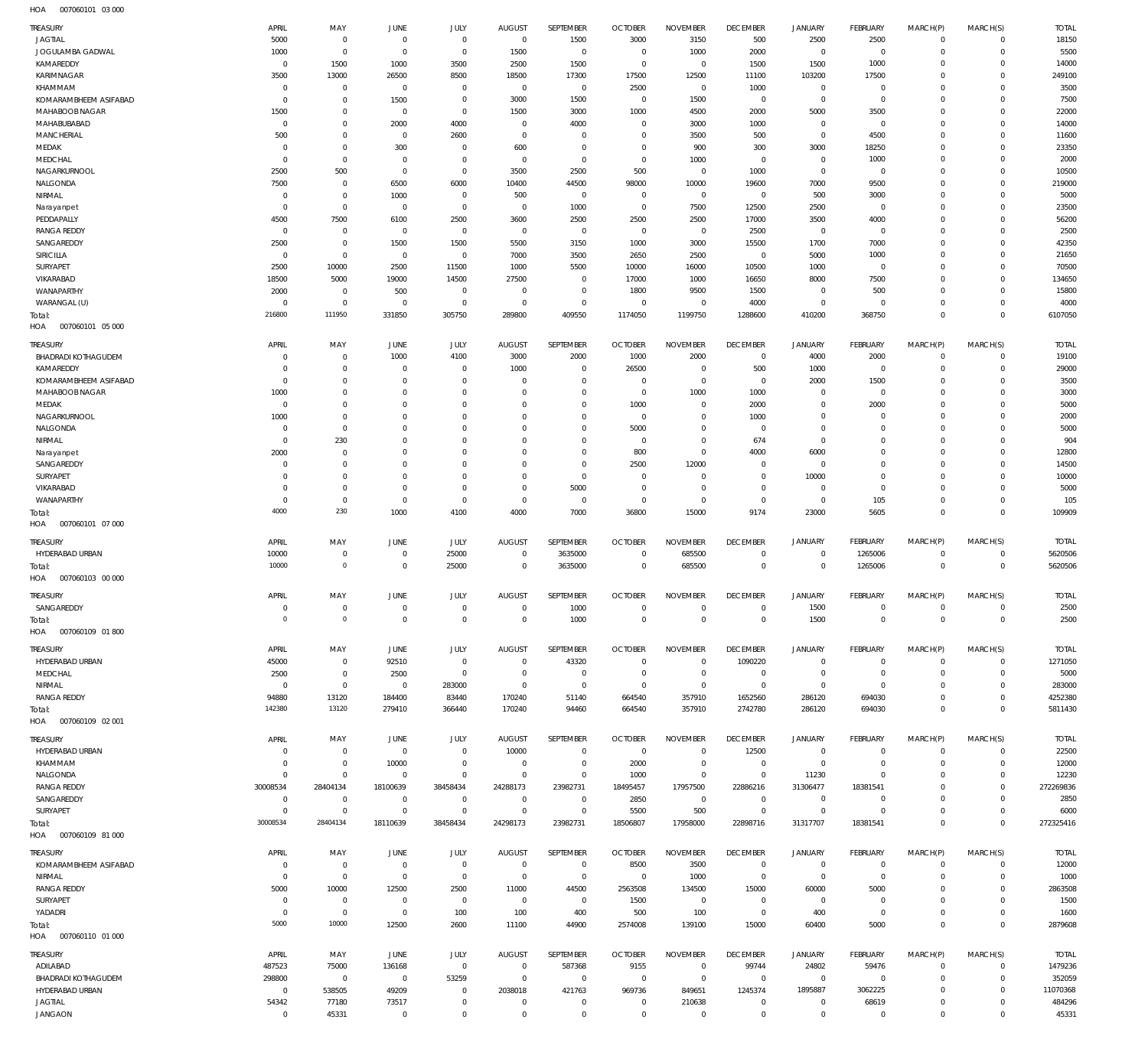| TREASURY                          | APRIL                      | MAY                           | JUNE                             | JULY                          | <b>AUGUST</b>                    | SEPTEMBER                     | <b>OCTOBER</b>         | <b>NOVEMBER</b>       | <b>DECEMBER</b>                  | <b>JANUARY</b>         | FEBRUARY                         | MARCH(P)                | MARCH(S)                   | <b>TOTAL</b>      |
|-----------------------------------|----------------------------|-------------------------------|----------------------------------|-------------------------------|----------------------------------|-------------------------------|------------------------|-----------------------|----------------------------------|------------------------|----------------------------------|-------------------------|----------------------------|-------------------|
| <b>JAGTIAL</b>                    | 5000                       | $^{\circ}$                    | $\overline{0}$                   | $\mathbf 0$                   | $\overline{0}$                   | 1500                          | 3000                   | 3150                  | 500                              | 2500                   | 2500                             | $^{\circ}$              | $\mathbf 0$                | 18150             |
| JOGULAMBA GADWAL                  | 1000                       | $\mathbf 0$                   | $\overline{0}$                   | $\mathbf 0$                   | 1500                             | $\mathbf 0$                   | $\overline{0}$         | 1000                  | 2000                             | $\mathbf 0$            | $\overline{0}$                   | $\Omega$                | $\Omega$                   | 5500              |
| KAMAREDDY                         | $^{\circ}$                 | 1500                          | 1000                             | 3500                          | 2500                             | 1500                          | $\overline{0}$         | $\Omega$              | 1500                             | 1500                   | 1000                             | $\Omega$                | $\Omega$                   | 14000             |
| KARIMNAGAR                        | 3500                       | 13000                         | 26500                            | 8500                          | 18500                            | 17300                         | 17500                  | 12500                 | 11100                            | 103200                 | 17500                            | $\Omega$                | $\Omega$                   | 249100            |
| KHAMMAM                           | $^{\circ}$                 | $\mathbf{0}$                  | $\overline{0}$                   | $\Omega$                      | $^{\circ}$                       | $\mathbf 0$                   | 2500                   | $\mathbf 0$           | 1000                             | $\mathbf 0$            | $\overline{0}$                   | $\Omega$                | $\Omega$                   | 3500              |
| KOMARAMBHEEM ASIFABAD             | $\Omega$                   | $\Omega$                      | 1500                             | $\mathbf 0$                   | 3000                             | 1500                          | $\overline{0}$         | 1500                  | $\mathbf 0$                      | $\mathbf 0$            | $\overline{0}$                   | $\Omega$                | $\Omega$                   | 7500              |
| MAHABOOB NAGAR<br>MAHABUBABAD     | 1500<br>$^{\circ}$         | $\mathbf 0$<br>$\mathbf 0$    | $\overline{0}$                   | $\mathbf 0$                   | 1500<br>$^{\circ}$               | 3000<br>4000                  | 1000<br>$\overline{0}$ | 4500<br>3000          | 2000                             | 5000<br>$\mathbf 0$    | 3500<br>$\overline{0}$           | $\Omega$<br>$\Omega$    | $\Omega$<br>$\Omega$       | 22000             |
| <b>MANCHERIAL</b>                 | 500                        | $\mathbf 0$                   | 2000<br>$\overline{0}$           | 4000<br>2600                  | $\mathbf 0$                      | $\mathbf 0$                   | $\overline{0}$         | 3500                  | 1000<br>500                      | $\mathbf 0$            | 4500                             | $\Omega$                | $\Omega$                   | 14000<br>11600    |
| MEDAK                             | $\Omega$                   | $\mathbf 0$                   | 300                              | $\Omega$                      | 600                              | $\Omega$                      | $\overline{0}$         | 900                   | 300                              | 3000                   | 18250                            | $\Omega$                | $\Omega$                   | 23350             |
| MEDCHAL                           | $\Omega$                   | $\mathbf 0$                   | $\overline{0}$                   | $\mathbf 0$                   | $^{\circ}$                       | $\mathbf 0$                   | $\overline{0}$         | 1000                  | $\mathbf 0$                      | $\mathbf 0$            | 1000                             | $\Omega$                | $\Omega$                   | 2000              |
| NAGARKURNOOL                      | 2500                       | 500                           | $\overline{0}$                   | $\mathbf 0$                   | 3500                             | 2500                          | 500                    | $\mathbf 0$           | 1000                             | $\mathbf 0$            | $\overline{0}$                   | $\Omega$                | $\Omega$                   | 10500             |
| NALGONDA                          | 7500                       | $\mathbf{0}$                  | 6500                             | 6000                          | 10400                            | 44500                         | 98000                  | 10000                 | 19600                            | 7000                   | 9500                             | $\Omega$                | $\Omega$                   | 219000            |
| NIRMAL                            | $\mathbf 0$                | $\mathbf 0$                   | 1000                             | $\mathbf 0$                   | 500                              | $\mathbf 0$                   | $\overline{0}$         | $\mathbf 0$           | $\mathbf 0$                      | 500                    | 3000                             | $\Omega$                | $\Omega$                   | 5000              |
| Narayanpet                        | $\Omega$                   | $\mathbf 0$                   | $\overline{0}$                   | $\mathbf 0$                   | $^{\circ}$                       | 1000                          | $\overline{0}$         | 7500                  | 12500                            | 2500                   | $\overline{0}$                   | $\Omega$                | $\Omega$                   | 23500             |
| PEDDAPALLY                        | 4500                       | 7500                          | 6100                             | 2500                          | 3600                             | 2500                          | 2500                   | 2500                  | 17000                            | 3500                   | 4000                             | $\Omega$                | $\Omega$                   | 56200             |
| <b>RANGA REDDY</b>                | $^{\circ}$                 | $\mathbf{0}$                  | $\overline{0}$                   | $\mathbf 0$                   | $^{\circ}$                       | $\mathbf 0$                   | $\overline{0}$         | $\mathbf 0$           | 2500                             | $\mathbf 0$            | $\overline{0}$                   | $\Omega$                | $\Omega$                   | 2500              |
| SANGAREDDY                        | 2500                       | $\Omega$                      | 1500                             | 1500                          | 5500                             | 3150                          | 1000                   | 3000                  | 15500                            | 1700                   | 7000                             | $\Omega$                | $\Omega$                   | 42350             |
| <b>SIRICILLA</b>                  | $^{\circ}$                 | $\mathbf{0}$                  | $\overline{0}$                   | $\mathbf 0$                   | 7000                             | 3500                          | 2650                   | 2500                  | $\mathbf 0$                      | 5000                   | 1000                             | $\Omega$                | $\Omega$                   | 21650             |
| SURYAPET                          | 2500                       | 10000                         | 2500                             | 11500                         | 1000                             | 5500                          | 10000                  | 16000                 | 10500                            | 1000                   | $\overline{0}$                   | $\Omega$                | $\Omega$                   | 70500             |
| VIKARABAD                         | 18500                      | 5000                          | 19000                            | 14500                         | 27500                            | $\mathbf 0$                   | 17000                  | 1000                  | 16650                            | 8000                   | 7500                             | $\Omega$                | $\Omega$                   | 134650            |
| WANAPARTHY                        | 2000                       | $\mathbf{0}$                  | 500                              | $\mathbf 0$                   | $^{\circ}$                       | $\mathbf 0$                   | 1800                   | 9500                  | 1500                             | $\mathbf 0$            | 500                              | $\Omega$                | $\Omega$                   | 15800             |
| WARANGAL (U)                      | $\Omega$<br>216800         | $\mathbf 0$<br>111950         | $\overline{0}$                   | $\mathbf 0$                   | $\mathbf 0$                      | $\mathbf 0$                   | $\overline{0}$         | $\mathbf 0$           | 4000                             | $\mathbf 0$            | $^{\circ}$                       | $\Omega$<br>$\Omega$    | $\Omega$<br>$\Omega$       | 4000              |
| Total:<br>HOA<br>007060101 05 000 |                            |                               | 331850                           | 305750                        | 289800                           | 409550                        | 1174050                | 1199750               | 1288600                          | 410200                 | 368750                           |                         |                            | 6107050           |
| TREASURY                          | APRIL                      | MAY                           | JUNE                             | JULY                          | <b>AUGUST</b>                    | SEPTEMBER                     | <b>OCTOBER</b>         | <b>NOVEMBER</b>       | <b>DECEMBER</b>                  | <b>JANUARY</b>         | <b>FEBRUARY</b>                  | MARCH(P)                | MARCH(S)                   | <b>TOTAL</b>      |
| <b>BHADRADI KOTHAGUDEM</b>        | $\overline{0}$             | $\mathbf 0$                   | 1000                             | 4100                          | 3000                             | 2000                          | 1000                   | 2000                  | $\mathbf 0$                      | 4000                   | 2000                             | $^{\circ}$              | $^{\circ}$                 | 19100             |
| KAMAREDDY                         | $\Omega$                   | $\mathbf 0$                   | $\overline{0}$                   | $\mathbf 0$                   | 1000                             | $\mathbf 0$                   | 26500                  | $\mathbf 0$           | 500                              | 1000                   | $\overline{0}$                   | $\Omega$                | $^{\circ}$                 | 29000             |
| KOMARAMBHEEM ASIFABAD             | $\overline{0}$             | $\mathbf 0$                   | $\overline{0}$                   | $\mathbf 0$                   | $^{\circ}$                       | $\mathbf 0$                   | $\overline{0}$         | $\mathbf 0$           | $\overline{0}$                   | 2000                   | 1500                             | $\Omega$                | $\Omega$                   | 3500              |
| MAHABOOB NAGAR                    | 1000                       | $\mathbf 0$                   | $\overline{0}$                   | $\Omega$                      | $\Omega$                         | $\mathbf 0$                   | $\overline{0}$         | 1000                  | 1000                             | 0                      | $\overline{0}$                   | $\Omega$                | $^{\circ}$                 | 3000              |
| MEDAK                             | $^{\circ}$                 | $\Omega$                      | $\overline{0}$                   | $\Omega$                      | $\Omega$                         | $\Omega$                      | 1000                   | $\mathbf 0$           | 2000                             | $\mathbf 0$            | 2000                             | $\Omega$                | $\Omega$                   | 5000              |
| NAGARKURNOOL                      | 1000                       | $\mathbf 0$                   | $\overline{0}$                   | $\Omega$                      | $\Omega$                         | $\mathbf 0$                   | $\overline{0}$         | $\mathbf 0$           | 1000                             | $\mathbf 0$            | $\overline{0}$                   | $\Omega$                | $\Omega$                   | 2000              |
| NALGONDA                          | $\overline{0}$             | $\mathbf 0$                   | $\mathbf 0$                      | $\Omega$                      | $\Omega$                         | $\Omega$                      | 5000                   | $\mathbf 0$           | $\mathbf 0$                      | $\mathbf 0$            | $^{\circ}$                       | $\Omega$                | $\Omega$                   | 5000              |
| NIRMAL                            | $^{\circ}$                 | 230                           | $^{\circ}$                       | $\Omega$                      | $\Omega$                         | $\Omega$                      | $\overline{0}$         | $\Omega$              | 674                              | $\mathbf 0$            | $\Omega$                         | $\Omega$                | $\Omega$                   | 904               |
| Narayanpet                        | 2000                       | $\mathbf{0}$                  | $^{\circ}$                       | $\Omega$                      | $\Omega$                         | $\mathbf 0$                   | 800                    | $\mathbf 0$           | 4000                             | 6000                   | $^{\circ}$                       | $\Omega$                | $\Omega$                   | 12800             |
| SANGAREDDY                        | $\mathbf 0$                | $\mathbf{0}$                  | $\overline{0}$                   | $\Omega$                      | $\Omega$                         | $\mathbf 0$                   | 2500                   | 12000                 | $\mathbf 0$                      | $\bf 0$                | $\Omega$                         | $\Omega$                | $\Omega$                   | 14500             |
| SURYAPET                          | $\overline{0}$             | $\mathbf 0$                   | $\overline{0}$                   | $\Omega$                      | $\Omega$                         | $\mathbf 0$                   | $\overline{0}$         | $\mathbf 0$           | $\Omega$                         | 10000                  | $\Omega$                         | $\Omega$                | $\Omega$                   | 10000             |
| VIKARABAD                         | $\mathbf 0$                | $\mathbf 0$                   | $\overline{0}$                   | $\Omega$                      | $\mathbf 0$                      | 5000                          | $\overline{0}$         | $\mathbf 0$           | $\mathbf 0$                      | 0                      | $^{\circ}$                       | $\Omega$                | $^{\circ}$                 | 5000              |
| WANAPARTHY                        | $\overline{0}$             | $\mathbf{0}$                  | $\overline{0}$                   | $^{\circ}$                    | $\overline{0}$                   | $^{\circ}$                    | $\overline{0}$         | $\mathbf 0$           | $\overline{0}$                   | $\mathbf 0$            | 105                              | $\mathbf 0$             | $^{\circ}$                 | 105               |
| Total:                            | 4000                       | 230                           | 1000                             | 4100                          | 4000                             | 7000                          | 36800                  | 15000                 | 9174                             | 23000                  | 5605                             | $\mathbf 0$             | $\mathbf 0$                | 109909            |
| 007060101 07 000<br>HOA           |                            |                               |                                  |                               |                                  |                               |                        |                       |                                  |                        |                                  |                         |                            |                   |
| <b>TREASURY</b>                   | <b>APRIL</b>               | MAY                           | <b>JUNE</b>                      | JULY                          | <b>AUGUST</b>                    | SEPTEMBER                     | <b>OCTOBER</b>         | <b>NOVEMBER</b>       | <b>DECEMBER</b>                  | <b>JANUARY</b>         | FEBRUARY                         | MARCH(P)                | MARCH(S)                   | <b>TOTAL</b>      |
| HYDERABAD URBAN                   | 10000                      | $\mathbf 0$                   | $\mathbf 0$                      | 25000                         | $\mathbf 0$                      | 3635000                       | $\overline{0}$         | 685500                | $\mathbf 0$                      | $\mathbf 0$            | 1265006                          | $\Omega$                | $\mathbf 0$                | 5620506           |
| Total:                            | 10000                      | $\mathbf 0$                   | $\overline{0}$                   | 25000                         | $^{\circ}$                       | 3635000                       | $\overline{0}$         | 685500                | $\mathbf 0$                      | $\mathbf 0$            | 1265006                          | $\mathbf 0$             | $\mathbf 0$                | 5620506           |
| HOA<br>007060103 00 000           |                            |                               |                                  |                               |                                  |                               |                        |                       |                                  |                        |                                  |                         |                            |                   |
| <b>TREASURY</b>                   | APRIL                      | MAY                           | <b>JUNE</b>                      | JULY                          | <b>AUGUST</b>                    | SEPTEMBER                     | <b>OCTOBER</b>         | <b>NOVEMBER</b>       | <b>DECEMBER</b>                  | <b>JANUARY</b>         | <b>FEBRUARY</b>                  | MARCH(P)                | MARCH(S)                   | <b>TOTAL</b>      |
| SANGAREDDY                        | $\Omega$                   | $\Omega$                      | $\Omega$                         | $\Omega$                      | $\Omega$                         | 1000                          | $\Omega$               | $\Omega$              | $\Omega$                         | 1500                   | $\Omega$                         | $\Omega$                | $\Omega$                   | 2500              |
| Total:                            | $\mathbb O$                | $\mathbf 0$                   | $\overline{0}$                   | $\overline{0}$                | $\overline{0}$                   | 1000                          | $\overline{0}$         | $\mathsf{O}\xspace$   | $\,0\,$                          | 1500                   | $\,0\,$                          | $\mathbf 0$             | $\mathbb O$                | 2500              |
| HOA<br>007060109 01 800           |                            |                               |                                  |                               |                                  |                               |                        |                       |                                  |                        |                                  |                         |                            |                   |
| TREASURY                          | APRIL                      | MAY                           | JUNE                             | JULY                          | <b>AUGUST</b>                    | SEPTEMBER                     | <b>OCTOBER</b>         | <b>NOVEMBER</b>       | <b>DECEMBER</b>                  | <b>JANUARY</b>         | <b>FEBRUARY</b>                  | MARCH(P)                | MARCH(S)                   | <b>TOTAL</b>      |
| HYDERABAD URBAN                   | 45000                      | $\mathbf{0}$                  | 92510                            | $\overline{0}$                | $\overline{0}$                   | 43320                         | $\overline{0}$         | $\Omega$              | 1090220                          | $^{\circ}$             | $\overline{0}$                   | $\mathbf 0$             | $\mathbf 0$                | 1271050           |
| MEDCHAL                           | 2500                       | $\mathbf 0$                   | 2500                             | $\overline{0}$                | $\overline{0}$                   | $\mathbf 0$                   | $\overline{0}$         | $\mathbf 0$           | $\overline{0}$                   | $\bf 0$                | $\overline{0}$                   | $^{\circ}$              | $\mathbf 0$                | 5000              |
| NIRMAL                            | $\mathbf 0$                | $\mathbf 0$                   | $\overline{0}$                   | 283000                        | $\overline{0}$                   | $\mathbf 0$                   | $\overline{0}$         | $\mathbf 0$           | $\mathbf 0$                      | $\mathbf 0$            | $\overline{0}$                   | $\Omega$                | $\Omega$                   | 283000            |
| <b>RANGA REDDY</b>                | 94880                      | 13120                         | 184400                           | 83440                         | 170240                           | 51140                         | 664540                 | 357910                | 1652560                          | 286120                 | 694030                           | $\Omega$                | $\mathbf 0$                | 4252380           |
| Total:                            | 142380                     | 13120                         | 279410                           | 366440                        | 170240                           | 94460                         | 664540                 | 357910                | 2742780                          | 286120                 | 694030                           | $\mathbf 0$             | $\mathbf 0$                | 5811430           |
| HOA   007060109   02   001        |                            |                               |                                  |                               |                                  |                               |                        |                       |                                  |                        |                                  |                         |                            |                   |
| TREASURY                          | APRIL                      | MAY                           | JUNE                             | JULY                          | <b>AUGUST</b>                    | SEPTEMBER                     | <b>OCTOBER</b>         | <b>NOVEMBER</b>       | <b>DECEMBER</b>                  | <b>JANUARY</b>         | <b>FEBRUARY</b>                  | MARCH(P)                | MARCH(S)                   | <b>TOTAL</b>      |
| HYDERABAD URBAN                   | $^{\circ}$                 | $\mathbf 0$                   | $\overline{0}$                   | $\overline{0}$                | 10000                            | $\overline{0}$                | $\overline{0}$         | $\mathbf 0$           | 12500                            | $\mathbf 0$            | $\overline{0}$                   | $^{\circ}$              | $\mathbf 0$                | 22500             |
| KHAMMAM                           | $^{\circ}$                 | $\mathbf 0$                   | 10000                            | $\overline{0}$                | $\overline{0}$                   | $\mathbf 0$                   | 2000                   | $\mathbf 0$           | $\overline{0}$                   | $\mathbb O$            | $\overline{0}$                   | $\mathbf 0$             | $\mathbf 0$                | 12000             |
| NALGONDA                          | $\mathbf 0$                | $\mathbf 0$                   | $\overline{0}$                   | $\mathbf 0$                   | $\overline{0}$                   | $\mathbf 0$                   | 1000                   | $\mathbf 0$           | $\overline{0}$                   | 11230                  | $^{\circ}$                       | $\Omega$                | $\mathbf 0$                | 12230             |
| <b>RANGA REDDY</b>                | 30008534                   | 28404134                      | 18100639                         | 38458434                      | 24288173                         | 23982731                      | 18495457               | 17957500              | 22886216                         | 31306477               | 18381541                         | $\Omega$                | $\mathbf 0$                | 272269836         |
| SANGAREDDY<br>SURYAPET            | $\mathbf 0$<br>$\mathbf 0$ | $\overline{0}$<br>$\mathbf 0$ | $\overline{0}$<br>$\overline{0}$ | $\overline{0}$<br>$\mathbf 0$ | $\overline{0}$<br>$\overline{0}$ | $\overline{0}$<br>$\mathbf 0$ | 2850<br>5500           | $\overline{0}$<br>500 | $\overline{0}$<br>$\overline{0}$ | $\,0\,$<br>$\mathbb O$ | $\overline{0}$<br>$\overline{0}$ | $\Omega$<br>$\mathbf 0$ | $\mathbf 0$<br>$\mathbf 0$ | 2850              |
| Total:                            | 30008534                   | 28404134                      | 18110639                         | 38458434                      | 24298173                         | 23982731                      | 18506807               | 17958000              | 22898716                         | 31317707               | 18381541                         | $\mathbf 0$             | $\Omega$                   | 6000<br>272325416 |
| HOA   007060109   81   000        |                            |                               |                                  |                               |                                  |                               |                        |                       |                                  |                        |                                  |                         |                            |                   |
| TREASURY                          | APRIL                      | MAY                           | JUNE                             | JULY                          | <b>AUGUST</b>                    | SEPTEMBER                     | <b>OCTOBER</b>         | <b>NOVEMBER</b>       | <b>DECEMBER</b>                  | <b>JANUARY</b>         | <b>FEBRUARY</b>                  | MARCH(P)                |                            | <b>TOTAL</b>      |
| KOMARAMBHEEM ASIFABAD             | $^{\circ}$                 | $\mathbf 0$                   | $\overline{0}$                   | $\overline{0}$                | $\overline{0}$                   | $\overline{0}$                | 8500                   | 3500                  | $\mathbf 0$                      | 0                      | $\overline{0}$                   | $^{\circ}$              | MARCH(S)<br>$\mathbf 0$    | 12000             |
| NIRMAL                            | $\overline{0}$             | $\overline{0}$                | $\overline{0}$                   | $\overline{0}$                | $\overline{0}$                   | $\mathbf 0$                   | $\overline{0}$         | 1000                  | $^{\circ}$                       | $\mathbf 0$            | $\overline{0}$                   | $\Omega$                | $\mathbf 0$                | 1000              |
| <b>RANGA REDDY</b>                | 5000                       | 10000                         | 12500                            | 2500                          | 11000                            | 44500                         | 2563508                | 134500                | 15000                            | 60000                  | 5000                             | $\Omega$                | $\mathbf 0$                | 2863508           |
| SURYAPET                          | $^{\circ}$                 | $\mathbf 0$                   | $\overline{0}$                   | $\mathbf 0$                   | $\overline{0}$                   | $\overline{0}$                | 1500                   | $\mathbf 0$           | $\mathbf 0$                      | $\mathbf 0$            | $\overline{0}$                   | $\Omega$                | $\Omega$                   | 1500              |
| YADADRI                           | $\overline{0}$             | $\overline{0}$                | $\overline{0}$                   | 100                           | 100                              | 400                           | 500                    | 100                   | $^{\circ}$                       | 400                    | $\overline{0}$                   | $\Omega$                | $\mathbf 0$                | 1600              |
| Total:                            | 5000                       | 10000                         | 12500                            | 2600                          | 11100                            | 44900                         | 2574008                | 139100                | 15000                            | 60400                  | 5000                             | $\mathbf 0$             | $\mathbf 0$                | 2879608           |
| HOA   007060110   01   000        |                            |                               |                                  |                               |                                  |                               |                        |                       |                                  |                        |                                  |                         |                            |                   |
| TREASURY                          | APRIL                      | MAY                           | JUNE                             | JULY                          | <b>AUGUST</b>                    | SEPTEMBER                     | <b>OCTOBER</b>         | <b>NOVEMBER</b>       | <b>DECEMBER</b>                  | <b>JANUARY</b>         | <b>FEBRUARY</b>                  | MARCH(P)                | MARCH(S)                   | TOTAL             |
| ADILABAD                          | 487523                     | 75000                         | 136168                           | $\overline{0}$                | $\overline{0}$                   | 587368                        | 9155                   | $\mathbf 0$           | 99744                            | 24802                  | 59476                            | $^{\circ}$              | $\mathbf 0$                | 1479236           |
| <b>BHADRADI KOTHAGUDEM</b>        | 298800                     | $\overline{0}$                | $\overline{0}$                   | 53259                         | $\overline{0}$                   | $\overline{0}$                | $\overline{0}$         | $\mathbf{0}$          | $\overline{0}$                   | $\mathbf 0$            | $\overline{0}$                   | $\mathbf 0$             | $^{\circ}$                 | 352059            |
| HYDERABAD URBAN                   | $\overline{0}$             | 538505                        | 49209                            | $\overline{0}$                | 2038018                          | 421763                        | 969736                 | 849651                | 1245374                          | 1895887                | 3062225                          | $^{\circ}$              | $\mathbf 0$                | 11070368          |
| <b>JAGTIAL</b>                    | 54342                      | 77180                         | 73517                            | $\mathbf 0$                   | $\overline{0}$                   | $\mathbf 0$                   | $\overline{0}$         | 210638                | $\overline{0}$                   | $\mathbb O$            | 68619                            | $\mathbf 0$             | $\mathbf 0$                | 484296            |
| <b>JANGAON</b>                    | $\mathbf 0$                | 45331                         | $\overline{0}$                   | $\mathbf 0$                   | $\overline{0}$                   | $\mathbf 0$                   | $\overline{0}$         | $\bf 0$               | $\mathbf 0$                      | $\mathbf 0$            | $\overline{0}$                   | $\mathbf 0$             | $\mathbf 0$                | 45331             |
|                                   |                            |                               |                                  |                               |                                  |                               |                        |                       |                                  |                        |                                  |                         |                            |                   |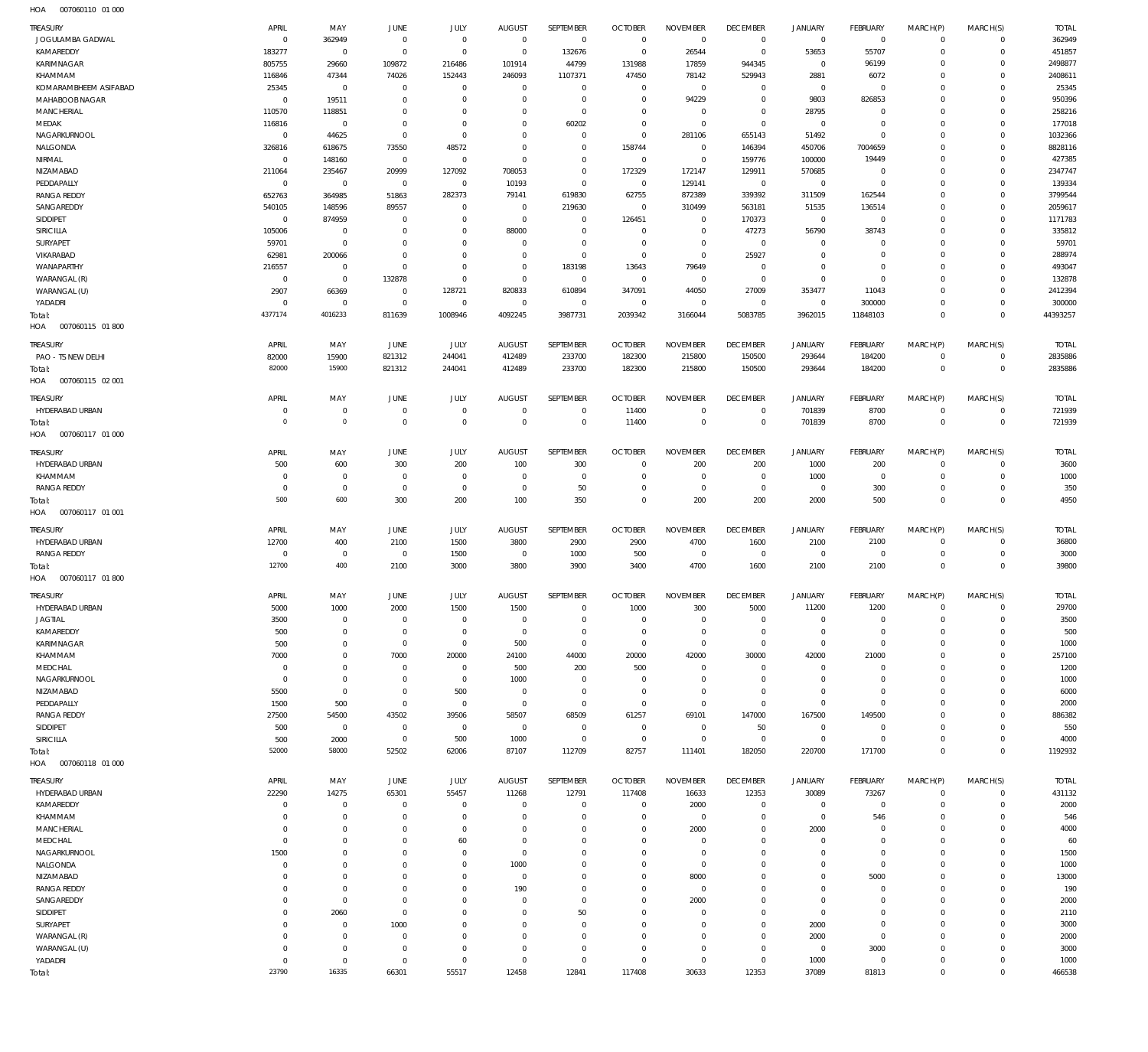| <b>TREASURY</b>                         | APRIL                      | MAY                        | <b>JUNE</b>                | JULY                       | <b>AUGUST</b>                    | SEPTEMBER                     | <b>OCTOBER</b>                   | <b>NOVEMBER</b>                  | <b>DECEMBER</b>                  | JANUARY                          | <b>FEBRUARY</b>             | MARCH(P)                 | MARCH(S)                | <b>TOTAL</b>            |
|-----------------------------------------|----------------------------|----------------------------|----------------------------|----------------------------|----------------------------------|-------------------------------|----------------------------------|----------------------------------|----------------------------------|----------------------------------|-----------------------------|--------------------------|-------------------------|-------------------------|
| JOGULAMBA GADWAL<br>KAMAREDDY           | $^{\circ}$<br>183277       | 362949<br>$\mathbf 0$      | $\circ$<br>$\circ$         | $\mathbf 0$<br>$\mathbf 0$ | $\overline{0}$<br>$\overline{0}$ | $\overline{0}$<br>132676      | $\overline{0}$<br>$\overline{0}$ | $\overline{0}$<br>26544          | $\overline{0}$<br>$\overline{0}$ | $\mathsf 0$<br>53653             | $\overline{0}$<br>55707     | $\Omega$<br>$\Omega$     | $\Omega$<br>$\circ$     | 362949<br>451857        |
| KARIMNAGAR                              | 805755                     | 29660                      | 109872                     | 216486                     | 101914                           | 44799                         | 131988                           | 17859                            | 944345                           | $\overline{0}$                   | 96199                       | $\Omega$                 | $\Omega$                | 2498877                 |
| KHAMMAM                                 | 116846                     | 47344                      | 74026                      | 152443                     | 246093                           | 1107371                       | 47450                            | 78142                            | 529943                           | 2881                             | 6072                        | $\Omega$                 | $\Omega$                | 2408611                 |
| KOMARAMBHEEM ASIFABAD<br>MAHABOOB NAGAR | 25345<br>$\overline{0}$    | $\mathbf 0$<br>19511       | $^{\circ}$<br>$^{\circ}$   | $\mathbf 0$<br>$\mathbf 0$ | $\mathbf{0}$<br>$\mathbf 0$      | $\mathbf{0}$<br>$\mathbf 0$   | $\overline{0}$<br>$\overline{0}$ | $\overline{0}$<br>94229          | $\mathbf{0}$<br>$\mathbf{0}$     | $\overline{0}$<br>9803           | $\circ$<br>826853           | $\Omega$<br>$\Omega$     | $\Omega$<br>$\Omega$    | 25345<br>950396         |
| <b>MANCHERIAL</b>                       | 110570                     | 118851                     | $^{\circ}$                 | $\mathbf 0$                | $\Omega$                         | $\mathbf 0$                   | $\overline{0}$                   | $^{\circ}$                       | $\mathbf{0}$                     | 28795                            | $^{\circ}$                  | $\Omega$                 | $\Omega$                | 258216                  |
| MEDAK                                   | 116816                     | $\mathbf 0$                | $^{\circ}$                 | $\mathbf 0$                | $\Omega$                         | 60202                         | $\overline{0}$                   | $\overline{0}$                   | $\overline{0}$                   | $\mathsf 0$                      | $\mathbf 0$                 | $\Omega$                 | $\Omega$                | 177018                  |
| NAGARKURNOOL                            | $\mathbf 0$                | 44625                      | $\mathbf 0$                | $\mathbf 0$                | $\Omega$                         | $\mathbf 0$                   | $\overline{0}$                   | 281106                           | 655143                           | 51492                            | $\mathbf 0$                 | $\Omega$                 | $\Omega$                | 1032366                 |
| NALGONDA<br>NIRMAL                      | 326816<br>$^{\circ}$       | 618675<br>148160           | 73550<br>$\overline{0}$    | 48572<br>$\mathbb O$       | $\mathbf 0$<br>$\overline{0}$    | $\mathbf 0$<br>$\mathbf 0$    | 158744<br>$\overline{0}$         | $\overline{0}$<br>$\overline{0}$ | 146394<br>159776                 | 450706<br>100000                 | 7004659<br>19449            | $\Omega$<br>$\Omega$     | $\Omega$<br>$\Omega$    | 8828116<br>427385       |
| NIZAMABAD                               | 211064                     | 235467                     | 20999                      | 127092                     | 708053                           | $\mathbf 0$                   | 172329                           | 172147                           | 129911                           | 570685                           | $\circ$                     | $\Omega$                 | $\Omega$                | 2347747                 |
| PEDDAPALLY                              | $^{\circ}$                 | $\mathbf 0$                | $\overline{0}$             | $\mathbb O$                | 10193                            | $\mathbf 0$                   | $\overline{0}$                   | 129141                           | $\overline{0}$                   | $\mathsf 0$                      | $\overline{0}$              | $\Omega$                 | $\Omega$                | 139334                  |
| <b>RANGA REDDY</b><br>SANGAREDDY        | 652763<br>540105           | 364985<br>148596           | 51863                      | 282373<br>$\mathbf 0$      | 79141<br>$\overline{0}$          | 619830                        | 62755<br>$\overline{0}$          | 872389<br>310499                 | 339392<br>563181                 | 311509<br>51535                  | 162544<br>136514            | $\Omega$<br>$\Omega$     | $\Omega$<br>$\Omega$    | 3799544<br>2059617      |
| SIDDIPET                                | $\mathbf 0$                | 874959                     | 89557<br>$\circ$           | $\mathbf 0$                | $\overline{0}$                   | 219630<br>$\overline{0}$      | 126451                           | $\overline{0}$                   | 170373                           | $\overline{0}$                   | $\mathbf 0$                 | $\Omega$                 | $\Omega$                | 1171783                 |
| SIRICILLA                               | 105006                     | $\mathbf 0$                | $^{\circ}$                 | $\mathbf 0$                | 88000                            | $\mathbf 0$                   | $\overline{0}$                   | $\overline{0}$                   | 47273                            | 56790                            | 38743                       | $\Omega$                 | $\Omega$                | 335812                  |
| SURYAPET                                | 59701                      | $\mathbf 0$                | $^{\circ}$                 | $\mathbf 0$                | $\mathbf 0$                      | $\mathbf 0$                   | $\overline{0}$                   | $\overline{0}$                   | $\mathbf 0$                      | $\overline{0}$                   | $\mathbf 0$                 | $\Omega$                 | $\Omega$                | 59701                   |
| VIKARABAD<br>WANAPARTHY                 | 62981<br>216557            | 200066<br>$\mathbf 0$      | $\Omega$<br>$^{\circ}$     | $\Omega$<br>$\mathbf 0$    | $\mathbf 0$<br>$\mathbf 0$       | $\mathbf{0}$<br>183198        | $\overline{0}$<br>13643          | $\overline{0}$<br>79649          | 25927<br>$\overline{0}$          | $\overline{0}$<br>$\mathbf 0$    | $\mathbf 0$<br>$\mathbf{0}$ | $\Omega$<br>$\Omega$     | $\Omega$<br>$\Omega$    | 288974<br>493047        |
| WARANGAL (R)                            | $^{\circ}$                 | $\mathbf 0$                | 132878                     | $\mathbf 0$                | $\mathbf{0}$                     | $\mathbf 0$                   | $\overline{0}$                   | $\overline{0}$                   | $\overline{0}$                   | $\overline{0}$                   | $\mathbf 0$                 | $\Omega$                 | $\Omega$                | 132878                  |
| WARANGAL (U)                            | 2907                       | 66369                      | $\mathbf 0$                | 128721                     | 820833                           | 610894                        | 347091                           | 44050                            | 27009                            | 353477                           | 11043                       | $\Omega$                 | $\Omega$                | 2412394                 |
| YADADRI                                 | $\Omega$                   | $\mathbf{0}$               | $\circ$                    | $\mathbf 0$                | $\overline{0}$                   | $\overline{0}$                | $\overline{0}$                   | $^{\circ}$                       | $\overline{0}$                   | $\overline{0}$                   | 300000                      | $\Omega$                 | $\circ$                 | 300000                  |
| Total:<br>HOA<br>007060115 01 800       | 4377174                    | 4016233                    | 811639                     | 1008946                    | 4092245                          | 3987731                       | 2039342                          | 3166044                          | 5083785                          | 3962015                          | 11848103                    | $\Omega$                 | $\mathbb O$             | 44393257                |
|                                         |                            |                            |                            |                            |                                  |                               |                                  |                                  |                                  |                                  |                             |                          |                         |                         |
| TREASURY<br>PAO - TS NEW DELHI          | APRIL<br>82000             | MAY<br>15900               | JUNE<br>821312             | <b>JULY</b><br>244041      | <b>AUGUST</b><br>412489          | SEPTEMBER<br>233700           | <b>OCTOBER</b><br>182300         | <b>NOVEMBER</b><br>215800        | <b>DECEMBER</b><br>150500        | <b>JANUARY</b><br>293644         | <b>FEBRUARY</b><br>184200   | MARCH(P)<br>$^{\circ}$   | MARCH(S)<br>$\mathbf 0$ | <b>TOTAL</b><br>2835886 |
| Total:                                  | 82000                      | 15900                      | 821312                     | 244041                     | 412489                           | 233700                        | 182300                           | 215800                           | 150500                           | 293644                           | 184200                      | $\Omega$                 | $\mathbb O$             | 2835886                 |
| HOA<br>007060115 02 001                 |                            |                            |                            |                            |                                  |                               |                                  |                                  |                                  |                                  |                             |                          |                         |                         |
| TREASURY                                | APRIL                      | MAY                        | JUNE                       | <b>JULY</b>                | <b>AUGUST</b>                    | SEPTEMBER                     | <b>OCTOBER</b>                   | <b>NOVEMBER</b>                  | <b>DECEMBER</b>                  | <b>JANUARY</b>                   | <b>FEBRUARY</b>             | MARCH(P)                 | MARCH(S)                | <b>TOTAL</b>            |
| HYDERABAD URBAN                         | $\mathsf{C}$               | $\mathbf 0$                | $\mathbf 0$                | $\mathbf 0$                | $\mathbf 0$                      | $\mathbf 0$                   | 11400                            | $\overline{0}$                   | $\overline{0}$                   | 701839                           | 8700                        | $\Omega$                 | $\mathbf 0$             | 721939                  |
| Total:<br>HOA<br>007060117 01 000       | $^{\circ}$                 | $\mathsf{O}\xspace$        | $\overline{0}$             | $\mathbf 0$                | $\mathbf 0$                      | $\mathbf 0$                   | 11400                            | $\overline{0}$                   | $\mathbf 0$                      | 701839                           | 8700                        | $\overline{0}$           | $\mathbb O$             | 721939                  |
|                                         |                            |                            |                            |                            |                                  |                               |                                  |                                  |                                  |                                  |                             |                          |                         |                         |
| <b>TREASURY</b><br>HYDERABAD URBAN      | APRIL<br>500               | MAY<br>600                 | JUNE<br>300                | <b>JULY</b><br>200         | <b>AUGUST</b><br>100             | SEPTEMBER<br>300              | <b>OCTOBER</b><br>$^{\circ}$     | <b>NOVEMBER</b><br>200           | <b>DECEMBER</b><br>200           | JANUARY<br>1000                  | <b>FEBRUARY</b><br>200      | MARCH(P)<br>$\Omega$     | MARCH(S)<br>$\mathbf 0$ | <b>TOTAL</b><br>3600    |
| KHAMMAM                                 | C                          | $^{\circ}$                 | $^{\circ}$                 | $^{\circ}$                 | $\mathbf 0$                      | $\overline{0}$                | $\overline{0}$                   | $^{\circ}$                       | $\mathbf 0$                      | 1000                             | $\overline{0}$              | $\Omega$                 | $\Omega$                | 1000                    |
| <b>RANGA REDDY</b>                      | $\Omega$                   | $\mathbf 0$                | $\mathbf 0$                | $\mathbf 0$                | $\mathbf 0$                      | 50                            | $\mathbf 0$                      | $\Omega$                         | $\mathbf 0$                      | $\overline{0}$                   | 300                         | $\Omega$                 | $\Omega$                | 350                     |
| Total:<br>HOA<br>007060117 01 001       | 500                        | 600                        | 300                        | 200                        | 100                              | 350                           | $\overline{0}$                   | 200                              | 200                              | 2000                             | 500                         | $\Omega$                 | $\mathbb O$             | 4950                    |
|                                         |                            |                            |                            |                            |                                  |                               |                                  |                                  |                                  |                                  |                             |                          |                         |                         |
| TREASURY<br>HYDERABAD URBAN             | APRIL<br>12700             | MAY<br>400                 | <b>JUNE</b><br>2100        | JULY<br>1500               | <b>AUGUST</b><br>3800            | SEPTEMBER<br>2900             | <b>OCTOBER</b><br>2900           | <b>NOVEMBER</b><br>4700          | <b>DECEMBER</b><br>1600          | <b>JANUARY</b><br>2100           | <b>FEBRUARY</b><br>2100     | MARCH(P)<br>$\Omega$     | MARCH(S)<br>$\mathbf 0$ | <b>TOTAL</b><br>36800   |
| <b>RANGA REDDY</b>                      | $\overline{0}$             | $\mathbf 0$                | $\circ$                    | 1500                       | $\overline{0}$                   | 1000                          | 500                              | $^{\circ}$                       | $\overline{0}$                   | $\overline{0}$                   | $\overline{0}$              | $\Omega$                 | $\mathbf 0$             | 3000                    |
| Total:                                  | 12700                      | 400                        | 2100                       | 3000                       | 3800                             | 3900                          | 3400                             | 4700                             | 1600                             | 2100                             | 2100                        | $\overline{0}$           | $\mathbf 0$             | 39800                   |
| HOA<br>007060117 01 800                 |                            |                            |                            |                            |                                  |                               |                                  |                                  |                                  |                                  |                             |                          |                         |                         |
| TREASURY                                | APRIL                      | MAY                        | JUNE                       | <b>JULY</b>                | <b>AUGUST</b>                    | SEPTEMBER                     | <b>OCTOBER</b>                   | <b>NOVEMBER</b>                  | <b>DECEMBER</b>                  | <b>JANUARY</b>                   | <b>FEBRUARY</b>             | MARCH(P)                 | MARCH(S)                | <b>TOTAL</b>            |
| HYDERABAD URBAN                         | 5000                       | 1000<br>$\overline{0}$     | 2000<br>$^{\circ}$         | 1500<br>$^{\circ}$         | 1500<br>$\mathbf 0$              | $\Omega$<br>$\mathbf 0$       | 1000<br>$\mathbf 0$              | 300<br>$\mathbf 0$               | 5000<br>$\mathbf 0$              | 11200<br>$\mathbf 0$             | 1200<br>$^{\circ}$          | $\mathbf{0}$<br>$\Omega$ | $\circ$<br>$\Omega$     | 29700                   |
| <b>JAGTIAL</b><br>KAMAREDDY             | 3500<br>500                | $\mathbf 0$                | $\mathbf 0$                | $\mathbf 0$                | $\mathbf 0$                      | $\mathbf 0$                   | $\overline{0}$                   | $\Omega$                         | $\mathbf 0$                      | $\mathbf 0$                      | $\mathbf 0$                 | $\Omega$                 | $\Omega$                | 3500<br>500             |
| KARIMNAGAR                              | 500                        | $\mathbf{0}$               | $\mathbf 0$                | $\mathbf 0$                | 500                              | $\mathbf 0$                   | $\overline{0}$                   | $\overline{0}$                   | $\mathbf{0}$                     | $\overline{0}$                   | $\mathbf 0$                 | $\Omega$                 | $\Omega$                | 1000                    |
| KHAMMAM                                 | 7000                       | $\mathbf 0$                | 7000                       | 20000                      | 24100                            | 44000                         | 20000                            | 42000                            | 30000                            | 42000                            | 21000                       | $\Omega$                 | $\Omega$                | 257100                  |
| MEDCHAL<br>NAGARKURNOOL                 | $\overline{0}$<br>$\Omega$ | $^{\circ}$<br>$\mathbf{0}$ | $\mathbf 0$<br>$^{\circ}$  | $\mathbf 0$<br>$\mathbf 0$ | 500<br>1000                      | 200<br>$\mathbf 0$            | 500<br>$\overline{0}$            | $\mathbf 0$<br>$\Omega$          | $^{\circ}$<br>$\mathbf{0}$       | $\mathbf 0$<br>$\Omega$          | $^{\circ}$<br>$^{\circ}$    | $\Omega$<br>$\Omega$     | $\Omega$<br>$\Omega$    | 1200<br>1000            |
| NIZAMABAD                               | 5500                       | $\mathbf{0}$               | $^{\circ}$                 | 500                        | $^{\circ}$                       | $\mathbf 0$                   | $\overline{0}$                   | $\Omega$                         | $\mathbf{0}$                     | $\mathbf 0$                      | $\circ$                     | $\Omega$                 | $\Omega$                | 6000                    |
| PEDDAPALLY                              | 1500                       | 500                        | $^{\circ}$                 | $\mathbf 0$                | $\mathbf 0$                      | $\mathbf 0$                   | $\overline{0}$                   | $\Omega$                         | $\mathbf{0}$                     | $\mathbf 0$                      | $\mathbf{0}$                | $\Omega$                 | $\Omega$                | 2000                    |
| <b>RANGA REDDY</b>                      | 27500                      | 54500                      | 43502                      | 39506                      | 58507                            | 68509                         | 61257                            | 69101                            | 147000                           | 167500                           | 149500                      | $\Omega$                 | $\Omega$                | 886382                  |
| SIDDIPET<br>SIRICILLA                   | 500<br>500                 | $\mathbf 0$<br>2000        | $\mathbf 0$<br>$\mathbf 0$ | $^{\circ}$<br>500          | $\mathbf 0$<br>1000              | $\mathbf 0$<br>$\mathbf 0$    | $\overline{0}$<br>$\overline{0}$ | $^{\circ}$<br>$\overline{0}$     | 50<br>$\overline{0}$             | $\overline{0}$<br>$\overline{0}$ | $\circ$<br>$\mathbf 0$      | $\Omega$<br>$\Omega$     | $\Omega$<br>$\Omega$    | 550<br>4000             |
| Total:                                  | 52000                      | 58000                      | 52502                      | 62006                      | 87107                            | 112709                        | 82757                            | 111401                           | 182050                           | 220700                           | 171700                      | $\Omega$                 | $\overline{0}$          | 1192932                 |
| HOA<br>007060118 01 000                 |                            |                            |                            |                            |                                  |                               |                                  |                                  |                                  |                                  |                             |                          |                         |                         |
| TREASURY                                | APRIL                      | MAY                        | <b>JUNE</b>                | JULY                       | <b>AUGUST</b>                    | SEPTEMBER                     | <b>OCTOBER</b>                   | <b>NOVEMBER</b>                  | <b>DECEMBER</b>                  | <b>JANUARY</b>                   | FEBRUARY                    | MARCH(P)                 | MARCH(S)                | <b>TOTAL</b>            |
| HYDERABAD URBAN                         | 22290                      | 14275                      | 65301                      | 55457                      | 11268                            | 12791                         | 117408                           | 16633                            | 12353                            | 30089                            | 73267                       | $^{\circ}$               | $\mathbf 0$             | 431132                  |
| KAMAREDDY<br>KHAMMAM                    | C<br>C                     | $\mathbf 0$<br>$\mathbf 0$ | $^{\circ}$<br>$^{\circ}$   | $^{\circ}$<br>$\mathbf 0$  | $\mathbf 0$<br>$\mathbf 0$       | $\overline{0}$<br>$\mathbf 0$ | $\overline{0}$<br>$\overline{0}$ | 2000<br>$\overline{0}$           | $\mathbf 0$<br>$\mathbf{0}$      | $\overline{0}$<br>$\overline{0}$ | $\overline{0}$<br>546       | $\Omega$<br>$\Omega$     | $\mathbf 0$<br>$\Omega$ | 2000<br>546             |
| <b>MANCHERIAL</b>                       | 0                          | $\mathbf 0$                | $^{\circ}$                 | $\mathbf 0$                | $\Omega$                         | $\mathbf 0$                   | $\overline{0}$                   | 2000                             | $\mathbf 0$                      | 2000                             | $\mathbb O$                 | $\Omega$                 | $\Omega$                | 4000                    |
| MEDCHAL                                 | $^{\circ}$                 | $\mathbf 0$                | $^{\circ}$                 | 60                         | $\mathbf 0$                      | $\mathbf 0$                   | $\overline{0}$                   | $^{\circ}$                       | $\mathbf{0}$                     | $\mathbf 0$                      | $\mathbf 0$                 | $\Omega$                 | $\Omega$                | 60                      |
| NAGARKURNOOL                            | 1500                       | $\mathbf 0$                | $^{\circ}$                 | $\Omega$                   | $\mathbf{0}$                     | $\Omega$                      | $\overline{0}$                   | $\mathbf 0$                      | $\mathbf{0}$                     | $\mathbf 0$                      | $\mathbf 0$                 | $\Omega$                 | $\Omega$                | 1500                    |
| NALGONDA<br>NIZAMABAD                   | $\overline{0}$<br>$\Omega$ | $\mathbf 0$<br>$\mathbf 0$ | $^{\circ}$<br>$^{\circ}$   | $\mathbf 0$<br>$\Omega$    | 1000<br>$\overline{0}$           | $\mathbf 0$<br>$\Omega$       | $\overline{0}$<br>$\overline{0}$ | $\mathbf 0$<br>8000              | $\mathbf{0}$<br>$\mathbf{0}$     | $\mathbf 0$<br>$\mathbf 0$       | $\mathbf 0$<br>5000         | $\Omega$<br>$\Omega$     | $\Omega$<br>$\Omega$    | 1000<br>13000           |
| <b>RANGA REDDY</b>                      | $\Omega$                   | $\mathbf 0$                | $^{\circ}$                 | $\mathbf 0$                | 190                              | $\mathbf 0$                   | $\overline{0}$                   | $\overline{0}$                   | $\mathbf{0}$                     | $\mathbf 0$                      | $\mathbf 0$                 | $\Omega$                 | $\Omega$                | 190                     |
| SANGAREDDY                              | $\Omega$                   | $\mathbf 0$                | $\Omega$                   | $\Omega$                   | $\Omega$                         | $\Omega$                      | $\overline{0}$                   | 2000                             | $\mathbf 0$                      | $\mathbf 0$                      | $\mathbf 0$                 | $\Omega$                 | $\Omega$                | 2000                    |
| SIDDIPET                                | $\Omega$                   | 2060                       | $\circ$                    | $\mathbf 0$                | $\Omega$                         | 50                            | $\overline{0}$                   | $\mathbf 0$                      | $\mathbf{0}$                     | $\circ$                          | $\mathbf 0$                 | $\Omega$                 | $\Omega$                | 2110                    |
| SURYAPET<br>WARANGAL (R)                | $\Omega$<br>$\Omega$       | $\mathbf 0$<br>$\mathbf 0$ | 1000<br>$^{\circ}$         | $\mathbf 0$<br>$\mathbf 0$ | $\Omega$<br>$\mathbf 0$          | $\mathbf 0$<br>$\mathbf 0$    | $\overline{0}$<br>$\overline{0}$ | $\mathbf 0$<br>$\mathbf 0$       | $\mathbf 0$<br>$\mathbf{0}$      | 2000<br>2000                     | $\mathbf 0$<br>$\mathbb O$  | $\Omega$<br>$\Omega$     | $\Omega$<br>$\Omega$    | 3000<br>2000            |
| WARANGAL (U)                            | $\Omega$                   | $\mathbf 0$                | $^{\circ}$                 | $\mathbf 0$                | $\mathbf 0$                      | $\mathbf 0$                   | $\overline{0}$                   | $\mathbf 0$                      | $\mathbf{0}$                     | $\mathsf 0$                      | 3000                        | $\Omega$                 | $\Omega$                | 3000                    |
| YADADRI                                 | $\overline{0}$             | $\mathbf 0$                | $^{\circ}$                 | $\mathbf 0$                | $\mathbf{0}$                     | $\mathbf 0$                   | $\overline{0}$                   | $\mathbf 0$                      | $\overline{0}$                   | 1000                             | $\overline{0}$              | $\Omega$                 | $\Omega$                | 1000                    |
| Total:                                  | 23790                      | 16335                      | 66301                      | 55517                      | 12458                            | 12841                         | 117408                           | 30633                            | 12353                            | 37089                            | 81813                       | $\mathbf 0$              | $\mathbb O$             | 466538                  |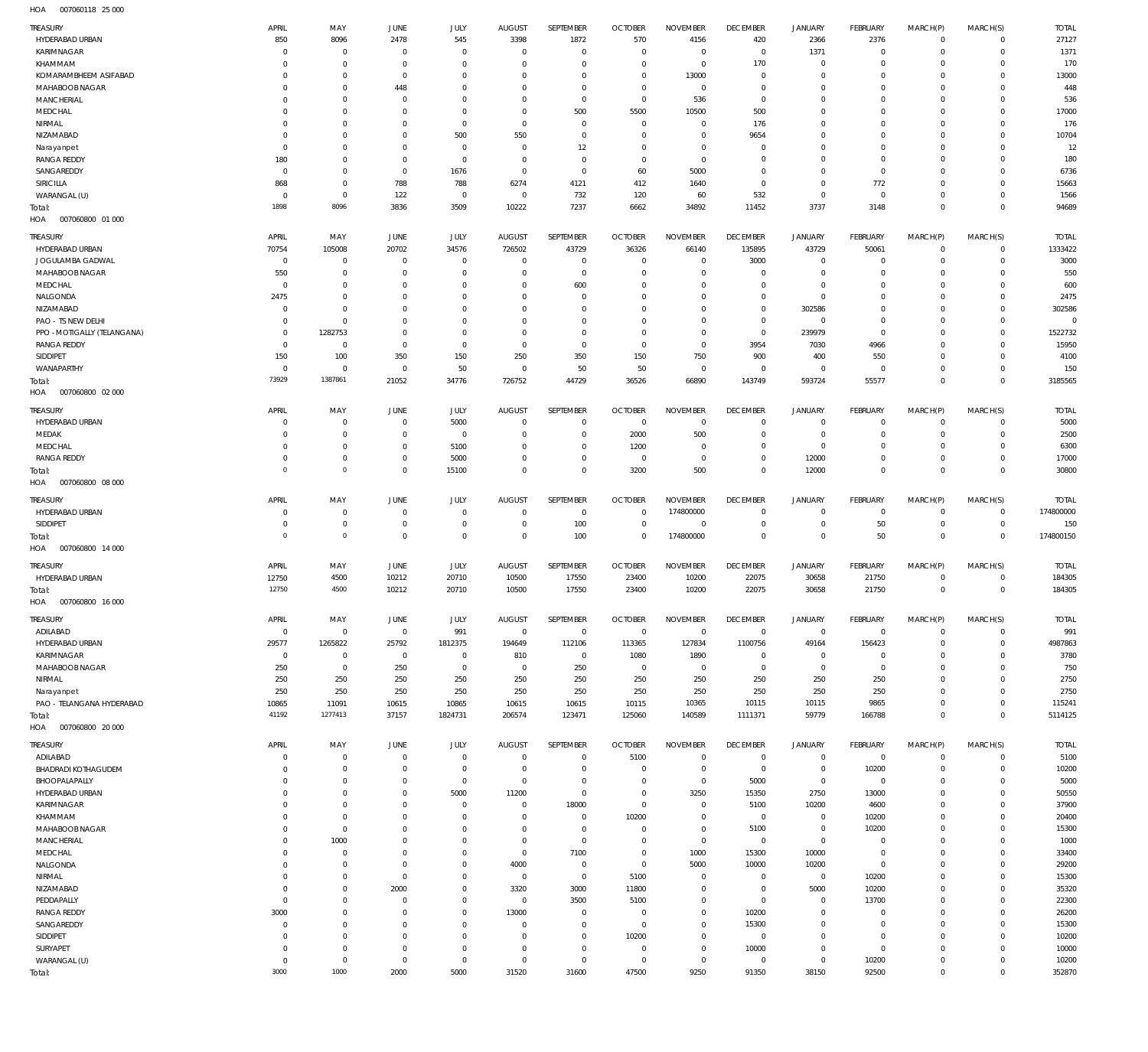007060118 25 000 HOA

| TREASURY                                          | APRIL                            | MAY                         | <b>JUNE</b>                      | JULY                       | AUGUST                     | SEPTEMBER                  | <b>OCTOBER</b>                   | <b>NOVEMBER</b>               | <b>DECEMBER</b>              | <b>JANUARY</b>                   | FEBRUARY                   | MARCH(P)             | MARCH(S)                | <b>TOTAL</b>            |
|---------------------------------------------------|----------------------------------|-----------------------------|----------------------------------|----------------------------|----------------------------|----------------------------|----------------------------------|-------------------------------|------------------------------|----------------------------------|----------------------------|----------------------|-------------------------|-------------------------|
| HYDERABAD URBAN                                   | 850                              | 8096                        | 2478                             | 545                        | 3398                       | 1872                       | 570                              | 4156                          | 420                          | 2366                             | 2376                       | $\circ$              | $\Omega$                | 27127                   |
| KARIMNAGAR                                        | $\overline{0}$                   | $^{\circ}$                  | $\overline{0}$                   | $\mathbf 0$                | $\overline{0}$             | $^{\circ}$                 | $\overline{0}$                   | $^{\circ}$                    | $\overline{0}$               | 1371                             | $^{\circ}$                 | $\Omega$             | $\mathbf 0$             | 1371                    |
| KHAMMAM                                           | $^{\circ}$                       | $\mathbf 0$                 | $\overline{0}$                   | 0                          | $\overline{0}$             | $\mathbf 0$                | $\overline{0}$                   | $^{\circ}$                    | 170                          | $^{\circ}$                       | $^{\circ}$                 |                      | $\Omega$                | 170                     |
| KOMARAMBHEEM ASIFABAD                             | $^{\circ}$                       | $\mathbf 0$                 | $\overline{0}$                   | 0                          | $\Omega$                   | $\mathbf 0$                | $\overline{0}$                   | 13000                         | $^{\circ}$                   | - 0                              | $^{\circ}$                 |                      | $\Omega$                | 13000                   |
| MAHABOOB NAGAR                                    | $^{\circ}$                       | $\mathbf 0$                 | 448                              | O                          | $\Omega$<br>$\Omega$       | $\mathbf 0$                | $\overline{0}$                   | $^{\circ}$                    | $\overline{0}$               | - 0                              | $^{\circ}$                 |                      | $\Omega$<br>$\Omega$    | 448                     |
| MANCHERIAL<br>MEDCHAL                             | $^{\circ}$<br>$^{\circ}$         | $\mathbf 0$<br>$\mathbf 0$  | $\overline{0}$<br>$\overline{0}$ | 0<br>0                     | $\overline{0}$             | $^{\circ}$<br>500          | $\mathbf 0$<br>5500              | 536<br>10500                  | $\mathbf 0$<br>500           | - 0<br>0                         | $^{\circ}$<br>$^{\circ}$   |                      | $\Omega$                | 536<br>17000            |
| NIRMAL                                            | $^{\circ}$                       | $\mathbf 0$                 | $\mathbf{0}$                     | $\mathbf 0$                | $\mathbf 0$                | $^{\circ}$                 | $\overline{0}$                   | $^{\circ}$                    | 176                          | 0                                | $^{\circ}$                 |                      | $\Omega$                | 176                     |
| NIZAMABAD                                         | $\overline{0}$                   | $\mathbf 0$                 | $\mathbf 0$                      | 500                        | 550                        | $^{\circ}$                 | $\overline{0}$                   | $^{\circ}$                    | 9654                         | 0                                | $^{\circ}$                 |                      | $\Omega$                | 10704                   |
| Narayanpet                                        | $\overline{0}$                   | $\mathbf 0$                 | $\mathbf 0$                      | $^{\circ}$                 | $\overline{0}$             | 12                         | $\overline{0}$                   | $^{\circ}$                    | - 0                          | 0                                | $^{\circ}$                 |                      | $\Omega$                | 12                      |
| <b>RANGA REDDY</b>                                | 180                              | $\mathbf 0$                 | $\overline{0}$                   | $^{\circ}$                 | $\overline{0}$             | $^{\circ}$                 | $\overline{0}$                   | $\overline{0}$                | $^{\circ}$                   | 0                                | $^{\circ}$                 |                      | $\Omega$                | 180                     |
| SANGAREDDY                                        | $\overline{0}$                   | $\mathbf 0$                 | $\mathbb O$                      | 1676                       | $\mathbf 0$                | $^{\circ}$                 | 60                               | 5000                          | $^{\circ}$                   | $\mathbf 0$                      | $\mathbf 0$                |                      | $\Omega$                | 6736                    |
| <b>SIRICILLA</b><br>WARANGAL (U)                  | 868<br>$\overline{0}$            | $\mathbf{0}$<br>$\mathbf 0$ | 788<br>122                       | 788<br>$^{\circ}$          | 6274<br>$\mathbf 0$        | 4121<br>732                | 412<br>120                       | 1640<br>60                    | $\mathbf 0$<br>532           | $\overline{0}$<br>$\overline{0}$ | 772<br>$\overline{0}$      |                      | $\Omega$<br>$\Omega$    | 15663<br>1566           |
| Total:                                            | 1898                             | 8096                        | 3836                             | 3509                       | 10222                      | 7237                       | 6662                             | 34892                         | 11452                        | 3737                             | 3148                       | $\Omega$             | $\Omega$                | 94689                   |
| 007060800 01 000<br>HOA                           |                                  |                             |                                  |                            |                            |                            |                                  |                               |                              |                                  |                            |                      |                         |                         |
| <b>TREASURY</b>                                   | APRIL                            | MAY                         | JUNE                             | JULY                       | <b>AUGUST</b>              | SEPTEMBER                  | <b>OCTOBER</b>                   | <b>NOVEMBER</b>               | <b>DECEMBER</b>              | <b>JANUARY</b>                   | FEBRUARY                   | MARCH(P)             | MARCH(S)                | <b>TOTAL</b>            |
| HYDERABAD URBAN                                   | 70754                            | 105008                      | 20702                            | 34576                      | 726502                     | 43729                      | 36326                            | 66140                         | 135895                       | 43729                            | 50061                      | $\circ$              | $\mathbf 0$             | 1333422                 |
| JOGULAMBA GADWAL                                  | $\overline{0}$                   | $\mathbf{0}$                | $\overline{0}$                   | $\mathbf 0$                | $\overline{0}$             | $\overline{0}$             | $^{\circ}$                       | $^{\circ}$                    | 3000                         | $^{\circ}$                       | $^{\circ}$                 | $\Omega$             | $\mathbf 0$             | 3000                    |
| MAHABOOB NAGAR                                    | 550                              | $\mathbf 0$                 | $\overline{0}$                   | $\mathbf 0$                | $\overline{0}$             | $\mathbf 0$                | $\overline{0}$                   | $^{\circ}$                    | $\overline{0}$               | $\overline{0}$                   | $^{\circ}$                 | $\Omega$             | $\Omega$                | 550                     |
| MEDCHAL                                           | $\overline{0}$                   | $\mathbf 0$                 | $\overline{0}$                   | 0                          | $\overline{0}$             | 600                        | $\overline{0}$                   | $\mathbf 0$                   | $\overline{0}$               | $^{\circ}$                       | $^{\circ}$                 |                      | $\Omega$                | 600                     |
| NALGONDA                                          | 2475                             | $\mathbf 0$                 | $\overline{0}$                   | $\mathbf 0$                | $\Omega$                   | $^{\circ}$                 | $\overline{0}$                   | $\mathbf 0$                   | $\mathbf 0$                  | $\overline{0}$                   | $^{\circ}$                 | $\Omega$             | $\Omega$                | 2475                    |
| NIZAMABAD                                         | $\overline{0}$                   | $\mathbf 0$                 | $\mathbf{0}$                     | 0                          | $\overline{0}$             | $\mathbf 0$                | $^{\circ}$                       | $\mathbf 0$                   | $\mathbf 0$                  | 302586                           | $^{\circ}$                 |                      | $\Omega$                | 302586                  |
| PAO - TS NEW DELHI<br>PPO - MOTIGALLY (TELANGANA) | $\overline{0}$<br>$\overline{0}$ | $\mathbf 0$<br>1282753      | $\mathbf 0$<br>$\overline{0}$    | $\mathbf 0$<br>$\mathbf 0$ | $\Omega$<br>$\overline{0}$ | $\mathbf 0$<br>$\mathbf 0$ | $\overline{0}$<br>$\overline{0}$ | $^{\circ}$<br>$\mathbf 0$     | $\mathbf 0$<br>$\mathbb O$   | $\overline{0}$<br>239979         | $^{\circ}$<br>$\mathbf 0$  | $\Omega$             | $\Omega$<br>$\Omega$    | $\mathbf{0}$<br>1522732 |
| <b>RANGA REDDY</b>                                | $\overline{0}$                   | $\mathbf 0$                 | $\mathbb O$                      | $\mathbf 0$                | $\mathbf 0$                | $\mathbf 0$                | $\overline{0}$                   | $\overline{0}$                | 3954                         | 7030                             | 4966                       | $\Omega$             | $\Omega$                | 15950                   |
| SIDDIPET                                          | 150                              | 100                         | 350                              | 150                        | 250                        | 350                        | 150                              | 750                           | 900                          | 400                              | 550                        | $\Omega$             | $\mathbf 0$             | 4100                    |
| WANAPARTHY                                        | $\overline{0}$                   | $\mathbf 0$                 | $\overline{0}$                   | 50                         | $\mathbf 0$                | 50                         | 50                               | $^{\circ}$                    | $\overline{0}$               | $^{\circ}$                       | $^{\circ}$                 | $\Omega$             | $\mathbf 0$             | 150                     |
| Total:                                            | 73929                            | 1387861                     | 21052                            | 34776                      | 726752                     | 44729                      | 36526                            | 66890                         | 143749                       | 593724                           | 55577                      | $\Omega$             | $\mathbf 0$             | 3185565                 |
| HOA<br>007060800 02 000                           |                                  |                             |                                  |                            |                            |                            |                                  |                               |                              |                                  |                            |                      |                         |                         |
| TREASURY                                          | APRIL                            | MAY                         | <b>JUNE</b>                      | JULY                       | AUGUST                     | SEPTEMBER                  | <b>OCTOBER</b>                   | <b>NOVEMBER</b>               | <b>DECEMBER</b>              | <b>JANUARY</b>                   | FEBRUARY                   | MARCH(P)             | MARCH(S)                | <b>TOTAL</b>            |
| HYDERABAD URBAN                                   | $^{\circ}$                       | 0                           | $\overline{0}$                   | 5000                       | $\overline{0}$             | $^{\circ}$                 | $\overline{0}$                   | $^{\circ}$                    | $^{\circ}$                   | - 0                              | $\circ$                    |                      | $\Omega$                | 5000                    |
| MEDAK                                             | $\overline{0}$                   | $\mathbf 0$                 | $\overline{0}$                   | $^{\circ}$                 | $\overline{0}$             | $^{\circ}$                 | 2000                             | 500                           | $\overline{0}$               | $^{\circ}$                       | $^{\circ}$                 | $\Omega$             | $\Omega$                | 2500                    |
| MEDCHAL<br><b>RANGA REDDY</b>                     | $^{\circ}$<br>$\overline{0}$     | 0<br>$\mathbf 0$            | $\overline{0}$<br>$\mathbf 0$    | 5100<br>5000               | $\overline{0}$<br>$\Omega$ | $\mathbf 0$<br>$\mathbf 0$ | 1200<br>$\overline{0}$           | - 0<br>$\Omega$               | $^{\circ}$<br>$\overline{0}$ | $^{\circ}$<br>12000              | $^{\circ}$<br>$\mathbf{0}$ | $\Omega$             | $\Omega$<br>$\Omega$    | 6300<br>17000           |
| Total:                                            | $\mathbf{0}$                     | $\mathbf 0$                 | $\mathbb O$                      | 15100                      | $\mathbf{0}$               | $\mathbf{0}$               | 3200                             | 500                           | $\mathbf 0$                  | 12000                            | $\mathbf{0}$               | $\Omega$             | $\mathbf{0}$            | 30800                   |
| 007060800 08 000<br>HOA                           |                                  |                             |                                  |                            |                            |                            |                                  |                               |                              |                                  |                            |                      |                         |                         |
| TREASURY                                          | APRIL                            | MAY                         | JUNE                             | JULY                       | <b>AUGUST</b>              | SEPTEMBER                  | <b>OCTOBER</b>                   | <b>NOVEMBER</b>               | <b>DECEMBER</b>              | <b>JANUARY</b>                   | FEBRUARY                   | MARCH(P)             | MARCH(S)                | <b>TOTAL</b>            |
| HYDERABAD URBAN                                   | $\overline{0}$                   | $\mathbf{0}$                | $\overline{0}$                   | $\mathbf 0$                | $\overline{0}$             | $\overline{0}$             | $^{\circ}$                       | 174800000                     | $\overline{0}$               | $^{\circ}$                       | $^{\circ}$                 | $\Omega$             | $\mathbf 0$             | 174800000               |
| SIDDIPET                                          | $\overline{0}$                   | $\mathbf 0$                 | $\overline{0}$                   | $\mathbf{0}$               | $\overline{0}$             | 100                        | $\overline{0}$                   | $^{\circ}$                    | $\overline{0}$               | $^{\circ}$                       | 50                         | $\circ$              | $\mathbf 0$             | 150                     |
| Total:                                            | $\mathbf{0}$                     | $\mathbf 0$                 | $\mathbb O$                      | $\mathbf{0}$               | $\,0\,$                    | 100                        | $\overline{0}$                   | 174800000                     | $\mathbb O$                  | $\mathbf 0$                      | 50                         | $^{\circ}$           | $\mathbb O$             | 174800150               |
| 007060800 14 000<br>HOA                           |                                  |                             |                                  |                            |                            |                            |                                  |                               |                              |                                  |                            |                      |                         |                         |
| TREASURY                                          | APRIL                            | MAY                         | <b>JUNE</b>                      | JULY                       | <b>AUGUST</b>              | SEPTEMBER                  | <b>OCTOBER</b>                   | <b>NOVEMBER</b>               | <b>DECEMBER</b>              | <b>JANUARY</b>                   | FEBRUARY                   | MARCH(P)             | MARCH(S)                | <b>TOTAL</b>            |
| HYDERABAD URBAN                                   | 12750                            | 4500                        | 10212                            | 20710                      | 10500                      | 17550                      | 23400                            | 10200                         | 22075                        | 30658                            | 21750                      | $\circ$              | $\mathbf 0$             | 184305                  |
| Total:                                            | 12750                            | 4500                        | 10212                            | 20710                      | 10500                      | 17550                      | 23400                            | 10200                         | 22075                        | 30658                            | 21750                      | $\circ$              | $^{\circ}$              | 184305                  |
| HOA<br>007060800 16 000                           |                                  |                             |                                  |                            |                            |                            |                                  |                               |                              |                                  |                            |                      |                         |                         |
| TREASURY                                          | APRIL                            | MAY                         | JUNE                             | JULY                       | AUGUST                     | SEPTEMBER                  | <b>OCTOBER</b>                   | <b>NOVEMBER</b>               | <b>DECEMBER</b>              | <b>JANUARY</b>                   | FEBRUARY                   | MARCH(P)             | MARCH(S)                | <b>TOTAL</b>            |
| ADILABAD                                          | $\overline{0}$                   | $\overline{0}$              | $\mathbf 0$                      | 991                        | $\mathbf 0$                | $\,0\,$                    | $\overline{0}$                   | $\mathbf 0$                   | $\overline{0}$               | $\overline{0}$                   | $\overline{0}$             | $\mathbf 0$          | $\mathbf 0$             | 991                     |
| HYDERABAD URBAN                                   | 29577                            | 1265822                     | 25792                            | 1812375                    | 194649                     | 112106                     | 113365                           | 127834                        | 1100756                      | 49164                            | 156423                     | $\Omega$             | $\mathbf 0$             | 4987863                 |
| KARIMNAGAR                                        | $\overline{0}$                   | $\mathbf 0$                 | $\overline{0}$                   | $\mathbf 0$                | 810                        | $\overline{0}$             | 1080                             | 1890                          | $\mathbf 0$                  | $\mathbf 0$                      | $^{\circ}$                 | $\Omega$             | $\Omega$<br>$\Omega$    | 3780                    |
| MAHABOOB NAGAR<br>NIRMAL                          | 250<br>250                       | $\overline{0}$<br>250       | 250<br>250                       | $\mathbf 0$<br>250         | $\mathbf 0$<br>250         | 250<br>250                 | $\overline{0}$<br>250            | $\mathbf 0$<br>250            | $\mathbb O$<br>250           | $\mathbf 0$<br>250               | $\overline{0}$<br>250      | $\Omega$<br>$\Omega$ | $\Omega$                | 750<br>2750             |
| Narayanpet                                        | 250                              | 250                         | 250                              | 250                        | 250                        | 250                        | 250                              | 250                           | 250                          | 250                              | 250                        | $\Omega$             | $\Omega$                | 2750                    |
| PAO - TELANGANA HYDERABAD                         | 10865                            | 11091                       | 10615                            | 10865                      | 10615                      | 10615                      | 10115                            | 10365                         | 10115                        | 10115                            | 9865                       | $\Omega$             | $\mathbf 0$             | 115241                  |
| Total:                                            | 41192                            | 1277413                     | 37157                            | 1824731                    | 206574                     | 123471                     | 125060                           | 140589                        | 1111371                      | 59779                            | 166788                     | $\Omega$             | $\mathbf 0$             | 5114125                 |
| 007060800 20 000<br>HOA                           |                                  |                             |                                  |                            |                            |                            |                                  |                               |                              |                                  |                            |                      |                         |                         |
| TREASURY                                          | APRIL                            | MAY                         | JUNE                             | JULY                       | AUGUST                     | SEPTEMBER                  | <b>OCTOBER</b>                   | <b>NOVEMBER</b>               | <b>DECEMBER</b>              | <b>JANUARY</b>                   | FEBRUARY                   | MARCH(P)             | MARCH(S)                | <b>TOTAL</b>            |
| ADILABAD                                          | $\overline{0}$                   | $\mathbf 0$                 | $\overline{0}$                   | $\mathbf 0$                | $\overline{0}$             | $\overline{0}$             | 5100                             | $^{\circ}$                    | $\overline{0}$               | $\mathbf 0$                      | $\overline{0}$             | $\circ$              | $\mathbf 0$             | 5100                    |
| BHADRADI KOTHAGUDEM                               | $\overline{0}$                   | $\mathbf 0$                 | $\mathbf 0$                      | $\mathbf 0$                | $\mathbf 0$                | $\mathbf 0$                | $\mathbf 0$                      | $\mathbf 0$                   | $\,0\,$                      | $\mathbf 0$                      | 10200                      | $\Omega$             | $\mathbf 0$             | 10200                   |
| BHOOPALAPALLY                                     | $\overline{0}$                   | $\mathbf 0$                 | $\overline{0}$                   | $\mathbf 0$                | $\mathbf 0$                | $^{\circ}$                 | $\mathbf 0$                      | $\mathbf 0$                   | 5000                         | $\mathbf 0$                      | $\overline{0}$             | $\Omega$             | $\Omega$                | 5000                    |
| HYDERABAD URBAN<br>KARIMNAGAR                     | $\overline{0}$<br>$\overline{0}$ | $\mathbf 0$<br>$\mathbf 0$  | $\mathbf 0$<br>$\overline{0}$    | 5000<br>0                  | 11200<br>$\mathbf 0$       | $^{\circ}$<br>18000        | $\overline{0}$<br>$\mathbf 0$    | 3250<br>$\mathbf 0$           | 15350<br>5100                | 2750<br>10200                    | 13000<br>4600              | $\Omega$             | $\Omega$<br>$\Omega$    | 50550<br>37900          |
| KHAMMAM                                           | $^{\circ}$                       | $\mathbf 0$                 | $\mathbf 0$                      | 0                          | $\overline{0}$             | $\overline{0}$             | 10200                            | $\mathbf 0$                   | $\mathbf 0$                  | $\mathbf 0$                      | 10200                      |                      | $\Omega$                | 20400                   |
| MAHABOOB NAGAR                                    | $\mathbf 0$                      | $\mathbf 0$                 | $\mathbf 0$                      | $\Omega$                   | $\overline{0}$             | $\mathbf 0$                | $\mathbf 0$                      | $\mathbf 0$                   | 5100                         | $\mathbf 0$                      | 10200                      |                      | $\Omega$                | 15300                   |
| MANCHERIAL                                        | $\mathbf 0$                      | 1000                        | $\mathbf 0$                      | 0                          | $\mathbf 0$                | $\mathbf 0$                | $\mathbf 0$                      | $\mathbf 0$                   | $\mathbf 0$                  | $\mathbf 0$                      | $\overline{0}$             |                      | $\Omega$                | 1000                    |
| MEDCHAL                                           | $\mathbf 0$                      | $\mathbf 0$                 | $\mathbf 0$                      | 0                          | $\,0\,$                    | 7100                       | $\mathbf 0$                      | 1000                          | 15300                        | 10000                            | $\overline{0}$             |                      | $\Omega$                | 33400                   |
| NALGONDA                                          | $\mathbf 0$                      | $\mathbf 0$                 | $\overline{0}$                   | 0                          | 4000                       | $\mathbf 0$                | $\mathbf 0$                      | 5000                          | 10000                        | 10200                            | $\overline{0}$             | $\Omega$             | $\Omega$                | 29200                   |
| NIRMAL                                            | $\overline{0}$                   | $\mathbf 0$                 | $\mathbb O$                      | 0                          | $\mathbf 0$                | $\mathbf 0$                | 5100                             | $^{\circ}$                    | $\mathbf 0$                  | $\overline{0}$                   | 10200                      |                      | $\Omega$                | 15300                   |
| NIZAMABAD<br>PEDDAPALLY                           | $\overline{0}$<br>$\overline{0}$ | $\mathbf 0$<br>$\mathbf 0$  | 2000<br>$\overline{0}$           | 0<br>0                     | 3320<br>$\mathbf 0$        | 3000<br>3500               | 11800<br>5100                    | $\overline{0}$<br>$\mathbf 0$ | $\mathbf 0$<br>$\mathbf 0$   | 5000<br>$\overline{0}$           | 10200<br>13700             |                      | $\Omega$<br>$\Omega$    | 35320<br>22300          |
| <b>RANGA REDDY</b>                                | 3000                             | $\mathbf 0$                 | $\overline{0}$                   | 0                          | 13000                      | $^{\circ}$                 | $\mathbf 0$                      | $\mathbf 0$                   | 10200                        | $\mathbf 0$                      | $\mathbf 0$                |                      | $\Omega$                | 26200                   |
|                                                   |                                  |                             |                                  | 0                          | $\overline{0}$             | $\mathbf 0$                | $\overline{0}$                   | $\overline{0}$                | 15300                        | $\overline{0}$                   | $\mathbf 0$                | $\Omega$             | $\Omega$                | 15300                   |
| SANGAREDDY                                        | $\overline{0}$                   | $\mathbf 0$                 | $\overline{0}$                   |                            |                            |                            |                                  |                               |                              |                                  |                            |                      |                         |                         |
| SIDDIPET                                          | $\overline{0}$                   | $\mathbf 0$                 | $\mathbf 0$                      | 0                          | $\overline{0}$             | $\mathbf 0$                | 10200                            | $\mathbf 0$                   | $\mathbf 0$                  | $\mathbf 0$                      | $\mathbf 0$                |                      | $\Omega$                | 10200                   |
| SURYAPET                                          | $\overline{0}$                   | $\mathbf 0$                 | $\overline{0}$                   | $\mathbf 0$                | $\mathbf 0$                | $\mathbf 0$                | $\mathbf 0$                      | $\mathbf 0$                   | 10000                        | $\overline{0}$                   | $\overline{0}$             | $\Omega$             | $\Omega$                | 10000                   |
| WARANGAL (U)<br>Total:                            | $\overline{0}$<br>3000           | $\mathbf 0$<br>1000         | $\overline{0}$<br>2000           | $\mathbf 0$<br>5000        | $\mathbf 0$<br>31520       | $\mathbf 0$<br>31600       | $\overline{0}$<br>47500          | $\mathbf 0$<br>9250           | $\mathbf 0$<br>91350         | $\overline{0}$<br>38150          | 10200<br>92500             | $\mathbf 0$          | $\Omega$<br>$\mathbb O$ | 10200<br>352870         |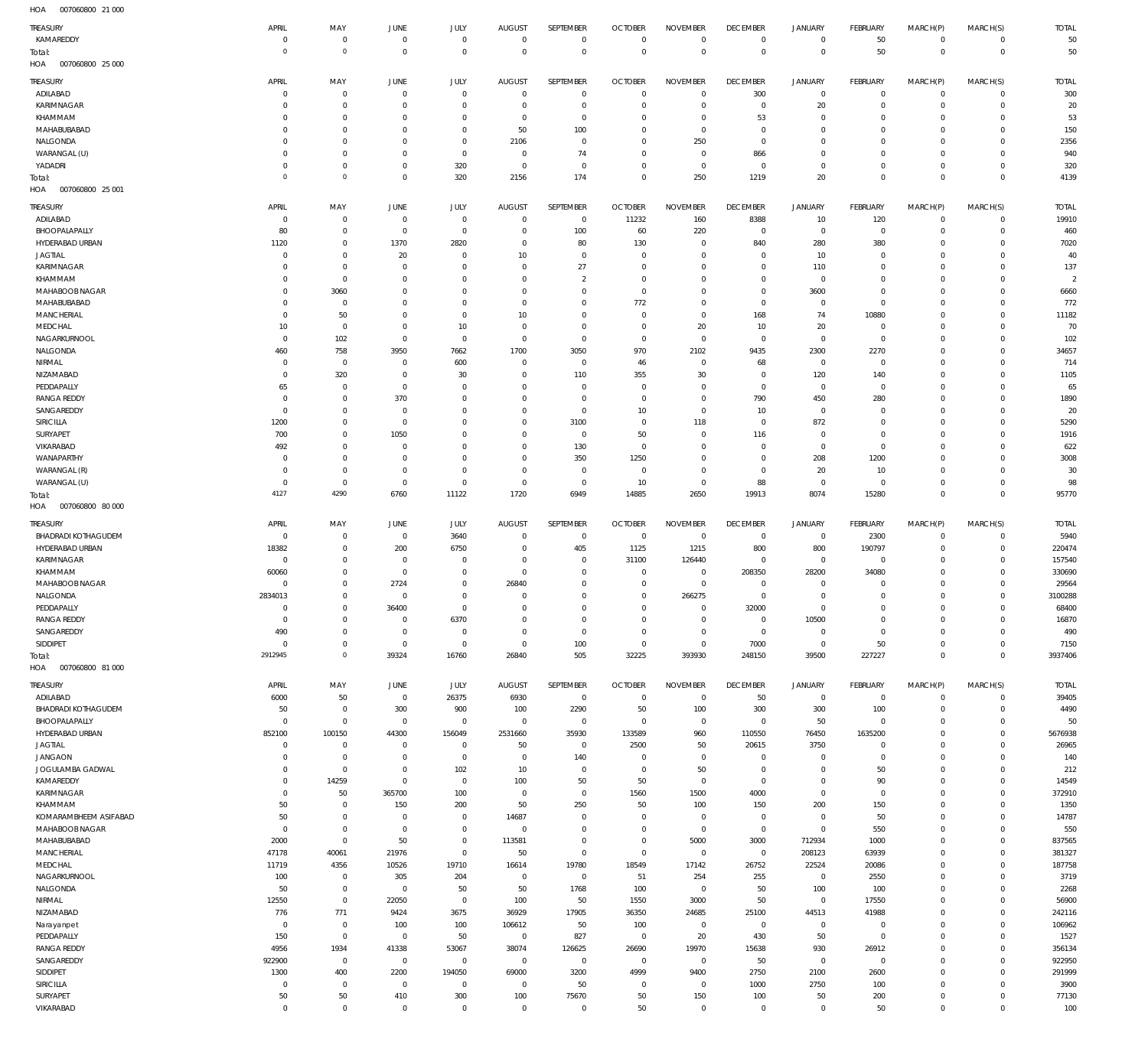007060800 21 000 HOA

| <b>TREASURY</b>                             | APRIL                      | MAY                              | <b>JUNE</b>                  | JULY                             | <b>AUGUST</b>                    | SEPTEMBER                        | <b>OCTOBER</b>                   | <b>NOVEMBER</b>               | <b>DECEMBER</b>                  | <b>JANUARY</b>                | FEBRUARY                   | MARCH(P)                           | MARCH(S)                   | <b>TOTAL</b>          |
|---------------------------------------------|----------------------------|----------------------------------|------------------------------|----------------------------------|----------------------------------|----------------------------------|----------------------------------|-------------------------------|----------------------------------|-------------------------------|----------------------------|------------------------------------|----------------------------|-----------------------|
| KAMAREDDY                                   | $\mathbf 0$                | $\overline{0}$                   | $\bf 0$                      | $\mathbf 0$                      | $\overline{0}$                   | $\overline{0}$                   | $^{\circ}$                       | $^{\circ}$                    | $^{\circ}$                       | $\mathbf 0$                   | 50                         | $\mathsf{O}\xspace$                | $\mathbf 0$                | 50                    |
| Total:<br>HOA<br>007060800 25 000           | $\mathbf 0$                | $\mathbb O$                      | $\mathbf{0}$                 | $\mathbf 0$                      | $\mathbf 0$                      | $\mathbf 0$                      | $^{\circ}$                       | $\Omega$                      | $\Omega$                         | $\mathbf 0$                   | 50                         | $\mathbb O$                        | $\mathbf 0$                | 50                    |
|                                             |                            |                                  |                              |                                  |                                  |                                  |                                  |                               |                                  |                               |                            |                                    |                            |                       |
| TREASURY<br>ADILABAD                        | APRIL<br>$\mathbf 0$       | MAY<br>$\overline{0}$            | <b>JUNE</b><br>$\mathbf 0$   | JULY<br>$\overline{0}$           | <b>AUGUST</b><br>$\overline{0}$  | SEPTEMBER<br>$^{\circ}$          | <b>OCTOBER</b><br>$\Omega$       | <b>NOVEMBER</b><br>$\Omega$   | <b>DECEMBER</b><br>300           | <b>JANUARY</b><br>$\mathbf 0$ | FEBRUARY<br>$\Omega$       | MARCH(P)<br>$\mathbf 0$            | MARCH(S)<br>$\mathbf 0$    | <b>TOTAL</b><br>300   |
| KARIMNAGAR                                  | $\mathbf 0$                | $\overline{0}$                   | $^{\circ}$                   | $\overline{0}$                   | $\overline{0}$                   | $\mathbf 0$                      | $\Omega$                         | $\Omega$                      | $\overline{0}$                   | 20                            | $^{\circ}$                 | $\mathbf 0$                        | $\circ$                    | 20                    |
| KHAMMAM                                     | 0                          | $\mathbf 0$                      | $\Omega$                     | $\overline{0}$                   | 0                                | $^{\circ}$                       | $\Omega$                         | $^{\circ}$                    | 53                               | $\mathbf 0$                   | $\Omega$                   | $\Omega$                           | $\Omega$                   | 53                    |
| MAHABUBABAD<br>NALGONDA                     | $\Omega$<br>$\mathbf 0$    | $\overline{0}$<br>$\mathbf 0$    | $\Omega$<br>$\Omega$         | $\overline{0}$<br>$\overline{0}$ | 50<br>2106                       | 100<br>$^{\circ}$                | $\Omega$<br>$\Omega$             | $\Omega$<br>250               | $\Omega$<br>$^{\circ}$           | $\mathbf 0$<br>$\mathbf 0$    | $\Omega$<br>$\Omega$       | $\Omega$<br>$\Omega$               | $\Omega$<br>$\Omega$       | 150<br>2356           |
| WARANGAL (U)                                | $\mathbf 0$                | $\mathbf 0$                      | $\Omega$                     | $\mathbf 0$                      | $\overline{0}$                   | 74                               | $\Omega$                         | $\Omega$                      | 866                              | $\mathbf 0$                   | $\Omega$                   | $\Omega$                           | $\Omega$                   | 940                   |
| YADADRI                                     | $\mathbf 0$                | $\overline{0}$                   | $\mathbf 0$                  | 320                              | $\overline{0}$                   | $\overline{0}$                   | $\circ$                          | $^{\circ}$                    | $\overline{0}$                   | $\mathbf 0$                   | $\circ$                    | $\circ$                            | 0                          | 320                   |
| Total:                                      | $\mathbf 0$                | $\overline{0}$                   | $\mathbf 0$                  | 320                              | 2156                             | 174                              | $\Omega$                         | 250                           | 1219                             | 20                            | $\Omega$                   | $\overline{0}$                     | $\Omega$                   | 4139                  |
| 007060800 25 001<br>HOA                     |                            |                                  |                              |                                  |                                  |                                  |                                  |                               |                                  |                               |                            |                                    |                            |                       |
| TREASURY                                    | APRIL                      | MAY                              | <b>JUNE</b><br>$\mathbf 0$   | JULY<br>$\mathbf 0$              | <b>AUGUST</b>                    | SEPTEMBER                        | <b>OCTOBER</b>                   | <b>NOVEMBER</b>               | <b>DECEMBER</b>                  | <b>JANUARY</b>                | FEBRUARY                   | MARCH(P)                           | MARCH(S)                   | <b>TOTAL</b><br>19910 |
| ADILABAD<br>BHOOPALAPALLY                   | $\mathbf 0$<br>80          | $\overline{0}$<br>$\overline{0}$ | $^{\circ}$                   | $\mathbf 0$                      | $\overline{0}$<br>$\overline{0}$ | $\overline{0}$<br>100            | 11232<br>60                      | 160<br>220                    | 8388<br>$\overline{0}$           | 10<br>$\mathbf 0$             | 120<br>$\overline{0}$      | $\circ$<br>$\mathbf 0$             | $\mathbf 0$<br>$\mathbf 0$ | 460                   |
| HYDERABAD URBAN                             | 1120                       | $\overline{0}$                   | 1370                         | 2820                             | $\mathbf{0}$                     | 80                               | 130                              | $\Omega$                      | 840                              | 280                           | 380                        | $\mathbf 0$                        | 0                          | 7020                  |
| <b>JAGTIAL</b>                              | $\mathbf 0$                | $\mathbf 0$                      | 20                           | $\Omega$                         | 10                               | $\mathbf 0$                      | $\Omega$                         | $\Omega$                      | $\Omega$                         | 10                            | $\overline{0}$             | $\Omega$                           | $\Omega$                   | 40                    |
| KARIMNAGAR<br>KHAMMAM                       | $\mathbf 0$<br>0           | $\overline{0}$<br>$\overline{0}$ | $^{\circ}$<br>$\Omega$       | $\overline{0}$<br>$^{\circ}$     | $\overline{0}$<br>$\mathbf 0$    | 27<br>$\overline{2}$             | $\Omega$<br>$\Omega$             | $\Omega$<br>$\Omega$          | $\Omega$<br>$\Omega$             | 110<br>$\mathbf 0$            | $^{\circ}$<br>$\Omega$     | $\circ$<br>$\mathbf 0$             | 0<br>0                     | 137<br>- 1            |
| MAHABOOB NAGAR                              | $\mathbf 0$                | 3060                             | $\mathbf 0$                  | $\Omega$                         | $\mathbf 0$                      | $\mathbf 0$                      | $^{\circ}$                       | $\Omega$                      | $\Omega$                         | 3600                          | $\Omega$                   | $\Omega$                           | $\Omega$                   | 6660                  |
| MAHABUBABAD                                 | $\mathbf 0$                | $\overline{0}$                   | 0                            | $\mathbf 0$                      | $\overline{0}$                   | $\mathbf 0$                      | 772                              | $\Omega$                      | $\Omega$                         | $\mathbf 0$                   | $^{\circ}$                 | $\mathbf 0$                        | 0                          | 772                   |
| <b>MANCHERIAL</b><br>MEDCHAL                | $\mathbf 0$<br>10          | 50<br>$\overline{0}$             | $\Omega$<br>$\mathbf 0$      | $\overline{0}$<br>10             | 10<br>$\overline{0}$             | $\overline{0}$<br>$\overline{0}$ | $\Omega$<br>$\circ$              | $\Omega$<br>20                | 168<br>10                        | 74<br>20                      | 10880<br>$\overline{0}$    | $\Omega$<br>$\Omega$               | $\Omega$<br>0              | 11182<br>70           |
| NAGARKURNOOL                                | $\mathbf 0$                | 102                              | $\mathbf 0$                  | $\mathbf 0$                      | $\overline{0}$                   | $\mathbf 0$                      | $^{\circ}$                       | $\Omega$                      | $\overline{0}$                   | $\mathbf 0$                   | $^{\circ}$                 | $\Omega$                           | $\Omega$                   | 102                   |
| NALGONDA                                    | 460                        | 758                              | 3950                         | 7662                             | 1700                             | 3050                             | 970                              | 2102                          | 9435                             | 2300                          | 2270                       | $\mathbf 0$                        | 0                          | 34657                 |
| NIRMAL                                      | $\mathbf 0$                | $\overline{0}$                   | $\Omega$                     | 600                              | $^{\circ}$                       | $^{\circ}$                       | 46                               | $\Omega$                      | 68                               | $\mathbf 0$                   | $\overline{0}$             | $\Omega$                           | $\Omega$                   | 714                   |
| NIZAMABAD<br>PEDDAPALLY                     | $\mathbf 0$<br>65          | 320<br>$\overline{0}$            | $\mathbf 0$<br>$\mathbf 0$   | 30<br>$\Omega$                   | $\overline{0}$<br>0              | 110<br>$^{\circ}$                | 355<br>$\circ$                   | 30<br>$\Omega$                | $\overline{0}$<br>$\Omega$       | 120<br>$\mathbf 0$            | 140<br>$\overline{0}$      | $\circ$<br>$\Omega$                | 0<br>0                     | 1105<br>65            |
| <b>RANGA REDDY</b>                          | $\mathbf 0$                | $\overline{0}$                   | 370                          | $\Omega$                         | $\mathbf 0$                      | $\mathbf 0$                      | $\Omega$                         | $\Omega$                      | 790                              | 450                           | 280                        | $\Omega$                           | $\Omega$                   | 1890                  |
| SANGAREDDY                                  | $\mathbf 0$                | $\overline{0}$                   | $\mathbf 0$                  | $\Omega$                         | $\mathbf 0$                      | $\overline{0}$                   | 10                               | $\Omega$                      | 10                               | $\mathbf 0$                   | $\Omega$                   | $\mathbf 0$                        | 0                          | 20                    |
| SIRICILLA                                   | 1200                       | $\mathbf 0$                      | $\mathbf 0$                  | $\Omega$                         | $\mathbf 0$                      | 3100                             | $\Omega$                         | 118<br>$\Omega$               | $\overline{0}$                   | 872                           | $\Omega$                   | $\Omega$                           | $\Omega$                   | 5290                  |
| SURYAPET<br>VIKARABAD                       | 700<br>492                 | $\mathbf 0$<br>$\mathbf{0}$      | 1050<br>$\Omega$             | $^{\circ}$<br>$\Omega$           | $\mathbf 0$<br>$\mathbf 0$       | $\overline{0}$<br>130            | 50<br>$\Omega$                   | $\Omega$                      | 116<br>$\Omega$                  | $\mathbf 0$<br>$\mathbf 0$    | $^{\circ}$<br>$\Omega$     | $\mathbf 0$<br>$\Omega$            | 0<br>$\Omega$              | 1916<br>622           |
| WANAPARTHY                                  | $\mathbf 0$                | $\mathbf{0}$                     | $^{\circ}$                   | $\overline{0}$                   | $\mathbf 0$                      | 350                              | 1250                             | $\Omega$                      | $\Omega$                         | 208                           | 1200                       | $\Omega$                           | $\Omega$                   | 3008                  |
| WARANGAL (R)                                | $\mathbf 0$                | $\overline{0}$                   | $\mathbf 0$                  | $\mathbf 0$                      | $\mathbf 0$                      | $^{\circ}$                       | $\Omega$                         | $\Omega$                      | $\Omega$                         | 20                            | 10                         | $\mathbf 0$                        | 0                          | 30                    |
| WARANGAL (U)                                | $\mathbf 0$<br>4127        | $\overline{0}$<br>4290           | $\mathbf 0$<br>6760          | $\mathbf 0$<br>11122             | $\overline{0}$<br>1720           | $\overline{0}$<br>6949           | 10<br>14885                      | $\overline{0}$<br>2650        | 88<br>19913                      | $\mathbf 0$<br>8074           | $\mathbf{0}$<br>15280      | $\circ$<br>$\mathbf 0$             | $\mathbf 0$<br>$^{\circ}$  | 98<br>95770           |
| Total:<br>007060800 80 000<br>HOA           |                            |                                  |                              |                                  |                                  |                                  |                                  |                               |                                  |                               |                            |                                    |                            |                       |
|                                             |                            |                                  |                              |                                  |                                  | SEPTEMBER                        |                                  |                               | <b>DECEMBER</b>                  |                               |                            |                                    |                            |                       |
|                                             |                            |                                  |                              |                                  |                                  |                                  |                                  |                               |                                  |                               |                            |                                    |                            |                       |
| TREASURY<br><b>BHADRADI KOTHAGUDEM</b>      | APRIL<br>$\mathbf 0$       | MAY<br>$\overline{0}$            | <b>JUNE</b><br>$\mathbf 0$   | JULY<br>3640                     | <b>AUGUST</b><br>$\overline{0}$  | $\Omega$                         | <b>OCTOBER</b><br>$\overline{0}$ | <b>NOVEMBER</b><br>$\Omega$   | $\overline{0}$                   | <b>JANUARY</b><br>$\mathbf 0$ | FEBRUARY<br>2300           | MARCH(P)<br>$\Omega$               | MARCH(S)<br>$\mathbf 0$    | <b>TOTAL</b><br>5940  |
| HYDERABAD URBAN                             | 18382                      | $\overline{0}$                   | 200                          | 6750                             | $\mathbf{0}$                     | 405                              | 1125                             | 1215                          | 800                              | 800                           | 190797                     | $\mathbf 0$                        | $\circ$                    | 220474                |
| KARIMNAGAR                                  | $\mathbf 0$                | $\mathbf 0$                      | $\mathbf 0$                  | $\overline{0}$                   | $\mathbf 0$                      | $^{\circ}$                       | 31100                            | 126440                        | $\Omega$                         | $\mathbf 0$                   | $^{\circ}$                 | $\Omega$                           | $\Omega$                   | 157540                |
| KHAMMAM<br>MAHABOOB NAGAR                   | 60060<br>$\Omega$          | $\mathbf 0$<br>$\mathbf 0$       | $\mathbf 0$<br>2724          | $\overline{0}$<br>$\overline{0}$ | $\overline{0}$<br>26840          | $\overline{0}$<br>$^{\circ}$     | $\Omega$<br>$\Omega$             | $\circ$<br>$\Omega$           | 208350<br>$\Omega$               | 28200<br>$\mathbf 0$          | 34080<br>$\Omega$          | $\Omega$<br>$\Omega$               | 0<br>$\Omega$              | 330690<br>29564       |
| NALGONDA                                    | 2834013                    | $\mathbf 0$                      | $\mathbf 0$                  | $\mathbf 0$                      | $\overline{0}$                   | $\mathbf 0$                      | $\overline{0}$                   | 266275                        | $\Omega$                         | $\mathbf 0$                   | $\mathbf{0}$               | $\circ$                            | $\mathbf 0$                | 3100288               |
| PEDDAPALLY                                  | $\Omega$                   | $\mathbf 0$                      | 36400                        | $\,0\,$                          | $\,0\,$                          | $\Omega$                         | $\,0\,$                          | $\Omega$                      | 32000                            | $\Omega$                      | $\Omega$                   | $\Omega$                           | $\Omega$                   | 68400                 |
| <b>RANGA REDDY</b><br>SANGAREDDY            | $\mathbf 0$                | $\overline{0}$                   | $\mathbf 0$<br>$\mathbf 0$   | 6370                             | $\mathbf 0$<br>$\mathbf 0$       | $\mathbf 0$<br>$\overline{0}$    | $\Omega$<br>$\mathbf 0$          | $\mathbf 0$<br>$\overline{0}$ | $\overline{0}$<br>$\mathbf 0$    | 10500                         | $\mathbf 0$<br>$\mathbf 0$ | $\mathbf 0$<br>$\mathbf 0$         | $\mathbf 0$<br>$\circ$     | 16870                 |
| SIDDIPET                                    | 490<br>$\overline{0}$      | $\overline{0}$<br>$\mathbf 0$    | $\mathbf 0$                  | $\,0\,$<br>$\,0\,$               | $\mathbf 0$                      | 100                              | $\mathbf 0$                      | $\overline{0}$                | 7000                             | $\mathbf 0$<br>$\mathbf 0$    | 50                         | $\mathbf 0$                        | $\circ$                    | 490<br>7150           |
| Total:                                      | 2912945                    | $\overline{0}$                   | 39324                        | 16760                            | 26840                            | 505                              | 32225                            | 393930                        | 248150                           | 39500                         | 227227                     | $\mathbf 0$                        | $\mathbf{0}$               | 3937406               |
| 007060800 81 000<br>HOA                     |                            |                                  |                              |                                  |                                  |                                  |                                  |                               |                                  |                               |                            |                                    |                            |                       |
| TREASURY                                    | APRIL                      | MAY                              | JUNE                         | <b>JULY</b>                      | AUGUST                           | SEPTEMBER                        | <b>OCTOBER</b>                   | <b>NOVEMBER</b>               | <b>DECEMBER</b>                  | JANUARY                       | FEBRUARY                   | MARCH(P)                           | MARCH(S)                   | <b>TOTAL</b>          |
| ADILABAD                                    | 6000                       | 50                               | $\overline{0}$               | 26375                            | 6930                             | $\overline{0}$                   | $\overline{0}$                   | $\overline{0}$                | 50                               | $\mathbf 0$                   | $\mathbf 0$                | $\mathsf{O}\xspace$                | $\mathbf 0$<br>$\mathbf 0$ | 39405                 |
| <b>BHADRADI KOTHAGUDEM</b><br>BHOOPALAPALLY | 50<br>$\overline{0}$       | $\mathbf 0$<br>$\mathbf 0$       | 300<br>$\mathbf 0$           | 900<br>$\,0\,$                   | 100<br>$\,0\,$                   | 2290<br>$\overline{0}$           | 50<br>$\overline{0}$             | 100<br>$\overline{0}$         | 300<br>$\mathbf 0$               | 300<br>50                     | 100<br>$\mathbf{0}$        | $\mathsf{O}\xspace$<br>$\mathbf 0$ | $\mathbf 0$                | 4490<br>50            |
| HYDERABAD URBAN                             | 852100                     | 100150                           | 44300                        | 156049                           | 2531660                          | 35930                            | 133589                           | 960                           | 110550                           | 76450                         | 1635200                    | $\mathbf 0$                        | $\mathbf 0$                | 5676938               |
| <b>JAGTIAL</b>                              | $\overline{0}$             | $\overline{0}$                   | $\mathbf 0$                  | $\,0\,$                          | 50                               | $\,0\,$                          | 2500                             | 50                            | 20615                            | 3750                          | $\mathbf 0$                | $\mathbf 0$                        | $\mathbf 0$                | 26965                 |
| <b>JANGAON</b><br>JOGULAMBA GADWAL          | $\mathbf 0$<br>$\mathbf 0$ | $\mathbf 0$<br>$\mathbf 0$       | $\mathbf{0}$<br>$\mathbf{0}$ | $\,0\,$<br>102                   | $\,0\,$<br>10                    | 140<br>$\overline{0}$            | $^{\circ}$<br>$\mathbb O$        | $\overline{0}$<br>50          | $\overline{0}$<br>$\overline{0}$ | $\mathbf 0$<br>$\mathbf 0$    | $\mathbf{0}$<br>50         | $\mathbf 0$<br>$\mathbf 0$         | $\mathbf 0$<br>$\mathbf 0$ | 140<br>212            |
| KAMAREDDY                                   | $\mathbf 0$                | 14259                            | $\mathbf 0$                  | $\mathbf 0$                      | 100                              | 50                               | 50                               | $\overline{0}$                | $\overline{0}$                   | $\mathbf 0$                   | 90                         | $\mathbf 0$                        | $\mathbf 0$                | 14549                 |
| KARIMNAGAR                                  | $\mathbf 0$                | 50                               | 365700                       | 100                              | $\,0\,$                          | $\,0\,$                          | 1560                             | 1500                          | 4000                             | $\mathbf 0$                   | $\mathbf 0$                | $\mathbf 0$                        | $\mathbf 0$                | 372910                |
| KHAMMAM<br>KOMARAMBHEEM ASIFABAD            | 50<br>50                   | $\mathbf 0$<br>$\mathbf 0$       | 150<br>$\overline{0}$        | 200<br>$\mathbf 0$               | 50<br>14687                      | 250<br>$\mathbf 0$               | 50<br>$^{\circ}$                 | 100<br>$\overline{0}$         | 150<br>$\overline{0}$            | 200<br>$\mathbf 0$            | 150<br>50                  | $\mathbf 0$<br>$\mathbf 0$         | $\mathbf 0$<br>$\mathbf 0$ | 1350<br>14787         |
| MAHABOOB NAGAR                              | $\overline{0}$             | $\mathbf 0$                      | $\mathbf 0$                  | $\mathbf 0$                      | $\,0\,$                          | $\overline{0}$                   | $^{\circ}$                       | $\overline{0}$                | $\overline{0}$                   | $\mathsf 0$                   | 550                        | $\mathbf 0$                        | $\mathbf 0$                | 550                   |
| MAHABUBABAD                                 | 2000                       | $\mathbf 0$                      | 50                           | $\,0\,$                          | 113581                           | $\overline{0}$                   | $\overline{0}$                   | 5000                          | 3000                             | 712934                        | 1000                       | $\mathbf 0$                        | $\mathbf 0$                | 837565                |
| MANCHERIAL                                  | 47178                      | 40061                            | 21976                        | $\,0\,$                          | 50                               | $\,0\,$<br>19780                 | $\mathbf 0$                      | $\overline{0}$                | $\overline{0}$                   | 208123                        | 63939                      | $\mathbf 0$<br>$\mathbf 0$         | $\mathbf 0$<br>$\mathbf 0$ | 381327                |
| MEDCHAL<br>NAGARKURNOOL                     | 11719<br>100               | 4356<br>$\overline{0}$           | 10526<br>305                 | 19710<br>204                     | 16614<br>$\,0\,$                 | $\overline{0}$                   | 18549<br>51                      | 17142<br>254                  | 26752<br>255                     | 22524<br>$\mathbf 0$          | 20086<br>2550              | $\mathbf 0$                        | $\mathbf 0$                | 187758<br>3719        |
| NALGONDA                                    | 50                         | $\mathbf 0$                      | $\overline{0}$               | 50                               | 50                               | 1768                             | 100                              | $\overline{0}$                | 50                               | 100                           | 100                        | $\mathbf 0$                        | $\mathbf 0$                | 2268                  |
| NIRMAL                                      | 12550                      | $\mathbf 0$                      | 22050                        | $\,0\,$                          | 100                              | 50                               | 1550                             | 3000                          | 50                               | $\circ$                       | 17550                      | $\mathbf 0$                        | $\mathbf 0$                | 56900                 |
| NIZAMABAD<br>Narayanpet                     | 776<br>$\overline{0}$      | 771<br>$\mathbf 0$               | 9424<br>100                  | 3675<br>100                      | 36929<br>106612                  | 17905<br>50                      | 36350<br>100                     | 24685<br>$\overline{0}$       | 25100<br>$\overline{0}$          | 44513<br>$\mathbf 0$          | 41988<br>$\mathbf 0$       | $\mathbf 0$<br>$\mathbf 0$         | $\mathbf 0$<br>$\mathbf 0$ | 242116<br>106962      |
| PEDDAPALLY                                  | 150                        | $\mathbf 0$                      | $\overline{0}$               | 50                               | $\,0\,$                          | 827                              | $\overline{0}$                   | 20                            | 430                              | 50                            | $\mathbf 0$                | $\mathbf 0$                        | $\mathbf 0$                | 1527                  |
| <b>RANGA REDDY</b>                          | 4956                       | 1934                             | 41338                        | 53067                            | 38074                            | 126625                           | 26690                            | 19970                         | 15638                            | 930                           | 26912                      | $\mathbf 0$                        | $\mathbf 0$                | 356134                |
| SANGAREDDY<br>SIDDIPET                      | 922900<br>1300             | $\mathbf 0$<br>400               | $\overline{0}$<br>2200       | $\,0\,$<br>194050                | $\,0\,$<br>69000                 | $\overline{0}$<br>3200           | $\overline{0}$<br>4999           | $\overline{0}$<br>9400        | 50<br>2750                       | $\mathbf 0$<br>2100           | $\mathbf 0$<br>2600        | $\mathbf 0$<br>$\mathbf 0$         | $\mathbf 0$<br>$\circ$     | 922950<br>291999      |
| SIRICILLA                                   | $\overline{0}$             | $\mathbf 0$                      | $\mathbf 0$                  | $\,0\,$                          | $\,0\,$                          | 50                               | $\mathbf 0$                      | $\overline{0}$                | 1000                             | 2750                          | 100                        | $\mathbf 0$                        | $\mathbf 0$                | 3900                  |
| SURYAPET<br>VIKARABAD                       | 50<br>$\overline{0}$       | 50<br>$\mathbf 0$                | 410<br>$\mathbf 0$           | 300<br>$\,0\,$                   | 100<br>$\,0\,$                   | 75670<br>$\,0\,$                 | 50<br>50                         | 150<br>$\overline{0}$         | 100<br>$\overline{0}$            | 50<br>$\mathsf 0$             | 200<br>50                  | $\mathsf{O}\xspace$<br>$\mathbf 0$ | 0<br>$\mathsf{O}$          | 77130<br>100          |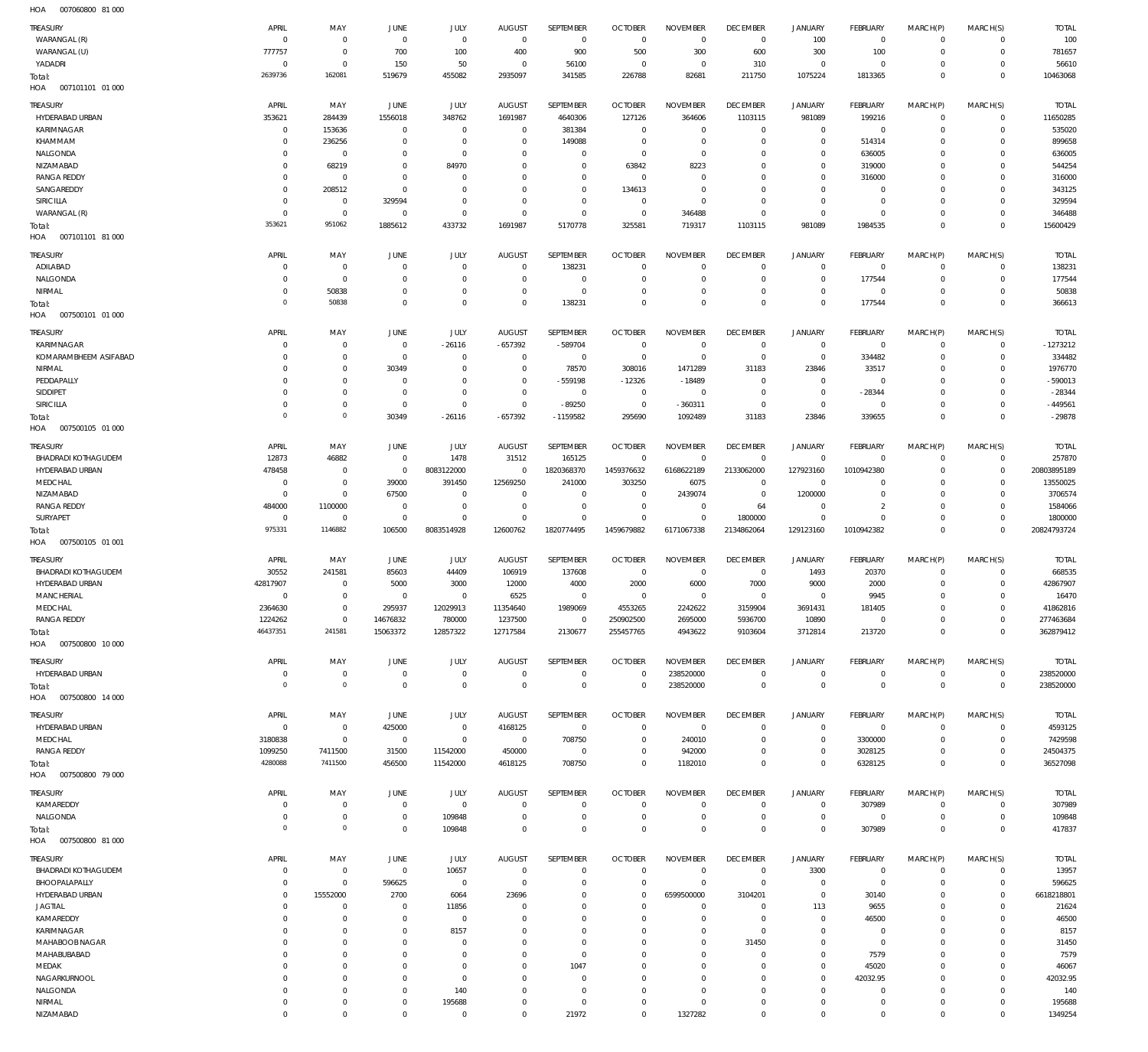| TREASURY<br>WARANGAL (R)                      | APRIL<br>$\mathbf 0$     | MAY<br>$\mathbf 0$               | JUNE<br>$\mathbf 0$              | JULY<br>$\mathbf 0$          | <b>AUGUST</b><br>$\mathbf 0$ | SEPTEMBER<br>$\mathbf{0}$   | <b>OCTOBER</b><br>$\overline{0}$ | <b>NOVEMBER</b><br>$\mathbf 0$ | <b>DECEMBER</b><br>$\overline{0}$ | JANUARY<br>100                | FEBRUARY<br>$\overline{0}$       | MARCH(P)<br>$\mathbf 0$    | MARCH(S)<br>$\mathbf 0$       | <b>TOTAL</b><br>100     |
|-----------------------------------------------|--------------------------|----------------------------------|----------------------------------|------------------------------|------------------------------|-----------------------------|----------------------------------|--------------------------------|-----------------------------------|-------------------------------|----------------------------------|----------------------------|-------------------------------|-------------------------|
| WARANGAL (U)                                  | 777757                   | $\mathbf 0$                      | 700                              | 100                          | 400                          | 900                         | 500                              | 300                            | 600                               | 300                           | 100                              | $\mathbf 0$                | $\mathbf 0$                   | 781657                  |
| YADADRI                                       | 0<br>2639736             | $\mathbf 0$<br>162081            | 150<br>519679                    | 50<br>455082                 | 0<br>2935097                 | 56100<br>341585             | 0<br>226788                      | $\mathbf 0$<br>82681           | 310<br>211750                     | $\overline{0}$<br>1075224     | $\overline{0}$<br>1813365        | 0<br>$\mathbf 0$           | $\mathbf 0$<br>$\mathbf 0$    | 56610<br>10463068       |
| Total:<br>007101101 01 000<br>HOA             |                          |                                  |                                  |                              |                              |                             |                                  |                                |                                   |                               |                                  |                            |                               |                         |
| TREASURY                                      | APRIL                    | MAY                              | <b>JUNE</b>                      | JULY                         | <b>AUGUST</b>                | SEPTEMBER                   | <b>OCTOBER</b>                   | <b>NOVEMBER</b>                | <b>DECEMBER</b>                   | <b>JANUARY</b>                | FEBRUARY                         | MARCH(P)                   | MARCH(S)                      | <b>TOTAL</b>            |
| HYDERABAD URBAN                               | 353621                   | 284439                           | 1556018                          | 348762                       | 1691987                      | 4640306                     | 127126                           | 364606                         | 1103115<br>$\mathbf 0$            | 981089<br>$\mathbf 0$         | 199216                           | $\mathbf{0}$               | $\mathbf 0$<br>$\mathbf 0$    | 11650285                |
| <b>KARIMNAGAR</b><br>KHAMMAM                  | 0<br>$\Omega$            | 153636<br>236256                 | $\overline{0}$<br>$\mathbf 0$    | $\,0\,$<br>$\mathbf 0$       | $^{\circ}$<br>0              | 381384<br>149088            | $^{\circ}$<br>$^{\circ}$         | $\mathbf 0$<br>$\mathbf 0$     | $\mathbf 0$                       | $\mathbf 0$                   | $\overline{0}$<br>514314         | $^{\circ}$<br>$\Omega$     | $\mathbf 0$                   | 535020<br>899658        |
| NALGONDA                                      | $\Omega$                 | $\overline{0}$                   | 0                                | $\mathbf 0$                  | 0                            | $\mathbf 0$                 | $^{\circ}$                       | $\mathbf 0$                    | $\mathbf 0$                       | $\mathbf 0$                   | 636005                           | $\Omega$                   | $\mathbf 0$                   | 636005                  |
| NIZAMABAD                                     | $\Omega$                 | 68219                            | $\mathbf 0$                      | 84970                        | $\Omega$                     | $\mathbf 0$                 | 63842                            | 8223                           | $\mathbf 0$                       | $\mathbf 0$                   | 319000                           | $\Omega$                   | $\mathbf 0$                   | 544254                  |
| <b>RANGA REDDY</b>                            | $\Omega$                 | $\overline{0}$                   | $\overline{0}$                   | $^{\circ}$                   | 0                            | $\mathbf 0$                 | $^{\circ}$                       | $^{\circ}$                     | $\mathbf 0$                       | $\mathbf 0$                   | 316000                           | $\Omega$                   | $\mathbf 0$                   | 316000                  |
| SANGAREDDY                                    | $\Omega$                 | 208512                           | $\overline{0}$                   | $\mathbf 0$                  | 0                            | $\mathbf 0$                 | 134613                           | $\mathbf 0$                    | $\mathbf 0$                       | $\mathbf 0$                   | $^{\circ}$                       | $\Omega$                   | $\mathbf 0$                   | 343125                  |
| <b>SIRICILLA</b><br>WARANGAL (R)              | $\Omega$<br>$\mathbf{0}$ | $\overline{0}$<br>$\mathbf 0$    | 329594<br>$\overline{0}$         | $\mathbf 0$<br>$\mathbf 0$   | $\mathbf 0$<br>$^{\circ}$    | $\mathbf 0$<br>$\mathbf 0$  | $^{\circ}$<br>$^{\circ}$         | $\mathbf 0$<br>346488          | $\mathbf 0$<br>$\mathbf 0$        | $\mathbf 0$<br>$\mathbf 0$    | $\overline{0}$<br>$\overline{0}$ | 0<br>0                     | $\mathbf 0$<br>$\mathbf 0$    | 329594<br>346488        |
| Total:                                        | 353621                   | 951062                           | 1885612                          | 433732                       | 1691987                      | 5170778                     | 325581                           | 719317                         | 1103115                           | 981089                        | 1984535                          | $\Omega$                   | $\overline{0}$                | 15600429                |
| HOA<br>007101101 81 000                       |                          |                                  |                                  |                              |                              |                             |                                  |                                |                                   |                               |                                  |                            |                               |                         |
| <b>TREASURY</b>                               | APRIL                    | MAY                              | JUNE                             | JULY                         | <b>AUGUST</b>                | SEPTEMBER                   | <b>OCTOBER</b>                   | <b>NOVEMBER</b>                | <b>DECEMBER</b>                   | <b>JANUARY</b>                | FEBRUARY                         | MARCH(P)                   | MARCH(S)                      | <b>TOTAL</b>            |
| ADILABAD                                      | $\Omega$<br>$\Omega$     | $\overline{0}$<br>$\mathbf 0$    | $\overline{0}$                   | $^{\circ}$<br>$^{\circ}$     | $^{\circ}$                   | 138231<br>$\mathbf 0$       | $^{\circ}$<br>$^{\circ}$         | $^{\circ}$<br>$^{\circ}$       | $\mathbf 0$<br>$\mathbf 0$        | $\mathbf 0$<br>$\overline{0}$ | $\overline{0}$<br>177544         | $\mathbf 0$<br>$\mathbf 0$ | $\mathbf 0$<br>$\mathbf 0$    | 138231<br>177544        |
| NALGONDA<br>NIRMAL                            |                          | 50838                            | 0<br>$\overline{0}$              | $\mathbf 0$                  | 0<br>0                       | $\mathbb O$                 | $^{\circ}$                       | $\mathbf 0$                    | $\mathbf 0$                       | $\mathbf 0$                   | $\overline{0}$                   | 0                          | $\mathbf 0$                   | 50838                   |
| Total:                                        | $\Omega$                 | 50838                            | $\Omega$                         | $\mathbf 0$                  | $\Omega$                     | 138231                      | $\mathbf 0$                      | $\mathbf 0$                    | $\mathbf 0$                       | $\mathbf 0$                   | 177544                           | $\mathbf 0$                | $\overline{0}$                | 366613                  |
| HOA<br>007500101 01 000                       |                          |                                  |                                  |                              |                              |                             |                                  |                                |                                   |                               |                                  |                            |                               |                         |
| <b>TREASURY</b>                               | APRIL                    | MAY                              | <b>JUNE</b>                      | JULY                         | <b>AUGUST</b>                | SEPTEMBER                   | <b>OCTOBER</b>                   | <b>NOVEMBER</b>                | <b>DECEMBER</b>                   | <b>JANUARY</b>                | FEBRUARY                         | MARCH(P)                   | MARCH(S)                      | <b>TOTAL</b>            |
| KARIMNAGAR                                    | $\Omega$                 | $\overline{0}$                   | $\overline{0}$                   | $-26116$                     | $-657392$                    | -589704                     | $\overline{0}$                   | $\mathbf 0$                    | $\overline{0}$                    | $\mathbf 0$                   | $\overline{0}$                   | $^{\circ}$                 | $\mathbf 0$                   | $-1273212$              |
| KOMARAMBHEEM ASIFABAD<br>NIRMAL               | $\Omega$<br>$\Omega$     | $\overline{0}$<br>$\overline{0}$ | $\overline{0}$<br>30349          | $\overline{0}$<br>$^{\circ}$ | $\circ$<br>$\circ$           | $\mathbf 0$<br>78570        | $\overline{0}$<br>308016         | $\mathbf 0$<br>1471289         | $\mathbf 0$<br>31183              | $\mathbf 0$<br>23846          | 334482<br>33517                  | 0<br>$\Omega$              | $\mathbf 0$<br>$\mathbf 0$    | 334482<br>1976770       |
| PEDDAPALLY                                    | $\Omega$                 | $\mathbf 0$                      | $\overline{0}$                   | $\mathbf 0$                  | 0                            | -559198                     | $-12326$                         | $-18489$                       | $\mathbf 0$                       | $\mathbf 0$                   | $\overline{0}$                   | $\Omega$                   | $^{\circ}$                    | $-590013$               |
| SIDDIPET                                      | $\Omega$                 | $\mathbf 0$                      | $\overline{0}$                   | $\mathbf 0$                  | $^{\circ}$                   | $\mathbf 0$                 | $\overline{0}$                   | $\mathbf 0$                    | $^{\circ}$                        | $\mathbf 0$                   | $-28344$                         | $\Omega$                   | $\mathbf 0$                   | $-28344$                |
| SIRICILLA                                     | $\Omega$                 | $\mathbf 0$                      | $\overline{0}$                   | $\mathbf 0$                  | $^{\circ}$                   | $-89250$                    | $\overline{0}$                   | $-360311$                      | $^{\circ}$                        | $\mathbf 0$                   | $\overline{0}$                   | 0                          | $\mathbf 0$                   | $-449561$               |
| Total:<br>HOA<br>007500105 01 000             | $\Omega$                 | $\mathbf{0}$                     | 30349                            | $-26116$                     | $-657392$                    | $-1159582$                  | 295690                           | 1092489                        | 31183                             | 23846                         | 339655                           | $\Omega$                   | $\mathbf 0$                   | $-29878$                |
| TREASURY                                      | APRIL                    | MAY                              | <b>JUNE</b>                      | JULY                         | <b>AUGUST</b>                | SEPTEMBER                   | <b>OCTOBER</b>                   | <b>NOVEMBER</b>                | <b>DECEMBER</b>                   | <b>JANUARY</b>                | FEBRUARY                         | MARCH(P)                   | MARCH(S)                      | <b>TOTAL</b>            |
| <b>BHADRADI KOTHAGUDEM</b>                    | 12873                    | 46882                            | $\overline{0}$                   | 1478                         | 31512                        | 165125                      | $\overline{0}$                   | $\overline{0}$                 | $\overline{0}$                    | $\circ$                       | $\overline{0}$                   | $^{\circ}$                 | $\mathbf 0$                   | 257870                  |
| HYDERABAD URBAN<br>MEDCHAL                    | 478458<br>0              | $\mathbf 0$<br>$\mathbf 0$       | $\overline{0}$<br>39000          | 8083122000<br>391450         | $^{\circ}$<br>12569250       | 1820368370<br>241000        | 1459376632<br>303250             | 6168622189<br>6075             | 2133062000<br>$\overline{0}$      | 127923160<br>$\overline{0}$   | 1010942380<br>$^{\circ}$         | 0<br>$\Omega$              | $\mathbf 0$<br>$^{\circ}$     | 20803895189<br>13550025 |
| NIZAMABAD                                     | $\Omega$                 | $\mathbf 0$                      | 67500                            | $\overline{0}$               | 0                            | $\mathbf 0$                 | 0                                | 2439074                        | $\overline{0}$                    | 1200000                       | $^{\circ}$                       | $\Omega$                   | $\mathbf 0$                   | 3706574                 |
| <b>RANGA REDDY</b>                            | 484000                   | 1100000                          | $\overline{0}$                   | $\mathbf 0$                  | $\circ$                      | $\mathbf 0$                 | $^{\circ}$                       | $^{\circ}$                     | 64                                | $\mathbf 0$                   | $\overline{2}$                   | 0                          | $^{\circ}$                    | 1584066                 |
| SURYAPET                                      | $\mathbf 0$              | $\mathbf 0$                      | $\overline{0}$                   | $\mathbf 0$                  | $\Omega$                     | $\mathbf 0$                 | $^{\circ}$                       | $\mathbf 0$                    | 1800000                           | $\mathbf 0$                   | $\Omega$                         | 0                          | $\mathbf 0$                   | 1800000                 |
|                                               |                          |                                  |                                  |                              |                              |                             |                                  |                                |                                   |                               |                                  |                            |                               |                         |
| Total:<br>HOA<br>007500105 01 001             | 975331                   | 1146882                          | 106500                           | 8083514928                   | 12600762                     | 1820774495                  | 1459679882                       | 6171067338                     | 2134862064                        | 129123160                     | 1010942382                       | $\mathbf 0$                | $\overline{0}$                | 20824793724             |
|                                               | APRIL                    |                                  |                                  |                              |                              |                             |                                  |                                |                                   |                               |                                  |                            |                               |                         |
| <b>TREASURY</b><br><b>BHADRADI KOTHAGUDEM</b> | 30552                    | MAY<br>241581                    | JUNE<br>85603                    | JULY<br>44409                | <b>AUGUST</b><br>106919      | SEPTEMBER<br>137608         | <b>OCTOBER</b><br>$\overline{0}$ | <b>NOVEMBER</b><br>$^{\circ}$  | <b>DECEMBER</b><br>0              | JANUARY<br>1493               | FEBRUARY<br>20370                | MARCH(P)<br>$^{\circ}$     | MARCH(S)<br>$\mathbf 0$       | <b>TOTAL</b><br>668535  |
| HYDERABAD URBAN                               | 42817907                 | $\overline{0}$                   | 5000                             | 3000                         | 12000                        | 4000                        | 2000                             | 6000                           | 7000                              | 9000                          | 2000                             | $\mathbf 0$                | $\mathbf 0$                   | 42867907                |
| MANCHERIAL                                    | $\Omega$                 | $\mathbf 0$                      | $\mathbf 0$                      | $\mathbf 0$                  | 6525                         | $\mathbf 0$                 | $^{\circ}$                       | $\mathbf 0$                    | $\mathbf 0$                       | $\mathbf 0$                   | 9945                             | $\Omega$                   | $\mathbf 0$                   | 16470                   |
| MEDCHAL                                       | 2364630                  | $\mathbf 0$                      | 295937                           | 12029913                     | 11354640                     | 1989069                     | 4553265                          | 2242622                        | 3159904                           | 3691431                       | 181405                           | $\mathbf 0$                | $\mathbf 0$                   | 41862816                |
| <b>RANGA REDDY</b>                            | 1224262<br>46437351      | $\mathbf 0$<br>241581            | 14676832                         | 780000                       | 1237500                      | $\mathbf{0}$                | 250902500                        | 2695000                        | 5936700                           | 10890                         | $\overline{0}$                   | $\mathbf 0$<br>$\mathbf 0$ | $\mathbf 0$<br>$\overline{0}$ | 277463684               |
| Total:<br>HOA<br>007500800 10 000             |                          |                                  | 15063372                         | 12857322                     | 12717584                     | 2130677                     | 255457765                        | 4943622                        | 9103604                           | 3712814                       | 213720                           |                            |                               | 362879412               |
| TREASURY                                      | APRIL                    | MAY                              | <b>JUNE</b>                      | JULY                         | <b>AUGUST</b>                | SEPTEMBER                   | <b>OCTOBER</b>                   | <b>NOVEMBER</b>                | <b>DECEMBER</b>                   | <b>JANUARY</b>                | FEBRUARY                         | MARCH(P)                   | MARCH(S)                      | <b>TOTAL</b>            |
| HYDERABAD URBAN                               | 0                        | $\overline{0}$                   | $\overline{0}$                   | $\,0\,$                      | $^{\circ}$                   | $\mathbf 0$                 | 0                                | 238520000                      | $\overline{0}$                    | $\overline{0}$                | $\overline{0}$                   | $\circ$                    | $\overline{0}$                | 238520000               |
| Total:                                        | $\Omega$                 | $\mathbb O$                      | $\mathbf 0$                      | $\mathbf 0$                  | $^{\circ}$                   | $\mathbf 0$                 | 0                                | 238520000                      | $\mathbf 0$                       | $\overline{0}$                | $\overline{0}$                   | $\mathbf 0$                | $\overline{0}$                | 238520000               |
| 007500800 14 000<br>HOA                       |                          |                                  |                                  |                              |                              |                             |                                  |                                |                                   |                               |                                  |                            |                               |                         |
| <b>TREASURY</b>                               | APRIL                    | MAY                              | JUNE                             | JULY                         | <b>AUGUST</b>                | SEPTEMBER                   | <b>OCTOBER</b>                   | <b>NOVEMBER</b>                | <b>DECEMBER</b>                   | <b>JANUARY</b>                | FEBRUARY                         | MARCH(P)                   | MARCH(S)                      | <b>TOTAL</b>            |
| HYDERABAD URBAN                               | $\mathbf 0$              | $\mathbf 0$                      | 425000                           | $\,0\,$                      | 4168125                      | 0                           | $^{\circ}$                       | $\mathbf 0$                    | $\mathbf 0$                       | $\mathbf 0$                   | $\overline{0}$                   | $\mathbf 0$                | $\mathbf 0$                   | 4593125                 |
| MEDCHAL<br><b>RANGA REDDY</b>                 | 3180838<br>1099250       | $\mathbf 0$<br>7411500           | $\mathbf 0$<br>31500             | $\mathbb O$<br>11542000      | $\mathbf{0}$<br>450000       | 708750<br>$\mathbf 0$       | $^{\circ}$<br>$^{\circ}$         | 240010<br>942000               | $\mathbf 0$<br>$\mathbf 0$        | $\mathbf 0$<br>$\mathbf 0$    | 3300000<br>3028125               | $\mathbf 0$<br>$\mathbf 0$ | $\mathbf 0$<br>$\mathbf 0$    | 7429598<br>24504375     |
| Total:                                        | 4280088                  | 7411500                          | 456500                           | 11542000                     | 4618125                      | 708750                      | $\mathbf 0$                      | 1182010                        | $\mathbf 0$                       | $\mathbf 0$                   | 6328125                          | $\mathbf 0$                | $\overline{0}$                | 36527098                |
| HOA   007500800  79 000                       |                          |                                  |                                  |                              |                              |                             |                                  |                                |                                   |                               |                                  |                            |                               |                         |
| TREASURY                                      | APRIL                    | MAY                              | JUNE                             | JULY                         | <b>AUGUST</b>                | SEPTEMBER                   | <b>OCTOBER</b>                   | <b>NOVEMBER</b>                | <b>DECEMBER</b>                   | JANUARY                       | FEBRUARY                         | MARCH(P)                   | MARCH(S)                      | <b>TOTAL</b>            |
| KAMAREDDY                                     | 0                        | $\mathbf 0$                      | $\overline{0}$                   | $\,0\,$                      | $\overline{0}$               | $\mathbf 0$                 | $^{\circ}$                       | $^{\circ}$                     | 0                                 | $\overline{0}$                | 307989                           | $^{\circ}$                 | $\mathbf 0$                   | 307989                  |
| NALGONDA                                      | $\Omega$                 | $\mathbf 0$                      | $\mathbf 0$                      | 109848                       | 0                            | $\mathbf 0$                 | $\mathbf 0$                      | $\mathbf 0$                    | $\mathbf 0$                       | $\mathbf 0$                   | $\overline{0}$                   | $\mathbf 0$                | $\mathbf 0$                   | 109848                  |
| Total:<br>007500800 81 000<br>HOA             | $\Omega$                 | $\mathbb O$                      | $\mathbf 0$                      | 109848                       | $\mathbf 0$                  | $\mathsf 0$                 | $\overline{0}$                   | $\mathbf 0$                    | $\mathbf 0$                       | $\mathbf 0$                   | 307989                           | $\mathbf 0$                | $\mathbf{0}$                  | 417837                  |
| TREASURY                                      | APRIL                    | MAY                              | JUNE                             | JULY                         | <b>AUGUST</b>                | SEPTEMBER                   | <b>OCTOBER</b>                   | <b>NOVEMBER</b>                | <b>DECEMBER</b>                   | JANUARY                       | FEBRUARY                         | MARCH(P)                   | MARCH(S)                      | <b>TOTAL</b>            |
| <b>BHADRADI KOTHAGUDEM</b>                    | 0                        | $\overline{0}$                   | $\mathbf 0$                      | 10657                        | $\overline{0}$               | $\mathbf 0$                 | $^{\circ}$                       | $\mathbf 0$                    | $\mathbf 0$                       | 3300                          | $\overline{0}$                   | $\mathbf 0$                | $\mathbf 0$                   | 13957                   |
| BHOOPALAPALLY                                 | $\mathbf{0}$             | $\mathbf 0$                      | 596625                           | $\mathbf 0$                  | $^{\circ}$                   | $\mathbf{0}$                | $^{\circ}$                       | $\mathbf 0$                    | $\mathbf 0$                       | $\mathbf 0$                   | $\overline{0}$                   | $^{\circ}$                 | $\mathbf 0$                   | 596625                  |
| HYDERABAD URBAN                               | $\Omega$                 | 15552000                         | 2700                             | 6064                         | 23696                        | $\mathbf 0$                 | $^{\circ}$                       | 6599500000                     | 3104201                           | $\mathbf 0$                   | 30140                            | 0                          | $\mathbf 0$                   | 6618218801              |
| <b>JAGTIAL</b>                                | $\Omega$<br>$\Omega$     | $\overline{0}$                   | $\overline{0}$<br>$\overline{0}$ | 11856                        | 0<br>0                       | $\mathbf{0}$<br>$\mathbf 0$ | $^{\circ}$<br>$^{\circ}$         | $\mathbf 0$<br>$\mathbf 0$     | $\mathbf 0$<br>$\mathbf 0$        | 113<br>$\mathbf 0$            | 9655                             | $\Omega$<br>$\Omega$       | $\mathbf 0$<br>$\mathbf 0$    | 21624                   |
| KAMAREDDY<br>KARIMNAGAR                       | $\Omega$                 | $\mathbf 0$<br>$\mathbf 0$       | $\mathbf 0$                      | $\overline{0}$<br>8157       | $\Omega$                     | $\mathbf 0$                 | $^{\circ}$                       | $\mathbf 0$                    | $\mathbf 0$                       | $\mathbf 0$                   | 46500<br>$\overline{0}$          | $\Omega$                   | $\mathbf 0$                   | 46500<br>8157           |
| MAHABOOB NAGAR                                | $\Omega$                 | $\mathbf 0$                      | $\mathbf 0$                      | $\overline{0}$               | 0                            | $\mathbf 0$                 | $^{\circ}$                       | $\mathbf 0$                    | 31450                             | $\mathbf 0$                   | $\overline{0}$                   | 0                          | $\mathbf 0$                   | 31450                   |
| MAHABUBABAD                                   | $\Omega$                 | $\mathbf 0$                      | $\Omega$                         | $\mathbf 0$                  | $\Omega$                     | $\mathbf 0$                 | $^{\circ}$                       | $\mathbf 0$                    | $\mathbf 0$                       | $\mathbf 0$                   | 7579                             | $\Omega$                   | $\mathbf 0$                   | 7579                    |
| MEDAK                                         | $\Omega$                 | $\overline{0}$                   | 0                                | $\mathbf 0$                  | 0                            | 1047                        | $\mathbf 0$                      | $\mathbf 0$                    | $\mathbf 0$                       | $\mathbf 0$                   | 45020                            | $\Omega$                   | $\mathbf 0$                   | 46067                   |
| NAGARKURNOOL                                  | $\Omega$                 | $\mathbf 0$                      | $\Omega$                         | $\mathbf 0$                  | 0                            | $\mathbf 0$                 | $^{\circ}$                       | $\mathbf 0$                    | $\mathbf 0$                       | $\mathbf 0$                   | 42032.95                         | $\Omega$                   | $\mathbf 0$                   | 42032.95                |
| NALGONDA                                      | $\Omega$<br>$\Omega$     | $\mathbf 0$<br>$\mathbf 0$       | $\overline{0}$<br>$^{\circ}$     | 140                          | $\Omega$<br>0                | $\mathbf 0$<br>$\mathbf 0$  | $^{\circ}$<br>$^{\circ}$         | $\mathbf 0$<br>$\mathbf 0$     | $\mathbf 0$<br>$\mathbf 0$        | $\mathbf 0$<br>$\mathbf 0$    | $^{\circ}$<br>$^{\circ}$         | $\Omega$<br>0              | $\mathbf 0$<br>$\mathbf 0$    | 140                     |
| NIRMAL<br>NIZAMABAD                           | $\Omega$                 | $\mathbb O$                      | $\mathbf 0$                      | 195688<br>$\mathbf 0$        | $\Omega$                     | 21972                       | $^{\circ}$                       | 1327282                        | $\mathbf 0$                       | $\mathbf 0$                   | $\mathbf{0}$                     | $\mathbf 0$                | $\mathbf 0$                   | 195688<br>1349254       |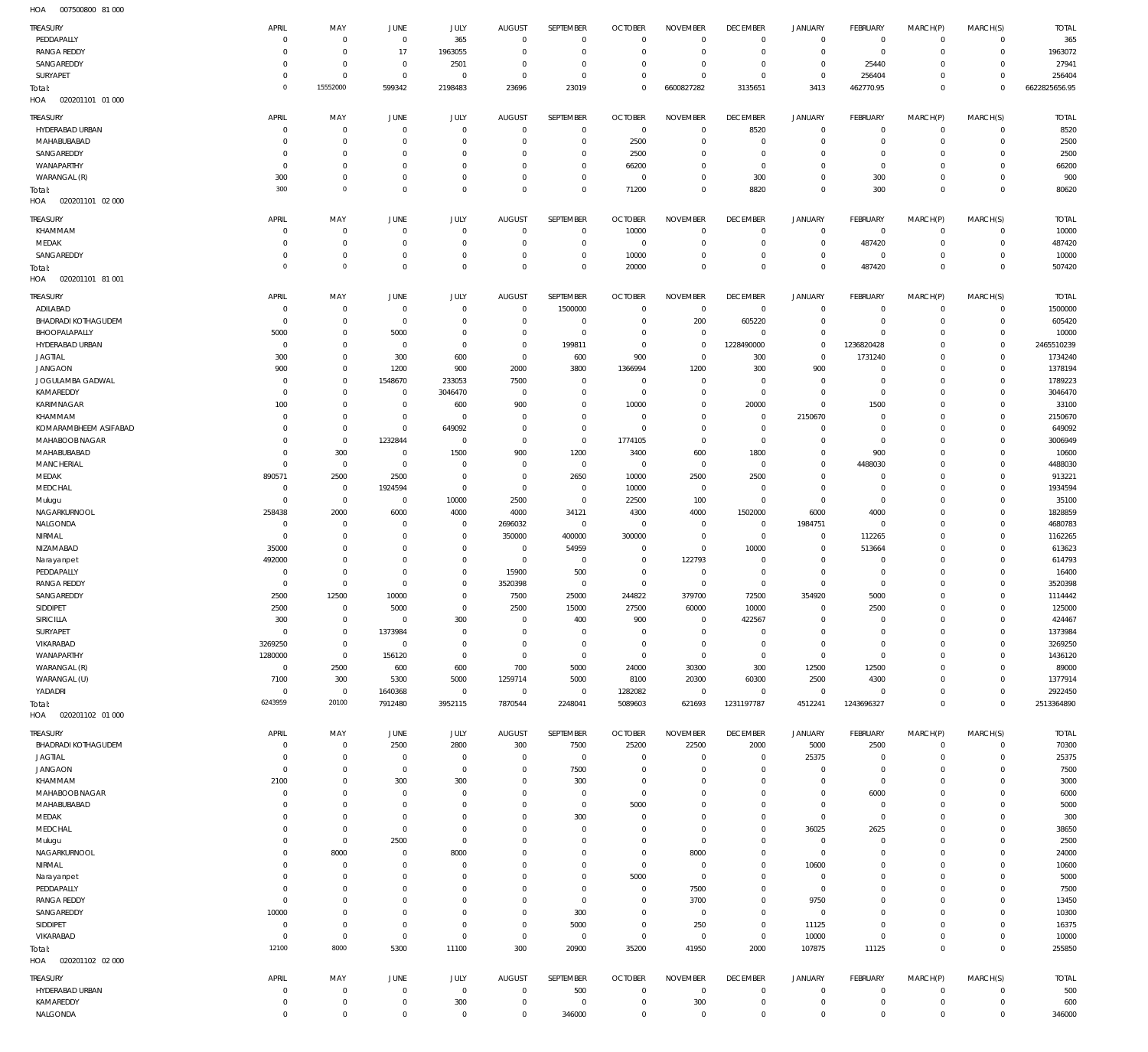007500800 81 000 HOA

| TREASURY                                      | APRIL                      | MAY                           | <b>JUNE</b>                | JULY                             | <b>AUGUST</b>               | SEPTEMBER                    | <b>OCTOBER</b>                | <b>NOVEMBER</b>                | <b>DECEMBER</b>                  | <b>JANUARY</b>                | <b>FEBRUARY</b>          | MARCH(P)                  | MARCH(S)                   | <b>TOTAL</b>            |
|-----------------------------------------------|----------------------------|-------------------------------|----------------------------|----------------------------------|-----------------------------|------------------------------|-------------------------------|--------------------------------|----------------------------------|-------------------------------|--------------------------|---------------------------|----------------------------|-------------------------|
| PEDDAPALLY                                    | $\mathbf 0$                | $\mathbf 0$                   | $\overline{0}$             | 365                              | $^{\circ}$                  | $^{\circ}$                   | $\Omega$                      | $\overline{0}$                 | $\overline{0}$                   | $\mathbf 0$                   | $\overline{0}$           | $\mathbf 0$               | $\mathbf 0$                | 365                     |
| <b>RANGA REDDY</b>                            | $\mathbf 0$                | $\,0\,$                       | 17                         | 1963055                          | $\Omega$                    | $\mathbf{0}$                 | $^{\circ}$                    | $\mathbf 0$                    | $\overline{0}$                   | $\mathbf 0$                   | $^{\circ}$               | $^{\circ}$                | $\mathbf 0$                | 1963072                 |
| SANGAREDDY                                    | $\mathbf 0$                | $\mathbf 0$                   | $^{\circ}$                 | 2501                             | $\Omega$                    | $^{\circ}$                   | $\Omega$                      | $\mathbf 0$                    | $\overline{0}$                   | $\mathbf 0$                   | 25440                    | $\Omega$                  | $\mathbf 0$                | 27941                   |
| SURYAPET                                      | $\mathbf 0$                | $\mathbf 0$                   | $\mathbf 0$                | $^{\circ}$                       | $\Omega$                    | $\overline{0}$               | $\Omega$                      | $\mathbf 0$                    | $^{\circ}$                       | $\mathbf 0$                   | 256404                   | $\mathbf 0$               | $\mathbf 0$                | 256404                  |
| Total:                                        | $\mathbf 0$                | 15552000                      | 599342                     | 2198483                          | 23696                       | 23019                        | $\Omega$                      | 6600827282                     | 3135651                          | 3413                          | 462770.95                | $\mathbf 0$               | $\mathbf 0$                | 6622825656.95           |
| 020201101 01 000<br>HOA                       |                            |                               |                            |                                  |                             |                              |                               |                                |                                  |                               |                          |                           |                            |                         |
| TREASURY                                      | APRIL                      | MAY                           | JUNE                       | JULY                             | <b>AUGUST</b>               | SEPTEMBER                    | <b>OCTOBER</b>                | <b>NOVEMBER</b>                | <b>DECEMBER</b>                  | <b>JANUARY</b>                | <b>FEBRUARY</b>          | MARCH(P)                  | MARCH(S)                   | <b>TOTAL</b>            |
| HYDERABAD URBAN                               | $\mathbf 0$                | $\overline{0}$                | $\mathbf 0$                | $^{\circ}$                       | $\circ$                     | $^{\circ}$                   | $^{\circ}$                    | $^{\circ}$                     | 8520                             | $\mathbf 0$                   | $^{\circ}$               | $^{\circ}$                | $\mathbf 0$                | 8520                    |
| MAHABUBABAD                                   | 0                          | $\mathbf 0$                   | $\mathbf 0$                | $\Omega$                         | $\Omega$                    | $\mathbf 0$                  | 2500                          | $\mathbf 0$                    | $\overline{0}$                   | $\mathbf 0$                   | $^{\circ}$               | 0                         | $\mathbf 0$                | 2500                    |
| SANGAREDDY                                    | 0                          | $\mathbf 0$                   | $\mathbf 0$                | $^{\circ}$                       | $\Omega$                    | $^{\circ}$                   | 2500                          | $^{\circ}$                     | 0                                | $\mathbf 0$                   | $^{\circ}$               | 0                         | $\mathbf 0$                | 2500                    |
| WANAPARTHY                                    | $\mathbf 0$                | $\mathbf 0$                   | $\Omega$                   | $\Omega$                         | $\Omega$                    | $\Omega$                     | 66200                         | $\mathbf 0$                    | $\overline{0}$                   | $\mathbf 0$                   | $^{\circ}$               | $\Omega$                  | $\mathbf 0$                | 66200                   |
| WARANGAL (R)                                  | 300<br>300                 | $\mathbf 0$<br>$\,0\,$        | $\mathbf 0$                | $^{\circ}$                       | $\mathbf 0$                 | $\mathbf 0$                  | $^{\circ}$                    | $\overline{0}$                 | 300                              | $\mathbf 0$                   | 300                      | $^{\circ}$                | $\mathbf 0$                | 900                     |
| Total:<br>020201101 02 000<br>HOA             |                            |                               | $\mathbf 0$                | $\overline{0}$                   | $\Omega$                    | $\mathbf 0$                  | 71200                         | $\mathbf 0$                    | 8820                             | $\mathbf 0$                   | 300                      | $\mathbf 0$               | $\mathbf 0$                | 80620                   |
|                                               |                            |                               |                            |                                  |                             |                              |                               |                                |                                  |                               |                          |                           |                            |                         |
| <b>TREASURY</b>                               | APRIL                      | MAY                           | JUNE                       | <b>JULY</b>                      | <b>AUGUST</b>               | SEPTEMBER                    | <b>OCTOBER</b>                | <b>NOVEMBER</b>                | <b>DECEMBER</b>                  | <b>JANUARY</b>                | <b>FEBRUARY</b>          | MARCH(P)                  | MARCH(S)                   | <b>TOTAL</b>            |
| KHAMMAM                                       | $\mathbf 0$                | $\mathbf 0$                   | $\mathbf 0$                | $^{\circ}$<br>$\overline{0}$     | $^{\circ}$<br>$\Omega$      | $^{\circ}$                   | 10000                         | $\mathbf{0}$<br>$\mathbf 0$    | $^{\circ}$                       | $\mathbf 0$<br>$\mathbf 0$    | $\overline{0}$           | $^{\circ}$                | $\mathbf 0$<br>$\mathbf 0$ | 10000                   |
| MEDAK<br>SANGAREDDY                           | $\mathbf 0$<br>$\mathbf 0$ | $\mathbf 0$<br>$\mathbf 0$    | $\mathbf 0$<br>$\mathbf 0$ | $\overline{0}$                   | $\Omega$                    | $^{\circ}$<br>$^{\circ}$     | 0<br>10000                    | $\mathbf 0$                    | $\overline{0}$<br>$\overline{0}$ | $\mathbf 0$                   | 487420<br>$^{\circ}$     | $^{\circ}$<br>$\mathbf 0$ | $\mathbf 0$                | 487420<br>10000         |
| Total:                                        | $\mathbf 0$                | $\mathbb O$                   | $\mathbf 0$                | $\overline{0}$                   | $\Omega$                    | $\mathbf 0$                  | 20000                         | $\mathbf 0$                    | $\mathbf 0$                      | $\mathsf 0$                   | 487420                   | $\mathbf 0$               | $\mathbf 0$                | 507420                  |
| 020201101 81 001<br>HOA                       |                            |                               |                            |                                  |                             |                              |                               |                                |                                  |                               |                          |                           |                            |                         |
|                                               |                            |                               |                            |                                  |                             |                              |                               |                                |                                  |                               |                          |                           |                            |                         |
| <b>TREASURY</b><br>ADILABAD                   | APRIL<br>$\mathbf 0$       | MAY<br>$\mathbf 0$            | JUNE<br>$\overline{0}$     | JULY<br>$^{\circ}$               | <b>AUGUST</b><br>$^{\circ}$ | SEPTEMBER<br>1500000         | <b>OCTOBER</b><br>$^{\circ}$  | <b>NOVEMBER</b><br>$\mathbf 0$ | <b>DECEMBER</b><br>$^{\circ}$    | <b>JANUARY</b><br>$\mathbf 0$ | FEBRUARY<br>$^{\circ}$   | MARCH(P)<br>$^{\circ}$    | MARCH(S)<br>$\mathbf 0$    | <b>TOTAL</b><br>1500000 |
| <b>BHADRADI KOTHAGUDEM</b>                    | $\Omega$                   | $\mathbf 0$                   | $^{\circ}$                 | $^{\circ}$                       | $\circ$                     | $^{\circ}$                   | $\Omega$                      | 200                            | 605220                           | $\mathbf 0$                   | $^{\circ}$               | 0                         | $\mathbf 0$                | 605420                  |
| BHOOPALAPALLY                                 | 5000                       | $\mathbf 0$                   | 5000                       | $^{\circ}$                       | $^{\circ}$                  | $\mathbf 0$                  | $\mathbf 0$                   | $\mathbf 0$                    | $\overline{0}$                   | $\mathbf 0$                   | $^{\circ}$               | $\Omega$                  | $\mathbf 0$                | 10000                   |
| HYDERABAD URBAN                               | $^{\circ}$                 | $\mathbf 0$                   | $^{\circ}$                 | $\overline{0}$                   | $^{\circ}$                  | 199811                       | $\Omega$                      | $\mathbf 0$                    | 1228490000                       | $\mathbf 0$                   | 1236820428               | $\Omega$                  | $\overline{0}$             | 2465510239              |
| <b>JAGTIAL</b>                                | 300                        | $\mathbf 0$                   | 300                        | 600                              | $^{\circ}$                  | 600                          | 900                           | $\mathbf 0$                    | 300                              | $\mathbf 0$                   | 1731240                  | $\Omega$                  | $\mathbf 0$                | 1734240                 |
| <b>JANGAON</b>                                | 900                        | $\mathbf 0$                   | 1200                       | 900                              | 2000                        | 3800                         | 1366994                       | 1200                           | 300                              | 900                           | $^{\circ}$               | $\Omega$                  | $\mathbf 0$                | 1378194                 |
| <b>JOGULAMBA GADWAL</b>                       | $\mathbf 0$                | $\overline{0}$                | 1548670                    | 233053                           | 7500                        | $^{\circ}$                   | $^{\circ}$                    | $\mathbf{0}$                   | $\overline{0}$                   | $\mathbf 0$                   | $^{\circ}$               | $\Omega$                  | $\mathbf 0$                | 1789223                 |
| KAMAREDDY                                     | $\mathbf 0$                | $\mathbf 0$                   | $\mathbf 0$                | 3046470                          | $^{\circ}$                  | $^{\circ}$                   | 0                             | $^{\circ}$                     | $\overline{0}$                   | $\mathbf 0$                   | $^{\circ}$               | $\Omega$                  | $\mathbf 0$                | 3046470                 |
| KARIMNAGAR                                    | 100                        | $\mathbf 0$                   | $\mathbf 0$                | 600                              | 900                         | $^{\circ}$                   | 10000                         | $\mathbf{0}$                   | 20000                            | $\mathbf 0$                   | 1500                     | $\Omega$                  | $\Omega$                   | 33100                   |
| KHAMMAM                                       | $\mathbf 0$                | $\mathbf 0$                   | $\mathbf 0$                | $^{\circ}$                       | $\circ$                     | $^{\circ}$                   | 0                             | $\overline{0}$                 | $^{\circ}$                       | 2150670                       | $^{\circ}$               | $\Omega$                  | $\mathbf 0$                | 2150670                 |
| KOMARAMBHEEM ASIFABAD<br>MAHABOOB NAGAR       | $\mathbf 0$<br>$\mathbf 0$ | $\mathbf 0$<br>$\mathbb O$    | $\mathbf 0$<br>1232844     | 649092<br>$^{\circ}$             | $\Omega$<br>$^{\circ}$      | $\mathbf{0}$<br>$\mathbf 0$  | $^{\circ}$<br>1774105         | $\mathbf{0}$<br>$\mathbb O$    | $\mathbf 0$<br>$\overline{0}$    | $\mathbf 0$<br>$\mathbf 0$    | $^{\circ}$<br>$^{\circ}$ | $\Omega$<br>$\Omega$      | $\Omega$<br>$\mathbf 0$    | 649092<br>3006949       |
| MAHABUBABAD                                   | $\mathbf 0$                | 300                           | $\mathbf 0$                | 1500                             | 900                         | 1200                         | 3400                          | 600                            | 1800                             | $\mathbf 0$                   | 900                      | $\Omega$                  | $\Omega$                   | 10600                   |
| MANCHERIAL                                    | $\mathbf 0$                | $\mathbf 0$                   | $^{\circ}$                 | $^{\circ}$                       | $\circ$                     | $\overline{0}$               | $^{\circ}$                    | $\mathbf{0}$                   | $^{\circ}$                       | $\mathbf 0$                   | 4488030                  | $\Omega$                  | $\mathbf 0$                | 4488030                 |
| MEDAK                                         | 890571                     | 2500                          | 2500                       | $^{\circ}$                       | $\Omega$                    | 2650                         | 10000                         | 2500                           | 2500                             | $\mathbf 0$                   | $^{\circ}$               | $\Omega$                  | $\Omega$                   | 913221                  |
| MEDCHAL                                       | $\mathbf 0$                | $\mathbf 0$                   | 1924594                    | $\overline{0}$                   | $\Omega$                    | $\overline{0}$               | 10000                         | $^{\circ}$                     | $^{\circ}$                       | $\mathbf 0$                   | $^{\circ}$               | $\Omega$                  | $\mathbf 0$                | 1934594                 |
| Mulugu                                        | $\mathbf 0$                | $\mathbb O$                   | $\mathbf 0$                | 10000                            | 2500                        | $\overline{0}$               | 22500                         | 100                            | $^{\circ}$                       | $\mathbf 0$                   | $^{\circ}$               | $\Omega$                  | $\Omega$                   | 35100                   |
| NAGARKURNOOL                                  | 258438                     | 2000                          | 6000                       | 4000                             | 4000                        | 34121                        | 4300                          | 4000                           | 1502000                          | 6000                          | 4000                     | $\Omega$                  | $\mathbf 0$                | 1828859                 |
| NALGONDA                                      | 0                          | $^{\circ}$                    | $\mathbf 0$                | $^{\circ}$                       | 2696032                     | $\overline{0}$               | 0                             | $^{\circ}$                     | $\overline{0}$                   | 1984751                       | $^{\circ}$               | $\Omega$                  | $\Omega$                   | 4680783                 |
| NIRMAL                                        | 0                          | $\overline{0}$                | $\mathbf 0$                | $\overline{0}$                   | 350000                      | 400000                       | 300000                        | $\mathbf 0$                    | $\overline{0}$                   | $\mathbf 0$                   | 112265                   | $\Omega$                  | $\mathbf 0$                | 1162265                 |
| NIZAMABAD                                     | 35000                      | $\mathbf 0$                   | $\mathbf 0$                | $^{\circ}$                       | $\overline{0}$              | 54959                        | $\mathbf 0$                   | $\mathbf 0$                    | 10000                            | $\mathbf 0$                   | 513664                   | $\Omega$                  | $\mathbf 0$                | 613623                  |
| Narayanpet<br>PEDDAPALLY                      | 492000<br>$\mathbf 0$      | $\overline{0}$<br>$\mathbf 0$ | $\Omega$<br>$\mathbf 0$    | $\overline{0}$<br>$\overline{0}$ | $^{\circ}$<br>15900         | $\overline{0}$<br>500        | $\mathbf 0$<br>$\overline{0}$ | 122793<br>$\overline{0}$       | $\overline{0}$<br>0              | $\mathbf 0$<br>$\mathbf 0$    | $^{\circ}$<br>$^{\circ}$ | $\Omega$<br>$\Omega$      | $\mathbf 0$<br>$\mathbf 0$ | 614793<br>16400         |
| <b>RANGA REDDY</b>                            | $\mathbf 0$                | $\overline{0}$                | $\Omega$                   | $\overline{0}$                   | 3520398                     | $\overline{0}$               | $\Omega$                      | $\mathbf 0$                    | $\Omega$                         | $\mathbf 0$                   | $^{\circ}$               | $\Omega$                  | $\mathbf 0$                | 3520398                 |
| SANGAREDDY                                    | 2500                       | 12500                         | 10000                      | $\overline{0}$                   | 7500                        | 25000                        | 244822                        | 379700                         | 72500                            | 354920                        | 5000                     | $\Omega$                  | $\mathbf 0$                | 1114442                 |
| SIDDIPET                                      | 2500                       | $\Omega$                      | 5000                       | $\Omega$                         | 2500                        | 15000                        | 27500                         | 60000                          | 10000                            | $\Omega$                      | 2500                     | $\Omega$                  | $\Omega$                   | 125000                  |
| <b>SIRICILLA</b>                              | 300                        | $\mathbf 0$                   | $\mathbf 0$                | 300                              | $^{\circ}$                  | 400                          | 900                           | $\overline{0}$                 | 422567                           | $\mathbf 0$                   | $\mathbf 0$              | $^{\circ}$                | $\mathbf 0$                | 424467                  |
| SURYAPET                                      | $\mathbf 0$                | $\,0\,$                       | 1373984                    | $^{\circ}$                       | $\mathbf 0$                 | $^{\circ}$                   | $^{\circ}$                    | $\mathbf 0$                    | $\overline{0}$                   | $\mathbf 0$                   | $^{\circ}$               | $^{\circ}$                | $\mathbf 0$                | 1373984                 |
| VIKARABAD                                     | 3269250                    | $\,0\,$                       | $\overline{0}$             | $^{\circ}$                       | $\Omega$                    | $^{\circ}$                   | $\overline{0}$                | $\mathbf 0$                    | $^{\circ}$                       | $\mathbf 0$                   | $^{\circ}$               | 0                         | $\mathbf 0$                | 3269250                 |
| WANAPARTHY                                    | 1280000                    | $\mathbf 0$                   | 156120                     | $\overline{0}$                   | $^{\circ}$                  | $\mathbf 0$                  | $^{\circ}$                    | $\mathbf 0$                    | $^{\circ}$                       | $\mathbf 0$                   | $^{\circ}$               | 0                         | $\mathbf 0$                | 1436120                 |
| WARANGAL (R)                                  | $^{\circ}$                 | 2500                          | 600                        | 600                              | 700                         | 5000                         | 24000                         | 30300                          | 300                              | 12500                         | 12500                    | $\Omega$                  | $\mathbf 0$                | 89000                   |
| WARANGAL (U)<br>YADADRI                       | 7100<br>$\mathbf 0$        | 300<br>$\,0\,$                | 5300<br>1640368            | 5000<br>$\mathbf 0$              | 1259714<br>$^{\circ}$       | 5000<br>$\overline{0}$       | 8100<br>1282082               | 20300<br>$\mathbf 0$           | 60300<br>$^{\circ}$              | 2500<br>$\mathbf 0$           | 4300<br>$^{\circ}$       | 0<br>0                    | $\mathbf 0$<br>$\mathbf 0$ | 1377914<br>2922450      |
| Total:                                        | 6243959                    | 20100                         | 7912480                    | 3952115                          | 7870544                     | 2248041                      | 5089603                       | 621693                         | 1231197787                       | 4512241                       | 1243696327               | $\mathbf 0$               | $\mathbf 0$                | 2513364890              |
| 020201102 01 000<br>HOA                       |                            |                               |                            |                                  |                             |                              |                               |                                |                                  |                               |                          |                           |                            |                         |
|                                               |                            |                               |                            |                                  |                             |                              |                               |                                |                                  |                               |                          |                           |                            |                         |
| <b>TREASURY</b><br><b>BHADRADI KOTHAGUDEM</b> | APRIL<br>$\mathbf 0$       | MAY<br>$\,0\,$                | <b>JUNE</b><br>2500        | JULY<br>2800                     | <b>AUGUST</b><br>300        | SEPTEMBER<br>7500            | <b>OCTOBER</b><br>25200       | <b>NOVEMBER</b><br>22500       | <b>DECEMBER</b><br>2000          | <b>JANUARY</b><br>5000        | <b>FEBRUARY</b><br>2500  | MARCH(P)<br>$\mathbf 0$   | MARCH(S)<br>$\overline{0}$ | <b>TOTAL</b><br>70300   |
| <b>JAGTIAL</b>                                | $\mathbf 0$                | $\,0\,$                       | $\overline{0}$             | $\overline{0}$                   | $^{\circ}$                  | $\mathbf 0$                  | $^{\circ}$                    | $^{\circ}$                     | $^{\circ}$                       | 25375                         | $^{\circ}$               | $\mathbf 0$               | $\mathbf 0$                | 25375                   |
| <b>JANGAON</b>                                | $\mathbf 0$                | $\mathbf 0$                   | $\mathbf 0$                | $\mathbf 0$                      | $^{\circ}$                  | 7500                         | $^{\circ}$                    | $\mathbf 0$                    | $\overline{0}$                   | $\mathbf 0$                   | $^{\circ}$               | $\mathbf 0$               | $\mathbf 0$                | 7500                    |
| KHAMMAM                                       | 2100                       | $\,0\,$                       | 300                        | 300                              | $\overline{0}$              | 300                          | $^{\circ}$                    | $\mathbf 0$                    | $^{\circ}$                       | $\mathbf 0$                   | $^{\circ}$               | $\mathbf 0$               | $\mathbf 0$                | 3000                    |
| MAHABOOB NAGAR                                | $\mathbf 0$                | $\mathbf 0$                   | $\mathbf 0$                | $\overline{0}$                   | $\Omega$                    | $\overline{0}$               | $^{\circ}$                    | $\mathbf 0$                    | $^{\circ}$                       | $\mathbf 0$                   | 6000                     | 0                         | $\mathbf 0$                | 6000                    |
| MAHABUBABAD                                   | $\mathbf 0$                | $\mathbf 0$                   | $\mathbf 0$                | $\overline{0}$                   | $^{\circ}$                  | $\mathbf 0$                  | 5000                          | $\overline{0}$                 | $^{\circ}$                       | $\mathbf 0$                   | $^{\circ}$               | $\mathbf 0$               | $\mathbf 0$                | 5000                    |
| MEDAK                                         | $\mathbf 0$                | $\mathbf 0$                   | $\mathbf 0$                | $\overline{0}$                   | $\Omega$                    | 300                          | $^{\circ}$                    | $\mathbf 0$                    | $^{\circ}$                       | $\mathbf 0$                   | $\overline{0}$           | $\mathbf 0$               | $\mathbf 0$                | 300                     |
| <b>MEDCHAL</b>                                | $\mathbf 0$                | $\mathbf 0$                   | $\mathbf 0$                | $\overline{0}$                   | $^{\circ}$                  | $\overline{0}$               | $^{\circ}$                    | $\overline{0}$                 | $^{\circ}$                       | 36025                         | 2625                     | 0                         | $\mathbf 0$                | 38650                   |
| Mulugu                                        | $\mathbf 0$                | $\,0\,$                       | 2500                       | $\overline{0}$                   | $\Omega$                    | $\mathbf{0}$                 | $^{\circ}$                    | $\mathbf 0$                    | $\mathbf 0$                      | $\mathbf 0$                   | $^{\circ}$               | 0                         | $\mathbf 0$                | 2500                    |
| NAGARKURNOOL                                  | $\mathbf 0$                | 8000                          | $\mathbf 0$                | 8000<br>$\overline{0}$           | $\mathbf 0$<br>$\Omega$     | $\mathbf{0}$<br>$\mathbf{0}$ | $\overline{0}$                | 8000                           | $^{\circ}$                       | $\mathbf 0$                   | $^{\circ}$               | 0                         | $\mathbf 0$<br>$\mathbf 0$ | 24000                   |
| NIRMAL<br>Narayanpet                          | $\mathbf 0$<br>$\mathbf 0$ | $\mathbf 0$<br>$\mathbf 0$    | $\mathbf 0$<br>$\mathbf 0$ | $^{\circ}$                       | $\mathbf 0$                 | $\mathbf 0$                  | $\overline{0}$<br>5000        | $\overline{0}$<br>$\mathbf 0$  | $^{\circ}$<br>$^{\circ}$         | 10600<br>$\mathbf 0$          | $^{\circ}$<br>$^{\circ}$ | $\mathbf 0$<br>0          | $\mathbf 0$                | 10600<br>5000           |
| PEDDAPALLY                                    | $\mathbf 0$                | $\mathbf 0$                   | $\mathbf 0$                | $^{\circ}$                       | $\Omega$                    | $\mathbf 0$                  | $^{\circ}$                    | 7500                           | $^{\circ}$                       | $\mathbf 0$                   | $^{\circ}$               | $\mathbf 0$               | $\mathbf 0$                | 7500                    |
| <b>RANGA REDDY</b>                            | $\mathbf 0$                | $\mathbf 0$                   | $\Omega$                   | $\overline{0}$                   | $\Omega$                    | $\mathbf 0$                  | $\mathbf 0$                   | 3700                           | $^{\circ}$                       | 9750                          | $^{\circ}$               | $\mathbf 0$               | $\mathbf 0$                | 13450                   |
| SANGAREDDY                                    | 10000                      | $\mathbf 0$                   | $\mathbf 0$                | $\overline{0}$                   | $^{\circ}$                  | 300                          | $^{\circ}$                    | $\overline{0}$                 | $^{\circ}$                       | $\mathbf 0$                   | $^{\circ}$               | $\mathbf 0$               | $\mathbf 0$                | 10300                   |
| SIDDIPET                                      | $\mathbf 0$                | $\mathbf 0$                   | $\mathbf 0$                | $\overline{0}$                   | $^{\circ}$                  | 5000                         | $^{\circ}$                    | 250                            | $^{\circ}$                       | 11125                         | $^{\circ}$               | $\mathbf 0$               | $\mathbf 0$                | 16375                   |
| VIKARABAD                                     | $\mathbf 0$                | $\,0\,$                       | $\overline{0}$             | $\mathbf 0$                      | $^{\circ}$                  | $\overline{0}$               | $\overline{0}$                | $\overline{0}$                 | $^{\circ}$                       | 10000                         | $^{\circ}$               | $\mathbf 0$               | $\mathbf 0$                | 10000                   |
| Total:                                        | 12100                      | 8000                          | 5300                       | 11100                            | 300                         | 20900                        | 35200                         | 41950                          | 2000                             | 107875                        | 11125                    | $\mathbf 0$               | $\mathbf 0$                | 255850                  |
| 020201102 02 000<br>HOA                       |                            |                               |                            |                                  |                             |                              |                               |                                |                                  |                               |                          |                           |                            |                         |
| <b>TREASURY</b>                               | APRIL                      | MAY                           | <b>JUNE</b>                | <b>JULY</b>                      | <b>AUGUST</b>               | SEPTEMBER                    | <b>OCTOBER</b>                | <b>NOVEMBER</b>                | <b>DECEMBER</b>                  | <b>JANUARY</b>                | <b>FEBRUARY</b>          | MARCH(P)                  | MARCH(S)                   | <b>TOTAL</b>            |
| HYDERABAD URBAN                               | $\mathbf 0$                | $\mathbf 0$                   | $\mathbf 0$                | $\mathbf 0$                      | $^{\circ}$                  | 500                          | $^{\circ}$                    | $^{\circ}$                     | $^{\circ}$                       | $\mathbf 0$                   | $^{\circ}$               | $^{\circ}$                | $\mathbf 0$                | 500                     |
| KAMAREDDY                                     | $\mathbf 0$                | $\,0\,$                       | $\mathbf 0$                | 300                              | $\circ$                     | $\overline{0}$               | $\mathbf 0$                   | 300                            | $^{\circ}$                       | $\mathbf 0$                   | $\mathbf 0$              | $\mathbf 0$               | $\overline{0}$             | 600                     |
| NALGONDA                                      | $\mathbf 0$                | $\,0\,$                       | $\mathbf 0$                | $\overline{0}$                   | $\mathbf 0$                 | 346000                       | $\mathbf 0$                   | $\mathbf 0$                    | $\mathbf 0$                      | $\mathbf 0$                   | $\mathbf 0$              | $\mathbf 0$               | $\mathbf 0$                | 346000                  |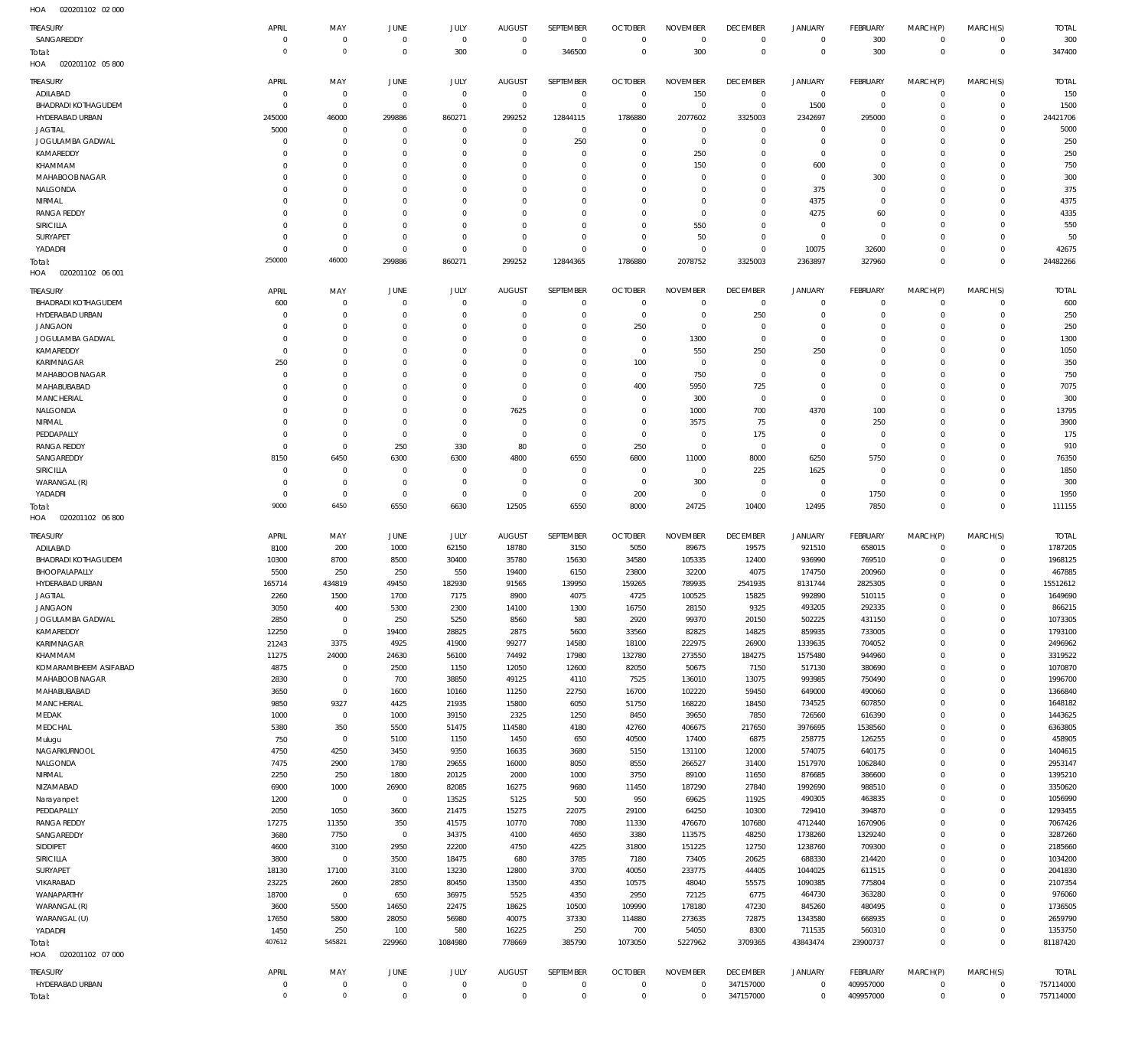020201102 02 000 HOA

| <b>TREASURY</b>                        | APRIL                      | MAY                                | JUNE                          | JULY                       | <b>AUGUST</b>              | SEPTEMBER                  | <b>OCTOBER</b>                | <b>NOVEMBER</b>            | <b>DECEMBER</b>            | <b>JANUARY</b>                | <b>FEBRUARY</b>          | MARCH(P)                   | MARCH(S)                    | <b>TOTAL</b>           |
|----------------------------------------|----------------------------|------------------------------------|-------------------------------|----------------------------|----------------------------|----------------------------|-------------------------------|----------------------------|----------------------------|-------------------------------|--------------------------|----------------------------|-----------------------------|------------------------|
| SANGAREDDY                             | 0                          | $\mathbf 0$                        | $\mathbf 0$                   | $\mathbf 0$                | $\mathbf 0$                | $^{\circ}$                 | $\mathbf 0$                   | $\mathbf 0$                | $\mathbf 0$                | $\mathbf 0$                   | 300                      | $\mathbf 0$                | $\mathbf 0$                 | 300                    |
| Total:                                 | $\circ$                    | $\mathbb O$                        | $\mathbf 0$                   | 300                        | $^{\circ}$                 | 346500                     | $\overline{0}$                | 300                        | $\mathbf 0$                | $\mathbf 0$                   | 300                      | $\mathbf 0$                | $\mathbf 0$                 | 347400                 |
| HOA<br>020201102 05 800                |                            |                                    |                               |                            |                            |                            |                               |                            |                            |                               |                          |                            |                             |                        |
| <b>TREASURY</b>                        | APRIL                      | MAY                                | JUNE                          | JULY                       | <b>AUGUST</b>              | SEPTEMBER                  | <b>OCTOBER</b>                | <b>NOVEMBER</b>            | <b>DECEMBER</b>            | <b>JANUARY</b>                | FEBRUARY                 | MARCH(P)                   | MARCH(S)                    | <b>TOTAL</b>           |
| ADILABAD                               | 0                          | $\mathbf 0$                        | $^{\circ}$                    | $^{\circ}$                 | $^{\circ}$                 | $\mathbf 0$                | $\overline{0}$                | 150                        | $\mathbf 0$                | $\overline{0}$                | $^{\circ}$               | $\mathbf 0$                | $^{\circ}$                  | 150                    |
| <b>BHADRADI KOTHAGUDEM</b>             | 0                          | $^{\circ}$                         | 0                             | $\mathbf 0$                | $^{\circ}$                 | $\mathbf 0$                | $\overline{0}$                | $\mathbf 0$                | $\overline{0}$             | 1500                          | $\overline{0}$           | $\Omega$                   | $^{\circ}$                  | 1500                   |
| HYDERABAD URBAN                        | 245000                     | 46000                              | 299886                        | 860271                     | 299252                     | 12844115                   | 1786880                       | 2077602                    | 3325003                    | 2342697                       | 295000                   | 0                          | $\mathbf 0$                 | 24421706               |
| <b>JAGTIAL</b><br>JOGULAMBA GADWAL     | 5000<br>0                  | $^{\circ}$<br>$^{\circ}$           | $^{\circ}$<br>$^{\circ}$      | $^{\circ}$<br>$\mathbf 0$  | $^{\circ}$<br>$^{\circ}$   | $\mathbf 0$<br>250         | $\mathbf 0$<br>$\mathbf 0$    | $\mathbf 0$<br>$\mathbf 0$ | $\mathbf 0$<br>$\mathbf 0$ | $\mathbf 0$<br>$\mathbf 0$    | $\circ$<br>$^{\circ}$    | 0                          | $\mathbf 0$<br>$^{\circ}$   | 5000<br>250            |
| KAMAREDDY                              | $\Omega$                   | $^{\circ}$                         | 0                             | 0                          | 0                          | $\mathbf 0$                | $\mathbf 0$                   | 250                        | $\mathbf 0$                | $\mathbf 0$                   | $\circ$                  | 0                          | $^{\circ}$                  | 250                    |
| KHAMMAM                                | $\Omega$                   | $^{\circ}$                         | 0                             | $\Omega$                   | $\Omega$                   | $\mathbf 0$                | $\mathbf 0$                   | 150                        | $\mathbf 0$                | 600                           | $^{\circ}$               |                            | $\mathbf 0$                 | 750                    |
| MAHABOOB NAGAR                         | $\Omega$                   | $^{\circ}$                         | 0                             | $\mathbf 0$                | 0                          | $\mathbf 0$                | $\mathbf 0$                   | $\mathbf 0$                | $\mathbf 0$                | $^{\circ}$                    | 300                      | 0                          | $\mathbf 0$                 | 300                    |
| NALGONDA                               | $\Omega$                   | $\mathbf 0$                        | 0                             | 0                          | $\Omega$                   | $\mathbf 0$                | $\mathbf 0$                   | $\Omega$                   | $\mathbf 0$                | 375                           | $^{\circ}$               |                            | $\mathbf 0$                 | 375                    |
| NIRMAL                                 | $\Omega$                   | $\mathbf 0$                        | $^{\circ}$                    | $\mathbf 0$                | $\Omega$                   | $\mathbf 0$                | $\mathbf 0$                   | $\mathbf 0$                | $\mathbf 0$                | 4375                          | $^{\circ}$               | 0                          | $^{\circ}$                  | 4375                   |
| <b>RANGA REDDY</b>                     | $\Omega$                   | $\mathbf 0$                        | 0                             | 0                          | 0<br>$\Omega$              | $\mathbf{0}$               | $\mathbf 0$                   | $\mathbf 0$                | $\mathbf 0$                | 4275                          | 60                       |                            | $\mathbf 0$                 | 4335                   |
| SIRICILLA<br>SURYAPET                  | $\Omega$<br>0              | $\mathbf 0$<br>$\mathbf 0$         | $^{\circ}$<br>$^{\circ}$      | $\mathbf 0$<br>$\mathbf 0$ | $^{\circ}$                 | $\mathbf 0$<br>$\mathbf 0$ | $\mathbf 0$<br>$\mathbf 0$    | 550<br>50                  | $\mathbf 0$<br>$\mathbf 0$ | $\mathbf 0$<br>$\mathbf 0$    | $^{\circ}$<br>$^{\circ}$ | 0                          | $\mathbf 0$<br>$\mathbf 0$  | 550<br>50              |
| YADADRI                                | $\Omega$                   | $\mathbf 0$                        | $^{\circ}$                    | $\mathbf 0$                | $^{\circ}$                 | $\mathbf 0$                | $\mathbf 0$                   | $\Omega$                   | $\mathbf 0$                | 10075                         | 32600                    | $\Omega$                   | $\mathbf 0$                 | 42675                  |
| Total:                                 | 250000                     | 46000                              | 299886                        | 860271                     | 299252                     | 12844365                   | 1786880                       | 2078752                    | 3325003                    | 2363897                       | 327960                   | $\Omega$                   | $\Omega$                    | 24482266               |
| 020201102 06 001<br>HOA                |                            |                                    |                               |                            |                            |                            |                               |                            |                            |                               |                          |                            |                             |                        |
| TREASURY                               | APRIL                      | MAY                                | <b>JUNE</b>                   | JULY                       | <b>AUGUST</b>              | SEPTEMBER                  | <b>OCTOBER</b>                | <b>NOVEMBER</b>            | <b>DECEMBER</b>            | JANUARY                       | FEBRUARY                 | MARCH(P)                   | MARCH(S)                    | <b>TOTAL</b>           |
| <b>BHADRADI KOTHAGUDEM</b>             | 600                        | $^{\circ}$                         | $^{\circ}$                    | $^{\circ}$                 | $^{\circ}$                 | $\mathbf 0$                | $\mathbf 0$                   | $\mathbf 0$                | $\mathbf 0$                | $\mathbf 0$                   | $\circ$                  | 0                          | $\mathbf 0$                 | 600                    |
| HYDERABAD URBAN                        | $\Omega$                   | $\mathbf 0$                        | 0                             | $^{\circ}$                 | 0                          | $\mathbf 0$                | $\mathbf 0$                   | $\mathbf 0$                | 250                        | $\mathbf 0$                   | $\circ$                  | 0                          | $\mathbf 0$                 | 250                    |
| <b>JANGAON</b>                         | $\Omega$                   | $\mathbf 0$                        | 0                             | 0                          | 0                          | $\mathbf 0$                | 250                           | $\mathbf 0$                | $\mathbf 0$                | $\mathbf 0$                   | $\Omega$                 |                            | $\mathbf 0$                 | 250                    |
| JOGULAMBA GADWAL                       | 0                          | $\mathbf 0$                        | 0                             | $\Omega$                   | $\Omega$                   | 0                          | $\mathbf 0$                   | 1300                       | $\mathbf 0$                | $\mathbf 0$                   | $\Omega$                 |                            | $\Omega$                    | 1300                   |
| KAMAREDDY                              | 0                          | $\mathbf 0$                        | 0                             | 0                          | 0                          | $\mathbf 0$                | $\mathbf 0$                   | 550                        | 250                        | 250                           | $\Omega$                 | 0                          | $\mathbf 0$                 | 1050                   |
| KARIMNAGAR                             | 250                        | $\mathbf 0$                        | 0                             | $\Omega$                   | $\Omega$                   | 0                          | 100                           | $\mathbf 0$                | $\mathbf 0$                | $\mathbf 0$                   | $\Omega$                 |                            | $\Omega$                    | 350                    |
| MAHABOOB NAGAR<br>MAHABUBABAD          | 0<br>$\Omega$              | $\mathbf 0$<br>$\mathbf 0$         | 0<br>0                        | 0<br>$\Omega$              | 0<br>0                     | $\mathbf 0$<br>0           | $\overline{0}$<br>400         | 750<br>5950                | $\mathbf 0$<br>725         | $\mathbf 0$<br>$\mathbf 0$    | 0<br>$\Omega$            | 0                          | $\mathbf 0$<br>$\Omega$     | 750<br>7075            |
| MANCHERIAL                             | 0                          | $\mathbf 0$                        | 0                             | 0                          | $^{\circ}$                 | $\mathbf 0$                | $\mathbf 0$                   | 300                        | $\mathbf 0$                | $\mathbf 0$                   | $\mathbf 0$              | 0                          | $\Omega$                    | 300                    |
| NALGONDA                               | $\Omega$                   | $\overline{0}$                     | 0                             | 0                          | 7625                       | 0                          | $\mathbf 0$                   | 1000                       | 700                        | 4370                          | 100                      |                            | $\Omega$                    | 13795                  |
| NIRMAL                                 | $\Omega$                   | $\mathbf 0$                        | 0                             | $\mathbf{0}$               | $^{\circ}$                 | $\mathbf 0$                | $\mathbf 0$                   | 3575                       | 75                         | $\mathbf 0$                   | 250                      |                            | $\Omega$                    | 3900                   |
| PEDDAPALLY                             | 0                          | $\mathbf 0$                        | $^{\circ}$                    | $\mathbf 0$                | 0                          | $\mathbf 0$                | $\mathbf 0$                   | $\mathbf 0$                | 175                        | $\mathbf 0$                   | $^{\circ}$               |                            | $\Omega$                    | 175                    |
| <b>RANGA REDDY</b>                     | 0                          | $\mathbf 0$                        | 250                           | 330                        | 80                         | $\mathbf 0$                | 250                           | $\mathbf 0$                | $\mathbf 0$                | $\mathbf 0$                   | $^{\circ}$               |                            | $\Omega$                    | 910                    |
| SANGAREDDY                             | 8150                       | 6450                               | 6300                          | 6300                       | 4800                       | 6550                       | 6800                          | 11000                      | 8000                       | 6250                          | 5750                     |                            | $\mathbf 0$                 | 76350                  |
| SIRICILLA                              | 0                          | $^{\circ}$                         | $^{\circ}$                    | 0                          | 0                          | $\mathbf 0$                | $\overline{0}$                | $\mathbf 0$                | 225                        | 1625                          | $\mathbf 0$              |                            | $\mathbf 0$                 | 1850                   |
| WARANGAL (R)<br>YADADRI                | 0<br>0                     | $\mathbf 0$<br>$\mathbf 0$         | $^{\circ}$<br>$^{\circ}$      | $^{\circ}$<br>$\mathbf 0$  | 0<br>0                     | $\mathbf 0$<br>$\mathbf 0$ | $\overline{0}$<br>200         | 300<br>$\mathbf 0$         | $\mathbf 0$<br>$\mathbf 0$ | $\mathbf 0$<br>$\mathbf 0$    | $^{\circ}$<br>1750       | 0<br>0                     | $\mathbf 0$<br>$\mathbf 0$  | 300<br>1950            |
| Total:                                 | 9000                       | 6450                               | 6550                          | 6630                       | 12505                      | 6550                       | 8000                          | 24725                      | 10400                      | 12495                         | 7850                     | $\Omega$                   | $\mathbf 0$                 | 111155                 |
|                                        |                            |                                    |                               |                            |                            |                            |                               |                            |                            |                               |                          |                            |                             |                        |
| HOA<br>020201102 06 800                |                            |                                    |                               |                            |                            |                            |                               |                            |                            |                               |                          |                            |                             |                        |
|                                        |                            |                                    |                               |                            |                            |                            |                               |                            |                            |                               |                          |                            |                             |                        |
| <b>TREASURY</b>                        | APRIL                      | MAY                                | JUNE                          | JULY                       | <b>AUGUST</b>              | SEPTEMBER                  | <b>OCTOBER</b>                | <b>NOVEMBER</b>            | <b>DECEMBER</b>            | <b>JANUARY</b>                | FEBRUARY                 | MARCH(P)                   | MARCH(S)                    | <b>TOTAL</b>           |
| ADILABAD<br><b>BHADRADI KOTHAGUDEM</b> | 8100<br>10300              | 200                                | 1000<br>8500                  | 62150<br>30400             | 18780                      | 3150                       | 5050                          | 89675<br>105335            | 19575                      | 921510                        | 658015                   | $\Omega$<br>$\Omega$       | $\mathbf 0$<br>$\mathbf 0$  | 1787205                |
| BHOOPALAPALLY                          | 5500                       | 8700<br>250                        | 250                           | 550                        | 35780<br>19400             | 15630<br>6150              | 34580<br>23800                | 32200                      | 12400<br>4075              | 936990<br>174750              | 769510<br>200960         |                            | $\mathbf 0$                 | 1968125<br>467885      |
| HYDERABAD URBAN                        | 165714                     | 434819                             | 49450                         | 182930                     | 91565                      | 139950                     | 159265                        | 789935                     | 2541935                    | 8131744                       | 2825305                  |                            | $\mathbf 0$                 | 15512612               |
| <b>JAGTIAL</b>                         | 2260                       | 1500                               | 1700                          | 7175                       | 8900                       | 4075                       | 4725                          | 100525                     | 15825                      | 992890                        | 510115                   | $\Omega$                   | $\mathbf 0$                 | 1649690                |
| <b>JANGAON</b>                         | 3050                       | 400                                | 5300                          | 2300                       | 14100                      | 1300                       | 16750                         | 28150                      | 9325                       | 493205                        | 292335                   | $\Omega$                   | $\Omega$                    | 866215                 |
| JOGULAMBA GADWAL                       | 2850                       | $\mathbf 0$                        | 250                           | 5250                       | 8560                       | 580                        | 2920                          | 99370                      | 20150                      | 502225                        | 431150                   | $\mathbf 0$                | $\mathbf 0$                 | 1073305                |
| KAMAREDDY                              | 12250                      | $\overline{0}$                     | 19400                         | 28825                      | 2875                       | 5600                       | 33560                         | 82825                      | 14825                      | 859935                        | 733005                   | $\mathbf 0$                | $\mathbf 0$                 | 1793100                |
| KARIMNAGAR<br>KHAMMAM                  | 21243<br>11275             | 3375<br>24000                      | 4925<br>24630                 | 41900<br>56100             | 99277<br>74492             | 14580<br>17980             | 18100<br>132780               | 222975<br>273550           | 26900<br>184275            | 1339635<br>1575480            | 704052<br>944960         | $\Omega$<br>$\mathbf 0$    | $\mathbf 0$<br>$\mathbf 0$  | 2496962<br>3319522     |
| KOMARAMBHEEM ASIFABAD                  | 4875                       | $\overline{0}$                     | 2500                          | 1150                       | 12050                      | 12600                      | 82050                         | 50675                      | 7150                       | 517130                        | 380690                   | $\Omega$                   | $\mathbf 0$                 | 1070870                |
| MAHABOOB NAGAR                         | 2830                       | $\mathbf 0$                        | 700                           | 38850                      | 49125                      | 4110                       | 7525                          | 136010                     | 13075                      | 993985                        | 750490                   | $\Omega$                   | $\mathbf 0$                 | 1996700                |
| MAHABUBABAD                            | 3650                       | $\mathbf 0$                        | 1600                          | 10160                      | 11250                      | 22750                      | 16700                         | 102220                     | 59450                      | 649000                        | 490060                   | $\Omega$                   | $\mathbf 0$                 | 1366840                |
| <b>MANCHERIAL</b>                      | 9850                       | 9327                               | 4425                          | 21935                      | 15800                      | 6050                       | 51750                         | 168220                     | 18450                      | 734525                        | 607850                   | $\Omega$                   | $\mathbf 0$                 | 1648182                |
| MEDAK                                  | 1000                       | $\overline{0}$                     | 1000                          | 39150                      | 2325                       | 1250                       | 8450                          | 39650                      | 7850                       | 726560                        | 616390                   | $\Omega$                   | $\mathbf 0$                 | 1443625                |
| MEDCHAL                                | 5380                       | 350                                | 5500                          | 51475                      | 114580                     | 4180                       | 42760                         | 406675                     | 217650                     | 3976695                       | 1538560                  | $\Omega$                   | $\mathbf 0$                 | 6363805                |
| Mulugu<br>NAGARKURNOOL                 | 750<br>4750                | $\overline{0}$<br>4250             | 5100<br>3450                  | 1150<br>9350               | 1450<br>16635              | 650<br>3680                | 40500<br>5150                 | 17400<br>131100            | 6875<br>12000              | 258775<br>574075              | 126255<br>640175         | $\Omega$<br>$\mathbf 0$    | $\mathbf 0$<br>$\mathbf 0$  | 458905<br>1404615      |
| NALGONDA                               | 7475                       | 2900                               | 1780                          | 29655                      | 16000                      | 8050                       | 8550                          | 266527                     | 31400                      | 1517970                       | 1062840                  | $\Omega$                   | $\mathbf 0$                 | 2953147                |
| NIRMAL                                 | 2250                       | 250                                | 1800                          | 20125                      | 2000                       | 1000                       | 3750                          | 89100                      | 11650                      | 876685                        | 386600                   | $\mathbf 0$                | $\mathbf 0$                 | 1395210                |
| NIZAMABAD                              | 6900                       | 1000                               | 26900                         | 82085                      | 16275                      | 9680                       | 11450                         | 187290                     | 27840                      | 1992690                       | 988510                   | $\Omega$                   | $\mathbf 0$                 | 3350620                |
| Narayanpet                             | 1200                       | $\overline{0}$                     | $\overline{0}$                | 13525                      | 5125                       | 500                        | 950                           | 69625                      | 11925                      | 490305                        | 463835                   | $\mathbf 0$                | $\mathbf 0$                 | 1056990                |
| PEDDAPALLY                             | 2050                       | 1050                               | 3600                          | 21475                      | 15275                      | 22075                      | 29100                         | 64250                      | 10300                      | 729410                        | 394870                   | $\Omega$                   | $\mathbf 0$                 | 1293455                |
| <b>RANGA REDDY</b>                     | 17275                      | 11350                              | 350                           | 41575                      | 10770                      | 7080                       | 11330                         | 476670                     | 107680                     | 4712440                       | 1670906                  | $\Omega$                   | $\mathbf 0$                 | 7067426                |
| SANGAREDDY<br>SIDDIPET                 | 3680<br>4600               | 7750<br>3100                       | $\overline{0}$<br>2950        | 34375<br>22200             | 4100<br>4750               | 4650<br>4225               | 3380<br>31800                 | 113575<br>151225           | 48250<br>12750             | 1738260<br>1238760            | 1329240<br>709300        | $\Omega$<br>$\Omega$       | $\mathbf 0$<br>$\mathbf 0$  | 3287260<br>2185660     |
| <b>SIRICILLA</b>                       | 3800                       | $\overline{0}$                     | 3500                          | 18475                      | 680                        | 3785                       | 7180                          | 73405                      | 20625                      | 688330                        | 214420                   | $\Omega$                   | $\mathbf 0$                 | 1034200                |
| <b>SURYAPET</b>                        | 18130                      | 17100                              | 3100                          | 13230                      | 12800                      | 3700                       | 40050                         | 233775                     | 44405                      | 1044025                       | 611515                   | $\Omega$                   | $\mathbf 0$                 | 2041830                |
| VIKARABAD                              | 23225                      | 2600                               | 2850                          | 80450                      | 13500                      | 4350                       | 10575                         | 48040                      | 55575                      | 1090385                       | 775804                   | $\Omega$                   | $\mathbf 0$                 | 2107354                |
| WANAPARTHY                             | 18700                      | $\overline{0}$                     | 650                           | 36975                      | 5525                       | 4350                       | 2950                          | 72125                      | 6775                       | 464730                        | 363280                   | $\mathbf 0$                | $\mathbf 0$                 | 976060                 |
| WARANGAL (R)                           | 3600                       | 5500                               | 14650                         | 22475                      | 18625                      | 10500                      | 109990                        | 178180                     | 47230                      | 845260                        | 480495                   | $\Omega$                   | $\mathbf 0$                 | 1736505                |
| WARANGAL (U)                           | 17650                      | 5800                               | 28050                         | 56980                      | 40075                      | 37330                      | 114880                        | 273635                     | 72875                      | 1343580                       | 668935                   | $\mathbf 0$                | $\mathbf 0$                 | 2659790                |
| YADADRI                                | 1450                       | 250                                | 100                           | 580                        | 16225                      | 250                        | 700                           | 54050                      | 8300                       | 711535                        | 560310                   | $\Omega$                   | $\mathbf{0}$                | 1353750                |
| Total:<br>HOA  020201102  07  000      | 407612                     | 545821                             | 229960                        | 1084980                    | 778669                     | 385790                     | 1073050                       | 5227962                    | 3709365                    | 43843474                      | 23900737                 | $\mathbf 0$                | $\mathbb O$                 | 81187420               |
|                                        |                            |                                    |                               |                            |                            |                            |                               |                            |                            |                               |                          |                            |                             |                        |
| <b>TREASURY</b>                        | APRIL                      | MAY                                | JUNE                          | JULY                       | <b>AUGUST</b>              | SEPTEMBER                  | <b>OCTOBER</b>                | <b>NOVEMBER</b>            | <b>DECEMBER</b>            | <b>JANUARY</b>                | FEBRUARY                 | MARCH(P)                   | MARCH(S)                    | <b>TOTAL</b>           |
| HYDERABAD URBAN<br>Total:              | $\mathbf 0$<br>$\mathbf 0$ | $\mathbb O$<br>$\mathsf{O}\xspace$ | $\overline{0}$<br>$\mathbf 0$ | $\mathbf 0$<br>$\mathbf 0$ | $\mathbf 0$<br>$\mathbf 0$ | $\mathbf 0$<br>$\mathbf 0$ | $\mathbf 0$<br>$\overline{0}$ | $\mathbf 0$<br>$\mathbf 0$ | 347157000<br>347157000     | $\overline{0}$<br>$\mathbf 0$ | 409957000<br>409957000   | $\mathbf 0$<br>$\mathbf 0$ | $\mathbf{0}$<br>$\mathbb O$ | 757114000<br>757114000 |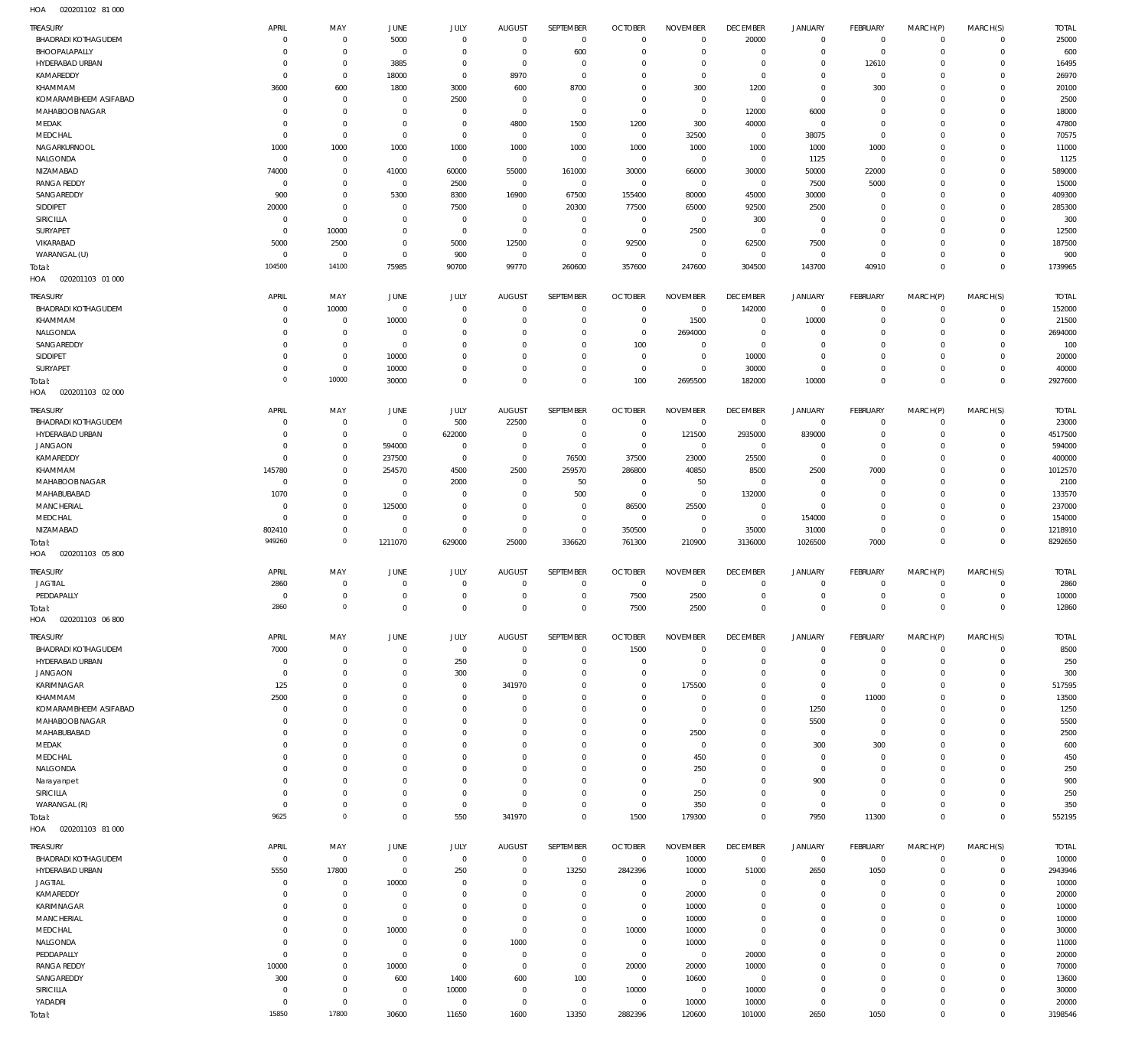020201102 81 000 HOA

| TREASURY                          | APRIL          | MAY                  | JUNE                | <b>JULY</b>          | <b>AUGUST</b>       | SEPTEMBER            | <b>OCTOBER</b>            | <b>NOVEMBER</b> | <b>DECEMBER</b> | <b>JANUARY</b>      | <b>FEBRUARY</b> | MARCH(P)               | MARCH(S)                      | <b>TOTAL</b>     |
|-----------------------------------|----------------|----------------------|---------------------|----------------------|---------------------|----------------------|---------------------------|-----------------|-----------------|---------------------|-----------------|------------------------|-------------------------------|------------------|
| <b>BHADRADI KOTHAGUDEM</b>        | C              | $^{\circ}$           | 5000                | $\mathbf 0$          | $\mathbf 0$         | $\overline{0}$       | $\overline{0}$            | $\overline{0}$  | 20000           | $\overline{0}$      | $\mathbf 0$     | $^{\circ}$             | $\mathbf 0$                   | 25000            |
| BHOOPALAPALLY                     | C              | $\mathbf 0$          | $^{\circ}$          | $\mathbf 0$          | $\mathbf 0$         | 600                  | $\mathbf 0$               | $\mathbf 0$     | $\mathbf 0$     | $\mathbf 0$         | $\mathbf 0$     | $\Omega$               | $\mathbf 0$                   | 600              |
| HYDERABAD URBAN                   | C              | $\mathbf 0$          | 3885                | $\mathbf 0$          | $\mathbf 0$         | $\mathbf 0$          | $\mathbf 0$               | $\mathbf 0$     | $^{\circ}$      | 0                   | 12610           | $\Omega$               | $\Omega$                      | 16495            |
|                                   |                |                      |                     |                      |                     |                      |                           |                 |                 |                     |                 |                        |                               |                  |
| KAMAREDDY                         | $\overline{0}$ | $\mathbf 0$          | 18000               | $\mathbf 0$          | 8970                | $\mathbf 0$          | $\mathbf 0$               | $\mathbf 0$     | $\overline{0}$  | $\mathbf 0$         | $\mathbf 0$     | $\Omega$               | $\Omega$                      | 26970            |
| KHAMMAM                           | 3600           | 600                  | 1800                | 3000                 | 600                 | 8700                 | $\mathbf 0$               | 300             | 1200            | 0                   | 300             |                        | $\Omega$                      | 20100            |
| KOMARAMBHEEM ASIFABAD             | $^{\circ}$     | $^{\circ}$           | $^{\circ}$          | 2500                 | $\mathbf 0$         | $\mathbf 0$          | $\mathbf 0$               | $\mathbf 0$     | $\overline{0}$  | $\mathbf 0$         | $^{\circ}$      | $\Omega$               | $\Omega$                      | 2500             |
| MAHABOOB NAGAR                    | C              | $\mathbf{0}$         | $^{\circ}$          | $^{\circ}$           | $\mathbf 0$         | $\mathbf 0$          | $\overline{0}$            | $\mathbf 0$     | 12000           | 6000                | $\mathbf{0}$    |                        | $\Omega$                      | 18000            |
| MEDAK                             | 0              | $\mathbf{0}$         | $^{\circ}$          | $\mathbf 0$          | 4800                | 1500                 | 1200                      | 300             | 40000           | $\circ$             | $^{\circ}$      | $\Omega$               | $\Omega$                      | 47800            |
| MEDCHAL                           | 0              | $\mathbf 0$          | $\mathbf 0$         | $\mathbf 0$          | $\mathbf 0$         | $\mathbf 0$          | $\overline{0}$            | 32500           | $\mathbf{0}$    | 38075               | $\mathbf 0$     |                        | $\Omega$                      | 70575            |
|                                   |                |                      |                     |                      |                     |                      |                           |                 |                 |                     |                 |                        |                               |                  |
| NAGARKURNOOL                      | 1000           | 1000                 | 1000                | 1000                 | 1000                | 1000                 | 1000                      | 1000            | 1000            | 1000                | 1000            | $\Omega$               | $\Omega$                      | 11000            |
| NALGONDA                          | C              | $^{\circ}$           | $^{\circ}$          | $\mathbf 0$          | $\mathbf 0$         | $\mathbf 0$          | $\overline{0}$            | $\overline{0}$  | $\overline{0}$  | 1125                | $\mathbf 0$     |                        | $\Omega$                      | 1125             |
| NIZAMABAD                         | 74000          | $\mathbf{0}$         | 41000               | 60000                | 55000               | 161000               | 30000                     | 66000           | 30000           | 50000               | 22000           |                        | $\Omega$                      | 589000           |
| <b>RANGA REDDY</b>                | $\overline{0}$ | $^{\circ}$           | $\mathbf 0$         | 2500                 | $^{\circ}$          | $\overline{0}$       | $\overline{0}$            | $\overline{0}$  | $\overline{0}$  | 7500                | 5000            |                        | $\Omega$                      | 15000            |
| SANGAREDDY                        | 900            | $\mathbf{0}$         | 5300                | 8300                 | 16900               | 67500                | 155400                    | 80000           | 45000           | 30000               | $^{\circ}$      |                        | $\Omega$                      | 409300           |
|                                   |                | $\mathbf{0}$         |                     |                      |                     |                      |                           |                 |                 |                     |                 |                        | $\Omega$                      | 285300           |
| <b>SIDDIPET</b>                   | 20000          |                      | $^{\circ}$          | 7500                 | $\mathbf 0$         | 20300                | 77500                     | 65000           | 92500           | 2500                | $^{\circ}$      |                        |                               |                  |
| SIRICILLA                         | $\overline{0}$ | $\mathbf{0}$         | $^{\circ}$          | $^{\circ}$           | $\mathbf 0$         | $\mathbf 0$          | $\overline{0}$            | $\overline{0}$  | 300             | $\mathbf 0$         | $^{\circ}$      |                        | $\Omega$                      | 300              |
| <b>SURYAPET</b>                   | $\overline{0}$ | 10000                | $^{\circ}$          | $\mathbf 0$          | $\mathbf 0$         | $\mathbf 0$          | $\overline{0}$            | 2500            | $\overline{0}$  | $\circ$             | $^{\circ}$      | $\Omega$               | $\Omega$                      | 12500            |
| VIKARABAD                         | 5000           | 2500                 | $^{\circ}$          | 5000                 | 12500               | $\mathbf 0$          | 92500                     | $\mathbf 0$     | 62500           | 7500                | $\mathbf{0}$    |                        | $\Omega$                      | 187500           |
| WARANGAL (U)                      | $\overline{0}$ | $\overline{0}$       | $\mathbf 0$         | 900                  | $\mathbf 0$         | $\mathbf 0$          | $\overline{0}$            | $\overline{0}$  | $\overline{0}$  | $\mathbf 0$         | $\mathbf 0$     | $\Omega$               | $\Omega$                      | 900              |
|                                   | 104500         | 14100                | 75985               | 90700                | 99770               | 260600               | 357600                    | 247600          | 304500          | 143700              | 40910           | $\Omega$               | $\mathbb O$                   | 1739965          |
| Total:                            |                |                      |                     |                      |                     |                      |                           |                 |                 |                     |                 |                        |                               |                  |
| 020201103 01 000<br>HOA           |                |                      |                     |                      |                     |                      |                           |                 |                 |                     |                 |                        |                               |                  |
| TREASURY                          | APRIL          | MAY                  | JUNE                | JULY                 | <b>AUGUST</b>       | SEPTEMBER            | <b>OCTOBER</b>            | <b>NOVEMBER</b> | <b>DECEMBER</b> | <b>JANUARY</b>      | <b>FEBRUARY</b> | MARCH(P)               | MARCH(S)                      | <b>TOTAL</b>     |
|                                   |                |                      |                     |                      |                     |                      |                           |                 |                 |                     |                 |                        |                               |                  |
| <b>BHADRADI KOTHAGUDEM</b>        | $\overline{0}$ | 10000                | $^{\circ}$          | $\mathbf 0$          | $\mathbf 0$         | $\mathbf 0$          | $\overline{0}$            | $\overline{0}$  | 142000          | $\circ$             | $^{\circ}$      | $^{\circ}$             | $\mathbf 0$                   | 152000           |
| KHAMMAM                           | C              | $^{\circ}$           | 10000               | $^{\circ}$           | $\mathbf 0$         | $\mathbf 0$          | $\overline{0}$            | 1500            | $\mathbf{0}$    | 10000               | $\mathbf{0}$    | $\Omega$               | $\mathbf 0$                   | 21500            |
| NALGONDA                          | $\Omega$       | $\mathbf 0$          | $^{\circ}$          | $^{\circ}$           | $\mathbf 0$         | $\mathbf 0$          | $\overline{0}$            | 2694000         | $\mathbb O$     | $\mathbf 0$         | $\mathbf{0}$    | $\Omega$               | $\Omega$                      | 2694000          |
| SANGAREDDY                        | 0              | $\mathbf 0$          | $^{\circ}$          | $^{\circ}$           | $\mathbf 0$         | $\mathbf 0$          | 100                       | $^{\circ}$      | $\overline{0}$  | $\mathbf 0$         | $\mathbf{0}$    | $\Omega$               | $\mathbf 0$                   | 100              |
| SIDDIPET                          | $\mathbf 0$    | $\mathbf 0$          | 10000               | $^{\circ}$           | $\mathbf 0$         | $\mathbf 0$          | $\overline{0}$            | $\mathbf 0$     | 10000           | $\mathbf 0$         | $\mathbf{0}$    | $\Omega$               | $\Omega$                      | 20000            |
|                                   |                |                      |                     |                      |                     | $\mathbf 0$          |                           |                 |                 |                     | $\mathbf{0}$    | $\Omega$               | $\mathbf 0$                   |                  |
| <b>SURYAPET</b>                   | 0              | $\mathbf 0$          | 10000               | $^{\circ}$           | $\mathbf 0$         |                      | $\overline{0}$            | $\mathbf 0$     | 30000           | $\overline{0}$      |                 |                        |                               | 40000            |
| Total:                            | $\circ$        | 10000                | 30000               | $\mathbf 0$          | $\mathbf 0$         | $\mathbf 0$          | 100                       | 2695500         | 182000          | 10000               | $\overline{0}$  | $\overline{0}$         | $\mathbb O$                   | 2927600          |
| 020201103 02 000<br>HOA           |                |                      |                     |                      |                     |                      |                           |                 |                 |                     |                 |                        |                               |                  |
|                                   |                |                      |                     |                      |                     |                      |                           |                 |                 |                     |                 |                        |                               |                  |
| TREASURY                          | APRIL          | MAY                  | JUNE                | <b>JULY</b>          | <b>AUGUST</b>       | SEPTEMBER            | <b>OCTOBER</b>            | <b>NOVEMBER</b> | <b>DECEMBER</b> | <b>JANUARY</b>      | <b>FEBRUARY</b> | MARCH(P)               | MARCH(S)                      | <b>TOTAL</b>     |
| <b>BHADRADI KOTHAGUDEM</b>        | 0              | $^{\circ}$           | $\mathbf 0$         | 500                  | 22500               | $\mathbf 0$          | $\overline{0}$            | $\overline{0}$  | $\overline{0}$  | $\overline{0}$      | $^{\circ}$      | $^{\circ}$             | $\mathbf 0$                   | 23000            |
| HYDERABAD URBAN                   | C              | $\mathbf{0}$         | $\mathbf 0$         | 622000               | $\mathbf 0$         | $\mathbf 0$          | $\overline{0}$            | 121500          | 2935000         | 839000              | $^{\circ}$      | $\Omega$               | $\mathbf 0$                   | 4517500          |
| <b>JANGAON</b>                    | C              | $\mathbf{0}$         | 594000              | $^{\circ}$           | $\mathbf 0$         | $\mathbf 0$          | $\overline{0}$            | $\overline{0}$  | $\overline{0}$  | $\overline{0}$      | $\mathbf{0}$    | $\Omega$               | $\Omega$                      | 594000           |
| KAMAREDDY                         |                | $\mathbf 0$          |                     | $\mathbf 0$          | $\mathbf 0$         |                      | 37500                     |                 |                 | $\overline{0}$      | $\mathbf{0}$    | $\Omega$               | $\Omega$                      | 400000           |
|                                   | C              |                      | 237500              |                      |                     | 76500                |                           | 23000           | 25500           |                     |                 |                        |                               |                  |
| KHAMMAM                           | 145780         | $\mathbf{0}$         | 254570              | 4500                 | 2500                | 259570               | 286800                    | 40850           | 8500            | 2500                | 7000            |                        | $\Omega$                      | 1012570          |
| MAHABOOB NAGAR                    | $\overline{0}$ | $\mathbf 0$          | $^{\circ}$          | 2000                 | $\mathbf 0$         | 50                   | $\overline{0}$            | 50              | $\mathbf{0}$    | $\mathbf 0$         | $^{\circ}$      | $\Omega$               | $\Omega$                      | 2100             |
| MAHABUBABAD                       | 1070           | $\mathbf 0$          | $^{\circ}$          | $^{\circ}$           | $\mathbf 0$         | 500                  | $\overline{0}$            | $\overline{0}$  | 132000          | 0                   | $\mathbf{0}$    |                        | $\Omega$                      | 133570           |
| <b>MANCHERIAL</b>                 | $\overline{0}$ | $\mathbf 0$          | 125000              | $\mathbf 0$          | $\mathbf 0$         | $\mathbf 0$          | 86500                     | 25500           | $\overline{0}$  | $\mathbf 0$         | $^{\circ}$      | $\Omega$               | $\Omega$                      | 237000           |
|                                   |                |                      |                     |                      |                     | $\mathbf 0$          | $\overline{0}$            | $\mathbf 0$     |                 |                     | $\mathbf{0}$    |                        | $\Omega$                      |                  |
| MEDCHAL                           | C              | $\mathbf 0$          | $^{\circ}$          | $\mathbf 0$          | $\mathbf 0$         |                      |                           |                 | $\overline{0}$  | 154000              |                 | $\Omega$               |                               | 154000           |
| NIZAMABAD                         | 802410         | $\mathbf 0$          | $^{\circ}$          | $\mathbf 0$          | $\mathbf 0$         | $\mathbf 0$          | 350500                    | $^{\circ}$      | 35000           | 31000               | $\mathbf 0$     | $\Omega$               | $\mathbf 0$                   | 1218910          |
| Total:                            | 949260         | $\mathsf{O}\xspace$  | 1211070             | 629000               | 25000               | 336620               | 761300                    | 210900          | 3136000         | 1026500             | 7000            | $\Omega$               | $\mathbf{0}$                  | 8292650          |
|                                   |                |                      |                     |                      |                     |                      |                           |                 |                 |                     |                 |                        |                               |                  |
| HOA<br>020201103 05 800           |                |                      |                     |                      |                     |                      |                           |                 |                 |                     |                 |                        |                               |                  |
|                                   |                |                      |                     |                      |                     |                      |                           |                 |                 |                     |                 |                        |                               |                  |
| TREASURY                          | APRIL          | MAY                  | <b>JUNE</b>         | JULY                 | <b>AUGUST</b>       | SEPTEMBER            | <b>OCTOBER</b>            | <b>NOVEMBER</b> | <b>DECEMBER</b> | <b>JANUARY</b>      | <b>FEBRUARY</b> | MARCH(P)               | MARCH(S)                      | <b>TOTAL</b>     |
| <b>JAGTIAL</b>                    | 2860           | $^{\circ}$           | $^{\circ}$          | $^{\circ}$           | $\mathbf 0$         | $\mathbf 0$          | $\overline{0}$            | $^{\circ}$      | $^{\circ}$      | $\overline{0}$      | $^{\circ}$      | $\Omega$               | $\mathbf 0$                   | 2860             |
|                                   |                |                      |                     |                      |                     |                      |                           |                 |                 |                     |                 |                        |                               |                  |
| PEDDAPALLY                        | C              | $\mathbf 0$          | $^{\circ}$          | $\mathbf 0$          | $\mathbf 0$         | $\mathbf 0$          | 7500                      | 2500            | $\mathbf{0}$    | $\mathbf 0$         | $\mathbf{0}$    | $^{\circ}$             | $\mathbf 0$                   | 10000            |
| Total:                            | 2860           | $\circ$              | $\Omega$            | $\mathbf{0}$         | $\Omega$            | $\mathbf 0$          | 7500                      | 2500            | $\Omega$        | $\Omega$            | $\mathbf{0}$    | $\overline{0}$         | $\mathbf{0}$                  | 12860            |
| HOA<br>020201103 06 800           |                |                      |                     |                      |                     |                      |                           |                 |                 |                     |                 |                        |                               |                  |
|                                   |                |                      |                     |                      |                     |                      |                           |                 |                 |                     |                 |                        |                               |                  |
| <b>TREASURY</b>                   | APRIL          | MAY                  | <b>JUNE</b>         | <b>JULY</b>          | <b>AUGUST</b>       | SEPTEMBER            | <b>OCTOBER</b>            | <b>NOVEMBER</b> | <b>DECEMBER</b> | <b>JANUARY</b>      | FEBRUARY        | MARCH(P)               | MARCH(S)                      | <b>TOTAL</b>     |
| <b>BHADRADI KOTHAGUDEM</b>        | 7000           | $\overline{0}$       | $^{\circ}$          | $\mathbf 0$          | $\mathbf 0$         | $\mathbf 0$          | 1500                      | $^{\circ}$      | $\mathbf 0$     | $\overline{0}$      | $\circ$         | $\circ$                | $\mathbf 0$                   | 8500             |
| HYDERABAD URBAN                   | $\overline{0}$ | $^{\circ}$           | $^{\circ}$          | 250                  | $\mathbf 0$         | $\mathbf 0$          | $\overline{0}$            | $\mathbf 0$     | $\mathbf{0}$    | $\mathbf 0$         | $\mathbf 0$     | $^{\circ}$             | $\mathbf 0$                   | 250              |
| <b>JANGAON</b>                    | C              | $^{\circ}$           | $^{\circ}$          | 300                  | $\mathbf 0$         | $\mathbf 0$          | $^{\circ}$                | $\mathbf 0$     | $\mathbf 0$     | 0                   | $^{\circ}$      | $\Omega$               | $\mathbf 0$                   | 300              |
| KARIMNAGAR                        |                | $^{\circ}$           | $^{\circ}$          | $\mathbf 0$          | 341970              | $\mathbf 0$          | $\mathbf 0$               | 175500          | $\mathbf 0$     | $\mathbf 0$         | $\circ$         | $\Omega$               | $\Omega$                      | 517595           |
|                                   | 125            | $^{\circ}$           | $^{\circ}$          | $\mathbf 0$          | $\mathbf 0$         | $\mathbf 0$          | $\mathbf 0$               | $\mathbf 0$     | $^{\circ}$      |                     |                 | $\Omega$               | $\mathbf 0$                   |                  |
| KHAMMAM                           | 2500           |                      |                     |                      |                     |                      |                           |                 |                 | $\overline{0}$      | 11000           |                        |                               | 13500            |
| KOMARAMBHEEM ASIFABAD             | C              | $^{\circ}$           | $^{\circ}$          | $\mathbf 0$          | $\mathbf 0$         | $\mathbf 0$          | $\mathbf 0$               | $\mathbf 0$     | $\mathbf 0$     | 1250                | $^{\circ}$      |                        | $\Omega$                      | 1250             |
| MAHABOOB NAGAR                    | 0              | $^{\circ}$           | $^{\circ}$          | $\mathbf 0$          | $\mathbf 0$         | $\mathbf 0$          | $\mathbf 0$               | $\mathbf 0$     | $\mathbf 0$     | 5500                | $\circ$         | $\Omega$               | $\Omega$                      | 5500             |
| MAHABUBABAD                       | 0              | $^{\circ}$           | $^{\circ}$          | $^{\circ}$           | $\mathbf 0$         | $\mathbf 0$          | $\mathbf 0$               | 2500            | $\mathbf 0$     | $\overline{0}$      | $\mathbf 0$     |                        | $\Omega$                      | 2500             |
| MEDAK                             | 0              | $^{\circ}$           | $^{\circ}$          | $^{\circ}$           | $\mathbf 0$         | $\mathbf 0$          | $^{\circ}$                | $^{\circ}$      | $\mathbf 0$     | 300                 | 300             | $\Omega$               | $\Omega$                      | 600              |
| MEDCHAL                           | $\Omega$       | $^{\circ}$           | $^{\circ}$          | $^{\circ}$           | $\mathbf 0$         | $\mathbf 0$          | $\mathbf 0$               | 450             | $\mathbf 0$     | $\mathbf 0$         | $^{\circ}$      | $\Omega$               | $\Omega$                      | 450              |
|                                   | 0              | $^{\circ}$           | $^{\circ}$          | $^{\circ}$           | $\mathbf 0$         | $\mathbf 0$          | $^{\circ}$                |                 | $\mathbf 0$     | $\mathbf 0$         | $^{\circ}$      | $\Omega$               | $\Omega$                      |                  |
| NALGONDA                          |                |                      |                     |                      |                     |                      |                           | 250             |                 |                     |                 |                        |                               | 250              |
| Narayanpet                        | 0              | $^{\circ}$           | $^{\circ}$          | $^{\circ}$           | $\mathbf 0$         | $\mathbf 0$          | $\mathbf 0$               | $^{\circ}$      | $\mathbf 0$     | 900                 | $^{\circ}$      | $\Omega$               | $\Omega$                      | 900              |
| SIRICILLA                         | 0              | $^{\circ}$           | $^{\circ}$          | $^{\circ}$           | $\mathbf 0$         | $\mathbf 0$          | $^{\circ}$                | 250             | $\mathbf 0$     | $\mathbf 0$         | $^{\circ}$      | $\Omega$               | $\Omega$                      | 250              |
| WARANGAL (R)                      | 0              | $\mathbf 0$          | $^{\circ}$          | $\mathbf 0$          | $\mathbf 0$         | $\mathbf 0$          | $\overline{0}$            | 350             | $\mathbf{0}$    | $\overline{0}$      | $\mathbf 0$     | $\Omega$               | $\mathbf 0$                   | 350              |
|                                   | 9625           | $\mathsf{O}\xspace$  | $\mathbf 0$         | 550                  | 341970              | $\mathbf 0$          | 1500                      | 179300          | $\overline{0}$  | 7950                | 11300           | $\Omega$               | $\mathbf 0$                   | 552195           |
| Total:<br>HOA<br>020201103 81 000 |                |                      |                     |                      |                     |                      |                           |                 |                 |                     |                 |                        |                               |                  |
|                                   |                |                      |                     |                      |                     |                      |                           |                 |                 |                     |                 |                        |                               |                  |
| <b>TREASURY</b>                   | APRIL          | MAY                  | JUNE                | JULY                 | <b>AUGUST</b>       | SEPTEMBER            | <b>OCTOBER</b>            | <b>NOVEMBER</b> | <b>DECEMBER</b> | <b>JANUARY</b>      | <b>FEBRUARY</b> | MARCH(P)               | MARCH(S)                      | <b>TOTAL</b>     |
| <b>BHADRADI KOTHAGUDEM</b>        | $^{\circ}$     | $\mathbf{0}$         | $^{\circ}$          | $\mathbf 0$          | $\mathbf 0$         | $\mathbf 0$          | $\overline{0}$            | 10000           | $\overline{0}$  | $\mathsf 0$         | $\overline{0}$  | $^{\circ}$             | $\mathbf 0$                   | 10000            |
|                                   |                |                      |                     |                      |                     |                      |                           |                 |                 |                     |                 |                        |                               |                  |
| HYDERABAD URBAN                   | 5550           | 17800                | $\mathbf 0$         | 250                  | $\mathbf 0$         | 13250                | 2842396                   | 10000           | 51000           | 2650                | 1050            | $\Omega$               | $\mathbf 0$                   | 2943946          |
| <b>JAGTIAL</b>                    | $\overline{0}$ | $\mathbf{0}$         | 10000               | $\mathbf 0$          | $\mathbf 0$         | $\mathbf 0$          | $^{\circ}$                | $\overline{0}$  | $^{\circ}$      | $\mathbf 0$         | $^{\circ}$      | $\Omega$               | $\mathbf 0$                   | 10000            |
| KAMAREDDY                         | 0              | $\mathbf 0$          | $^{\circ}$          | $\mathbf 0$          | $\mathbf 0$         | $\mathbf 0$          | $\overline{0}$            | 20000           | $^{\circ}$      | $\mathbf 0$         | $^{\circ}$      | $\Omega$               | $\mathbf 0$                   | 20000            |
| KARIMNAGAR                        | 0              | $\mathbf 0$          | $^{\circ}$          | $\mathbf 0$          | $\mathbf 0$         | $\mathbf 0$          | $\overline{0}$            | 10000           | $^{\circ}$      | $\mathbf 0$         | $^{\circ}$      | $\Omega$               | $\Omega$                      | 10000            |
|                                   | 0              | $\mathbf{0}$         | $^{\circ}$          | $\mathbf 0$          | $\mathbf 0$         | $\mathbf 0$          | $\overline{0}$            |                 | $\mathbf 0$     | $\mathbf 0$         | $\mathbf{0}$    | $\Omega$               | $\mathbf 0$                   |                  |
| <b>MANCHERIAL</b>                 |                |                      |                     |                      |                     |                      |                           | 10000           |                 |                     |                 |                        |                               | 10000            |
| MEDCHAL                           | 0              | $\mathbf 0$          | 10000               | $\mathbf 0$          | $\mathbf 0$         | $\mathbf 0$          | 10000                     | 10000           | $\mathbf{0}$    | 0                   | $\mathbf{0}$    | $\Omega$               | $\Omega$                      | 30000            |
| NALGONDA                          | 0              | $\mathbf{0}$         | 0                   | $\mathbf 0$          | 1000                | $\mathbf 0$          | $\overline{0}$            | 10000           | $\overline{0}$  | $\mathbf 0$         | $\mathbf{0}$    | $\Omega$               | $\mathbf 0$                   | 11000            |
| PEDDAPALLY                        | $\overline{0}$ | $\mathbf 0$          | 0                   | $\mathbf 0$          | $\mathbf 0$         | $\mathbf 0$          | $\overline{0}$            | $\overline{0}$  | 20000           | 0                   | $^{\circ}$      | $\Omega$               | $\mathbf 0$                   | 20000            |
| <b>RANGA REDDY</b>                | 10000          | $\mathbf{0}$         | 10000               | $\mathbf 0$          | $\mathbf 0$         | $\mathbf 0$          | 20000                     | 20000           | 10000           | $\mathbf 0$         | $\mathbf{0}$    | $\Omega$               | $\mathbf 0$                   | 70000            |
| SANGAREDDY                        |                | $\mathbf 0$          |                     |                      | 600                 |                      |                           |                 | $\overline{0}$  | 0                   | $^{\circ}$      | $\Omega$               | $\mathbf 0$                   |                  |
|                                   | 300            |                      | 600                 | 1400                 |                     | 100                  | $\overline{0}$            | 10600           |                 |                     |                 |                        |                               | 13600            |
| SIRICILLA                         | $\overline{0}$ | $\mathbf 0$          | $^{\circ}$          | 10000                | $\mathbf 0$         | $^{\circ}$           | 10000                     | $\overline{0}$  | 10000           | $\mathbf 0$         | $^{\circ}$      | $\Omega$               | $\mathbf 0$                   | 30000            |
| YADADRI<br>Total:                 | 0<br>15850     | $\mathbf 0$<br>17800 | $^{\circ}$<br>30600 | $\mathbf 0$<br>11650 | $\mathbf 0$<br>1600 | $\mathbf 0$<br>13350 | $\overline{0}$<br>2882396 | 10000<br>120600 | 10000<br>101000 | $\mathbf 0$<br>2650 | $\circ$<br>1050 | $\circ$<br>$\mathbf 0$ | $\mathbf 0$<br>$\overline{0}$ | 20000<br>3198546 |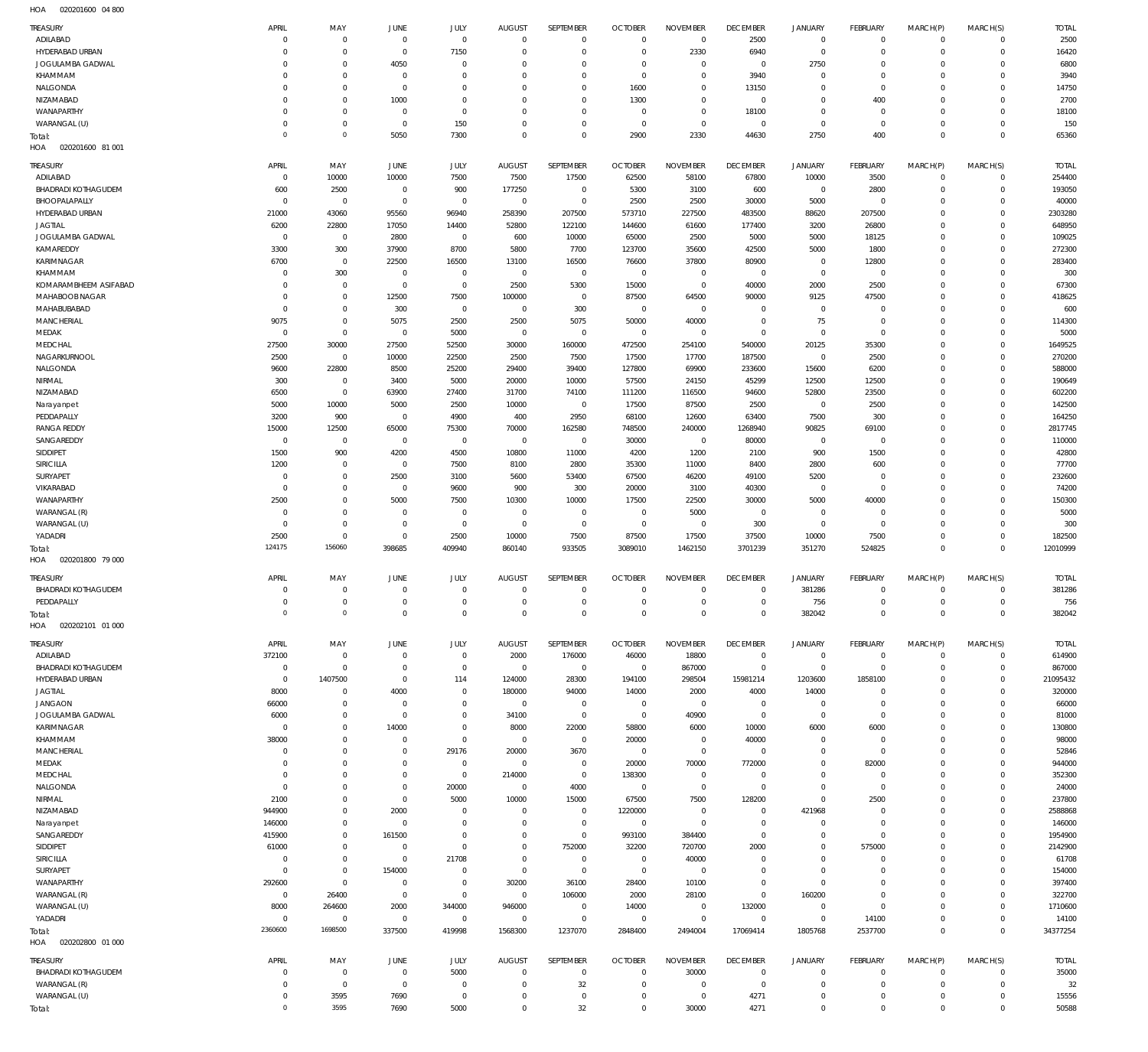020201600 04 800 HOA

| TREASURY                               | APRIL                      | MAY                            | <b>JUNE</b>                | JULY                       | <b>AUGUST</b>               | SEPTEMBER                        | <b>OCTOBER</b>                   | <b>NOVEMBER</b>                | <b>DECEMBER</b>                  | JANUARY                     | FEBRUARY                  | MARCH(P)                   | MARCH(S)                         | <b>TOTAL</b>           |
|----------------------------------------|----------------------------|--------------------------------|----------------------------|----------------------------|-----------------------------|----------------------------------|----------------------------------|--------------------------------|----------------------------------|-----------------------------|---------------------------|----------------------------|----------------------------------|------------------------|
| ADILABAD                               | $\mathbf 0$                | $\overline{0}$                 | $\overline{0}$             | $\mathbf 0$                | $\mathbf 0$                 | $\mathbf{0}$                     | $\mathbf 0$                      | $\overline{0}$                 | 2500                             | $\mathbf 0$                 | $\mathbf{0}$              | $\mathbf 0$                | $\overline{0}$                   | 2500                   |
| HYDERABAD URBAN                        | 0<br>$\mathbf 0$           | $\overline{0}$<br>$\mathbf{0}$ | $\mathbf{0}$               | 7150<br>$\overline{0}$     | $^{\circ}$<br>$\Omega$      | $\mathbf{0}$<br>$\mathbf{0}$     | $\Omega$<br>$\Omega$             | 2330<br>$\mathbf 0$            | 6940                             | $\mathbf 0$                 | $\mathbf 0$<br>$^{\circ}$ | $\mathbf 0$<br>$\mathbf 0$ | $\mathbf 0$<br>$\mathbf 0$       | 16420<br>6800          |
| JOGULAMBA GADWAL<br>KHAMMAM            | $\mathbf 0$                | $\mathbf 0$                    | 4050<br>$\mathbf{0}$       | $\Omega$                   | $\Omega$                    | $\mathbf{0}$                     | $\Omega$                         | $\mathbf 0$                    | $\,0\,$<br>3940                  | 2750<br>$\mathbf 0$         | $^{\circ}$                | $\mathbf 0$                | $\mathbf 0$                      | 3940                   |
| NALGONDA                               | $\mathbf 0$                | $\mathbf 0$                    | $\mathbf{0}$               | $\Omega$                   | $\Omega$                    | $\mathbf{0}$                     | 1600                             | $\mathbf 0$                    | 13150                            | $\mathbf 0$                 | $\mathbf 0$               | $\mathbf 0$                | $\mathbf 0$                      | 14750                  |
| NIZAMABAD                              | 0                          | $\mathbf 0$                    | 1000                       | $\overline{0}$             | $^{\circ}$                  | $\mathbf{0}$                     | 1300                             | $\mathbf 0$                    | $\,0\,$                          | $\mathbf 0$                 | 400                       | $\mathbf 0$                | $\mathbf 0$                      | 2700                   |
| WANAPARTHY                             | $\mathbf 0$                | $\mathbf 0$                    | $\mathbf{0}$               | $\mathbf 0$                | $\Omega$                    | $\mathbf{0}$                     | $\overline{0}$                   | $\mathbf 0$                    | 18100                            | $\mathbf 0$                 | $^{\circ}$                | $\mathbf 0$                | $\mathbf 0$                      | 18100                  |
| WARANGAL (U)                           | $\mathbf 0$                | $\mathbf 0$                    | $\mathbf 0$                | 150                        | $^{\circ}$                  | $\mathbf{0}$                     | $\overline{0}$                   | $\mathbf 0$                    | $\,0\,$                          | $\mathbf 0$                 | $\overline{0}$            | $\mathbf 0$                | $\mathbf 0$                      | 150                    |
| Total:<br>HOA<br>020201600 81 001      | $\mathbf 0$                | $\mathbf{0}$                   | 5050                       | 7300                       | $\Omega$                    | $\mathbf{0}$                     | 2900                             | 2330                           | 44630                            | 2750                        | 400                       | $\mathbf 0$                | $\mathbf 0$                      | 65360                  |
|                                        |                            |                                |                            |                            |                             |                                  |                                  |                                |                                  |                             |                           |                            |                                  |                        |
| TREASURY                               | APRIL                      | MAY                            | JUNE                       | JULY                       | <b>AUGUST</b>               | SEPTEMBER                        | <b>OCTOBER</b>                   | <b>NOVEMBER</b>                | <b>DECEMBER</b>                  | JANUARY                     | <b>FEBRUARY</b>           | MARCH(P)                   | MARCH(S)                         | <b>TOTAL</b>           |
| ADILABAD<br><b>BHADRADI KOTHAGUDEM</b> | $\mathbf 0$<br>600         | 10000<br>2500                  | 10000<br>$\overline{0}$    | 7500<br>900                | 7500<br>177250              | 17500<br>$\overline{0}$          | 62500<br>5300                    | 58100<br>3100                  | 67800<br>600                     | 10000<br>$\mathbf 0$        | 3500<br>2800              | $\mathbf 0$<br>$\mathbf 0$ | $^{\circ}$<br>$\mathbf 0$        | 254400<br>193050       |
| BHOOPALAPALLY                          | $\mathbf 0$                | $\overline{0}$                 | $\mathbf 0$                | $\,0\,$                    | $\overline{0}$              | $\mathbf{0}$                     | 2500                             | 2500                           | 30000                            | 5000                        | $^{\circ}$                | $\Omega$                   | $\mathbf 0$                      | 40000                  |
| HYDERABAD URBAN                        | 21000                      | 43060                          | 95560                      | 96940                      | 258390                      | 207500                           | 573710                           | 227500                         | 483500                           | 88620                       | 207500                    | $\Omega$                   | $\mathbf 0$                      | 2303280                |
| <b>JAGTIAL</b>                         | 6200                       | 22800                          | 17050                      | 14400                      | 52800                       | 122100                           | 144600                           | 61600                          | 177400                           | 3200                        | 26800                     | $\Omega$                   | $\mathbf 0$                      | 648950                 |
| JOGULAMBA GADWAL                       | $\mathbf 0$                | $\overline{0}$                 | 2800                       | $\mathbf 0$                | 600                         | 10000                            | 65000                            | 2500                           | 5000                             | 5000                        | 18125                     | $\Omega$                   | $\Omega$                         | 109025                 |
| KAMAREDDY                              | 3300                       | 300                            | 37900                      | 8700                       | 5800                        | 7700                             | 123700                           | 35600                          | 42500                            | 5000                        | 1800                      | $\Omega$                   | $\mathbf 0$                      | 272300                 |
| KARIMNAGAR<br>KHAMMAM                  | 6700<br>$\mathbf 0$        | $\overline{0}$<br>300          | 22500<br>$\mathbf{0}$      | 16500<br>$\overline{0}$    | 13100<br>$\overline{0}$     | 16500<br>$\overline{0}$          | 76600<br>$\overline{0}$          | 37800<br>$\overline{0}$        | 80900<br>$\overline{0}$          | $\mathbf 0$<br>$\mathbf 0$  | 12800<br>$\overline{0}$   | $\Omega$<br>$\Omega$       | $\Omega$<br>$\mathbf 0$          | 283400<br>300          |
| KOMARAMBHEEM ASIFABAD                  | $\mathbf 0$                | $\overline{0}$                 | $\mathbf{0}$               | $\mathbf 0$                | 2500                        | 5300                             | 15000                            | $\mathbf 0$                    | 40000                            | 2000                        | 2500                      | $\Omega$                   | $\Omega$                         | 67300                  |
| MAHABOOB NAGAR                         | $\mathbf 0$                | $\overline{0}$                 | 12500                      | 7500                       | 100000                      | $\overline{0}$                   | 87500                            | 64500                          | 90000                            | 9125                        | 47500                     | $\Omega$                   | $\mathbf 0$                      | 418625                 |
| MAHABUBABAD                            | $\mathbf 0$                | $\mathbf{0}$                   | 300                        | $\mathbf 0$                | $^{\circ}$                  | 300                              | $\overline{0}$                   | $\mathbf 0$                    | $^{\circ}$                       | $\mathbf 0$                 | $^{\circ}$                | $\Omega$                   | $\Omega$                         | 600                    |
| <b>MANCHERIAL</b>                      | 9075                       | $\mathbf{0}$                   | 5075                       | 2500                       | 2500                        | 5075                             | 50000                            | 40000                          | $^{\circ}$                       | 75                          | $^{\circ}$                | $\Omega$                   | $\Omega$                         | 114300                 |
| MEDAK                                  | $\mathbf 0$                | $\overline{0}$                 | $\mathbf{0}$               | 5000                       | $\overline{0}$              | $\overline{0}$                   | $\overline{0}$                   | $\overline{0}$                 | $\overline{0}$                   | $\mathbf 0$                 | $^{\circ}$                | $\Omega$                   | $\Omega$                         | 5000                   |
| MEDCHAL<br>NAGARKURNOOL                | 27500<br>2500              | 30000<br>$\overline{0}$        | 27500<br>10000             | 52500<br>22500             | 30000<br>2500               | 160000<br>7500                   | 472500<br>17500                  | 254100<br>17700                | 540000<br>187500                 | 20125<br>$\mathbf 0$        | 35300<br>2500             | $\Omega$<br>$\Omega$       | $\Omega$<br>$\mathbf 0$          | 1649525<br>270200      |
| NALGONDA                               | 9600                       | 22800                          | 8500                       | 25200                      | 29400                       | 39400                            | 127800                           | 69900                          | 233600                           | 15600                       | 6200                      | $\Omega$                   | $\mathbf 0$                      | 588000                 |
| NIRMAL                                 | 300                        | $\overline{0}$                 | 3400                       | 5000                       | 20000                       | 10000                            | 57500                            | 24150                          | 45299                            | 12500                       | 12500                     | $\Omega$                   | $\mathbf 0$                      | 190649                 |
| NIZAMABAD                              | 6500                       | $\overline{0}$                 | 63900                      | 27400                      | 31700                       | 74100                            | 111200                           | 116500                         | 94600                            | 52800                       | 23500                     | $\Omega$                   | $\mathbf 0$                      | 602200                 |
| Narayanpet                             | 5000                       | 10000                          | 5000                       | 2500                       | 10000                       | $\overline{0}$                   | 17500                            | 87500                          | 2500                             | $\mathbf 0$                 | 2500                      | $\Omega$                   | $\mathbf 0$                      | 142500                 |
| PEDDAPALLY                             | 3200                       | 900                            | $\mathbf 0$                | 4900                       | 400                         | 2950                             | 68100                            | 12600                          | 63400                            | 7500                        | 300                       | $\Omega$                   | $\mathbf 0$                      | 164250                 |
| <b>RANGA REDDY</b>                     | 15000                      | 12500                          | 65000                      | 75300                      | 70000                       | 162580                           | 748500                           | 240000                         | 1268940                          | 90825                       | 69100                     | $\Omega$                   | $\Omega$                         | 2817745                |
| SANGAREDDY<br>SIDDIPET                 | $\mathbf 0$<br>1500        | $\overline{0}$<br>900          | $\mathbf{0}$<br>4200       | $\,0\,$<br>4500            | $\overline{0}$<br>10800     | $^{\circ}$<br>11000              | 30000<br>4200                    | $\overline{0}$<br>1200         | 80000<br>2100                    | $\mathbf 0$<br>900          | $\mathbf{0}$<br>1500      | $\Omega$<br>$\Omega$       | $\mathbf 0$<br>$\mathbf 0$       | 110000<br>42800        |
| SIRICILLA                              | 1200                       | $\overline{0}$                 | $\mathbf 0$                | 7500                       | 8100                        | 2800                             | 35300                            | 11000                          | 8400                             | 2800                        | 600                       | $\Omega$                   | $\mathbf 0$                      | 77700                  |
| SURYAPET                               | $\mathbf 0$                | $\overline{0}$                 | 2500                       | 3100                       | 5600                        | 53400                            | 67500                            | 46200                          | 49100                            | 5200                        | $^{\circ}$                | $\Omega$                   | $\mathbf 0$                      | 232600                 |
| VIKARABAD                              | $\mathbf 0$                | $\mathbf 0$                    | $\mathbf 0$                | 9600                       | 900                         | 300                              | 20000                            | 3100                           | 40300                            | $\mathbf 0$                 | $\mathbf{0}$              | $\Omega$                   | $\mathbf 0$                      | 74200                  |
| WANAPARTHY                             | 2500                       | $\mathbf 0$                    | 5000                       | 7500                       | 10300                       | 10000                            | 17500                            | 22500                          | 30000                            | 5000                        | 40000                     | $\Omega$                   | $\Omega$                         | 150300                 |
| WARANGAL (R)                           | $\mathbf 0$                | $\mathbf 0$                    | $\mathbf 0$                | $^{\circ}$                 | $^{\circ}$                  | $^{\circ}$                       | $\overline{0}$                   | 5000                           | $^{\circ}$                       | $\mathbf 0$                 | $^{\circ}$                | $\Omega$                   | $\mathbf 0$                      | 5000                   |
|                                        |                            |                                |                            |                            |                             |                                  |                                  |                                |                                  |                             |                           |                            |                                  |                        |
| WARANGAL (U)                           | $\mathbf 0$                | $\mathbf 0$                    | $\mathbf 0$                | $\mathbf 0$                | $\mathbf 0$                 | $\overline{0}$                   | $\overline{0}$                   | $\overline{0}$                 | 300                              | $\mathsf{O}$                | $^{\circ}$                | $\Omega$                   | $\mathbf 0$                      | 300                    |
| YADADRI                                | 2500<br>124175             | $\overline{0}$<br>156060       | $\mathbf 0$                | 2500<br>409940             | 10000                       | 7500                             | 87500                            | 17500                          | 37500                            | 10000                       | 7500                      | $\mathbf 0$<br>$\Omega$    | $\mathbf 0$<br>$\Omega$          | 182500                 |
| Total:<br>HOA<br>020201800 79 000      |                            |                                | 398685                     |                            | 860140                      | 933505                           | 3089010                          | 1462150                        | 3701239                          | 351270                      | 524825                    |                            |                                  | 12010999               |
|                                        |                            |                                |                            |                            |                             |                                  |                                  |                                |                                  |                             |                           |                            |                                  |                        |
| TREASURY<br><b>BHADRADI KOTHAGUDEM</b> | APRIL<br>0                 | MAY<br>$\mathbf 0$             | <b>JUNE</b><br>$^{\circ}$  | JULY<br>$\mathbf 0$        | <b>AUGUST</b><br>$^{\circ}$ | SEPTEMBER<br>$^{\circ}$          | <b>OCTOBER</b><br>$^{\circ}$     | <b>NOVEMBER</b><br>$\mathbf 0$ | <b>DECEMBER</b><br>$^{\circ}$    | JANUARY<br>381286           | FEBRUARY<br>0             | MARCH(P)<br>$\mathbf 0$    | MARCH(S)<br>$\overline{0}$       | <b>TOTAL</b><br>381286 |
| PEDDAPALLY                             | $\mathbf 0$                | $\overline{0}$                 | $\mathbf 0$                | $\mathbf 0$                | $\mathbf 0$                 | $\mathbf 0$                      | $\Omega$                         | $\mathbf 0$                    | $\mathbf 0$                      | 756                         | $\mathbf{0}$              | $\mathbf 0$                | $\overline{0}$                   | 756                    |
| Total:                                 | $\Omega$                   | $\Omega$                       | $\Omega$                   | $\cap$                     |                             | $\cap$                           | $\cap$                           | $\cap$                         | $\cap$                           | 382042                      | $\cap$                    | $\cap$                     | $\cap$                           | 382042                 |
| HOA<br>020202101 01 000                |                            |                                |                            |                            |                             |                                  |                                  |                                |                                  |                             |                           |                            |                                  |                        |
| TREASURY                               | APRIL                      | MAY                            | <b>JUNE</b>                | JULY                       | <b>AUGUST</b>               | SEPTEMBER                        | <b>OCTOBER</b>                   | <b>NOVEMBER</b>                | <b>DECEMBER</b>                  | JANUARY                     | FEBRUARY                  | MARCH(P)                   | MARCH(S)                         | <b>TOTAL</b>           |
| ADILABAD                               | 372100                     | $\overline{0}$                 | $\mathbf{0}$               | $\mathbf 0$                | 2000                        | 176000                           | 46000                            | 18800                          | $\,0\,$                          | $\mathbf 0$                 | $\circ$                   | $\mathbf 0$                | $\overline{0}$                   | 614900                 |
| <b>BHADRADI KOTHAGUDEM</b>             | $\mathbf 0$                | $\overline{0}$                 | $\mathbf{0}$               | $\mathbf 0$                | $\overline{0}$              | $\overline{0}$                   | $\overline{0}$                   | 867000                         | $\mathbf 0$                      | $\mathbf 0$                 | $^{\circ}$                | $\Omega$                   | $\mathbf 0$                      | 867000                 |
| HYDERABAD URBAN                        | $\mathbf 0$                | 1407500                        | $\mathbf 0$                | 114                        | 124000                      | 28300                            | 194100                           | 298504                         | 15981214                         | 1203600                     | 1858100                   | $\Omega$                   | $\mathbf 0$                      | 21095432               |
| <b>JAGTIAL</b>                         | 8000                       | $\overline{0}$                 | 4000                       | $\mathbf 0$                | 180000                      | 94000                            | 14000                            | 2000                           | 4000                             | 14000                       | $^{\circ}$                | $\Omega$<br>$\Omega$       | $\mathbf 0$                      | 320000                 |
| <b>JANGAON</b><br>JOGULAMBA GADWAL     | 66000<br>6000              | $\mathbf 0$<br>$\mathbf 0$     | $\mathbf 0$<br>$\mathbf 0$ | $\mathbf 0$<br>$\mathbf 0$ | $\overline{0}$<br>34100     | $\overline{0}$<br>$\overline{0}$ | $\overline{0}$<br>$\overline{0}$ | $\overline{0}$<br>40900        | $\overline{0}$<br>$\mathbf 0$    | $\mathbf 0$<br>$\mathbf 0$  | $^{\circ}$<br>$^{\circ}$  | $\Omega$                   | $\mathbf 0$<br>$\mathbf 0$       | 66000<br>81000         |
| KARIMNAGAR                             | $\overline{0}$             | $\mathbf 0$                    | 14000                      | $\mathbf 0$                | 8000                        | 22000                            | 58800                            | 6000                           | 10000                            | 6000                        | 6000                      | $\Omega$                   | $\mathbf 0$                      | 130800                 |
| KHAMMAM                                | 38000                      | $\mathbf 0$                    | $^{\circ}$                 | $\mathbf 0$                | $\overline{0}$              | $\overline{0}$                   | 20000                            | $\overline{0}$                 | 40000                            | $\mathbf 0$                 | $^{\circ}$                | $\Omega$                   | $\mathbf 0$                      | 98000                  |
| MANCHERIAL                             | $\mathbf 0$                | $\mathbf 0$                    | $\mathbf 0$                | 29176                      | 20000                       | 3670                             | $\overline{0}$                   | $\mathbf 0$                    | $\,0\,$                          | $\mathbf 0$                 | $^{\circ}$                | $\Omega$                   | $\mathbf 0$                      | 52846                  |
| MEDAK                                  | $\mathbf 0$                | $\mathbf 0$                    | $\mathbf 0$                | $\mathbf 0$                | $\overline{0}$              | $\overline{0}$                   | 20000                            | 70000                          | 772000                           | $\mathbf 0$                 | 82000                     | $\Omega$                   | $\mathbf 0$                      | 944000                 |
| MEDCHAL                                | $\mathbf 0$                | $\mathbf 0$                    | $\mathbf 0$                | $\,0\,$                    | 214000                      | $\overline{0}$                   | 138300                           | $\overline{0}$                 | $\overline{0}$                   | $\mathbf 0$                 | $^{\circ}$                | $\Omega$                   | $\mathbf 0$                      | 352300                 |
| NALGONDA<br>NIRMAL                     | $\mathbf 0$<br>2100        | $\mathbf 0$<br>$\mathbf 0$     | $\mathbf 0$<br>$\mathbf 0$ | 20000<br>5000              | $\overline{0}$<br>10000     | 4000<br>15000                    | $\overline{0}$<br>67500          | $\mathbf 0$<br>7500            | $\overline{0}$<br>128200         | $\mathsf{O}$<br>$\mathbf 0$ | $\overline{0}$<br>2500    | $\Omega$<br>$\Omega$       | $\Omega$<br>$\mathbf 0$          | 24000<br>237800        |
| NIZAMABAD                              | 944900                     | $\mathbf 0$                    | 2000                       | $\overline{0}$             | $\overline{0}$              | $\overline{0}$                   | 1220000                          | $\overline{0}$                 | $\overline{0}$                   | 421968                      | $^{\circ}$                | $\Omega$                   | $\mathbf 0$                      | 2588868                |
| Narayanpet                             | 146000                     | $\mathbf 0$                    | $\mathbf 0$                | $\mathbf 0$                | $^{\circ}$                  | $\mathbf 0$                      | $\overline{0}$                   | $\mathbf 0$                    | $\overline{0}$                   | $\mathbf 0$                 | $^{\circ}$                | $\Omega$                   | $\mathbf 0$                      | 146000                 |
| SANGAREDDY                             | 415900                     | $\mathbf 0$                    | 161500                     | $\overline{0}$             | $\overline{0}$              | $\mathbf{0}$                     | 993100                           | 384400                         | $\overline{0}$                   | $\mathsf{O}$                | $\mathbf 0$               | $\Omega$                   | $\mathbf 0$                      | 1954900                |
| SIDDIPET                               | 61000                      | $\mathbf 0$                    | $^{\circ}$                 | $\mathbf 0$                | $\overline{0}$              | 752000                           | 32200                            | 720700                         | 2000                             | $\mathsf{O}$                | 575000                    | $\Omega$                   | $\mathbf 0$                      | 2142900                |
| SIRICILLA                              | $\mathbf 0$<br>$\mathbf 0$ | $\mathbf 0$<br>$\mathbf{0}$    | $\mathbf{0}$               | 21708                      | $\Omega$                    | $^{\circ}$                       | $\overline{0}$                   | 40000                          | $\overline{0}$                   | $\mathbf 0$<br>$\mathbf 0$  | $\mathbf 0$<br>$^{\circ}$ | $\Omega$<br>$\Omega$       | $\Omega$<br>$\mathbf 0$          | 61708                  |
| SURYAPET<br>WANAPARTHY                 | 292600                     | $\mathbf{0}$                   | 154000<br>$\mathbf{0}$     | $\mathbf 0$<br>$\mathbf 0$ | $\mathbf 0$<br>30200        | $\overline{0}$<br>36100          | $\overline{0}$<br>28400          | $\mathbf 0$<br>10100           | $\overline{0}$<br>$\overline{0}$ | $\mathbf 0$                 | $^{\circ}$                | $\Omega$                   | $\Omega$                         | 154000<br>397400       |
| WARANGAL (R)                           | $\overline{0}$             | 26400                          | $\overline{0}$             | $\mathbf 0$                | $\overline{0}$              | 106000                           | 2000                             | 28100                          | $\mathbf 0$                      | 160200                      | $\mathbf 0$               | $\Omega$                   | $\mathbf 0$                      | 322700                 |
| WARANGAL (U)                           | 8000                       | 264600                         | 2000                       | 344000                     | 946000                      | $\overline{0}$                   | 14000                            | $\overline{0}$                 | 132000                           | $\mathbf 0$                 | $\mathbf 0$               | $\Omega$                   | $\mathbf 0$                      | 1710600                |
| YADADRI                                | $\mathbf 0$                | $\overline{0}$                 | $\mathbf 0$                | $\,0\,$                    | $\overline{0}$              | $\overline{0}$                   | $\overline{0}$                   | $\mathbf 0$                    | $\mathbf 0$                      | $\mathbf 0$                 | 14100                     | $\Omega$                   | $\mathbf 0$                      | 14100                  |
| Total:                                 | 2360600                    | 1698500                        | 337500                     | 419998                     | 1568300                     | 1237070                          | 2848400                          | 2494004                        | 17069414                         | 1805768                     | 2537700                   | $\mathbf 0$                | $\mathbf 0$                      | 34377254               |
| HOA<br>020202800 01 000                |                            |                                |                            |                            |                             |                                  |                                  |                                |                                  |                             |                           |                            |                                  |                        |
| TREASURY                               | APRIL                      | MAY                            | JUNE                       | JULY                       | <b>AUGUST</b>               | SEPTEMBER                        | <b>OCTOBER</b>                   | <b>NOVEMBER</b>                | <b>DECEMBER</b>                  | JANUARY                     | FEBRUARY                  | MARCH(P)                   | MARCH(S)                         | <b>TOTAL</b>           |
| <b>BHADRADI KOTHAGUDEM</b>             | $\mathbf 0$                | $\overline{0}$                 | $\overline{0}$             | 5000                       | $^{\circ}$                  | $\mathbf 0$                      | $\mathbf 0$                      | 30000                          | $\,0\,$                          | $\mathbf 0$                 | $\mathbf{0}$              | 0                          | $\overline{0}$                   | 35000                  |
| WARANGAL (R)                           | $\mathbf 0$                | $\overline{0}$                 | $\mathbf 0$                | $\overline{0}$             | $^{\circ}$<br>$^{\circ}$    | 32<br>$\mathbf{0}$               | $\Omega$<br>$\Omega$             | $\mathbf 0$                    | $\mathbf 0$                      | $\mathbf 0$                 | 0<br>$\mathbf 0$          | 0<br>$\mathbf 0$           | $\overline{0}$<br>$\overline{0}$ | 32                     |
| WARANGAL (U)<br>Total:                 | 0<br>$\mathbf 0$           | 3595<br>3595                   | 7690<br>7690               | $\,0\,$<br>5000            | $\mathbf 0$                 | 32                               | $^{\circ}$                       | $\mathbf 0$<br>30000           | 4271<br>4271                     | $\mathbf 0$<br>$\mathbf 0$  | $\mathbf 0$               | $\mathbf 0$                | $\mathbb O$                      | 15556<br>50588         |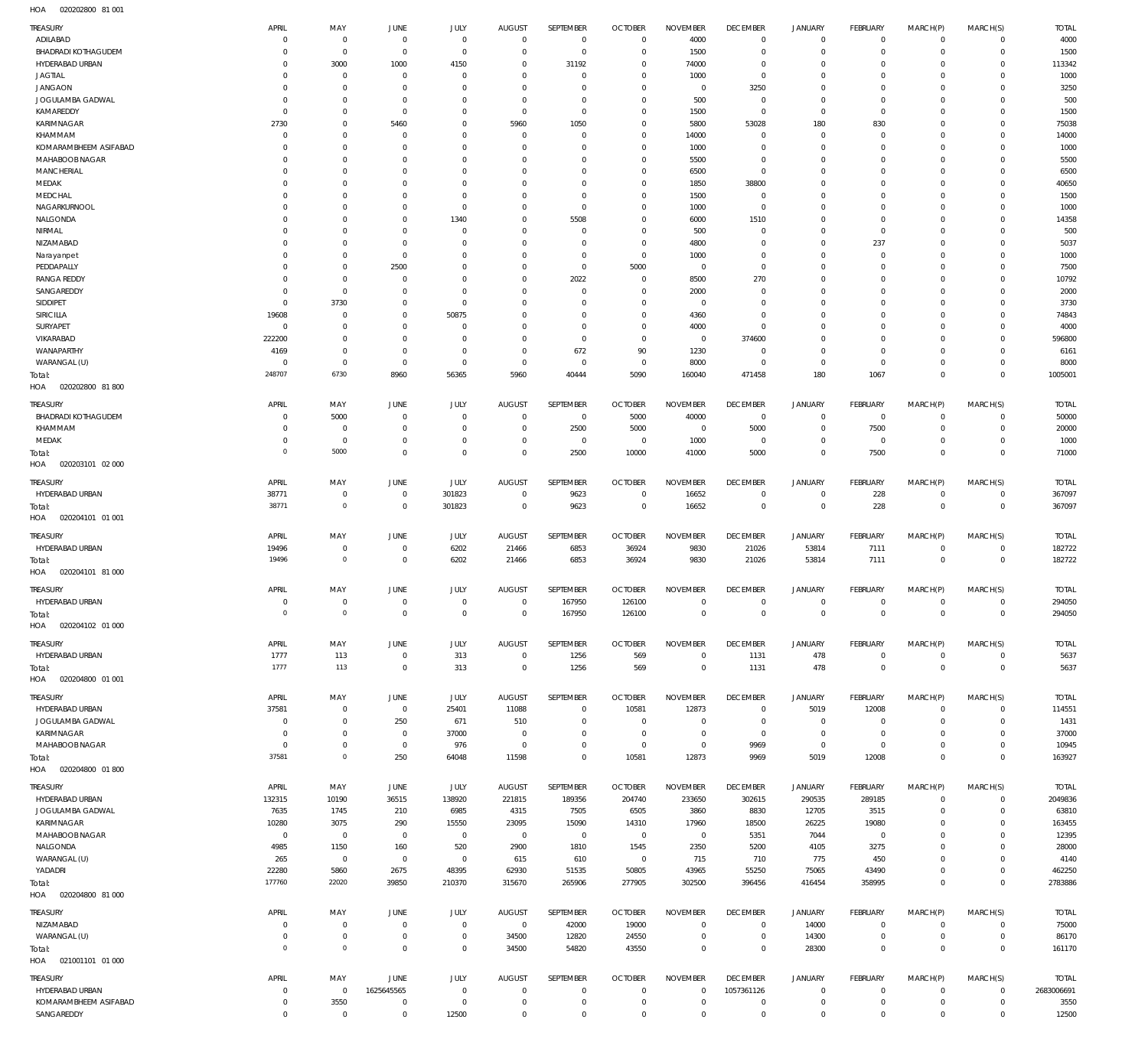HOA 020202800 81 001

| TREASURY                            | APRIL                     | MAY                                | <b>JUNE</b>               | <b>JULY</b>          | <b>AUGUST</b>             | SEPTEMBER                  | <b>OCTOBER</b>                | <b>NOVEMBER</b>            | <b>DECEMBER</b>            | <b>JANUARY</b>                     | FEBRUARY                   | MARCH(P)                    | MARCH(S)                    | <b>TOTAL</b>     |
|-------------------------------------|---------------------------|------------------------------------|---------------------------|----------------------|---------------------------|----------------------------|-------------------------------|----------------------------|----------------------------|------------------------------------|----------------------------|-----------------------------|-----------------------------|------------------|
| ADILABAD                            | $\Omega$                  | $\mathbf 0$                        | $\mathbf 0$               | $\mathbf 0$          | $\mathbf 0$               | $\mathbf 0$                | $\mathbf 0$                   | 4000                       | $\mathbf 0$                | $\mathbf 0$                        | $^{\circ}$                 | $\mathbf 0$                 | $\mathbf 0$                 | 4000             |
| <b>BHADRADI KOTHAGUDEM</b>          | $\Omega$                  | $\mathbf 0$                        | $\mathbf 0$               | $\mathbf 0$          | $\Omega$                  | $\mathbf 0$                | $^{\circ}$                    | 1500                       | $\mathbf 0$                | $\mathbf 0$                        | $^{\circ}$                 | $\Omega$                    | $\mathbf 0$                 | 1500             |
| HYDERABAD URBAN                     | $\Omega$                  | 3000                               | 1000                      | 4150<br>$\Omega$     | $\Omega$                  | 31192                      | $^{\circ}$<br>$\Omega$        | 74000                      | $\Omega$                   | $\Omega$<br>$\Omega$               | $\Omega$<br>$\Omega$       | $\Omega$<br>$\Omega$        | $\Omega$<br>$\Omega$        | 113342           |
| <b>JAGTIAL</b><br><b>JANGAON</b>    | $\Omega$<br>$\Omega$      | $\mathbf 0$<br>$\mathbf 0$         | $^{\circ}$<br>$^{\circ}$  | $\Omega$             | $\Omega$<br>$\Omega$      | $\mathbf 0$<br>$\Omega$    | $^{\circ}$                    | 1000<br>$^{\circ}$         | $\mathbf 0$<br>3250        | $\Omega$                           | $\Omega$                   | $\Omega$                    | $\Omega$                    | 1000<br>3250     |
| JOGULAMBA GADWAL                    | $\Omega$                  | $\Omega$                           | $\Omega$                  | $\Omega$             | $\Omega$                  | $\Omega$                   | $\Omega$                      | 500                        | $\Omega$                   | $\Omega$                           | $\Omega$                   | $\Omega$                    | $\Omega$                    | 500              |
| KAMAREDDY                           | $\Omega$                  | $\mathbf 0$                        | $^{\circ}$                | $\Omega$             | $\Omega$                  | $\Omega$                   | $^{\circ}$                    | 1500                       | $\Omega$                   | $\mathbf 0$                        | $\Omega$                   | $\Omega$                    | $\Omega$                    | 1500             |
| KARIMNAGAR                          | 2730                      | $\mathbf 0$                        | 5460                      | $\Omega$             | 5960                      | 1050                       | $\Omega$                      | 5800                       | 53028                      | 180                                | 830                        | $\Omega$                    | $\Omega$                    | 75038            |
| KHAMMAM                             | $\Omega$                  | $\mathbf 0$                        | $^{\circ}$                | $\Omega$             | $\Omega$                  | $\mathbf 0$                | $\mathbf 0$                   | 14000                      | $\Omega$                   | $\mathbf 0$                        | $\Omega$                   | $\Omega$                    | $\Omega$                    | 14000            |
| KOMARAMBHEEM ASIFABAD               | $\Omega$                  | $\Omega$                           | $^{\circ}$                | $\Omega$             | $\Omega$                  | $\Omega$                   | $\Omega$                      | 1000                       | $\Omega$                   | $\mathbf 0$                        | $\Omega$                   | $\Omega$                    | $\Omega$                    | 1000             |
| MAHABOOB NAGAR                      | $\Omega$                  | $\Omega$                           | $\Omega$                  | $\Omega$             | $\Omega$                  | $\Omega$                   | $^{\circ}$                    | 5500                       | $\Omega$                   | $\Omega$                           | $\Omega$                   | $\Omega$                    | $\Omega$                    | 5500             |
| MANCHERIAL                          | $\Omega$                  | $^{\circ}$                         | $\Omega$                  | $\Omega$             | $\Omega$                  | $\Omega$                   | $^{\circ}$                    | 6500                       | $^{\circ}$                 | $\Omega$                           | $\Omega$                   | $\Omega$                    | $\Omega$                    | 6500             |
| MEDAK<br>MEDCHAL                    | $\Omega$<br>$\Omega$      | $\Omega$<br>$\Omega$               | $\Omega$<br>$\Omega$      | $\Omega$<br>$\Omega$ | $\Omega$<br>$\Omega$      | $\Omega$<br>$\Omega$       | $^{\circ}$<br>$\Omega$        | 1850<br>1500               | 38800<br>$\Omega$          | $\Omega$<br>$\Omega$               | $\Omega$<br>$\Omega$       | $\Omega$<br>$\Omega$        | $\Omega$<br>$\Omega$        | 40650<br>1500    |
| NAGARKURNOOL                        | $\Omega$                  | $\mathbf 0$                        | $^{\circ}$                | $\Omega$             | $\Omega$                  | $\Omega$                   | $^{\circ}$                    | 1000                       | $\Omega$                   | $\Omega$                           | $\Omega$                   | $\Omega$                    | $\Omega$                    | 1000             |
| NALGONDA                            | $\Omega$                  | $\Omega$                           | $\Omega$                  | 1340                 | $\Omega$                  | 5508                       | $\Omega$                      | 6000                       | 1510                       | $\Omega$                           | $\Omega$                   | $\Omega$                    | $\Omega$                    | 14358            |
| NIRMAL                              | $\Omega$                  | $\mathbf 0$                        | $^{\circ}$                | $\Omega$             | $\Omega$                  | $\mathbf 0$                | $^{\circ}$                    | 500                        | $\mathbf 0$                | $\mathbf 0$                        | $\Omega$                   | $\Omega$                    | $\Omega$                    | 500              |
| NIZAMABAD                           | $\Omega$                  | $\Omega$                           | $\Omega$                  | $\Omega$             | $\Omega$                  | $\Omega$                   | $\Omega$                      | 4800                       | $\Omega$                   | $\Omega$                           | 237                        | $\Omega$                    | $\Omega$                    | 5037             |
| Narayanpet                          | $\Omega$                  | $\mathbf 0$                        | $^{\circ}$                | $\Omega$             | $\Omega$                  | $\Omega$                   | $\Omega$                      | 1000                       | $\Omega$                   | $\Omega$                           | $\Omega$                   | $\Omega$                    | $\Omega$                    | 1000             |
| PEDDAPALLY                          | $\Omega$                  | $\mathbf 0$                        | 2500                      | $\Omega$             | $\Omega$                  | $\mathbf 0$                | 5000                          | $^{\circ}$                 | $^{\circ}$                 | $\Omega$                           | $\Omega$                   | $\Omega$                    | $\Omega$                    | 7500             |
| <b>RANGA REDDY</b>                  | $\Omega$                  | $\mathbf 0$                        | $\Omega$                  | $\Omega$             | $\Omega$                  | 2022                       | $^{\circ}$                    | 8500                       | 270                        | $\Omega$                           | $\Omega$                   | $\Omega$                    | $\Omega$                    | 10792            |
| SANGAREDDY<br>SIDDIPET              | $\Omega$<br>$\Omega$      | $\mathbf 0$<br>3730                | $\Omega$<br>$\Omega$      | $\Omega$<br>$\Omega$ | $\Omega$<br>$\Omega$      | $^{\circ}$<br>$\Omega$     | $\Omega$<br>$\Omega$          | 2000<br>$^{\circ}$         | $\Omega$<br>$\Omega$       | $\Omega$<br>$\Omega$               | $\Omega$<br>$\Omega$       | $\Omega$<br>$\Omega$        | $\Omega$<br>$\Omega$        | 2000<br>3730     |
| <b>SIRICILLA</b>                    | 19608                     | $^{\circ}$                         | $\Omega$                  | 50875                | $\Omega$                  | $\Omega$                   | $\Omega$                      | 4360                       | $\Omega$                   | $\Omega$                           | $\Omega$                   | $\Omega$                    | $\Omega$                    | 74843            |
| SURYAPET                            | $^{\circ}$                | $\circ$                            | $^{\circ}$                | $\Omega$             | $\Omega$                  | $\Omega$                   | $^{\circ}$                    | 4000                       | $\Omega$                   | $\Omega$                           | $\Omega$                   | $\Omega$                    | $\Omega$                    | 400C             |
| VIKARABAD                           | 222200                    | $\Omega$                           | $\Omega$                  | $\Omega$             | $\Omega$                  | $\Omega$                   | $\Omega$                      | $^{\circ}$                 | 374600                     | $\Omega$                           | $\Omega$                   | $\Omega$                    | $\Omega$                    | 596800           |
| WANAPARTHY                          | 4169                      | $\mathbf 0$                        | $^{\circ}$                | $\Omega$             | $\Omega$                  | 672                        | 90                            | 1230                       | $\mathbf 0$                | $\mathbf 0$                        | $\Omega$                   | $\Omega$                    | $\Omega$                    | 6161             |
| WARANGAL (U)                        | $^{\circ}$                | $\mathbf 0$                        | $\circ$                   | $\mathbf 0$          | $\mathbf 0$               | $\mathbf 0$                | $\mathbf 0$                   | 8000                       | $^{\circ}$                 | $\mathbf 0$                        | $^{\circ}$                 | $\Omega$                    | $\Omega$                    | 8000             |
| Total:                              | 248707                    | 6730                               | 8960                      | 56365                | 5960                      | 40444                      | 5090                          | 160040                     | 471458                     | 180                                | 1067                       | $\Omega$                    | $\Omega$                    | 1005001          |
| 020202800 81 800<br>HOA             |                           |                                    |                           |                      |                           |                            |                               |                            |                            |                                    |                            |                             |                             |                  |
| <b>TREASURY</b>                     | <b>APRIL</b>              | MAY                                | <b>JUNE</b>               | JULY                 | <b>AUGUST</b>             | SEPTEMBER                  | <b>OCTOBER</b>                | <b>NOVEMBER</b>            | <b>DECEMBER</b>            | <b>JANUARY</b>                     | <b>FEBRUARY</b>            | MARCH(P)                    | MARCH(S)                    | <b>TOTAL</b>     |
| BHADRADI KOTHAGUDEM                 | $^{\circ}$                | 5000                               | $^{\circ}$                | $\mathbf 0$          | $^{\circ}$                | $\mathbf 0$                | 5000                          | 40000                      | $\mathbf 0$                | 0                                  | $\circ$                    | $^{\circ}$                  | $\mathbf 0$                 | 50000            |
| KHAMMAM                             | $\Omega$                  | $\mathbf 0$                        | $^{\circ}$                | $\mathbf 0$          | $^{\circ}$                | 2500                       | 5000                          | $\mathbf 0$                | 5000                       | $\mathsf{O}$                       | 7500                       | $\mathbf 0$                 | $\mathbf 0$                 | 20000            |
| MEDAK                               | $^{\circ}$                | $\mathbb O$                        | $^{\circ}$                | $\mathbf 0$          | $^{\circ}$                | $\mathbf 0$                | $\overline{\phantom{0}}$      | 1000                       | 0                          | $\mathbf 0$                        | $\overline{0}$             | $\mathbf 0$                 | $\mathbf 0$                 | 1000             |
| Total:<br>020203101 02 000          | $\circ$                   | 5000                               | $\mathbf 0$               | $\mathbf 0$          | $\Omega$                  | 2500                       | 10000                         | 41000                      | 5000                       | $\mathbf 0$                        | 7500                       | $\mathbf 0$                 | $\mathbf 0$                 | 71000            |
| HOA                                 |                           |                                    |                           |                      |                           |                            |                               |                            |                            |                                    |                            |                             |                             |                  |
| <b>TREASURY</b>                     | <b>APRIL</b>              | MAY                                | <b>JUNE</b>               | <b>JULY</b>          | <b>AUGUST</b>             | SEPTEMBER                  | <b>OCTOBER</b>                | <b>NOVEMBER</b>            | <b>DECEMBER</b>            | <b>JANUARY</b>                     | <b>FEBRUARY</b>            | MARCH(P)                    | MARCH(S)                    | <b>TOTAL</b>     |
| HYDERABAD URBAN                     | 38771                     | $\mathbf 0$                        | $\mathbf 0$               | 301823               | $\mathbf 0$               | 9623                       | $^{\circ}$                    | 16652                      | $\mathbf 0$                | $\mathbf 0$                        | 228                        | $^{\circ}$                  | $\mathbf 0$                 | 367097           |
| Total:                              | 38771                     | $\mathsf{O}$                       | $\mathbf 0$               | 301823               | $\mathbf 0$               | 9623                       | $\mathbf 0$                   | 16652                      | $\mathbf 0$                | $\mathbb O$                        | 228                        | $\mathbf 0$                 | $\mathbf 0$                 | 367097           |
| 020204101 01 001<br>HOA             |                           |                                    |                           |                      |                           |                            |                               |                            |                            |                                    |                            |                             |                             |                  |
| TREASURY                            | APRIL                     | MAY                                | <b>JUNE</b>               | <b>JULY</b>          | <b>AUGUST</b>             | SEPTEMBER                  | <b>OCTOBER</b>                | <b>NOVEMBER</b>            | <b>DECEMBER</b>            | <b>JANUARY</b>                     | <b>FEBRUARY</b>            | MARCH(P)                    | MARCH(S)                    | <b>TOTAL</b>     |
| HYDERABAD URBAN                     | 19496                     | $\mathbf 0$                        | $^{\circ}$                | 6202                 | 21466                     | 6853                       | 36924                         | 9830                       | 21026                      | 53814                              | 7111                       | $^{\circ}$                  | $\mathbf 0$                 | 182722           |
| Total:                              | 19496                     | $\bf 0$                            | $\circ$                   | 6202                 | 21466                     | 6853                       | 36924                         | 9830                       | 21026                      | 53814                              | 7111                       | $\mathbf 0$                 | $\mathbf 0$                 | 182722           |
| 020204101 81 000<br>HOA             |                           |                                    |                           |                      |                           |                            |                               |                            |                            |                                    |                            |                             |                             |                  |
| TREASURY                            | APRIL                     | MAY                                | <b>JUNE</b>               | <b>JULY</b>          | <b>AUGUST</b>             | SEPTEMBER                  | <b>OCTOBER</b>                | <b>NOVEMBER</b>            | <b>DECEMBER</b>            | <b>JANUARY</b>                     | FEBRUARY                   | MARCH(P)                    | MARCH(S)                    | <b>TOTAL</b>     |
| HYDERABAD URBAN                     | $\Omega$                  | $\Omega$                           | $\Omega$                  | $\mathbf 0$          | $\mathbf 0$               | 167950                     | 126100                        | $\mathbf 0$                | $\mathbf 0$                | $\mathbf 0$                        | $\mathbf 0$                | $\mathbf 0$                 | $\mathbf 0$                 | 294050           |
| Total:                              | $\Omega$                  | $\mathbf 0$                        | $\Omega$                  | $\Omega$             | $\Omega$                  | 167950                     | 126100                        | $\Omega$                   | $\mathbf{0}$               | $\mathbf{0}$                       | $\Omega$                   | $\mathbf{0}$                | $\mathbf{0}$                | 294050           |
| 020204102 01 000<br>HOA             |                           |                                    |                           |                      |                           |                            |                               |                            |                            |                                    |                            |                             |                             |                  |
| TREASURY                            | APRIL                     | MAY                                | <b>JUNE</b>               | <b>JULY</b>          | <b>AUGUST</b>             | SEPTEMBER                  | <b>OCTOBER</b>                | <b>NOVEMBER</b>            | <b>DECEMBER</b>            | <b>JANUARY</b>                     | FEBRUARY                   | MARCH(P)                    | MARCH(S)                    | <b>TOTAL</b>     |
| HYDERABAD URBAN                     | 1777                      | 113                                | $\overline{0}$            | 313                  | $\overline{0}$            | 1256                       | 569                           | $\mathbb O$                | 1131                       | 478                                | $\circ$                    | $\mathsf{O}$                | $\circ$                     | 5637             |
| Total:                              | 1777                      | 113                                | $\circ$                   | 313                  | $\mathbf 0$               | 1256                       | 569                           | $\mathbb O$                | 1131                       | 478                                | $\mathbf 0$                | $\mathbf 0$                 | $\mathbb O$                 | 5637             |
| 020204800 01 001<br>HOA             |                           |                                    |                           |                      |                           |                            |                               |                            |                            |                                    |                            |                             |                             |                  |
| TREASURY                            | APRIL                     | MAY                                | JUNE                      | JULY                 | <b>AUGUST</b>             | SEPTEMBER                  | <b>OCTOBER</b>                | <b>NOVEMBER</b>            | <b>DECEMBER</b>            | <b>JANUARY</b>                     | <b>FEBRUARY</b>            | MARCH(P)                    | MARCH(S)                    | <b>TOTAL</b>     |
| HYDERABAD URBAN                     | 37581                     | $\mathbb O$                        | $\overline{0}$            | 25401                | 11088                     | $\mathbf 0$                | 10581                         | 12873                      | $\mathbf 0$                | 5019                               | 12008                      | $\mathbf 0$                 | $\mathbf 0$                 | 114551           |
| JOGULAMBA GADWAL                    | $^{\circ}$                | $\mathbb O$                        | 250                       | 671                  | 510                       | $\mathbf 0$                | $^{\circ}$                    | $^{\circ}$                 | $^{\circ}$                 | $\mathbf 0$                        | $^{\circ}$                 | $^{\circ}$                  | $\mathbf 0$                 | 1431             |
| KARIMNAGAR                          | $^{\circ}$                | $\mathbb O$                        | $\overline{0}$            | 37000                | $\mathbf 0$               | $\mathbf 0$                | $^{\circ}$                    | $\mathbf 0$                | $\mathbf 0$                | $\mathbf 0$                        | $^{\circ}$                 | $\mathbf 0$                 | $\mathbf 0$                 | 37000            |
| MAHABOOB NAGAR                      | $^{\circ}$<br>37581       | $\mathbf 0$<br>$\mathsf{O}\xspace$ | $\overline{0}$<br>250     | 976<br>64048         | $\mathbf 0$<br>11598      | $\mathbf 0$<br>$\mathbf 0$ | $^{\circ}$<br>10581           | $\mathbf 0$<br>12873       | 9969<br>9969               | $\mathbf 0$<br>5019                | $^{\circ}$<br>12008        | $^{\circ}$<br>$\mathbf 0$   | $\mathbf 0$<br>$\mathbf 0$  | 10945<br>163927  |
| Total:<br>HOA<br>020204800 01800    |                           |                                    |                           |                      |                           |                            |                               |                            |                            |                                    |                            |                             |                             |                  |
|                                     |                           |                                    |                           |                      |                           |                            |                               |                            |                            |                                    |                            |                             |                             |                  |
| TREASURY                            | APRIL                     | MAY                                | JUNE                      | JULY                 | <b>AUGUST</b>             | SEPTEMBER                  | <b>OCTOBER</b>                | <b>NOVEMBER</b>            | <b>DECEMBER</b>            | <b>JANUARY</b>                     | <b>FEBRUARY</b>            | MARCH(P)                    | MARCH(S)                    | <b>TOTAL</b>     |
| HYDERABAD URBAN<br>JOGULAMBA GADWAL | 132315<br>7635            | 10190<br>1745                      | 36515<br>210              | 138920<br>6985       | 221815<br>4315            | 189356<br>7505             | 204740<br>6505                | 233650<br>3860             | 302615<br>8830             | 290535<br>12705                    | 289185<br>3515             | $\mathbf 0$<br>$\mathbf 0$  | 0<br>$\mathbf 0$            | 2049836<br>63810 |
| KARIMNAGAR                          | 10280                     | 3075                               | 290                       | 15550                | 23095                     | 15090                      | 14310                         | 17960                      | 18500                      | 26225                              | 19080                      | $\mathbf 0$                 | $\mathbf 0$                 | 163455           |
| MAHABOOB NAGAR                      | $\circ$                   | $\overline{0}$                     | $\overline{0}$            | $\mathbb O$          | $\overline{0}$            | $\overline{0}$             | $\overline{0}$                | $\mathbb O$                | 5351                       | 7044                               | $\overline{0}$             | $\mathbf 0$                 | $\mathbf 0$                 | 12395            |
| NALGONDA                            | 4985                      | 1150                               | 160                       | 520                  | 2900                      | 1810                       | 1545                          | 2350                       | 5200                       | 4105                               | 3275                       | $\mathbf 0$                 | $\Omega$                    | 28000            |
| WARANGAL (U)                        | 265                       | $\overline{0}$                     | $\overline{0}$            | $\mathbb O$          | 615                       | 610                        | $\overline{0}$                | 715                        | 710                        | 775                                | 450                        | $\mathbf 0$                 | $\mathbf 0$                 | 4140             |
| YADADRI                             | 22280                     | 5860                               | 2675                      | 48395                | 62930                     | 51535                      | 50805                         | 43965                      | 55250                      | 75065                              | 43490                      | $\mathbf 0$                 | $\mathbf 0$                 | 462250           |
| Total:                              | 177760                    | 22020                              | 39850                     | 210370               | 315670                    | 265906                     | 277905                        | 302500                     | 396456                     | 416454                             | 358995                     | $\mathbf 0$                 | $\mathbf 0$                 | 2783886          |
| 020204800 81 000<br>HOA             |                           |                                    |                           |                      |                           |                            |                               |                            |                            |                                    |                            |                             |                             |                  |
| TREASURY                            | APRIL                     | MAY                                | JUNE                      | JULY                 | <b>AUGUST</b>             | SEPTEMBER                  | <b>OCTOBER</b>                | <b>NOVEMBER</b>            | <b>DECEMBER</b>            | <b>JANUARY</b>                     | FEBRUARY                   | MARCH(P)                    | MARCH(S)                    | <b>TOTAL</b>     |
| NIZAMABAD                           | $^{\circ}$                | $\mathbf 0$                        | $\mathbf 0$               | $\mathbb O$          | $\overline{0}$            | 42000                      | 19000                         | $^{\circ}$                 | $\mathbb O$                | 14000                              | $\mathbf 0$                | $^{\circ}$                  | $\mathbf 0$                 | 75000            |
| WARANGAL (U)                        | $^{\circ}$                | $\mathbf 0$                        | $\overline{0}$            | $\mathbf 0$          | 34500                     | 12820                      | 24550                         | $\circ$                    | $\mathbf 0$                | 14300                              | $\mathbf 0$                | $\mathbf 0$                 | $\mathbf 0$                 | 86170            |
| Total:                              | $\circ$                   | $\mathsf 0$                        | $\mathbf{0}$              | $\mathbf 0$          | 34500                     | 54820                      | 43550                         | $\mathbf 0$                | $\mathbf 0$                | 28300                              | $\mathbf 0$                | $\mathbf 0$                 | $\mathbf 0$                 | 161170           |
| HOA  021001101  01  000             |                           |                                    |                           |                      |                           |                            |                               |                            |                            |                                    |                            |                             |                             |                  |
| TREASURY                            | APRIL                     | MAY                                | JUNE                      | JULY                 | <b>AUGUST</b>             | SEPTEMBER                  | <b>OCTOBER</b>                | <b>NOVEMBER</b>            | <b>DECEMBER</b>            | <b>JANUARY</b>                     | FEBRUARY                   | MARCH(P)                    | MARCH(S)                    | <b>TOTAL</b>     |
| HYDERABAD URBAN                     | 0                         | $\mathbf 0$                        | 1625645565                | $\mathbb O$          | $\mathbf 0$               | $\mathbb O$                | $\mathbf 0$                   | $\mathbb O$                | 1057361126                 | $\mathsf{O}$                       | $\mathbf 0$                | $\mathbf 0$                 | $\mathbb O$                 | 2683006691       |
| KOMARAMBHEEM ASIFABAD<br>SANGAREDDY | $^{\circ}$<br>$\mathbf 0$ | 3550<br>$\mathbf 0$                | $^{\circ}$<br>$\mathbf 0$ | $\mathbb O$<br>12500 | $^{\circ}$<br>$\mathbf 0$ | $\mathbf 0$<br>$\mathbf 0$ | $\overline{0}$<br>$\mathbf 0$ | $\mathbb O$<br>$\mathbf 0$ | $\mathbf 0$<br>$\mathbb O$ | $\mathbf 0$<br>$\mathsf{O}\xspace$ | $\mathbf 0$<br>$\mathbf 0$ | $\mathsf{O}$<br>$\mathbf 0$ | $\mathbb O$<br>$\mathsf{O}$ | 3550<br>12500    |
|                                     |                           |                                    |                           |                      |                           |                            |                               |                            |                            |                                    |                            |                             |                             |                  |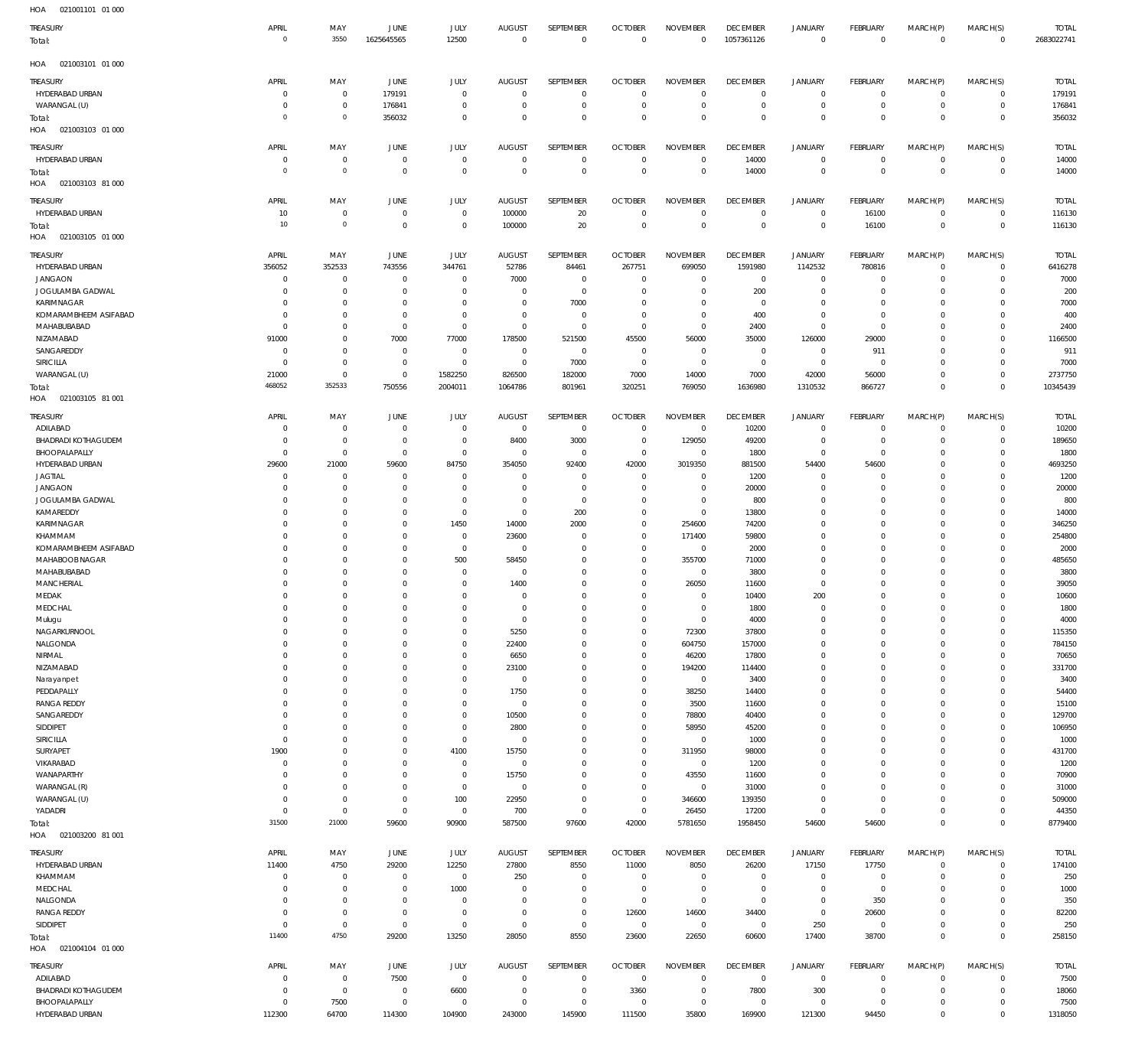| $\cdot$ .<br>021001101 01000<br>TREASURY | APRIL                    | MAY                        | <b>JUNE</b>                   | JULY                       | AUGUST                          | SEPTEMBER                  | <b>OCTOBER</b>                   | <b>NOVEMBER</b>                | <b>DECEMBER</b>                   | JANUARY                          | FEBRUARY                       | MARCH(P)                   | MARCH(S)                     | <b>TOTAL</b>           |
|------------------------------------------|--------------------------|----------------------------|-------------------------------|----------------------------|---------------------------------|----------------------------|----------------------------------|--------------------------------|-----------------------------------|----------------------------------|--------------------------------|----------------------------|------------------------------|------------------------|
| Total:                                   | $\circ$                  | 3550                       | 1625645565                    | 12500                      | $\Omega$                        | $\mathbf 0$                | $\overline{0}$                   | $\mathbf 0$                    | 1057361126                        | $\mathbf 0$                      | $\overline{0}$                 | $\mathbf 0$                | $\overline{0}$               | 2683022741             |
| 021003101 01 000<br>HOA                  |                          |                            |                               |                            |                                 |                            |                                  |                                |                                   |                                  |                                |                            |                              |                        |
| TREASURY                                 | APRIL                    | MAY                        | JUNE                          | JULY                       | <b>AUGUST</b>                   | SEPTEMBER                  | <b>OCTOBER</b>                   | <b>NOVEMBER</b>                | <b>DECEMBER</b>                   | <b>JANUARY</b>                   | FEBRUARY                       | MARCH(P)                   | MARCH(S)                     | <b>TOTAL</b>           |
| HYDERABAD URBAN<br>WARANGAL (U)          | $^{\circ}$<br>$\Omega$   | $\mathbf 0$<br>$\mathbf 0$ | 179191<br>176841              | $\mathbf 0$<br>$^{\circ}$  | $^{\circ}$<br>$^{\circ}$        | $\mathbf 0$<br>$\mathbf 0$ | $\overline{0}$<br>$\overline{0}$ | $\mathbf 0$<br>$\mathbf 0$     | $\mathbf 0$<br>$\overline{0}$     | $\mathbf 0$<br>$\mathbf 0$       | $\mathbf{0}$<br>$\overline{0}$ | $\circ$<br>$\mathbf 0$     | $^{\circ}$<br>$\overline{0}$ | 179191<br>176841       |
| Total:<br>021003103 01 000<br>HOA        | $\circ$                  | $\mathbb O$                | 356032                        | $\mathbf 0$                | $\Omega$                        | $\mathbf 0$                | $\mathbf 0$                      | $\mathbf 0$                    | $\mathbf 0$                       | $\mathbf 0$                      | $\overline{0}$                 | $\Omega$                   | $\mathbf 0$                  | 356032                 |
| TREASURY                                 | APRIL                    | MAY                        | <b>JUNE</b>                   | JULY                       | <b>AUGUST</b>                   | SEPTEMBER                  | <b>OCTOBER</b>                   | <b>NOVEMBER</b>                | <b>DECEMBER</b>                   | <b>JANUARY</b>                   | FEBRUARY                       | MARCH(P)                   | MARCH(S)                     | <b>TOTAL</b>           |
| HYDERABAD URBAN<br>Total:                | 0<br>$\circ$             | $\mathbf 0$<br>$\mathbb O$ | $\mathbf 0$<br>$\overline{0}$ | $^{\circ}$<br>$\mathbf 0$  | $^{\circ}$<br>$^{\circ}$        | $\mathbf 0$<br>$\mathbf 0$ | $\mathbf 0$<br>$\overline{0}$    | $\mathbf 0$<br>$\mathbf 0$     | 14000<br>14000                    | $\mathbf 0$<br>$\mathbf 0$       | $^{\circ}$<br>$\overline{0}$   | $\mathbf 0$<br>$\mathbf 0$ | $^{\circ}$<br>$\overline{0}$ | 14000<br>14000         |
| HOA<br>021003103 81 000                  |                          |                            |                               |                            |                                 |                            |                                  |                                |                                   |                                  |                                |                            |                              |                        |
| TREASURY<br>HYDERABAD URBAN              | APRIL<br>10              | MAY<br>$\mathbb O$         | <b>JUNE</b><br>$\circ$        | <b>JULY</b><br>$\mathbb O$ | <b>AUGUST</b><br>100000         | SEPTEMBER<br>20            | <b>OCTOBER</b><br>$\overline{0}$ | <b>NOVEMBER</b><br>$\mathbf 0$ | <b>DECEMBER</b><br>$\overline{0}$ | <b>JANUARY</b><br>$\mathbf 0$    | FEBRUARY<br>16100              | MARCH(P)<br>$\mathbf 0$    | MARCH(S)<br>$\mathbf{0}$     | <b>TOTAL</b><br>116130 |
| Total:<br>021003105 01 000<br>HOA        | 10                       | $\mathbb O$                | $\circ$                       | $\mathbb O$                | 100000                          | 20                         | $\overline{0}$                   | $\mathbf 0$                    | $\overline{0}$                    | $\bf 0$                          | 16100                          | $\mathbf 0$                | $\overline{0}$               | 116130                 |
| TREASURY                                 | APRIL                    | MAY                        | JUNE                          | <b>JULY</b>                | <b>AUGUST</b>                   | SEPTEMBER                  | <b>OCTOBER</b>                   | <b>NOVEMBER</b>                | <b>DECEMBER</b>                   | <b>JANUARY</b>                   | FEBRUARY                       | MARCH(P)                   | MARCH(S)                     | <b>TOTAL</b>           |
| HYDERABAD URBAN<br><b>JANGAON</b>        | 356052<br>$\mathbf 0$    | 352533<br>$\mathbf 0$      | 743556<br>$^{\circ}$          | 344761<br>$\mathbf 0$      | 52786<br>7000                   | 84461<br>$\mathbf 0$       | 267751<br>$\overline{0}$         | 699050<br>$\mathbf 0$          | 1591980<br>$\mathbf 0$            | 1142532<br>$\mathbf 0$           | 780816<br>$^{\circ}$           | $\Omega$<br>$\circ$        | $\mathbf 0$<br>$\mathbf 0$   | 6416278<br>7000        |
| JOGULAMBA GADWAL                         | $\Omega$                 | $\mathbf 0$                | $^{\circ}$                    | $\Omega$                   | $^{\circ}$                      | $\mathbf 0$                | $\mathbf 0$                      | $\Omega$                       | 200                               | $\mathbf 0$                      | $\mathbf 0$                    | 0                          | $\Omega$                     | 200                    |
| KARIMNAGAR                               | $\Omega$                 | $\mathbf 0$                | $\mathbf 0$                   | $\mathbf 0$                | $\Omega$                        | 7000                       | 0                                | $\Omega$                       | $\overline{0}$                    | $\mathbf 0$                      | $^{\circ}$                     | $\Omega$                   | $\mathbf 0$                  | 7000                   |
| KOMARAMBHEEM ASIFABAD<br>MAHABUBABAD     | $\Omega$<br>$\Omega$     | $^{\circ}$<br>$\mathbf 0$  | $^{\circ}$<br>$^{\circ}$      | $\Omega$<br>$\Omega$       | $^{\circ}$<br>$\mathbf{0}$      | $\mathbf 0$<br>$\Omega$    | $\mathbf 0$<br>$\overline{0}$    | $\Omega$<br>$\Omega$           | 400<br>2400                       | $\mathbf 0$<br>$\mathbf 0$       | $\mathbf 0$<br>$^{\circ}$      | 0<br>$\Omega$              | $\mathbf 0$<br>$\Omega$      | 400<br>2400            |
| NIZAMABAD                                | 91000                    | $^{\circ}$                 | 7000                          | 77000                      | 178500                          | 521500                     | 45500                            | 56000                          | 35000                             | 126000                           | 29000                          | 0                          | $\mathbf 0$                  | 1166500                |
| SANGAREDDY<br>SIRICILLA                  | $^{\circ}$<br>$\Omega$   | $^{\circ}$<br>$^{\circ}$   | $^{\circ}$<br>$^{\circ}$      | $^{\circ}$<br>$\mathbf 0$  | $\mathbf{0}$<br>$^{\circ}$      | $\mathbf 0$<br>7000        | $\overline{0}$<br>$^{\circ}$     | $\mathbf 0$<br>$\mathbf 0$     | $\mathbf 0$<br>$\overline{0}$     | $\mathbf 0$<br>$\mathbf 0$       | 911<br>$\overline{0}$          | 0<br>$\Omega$              | $\Omega$<br>$\mathbf 0$      | 911<br>7000            |
| WARANGAL (U)                             | 21000                    | $\mathbf 0$                | $^{\circ}$                    | 1582250                    | 826500                          | 182000                     | 7000                             | 14000                          | 7000                              | 42000                            | 56000                          | $\Omega$                   | $\mathbf 0$                  | 2737750                |
| Total:                                   | 468052                   | 352533                     | 750556                        | 2004011                    | 1064786                         | 801961                     | 320251                           | 769050                         | 1636980                           | 1310532                          | 866727                         | $\Omega$                   | $\mathbf 0$                  | 10345439               |
| HOA<br>021003105 81 001                  |                          |                            |                               |                            |                                 |                            |                                  |                                |                                   |                                  |                                |                            |                              |                        |
| TREASURY<br>ADILABAD                     | APRIL<br>$^{\circ}$      | MAY<br>$\mathbf 0$         | <b>JUNE</b><br>$\circ$        | JULY<br>$\mathbf 0$        | <b>AUGUST</b><br>$\mathbf 0$    | SEPTEMBER<br>$\mathbf 0$   | <b>OCTOBER</b><br>$\mathbf 0$    | <b>NOVEMBER</b><br>0           | <b>DECEMBER</b><br>10200          | <b>JANUARY</b><br>$\mathbf 0$    | FEBRUARY<br>$\mathbf 0$        | MARCH(P)<br>0              | MARCH(S)<br>$\mathbf 0$      | <b>TOTAL</b><br>10200  |
| <b>BHADRADI KOTHAGUDEM</b>               | $\Omega$                 | $\mathbf 0$                | 0                             | $\mathbf 0$                | 8400                            | 3000                       | $\overline{0}$                   | 129050                         | 49200                             | $\mathbf 0$                      | $\overline{0}$                 | $\Omega$                   | $\mathbf{0}$                 | 189650                 |
| BHOOPALAPALLY<br>HYDERABAD URBAN         | $^{\circ}$<br>29600      | $\mathbf 0$<br>21000       | $^{\circ}$<br>59600           | $\mathbb O$<br>84750       | $\mathbf{0}$<br>354050          | $\mathbf 0$<br>92400       | $\overline{0}$<br>42000          | 0<br>3019350                   | 1800<br>881500                    | $\mathbf 0$<br>54400             | $\overline{0}$<br>54600        | $\Omega$<br>$\Omega$       | $^{\circ}$<br>$\mathbf 0$    | 1800<br>4693250        |
| JAGTIAL                                  | $^{\circ}$               | $\mathbf 0$                | $^{\circ}$                    | $^{\circ}$                 | $^{\circ}$                      | $\mathbf 0$                | $\overline{0}$                   | $\mathbf 0$                    | 1200                              | $\mathbf 0$                      | $\overline{0}$                 | $\Omega$                   | $^{\circ}$                   | 1200                   |
| <b>JANGAON</b>                           | $\Omega$<br>$\Omega$     | $\mathbf 0$<br>$\mathbf 0$ | $^{\circ}$<br>$^{\circ}$      | $\mathbf 0$<br>$\mathbf 0$ | $^{\circ}$<br>$^{\circ}$        | $\mathbf 0$<br>$\mathbf 0$ | $\overline{0}$<br>$\mathbf 0$    | $\mathbf 0$<br>$\mathbf 0$     | 20000                             | $\mathbf 0$<br>$\mathbf 0$       | $^{\circ}$<br>$^{\circ}$       | $\Omega$<br>$\Omega$       | $\mathbf 0$<br>$^{\circ}$    | 20000                  |
| JOGULAMBA GADWAL<br>KAMAREDDY            | $\Omega$                 | $\mathbf 0$                | $^{\circ}$                    | $\mathbb O$                | $^{\circ}$                      | 200                        | $\mathbf 0$                      | $\bf 0$                        | 800<br>13800                      | $\mathbf 0$                      | $\mathbf 0$                    | $\Omega$                   | $^{\circ}$                   | 800<br>14000           |
| <b>KARIMNAGAR</b>                        | $\Omega$                 | $\mathbf 0$                | $^{\circ}$                    | 1450                       | 14000                           | 2000                       | $\mathbf 0$                      | 254600                         | 74200                             | $\mathbf 0$                      | $\mathbf{0}$                   | $\Omega$                   | $\mathbf 0$                  | 346250                 |
| KHAMMAM<br>KOMARAMBHEEM ASIFABAD         | $\Omega$<br>$\Omega$     | $\mathbf 0$<br>$\mathbf 0$ | $^{\circ}$<br>$^{\circ}$      | $\mathbf 0$<br>$\mathbf 0$ | 23600<br>$^{\circ}$             | $\mathbf 0$<br>$\mathbf 0$ | $\mathbf 0$<br>$\mathbf 0$       | 171400<br>$\mathbf 0$          | 59800<br>2000                     | $\Omega$<br>$\mathbf 0$          | $\mathbf 0$<br>$\mathbf 0$     | $\Omega$<br>$\Omega$       | $^{\circ}$<br>$^{\circ}$     | 254800<br>2000         |
| MAHABOOB NAGAR                           | $\Omega$                 | $\mathbf 0$                | $^{\circ}$                    | 500                        | 58450                           | $\mathbf 0$                | $\mathbf 0$                      | 355700                         | 71000                             | $\Omega$                         | $^{\circ}$                     | $\Omega$                   | $^{\circ}$                   | 485650                 |
| MAHABUBABAD<br>MANCHERIAL                | $\Omega$<br>$\Omega$     | $\mathbf 0$<br>$\mathbf 0$ | $^{\circ}$<br>$\Omega$        | $\mathbf 0$<br>$\mathbf 0$ | $\overline{0}$<br>1400          | $\mathbf 0$<br>$\mathbf 0$ | $\mathbf 0$<br>$\mathbf 0$       | 0<br>26050                     | 3800<br>11600                     | $\mathbf 0$<br>$\Omega$          | $\mathbf 0$<br>$\Omega$        | $\Omega$<br>$\Omega$       | $\mathbf 0$<br>$\Omega$      | 3800<br>39050          |
| MEDAK                                    | $\Omega$                 | $\mathbf 0$                | $\Omega$                      | $\mathbf 0$                | $^{\circ}$                      | $\mathbf 0$                | $\mathbf 0$                      | $\mathbf 0$                    | 10400                             | 200                              | $\Omega$                       | $\Omega$                   | $\mathbf{0}$                 | 10600                  |
| MEDCHAL                                  | $\Omega$                 | $\Omega$                   | $\Omega$                      | $\Omega$                   | $\Omega$                        | $\Omega$                   | $\Omega$                         | $\Omega$                       | 1800                              | $\Omega$                         | $\Omega$                       | $\Omega$                   | $\Omega$                     | 1800                   |
| Mulugu<br>NAGARKURNOOL                   | $^{\circ}$<br>$^{\circ}$ | $\mathbf 0$<br>$\mathbb O$ | $^{\circ}$<br>$^{\circ}$      | $\mathbf 0$<br>$\mathbf 0$ | $\overline{0}$<br>5250          | $\mathbf 0$<br>$\mathbf 0$ | $\mathbf 0$<br>$\mathbf 0$       | $\mathbf 0$<br>72300           | 4000<br>37800                     | 0<br>$\mathbf 0$                 | $\circ$<br>$\mathbf 0$         | $\mathbf 0$<br>$\mathbf 0$ | $\mathbf 0$<br>$\mathbf 0$   | 4000<br>115350         |
| NALGONDA                                 | $\Omega$                 | $\mathbf 0$                | $^{\circ}$                    | $\mathbf 0$                | 22400                           | $\mathbf 0$                | $\mathbf 0$                      | 604750                         | 157000                            | $\mathbf 0$                      | $\mathbf{0}$                   | $\Omega$                   | $\mathbf{0}$                 | 784150                 |
| NIRMAL<br>NIZAMABAD                      | $\Omega$<br>$\Omega$     | $\mathbf 0$<br>$\mathbf 0$ | $^{\circ}$<br>$^{\circ}$      | $\mathbf 0$<br>$\mathbf 0$ | 6650<br>23100                   | $\mathbf 0$<br>$\mathbf 0$ | $\mathbf 0$<br>$\mathbf 0$       | 46200<br>194200                | 17800<br>114400                   | $\mathbf 0$<br>$\mathbf 0$       | $\mathbf 0$<br>$\mathbf 0$     | $\Omega$<br>$\Omega$       | $\mathbf 0$<br>$\mathbf{0}$  | 70650<br>331700        |
| Narayanpet                               | $^{\circ}$               | $\mathbf 0$                | $^{\circ}$                    | $\mathbf 0$                | $\mathbf 0$                     | $\mathbf 0$                | $\mathbf 0$                      | $\,0\,$                        | 3400                              | $\mathbf 0$                      | $\mathbf 0$                    | $\Omega$                   | $\mathbf 0$                  | 3400                   |
| PEDDAPALLY                               | $\Omega$                 | $\mathbf 0$                | $^{\circ}$                    | $\mathbf 0$                | 1750                            | $\mathbf 0$                | $\mathbf 0$                      | 38250                          | 14400                             | $\mathbf 0$                      | $\mathbf 0$                    | $\Omega$                   | $\mathbf 0$                  | 54400                  |
| <b>RANGA REDDY</b><br>SANGAREDDY         | $^{\circ}$<br>$^{\circ}$ | $\mathbf 0$<br>$\mathbb O$ | $^{\circ}$<br>$^{\circ}$      | $\mathbf 0$<br>$\mathbf 0$ | $\mathbf 0$<br>10500            | $\mathbf 0$<br>$\bf 0$     | $\mathbf 0$<br>0                 | 3500<br>78800                  | 11600<br>40400                    | $\mathbf 0$<br>$\mathbf 0$       | $\mathbf 0$<br>$\mathbf 0$     | $\Omega$<br>$\Omega$       | $\mathbf{0}$<br>$\mathbf 0$  | 15100<br>129700        |
| SIDDIPET                                 | $^{\circ}$               | $\mathbf 0$                | $^{\circ}$                    | $\mathbf 0$                | 2800                            | $\mathbf 0$                | $\mathbf 0$                      | 58950                          | 45200                             | $\mathbf 0$                      | $\mathbf 0$                    | $\Omega$                   | $\mathbf 0$                  | 106950                 |
| SIRICILLA                                | $^{\circ}$               | $\mathbb O$                | $^{\circ}$                    | $\mathbb O$                | $\mathbf 0$                     | $\mathbf 0$                | $\mathbf 0$                      | $\bf 0$                        | 1000                              | $\mathbf 0$                      | $\mathbf 0$                    | 0                          | $\mathbf 0$                  | 1000                   |
| SURYAPET<br>VIKARABAD                    | 1900<br>$^{\circ}$       | $\mathbf 0$<br>$\mathbf 0$ | $^{\circ}$<br>$^{\circ}$      | 4100<br>$\mathbb O$        | 15750<br>$\mathbf 0$            | $\mathbf 0$<br>$\mathbf 0$ | $\mathbf 0$<br>$\mathbf 0$       | 311950<br>$\,0\,$              | 98000<br>1200                     | $\mathbf 0$<br>$\mathbf 0$       | $\mathbf 0$<br>$\mathbf{0}$    | $\Omega$<br>$\Omega$       | $\mathbf 0$<br>$\mathbf{0}$  | 431700<br>1200         |
| WANAPARTHY                               | $\Omega$                 | $\mathbf 0$                | $^{\circ}$                    | $\mathbb O$                | 15750                           | $\mathbf 0$                | $\mathbf 0$                      | 43550                          | 11600                             | $\mathbf 0$                      | $\mathbf 0$                    | $\Omega$                   | $\mathbf 0$                  | 70900                  |
| WARANGAL (R)                             | $^{\circ}$               | $\mathbf 0$                | $^{\circ}$<br>$\circ$         | $\mathbf 0$                | $\mathbf 0$                     | $\mathbf 0$<br>$\mathbf 0$ | $\overline{0}$                   | $\,0\,$                        | 31000                             | $\mathbf 0$<br>$\mathbf 0$       | $\mathbf{0}$<br>$\mathbf{0}$   | $\Omega$<br>$\Omega$       | $\mathbf{0}$<br>$\mathbf{0}$ | 31000                  |
| WARANGAL (U)<br>YADADRI                  | $^{\circ}$<br>$^{\circ}$ | $\mathbb O$<br>$\mathbf 0$ | $\mathbf 0$                   | 100<br>$\mathbb O$         | 22950<br>700                    | $\mathbf 0$                | $\overline{0}$<br>$\mathbf 0$    | 346600<br>26450                | 139350<br>17200                   | $\mathbf 0$                      | $\overline{0}$                 | $\Omega$                   | $\mathbf{0}$                 | 509000<br>44350        |
| Total:                                   | 31500                    | 21000                      | 59600                         | 90900                      | 587500                          | 97600                      | 42000                            | 5781650                        | 1958450                           | 54600                            | 54600                          | $\mathbf 0$                | $\overline{0}$               | 8779400                |
| HOA<br>021003200 81 001                  |                          |                            |                               |                            |                                 |                            |                                  |                                |                                   |                                  |                                |                            |                              |                        |
| TREASURY<br>HYDERABAD URBAN              | APRIL<br>11400           | MAY<br>4750                | <b>JUNE</b><br>29200          | JULY<br>12250              | <b>AUGUST</b><br>27800          | SEPTEMBER<br>8550          | <b>OCTOBER</b><br>11000          | <b>NOVEMBER</b><br>8050        | <b>DECEMBER</b><br>26200          | <b>JANUARY</b><br>17150          | FEBRUARY<br>17750              | MARCH(P)<br>$\mathbf 0$    | MARCH(S)<br>$^{\circ}$       | <b>TOTAL</b><br>174100 |
| KHAMMAM                                  | $^{\circ}$               | $\mathbf 0$                | $\mathbf 0$                   | $\mathbf 0$                | 250                             | $\mathbf 0$                | $\overline{0}$                   | $\mathbf 0$                    | $\overline{0}$                    | 0                                | $\overline{0}$                 | $\mathbf 0$                | $\mathbf{0}$                 | 250                    |
| MEDCHAL                                  | $\Omega$                 | $\mathbf 0$                | $^{\circ}$                    | 1000                       | $^{\circ}$                      | $\mathbf 0$                | $\overline{0}$                   | $\mathbf 0$                    | $\mathbf 0$                       | $\mathbf 0$                      | $\circ$                        | $\Omega$                   | $\mathbf 0$                  | 1000                   |
| NALGONDA<br><b>RANGA REDDY</b>           | 0<br>$\Omega$            | $\mathbf 0$<br>$\mathbf 0$ | $^{\circ}$<br>$^{\circ}$      | $^{\circ}$<br>$^{\circ}$   | $\mathbf{0}$<br>$^{\circ}$      | $\mathbf 0$<br>$\mathbf 0$ | $\overline{0}$<br>12600          | $\mathbf 0$<br>14600           | $\overline{0}$<br>34400           | $\mathbf 0$<br>$\mathbf 0$       | 350<br>20600                   | $\Omega$<br>$\Omega$       | $\mathbf 0$<br>$\mathbf 0$   | 350<br>82200           |
| SIDDIPET                                 | $^{\circ}$               | $\mathbf 0$                | $^{\circ}$                    | $\mathbf 0$                | $\mathbf{0}$                    | $\mathbf 0$                | $\overline{0}$                   | $\mathbf 0$                    | $\overline{0}$                    | 250                              | $\overline{0}$                 | $\Omega$                   | $\mathbf{0}$                 | 250                    |
| Total:                                   | 11400                    | 4750                       | 29200                         | 13250                      | 28050                           | 8550                       | 23600                            | 22650                          | 60600                             | 17400                            | 38700                          | $\mathbf 0$                | $\mathbf 0$                  | 258150                 |
| HOA<br>021004104 01 000                  |                          |                            |                               |                            |                                 |                            |                                  |                                |                                   |                                  |                                |                            |                              |                        |
| TREASURY<br>ADILABAD                     | APRIL<br>$^{\circ}$      | MAY<br>$\mathbb O$         | JUNE<br>7500                  | JULY<br>$\mathbb O$        | <b>AUGUST</b><br>$\overline{0}$ | SEPTEMBER<br>0             | <b>OCTOBER</b><br>$\overline{0}$ | <b>NOVEMBER</b><br>$\mathbf 0$ | <b>DECEMBER</b><br>$\overline{0}$ | <b>JANUARY</b><br>$\overline{0}$ | FEBRUARY<br>$\overline{0}$     | MARCH(P)<br>$\mathbf 0$    | MARCH(S)<br>$^{\circ}$       | <b>TOTAL</b><br>7500   |
| BHADRADI KOTHAGUDEM                      | $^{\circ}$               | $\overline{0}$             | $\circ$                       | 6600                       | $\mathbf 0$                     | $\mathbb O$                | 3360                             | $\bf 0$                        | 7800                              | 300                              | $\overline{0}$                 | $\mathbf 0$                | $\overline{0}$               | 18060                  |
| BHOOPALAPALLY                            | $^{\circ}$               | 7500                       | $\circ$                       | $\mathbb O$                | $\mathbf 0$                     | $\mathbf 0$                | $\overline{0}$                   | $\bf 0$                        | $\overline{0}$                    | $\circ$                          | $\overline{0}$                 | $\mathbf 0$                | $\circ$                      | 7500                   |
| HYDERABAD URBAN                          | 112300                   | 64700                      | 114300                        | 104900                     | 243000                          | 145900                     | 111500                           | 35800                          | 169900                            | 121300                           | 94450                          | $\mathbf 0$                | $\mathbf{0}$                 | 1318050                |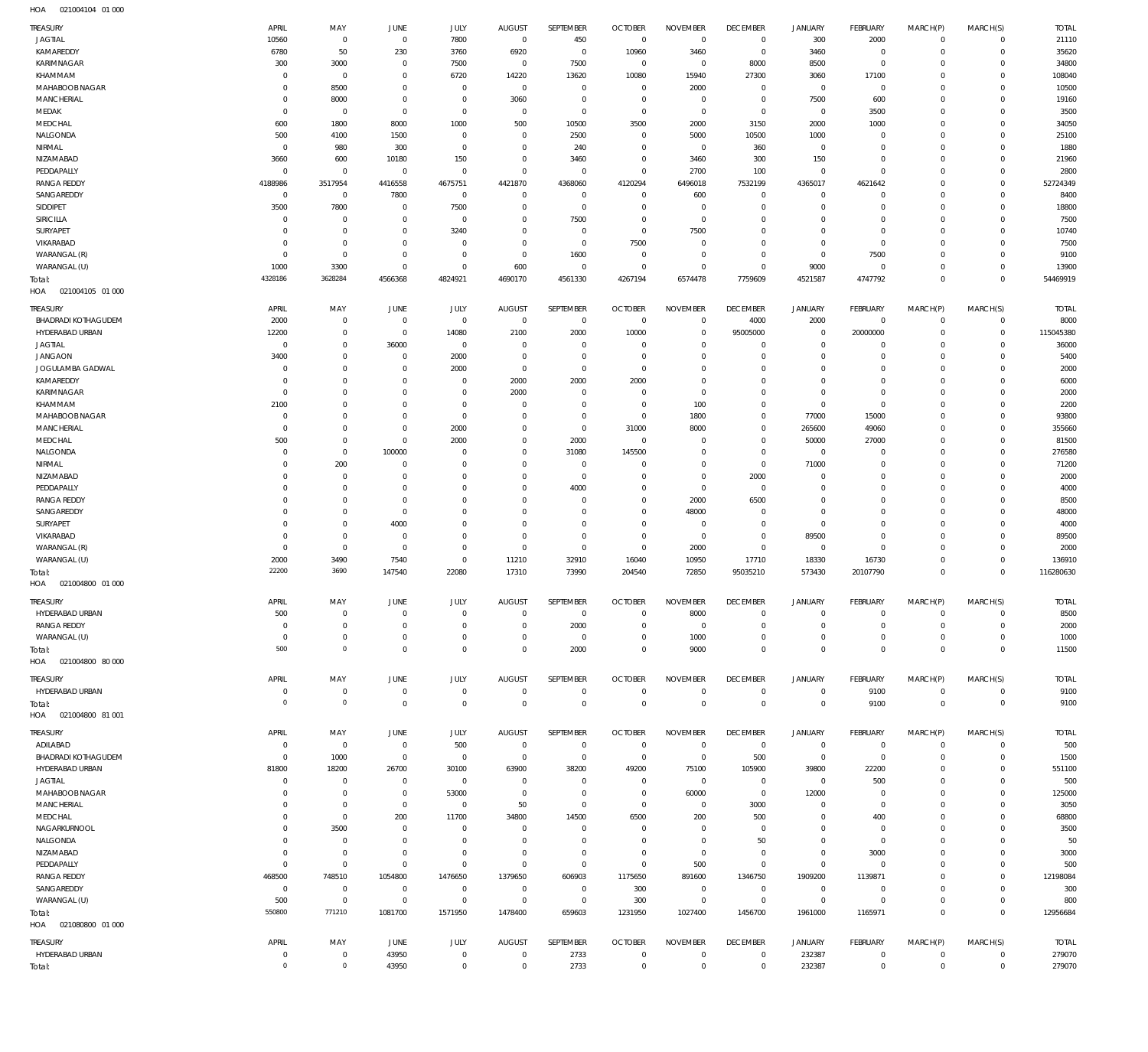| TREASURY                          | APRIL                         | MAY                        | <b>JUNE</b>                | JULY                       | <b>AUGUST</b>                    | SEPTEMBER                    | <b>OCTOBER</b>                   | <b>NOVEMBER</b>        | <b>DECEMBER</b>                  | <b>JANUARY</b>     | <b>FEBRUARY</b>            | MARCH(P)             | MARCH(S)             | <b>TOTAL</b>   |
|-----------------------------------|-------------------------------|----------------------------|----------------------------|----------------------------|----------------------------------|------------------------------|----------------------------------|------------------------|----------------------------------|--------------------|----------------------------|----------------------|----------------------|----------------|
| <b>JAGTIAL</b><br>KAMAREDDY       | 10560<br>6780                 | $\mathbf 0$                | $\overline{0}$             | 7800<br>3760               | $\overline{0}$<br>6920           | 450<br>$\overline{0}$        | $\overline{0}$<br>10960          | $\overline{0}$<br>3460 | $\overline{0}$<br>$\overline{0}$ | 300<br>3460        | 2000<br>$\overline{0}$     | $\Omega$<br>$\Omega$ | $\Omega$<br>$\Omega$ | 21110          |
| KARIMNAGAR                        | 300                           | 50<br>3000                 | 230<br>0                   | 7500                       | $^{\circ}$                       | 7500                         | $\overline{0}$                   | $^{\circ}$             | 8000                             | 8500               | $\circ$                    | $\Omega$             | $\Omega$             | 35620<br>34800 |
| KHAMMAM                           | $^{\circ}$                    | $\mathbf 0$                | 0                          | 6720                       | 14220                            | 13620                        | 10080                            | 15940                  | 27300                            | 3060               | 17100                      | $\Omega$             | $\Omega$             | 108040         |
| MAHABOOB NAGAR                    | $\Omega$                      | 8500                       | $\mathbf 0$                | $\mathbf 0$                | $\overline{0}$                   | $^{\circ}$                   | $\overline{0}$                   | 2000                   | $^{\circ}$                       | 0                  | $\overline{0}$             | $\Omega$             | $\Omega$             | 10500          |
| MANCHERIAL                        | $^{\circ}$                    | 8000                       | $\mathbf 0$                | $\mathbf 0$                | 3060                             | $\mathbf 0$                  | $\overline{0}$                   | $\mathbf 0$            | $\overline{0}$                   | 7500               | 600                        | $\Omega$             | $\Omega$             | 19160          |
| MEDAK                             | $\Omega$                      | $\overline{0}$             | $\mathbf 0$                | $\mathbf 0$                | $\overline{0}$                   | $\mathbf 0$                  | $\overline{0}$                   | $^{\circ}$             | $\mathbf 0$                      | 0                  | 3500                       | $\Omega$             | $\Omega$             | 3500           |
| MEDCHAL                           | 600                           | 1800                       | 8000                       | 1000                       | 500                              | 10500                        | 3500                             | 2000                   | 3150                             | 2000               | 1000                       | $\Omega$             | $\Omega$             | 34050          |
| NALGONDA                          | 500                           | 4100                       | 1500                       | $\mathbf 0$                | $\overline{0}$                   | 2500                         | $\overline{0}$                   | 5000                   | 10500                            | 1000               | $\circ$                    | $\Omega$             | $\Omega$             | 25100          |
| NIRMAL                            | $^{\circ}$                    | 980                        | 300                        | $\mathbf 0$                | $^{\circ}$                       | 240                          | $\overline{0}$                   | $^{\circ}$             | 360                              | 0                  | $\mathbf 0$                | $\Omega$             | $\Omega$             | 1880           |
| NIZAMABAD                         | 3660                          | 600                        | 10180                      | 150                        | $\overline{0}$                   | 3460                         | $\overline{0}$                   | 3460                   | 300                              | 150                | $\mathbf 0$                | $\Omega$             | $\Omega$             | 21960          |
| PEDDAPALLY                        | $^{\circ}$                    | $\mathbf 0$                | $\mathbf 0$                | $\mathbf 0$                | $\overline{0}$                   | $\overline{0}$               | $\overline{0}$                   | 2700                   | 100                              | $\circ$            | $\mathbf 0$                | $\Omega$             | $\Omega$             | 2800           |
| <b>RANGA REDDY</b>                | 4188986                       | 3517954                    | 4416558                    | 4675751                    | 4421870                          | 4368060                      | 4120294                          | 6496018                | 7532199                          | 4365017            | 4621642                    | $\Omega$             | $\circ$              | 52724349       |
| SANGAREDDY                        | $^{\circ}$<br>3500            | $\mathbf 0$<br>7800        | 7800<br>0                  | $\mathbf 0$<br>7500        | $\overline{0}$<br>$\overline{0}$ | $^{\circ}$<br>$\mathbf 0$    | $\overline{0}$<br>$\overline{0}$ | 600<br>$^{\circ}$      | $^{\circ}$<br>$^{\circ}$         | $\circ$<br>$\circ$ | $^{\circ}$<br>$\mathbf 0$  | $\Omega$<br>$\Omega$ | $\Omega$<br>$\Omega$ | 8400<br>18800  |
| SIDDIPET<br>SIRICILLA             | $^{\circ}$                    | $\mathbf 0$                | $\mathbf 0$                | $\mathbf 0$                | $\Omega$                         | 7500                         | $\overline{0}$                   | $\mathbf 0$            | $^{\circ}$                       | $\Omega$           | $\mathbf{0}$               | $\Omega$             | $\Omega$             | 7500           |
| <b>SURYAPET</b>                   | $\Omega$                      | $\mathbf 0$                | $\mathbf 0$                | 3240                       | $\overline{0}$                   | $^{\circ}$                   | $\overline{0}$                   | 7500                   | $^{\circ}$                       | $\circ$            | $\mathbf 0$                | $\Omega$             | $\Omega$             | 10740          |
| VIKARABAD                         | $^{\circ}$                    | $\mathbf 0$                | $\mathbf 0$                | $\mathbf 0$                | $\overline{0}$                   | $\mathbf 0$                  | 7500                             | $\mathbf 0$            | $\mathbf{0}$                     | $\circ$            | $\mathbf 0$                | $\Omega$             | $\Omega$             | 7500           |
| WARANGAL (R)                      | $\Omega$                      | $\mathbf 0$                | $\mathbf 0$                | $\mathbf 0$                | $\overline{0}$                   | 1600                         | $\overline{0}$                   | $\mathbf 0$            | $\overline{0}$                   | $\circ$            | 7500                       | $\Omega$             | $\Omega$             | 9100           |
| WARANGAL (U)                      | 1000                          | 3300                       | $\mathbf 0$                | $\mathbf 0$                | 600                              | $\overline{0}$               | $\overline{0}$                   | $^{\circ}$             | $\mathbf{0}$                     | 9000               | $\mathbf 0$                | $\Omega$             | $\Omega$             | 13900          |
| Total:                            | 4328186                       | 3628284                    | 4566368                    | 4824921                    | 4690170                          | 4561330                      | 4267194                          | 6574478                | 7759609                          | 4521587            | 4747792                    | $\Omega$             | $\overline{0}$       | 54469919       |
| HOA<br>021004105 01 000           |                               |                            |                            |                            |                                  |                              |                                  |                        |                                  |                    |                            |                      |                      |                |
| TREASURY                          | APRIL                         | MAY                        | <b>JUNE</b>                | JULY                       | <b>AUGUST</b>                    | SEPTEMBER                    | <b>OCTOBER</b>                   | <b>NOVEMBER</b>        | <b>DECEMBER</b>                  | <b>JANUARY</b>     | <b>FEBRUARY</b>            | MARCH(P)             | MARCH(S)             | <b>TOTAL</b>   |
| <b>BHADRADI KOTHAGUDEM</b>        | 2000                          | $\overline{0}$             | 0                          | 0                          | $\overline{0}$                   | $\overline{0}$               | $\overline{0}$                   | $\mathbf 0$            | 4000                             | 2000               | $^{\circ}$                 | $\Omega$             | $\mathbf 0$          | 8000           |
| HYDERABAD URBAN                   | 12200                         | $\mathbf 0$                | $\mathbf{0}$               | 14080                      | 2100                             | 2000                         | 10000                            | $\Omega$               | 95005000                         | $\circ$            | 20000000                   | $\Omega$             | $\circ$              | 115045380      |
| <b>JAGTIAL</b>                    | $^{\circ}$                    | $\mathbf 0$                | 36000                      | $\mathbf 0$                | $\mathbf 0$                      | $\mathbf 0$                  | $^{\circ}$                       | $\mathbf 0$            | $\mathbf 0$                      | $\circ$            | $\circ$                    | $\Omega$             | $\Omega$             | 36000          |
| <b>JANGAON</b>                    | 3400                          | $\mathbf 0$                | $\mathbf 0$                | 2000                       | $\mathbf 0$                      | $\mathbf 0$                  | $^{\circ}$                       | $\Omega$               | $\Omega$                         | $\circ$            | $^{\circ}$                 | $\Omega$             | $\Omega$             | 5400           |
| JOGULAMBA GADWAL                  | 0                             | $\mathbf 0$                | $\mathbf 0$                | 2000                       | $\overline{0}$                   | $\mathbf 0$                  | $\overline{0}$                   | $\Omega$               | $^{\circ}$                       | $\circ$            | $^{\circ}$                 | $\Omega$             | $\Omega$             | 2000           |
| KAMAREDDY                         | $\Omega$                      | $\Omega$                   | $\mathbf 0$                | $\Omega$                   | 2000                             | 2000                         | 2000                             | $\Omega$               | $\Omega$                         | $\Omega$           | $\Omega$                   | $\Omega$             | $\Omega$             | 6000           |
| KARIMNAGAR<br>KHAMMAM             | $\Omega$<br>2100              | $\mathbf 0$<br>$^{\circ}$  | $\mathbf 0$<br>$\mathbf 0$ | $\mathbf 0$<br>$\mathbf 0$ | 2000<br>$\Omega$                 | $\mathbf 0$<br>$\mathbf 0$   | $\overline{0}$<br>$^{\circ}$     | $\Omega$<br>100        | $^{\circ}$<br>$\mathbf 0$        | $\circ$<br>$\circ$ | $\mathbf 0$<br>$\mathbf 0$ | $\Omega$<br>$\Omega$ | $\Omega$<br>$\Omega$ | 2000<br>2200   |
| MAHABOOB NAGAR                    | $^{\circ}$                    | $\mathbf 0$                | $\mathbf 0$                | $\mathbf 0$                | $\Omega$                         | $\mathbf 0$                  | $\overline{0}$                   | 1800                   | $^{\circ}$                       | 77000              | 15000                      | $\Omega$             | $\Omega$             | 93800          |
| MANCHERIAL                        | $^{\circ}$                    | $^{\circ}$                 | $\mathbf 0$                | 2000                       | $\Omega$                         | $\mathbf 0$                  | 31000                            | 8000                   | $\mathbf 0$                      | 265600             | 49060                      |                      | $\Omega$             | 355660         |
| MEDCHAL                           | 500                           | $\mathbf 0$                | $\mathbf 0$                | 2000                       | $\Omega$                         | 2000                         | $\overline{0}$                   | $\Omega$               | $^{\circ}$                       | 50000              | 27000                      | $\Omega$             | $\Omega$             | 81500          |
| NALGONDA                          | $\Omega$                      | $\mathbf 0$                | 100000                     | $\Omega$                   | $\Omega$                         | 31080                        | 145500                           | $\Omega$               | $^{\circ}$                       | $\circ$            | $^{\circ}$                 | $\Omega$             | $\Omega$             | 276580         |
| NIRMAL                            | $\Omega$                      | 200                        | $\mathbf 0$                | $\Omega$                   | $\Omega$                         | $\mathbf 0$                  | $^{\circ}$                       | $\Omega$               | $\mathbf 0$                      | 71000              | $\Omega$                   | $\Omega$             | $\Omega$             | 71200          |
| NIZAMABAD                         | $\Omega$                      | $^{\circ}$                 | $\mathbf 0$                | $\Omega$                   | $\Omega$                         | $\mathbf 0$                  | $^{\circ}$                       | $\Omega$               | 2000                             | $\circ$            | $^{\circ}$                 | $\Omega$             | $\Omega$             | 2000           |
| PEDDAPALLY                        | $\Omega$                      | $\mathbf 0$                | $\mathbf 0$                | $\Omega$                   | $\Omega$                         | 4000                         | $\mathbf 0$                      | $\Omega$               | $^{\circ}$                       | $\Omega$           | $\Omega$                   | $\Omega$             | $\Omega$             | 4000           |
| <b>RANGA REDDY</b>                | $\Omega$                      | $\mathbf 0$                | $\mathbf 0$                | $\Omega$                   | $\Omega$                         | $\mathbf 0$                  | $^{\circ}$                       | 2000                   | 6500                             | $\Omega$           | $^{\circ}$                 | $\Omega$             | $\Omega$             | 8500           |
| SANGAREDDY                        | $\Omega$<br>$\Omega$          | $\mathbf 0$<br>$\Omega$    | $\mathbf 0$                | $\Omega$<br>$\Omega$       | $\Omega$<br>$\Omega$             | $\Omega$<br>$\Omega$         | $\mathbf 0$<br>$\mathbf 0$       | 48000<br>$^{\circ}$    | $^{\circ}$<br>$^{\circ}$         | $\Omega$           | $\Omega$<br>$\Omega$       | $\circ$<br>$\Omega$  | $\Omega$<br>$\Omega$ | 48000          |
| SURYAPET<br>VIKARABAD             | $\Omega$                      | $\mathbf 0$                | 4000<br>$\mathbf 0$        | $\Omega$                   | $\mathbf 0$                      | $\mathbf 0$                  | $^{\circ}$                       | $^{\circ}$             | $\mathbf{0}$                     | $\circ$<br>89500   | $^{\circ}$                 | $\circ$              | $\Omega$             | 4000<br>89500  |
| WARANGAL (R)                      | $\Omega$                      | $\mathbf 0$                | $\mathbf 0$                | $\Omega$                   | $\overline{0}$                   | $\mathbf 0$                  | $\overline{0}$                   | 2000                   | $\mathbf{0}$                     | $\circ$            | $^{\circ}$                 | $\Omega$             | $\Omega$             | 2000           |
| WARANGAL (U)                      | 2000                          | 3490                       | 7540                       | $\mathbf 0$                | 11210                            | 32910                        | 16040                            | 10950                  | 17710                            | 18330              | 16730                      | $\Omega$             | $\Omega$             | 136910         |
| Total:                            | 22200                         | 3690                       | 147540                     | 22080                      | 17310                            | 73990                        | 204540                           | 72850                  | 95035210                         | 573430             | 20107790                   | $\Omega$             | $\mathbf 0$          | 116280630      |
| HOA  021004800  01  000           |                               |                            |                            |                            |                                  |                              |                                  |                        |                                  |                    |                            |                      |                      |                |
| TREASURY                          | APRIL                         | MAY                        | <b>JUNE</b>                | JULY                       | <b>AUGUST</b>                    | SEPTEMBER                    | <b>OCTOBER</b>                   | <b>NOVEMBER</b>        | <b>DECEMBER</b>                  | <b>JANUARY</b>     | <b>FEBRUARY</b>            | MARCH(P)             | MARCH(S)             | <b>TOTAL</b>   |
| HYDERABAD URBAN                   | 500                           | $\mathbf 0$                | $\Omega$                   | $\Omega$                   | $\Omega$                         | $^{\circ}$                   | $^{\circ}$                       | 8000                   | 0                                | $\mathbf 0$        | $^{\circ}$                 |                      | $\Omega$             | 8500           |
| <b>RANGA REDDY</b>                | $^{\circ}$                    | $\mathbb O$                | $\mathbf 0$                | $\mathbf 0$                | $\overline{0}$                   | 2000                         | $\overline{0}$                   | $\mathbf{0}$           | $\mathbf{0}$                     | $\mathbf 0$        | $\mathbf 0$                | $^{\circ}$           | $\Omega$             | 2000           |
| WARANGAL (U)                      | $\overline{0}$                | $\mathbf 0$                | $\mathbf 0$                | $\mathbf 0$                | $\overline{0}$                   | $\overline{0}$               | $\overline{0}$                   | 1000                   | $\overline{0}$                   | $\mathbb O$        | $\mathbf 0$                | $\mathbf 0$          | $\mathbf 0$          | 1000           |
| Total:                            | 500                           | $\mathbb O$                | $\mathbf 0$                | $\bf 0$                    | $\overline{0}$                   | 2000                         | $\overline{0}$                   | 9000                   | $\overline{0}$                   | $\mathbf 0$        | $\mathbf 0$                | $\overline{0}$       | $\mathbf 0$          | 11500          |
| HOA  021004800  80  000           |                               |                            |                            |                            |                                  |                              |                                  |                        |                                  |                    |                            |                      |                      |                |
| TREASURY                          | APRIL                         | MAY                        | <b>JUNE</b>                | JULY                       | <b>AUGUST</b>                    | SEPTEMBER                    | <b>OCTOBER</b>                   | <b>NOVEMBER</b>        | <b>DECEMBER</b>                  | <b>JANUARY</b>     | FEBRUARY                   | MARCH(P)             | MARCH(S)             | <b>TOTAL</b>   |
| HYDERABAD URBAN                   | $^{\circ}$                    | $\mathbb O$                | $\overline{0}$             | $\bf 0$                    | $\overline{0}$                   | $\overline{0}$               | $\overline{0}$                   | $\mathbf{0}$           | $\overline{0}$                   | 0                  | 9100                       | $\mathbf 0$          | $\mathbf 0$          | 9100           |
| Total:                            | $\circ$                       | $\mathbb O$                | $\mathbf 0$                | $\mathbf 0$                | $\overline{0}$                   | $\overline{0}$               | $\overline{0}$                   | $\mathbf{0}$           | $\mathbb O$                      | $\,0\,$            | 9100                       | $\mathbf 0$          | $\mathbb O$          | 9100           |
| HOA  021004800  81  001           |                               |                            |                            |                            |                                  |                              |                                  |                        |                                  |                    |                            |                      |                      |                |
| TREASURY                          | APRIL                         | MAY                        | JUNE                       | <b>JULY</b>                | <b>AUGUST</b>                    | SEPTEMBER                    | <b>OCTOBER</b>                   | <b>NOVEMBER</b>        | <b>DECEMBER</b>                  | <b>JANUARY</b>     | <b>FEBRUARY</b>            | MARCH(P)             | MARCH(S)             | <b>TOTAL</b>   |
| ADILABAD                          | 0                             | $\overline{0}$             | $\overline{0}$             | 500                        | $\overline{0}$                   | $\overline{0}$               | $\overline{0}$                   | $\overline{0}$         | $\overline{0}$                   | $\mathbb O$        | $\overline{0}$             | $^{\circ}$           | $\mathbf 0$          | 500            |
| <b>BHADRADI KOTHAGUDEM</b>        | $^{\circ}$                    | 1000                       | $\overline{0}$             | $\mathbf 0$                | $\overline{0}$                   | $\overline{0}$               | $\overline{0}$                   | $\mathbf 0$            | 500                              | $\mathbb O$        | $\overline{0}$             | $\Omega$             | $\mathbf 0$          | 1500           |
| HYDERABAD URBAN                   | 81800                         | 18200                      | 26700                      | 30100                      | 63900                            | 38200                        | 49200                            | 75100                  | 105900                           | 39800              | 22200                      | $\Omega$             | $\Omega$             | 551100         |
| <b>JAGTIAL</b>                    | $\mathbf 0$                   | $\mathbb O$                | $\mathbf 0$                | $\mathbf 0$                | $\overline{0}$                   | $\overline{0}$               | $\overline{0}$                   | $\overline{0}$         | $\overline{0}$                   | $\mathsf{O}$       | 500                        | $\Omega$             | $\Omega$             | 500            |
| MAHABOOB NAGAR<br>MANCHERIAL      | $^{\circ}$<br>$^{\circ}$      | $\mathbf 0$<br>$\mathbb O$ | $\mathbf 0$<br>$\mathbf 0$ | 53000<br>$\mathbf 0$       | $\overline{0}$<br>50             | $^{\circ}$<br>$\overline{0}$ | $\overline{0}$<br>$\overline{0}$ | 60000                  | $\overline{0}$<br>3000           | 12000              | $\circ$<br>$\overline{0}$  | $\Omega$<br>$\Omega$ | $\Omega$<br>$\Omega$ | 125000<br>3050 |
| MEDCHAL                           | $^{\circ}$                    | $\mathbb O$                | 200                        | 11700                      | 34800                            | 14500                        | 6500                             | $\overline{0}$<br>200  | 500                              | 0<br>$\mathbf 0$   | 400                        | $\Omega$             | $\Omega$             | 68800          |
| NAGARKURNOOL                      | $^{\circ}$                    | 3500                       | $\overline{0}$             | $\mathbf 0$                | $\overline{0}$                   | $\mathbf 0$                  | $\overline{0}$                   | $^{\circ}$             | $\overline{0}$                   | 0                  | $\overline{0}$             | $\Omega$             | $\mathbf 0$          | 3500           |
| NALGONDA                          | $\Omega$                      | $\mathbb O$                | $\overline{0}$             | $\mathbf 0$                | $\overline{0}$                   | $\mathbf 0$                  | $\overline{0}$                   | $\mathbf 0$            | 50                               | $\mathbf 0$        | $\overline{0}$             | $\Omega$             | $\Omega$             | 50             |
| NIZAMABAD                         | $\mathbf 0$                   | $\overline{0}$             | $\overline{0}$             | $\mathbf 0$                | $\overline{0}$                   | $\mathbf 0$                  | $\overline{0}$                   | $^{\circ}$             | $\overline{0}$                   | $\mathbf 0$        | 3000                       | $\Omega$             | $\Omega$             | 3000           |
| PEDDAPALLY                        | $\mathbf 0$                   | $\mathbb O$                | $\overline{0}$             | $\mathsf{O}\xspace$        | $\overline{0}$                   | $\mathbf 0$                  | $\overline{0}$                   | 500                    | $\overline{0}$                   | $\mathbf 0$        | $\overline{0}$             | $\Omega$             | $\Omega$             | 500            |
| <b>RANGA REDDY</b>                | 468500                        | 748510                     | 1054800                    | 1476650                    | 1379650                          | 606903                       | 1175650                          | 891600                 | 1346750                          | 1909200            | 1139871                    | $\Omega$             | $\circ$              | 12198084       |
| SANGAREDDY                        | $\mathbf 0$                   | $\boldsymbol{0}$           | $\overline{0}$             | $\mathsf{O}\xspace$        | $\overline{0}$                   | $\overline{0}$               | 300                              | $\overline{0}$         | $\overline{0}$                   | $\mathbb O$        | $\overline{0}$             | $\Omega$             | $\circ$              | 300            |
| WARANGAL (U)                      | 500                           | $\mathbb O$                | $\overline{0}$             | $\mathsf{O}\xspace$        | $\overline{0}$                   | $\overline{0}$               | 300                              | $\mathbf{0}$           | $\overline{0}$                   | $\mathbb O$        | $\mathbf 0$                | $\Omega$             | $\circ$              | 800            |
| Total:<br>HOA  021080800  01  000 | 550800                        | 771210                     | 1081700                    | 1571950                    | 1478400                          | 659603                       | 1231950                          | 1027400                | 1456700                          | 1961000            | 1165971                    | $\overline{0}$       | $\mathbf 0$          | 12956684       |
|                                   |                               |                            |                            |                            |                                  |                              |                                  |                        |                                  |                    |                            |                      |                      |                |
| TREASURY                          | APRIL                         | MAY                        | JUNE                       | <b>JULY</b>                | AUGUST                           | SEPTEMBER                    | <b>OCTOBER</b>                   | <b>NOVEMBER</b>        | <b>DECEMBER</b>                  | JANUARY            | <b>FEBRUARY</b>            | MARCH(P)             | MARCH(S)             | <b>TOTAL</b>   |
| HYDERABAD URBAN                   | $\mathbf 0$<br>$\overline{0}$ | $\mathbb O$<br>$\mathbb O$ | 43950                      | $\mathbf 0$                | $\overline{0}$                   | 2733                         | $\overline{0}$                   | $\mathbf{0}$           | $\overline{0}$                   | 232387             | $\overline{0}$             | $\mathbf 0$          | $\mathbf 0$          | 279070         |
| Total:                            |                               |                            | 43950                      | $\mathbf 0$                | $\overline{0}$                   | 2733                         | $\overline{0}$                   | $\mathbf 0$            | $\mathbf 0$                      | 232387             | $\mathbf 0$                | $\mathbf 0$          | $\,0\,$              | 279070         |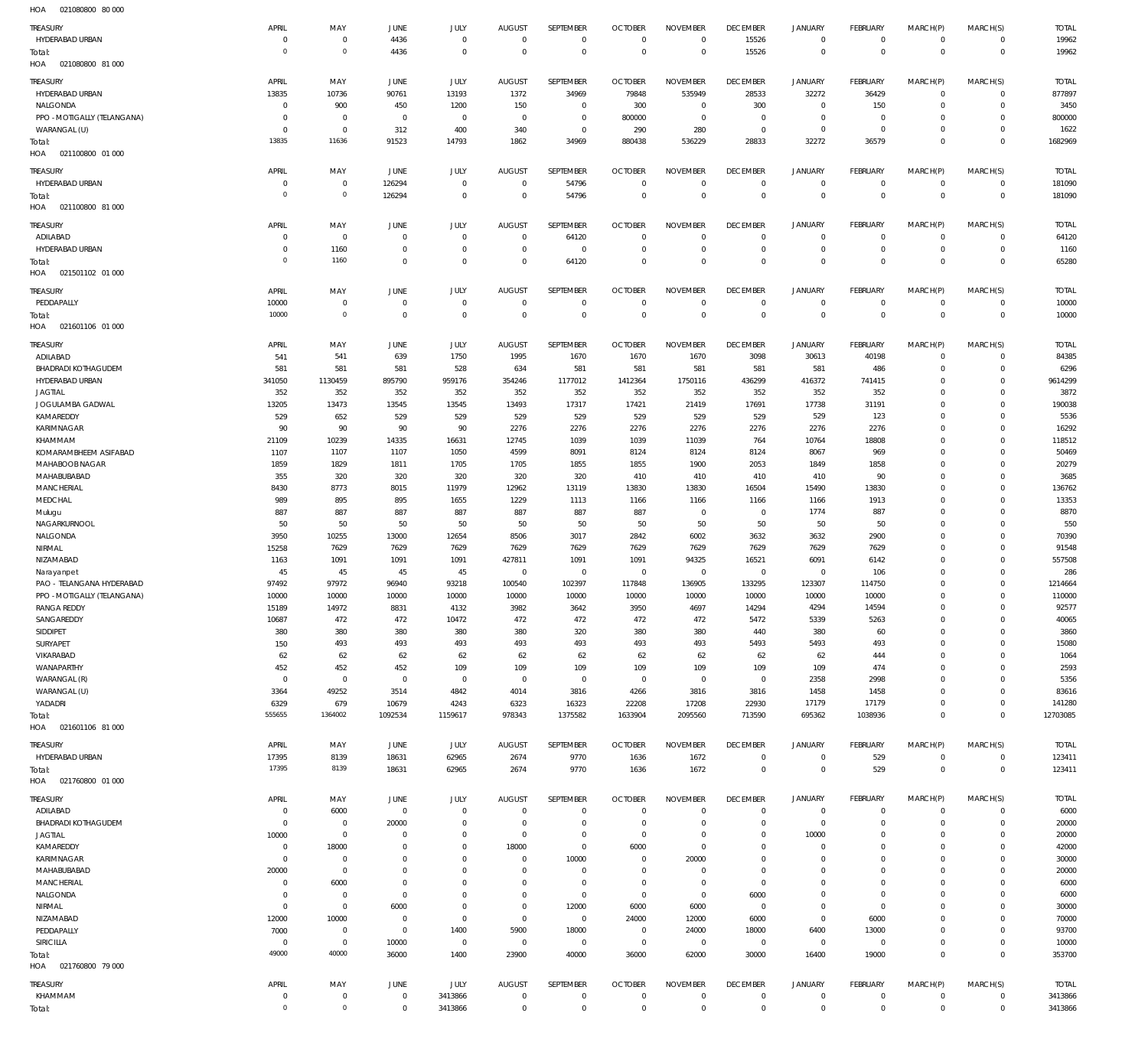HOA 021080800 80 000

| TREASURY                           | APRIL                          | MAY                     | <b>JUNE</b>                      | JULY                    | <b>AUGUST</b>           | SEPTEMBER                  | <b>OCTOBER</b>         | <b>NOVEMBER</b>         | <b>DECEMBER</b>            | <b>JANUARY</b>       | FEBRUARY                     | MARCH(P)             | MARCH(S)                     | <b>TOTAL</b>   |
|------------------------------------|--------------------------------|-------------------------|----------------------------------|-------------------------|-------------------------|----------------------------|------------------------|-------------------------|----------------------------|----------------------|------------------------------|----------------------|------------------------------|----------------|
| HYDERABAD URBAN                    | $\overline{0}$                 | $\mathbf 0$             | 4436                             | $\overline{0}$          | $\overline{0}$          | $\overline{0}$             | $\overline{0}$         | $\mathbf 0$             | 15526                      | $\circ$              | $\overline{0}$               | $\circ$              | $\circ$                      | 19962          |
| Total:                             | $\overline{0}$                 | $\mathbf 0$             | 4436                             | $\overline{0}$          | $\overline{0}$          | $\mathbf 0$                | $\overline{0}$         | $\mathbf 0$             | 15526                      | $\mathbf 0$          | $\overline{0}$               | $\mathbf 0$          | $\overline{0}$               | 19962          |
| HOA<br>021080800 81 000            |                                |                         |                                  |                         |                         |                            |                        |                         |                            |                      |                              |                      |                              |                |
| TREASURY                           | APRIL                          | MAY                     | JUNE                             | JULY                    | <b>AUGUST</b>           | SEPTEMBER                  | <b>OCTOBER</b>         | <b>NOVEMBER</b>         | <b>DECEMBER</b>            | <b>JANUARY</b>       | FEBRUARY                     | MARCH(P)             | MARCH(S)                     | <b>TOTAL</b>   |
| HYDERABAD URBAN                    | 13835                          | 10736                   | 90761                            | 13193                   | 1372                    | 34969                      | 79848                  | 535949                  | 28533                      | 32272                | 36429                        | $\mathbf 0$          | $\circ$                      | 877897         |
| NALGONDA                           | $\overline{0}$                 | 900                     | 450                              | 1200                    | 150                     | $\overline{0}$             | 300                    | $\overline{0}$          | 300                        | $\mathbf{0}$         | 150                          | $\mathbf 0$          | $\mathbf{0}$                 | 3450           |
| PPO - MOTIGALLY (TELANGANA)        | $\overline{0}$                 | $\overline{0}$          | $\overline{0}$                   | $\overline{0}$          | $\overline{0}$          | $\overline{0}$             | 800000                 | $\overline{0}$          | $\overline{0}$             | $\circ$              | $\overline{0}$               | $\Omega$             | $^{\circ}$                   | 800000         |
| WARANGAL (U)                       | $\overline{0}$                 | $\overline{0}$          | 312                              | 400                     | 340                     | $^{\circ}$                 | 290                    | 280                     | $\overline{0}$             | $\mathbf{0}$         | $\overline{0}$               | $\Omega$             | $\mathbf{0}$                 | 1622           |
| Total:                             | 13835                          | 11636                   | 91523                            | 14793                   | 1862                    | 34969                      | 880438                 | 536229                  | 28833                      | 32272                | 36579                        | $\Omega$             | $\overline{0}$               | 1682969        |
| HOA  021100800  01  000            |                                |                         |                                  |                         |                         |                            |                        |                         |                            |                      |                              |                      |                              |                |
| TREASURY                           | APRIL                          | MAY                     | <b>JUNE</b>                      | JULY                    | <b>AUGUST</b>           | <b>SEPTEMBER</b>           | <b>OCTOBER</b>         | <b>NOVEMBER</b>         | <b>DECEMBER</b>            | <b>JANUARY</b>       | FEBRUARY                     | MARCH(P)             | MARCH(S)                     | <b>TOTAL</b>   |
| HYDERABAD URBAN                    | $\overline{0}$                 | $\overline{0}$          | 126294                           | $\overline{0}$          | $\overline{0}$          | 54796                      | $\overline{0}$         | $\overline{0}$          | $\overline{0}$             | $\circ$              | $\overline{0}$               | $\mathbf 0$          | $\circ$                      | 181090         |
| Total:                             | $\circ$                        | $\mathbf 0$             | 126294                           | $\overline{0}$          | $\overline{0}$          | 54796                      | $\overline{0}$         | $\mathbf 0$             | $\overline{0}$             | $\mathbf 0$          | $\overline{0}$               | $\mathbf 0$          | $\overline{0}$               | 181090         |
| HOA<br>021100800 81 000            |                                |                         |                                  |                         |                         |                            |                        |                         |                            |                      |                              |                      |                              |                |
| TREASURY                           | APRIL                          | MAY                     | <b>JUNE</b>                      | JULY                    | <b>AUGUST</b>           | SEPTEMBER                  | <b>OCTOBER</b>         | <b>NOVEMBER</b>         | <b>DECEMBER</b>            | <b>JANUARY</b>       | FEBRUARY                     | MARCH(P)             | MARCH(S)                     | <b>TOTAL</b>   |
| ADILABAD                           | $\overline{0}$                 | $\overline{0}$          | $\overline{0}$                   | $\overline{0}$          | $\overline{0}$          | 64120                      | $\overline{0}$         | $\mathbf 0$             | $\overline{0}$             | $\circ$              | $\overline{0}$               | $\mathbf 0$          | $\circ$                      | 64120          |
| HYDERABAD URBAN                    | $\mathbf 0$                    | 1160                    | $\overline{0}$                   | $\mathbf 0$             | $\overline{0}$          | $\overline{0}$             | $\overline{0}$         | $\mathbf 0$             | $\overline{0}$             | $\mathbf 0$          | $\overline{0}$               | $\mathbf 0$          | $\circ$                      | 1160           |
| Total:                             | $\mathbf 0$                    | 1160                    | $\overline{0}$                   | $\mathbf 0$             | $\overline{0}$          | 64120                      | $\overline{0}$         | $\Omega$                | $\overline{0}$             | $\mathbf 0$          | $\overline{0}$               | $\mathbf 0$          | $\overline{0}$               | 65280          |
| HOA<br>021501102 01 000            |                                |                         |                                  |                         |                         |                            |                        |                         |                            |                      |                              |                      |                              |                |
| <b>TREASURY</b>                    | APRIL                          | MAY                     | <b>JUNE</b>                      | JULY                    | <b>AUGUST</b>           | <b>SEPTEMBER</b>           | <b>OCTOBER</b>         | <b>NOVEMBER</b>         | <b>DECEMBER</b>            | <b>JANUARY</b>       | FEBRUARY                     | MARCH(P)             | MARCH(S)                     | <b>TOTAL</b>   |
| PEDDAPALLY                         | 10000                          | $\mathbf 0$             | $\overline{0}$                   | $\overline{0}$          | $\overline{0}$          | $\mathbf 0$                | $\overline{0}$         | 0                       | $\overline{0}$             | $\circ$              | $\overline{0}$               | 0                    | $\circ$                      | 10000          |
| Total:                             | 10000                          | $\mathbf 0$             | $\mathbf 0$                      | $\overline{0}$          | $\overline{0}$          | $\overline{0}$             | $\overline{0}$         | $\overline{0}$          | $\mathbf 0$                | $\overline{0}$       | $\overline{0}$               | $\overline{0}$       | $\overline{0}$               | 10000          |
| HOA<br>021601106 01 000            |                                |                         |                                  |                         |                         |                            |                        |                         |                            |                      |                              |                      |                              |                |
| TREASURY                           | APRIL                          | MAY                     | <b>JUNE</b>                      | JULY                    | <b>AUGUST</b>           | SEPTEMBER                  | <b>OCTOBER</b>         | <b>NOVEMBER</b>         | <b>DECEMBER</b>            | <b>JANUARY</b>       | FEBRUARY                     | MARCH(P)             | MARCH(S)                     | <b>TOTAL</b>   |
| ADILABAD                           | 541                            | 541                     | 639                              | 1750                    | 1995                    | 1670                       | 1670                   | 1670                    | 3098                       | 30613                | 40198                        | $\mathbf 0$          | $\mathbf{0}$                 | 84385          |
| <b>BHADRADI KOTHAGUDEM</b>         | 581                            | 581                     | 581                              | 528                     | 634                     | 581                        | 581                    | 581                     | 581                        | 581                  | 486                          | $\Omega$             | $\mathbf{0}$                 | 6296           |
| HYDERABAD URBAN                    | 341050                         | 1130459                 | 895790                           | 959176                  | 354246                  | 1177012                    | 1412364                | 1750116                 | 436299                     | 416372               | 741415                       | $\Omega$<br>$\Omega$ | $\mathbf{0}$<br>$\mathbf 0$  | 9614299        |
| <b>JAGTIAL</b><br>JOGULAMBA GADWAL | 352<br>13205                   | 352<br>13473            | 352<br>13545                     | 352<br>13545            | 352<br>13493            | 352<br>17317               | 352<br>17421           | 352<br>21419            | 352<br>17691               | 352<br>17738         | 352<br>31191                 | $\Omega$             | $\mathbf 0$                  | 3872<br>190038 |
| KAMAREDDY                          | 529                            | 652                     | 529                              | 529                     | 529                     | 529                        | 529                    | 529                     | 529                        | 529                  | 123                          | $\Omega$             | $\mathbf 0$                  | 5536           |
| KARIMNAGAR                         | 90                             | 90                      | 90                               | 90                      | 2276                    | 2276                       | 2276                   | 2276                    | 2276                       | 2276                 | 2276                         | $\Omega$             | $\mathbf 0$                  | 16292          |
| KHAMMAM                            | 21109                          | 10239                   | 14335                            | 16631                   | 12745                   | 1039                       | 1039                   | 11039                   | 764                        | 10764                | 18808                        | $\Omega$             | $\mathbf{0}$                 | 118512         |
| KOMARAMBHEEM ASIFABAD              | 1107                           | 1107                    | 1107                             | 1050                    | 4599                    | 8091                       | 8124                   | 8124                    | 8124                       | 8067                 | 969                          | $\Omega$             | $\mathbf 0$                  | 50469          |
| MAHABOOB NAGAR                     | 1859                           | 1829                    | 1811                             | 1705                    | 1705                    | 1855                       | 1855                   | 1900                    | 2053                       | 1849                 | 1858                         | $\Omega$             | $\mathbf 0$                  | 20279          |
| MAHABUBABAD                        | 355                            | 320                     | 320                              | 320                     | 320                     | 320                        | 410                    | 410                     | 410                        | 410                  | 90                           | $\Omega$             | $\mathbf 0$                  | 3685           |
| <b>MANCHERIAL</b>                  | 8430                           | 8773                    | 8015                             | 11979                   | 12962                   | 13119                      | 13830                  | 13830                   | 16504                      | 15490                | 13830                        | $\Omega$             | $\mathbf 0$                  | 136762         |
| MEDCHAL                            | 989                            | 895                     | 895                              | 1655                    | 1229                    | 1113                       | 1166                   | 1166                    | 1166                       | 1166                 | 1913                         | $\Omega$<br>$\Omega$ | $\mathbf 0$<br>$\mathbf 0$   | 13353          |
| Mulugu<br>NAGARKURNOOL             | 887<br>50                      | 887<br>50               | 887<br>50                        | 887<br>50               | 887<br>50               | 887<br>50                  | 887<br>50              | $^{\circ}$<br>50        | $^{\circ}$<br>50           | 1774<br>50           | 887<br>50                    | $\Omega$             | $\mathbf 0$                  | 8870<br>550    |
| NALGONDA                           | 3950                           | 10255                   | 13000                            | 12654                   | 8506                    | 3017                       | 2842                   | 6002                    | 3632                       | 3632                 | 2900                         | $\Omega$             | $\mathbf 0$                  | 70390          |
| NIRMAL                             | 15258                          | 7629                    | 7629                             | 7629                    | 7629                    | 7629                       | 7629                   | 7629                    | 7629                       | 7629                 | 7629                         | $\Omega$             | 0                            | 91548          |
| NIZAMABAD                          | 1163                           | 1091                    | 1091                             | 1091                    | 427811                  | 1091                       | 1091                   | 94325                   | 16521                      | 6091                 | 6142                         | $\Omega$             | $\mathbf 0$                  | 557508         |
| Narayanpet                         | 45                             | 45                      | 45                               | 45                      | $\overline{0}$          | $\overline{0}$             | $\overline{0}$         | $\overline{0}$          | $\overline{0}$             | $\circ$              | 106                          | $\Omega$             | $\mathbf 0$                  | 286            |
| PAO - TELANGANA HYDERABAD          | 97492                          | 97972                   | 96940                            | 93218                   | 100540                  | 102397                     | 117848                 | 136905                  | 133295                     | 123307               | 114750                       | $\Omega$             | $\Omega$                     | 1214664        |
| PPO - MOTIGALLY (TELANGANA)        | 10000                          | 10000                   | 10000                            | 10000                   | 10000                   | 10000                      | 10000                  | 10000                   | 10000                      | 10000                | 10000                        | $\Omega$             | $\mathbf 0$                  | 110000         |
| RANGA REDDY                        | 15189                          | 14972                   | 8831                             | 4132                    | 3982                    | 3642                       | 3950                   | 4697                    | 14294                      | 4294                 | 14594                        | $\Omega$             | $\mathbf 0$                  | 92577          |
| SANGAREDDY<br>SIDDIPET             | 10687<br>380                   | 472<br>380              | 472<br>380                       | 10472<br>380            | 472<br>380              | 472<br>320                 | 472<br>380             | 472<br>380              | 5472<br>440                | 5339<br>380          | 5263<br>60                   | $\Omega$<br>$\Omega$ | $\mathbf 0$<br>$\mathbf{0}$  | 40065<br>3860  |
| SURYAPET                           | 150                            | 493                     | 493                              | 493                     | 493                     | 493                        | 493                    | 493                     | 5493                       | 5493                 | 493                          | $\Omega$             | $\mathbf 0$                  | 15080          |
| VIKARABAD                          | 62                             | 62                      | 62                               | 62                      | 62                      | 62                         | 62                     | 62                      | 62                         | 62                   | 444                          | $\Omega$             | $\mathbf{0}$                 | 1064           |
| WANAPARTHY                         | 452                            | 452                     | 452                              | 109                     | 109                     | 109                        | 109                    | 109                     | 109                        | 109                  | 474                          | $\Omega$             | $\mathbf 0$                  | 2593           |
| WARANGAL (R)                       | $\overline{0}$                 | $\overline{0}$          | $\overline{0}$                   | $\overline{0}$          | $\overline{0}$          | $\overline{0}$             | $\overline{0}$         | $\overline{0}$          | $\overline{0}$             | 2358                 | 2998                         | $\Omega$             | $\Omega$                     | 5356           |
| WARANGAL (U)                       | 3364                           | 49252                   | 3514                             | 4842                    | 4014                    | 3816                       | 4266                   | 3816                    | 3816                       | 1458                 | 1458                         | $\Omega$             | $\mathbf 0$                  | 83616          |
| YADADRI                            | 6329                           | 679                     | 10679                            | 4243                    | 6323                    | 16323                      | 22208                  | 17208                   | 22930                      | 17179                | 17179                        | $\Omega$             | $\mathbf{0}$                 | 141280         |
| Total:                             | 555655                         | 1364002                 | 1092534                          | 1159617                 | 978343                  | 1375582                    | 1633904                | 2095560                 | 713590                     | 695362               | 1038936                      | $\Omega$             | $\overline{0}$               | 12703085       |
| HOA  021601106  81  000            |                                |                         |                                  |                         |                         |                            |                        |                         |                            |                      |                              |                      |                              |                |
| TREASURY                           | APRIL                          | MAY                     | JUNE                             | JULY                    | <b>AUGUST</b>           | SEPTEMBER                  | <b>OCTOBER</b>         | <b>NOVEMBER</b>         | <b>DECEMBER</b>            | <b>JANUARY</b>       | FEBRUARY                     | MARCH(P)             | MARCH(S)                     | <b>TOTAL</b>   |
| HYDERABAD URBAN                    | 17395                          | 8139                    | 18631                            | 62965                   | 2674                    | 9770                       | 1636                   | 1672                    | $\overline{0}$             | $\circ$              | 529                          | 0                    | $\circ$                      | 123411         |
| Total:                             | 17395                          | 8139                    | 18631                            | 62965                   | 2674                    | 9770                       | 1636                   | 1672                    | $\mathbf 0$                | $\overline{0}$       | 529                          | $\overline{0}$       | $\overline{0}$               | 123411         |
| HOA  021760800  01  000            |                                |                         |                                  |                         |                         |                            |                        |                         |                            |                      |                              |                      |                              |                |
| TREASURY                           | APRIL                          | MAY                     | JUNE                             | JULY                    | <b>AUGUST</b>           | SEPTEMBER                  | <b>OCTOBER</b>         | <b>NOVEMBER</b>         | <b>DECEMBER</b>            | <b>JANUARY</b>       | FEBRUARY                     | MARCH(P)             | MARCH(S)                     | <b>TOTAL</b>   |
| ADILABAD                           | $\overline{0}$                 | 6000                    | $\overline{0}$                   | $\mathbf 0$             | $\overline{0}$          | $\overline{0}$             | $\overline{0}$         | $\Omega$                | $\overline{0}$             | $\overline{0}$       | $\overline{0}$               | $\mathbf 0$          | $\mathbf{0}$                 | 6000           |
| <b>BHADRADI KOTHAGUDEM</b>         | $\overline{0}$                 | $\mathbf 0$             | 20000                            | $\mathbf 0$             | $\overline{0}$          | $\mathbf 0$                | $\overline{0}$         | $\Omega$                | $\mathbf 0$                | $\mathbf 0$          | $\mathbf{0}$                 | $\Omega$             | $\mathbf{0}$                 | 20000          |
| <b>JAGTIAL</b>                     | 10000<br>$\overline{0}$        | $\overline{0}$          | $\overline{0}$<br>$\overline{0}$ | $\Omega$<br>$\mathbf 0$ | $\overline{0}$          | $\mathbf 0$<br>$\mathbf 0$ | $\overline{0}$         | $\Omega$<br>$\mathbf 0$ | $\mathbf 0$<br>$\mathbf 0$ | 10000<br>$\mathbf 0$ | $\mathbf{0}$<br>$\mathbf{0}$ | $\Omega$<br>$\Omega$ | $\mathbf{0}$<br>$\mathbf{0}$ | 20000          |
| KAMAREDDY<br>KARIMNAGAR            | $\overline{0}$                 | 18000<br>$\overline{0}$ | $\overline{0}$                   | $\Omega$                | 18000<br>$\overline{0}$ | 10000                      | 6000<br>$\overline{0}$ | 20000                   | $\mathbf 0$                | $\mathbf 0$          | $\mathbf{0}$                 | $\Omega$             | $\mathbf 0$                  | 42000<br>30000 |
| MAHABUBABAD                        | 20000                          | $\overline{0}$          | $\overline{0}$                   | $\Omega$                | $\mathbf 0$             | $\mathbf 0$                | $\overline{0}$         | $\mathbf 0$             | $\overline{0}$             | $\mathbf 0$          | $\mathbf{0}$                 | $\Omega$             | $\mathbf 0$                  | 20000          |
| MANCHERIAL                         | $\overline{0}$                 | 6000                    | $\overline{0}$                   | $\Omega$                | $\mathbf 0$             | $\mathbf 0$                | $\overline{0}$         | $\overline{0}$          | $\overline{0}$             | $\mathbf 0$          | $\mathbf{0}$                 | $\Omega$             | $\mathbf 0$                  | 6000           |
| NALGONDA                           | $\overline{0}$                 | $\overline{0}$          | $\overline{0}$                   | $\Omega$                | $\overline{0}$          | $\overline{0}$             | $\overline{0}$         | $\overline{0}$          | 6000                       | $\mathbf 0$          | $\overline{0}$               | $\Omega$             | $\mathbf{0}$                 | 6000           |
| NIRMAL                             | $\overline{0}$                 | $\overline{0}$          | 6000                             | $\mathbf 0$             | $\overline{0}$          | 12000                      | 6000                   | 6000                    | $\overline{0}$             | $\mathbf 0$          | $\overline{0}$               | $\Omega$             | $\mathbf 0$                  | 30000          |
| NIZAMABAD                          | 12000                          | 10000                   | $\overline{0}$                   | $\mathbf 0$             | $\overline{0}$          | $\overline{0}$             | 24000                  | 12000                   | 6000                       | $\mathbf{0}$         | 6000                         | $\Omega$             | $\mathbf{0}$                 | 70000          |
| PEDDAPALLY                         | 7000                           | $\overline{0}$          | $\overline{0}$                   | 1400                    | 5900                    | 18000                      | $\overline{0}$         | 24000                   | 18000                      | 6400                 | 13000                        | $\Omega$             | $\mathbf 0$                  | 93700          |
| SIRICILLA                          | $\overline{0}$<br>49000        | $\overline{0}$<br>40000 | 10000                            | $\overline{0}$          | $\overline{0}$          | $\overline{0}$             | $\overline{0}$         | $\overline{0}$          | $\overline{0}$             | $\circ$              | $\overline{0}$               | $\Omega$<br>$\Omega$ | $\mathbf{0}$                 | 10000          |
| Total:<br>HOA  021760800  79 000   |                                |                         | 36000                            | 1400                    | 23900                   | 40000                      | 36000                  | 62000                   | 30000                      | 16400                | 19000                        |                      | $\overline{0}$               | 353700         |
|                                    |                                |                         |                                  |                         |                         |                            |                        |                         |                            |                      |                              |                      |                              |                |
| TREASURY                           | APRIL                          | MAY                     | JUNE                             | JULY                    | <b>AUGUST</b>           | SEPTEMBER                  | <b>OCTOBER</b>         | <b>NOVEMBER</b>         | <b>DECEMBER</b>            | <b>JANUARY</b>       | FEBRUARY                     | MARCH(P)             | MARCH(S)                     | <b>TOTAL</b>   |
| KHAMMAM                            | $\overline{0}$<br>$\mathbf{0}$ | $\mathbf 0$<br>$\circ$  | $\overline{0}$                   | 3413866                 | $\overline{0}$          | $\mathbf 0$                | $\overline{0}$         | $\mathbf 0$             | $\overline{0}$             | $\mathbf 0$          | $\overline{0}$               | 0                    | $\circ$                      | 3413866        |
| Total:                             |                                |                         | $\mathbf 0$                      | 3413866                 | $\overline{0}$          | $\overline{0}$             | $\overline{0}$         | $\mathbf 0$             | $\mathbf 0$                | $\overline{0}$       | $\overline{0}$               | $\mathbf 0$          | $\overline{0}$               | 3413866        |
|                                    |                                |                         |                                  |                         |                         |                            |                        |                         |                            |                      |                              |                      |                              |                |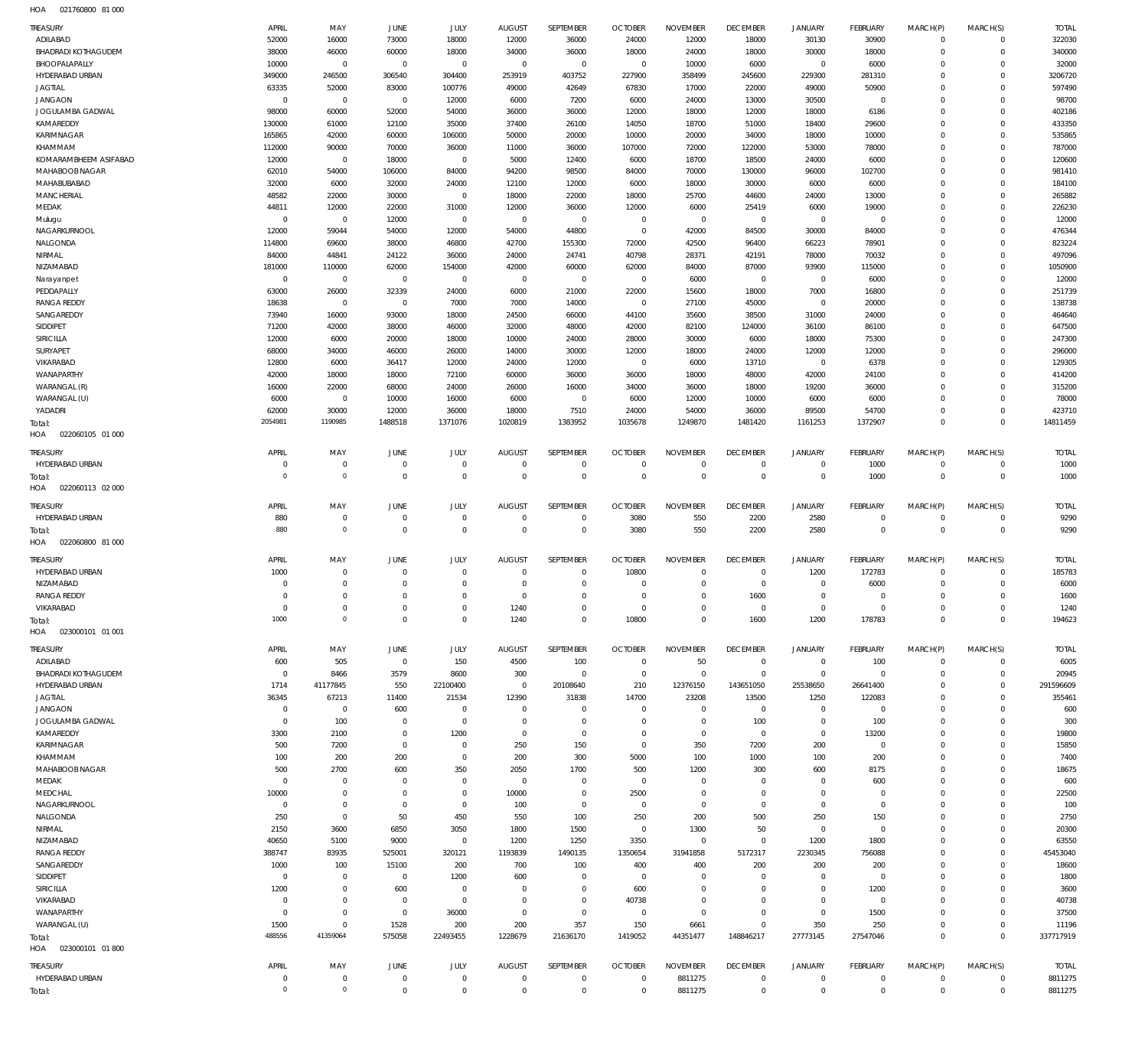021760800 81 000 HOA

| <b>TREASURY</b><br>ADILABAD        | APRIL<br>52000                | MAY<br>16000               | <b>JUNE</b><br>73000             | JULY<br>18000              | <b>AUGUST</b><br>12000          | SEPTEMBER<br>36000            | <b>OCTOBER</b><br>24000      | <b>NOVEMBER</b><br>12000      | <b>DECEMBER</b><br>18000      | <b>JANUARY</b><br>30130        | <b>FEBRUARY</b><br>30900      | MARCH(P)<br>$\mathbf 0$    | MARCH(S)<br>0              | <b>TOTAL</b><br>322030 |
|------------------------------------|-------------------------------|----------------------------|----------------------------------|----------------------------|---------------------------------|-------------------------------|------------------------------|-------------------------------|-------------------------------|--------------------------------|-------------------------------|----------------------------|----------------------------|------------------------|
| BHADRADI KOTHAGUDEM                | 38000                         | 46000                      | 60000                            | 18000                      | 34000                           | 36000                         | 18000                        | 24000                         | 18000                         | 30000                          | 18000                         | $\mathbf 0$                | $\mathbf 0$                | 340000                 |
| BHOOPALAPALLY                      | 10000                         | $\overline{0}$             | $\overline{0}$                   | $\mathbf{0}$               | $\overline{0}$                  | $\mathbf 0$                   | $\overline{0}$               | 10000                         | 6000                          | $^{\circ}$                     | 6000                          | $\Omega$                   | $\mathbf 0$                | 32000                  |
| HYDERABAD URBAN<br><b>JAGTIAL</b>  | 349000<br>63335               | 246500<br>52000            | 306540<br>83000                  | 304400<br>100776           | 253919<br>49000                 | 403752<br>42649               | 227900<br>67830              | 358499<br>17000               | 245600<br>22000               | 229300<br>49000                | 281310<br>50900               | $\Omega$<br>$\Omega$       | $\mathbf 0$<br>$\mathbf 0$ | 3206720<br>597490      |
| <b>JANGAON</b>                     | $\overline{0}$                | $\overline{0}$             | $\overline{0}$                   | 12000                      | 6000                            | 7200                          | 6000                         | 24000                         | 13000                         | 30500                          | $\overline{0}$                | $\Omega$                   | $\mathbf 0$                | 98700                  |
| JOGULAMBA GADWAL                   | 98000                         | 60000                      | 52000                            | 54000                      | 36000                           | 36000                         | 12000                        | 18000                         | 12000                         | 18000                          | 6186                          | $\Omega$                   | $\mathbf 0$                | 402186                 |
| KAMAREDDY                          | 130000                        | 61000                      | 12100                            | 35000                      | 37400                           | 26100                         | 14050                        | 18700                         | 51000                         | 18400                          | 29600                         | $\Omega$                   | $\mathbf 0$                | 433350                 |
| KARIMNAGAR                         | 165865                        | 42000                      | 60000                            | 106000                     | 50000                           | 20000                         | 10000                        | 20000                         | 34000                         | 18000                          | 10000                         | $\Omega$                   | $\mathbf 0$                | 535865                 |
| KHAMMAM                            | 112000                        | 90000                      | 70000                            | 36000                      | 11000                           | 36000                         | 107000                       | 72000                         | 122000                        | 53000                          | 78000                         | $\Omega$                   | $\mathbf 0$                | 787000                 |
| KOMARAMBHEEM ASIFABAD              | 12000                         | $\overline{0}$             | 18000                            | $\overline{0}$             | 5000                            | 12400                         | 6000                         | 18700                         | 18500                         | 24000                          | 6000                          | $\Omega$                   | $\mathbf 0$                | 120600                 |
| MAHABOOB NAGAR                     | 62010                         | 54000                      | 106000                           | 84000                      | 94200                           | 98500                         | 84000                        | 70000                         | 130000                        | 96000                          | 102700                        | $\Omega$                   | $\mathbf 0$                | 981410                 |
| MAHABUBABAD<br><b>MANCHERIAL</b>   | 32000<br>48582                | 6000<br>22000              | 32000<br>30000                   | 24000<br>$\mathbf{0}$      | 12100<br>18000                  | 12000<br>22000                | 6000<br>18000                | 18000<br>25700                | 30000<br>44600                | 6000<br>24000                  | 6000<br>13000                 | $\Omega$<br>$\Omega$       | $\mathbf 0$<br>$\mathbf 0$ | 184100<br>265882       |
| MEDAK                              | 44811                         | 12000                      | 22000                            | 31000                      | 12000                           | 36000                         | 12000                        | 6000                          | 25419                         | 6000                           | 19000                         | $\Omega$                   | $\mathbf 0$                | 226230                 |
| Mulugu                             | $\overline{0}$                | $\overline{0}$             | 12000                            | $\mathbf{0}$               | $\mathbb O$                     | $\mathbf 0$                   | $\mathbf 0$                  | $\overline{0}$                | $\mathbf{0}$                  | $\overline{0}$                 | $\overline{0}$                | $\Omega$                   | $\mathbf 0$                | 12000                  |
| NAGARKURNOOL                       | 12000                         | 59044                      | 54000                            | 12000                      | 54000                           | 44800                         | $\overline{0}$               | 42000                         | 84500                         | 30000                          | 84000                         | $\Omega$                   | $\mathbf 0$                | 476344                 |
| NALGONDA                           | 114800                        | 69600                      | 38000                            | 46800                      | 42700                           | 155300                        | 72000                        | 42500                         | 96400                         | 66223                          | 78901                         | $^{\circ}$                 | $\mathbf 0$                | 823224                 |
| NIRMAL                             | 84000                         | 44841                      | 24122                            | 36000                      | 24000                           | 24741                         | 40798                        | 28371                         | 42191                         | 78000                          | 70032                         | $\Omega$                   | $\mathbf 0$                | 497096                 |
| NIZAMABAD                          | 181000                        | 110000                     | 62000                            | 154000                     | 42000                           | 60000                         | 62000                        | 84000                         | 87000                         | 93900                          | 115000                        | $\Omega$                   | $\mathbf 0$                | 1050900                |
| Narayanpet                         | $\overline{0}$                | $\overline{0}$             | $\mathbf 0$                      | $\mathbf{0}$               | $\overline{0}$                  | $\mathbf 0$                   | $\overline{0}$               | 6000                          | $\mathbf{0}$                  | $\overline{0}$                 | 6000                          | $\Omega$<br>$\Omega$       | $\mathbf 0$<br>$\mathbf 0$ | 12000                  |
| PEDDAPALLY<br><b>RANGA REDDY</b>   | 63000<br>18638                | 26000<br>$\overline{0}$    | 32339<br>$\overline{0}$          | 24000<br>7000              | 6000<br>7000                    | 21000<br>14000                | 22000<br>$^{\circ}$          | 15600<br>27100                | 18000<br>45000                | 7000<br>$^{\circ}$             | 16800<br>20000                | $\Omega$                   | $\mathbf 0$                | 251739<br>138738       |
| SANGAREDDY                         | 73940                         | 16000                      | 93000                            | 18000                      | 24500                           | 66000                         | 44100                        | 35600                         | 38500                         | 31000                          | 24000                         | $\Omega$                   | $\mathbf 0$                | 464640                 |
| <b>SIDDIPET</b>                    | 71200                         | 42000                      | 38000                            | 46000                      | 32000                           | 48000                         | 42000                        | 82100                         | 124000                        | 36100                          | 86100                         | $\Omega$                   | $\mathbf 0$                | 647500                 |
| <b>SIRICILLA</b>                   | 12000                         | 6000                       | 20000                            | 18000                      | 10000                           | 24000                         | 28000                        | 30000                         | 6000                          | 18000                          | 75300                         | $\Omega$                   | $\mathbf 0$                | 247300                 |
| SURYAPET                           | 68000                         | 34000                      | 46000                            | 26000                      | 14000                           | 30000                         | 12000                        | 18000                         | 24000                         | 12000                          | 12000                         | $\Omega$                   | $\mathbf 0$                | 296000                 |
| VIKARABAD                          | 12800                         | 6000                       | 36417                            | 12000                      | 24000                           | 12000                         | $\overline{0}$               | 6000                          | 13710                         | $^{\circ}$                     | 6378                          | $\Omega$                   | $\mathbf 0$                | 129305                 |
| WANAPARTHY                         | 42000                         | 18000                      | 18000                            | 72100                      | 60000                           | 36000                         | 36000                        | 18000                         | 48000                         | 42000                          | 24100                         | $\Omega$                   | $\mathbf 0$                | 414200                 |
| WARANGAL (R)<br>WARANGAL (U)       | 16000<br>6000                 | 22000<br>$\overline{0}$    | 68000<br>10000                   | 24000<br>16000             | 26000<br>6000                   | 16000<br>$\overline{0}$       | 34000<br>6000                | 36000<br>12000                | 18000<br>10000                | 19200<br>6000                  | 36000<br>6000                 | $\Omega$<br>$\Omega$       | $\mathbf 0$<br>$\mathbf 0$ | 315200<br>78000        |
| YADADRI                            | 62000                         | 30000                      | 12000                            | 36000                      | 18000                           | 7510                          | 24000                        | 54000                         | 36000                         | 89500                          | 54700                         | $\Omega$                   | $\mathbf 0$                | 423710                 |
| Total:                             | 2054981                       | 1190985                    | 1488518                          | 1371076                    | 1020819                         | 1383952                       | 1035678                      | 1249870                       | 1481420                       | 1161253                        | 1372907                       | $\Omega$                   | $\Omega$                   | 14811459               |
| HOA<br>022060105 01 000            |                               |                            |                                  |                            |                                 |                               |                              |                               |                               |                                |                               |                            |                            |                        |
| <b>TREASURY</b><br>HYDERABAD URBAN | APRIL<br>$\mathbf 0$          | MAY<br>$\mathbf 0$         | <b>JUNE</b><br>$\overline{0}$    | JULY<br>$\mathbf 0$        | <b>AUGUST</b><br>$\overline{0}$ | SEPTEMBER<br>$\mathbf 0$      | <b>OCTOBER</b><br>$^{\circ}$ | <b>NOVEMBER</b><br>$^{\circ}$ | <b>DECEMBER</b><br>$^{\circ}$ | <b>JANUARY</b>                 | <b>FEBRUARY</b>               | MARCH(P)<br>$\mathbf 0$    | MARCH(S)<br>0              | <b>TOTAL</b>           |
| Total:                             | $\overline{0}$                | $\mathbf 0$                | $\overline{0}$                   | $\overline{0}$             | $\overline{0}$                  | $\mathbf 0$                   | $\overline{0}$               | $\mathbf{0}$                  | $\mathbf{0}$                  | $\overline{0}$<br>$\mathbf{0}$ | 1000<br>1000                  | $\overline{0}$             | $\mathbf 0$                | 1000<br>1000           |
| HOA<br>022060113 02 000            |                               |                            |                                  |                            |                                 |                               |                              |                               |                               |                                |                               |                            |                            |                        |
| <b>TREASURY</b>                    | APRIL                         | MAY                        | <b>JUNE</b>                      | JULY                       | <b>AUGUST</b>                   | SEPTEMBER                     | <b>OCTOBER</b>               | <b>NOVEMBER</b>               | <b>DECEMBER</b>               | <b>JANUARY</b>                 | <b>FEBRUARY</b>               | MARCH(P)                   | MARCH(S)                   | <b>TOTAL</b>           |
| HYDERABAD URBAN                    | 880                           | $\mathbf 0$                | $\overline{0}$                   | $\mathbf{0}$               | $\overline{0}$                  | $\mathbf 0$                   | 3080                         | 550                           | 2200                          | 2580                           | $\overline{0}$                | $\mathbf 0$                | 0                          | 9290                   |
| Total:<br>022060800 81 000<br>HOA  | 880                           | $\mathbf 0$                | $\overline{0}$                   | $\overline{0}$             | $\overline{0}$                  | $\mathbf 0$                   | 3080                         | 550                           | 2200                          | 2580                           | $\mathbb O$                   | $\overline{0}$             | $\mathbf 0$                | 9290                   |
| <b>TREASURY</b>                    | APRIL                         | MAY                        | <b>JUNE</b>                      | JULY                       | <b>AUGUST</b>                   | SEPTEMBER                     | <b>OCTOBER</b>               | <b>NOVEMBER</b>               | <b>DECEMBER</b>               | <b>JANUARY</b>                 | <b>FEBRUARY</b>               | MARCH(P)                   | MARCH(S)                   | <b>TOTAL</b>           |
| HYDERABAD URBAN                    | 1000                          | $\mathbf 0$                | $\overline{0}$                   | $\mathbf 0$                | $\overline{0}$                  | $\mathbf 0$                   | 10800                        | $^{\circ}$                    | $^{\circ}$                    | 1200                           | 172783                        | $\mathbf 0$                | 0                          | 185783                 |
| NIZAMABAD                          | $\Omega$                      | $\mathbf 0$                | $\overline{0}$                   | $\Omega$                   | $\overline{0}$                  | $\mathbf 0$                   | $^{\circ}$                   | $\Omega$                      | $^{\circ}$                    | $\Omega$                       | 6000                          | $\Omega$                   | 0                          | 6000                   |
| <b>RANGA REDDY</b>                 | $\Omega$                      | $\Omega$                   | $\Omega$                         | $\Omega$                   | $\Omega$                        | $\Omega$                      | $\overline{0}$               | $\Omega$                      | 1600                          | $\Omega$                       | $\mathbf 0$                   | $\Omega$                   | $\Omega$                   | 1600                   |
| VIKARABAD                          | $\Omega$<br>1000              | $\Omega$<br>$\mathbf 0$    | $\Omega$<br>$\overline{0}$       | $\Omega$<br>$\mathbf 0$    | 1240<br>1240                    | $\Omega$<br>$\mathbf 0$       | $\Omega$<br>10800            | $\circ$<br>$^{\circ}$         | $\Omega$<br>1600              | $\Omega$<br>1200               | $\Omega$<br>178783            | $\Omega$<br>$\overline{0}$ | $\Omega$<br>$\mathbf 0$    | 1240<br>194623         |
| Total:<br>HOA<br>023000101 01 001  |                               |                            |                                  |                            |                                 |                               |                              |                               |                               |                                |                               |                            |                            |                        |
| <b>TREASURY</b>                    | APRIL                         | MAY                        | <b>JUNE</b>                      | JULY                       | <b>AUGUST</b>                   | SEPTEMBER                     | <b>OCTOBER</b>               | <b>NOVEMBER</b>               | <b>DECEMBER</b>               | <b>JANUARY</b>                 | <b>FEBRUARY</b>               | MARCH(P)                   | MARCH(S)                   | <b>TOTAL</b>           |
| ADILABAD                           | 600                           | 505                        | $\mathbf 0$                      | 150                        | 4500                            | 100                           | $^{\circ}$                   | 50                            | $^{\circ}$                    | $\overline{0}$                 | 100                           | $^{\circ}$                 | 0                          | 6005                   |
| BHADRADI KOTHAGUDEM                | $\overline{0}$                | 8466                       | 3579                             | 8600                       | 300                             | $\mathbf 0$                   | $\overline{0}$               | $^{\circ}$                    | $\mathbf{0}$                  | $\overline{0}$                 | $\overline{0}$                | $\mathbf 0$                | $\mathbf 0$                | 20945                  |
| HYDERABAD URBAN<br>JAGTIAL         | 1714<br>36345                 | 41177845<br>67213          | 550<br>11400                     | 22100400<br>21534          | $\overline{0}$<br>12390         | 20108640<br>31838             | 210<br>14700                 | 12376150<br>23208             | 143651050<br>13500            | 25538650<br>1250               | 26641400<br>122083            | 0<br>$\Omega$              | $\mathbf 0$<br>0           | 291596609<br>355461    |
| <b>JANGAON</b>                     | $\overline{0}$                | $\overline{0}$             | 600                              | $\mathbf 0$                | $\overline{0}$                  | $\mathbf 0$                   | $^{\circ}$                   | $^{\circ}$                    | $^{\circ}$                    | $^{\circ}$                     | $\overline{0}$                | -C                         | 0                          | 600                    |
| JOGULAMBA GADWAL                   | $\overline{0}$                | 100                        | $\overline{0}$                   | $\mathbf{0}$               | $\overline{0}$                  | $\mathbf 0$                   | $\overline{0}$               | $^{\circ}$                    | 100                           | $^{\circ}$                     | 100                           | $\Omega$                   | 0                          | 300                    |
| KAMAREDDY                          | 3300                          | 2100                       | $\overline{0}$                   | 1200                       | $\mathbf{0}$                    | $\overline{0}$                | $\overline{0}$               | $^{\circ}$                    | $^{\circ}$                    | $^{\circ}$                     | 13200                         | -C                         | 0                          | 19800                  |
| KARIMNAGAR                         | 500                           | 7200                       | $\overline{0}$                   | $\mathbf 0$                | 250                             | 150                           | $\overline{0}$               | 350                           | 7200                          | 200                            | $\overline{0}$                | -C                         | 0                          | 15850                  |
| KHAMMAM                            | 100                           | 200                        | 200                              | $\mathbf 0$                | 200                             | 300                           | 5000                         | 100                           | 1000                          | 100                            | 200                           | -C                         | 0                          | 7400                   |
| MAHABOOB NAGAR<br>MEDAK            | 500<br>$\overline{0}$         | 2700<br>$\mathbf 0$        | 600<br>$\overline{0}$            | 350<br>$\mathbf 0$         | 2050<br>$\overline{0}$          | 1700<br>$\overline{0}$        | 500<br>$\overline{0}$        | 1200<br>$\Omega$              | 300<br>$\Omega$               | 600<br>$^{\circ}$              | 8175<br>600                   | -C<br>-C                   | 0<br>0                     | 18675<br>600           |
| MEDCHAL                            | 10000                         | $\mathbf 0$                | $\overline{0}$                   | $\mathbf 0$                | 10000                           | $\mathbf 0$                   | 2500                         | $^{\circ}$                    | $^{\circ}$                    | $\Omega$                       | $\overline{0}$                | -C                         | 0                          | 22500                  |
| NAGARKURNOOL                       | $\overline{0}$                | $\mathbf 0$                | $\overline{0}$                   | $\mathbf 0$                | 100                             | $\overline{0}$                | $^{\circ}$                   | $\Omega$                      | $\mathbf{0}$                  | $^{\circ}$                     | $\mathbf 0$                   | -C                         | 0                          | 100                    |
| NALGONDA                           | 250                           | $\mathbf 0$                | 50                               | 450                        | 550                             | 100                           | 250                          | 200                           | 500                           | 250                            | 150                           | $\Omega$                   | 0                          | 2750                   |
| NIRMAL                             | 2150                          | 3600                       | 6850                             | 3050                       | 1800                            | 1500                          | $\overline{0}$               | 1300                          | 50                            | $\overline{0}$                 | $\overline{0}$                | -C                         | 0                          | 20300                  |
| NIZAMABAD                          | 40650                         | 5100                       | 9000                             | $\mathbf 0$                | 1200                            | 1250                          | 3350                         | $\circ$                       | $\mathbf{0}$                  | 1200                           | 1800                          | $\Omega$                   | 0                          | 63550                  |
| <b>RANGA REDDY</b>                 | 388747<br>1000                | 83935                      | 525001                           | 320121                     | 1193839                         | 1490135                       | 1350654                      | 31941858                      | 5172317                       | 2230345                        | 756088                        | -C                         | $\mathbf 0$                | 45453040               |
| SANGAREDDY<br>SIDDIPET             |                               | 100                        | 15100                            | 200                        | 700                             | 100<br>$\overline{0}$         | 400<br>$^{\circ}$            | 400<br>$\Omega$               | 200<br>$\Omega$               | 200<br>$^{\circ}$              | 200<br>$\overline{0}$         | $\Omega$<br>$\Omega$       | $\mathbf 0$<br>0           | 18600<br>1800          |
|                                    |                               |                            |                                  |                            |                                 |                               |                              |                               |                               |                                |                               |                            |                            |                        |
| <b>SIRICILLA</b>                   | $\overline{0}$<br>1200        | $\mathbf 0$<br>$\mathbf 0$ | $\overline{0}$                   | 1200<br>$\mathbf 0$        | 600<br>$\overline{0}$           | $\mathbf 0$                   | 600                          | $^{\circ}$                    | $\Omega$                      | $\Omega$                       |                               | $\Omega$                   | 0                          | 3600                   |
| VIKARABAD                          | $\overline{0}$                | $\mathbf 0$                | 600<br>$\overline{0}$            | $^{\circ}$                 | $\overline{0}$                  | $\mathbf 0$                   | 40738                        | $\Omega$                      | $^{\circ}$                    | $^{\circ}$                     | 1200<br>$\overline{0}$        | $\Omega$                   | 0                          | 40738                  |
| WANAPARTHY                         | $\overline{0}$                | $\mathbf 0$                | $\overline{0}$                   | 36000                      | $\overline{0}$                  | $\mathbf 0$                   | $\overline{0}$               | $\Omega$                      | $\Omega$                      | $^{\circ}$                     | 1500                          | $\Omega$                   | 0                          | 37500                  |
| WARANGAL (U)                       | 1500                          | $\mathbf 0$                | 1528                             | 200                        | 200                             | 357                           | 150                          | 6661                          | $\mathbf{0}$                  | 350                            | 250                           | $^{\circ}$                 | $\mathbf 0$                | 11196                  |
| Total:<br>HOA<br>023000101 01800   | 488556                        | 41359064                   | 575058                           | 22493455                   | 1228679                         | 21636170                      | 1419052                      | 44351477                      | 148846217                     | 27773145                       | 27547046                      | $\Omega$                   | $\mathbf 0$                | 337717919              |
| <b>TREASURY</b>                    | APRIL                         | MAY                        | <b>JUNE</b>                      | JULY                       | <b>AUGUST</b>                   | SEPTEMBER                     | <b>OCTOBER</b>               | <b>NOVEMBER</b>               | <b>DECEMBER</b>               | <b>JANUARY</b>                 | <b>FEBRUARY</b>               | MARCH(P)                   | MARCH(S)                   | <b>TOTAL</b>           |
| HYDERABAD URBAN<br>Total:          | $\mathbf 0$<br>$\overline{0}$ | $\mathbf 0$<br>$\mathbf 0$ | $\overline{0}$<br>$\overline{0}$ | $\mathbf 0$<br>$\mathbf 0$ | $^{\circ}$<br>$\mathbf{0}$      | $\overline{0}$<br>$\mathbf 0$ | $^{\circ}$<br>$\overline{0}$ | 8811275<br>8811275            | $^{\circ}$<br>$\mathbf{0}$    | $^{\circ}$<br>$\Omega$         | $\overline{0}$<br>$\mathbf 0$ | $\circ$<br>$\mathbf 0$     | 0<br>$\mathbf 0$           | 8811275<br>8811275     |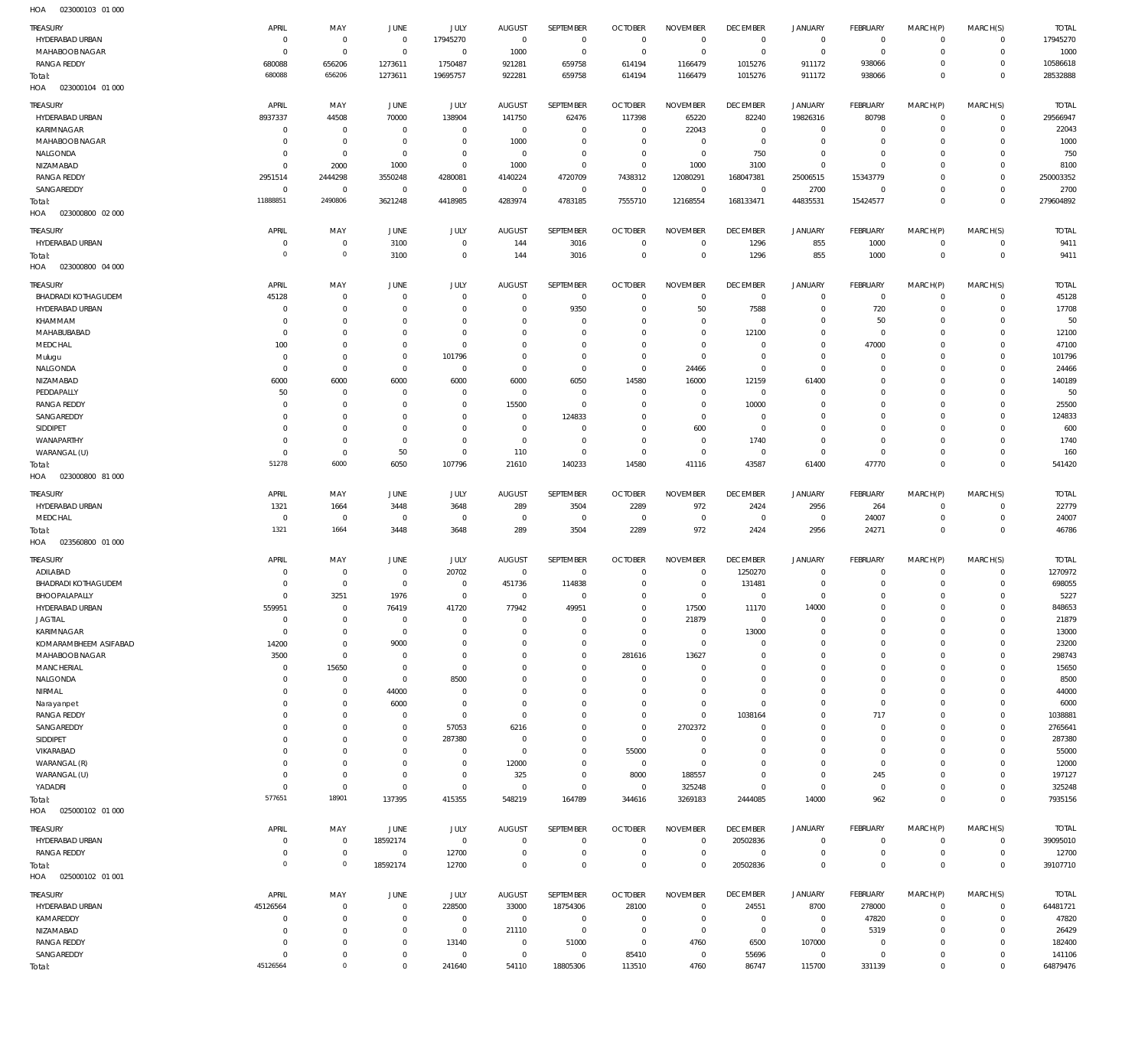HOA 023000103 01 000

| <b>TREASURY</b>            | APRIL          | MAY                 | JUNE           | JULY        | <b>AUGUST</b>  | SEPTEMBER        | <b>OCTOBER</b>  | <b>NOVEMBER</b> | <b>DECEMBER</b> | <b>JANUARY</b>        | <b>FEBRUARY</b> | MARCH(P)     | MARCH(S)     | <b>TOTAL</b>       |
|----------------------------|----------------|---------------------|----------------|-------------|----------------|------------------|-----------------|-----------------|-----------------|-----------------------|-----------------|--------------|--------------|--------------------|
| HYDERABAD URBAN            | $^{\circ}$     | $^{\circ}$          | $\overline{0}$ | 17945270    | $\mathbf{0}$   | $\overline{0}$   | $\overline{0}$  | $\overline{0}$  | $\overline{0}$  | $\mathsf 0$           | $\circ$         | $^{\circ}$   | $\mathbf 0$  | 17945270           |
| MAHABOOB NAGAR             | $\overline{0}$ | $\mathbf 0$         | $^{\circ}$     | $\mathbf 0$ | 1000           | $\mathbf 0$      | $\overline{0}$  | $\overline{0}$  | $\mathbb O$     | $\overline{0}$        | $\mathbf{0}$    | $\Omega$     | $\mathbf 0$  | 1000               |
| <b>RANGA REDDY</b>         | 680088         | 656206              | 1273611        | 1750487     | 921281         | 659758           | 614194          | 1166479         | 1015276         | 911172                | 938066          | $\Omega$     | $\mathbf 0$  | 10586618           |
|                            | 680088         | 656206              | 1273611        | 19695757    | 922281         | 659758           | 614194          | 1166479         | 1015276         | 911172                | 938066          | $\Omega$     | $\mathbf 0$  | 28532888           |
| Total:                     |                |                     |                |             |                |                  |                 |                 |                 |                       |                 |              |              |                    |
| HOA<br>023000104 01 000    |                |                     |                |             |                |                  |                 |                 |                 |                       |                 |              |              |                    |
| <b>TREASURY</b>            | APRIL          | MAY                 | <b>JUNE</b>    | JULY        | <b>AUGUST</b>  | SEPTEMBER        | <b>OCTOBER</b>  | <b>NOVEMBER</b> | <b>DECEMBER</b> | <b>JANUARY</b>        | <b>FEBRUARY</b> | MARCH(P)     | MARCH(S)     | <b>TOTAL</b>       |
| HYDERABAD URBAN            | 8937337        | 44508               | 70000          | 138904      | 141750         |                  | 117398          | 65220           | 82240           | 19826316              | 80798           | $^{\circ}$   | $\mathbf 0$  | 29566947           |
|                            |                |                     |                |             |                | 62476            |                 |                 |                 |                       |                 |              |              |                    |
| KARIMNAGAR                 | $\overline{0}$ | $^{\circ}$          | $\mathbf 0$    | $\mathbf 0$ | $^{\circ}$     | $\mathbf 0$      | $\overline{0}$  | 22043           | $\overline{0}$  | $\overline{0}$        | $^{\circ}$      | $\Omega$     | $\mathbf 0$  | 22043              |
| MAHABOOB NAGAR             | $\mathbf 0$    | $\mathbf{0}$        | 0              | $\mathbf 0$ | 1000           | $\mathbf 0$      | $\overline{0}$  | $\overline{0}$  | $\mathbb O$     | $\overline{0}$        | $\mathbf{0}$    | $\Omega$     | $\mathbf 0$  | 1000               |
| NALGONDA                   | 0              | $\mathbf 0$         | $^{\circ}$     | $\mathbf 0$ | $\overline{0}$ | $\mathbf 0$      | $\overline{0}$  | $\overline{0}$  | 750             | $\mathbf 0$           | $^{\circ}$      | $\Omega$     | $\Omega$     | 750                |
| NIZAMABAD                  | $^{\circ}$     | 2000                | 1000           | $\mathbf 0$ | 1000           | $\mathbf 0$      | $\overline{0}$  | 1000            | 3100            | $\overline{0}$        | $\mathbf{0}$    | $\Omega$     | $\mathbf 0$  | 8100               |
| <b>RANGA REDDY</b>         | 2951514        | 2444298             | 3550248        | 4280081     | 4140224        | 4720709          | 7438312         | 12080291        | 168047381       | 25006515              | 15343779        | $\Omega$     | $\mathbf 0$  | 250003352          |
| SANGAREDDY                 | $^{\circ}$     | $\mathbf{0}$        | $\mathbf 0$    | $\mathbf 0$ | $\overline{0}$ | $\overline{0}$   | $\overline{0}$  | $\overline{0}$  | $\overline{0}$  | 2700                  | $^{\circ}$      | $\Omega$     | $\mathbf 0$  | 2700               |
|                            | 11888851       | 2490806             | 3621248        | 4418985     | 4283974        | 4783185          | 7555710         | 12168554        | 168133471       | 44835531              | 15424577        | $\Omega$     | $\mathbb O$  | 279604892          |
| Total:                     |                |                     |                |             |                |                  |                 |                 |                 |                       |                 |              |              |                    |
| 023000800 02 000<br>HOA    |                |                     |                |             |                |                  |                 |                 |                 |                       |                 |              |              |                    |
| TREASURY                   | APRIL          | MAY                 | <b>JUNE</b>    | <b>JULY</b> | <b>AUGUST</b>  | SEPTEMBER        | <b>OCTOBER</b>  | <b>NOVEMBER</b> | <b>DECEMBER</b> | JANUARY               | <b>FEBRUARY</b> | MARCH(P)     | MARCH(S)     | <b>TOTAL</b>       |
| HYDERABAD URBAN            | C              | $^{\circ}$          | 3100           | $\mathbf 0$ | 144            | 3016             | $\overline{0}$  | $\overline{0}$  | 1296            | 855                   | 1000            | $^{\circ}$   | $\mathbf 0$  | 9411               |
|                            |                |                     |                |             |                |                  |                 |                 |                 |                       |                 |              |              |                    |
| Total:                     | $\circ$        | $\mathsf{O}\xspace$ | 3100           | $\mathbf 0$ | 144            | 3016             | $\overline{0}$  | $\mathbf 0$     | 1296            | 855                   | 1000            | $^{\circ}$   | $\mathbf{0}$ | 9411               |
| HOA<br>023000800 04 000    |                |                     |                |             |                |                  |                 |                 |                 |                       |                 |              |              |                    |
| TREASURY                   | APRIL          | MAY                 | JUNE           | JULY        | <b>AUGUST</b>  | SEPTEMBER        | <b>OCTOBER</b>  | <b>NOVEMBER</b> | <b>DECEMBER</b> | <b>JANUARY</b>        | <b>FEBRUARY</b> | MARCH(P)     | MARCH(S)     | <b>TOTAL</b>       |
|                            |                |                     |                |             |                |                  |                 |                 |                 |                       |                 |              |              |                    |
| <b>BHADRADI KOTHAGUDEM</b> | 45128          | $\mathbf{0}$        | $\mathbf 0$    | $\mathbf 0$ | $\mathbf 0$    | $^{\circ}$       | $^{\circ}$      | $\overline{0}$  | $\overline{0}$  | $\circ$               | $\mathbf{0}$    | $^{\circ}$   | $\mathbf 0$  | 45128              |
| HYDERABAD URBAN            | C              | $\mathbf{0}$        | $^{\circ}$     | $\mathbf 0$ | $\mathbf 0$    | 9350             | $^{\circ}$      | 50              | 7588            | $\mathbf 0$           | 720             | $\Omega$     | $\mathbf 0$  | 17708              |
| KHAMMAM                    | C              | $\mathbf{0}$        | $^{\circ}$     | $\mathbf 0$ | $\mathbf 0$    | $\mathbf 0$      | $\mathbf 0$     | $\mathbf 0$     | $^{\circ}$      | $\mathbf 0$           | 50              | $\Omega$     | $\Omega$     | 50                 |
| MAHABUBABAD                | 0              | $\mathbf{0}$        | $^{\circ}$     | $\mathbf 0$ | $\mathbf 0$    | $\mathbf 0$      | $\mathbf 0$     | $\mathbf 0$     | 12100           | $\mathbf 0$           | $\mathbf 0$     | $\Omega$     | $\mathbf 0$  | 12100              |
| MEDCHAL                    | 100            | $\mathbf 0$         | $^{\circ}$     | $\mathbf 0$ | $\Omega$       | $\mathbf 0$      | $\mathbf 0$     | $\mathbf 0$     | $\mathbf{0}$    | $\mathbf 0$           | 47000           | $\Omega$     | $\Omega$     | 47100              |
| Mulugu                     | $\overline{0}$ | $\mathbf{0}$        | $^{\circ}$     | 101796      | $\mathbf 0$    | $\mathbf 0$      | $\overline{0}$  | $\overline{0}$  | $\overline{0}$  | $\mathbf 0$           | $^{\circ}$      | $\Omega$     | $\mathbf 0$  | 101796             |
| NALGONDA                   | C              | $\mathbf 0$         | $^{\circ}$     | $\mathbf 0$ | $\mathbf 0$    | $\mathbf 0$      | $\overline{0}$  | 24466           | $\mathbf{0}$    | $\mathbf 0$           | $^{\circ}$      | $\Omega$     | $\Omega$     | 24466              |
|                            |                |                     |                |             |                |                  |                 |                 |                 |                       |                 |              |              |                    |
| NIZAMABAD                  | 6000           | 6000                | 6000           | 6000        | 6000           | 6050             | 14580           | 16000           | 12159           | 61400                 | $\mathbf{0}$    | $\Omega$     | $\mathbf 0$  | 140189             |
| PEDDAPALLY                 | 50             | $^{\circ}$          | $^{\circ}$     | $\mathbf 0$ | $\mathbf 0$    | $\mathbf 0$      | $^{\circ}$      | $\mathbf 0$     | $^{\circ}$      | $\mathbf 0$           | $^{\circ}$      | $\Omega$     | $\Omega$     | 50                 |
| <b>RANGA REDDY</b>         | $\mathbf 0$    | $\mathbf{0}$        | $^{\circ}$     | $\mathbf 0$ | 15500          | $\mathbf{0}$     | $\overline{0}$  | $\mathbf 0$     | 10000           | $\mathbf 0$           | $\mathbf{0}$    | $\Omega$     | $\Omega$     | 25500              |
| SANGAREDDY                 | $\Omega$       | $^{\circ}$          | $^{\circ}$     | $\mathbf 0$ | $\mathbf 0$    | 124833           | $\mathbf 0$     | $\mathbf 0$     | $\mathbf{0}$    | 0                     | $^{\circ}$      | $\Omega$     | $\Omega$     | 124833             |
| <b>SIDDIPET</b>            | C              | $\mathbf{0}$        | $^{\circ}$     | $\mathbf 0$ | $\mathbf 0$    | $\mathbf 0$      | $\overline{0}$  | 600             | $\overline{0}$  | $\mathbf 0$           | $\mathbf{0}$    |              | $\Omega$     | 600                |
| WANAPARTHY                 | C              | $\mathbf 0$         | $^{\circ}$     | $\mathbf 0$ | $\overline{0}$ | $\mathbf 0$      | $^{\circ}$      | $^{\circ}$      | 1740            | $\mathbf 0$           | $\mathbf{0}$    | $\Omega$     | $\Omega$     | 1740               |
|                            |                |                     |                |             |                |                  |                 |                 |                 |                       |                 |              |              |                    |
| WARANGAL (U)               | $\overline{0}$ | $\mathbf 0$         | 50             | $\mathbf 0$ | 110            | $\mathbf 0$      | $\overline{0}$  | $\mathbf 0$     | $\overline{0}$  | $\overline{0}$        | $\mathbf{0}$    | $\Omega$     | $\mathbf 0$  | 160                |
| Total:                     | 51278          | 6000                | 6050           | 107796      | 21610          | 140233           | 14580           | 41116           | 43587           | 61400                 | 47770           | $\Omega$     | $\mathbf 0$  | 541420             |
| HOA<br>023000800 81 000    |                |                     |                |             |                |                  |                 |                 |                 |                       |                 |              |              |                    |
|                            |                |                     |                |             |                | SEPTEMBER        |                 |                 |                 |                       |                 |              |              |                    |
| TREASURY                   | APRIL          | MAY                 | JUNE           | JULY        | <b>AUGUST</b>  |                  | <b>OCTOBER</b>  | <b>NOVEMBER</b> | <b>DECEMBER</b> | JANUARY               | <b>FEBRUARY</b> | MARCH(P)     | MARCH(S)     | <b>TOTAL</b>       |
| HYDERABAD URBAN            | 1321           | 1664                | 3448           | 3648        | 289            | 3504             | 2289            | 972             | 2424            | 2956                  | 264             | $^{\circ}$   | $\mathbf 0$  | 22779              |
| MEDCHAL                    | $\overline{0}$ | $^{\circ}$          | $\mathbf 0$    | $\mathbf 0$ | $\overline{0}$ | $\overline{0}$   | $\overline{0}$  | $\overline{0}$  | $\overline{0}$  | $\overline{0}$        | 24007           | $^{\circ}$   | $\mathbf 0$  | 24007              |
| Total:                     | 1321           | 1664                | 3448           | 3648        | 289            | 3504             | 2289            | 972             | 2424            | 2956                  | 24271           | $\mathbf 0$  | $\mathbf{0}$ | 46786              |
| 023560800 01 000<br>HOA    |                |                     |                |             |                |                  |                 |                 |                 |                       |                 |              |              |                    |
|                            |                |                     |                |             |                |                  |                 |                 |                 |                       |                 |              |              |                    |
| TREASURY                   | APRIL          | MAY                 | <b>JUNE</b>    | JULY        | <b>AUGUST</b>  | <b>SEPTEMBER</b> | <b>OCTOBER</b>  | <b>NOVEMBER</b> | <b>DECEMBER</b> | JANUARY               | <b>FEBRUARY</b> | MARCH(P)     | MARCH(S)     | <b>TOTAL</b>       |
| ADILABAD                   | C              | $\mathbf{0}$        | $^{\circ}$     | 20702       | $\overline{0}$ | $^{\circ}$       | $^{\circ}$      | $^{\circ}$      | 1250270         | $\circ$               | $^{\circ}$      | $\Omega$     | $\mathbf 0$  | 1270972            |
| <b>BHADRADI KOTHAGUDEM</b> | C              | $\mathbf 0$         | 0              | $\mathbf 0$ | 451736         | 114838           | $\overline{0}$  | $\mathbf 0$     | 131481          | $\mathbf 0$           | $\mathbf{0}$    | $\circ$      | $\mathbf 0$  | 698055             |
| BHOOPALAPALLY              | $\Omega$       | 3251                | 1976           | $\mathbf 0$ | $^{\circ}$     | $\mathbf 0$      | $\overline{0}$  | $\mathbf 0$     | $\mathbb O$     | $\mathbf 0$           | $\mathbf 0$     | $\Omega$     | $\mathbf 0$  | 5227               |
| HYDERABAD URBAN            | 559951         | $\mathbf{0}$        | 76419          | 41720       | 77942          | 49951            | $\Omega$        | 17500           | 11170           | 14000                 | $\circ$         | $\mathbf{0}$ | $\circ$      | 848653             |
| <b>JAGTIAL</b>             | $\overline{0}$ | $\mathbf{0}$        | $^{\circ}$     | $^{\circ}$  | $\mathbf 0$    | $\mathbf 0$      | $\overline{0}$  | 21879           | $\mathbf 0$     | $\mathbf 0$           | $\mathbf{0}$    | $\Omega$     | $\mathbf 0$  | 21879              |
|                            |                |                     |                |             |                |                  |                 |                 |                 |                       |                 |              |              |                    |
| KARIMNAGAR                 | $\overline{0}$ | $\mathbf 0$         | $^{\circ}$     | $^{\circ}$  | $\mathbf 0$    | $\mathbf 0$      | $\overline{0}$  | $\overline{0}$  | 13000           | $\mathbf 0$           | $^{\circ}$      | $\mathbf 0$  | $\mathbf 0$  | 13000              |
| KOMARAMBHEEM ASIFABAD      | 14200          | $\mathbf 0$         | 9000           | $^{\circ}$  | $\mathbf 0$    | $\mathbf 0$      | $\overline{0}$  | $\overline{0}$  | $\mathbf{0}$    | 0                     | $\mathbf{0}$    | $\Omega$     | $\mathbf 0$  | 23200              |
| MAHABOOB NAGAR             | 3500           | $\mathbf 0$         | $^{\circ}$     | $\mathbf 0$ | $\mathbf 0$    | $\mathbf 0$      | 281616          | 13627           | $\mathbf 0$     | 0                     | $\mathbf{0}$    | $\Omega$     | $\mathbf 0$  | 298743             |
| MANCHERIAL                 | $\overline{0}$ | 15650               | 0              | $\mathbf 0$ | $\mathbf 0$    | $\mathbf 0$      | $\overline{0}$  | $^{\circ}$      | $\mathbf 0$     | 0                     | $\mathbf{0}$    |              | $\mathbf 0$  | 15650              |
| NALGONDA                   | $\Omega$       | $\mathbf{0}$        | $^{\circ}$     | 8500        | $\mathbf 0$    | $\mathbf 0$      | $\overline{0}$  | $^{\circ}$      | $\mathbf{0}$    | 0                     | $\mathbf{0}$    | $\Omega$     | $\Omega$     | 8500               |
| NIRMAL                     | 0              | $^{\circ}$          | 44000          | $^{\circ}$  | $\mathbf 0$    | $\mathbf 0$      | $\mathbf 0$     | $\mathbf 0$     | $\mathbf{0}$    | 0                     | $\mathbf{0}$    | $\Omega$     | $\mathbf 0$  | 44000              |
| Narayanpet                 | 0              | $\mathbf{0}$        | 6000           | $\mathbf 0$ | $\mathbf 0$    | $\mathbf 0$      | $\mathbf 0$     | $\mathbf 0$     | $\mathbf{0}$    | $\mathbf 0$           | $\mathbf{0}$    | $\Omega$     | $\Omega$     | 6000               |
|                            |                |                     | $^{\circ}$     | $\mathbf 0$ | $\mathbf 0$    | $\mathbf 0$      | $\overline{0}$  | $\overline{0}$  | 1038164         | 0                     | 717             | $\Omega$     | $\mathbf 0$  |                    |
| <b>RANGA REDDY</b>         | 0              | $\mathbf{0}$        |                |             |                |                  |                 |                 |                 |                       |                 |              |              | 1038881            |
| SANGAREDDY                 | $\Omega$       | $\mathbf 0$         | $\mathbf 0$    | 57053       | 6216           | $\mathbf 0$      | $\overline{0}$  | 2702372         | $\mathbf{0}$    | 0                     | $\mathbf{0}$    | $\Omega$     | $\Omega$     | 2765641            |
| SIDDIPET                   | $\Omega$       | $\mathbf{0}$        | $\mathbf 0$    | 287380      | $\mathbf 0$    | $\mathbf 0$      | $\overline{0}$  | $\mathbf 0$     | $\mathbf 0$     | 0                     | $\mathbf{0}$    | $\Omega$     | $\mathbf 0$  | 287380             |
| VIKARABAD                  | $\Omega$       | $\mathbf 0$         | $^{\circ}$     | $\mathbf 0$ | $\overline{0}$ | $\mathbf 0$      | 55000           | $\overline{0}$  | $\mathbf 0$     | $\mathbf 0$           | $\mathbf{0}$    | $\Omega$     | $\Omega$     | 55000              |
| WARANGAL (R)               | 0              | $\mathbf{0}$        | $^{\circ}$     | $\mathbf 0$ | 12000          | $\mathbf 0$      | $\overline{0}$  | $\overline{0}$  | $\mathbf{0}$    | $\mathbf 0$           | $\mathbf{0}$    | $\Omega$     | $\mathbf 0$  | 12000              |
| WARANGAL (U)               | 0              | $\mathbf 0$         | $^{\circ}$     | $\mathbf 0$ | 325            | $\mathbf 0$      | 8000            | 188557          | $\mathbf{0}$    | $\mathbf 0$           | 245             | $\Omega$     | $\Omega$     | 197127             |
| YADADRI                    | $\overline{0}$ | $\mathbf 0$         | $^{\circ}$     | $\mathbf 0$ | $\overline{0}$ | $\mathbf 0$      | $\overline{0}$  | 325248          | $\overline{0}$  | $\mathbf 0$           | $\mathbf 0$     | $\Omega$     | $\mathbf 0$  | 325248             |
|                            | 577651         | 18901               | 137395         | 415355      | 548219         | 164789           |                 | 3269183         | 2444085         | 14000                 | 962             | $^{\circ}$   | $\mathbf 0$  | 7935156            |
| Total:                     |                |                     |                |             |                |                  | 344616          |                 |                 |                       |                 |              |              |                    |
| 025000102 01 000<br>HOA    |                |                     |                |             |                |                  |                 |                 |                 |                       |                 |              |              |                    |
| TREASURY                   | APRIL          | MAY                 | JUNE           | <b>JULY</b> | <b>AUGUST</b>  | SEPTEMBER        | <b>OCTOBER</b>  | <b>NOVEMBER</b> | <b>DECEMBER</b> | <b>JANUARY</b>        | FEBRUARY        | MARCH(P)     | MARCH(S)     | <b>TOTAL</b>       |
| HYDERABAD URBAN            | $\overline{0}$ | $^{\circ}$          | 18592174       | $\mathbf 0$ | $\mathbf 0$    | $\mathbf 0$      | $\overline{0}$  | $\overline{0}$  | 20502836        | $\overline{0}$        | $\circ$         | $^{\circ}$   | $\mathbf 0$  | 39095010           |
|                            |                |                     |                |             |                |                  |                 |                 |                 |                       |                 |              |              |                    |
| <b>RANGA REDDY</b>         | C              | $\mathbf 0$         | $^{\circ}$     | 12700       | $\mathbf 0$    | $\mathbf 0$      | $\overline{0}$  | $\mathbf 0$     | $^{\circ}$      | $\mathbf 0$           | $\mathbf 0$     | $^{\circ}$   | $\mathbf 0$  | 12700              |
| Total:                     | $\mathbf 0$    | $\mathbf 0$         | 18592174       | 12700       | $\mathbf 0$    | $\mathbf 0$      | $\overline{0}$  | $^{\circ}$      | 20502836        | $\mathbf 0$           | $\mathbf 0$     | $^{\circ}$   | $\mathbf 0$  | 39107710           |
| HOA<br>025000102 01 001    |                |                     |                |             |                |                  |                 |                 |                 |                       |                 |              |              |                    |
| TREASURY                   | APRIL          | MAY                 | <b>JUNE</b>    | JULY        | <b>AUGUST</b>  | SEPTEMBER        | <b>OCTOBER</b>  | <b>NOVEMBER</b> | <b>DECEMBER</b> | JANUARY               | <b>FEBRUARY</b> |              | MARCH(S)     | <b>TOTAL</b>       |
|                            |                |                     |                |             |                |                  |                 |                 |                 |                       |                 | MARCH(P)     |              |                    |
| HYDERABAD URBAN            | 45126564       | $\mathbf 0$         | $\mathbf 0$    | 228500      | 33000          | 18754306         | 28100           | $\overline{0}$  | 24551           | 8700                  | 278000          | $^{\circ}$   | $\mathbf 0$  | 64481721           |
| KAMAREDDY                  | $\mathbf 0$    | $\mathbf 0$         | $\mathbf 0$    | $\mathbf 0$ | $^{\circ}$     | $\mathbf 0$      | $\overline{0}$  | $\overline{0}$  | $\mathbf 0$     | $\mathsf 0$           | 47820           | $\Omega$     | $\mathbf 0$  | 47820              |
| NIZAMABAD                  | C              | $\mathbf{0}$        | $\mathbf 0$    | $\mathbf 0$ | 21110          | $\mathbf 0$      | $\overline{0}$  | $\overline{0}$  | $\mathbb O$     | $\overline{0}$        | 5319            | $\Omega$     | $\mathbf 0$  | 26429              |
| <b>RANGA REDDY</b>         |                |                     |                |             |                |                  |                 |                 |                 |                       |                 |              |              |                    |
|                            | 0              | $\mathbf 0$         | $\mathbf 0$    | 13140       | $\mathbf 0$    | 51000            | $\overline{0}$  | 4760            | 6500            | 107000                | $^{\circ}$      | $\Omega$     | $\Omega$     | 182400             |
| SANGAREDDY                 | $^{\circ}$     | $\mathbf 0$         | $\mathbf 0$    | $\mathbf 0$ | $\overline{0}$ | $\mathbf{0}$     |                 | $\overline{0}$  |                 |                       | $\mathbf 0$     | $\Omega$     | $\mathbf 0$  |                    |
| Total:                     | 45126564       | $\mathsf{O}\xspace$ | $\mathbf 0$    | 241640      | 54110          | 18805306         | 85410<br>113510 | 4760            | 55696<br>86747  | $\mathsf 0$<br>115700 | 331139          | $\mathbf 0$  | $\mathbb O$  | 141106<br>64879476 |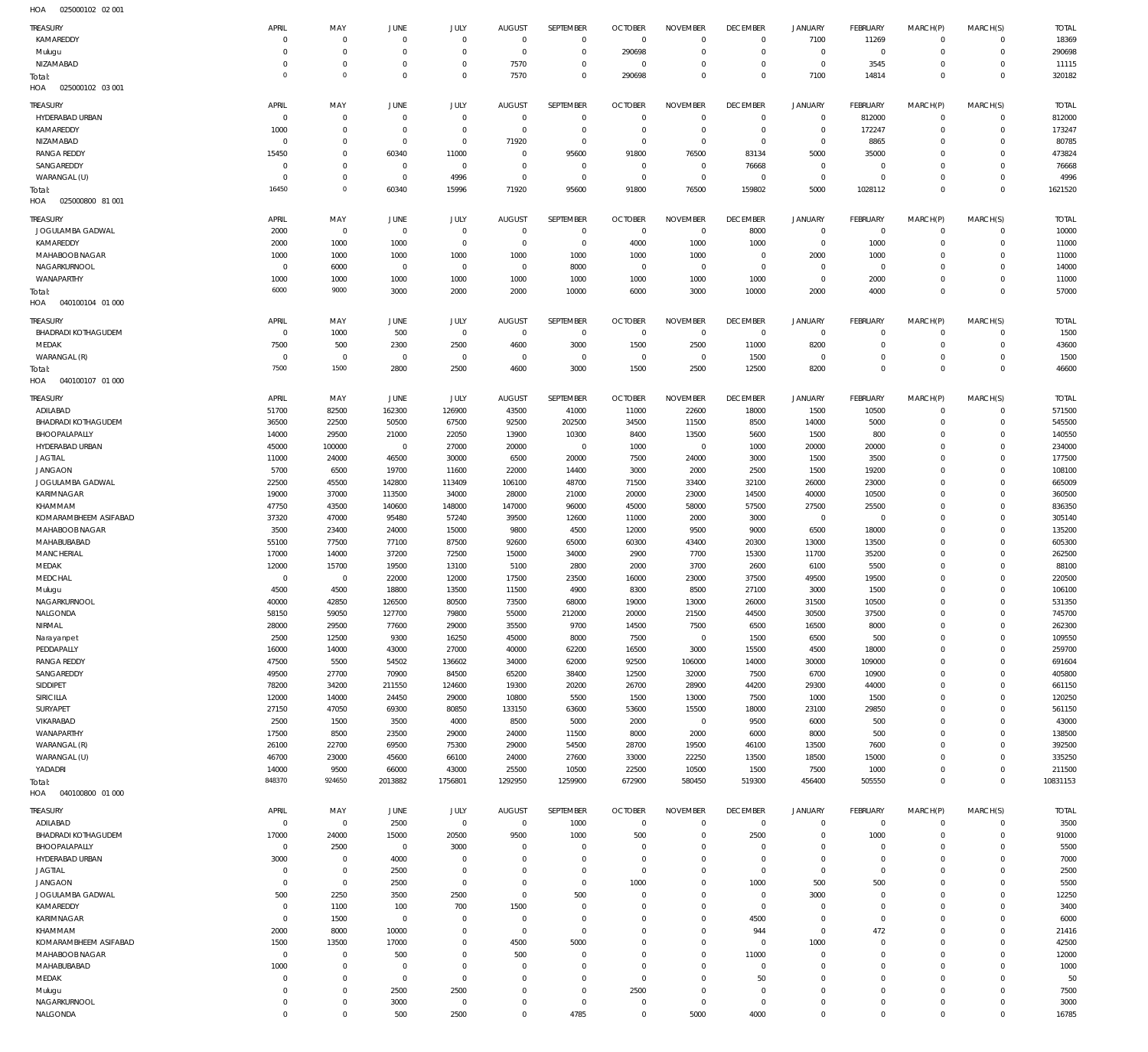025000102 02 001 HOA

| TREASURY                          | APRIL        | MAY            | <b>JUNE</b>    | JULY         | <b>AUGUST</b> | SEPTEMBER      | <b>OCTOBER</b> | <b>NOVEMBER</b> | <b>DECEMBER</b> | <b>JANUARY</b> | <b>FEBRUARY</b> | MARCH(P)       | MARCH(S)            | <b>TOTAL</b> |
|-----------------------------------|--------------|----------------|----------------|--------------|---------------|----------------|----------------|-----------------|-----------------|----------------|-----------------|----------------|---------------------|--------------|
| KAMAREDDY                         | $\Omega$     | $\mathbf 0$    | $\mathbf{0}$   | $\mathbf 0$  | $\mathbf 0$   | $\mathbf 0$    | $\overline{0}$ | $\mathbf 0$     | $\overline{0}$  | 7100           | 11269           | $\mathbf{0}$   | $\mathbf 0$         | 18369        |
| Mulugu                            | $\Omega$     | $\mathbf 0$    | $^{\circ}$     | $\mathbf 0$  | $\mathbf 0$   | $\mathbf 0$    | 290698         | $\mathbf 0$     | $\overline{0}$  | $\mathbf{0}$   | $\mathbf 0$     | $^{\circ}$     | $\mathbf 0$         | 290698       |
| NIZAMABAD                         | $\Omega$     | $\mathbf 0$    | $^{\circ}$     | $\mathbf 0$  | 7570          | $\mathbf 0$    | $^{\circ}$     | $\mathbf 0$     | $\overline{0}$  | $\mathbf{0}$   | 3545            | $^{\circ}$     | $\mathbf 0$         | 11115        |
| Total:                            | $\Omega$     | $\mathbf{0}$   | $\Omega$       | $\mathbf 0$  | 7570          | $\mathbf 0$    | 290698         | $\mathbf 0$     | $\overline{0}$  | 7100           | 14814           | $\overline{0}$ | $\mathbb O$         | 320182       |
| HOA<br>025000102 03 001           |              |                |                |              |               |                |                |                 |                 |                |                 |                |                     |              |
| TREASURY                          | APRIL        | MAY            | JUNE           | JULY         | <b>AUGUST</b> | SEPTEMBER      | <b>OCTOBER</b> | <b>NOVEMBER</b> | <b>DECEMBER</b> | <b>JANUARY</b> | <b>FEBRUARY</b> | MARCH(P)       | MARCH(S)            | <b>TOTAL</b> |
| HYDERABAD URBAN                   | 0            | $\mathbf 0$    | $\mathbf{0}$   | $\mathbf 0$  | $\mathbf 0$   | $\mathbb O$    | $\overline{0}$ | $\overline{0}$  | $\overline{0}$  | $\overline{0}$ | 812000          | $\mathbf{0}$   | $\mathbf 0$         | 812000       |
| KAMAREDDY                         | 1000         | $\mathbf 0$    | $^{\circ}$     | $\mathbf 0$  | $\mathbf 0$   | $\mathbf 0$    | $\overline{0}$ | $\mathbf 0$     | $\overline{0}$  | $\mathbf{0}$   | 172247          | $^{\circ}$     | $\mathbf 0$         | 173247       |
| NIZAMABAD                         | 0            | $\mathbf 0$    | $^{\circ}$     | $\mathbb O$  | 71920         | $\mathbf 0$    | $^{\circ}$     | $\mathbf 0$     | $\overline{0}$  | $\mathbf{0}$   | 8865            | $\mathbf 0$    | $\mathbf 0$         | 80785        |
| <b>RANGA REDDY</b>                | 15450        | $\mathbf 0$    | 60340          | 11000        | $\mathbf 0$   | 95600          | 91800          | 76500           | 83134           | 5000           | 35000           | $\Omega$       | $\Omega$            | 473824       |
| SANGAREDDY                        |              | $\mathbf 0$    | $\mathbf{0}$   | $\mathbf 0$  |               | $\mathbf 0$    | $\overline{0}$ | $\overline{0}$  |                 |                | $\mathbf 0$     | $\Omega$       | $\mathbf 0$         |              |
|                                   | $\circ$      |                |                |              | 0             |                |                |                 | 76668           | $\overline{0}$ |                 |                |                     | 76668        |
| WARANGAL (U)                      | $\Omega$     | $\mathbf 0$    | $^{\circ}$     | 4996         | $\mathbf 0$   | $\mathbf 0$    | $\overline{0}$ | $\overline{0}$  | $\overline{0}$  | $\mathbf{0}$   | $\overline{0}$  | $\Omega$       | $\mathbf 0$         | 4996         |
| Total:                            | 16450        | $\mathbf 0$    | 60340          | 15996        | 71920         | 95600          | 91800          | 76500           | 159802          | 5000           | 1028112         | $\mathbf 0$    | $\mathbb O$         | 1621520      |
| HOA<br>025000800 81 001           |              |                |                |              |               |                |                |                 |                 |                |                 |                |                     |              |
| <b>TREASURY</b>                   | APRIL        | MAY            | JUNE           | JULY         | AUGUST        | SEPTEMBER      | <b>OCTOBER</b> | <b>NOVEMBER</b> | <b>DECEMBER</b> | <b>JANUARY</b> | <b>FEBRUARY</b> | MARCH(P)       | MARCH(S)            | <b>TOTAL</b> |
| JOGULAMBA GADWAL                  | 2000         | $\mathbf 0$    | $\mathbb O$    | $\mathbf 0$  | $\mathbf 0$   | $\mathbf 0$    | $\overline{0}$ | $\overline{0}$  | 8000            | $\overline{0}$ | $\mathbf 0$     | $\Omega$       | $\mathbf 0$         | 10000        |
| KAMAREDDY                         | 2000         | 1000           | 1000           | $\mathbf 0$  | $\mathbf 0$   | $\mathbf 0$    | 4000           | 1000            | 1000            | $\overline{0}$ | 1000            | $^{\circ}$     | $\mathbf 0$         | 11000        |
| MAHABOOB NAGAR                    | 1000         | 1000           | 1000           | 1000         | 1000          | 1000           | 1000           | 1000            | $\overline{0}$  | 2000           | 1000            | $\Omega$       | $\mathbf 0$         | 11000        |
| NAGARKURNOOL                      | $^{\circ}$   | 6000           | $\overline{0}$ | $\mathbf 0$  | $\mathbf 0$   | 8000           | $\overline{0}$ | $\overline{0}$  | $\overline{0}$  | $\mathbf{0}$   | $\mathbf 0$     | $\Omega$       | $\mathbf 0$         | 14000        |
| WANAPARTHY                        | 1000         | 1000           | 1000           | 1000         | 1000          | 1000           | 1000           | 1000            | 1000            | $\mathbf 0$    | 2000            | $\Omega$       | $\mathbf 0$         | 11000        |
|                                   | 6000         | 9000           | 3000           | 2000         | 2000          | 10000          | 6000           | 3000            | 10000           | 2000           | 4000            | $\overline{0}$ | $\overline{0}$      | 57000        |
| Total:<br>HOA<br>040100104 01 000 |              |                |                |              |               |                |                |                 |                 |                |                 |                |                     |              |
|                                   |              |                |                |              |               |                |                |                 |                 |                |                 |                |                     |              |
| TREASURY                          | APRIL        | MAY            | JUNE           | JULY         | <b>AUGUST</b> | SEPTEMBER      | <b>OCTOBER</b> | <b>NOVEMBER</b> | <b>DECEMBER</b> | <b>JANUARY</b> | <b>FEBRUARY</b> | MARCH(P)       | MARCH(S)            | <b>TOTAL</b> |
| <b>BHADRADI KOTHAGUDEM</b>        | $^{\circ}$   | 1000           | 500            | $\mathbf 0$  | $\mathbf 0$   | $\mathbf 0$    | $\overline{0}$ | $\overline{0}$  | $\overline{0}$  | $\overline{0}$ | $\overline{0}$  | $^{\circ}$     | $\mathbf 0$         | 1500         |
| MEDAK                             | 7500         | 500            | 2300           | 2500         | 4600          | 3000           | 1500           | 2500            | 11000           | 8200           | $\overline{0}$  | $^{\circ}$     | $\mathbf 0$         | 43600        |
| WARANGAL (R)                      | $^{\circ}$   | $\mathbf 0$    | $\mathbf 0$    | $\mathbf 0$  | $\mathbf 0$   | $\mathbf 0$    | $\overline{0}$ | $\mathbf 0$     | 1500            | $\mathbf 0$    | $\overline{0}$  | $^{\circ}$     | $\mathbf 0$         | 1500         |
| Total:                            | 7500         | 1500           | 2800           | 2500         | 4600          | 3000           | 1500           | 2500            | 12500           | 8200           | $\mathbb O$     | $\overline{0}$ | $\overline{0}$      | 46600        |
| HOA<br>040100107 01 000           |              |                |                |              |               |                |                |                 |                 |                |                 |                |                     |              |
|                                   |              |                |                |              |               |                |                |                 |                 |                |                 |                |                     |              |
| TREASURY                          | APRIL        | MAY            | JUNE           | JULY         | <b>AUGUST</b> | SEPTEMBER      | <b>OCTOBER</b> | <b>NOVEMBER</b> | <b>DECEMBER</b> | <b>JANUARY</b> | <b>FEBRUARY</b> | MARCH(P)       | MARCH(S)            | <b>TOTAL</b> |
| ADILABAD                          | 51700        | 82500          | 162300         | 126900       | 43500         | 41000          | 11000          | 22600           | 18000           | 1500           | 10500           | $\mathbf{0}$   | $\mathbf 0$         | 571500       |
| <b>BHADRADI KOTHAGUDEM</b>        | 36500        | 22500          | 50500          | 67500        | 92500         | 202500         | 34500          | 11500           | 8500            | 14000          | 5000            | $^{\circ}$     | $\mathbf 0$         | 545500       |
| BHOOPALAPALLY                     | 14000        | 29500          | 21000          | 22050        | 13900         | 10300          | 8400           | 13500           | 5600            | 1500           | 800             | $\Omega$       | $\mathbf 0$         | 140550       |
| <b>HYDERABAD URBAN</b>            | 45000        | 100000         | $\mathbb O$    | 27000        | 20000         | $\overline{0}$ | 1000           | $\overline{0}$  | 1000            | 20000          | 20000           | $\Omega$       | $\mathbf 0$         | 234000       |
| <b>JAGTIAL</b>                    | 11000        | 24000          | 46500          | 30000        | 6500          | 20000          | 7500           | 24000           | 3000            | 1500           | 3500            | $\Omega$       | $\mathbf 0$         | 177500       |
| <b>JANGAON</b>                    | 5700         | 6500           | 19700          | 11600        | 22000         | 14400          | 3000           | 2000            | 2500            | 1500           | 19200           | $\Omega$       | $\mathbf 0$         | 108100       |
| JOGULAMBA GADWAL                  | 22500        | 45500          | 142800         | 113409       | 106100        | 48700          | 71500          | 33400           | 32100           | 26000          | 23000           | $\Omega$       | $\mathbf 0$         | 665009       |
| KARIMNAGAR                        | 19000        | 37000          | 113500         | 34000        | 28000         | 21000          | 20000          | 23000           | 14500           | 40000          | 10500           | $\Omega$       | $\mathbf 0$         | 360500       |
| KHAMMAM                           | 47750        | 43500          | 140600         | 148000       | 147000        | 96000          | 45000          | 58000           | 57500           | 27500          | 25500           | $\Omega$       | $\mathbf 0$         | 836350       |
| KOMARAMBHEEM ASIFABAD             | 37320        | 47000          | 95480          | 57240        | 39500         | 12600          | 11000          | 2000            | 3000            | $\overline{0}$ | $\mathbf 0$     | $\Omega$       | $\mathbf 0$         | 305140       |
| MAHABOOB NAGAR                    | 3500         | 23400          | 24000          | 15000        | 9800          | 4500           | 12000          | 9500            | 9000            | 6500           | 18000           | $\Omega$       | $\mathbf 0$         | 135200       |
| MAHABUBABAD                       | 55100        | 77500          | 77100          | 87500        | 92600         | 65000          | 60300          | 43400           | 20300           | 13000          | 13500           | $\Omega$       | $\mathbf 0$         | 605300       |
| MANCHERIAL                        |              |                |                |              |               |                |                |                 |                 |                |                 | $\Omega$       | $\mathbf 0$         |              |
|                                   | 17000        | 14000          | 37200          | 72500        | 15000         | 34000          | 2900           | 7700            | 15300           | 11700          | 35200           |                |                     | 262500       |
| MEDAK                             | 12000        | 15700          | 19500          | 13100        | 5100          | 2800           | 2000           | 3700            | 2600            | 6100           | 5500            | $\Omega$       | $\mathbf 0$         | 88100        |
| MEDCHAL                           | $^{\circ}$   | $\mathbf 0$    | 22000          | 12000        | 17500         | 23500          | 16000          | 23000           | 37500           | 49500          | 19500           | $\Omega$       | $\Omega$            | 220500       |
| Mulugu                            | 4500         | 4500           | 18800          | 13500        | 11500         | 4900           | 8300           | 8500            | 27100           | 3000           | 1500            | $\Omega$       | $\mathbf 0$         | 106100       |
| NAGARKURNOOL                      | 40000        | 42850          | 126500         | 80500        | 73500         | 68000          | 19000          | 13000           | 26000           | 31500          | 10500           | $\Omega$       | $\circ$             | 531350       |
| NALGONDA                          | 58150        | 59050          | 127700         | 79800        | 55000         | 212000         | 20000          | 21500           | 44500           | 30500          | 37500           |                |                     | 745700       |
| NIRMAL                            | 28000        | 29500          | 77600          | 29000        | 35500         | 9700           | 14500          | 7500            | 6500            | 16500          | 8000            | $^{\circ}$     | $\mathbf 0$         | 262300       |
| Narayanpet                        | 2500         | 12500          | 9300           | 16250        | 45000         | 8000           | 7500           | $\mathbf{0}$    | 1500            | 6500           | 500             | $\mathbf{0}$   | $\mathbf 0$         | 109550       |
| PEDDAPALLY                        | 16000        | 14000          | 43000          | 27000        | 40000         | 62200          | 16500          | 3000            | 15500           | 4500           | 18000           | $\Omega$       | $\Omega$            | 259700       |
| <b>RANGA REDDY</b>                | 47500        | 5500           | 54502          | 136602       | 34000         | 62000          | 92500          | 106000          | 14000           | 30000          | 109000          | $\Omega$       | $\mathbf 0$         | 691604       |
| SANGAREDDY                        | 49500        | 27700          | 70900          | 84500        | 65200         | 38400          | 12500          | 32000           | 7500            | 6700           | 10900           | $\Omega$       | $\Omega$            | 405800       |
| SIDDIPET                          | 78200        | 34200          | 211550         | 124600       | 19300         | 20200          | 26700          | 28900           | 44200           | 29300          | 44000           | $\Omega$       | $\mathbf 0$         | 661150       |
| SIRICILLA                         | 12000        | 14000          | 24450          | 29000        | 10800         | 5500           | 1500           | 13000           | 7500            | 1000           | 1500            | $\Omega$       | $\Omega$            | 120250       |
| SURYAPET                          | 27150        | 47050          | 69300          | 80850        | 133150        | 63600          | 53600          | 15500           | 18000           | 23100          | 29850           | $\Omega$       | $\mathbf 0$         | 561150       |
| VIKARABAD                         | 2500         | 1500           | 3500           | 4000         | 8500          | 5000           | 2000           | $\overline{0}$  | 9500            | 6000           | 500             | $\Omega$       | $\Omega$            | 43000        |
| WANAPARTHY                        | 17500        | 8500           | 23500          | 29000        | 24000         | 11500          | 8000           | 2000            | 6000            | 8000           | 500             | $\Omega$       | $\mathbf 0$         | 138500       |
| WARANGAL (R)                      | 26100        | 22700          | 69500          | 75300        | 29000         | 54500          | 28700          | 19500           | 46100           | 13500          | 7600            | $\Omega$       | $\mathbf 0$         | 392500       |
| WARANGAL (U)                      | 46700        | 23000          | 45600          | 66100        | 24000         | 27600          | 33000          | 22250           | 13500           | 18500          | 15000           | $\Omega$       | $\mathbf 0$         | 335250       |
| YADADRI                           | 14000        | 9500           | 66000          | 43000        | 25500         | 10500          | 22500          | 10500           | 1500            | 7500           | 1000            | $^{\circ}$     | $\mathbf 0$         | 211500       |
| Total:                            | 848370       | 924650         | 2013882        | 1756801      | 1292950       | 1259900        | 672900         | 580450          | 519300          | 456400         | 505550          | $\overline{0}$ | $\mathbb O$         | 10831153     |
| 040100800 01 000<br>HOA           |              |                |                |              |               |                |                |                 |                 |                |                 |                |                     |              |
|                                   |              |                |                |              |               |                |                |                 |                 |                |                 |                |                     |              |
| TREASURY                          | APRIL        | MAY            | JUNE           | JULY         | AUGUST        | SEPTEMBER      | <b>OCTOBER</b> | <b>NOVEMBER</b> | <b>DECEMBER</b> | <b>JANUARY</b> | FEBRUARY        | MARCH(P)       | MARCH(S)            | <b>TOTAL</b> |
| ADILABAD                          | $^{\circ}$   | $\overline{0}$ | 2500           | $\mathbf 0$  | $\mathbb O$   | 1000           | $\overline{0}$ | $\mathbf 0$     | $\overline{0}$  | $\mathbf 0$    | $\,0\,$         | $^{\circ}$     | $\mathbf 0$         | 3500         |
| <b>BHADRADI KOTHAGUDEM</b>        | 17000        | 24000          | 15000          | 20500        | 9500          | 1000           | 500            | $\mathbf 0$     | 2500            | $\mathbf{0}$   | 1000            | $^{\circ}$     | $\mathbf 0$         | 91000        |
| BHOOPALAPALLY                     | $^{\circ}$   | 2500           | $\mathbb O$    | 3000         | $\mathbf 0$   | $\mathbb O$    | $\overline{0}$ | $\mathbf 0$     | $\overline{0}$  | 0              | $\overline{0}$  | 0              | $\mathbf 0$         | 5500         |
| HYDERABAD URBAN                   | 3000         | $\mathbf 0$    | 4000           | $\mathbf{0}$ | $\mathbf 0$   | $\mathbf 0$    | $\overline{0}$ | $\mathbf 0$     | $\overline{0}$  | $\mathbf 0$    | $\mathbf 0$     | $\Omega$       | $\Omega$            | 7000         |
| <b>JAGTIAL</b>                    | $^{\circ}$   | $\mathbf 0$    | 2500           | $\mathbf 0$  | $\mathbf 0$   | $\mathbf 0$    | $\overline{0}$ | $\mathbf 0$     | $\overline{0}$  | $\mathbf{0}$   | $\mathbf 0$     | $\Omega$       | $\mathbf 0$         | 2500         |
| <b>JANGAON</b>                    | $\mathbf{0}$ | $\mathbf 0$    | 2500           | $\mathbb O$  | $\mathbf 0$   | $\mathbf 0$    | 1000           | $\mathbf 0$     | 1000            | 500            | 500             | $\Omega$       | $\Omega$            | 5500         |
| JOGULAMBA GADWAL                  | 500          | 2250           | 3500           | 2500         | $\mathbf 0$   | 500            | $\overline{0}$ | $\mathbf 0$     | $\overline{0}$  | 3000           | $\mathbf 0$     | $\Omega$       | $\mathbf 0$         | 12250        |
| KAMAREDDY                         | $^{\circ}$   | 1100           | 100            | 700          | 1500          | $\mathbf 0$    | $\mathbf 0$    | $\mathbf 0$     | $\overline{0}$  | $\mathbf 0$    | $\overline{0}$  | $\Omega$       | $\Omega$            | 3400         |
| KARIMNAGAR                        | $\mathbf 0$  | 1500           | $\mathbf 0$    | $\mathbf 0$  | $\mathbf 0$   | $\mathbf 0$    | $\mathbf 0$    | $\mathbf 0$     | 4500            | $\mathbf 0$    | $\mathbf 0$     | $\Omega$       | $\mathbf 0$         | 6000         |
| KHAMMAM                           | 2000         | 8000           | 10000          | $\mathbf 0$  | $\mathbf 0$   | $\mathbf 0$    | $\mathbf 0$    | $\mathbf 0$     | 944             | $\mathbf 0$    | 472             | $\Omega$       | $\Omega$            | 21416        |
| KOMARAMBHEEM ASIFABAD             | 1500         | 13500          | 17000          | $\mathbf 0$  | 4500          | 5000           | $\mathbf 0$    | $\mathbf 0$     | $\overline{0}$  | 1000           | $\mathbf 0$     | $\Omega$       | $\Omega$            | 42500        |
| MAHABOOB NAGAR                    | $^{\circ}$   | $\mathbf 0$    | 500            | $\mathbf 0$  | 500           | $\mathbf 0$    | $\mathbf 0$    | $\mathbf 0$     | 11000           | $\mathbf 0$    | $\overline{0}$  | $\Omega$       | $\Omega$            | 12000        |
| MAHABUBABAD                       | 1000         | $\mathbf 0$    | $^{\circ}$     | $\mathbf 0$  | $\mathbf 0$   | $\mathbf 0$    | $\overline{0}$ | $\mathbf 0$     | $\overline{0}$  | $\mathbf 0$    | $\overline{0}$  | $\Omega$       | $\mathbf 0$         | 1000         |
| MEDAK                             | $\Omega$     | $\mathbf 0$    | $^{\circ}$     | $\mathbb O$  | $\mathbf 0$   | $\mathbf 0$    | $\overline{0}$ | $\mathbf 0$     | 50              | $\mathbf 0$    | $\overline{0}$  | $\Omega$       | $\Omega$            | 50           |
| Mulugu                            | $\Omega$     | $\mathbf 0$    | 2500           | 2500         | $\mathbf 0$   | $\mathbf 0$    | 2500           | $\mathbf 0$     | $\overline{0}$  | $\mathbf 0$    | $\overline{0}$  | $\Omega$       | $\Omega$            | 7500         |
| NAGARKURNOOL                      | $^{\circ}$   | $\mathbf 0$    | 3000           | $\mathbf 0$  | $\mathbf 0$   | $\mathbb O$    | $\mathbf 0$    | $\mathbf 0$     | $\overline{0}$  | $\bf 0$        | $\overline{0}$  | $^{\circ}$     | $\mathbf 0$         | 3000         |
| NALGONDA                          | $\Omega$     | $\mathbf 0$    | 500            | 2500         | $\mathbf 0$   | 4785           | $\mathbf{0}$   | 5000            | 4000            | $\mathbf 0$    | $\Omega$        | $\mathbf 0$    | $\mathsf{O}\xspace$ | 16785        |
|                                   |              |                |                |              |               |                |                |                 |                 |                |                 |                |                     |              |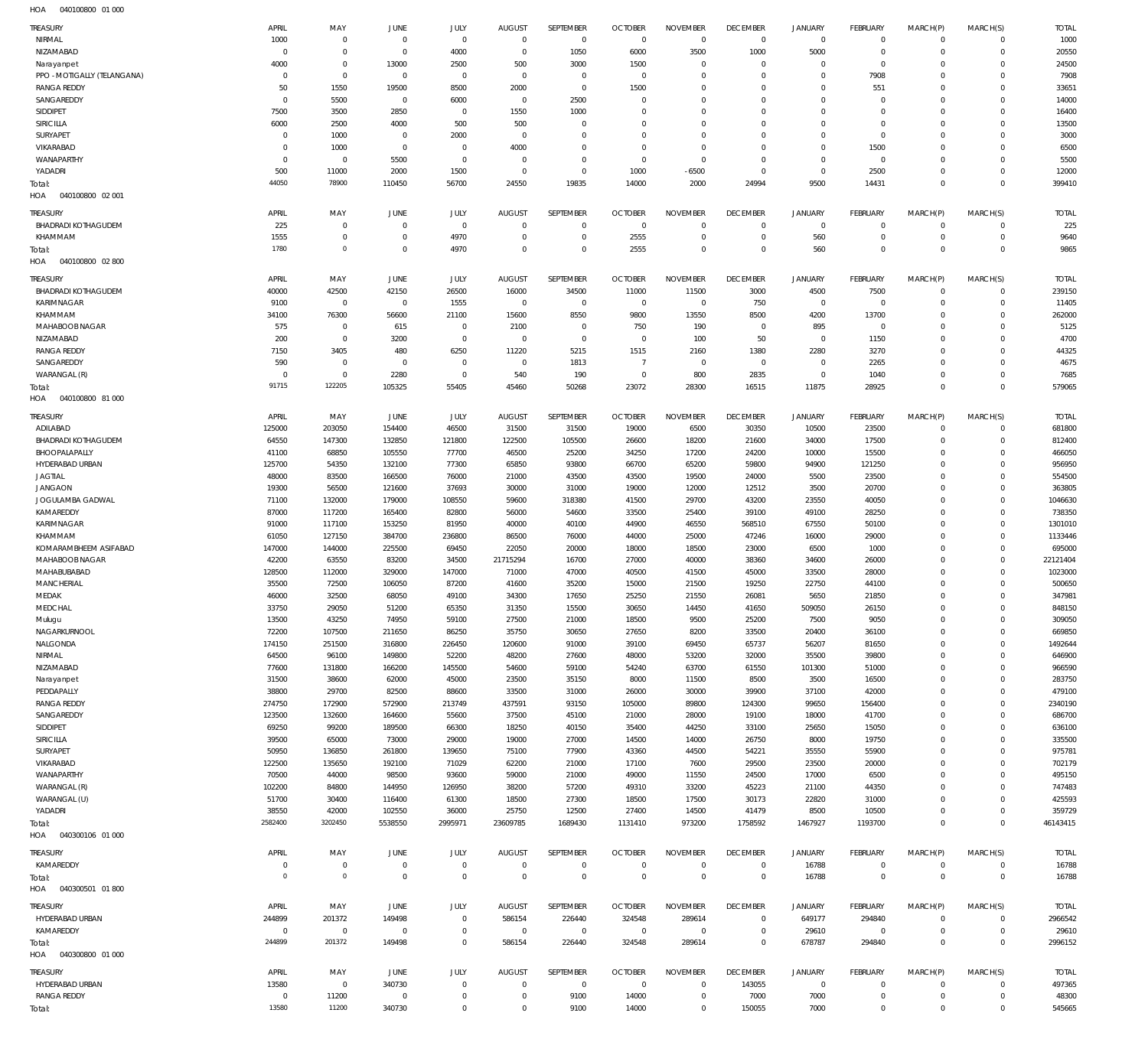| TREASURY                          | APRIL                    | MAY                      | <b>JUNE</b>              | JULY                       | <b>AUGUST</b>                | SEPTEMBER         | <b>OCTOBER</b>         | <b>NOVEMBER</b>               | <b>DECEMBER</b>        | <b>JANUARY</b>       | <b>FEBRUARY</b>             | MARCH(P)                    | MARCH(S)                    | <b>TOTAL</b>     |
|-----------------------------------|--------------------------|--------------------------|--------------------------|----------------------------|------------------------------|-------------------|------------------------|-------------------------------|------------------------|----------------------|-----------------------------|-----------------------------|-----------------------------|------------------|
| NIRMAL                            | 1000                     | $\mathbf{0}$             | $\overline{0}$           | $\mathbf{0}$               | $\mathbf 0$                  | $\overline{0}$    | $\Omega$               | $\Omega$                      | $\overline{0}$         | $^{\circ}$           | $\mathbf 0$                 | $\Omega$                    | $\Omega$                    | 1000             |
| NIZAMABAD                         | $\Omega$                 | $\Omega$                 | $\overline{0}$           | 4000                       | $\overline{0}$               | 1050              | 6000                   | 3500                          | 1000                   | 5000                 | $\Omega$                    | $\Omega$                    | $\Omega$                    | 20550            |
| Narayanpet                        | 4000                     | $\mathbf 0$              | 13000                    | 2500                       | 500                          | 3000              | 1500                   | $\Omega$                      | $\Omega$               | $\Omega$             | $\Omega$                    | $\Omega$                    | $\Omega$                    | 24500            |
| PPO - MOTIGALLY (TELANGANA)       | $\Omega$                 | $\Omega$                 | $\mathbf 0$              | $\mathbf 0$                | $\Omega$                     | $^{\circ}$        | $^{\circ}$             | $\Omega$                      | $\Omega$               | $\Omega$             | 7908                        | $\Omega$                    | $\Omega$                    | 7908             |
| <b>RANGA REDDY</b>                | 50                       | 1550                     | 19500                    | 8500                       | 2000                         | $\overline{0}$    | 1500                   | $\Omega$                      | $\Omega$               | $\Omega$             | 551                         | $\Omega$                    | $\Omega$                    | 33651            |
| SANGAREDDY                        | $\Omega$                 | 5500                     | $\overline{0}$           | 6000<br>$\Omega$           | $^{\circ}$                   | 2500              | $^{\circ}$<br>$\Omega$ | $\Omega$<br>$\Omega$          | $\Omega$<br>$\Omega$   | $\Omega$<br>$\Omega$ | $\Omega$<br>$\Omega$        | $\Omega$<br>$\Omega$        | $\Omega$<br>$\Omega$        | 14000            |
| SIDDIPET<br>SIRICILLA             | 7500<br>6000             | 3500<br>2500             | 2850<br>4000             | 500                        | 1550<br>500                  | 1000<br>$\Omega$  | $\Omega$               | $\Omega$                      | $\Omega$               | $\Omega$             | $\Omega$                    | $\Omega$                    | $\Omega$                    | 16400<br>13500   |
| SURYAPET                          | $\Omega$                 | 1000                     | $\overline{0}$           | 2000                       | $\overline{0}$               | $\Omega$          | $\Omega$               | $\Omega$                      | $\Omega$               | $\Omega$             | $\Omega$                    |                             | $\Omega$                    | 3000             |
| VIKARABAD                         | $\Omega$                 | 1000                     | $\overline{0}$           | $\mathbf 0$                | 4000                         | $\Omega$          | $\Omega$               | $\Omega$                      | $\Omega$               | $\Omega$             | 1500                        | $\Omega$                    | $\Omega$                    | 6500             |
| WANAPARTHY                        | $\Omega$                 | $\mathbf 0$              | 5500                     | $\mathbf 0$                | $\Omega$                     | $\Omega$          | $\overline{0}$         | $\Omega$                      | $\Omega$               | $\Omega$             | $\Omega$                    |                             | $\Omega$                    | 5500             |
| YADADRI                           | 500                      | 11000                    | 2000                     | 1500                       | $\Omega$                     | $\Omega$          | 1000                   | $-6500$                       | $\Omega$               | $\Omega$             | 2500                        | $\Omega$                    | $\Omega$                    | 12000            |
| Total:                            | 44050                    | 78900                    | 110450                   | 56700                      | 24550                        | 19835             | 14000                  | 2000                          | 24994                  | 9500                 | 14431                       | $\Omega$                    | $\Omega$                    | 399410           |
| 040100800 02 001<br>HOA           |                          |                          |                          |                            |                              |                   |                        |                               |                        |                      |                             |                             |                             |                  |
| TREASURY                          | APRIL                    | MAY                      | <b>JUNE</b>              | JULY                       | <b>AUGUST</b>                | SEPTEMBER         | <b>OCTOBER</b>         | <b>NOVEMBER</b>               | <b>DECEMBER</b>        | <b>JANUARY</b>       | <b>FEBRUARY</b>             | MARCH(P)                    | MARCH(S)                    | <b>TOTAL</b>     |
| <b>BHADRADI KOTHAGUDEM</b>        | 225                      | $\mathbf{0}$             | $\overline{0}$           | $\mathbf 0$                | $\overline{0}$               | $\overline{0}$    | $\overline{0}$         | $\Omega$                      | $^{\circ}$             | $^{\circ}$           | $\mathbf 0$                 | $\Omega$                    | $\Omega$                    | 225              |
| KHAMMAM                           | 1555                     | $\mathbf 0$              | $\overline{0}$           | 4970                       | $\overline{0}$               | $^{\circ}$        | 2555                   | $^{\circ}$                    | $\overline{0}$         | 560                  | $\mathbf 0$                 | $\Omega$                    | $\Omega$                    | 9640             |
| Total:                            | 1780                     | $\mathbf 0$              | $\mathbb O$              | 4970                       | $\Omega$                     | $\Omega$          | 2555                   | $\Omega$                      | $\overline{0}$         | 560                  | $\Omega$                    | $\Omega$                    | $\Omega$                    | 9865             |
| 040100800 02 800<br>HOA           |                          |                          |                          |                            |                              |                   |                        |                               |                        |                      |                             |                             |                             |                  |
| <b>TREASURY</b>                   | APRIL                    | MAY                      | <b>JUNE</b>              | JULY                       | <b>AUGUST</b>                | SEPTEMBER         | <b>OCTOBER</b>         | <b>NOVEMBER</b>               | <b>DECEMBER</b>        | <b>JANUARY</b>       | <b>FEBRUARY</b>             | MARCH(P)                    | MARCH(S)                    | <b>TOTAL</b>     |
| <b>BHADRADI KOTHAGUDEM</b>        | 40000                    | 42500                    | 42150                    | 26500                      | 16000                        | 34500             | 11000                  | 11500                         | 3000                   | 4500                 | 7500                        | $\Omega$                    | $\Omega$                    | 239150           |
| KARIMNAGAR                        | 9100                     | $\mathbf 0$              | $\overline{0}$           | 1555                       | $\mathbf 0$                  | $\mathbf 0$       | $\overline{0}$         | $\Omega$                      | 750                    | $^{\circ}$           | $\mathbf 0$                 | $\Omega$                    | $\Omega$                    | 11405            |
| KHAMMAM                           | 34100                    | 76300                    | 56600                    | 21100                      | 15600                        | 8550              | 9800                   | 13550                         | 8500                   | 4200                 | 13700                       | $\Omega$                    | $\Omega$                    | 262000           |
| MAHABOOB NAGAR                    | 575                      | $^{\circ}$               | 615                      | $^{\circ}$                 | 2100                         | $^{\circ}$        | 750                    | 190                           | $^{\circ}$             | 895                  | $\mathbf 0$                 |                             | $\Omega$                    | 5125             |
| NIZAMABAD                         | 200                      | $\Omega$                 | 3200                     | $\Omega$                   | $\overline{0}$               | $\Omega$          | $\overline{0}$         | 100                           | 50                     | $\Omega$             | 1150                        | $\Omega$                    | $\Omega$                    | 4700             |
| <b>RANGA REDDY</b>                | 7150                     | 3405                     | 480                      | 6250                       | 11220                        | 5215              | 1515                   | 2160                          | 1380                   | 2280                 | 3270                        |                             | $\Omega$                    | 44325            |
| SANGAREDDY                        | 590                      | $\mathbf{0}$             | $\overline{0}$           | $\Omega$                   | $\Omega$                     | 1813              | $\overline{7}$         | $\Omega$                      | $\overline{0}$         | $\Omega$             | 2265                        | $\Omega$                    | $\Omega$                    | 4675             |
| WARANGAL (R)                      | $\overline{0}$           | $\mathbf{0}$             | 2280                     | $\mathbf{0}$               | 540                          | 190               | $\mathbf 0$            | 800                           | 2835                   | $^{\circ}$           | 1040                        | $\Omega$                    | $\Omega$                    | 7685             |
| Total:                            | 91715                    | 122205                   | 105325                   | 55405                      | 45460                        | 50268             | 23072                  | 28300                         | 16515                  | 11875                | 28925                       | $\Omega$                    | $\Omega$                    | 579065           |
| 040100800 81 000<br>HOA           |                          |                          |                          |                            |                              |                   |                        |                               |                        |                      |                             |                             |                             |                  |
| <b>TREASURY</b>                   | APRIL                    | MAY                      | JUNE                     | JULY                       | <b>AUGUST</b>                | SEPTEMBER         | <b>OCTOBER</b>         | <b>NOVEMBER</b>               | <b>DECEMBER</b>        | <b>JANUARY</b>       | FEBRUARY                    | MARCH(P)                    | MARCH(S)                    | <b>TOTAL</b>     |
| ADILABAD                          | 125000                   | 203050                   | 154400                   | 46500                      | 31500                        | 31500             | 19000                  | 6500                          | 30350                  | 10500                | 23500                       | $\Omega$                    | $\Omega$                    | 681800           |
| <b>BHADRADI KOTHAGUDEM</b>        | 64550                    | 147300                   | 132850                   | 121800                     | 122500                       | 105500            | 26600                  | 18200                         | 21600                  | 34000                | 17500                       | $\Omega$                    | $\Omega$                    | 812400           |
| BHOOPALAPALLY                     | 41100                    | 68850                    | 105550                   | 77700                      | 46500                        | 25200             | 34250                  | 17200                         | 24200                  | 10000                | 15500                       | $\Omega$                    | $\Omega$                    | 466050           |
| HYDERABAD URBAN                   | 125700                   | 54350                    | 132100                   | 77300                      | 65850                        | 93800             | 66700                  | 65200                         | 59800                  | 94900                | 121250                      | $\Omega$                    | $\Omega$                    | 956950           |
| <b>JAGTIAL</b>                    | 48000                    | 83500                    | 166500                   | 76000                      | 21000                        | 43500             | 43500                  | 19500                         | 24000                  | 5500                 | 23500                       | $\Omega$                    | $\Omega$                    | 554500           |
| <b>JANGAON</b>                    | 19300                    | 56500                    | 121600                   | 37693                      | 30000                        | 31000             | 19000                  | 12000                         | 12512                  | 3500                 | 20700                       | $\Omega$                    | $\Omega$                    | 363805           |
| JOGULAMBA GADWAL                  | 71100                    | 132000                   | 179000                   | 108550                     | 59600                        | 318380            | 41500                  | 29700                         | 43200                  | 23550                | 40050                       | $\Omega$                    | $\Omega$                    | 1046630          |
| KAMAREDDY                         | 87000                    | 117200                   | 165400                   | 82800                      | 56000                        | 54600             | 33500                  | 25400                         | 39100                  | 49100                | 28250                       | $\Omega$                    | $\Omega$                    | 738350           |
| KARIMNAGAR                        | 91000                    | 117100                   | 153250                   | 81950                      | 40000                        | 40100             | 44900                  | 46550                         | 568510                 | 67550                | 50100                       | $\Omega$                    | $\Omega$                    | 1301010          |
| KHAMMAM                           | 61050                    | 127150                   | 384700                   | 236800                     | 86500                        | 76000             | 44000                  | 25000                         | 47246                  | 16000                | 29000                       | $\Omega$                    | $\Omega$                    | 1133446          |
| KOMARAMBHEEM ASIFABAD             | 147000                   | 144000                   | 225500                   | 69450                      | 22050                        | 20000             | 18000                  | 18500                         | 23000                  | 6500                 | 1000                        | $\Omega$                    | $\Omega$                    | 695000           |
| MAHABOOB NAGAR                    | 42200                    | 63550                    | 83200                    | 34500                      | 21715294                     | 16700             | 27000                  | 40000                         | 38360                  | 34600                | 26000                       |                             | $\Omega$                    | 22121404         |
| MAHABUBABAD                       | 128500                   | 112000                   | 329000                   | 147000                     | 71000                        | 47000             | 40500                  | 41500                         | 45000                  | 33500                | 28000                       | $\Omega$                    | $\Omega$                    | 1023000          |
| <b>MANCHERIAL</b>                 | 35500                    | 72500                    | 106050                   | 87200                      | 41600                        | 35200             | 15000                  | 21500                         | 19250                  | 22750                | 44100                       |                             | $\Omega$                    | 500650           |
| MEDAK                             | 46000                    | 32500                    | 68050                    | 49100                      | 34300                        | 17650             | 25250                  | 21550                         | 26081                  | 5650                 | 21850                       | $\Omega$                    | $\Omega$                    | 347981           |
| MEDCHAL                           | 33750                    | 29050                    | 51200                    | 65350                      | 31350                        | 15500             | 30650                  | 14450                         | 41650                  | 509050               | 26150                       | $\Omega$                    | $\Omega$                    | 848150           |
| Mulugu                            | 13500                    | 43250                    | 74950                    | 59100                      | 27500                        | 21000             | 18500                  | 9500                          | 25200                  | 7500                 | 9050                        | $\Omega$                    | $\Omega$                    | 309050           |
| NAGARKURNOOL                      | 72200                    | 107500                   | 211650                   | 86250                      | 35750                        | 30650             | 27650                  | 8200                          | 33500                  | 20400                | 36100                       | $\Omega$                    | $\Omega$                    | 669850           |
| NALGONDA                          | 174150                   | 251500                   | 316800                   | 226450                     | 120600                       | 91000             | 39100                  | 69450                         | 65737                  | 56207                | 81650                       | $\Omega$<br>$\Omega$        | $\Omega$<br>$\Omega$        | 1492644          |
| NIRMAL<br>NIZAMABAD               | 64500<br>77600           | 96100<br>131800          | 149800                   | 52200<br>145500            | 48200<br>54600               | 27600<br>59100    | 48000<br>54240         | 53200<br>63700                | 32000<br>61550         | 35500<br>101300      | 39800<br>51000              | $\Omega$                    | $\Omega$                    | 646900<br>966590 |
| Narayanpet                        | 31500                    | 38600                    | 166200<br>62000          | 45000                      | 23500                        | 35150             | 8000                   | 11500                         | 8500                   | 3500                 | 16500                       | $\Omega$                    | $\Omega$                    | 283750           |
| PEDDAPALLY                        | 38800                    | 29700                    | 82500                    | 88600                      | 33500                        | 31000             | 26000                  | 30000                         | 39900                  | 37100                | 42000                       | $\Omega$                    | $\Omega$                    | 479100           |
| <b>RANGA REDDY</b>                | 274750                   | 172900                   | 572900                   | 213749                     | 437591                       | 93150             | 105000                 | 89800                         | 124300                 | 99650                | 156400                      | $\Omega$                    | $\Omega$                    | 2340190          |
| SANGAREDDY                        | 123500                   | 132600                   | 164600                   | 55600                      | 37500                        | 45100             | 21000                  | 28000                         | 19100                  | 18000                | 41700                       | $\Omega$                    | $\Omega$                    | 686700           |
| SIDDIPET                          | 69250                    | 99200                    | 189500                   | 66300                      | 18250                        | 40150             | 35400                  | 44250                         | 33100                  | 25650                | 15050                       | $\Omega$                    | $\Omega$                    | 636100           |
| SIRICILLA                         | 39500                    | 65000                    | 73000                    | 29000                      | 19000                        | 27000             | 14500                  | 14000                         | 26750                  | 8000                 | 19750                       | $\Omega$                    | $\Omega$                    | 335500           |
| SURYAPET                          |                          |                          |                          | 139650                     | 75100                        | 77900             | 43360                  | 44500                         | 54221                  | 35550                | 55900                       | $\Omega$                    | $\Omega$                    | 975781           |
| VIKARABAD                         | 50950                    | 136850                   | 261800                   |                            |                              |                   |                        |                               |                        |                      |                             | $\Omega$                    | $\Omega$                    | 702179           |
|                                   | 122500                   | 135650                   | 192100                   | 71029                      | 62200                        | 21000             | 17100                  | 7600                          | 29500                  | 23500                | 20000                       |                             |                             |                  |
| WANAPARTHY                        | 70500                    | 44000                    | 98500                    | 93600                      | 59000                        | 21000             | 49000                  | 11550                         | 24500                  | 17000                | 6500                        | $\Omega$                    | $\Omega$                    | 495150           |
| WARANGAL (R)                      | 102200                   | 84800                    | 144950                   | 126950                     | 38200                        | 57200             | 49310                  | 33200                         | 45223                  | 21100                | 44350                       | $\Omega$                    | $\Omega$                    | 747483           |
| WARANGAL (U)                      | 51700                    | 30400                    | 116400                   | 61300                      | 18500                        | 27300             | 18500                  | 17500                         | 30173                  | 22820                | 31000                       | $\Omega$                    | $\Omega$                    | 425593           |
| YADADRI                           | 38550                    | 42000                    | 102550                   | 36000                      | 25750                        | 12500             | 27400                  | 14500                         | 41479                  | 8500                 | 10500                       | $\Omega$                    | $\Omega$                    | 359729           |
| Total:                            | 2582400                  | 3202450                  | 5538550                  | 2995971                    | 23609785                     | 1689430           | 1131410                | 973200                        | 1758592                | 1467927              | 1193700                     | $\Omega$                    | $\Omega$                    | 46143415         |
| HOA  040300106  01  000           |                          |                          |                          |                            |                              |                   |                        |                               |                        |                      |                             |                             |                             |                  |
| <b>TREASURY</b>                   | APRIL                    | MAY                      | <b>JUNE</b>              | JULY                       | <b>AUGUST</b>                | SEPTEMBER         | <b>OCTOBER</b>         | <b>NOVEMBER</b>               | <b>DECEMBER</b>        | <b>JANUARY</b>       | <b>FEBRUARY</b>             | MARCH(P)                    | MARCH(S)                    | <b>TOTAL</b>     |
| KAMAREDDY                         | $\overline{0}$           | $\mathbf 0$              | $\overline{0}$           | $\mathbf 0$                | $\,0\,$                      | $\,0\,$           | $\mathbf 0$            | $\overline{0}$                | $\overline{0}$         | 16788                | $\mathbf 0$                 | $\Omega$                    | $\mathbf 0$                 | 16788            |
| Total:                            | $\overline{0}$           | $\mathbf{0}$             | $\mathbb O$              | $\mathbf 0$                | $\mathbf 0$                  | $\mathbf 0$       | $\mathbb O$            | $\mathbf 0$                   | $\mathbf 0$            | 16788                | $\mathbf 0$                 | $\mathbf 0$                 | $\mathbf 0$                 | 16788            |
| HOA  040300501  01 800            |                          |                          |                          |                            |                              |                   |                        |                               |                        |                      |                             |                             |                             |                  |
|                                   |                          |                          |                          |                            |                              |                   |                        |                               |                        |                      |                             |                             |                             |                  |
| TREASURY                          | APRIL                    | MAY                      | JUNE                     | JULY                       | <b>AUGUST</b>                | SEPTEMBER         | <b>OCTOBER</b>         | <b>NOVEMBER</b>               | <b>DECEMBER</b>        | <b>JANUARY</b>       | FEBRUARY                    | MARCH(P)<br>$\Omega$        | MARCH(S)<br>$\Omega$        | <b>TOTAL</b>     |
| HYDERABAD URBAN                   | 244899                   | 201372                   | 149498                   | $\mathbf 0$                | 586154                       | 226440            | 324548                 | 289614<br>$\overline{0}$      | $\overline{0}$         | 649177               | 294840                      | $\Omega$                    | $\mathbf 0$                 | 2966542          |
| KAMAREDDY                         | $\overline{0}$<br>244899 | $\overline{0}$<br>201372 | $\overline{0}$<br>149498 | $\mathbf 0$<br>$\mathbf 0$ | $\,0\,$<br>586154            | $\,0\,$<br>226440 | $\,0\,$<br>324548      | 289614                        | $\,0\,$<br>$\mathbf 0$ | 29610<br>678787      | $\overline{0}$<br>294840    | $\Omega$                    | $\mathbf{0}$                | 29610<br>2996152 |
| Total:<br>HOA  040300800  01  000 |                          |                          |                          |                            |                              |                   |                        |                               |                        |                      |                             |                             |                             |                  |
|                                   |                          |                          |                          |                            |                              |                   |                        |                               |                        |                      |                             |                             |                             |                  |
| TREASURY                          | APRIL                    | MAY                      | JUNE                     | JULY                       | <b>AUGUST</b>                | SEPTEMBER         | <b>OCTOBER</b>         | <b>NOVEMBER</b>               | <b>DECEMBER</b>        | <b>JANUARY</b>       | <b>FEBRUARY</b>             | MARCH(P)                    | MARCH(S)                    | <b>TOTAL</b>     |
| HYDERABAD URBAN                   | 13580                    | $\mathbf 0$              | 340730                   | $\mathbf 0$                | $\mathbf{0}$                 | $\,0\,$           | $^{\circ}$             | $^{\circ}$                    | 143055                 | $\circ$              | $\mathbf 0$                 | $\Omega$                    | $\Omega$                    | 497365           |
| <b>RANGA REDDY</b><br>Total:      | $\overline{0}$<br>13580  | 11200<br>11200           | $\overline{0}$<br>340730 | $\mathbf 0$<br>$\mathbf 0$ | $\mathbf{0}$<br>$\mathbf{0}$ | 9100<br>9100      | 14000<br>14000         | $\overline{0}$<br>$\mathbf 0$ | 7000<br>150055         | 7000<br>7000         | $\mathbf 0$<br>$\mathbf{0}$ | $\mathbf 0$<br>$\mathbf{0}$ | $\mathbf 0$<br>$\mathbf{0}$ | 48300<br>545665  |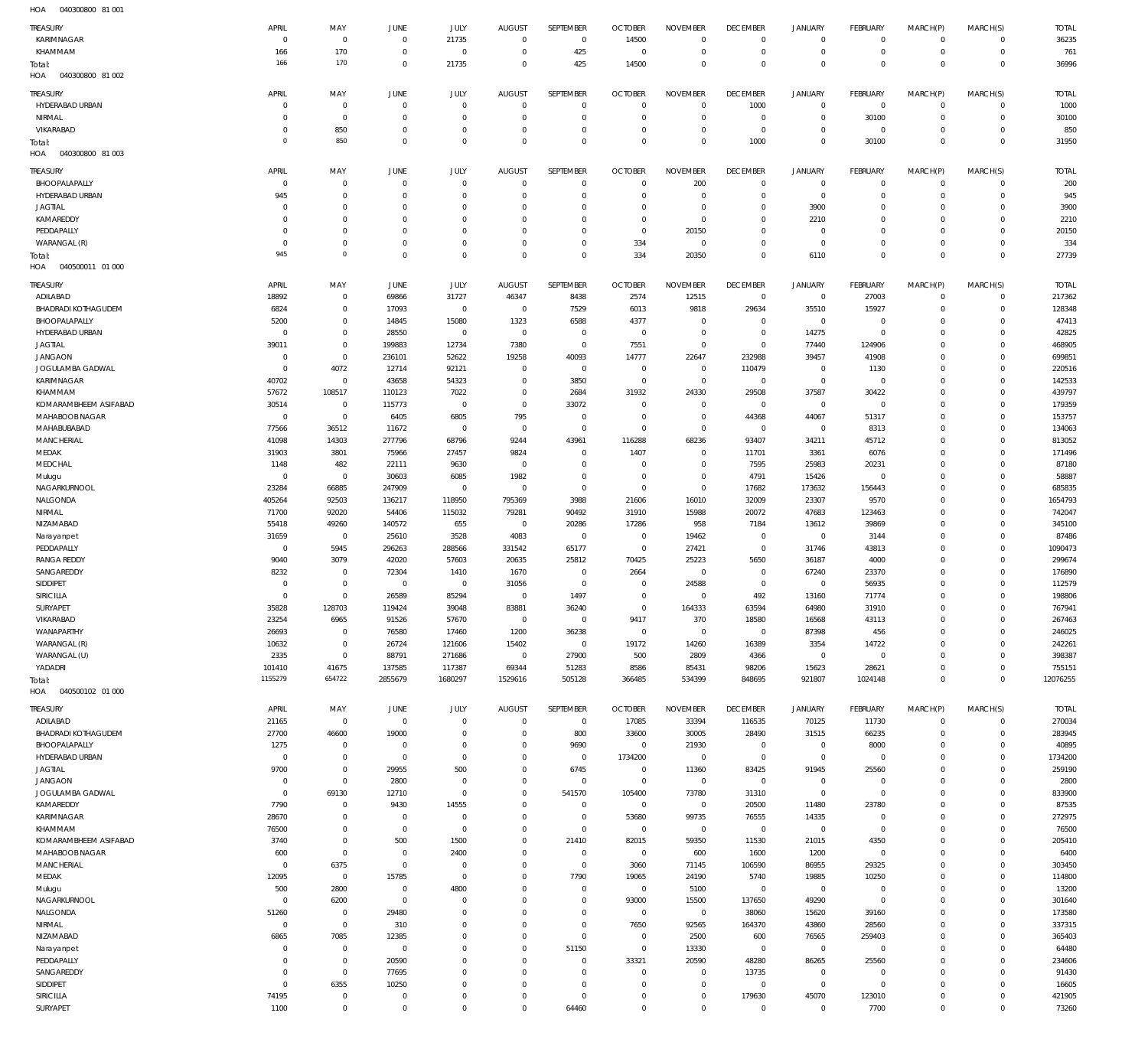040300800 81 001 HOA

| ,,,,,<br><b>DEL DEL POPOPOLITO</b> |                |                |                |                |                |                |                            |                 |                 |                     |                         |             |                |                 |
|------------------------------------|----------------|----------------|----------------|----------------|----------------|----------------|----------------------------|-----------------|-----------------|---------------------|-------------------------|-------------|----------------|-----------------|
| <b>TREASURY</b>                    | APRIL          | MAY            | <b>JUNE</b>    | JULY           | <b>AUGUST</b>  | SEPTEMBER      | <b>OCTOBER</b>             | <b>NOVEMBER</b> | <b>DECEMBER</b> | <b>JANUARY</b>      | <b>FEBRUARY</b>         | MARCH(P)    | MARCH(S)       | <b>TOTAL</b>    |
| KARIMNAGAR                         | $\mathbf{0}$   | $\,0\,$        | $\mathbf 0$    | 21735          | $\Omega$       | $\mathbf 0$    | 14500                      | $^{\circ}$      | $\mathbf 0$     | $\mathbf 0$         | $\overline{0}$          | $\mathbf 0$ | $\mathbf 0$    | 36235           |
| KHAMMAM                            | 166            | 170            | $\mathbf 0$    | $\mathbf 0$    | $\Omega$       | 425            | $\mathbf 0$                | $\mathbf{0}$    | $\mathbf 0$     | $\mathbf 0$         | $\overline{0}$          | $\mathbf 0$ | $\overline{0}$ | 761             |
| Total:                             | 166            | 170            | $\mathbf 0$    | 21735          | $\Omega$       | 425            | 14500                      | $\mathbf 0$     | $\mathbf 0$     | $\mathbf 0$         | $\Omega$                | $\Omega$    | $\overline{0}$ | 36996           |
| HOA<br>040300800 81 002            |                |                |                |                |                |                |                            |                 |                 |                     |                         |             |                |                 |
| TREASURY                           | APRIL          | MAY            | <b>JUNE</b>    | JULY           | <b>AUGUST</b>  | SEPTEMBER      | <b>OCTOBER</b>             | <b>NOVEMBER</b> | <b>DECEMBER</b> | <b>JANUARY</b>      | FEBRUARY                | MARCH(P)    | MARCH(S)       | <b>TOTAL</b>    |
| HYDERABAD URBAN                    | $\mathbf 0$    | $\,0\,$        | $\overline{0}$ | $\Omega$       | $\Omega$       | $\mathbf 0$    | $\mathbf{0}$               | $\mathbf 0$     | 1000            | $\mathsf{O}$        | $\overline{0}$          | $\mathbf 0$ | $\mathbf 0$    | 1000            |
| NIRMAL                             | $\bf 0$        | $\,0\,$        | $^{\circ}$     | $\mathbf{0}$   | $\Omega$       | $\mathbf 0$    | $\overline{0}$             | $\mathbf{0}$    | $\mathbf 0$     | $\mathsf{O}$        | 30100                   | $\mathbf 0$ | $\circ$        | 30100           |
| VIKARABAD                          | $\bf 0$        | 850            | $^{\circ}$     | $\Omega$       | $\Omega$       | $\mathbf 0$    | $\mathbf{0}$               | $\mathbf 0$     | $\mathbf 0$     | $\mathbf 0$         | $\overline{0}$          | $\mathbf 0$ | $\mathbf{0}$   | 850             |
| Total:                             | 0              | 850            | $\overline{0}$ | $\Omega$       | $\Omega$       | $\mathbb O$    | $\Omega$                   | $\mathbf 0$     | 1000            | $\mathbf 0$         | 30100                   | $\mathbf 0$ | $\overline{0}$ | 31950           |
| HOA<br>040300800 81 003            |                |                |                |                |                |                |                            |                 |                 |                     |                         |             |                |                 |
|                                    |                |                |                |                |                |                |                            |                 |                 |                     |                         |             |                |                 |
| TREASURY                           | APRIL          | MAY            | <b>JUNE</b>    | JULY           | <b>AUGUST</b>  | SEPTEMBER      | <b>OCTOBER</b>             | <b>NOVEMBER</b> | <b>DECEMBER</b> | <b>JANUARY</b>      | FEBRUARY                | MARCH(P)    | MARCH(S)       | <b>TOTAL</b>    |
| BHOOPALAPALLY                      | $\mathbf 0$    | $\mathbf 0$    | $\mathbf 0$    | $\Omega$       | $\Omega$       | $\overline{0}$ | $\Omega$                   | 200             | $\mathbf 0$     | $\mathbf 0$         | $\overline{0}$          | $\mathbf 0$ | $\mathbf 0$    | 200             |
| HYDERABAD URBAN                    | 945            | $\,0\,$        | $\Omega$       | $\Omega$       | $\Omega$       | $\mathbf 0$    | $^{\circ}$                 | $\Omega$        | $\mathbf 0$     | $\mathbf 0$         | $\mathbf 0$             | $\mathbf 0$ | $\circ$        | 945             |
| <b>JAGTIAL</b>                     | $\mathbf 0$    | $\mathbf 0$    | $\Omega$       | $\Omega$       | $\Omega$       | $\mathbf 0$    | $\overline{0}$             | $\mathbf 0$     | $\mathbf 0$     | 3900                | $\mathbf 0$             | $\Omega$    | $\mathbf{0}$   | 3900            |
| KAMAREDDY                          | $\mathbf 0$    | $\mathbf 0$    | $\Omega$       | $\Omega$       | $\Omega$       | $\mathbf 0$    | $\mathbb O$                | $\mathbf 0$     | $\mathbf 0$     | 2210                | $\mathbf 0$             | $\Omega$    | $\mathbf{0}$   | 2210            |
| PEDDAPALLY                         | $\mathbf 0$    | $\mathbf 0$    | $\Omega$       | $\Omega$       | $\Omega$       | $\Omega$       | $\mathbb O$                | 20150           | $\mathbf 0$     | $\mathbf 0$         | $\Omega$                | $\Omega$    | $\mathbf{0}$   | 20150           |
| WARANGAL (R)                       | $\mathbf{0}$   | $\mathbf 0$    | $\Omega$       | $\Omega$       | $\Omega$       | $\mathbf 0$    | 334                        | $\mathbf 0$     | $\mathbf 0$     | $\mathbf 0$         | $\mathbf 0$             | $\mathbf 0$ | $\mathbf{0}$   | 334             |
| Total:                             | 945            | $\mathbb O$    | $\Omega$       | $\Omega$       | $\Omega$       | $\Omega$       | 334                        | 20350           | $\mathbf 0$     | 6110                | $\Omega$                | $\Omega$    | $\Omega$       | 27739           |
| 040500011 01 000<br>HOA            |                |                |                |                |                |                |                            |                 |                 |                     |                         |             |                |                 |
| TREASURY                           | APRIL          | MAY            | JUNE           | <b>JULY</b>    | <b>AUGUST</b>  | SEPTEMBER      | <b>OCTOBER</b>             | <b>NOVEMBER</b> | <b>DECEMBER</b> | <b>JANUARY</b>      | FEBRUARY                | MARCH(P)    | MARCH(S)       | <b>TOTAL</b>    |
| ADILABAD                           | 18892          | $\,0\,$        | 69866          | 31727          | 46347          | 8438           | 2574                       | 12515           | $\mathbb O$     | $\mathsf{O}\xspace$ | 27003                   | $\mathbf 0$ | $\mathbf 0$    | 217362          |
| <b>BHADRADI KOTHAGUDEM</b>         | 6824           | $\,0\,$        | 17093          | $\overline{0}$ | $\overline{0}$ | 7529           | 6013                       | 9818            | 29634           | 35510               | 15927                   | $\mathbf 0$ | $\mathbf{0}$   | 128348          |
| BHOOPALAPALLY                      | 5200           | $\,0\,$        | 14845          | 15080          | 1323           | 6588           | 4377                       | $\mathbf 0$     | $\mathbb O$     | $\mathsf{O}$        | $\overline{0}$          | $\mathbf 0$ | $\mathbf{0}$   | 47413           |
| HYDERABAD URBAN                    | $\overline{0}$ | $\,0\,$        | 28550          | $^{\circ}$     | $\overline{0}$ | $\overline{0}$ | $\mathbf 0$                | $\mathbf 0$     | $\mathbf 0$     | 14275               | $\overline{0}$          | $\Omega$    | $\mathbf{0}$   | 42825           |
| <b>JAGTIAL</b>                     | 39011          | $\mathbf 0$    | 199883         | 12734          | 7380           | $\overline{0}$ | 7551                       | $\mathbf 0$     | $\mathbb O$     | 77440               | 124906                  | $\Omega$    | $\mathbf{0}$   | 468905          |
| <b>JANGAON</b>                     | $\mathbf 0$    | $\,0\,$        | 236101         | 52622          | 19258          | 40093          | 14777                      | 22647           | 232988          | 39457               | 41908                   | $\Omega$    | $\mathbf 0$    | 699851          |
| JOGULAMBA GADWAL                   | $\overline{0}$ | 4072           | 12714          | 92121          | $\Omega$       | $\overline{0}$ | $\mathbf 0$                | $\mathbf 0$     | 110479          | $\mathsf{O}$        | 1130                    | $\Omega$    | $\mathbf{0}$   | 220516          |
| KARIMNAGAR                         | 40702          | $\,0\,$        | 43658          | 54323          | $\Omega$       | 3850           | $\mathbf{0}$               | $\mathbf 0$     | $\mathbf 0$     | $\mathsf{O}$        | $\overline{0}$          | $\Omega$    | $\mathbf{0}$   | 142533          |
| KHAMMAM                            | 57672          | 108517         | 110123         | 7022           | $\Omega$       | 2684           | 31932                      | 24330           | 29508           | 37587               | 30422                   | $\Omega$    | $\mathbf{0}$   | 439797          |
| KOMARAMBHEEM ASIFABAD              | 30514          | $\,0\,$        | 115773         | $^{\circ}$     | $\Omega$       | 33072          | $^{\circ}$                 | $\mathbf 0$     | $\mathbb O$     | $\mathsf{O}$        | $\overline{0}$          | $\Omega$    | $\mathbf{0}$   | 179359          |
| MAHABOOB NAGAR                     | $\overline{0}$ | $\overline{0}$ | 6405           | 6805           | 795            | $\overline{0}$ | $^{\circ}$                 | $\mathbf 0$     | 44368           | 44067               | 51317                   | $\Omega$    | $\mathbf{0}$   | 153757          |
| MAHABUBABAD                        | 77566          | 36512          | 11672          | $^{\circ}$     | $\overline{0}$ | $\overline{0}$ | $\mathbf{0}$               | $\mathbf 0$     | $\mathbb O$     | $\mathsf{O}$        | 8313                    | $\Omega$    | $\mathbf{0}$   | 134063          |
|                                    | 41098          |                | 277796         |                |                | 43961          |                            | 68236           | 93407           |                     |                         | $\Omega$    | $\Omega$       | 813052          |
| <b>MANCHERIAL</b><br>MEDAK         |                | 14303          |                | 68796          | 9244           |                | 116288                     |                 |                 | 34211               | 45712                   | $\Omega$    | $\mathbf{0}$   | 171496          |
|                                    | 31903          | 3801           | 75966          | 27457          | 9824           | $\overline{0}$ | 1407<br>$\mathbf{0}$       | $\mathbf 0$     | 11701           | 3361                | 6076                    | $\Omega$    | $\mathbf{0}$   |                 |
| MEDCHAL                            | 1148           | 482            | 22111          | 9630           | $\overline{0}$ | $\mathbf 0$    |                            | $\mathbf 0$     | 7595            | 25983               | 20231                   |             |                | 87180           |
| Mulugu                             | $\overline{0}$ | $\,0\,$        | 30603          | 6085           | 1982           | $\mathbf 0$    | $\mathbf{0}$               | $\mathbf 0$     | 4791            | 15426               | $\overline{0}$          | $\Omega$    | $\mathbf{0}$   | 58887           |
| NAGARKURNOOL                       | 23284          | 66885          | 247909         | $\mathbf{0}$   | $\overline{0}$ | $\mathbf 0$    | $\mathbf 0$                | $\mathbf 0$     | 17682           | 173632              | 156443                  | $\Omega$    | $\mathbf{0}$   | 685835          |
| NALGONDA                           | 405264         | 92503          | 136217         | 118950         | 795369         | 3988           | 21606                      | 16010           | 32009           | 23307               | 9570                    | $\Omega$    | $\mathbf{0}$   | 1654793         |
| NIRMAL                             | 71700          | 92020          | 54406          | 115032         | 79281          | 90492          | 31910                      | 15988           | 20072           | 47683               | 123463                  | $\Omega$    | $\Omega$       | 742047          |
| NIZAMABAD                          | 55418          | 49260          | 140572         | 655            | $\overline{0}$ | 20286          | 17286                      | 958             | 7184            | 13612               | 39869                   | $\Omega$    | $\mathbf{0}$   | 345100          |
| Narayanpet                         | 31659          | $\overline{0}$ | 25610          | 3528           | 4083           | $\overline{0}$ | $\mathbf 0$                | 19462           | $\mathbf 0$     | $\mathsf{O}$        | 3144                    | $\Omega$    | $\mathbf{0}$   | 87486           |
| PEDDAPALLY                         | $\mathbf{0}$   | 5945           | 296263         | 288566         | 331542         | 65177          | $\mathbf 0$                | 27421           | $\mathbb O$     | 31746               | 43813                   | $\Omega$    | $\mathbf{0}$   | 1090473         |
| <b>RANGA REDDY</b>                 | 9040           | 3079           | 42020          | 57603          | 20635          | 25812          | 70425                      | 25223           | 5650            | 36187               | 4000                    | $\Omega$    | $\mathbf{0}$   | 299674          |
| SANGAREDDY                         | 8232           | $\,0\,$        | 72304          | 1410           | 1670           | $\overline{0}$ | 2664                       | $\mathbf 0$     | $\mathbb O$     | 67240               | 23370                   | $\Omega$    | $\mathbf{0}$   | 176890          |
| SIDDIPET                           | $\mathbf{0}$   | $\,0\,$        | $^{\circ}$     | $^{\circ}$     | 31056          | $\mathbf 0$    | $\mathbf{0}$               | 24588           | $\mathbf 0$     | $\mathbf 0$         | 56935                   | $\Omega$    | $\mathbf{0}$   | 112579          |
| SIRICILLA                          | $\mathbf{0}$   | $\,0\,$        | 26589          | 85294          | $\Omega$       | 1497           | $\mathbf 0$                | $\mathbf 0$     | 492             | 13160               | 71774                   | $\Omega$    | $\circ$        | 198806          |
| SURYAPET                           | 35828          | 128703         | 119424         | 39048          | 83881          | 36240          | $\cap$                     | 164333          | 63594           | 64980               | 31910                   | $\cap$      | $\cap$         | 767941          |
| VIKARABAD                          | 23254          | 6965           | 91526          | 57670          | $\Omega$       | $\mathbf 0$    | 9417                       | 370             | 18580           | 16568               | 43113                   | $\mathbf 0$ | $\mathbf 0$    | 267463          |
| WANAPARTHY                         | 26693          | $\,0\,$        | 76580          | 17460          | 1200           | 36238          | $\mathbf 0$                | $\mathbf 0$     | $\,0\,$         | 87398               | 456                     | $\mathbf 0$ | $\mathbf{0}$   | 246025          |
| WARANGAL (R)                       | 10632          | $\,0\,$        | 26724          | 121606         | 15402          | $\overline{0}$ | 19172                      | 14260           | 16389           | 3354                | 14722                   | $\Omega$    | $\mathbf{0}$   | 242261          |
| WARANGAL (U)                       | 2335           | $\,0\,$        | 88791          | 271686         | $\overline{0}$ | 27900          | 500                        | 2809            | 4366            | $\mathsf{O}\xspace$ | $\overline{0}$          | $\mathbf 0$ | $\mathbf{0}$   | 398387          |
| YADADRI                            | 101410         | 41675          | 137585         | 117387         | 69344          | 51283          | 8586                       | 85431           | 98206           | 15623               | 28621                   | $\mathbf 0$ | $\mathbf{0}$   | 755151          |
| Total:                             | 1155279        | 654722         | 2855679        | 1680297        | 1529616        | 505128         | 366485                     | 534399          | 848695          | 921807              | 1024148                 | $\mathbf 0$ | $\overline{0}$ | 12076255        |
| HOA<br>040500102 01 000            |                |                |                |                |                |                |                            |                 |                 |                     |                         |             |                |                 |
| TREASURY                           | APRIL          | MAY            | JUNE           | JULY           | AUGUST         | SEPTEMBER      | <b>OCTOBER</b>             | <b>NOVEMBER</b> | <b>DECEMBER</b> | <b>JANUARY</b>      | FEBRUARY                | MARCH(P)    | MARCH(S)       | <b>TOTAL</b>    |
| ADILABAD                           | 21165          | $\,0\,$        | $\mathbf 0$    | $\mathbf{0}$   | $\Omega$       | $\overline{0}$ | 17085                      | 33394           | 116535          | 70125               | 11730                   | $\mathbf 0$ | $\circ$        | 270034          |
| <b>BHADRADI KOTHAGUDEM</b>         | 27700          | 46600          | 19000          | $\Omega$       | $\Omega$       | 800            | 33600                      | 30005           | 28490           | 31515               | 66235                   | $\mathbf 0$ | $\mathbf 0$    | 283945          |
| BHOOPALAPALLY                      | 1275           | $\,0\,$        | $\overline{0}$ | $\Omega$       | $\Omega$       | 9690           | $\mathbf 0$                | 21930           | $\mathbb O$     | $\mathsf{O}$        | 8000                    | $\Omega$    | $\mathbf 0$    | 40895           |
| HYDERABAD URBAN                    | $\mathbf{0}$   | $\mathbf 0$    | $\mathbf 0$    | $\overline{0}$ | $\Omega$       | $\mathbf 0$    | 1734200                    | $\mathbf 0$     | $\mathbf 0$     | $\mathbf 0$         | $\overline{0}$          | $\Omega$    | $\mathbf{0}$   | 1734200         |
| <b>JAGTIAL</b>                     | 9700           | $\,0\,$        | 29955          | 500            | $\Omega$       | 6745           | $\mathbb O$                | 11360           | 83425           | 91945               | 25560                   | $\Omega$    | $\mathbf 0$    | 259190          |
| <b>JANGAON</b>                     | $\overline{0}$ | $\mathbf 0$    | 2800           | $\Omega$       | $\Omega$       | $\mathbf 0$    | $\mathbb O$                | $\mathbf 0$     | $\mathbf 0$     | $\mathsf{O}$        | $\overline{0}$          | $\Omega$    | $\mathbf{0}$   | 2800            |
| JOGULAMBA GADWAL                   | $\mathbf{0}$   | 69130          | 12710          | $\mathbf{0}$   | $\Omega$       | 541570         | 105400                     | 73780           | 31310           | $\mathsf{O}$        | $\overline{0}$          | $\Omega$    | $\mathbf 0$    | 833900          |
| KAMAREDDY                          | 7790           | $\mathbf 0$    | 9430           | 14555          | $\Omega$       | $\overline{0}$ | $\mathbb O$                | $\mathbf 0$     | 20500           | 11480               | 23780                   | $\Omega$    | $\mathbf{0}$   | 87535           |
| KARIMNAGAR                         | 28670          | $\,0\,$        | $^{\circ}$     | $\mathbf{0}$   | $\Omega$       | $\mathbf 0$    | 53680                      | 99735           | 76555           | 14335               | $\overline{0}$          | $\Omega$    | $\mathbf 0$    | 272975          |
| KHAMMAM                            | 76500          | $\mathbf 0$    | $\mathbf 0$    | $\mathbf{0}$   | $\Omega$       | $\mathbf 0$    | $\mathbb O$                | $\mathbf 0$     | $\mathbf 0$     | $\mathbf 0$         | $\overline{0}$          | $\Omega$    | $\Omega$       | 76500           |
| KOMARAMBHEEM ASIFABAD              | 3740           | $\mathbf 0$    | 500            | 1500           | $\Omega$       | 21410          | 82015                      | 59350           | 11530           | 21015               | 4350                    | $\Omega$    | $\mathbf 0$    | 205410          |
| MAHABOOB NAGAR                     | 600            | $\mathbf 0$    | $^{\circ}$     | 2400           | $\Omega$       | $\mathbf 0$    | $\mathbb O$                | 600             | 1600            | 1200                | $\overline{0}$          | $\Omega$    | $\mathbf 0$    | 6400            |
| MANCHERIAL                         | $\mathbf{0}$   | 6375           | $\mathbf 0$    | $\Omega$       | $\Omega$       | $\mathbf 0$    | 3060                       | 71145           | 106590          | 86955               | 29325                   | $\Omega$    | $\mathbf 0$    | 303450          |
| MEDAK                              | 12095          | $\,0\,$        | 15785          | $\Omega$       | $\Omega$       | 7790           | 19065                      | 24190           | 5740            | 19885               | 10250                   | $\Omega$    | $\mathbf 0$    | 114800          |
| Mulugu                             | 500            | 2800           | $\mathbf 0$    | 4800           | $\Omega$       | $\mathbf 0$    | $\mathbb O$                | 5100            | $\mathbf 0$     | $\mathsf{O}$        | $\overline{0}$          | $\Omega$    | $\mathbf 0$    | 13200           |
| NAGARKURNOOL                       | $\mathbf 0$    | 6200           | $\overline{0}$ | $\Omega$       | $\Omega$       | $\mathbf 0$    | 93000                      | 15500           | 137650          | 49290               | $\overline{0}$          | $\Omega$    | $\mathbf 0$    | 301640          |
| NALGONDA                           | 51260          | $\mathbf 0$    | 29480          | $\Omega$       | $\Omega$       | $\mathbf 0$    | $\mathbb O$                | $\mathbf 0$     | 38060           | 15620               | 39160                   | $\Omega$    | $\mathbf 0$    | 173580          |
| NIRMAL                             | $\mathbf 0$    | $\overline{0}$ | 310            | $\Omega$       | $\Omega$       | $\mathbf 0$    | 7650                       | 92565           | 164370          | 43860               | 28560                   | $\Omega$    | $\mathbf 0$    | 337315          |
| NIZAMABAD                          | 6865           | 7085           | 12385          | $\Omega$       | $\Omega$       | $\mathbf 0$    | $\mathbf 0$                | 2500            | 600             | 76565               | 259403                  | $\Omega$    | $\mathbf 0$    | 365403          |
|                                    | $\bf 0$        | $\,0\,$        | $\mathbf 0$    | $\Omega$       | $\Omega$       | 51150          | $\mathbf 0$                | 13330           | $\mathbf 0$     | $\mathsf{O}$        | $\overline{0}$          | $\Omega$    | $\mathbf 0$    | 64480           |
| Narayanpet<br>PEDDAPALLY           | $\mathbf 0$    | $\mathbf 0$    | 20590          | $\Omega$       | $\Omega$       | $\mathbf 0$    | 33321                      |                 | 48280           | 86265               |                         | $\Omega$    | $\mathbf 0$    |                 |
|                                    | $\mathbf 0$    |                |                | $\Omega$       | $\Omega$       | $\mathbf 0$    | $\mathbf 0$                | 20590           |                 | $\mathbf 0$         | 25560<br>$\overline{0}$ | $\Omega$    | $\mathbf{0}$   | 234606<br>91430 |
| SANGAREDDY                         | $\mathbf 0$    | $\,0\,$        | 77695          | $\Omega$       | $\Omega$       |                |                            | $\mathbf{0}$    | 13735           |                     |                         | $\Omega$    | $\mathbf 0$    |                 |
| SIDDIPET                           |                | 6355           | 10250          | $\mathbf{0}$   | $\Omega$       | $\mathbf 0$    | $\overline{0}$             | $\mathbf 0$     | $\mathbf 0$     | $\mathsf{O}$        | $\overline{0}$          | $\mathbf 0$ | $\mathbf{0}$   | 16605           |
| SIRICILLA                          | 74195<br>1100  | $\,0\,$        | $^{\circ}$     |                | $\Omega$       | $\mathbf 0$    | $\overline{0}$<br>$\Omega$ | $\mathbf 0$     | 179630          | 45070               | 123010                  | $\mathbf 0$ | $\mathbf{0}$   | 421905          |
| SURYAPET                           |                | $\,0\,$        | $\mathbf 0$    | $\mathbf 0$    |                | 64460          |                            | $\mathbf 0$     | $\mathbf 0$     | $\mathsf{O}$        | 7700                    |             |                | 73260           |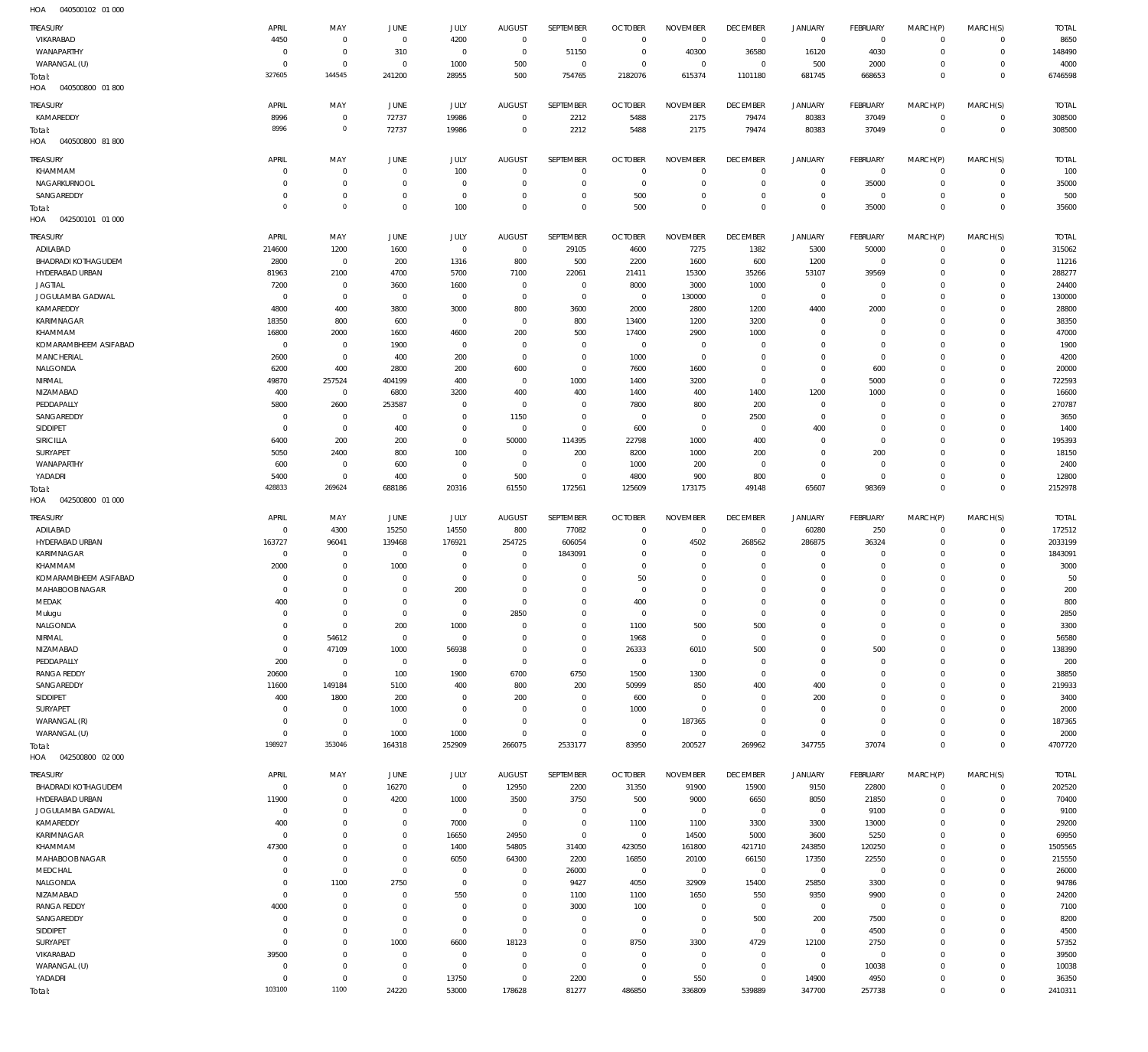| HOA<br>040500102 01 000    |                |             |                |             |                |                |                |                 |                 |                |                 |                |                |              |
|----------------------------|----------------|-------------|----------------|-------------|----------------|----------------|----------------|-----------------|-----------------|----------------|-----------------|----------------|----------------|--------------|
| TREASURY                   | APRIL          | MAY         | JUNE           | <b>JULY</b> | <b>AUGUST</b>  | SEPTEMBER      | <b>OCTOBER</b> | <b>NOVEMBER</b> | <b>DECEMBER</b> | <b>JANUARY</b> | <b>FEBRUARY</b> | MARCH(P)       | MARCH(S)       | <b>TOTAL</b> |
| VIKARABAD                  | 4450           | $\mathbf 0$ | $\mathbf 0$    | 4200        | $^{\circ}$     | $\overline{0}$ | $\overline{0}$ | $\overline{0}$  | $\overline{0}$  | $\mathsf 0$    | $\overline{0}$  | $\Omega$       | $\mathbf 0$    | 8650         |
|                            |                |             |                |             |                |                |                |                 |                 |                |                 |                |                |              |
| WANAPARTHY                 | $\circ$        | $\mathbf 0$ | 310            | $\mathbf 0$ | $^{\circ}$     | 51150          | $\overline{0}$ | 40300           | 36580           | 16120          | 4030            | $\circ$        | $\mathbf 0$    | 148490       |
| WARANGAL (U)               | $\Omega$       | $\mathbf 0$ | $\mathbf 0$    | 1000        | 500            | $\overline{0}$ | $^{\circ}$     | $\overline{0}$  | $\overline{0}$  | 500            | 2000            | $\Omega$       | $\mathbf 0$    | 4000         |
| Total:                     | 327605         | 144545      | 241200         | 28955       | 500            | 754765         | 2182076        | 615374          | 1101180         | 681745         | 668653          | $\Omega$       | $\mathbf 0$    | 6746598      |
| HOA<br>040500800 01800     |                |             |                |             |                |                |                |                 |                 |                |                 |                |                |              |
| TREASURY                   | APRIL          | MAY         | JUNE           | JULY        | <b>AUGUST</b>  | SEPTEMBER      | <b>OCTOBER</b> | <b>NOVEMBER</b> | <b>DECEMBER</b> | JANUARY        | <b>FEBRUARY</b> |                | MARCH(S)       | <b>TOTAL</b> |
|                            |                |             |                |             |                |                |                |                 |                 |                |                 | MARCH(P)       |                |              |
| KAMAREDDY                  | 8996           | $\mathbf 0$ | 72737          | 19986       | $\mathbf 0$    | 2212           | 5488           | 2175            | 79474           | 80383          | 37049           | $^{\circ}$     | $\mathbf 0$    | 308500       |
| Total:                     | 8996           | $\mathbf 0$ | 72737          | 19986       | $\mathbf 0$    | 2212           | 5488           | 2175            | 79474           | 80383          | 37049           | $^{\circ}$     | $\mathbf{0}$   | 308500       |
| HOA<br>040500800 81800     |                |             |                |             |                |                |                |                 |                 |                |                 |                |                |              |
|                            | APRIL          | MAY         |                |             |                | SEPTEMBER      |                | <b>NOVEMBER</b> | <b>DECEMBER</b> |                |                 |                |                |              |
| TREASURY                   |                |             | JUNE           | <b>JULY</b> | <b>AUGUST</b>  |                | <b>OCTOBER</b> |                 |                 | JANUARY        | <b>FEBRUARY</b> | MARCH(P)       | MARCH(S)       | <b>TOTAL</b> |
| KHAMMAM                    | 0              | $\mathbf 0$ | $\mathbf 0$    | 100         | $\mathbf 0$    | $\mathbf 0$    | $^{\circ}$     | $\mathbf 0$     | $\mathbf 0$     | $\overline{0}$ | $^{\circ}$      | $\Omega$       | $\mathbf 0$    | 100          |
| NAGARKURNOOL               | 0              | $\mathbf 0$ | $\mathbf 0$    | $\mathbf 0$ | $\mathbf 0$    | $\mathbf 0$    | $\overline{0}$ | $\Omega$        | $\mathbf{0}$    | $\overline{0}$ | 35000           | $\Omega$       | $\mathbf 0$    | 35000        |
| SANGAREDDY                 | 0              | $\mathbf 0$ | $\mathbf 0$    | $\mathbf 0$ | $\mathbf 0$    | $\mathbf 0$    | 500            | $\mathbf 0$     | $\mathbf{0}$    | $\mathbf 0$    | $^{\circ}$      | $\Omega$       | $\Omega$       | 500          |
| Total:                     | $\circ$        | $\circ$     | $\mathbf 0$    | 100         | $\mathbf 0$    | $\mathbf 0$    | 500            | $\Omega$        | $\mathbf{0}$    | $\mathbf{0}$   | 35000           | $\Omega$       | $\mathbb O$    | 35600        |
| HOA<br>042500101 01 000    |                |             |                |             |                |                |                |                 |                 |                |                 |                |                |              |
|                            |                |             |                |             |                |                |                |                 |                 |                |                 |                |                |              |
| TREASURY                   | APRIL          | MAY         | JUNE           | <b>JULY</b> | <b>AUGUST</b>  | SEPTEMBER      | <b>OCTOBER</b> | <b>NOVEMBER</b> | <b>DECEMBER</b> | <b>JANUARY</b> | FEBRUARY        | MARCH(P)       | MARCH(S)       | <b>TOTAL</b> |
| ADILABAD                   | 214600         | 1200        | 1600           | $\mathbb O$ | $\mathbf 0$    | 29105          | 4600           | 7275            | 1382            | 5300           | 50000           | $\circ$        | $\mathbf 0$    | 315062       |
| BHADRADI KOTHAGUDEM        | 2800           | $\mathbf 0$ | 200            | 1316        | 800            | 500            | 2200           | 1600            | 600             | 1200           | $\overline{0}$  | $\Omega$       | $\mathbf 0$    | 11216        |
| HYDERABAD URBAN            | 81963          | 2100        | 4700           | 5700        | 7100           | 22061          | 21411          | 15300           | 35266           | 53107          | 39569           | $\Omega$       | $\mathbf 0$    | 288277       |
| <b>JAGTIAL</b>             | 7200           | $\mathbf 0$ | 3600           | 1600        | $\overline{0}$ | $\overline{0}$ | 8000           | 3000            | 1000            | $\mathsf 0$    | $\mathbf 0$     | $\Omega$       | $\Omega$       | 24400        |
| JOGULAMBA GADWAL           | C              | $\mathbf 0$ | $\circ$        | $\mathbf 0$ | $\mathbf 0$    | $\mathbf 0$    | $\overline{0}$ | 130000          | $\overline{0}$  | $\mathsf 0$    | $\overline{0}$  | $\Omega$       | $\Omega$       | 130000       |
|                            |                |             |                |             |                |                |                |                 |                 |                |                 |                |                |              |
| KAMAREDDY                  | 4800           | 400         | 3800           | 3000        | 800            | 3600           | 2000           | 2800            | 1200            | 4400           | 2000            | $\Omega$       | $\Omega$       | 28800        |
| KARIMNAGAR                 | 18350          | 800         | 600            | $\mathbf 0$ | $\mathbf 0$    | 800            | 13400          | 1200            | 3200            | $\overline{0}$ | $\mathbf 0$     | $\Omega$       | $\Omega$       | 38350        |
| KHAMMAM                    | 16800          | 2000        | 1600           | 4600        | 200            | 500            | 17400          | 2900            | 1000            | $\mathbf 0$    | $^{\circ}$      | $\Omega$       | $\Omega$       | 47000        |
| KOMARAMBHEEM ASIFABAD      | C              | $\mathbf 0$ | 1900           | $\mathbf 0$ | $\mathbf 0$    | $\mathbf 0$    | $\overline{0}$ | $\mathbf 0$     | $^{\circ}$      | $\mathbf 0$    | $\mathbf 0$     | $\Omega$       | $\Omega$       | 1900         |
| <b>MANCHERIAL</b>          | 2600           | $\mathbf 0$ | 400            | 200         | 0              | $\bf 0$        | 1000           | $\overline{0}$  | $\mathbf{0}$    | $\mathbf 0$    | $\mathbf{0}$    | $\Omega$       | $\Omega$       | 4200         |
| NALGONDA                   | 6200           | 400         | 2800           | 200         | 600            | $\mathbf 0$    | 7600           | 1600            | $\mathbf 0$     | $\mathbf 0$    | 600             | $\Omega$       | $\Omega$       | 20000        |
|                            |                |             |                |             |                |                |                |                 |                 |                |                 |                | $\Omega$       |              |
| NIRMAL                     | 49870          | 257524      | 404199         | 400         | $\mathbf 0$    | 1000           | 1400           | 3200            | $\overline{0}$  | $\overline{0}$ | 5000            | $\Omega$       |                | 722593       |
| NIZAMABAD                  | 400            | $\mathbf 0$ | 6800           | 3200        | 400            | 400            | 1400           | 400             | 1400            | 1200           | 1000            | $\Omega$       | $\Omega$       | 16600        |
| PEDDAPALLY                 | 5800           | 2600        | 253587         | $\mathbf 0$ | $\mathbf 0$    | $\mathbf 0$    | 7800           | 800             | 200             | $\circ$        | $^{\circ}$      | $\Omega$       | $\Omega$       | 270787       |
| SANGAREDDY                 | C              | $\mathbf 0$ | 0              | $\mathbf 0$ | 1150           | $\mathbf 0$    | $\overline{0}$ | $^{\circ}$      | 2500            | $\mathsf 0$    | $\mathbf 0$     | $\Omega$       | $\Omega$       | 3650         |
| SIDDIPET                   | 0              | $\mathbf 0$ | 400            | $\mathbf 0$ | $\mathbf 0$    | $\bf 0$        | 600            | $\overline{0}$  | $\overline{0}$  | 400            | $^{\circ}$      | $\Omega$       | $\Omega$       | 1400         |
| SIRICILLA                  | 6400           | 200         | 200            | $\mathbb O$ | 50000          | 114395         | 22798          | 1000            | 400             | $\overline{0}$ | $\mathbf 0$     | $\Omega$       | $\Omega$       | 195393       |
|                            |                |             |                |             | $\overline{0}$ |                |                |                 |                 | $\overline{0}$ |                 | $\Omega$       | $\Omega$       |              |
| SURYAPET                   | 5050           | 2400        | 800            | 100         |                | 200            | 8200           | 1000            | 200             |                | 200             |                |                | 18150        |
| WANAPARTHY                 | 600            | $\mathbf 0$ | 600            | $\mathbf 0$ | $\mathbf 0$    | $\overline{0}$ | 1000           | 200             | $\overline{0}$  | $\overline{0}$ | $\overline{0}$  | $\Omega$       | $\Omega$       | 2400         |
| YADADRI                    | 5400           | $\mathbf 0$ | 400            | $\mathbb O$ | 500            | $\mathbf 0$    | 4800           | 900             | 800             | $\overline{0}$ | $\overline{0}$  | $\Omega$       | $\Omega$       | 12800        |
| Total:                     | 428833         | 269624      | 688186         | 20316       | 61550          | 172561         | 125609         | 173175          | 49148           | 65607          | 98369           | $^{\circ}$     | $\mathbb O$    | 2152978      |
| HOA<br>042500800 01 000    |                |             |                |             |                |                |                |                 |                 |                |                 |                |                |              |
|                            |                |             |                |             |                |                |                |                 |                 |                |                 |                |                |              |
|                            |                |             |                |             |                |                |                |                 |                 |                |                 |                |                |              |
| TREASURY                   | APRIL          | MAY         | JUNE           | JULY        | <b>AUGUST</b>  | SEPTEMBER      | <b>OCTOBER</b> | <b>NOVEMBER</b> | <b>DECEMBER</b> | <b>JANUARY</b> | FEBRUARY        | MARCH(P)       | MARCH(S)       | <b>TOTAL</b> |
| ADILABAD                   | $^{\circ}$     | 4300        | 15250          | 14550       | 800            | 77082          | $^{\circ}$     | $\overline{0}$  | $\overline{0}$  | 60280          | 250             | $\Omega$       | $\mathbf 0$    | 172512       |
| HYDERABAD URBAN            | 163727         | 96041       | 139468         | 176921      | 254725         | 606054         | $\overline{0}$ | 4502            | 268562          | 286875         | 36324           | $\Omega$       | $\mathbf 0$    | 2033199      |
| KARIMNAGAR                 | 0              | $^{\circ}$  | 0              | $\mathbf 0$ | $\mathbf 0$    | 1843091        | $\mathbf 0$    | $\Omega$        | $\mathbf{0}$    | $\mathbf 0$    | $^{\circ}$      | $\Omega$       | $\Omega$       | 1843091      |
|                            |                |             |                | $^{\circ}$  | $\mathbf 0$    | $\mathbf 0$    | $^{\circ}$     | $\Omega$        | $^{\circ}$      | $\mathbf 0$    | $^{\circ}$      | $\Omega$       | $\mathbf 0$    |              |
| KHAMMAM                    | 2000           | $\mathbf 0$ | 1000           |             |                |                |                |                 |                 |                |                 |                |                | 3000         |
| KOMARAMBHEEM ASIFABAD      | $\Omega$       | $\mathbf 0$ | 0              | $\Omega$    | $\mathbf 0$    | $\mathbf 0$    | 50             | $\mathbf 0$     | $\mathbf{0}$    | 0              | $\Omega$        | $\Omega$       | $\Omega$       | 50           |
| MAHABOOB NAGAR             | $\Omega$       | $\mathbf 0$ | $\mathbf 0$    | 200         | $\Omega$       | $\Omega$       | $\overline{0}$ | $\Omega$        | $\mathbf{0}$    | $\mathbf 0$    | $\circ$         | $\Omega$       | $\Omega$       | 200          |
| MEDAK                      | 400            | $\Omega$    | $\Omega$       | $\Omega$    | 0              | $\mathbf 0$    | 400            | $\Omega$        | $\Omega$        | $\mathbf 0$    | $\Omega$        | $\mathbf 0$    | $\mathbf 0$    | 800          |
| Mulugu                     | $\mathbf 0$    | $\mathbf 0$ | $\mathbf 0$    | $\mathbf 0$ | 2850           | $\mathbf 0$    | $\overline{0}$ | $\overline{0}$  | $\overline{0}$  | $\overline{0}$ | $\mathbf 0$     | $\Omega$       | $\Omega$       | 2850         |
| NALGONDA                   | $^{\circ}$     | $\mathbf 0$ | 200            | 1000        | $\mathbf 0$    | $\mathbf 0$    | 1100           | 500             | 500             | $\mathbf 0$    | $\mathbf 0$     | $\Omega$       | $\Omega$       | 3300         |
| NIRMAL                     | $\Omega$       | 54612       | $\mathbf 0$    | $\mathbf 0$ | $\mathbf 0$    | $\mathbf 0$    | 1968           | $\overline{0}$  | $\overline{0}$  | $\mathbf 0$    | $\mathbf 0$     | $\Omega$       | $\Omega$       | 56580        |
|                            | $^{\circ}$     |             |                |             | $\mathbf 0$    | $\mathbf 0$    |                |                 |                 | $\mathbf 0$    |                 | $\Omega$       | $\circ$        |              |
| NIZAMABAD                  |                | 47109       | 1000           | 56938       |                |                | 26333          | 6010            | 500             |                | 500             |                |                | 138390       |
| PEDDAPALLY                 | 200            | $\mathbf 0$ | $\mathbf 0$    | $\mathbf 0$ | $\mathbf 0$    | $\mathbf 0$    | $\overline{0}$ | $\overline{0}$  | $\overline{0}$  | $\mathbf 0$    | $\mathbf 0$     | $\Omega$       | $\Omega$       | 200          |
| <b>RANGA REDDY</b>         | 20600          | $\mathbf 0$ | 100            | 1900        | 6700           | 6750           | 1500           | 1300            | $\overline{0}$  | $\overline{0}$ | $\mathbf 0$     | $\Omega$       | $\circ$        | 38850        |
| SANGAREDDY                 | 11600          | 149184      | 5100           | 400         | 800            | 200            | 50999          | 850             | 400             | 400            | $\mathbf{0}$    | $\Omega$       | $\Omega$       | 219933       |
| SIDDIPET                   | 400            | 1800        | 200            | $\mathbf 0$ | 200            | $\mathbf{0}$   | 600            | $\overline{0}$  | $\overline{0}$  | 200            | $\mathbf 0$     | $\Omega$       | $\Omega$       | 3400         |
| SURYAPET                   | $\overline{0}$ | $\mathbf 0$ | 1000           | $\mathbf 0$ | $\mathbf 0$    | $\bf 0$        | 1000           | $\overline{0}$  | $\mathbf{0}$    | $\overline{0}$ | $\mathbf{0}$    | $\Omega$       | $\Omega$       | 2000         |
| WARANGAL (R)               | $^{\circ}$     | $\mathbf 0$ | $\overline{0}$ | $\mathbf 0$ | $\mathbf 0$    | $\mathbf 0$    | $\overline{0}$ | 187365          | $\overline{0}$  | $\overline{0}$ | $\mathbf 0$     | $\Omega$       | $\Omega$       | 187365       |
| WARANGAL (U)               | $^{\circ}$     | $\mathbf 0$ | 1000           | 1000        | $\bf 0$        | $\bf 0$        | $\overline{0}$ | $\overline{0}$  | $\mathbf 0$     | $\mathsf 0$    | $\overline{0}$  | $\Omega$       | $\mathbf 0$    | 2000         |
|                            | 198927         | 353046      |                |             |                |                |                |                 |                 |                |                 | $\overline{0}$ | $\overline{0}$ |              |
| Total:                     |                |             | 164318         | 252909      | 266075         | 2533177        | 83950          | 200527          | 269962          | 347755         | 37074           |                |                | 4707720      |
| HOA<br>042500800 02 000    |                |             |                |             |                |                |                |                 |                 |                |                 |                |                |              |
| TREASURY                   | APRIL          | MAY         | <b>JUNE</b>    | JULY        | <b>AUGUST</b>  | SEPTEMBER      | <b>OCTOBER</b> | <b>NOVEMBER</b> | <b>DECEMBER</b> | JANUARY        | FEBRUARY        | MARCH(P)       | MARCH(S)       | <b>TOTAL</b> |
| <b>BHADRADI KOTHAGUDEM</b> | $\mathbf 0$    | $\mathbf 0$ | 16270          | $\mathbf 0$ | 12950          | 2200           | 31350          | 91900           | 15900           | 9150           | 22800           | $^{\circ}$     | $\mathbf 0$    | 202520       |
|                            |                |             |                |             |                |                |                |                 |                 |                |                 | $\circ$        | $\mathbf 0$    |              |
| HYDERABAD URBAN            | 11900          | $\mathbf 0$ | 4200           | 1000        | 3500           | 3750           | 500            | 9000            | 6650            | 8050           | 21850           |                |                | 70400        |
| JOGULAMBA GADWAL           | $\mathbf 0$    | $\mathbf 0$ | $\mathbf 0$    | $\mathbf 0$ | $\mathbf 0$    | $\mathbf 0$    | $\overline{0}$ | $\overline{0}$  | $\overline{0}$  | $\mathsf 0$    | 9100            | $\circ$        | $\mathbf 0$    | 9100         |
| KAMAREDDY                  | 400            | $\mathbf 0$ | $\mathbf 0$    | 7000        | $\mathbf 0$    | $\mathbf 0$    | 1100           | 1100            | 3300            | 3300           | 13000           | $\Omega$       | $\Omega$       | 29200        |
| KARIMNAGAR                 | $\mathbf 0$    | $\mathbf 0$ | $\mathbb O$    | 16650       | 24950          | $\mathbf 0$    | $\overline{0}$ | 14500           | 5000            | 3600           | 5250            | $\Omega$       | $\Omega$       | 69950        |
| KHAMMAM                    | 47300          | $\mathbf 0$ | $\mathbf 0$    | 1400        | 54805          | 31400          | 423050         | 161800          | 421710          | 243850         | 120250          | $\Omega$       | $\Omega$       | 1505565      |
| MAHABOOB NAGAR             | $^{\circ}$     | $\mathbf 0$ | $\mathbf 0$    | 6050        | 64300          | 2200           | 16850          | 20100           | 66150           | 17350          | 22550           | $\Omega$       | $\Omega$       | 215550       |
|                            | 0              |             | $\mathbf 0$    | $\mathbf 0$ | 0              |                |                |                 |                 |                |                 | $\Omega$       | $\Omega$       |              |
| MEDCHAL                    |                | $\mathbf 0$ |                |             |                | 26000          | $\overline{0}$ | $\overline{0}$  | $\overline{0}$  | $\mathsf 0$    | $\overline{0}$  |                |                | 26000        |
| NALGONDA                   | $\circ$        | 1100        | 2750           | $\mathbb O$ | $\mathbf 0$    | 9427           | 4050           | 32909           | 15400           | 25850          | 3300            | $\Omega$       | $\Omega$       | 94786        |
| NIZAMABAD                  | $^{\circ}$     | $\mathbf 0$ | $\circ$        | 550         | 0              | 1100           | 1100           | 1650            | 550             | 9350           | 9900            | $\Omega$       | $\mathbf 0$    | 24200        |
| <b>RANGA REDDY</b>         | 4000           | $\mathbf 0$ | $\mathbf 0$    | $\mathbf 0$ | $\mathbf 0$    | 3000           | 100            | $\overline{0}$  | $\overline{0}$  | $\mathsf 0$    | $\overline{0}$  | $\Omega$       | $\Omega$       | 7100         |
| SANGAREDDY                 | $\mathbf 0$    | $\mathbf 0$ | $\mathbf 0$    | $\mathbb O$ | $\bf 0$        | $\mathbf 0$    | $\overline{0}$ | $\overline{0}$  | 500             | 200            | 7500            | $\Omega$       | $\Omega$       | 8200         |
| SIDDIPET                   | 0              | $\mathbf 0$ | $\mathbf 0$    | $\mathbb O$ | $\bf 0$        | $\bf 0$        | $\overline{0}$ | $\overline{0}$  | $\overline{0}$  | $\mathsf 0$    | 4500            | $\Omega$       | $\Omega$       | 4500         |
|                            | $^{\circ}$     |             |                |             |                | $\bf 0$        |                |                 |                 |                |                 | $\Omega$       | $\Omega$       |              |
| SURYAPET                   |                | $\mathbf 0$ | 1000           | 6600        | 18123          |                | 8750           | 3300            | 4729            | 12100          | 2750            |                |                | 57352        |
| VIKARABAD                  | 39500          | $\mathbf 0$ | $\mathbf 0$    | $\mathbb O$ | $\mathbf 0$    | $\mathbf 0$    | $\overline{0}$ | $\overline{0}$  | $\overline{0}$  | $\mathsf 0$    | $\overline{0}$  | $\Omega$       | $\Omega$       | 39500        |
| WARANGAL (U)               | $\mathbf 0$    | $\mathbf 0$ | $\mathbf 0$    | $\mathbf 0$ | $\mathbf 0$    | $\mathbf 0$    | $\overline{0}$ | $\overline{0}$  | $\overline{0}$  | $\mathsf 0$    | 10038           | $\Omega$       | $\Omega$       | 10038        |
| YADADRI                    | $\mathbf 0$    | $\mathbf 0$ | $\overline{0}$ | 13750       | $\mathbf 0$    | 2200           | $\overline{0}$ | 550             | $\mathbf 0$     | 14900          | 4950            | $^{\circ}$     | $\mathbf 0$    | 36350        |
| Total:                     | 103100         | 1100        | 24220          | 53000       | 178628         | 81277          | 486850         | 336809          | 539889          | 347700         | 257738          | $\mathbf 0$    | $\mathbb O$    | 2410311      |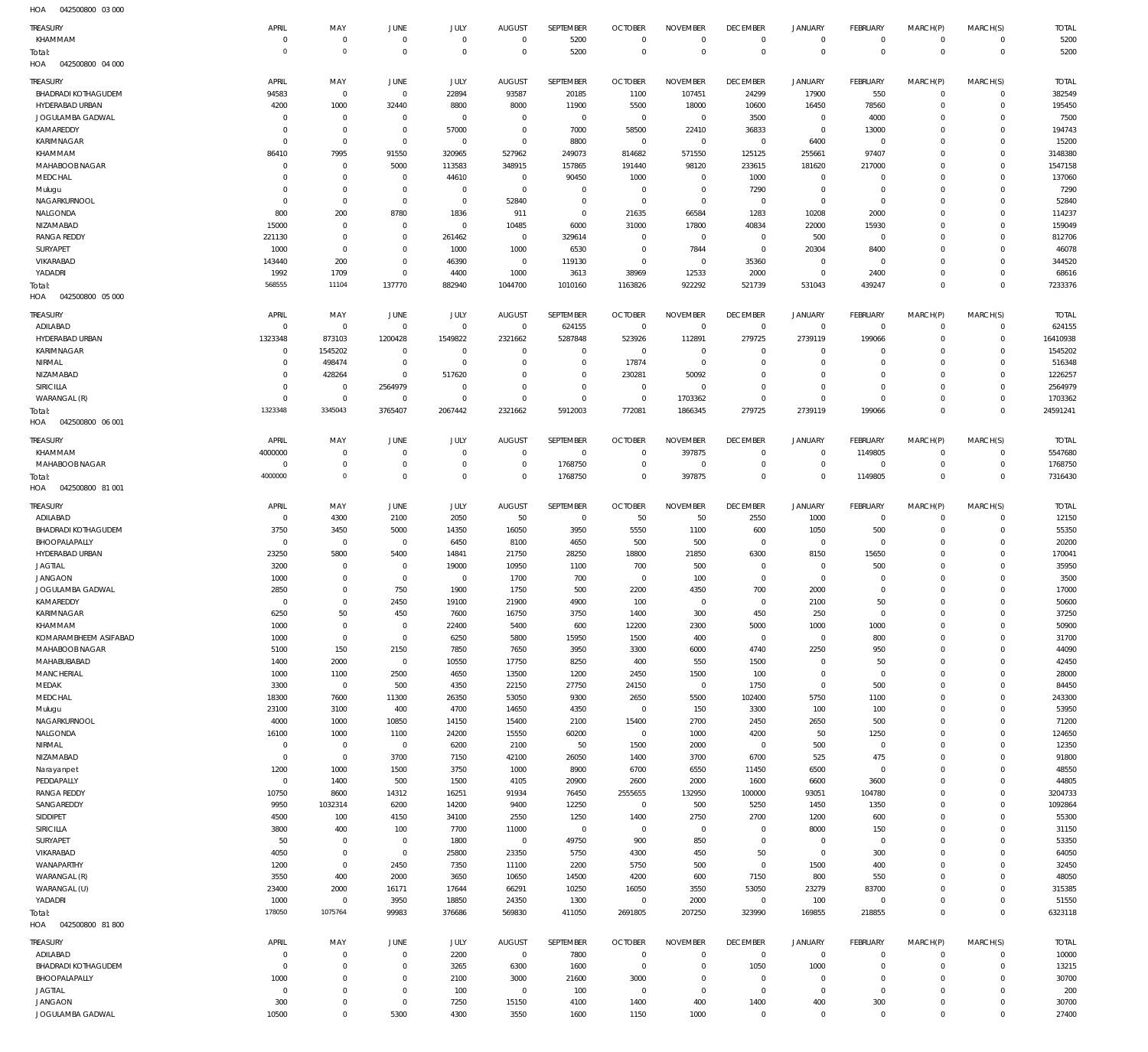042500800 03 000 HOA

| <b>TREASURY</b>                        | APRIL                      | MAY                           | JUNE                       | <b>JULY</b>           | <b>AUGUST</b>                    | SEPTEMBER              | <b>OCTOBER</b>         | <b>NOVEMBER</b>                | <b>DECEMBER</b>          | <b>JANUARY</b>             | FEBRUARY                         | MARCH(P)                | MARCH(S)                   | <b>TOTAL</b>           |
|----------------------------------------|----------------------------|-------------------------------|----------------------------|-----------------------|----------------------------------|------------------------|------------------------|--------------------------------|--------------------------|----------------------------|----------------------------------|-------------------------|----------------------------|------------------------|
| KHAMMAM                                | $\Omega$                   | $\Omega$                      | $\mathbf{0}$               | $\overline{0}$        | $\overline{0}$                   | 5200                   | $\overline{0}$         | $\mathbf{0}$                   | $\overline{0}$           | $\mathbf 0$                | $\mathbf 0$                      | $\mathbf 0$             | $\mathbf{0}$               | 5200                   |
| Total:<br>HOA<br>042500800 04 000      | $\Omega$                   | $\Omega$                      | $\overline{0}$             | $\overline{0}$        | $\overline{0}$                   | 5200                   | $\overline{0}$         | $\mathbf 0$                    | $\overline{0}$           | $\mathbf 0$                | $\overline{0}$                   | $\mathbf 0$             | $\overline{0}$             | 5200                   |
|                                        |                            |                               |                            |                       |                                  |                        |                        |                                |                          |                            |                                  |                         |                            |                        |
| TREASURY<br><b>BHADRADI KOTHAGUDEM</b> | APRIL<br>94583             | MAY<br>$^{\circ}$             | JUNE<br>$\mathbf 0$        | JULY<br>22894         | <b>AUGUST</b><br>93587           | SEPTEMBER<br>20185     | <b>OCTOBER</b><br>1100 | <b>NOVEMBER</b><br>107451      | <b>DECEMBER</b><br>24299 | <b>JANUARY</b><br>17900    | <b>FEBRUARY</b><br>550           | MARCH(P)<br>$\mathbf 0$ | MARCH(S)<br>$\mathbf{0}$   | <b>TOTAL</b><br>382549 |
| HYDERABAD URBAN                        | 4200                       | 1000                          | 32440                      | 8800                  | 8000                             | 11900                  | 5500                   | 18000                          | 10600                    | 16450                      | 78560                            | 0                       | $\mathbf{0}$               | 195450                 |
| JOGULAMBA GADWAL                       | $\Omega$                   | $^{\circ}$                    | $^{\circ}$                 | $^{\circ}$            | $^{\circ}$                       | $\overline{0}$         | $\overline{0}$         | $\mathbf 0$                    | 3500                     | $\mathbf 0$                | 4000                             | $\Omega$                | $\mathbf 0$                | 7500                   |
| KAMAREDDY                              | $\Omega$                   | $^{\circ}$                    | $\mathbf 0$                | 57000                 | $\overline{0}$                   | 7000                   | 58500                  | 22410                          | 36833                    | $\mathbf 0$                | 13000                            | 0                       | $\mathbf 0$                | 194743                 |
| KARIMNAGAR                             | $\Omega$                   | $^{\circ}$                    | $\mathbf 0$                | $^{\circ}$            | $\mathbf 0$                      | 8800                   | $\overline{0}$         | $\mathbf 0$                    | $\overline{0}$           | 6400                       | $\overline{0}$                   | $\Omega$                | $\mathbf 0$                | 15200                  |
| KHAMMAM                                | 86410                      | 7995                          | 91550                      | 320965                | 527962                           | 249073                 | 814682                 | 571550                         | 125125                   | 255661                     | 97407                            | 0                       | $\mathbf 0$                | 3148380                |
| MAHABOOB NAGAR                         | $\Omega$                   | $\Omega$                      | 5000                       | 113583                | 348915                           | 157865                 | 191440                 | 98120                          | 233615                   | 181620                     | 217000                           | $\Omega$                | $\mathbf 0$                | 1547158                |
| MEDCHAL                                | $\Omega$<br>$\Omega$       | $\circ$<br>$\Omega$           | $^{\circ}$<br>$\mathbf{0}$ | 44610<br>$^{\circ}$   | $\overline{0}$<br>$\overline{0}$ | 90450<br>$^{\circ}$    | 1000<br>$\overline{0}$ | $\overline{0}$<br>$\mathbf{0}$ | 1000                     | $\mathbf 0$<br>$\mathbf 0$ | $\overline{0}$<br>$\overline{0}$ | 0<br>$\Omega$           | $\mathbf 0$<br>$\mathbf 0$ | 137060                 |
| Mulugu<br>NAGARKURNOOL                 | $\Omega$                   | $^{\circ}$                    | $\overline{0}$             | $^{\circ}$            | 52840                            | $\overline{0}$         | $\overline{0}$         | $\mathbf{0}$                   | 7290<br>$\overline{0}$   | $\mathbf 0$                | $\mathbf 0$                      | $\Omega$                | $\mathbf 0$                | 7290<br>52840          |
| NALGONDA                               | 800                        | 200                           | 8780                       | 1836                  | 911                              | $^{\circ}$             | 21635                  | 66584                          | 1283                     | 10208                      | 2000                             | $\Omega$                | $\mathbf 0$                | 114237                 |
| NIZAMABAD                              | 15000                      | $\Omega$                      | $^{\circ}$                 | $^{\circ}$            | 10485                            | 6000                   | 31000                  | 17800                          | 40834                    | 22000                      | 15930                            | 0                       | $\mathbf 0$                | 159049                 |
| <b>RANGA REDDY</b>                     | 221130                     | $^{\circ}$                    | $\mathbf{0}$               | 261462                | $\mathbf 0$                      | 329614                 | $\overline{0}$         | $\mathbf 0$                    | $\overline{0}$           | 500                        | $\mathbf 0$                      | $\Omega$                | $\mathbf 0$                | 812706                 |
| SURYAPET                               | 1000                       | $^{\circ}$                    | $\mathbf{0}$               | 1000                  | 1000                             | 6530                   | $\overline{0}$         | 7844                           | $\overline{0}$           | 20304                      | 8400                             | 0                       | $\mathbf 0$                | 46078                  |
| VIKARABAD                              | 143440                     | 200                           | $\mathbf{0}$               | 46390                 | $\mathbf 0$                      | 119130                 | $\overline{0}$         | $\overline{0}$                 | 35360                    | $\mathbf 0$                | $\overline{0}$                   | $\Omega$                | $\mathbf 0$                | 344520                 |
| YADADRI                                | 1992                       | 1709                          | $\mathbf{0}$               | 4400                  | 1000                             | 3613                   | 38969                  | 12533                          | 2000                     | $\mathbf 0$                | 2400                             | $\Omega$                | $\mathbf{0}$               | 68616                  |
| lotal:                                 | 568555                     | 11104                         | 137770                     | 882940                | 1044700                          | 1010160                | 1163826                | 922292                         | 521739                   | 531043                     | 439247                           | $\mathbf 0$             | $\overline{0}$             | 7233376                |
| HOA<br>042500800 05 000                |                            |                               |                            |                       |                                  |                        |                        |                                |                          |                            |                                  |                         |                            |                        |
| <b>TREASURY</b>                        | APRIL                      | MAY                           | JUNE                       | <b>JULY</b>           | <b>AUGUST</b>                    | SEPTEMBER              | <b>OCTOBER</b>         | <b>NOVEMBER</b>                | <b>DECEMBER</b>          | <b>JANUARY</b>             | <b>FEBRUARY</b>                  | MARCH(P)                | MARCH(S)                   | <b>TOTAL</b>           |
| ADILABAD                               | $^{\circ}$                 | $^{\circ}$                    | $^{\circ}$                 | $^{\circ}$            | $\mathbf 0$                      | 624155                 | $\overline{0}$         | $\mathbf 0$                    | $\overline{0}$           | $\overline{0}$             | $\mathbf 0$                      | $^{\circ}$              | $^{\circ}$                 | 624155                 |
| HYDERABAD URBAN<br>KARIMNAGAR          | 1323348<br>$^{\circ}$      | 873103<br>1545202             | 1200428<br>$^{\circ}$      | 1549822<br>$^{\circ}$ | 2321662<br>$^{\circ}$            | 5287848<br>$\mathbf 0$ | 523926<br>$^{\circ}$   | 112891<br>$\overline{0}$       | 279725<br>$\mathbf 0$    | 2739119<br>0               | 199066<br>$\mathbf 0$            | $\Omega$<br>0           | $\mathbf{0}$<br>$^{\circ}$ | 16410938<br>1545202    |
| NIRMAL                                 | $\Omega$                   | 498474                        | $\mathbf 0$                | $^{\circ}$            | $^{\circ}$                       | $\mathbf 0$            | 17874                  | $^{\circ}$                     | $\overline{0}$           | 0                          | $\mathbf 0$                      | $\Omega$                | $\mathbf 0$                | 516348                 |
| NIZAMABAD                              | $\Omega$                   | 428264                        | $\mathbf 0$                | 517620                | $\Omega$                         | $\mathbf 0$            | 230281                 | 50092                          | $\mathbf 0$              | 0                          | $\mathbf 0$                      | 0                       | 0                          | 1226257                |
| SIRICILLA                              | $\Omega$                   | $^{\circ}$                    | 2564979                    | $^{\circ}$            | $\overline{0}$                   | $\mathbf 0$            | $^{\circ}$             | $\overline{0}$                 | $\overline{0}$           | 0                          | $\mathbf 0$                      | $\Omega$                | $\mathbf 0$                | 2564979                |
| WARANGAL (R)                           | $\Omega$                   | $^{\circ}$                    | $^{\circ}$                 | $^{\circ}$            | $\mathbb O$                      | $\mathbf 0$            | $\overline{0}$         | 1703362                        | $\mathbf{0}$             | $\mathbf 0$                | $\overline{0}$                   | $\Omega$                | $\mathbf 0$                | 1703362                |
| Total:                                 | 1323348                    | 3345043                       | 3765407                    | 2067442               | 2321662                          | 5912003                | 772081                 | 1866345                        | 279725                   | 2739119                    | 199066                           | $\Omega$                | $\overline{0}$             | 24591241               |
| HOA<br>042500800 06 001                |                            |                               |                            |                       |                                  |                        |                        |                                |                          |                            |                                  |                         |                            |                        |
| Treasury                               | APRIL                      | MAY                           | <b>JUNE</b>                | <b>JULY</b>           | <b>AUGUST</b>                    | SEPTEMBER              | <b>OCTOBER</b>         | <b>NOVEMBER</b>                | <b>DECEMBER</b>          | <b>JANUARY</b>             | <b>FEBRUARY</b>                  | MARCH(P)                | MARCH(S)                   | <b>TOTAL</b>           |
| KHAMMAM                                | 4000000                    | $\circ$                       | $^{\circ}$                 | $^{\circ}$            | $^{\circ}$                       | $\overline{0}$         | $^{\circ}$             | 397875                         | $\overline{0}$           | $\overline{0}$             | 1149805                          | $\mathbf 0$             | $\mathbf{0}$               | 5547680                |
| MAHABOOB NAGAR                         | $\circ$                    | $^{\circ}$                    | $\mathbf{0}$               | $^{\circ}$            | $\overline{0}$                   | 1768750                | $\overline{0}$         | $\overline{0}$                 | $\overline{0}$           | $\mathbf 0$                | $\overline{0}$                   | 0                       | $\mathbf{0}$               | 1768750                |
| lotal:                                 | 4000000                    | $\Omega$                      | $\overline{0}$             | $\overline{0}$        | $\overline{0}$                   | 1768750                | $\overline{0}$         | 397875                         | $\overline{0}$           | $\mathbf 0$                | 1149805                          | $\mathbf 0$             | $\overline{0}$             | 7316430                |
| HOA<br>042500800 81 001                |                            |                               |                            |                       |                                  |                        |                        |                                |                          |                            |                                  |                         |                            |                        |
| TREASURY                               | APRIL                      | MAY                           | JUNE                       | JULY                  | <b>AUGUST</b>                    | SEPTEMBER              | <b>OCTOBER</b>         | <b>NOVEMBER</b>                | <b>DECEMBER</b>          | <b>JANUARY</b>             | <b>FEBRUARY</b>                  | MARCH(P)                | MARCH(S)                   | <b>TOTAL</b>           |
| ADILABAD                               | $\Omega$                   | 4300                          | 2100                       | 2050                  | 50                               | $\overline{0}$         | 50                     | 50                             | 2550                     | 1000                       | $\mathbf 0$                      | 0                       | $^{\circ}$                 | 12150                  |
| <b>BHADRADI KOTHAGUDEM</b>             | 3750                       | 3450                          | 5000                       | 14350                 | 16050                            | 3950                   | 5550                   | 1100                           | 600                      | 1050                       | 500                              | $\Omega$                | $\mathbf 0$                | 55350                  |
| BHOOPALAPALLY                          | $\Omega$                   | $^{\circ}$                    | $^{\circ}$                 | 6450                  | 8100                             | 4650                   | 500                    | 500                            | $\overline{0}$           | $\mathbf 0$                | $\mathbf 0$                      | 0                       | $\mathbf 0$                | 20200                  |
| HYDERABAD URBAN<br><b>JAGTIAL</b>      | 23250<br>3200              | 5800<br>$\circ$               | 5400<br>$^{\circ}$         | 14841<br>19000        | 21750<br>10950                   | 28250<br>1100          | 18800<br>700           | 21850<br>500                   | 6300<br>$\overline{0}$   | 8150<br>0                  | 15650<br>500                     | 0                       | $\mathbf 0$<br>$^{\circ}$  | 170041<br>35950        |
| <b>JANGAON</b>                         | 1000                       | $\Omega$                      | $^{\circ}$                 | $^{\circ}$            | 1700                             | 700                    | $\overline{0}$         | 100                            | $^{\circ}$               | $\mathbf 0$                | $^{\circ}$                       | 0                       | $^{\circ}$                 | 3500                   |
| JOGULAMBA GADWAL                       | 2850                       | $\Omega$                      | 750                        | 1900                  | 1750                             | 500                    | 2200                   | 4350                           | 700                      | 2000                       | $\mathbf 0$                      |                         | 0                          | 17000                  |
| KAMAREDDY                              | $\Omega$                   | $\Omega$                      | 2450                       | 19100                 | 21900                            | 4900                   | 100                    | $\overline{0}$                 | $\mathbf 0$              | 2100                       | 50                               | $\Omega$                | $\mathbf 0$                | 50600                  |
| KARIMNAGAR                             | 6250                       | 50                            | 450                        | 7600                  | 16750                            | 3750                   | 1400                   | 300                            | 450                      | 250                        |                                  |                         | $\Omega$                   | 37250                  |
| KHAMMAM                                | 1000                       | $^{\circ}$                    | $\overline{0}$             | 22400                 | 5400                             | 600                    | 12200                  | 2300                           | 5000                     | 1000                       | 1000                             | 0                       | $\mathbf 0$                | 50900                  |
| KOMARAMBHEEM ASIFABAD                  | 1000                       | $^{\circ}$                    | $\mathbb O$                | 6250                  | 5800                             | 15950                  | 1500                   | 400                            | $\overline{0}$           | $\mathsf 0$                | 800                              | 0                       | $\mathbf 0$                | 31700                  |
| MAHABOOB NAGAR<br>MAHABUBABAD          | 5100<br>1400               | 150<br>2000                   | 2150<br>$\mathbf 0$        | 7850<br>10550         | 7650<br>17750                    | 3950<br>8250           | 3300<br>400            | 6000<br>550                    | 4740<br>1500             | 2250<br>0                  | 950<br>50                        | 0<br>0                  | $\mathbf 0$<br>$\mathbf 0$ | 44090<br>42450         |
| MANCHERIAL                             | 1000                       | 1100                          | 2500                       | 4650                  | 13500                            | 1200                   | 2450                   | 1500                           | 100                      | $\mathbf 0$                | $\mathbf 0$                      | $\Omega$                | $\mathbf 0$                | 28000                  |
| MEDAK                                  | 3300                       | $^{\circ}$                    | 500                        | 4350                  | 22150                            | 27750                  | 24150                  | $\mathbf 0$                    | 1750                     | $\mathbf 0$                | 500                              | 0                       | $\mathbf 0$                | 84450                  |
| MEDCHAL                                | 18300                      | 7600                          | 11300                      | 26350                 | 53050                            | 9300                   | 2650                   | 5500                           | 102400                   | 5750                       | 1100                             | 0                       | $\mathbf 0$                | 243300                 |
| Mulugu                                 | 23100                      | 3100                          | 400                        | 4700                  | 14650                            | 4350                   | $\mathbf 0$            | 150                            | 3300                     | 100                        | 100                              | 0                       | $\mathbf 0$                | 53950                  |
| NAGARKURNOOL                           | 4000                       | 1000                          | 10850                      | 14150                 | 15400                            | 2100                   | 15400                  | 2700                           | 2450                     | 2650                       | 500                              | 0                       | $\mathbf 0$                | 71200                  |
| NALGONDA                               | 16100                      | 1000                          | 1100                       | 24200                 | 15550                            | 60200                  | $\mathbf 0$            | 1000                           | 4200                     | 50                         | 1250                             | 0                       | $\mathbf 0$                | 124650                 |
| NIRMAL<br>NIZAMABAD                    | $^{\circ}$<br>$\mathbf{0}$ | $^{\circ}$<br>$^{\circ}$      | $\overline{0}$<br>3700     | 6200<br>7150          | 2100<br>42100                    | 50<br>26050            | 1500<br>1400           | 2000<br>3700                   | $\mathbf 0$<br>6700      | 500<br>525                 | $\mathbf 0$<br>475               | 0<br>0                  | $\mathbf 0$<br>$\mathbf 0$ | 12350<br>91800         |
| Narayanpet                             | 1200                       | 1000                          | 1500                       | 3750                  | 1000                             | 8900                   | 6700                   | 6550                           | 11450                    | 6500                       | $\mathbf 0$                      | $\Omega$                | $\mathbf 0$                | 48550                  |
| PEDDAPALLY                             | $^{\circ}$                 | 1400                          | 500                        | 1500                  | 4105                             | 20900                  | 2600                   | 2000                           | 1600                     | 6600                       | 3600                             | 0                       | $\mathbf 0$                | 44805                  |
| <b>RANGA REDDY</b>                     | 10750                      | 8600                          | 14312                      | 16251                 | 91934                            | 76450                  | 2555655                | 132950                         | 100000                   | 93051                      | 104780                           | 0                       | $\mathbf 0$                | 3204733                |
| SANGAREDDY                             | 9950                       | 1032314                       | 6200                       | 14200                 | 9400                             | 12250                  | $\mathbf 0$            | 500                            | 5250                     | 1450                       | 1350                             | 0                       | $\mathbf 0$                | 1092864                |
| SIDDIPET                               | 4500                       | 100                           | 4150                       | 34100                 | 2550                             | 1250                   | 1400                   | 2750                           | 2700                     | 1200                       | 600                              | 0                       | $\mathbf 0$                | 55300                  |
| SIRICILLA                              | 3800                       | 400                           | 100                        | 7700                  | 11000                            | $\overline{0}$         | $\mathbf 0$            | $\overline{0}$                 | $\overline{0}$           | 8000                       | 150                              | 0                       | $\mathbf 0$                | 31150                  |
| SURYAPET                               | 50                         | $^{\circ}$                    | $\mathbf 0$                | 1800                  | $\overline{0}$                   | 49750                  | 900                    | 850                            | $\overline{0}$           | $\mathbf 0$                | $\mathbf 0$                      | 0                       | $\mathbf 0$                | 53350                  |
| VIKARABAD<br>WANAPARTHY                | 4050<br>1200               | $^{\circ}$<br>$\overline{0}$  | $\mathbf 0$<br>2450        | 25800<br>7350         | 23350<br>11100                   | 5750<br>2200           | 4300<br>5750           | 450<br>500                     | 50<br>$\overline{0}$     | $\mathbf 0$<br>1500        | 300<br>400                       | 0<br>$\Omega$           | $\mathbf 0$<br>$\mathbf 0$ | 64050<br>32450         |
| WARANGAL (R)                           | 3550                       | 400                           | 2000                       | 3650                  | 10650                            | 14500                  | 4200                   | 600                            | 7150                     | 800                        | 550                              | 0                       | $\mathbf 0$                | 48050                  |
| WARANGAL (U)                           | 23400                      | 2000                          | 16171                      | 17644                 | 66291                            | 10250                  | 16050                  | 3550                           | 53050                    | 23279                      | 83700                            | 0                       | $\mathbf 0$                | 315385                 |
| YADADRI                                | 1000                       | $^{\circ}$                    | 3950                       | 18850                 | 24350                            | 1300                   | $\mathbf 0$            | 2000                           | $\overline{0}$           | 100                        | $\mathbf 0$                      | 0                       | $\mathbf 0$                | 51550                  |
| Total:                                 | 178050                     | 1075764                       | 99983                      | 376686                | 569830                           | 411050                 | 2691805                | 207250                         | 323990                   | 169855                     | 218855                           | $\Omega$                | $\overline{0}$             | 6323118                |
| HOA<br>042500800 81800                 |                            |                               |                            |                       |                                  |                        |                        |                                |                          |                            |                                  |                         |                            |                        |
| TREASURY                               | APRIL                      | MAY                           | JUNE                       | JULY                  | <b>AUGUST</b>                    | SEPTEMBER              | <b>OCTOBER</b>         | <b>NOVEMBER</b>                | <b>DECEMBER</b>          | <b>JANUARY</b>             | FEBRUARY                         | MARCH(P)                | MARCH(S)                   | <b>TOTAL</b>           |
| ADILABAD                               | $^{\circ}$                 | $^{\circ}$                    | $\mathbf{0}$               | 2200                  | $\overline{0}$                   | 7800                   | $\overline{0}$         | $\mathbf 0$                    | $\overline{0}$           | $\mathsf 0$                | $\mathbf 0$                      | $\mathbf 0$             | $\mathbf{0}$               | 10000                  |
| <b>BHADRADI KOTHAGUDEM</b>             | $\mathbf{0}$               | $^{\circ}$                    | $\mathbf{0}$               | 3265                  | 6300                             | 1600                   | $\overline{0}$         | $\overline{0}$                 | 1050                     | 1000                       | $\overline{0}$                   | 0                       | $\mathbf{0}$               | 13215                  |
| BHOOPALAPALLY                          | 1000                       | $^{\circ}$                    | $\mathbf{0}$               | 2100                  | 3000                             | 21600                  | 3000                   | $\mathbf{0}$                   | $\overline{0}$           | $\mathbf 0$                | $\mathbf 0$                      | 0                       | $\mathbf{0}$               | 30700                  |
| <b>JAGTIAL</b>                         | $\mathbf{0}$               | $\overline{0}$                | $\mathbf{0}$               | 100                   | $^{\circ}$                       | 100                    | $\overline{0}$         | $\mathbf{0}$                   | $\mathbb O$              | $\overline{0}$             | $\overline{0}$                   | $\Omega$                | $\mathbf{0}$               | 200                    |
| <b>JANGAON</b><br>JOGULAMBA GADWAL     | 300<br>10500               | $\overline{0}$<br>$\mathbf 0$ | $\,0\,$<br>5300            | 7250<br>4300          | 15150<br>3550                    | 4100<br>1600           | 1400<br>1150           | 400<br>1000                    | 1400<br>$\mathbb O$      | 400<br>$\overline{0}$      | 300<br>$\mathbf 0$               | 0<br>$\mathbf 0$        | $\mathbf{0}$<br>$\circ$    | 30700<br>27400         |
|                                        |                            |                               |                            |                       |                                  |                        |                        |                                |                          |                            |                                  |                         |                            |                        |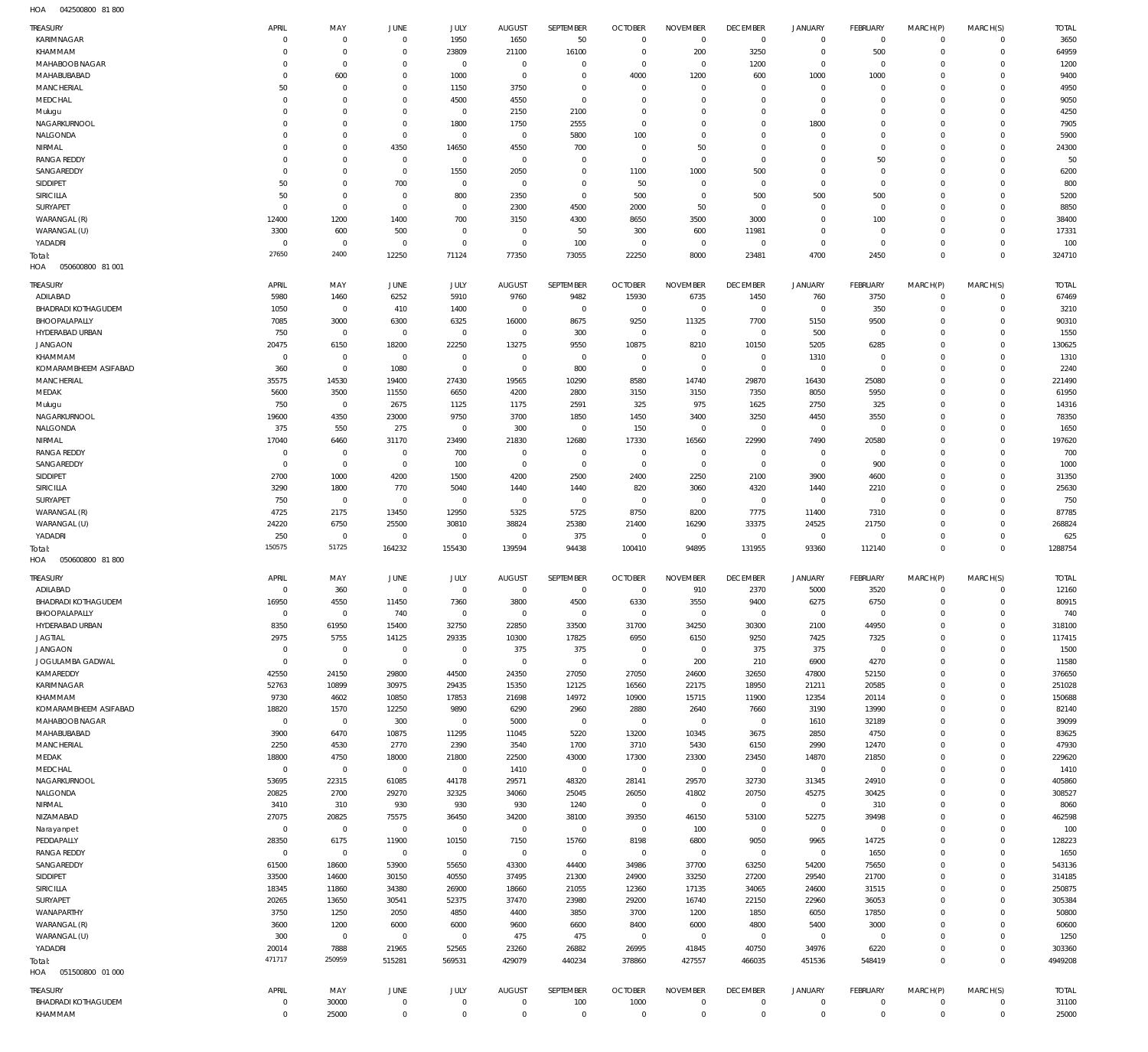042500800 81 800 HOA

| TREASURY                                      | APRIL                      | MAY                        | <b>JUNE</b>                | JULY                         | <b>AUGUST</b>          | SEPTEMBER            | <b>OCTOBER</b>                   | <b>NOVEMBER</b>                | <b>DECEMBER</b>                   | <b>JANUARY</b>             | FEBRUARY                   | MARCH(P)                   | MARCH(S)                     | <b>TOTAL</b>          |
|-----------------------------------------------|----------------------------|----------------------------|----------------------------|------------------------------|------------------------|----------------------|----------------------------------|--------------------------------|-----------------------------------|----------------------------|----------------------------|----------------------------|------------------------------|-----------------------|
| KARIMNAGAR                                    | $\mathbf 0$                | $\mathbf 0$                | $\mathbf{0}$               | 1950                         | 1650                   | 50                   | $\overline{0}$                   | $\mathbf{0}$                   | $\overline{0}$                    | $\mathbf{0}$               | $\overline{0}$             | $\mathbf 0$                | $\mathbf{0}$                 | 3650                  |
| KHAMMAM                                       | 0                          | $\mathbf 0$                | $\mathbf 0$                | 23809                        | 21100                  | 16100                | $\overline{0}$                   | 200                            | 3250                              | $\mathbf 0$                | 500                        | $\mathbf 0$                | $\mathbf{0}$                 | 64959                 |
| MAHABOOB NAGAR                                | 0                          | $\mathbf 0$                | $\mathbf 0$                | $\mathbf 0$                  | $\mathbf{0}$           | $\mathbf 0$          | $\overline{0}$                   | $\mathbf 0$                    | 1200                              | $\mathbf 0$                | $\overline{0}$             | $\Omega$                   | $\mathbf 0$                  | 1200                  |
| MAHABUBABAD                                   | $\mathbf 0$                | 600                        | $\mathbf 0$                | 1000                         | $\overline{0}$         | $\mathbf 0$          | 4000                             | 1200                           | 600                               | 1000                       | 1000                       | $\Omega$                   | $\mathbf 0$                  | 9400                  |
| MANCHERIAL                                    | 50                         | $\mathbf 0$                | $\mathbf 0$                | 1150                         | 3750                   | $\mathbf 0$          | $\overline{0}$                   | $\mathbf 0$                    | $\overline{0}$                    | $\mathbf 0$                | $^{\circ}$                 | $\Omega$                   | $\mathbf 0$                  | 4950                  |
| MEDCHAL                                       | $\mathbf 0$<br>$\mathbf 0$ | $\mathbf 0$<br>$\mathbf 0$ | $\mathbf 0$<br>$\mathbf 0$ | 4500<br>$\mathbf 0$          | 4550                   | $\mathbf 0$<br>2100  | $\overline{0}$<br>$\overline{0}$ | $\mathbf 0$<br>$\mathbf 0$     | $\mathbf 0$<br>$\overline{0}$     | $\mathbf 0$<br>$\mathbf 0$ | $\mathbf{0}$<br>$^{\circ}$ | $\Omega$<br>$\Omega$       | $\mathbf 0$<br>$\mathbf 0$   | 9050                  |
| Mulugu<br>NAGARKURNOOL                        | 0                          | $\mathbf 0$                | $\mathbf 0$                | 1800                         | 2150<br>1750           | 2555                 | $\overline{0}$                   | $\mathbf 0$                    | $\mathbf 0$                       | 1800                       | $^{\circ}$                 | $\Omega$                   | $\mathbf 0$                  | 4250<br>7905          |
| NALGONDA                                      | 0                          | $\mathbf 0$                | $\overline{0}$             | $\mathbf 0$                  | $^{\circ}$             | 5800                 | 100                              | $\mathbf 0$                    | $\mathbf 0$                       | $\mathbf 0$                | $^{\circ}$                 | $\Omega$                   | $\mathbf 0$                  | 5900                  |
| NIRMAL                                        | 0                          | $\mathbf 0$                | 4350                       | 14650                        | 4550                   | 700                  | $\overline{0}$                   | 50                             | $\mathbf 0$                       | $\mathbf 0$                | $\mathbf{0}$               | $\Omega$                   | $\mathbf 0$                  | 24300                 |
| <b>RANGA REDDY</b>                            | $\mathbf 0$                | $\mathbf 0$                | $\overline{0}$             | $\mathbf 0$                  | $\mathbf 0$            | $\mathbf 0$          | $\overline{0}$                   | $\mathbf 0$                    | $\overline{0}$                    | $\mathbf 0$                | 50                         | $\Omega$                   | $\mathbf 0$                  | 50                    |
| SANGAREDDY                                    | 0                          | $\mathbf 0$                | $\overline{0}$             | 1550                         | 2050                   | $\mathbf 0$          | 1100                             | 1000                           | 500                               | $\mathbf 0$                | $\mathbf{0}$               | $\Omega$                   | $\mathbf 0$                  | 6200                  |
| SIDDIPET                                      | 50                         | $\mathbf 0$                | 700                        | $\mathbf 0$                  | $\overline{0}$         | $\mathbf 0$          | 50                               | $\mathbf 0$                    | $\overline{0}$                    | $\mathbf 0$                | $\mathbf{0}$               | $\Omega$                   | $\mathbf 0$                  | 800                   |
| SIRICILLA                                     | 50                         | $\mathbf 0$                | $\overline{0}$             | 800                          | 2350                   | $\mathbf 0$          | 500                              | $\mathbf 0$                    | 500                               | 500                        | 500                        | $\Omega$                   | $\mathbf 0$                  | 5200                  |
| SURYAPET                                      | $\mathbf 0$                | $\mathbf 0$                | $\overline{0}$             | $\mathbf 0$                  | 2300                   | 4500                 | 2000                             | 50                             | $\overline{0}$                    | $\mathbf 0$                | $\overline{0}$             | $\Omega$                   | $\mathbf 0$                  | 8850                  |
| WARANGAL (R)                                  | 12400                      | 1200                       | 1400                       | 700                          | 3150                   | 4300                 | 8650                             | 3500                           | 3000                              | $\mathbf 0$                | 100                        | $\Omega$                   | $\mathbf 0$                  | 38400                 |
| WARANGAL (U)                                  | 3300                       | 600                        | 500                        | $\mathbf 0$                  | $\overline{0}$         | 50                   | 300                              | 600                            | 11981                             | $\mathbf 0$                | $\overline{0}$             | $\Omega$                   | $\mathbf 0$                  | 17331                 |
| YADADRI                                       | $\mathbf 0$                | $\mathbf 0$                | $\overline{0}$             | $\mathbf 0$                  | $\overline{0}$         | 100                  | $\overline{0}$                   | $\mathbf 0$                    | $\overline{0}$                    | $\mathbf 0$                | $\overline{0}$             | $\Omega$                   | $\mathbf 0$                  | 100                   |
| Total:                                        | 27650                      | 2400                       | 12250                      | 71124                        | 77350                  | 73055                | 22250                            | 8000                           | 23481                             | 4700                       | 2450                       | $\mathbf 0$                | $\overline{0}$               | 324710                |
| HOA<br>050600800 81 001                       |                            |                            |                            |                              |                        |                      |                                  |                                |                                   |                            |                            |                            |                              |                       |
| TREASURY                                      | APRIL                      | MAY                        | <b>JUNE</b>                | JULY                         | <b>AUGUST</b>          | SEPTEMBER            | <b>OCTOBER</b>                   | <b>NOVEMBER</b>                | <b>DECEMBER</b>                   | <b>JANUARY</b>             | FEBRUARY                   | MARCH(P)                   | MARCH(S)                     | <b>TOTAL</b>          |
| ADILABAD                                      | 5980                       | 1460                       | 6252                       | 5910                         | 9760                   | 9482                 | 15930                            | 6735                           | 1450                              | 760                        | 3750                       | $\mathbf 0$                | $\mathbf{0}$                 | 67469                 |
| BHADRADI KOTHAGUDEM                           | 1050                       | $\bf 0$                    | 410                        | 1400                         | $\overline{0}$         | $^{\circ}$           | $\overline{0}$                   | $\mathbf 0$                    | $\overline{0}$                    | $\circ$                    | 350                        | $\mathbf 0$                | $\mathbf{0}$                 | 3210                  |
| BHOOPALAPALLY                                 | 7085                       | 3000                       | 6300                       | 6325                         | 16000                  | 8675                 | 9250                             | 11325                          | 7700                              | 5150                       | 9500                       | $\mathbf 0$                | $\mathbf 0$                  | 90310                 |
| HYDERABAD URBAN                               | 750                        | $\bf 0$                    | $\overline{0}$             | $\mathbf 0$                  | $\mathbf 0$            | 300                  | $\overline{0}$                   | $\mathbf 0$                    | $\overline{0}$                    | 500                        | $\overline{0}$             | 0                          | $\mathbf 0$                  | 1550                  |
| <b>JANGAON</b>                                | 20475                      | 6150                       | 18200                      | 22250                        | 13275                  | 9550                 | 10875                            | 8210                           | 10150                             | 5205                       | 6285                       | $\Omega$                   | $\mathbf 0$                  | 130625                |
| KHAMMAM                                       | $\mathbf 0$                | $\bf 0$                    | $\overline{0}$             | $\mathbf 0$                  | $\overline{0}$         | $\mathbf 0$          | $\overline{0}$                   | $\mathbf 0$                    | $\overline{0}$                    | 1310                       | $\overline{0}$             | 0                          | $\mathbf 0$                  | 1310                  |
| KOMARAMBHEEM ASIFABAD                         | 360                        | $\mathbf 0$                | 1080                       | $\mathbf 0$                  | $\overline{0}$         | 800                  | $\overline{0}$                   | $\mathbf{0}$                   | $\overline{0}$                    | $\circ$                    | $\overline{0}$             | $\Omega$                   | $\mathbf 0$                  | 2240                  |
| MANCHERIAL                                    | 35575                      | 14530                      | 19400                      | 27430                        | 19565                  | 10290                | 8580                             | 14740                          | 29870                             | 16430                      | 25080                      | $\Omega$                   | $\mathbf 0$                  | 221490                |
| MEDAK                                         | 5600                       | 3500                       | 11550                      | 6650                         | 4200                   | 2800                 | 3150                             | 3150                           | 7350                              | 8050                       | 5950                       | $\Omega$                   | $\mathbf 0$                  | 61950                 |
| Mulugu                                        | 750                        | $\mathbf 0$                | 2675                       | 1125                         | 1175                   | 2591                 | 325                              | 975                            | 1625                              | 2750                       | 325                        | $\Omega$                   | $\mathbf 0$                  | 14316                 |
| NAGARKURNOOL                                  | 19600                      | 4350                       | 23000                      | 9750                         | 3700                   | 1850                 | 1450                             | 3400                           | 3250                              | 4450                       | 3550                       | $\Omega$                   | $\mathbf 0$                  | 78350                 |
| NALGONDA                                      | 375                        | 550                        | 275                        | $\mathbf 0$                  | 300                    | $\mathbf 0$          | 150                              | $\mathbf 0$                    | $\overline{0}$                    | $\mathbf 0$                | $\overline{0}$             | $\Omega$                   | $\mathbf 0$                  | 1650                  |
| NIRMAL                                        | 17040                      | 6460                       | 31170                      | 23490                        | 21830                  | 12680                | 17330                            | 16560                          | 22990                             | 7490                       | 20580                      | $\Omega$                   | $\mathbf 0$                  | 197620                |
| <b>RANGA REDDY</b>                            | $\mathbf 0$                | $\bf 0$                    | $\overline{0}$             | 700                          | $\mathbf 0$            | 0                    | $\overline{0}$                   | $\mathbf 0$                    | $\mathbf 0$                       | $\mathbf 0$                | $\overline{0}$             | 0                          | $\mathbf 0$                  | 700                   |
| SANGAREDDY                                    | $\overline{0}$             | $\mathbf 0$                | $\overline{0}$             | 100                          | $\overline{0}$         | $\mathbf 0$          | $\overline{0}$                   | $\mathbf 0$                    | $\overline{0}$                    | $\mathbf{0}$               | 900                        | $\Omega$                   | $\mathbf 0$                  | 1000                  |
| SIDDIPET                                      | 2700                       | 1000                       | 4200                       | 1500                         | 4200                   | 2500                 | 2400                             | 2250                           | 2100                              | 3900                       | 4600                       | 0                          | $\mathbf 0$                  | 31350                 |
| SIRICILLA                                     | 3290                       | 1800                       | 770                        | 5040                         | 1440                   | 1440                 | 820                              | 3060                           | 4320                              | 1440                       | 2210                       | $\Omega$                   | $\mathbf 0$                  | 25630                 |
| SURYAPET                                      | 750                        | $\bf 0$                    | $\overline{0}$             | $\mathbf 0$                  | $\overline{0}$         | $\mathbf 0$          | $\overline{0}$                   | $\mathbf 0$                    | $\overline{0}$                    | $\mathbf 0$                | $\overline{0}$             | $\Omega$                   | $\mathbf 0$                  | 750                   |
| WARANGAL (R)                                  | 4725                       | 2175                       | 13450                      | 12950                        | 5325                   | 5725                 | 8750                             | 8200                           | 7775                              | 11400                      | 7310                       | $\Omega$<br>$\Omega$       | $\mathbf 0$<br>$\mathbf 0$   | 87785                 |
| WARANGAL (U)<br>YADADRI                       | 24220<br>250               | 6750<br>$\bf 0$            | 25500<br>$\mathbf 0$       | 30810<br>$\bf 0$             | 38824<br>$\mathbf 0$   | 25380<br>375         | 21400<br>$\overline{0}$          | 16290<br>$\overline{0}$        | 33375<br>$\overline{0}$           | 24525<br>$\circ$           | 21750<br>$\overline{0}$    | $\mathbf 0$                | $\mathbf 0$                  | 268824<br>625         |
| Total:                                        | 150575                     | 51725                      | 164232                     | 155430                       | 139594                 | 94438                | 100410                           | 94895                          | 131955                            | 93360                      | 112140                     | $\mathbf 0$                | $\mathbf 0$                  | 1288754               |
| 050600800 81800<br>HOA                        |                            |                            |                            |                              |                        |                      |                                  |                                |                                   |                            |                            |                            |                              |                       |
|                                               |                            |                            |                            |                              |                        |                      |                                  |                                |                                   |                            |                            |                            |                              |                       |
| <b>TREASURY</b>                               | APRIL                      | MAY                        | JUNE                       | JULY                         | <b>AUGUST</b>          | SEPTEMBER            | <b>OCTOBER</b>                   | <b>NOVEMBER</b>                | <b>DECEMBER</b>                   | <b>JANUARY</b>             | FEBRUARY                   | MARCH(P)                   | MARCH(S)                     | <b>TOTAL</b>          |
| ADILABAD<br><b>BHADRADI KOTHAGUDEM</b>        | $\mathbf 0$<br>16950       | 360<br>4550                | $\mathbf 0$<br>11450       | $\mathbf 0$<br>7360          | $\overline{0}$<br>3800 | $\mathbf 0$<br>4500  | $\overline{0}$<br>6330           | 910<br>3550                    | 2370<br>9400                      | 5000<br>6275               | 3520<br>6750               | $\mathbf 0$<br>$\mathbf 0$ | $\mathbf{0}$<br>$\mathbf{0}$ | 12160<br>80915        |
| BHOOPALAPALLY                                 | $\mathbf 0$                | $\mathbf 0$                | 740                        | $\mathbf 0$                  | $\mathbf 0$            | $\mathbf 0$          | $\mathbf 0$                      | $\overline{0}$                 | $\overline{0}$                    | $\mathbf 0$                | $\overline{0}$             | $\mathbf 0$                | $\mathbf 0$                  | 740                   |
| HYDERABAD URBAN                               | 8350                       | 61950                      | 15400                      | 32750                        | 22850                  | 33500                | 31700                            | 34250                          | 30300                             | 2100                       | 44950                      | $\mathbf 0$                | $\mathbf 0$                  | 318100                |
| <b>JAGTIAL</b>                                | 2975                       | 5755                       | 14125                      | 29335                        | 10300                  | 17825                | 6950                             | 6150                           | 9250                              | 7425                       | 7325                       | $\mathbf 0$                | $\mathbf 0$                  | 117415                |
| <b>JANGAON</b>                                | $\overline{0}$             | $\mathbf 0$                | $\overline{0}$             | $\mathbf 0$                  | 375                    | 375                  | $\overline{0}$                   | $\mathbf 0$                    | 375                               | 375                        | $\overline{0}$             | $\mathbf 0$                | $\mathbf 0$                  | 1500                  |
| JOGULAMBA GADWAL                              | $\mathbf 0$                | $\mathbf 0$                | $\overline{0}$             | $\mathbb O$                  | $\overline{0}$         | $\mathbf 0$          | $\overline{0}$                   | 200                            | 210                               | 6900                       | 4270                       | $\mathbf 0$                | $\mathbf 0$                  | 11580                 |
| KAMAREDDY                                     | 42550                      | 24150                      | 29800                      | 44500                        | 24350                  | 27050                | 27050                            | 24600                          | 32650                             | 47800                      | 52150                      | $\Omega$                   | $\mathbf 0$                  | 376650                |
| KARIMNAGAR                                    | 52763                      | 10899                      | 30975                      | 29435                        | 15350                  | 12125                | 16560                            | 22175                          | 18950                             | 21211                      | 20585                      | $\mathbf 0$                | $\mathbf 0$                  | 251028                |
| KHAMMAM                                       | 9730                       | 4602                       | 10850                      | 17853                        | 21698                  | 14972                | 10900                            | 15715                          | 11900                             | 12354                      | 20114                      | $\Omega$                   | $\mathbf 0$                  | 150688                |
| KOMARAMBHEEM ASIFABAD                         | 18820                      | 1570                       | 12250                      | 9890                         | 6290                   | 2960                 | 2880                             | 2640                           | 7660                              | 3190                       | 13990                      | $\mathbf 0$                | $\mathbf 0$                  | 82140                 |
| MAHABOOB NAGAR                                | $\overline{0}$             | $\mathbb O$                | 300                        | $\bf 0$                      | 5000                   | $\mathbf 0$          | $\overline{0}$                   | $\overline{0}$                 | $\overline{0}$                    | 1610                       | 32189                      | $\Omega$                   | $\mathbf 0$                  | 39099                 |
| MAHABUBABAD                                   | 3900                       | 6470                       | 10875                      | 11295                        | 11045                  | 5220                 | 13200                            | 10345                          | 3675                              | 2850                       | 4750                       | $\mathbf 0$                | $\mathbf 0$                  | 83625                 |
| MANCHERIAL                                    | 2250                       | 4530                       | 2770                       | 2390                         | 3540                   | 1700                 | 3710                             | 5430                           | 6150                              | 2990                       | 12470                      | $\mathbf 0$                | $\mathbf 0$                  | 47930                 |
| MEDAK                                         | 18800                      | 4750                       | 18000                      | 21800                        | 22500                  | 43000                | 17300                            | 23300                          | 23450                             | 14870                      | 21850                      | $\mathbf 0$                | $\mathbf 0$                  | 229620                |
| MEDCHAL                                       | $\overline{0}$             | $\mathbb O$                | $\overline{0}$             | $\mathbf 0$                  | 1410                   | $\overline{0}$       | $\overline{0}$                   | $\mathbf 0$                    | $\mathbf 0$                       | $\overline{0}$             | $\overline{0}$             | $\mathbf 0$                | $\mathbf 0$                  | 1410                  |
| NAGARKURNOOL                                  | 53695                      | 22315                      | 61085                      | 44178                        | 29571                  | 48320                | 28141                            | 29570                          | 32730                             | 31345                      | 24910                      | $\mathbf 0$                | $\mathbf 0$                  | 405860                |
| NALGONDA                                      | 20825                      | 2700                       | 29270                      | 32325                        | 34060                  | 25045                | 26050                            | 41802                          | 20750                             | 45275                      | 30425                      | $\mathbf 0$                | $\mathbf 0$                  | 308527                |
| NIRMAL                                        | 3410                       | 310                        | 930                        | 930                          | 930                    | 1240                 | $\overline{0}$                   | $\mathbf{0}$                   | $\mathbf 0$                       | $\overline{0}$             | 310                        | $\mathbf 0$                | $\mathbf 0$                  | 8060                  |
| NIZAMABAD                                     | 27075<br>$\mathbf{0}$      | 20825                      | 75575                      | 36450                        | 34200                  | 38100                | 39350                            | 46150                          | 53100<br>$\overline{0}$           | 52275                      | 39498                      | $\Omega$                   | $\mathbf 0$<br>$\mathbf 0$   | 462598                |
| Narayanpet<br>PEDDAPALLY                      | 28350                      | $\mathbb O$<br>6175        | $\overline{0}$<br>11900    | $\mathsf{O}\xspace$<br>10150 | $\overline{0}$<br>7150 | $\mathbf 0$<br>15760 | $\overline{0}$<br>8198           | 100<br>6800                    | 9050                              | $\mathbb O$<br>9965        | $\overline{0}$<br>14725    | $\mathbf 0$<br>$\Omega$    | $\mathbf 0$                  | 100<br>128223         |
| <b>RANGA REDDY</b>                            | $\mathbf{0}$               | $\mathbb O$                | $\overline{0}$             | $\mathbf 0$                  | $\overline{0}$         | $\mathbf{0}$         | $\overline{0}$                   | $\mathbf{0}$                   | $\overline{0}$                    | $\mathbf 0$                | 1650                       | $\mathbf 0$                | $\mathbf 0$                  | 1650                  |
| SANGAREDDY                                    | 61500                      | 18600                      | 53900                      | 55650                        | 43300                  | 44400                | 34986                            | 37700                          | 63250                             | 54200                      | 75650                      | $\mathbf 0$                | $\mathbf 0$                  | 543136                |
| SIDDIPET                                      | 33500                      | 14600                      | 30150                      | 40550                        | 37495                  | 21300                | 24900                            | 33250                          | 27200                             | 29540                      | 21700                      | $\Omega$                   | $\mathbf 0$                  | 314185                |
| SIRICILLA                                     | 18345                      | 11860                      | 34380                      | 26900                        | 18660                  | 21055                | 12360                            | 17135                          | 34065                             | 24600                      | 31515                      | $\mathbf 0$                | $\mathbf 0$                  | 250875                |
| SURYAPET                                      | 20265                      | 13650                      | 30541                      | 52375                        | 37470                  | 23980                | 29200                            | 16740                          | 22150                             | 22960                      | 36053                      | $\mathbf 0$                | $\mathbf 0$                  | 305384                |
| WANAPARTHY                                    |                            | 1250                       | 2050                       | 4850                         | 4400                   | 3850                 | 3700                             | 1200                           | 1850                              | 6050                       | 17850                      | $\Omega$                   | $\mathbf 0$                  | 50800                 |
|                                               | 3750                       |                            |                            |                              |                        | 6600                 | 8400                             | 6000                           | 4800                              | 5400                       | 3000                       | $\mathbf 0$                | $\mathbf 0$                  | 60600                 |
| WARANGAL (R)                                  | 3600                       | 1200                       | 6000                       | 6000                         | 9600                   |                      |                                  |                                |                                   |                            |                            |                            |                              |                       |
| WARANGAL (U)                                  | 300                        | $\mathbb O$                | $\overline{0}$             | $\mathbf 0$                  | 475                    | 475                  | $\overline{0}$                   | $\mathbf{0}$                   | $\mathbf 0$                       | $\circ$                    | $\overline{0}$             | $\Omega$                   | $\mathbf 0$                  | 1250                  |
| YADADRI                                       | 20014                      | 7888                       | 21965                      | 52565                        | 23260                  | 26882                | 26995                            | 41845                          | 40750                             | 34976                      | 6220                       | $\mathbf 0$                | $\mathbf{0}$                 | 303360                |
| Total:                                        | 471717                     | 250959                     | 515281                     | 569531                       | 429079                 | 440234               | 378860                           | 427557                         | 466035                            | 451536                     | 548419                     | $\mathbf 0$                | $\overline{0}$               | 4949208               |
| 051500800 01 000<br>HOA                       |                            |                            |                            |                              |                        |                      |                                  |                                |                                   |                            |                            |                            |                              |                       |
|                                               |                            |                            |                            |                              |                        |                      |                                  |                                |                                   |                            |                            |                            |                              |                       |
| <b>TREASURY</b><br><b>BHADRADI KOTHAGUDEM</b> | APRIL<br>0                 | MAY<br>30000               | JUNE<br>$\overline{0}$     | JULY<br>0                    | AUGUST<br>$\mathbf 0$  | SEPTEMBER<br>100     | <b>OCTOBER</b><br>1000           | <b>NOVEMBER</b><br>$\mathbf 0$ | <b>DECEMBER</b><br>$\overline{0}$ | <b>JANUARY</b><br>0        | FEBRUARY<br>$\circ$        | MARCH(P)<br>$\mathbf 0$    | MARCH(S)<br>$\mathbf{0}$     | <b>TOTAL</b><br>31100 |
| KHAMMAM                                       | $\bf 0$                    | 25000                      | $\overline{0}$             | $\mathsf{O}\xspace$          | $\mathbf{0}$           | $\mathbf 0$          | $\overline{0}$                   | $\bf 0$                        | $\,0\,$                           | $\mathsf{O}\xspace$        | $\overline{0}$             | $\mathbf 0$                | $\mathbf{0}$                 | 25000                 |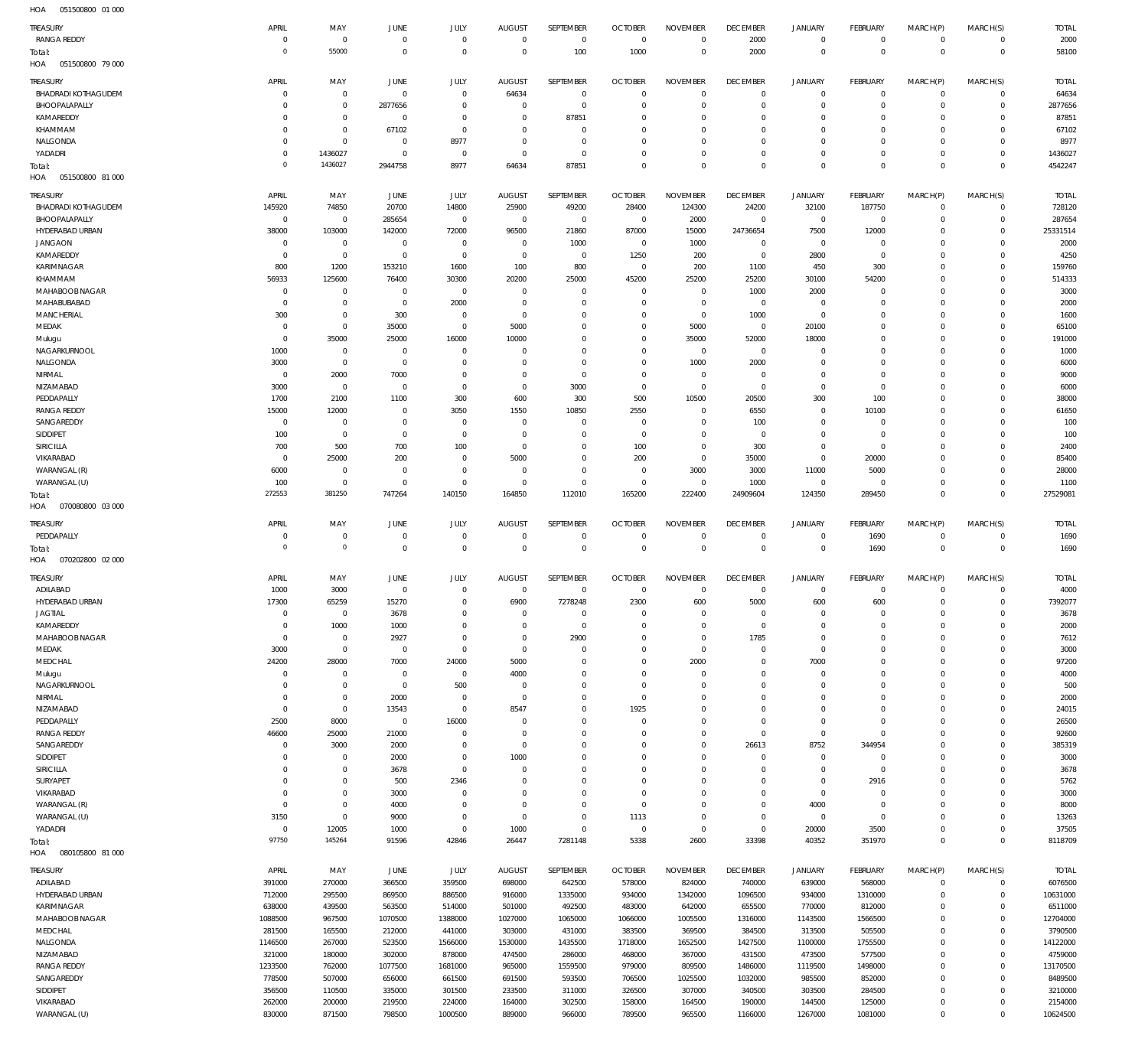| <b>TREASURY</b>            | APRIL              | MAY             | JUNE           | JULY           | AUGUST         | SEPTEMBER      | <b>OCTOBER</b> | <b>NOVEMBER</b> | <b>DECEMBER</b> | <b>JANUARY</b> | <b>FEBRUARY</b> | MARCH(P)    | MARCH(S)     | <b>TOTAL</b> |
|----------------------------|--------------------|-----------------|----------------|----------------|----------------|----------------|----------------|-----------------|-----------------|----------------|-----------------|-------------|--------------|--------------|
| <b>RANGA REDDY</b>         | $\Omega$           | $^{\circ}$      | $\mathbf 0$    | $\mathbf 0$    | $\mathbf 0$    | $\overline{0}$ | $\overline{0}$ | $\overline{0}$  | 2000            | $\overline{0}$ | $\circ$         | $\Omega$    | $\Omega$     | 2000         |
| Total:                     | $\circ$            | 55000           | $\mathbf 0$    | $\mathbf 0$    | $\mathbf 0$    | 100            | 1000           | $\mathbf 0$     | 2000            | $\mathbf{0}$   | $\overline{0}$  | $\Omega$    | $\mathbf 0$  | 58100        |
| HOA<br>051500800 79 000    |                    |                 |                |                |                |                |                |                 |                 |                |                 |             |              |              |
|                            |                    |                 |                |                |                |                |                |                 |                 |                |                 |             |              |              |
| TREASURY                   | APRIL              | MAY             | JUNE           | JULY           | <b>AUGUST</b>  | SEPTEMBER      | <b>OCTOBER</b> | <b>NOVEMBER</b> | <b>DECEMBER</b> | JANUARY        | <b>FEBRUARY</b> | MARCH(P)    | MARCH(S)     | <b>TOTAL</b> |
| <b>BHADRADI KOTHAGUDEM</b> | C                  | $\mathbf 0$     | $^{\circ}$     | $\mathbf 0$    | 64634          | $\overline{0}$ | $\overline{0}$ | $\Omega$        | $^{\circ}$      | $\overline{0}$ | $^{\circ}$      | $\Omega$    | $\Omega$     | 64634        |
| BHOOPALAPALLY              | -C                 | $\mathbf 0$     | 2877656        | $\mathbf 0$    | $\mathbf 0$    | $\overline{0}$ | $\overline{0}$ | 0               | $\mathbf{0}$    | $\mathbf 0$    | $^{\circ}$      | $\Omega$    | $\mathbf 0$  | 2877656      |
| KAMAREDDY                  | $\Omega$           | $\mathbf 0$     | $\mathbf 0$    | $\mathbf 0$    | $\mathbf 0$    | 87851          | $\mathbf 0$    | $\Omega$        | $\mathbf 0$     | $\mathbf 0$    | $^{\circ}$      | $\Omega$    | $\Omega$     | 87851        |
| KHAMMAM                    | $\Omega$           | $\mathbf 0$     | 67102          | $^{\circ}$     | $\mathbf 0$    | $\mathbf 0$    | $^{\circ}$     | $\mathbf 0$     | $^{\circ}$      | $\mathbf 0$    | $^{\circ}$      | - 0         | $\Omega$     | 67102        |
| NALGONDA                   | $\Omega$           | $\mathbf 0$     | $^{\circ}$     | 8977           | $\mathbf 0$    | $\mathbf 0$    | $\mathbf 0$    | $\Omega$        | $\mathbf 0$     | $\mathbf 0$    | $^{\circ}$      | $\Omega$    | $\Omega$     | 8977         |
| YADADRI                    | $\Omega$           | 1436027         | $^{\circ}$     | $^{\circ}$     | $\overline{0}$ | $\mathbf 0$    | $\mathbf 0$    | $\mathbf 0$     | $\mathbf 0$     | $\mathbf 0$    | $\mathbf{0}$    | $\Omega$    | $\Omega$     | 1436027      |
| Total:                     | 0                  | 1436027         | 2944758        | 8977           | 64634          | 87851          | $\mathbf 0$    | $\Omega$        | $\mathbf 0$     | $\mathbf 0$    | $\Omega$        | $\Omega$    | $\Omega$     | 4542247      |
| HOA<br>051500800 81 000    |                    |                 |                |                |                |                |                |                 |                 |                |                 |             |              |              |
|                            |                    |                 |                |                |                |                |                |                 |                 |                |                 |             |              |              |
| <b>TREASURY</b>            | APRIL              | MAY             | JUNE           | JULY           | <b>AUGUST</b>  | SEPTEMBER      | <b>OCTOBER</b> | <b>NOVEMBER</b> | <b>DECEMBER</b> | JANUARY        | <b>FEBRUARY</b> | MARCH(P)    | MARCH(S)     | <b>TOTAL</b> |
| <b>BHADRADI KOTHAGUDEM</b> | 145920             | 74850           | 20700          | 14800          | 25900          | 49200          | 28400          | 124300          | 24200           | 32100          | 187750          | $\Omega$    | $\circ$      | 728120       |
| BHOOPALAPALLY              | $^{\circ}$         | $\overline{0}$  | 285654         | $\mathbf 0$    | 0              | $\overline{0}$ | $\overline{0}$ | 2000            | $\mathbf{0}$    | $\overline{0}$ | $\circ$         | $\Omega$    | $\Omega$     | 287654       |
| HYDERABAD URBAN            | 38000              | 103000          | 142000         | 72000          | 96500          | 21860          | 87000          | 15000           | 24736654        | 7500           | 12000           | $\Omega$    | $\Omega$     | 25331514     |
| <b>JANGAON</b>             | $\Omega$           | $\overline{0}$  | $^{\circ}$     | $^{\circ}$     | $\mathbf 0$    | 1000           | $\overline{0}$ | 1000            | $^{\circ}$      | $\overline{0}$ | $^{\circ}$      | $\Omega$    | $\Omega$     | 2000         |
|                            |                    | $\overline{0}$  |                |                |                |                |                |                 |                 |                |                 | $\Omega$    | $\Omega$     |              |
| KAMAREDDY                  | C                  |                 | $^{\circ}$     | $\mathbf 0$    | $\mathbf 0$    | $\mathbf 0$    | 1250           | 200             | $\mathbf 0$     | 2800           | $\overline{0}$  |             |              | 4250         |
| KARIMNAGAR                 | 800                | 1200            | 153210         | 1600           | 100            | 800            | $\overline{0}$ | 200             | 1100            | 450            | 300             | $\Omega$    | $\Omega$     | 159760       |
| KHAMMAM                    | 56933              | 125600          | 76400          | 30300          | 20200          | 25000          | 45200          | 25200           | 25200           | 30100          | 54200           | $\Omega$    | $\Omega$     | 514333       |
| MAHABOOB NAGAR             | C                  | $\overline{0}$  | $^{\circ}$     | $^{\circ}$     | $\Omega$       | $\mathbf 0$    | $^{\circ}$     | $\Omega$        | 1000            | 2000           | $\circ$         | $\Omega$    | $\Omega$     | 3000         |
| MAHABUBABAD                | C                  | $\overline{0}$  | $^{\circ}$     | 2000           | $\mathbf 0$    | $\Omega$       | $\mathbf 0$    | $\mathbf 0$     | $^{\circ}$      | $\mathbf 0$    | $\Omega$        | $\Omega$    | $\Omega$     | 2000         |
| <b>MANCHERIAL</b>          | 300                | $^{\circ}$      | 300            | $\Omega$       | $\mathbf 0$    | $\Omega$       | $\mathbf 0$    | $\Omega$        | 1000            | $\overline{0}$ | $\Omega$        | $\Omega$    | $\Omega$     | 1600         |
| MEDAK                      | $\Omega$           | $\overline{0}$  | 35000          | $^{\circ}$     | 5000           | $\Omega$       | $\mathbf 0$    | 5000            | $^{\circ}$      | 20100          | $\Omega$        | $\Omega$    | $\Omega$     | 65100        |
| Mulugu                     | $\Omega$           | 35000           | 25000          | 16000          | 10000          | $\Omega$       | $\Omega$       | 35000           | 52000           | 18000          | $\Omega$        | $\Omega$    | $\Omega$     | 191000       |
| NAGARKURNOOL               | 1000               | 0               | $^{\circ}$     | $\Omega$       | $\Omega$       | $\Omega$       | $\mathbf 0$    | $^{\circ}$      | $^{\circ}$      | 0              | $\Omega$        | $\Omega$    | $\Omega$     | 1000         |
| NALGONDA                   | 3000               | $^{\circ}$      | $^{\circ}$     | $\Omega$       | $\Omega$       | $\Omega$       | $\Omega$       | 1000            | 2000            | $\Omega$       | $\Omega$        | $\Omega$    | $\Omega$     | 6000         |
|                            | $\Omega$           |                 |                | $\Omega$       | $\Omega$       | $\Omega$       |                |                 |                 |                |                 |             |              |              |
| NIRMAL                     |                    | 2000            | 7000           |                |                |                | $^{\circ}$     | $^{\circ}$      | $^{\circ}$      | $\mathbf 0$    | $^{\circ}$      | $\Omega$    | $\Omega$     | 9000         |
| NIZAMABAD                  | 3000               | $\overline{0}$  | $^{\circ}$     | $\Omega$       | $\mathbf 0$    | 3000           | $\mathbf 0$    | $\mathbf 0$     | $\mathbf 0$     | $\mathbf 0$    | $\Omega$        |             | $\Omega$     | 6000         |
| PEDDAPALLY                 | 1700               | 2100            | 1100           | 300            | 600            | 300            | 500            | 10500           | 20500           | 300            | 100             | $\Omega$    | $\Omega$     | 38000        |
| <b>RANGA REDDY</b>         | 15000              | 12000           | $^{\circ}$     | 3050           | 1550           | 10850          | 2550           | $\Omega$        | 6550            | $\mathbf 0$    | 10100           |             | $\Omega$     | 61650        |
| SANGAREDDY                 | $\Omega$           | $\overline{0}$  | $^{\circ}$     | $\Omega$       | $\Omega$       | $\Omega$       | $\overline{0}$ | $\Omega$        | 100             | $\Omega$       | $\circ$         | $\Omega$    | $\Omega$     | 100          |
| SIDDIPET                   | 100                | $\overline{0}$  | $^{\circ}$     | $\Omega$       | $\mathbf 0$    | $\Omega$       | $^{\circ}$     | $\Omega$        | $^{\circ}$      | $\Omega$       | $^{\circ}$      | $\Omega$    | $\Omega$     | 100          |
| SIRICILLA                  | 700                | 500             | 700            | 100            | $\Omega$       | $\Omega$       | 100            | $\Omega$        | 300             | $\Omega$       | $\Omega$        | $\Omega$    | $\Omega$     | 2400         |
| VIKARABAD                  | $\Omega$           | 25000           | 200            | $\Omega$       | 5000           | $\Omega$       | 200            | $\mathbf 0$     | 35000           | $\mathbf 0$    | 20000           | $\Omega$    | $\Omega$     | 85400        |
| WARANGAL (R)               | 6000               | $\overline{0}$  | $\Omega$       | $\Omega$       | $\Omega$       | $\Omega$       | $^{\circ}$     | 3000            | 3000            | 11000          | 5000            | $\Omega$    | $\Omega$     | 28000        |
| WARANGAL (U)               | 100                | $\mathbf{0}$    | $\mathbf 0$    | $\mathbf 0$    | $\mathbf 0$    | $\mathbf 0$    | $\overline{0}$ | $\overline{0}$  | 1000            | $\overline{0}$ | $\overline{0}$  | $\Omega$    | $\Omega$     | 1100         |
| Total:                     | 272553             | 381250          | 747264         | 140150         | 164850         | 112010         | 165200         | 222400          | 24909604        | 124350         | 289450          | $\Omega$    | $\Omega$     | 27529081     |
| HOA<br>070080800 03 000    |                    |                 |                |                |                |                |                |                 |                 |                |                 |             |              |              |
|                            |                    |                 |                |                |                |                |                |                 |                 |                |                 |             |              |              |
| TREASURY                   | APRIL              | MAY             | JUNE           | JULY           | <b>AUGUST</b>  | SEPTEMBER      | <b>OCTOBER</b> | <b>NOVEMBER</b> | <b>DECEMBER</b> | <b>JANUARY</b> | <b>FEBRUARY</b> | MARCH(P)    | MARCH(S)     | <b>TOTAL</b> |
| PEDDAPALLY                 | C                  | $\mathbf 0$     | $^{\circ}$     | $\mathbf 0$    | $\mathbf 0$    | $\mathbf 0$    | $^{\circ}$     | $^{\circ}$      | $^{\circ}$      | $\overline{0}$ | 1690            | $\Omega$    | $\mathbf 0$  | 1690         |
| Total:                     | $^{\circ}$         | $\mathbf 0$     | $\overline{0}$ | $\mathbf 0$    | $\mathbf 0$    | $\bf 0$        | $\overline{0}$ | $\overline{0}$  | $\mathbf 0$     | $\mathbf 0$    | 1690            | $^{\circ}$  | $\mathbf{0}$ | 1690         |
| 070202800 02 000<br>HOA    |                    |                 |                |                |                |                |                |                 |                 |                |                 |             |              |              |
|                            |                    |                 |                |                |                |                |                |                 |                 |                |                 |             |              |              |
| TREASURY                   | APRIL              | MAY             | JUNE           | JULY           | <b>AUGUST</b>  | SEPTEMBER      | <b>OCTOBER</b> | <b>NOVEMBER</b> | <b>DECEMBER</b> | <b>JANUARY</b> | <b>FEBRUARY</b> | MARCH(P)    | MARCH(S)     | <b>TOTAL</b> |
| ADILABAD                   | 1000               | 3000            | $\mathbf 0$    | $\Omega$       | $\Omega$       | $\mathbf 0$    | $\overline{0}$ | $\Omega$        | $^{\circ}$      | $\overline{0}$ | $^{\circ}$      | $\Omega$    | $\Omega$     | 4000         |
| HYDERABAD URBAN            | 17300              | 65259           | 15270          | $\Omega$       | 6900           | 7278248        | 2300           | 600             | 5000            | 600            | 600             | $\Omega$    | $\Omega$     | 7392077      |
| JAGTIAL                    | 0                  | $^{\circ}$      | 3678           | $\mathbf 0$    | $\mathbf 0$    | $\mathbf 0$    | $\mathbf 0$    | $\mathbf 0$     | $\mathbf 0$     | $\mathbf 0$    | $\circ$         | $^{\circ}$  | $\mathbf 0$  | 3678         |
| KAMAREDDY                  |                    |                 |                |                |                |                |                |                 | $\mathbf 0$     | $\mathbf 0$    |                 |             |              | 2000         |
|                            | $\Omega$           |                 | 1000           | $^{\circ}$     | $\mathbf 0$    | $\mathbf 0$    | $\mathbf 0$    | $\mathbf 0$     |                 |                | $\mathbf{0}$    | $\Omega$    | $\Omega$     |              |
| <b>MAHABOOB NAGAR</b>      | $\Omega$           | 1000            |                | $\mathbf 0$    | $\mathbf 0$    | 2900           | $\mathbf 0$    | $\mathbf 0$     |                 | $\mathbf 0$    | $\mathbf 0$     | $\Omega$    | $\Omega$     |              |
|                            |                    | $\mathbf 0$     | 2927           |                |                |                |                |                 | 1785            |                |                 | $\Omega$    | $\Omega$     | 7612         |
| MEDAK                      | 3000               | $\mathbf 0$     | $\overline{0}$ | $\mathbf 0$    | $\mathbf 0$    | $\mathbf 0$    | $\mathbf 0$    | $\mathbf 0$     | $\mathbf 0$     | $\mathsf 0$    | $\mathbf{0}$    |             |              | 3000         |
| MEDCHAL                    | 24200              | 28000           | 7000           | 24000          | 5000           | $\Omega$       | $\mathbf 0$    | 2000            | $\mathbf 0$     | 7000           | $\mathbf{0}$    | $\Omega$    | $\Omega$     | 97200        |
| Mulugu                     | $\overline{0}$     | $^{\circ}$      | $\mathbf 0$    | $\mathbf 0$    | 4000           | $\mathbf 0$    | $\mathbf 0$    | $\mathbf 0$     | $\mathbf 0$     | $\overline{0}$ | $^{\circ}$      | $\Omega$    | $\Omega$     | 4000         |
| NAGARKURNOOL               | C                  | $\mathbf{0}$    | $\mathbf 0$    | 500            | $\mathbf 0$    | $\mathbf 0$    | $\mathbf 0$    | $\mathbf 0$     | $\mathbf 0$     | $\mathbf 0$    | $\mathbf{0}$    | $\Omega$    | $\Omega$     | 500          |
| NIRMAL                     | $\Omega$           | $\mathbf{0}$    | 2000           | $^{\circ}$     | $\mathbf 0$    | $\mathbf 0$    | $\overline{0}$ | $\mathbf 0$     | $\mathbf 0$     | $\mathbf 0$    | $\mathbf{0}$    | $\Omega$    | $\Omega$     | 2000         |
| NIZAMABAD                  | $\Omega$           | $\mathbf{0}$    | 13543          | $\mathbf 0$    | 8547           | $\mathbf 0$    | 1925           | $\mathbf 0$     | $\mathbf{0}$    | $\mathbf 0$    | $\mathbf{0}$    | $\Omega$    | $\Omega$     | 24015        |
| PEDDAPALLY                 | 2500               | 8000            | $\overline{0}$ | 16000          | $\Omega$       | $\Omega$       | $\overline{0}$ | $\mathbf 0$     | $\mathbf{0}$    | $\mathbf 0$    | $\mathbf{0}$    | $\Omega$    | $\Omega$     | 26500        |
| <b>RANGA REDDY</b>         | 46600              | 25000           | 21000          | $^{\circ}$     | $\mathbf 0$    | $\mathbf 0$    | $\mathbf 0$    | $\mathbf 0$     | $\mathbf{0}$    | $\overline{0}$ | $\mathbf{0}$    | $\Omega$    | $\Omega$     | 92600        |
| SANGAREDDY                 | $\Omega$           | 3000            | 2000           | $^{\circ}$     | $\mathbf 0$    | $\Omega$       | $\mathbf 0$    | $\mathbf 0$     | 26613           | 8752           | 344954          | $\Omega$    | $\Omega$     | 385319       |
| SIDDIPET                   | C                  | $\overline{0}$  | 2000           | $\mathbf 0$    | 1000           | $\mathbf 0$    | $\mathbf 0$    | $\mathbf 0$     | $\mathbf 0$     | $\overline{0}$ | $\circ$         | $\Omega$    | $\Omega$     | 3000         |
| SIRICILLA                  | C                  | $^{\circ}$      | 3678           | $\mathbf 0$    | $\Omega$       | $\Omega$       | $\mathbf 0$    | $\Omega$        | $\Omega$        | $\mathbf 0$    | $\mathbf 0$     | $\Omega$    | $\Omega$     | 3678         |
| SURYAPET                   | $\Omega$           | $\mathbf 0$     | 500            | 2346           | $\Omega$       | $\mathbf 0$    | $\mathbf 0$    | $\mathbf 0$     | $^{\circ}$      | $\mathbf 0$    | 2916            | $\Omega$    | $\Omega$     | 5762         |
| VIKARABAD                  | 0                  | $\mathbf 0$     | 3000           | $^{\circ}$     | $\Omega$       | $\Omega$       | $\mathbf 0$    | $\mathbf 0$     | $\mathbf 0$     | $\overline{0}$ | $\mathbf 0$     | $\Omega$    | $\Omega$     | 3000         |
| WARANGAL (R)               | $^{\circ}$         | $\mathbf 0$     | 4000           | $^{\circ}$     | $\mathbf 0$    | $\mathbf 0$    | $\overline{0}$ | $\mathbf 0$     | $\mathbf 0$     | 4000           | $\circ$         | $\Omega$    | $\Omega$     | 8000         |
|                            |                    | $\mathbf 0$     |                | $\overline{0}$ | $\mathbf 0$    | $\mathbf 0$    |                | $\mathbf 0$     | $\mathbf 0$     |                | $\mathbf 0$     | $\Omega$    | $\Omega$     |              |
| WARANGAL (U)               | 3150<br>$^{\circ}$ |                 | 9000           | $\mathbf 0$    |                | $\mathbf 0$    | 1113           | $\overline{0}$  |                 | $\mathsf 0$    |                 | $\Omega$    | $\circ$      | 13263        |
| YADADRI                    | 97750              | 12005<br>145264 | 1000           |                | 1000           |                | $\overline{0}$ |                 | $\overline{0}$  | 20000          | 3500            | $\mathbf 0$ | $\mathbf 0$  | 37505        |
| Total:                     |                    |                 | 91596          | 42846          | 26447          | 7281148        | 5338           | 2600            | 33398           | 40352          | 351970          |             |              | 8118709      |
| HOA<br>080105800 81 000    |                    |                 |                |                |                |                |                |                 |                 |                |                 |             |              |              |
| <b>TREASURY</b>            | APRIL              | MAY             | JUNE           | <b>JULY</b>    | <b>AUGUST</b>  | SEPTEMBER      | <b>OCTOBER</b> | <b>NOVEMBER</b> | <b>DECEMBER</b> | <b>JANUARY</b> | <b>FEBRUARY</b> | MARCH(P)    | MARCH(S)     | <b>TOTAL</b> |
| ADILABAD                   | 391000             | 270000          | 366500         | 359500         | 698000         | 642500         | 578000         | 824000          | 740000          | 639000         | 568000          | $^{\circ}$  | $\mathbf 0$  | 6076500      |
| HYDERABAD URBAN            | 712000             | 295500          | 869500         | 886500         | 916000         | 1335000        | 934000         | 1342000         | 1096500         | 934000         | 1310000         | $^{\circ}$  | $\mathbf 0$  | 10631000     |
| KARIMNAGAR                 | 638000             | 439500          | 563500         | 514000         | 501000         | 492500         | 483000         | 642000          | 655500          | 770000         | 812000          | $\Omega$    | $\circ$      | 6511000      |
|                            |                    |                 |                |                |                |                |                |                 |                 |                |                 | $\Omega$    | $\circ$      |              |
| MAHABOOB NAGAR             | 1088500            | 967500          | 1070500        | 1388000        | 1027000        | 1065000        | 1066000        | 1005500         | 1316000         | 1143500        | 1566500         | $\Omega$    |              | 12704000     |
| MEDCHAL                    | 281500             | 165500          | 212000         | 441000         | 303000         | 431000         | 383500         | 369500          | 384500          | 313500         | 505500          |             | $\circ$      | 3790500      |
| NALGONDA                   | 1146500            | 267000          | 523500         | 1566000        | 1530000        | 1435500        | 1718000        | 1652500         | 1427500         | 1100000        | 1755500         | $\Omega$    | $\circ$      | 14122000     |
| NIZAMABAD                  | 321000             | 180000          | 302000         | 878000         | 474500         | 286000         | 468000         | 367000          | 431500          | 473500         | 577500          | $\Omega$    | $\circ$      | 4759000      |
| <b>RANGA REDDY</b>         | 1233500            | 762000          | 1077500        | 1681000        | 965000         | 1559500        | 979000         | 809500          | 1486000         | 1119500        | 1498000         | $\Omega$    | $\circ$      | 13170500     |
| SANGAREDDY                 | 778500             | 507000          | 656000         | 661500         | 691500         | 593500         | 706500         | 1025500         | 1032000         | 985500         | 852000          | $\Omega$    | $\circ$      | 8489500      |
| SIDDIPET                   | 356500             | 110500          | 335000         | 301500         | 233500         | 311000         | 326500         | 307000          | 340500          | 303500         | 284500          | $\Omega$    | $\circ$      | 3210000      |
| VIKARABAD                  | 262000             | 200000          | 219500         | 224000         | 164000         | 302500         | 158000         | 164500          | 190000          | 144500         | 125000          | $^{\circ}$  | $\mathbf 0$  | 2154000      |
| WARANGAL (U)               | 830000             | 871500          | 798500         | 1000500        | 889000         | 966000         | 789500         | 965500          | 1166000         | 1267000        | 1081000         | $\mathbf 0$ | $\mathbf 0$  | 10624500     |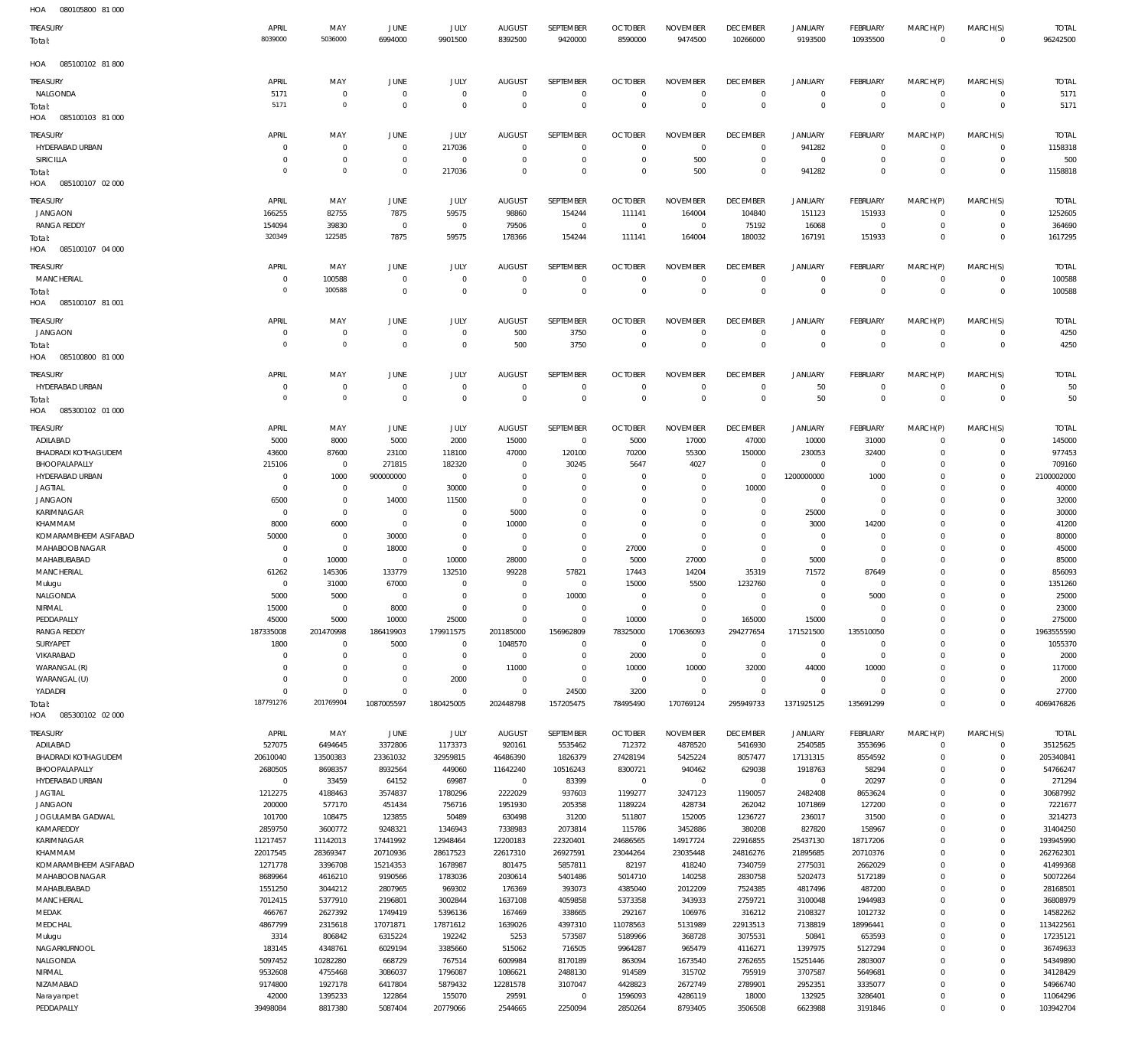| HOA | 080105800 81 000 |  |
|-----|------------------|--|
|     |                  |  |

| TREASURY<br>Total:                            | APRIL<br>8039000                 | MAY<br>5036000             | <b>JUNE</b><br>6994000           | JULY<br>9901500            | <b>AUGUST</b><br>8392500         | SEPTEMBER<br>9420000       | <b>OCTOBER</b><br>8590000        | <b>NOVEMBER</b><br>9474500 | <b>DECEMBER</b><br>10266000  | <b>JANUARY</b><br>9193500  | <b>FEBRUARY</b><br>10935500 | MARCH(P)<br>$\mathbb O$    | MARCH(S)<br>$\overline{0}$ | <b>TOTAL</b><br>96242500 |
|-----------------------------------------------|----------------------------------|----------------------------|----------------------------------|----------------------------|----------------------------------|----------------------------|----------------------------------|----------------------------|------------------------------|----------------------------|-----------------------------|----------------------------|----------------------------|--------------------------|
| HOA<br>085100102 81 800                       |                                  |                            |                                  |                            |                                  |                            |                                  |                            |                              |                            |                             |                            |                            |                          |
| <b>TREASURY</b>                               | APRIL                            | MAY                        | JUNE                             | JULY                       | <b>AUGUST</b>                    | SEPTEMBER                  | <b>OCTOBER</b>                   | <b>NOVEMBER</b>            | <b>DECEMBER</b>              | <b>JANUARY</b>             | FEBRUARY                    | MARCH(P)                   | MARCH(S)                   | <b>TOTAL</b>             |
| NALGONDA<br>Total:<br>HOA<br>085100103 81 000 | 5171<br>5171                     | $\mathbf 0$<br>$\mathbf 0$ | $\overline{0}$<br>$\overline{0}$ | $\mathbf 0$<br>$\mathbf 0$ | $\overline{0}$<br>$\overline{0}$ | $\mathbf 0$<br>$\mathbf 0$ | $\overline{0}$<br>$\overline{0}$ | $\mathbf 0$<br>$\mathbf 0$ | $\mathbf{0}$<br>$\mathbf 0$  | $\mathbf 0$<br>$\mathbb O$ | $\mathbf 0$<br>$\mathbb O$  | $\mathbf 0$<br>$\mathbf 0$ | $\mathbf 0$<br>$\mathbf 0$ | 5171<br>5171             |
| TREASURY                                      | APRIL                            | MAY                        | JUNE                             | JULY                       | <b>AUGUST</b>                    | SEPTEMBER                  | <b>OCTOBER</b>                   | <b>NOVEMBER</b>            | <b>DECEMBER</b>              | <b>JANUARY</b>             | FEBRUARY                    | MARCH(P)                   | MARCH(S)                   | <b>TOTAL</b>             |
| HYDERABAD URBAN                               | 0                                | $\mathbf 0$                | $\overline{0}$                   | 217036                     | $\overline{0}$                   | $\mathbf 0$                | $\overline{0}$                   | $\mathbf 0$                | $\mathbf{0}$                 | 941282                     | $\mathbf 0$                 | $\mathbf 0$                | $^{\circ}$                 | 1158318                  |
| SIRICILLA                                     | $\overline{0}$                   | $\mathbf 0$                | $\overline{0}$                   | $\mathbf 0$                | $\mathbf 0$                      | $\mathbf 0$                | $^{\circ}$                       | 500                        | $\mathbf{0}$                 | $\mathbf 0$                | 0                           | $\mathbf 0$                | $^{\circ}$                 | 500                      |
| Total:<br>HOA<br>085100107 02 000             | $\overline{0}$                   | $\mathbf 0$                | $\overline{0}$                   | 217036                     | $\overline{0}$                   | $\mathbf 0$                | $^{\circ}$                       | 500                        | $\mathbf{0}$                 | 941282                     | $\mathbf 0$                 | $\mathbf 0$                | $\mathbf 0$                | 1158818                  |
| TREASURY                                      | APRIL                            | MAY                        | JUNE                             | JULY                       | <b>AUGUST</b>                    | SEPTEMBER                  | <b>OCTOBER</b>                   | <b>NOVEMBER</b>            | <b>DECEMBER</b>              | <b>JANUARY</b>             | FEBRUARY                    | MARCH(P)                   | MARCH(S)                   | <b>TOTAL</b>             |
| <b>JANGAON</b>                                | 166255                           | 82755                      | 7875                             | 59575                      | 98860                            | 154244                     | 111141                           | 164004                     | 104840                       | 151123                     | 151933                      | $\mathbf 0$                | $\mathbf 0$                | 1252605                  |
| <b>RANGA REDDY</b>                            | 154094                           | 39830                      | $\overline{0}$                   | $\mathbf 0$                | 79506                            | $^{\circ}$                 | $\overline{0}$                   | $\mathbf 0$                | 75192                        | 16068                      | $\mathbf 0$                 | $\mathbf 0$                | $\mathbf 0$                | 364690                   |
| Total:<br>HOA   085100107   04   000          | 320349                           | 122585                     | 7875                             | 59575                      | 178366                           | 154244                     | 111141                           | 164004                     | 180032                       | 167191                     | 151933                      | $\Omega$                   | $\mathbf 0$                | 1617295                  |
| TREASURY                                      | APRIL                            | MAY                        | JUNE                             | <b>JULY</b>                | <b>AUGUST</b>                    | SEPTEMBER                  | <b>OCTOBER</b>                   | <b>NOVEMBER</b>            | <b>DECEMBER</b>              | <b>JANUARY</b>             | FEBRUARY                    | MARCH(P)                   | MARCH(S)                   | <b>TOTAL</b>             |
| MANCHERIAL                                    | $\overline{0}$<br>$\overline{0}$ | 100588                     | $\overline{0}$                   | $\mathbf 0$                | $\overline{0}$                   | $\mathbf 0$                | $\overline{0}$                   | $\mathbf 0$                | $\mathbf 0$                  | $\mathbf 0$                | $\mathbf 0$                 | $\mathbf 0$                | $\mathbf 0$                | 100588                   |
| Total:<br>HOA<br>085100107 81 001             |                                  | 100588                     | $\overline{0}$                   | $\mathbf 0$                | $\overline{0}$                   | $\mathbf 0$                | $\overline{0}$                   | $\mathbf 0$                | $\mathbf 0$                  | $\mathbb O$                | $^{\circ}$                  | $\mathbf 0$                | $\mathbf 0$                | 100588                   |
| TREASURY                                      | APRIL                            | MAY                        | <b>JUNE</b>                      | <b>JULY</b>                | <b>AUGUST</b>                    | SEPTEMBER                  | <b>OCTOBER</b>                   | <b>NOVEMBER</b>            | <b>DECEMBER</b>              | <b>JANUARY</b>             | FEBRUARY                    | MARCH(P)                   | MARCH(S)                   | <b>TOTAL</b>             |
| <b>JANGAON</b>                                | $\overline{0}$<br>$\overline{0}$ | $^{\circ}$<br>$\mathbf 0$  | $\overline{0}$<br>$\overline{0}$ | $\mathbf 0$<br>$\mathbf 0$ | 500                              | 3750<br>3750               | $^{\circ}$                       | $\mathbf 0$<br>$\mathbf 0$ | $\mathbf 0$<br>$\mathbf 0$   | $\mathbf 0$<br>$\mathbb O$ | $\mathbf 0$<br>$\mathbf{0}$ | $\mathbf 0$<br>$\mathbf 0$ | $\mathbf 0$                | 4250                     |
| Total:<br>HOA<br>085100800 81 000             |                                  |                            |                                  |                            | 500                              |                            | $\overline{0}$                   |                            |                              |                            |                             |                            | $\mathbf 0$                | 4250                     |
| TREASURY                                      | APRIL                            | MAY                        | JUNE                             | <b>JULY</b>                | <b>AUGUST</b>                    | SEPTEMBER                  | <b>OCTOBER</b>                   | <b>NOVEMBER</b>            | <b>DECEMBER</b>              | <b>JANUARY</b>             | FEBRUARY                    | MARCH(P)                   | MARCH(S)                   | <b>TOTAL</b>             |
| HYDERABAD URBAN                               | $\overline{0}$                   | 0                          | $\overline{0}$                   | $\mathbf 0$                | $\overline{0}$                   | 0                          | $\overline{0}$                   | $\mathbf 0$                | $\mathbf 0$                  | 50                         | $\mathbf 0$                 | $\mathbf 0$                | $^{\circ}$                 | 50                       |
| Total:<br>HOA<br>085300102 01 000             | $\overline{0}$                   | $\mathbf 0$                | $\overline{0}$                   | $\mathbf 0$                | $\overline{0}$                   | $\mathbf 0$                | $\overline{0}$                   | $\mathbf 0$                | $\mathbf 0$                  | 50                         | $^{\circ}$                  | $\mathbf 0$                | $\mathbf 0$                | 50                       |
| TREASURY                                      | APRIL                            | MAY                        | <b>JUNE</b>                      | JULY                       | <b>AUGUST</b>                    | SEPTEMBER                  | <b>OCTOBER</b>                   | <b>NOVEMBER</b>            | <b>DECEMBER</b>              | <b>JANUARY</b>             | FEBRUARY                    | MARCH(P)                   | MARCH(S)                   | <b>TOTAL</b>             |
| ADILABAD                                      | 5000                             | 8000                       | 5000                             | 2000                       | 15000                            | $^{\circ}$                 | 5000                             | 17000                      | 47000                        | 10000                      | 31000                       | $\mathbf 0$                | $\mathbf 0$                | 145000                   |
| <b>BHADRADI KOTHAGUDEM</b><br>BHOOPALAPALLY   | 43600<br>215106                  | 87600<br>$\mathbf{0}$      | 23100<br>271815                  | 118100<br>182320           | 47000<br>$\overline{0}$          | 120100<br>30245            | 70200<br>5647                    | 55300<br>4027              | 150000<br>$\mathbf{0}$       | 230053<br>$\mathbf 0$      | 32400<br>$\mathbf 0$        | $\mathbf 0$<br>$\Omega$    | 0<br>$\mathbf 0$           | 977453<br>709160         |
| HYDERABAD URBAN                               | $\overline{0}$                   | 1000                       | 900000000                        | $^{\circ}$                 | $\overline{0}$                   | $\mathbf 0$                | $\overline{0}$                   | $\mathbf 0$                | $\mathbf{0}$                 | 1200000000                 | 1000                        | $\Omega$                   | $\mathbf 0$                | 2100002000               |
| <b>JAGTIAL</b>                                | $^{\circ}$                       | $^{\circ}$                 | $\overline{0}$                   | 30000                      | $\overline{0}$                   | $\mathbf 0$                | 0                                | $\mathbf 0$                | 10000                        | $\mathbf 0$                | $\circ$                     | $\mathbf 0$                | $\mathbf 0$                | 40000                    |
| <b>JANGAON</b>                                | 6500<br>$^{\circ}$               | $\mathbf 0$<br>$\mathbf 0$ | 14000<br>$\overline{0}$          | 11500<br>$^{\circ}$        | $\overline{0}$<br>5000           | $\mathbf 0$<br>$\mathbf 0$ | 0                                | $^{\circ}$<br>$\mathbf 0$  | $\mathbf{0}$<br>$\mathbf{0}$ | $\mathbf 0$                | $\mathbf 0$<br>$\mathbf 0$  | $\Omega$<br>$\mathbf 0$    | $\Omega$<br>$\mathbf 0$    | 32000                    |
| KARIMNAGAR<br>KHAMMAM                         | 8000                             | 6000                       | $\overline{0}$                   | $\mathbf 0$                | 10000                            | $\mathbf 0$                | 0<br>$^{\circ}$                  | $^{\circ}$                 | 0                            | 25000<br>3000              | 14200                       | $\mathbf 0$                | 0                          | 30000<br>41200           |
| KOMARAMBHEEM ASIFABAD                         | 50000                            | $\mathbf 0$                | 30000                            | $\mathbf 0$                | $\overline{0}$                   | $\mathbf 0$                | $\overline{0}$                   | $\mathbf 0$                | $\mathbf{0}$                 | $\circ$                    | $\mathbf 0$                 | $\Omega$                   | $\Omega$                   | 80000                    |
| MAHABOOB NAGAR                                | $^{\circ}$                       | $\mathbf 0$                | 18000                            | $\mathbf 0$                | $\overline{0}$                   | $\mathbf 0$                | 27000                            | $\mathbf 0$                | $\mathbf{0}$                 | $\mathbf 0$                | $\mathbf 0$                 | $\mathbf 0$                | 0                          | 45000                    |
| MAHABUBABAD<br>MANCHERIAL                     | $\overline{0}$<br>61262          | 10000<br>145306            | $\overline{0}$<br>133779         | 10000<br>132510            | 28000<br>99228                   | $\mathbf 0$<br>57821       | 5000<br>17443                    | 27000<br>14204             | $\mathbf{0}$<br>35319        | 5000<br>71572              | $\mathbf 0$<br>87649        | $\Omega$<br>$\Omega$       | $\Omega$<br>$\Omega$       | 85000<br>856093          |
| Mulugu                                        | $\overline{0}$                   | 31000                      | 67000                            | $\mathbf 0$                | $\overline{0}$                   | $\mathbf 0$                | 15000                            | 5500                       | 1232760                      | $\circ$                    | $\circ$                     | $\mathbf 0$                | $\Omega$                   | 1351260                  |
| NALGONDA                                      | 5000                             | 5000                       | $\overline{0}$                   | $\mathbf 0$                | $\overline{0}$                   | 10000                      | $\overline{0}$                   | $\mathbf 0$                | $\mathbf{0}$                 | $\mathbf 0$                | 5000                        | $\Omega$                   | $\Omega$                   | 25000                    |
| NIRMAL                                        | 15000                            | $^{\circ}$<br>5000         | 8000<br>10000                    | 0<br>25000                 | $^{\circ}$<br>$\overline{0}$     | $\mathbf 0$<br>$\mathbf 0$ | $\overline{0}$<br>10000          | $\mathbf 0$<br>$\mathbf 0$ | $\mathbf{0}$<br>165000       | $\circ$<br>15000           | $\mathbf 0$<br>$\mathbf 0$  | $\mathbf 0$<br>$\mathbf 0$ | $\mathbf 0$<br>$\mathbf 0$ | 23000                    |
| PEDDAPALLY<br><b>RANGA REDDY</b>              | 45000<br>187335008               | 201470998                  | 186419903                        | 179911575                  | 201185000                        | 156962809                  | 78325000                         | 170636093                  | 294277654                    | 171521500                  | 135510050                   | $\mathbf 0$                | $\mathbf 0$                | 275000<br>1963555590     |
| SURYAPET                                      | 1800                             | $\overline{0}$             | 5000                             | $\mathbf 0$                | 1048570                          | $\mathbf 0$                | $\overline{0}$                   | $\mathbf 0$                | $\mathbf 0$                  | $\circ$                    | $\mathbf 0$                 | $\mathbf 0$                | $\mathbf 0$                | 1055370                  |
| VIKARABAD                                     | $\overline{0}$                   | $\mathbf 0$                | $\overline{0}$                   | $\mathbf 0$                | $\mathbf 0$                      | $\mathbf 0$                | 2000                             | $\mathbf 0$                | $\mathbf 0$                  | $\mathbf 0$                | $\mathbf 0$                 | $\mathbf 0$                | $\mathbf 0$                | 2000                     |
| WARANGAL (R)<br>WARANGAL (U)                  | $\overline{0}$<br>$\overline{0}$ | $\mathbf 0$<br>$\mathbf 0$ | $\overline{0}$<br>$\overline{0}$ | $\mathbf 0$<br>2000        | 11000<br>$\overline{0}$          | $\mathbf 0$<br>$\mathbf 0$ | 10000<br>$\overline{0}$          | 10000<br>$\mathbf 0$       | 32000<br>$\mathbf 0$         | 44000<br>$\mathbf 0$       | 10000<br>$\mathbf 0$        | $\Omega$<br>$\mathbf 0$    | $\mathbf 0$<br>$\mathbf 0$ | 117000<br>2000           |
| YADADRI                                       | $\overline{0}$                   | $\mathbf 0$                | $\overline{0}$                   | $\mathbf 0$                | $\mathbf 0$                      | 24500                      | 3200                             | $\mathbf 0$                | $\mathbf 0$                  | $\mathbf 0$                | 0                           | $\mathbf 0$                | $\mathbf 0$                | 27700                    |
| Total:<br>085300102 02 000<br>HOA             | 187791276                        | 201769904                  | 1087005597                       | 180425005                  | 202448798                        | 157205475                  | 78495490                         | 170769124                  | 295949733                    | 1371925125                 | 135691299                   | $\Omega$                   | $\Omega$                   | 4069476826               |
| TREASURY                                      | APRIL                            | MAY                        | JUNE                             | JULY                       | <b>AUGUST</b>                    | SEPTEMBER                  | <b>OCTOBER</b>                   | <b>NOVEMBER</b>            | <b>DECEMBER</b>              | <b>JANUARY</b>             | FEBRUARY                    | MARCH(P)                   | MARCH(S)                   | <b>TOTAL</b>             |
| ADILABAD                                      | 527075                           | 6494645                    | 3372806                          | 1173373                    | 920161                           | 5535462                    | 712372                           | 4878520                    | 5416930                      | 2540585                    | 3553696                     | $\mathbf 0$                | $\mathbf 0$                | 35125625                 |
| <b>BHADRADI KOTHAGUDEM</b>                    | 20610040                         | 13500383                   | 23361032                         | 32959815                   | 46486390                         | 1826379                    | 27428194                         | 5425224                    | 8057477                      | 17131315                   | 8554592                     | $\mathbf 0$                | $\mathbf 0$                | 205340841                |
| BHOOPALAPALLY                                 | 2680505                          | 8698357                    | 8932564                          | 449060                     | 11642240                         | 10516243                   | 8300721                          | 940462                     | 629038                       | 1918763                    | 58294                       | $\mathbf 0$                | $\Omega$                   | 54766247                 |
| HYDERABAD URBAN<br><b>JAGTIAL</b>             | $\overline{0}$<br>1212275        | 33459<br>4188463           | 64152<br>3574837                 | 69987<br>1780296           | $\,0\,$<br>2222029               | 83399<br>937603            | $\overline{0}$<br>1199277        | $\overline{0}$<br>3247123  | $\mathbf 0$<br>1190057       | $\mathbf 0$<br>2482408     | 20297<br>8653624            | $\mathbf 0$<br>$\mathbf 0$ | $\mathbf 0$<br>$\Omega$    | 271294<br>30687992       |
| <b>JANGAON</b>                                | 200000                           | 577170                     | 451434                           | 756716                     | 1951930                          | 205358                     | 1189224                          | 428734                     | 262042                       | 1071869                    | 127200                      | $\mathbf 0$                | $^{\circ}$                 | 7221677                  |
| JOGULAMBA GADWAL                              | 101700                           | 108475                     | 123855                           | 50489                      | 630498                           | 31200                      | 511807                           | 152005                     | 1236727                      | 236017                     | 31500                       | $\mathbf 0$                | $^{\circ}$                 | 3214273                  |
| KAMAREDDY<br>KARIMNAGAR                       | 2859750<br>11217457              | 3600772<br>11142013        | 9248321<br>17441992              | 1346943<br>12948464        | 7338983<br>12200183              | 2073814<br>22320401        | 115786<br>24686565               | 3452886<br>14917724        | 380208<br>22916855           | 827820<br>25437130         | 158967<br>18717206          | $\mathbf 0$<br>$\mathbf 0$ | $^{\circ}$<br>$\Omega$     | 31404250<br>193945990    |
| KHAMMAM                                       | 22017545                         | 28369347                   | 20710936                         | 28617523                   | 22617310                         | 26927591                   | 23044264                         | 23035448                   | 24816276                     | 21895685                   | 20710376                    | $\mathbf 0$                | $^{\circ}$                 | 262762301                |
| KOMARAMBHEEM ASIFABAD                         | 1271778                          | 3396708                    | 15214353                         | 1678987                    | 801475                           | 5857811                    | 82197                            | 418240                     | 7340759                      | 2775031                    | 2662029                     | $\mathbf 0$                | $\Omega$                   | 41499368                 |
| MAHABOOB NAGAR                                | 8689964                          | 4616210                    | 9190566                          | 1783036                    | 2030614                          | 5401486                    | 5014710                          | 140258                     | 2830758                      | 5202473                    | 5172189                     | $\mathbf 0$                | $^{\circ}$                 | 50072264                 |
| MAHABUBABAD<br>MANCHERIAL                     | 1551250<br>7012415               | 3044212<br>5377910         | 2807965<br>2196801               | 969302<br>3002844          | 176369<br>1637108                | 393073<br>4059858          | 4385040<br>5373358               | 2012209<br>343933          | 7524385<br>2759721           | 4817496<br>3100048         | 487200<br>1944983           | $\mathbf 0$<br>$\mathbf 0$ | $\Omega$<br>$^{\circ}$     | 28168501<br>36808979     |
| MEDAK                                         | 466767                           | 2627392                    | 1749419                          | 5396136                    | 167469                           | 338665                     | 292167                           | 106976                     | 316212                       | 2108327                    | 1012732                     | $\mathbf 0$                | $^{\circ}$                 | 14582262                 |
| MEDCHAL                                       | 4867799                          | 2315618                    | 17071871                         | 17871612                   | 1639026                          | 4397310                    | 11078563                         | 5131989                    | 22913513                     | 7138819                    | 18996441                    | $\mathbf 0$                | $^{\circ}$                 | 113422561                |
| Mulugu                                        | 3314                             | 806842                     | 6315224                          | 192242                     | 5253                             | 573587                     | 5189966                          | 368728                     | 3075531                      | 50841                      | 653593                      | $\mathbf 0$                | $\Omega$                   | 17235121                 |
| NAGARKURNOOL<br>NALGONDA                      | 183145<br>5097452                | 4348761<br>10282280        | 6029194<br>668729                | 3385660<br>767514          | 515062<br>6009984                | 716505<br>8170189          | 9964287<br>863094                | 965479<br>1673540          | 4116271<br>2762655           | 1397975<br>15251446        | 5127294<br>2803007          | $\mathbf 0$<br>$\mathbf 0$ | $^{\circ}$<br>$\Omega$     | 36749633<br>54349890     |
| NIRMAL                                        | 9532608                          | 4755468                    | 3086037                          | 1796087                    | 1086621                          | 2488130                    | 914589                           | 315702                     | 795919                       | 3707587                    | 5649681                     | $\mathbf 0$                | $^{\circ}$                 | 34128429                 |
| NIZAMABAD                                     | 9174800                          | 1927178                    | 6417804                          | 5879432                    | 12281578                         | 3107047                    | 4428823                          | 2672749                    | 2789901                      | 2952351                    | 3335077                     | $\mathbf 0$                | 0                          | 54966740                 |
| Narayanpet                                    | 42000                            | 1395233                    | 122864                           | 155070                     | 29591                            | $^{\circ}$                 | 1596093                          | 4286119                    | 18000                        | 132925                     | 3286401                     | $\mathbf 0$                | 0                          | 11064296                 |
| PEDDAPALLY                                    | 39498084                         | 8817380                    | 5087404                          | 20779066                   | 2544665                          | 2250094                    | 2850264                          | 8793405                    | 3506508                      | 6623988                    | 3191846                     | $\mathbf 0$                | $\Omega$                   | 103942704                |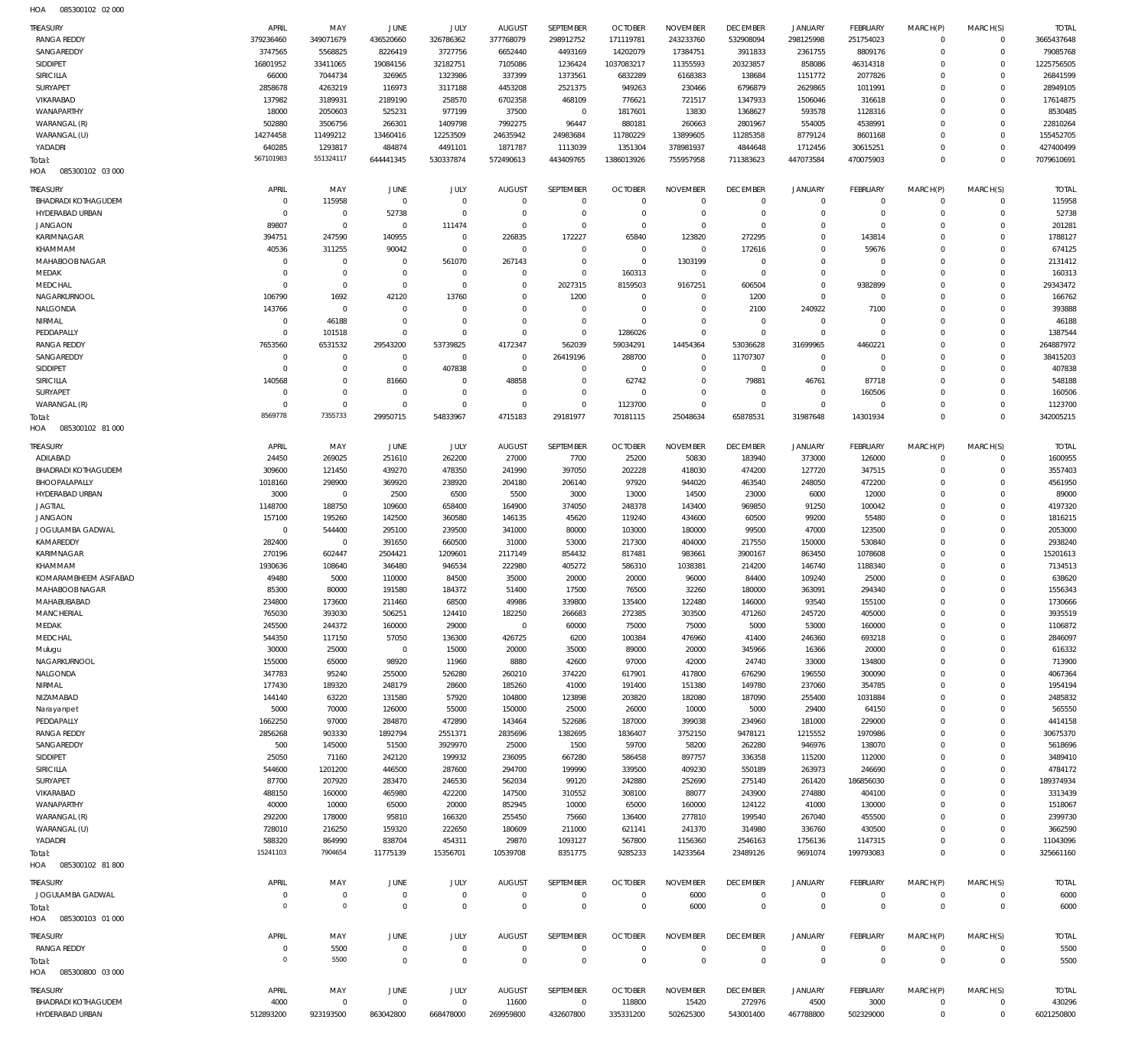085300102 02 000 HOA

| <b>TREASURY</b>                               | APRIL                | MAY                        | JUNE                        | JULY                       | <b>AUGUST</b>                | SEPTEMBER                          | <b>OCTOBER</b>                 | <b>NOVEMBER</b>               | <b>DECEMBER</b>            | <b>JANUARY</b>                | <b>FEBRUARY</b>                  | MARCH(P)                   | MARCH(S)                     | <b>TOTAL</b>            |
|-----------------------------------------------|----------------------|----------------------------|-----------------------------|----------------------------|------------------------------|------------------------------------|--------------------------------|-------------------------------|----------------------------|-------------------------------|----------------------------------|----------------------------|------------------------------|-------------------------|
| <b>RANGA REDDY</b>                            | 379236460            | 349071679                  | 436520660                   | 326786362                  | 377768079                    | 298912752                          | 171119781                      | 243233760                     | 532908094                  | 298125998                     | 251754023                        | $\Omega$                   | $\mathbf{0}$                 | 3665437648              |
| SANGAREDDY                                    | 3747565              | 5568825                    | 8226419                     | 3727756                    | 6652440                      | 4493169                            | 14202079                       | 17384751                      | 3911833                    | 2361755                       | 8809176                          | $\Omega$<br>$\Omega$       | $\mathbf{0}$<br>$\mathbf{0}$ | 79085768                |
| SIDDIPET<br><b>SIRICILLA</b>                  | 16801952<br>66000    | 33411065<br>7044734        | 19084156<br>326965          | 32182751<br>1323986        | 7105086<br>337399            | 1236424<br>1373561                 | 1037083217<br>6832289          | 11355593<br>6168383           | 20323857<br>138684         | 858086<br>1151772             | 46314318<br>2077826              | $\Omega$                   | $\Omega$                     | 1225756505<br>26841599  |
| <b>SURYAPET</b>                               | 2858678              | 4263219                    | 116973                      | 3117188                    | 4453208                      | 2521375                            | 949263                         | 230466                        | 6796879                    | 2629865                       | 1011991                          | $\Omega$                   | $\Omega$                     | 28949105                |
| VIKARABAD                                     | 137982               | 3189931                    | 2189190                     | 258570                     | 6702358                      | 468109                             | 776621                         | 721517                        | 1347933                    | 1506046                       | 316618                           | $\Omega$                   | $\Omega$                     | 17614875                |
| WANAPARTHY                                    | 18000                | 2050603                    | 525231                      | 977199                     | 37500                        | $\mathbf 0$                        | 1817601                        | 13830                         | 1368627                    | 593578                        | 1128316                          | $\Omega$                   | $\Omega$                     | 8530485                 |
| WARANGAL (R)                                  | 502880               | 3506756                    | 266301                      | 1409798                    | 7992275                      | 96447                              | 880181                         | 260663                        | 2801967                    | 554005                        | 4538991                          | $\Omega$                   | $\Omega$                     | 22810264                |
| WARANGAL (U)                                  | 14274458             | 11499212                   | 13460416                    | 12253509                   | 24635942                     | 24983684                           | 11780229                       | 13899605                      | 11285358                   | 8779124                       | 8601168                          | $\Omega$                   | $\Omega$                     | 155452705               |
| YADADRI                                       | 640285<br>567101983  | 1293817<br>551324117       | 484874<br>644441345         | 4491101<br>530337874       | 1871787<br>572490613         | 1113039<br>443409765               | 1351304<br>1386013926          | 378981937<br>755957958        | 4844648<br>711383623       | 1712456<br>447073584          | 30615251<br>470075903            | $\Omega$<br>0              | $\Omega$<br>$\Omega$         | 427400499<br>7079610691 |
| Total:<br>085300102 03 000<br>HOA             |                      |                            |                             |                            |                              |                                    |                                |                               |                            |                               |                                  |                            |                              |                         |
| Treasury                                      | APRIL                | MAY                        | JUNE                        | JULY                       | <b>AUGUST</b>                | SEPTEMBER                          | <b>OCTOBER</b>                 | <b>NOVEMBER</b>               | <b>DECEMBER</b>            | <b>JANUARY</b>                | <b>FEBRUARY</b>                  | MARCH(P)                   | MARCH(S)                     | <b>TOTAL</b>            |
| <b>BHADRADI KOTHAGUDEM</b><br>HYDERABAD URBAN | $\Omega$<br>$\Omega$ | 115958<br>$\overline{0}$   | $\Omega$<br>52738           | $\mathbf 0$<br>$\Omega$    | $\Omega$<br>$\Omega$         | $\mathbf 0$<br>$\mathbf 0$         | $\Omega$<br>$\Omega$           | $\mathbf 0$<br>$\overline{0}$ | $\mathbf 0$<br>$^{\circ}$  | $\mathbf 0$<br>$\mathbf 0$    | $\overline{0}$<br>$\overline{0}$ | $\Omega$<br>$\Omega$       | $^{\circ}$<br>$\mathbf 0$    | 115958<br>52738         |
| <b>JANGAON</b>                                | 89807                | $\overline{0}$             | $\Omega$                    | 111474                     | $\Omega$                     | $\Omega$                           | $\Omega$                       | $\Omega$                      | $^{\circ}$                 | $\Omega$                      | $\Omega$                         | $\Omega$                   | $\Omega$                     | 201281                  |
| KARIMNAGAR                                    | 394751               | 247590                     | 140955                      | $\mathbf 0$                | 226835                       | 172227                             | 65840                          | 123820                        | 272295                     | $\Omega$                      | 143814                           | $\Omega$                   | $\Omega$                     | 1788127                 |
| KHAMMAM                                       | 40536                | 311255                     | 90042                       | $\Omega$                   | $\Omega$                     | $\Omega$                           | $\Omega$                       | $\mathbf 0$                   | 172616                     | $\Omega$                      | 59676                            | $\Omega$                   | $\Omega$                     | 674125                  |
| MAHABOOB NAGAR                                | $\Omega$             | $\Omega$                   | $\Omega$                    | 561070                     | 267143                       | $\mathbf 0$                        | $\Omega$                       | 1303199                       | $\Omega$                   | $\Omega$                      | $\Omega$                         | $\Omega$                   | $\Omega$                     | 2131412                 |
| MEDAK                                         | $\Omega$             | $\Omega$                   | $\Omega$                    | $\mathbf 0$                | $\Omega$                     | $\Omega$                           | 160313                         | $^{\circ}$                    | $^{\circ}$                 | $\Omega$                      | $\Omega$                         | $\Omega$                   | $\Omega$                     | 160313                  |
| MEDCHAL<br>NAGARKURNOOL                       | $\Omega$<br>106790   | $\Omega$<br>1692           | $\Omega$<br>42120           | $\Omega$<br>13760          | $\Omega$<br>$\Omega$         | 2027315<br>1200                    | 8159503<br>$\Omega$            | 9167251<br>$\mathbf 0$        | 606504<br>1200             | $\Omega$<br>$\Omega$          | 9382899<br>$\Omega$              | $\Omega$<br>$\Omega$       | $\Omega$<br>$\Omega$         | 29343472<br>166762      |
| NALGONDA                                      | 143766               | $\overline{0}$             | $\Omega$                    | $\Omega$                   | $\Omega$                     | $\Omega$                           | $\Omega$                       | $\Omega$                      | 2100                       | 240922                        | 7100                             | $\Omega$                   | $\Omega$                     | 393888                  |
| NIRMAL                                        | $\Omega$             | 46188                      | $\Omega$                    | $\Omega$                   | $\Omega$                     | $\mathbf 0$                        | $\Omega$                       | $\mathbf 0$                   | $^{\circ}$                 | $^{\circ}$                    | $\mathbf 0$                      | $\Omega$                   | $\Omega$                     | 46188                   |
| PEDDAPALLY                                    | $\Omega$             | 101518                     | $\Omega$                    | $\Omega$                   | $\Omega$                     | $\Omega$                           | 1286026                        | $\Omega$                      | $\mathbf 0$                | $\Omega$                      | $\Omega$                         | $\Omega$                   | $\Omega$                     | 1387544                 |
| <b>RANGA REDDY</b>                            | 7653560              | 6531532                    | 29543200                    | 53739825                   | 4172347                      | 562039                             | 59034291                       | 14454364                      | 53036628                   | 31699965                      | 4460221                          | $\Omega$                   | $\Omega$                     | 264887972               |
| SANGAREDDY                                    | $\Omega$             | $\Omega$                   | $\Omega$                    | $\Omega$                   | $\overline{0}$               | 26419196                           | 288700                         | $\Omega$                      | 11707307                   | $\mathbf 0$                   | $\Omega$                         | $\Omega$                   | $\Omega$                     | 38415203                |
| SIDDIPET<br><b>SIRICILLA</b>                  | $\Omega$<br>140568   | $\Omega$<br>$\Omega$       | $\Omega$<br>81660           | 407838<br>$\Omega$         | $\Omega$<br>48858            | $\mathbf 0$<br>$\Omega$            | $\overline{0}$<br>62742        | $\mathbf 0$<br>$\Omega$       | $\mathbf 0$<br>79881       | $\mathbf 0$<br>46761          | $\overline{0}$<br>87718          | $\Omega$<br>$\Omega$       | $\Omega$<br>$\Omega$         | 407838<br>548188        |
| SURYAPET                                      | $\Omega$             | $\Omega$                   | $\Omega$                    | $\Omega$                   | $\Omega$                     | $\mathbf 0$                        | $\Omega$                       | $\mathbf 0$                   | $\mathbf 0$                | $\mathbf 0$                   | 160506                           | $\Omega$                   | $\Omega$                     | 160506                  |
| WARANGAL (R)                                  | $\Omega$             | $\Omega$                   | $\Omega$                    | $\Omega$                   | $\Omega$                     | $\Omega$                           | 1123700                        | $\Omega$                      | $\mathbf 0$                | $\mathbf 0$                   | $\overline{0}$                   | $\Omega$                   | $\Omega$                     | 1123700                 |
| Total:                                        | 8569778              | 7355733                    | 29950715                    | 54833967                   | 4715183                      | 29181977                           | 70181115                       | 25048634                      | 65878531                   | 31987648                      | 14301934                         | $\Omega$                   | $\Omega$                     | 342005215               |
| 085300102 81 000<br>HOA                       |                      |                            |                             |                            |                              |                                    |                                |                               |                            |                               |                                  |                            |                              |                         |
| <b>TREASURY</b>                               | APRIL                | MAY                        | JUNE                        | <b>JULY</b>                | <b>AUGUST</b>                | SEPTEMBER                          | <b>OCTOBER</b>                 | <b>NOVEMBER</b>               | <b>DECEMBER</b>            | <b>JANUARY</b>                | FEBRUARY                         | MARCH(P)                   | MARCH(S)                     | <b>TOTAL</b>            |
| ADILABAD                                      | 24450                | 269025                     | 251610                      | 262200                     | 27000                        | 7700                               | 25200                          | 50830                         | 183940                     | 373000                        | 126000                           | $\mathbf 0$<br>$\Omega$    | $\mathbf{0}$<br>$\mathbf{0}$ | 1600955                 |
| <b>BHADRADI KOTHAGUDEM</b><br>BHOOPALAPALLY   | 309600<br>1018160    | 121450<br>298900           | 439270<br>369920            | 478350<br>238920           | 241990<br>204180             | 397050<br>206140                   | 202228<br>97920                | 418030<br>944020              | 474200<br>463540           | 127720<br>248050              | 347515<br>472200                 | $\Omega$                   | $\Omega$                     | 3557403<br>4561950      |
| HYDERABAD URBAN                               | 3000                 | $\overline{0}$             | 2500                        | 6500                       | 5500                         | 3000                               | 13000                          | 14500                         | 23000                      | 6000                          | 12000                            | $\Omega$                   | $\Omega$                     | 89000                   |
| <b>JAGTIAL</b>                                | 1148700              | 188750                     | 109600                      | 658400                     | 164900                       | 374050                             | 248378                         | 143400                        | 969850                     | 91250                         | 100042                           | $\Omega$                   | $\Omega$                     | 4197320                 |
| <b>JANGAON</b>                                | 157100               | 195260                     | 142500                      | 360580                     | 146135                       | 45620                              | 119240                         | 434600                        | 60500                      | 99200                         | 55480                            | $\Omega$                   | $\Omega$                     | 1816215                 |
| JOGULAMBA GADWAL                              | $\Omega$             | 544400                     | 295100                      | 239500                     | 341000                       | 80000                              | 103000                         | 180000                        | 99500                      | 47000                         | 123500                           | $\Omega$                   | $\Omega$                     | 2053000                 |
| KAMAREDDY                                     | 282400               | $\overline{0}$             | 391650                      | 660500                     | 31000                        | 53000                              | 217300                         | 404000                        | 217550                     | 150000                        | 530840                           | $\Omega$                   | $\Omega$                     | 2938240                 |
| <b>KARIMNAGAR</b><br>KHAMMAM                  | 270196<br>1930636    | 602447<br>108640           | 2504421<br>346480           | 1209601<br>946534          | 2117149<br>222980            | 854432<br>405272                   | 817481<br>586310               | 983661<br>1038381             | 3900167<br>214200          | 863450<br>146740              | 1078608<br>1188340               | $\Omega$<br>$\Omega$       | $\Omega$<br>$\Omega$         | 15201613<br>7134513     |
| KOMARAMBHEEM ASIFABAD                         | 49480                | 5000                       | 110000                      | 84500                      | 35000                        | 20000                              | 20000                          | 96000                         | 84400                      | 109240                        | 25000                            | $\Omega$                   | $\Omega$                     | 638620                  |
| MAHABOOB NAGAR                                | 85300                | 80000                      | 191580                      | 184372                     | 51400                        | 17500                              | 76500                          | 32260                         | 180000                     | 363091                        | 294340                           | $\Omega$                   | $\Omega$                     | 1556343                 |
| MAHABUBABAD                                   | 234800               | 173600                     | 211460                      | 68500                      | 49986                        | 339800                             | 135400                         | 122480                        | 146000                     | 93540                         | 155100                           | $\Omega$                   | $\Omega$                     | 1730666                 |
| MANCHERIAL                                    | 765030               | 393030                     | 506251                      | 124410                     | 182250                       | 266683                             | 272385                         | 303500                        | 471260                     | 245720                        | 405000                           | $\Omega$                   | $\Omega$                     | 3935519                 |
| MEDAK                                         | 245500               | 244372                     | 160000                      | 29000                      | $\mathbf 0$                  | 60000                              | 75000                          | 75000                         | 5000                       | 53000                         | 160000                           | $\mathbf 0$                | $\mathbf 0$                  | 1106872                 |
| MEDCHAL                                       | 544350               | 117150                     | 57050                       | 136300                     | 426725                       | 6200                               | 100384                         | 476960                        | 41400                      | 246360                        | 693218                           | $\Omega$<br>$\Omega$       | $\mathbf 0$<br>$\Omega$      | 2846097                 |
| Mulugu<br>NAGARKURNOOL                        | 30000<br>155000      | 25000<br>65000             | $\overline{0}$<br>98920     | 15000<br>11960             | 20000<br>8880                | 35000<br>42600                     | 89000<br>97000                 | 20000<br>42000                | 345966<br>24740            | 16366<br>33000                | 20000<br>134800                  | $\Omega$                   | $\mathbf 0$                  | 616332<br>713900        |
| NALGONDA                                      | 347783               | 95240                      | 255000                      | 526280                     | 260210                       | 374220                             | 617901                         | 417800                        | 676290                     | 196550                        | 300090                           | $\Omega$                   | $\mathbf 0$                  | 4067364                 |
| NIRMAL                                        | 177430               | 189320                     | 248179                      | 28600                      | 185260                       | 41000                              | 191400                         | 151380                        | 149780                     | 237060                        | 354785                           | $\Omega$                   | $\Omega$                     | 1954194                 |
| NIZAMABAD                                     | 144140               | 63220                      | 131580                      | 57920                      | 104800                       | 123898                             | 203820                         | 182080                        | 187090                     | 255400                        | 1031884                          | $\Omega$                   | $\mathbf 0$                  | 2485832                 |
| Narayanpet                                    | 5000                 | 70000                      | 126000                      | 55000                      | 150000                       | 25000                              | 26000                          | 10000                         | 5000                       | 29400                         | 64150                            | $\Omega$                   | $\mathbf 0$                  | 565550                  |
| PEDDAPALLY                                    | 1662250              | 97000                      | 284870                      | 472890                     | 143464                       | 522686                             | 187000                         | 399038                        | 234960                     | 181000                        | 229000                           | $\Omega$                   | $\mathbf 0$                  | 4414158                 |
| <b>RANGA REDDY</b><br>SANGAREDDY              | 2856268<br>500       | 903330<br>145000           | 1892794<br>51500            | 2551371<br>3929970         | 2835696<br>25000             | 1382695<br>1500                    | 1836407<br>59700               | 3752150<br>58200              | 9478121<br>262280          | 1215552<br>946976             | 1970986<br>138070                | $\Omega$<br>$\Omega$       | $\mathbf 0$<br>$\Omega$      | 30675370<br>5618696     |
| SIDDIPET                                      | 25050                | 71160                      | 242120                      | 199932                     | 236095                       | 667280                             | 586458                         | 897757                        | 336358                     | 115200                        | 112000                           | $\Omega$                   | $\mathbf 0$                  | 3489410                 |
| <b>SIRICILLA</b>                              | 544600               | 1201200                    | 446500                      | 287600                     | 294700                       | 199990                             | 339500                         | 409230                        | 550189                     | 263973                        | 246690                           | $\Omega$                   | $\Omega$                     | 4784172                 |
| SURYAPET                                      | 87700                | 207920                     | 283470                      | 246530                     | 562034                       | 99120                              | 242880                         | 252690                        | 275140                     | 261420                        | 186856030                        | $\Omega$                   | $\circ$                      | 189374934               |
| VIKARABAD                                     | 488150               | 160000                     | 465980                      | 422200                     | 147500                       | 310552                             | 308100                         | 88077                         | 243900                     | 274880                        | 404100                           | $\Omega$                   | $\Omega$                     | 3313439                 |
| WANAPARTHY                                    | 40000                | 10000                      | 65000                       | 20000                      | 852945                       | 10000                              | 65000                          | 160000                        | 124122                     | 41000                         | 130000                           | $\Omega$                   | $\mathbf 0$                  | 1518067                 |
| WARANGAL (R)                                  | 292200               | 178000                     | 95810                       | 166320                     | 255450                       | 75660                              | 136400                         | 277810                        | 199540<br>314980           | 267040                        | 455500<br>430500                 | $\Omega$<br>$\Omega$       | $\Omega$<br>$\mathbf 0$      | 2399730                 |
| WARANGAL (U)<br>YADADRI                       | 728010<br>588320     | 216250<br>864990           | 159320<br>838704            | 222650<br>454311           | 180609<br>29870              | 211000<br>1093127                  | 621141<br>567800               | 241370<br>1156360             | 2546163                    | 336760<br>1756136             | 1147315                          | $\Omega$                   | $\mathbf 0$                  | 3662590<br>11043096     |
| Total:                                        | 15241103             | 7904654                    | 11775139                    | 15356701                   | 10539708                     | 8351775                            | 9285233                        | 14233564                      | 23489126                   | 9691074                       | 199793083                        | $\mathbf 0$                | $\Omega$                     | 325661160               |
| 085300102 81 800<br>HOA                       |                      |                            |                             |                            |                              |                                    |                                |                               |                            |                               |                                  |                            |                              |                         |
| <b>TREASURY</b>                               | APRIL                | MAY                        | <b>JUNE</b><br>$\Omega$     | <b>JULY</b><br>$\mathbf 0$ | <b>AUGUST</b><br>$\mathbf 0$ | SEPTEMBER<br>$\mathbf 0$           | <b>OCTOBER</b>                 | <b>NOVEMBER</b>               | <b>DECEMBER</b>            | <b>JANUARY</b><br>$\mathbf 0$ | FEBRUARY<br>$\mathbf 0$          | MARCH(P)                   | MARCH(S)<br>$\mathbf 0$      | <b>TOTAL</b>            |
| JOGULAMBA GADWAL<br>Total:                    | $\Omega$<br>$\Omega$ | $\mathbf 0$<br>$\mathbf 0$ | $\overline{0}$              | $\Omega$                   | $\Omega$                     | $\mathbf 0$                        | $\overline{0}$<br>$\mathbf{0}$ | 6000<br>6000                  | $\mathbb O$<br>$\mathbf 0$ | $\mathbf 0$                   | $\mathbf{0}$                     | $\mathbf 0$<br>$\mathbf 0$ | $\mathbf 0$                  | 6000<br>6000            |
| 085300103 01 000<br>HOA                       |                      |                            |                             |                            |                              |                                    |                                |                               |                            |                               |                                  |                            |                              |                         |
| <b>TREASURY</b>                               | APRIL                | MAY                        | JUNE                        | JULY                       | <b>AUGUST</b>                | SEPTEMBER                          | <b>OCTOBER</b>                 | <b>NOVEMBER</b>               | <b>DECEMBER</b>            | <b>JANUARY</b>                | <b>FEBRUARY</b>                  | MARCH(P)                   | MARCH(S)                     | <b>TOTAL</b>            |
| RANGA REDDY                                   | $\Omega$<br>$\circ$  | 5500<br>5500               | $\mathbf 0$<br>$\mathbf 0$  | $\mathbb O$<br>$\mathbf 0$ | $\mathbf 0$<br>$\mathbf 0$   | $\mathsf{O}\xspace$<br>$\mathbb O$ | 0<br>$\mathbf 0$               | $\mathbf 0$<br>$\mathsf 0$    | $\circ$<br>$\mathbf 0$     | $\mathbf 0$<br>$\mathbf 0$    | $\mathbf 0$<br>$\overline{0}$    | $\mathbf 0$<br>$\mathbf 0$ | $\circ$<br>$\overline{0}$    | 5500<br>5500            |
| Total:<br>HOA<br>085300800 03 000             |                      |                            |                             |                            |                              |                                    |                                |                               |                            |                               |                                  |                            |                              |                         |
| <b>TREASURY</b>                               | APRIL                | MAY                        | JUNE                        | JULY                       | <b>AUGUST</b>                | SEPTEMBER                          | <b>OCTOBER</b>                 | <b>NOVEMBER</b>               | <b>DECEMBER</b>            | <b>JANUARY</b>                | FEBRUARY                         | MARCH(P)                   | MARCH(S)                     | <b>TOTAL</b>            |
| <b>BHADRADI KOTHAGUDEM</b><br>HYDERABAD URBAN | 4000<br>512893200    | $\mathbf 0$<br>923193500   | $\overline{0}$<br>863042800 | $\mathbf 0$<br>668478000   | 11600<br>269959800           | $\mathbf 0$<br>432607800           | 118800<br>335331200            | 15420<br>502625300            | 272976<br>543001400        | 4500<br>467788800             | 3000<br>502329000                | $\mathbf 0$<br>$\mathbf 0$ | $\mathbf 0$<br>$\mathbf 0$   | 430296<br>6021250800    |
|                                               |                      |                            |                             |                            |                              |                                    |                                |                               |                            |                               |                                  |                            |                              |                         |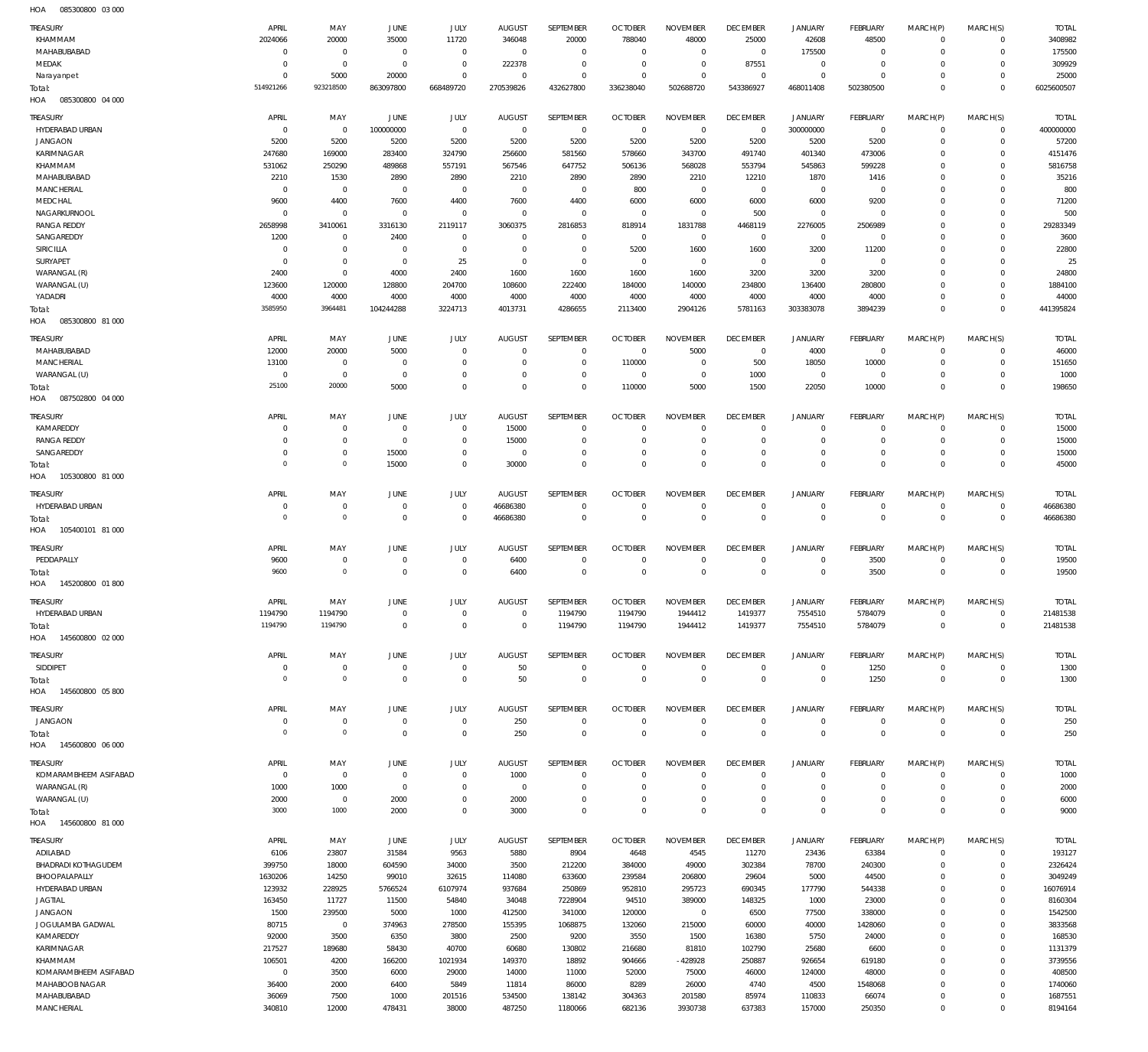HOA 085300800 03 000

| TREASURY<br>KHAMMAM               | APRIL<br>2024066 | MAY<br>20000                  | JUNE<br>35000      | <b>JULY</b><br>11720 | <b>AUGUST</b><br>346048 | SEPTEMBER<br>20000 | <b>OCTOBER</b><br>788040 | <b>NOVEMBER</b><br>48000 | <b>DECEMBER</b><br>25000 | <b>JANUARY</b><br>42608 | <b>FEBRUARY</b><br>48500 | MARCH(P)<br>$\Omega$ | MARCH(S)<br>$\overline{0}$ | <b>TOTAL</b><br>3408982 |
|-----------------------------------|------------------|-------------------------------|--------------------|----------------------|-------------------------|--------------------|--------------------------|--------------------------|--------------------------|-------------------------|--------------------------|----------------------|----------------------------|-------------------------|
| MAHABUBABAD                       | $^{\circ}$       | $\overline{0}$                | $^{\circ}$         | $\mathbf 0$          | $\overline{0}$          | $\mathbf 0$        | $\overline{0}$           | $^{\circ}$               | $\overline{0}$           | 175500                  | $^{\circ}$               | $\Omega$             | $\mathbf 0$                | 175500                  |
| MEDAK                             | $\Omega$         | $\overline{0}$                | $\Omega$           | $\Omega$             | 222378                  | $\overline{0}$     | $\overline{0}$           | $\overline{0}$           | 87551                    | $\mathbf 0$             | $\overline{0}$           | $\Omega$             | $\overline{0}$             | 309929                  |
| Narayanpet                        | $\Omega$         | 5000                          | 20000              | $\Omega$             | $\Omega$                | $\Omega$           | $\Omega$                 | $\mathbf 0$              | $\overline{0}$           | $\mathbf 0$             | $^{\circ}$               | $\Omega$             | $\overline{0}$             | 25000                   |
| Total:<br>085300800 04 000        | 514921266        | 923218500                     | 863097800          | 668489720            | 270539826               | 432627800          | 336238040                | 502688720                | 543386927                | 468011408               | 502380500                | $\Omega$             | $\Omega$                   | 6025600507              |
| HOA                               |                  |                               |                    |                      |                         |                    |                          |                          |                          |                         |                          |                      |                            |                         |
| <b>TREASURY</b>                   | APRIL            | MAY                           | <b>JUNE</b>        | JULY                 | <b>AUGUST</b>           | SEPTEMBER          | <b>OCTOBER</b>           | <b>NOVEMBER</b>          | <b>DECEMBER</b>          | <b>JANUARY</b>          | FEBRUARY                 | MARCH(P)             | MARCH(S)                   | <b>TOTAL</b>            |
| HYDERABAD URBAN                   | $^{\circ}$       | $^{\circ}$                    | 100000000          | $^{\circ}$           | $\overline{0}$          | $\overline{0}$     | $\overline{0}$           | $^{\circ}$               | $^{\circ}$               | 300000000               | $\overline{0}$           | $\Omega$             | $\mathbf 0$                | 400000000               |
| <b>JANGAON</b><br>KARIMNAGAR      | 5200<br>247680   | 5200<br>169000                | 5200<br>283400     | 5200<br>324790       | 5200<br>256600          | 5200<br>581560     | 5200<br>578660           | 5200<br>343700           | 5200<br>491740           | 5200<br>401340          | 5200<br>473006           | $\Omega$<br>$\Omega$ | $\mathbf 0$<br>$\mathbf 0$ | 57200<br>4151476        |
| KHAMMAM                           | 531062           | 250290                        | 489868             | 557191               | 567546                  | 647752             | 506136                   | 568028                   | 553794                   | 545863                  | 599228                   | $\Omega$             | $\Omega$                   | 5816758                 |
| MAHABUBABAD                       | 2210             | 1530                          | 2890               | 2890                 | 2210                    | 2890               | 2890                     | 2210                     | 12210                    | 1870                    | 1416                     | $\Omega$             | $\Omega$                   | 35216                   |
| <b>MANCHERIAL</b>                 | $^{\circ}$       | $^{\circ}$                    | $\Omega$           | $\Omega$             | $\Omega$                | $^{\circ}$         | 800                      | $^{\circ}$               | $^{\circ}$               | $\mathbf 0$             | $\overline{0}$           | $\Omega$             | $\Omega$                   | 800                     |
| MEDCHAL                           | 9600             | 4400                          | 7600               | 4400                 | 7600                    | 4400               | 6000                     | 6000                     | 6000                     | 6000                    | 9200                     | $\Omega$             | $\Omega$                   | 71200                   |
| NAGARKURNOOL                      | $^{\circ}$       | $^{\circ}$                    | $\Omega$           | $\Omega$             | $\Omega$                | $^{\circ}$         | $\overline{0}$           | $^{\circ}$               | 500                      | $^{\circ}$              | $^{\circ}$               | $\Omega$             | $\Omega$                   | 500                     |
| <b>RANGA REDDY</b>                | 2658998          | 3410061                       | 3316130            | 2119117              | 3060375                 | 2816853            | 818914                   | 1831788                  | 4468119                  | 2276005                 | 2506989                  | $\Omega$             | $\Omega$                   | 29283349                |
| SANGAREDDY                        | 1200             | $^{\circ}$                    | 2400               | $\Omega$             | $\Omega$                | $\Omega$           | $\overline{0}$           | $^{\circ}$               | $^{\circ}$               | $^{\circ}$              | $^{\circ}$               | $\Omega$             | $\Omega$                   | 3600                    |
| <b>SIRICILLA</b>                  | $^{\circ}$       | $\overline{0}$                | $\Omega$           | $\Omega$             | $\Omega$                | $^{\circ}$         | 5200                     | 1600                     | 1600                     | 3200                    | 11200                    | $\Omega$             | $\Omega$                   | 22800                   |
| SURYAPET<br>WARANGAL (R)          | $\Omega$<br>2400 | $\mathbf 0$<br>$\overline{0}$ | $^{\circ}$<br>4000 | 25<br>2400           | $\Omega$<br>1600        | $^{\circ}$<br>1600 | $\Omega$<br>1600         | $^{\circ}$<br>1600       | $^{\circ}$<br>3200       | $^{\circ}$<br>3200      | $\overline{0}$<br>3200   | $\Omega$<br>$\Omega$ | $\Omega$<br>$\Omega$       | 25<br>24800             |
| WARANGAL (U)                      | 123600           | 120000                        | 128800             | 204700               | 108600                  | 222400             | 184000                   | 140000                   | 234800                   | 136400                  | 280800                   | $\Omega$             | $\Omega$                   | 1884100                 |
| YADADRI                           | 4000             | 4000                          | 4000               | 4000                 | 4000                    | 4000               | 4000                     | 4000                     | 4000                     | 4000                    | 4000                     | $\Omega$             | $\mathbf 0$                | 44000                   |
| Total:                            | 3585950          | 3964481                       | 104244288          | 3224713              | 4013731                 | 4286655            | 2113400                  | 2904126                  | 5781163                  | 303383078               | 3894239                  | $\Omega$             | $\Omega$                   | 441395824               |
| HOA<br>085300800 81 000           |                  |                               |                    |                      |                         |                    |                          |                          |                          |                         |                          |                      |                            |                         |
| TREASURY                          | APRIL            | MAY                           | JUNE               | JULY                 | <b>AUGUST</b>           | SEPTEMBER          | <b>OCTOBER</b>           | <b>NOVEMBER</b>          | <b>DECEMBER</b>          | <b>JANUARY</b>          | FEBRUARY                 | MARCH(P)             | MARCH(S)                   | <b>TOTAL</b>            |
| MAHABUBABAD                       | 12000            | 20000                         | 5000               | $\Omega$             | $\Omega$                | $\mathbf 0$        | $\overline{0}$           | 5000                     | $\mathbf 0$              | 4000                    | $\overline{0}$           | $\Omega$             | $^{\circ}$                 | 46000                   |
| <b>MANCHERIAL</b>                 | 13100            | $\overline{0}$                | $\Omega$           | $\Omega$             | $\Omega$                | $\mathbf 0$        | 110000                   | $\overline{0}$           | 500                      | 18050                   | 10000                    | $\mathbf 0$          | $\overline{0}$             | 151650                  |
| WARANGAL (U)                      | $\overline{0}$   | $\overline{0}$                | $^{\circ}$         | $\Omega$             | $\Omega$                | $\mathbf 0$        | $\overline{0}$           | $\mathbf 0$              | 1000                     | $\mathbb O$             | $\overline{0}$           | $\mathbf 0$          | $\overline{0}$             | 1000                    |
| Total:                            | 25100            | 20000                         | 5000               | $\Omega$             | $\Omega$                | $\mathbf 0$        | 110000                   | 5000                     | 1500                     | 22050                   | 10000                    | $\mathbf 0$          | $\overline{0}$             | 198650                  |
| HOA<br>087502800 04 000           |                  |                               |                    |                      |                         |                    |                          |                          |                          |                         |                          |                      |                            |                         |
| TREASURY                          | APRIL            | MAY                           | JUNE               | JULY                 | <b>AUGUST</b>           | SEPTEMBER          | <b>OCTOBER</b>           | <b>NOVEMBER</b>          | <b>DECEMBER</b>          | <b>JANUARY</b>          | FEBRUARY                 | MARCH(P)             | MARCH(S)                   | <b>TOTAL</b>            |
| KAMAREDDY                         | $\Omega$         | $\overline{0}$                | $^{\circ}$         | $^{\circ}$           | 15000                   | $\Omega$           | $\Omega$                 | $\Omega$                 | $\Omega$                 | $^{\circ}$              | $^{\circ}$               | $\Omega$             | $^{\circ}$                 | 15000                   |
| <b>RANGA REDDY</b>                | $^{\circ}$       | $\mathbf 0$                   | $\Omega$           | $\Omega$             | 15000                   | $\Omega$           | $\Omega$                 | $\Omega$                 | $^{\circ}$               | $\mathbf 0$             | $^{\circ}$               | $\Omega$             | $^{\circ}$                 | 15000                   |
| SANGAREDDY                        | 0                | $\overline{0}$                | 15000              | $\Omega$             | $\overline{0}$          | $\mathbf 0$        | $^{\circ}$               | $\mathbf 0$              | 0                        | $\mathbf 0$             | $^{\circ}$               | $\mathbf 0$          | $^{\circ}$                 | 15000                   |
| Total:                            | $^{\circ}$       | $\overline{0}$                | 15000              | $\Omega$             | 30000                   | $\Omega$           | $\Omega$                 | $\Omega$                 | $\Omega$                 | $\Omega$                | $\Omega$                 | $\Omega$             | $\mathbf 0$                | 45000                   |
| 105300800 81 000<br>HOA           |                  |                               |                    |                      |                         |                    |                          |                          |                          |                         |                          |                      |                            |                         |
| TREASURY                          | APRIL            | MAY                           | <b>JUNE</b>        | JULY                 | <b>AUGUST</b>           | SEPTEMBER          | <b>OCTOBER</b>           | <b>NOVEMBER</b>          | <b>DECEMBER</b>          | <b>JANUARY</b>          | <b>FEBRUARY</b>          | MARCH(P)             | MARCH(S)                   | <b>TOTAL</b>            |
| HYDERABAD URBAN                   | $^{\circ}$       | $\mathbf 0$                   | $^{\circ}$         | $^{\circ}$           | 46686380                | $\mathbf 0$        | $\overline{0}$           | $^{\circ}$               | 0                        | $^{\circ}$              | $^{\circ}$               | $\mathbf 0$          | $\circ$                    | 46686380                |
| Total:                            | $\mathbf 0$      | $\overline{0}$                | $\Omega$           | $\Omega$             | 46686380                | $\mathbf 0$        | $\overline{0}$           | $\mathbb O$              | $\mathbf{0}$             | $\mathbb O$             | $\overline{0}$           | $\mathbf 0$          | $\overline{0}$             | 46686380                |
| 105400101 81 000<br>HOA           |                  |                               |                    |                      |                         |                    |                          |                          |                          |                         |                          |                      |                            |                         |
| TREASURY                          | APRIL            | MAY                           | <b>JUNE</b>        | JULY                 | <b>AUGUST</b>           | SEPTEMBER          | <b>OCTOBER</b>           | <b>NOVEMBER</b>          | <b>DECEMBER</b>          | <b>JANUARY</b>          | <b>FEBRUARY</b>          | MARCH(P)             | MARCH(S)                   | <b>TOTAL</b>            |
| PEDDAPALLY                        | 9600             | $\overline{0}$                | $^{\circ}$         | $\circ$              | 6400                    | $\overline{0}$     | $\overline{0}$           | 0                        | $\mathbf 0$              | $^{\circ}$              | 3500                     | $\mathbf 0$          | $\overline{0}$             | 19500                   |
| Total:                            | 9600             | $\overline{0}$                | $\Omega$           | $\Omega$             | 6400                    | $\mathbf 0$        | $\Omega$                 | $\mathbb O$              | $^{\circ}$               | $\mathbf 0$             | 3500                     | $\mathbf 0$          | $\overline{0}$             | 19500                   |
| 145200800 01800<br>HOA            |                  |                               |                    |                      |                         |                    |                          |                          |                          |                         |                          |                      |                            |                         |
| TREASURY                          | APRIL            | MAY                           | <b>JUNE</b>        | <b>JULY</b>          | <b>AUGUST</b>           | SEPTEMBER          | <b>OCTOBER</b>           | <b>NOVEMBER</b>          | <b>DECEMBER</b>          | <b>JANUARY</b>          | <b>FEBRUARY</b>          | MARCH(P)             | MARCH(S)                   | <b>TOTAL</b>            |
| HYDERABAD URBAN                   | 1194790          | 1194790                       | $\overline{0}$     | $\Omega$             | $\Omega$                | 1194790            | 1194790                  | 1944412                  | 1419377                  | 7554510                 | 5784079                  | $\mathbf 0$          | $^{\circ}$                 | 21481538                |
| Total:                            | 1194790          | 1194790                       | $\mathbf 0$        | $\Omega$             | $\Omega$                | 1194790            | 1194790                  | 1944412                  | 1419377                  | 7554510                 | 5784079                  | $\mathbf 0$          | $\overline{0}$             | 21481538                |
| HOA<br>145600800 02 000           |                  |                               |                    |                      |                         |                    |                          |                          |                          |                         |                          |                      |                            |                         |
| TREASURY                          | APRIL            | MAY                           | JUNE               | JULY                 | <b>AUGUST</b>           | SEPTEMBER          | <b>OCTOBER</b>           | <b>NOVEMBER</b>          | <b>DECEMBER</b>          | <b>JANUARY</b>          | FEBRUARY                 | MARCH(P)             | MARCH(S)                   | <b>TOTAL</b>            |
| SIDDIPET                          | $\overline{0}$   | $\mathbf 0$                   | $\overline{0}$     | $^{\circ}$           | 50                      | $\mathbf 0$        | $\mathbb O$              | $\,0\,$                  | $\mathbf 0$              | $\mathbb O$             | 1250                     | $\mathbf 0$          | $\circ$                    | 1300                    |
| Total:                            | $\mathbf 0$      | $\overline{0}$                | $\Omega$           | $\Omega$             | 50                      | $\mathbb O$        | $\overline{0}$           | $\mathbb O$              | $\mathbf 0$              | $\mathbf 0$             | 1250                     | $\mathbf 0$          | $\overline{0}$             | 1300                    |
| 145600800 05800<br>HOA            |                  |                               |                    |                      |                         |                    |                          |                          |                          |                         |                          |                      |                            |                         |
| TREASURY                          | APRIL            | MAY                           | JUNE               | JULY                 | <b>AUGUST</b>           | SEPTEMBER          | <b>OCTOBER</b>           | <b>NOVEMBER</b>          | <b>DECEMBER</b>          | <b>JANUARY</b>          | <b>FEBRUARY</b>          | MARCH(P)             | MARCH(S)                   | <b>TOTAL</b>            |
| <b>JANGAON</b>                    | $\overline{0}$   | $\overline{0}$                | $\overline{0}$     | $\overline{0}$       | 250                     | $\mathbf 0$        | $\overline{0}$           | $\,0\,$                  | $\overline{0}$           | $\mathbb O$             | $\overline{0}$           | $\mathbf 0$          | $\circ$                    | 250                     |
| Total:                            | $\mathbf 0$      | $\overline{0}$                | $\mathbf 0$        | $\mathbf 0$          | 250                     | $\mathbf 0$        | $\overline{0}$           | $\mathbb O$              | $\overline{0}$           | $\mathbb O$             | $\overline{0}$           | $\mathbf 0$          | $\overline{0}$             | 250                     |
| 145600800 06 000<br>HOA           |                  |                               |                    |                      |                         |                    |                          |                          |                          |                         |                          |                      |                            |                         |
| <b>TREASURY</b>                   | APRIL            | MAY                           | JUNE               | JULY                 | <b>AUGUST</b>           | SEPTEMBER          | <b>OCTOBER</b>           | <b>NOVEMBER</b>          | <b>DECEMBER</b>          | <b>JANUARY</b>          | FEBRUARY                 | MARCH(P)             | MARCH(S)                   | <b>TOTAL</b>            |
| KOMARAMBHEEM ASIFABAD             | $^{\circ}$       | $\overline{0}$                | $^{\circ}$         | $^{\circ}$           | 1000                    | $\overline{0}$     | $\overline{0}$           | $\mathbf 0$              | $^{\circ}$               | $^{\circ}$              | $^{\circ}$               | $\Omega$             | $^{\circ}$                 | 1000                    |
| WARANGAL (R)                      | 1000             | 1000                          | $^{\circ}$         | $\Omega$             | $\Omega$                | $\mathbf 0$        | $\Omega$                 | $\Omega$                 | $\Omega$                 | $\mathbf 0$             | $^{\circ}$               | $\Omega$             | $\mathbf 0$                | 2000                    |
| WARANGAL (U)                      | 2000             | $\overline{0}$                | 2000               | $\Omega$             | 2000                    | $\mathbf 0$        | $\overline{0}$           | $\overline{0}$           | $^{\circ}$               | $\mathbf 0$             | $^{\circ}$               | $\mathbf 0$          | $\mathbf 0$                | 6000                    |
| Total:                            | 3000             | 1000                          | 2000               | $\Omega$             | 3000                    | $\mathbf 0$        | $\Omega$                 | $\mathbf 0$              | $\mathbf 0$              | $\mathbf 0$             | $\mathbf 0$              | $\Omega$             | $\mathbf 0$                | 9000                    |
| HOA  145600800  81 000            |                  |                               |                    |                      |                         |                    |                          |                          |                          |                         |                          |                      |                            |                         |
| <b>TREASURY</b>                   | APRIL            | MAY                           | JUNE               | JULY                 | <b>AUGUST</b>           | SEPTEMBER          | <b>OCTOBER</b>           | <b>NOVEMBER</b>          | <b>DECEMBER</b>          | <b>JANUARY</b>          | FEBRUARY                 | MARCH(P)             | MARCH(S)                   | <b>TOTAL</b>            |
| ADILABAD                          | 6106             | 23807                         | 31584              | 9563                 | 5880                    | 8904               | 4648                     | 4545                     | 11270                    | 23436                   | 63384                    | $\mathbf 0$          | $\overline{0}$             | 193127                  |
| <b>BHADRADI KOTHAGUDEM</b>        | 399750           | 18000                         | 604590             | 34000                | 3500                    | 212200             | 384000                   | 49000                    | 302384                   | 78700                   | 240300                   | $\mathbf 0$          | $\circ$                    | 2326424                 |
| BHOOPALAPALLY                     | 1630206          | 14250                         | 99010              | 32615                | 114080                  | 633600             | 239584                   | 206800                   | 29604                    | 5000                    | 44500                    | $\Omega$             | $\mathbf 0$                | 3049249                 |
| HYDERABAD URBAN<br><b>JAGTIAL</b> | 123932<br>163450 | 228925<br>11727               | 5766524<br>11500   | 6107974<br>54840     | 937684<br>34048         | 250869<br>7228904  | 952810<br>94510          | 295723<br>389000         | 690345<br>148325         | 177790<br>1000          | 544338<br>23000          | $\Omega$<br>$\Omega$ | $\mathbf 0$<br>$\mathbf 0$ | 16076914<br>8160304     |
| <b>JANGAON</b>                    | 1500             | 239500                        | 5000               | 1000                 | 412500                  | 341000             | 120000                   | $\mathbb O$              | 6500                     | 77500                   | 338000                   | $\Omega$             | $\mathbf 0$                | 1542500                 |
| JOGULAMBA GADWAL                  | 80715            | $\overline{0}$                | 374963             | 278500               | 155395                  | 1068875            | 132060                   | 215000                   | 60000                    | 40000                   | 1428060                  | $\Omega$             | $\Omega$                   | 3833568                 |
| KAMAREDDY                         | 92000            | 3500                          | 6350               | 3800                 | 2500                    | 9200               | 3550                     | 1500                     | 16380                    | 5750                    | 24000                    | $\Omega$             | $\mathbf 0$                | 168530                  |
| KARIMNAGAR                        | 217527           | 189680                        | 58430              | 40700                | 60680                   | 130802             | 216680                   | 81810                    | 102790                   | 25680                   | 6600                     | $\Omega$             | $\mathbf 0$                | 1131379                 |
| KHAMMAM                           | 106501           | 4200                          | 166200             | 1021934              | 149370                  | 18892              | 904666                   | -428928                  | 250887                   | 926654                  | 619180                   | $\Omega$             | $\Omega$                   | 3739556                 |
| KOMARAMBHEEM ASIFABAD             | $\,0\,$          | 3500                          | 6000               | 29000                | 14000                   | 11000              | 52000                    | 75000                    | 46000                    | 124000                  | 48000                    | $\Omega$             | $\mathbf 0$                | 408500                  |
| MAHABOOB NAGAR                    | 36400            | 2000                          | 6400               | 5849                 | 11814                   | 86000              | 8289                     | 26000                    | 4740                     | 4500                    | 1548068                  | $\Omega$             | $\overline{0}$             | 1740060                 |
| MAHABUBABAD                       | 36069            | 7500                          | 1000               | 201516               | 534500                  | 138142             | 304363                   | 201580                   | 85974                    | 110833                  | 66074                    | 0                    | $\overline{0}$             | 1687551                 |
| <b>MANCHERIAL</b>                 | 340810           | 12000                         | 478431             | 38000                | 487250                  | 1180066            | 682136                   | 3930738                  | 637383                   | 157000                  | 250350                   | $\mathbf 0$          | $\overline{0}$             | 8194164                 |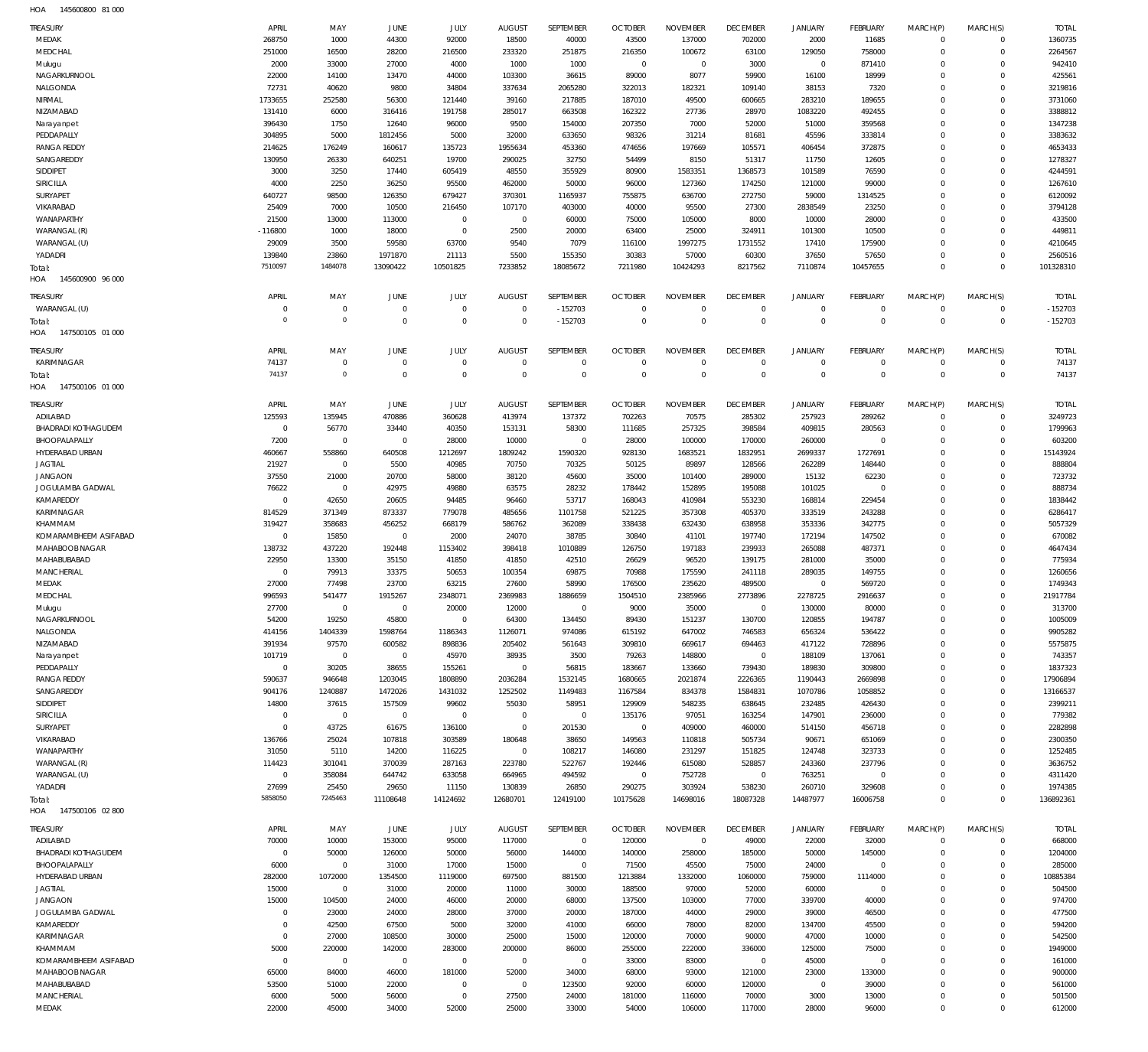| HOA | 145600800 81 000 |  |
|-----|------------------|--|

| TREASURY<br>MEDAK          | APRIL<br>268750 | MAY<br>1000         | JUNE<br>44300  | JULY<br>92000        | <b>AUGUST</b><br>18500 | SEPTEMBER<br>40000 | <b>OCTOBER</b><br>43500 | <b>NOVEMBER</b><br>137000 | <b>DECEMBER</b><br>702000 | <b>JANUARY</b><br>2000 | <b>FEBRUARY</b><br>11685 | MARCH(P)<br>$^{\circ}$     | MARCH(S)<br>$^{\circ}$ | <b>TOTAL</b><br>1360735 |
|----------------------------|-----------------|---------------------|----------------|----------------------|------------------------|--------------------|-------------------------|---------------------------|---------------------------|------------------------|--------------------------|----------------------------|------------------------|-------------------------|
| MEDCHAL                    | 251000          | 16500               | 28200          | 216500               | 233320                 | 251875             | 216350                  | 100672                    | 63100                     | 129050                 | 758000                   | $\mathbf 0$                | $\mathbf 0$            | 2264567                 |
| Mulugu                     | 2000            | 33000               | 27000          | 4000                 | 1000                   | 1000               | $\overline{0}$          | $\overline{0}$            | 3000                      | $\mathbf 0$            | 871410                   | $^{\circ}$                 | $\Omega$               | 942410                  |
| NAGARKURNOOL               | 22000           | 14100               | 13470          | 44000                | 103300                 | 36615              | 89000                   | 8077                      | 59900                     | 16100                  | 18999                    | $\Omega$                   | $\Omega$               | 425561                  |
| NALGONDA                   | 72731           | 40620               | 9800           | 34804                | 337634                 | 2065280            | 322013                  | 182321                    | 109140                    | 38153                  | 7320                     | $\Omega$                   | $\Omega$               | 3219816                 |
| NIRMAL                     | 1733655         | 252580              | 56300          | 121440               |                        | 217885             | 187010                  | 49500                     | 600665                    | 283210                 | 189655                   | $\Omega$                   | $\Omega$               | 3731060                 |
|                            |                 |                     |                |                      | 39160                  |                    |                         |                           |                           |                        |                          | $\Omega$                   | $\Omega$               | 3388812                 |
| NIZAMABAD                  | 131410          | 6000                | 316416         | 191758               | 285017                 | 663508             | 162322                  | 27736                     | 28970                     | 1083220                | 492455                   |                            | $\Omega$               |                         |
| Narayanpet                 | 396430          | 1750                | 12640          | 96000                | 9500                   | 154000             | 207350                  | 7000                      | 52000                     | 51000                  | 359568                   | $\Omega$                   |                        | 1347238                 |
| PEDDAPALLY                 | 304895          | 5000                | 1812456        | 5000                 | 32000                  | 633650             | 98326                   | 31214                     | 81681                     | 45596                  | 333814                   | $\Omega$                   | $\Omega$               | 3383632                 |
| <b>RANGA REDDY</b>         | 214625          | 176249              | 160617         | 135723               | 1955634                | 453360             | 474656                  | 197669                    | 105571                    | 406454                 | 372875                   | $\Omega$                   | $\Omega$               | 4653433                 |
| SANGAREDDY                 | 130950          | 26330               | 640251         | 19700                | 290025                 | 32750              | 54499                   | 8150                      | 51317                     | 11750                  | 12605                    | $^{\circ}$                 | $\Omega$               | 1278327                 |
| SIDDIPET                   | 3000            | 3250                | 17440          | 605419               | 48550                  | 355929             | 80900                   | 1583351                   | 1368573                   | 101589                 | 76590                    | $\Omega$                   | $\Omega$               | 4244591                 |
| <b>SIRICILLA</b>           | 4000            | 2250                | 36250          | 95500                | 462000                 | 50000              | 96000                   | 127360                    | 174250                    | 121000                 | 99000                    | $\Omega$                   | $\Omega$               | 1267610                 |
| SURYAPET                   | 640727          | 98500               | 126350         | 679427               | 370301                 | 1165937            | 755875                  | 636700                    | 272750                    | 59000                  | 1314525                  | $\Omega$                   | $\Omega$               | 6120092                 |
| VIKARABAD                  | 25409           | 7000                | 10500          | 216450               | 107170                 | 403000             | 40000                   | 95500                     | 27300                     | 2838549                | 23250                    | $\Omega$                   | $\Omega$               | 3794128                 |
| WANAPARTHY                 | 21500           | 13000               | 113000         | $\mathbf 0$          | $\overline{0}$         | 60000              | 75000                   | 105000                    | 8000                      | 10000                  | 28000                    | $\Omega$                   | $\Omega$               | 433500                  |
| WARANGAL (R)               | $-116800$       | 1000                | 18000          | $\mathbf 0$          | 2500                   | 20000              | 63400                   | 25000                     | 324911                    | 101300                 | 10500                    | $\Omega$                   | $\Omega$               | 449811                  |
| WARANGAL (U)               | 29009           | 3500                | 59580          | 63700                | 9540                   | 7079               | 116100                  | 1997275                   | 1731552                   | 17410                  | 175900                   | $\Omega$                   | $\Omega$               | 4210645                 |
| YADADRI                    | 139840          | 23860               | 1971870        | 21113                | 5500                   | 155350             | 30383                   | 57000                     | 60300                     | 37650                  | 57650                    | $\Omega$                   | $\mathbf 0$            | 2560516                 |
| Total:                     | 7510097         | 1484078             | 13090422       | 10501825             | 7233852                | 18085672           | 7211980                 | 10424293                  | 8217562                   | 7110874                | 10457655                 | $\Omega$                   | $\mathbf 0$            | 101328310               |
| HOA<br>145600900 96 000    |                 |                     |                |                      |                        |                    |                         |                           |                           |                        |                          |                            |                        |                         |
| <b>TREASURY</b>            | APRIL           | MAY                 | <b>JUNE</b>    | JULY                 | <b>AUGUST</b>          | SEPTEMBER          | <b>OCTOBER</b>          | <b>NOVEMBER</b>           | <b>DECEMBER</b>           | <b>JANUARY</b>         | <b>FEBRUARY</b>          | MARCH(P)                   | MARCH(S)               | <b>TOTAL</b>            |
| WARANGAL (U)               | $^{\circ}$      | $\mathbf 0$         | $\overline{0}$ | $\mathbf 0$          | $\overline{0}$         | $-152703$          | $\overline{0}$          | $^{\circ}$                | $^{\circ}$                | $^{\circ}$             | $\overline{0}$           | $\mathbf{0}$               | $\mathbf 0$            | $-152703$               |
| Total:                     | $\Omega$        | $\circ$             | $\overline{0}$ | $\mathbf 0$          | $\overline{0}$         | $-152703$          | $\Omega$                | $\Omega$                  | $\Omega$                  | $\Omega$               | $\mathbf 0$              | $\Omega$                   | $\mathbf 0$            | $-152703$               |
| HOA<br>147500105 01 000    |                 |                     |                |                      |                        |                    |                         |                           |                           |                        |                          |                            |                        |                         |
|                            |                 |                     |                |                      |                        |                    |                         |                           |                           |                        |                          |                            |                        |                         |
| <b>TREASURY</b>            | APRIL           | MAY                 | <b>JUNE</b>    | JULY                 | <b>AUGUST</b>          | SEPTEMBER          | <b>OCTOBER</b>          | <b>NOVEMBER</b>           | <b>DECEMBER</b>           | <b>JANUARY</b>         | <b>FEBRUARY</b>          | MARCH(P)                   | MARCH(S)               | <b>TOTAL</b>            |
| KARIMNAGAR                 | 74137           | $\mathbf{0}$        | $^{\circ}$     | $\mathbf 0$          | $\circ$                | $\overline{0}$     | $\overline{0}$          | $\overline{0}$            | $\Omega$                  | $^{\circ}$             | $\mathbf 0$              | $\mathbf 0$                | $\mathbf 0$            | 74137                   |
| Total:                     | 74137           | $\mathsf{O}\xspace$ | $\mathbf 0$    | $\Omega$             | $\Omega$               | $\overline{0}$     | $\overline{0}$          | $\Omega$                  | $\Omega$                  | $\Omega$               | $\mathbb O$              | $\mathbf 0$                | $\mathbf 0$            | 74137                   |
| 147500106 01 000<br>HOA    |                 |                     |                |                      |                        |                    |                         |                           |                           |                        |                          |                            |                        |                         |
| <b>TREASURY</b>            | APRIL           | MAY                 | <b>JUNE</b>    | JULY                 | <b>AUGUST</b>          | SEPTEMBER          | <b>OCTOBER</b>          | <b>NOVEMBER</b>           | <b>DECEMBER</b>           | <b>JANUARY</b>         | <b>FEBRUARY</b>          | MARCH(P)                   | MARCH(S)               | <b>TOTAL</b>            |
| ADILABAD                   | 125593          | 135945              | 470886         | 360628               | 413974                 | 137372             | 702263                  | 70575                     | 285302                    | 257923                 | 289262                   | $^{\circ}$                 | $\mathbf 0$            | 3249723                 |
| <b>BHADRADI KOTHAGUDEM</b> | $\mathbf 0$     | 56770               | 33440          | 40350                | 153131                 | 58300              | 111685                  | 257325                    | 398584                    | 409815                 | 280563                   | $^{\circ}$                 | $\mathbf 0$            | 1799963                 |
| BHOOPALAPALLY              | 7200            | $\mathbf 0$         | $\overline{0}$ | 28000                | 10000                  | $\overline{0}$     | 28000                   | 100000                    | 170000                    | 260000                 | $\mathbb O$              | $^{\circ}$                 | $\mathbf 0$            | 603200                  |
| HYDERABAD URBAN            | 460667          | 558860              | 640508         | 1212697              | 1809242                | 1590320            | 928130                  | 1683521                   | 1832951                   | 2699337                | 1727691                  | $\Omega$                   | $\mathbf 0$            | 15143924                |
| <b>JAGTIAL</b>             | 21927           | $\mathbf 0$         | 5500           | 40985                | 70750                  |                    | 50125                   | 89897                     | 128566                    | 262289                 | 148440                   | $\Omega$                   | $\Omega$               | 888804                  |
|                            |                 |                     |                |                      |                        | 70325              |                         |                           |                           |                        |                          | $\Omega$                   | $\Omega$               | 723732                  |
| <b>JANGAON</b>             | 37550           | 21000               | 20700          | 58000                | 38120                  | 45600              | 35000                   | 101400                    | 289000                    | 15132                  | 62230                    |                            |                        |                         |
| JOGULAMBA GADWAL           | 76622           | $\mathbf 0$         | 42975          | 49880                | 63575                  | 28232              | 178442                  | 152895                    | 195088                    | 101025                 | $\overline{0}$           | $\Omega$                   | $\mathbf 0$            | 888734                  |
| KAMAREDDY                  | $\Omega$        | 42650               | 20605          | 94485                | 96460                  | 53717              | 168043                  | 410984                    | 553230                    | 168814                 | 229454                   | $\Omega$                   | $\Omega$               | 1838442                 |
| KARIMNAGAR                 | 814529          | 371349              | 873337         | 779078               | 485656                 | 1101758            | 521225                  | 357308                    | 405370                    | 333519                 | 243288                   | $^{\circ}$                 | $\mathbf 0$            | 6286417                 |
| KHAMMAM                    | 319427          | 358683              | 456252         | 668179               | 586762                 | 362089             | 338438                  | 632430                    | 638958                    | 353336                 | 342775                   | $\Omega$                   | $\Omega$               | 5057329                 |
| KOMARAMBHEEM ASIFABAD      | $\mathbf 0$     | 15850               | $^{\circ}$     | 2000                 | 24070                  | 38785              | 30840                   | 41101                     | 197740                    | 172194                 | 147502                   | $\Omega$                   | $\Omega$               | 670082                  |
| MAHABOOB NAGAR             | 138732          | 437220              | 192448         | 1153402              | 398418                 | 1010889            | 126750                  | 197183                    | 239933                    | 265088                 | 487371                   | $\Omega$                   | $\Omega$               | 4647434                 |
| MAHABUBABAD                | 22950           | 13300               | 35150          | 41850                | 41850                  | 42510              | 26629                   | 96520                     | 139175                    | 281000                 | 35000                    | $\Omega$                   | $\mathbf 0$            | 775934                  |
| <b>MANCHERIAL</b>          | $\mathbf 0$     | 79913               | 33375          | 50653                | 100354                 | 69875              | 70988                   | 175590                    | 241118                    | 289035                 | 149755                   | $\Omega$                   | $\Omega$               | 1260656                 |
| MEDAK                      | 27000           | 77498               | 23700          | 63215                | 27600                  | 58990              | 176500                  | 235620                    | 489500                    | $\mathbf 0$            | 569720                   | $\Omega$                   | $\Omega$               | 1749343                 |
| MEDCHAL                    | 996593          | 541477              | 1915267        | 2348071              | 2369983                | 1886659            | 1504510                 | 2385966                   | 2773896                   | 2278725                | 2916637                  | $\Omega$                   | $\Omega$               | 21917784                |
| Mulugu                     | 27700           | $\mathbf{0}$        | $^{\circ}$     | 20000                | 12000                  | $\Omega$           | 9000                    | 35000                     | $\Omega$                  | 130000                 | 80000                    | $\Omega$                   | $\circ$                | 313700                  |
| NAGARKURNOOL               | 54200           | 19250               | 45800          | $\mathbf 0$          | 64300                  | 134450             | 89430                   | 151237                    | 130700                    | 120855                 | 194787                   | $^{\circ}$                 | 0                      | 1005009                 |
| NALGONDA                   | 414156          | 1404339             | 1598764        | 1186343              | 1126071                | 974086             | 615192                  | 647002                    | 746583                    | 656324                 | 536422                   | $\mathbf 0$                | $\mathbf 0$            | 9905282                 |
| NIZAMABAD                  | 391934          | 97570               | 600582         | 898836               | 205402                 | 561643             | 309810                  | 669617                    | 694463                    | 417122                 | 728896                   | $^{\circ}$                 | $\Omega$               | 5575875                 |
| Narayanpet                 | 101719          | $\mathbf 0$         | $\overline{0}$ | 45970                | 38935                  | 3500               | 79263                   | 148800                    | $\overline{0}$            | 188109                 | 137061                   | $^{\circ}$                 | $\mathbf 0$            | 743357                  |
| PEDDAPALLY                 | $\mathbf 0$     | 30205               | 38655          | 155261               | $\overline{0}$         | 56815              | 183667                  | 133660                    | 739430                    | 189830                 | 309800                   | $^{\circ}$                 | $\mathbf 0$            | 1837323                 |
| <b>RANGA REDDY</b>         | 590637          | 946648              | 1203045        | 1808890              | 2036284                | 1532145            | 1680665                 | 2021874                   | 2226365                   | 1190443                | 2669898                  | $^{\circ}$                 | $\mathbf 0$            | 17906894                |
| SANGAREDDY                 | 904176          | 1240887             | 1472026        | 1431032              | 1252502                | 1149483            | 1167584                 | 834378                    | 1584831                   | 1070786                | 1058852                  | $^{\circ}$                 | $\mathbf 0$            | 13166537                |
| SIDDIPET                   | 14800           | 37615               | 157509         | 99602                | 55030                  | 58951              | 129909                  | 548235                    | 638645                    | 232485                 | 426430                   | $\mathbf 0$                | $\mathbf 0$            | 2399211                 |
| <b>SIRICILLA</b>           | $\overline{0}$  | $\mathbf 0$         | $\mathbf 0$    | $\mathbf 0$          | $\overline{0}$         | $\overline{0}$     | 135176                  | 97051                     | 163254                    | 147901                 | 236000                   | $^{\circ}$                 | $\mathbf 0$            | 779382                  |
| SURYAPET                   | $\mathbf 0$     | 43725               | 61675          | 136100               | $\overline{0}$         | 201530             | $\overline{0}$          | 409000                    | 460000                    | 514150                 | 456718                   | $\mathbf 0$                | $\mathbf 0$            | 2282898                 |
| VIKARABAD                  | 136766          | 25024               | 107818         | 303589               | 180648                 | 38650              | 149563                  | 110818                    | 505734                    | 90671                  | 651069                   | $^{\circ}$                 | $\mathbf 0$            | 2300350                 |
| <b>WANAPARTHY</b>          | 31050           | 5110                | 14200          | 116225               | $\overline{0}$         | 108217             | 146080                  | 231297                    | 151825                    | 124748                 | 323733                   | $\mathbf 0$                | $\mathbf 0$            | 1252485                 |
| WARANGAL (R)               | 114423          | 301041              | 370039         | 287163               | 223780                 | 522767             | 192446                  | 615080                    | 528857                    | 243360                 | 237796                   | $\mathbf 0$                | $\mathbf 0$            | 3636752                 |
| WARANGAL (U)               | $\overline{0}$  | 358084              | 644742         | 633058               | 664965                 | 494592             | $\overline{0}$          | 752728                    | $\overline{0}$            | 763251                 | $\mathbb O$              | $^{\circ}$                 | $\mathbf 0$            | 4311420                 |
| YADADRI                    | 27699           | 25450               | 29650          | 11150                | 130839                 | 26850              | 290275                  | 303924                    | 538230                    | 260710                 | 329608                   | $^{\circ}$                 | $\mathbf 0$            | 1974385                 |
| Total:                     | 5858050         | 7245463             | 11108648       | 14124692             | 12680701               | 12419100           | 10175628                | 14698016                  | 18087328                  | 14487977               | 16006758                 | $\mathbf 0$                | $\mathbf 0$            | 136892361               |
| HOA<br>147500106 02 800    |                 |                     |                |                      |                        |                    |                         |                           |                           |                        |                          |                            |                        |                         |
| TREASURY                   | APRIL           | MAY                 | JUNE           | JULY                 | <b>AUGUST</b>          | SEPTEMBER          | <b>OCTOBER</b>          | <b>NOVEMBER</b>           | <b>DECEMBER</b>           | <b>JANUARY</b>         | FEBRUARY                 | MARCH(P)                   | MARCH(S)               | <b>TOTAL</b>            |
| ADILABAD                   | 70000           | 10000               | 153000         | 95000                | 117000                 | $\overline{0}$     | 120000                  | $\overline{0}$            | 49000                     | 22000                  | 32000                    | $\mathbf{0}$               | $\mathbf 0$            | 668000                  |
| <b>BHADRADI KOTHAGUDEM</b> | $\overline{0}$  | 50000               | 126000         | 50000                | 56000                  | 144000             | 140000                  | 258000                    | 185000                    | 50000                  | 145000                   | $^{\circ}$                 | 0                      | 1204000                 |
| BHOOPALAPALLY              | 6000            | $\mathbf 0$         | 31000          | 17000                | 15000                  | $\mathbf{0}$       | 71500                   | 45500                     | 75000                     | 24000                  | $\mathbf{0}$             | $\mathbf 0$                | $\mathbf 0$            | 285000                  |
| HYDERABAD URBAN            | 282000          | 1072000             | 1354500        | 1119000              | 697500                 | 881500             | 1213884                 | 1332000                   | 1060000                   | 759000                 | 1114000                  | $\mathbf 0$                | 0                      | 10885384                |
| <b>JAGTIAL</b>             | 15000           | $\mathbf 0$         | 31000          | 20000                | 11000                  | 30000              | 188500                  | 97000                     | 52000                     | 60000                  | $\mathbf{0}$             | $\mathbf 0$                | $\Omega$               | 504500                  |
| <b>JANGAON</b>             | 15000           | 104500              | 24000          | 46000                | 20000                  | 68000              | 137500                  | 103000                    | 77000                     | 339700                 | 40000                    | $\mathbf 0$                | $\Omega$               | 974700                  |
| JOGULAMBA GADWAL           | $\Omega$        | 23000               | 24000          | 28000                | 37000                  | 20000              | 187000                  | 44000                     | 29000                     | 39000                  | 46500                    | $\mathbf 0$                | $\Omega$               | 477500                  |
| KAMAREDDY                  | $\mathbf 0$     | 42500               | 67500          | 5000                 | 32000                  | 41000              | 66000                   | 78000                     | 82000                     | 134700                 | 45500                    | $\mathbf 0$                | $\Omega$               | 594200                  |
| KARIMNAGAR                 | $\mathbf 0$     | 27000               | 108500         | 30000                | 25000                  | 15000              | 120000                  | 70000                     | 90000                     | 47000                  | 10000                    | $\mathbf 0$                | $\Omega$               | 542500                  |
|                            |                 |                     |                |                      |                        |                    | 255000                  |                           |                           | 125000                 | 75000                    | $\mathbf 0$                | $\Omega$               | 1949000                 |
|                            |                 |                     |                |                      |                        |                    |                         |                           |                           |                        |                          |                            |                        |                         |
| KHAMMAM                    | 5000            | 220000              | 142000         | 283000               | 200000                 | 86000              |                         | 222000                    | 336000                    |                        |                          |                            |                        |                         |
| KOMARAMBHEEM ASIFABAD      | $\overline{0}$  | $\mathbf 0$         | $^{\circ}$     | $\mathbf 0$          | $\overline{0}$         | $\overline{0}$     | 33000                   | 83000                     | $\mathbf{0}$              | 45000                  | $\mathbf{0}$             | $\mathbf 0$                | $\Omega$               | 161000                  |
| MAHABOOB NAGAR             | 65000           | 84000               | 46000          | 181000               | 52000                  | 34000              | 68000                   | 93000                     | 121000                    | 23000                  | 133000                   | $\mathbf 0$                | $\Omega$               | 900000                  |
| MAHABUBABAD                | 53500           | 51000               | 22000          | $\mathbf 0$          | $\overline{0}$         | 123500             | 92000                   | 60000                     | 120000                    | $\overline{0}$         | 39000                    | $\mathbf 0$                | 0                      | 561000                  |
| <b>MANCHERIAL</b><br>MEDAK | 6000<br>22000   | 5000<br>45000       | 56000<br>34000 | $\mathbf 0$<br>52000 | 27500<br>25000         | 24000<br>33000     | 181000<br>54000         | 116000<br>106000          | 70000<br>117000           | 3000<br>28000          | 13000<br>96000           | $\mathbf 0$<br>$\mathbf 0$ | 0<br>$\mathbf 0$       | 501500<br>612000        |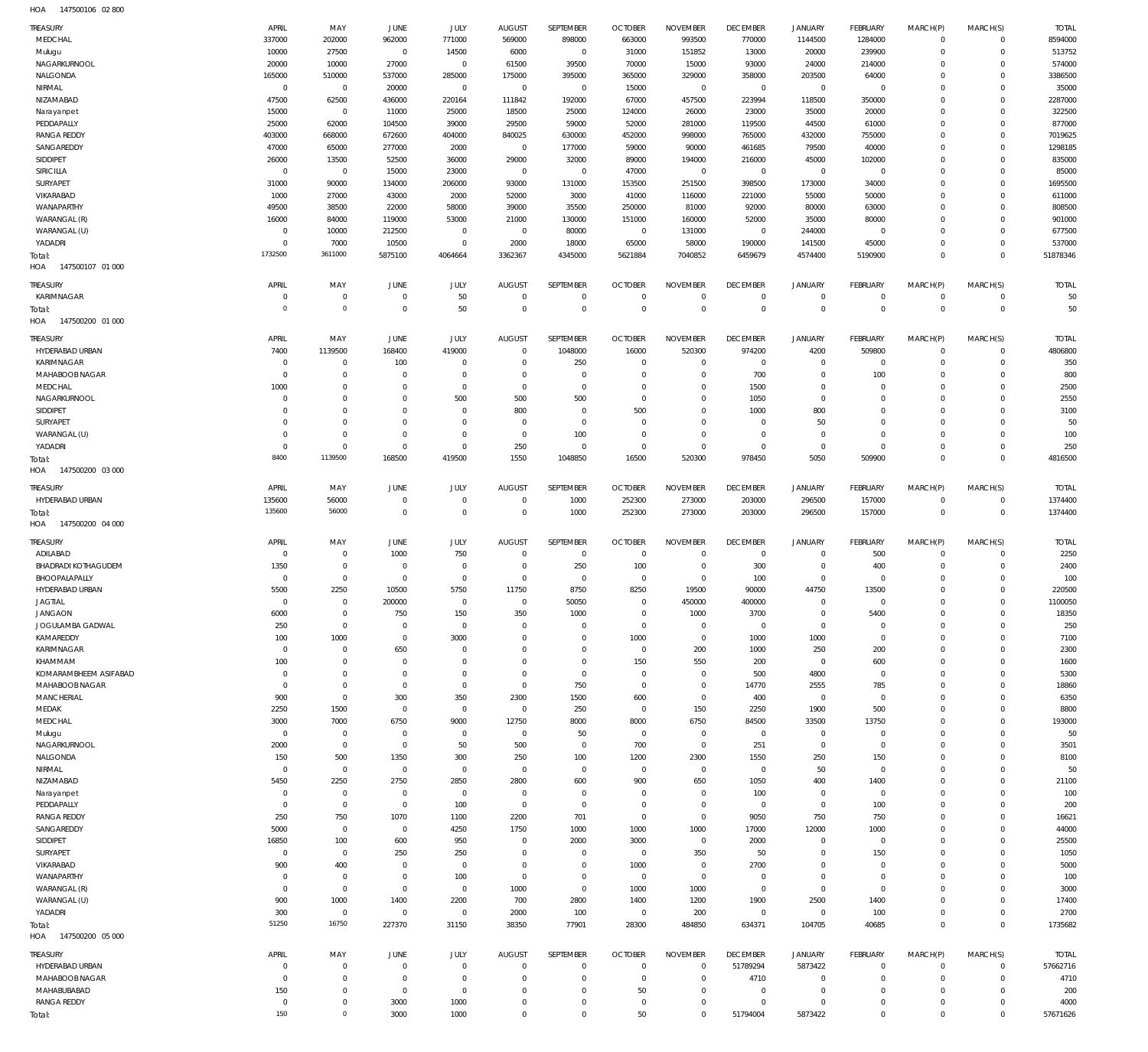147500106 02 800 HOA

| <b>TREASURY</b>                             | APRIL               | MAY                        | JUNE                       | <b>JULY</b>                | <b>AUGUST</b>               | SEPTEMBER                  | <b>OCTOBER</b>                   | <b>NOVEMBER</b>                   | <b>DECEMBER</b>             | <b>JANUARY</b>                 | <b>FEBRUARY</b>                   | MARCH(P)               | MARCH(S)                   | <b>TOTAL</b>             |
|---------------------------------------------|---------------------|----------------------------|----------------------------|----------------------------|-----------------------------|----------------------------|----------------------------------|-----------------------------------|-----------------------------|--------------------------------|-----------------------------------|------------------------|----------------------------|--------------------------|
| MEDCHAL                                     | 337000              | 202000                     | 962000                     | 771000                     | 569000                      | 898000                     | 663000                           | 993500                            | 770000                      | 1144500                        | 1284000                           | $^{\circ}$             | $\mathbf 0$                | 8594000                  |
| Mulugu                                      | 10000               | 27500                      | $\mathbf 0$                | 14500                      | 6000                        | $\,0\,$                    | 31000                            | 151852                            | 13000                       | 20000                          | 239900                            | $\Omega$               | $\mathbf 0$                | 513752                   |
| NAGARKURNOOL<br>NALGONDA                    | 20000<br>165000     | 10000<br>510000            | 27000<br>537000            | $\mathbb O$<br>285000      | 61500<br>175000             | 39500<br>395000            | 70000<br>365000                  | 15000<br>329000                   | 93000<br>358000             | 24000<br>203500                | 214000<br>64000                   | $\Omega$<br>$\Omega$   | $\Omega$<br>$\Omega$       | 574000<br>3386500        |
| NIRMAL                                      | $\mathbf 0$         | $\mathbf 0$                | 20000                      | $\mathbf 0$                | $\overline{0}$              | $\overline{0}$             | 15000                            | $\overline{0}$                    | $\overline{0}$              | $\overline{0}$                 | $\overline{0}$                    | $\Omega$               | $\Omega$                   | 35000                    |
| NIZAMABAD                                   | 47500               | 62500                      | 436000                     | 220164                     | 111842                      | 192000                     | 67000                            | 457500                            | 223994                      | 118500                         | 350000                            | $\Omega$               | $\Omega$                   | 2287000                  |
| Narayanpet                                  | 15000               | $\mathbf 0$                | 11000                      | 25000                      | 18500                       | 25000                      | 124000                           | 26000                             | 23000                       | 35000                          | 20000                             | $\Omega$               | $\Omega$                   | 322500                   |
| PEDDAPALLY                                  | 25000               | 62000                      | 104500                     | 39000                      | 29500                       | 59000                      | 52000                            | 281000                            | 119500                      | 44500                          | 61000                             | $\Omega$               | $\Omega$                   | 877000                   |
| <b>RANGA REDDY</b>                          | 403000              | 668000                     | 672600                     | 404000                     | 840025                      | 630000                     | 452000                           | 998000                            | 765000                      | 432000                         | 755000                            | $\Omega$               | $\Omega$                   | 7019625                  |
| SANGAREDDY                                  | 47000               | 65000                      | 277000                     | 2000                       | $\overline{0}$              | 177000                     | 59000                            | 90000                             | 461685                      | 79500                          | 40000                             | $\Omega$               | $\Omega$                   | 1298185                  |
| SIDDIPET                                    | 26000<br>$^{\circ}$ | 13500                      | 52500                      | 36000                      | 29000                       | 32000                      | 89000                            | 194000                            | 216000                      | 45000                          | 102000                            | $\Omega$<br>$\Omega$   | $\Omega$<br>$\Omega$       | 835000                   |
| SIRICILLA<br>SURYAPET                       | 31000               | $\mathbf 0$<br>90000       | 15000<br>134000            | 23000<br>206000            | $\mathbb O$<br>93000        | $\,0\,$<br>131000          | 47000<br>153500                  | $\overline{0}$<br>251500          | $\overline{0}$<br>398500    | $\overline{0}$<br>173000       | $\,0\,$<br>34000                  | $\Omega$               | $\Omega$                   | 85000<br>1695500         |
| VIKARABAD                                   | 1000                | 27000                      | 43000                      | 2000                       | 52000                       | 3000                       | 41000                            | 116000                            | 221000                      | 55000                          | 50000                             | $\Omega$               | $\Omega$                   | 611000                   |
| WANAPARTHY                                  | 49500               | 38500                      | 22000                      | 58000                      | 39000                       | 35500                      | 250000                           | 81000                             | 92000                       | 80000                          | 63000                             | $\Omega$               | $\Omega$                   | 808500                   |
| WARANGAL (R)                                | 16000               | 84000                      | 119000                     | 53000                      | 21000                       | 130000                     | 151000                           | 160000                            | 52000                       | 35000                          | 80000                             | $\Omega$               | $\Omega$                   | 901000                   |
| WARANGAL (U)                                | $\overline{0}$      | 10000                      | 212500                     | $\mathbf 0$                | $\mathbf 0$                 | 80000                      | $\overline{0}$                   | 131000                            | $\overline{0}$              | 244000                         | $^{\circ}$                        | $\Omega$               | $\Omega$                   | 677500                   |
| YADADRI                                     | $^{\circ}$          | 7000                       | 10500                      | $\mathbf 0$                | 2000                        | 18000                      | 65000                            | 58000                             | 190000                      | 141500                         | 45000                             | $\Omega$               | $\Omega$                   | 537000                   |
| Total:                                      | 1732500             | 3611000                    | 5875100                    | 4064664                    | 3362367                     | 4345000                    | 5621884                          | 7040852                           | 6459679                     | 4574400                        | 5190900                           | $\Omega$               | $\overline{0}$             | 51878346                 |
| HOA<br>147500107 01 000                     |                     |                            |                            |                            |                             |                            |                                  |                                   |                             |                                |                                   |                        |                            |                          |
| TREASURY                                    | APRIL               | MAY                        | JUNE                       | <b>JULY</b>                | <b>AUGUST</b>               | SEPTEMBER                  | <b>OCTOBER</b>                   | <b>NOVEMBER</b>                   | <b>DECEMBER</b>             | <b>JANUARY</b>                 | <b>FEBRUARY</b>                   | MARCH(P)               | MARCH(S)                   | <b>TOTAL</b>             |
| KARIMNAGAR                                  | $\mathbf 0$         | $\mathbf 0$                | $\mathbf 0$                | 50                         | $\overline{0}$              | $\overline{0}$             | $\overline{0}$                   | $\overline{0}$                    | $\overline{0}$              | $\overline{0}$                 | $\,0\,$                           | $^{\circ}$             | $\mathbf 0$                | 50                       |
| Total:                                      | $\circ$             | $\mathsf{O}\xspace$        | $\mathbf 0$                | 50                         | $\mathbf 0$                 | $\bf 0$                    | $\overline{0}$                   | $\overline{0}$                    | $\mathbf 0$                 | $\mathbf 0$                    | $\mathbb O$                       | $\overline{0}$         | $\mathbf 0$                | 50                       |
| HOA<br>147500200 01 000                     |                     |                            |                            |                            |                             |                            |                                  |                                   |                             |                                |                                   |                        |                            |                          |
| TREASURY                                    | APRIL               | MAY                        | JUNE                       | JULY                       | <b>AUGUST</b>               | SEPTEMBER                  | <b>OCTOBER</b>                   | <b>NOVEMBER</b>                   | <b>DECEMBER</b>             | <b>JANUARY</b>                 | <b>FEBRUARY</b>                   | MARCH(P)               | MARCH(S)                   | <b>TOTAL</b>             |
| HYDERABAD URBAN                             | 7400                | 1139500                    | 168400                     | 419000                     | $\mathbf 0$                 | 1048000                    | 16000                            | 520300                            | 974200                      | 4200                           | 509800                            | $\Omega$               | $\Omega$                   | 4806800                  |
| KARIMNAGAR                                  | $^{\circ}$          | $\mathbf 0$                | 100                        | $\mathbf 0$                | $\mathbf 0$                 | 250                        | $\overline{0}$                   | $\overline{0}$                    | $\overline{0}$              | $\mathbf 0$                    | $\mathbf 0$                       | $\Omega$               | $\mathbf 0$                | 350                      |
| MAHABOOB NAGAR                              | 0                   | $\mathbf 0$                | $^{\circ}$                 | $\mathbf 0$                | $\mathbf 0$                 | $\mathbf 0$                | $\overline{0}$                   | $\mathbf 0$                       | 700                         | $\mathbf 0$                    | 100                               | $\Omega$               | $\Omega$                   | 800                      |
| MEDCHAL                                     | 1000                | $\mathbf 0$                | $\mathbf 0$                | $\mathbf 0$                | $\mathbf 0$                 | $\mathbf 0$                | $\overline{0}$                   | $\mathbf 0$                       | 1500                        | $\mathbf 0$                    | $\mathbf 0$                       | $\Omega$               | $\Omega$                   | 2500                     |
| NAGARKURNOOL<br>SIDDIPET                    | 0<br>$\Omega$       | $\mathbf 0$<br>$\mathbf 0$ | $^{\circ}$<br>$^{\circ}$   | 500<br>$\Omega$            | 500<br>800                  | 500<br>$\mathbf 0$         | $\overline{0}$<br>500            | $\mathbf 0$<br>$\Omega$           | 1050                        | $\mathbf 0$                    | $\overline{0}$<br>$\overline{0}$  | $\Omega$<br>$\Omega$   | $\Omega$<br>$\Omega$       | 2550<br>3100             |
| SURYAPET                                    | 0                   | $\mathbf 0$                | $^{\circ}$                 | $\mathbf 0$                | $\mathbf 0$                 | $\mathbf 0$                | $\overline{0}$                   | $\mathbf 0$                       | 1000<br>$\mathbf{0}$        | 800<br>50                      | $\overline{0}$                    | $\Omega$               | $\Omega$                   | 50                       |
| WARANGAL (U)                                | 0                   | $\mathbf 0$                | $^{\circ}$                 | $\mathbf 0$                | $\mathbf{0}$                | 100                        | $\overline{0}$                   | $\Omega$                          | $\overline{0}$              | $\overline{0}$                 | $\overline{0}$                    | $\Omega$               | $\Omega$                   | 100                      |
| YADADRI                                     | $\mathbf{0}$        | $\mathbf 0$                | $\mathbf 0$                | $\mathbf 0$                | 250                         | $\overline{0}$             | $\overline{0}$                   | $\overline{0}$                    | $\overline{0}$              | $\overline{0}$                 | $\overline{0}$                    | $\Omega$               | $\Omega$                   | 250                      |
| Total:                                      | 8400                | 1139500                    | 168500                     | 419500                     | 1550                        | 1048850                    | 16500                            | 520300                            | 978450                      | 5050                           | 509900                            | $\Omega$               | $\overline{0}$             | 4816500                  |
| HOA<br>147500200 03 000                     |                     |                            |                            |                            |                             |                            |                                  |                                   |                             |                                |                                   |                        |                            |                          |
| TREASURY                                    | APRIL               | MAY                        | JUNE                       | <b>JULY</b>                | <b>AUGUST</b>               | SEPTEMBER                  | <b>OCTOBER</b>                   | <b>NOVEMBER</b>                   | <b>DECEMBER</b>             | <b>JANUARY</b>                 | <b>FEBRUARY</b>                   | MARCH(P)               | MARCH(S)                   | <b>TOTAL</b>             |
| HYDERABAD URBAN                             | 135600              | 56000                      | $\mathbf 0$                | $\mathbf 0$                | 0                           | 1000                       | 252300                           | 273000                            | 203000                      | 296500                         | 157000                            | $\circ$                | $\mathbf 0$                | 1374400                  |
| Total:                                      | 135600              | 56000                      | $\overline{0}$             | $\mathbb O$                | $\overline{0}$              | 1000                       | 252300                           | 273000                            | 203000                      | 296500                         | 157000                            | $\overline{0}$         | $\mathbb O$                | 1374400                  |
|                                             |                     |                            |                            |                            |                             |                            |                                  |                                   |                             |                                |                                   |                        |                            |                          |
| HOA<br>147500200 04 000                     |                     |                            |                            |                            |                             |                            |                                  |                                   |                             |                                |                                   |                        |                            |                          |
|                                             |                     |                            |                            |                            |                             |                            |                                  |                                   |                             |                                |                                   |                        |                            |                          |
| TREASURY                                    | APRIL               | MAY                        | <b>JUNE</b>                | JULY                       | <b>AUGUST</b>               | SEPTEMBER                  | <b>OCTOBER</b>                   | <b>NOVEMBER</b>                   | <b>DECEMBER</b>             | <b>JANUARY</b>                 | <b>FEBRUARY</b>                   | MARCH(P)               | MARCH(S)                   | <b>TOTAL</b>             |
| ADILABAD                                    | $\mathbf 0$         | $\mathbf 0$                | 1000                       | 750<br>$^{\circ}$          | $\mathbf{0}$<br>$\mathbf 0$ | $\overline{0}$             | $\overline{0}$                   | $\overline{0}$<br>$\overline{0}$  | $\overline{0}$              | $\overline{0}$                 | 500                               | $\Omega$<br>$\Omega$   | $\mathbf 0$<br>$\Omega$    | 2250                     |
| <b>BHADRADI KOTHAGUDEM</b><br>BHOOPALAPALLY | 1350<br>$^{\circ}$  | $\mathbf 0$<br>$\mathbf 0$ | $\mathbf 0$<br>$\mathbf 0$ | $\mathbf 0$                | $^{\circ}$                  | 250<br>$^{\circ}$          | 100<br>$\overline{0}$            | $\overline{0}$                    | 300<br>100                  | $\mathbf 0$<br>$\overline{0}$  | 400<br>$\mathbf 0$                | $\Omega$               | $\mathbf 0$                | 2400<br>100              |
| HYDERABAD URBAN                             | 5500                | 2250                       | 10500                      | 5750                       | 11750                       | 8750                       | 8250                             | 19500                             | 90000                       | 44750                          | 13500                             | $\Omega$               | $\Omega$                   | 220500                   |
| <b>JAGTIAL</b>                              | $^{\circ}$          | $\mathbf 0$                | 200000                     | $\Omega$                   | $\mathbb O$                 | 50050                      | $\overline{0}$                   | 450000                            | 400000                      | $\mathbf{0}$                   | $\overline{0}$                    | $\Omega$               | $\circ$                    | 1100050                  |
| <b>JANGAON</b>                              | 6000                | $\mathbf 0$                | 750                        | 150                        | 350                         | 1000                       | $\overline{0}$                   | 1000                              | 3700                        | 0                              | 5400                              | 0                      | 0                          | 18350                    |
| JOGULAMBA GADWAL                            | 250                 | $\mathbf 0$                | $^{\circ}$                 | $\mathbf 0$                | $\mathbf 0$                 | $\mathbf 0$                | $\overline{0}$                   | $\mathbf 0$                       | $\mathbf 0$                 | $\mathbf 0$                    | $\mathbf 0$                       | $\Omega$               | $\Omega$                   | 250                      |
| KAMAREDDY                                   | 100                 | 1000                       | $^{\circ}$                 | 3000                       | $\mathbf 0$                 | $\mathbf 0$                | 1000                             | $\mathbf 0$                       | 1000                        | 1000                           | $\mathbf 0$                       | $\Omega$               | $\Omega$                   | 7100                     |
| KARIMNAGAR                                  | $^{\circ}$          | $\mathbf 0$                | 650                        | $\Omega$                   | $\Omega$                    | $\mathbf 0$                | $\overline{0}$                   | 200                               | 1000                        | 250                            | 200                               | $\Omega$               | $\Omega$                   | 2300                     |
| KHAMMAM                                     | 100<br>$^{\circ}$   | $\mathbf 0$                | $\mathbf 0$<br>$^{\circ}$  | $\mathbf 0$<br>$\mathbf 0$ | $\mathbf 0$<br>$\mathbf 0$  | $\mathbf 0$<br>$\mathbf 0$ | 150<br>$\overline{0}$            | 550<br>$\mathbf 0$                | 200                         | $\overline{0}$                 | 600                               | $\Omega$<br>$\Omega$   | $\Omega$<br>$\Omega$       | 1600                     |
| KOMARAMBHEEM ASIFABAD<br>MAHABOOB NAGAR     | $^{\circ}$          | $\mathbf 0$<br>$\mathbf 0$ | $\mathbf 0$                | $\mathbf 0$                | $\mathbf 0$                 | 750                        | $\overline{0}$                   | $\overline{0}$                    | 500<br>14770                | 4800<br>2555                   | $\overline{0}$<br>785             | $\Omega$               | $\Omega$                   | 5300<br>18860            |
| <b>MANCHERIAL</b>                           | 900                 | $\mathbf 0$                | 300                        | 350                        | 2300                        | 1500                       | 600                              | $\mathbf 0$                       | 400                         | $\overline{0}$                 | $\mathbf 0$                       | $\Omega$               | $\Omega$                   | 6350                     |
| MEDAK                                       | 2250                | 1500                       | $\mathbf 0$                | $\mathbf 0$                | $\mathbf 0$                 | 250                        | $\overline{0}$                   | 150                               | 2250                        | 1900                           | 500                               | $\Omega$               | $\Omega$                   | 8800                     |
| MEDCHAL                                     | 3000                | 7000                       | 6750                       | 9000                       | 12750                       | 8000                       | 8000                             | 6750                              | 84500                       | 33500                          | 13750                             | $\Omega$               | $\Omega$                   | 193000                   |
| Mulugu                                      | $\overline{0}$      | $\mathbf 0$                | $\mathbf 0$                | $\mathbf 0$                | $\mathbf 0$                 | 50                         | $\overline{0}$                   | $\overline{0}$                    | $\mathbf{0}$                | $\mathbf{0}$                   | $\overline{0}$                    | $\Omega$               | $\Omega$                   | 50                       |
| NAGARKURNOOL                                | 2000                | $\mathbf 0$                | $\mathbf 0$                | 50                         | 500                         | $\mathbf 0$                | 700                              | $\overline{0}$                    | 251                         | $\overline{0}$                 | $\mathbf 0$                       | $\Omega$               | $\Omega$                   | 3501                     |
| NALGONDA                                    | 150                 | 500                        | 1350                       | 300                        | 250                         | 100                        | 1200                             | 2300                              | 1550                        | 250                            | 150                               | $\Omega$               | $\Omega$                   | 8100                     |
| NIRMAL                                      | $^{\circ}$          | $\mathbf 0$                | $\mathbf 0$                | $\mathbf 0$                | $^{\circ}$                  | $^{\circ}$                 | $\overline{0}$                   | $\overline{0}$                    | $\overline{0}$              | 50                             | $\,0\,$                           | $\Omega$               | $\Omega$                   | 50                       |
| NIZAMABAD                                   | 5450<br>0           | 2250                       | 2750<br>$\mathbf 0$        | 2850<br>$\mathbf 0$        | 2800<br>$\mathbf 0$         | 600<br>$^{\circ}$          | 900                              | 650<br>$^{\circ}$                 | 1050                        | 400                            | 1400                              | $\Omega$<br>$\Omega$   | $\Omega$<br>$\Omega$       | 21100                    |
| Narayanpet<br>PEDDAPALLY                    | 0                   | $\mathbf 0$<br>$\mathbf 0$ | $\mathbf 0$                | 100                        | $\mathbf 0$                 | $\mathbf 0$                | $\overline{0}$<br>$\overline{0}$ | $\mathbf 0$                       | 100<br>$\overline{0}$       | $\overline{0}$<br>$\mathbf{0}$ | $\overline{0}$<br>100             | $\Omega$               | $\Omega$                   | 100<br>200               |
| <b>RANGA REDDY</b>                          | 250                 | 750                        | 1070                       | 1100                       | 2200                        | 701                        | $\overline{0}$                   | $\overline{0}$                    | 9050                        | 750                            | 750                               | $\Omega$               | $\Omega$                   | 16621                    |
| SANGAREDDY                                  | 5000                | $\mathbf 0$                | $\mathbf 0$                | 4250                       | 1750                        | 1000                       | 1000                             | 1000                              | 17000                       | 12000                          | 1000                              | $\Omega$               | $\Omega$                   | 44000                    |
| SIDDIPET                                    | 16850               | 100                        | 600                        | 950                        | $\mathbf 0$                 | 2000                       | 3000                             | $\overline{0}$                    | 2000                        | $\mathbf 0$                    | $\overline{0}$                    | $\Omega$               | $\Omega$                   | 25500                    |
| SURYAPET                                    | $^{\circ}$          | $\mathbf 0$                | 250                        | 250                        | $\mathbf 0$                 | $\mathbf 0$                | $\overline{0}$                   | 350                               | 50                          | $\mathbf{0}$                   | 150                               | $\Omega$               | $\Omega$                   | 1050                     |
| VIKARABAD                                   | 900                 | 400                        | $^{\circ}$                 | $^{\circ}$                 | $\mathbf 0$                 | $\mathbf 0$                | 1000                             | $\overline{0}$                    | 2700                        | 0                              | $\overline{0}$                    | $\Omega$               | $\Omega$                   | 5000                     |
| WANAPARTHY                                  | 0                   | $\mathbf 0$                | $\mathbf 0$                | 100                        | $\mathbf 0$                 | $\mathbf 0$                | $\overline{0}$                   | $\overline{0}$                    | $\mathbf 0$                 | $\mathbf{0}$                   | $\mathbf 0$                       | $\Omega$               | $\Omega$                   | 100                      |
| WARANGAL (R)                                | 0                   | $\mathbf 0$                | $\mathbf 0$                | $\mathbf 0$                | 1000                        | $\mathbf 0$                | 1000                             | 1000                              | $\overline{0}$              | $\mathbf 0$                    | $\mathbf 0$                       | $\Omega$               | $\Omega$                   | 3000                     |
| WARANGAL (U)                                | 900                 | 1000<br>$\mathbf 0$        | 1400<br>$\mathbf 0$        | 2200<br>$\mathbf 0$        | 700                         | 2800                       | 1400                             | 1200                              | 1900                        | 2500<br>$\mathbf 0$            | 1400                              | $\Omega$<br>$\Omega$   | $\Omega$<br>$\mathbf 0$    | 17400                    |
| YADADRI<br>Total:                           | 300<br>51250        | 16750                      | 227370                     | 31150                      | 2000<br>38350               | 100<br>77901               | $\overline{0}$<br>28300          | 200<br>484850                     | $\overline{0}$<br>634371    | 104705                         | 100<br>40685                      | $\Omega$               | $\overline{0}$             | 2700<br>1735682          |
| HOA<br>147500200 05 000                     |                     |                            |                            |                            |                             |                            |                                  |                                   |                             |                                |                                   |                        |                            |                          |
|                                             |                     |                            |                            |                            |                             |                            |                                  |                                   |                             |                                |                                   |                        |                            |                          |
| TREASURY<br>HYDERABAD URBAN                 | APRIL<br>C          | MAY<br>$\mathbf 0$         | JUNE<br>$\mathbf 0$        | <b>JULY</b><br>$\mathbb O$ | <b>AUGUST</b><br>0          | SEPTEMBER<br>$\mathbf 0$   | <b>OCTOBER</b><br>$\overline{0}$ | <b>NOVEMBER</b><br>$\overline{0}$ | <b>DECEMBER</b><br>51789294 | <b>JANUARY</b><br>5873422      | <b>FEBRUARY</b><br>$\overline{0}$ | MARCH(P)<br>$^{\circ}$ | MARCH(S)<br>$\mathbf 0$    | <b>TOTAL</b><br>57662716 |
| MAHABOOB NAGAR                              | 0                   | $\mathbf 0$                | $\mathbf 0$                | $\mathbf 0$                | $\mathbf 0$                 | $\mathbf 0$                | $\overline{0}$                   | $\mathbf 0$                       | 4710                        | $\overline{0}$                 | $\,0\,$                           | $\circ$                | $\mathbf 0$                | 4710                     |
| MAHABUBABAD                                 | 150                 | $\mathbf 0$                | $\overline{0}$             | $\mathbb O$                | $\mathbf 0$                 | $\mathbf 0$                | 50                               | $\mathbf 0$                       | $\overline{0}$              | $\mathbf 0$                    | $\overline{0}$                    | $\circ$                | $\Omega$                   | 200                      |
| <b>RANGA REDDY</b>                          | $\mathbf 0$<br>150  | $\mathbf 0$<br>$\circ$     | 3000<br>3000               | 1000<br>1000               | $\mathbf 0$<br>$\mathbf 0$  | $\mathbf 0$<br>$\mathbf 0$ | $\overline{0}$<br>50             | $\mathbf 0$                       | $\mathbf{0}$<br>51794004    | $\mathbf 0$<br>5873422         | $\overline{0}$<br>$\mathbf 0$     | $\Omega$               | $\mathbf 0$<br>$\mathbb O$ | 4000<br>57671626         |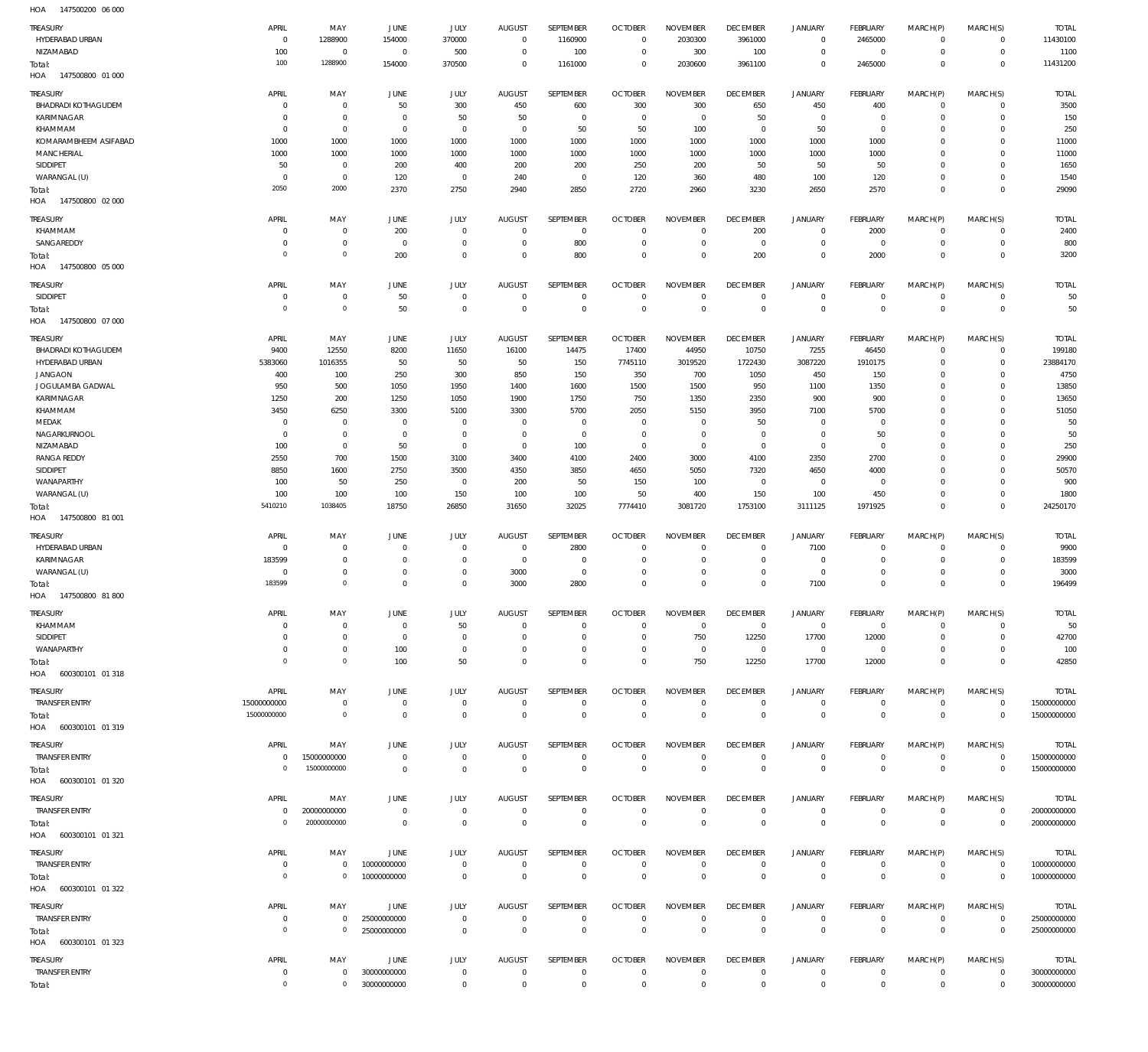HOA 147500200 06 000

| TREASURY<br>HYDERABAD URBAN<br>NIZAMABAD<br>Total: | APRIL<br>$\overline{0}$<br>100<br>100 | MAY<br>1288900<br>$^{\circ}$<br>1288900 | JUNE<br>154000<br>$^{\circ}$<br>154000 | JULY<br>370000<br>500<br>370500 | <b>AUGUST</b><br>$\mathbf 0$<br>$\mathbf 0$<br>$\mathbf 0$ | SEPTEMBER<br>1160900<br>100<br>1161000 | <b>OCTOBER</b><br>$\mathbf 0$<br>$\overline{0}$<br>$^{\circ}$ | <b>NOVEMBER</b><br>2030300<br>300<br>2030600 | <b>DECEMBER</b><br>3961000<br>100<br>3961100 | <b>JANUARY</b><br>$\mathbf 0$<br>$\mathbf 0$<br>$\mathbf 0$ | <b>FEBRUARY</b><br>2465000<br>$^{\circ}$<br>2465000 | MARCH(P)<br>$\mathbf 0$<br>$\mathbf 0$<br>$\mathbf 0$ | MARCH(S)<br>$\mathbf{0}$<br>$\mathbf{0}$<br>$\mathbf 0$ | <b>TOTAL</b><br>11430100<br>1100<br>11431200 |
|----------------------------------------------------|---------------------------------------|-----------------------------------------|----------------------------------------|---------------------------------|------------------------------------------------------------|----------------------------------------|---------------------------------------------------------------|----------------------------------------------|----------------------------------------------|-------------------------------------------------------------|-----------------------------------------------------|-------------------------------------------------------|---------------------------------------------------------|----------------------------------------------|
| HOA<br>147500800 01 000                            |                                       |                                         |                                        |                                 |                                                            |                                        |                                                               |                                              |                                              |                                                             |                                                     |                                                       |                                                         |                                              |
| TREASURY<br><b>BHADRADI KOTHAGUDEM</b>             | APRIL<br>$\circ$                      | MAY<br>$^{\circ}$                       | JUNE<br>50                             | JULY<br>300                     | AUGUST<br>450                                              | <b>SEPTEMBER</b><br>600                | <b>OCTOBER</b><br>300                                         | <b>NOVEMBER</b><br>300                       | <b>DECEMBER</b><br>650                       | <b>JANUARY</b><br>450                                       | FEBRUARY<br>400                                     | MARCH(P)<br>$\mathbf 0$                               | MARCH(S)<br>$\mathbf 0$                                 | <b>TOTAL</b><br>3500                         |
| KARIMNAGAR                                         | $\circ$                               | $\mathbb O$                             | $^{\circ}$                             | 50                              | 50                                                         | $\mathbb O$                            | $\overline{0}$                                                | $\mathbf{0}$                                 | 50                                           | 0                                                           | $^{\circ}$                                          | $\mathbf 0$                                           | $\mathbf 0$                                             | 150                                          |
| KHAMMAM                                            | $\circ$                               | $\overline{0}$                          | $^{\circ}$                             | $\overline{0}$                  | $^{\circ}$                                                 | 50                                     | 50                                                            | 100                                          | $\mathbf 0$                                  | 50                                                          | $\overline{0}$                                      | $\Omega$                                              | $\mathbf 0$                                             | 250                                          |
| KOMARAMBHEEM ASIFABAD                              | 1000                                  | 1000                                    | 1000                                   | 1000                            | 1000                                                       | 1000                                   | 1000                                                          | 1000                                         | 1000                                         | 1000                                                        | 1000                                                | $\Omega$                                              | $\mathbf 0$                                             | 11000                                        |
| MANCHERIAL                                         | 1000                                  | 1000                                    | 1000                                   | 1000                            | 1000                                                       | 1000                                   | 1000                                                          | 1000                                         | 1000                                         | 1000                                                        | 1000                                                | $\Omega$                                              | $\mathbf 0$                                             | 11000                                        |
| SIDDIPET<br>WARANGAL (U)                           | 50<br>$\circ$                         | $\overline{0}$<br>$\overline{0}$        | 200<br>120                             | 400<br>$\overline{0}$           | 200<br>240                                                 | 200<br>$\mathbb O$                     | 250<br>120                                                    | 200<br>360                                   | 50<br>480                                    | 50<br>100                                                   | 50<br>120                                           | $\Omega$<br>$\mathbf 0$                               | $\mathbf 0$<br>$\mathbf 0$                              | 1650<br>1540                                 |
| Total:                                             | 2050                                  | 2000                                    | 2370                                   | 2750                            | 2940                                                       | 2850                                   | 2720                                                          | 2960                                         | 3230                                         | 2650                                                        | 2570                                                | $\mathbf 0$                                           | $\overline{0}$                                          | 29090                                        |
| HOA<br>147500800 02 000                            |                                       |                                         |                                        |                                 |                                                            |                                        |                                                               |                                              |                                              |                                                             |                                                     |                                                       |                                                         |                                              |
| TREASURY                                           | APRIL                                 | MAY                                     | JUNE                                   | JULY                            | <b>AUGUST</b>                                              | SEPTEMBER                              | <b>OCTOBER</b>                                                | <b>NOVEMBER</b>                              | <b>DECEMBER</b>                              | <b>JANUARY</b>                                              | FEBRUARY                                            | MARCH(P)                                              | MARCH(S)                                                | <b>TOTAL</b>                                 |
| KHAMMAM                                            | $\circ$                               | $^{\circ}$                              | 200                                    | $\mathbf 0$                     | $\mathbf 0$                                                | $\overline{0}$                         | $\overline{0}$                                                | $^{\circ}$                                   | 200                                          | 0                                                           | 2000                                                | $\mathbf 0$                                           | $\mathbf{0}$                                            | 2400                                         |
| SANGAREDDY                                         | $\circ$<br>$\Omega$                   | $\mathbf{0}$<br>$\circ$                 | $\overline{0}$                         | $\mathbf 0$                     | $^{\circ}$                                                 | 800                                    | $^{\circ}$                                                    | $\mathbf{0}$                                 | $^{\circ}$                                   | $\mathbf 0$                                                 | $\overline{0}$                                      | $\mathbf 0$                                           | $\mathbf{0}$                                            | 800                                          |
| Total:<br>HOA<br>147500800 05 000                  |                                       |                                         | 200                                    | $\mathbf 0$                     | $\mathbf 0$                                                | 800                                    | $^{\circ}$                                                    | $\mathbf 0$                                  | 200                                          | $\mathbf 0$                                                 | 2000                                                | $\mathbf 0$                                           | $\overline{0}$                                          | 3200                                         |
|                                                    | APRIL                                 |                                         |                                        | JULY                            | <b>AUGUST</b>                                              | <b>SEPTEMBER</b>                       | <b>OCTOBER</b>                                                | <b>NOVEMBER</b>                              | <b>DECEMBER</b>                              | <b>JANUARY</b>                                              | FEBRUARY                                            | MARCH(P)                                              | MARCH(S)                                                | <b>TOTAL</b>                                 |
| TREASURY<br>SIDDIPET                               | $\circ$                               | MAY<br>$\overline{0}$                   | JUNE<br>50                             | $\mathbf 0$                     | $\mathbf 0$                                                | $\mathbb O$                            | $\overline{0}$                                                | $\mathbf{0}$                                 | $\mathbf 0$                                  | 0                                                           | $\mathbf 0$                                         | $\mathbf 0$                                           | $\mathbf{0}$                                            | 50                                           |
| Total:                                             | $\Omega$                              | $\circ$                                 | 50                                     | $\mathbf 0$                     | $\mathbf 0$                                                | $\mathbb O$                            | $^{\circ}$                                                    | $\mathbf 0$                                  | $\mathbf 0$                                  | $\mathbf 0$                                                 | $\mathbf{0}$                                        | $\mathbf 0$                                           | $\overline{0}$                                          | 50                                           |
| 147500800 07 000<br>HOA                            |                                       |                                         |                                        |                                 |                                                            |                                        |                                                               |                                              |                                              |                                                             |                                                     |                                                       |                                                         |                                              |
| TREASURY                                           | APRIL                                 | MAY                                     | JUNE                                   | JULY                            | <b>AUGUST</b>                                              | <b>SEPTEMBER</b>                       | <b>OCTOBER</b>                                                | <b>NOVEMBER</b>                              | <b>DECEMBER</b>                              | <b>JANUARY</b>                                              | FEBRUARY                                            | MARCH(P)                                              | MARCH(S)                                                | <b>TOTAL</b>                                 |
| <b>BHADRADI KOTHAGUDEM</b>                         | 9400                                  | 12550                                   | 8200                                   | 11650                           | 16100                                                      | 14475                                  | 17400                                                         | 44950                                        | 10750                                        | 7255                                                        | 46450                                               | $\mathbf 0$                                           | $\mathbf 0$                                             | 199180                                       |
| HYDERABAD URBAN                                    | 5383060                               | 1016355                                 | 50                                     | 50                              | 50                                                         | 150                                    | 7745110                                                       | 3019520                                      | 1722430                                      | 3087220                                                     | 1910175                                             | $\mathbf 0$                                           | $\mathbf{0}$                                            | 23884170                                     |
| <b>JANGAON</b><br>JOGULAMBA GADWAL                 | 400<br>950                            | 100<br>500                              | 250<br>1050                            | 300<br>1950                     | 850<br>1400                                                | 150<br>1600                            | 350<br>1500                                                   | 700<br>1500                                  | 1050<br>950                                  | 450<br>1100                                                 | 150<br>1350                                         | $\Omega$<br>$\Omega$                                  | $\mathbf 0$<br>$\mathbf 0$                              | 4750<br>13850                                |
| KARIMNAGAR                                         | 1250                                  | 200                                     | 1250                                   | 1050                            | 1900                                                       | 1750                                   | 750                                                           | 1350                                         | 2350                                         | 900                                                         | 900                                                 | $\Omega$                                              | $\mathbf 0$                                             | 13650                                        |
| KHAMMAM                                            | 3450                                  | 6250                                    | 3300                                   | 5100                            | 3300                                                       | 5700                                   | 2050                                                          | 5150                                         | 3950                                         | 7100                                                        | 5700                                                | $\Omega$                                              | $\mathbf 0$                                             | 51050                                        |
| MEDAK                                              | $\circ$                               | $^{\circ}$                              | $\circ$                                | $\mathbf{0}$                    | 0                                                          | $\overline{0}$                         | $^{\circ}$                                                    | $^{\circ}$                                   | 50                                           | 0                                                           | $\overline{0}$                                      | $\Omega$                                              | $\mathbf 0$                                             | 50                                           |
| NAGARKURNOOL                                       | $^{\circ}$                            | $\overline{0}$                          | $\overline{0}$<br>50                   | $\overline{0}$                  | 0                                                          | $\mathbb O$                            | $\overline{0}$                                                | $\mathbf 0$                                  | $\mathbf 0$                                  | $\mathbf 0$<br>$\mathbf 0$                                  | 50<br>$\overline{0}$                                | $\Omega$<br>$\Omega$                                  | $\mathbf 0$                                             | 50                                           |
| NIZAMABAD<br><b>RANGA REDDY</b>                    | 100<br>2550                           | $\overline{0}$<br>700                   | 1500                                   | $\overline{0}$<br>3100          | $\overline{0}$<br>3400                                     | 100<br>4100                            | $\overline{0}$<br>2400                                        | $\mathbf 0$<br>3000                          | $\mathbf 0$<br>4100                          | 2350                                                        | 2700                                                | $\Omega$                                              | $\mathbf 0$<br>$\Omega$                                 | 250<br>29900                                 |
| SIDDIPET                                           | 8850                                  | 1600                                    | 2750                                   | 3500                            | 4350                                                       | 3850                                   | 4650                                                          | 5050                                         | 7320                                         | 4650                                                        | 4000                                                | $\Omega$                                              | $\mathbf 0$                                             | 50570                                        |
| WANAPARTHY                                         | 100                                   | 50                                      | 250                                    | $\mathbf{0}$                    | 200                                                        | 50                                     | 150                                                           | 100                                          | $\mathbf 0$                                  | $^{\circ}$                                                  | $\overline{0}$                                      | $\Omega$                                              | $\mathbf 0$                                             | 900                                          |
| WARANGAL (U)                                       | 100                                   | 100                                     | 100                                    | 150                             | 100                                                        | 100                                    | 50                                                            | 400                                          | 150                                          | 100                                                         | 450                                                 | $\mathbf 0$                                           | $\mathbf 0$                                             | 1800                                         |
| Total:<br>147500800 81 001<br>HOA                  | 5410210                               | 1038405                                 | 18750                                  | 26850                           | 31650                                                      | 32025                                  | 7774410                                                       | 3081720                                      | 1753100                                      | 3111125                                                     | 1971925                                             | $\mathbf 0$                                           | $\overline{0}$                                          | 24250170                                     |
|                                                    |                                       |                                         |                                        |                                 |                                                            |                                        |                                                               |                                              |                                              |                                                             |                                                     |                                                       |                                                         |                                              |
| TREASURY<br>HYDERABAD URBAN                        | APRIL<br>$\circ$                      | MAY<br>$^{\circ}$                       | JUNE<br>$\Omega$                       | JULY<br>$\mathbf 0$             | <b>AUGUST</b><br>$^{\circ}$                                | SEPTEMBER<br>2800                      | <b>OCTOBER</b><br>$\overline{0}$                              | <b>NOVEMBER</b><br>$^{\circ}$                | <b>DECEMBER</b><br>$\mathbf 0$               | <b>JANUARY</b><br>7100                                      | FEBRUARY<br>$^{\circ}$                              | MARCH(P)<br>$\mathbf 0$                               | MARCH(S)<br>$^{\circ}$                                  | <b>TOTAL</b><br>9900                         |
| KARIMNAGAR                                         | 183599                                | $\mathbf{0}$                            | $\Omega$                               | $\mathbf 0$                     | 0                                                          | $\overline{0}$                         | C                                                             | $\overline{0}$                               | $\mathbf 0$                                  | 0                                                           | $^{\circ}$                                          | $\mathbf 0$                                           | $\mathbf 0$                                             | 183599                                       |
| WARANGAL (U)                                       | $\Omega$                              | $\mathbf{0}$                            | $\Omega$                               | $\Omega$                        | 3000                                                       | $\mathbb O$                            | 0                                                             | $^{\circ}$                                   | $\mathbf 0$                                  | $\mathbf 0$                                                 | $^{\circ}$                                          | $\mathbf 0$                                           | $\mathbf 0$                                             | 3000                                         |
| Total:                                             | 183599                                | $\overline{0}$                          | $\Omega$                               | $\Omega$                        | 3000                                                       | 2800                                   | $\mathbf 0$                                                   | $\mathbf 0$                                  | $\mathbf 0$                                  | 7100                                                        | $^{\circ}$                                          | $\mathbf 0$                                           | $\mathbf 0$                                             | 196499                                       |
| 147500800 81 800<br>HOA                            |                                       |                                         |                                        |                                 |                                                            |                                        |                                                               |                                              |                                              |                                                             |                                                     |                                                       |                                                         |                                              |
| TREASURY                                           | APRIL                                 | MAY                                     | JUNE                                   | <b>JULY</b>                     | AUGUST                                                     | SEPTEMBER                              | <b>OCTOBER</b>                                                | <b>NOVEMBER</b>                              | <b>DECEMBER</b>                              | <b>JANUARY</b>                                              | FEBRUARY                                            | MARCH(P)                                              | MARCH(S)                                                | <b>TOTAL</b>                                 |
| KHAMMAM<br>SIDDIPET                                | $\overline{0}$<br>$^{\circ}$          | $\mathbf 0$<br>$\,0\,$                  | $\overline{0}$<br>$\overline{0}$       | 50<br>$\mathbf 0$               | $\Omega$<br>0                                              | $\overline{0}$<br>$\mathbf 0$          | $\Omega$<br>$^{\circ}$                                        | $\mathbf{0}$<br>750                          | $\mathbf 0$<br>12250                         | $\mathbf 0$<br>17700                                        | $\mathbf 0$<br>12000                                | $\mathbf 0$<br>$\mathbf 0$                            | $\mathbf 0$<br>$\mathbf 0$                              | 50<br>42700                                  |
| WANAPARTHY                                         | $\overline{0}$                        | $\,0\,$                                 | 100                                    | $\Omega$                        | $\Omega$                                                   | $\mathbf 0$                            | $^{\circ}$                                                    | $\mathbf{0}$                                 | $\mathbf 0$                                  | $\mathsf{O}$                                                | $\overline{0}$                                      | $\mathbf 0$                                           | $\mathbf 0$                                             | 100                                          |
| Total:                                             | $\Omega$                              | $\circ$                                 | 100                                    | 50                              | $\Omega$                                                   | $\mathbb O$                            | $\mathbf 0$                                                   | 750                                          | 12250                                        | 17700                                                       | 12000                                               | $\mathbf 0$                                           | $\mathbf{0}$                                            | 42850                                        |
| HOA 600300101 01 318                               |                                       |                                         |                                        |                                 |                                                            |                                        |                                                               |                                              |                                              |                                                             |                                                     |                                                       |                                                         |                                              |
| TREASURY                                           | APRIL                                 | MAY                                     | JUNE                                   | JULY                            | AUGUST                                                     | SEPTEMBER                              | <b>OCTOBER</b>                                                | <b>NOVEMBER</b>                              | <b>DECEMBER</b>                              | <b>JANUARY</b>                                              | FEBRUARY                                            | MARCH(P)                                              | MARCH(S)                                                | <b>TOTAL</b>                                 |
| <b>TRANSFER ENTRY</b>                              | 15000000000                           | $\overline{0}$                          | $^{\circ}$                             | $\,0\,$                         | $\mathbf 0$                                                | $\mathbf 0$                            | $\mathbf{0}$                                                  | $\mathbf 0$                                  | $\mathbf 0$                                  | $\mathbf 0$                                                 | $\mathbf 0$                                         | $\mathbf 0$                                           | $\overline{0}$                                          | 15000000000                                  |
| Total:<br>HOA 600300101 01 319                     | 15000000000                           | $\circ$                                 | $\mathbf 0$                            | $\,0\,$                         | $\mathbf 0$                                                | $\mathbb O$                            | $\mathbf 0$                                                   | $\mathbb O$                                  | $\mathbf 0$                                  | $\mathbf 0$                                                 | $\overline{0}$                                      | $\mathbf 0$                                           | $\overline{0}$                                          | 15000000000                                  |
|                                                    |                                       |                                         |                                        |                                 |                                                            |                                        |                                                               |                                              |                                              |                                                             |                                                     |                                                       |                                                         |                                              |
| <b>TREASURY</b><br><b>TRANSFER ENTRY</b>           | APRIL<br>$\overline{0}$               | MAY<br>15000000000                      | JUNE<br>$\overline{0}$                 | JULY<br>$\mathbf 0$             | AUGUST<br>$\mathbf 0$                                      | SEPTEMBER<br>$\overline{0}$            | <b>OCTOBER</b><br>$\mathbf{0}$                                | <b>NOVEMBER</b><br>$\mathbf{0}$              | <b>DECEMBER</b><br>$\mathbf 0$               | <b>JANUARY</b><br>0                                         | FEBRUARY<br>$\mathbf 0$                             | MARCH(P)<br>$\mathbf 0$                               | MARCH(S)<br>$\overline{0}$                              | <b>TOTAL</b><br>15000000000                  |
| Total:                                             | $\circ$                               | 15000000000                             | $\mathbf 0$                            | $\,0\,$                         | $\mathbb O$                                                | $\mathbb O$                            | $\mathbb O$                                                   | $\mathbb O$                                  | $\mathbf 0$                                  | $\overline{0}$                                              | $\overline{0}$                                      | $\mathbb O$                                           | $\,0\,$                                                 | 15000000000                                  |
| HOA 600300101 01 320                               |                                       |                                         |                                        |                                 |                                                            |                                        |                                                               |                                              |                                              |                                                             |                                                     |                                                       |                                                         |                                              |
| <b>TREASURY</b>                                    | APRIL                                 | MAY                                     | JUNE                                   | JULY                            | <b>AUGUST</b>                                              | SEPTEMBER                              | <b>OCTOBER</b>                                                | <b>NOVEMBER</b>                              | <b>DECEMBER</b>                              | <b>JANUARY</b>                                              | FEBRUARY                                            | MARCH(P)                                              | MARCH(S)                                                | <b>TOTAL</b>                                 |
| <b>TRANSFER ENTRY</b>                              | $\overline{0}$                        | 20000000000                             | $\mathbf 0$                            | $\mathbf 0$                     | $\mathbf 0$                                                | $\mathbb O$                            | $\mathbf 0$                                                   | $\mathbf 0$                                  | $\mathbb O$                                  | $\mathbf 0$                                                 | $\overline{0}$                                      | $\mathbf 0$                                           | $\overline{0}$                                          | 20000000000                                  |
| Total:                                             | $\Omega$                              | 20000000000                             | $\mathbf 0$                            | $\mathbb O$                     | $\mathbf 0$                                                | $\mathbb O$                            | $\mathbb O$                                                   | $\mathbb O$                                  | $\mathbf 0$                                  | $\overline{0}$                                              | $\overline{0}$                                      | $\mathbf 0$                                           | $\,0\,$                                                 | 20000000000                                  |
| HOA 600300101 01 321                               |                                       |                                         |                                        |                                 |                                                            |                                        |                                                               |                                              |                                              |                                                             |                                                     |                                                       |                                                         |                                              |
| <b>TREASURY</b>                                    | APRIL                                 | MAY                                     | JUNE                                   | JULY                            | AUGUST                                                     | SEPTEMBER                              | <b>OCTOBER</b>                                                | <b>NOVEMBER</b>                              | <b>DECEMBER</b>                              | <b>JANUARY</b>                                              | FEBRUARY                                            | MARCH(P)                                              | MARCH(S)                                                | <b>TOTAL</b>                                 |
| <b>TRANSFER ENTRY</b>                              | $\overline{0}$                        | $\mathbb O$                             | 10000000000                            | $\mathbf 0$                     | $\mathbf 0$                                                | $\mathbb O$                            | $\mathbf 0$                                                   | $\mathbf 0$                                  | $\mathbf 0$                                  | $\mathsf{O}$                                                | $\mathbf 0$                                         | $\mathbf 0$                                           | $\overline{0}$                                          | 10000000000                                  |
| Total:<br>HOA 600300101 01 322                     | $\circ$                               | $\overline{0}$                          | 10000000000                            | $\mathbf 0$                     | $\mathbf 0$                                                | $\mathbb O$                            | $\mathbf 0$                                                   | $\mathbb O$                                  | $\mathbf 0$                                  | $\overline{0}$                                              | $\overline{0}$                                      | $\mathbb O$                                           | $\overline{0}$                                          | 10000000000                                  |
|                                                    |                                       |                                         |                                        |                                 |                                                            |                                        |                                                               |                                              |                                              |                                                             |                                                     |                                                       |                                                         |                                              |
| TREASURY<br><b>TRANSFER ENTRY</b>                  | APRIL<br>$\mathbf 0$                  | MAY<br>$\mathbf 0$                      | JUNE<br>25000000000                    | JULY<br>$\mathbf 0$             | AUGUST<br>$\overline{0}$                                   | SEPTEMBER<br>$\,0\,$                   | <b>OCTOBER</b><br>$^{\circ}$                                  | <b>NOVEMBER</b><br>$\mathbf{0}$              | <b>DECEMBER</b><br>$\mathbb O$               | <b>JANUARY</b><br>0                                         | FEBRUARY<br>$\overline{0}$                          | MARCH(P)<br>$\mathbf 0$                               | MARCH(S)<br>$\mathbf{0}$                                | <b>TOTAL</b><br>25000000000                  |
| Total:                                             | $\circ$                               | $\overline{0}$                          | 25000000000                            | $\,0\,$                         | $\mathbf 0$                                                | $\mathbb O$                            | $\mathbb O$                                                   | $\mathbb O$                                  | $\mathbf 0$                                  | $\overline{0}$                                              | $\overline{0}$                                      | $\mathbb O$                                           | $\overline{0}$                                          | 25000000000                                  |
| HOA 600300101 01 323                               |                                       |                                         |                                        |                                 |                                                            |                                        |                                                               |                                              |                                              |                                                             |                                                     |                                                       |                                                         |                                              |
| <b>TREASURY</b>                                    | APRIL                                 | MAY                                     | JUNE                                   | JULY                            | AUGUST                                                     | SEPTEMBER                              | <b>OCTOBER</b>                                                | <b>NOVEMBER</b>                              | <b>DECEMBER</b>                              | <b>JANUARY</b>                                              | FEBRUARY                                            | MARCH(P)                                              | MARCH(S)                                                | <b>TOTAL</b>                                 |
| <b>TRANSFER ENTRY</b>                              | $\mathbf 0$                           | $\overline{0}$                          | 30000000000                            | $\mathbf 0$                     | $\mathbf 0$                                                | $\mathbf 0$                            | $\mathbf 0$                                                   | $\mathbf 0$                                  | $\mathbb O$                                  | $\mathsf{O}$                                                | $\mathbf 0$                                         | $\mathbf 0$                                           | $\circ$                                                 | 30000000000                                  |
| Total:                                             | $\circ$                               | $\mathbb O$                             | 30000000000                            | $\mathbf 0$                     | $\mathbf 0$                                                | $\mathbf 0$                            | $\overline{0}$                                                | $\mathbf 0$                                  | $\mathbf 0$                                  | $\mathbf 0$                                                 | $\mathbf{0}$                                        | $\mathbf 0$                                           | $\overline{0}$                                          | 30000000000                                  |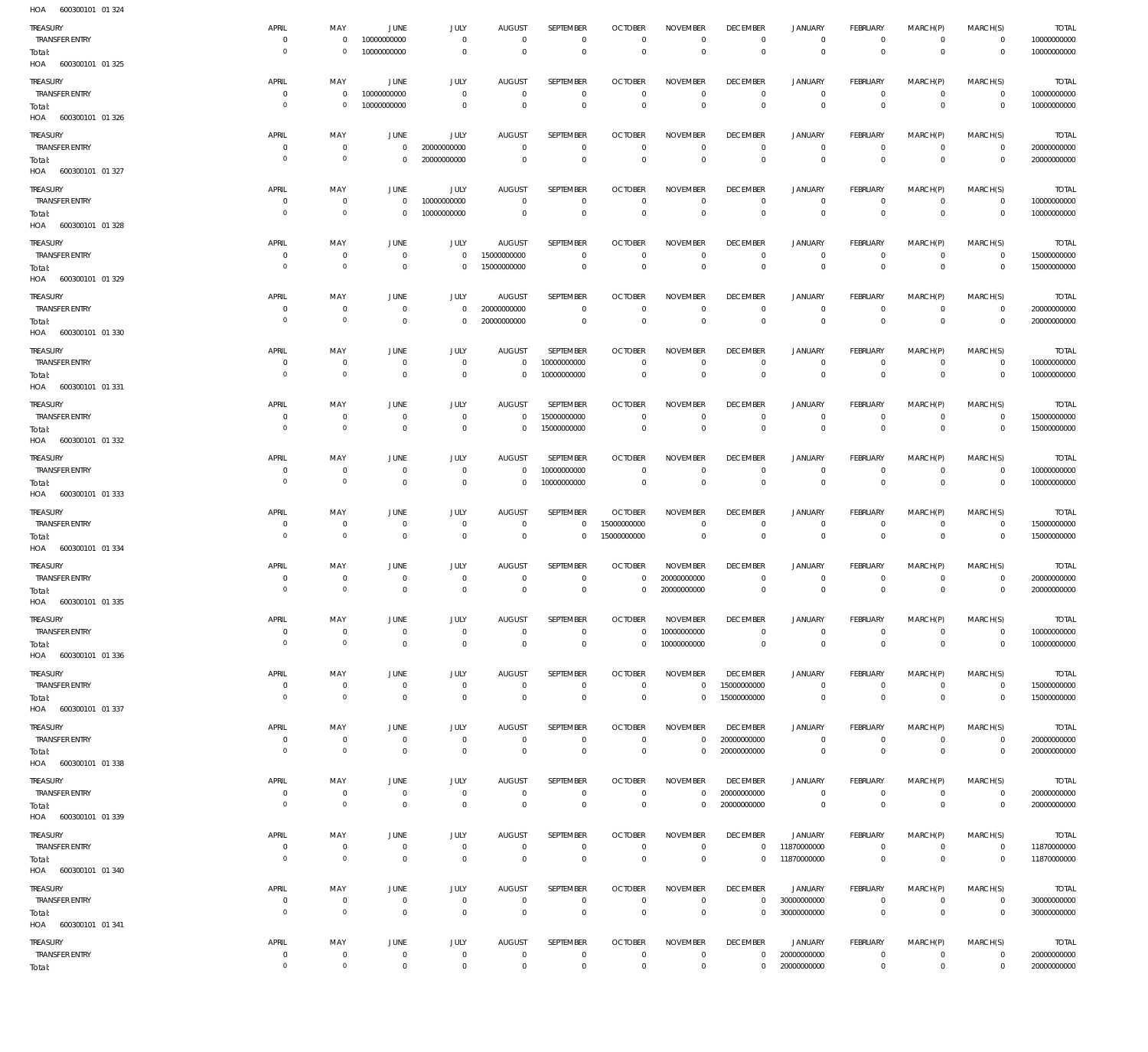| HOA<br>600300101 01 324           |                               |                           |                                  |                               |                               |                            |                                  |                                |                                 |                               |                                   |                            |                               |                             |
|-----------------------------------|-------------------------------|---------------------------|----------------------------------|-------------------------------|-------------------------------|----------------------------|----------------------------------|--------------------------------|---------------------------------|-------------------------------|-----------------------------------|----------------------------|-------------------------------|-----------------------------|
| TREASURY                          | APRIL                         | MAY                       | <b>JUNE</b>                      | JULY                          | <b>AUGUST</b>                 | SEPTEMBER                  | <b>OCTOBER</b>                   | <b>NOVEMBER</b>                | <b>DECEMBER</b>                 | <b>JANUARY</b>                | <b>FEBRUARY</b>                   | MARCH(P)                   | MARCH(S)                      | <b>TOTAL</b>                |
| <b>TRANSFER ENTRY</b>             | $^{\circ}$                    | $\mathbf{0}$              | 10000000000                      | $\mathbf 0$                   | $^{\circ}$                    | $\mathbf 0$                | $^{\circ}$                       | $\mathbf 0$                    | $\mathbf 0$                     | 0                             | $^{\circ}$                        | $\mathbf 0$                | $^{\circ}$                    | 10000000000                 |
| Total:                            | $\overline{0}$                | $\mathbf 0$               | 10000000000                      | $\mathbf 0$                   | $\mathbf 0$                   | $\mathbf 0$                | $\overline{0}$                   | $\mathbf 0$                    | $\mathbf 0$                     | $\mathsf 0$                   | $\overline{0}$                    | $\mathsf 0$                | $\mathbf 0$                   | 10000000000                 |
| HOA 600300101 01 325              |                               |                           |                                  |                               |                               |                            |                                  |                                |                                 |                               |                                   |                            |                               |                             |
| <b>TREASURY</b>                   | APRIL                         | MAY                       | <b>JUNE</b>                      | <b>JULY</b>                   | <b>AUGUST</b>                 | SEPTEMBER                  | <b>OCTOBER</b>                   | <b>NOVEMBER</b>                | <b>DECEMBER</b>                 | <b>JANUARY</b>                | <b>FEBRUARY</b>                   | MARCH(P)                   | MARCH(S)                      | <b>TOTAL</b>                |
| <b>TRANSFER ENTRY</b>             | $^{\circ}$                    | $\mathbf 0$               | 10000000000                      | $\mathbf 0$                   | $\mathbf 0$                   | $\mathbf 0$                | $\mathbf 0$                      | $\mathbf 0$                    | $\mathbf 0$                     | $\circ$                       | $\mathbf 0$                       | $\mathbf 0$                | $\overline{0}$                | 10000000000                 |
| Total:                            | $\overline{0}$                | $\mathbf 0$               | 10000000000                      | $\mathbf 0$                   | $\mathbf 0$                   | $\mathsf 0$                | $\mathbf 0$                      | $\mathbf 0$                    | $\mathbf 0$                     | $\mathsf 0$                   | $\mathbf 0$                       | $\mathbf 0$                | $\mathbf 0$                   | 10000000000                 |
| HOA 600300101 01 326              |                               |                           |                                  |                               |                               |                            |                                  |                                |                                 |                               |                                   |                            |                               |                             |
| <b>TREASURY</b>                   | APRIL                         | MAY                       | <b>JUNE</b>                      | <b>JULY</b>                   | <b>AUGUST</b>                 | SEPTEMBER                  | <b>OCTOBER</b>                   | <b>NOVEMBER</b>                | <b>DECEMBER</b>                 | <b>JANUARY</b>                | <b>FEBRUARY</b>                   | MARCH(P)                   | MARCH(S)                      | <b>TOTAL</b>                |
| <b>TRANSFER ENTRY</b>             | $^{\circ}$                    | $\mathbf 0$               | $\overline{0}$                   | 20000000000                   | $\overline{0}$                | $\mathbf{0}$               | $\overline{0}$                   | $\mathbf 0$                    | $\mathbf 0$                     | $\mathbf 0$                   | $\circ$                           | $\mathbf 0$                | $\overline{0}$                | 20000000000                 |
| Total:                            | $\overline{0}$                | $\circ$                   | $\overline{0}$                   | 20000000000                   | $\mathbf 0$                   | $\mathsf 0$                | $\overline{0}$                   | $\mathsf 0$                    | $\mathbf 0$                     | $\mathsf 0$                   | $\overline{0}$                    | $\mathsf 0$                | $\mathbf 0$                   | 20000000000                 |
| HOA 600300101 01 327              |                               |                           |                                  |                               |                               |                            |                                  |                                |                                 |                               |                                   |                            |                               |                             |
| TREASURY                          | APRIL                         | MAY                       | JUNE                             | <b>JULY</b>                   | <b>AUGUST</b>                 | SEPTEMBER                  | <b>OCTOBER</b>                   | <b>NOVEMBER</b>                | <b>DECEMBER</b>                 | <b>JANUARY</b>                | <b>FEBRUARY</b>                   | MARCH(P)                   | MARCH(S)                      | <b>TOTAL</b>                |
| TRANSFER ENTRY                    | $^{\circ}$<br>$\overline{0}$  | $\mathbf{0}$<br>$\circ$   | $\overline{0}$<br>$\overline{0}$ | 10000000000<br>10000000000    | $^{\circ}$<br>$\mathbf 0$     | $\mathbf 0$<br>$\mathsf 0$ | $^{\circ}$<br>$\mathbf 0$        | $^{\circ}$<br>$\mathbf 0$      | $\overline{0}$<br>$\mathbf 0$   | $\mathbf 0$<br>$\mathsf 0$    | $^{\circ}$<br>$\mathbf 0$         | $\mathbf 0$<br>$\mathbf 0$ | $\overline{0}$<br>$\mathbf 0$ | 10000000000<br>10000000000  |
| Total:<br>HOA 600300101 01 328    |                               |                           |                                  |                               |                               |                            |                                  |                                |                                 |                               |                                   |                            |                               |                             |
|                                   |                               |                           |                                  |                               |                               |                            |                                  |                                |                                 |                               |                                   |                            |                               |                             |
| TREASURY<br>TRANSFER ENTRY        | APRIL<br>$^{\circ}$           | MAY<br>$\overline{0}$     | <b>JUNE</b><br>$\overline{0}$    | JULY<br>$\mathbf 0$           | <b>AUGUST</b><br>15000000000  | SEPTEMBER<br>$\mathbf 0$   | <b>OCTOBER</b><br>$\overline{0}$ | <b>NOVEMBER</b><br>$\mathbf 0$ | <b>DECEMBER</b><br>$^{\circ}$   | <b>JANUARY</b><br>$\mathbf 0$ | <b>FEBRUARY</b><br>$\mathbf{0}$   | MARCH(P)<br>$\mathbf 0$    | MARCH(S)<br>$\overline{0}$    | <b>TOTAL</b><br>15000000000 |
| Total:                            | $\overline{0}$                | $\circ$                   | $\overline{0}$                   | $\mathbf 0$                   | 15000000000                   | $\mathbf 0$                | $\overline{0}$                   | $\mathbf 0$                    | $\mathbf 0$                     | $\mathsf 0$                   | $\mathbf 0$                       | $\mathbf 0$                | $\mathbf 0$                   | 15000000000                 |
| HOA 600300101 01 329              |                               |                           |                                  |                               |                               |                            |                                  |                                |                                 |                               |                                   |                            |                               |                             |
| TREASURY                          | APRIL                         | MAY                       | <b>JUNE</b>                      | <b>JULY</b>                   | <b>AUGUST</b>                 | SEPTEMBER                  | <b>OCTOBER</b>                   | <b>NOVEMBER</b>                | <b>DECEMBER</b>                 | <b>JANUARY</b>                | <b>FEBRUARY</b>                   | MARCH(P)                   | MARCH(S)                      | <b>TOTAL</b>                |
| TRANSFER ENTRY                    | $\mathbf 0$                   | $\overline{0}$            | $\overline{0}$                   | $\mathbf 0$                   | 20000000000                   | $\mathbf 0$                | $\mathbf 0$                      | $\mathbf 0$                    | $^{\circ}$                      | $\mathbf 0$                   | $\mathbf 0$                       | $\mathbf 0$                | $^{\circ}$                    | 20000000000                 |
| Total:                            | $\overline{0}$                | $\circ$                   | $\overline{0}$                   | $\mathbf 0$                   | 20000000000                   | $\overline{0}$             | $\overline{0}$                   | $\mathsf 0$                    | $\overline{0}$                  | $\mathsf 0$                   | $\overline{0}$                    | $\mathbf 0$                | $\mathbf 0$                   | 20000000000                 |
| HOA 600300101 01 330              |                               |                           |                                  |                               |                               |                            |                                  |                                |                                 |                               |                                   |                            |                               |                             |
| <b>TREASURY</b>                   | APRIL                         | MAY                       | JUNE                             | <b>JULY</b>                   | <b>AUGUST</b>                 | SEPTEMBER                  | <b>OCTOBER</b>                   | <b>NOVEMBER</b>                | <b>DECEMBER</b>                 | <b>JANUARY</b>                | <b>FEBRUARY</b>                   | MARCH(P)                   | MARCH(S)                      | <b>TOTAL</b>                |
| TRANSFER ENTRY                    | 0                             | $\mathbf{0}$              | $\overline{0}$                   | $\mathbf 0$                   | $^{\circ}$                    | 10000000000                | $^{\circ}$                       | $\mathbf 0$                    | $^{\circ}$                      | 0                             | $^{\circ}$                        | $\mathbf 0$                | $\overline{0}$                | 10000000000                 |
| Total:                            | $\overline{0}$                | $\circ$                   | $\overline{0}$                   | $\mathbf 0$                   | $\mathbf 0$                   | 10000000000                | $\overline{0}$                   | $\mathbf 0$                    | $\mathbf 0$                     | $\mathsf 0$                   | $\mathbf 0$                       | $\mathbf 0$                | $\mathbf 0$                   | 10000000000                 |
| HOA 600300101 01 331              |                               |                           |                                  |                               |                               |                            |                                  |                                |                                 |                               |                                   |                            |                               |                             |
| TREASURY                          | APRIL                         | MAY                       | <b>JUNE</b>                      | JULY                          | <b>AUGUST</b>                 | SEPTEMBER                  | <b>OCTOBER</b>                   | <b>NOVEMBER</b>                | <b>DECEMBER</b>                 | <b>JANUARY</b>                | <b>FEBRUARY</b>                   | MARCH(P)                   | MARCH(S)                      | <b>TOTAL</b>                |
| TRANSFER ENTRY                    | $^{\circ}$<br>$\overline{0}$  | $\mathbf{0}$<br>$\circ$   | $\overline{0}$<br>$\overline{0}$ | $\mathbf 0$<br>$\mathbf 0$    | $\mathbf 0$<br>$\mathbf 0$    | 15000000000                | $^{\circ}$<br>$\mathbf 0$        | $^{\circ}$<br>$\mathbf 0$      | $\mathbf 0$<br>$\mathbf 0$      | $\circ$<br>$\mathsf 0$        | $^{\circ}$<br>$\mathbf 0$         | $\mathbf 0$<br>$\mathsf 0$ | $\overline{0}$<br>$\mathbf 0$ | 15000000000                 |
| Total:<br>HOA 600300101 01 332    |                               |                           |                                  |                               |                               | 15000000000                |                                  |                                |                                 |                               |                                   |                            |                               | 15000000000                 |
|                                   | APRIL                         |                           |                                  |                               | <b>AUGUST</b>                 | SEPTEMBER                  | <b>OCTOBER</b>                   | <b>NOVEMBER</b>                | <b>DECEMBER</b>                 |                               | <b>FEBRUARY</b>                   |                            |                               |                             |
| <b>TREASURY</b>                   |                               | MAY                       | JUNE<br>$\overline{0}$           | JULY                          |                               | 10000000000                | $^{\circ}$                       | $\mathbf 0$                    | $^{\circ}$                      | <b>JANUARY</b><br>$\circ$     | $^{\circ}$                        | MARCH(P)<br>$\mathbf 0$    | MARCH(S)<br>$\overline{0}$    | TOTAL<br>10000000000        |
|                                   | 0                             | $\mathbf{0}$              |                                  | $\mathbf 0$                   | $\overline{0}$                |                            |                                  |                                |                                 |                               |                                   |                            |                               |                             |
| TRANSFER ENTRY<br>Total:          | $\overline{0}$                | $\circ$                   | $\overline{0}$                   | $\mathbf 0$                   | $\mathbf 0$                   | 10000000000                | $\overline{0}$                   | $\mathsf 0$                    | $\mathbf 0$                     | $\mathsf 0$                   | $\overline{0}$                    | $\mathbf 0$                | $\mathbf 0$                   | 10000000000                 |
| HOA 600300101 01 333              |                               |                           |                                  |                               |                               |                            |                                  |                                |                                 |                               |                                   |                            |                               |                             |
| TREASURY                          | APRIL                         | MAY                       | JUNE                             | <b>JULY</b>                   | <b>AUGUST</b>                 | SEPTEMBER                  | <b>OCTOBER</b>                   | <b>NOVEMBER</b>                | <b>DECEMBER</b>                 | <b>JANUARY</b>                | FEBRUARY                          | MARCH(P)                   |                               | TOTAL                       |
| TRANSFER ENTRY                    | $^{\circ}$                    | $\overline{0}$            | $\overline{0}$                   | $\mathbf 0$                   | $\mathbf 0$                   | $\mathbf 0$                | 15000000000                      | $\mathbf 0$                    | $\mathbf 0$                     | $\circ$                       | $\mathbf 0$                       | $\mathbf 0$                | MARCH(S)<br>$\circ$           | 15000000000                 |
| Total:                            | $\overline{0}$                | $\circ$                   | $\overline{0}$                   | $\mathbf 0$                   | $\mathbf 0$                   | $\mathbf 0$                | 15000000000                      | $\mathbf 0$                    | $\mathbf 0$                     | $\mathbf 0$                   | $\mathbf 0$                       | $\mathbf 0$                | $\mathbf 0$                   | 15000000000                 |
| HOA<br>600300101 01 334           |                               |                           |                                  |                               |                               |                            |                                  |                                |                                 |                               |                                   |                            |                               |                             |
| <b>TREASURY</b>                   | APRIL                         | MAY                       | <b>JUNE</b>                      | <b>JULY</b>                   | <b>AUGUST</b>                 | SEPTEMBER                  | <b>OCTOBER</b>                   | <b>NOVEMBER</b>                | <b>DECEMBER</b>                 | <b>JANUARY</b>                | <b>FEBRUARY</b>                   | MARCH(P)                   | MARCH(S)                      | TOTAL                       |
| <b>TRANSFER ENTRY</b>             | $^{\circ}$                    | $\mathbf 0$               | $\overline{0}$                   | $\mathbf 0$                   | $\mathbf 0$                   | $\mathbf 0$                | $\mathbf 0$                      | 20000000000                    | $\mathbf 0$                     | 0                             | $^{\circ}$                        | $\mathbf 0$                | $^{\circ}$                    | 20000000000                 |
| Total:                            | $\Omega$                      | $\circ$                   | $\overline{0}$                   | $\mathbf 0$                   | $\mathbf 0$                   | $\mathbf 0$                | $\mathbf 0$                      | 20000000000                    | $\mathbf 0$                     | $\mathbf 0$                   | $\mathbf 0$                       | $\mathbf 0$                | $\mathbf 0$                   | 20000000000                 |
| HOA 600300101 01 335              |                               |                           |                                  |                               |                               |                            |                                  |                                |                                 |                               |                                   |                            |                               |                             |
| TREASURY                          | APRIL                         | MAY                       | <b>JUNE</b>                      | <b>JULY</b>                   | <b>AUGUST</b>                 | SEPTEMBER                  | <b>OCTOBER</b>                   | <b>NOVEMBER</b>                | <b>DECEMBER</b>                 | <b>JANUARY</b>                | <b>FEBRUARY</b>                   | MARCH(P)                   | MARCH(S)                      | <b>TOTAL</b>                |
| <b>TRANSFER ENTRY</b>             | $^{\circ}$                    | $\mathbf 0$               | $\overline{0}$                   | $\mathbf 0$                   | $\mathbf 0$                   | $\mathbf 0$                | $\mathbf 0$                      | 10000000000                    | $\mathbf 0$                     | $\circ$                       | $^{\circ}$                        | $\mathbf 0$                | $\circ$                       | 10000000000                 |
| Total:                            | $\overline{0}$                | $\circ$                   | $\overline{0}$                   | $\mathbf 0$                   | $\mathbf 0$                   | $\mathbf 0$                | $\mathbf 0$                      | 10000000000                    | $\mathbf 0$                     | $\mathsf 0$                   | $\mathbb O$                       | $\mathsf 0$                | $\mathbf 0$                   | 10000000000                 |
| HOA 600300101 01 336              |                               |                           |                                  |                               |                               |                            |                                  |                                |                                 |                               |                                   |                            |                               |                             |
| TREASURY                          | APRIL                         | MAY                       | <b>JUNE</b>                      | JULY                          | <b>AUGUST</b>                 | SEPTEMBER                  | <b>OCTOBER</b>                   | <b>NOVEMBER</b>                | <b>DECEMBER</b>                 | <b>JANUARY</b>                | <b>FEBRUARY</b>                   | MARCH(P)                   | MARCH(S)                      | <b>TOTAL</b>                |
| <b>TRANSFER ENTRY</b>             | $^{\circ}$<br>$\overline{0}$  | $\overline{0}$<br>$\circ$ | $\overline{0}$<br>$\overline{0}$ | $\overline{0}$<br>$\mathsf 0$ | $\overline{0}$<br>$\mathbb O$ | $\mathbf 0$<br>$\mathsf 0$ | $^{\circ}$<br>$\overline{0}$     | $\mathbf{0}$<br>$\mathbf 0$    | 15000000000<br>15000000000      | $\circ$<br>$\mathsf 0$        | $\overline{0}$<br>$\overline{0}$  | $\mathbf 0$<br>$\mathsf 0$ | $^{\circ}$<br>$\mathbf 0$     | 15000000000<br>15000000000  |
| Total:<br>HOA 600300101 01 337    |                               |                           |                                  |                               |                               |                            |                                  |                                |                                 |                               |                                   |                            |                               |                             |
|                                   |                               |                           |                                  |                               |                               | SEPTEMBER                  |                                  | <b>NOVEMBER</b>                | <b>DECEMBER</b>                 |                               |                                   |                            |                               |                             |
| TREASURY<br><b>TRANSFER ENTRY</b> | APRIL<br>$^{\circ}$           | MAY<br>$\overline{0}$     | JUNE<br>$\overline{0}$           | <b>JULY</b><br>$\mathbf 0$    | AUGUST<br>$\mathbf 0$         | $\mathbf 0$                | <b>OCTOBER</b><br>$\overline{0}$ | $\mathbf 0$                    | 20000000000                     | <b>JANUARY</b><br>$\mathbf 0$ | FEBRUARY<br>$\overline{0}$        | MARCH(P)<br>$\mathbf 0$    | MARCH(S)<br>$\overline{0}$    | <b>TOTAL</b><br>20000000000 |
| Total:                            | $\overline{0}$                | $\circ$                   | $\overline{0}$                   | $\mathsf 0$                   | $\mathbb O$                   | $\mathsf 0$                | $\overline{0}$                   | $\mathbf{0}$                   | 20000000000                     | $\mathsf 0$                   | $\overline{0}$                    | $\mathsf 0$                | $\mathbb O$                   | 20000000000                 |
| HOA 600300101 01 338              |                               |                           |                                  |                               |                               |                            |                                  |                                |                                 |                               |                                   |                            |                               |                             |
| TREASURY                          | APRIL                         | MAY                       | JUNE                             | <b>JULY</b>                   | <b>AUGUST</b>                 | SEPTEMBER                  | <b>OCTOBER</b>                   | <b>NOVEMBER</b>                | <b>DECEMBER</b>                 | <b>JANUARY</b>                | <b>FEBRUARY</b>                   | MARCH(P)                   | MARCH(S)                      | <b>TOTAL</b>                |
| <b>TRANSFER ENTRY</b>             | $^{\circ}$                    | $\overline{0}$            | $\overline{0}$                   | $\mathbf 0$                   | $\mathbf 0$                   | $\mathbf 0$                | $\mathbf 0$                      | $\mathbf 0$                    | 20000000000                     | $\mathbf 0$                   | $\mathbf 0$                       | $\mathbf 0$                | $\overline{0}$                | 20000000000                 |
| Total:                            | $\overline{0}$                | $\overline{0}$            | $\overline{0}$                   | $\mathbf 0$                   | $\overline{0}$                | $\mathbf 0$                | $\overline{0}$                   | $\mathbf 0$                    | 20000000000                     | $\,0\,$                       | $\overline{0}$                    | $\mathsf 0$                | $\overline{0}$                | 20000000000                 |
| HOA 600300101 01 339              |                               |                           |                                  |                               |                               |                            |                                  |                                |                                 |                               |                                   |                            |                               |                             |
| TREASURY                          | APRIL                         | MAY                       | JUNE                             | JULY                          | <b>AUGUST</b>                 | SEPTEMBER                  | <b>OCTOBER</b>                   | <b>NOVEMBER</b>                | <b>DECEMBER</b>                 | <b>JANUARY</b>                | <b>FEBRUARY</b>                   | MARCH(P)                   | MARCH(S)                      | <b>TOTAL</b>                |
| TRANSFER ENTRY                    | $\mathbf 0$<br>$\overline{0}$ | $\mathbf 0$               | $\overline{0}$                   | $\mathbf 0$                   | $\mathbf 0$                   | $\mathbf 0$                | $\mathbf 0$                      | $\mathbf 0$                    | $\mathbf{0}$                    | 11870000000                   | $^{\circ}$                        | $\mathbf 0$                | $\circ$                       | 11870000000                 |
| Total:<br>HOA 600300101 01 340    |                               | $\circ$                   | $\overline{0}$                   | $\mathsf 0$                   | $\mathbf 0$                   | $\mathsf 0$                | $\overline{0}$                   | $\mathsf 0$                    | $\mathbf{0}$                    | 11870000000                   | $\mathbf 0$                       | $\mathsf 0$                | $\mathbf 0$                   | 11870000000                 |
|                                   |                               |                           |                                  |                               |                               |                            |                                  |                                |                                 |                               |                                   |                            |                               |                             |
| TREASURY<br>TRANSFER ENTRY        | APRIL<br>0                    | MAY<br>$\overline{0}$     | <b>JUNE</b><br>$\overline{0}$    | JULY<br>$\overline{0}$        | <b>AUGUST</b><br>$\mathbf 0$  | SEPTEMBER<br>$\mathbf 0$   | <b>OCTOBER</b><br>$\overline{0}$ | <b>NOVEMBER</b><br>$\mathbf 0$ | <b>DECEMBER</b><br>$\mathbf{0}$ | <b>JANUARY</b><br>30000000000 | <b>FEBRUARY</b><br>$\overline{0}$ | MARCH(P)<br>$\mathbf 0$    | MARCH(S)<br>$\overline{0}$    | <b>TOTAL</b><br>30000000000 |
| Total:                            | $\overline{0}$                | $\circ$                   | $\overline{0}$                   | $\mathbf 0$                   | $\mathbf 0$                   | $\mathsf 0$                | $\overline{0}$                   | $\mathbf 0$                    | $\mathbf 0$                     | 30000000000                   | $\overline{0}$                    | $\mathbf 0$                | $\mathbf 0$                   | 30000000000                 |
| HOA 600300101 01 341              |                               |                           |                                  |                               |                               |                            |                                  |                                |                                 |                               |                                   |                            |                               |                             |
| TREASURY                          | APRIL                         | MAY                       | JUNE                             | <b>JULY</b>                   | AUGUST                        | SEPTEMBER                  | <b>OCTOBER</b>                   | <b>NOVEMBER</b>                | <b>DECEMBER</b>                 | JANUARY                       | <b>FEBRUARY</b>                   | MARCH(P)                   | MARCH(S)                      | TOTAL                       |
| <b>TRANSFER ENTRY</b><br>Total:   | $\mathbf 0$<br>$\mathbb O$    | $\overline{0}$<br>$\circ$ | $\overline{0}$<br>$\overline{0}$ | $\mathbf 0$<br>$\mathsf 0$    | $\mathbf 0$<br>$\mathbf 0$    | $\mathbf 0$<br>$\mathsf 0$ | $\mathbf 0$<br>$\mathbf 0$       | $\mathbf 0$<br>$\mathsf 0$     | $\mathbf{0}$<br>$\mathbf 0$     | 20000000000<br>20000000000    | $\overline{0}$<br>$\mathbf 0$     | $\mathbf 0$<br>$\mathsf 0$ | $^{\circ}$<br>$\mathbf 0$     | 20000000000<br>20000000000  |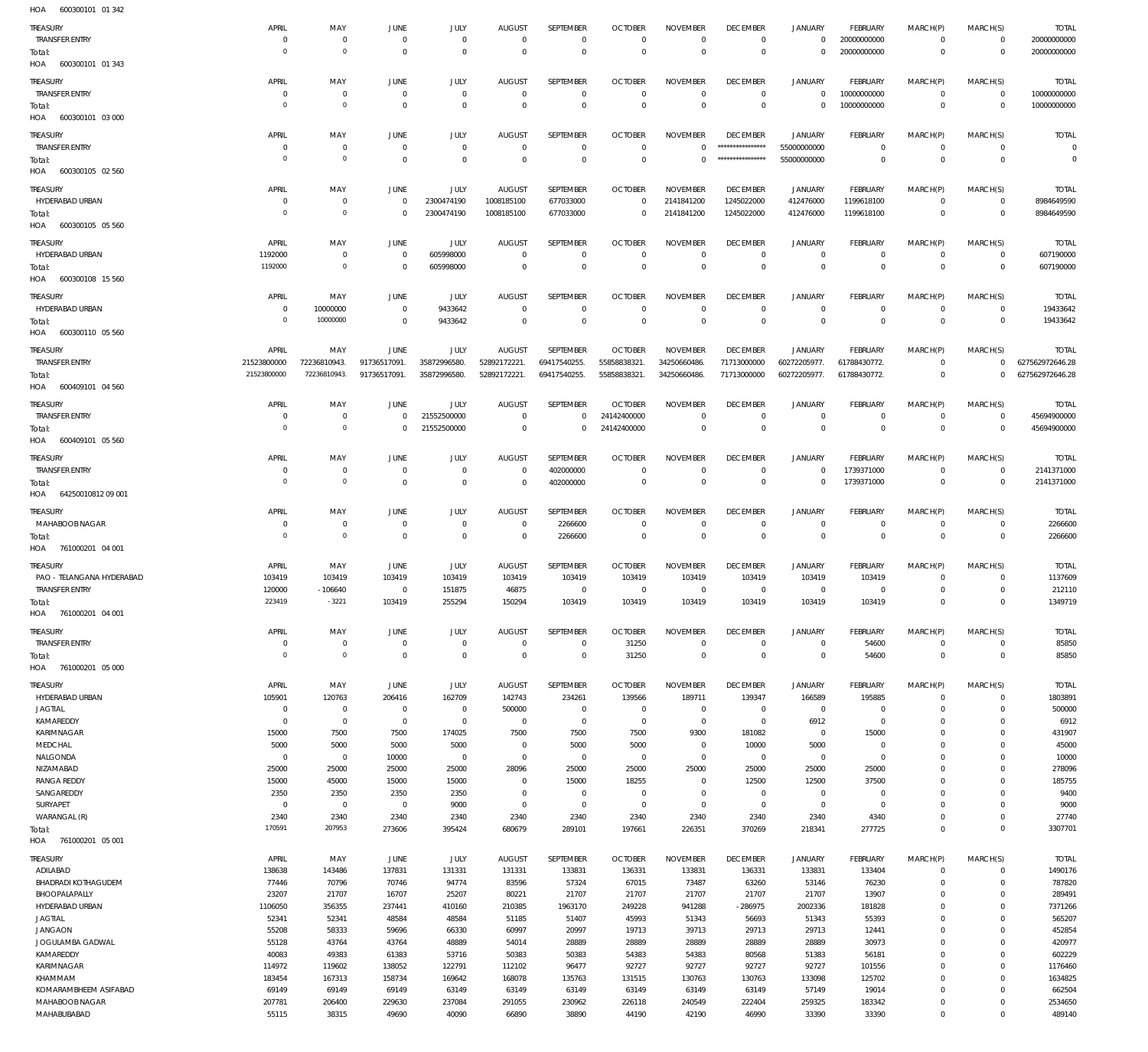**JULY TRANSFER ENTRY**  $\overline{0}$  $\overline{0}$  $\overline{0}$  $\overline{0}$  $\overline{0}$  $\overline{0}$  $\overline{0}$  $\overline{0}$  $\overline{0}$  $\mathbf{0}$ 20000000000  $\overline{0}$  $\Omega$  $\Omega$  $\mathbb O$  $\overline{0}$ 20000000000 Total:  $\overline{0}$  $\overline{0}$  $\Omega$  $\Omega$  $\overline{0}$  $\overline{0}$  $\overline{0}$ HOA 600300101 01 343 **TREASURY APRIL** MAY JUNE **JULY AUGUST** SEPTEMBER **OCTOBER NOVEMBER DECEMBER JANUARY** FEBRUARY MARCH(P) MARCH(S) **TRANSFER ENTRY**  $\overline{0}$  $\overline{0}$  $\mathbb O$  $\overline{0}$  $\circ$ 10000000000  $\overline{0}$  $\overline{0}$  $\Omega$  $\overline{0}$  $\Omega$  $\overline{0}$  $\overline{0}$  $\overline{0}$  $\overline{0}$  $\overline{0}$  $\overline{0}$ 10000000000  $\,0\,$  $\overline{0}$  $\overline{0}$  $\overline{0}$  $\overline{0}$  $\overline{0}$ Total: HOA 600300101 03 000 **DECEMBER TREASLIRY APRIL** MAY **JUNE JULY AUGUST** SEPTEMBER **OCTORER NOVEMBER JANUARY FFRRIJARY** MARCH(P) MARCH(S) **TRANSFER ENTRY**  $\overline{0}$  $\overline{0}$  $\,0\,$  $\mathbb O$  $\mathbf 0$  $\mathbf{0}$  $\mathbf{0}$ \*\*\*\*\*\*\*\*\*\*\*\*\*\*\*\*\* 55000000000  $\overline{0}$  $\overline{0}$  $\overline{0}$ Total:  $\Omega$  $\Omega$  $\Omega$  $\Omega$  $\Omega$  $\Omega$ 55000000000  $\Omega$  $\Omega$  $\Omega$  $\Omega$ HOA 600300105 02 560 TREASURY APRIL MAY JUNE JULY **AUGUST** SEPTEMBER **OCTOBER NOVEMBER DECEMBER** JANUARY FEBRUARY MARCH(P) MARCH(S) HYDERABAD URBAN  $\overline{0}$  $\overline{0}$  $\overline{0}$ 2300474190 1008185100 677033000  $\overline{0}$ 2141841200 1245022000 412476000 1199618100  $\overline{0}$ 2300474190 677033000 2141841200 1245022000 412476000 1199618100  $\Omega$  $\Omega$  $\,0\,$ 1008185100  $\overline{0}$  $\overline{0}$ Total: HOA 600300105 05 560 **TREASURY** JUNE **AUGUST** SEPTEMBER **OCTOBER NOVEMBER DECEMBER JANUARY** FEBRUARY MARCH(P) MARCH(S) APRIL MAY JULY HYDERABAD URBAN 1192000  $\overline{0}$ 605998000  $\overline{0}$  $\overline{0}$  $\overline{0}$  $\overline{0}$  $\overline{0}$  $\overline{0}$  $\circ$  $\mathbf 0$  $\overline{0}$ 1192000  $\mathbf{0}$ 605998000  $\overline{0}$  $\mathbf{0}$  $\overline{0}$  $\overline{0}$  $\overline{0}$  $\overline{0}$  $\mathbf{0}$  $\overline{0}$ Total: HOA 600300108 15 560 **TREASLIRY** APRIL MAY **JUNE JULY ALIGUST** SEPTEMBER OCTORER **NOVEMBER DECEMBER JANUARY** FFRRUARY MARCH(P) MARCH(S) HYDERABAD URBAN 10000000  $\,$  0  $\,$ 9433642  $\overline{0}$  $\mathbf 0$  $\,$  0  $\overline{0}$  $\overline{0}$  $\overline{0}$  $\circ$  $\mathbf 0$  $\overline{0}$ 10000000 Total:  $\Omega$  $\Omega$ 9433642  $\Omega$  $\Omega$  $\Omega$  $\Omega$  $\Omega$  $\Omega$  $\Omega$  $\Omega$ HOA 600300110 05 560 TREASURY APRIL MAY JUNE JULY **AUGUST** SEPTEMBER **OCTOBER NOVEMBER DECEMBER** JANUARY FEBRUARY MARCH(P) MARCH(S) **TRANSFFR FNTRY** 21523800000 72236810943 91736517091 35872996580 52892172221 69417540255 55858838321 34250660486 71713000000 60272205977 61788430772  $\Omega$ 55858838321. 21523800000 72236810943. 35872996580. 52892172221. 34250660486. 71713000000 60272205977. 91736517091. 69417540255. 61788430772  $\overline{0}$ Total: HOA 600409101 04 560 **SEPTEMBER DECEMBER TREASURY** APRIL MAY JUNE **AUGUST OCTOBER NOVEMBER JANUARY** FEBRUARY MARCH(P) MARCH(S) JULY **TRANSFER ENTRY**  $\overline{0}$  $\mathbf 0$  $\mathbf 0$ 21552500000  $\mathbf 0$  $\mathbf{0}$ 24142400000  $\mathbf 0$  $\overline{0}$  $\circ$  $\mathbf 0$  $\mathbf 0$  $\circ$  $\overline{0}$ 21552500000  $\Omega$ 24142400000  $\Omega$  $\Omega$  $\overline{0}$  $\Omega$  $\mathbf{0}$  $\mathbf{0}$  $\Omega$ Total: HOA 600409101 05 560 **TREASLIRY** APRIL MAY **JUNE** JULY **ALIGUST** SEPTEMBER OCTORER **NOVEMBER DECEMBER JANUARY** FFRRUARY MARCH(P) MARCH(S) **TRANSFER ENTRY**  $\overline{0}$ 402000000 1739371000  $\,0\,$  $\overline{0}$  $\mathbf 0$  $\mathbf 0$  $\overline{0}$  $\overline{0}$  $\,0\,$  $\mathsf{O}$  $\overline{0}$  $\overline{0}$  $\overline{0}$  $\Omega$  $\overline{0}$  $\overline{0}$ 402000000  $\Omega$  $\Omega$  $\Omega$  $\Omega$ 1739371000  $\Omega$ Total: HOA 64250010812 09 001 TREASURY APRIL MAY JUNE **JULY AUGUST** SEPTEMBER **OCTOBER NOVEMBER DECEMBER** JANUARY FEBRUARY MARCH(P) MARCH(S) MAHAROOR NAGAR  $\Omega$  $\Omega$  $\Omega$  $\Omega$  $\Omega$ 2266600  $\Omega$  $\Omega$  $\Omega$  $\Omega$  $\Omega$  $\Omega$  $\Omega$  $\Omega$  $\overline{0}$  $\,0\,$  $\mathbf 0$ 2266600  $\overline{0}$  $\overline{0}$  $\boldsymbol{0}$  $\mathbf 0$  $\mathbf 0$  $\overline{0}$ Total: HOA 761000201 04 001 **TREASURY** APRIL MAY JUNE JULY **AUGUST** SEPTEMBER **OCTOBER NOVEMBER DECEMBER JANUARY** FEBRUARY MARCH(P) MARCH(S) PAO - TELANGANA HYDERABAD 103419 103419 103419 103419 103419 103419 103419 103419 103419 103419 103419  $\overline{0}$ **TRANSFER ENTRY** 151875 46875 120000  $-106640$  $\overline{0}$  $\overline{0}$  $\Omega$  $\overline{0}$  $\overline{\phantom{0}}$  $\overline{0}$  $\overline{0}$  $\overline{0}$ 223419  $-3221$ 103419 255294 150294 103419 103419 103419 103419 103419 103419  $\overline{0}$ Total: HOA 761000201 04 001 TREASURY APRIL MAY JUNE JULY AUGUST SEPTEMBER **OCTOBER NOVEMBER DECEMBER JANUARY** FEBRUARY MARCH(S) MARCH(P) **TRANSFFR FNTRY**  $\Omega$  $\overline{0}$  $\overline{0}$  $\overline{0}$  $\overline{0}$  $\overline{0}$ 31250  $\Omega$  $\Omega$  $\Omega$ 54600  $\Omega$  $\circ$  $\overline{0}$  $\overline{0}$  $\overline{0}$  $\overline{0}$  $\overline{0}$ 31250  $\overline{0}$  $\overline{0}$  $\overline{0}$ 54600  $\overline{0}$ Total: HOA 761000201 05 000 **TREASLIRY APRIL** MAY **JUNE JULY ALIGUST** SEPTEMBER **OCTORER NOVEMBER DECEMBER JANUARY FFRRIJARY** MARCH(P) MARCH(S) HYDERABAD URBAN 105901 120763 206416 162709 142743 234261 139566 189711 139347 166589 195885 **JAGTIAL**  $\overline{0}$  $\overline{0}$  $\overline{0}$  $\overline{0}$ 500000  $\overline{0}$  $\overline{0}$  $\overline{0}$  $\overline{\phantom{0}}$  $\overline{0}$  $\overline{0}$  $\overline{0}$ KAMAREDDY  $\Omega$  $\mathbf{0}$  $\Omega$  $\Omega$  $\Omega$  $\mathbf{0}$ 6912  $\Omega$  $\Omega$  $\Omega$  $\Omega$  $\circ$ KARIMNAGAR 174025 7500 7500 15000 7500 7500 7500 9300 181082 15000  $\overline{0}$  $\overline{0}$ **MEDCHAL** 5000 5000 5000 5000  $\Omega$ 5000 5000  $\Omega$ 10000 5000  $\Omega$  $\Omega$ NALGONDA  $\overline{0}$  $\overline{0}$ 10000  $\overline{0}$  $\overline{0}$  $\overline{0}$  $\overline{0}$  $\overline{0}$  $\overline{0}$  $\overline{0}$  $\circ$  $\circ$ NIZAMABAD 25000 25000 25000 25000 28096 25000 25000 25000 25000 25000 25000  $\overline{0}$ **RANGA REDDY** 15000 45000 15000 15000 15000 18255 12500 12500 37500  $\overline{0}$  $\mathbf 0$  $\Omega$ 2350 2350 2350 2350 SANGAREDDY  $\overline{0}$  $\mathbf{0}$  $\overline{0}$  $\overline{0}$  $\overline{0}$  $\overline{0}$  $\mathbf{0}$  $\circ$ SURYAPET  $\Omega$  $\Omega$  $\Omega$ 9000  $\Omega$  $\Omega$  $\Omega$  $\Omega$  $\Omega$  $\Omega$  $\Omega$  $\Omega$ WARANGAL (R) 2340 2340 2340 2340 2340 2340 2340 2340 2340 2340 4340  $\overline{0}$ 170591 207953 Total 273606 395424 680679 289101 197661 226351 370269 218341 277725  $\overline{0}$ HOA 761000201 05 00 TREASURY APRIL MAY JUNE SEPTEMBER **OCTOBER NOVEMBER DECEMBER** JULY **AUGUST JANUARY** FEBRUARY MARCH(P) MARCH(S) ADILABAD 138638 143486 137831 131331 133404 131331 133831 136331 133831 136331 133831  $\overline{0}$ **BHADRADI KOTHAGUDEM** 77446 70796 70746 94774 83596 57324 67015 73487 63260 53146 76230  $\circ$ BHOOPALAPALLY 23207 21707 16707 25207 80221 21707 21707 21707 21707 21707 13907  $\overline{0}$ **HYDERARAD URBAN** 1106050 356355 237441 410160 210385 1963170 249228 941288  $-286975$ 2002336 181828  $\Omega$ **JAGTIAL** 52341 52341 48584 48584 51185 51407 45993 51343 56693 51343 55393  $\circ$ 55208 **JANGAON** 58333 59696 66330 60997 20997 19713 39713 29713 29713 12441  $\overline{0}$ 

**AUGUST** 

SEPTEMBER

**OCTOBER** 

**NOVEMBER** 

**DECEMBER** 

JANUARY

FEBRUARY

MARCH(P)

MARCH(S)

 $\circ$ 

 $\overline{0}$ 

 $\overline{0}$ 

 $\overline{0}$ 

 $^{\circ}$ 

 $\Omega$ 

 $\overline{0}$ 

 $\overline{0}$ 

 $\overline{0}$ 

 $\overline{0}$ 

 $\Omega$ 

 $\Omega$ 

 $\,0\,$ 

 $\overline{0}$ 

 $\Omega$ 

 $\overline{0}$ 

 $\Omega$ 

 $\Omega$ 

 $\overline{0}$ 

 $\overline{0}$ 

 $\overline{0}$ 

 $\Omega$ 

 $\overline{0}$ 

 $\mathbf 0$ 

 $\overline{0}$ 

 $\Omega$ 

 $\overline{0}$ 

 $\Omega$ 

 $\circ$ 

 $\mathbf 0$ 

 $\overline{0}$ 

 $\mathbf 0$ 

 $\Omega$ 

 $\overline{0}$ 

 $\overline{0}$ 

 $\overline{0}$ 

 $\mathbf{0}$ 

 $\mathbf 0$ 

 $\Omega$ 

 $\overline{0}$ 

 $\overline{0}$ 

 $\Omega$ 

 $\Omega$ 

 $\overline{0}$ 

 $\mathbf{0}$ 

 $\mathbf 0$ 

 $\Omega$ 

 $\overline{0}$ 

 $\Omega$ 

 $\Omega$ 

 $\overline{0}$ 

 $\overline{0}$ 

 $\mathbf 0$ 

 $\Omega$ 

28889

51383

92727

133098

57149

259325

33390

28889

80568

92727

130763

63149

222404

46990

30973

56181

101556

125702

19014

183342

33390

**TOTAL** 

**TOTAL** 

**TOTAL** 

**TOTAL** 

**TOTAL** 

**TOTAL** 

**TOTAL** 627562972646.28

**TOTAL** 

**TOTAL** 

**TOTAL** 

2266600

2266600

**TOTAL** 

1137609

212110

1349719

**TOTAL** 

85850

85850

**TOTAL** 

1803891

500000

431907

45000

10000

278096

185755

9400

9000

27740

**TOTAL** 

1490176

787820

289491

7371266

565207

452854

420977

602229

1176460

1634825

662504

2534650

489140

3307701

6912

45694900000

45694900000

2141371000

2141371000

627562972646.28

19433642

19433642

8984649590

8984649590

607190000

607190000

 $\mathbf 0$ 

 $\Omega$ 

20000000000

20000000000

10000000000

10000000000

HOA 600300101 01 342

JOGULAMBA GADWAL

KOMARAMBHEEM ASIFABAD

MAHABOOB NAGAR

MAHABUBABAD

KAMAREDDY

KHAMMAM

KARIMNAGAR

APRIL

55128

40083

114972

183454

69149

207781

55115

43764

49383

119602

167313

69149

206400

38315

43764

61383

138052

158734

69149

229630

49690

48889

53716

122791

169642

63149

237084

40090

54014

50383

112102

168078

63149

291055

66890

28889

50383

96477

135763

63149

230962

38890

28889

54383

92727

131515

63149

226118

44190

28889

54383

92727

130763

63149

240549

42190

MAY

JUNE

TREASURY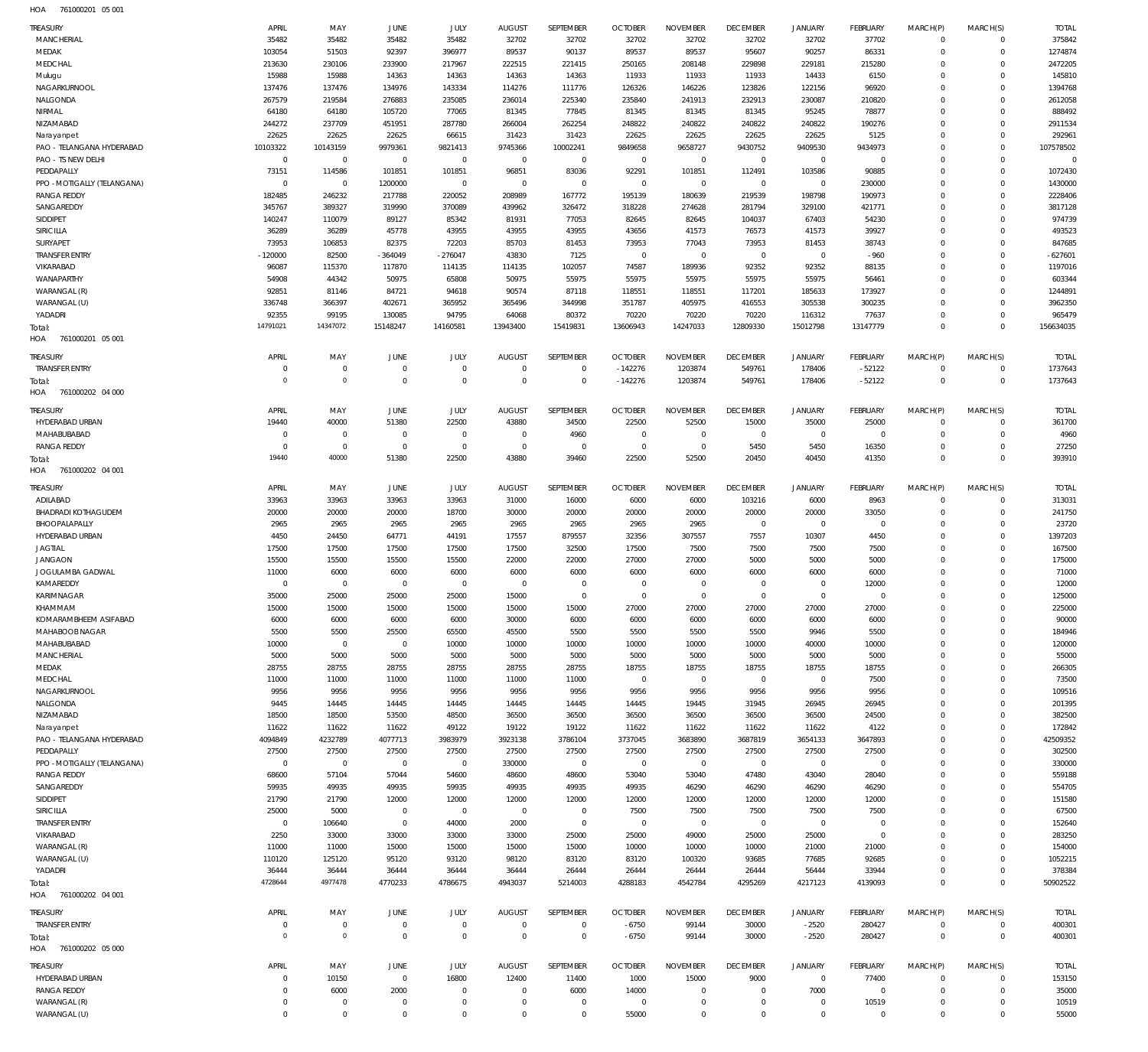761000201 05 001 HOA

| <b>TREASURY</b>                             | APRIL                   | MAY                | JUNE                   | JULY                | <b>AUGUST</b>                   | SEPTEMBER               | <b>OCTOBER</b>            | <b>NOVEMBER</b>          | <b>DECEMBER</b>          | <b>JANUARY</b>      | <b>FEBRUARY</b>           | MARCH(P)                | MARCH(S)                | <b>TOTAL</b>           |
|---------------------------------------------|-------------------------|--------------------|------------------------|---------------------|---------------------------------|-------------------------|---------------------------|--------------------------|--------------------------|---------------------|---------------------------|-------------------------|-------------------------|------------------------|
| <b>MANCHERIAL</b>                           | 35482                   | 35482              | 35482                  | 35482               | 32702                           | 32702                   | 32702                     | 32702                    | 32702                    | 32702               | 37702                     | $\Omega$                | $\Omega$                | 375842                 |
| MEDAK<br>MEDCHAL                            | 103054<br>213630        | 51503<br>230106    | 92397<br>233900        | 396977<br>217967    | 89537<br>222515                 | 90137<br>221415         | 89537<br>250165           | 89537<br>208148          | 95607<br>229898          | 90257<br>229181     | 86331<br>215280           | $\Omega$<br>$\Omega$    | $\Omega$<br>$\Omega$    | 1274874<br>2472205     |
| Mulugu                                      | 15988                   | 15988              | 14363                  | 14363               | 14363                           | 14363                   | 11933                     | 11933                    | 11933                    | 14433               | 6150                      | $\Omega$                | $\Omega$                | 145810                 |
| NAGARKURNOOL                                | 137476                  | 137476             | 134976                 | 143334              | 114276                          | 111776                  | 126326                    | 146226                   | 123826                   | 122156              | 96920                     | $\Omega$                | $\Omega$                | 1394768                |
| NALGONDA                                    | 267579                  | 219584             | 276883                 | 235085              | 236014                          | 225340                  | 235840                    | 241913                   | 232913                   | 230087              | 210820                    | $\Omega$                | $\Omega$                | 2612058                |
| NIRMAL                                      | 64180                   | 64180              | 105720                 | 77065               | 81345                           | 77845                   | 81345                     | 81345                    | 81345                    | 95245               | 78877                     | $\Omega$                | $\Omega$                | 888492                 |
| NIZAMABAD                                   | 244272<br>22625         | 237709<br>22625    | 451951<br>22625        | 287780<br>66615     | 266004<br>31423                 | 262254<br>31423         | 248822<br>22625           | 240822<br>22625          | 240822<br>22625          | 240822<br>22625     | 190276<br>5125            | $\Omega$<br>$\Omega$    | $\Omega$<br>$\Omega$    | 2911534<br>292961      |
| Narayanpet<br>PAO - TELANGANA HYDERABAD     | 10103322                | 10143159           | 9979361                | 9821413             | 9745366                         | 10002241                | 9849658                   | 9658727                  | 9430752                  | 9409530             | 9434973                   | $\Omega$                | $\Omega$                | 107578502              |
| PAO - TS NEW DELHI                          | $\overline{0}$          | $\overline{0}$     | $\overline{0}$         | $\overline{0}$      | $\mathbb O$                     | $\mathbb O$             | $\overline{0}$            | $\overline{0}$           | $\overline{0}$           | $\overline{0}$      | $\mathbf{0}$              | $\Omega$                | $\Omega$                | $\overline{0}$         |
| PEDDAPALLY                                  | 73151                   | 114586             | 101851                 | 101851              | 96851                           | 83036                   | 92291                     | 101851                   | 112491                   | 103586              | 90885                     | $\Omega$                | $\Omega$                | 1072430                |
| PPO - MOTIGALLY (TELANGANA)                 | $\overline{0}$          | $\overline{0}$     | 1200000                | $\overline{0}$      | $\overline{0}$                  | $\mathbb O$             | $\mathbf 0$               | $^{\circ}$               | $\mathbf 0$              | $\mathbf 0$         | 230000                    | $\Omega$                | $\Omega$                | 1430000                |
| <b>RANGA REDDY</b>                          | 182485                  | 246232             | 217788                 | 220052              | 208989                          | 167772                  | 195139                    | 180639                   | 219539                   | 198798              | 190973                    | $\Omega$                | $\Omega$                | 2228406                |
| SANGAREDDY<br>SIDDIPET                      | 345767<br>140247        | 389327<br>110079   | 319990<br>89127        | 370089<br>85342     | 439962<br>81931                 | 326472<br>77053         | 318228<br>82645           | 274628<br>82645          | 281794<br>104037         | 329100<br>67403     | 421771<br>54230           | $\Omega$<br>$\Omega$    | $\Omega$<br>$\Omega$    | 3817128<br>974739      |
| SIRICILLA                                   | 36289                   | 36289              | 45778                  | 43955               | 43955                           | 43955                   | 43656                     | 41573                    | 76573                    | 41573               | 39927                     | $\Omega$                | $\Omega$                | 493523                 |
| SURYAPET                                    | 73953                   | 106853             | 82375                  | 72203               | 85703                           | 81453                   | 73953                     | 77043                    | 73953                    | 81453               | 38743                     | $\Omega$                | $\Omega$                | 847685                 |
| <b>TRANSFER ENTRY</b>                       | $-120000$               | 82500              | $-364049$              | $-276047$           | 43830                           | 7125                    | $\overline{0}$            | $\overline{0}$           | $\mathbf{0}$             | $\mathbf{0}$        | $-960$                    | $\Omega$                | $\Omega$                | $-627601$              |
| VIKARABAD                                   | 96087                   | 115370             | 117870                 | 114135              | 114135                          | 102057                  | 74587                     | 189936                   | 92352                    | 92352               | 88135                     | $\Omega$                | $\Omega$                | 1197016                |
| WANAPARTHY                                  | 54908                   | 44342              | 50975                  | 65808               | 50975                           | 55975                   | 55975                     | 55975                    | 55975                    | 55975               | 56461                     | $\Omega$                | $\Omega$                | 603344                 |
| WARANGAL (R)<br>WARANGAL (U)                | 92851<br>336748         | 81146<br>366397    | 84721<br>402671        | 94618<br>365952     | 90574<br>365496                 | 87118<br>344998         | 118551<br>351787          | 118551<br>405975         | 117201<br>416553         | 185633<br>305538    | 173927<br>300235          | $\Omega$<br>$\Omega$    | $\Omega$<br>$\Omega$    | 1244891<br>3962350     |
| YADADRI                                     | 92355                   | 99195              | 130085                 | 94795               | 64068                           | 80372                   | 70220                     | 70220                    | 70220                    | 116312              | 77637                     | $\Omega$                | $\Omega$                | 965479                 |
| Total:                                      | 14791021                | 14347072           | 15148247               | 14160581            | 13943400                        | 15419831                | 13606943                  | 14247033                 | 12809330                 | 15012798            | 13147779                  | $\Omega$                | $\Omega$                | 156634035              |
| HOA<br>761000201 05 001                     |                         |                    |                        |                     |                                 |                         |                           |                          |                          |                     |                           |                         |                         |                        |
| <b>TREASURY</b>                             | APRIL                   | MAY                | JUNE                   | <b>JULY</b>         | <b>AUGUST</b>                   | SEPTEMBER               | <b>OCTOBER</b>            | <b>NOVEMBER</b>          | <b>DECEMBER</b>          | <b>JANUARY</b>      | <b>FEBRUARY</b>           | MARCH(P)                | MARCH(S)                | <b>TOTAL</b>           |
| <b>TRANSFER ENTRY</b>                       | $^{\circ}$              | $^{\circ}$         | $\overline{0}$         | $\overline{0}$      | $\overline{0}$                  | $\Omega$                | $-142276$                 | 1203874                  | 549761                   | 178406              | $-52122$                  | $\Omega$                | $\Omega$                | 1737643                |
| Total:                                      | $\overline{0}$          | $\overline{0}$     | $\Omega$               | $\Omega$            | $\Omega$                        | $\Omega$                | $-142276$                 | 1203874                  | 549761                   | 178406              | $-52122$                  | $\Omega$                | $\Omega$                | 1737643                |
| HOA<br>761000202 04 000                     |                         |                    |                        |                     |                                 |                         |                           |                          |                          |                     |                           |                         |                         |                        |
| TREASURY                                    | APRIL                   | MAY                | JUNE                   | JULY                | <b>AUGUST</b>                   | SEPTEMBER               | <b>OCTOBER</b>            | <b>NOVEMBER</b>          | <b>DECEMBER</b>          | <b>JANUARY</b>      | <b>FEBRUARY</b>           | MARCH(P)                | MARCH(S)                | <b>TOTAL</b>           |
| HYDERABAD URBAN                             | 19440                   | 40000              | 51380                  | 22500               | 43880                           | 34500                   | 22500                     | 52500                    | 15000                    | 35000               | 25000                     | $\Omega$                | $\mathbf 0$             | 361700                 |
| MAHABUBABAD                                 | $\Omega$                | $^{\circ}$         | $\overline{0}$         | $\overline{0}$      | $\overline{0}$                  | 4960                    | $\mathbf{0}$              | $\Omega$                 | $\mathbf{0}$             | $^{\circ}$          | $\mathbf{0}$              | $\Omega$                | $\Omega$                | 4960                   |
| <b>RANGA REDDY</b>                          | $\Omega$                | $\overline{0}$     | $\overline{0}$         | $\overline{0}$      | $\overline{0}$                  | $^{\circ}$              | $\mathbf{0}$              | $\Omega$                 | 5450                     | 5450                | 16350                     | $\Omega$                | $\Omega$                | 27250                  |
| Total:                                      | 19440                   | 40000              | 51380                  | 22500               | 43880                           | 39460                   | 22500                     | 52500                    | 20450                    | 40450               | 41350                     | $\Omega$                | $\Omega$                | 393910                 |
| 761000202 04 001<br>HOA                     |                         |                    |                        |                     |                                 |                         |                           |                          |                          |                     |                           |                         |                         |                        |
| TREASURY                                    | APRIL                   | MAY                | JUNE                   | JULY                | <b>AUGUST</b>                   | SEPTEMBER               | <b>OCTOBER</b>            | <b>NOVEMBER</b>          | <b>DECEMBER</b>          | <b>JANUARY</b>      | <b>FEBRUARY</b>           | MARCH(P)                | MARCH(S)                | <b>TOTAL</b>           |
| ADILABAD                                    | 33963                   | 33963              | 33963                  | 33963               | 31000                           | 16000                   | 6000                      | 6000                     | 103216                   | 6000                | 8963                      | $\Omega$                | $\Omega$                | 313031                 |
| <b>BHADRADI KOTHAGUDEM</b><br>BHOOPALAPALLY | 20000<br>2965           | 20000<br>2965      | 20000<br>2965          | 18700<br>2965       | 30000<br>2965                   | 20000<br>2965           | 20000<br>2965             | 20000<br>2965            | 20000<br>$\Omega$        | 20000<br>$^{\circ}$ | 33050<br>$\Omega$         | $\Omega$<br>$\Omega$    | $\Omega$<br>$\Omega$    | 241750<br>23720        |
| HYDERABAD URBAN                             | 4450                    | 24450              | 64771                  | 44191               | 17557                           | 879557                  | 32356                     | 307557                   | 7557                     | 10307               | 4450                      | $\Omega$                | $\Omega$                | 1397203                |
| <b>JAGTIAL</b>                              | 17500                   | 17500              | 17500                  | 17500               | 17500                           | 32500                   | 17500                     | 7500                     | 7500                     | 7500                | 7500                      |                         | $\Omega$                | 167500                 |
| <b>JANGAON</b>                              | 15500                   | 15500              | 15500                  | 15500               | 22000                           | 22000                   | 27000                     | 27000                    | 5000                     | 5000                | 5000                      | $\Omega$                | $\Omega$                | 175000                 |
| JOGULAMBA GADWAL                            | 11000                   | 6000               | 6000                   | 6000                | 6000                            | 6000                    | 6000                      | 6000                     | 6000                     | 6000                | 6000                      |                         | $\Omega$                | 71000                  |
| KAMAREDDY                                   | $\Omega$                | $^{\circ}$         | $^{\circ}$             | $\overline{0}$      | $\overline{0}$                  | $\Omega$                | $\Omega$                  | $\Omega$                 | $\Omega$                 | $\Omega$            | 12000                     |                         | $\Omega$                | 12000                  |
| KARIMNAGAR<br>KHAMMAM                       | 35000<br>15000          | 25000<br>15000     | 25000<br>15000         | 25000<br>15000      | 15000<br>15000                  | $\Omega$<br>15000       | $\Omega$<br>27000         | $\Omega$<br>27000        | $\Omega$<br>27000        | $\Omega$<br>27000   | $\Omega$<br>27000         | $\Omega$<br>$\Omega$    | $\Omega$<br>$\Omega$    | 125000<br>225000       |
| KOMARAMBHEEM ASIFABAD                       | 6000                    | 6000               | 6000                   | 6000                | 30000                           | 6000                    | 6000                      | 6000                     | 6000                     | 6000                | 6000                      | $\Omega$                | $\Omega$                | 90000                  |
| MAHABOOB NAGAR                              | 5500                    | 5500               | 25500                  | 65500               | 45500                           | 5500                    | 5500                      | 5500                     | 5500                     | 9946                | 5500                      | $\Omega$                | $\Omega$                | 184946                 |
| MAHABUBABAD                                 | 10000                   | $\mathbf 0$        | $\mathbf 0$            | 10000               | 10000                           | 10000                   | 10000                     | 10000                    | 10000                    | 40000               | 10000                     | $\Omega$                | $\Omega$                | 120000                 |
| <b>MANCHERIAL</b>                           | 5000                    | 5000               | 5000                   | 5000                | 5000                            | 5000                    | 5000                      | 5000                     | 5000                     | 5000                | 5000                      | $\Omega$                | $\Omega$                | 55000                  |
| MEDAK                                       | 28755                   | 28755              | 28755                  | 28755               | 28755                           | 28755                   | 18755                     | 18755                    | 18755                    | 18755               | 18755                     |                         | $\Omega$                | 266305                 |
| MEDCHAL                                     | 11000                   | 11000              | 11000                  | 11000               | 11000                           | 11000                   | $\mathbf{0}$              | $\Omega$                 | $\mathbf{0}$             | $^{\circ}$          | 7500                      |                         | $\Omega$<br>$\Omega$    | 73500                  |
| NAGARKURNOOL<br>NALGONDA                    | 9956<br>9445            | 9956<br>14445      | 9956<br>14445          | 9956<br>14445       | 9956<br>14445                   | 9956<br>14445           | 9956<br>14445             | 9956<br>19445            | 9956<br>31945            | 9956<br>26945       | 9956<br>26945             |                         | $\Omega$                | 109516<br>201395       |
| NIZAMABAD                                   | 18500                   | 18500              | 53500                  | 48500               | 36500                           | 36500                   | 36500                     | 36500                    | 36500                    | 36500               | 24500                     | $\Omega$                | $\Omega$                | 382500                 |
| Narayanpet                                  | 11622                   | 11622              | 11622                  | 49122               | 19122                           | 19122                   | 11622                     | 11622                    | 11622                    | 11622               | 4122                      |                         | $\Omega$                | 172842                 |
| PAO - TELANGANA HYDERABAD                   | 4094849                 | 4232789            | 4077713                | 3983979             | 3923138                         | 3786104                 | 3737045                   | 3683890                  | 3687819                  | 3654133             | 3647893                   | $\Omega$                | $\Omega$                | 42509352               |
| PEDDAPALLY                                  | 27500                   | 27500              | 27500                  | 27500               | 27500                           | 27500                   | 27500                     | 27500                    | 27500                    | 27500               | 27500                     |                         | $\Omega$                | 302500                 |
| PPO - MOTIGALLY (TELANGANA)                 | $\overline{0}$          | $\overline{0}$     | $^{\circ}$             | $\mathbb O$         | 330000                          | $^{\circ}$              | $^{\circ}$                | $\Omega$                 | $\mathbf 0$              | $\Omega$            | $\Omega$                  | $\Omega$                | $\Omega$                | 330000                 |
| <b>RANGA REDDY</b><br>SANGAREDDY            | 68600<br>59935          | 57104<br>49935     | 57044<br>49935         | 54600<br>59935      | 48600<br>49935                  | 48600<br>49935          | 53040<br>49935            | 53040<br>46290           | 47480<br>46290           | 43040<br>46290      | 28040<br>46290            |                         | $\Omega$<br>$\Omega$    | 559188<br>554705       |
| SIDDIPET                                    | 21790                   | 21790              | 12000                  | 12000               | 12000                           | 12000                   | 12000                     | 12000                    | 12000                    | 12000               | 12000                     |                         | $\Omega$                | 151580                 |
| SIRICILLA                                   | 25000                   | 5000               | $\overline{0}$         | $\overline{0}$      | $\mathbb O$                     | $^{\circ}$              | 7500                      | 7500                     | 7500                     | 7500                | 7500                      |                         | $\Omega$                | 67500                  |
| <b>TRANSFER ENTRY</b>                       | $\overline{0}$          | 106640             | $\overline{0}$         | 44000               | 2000                            | $^{\circ}$              | $^{\circ}$                | $\Omega$                 | $\mathbf 0$              | $^{\circ}$          | $^{\circ}$                |                         | $\Omega$                | 152640                 |
| VIKARABAD                                   | 2250                    | 33000              | 33000                  | 33000               | 33000                           | 25000                   | 25000                     | 49000                    | 25000                    | 25000               | $^{\circ}$                | $\Omega$                | $\Omega$                | 283250                 |
| WARANGAL (R)                                | 11000                   | 11000              | 15000                  | 15000               | 15000                           | 15000                   | 10000                     | 10000                    | 10000                    | 21000               | 21000                     |                         | $\Omega$                | 154000                 |
| WARANGAL (U)                                | 110120                  | 125120             | 95120                  | 93120               | 98120                           | 83120                   | 83120                     | 100320                   | 93685                    | 77685               | 92685                     | $\Omega$<br>$\Omega$    | $\Omega$<br>$\Omega$    | 1052215                |
| YADADRI<br>Total:                           | 36444<br>4728644        | 36444<br>4977478   | 36444<br>4770233       | 36444<br>4786675    | 36444<br>4943037                | 26444<br>5214003        | 26444<br>4288183          | 26444<br>4542784         | 26444<br>4295269         | 56444<br>4217123    | 33944<br>4139093          | $\Omega$                | $\Omega$                | 378384<br>50902522     |
| HOA<br>761000202 04 001                     |                         |                    |                        |                     |                                 |                         |                           |                          |                          |                     |                           |                         |                         |                        |
|                                             |                         |                    |                        |                     |                                 |                         |                           |                          |                          |                     |                           |                         |                         |                        |
| Treasury<br><b>TRANSFER ENTRY</b>           | APRIL<br>$\overline{0}$ | MAY<br>$\mathbf 0$ | JUNE<br>$\overline{0}$ | JULY<br>$\mathbf 0$ | <b>AUGUST</b><br>$\overline{0}$ | SEPTEMBER<br>$^{\circ}$ | <b>OCTOBER</b><br>$-6750$ | <b>NOVEMBER</b><br>99144 | <b>DECEMBER</b><br>30000 | JANUARY<br>$-2520$  | <b>FEBRUARY</b><br>280427 | MARCH(P)<br>$\mathbf 0$ | MARCH(S)<br>$\mathbf 0$ | <b>TOTAL</b><br>400301 |
| Total:                                      | $\overline{0}$          | $\mathbf{0}$       | $\overline{0}$         | $\overline{0}$      | $\overline{0}$                  | $^{\circ}$              | $-6750$                   | 99144                    | 30000                    | $-2520$             | 280427                    | $\Omega$                | $\mathbf 0$             | 400301                 |
| HOA 761000202 05 000                        |                         |                    |                        |                     |                                 |                         |                           |                          |                          |                     |                           |                         |                         |                        |
| <b>TREASURY</b>                             | APRIL                   | MAY                | JUNE                   | JULY                | AUGUST                          | SEPTEMBER               | <b>OCTOBER</b>            | <b>NOVEMBER</b>          | <b>DECEMBER</b>          | <b>JANUARY</b>      | <b>FEBRUARY</b>           | MARCH(P)                | MARCH(S)                | <b>TOTAL</b>           |
| HYDERABAD URBAN                             | $^{\circ}$              | 10150              | $\mathbf 0$            | 16800               | 12400                           | 11400                   | 1000                      | 15000                    | 9000                     | $\overline{0}$      | 77400                     | $\Omega$                | $\Omega$                | 153150                 |
| <b>RANGA REDDY</b>                          | $^{\circ}$              | 6000               | 2000                   | $\overline{0}$      | $\overline{0}$                  | 6000                    | 14000                     | $\Omega$                 | $\Omega$                 | 7000                | $^{\circ}$                | $\Omega$                | $\Omega$                | 35000                  |
| WARANGAL (R)                                | $^{\circ}$              | $^{\circ}$         | $\overline{0}$         | $\Omega$            | $\overline{0}$                  | $^{\circ}$              | $^{\circ}$                | $^{\circ}$               | $^{\circ}$               | $^{\circ}$          | 10519                     | $\Omega$                | $\Omega$                | 10519                  |
| WARANGAL (U)                                | $\mathbf 0$             | $\mathbf 0$        | $\overline{0}$         | $\overline{0}$      | $\overline{0}$                  | $\Omega$                | 55000                     | $\mathbf 0$              | $\mathbf 0$              | $\mathbb O$         | $\mathbf 0$               | $\Omega$                | $\Omega$                | 55000                  |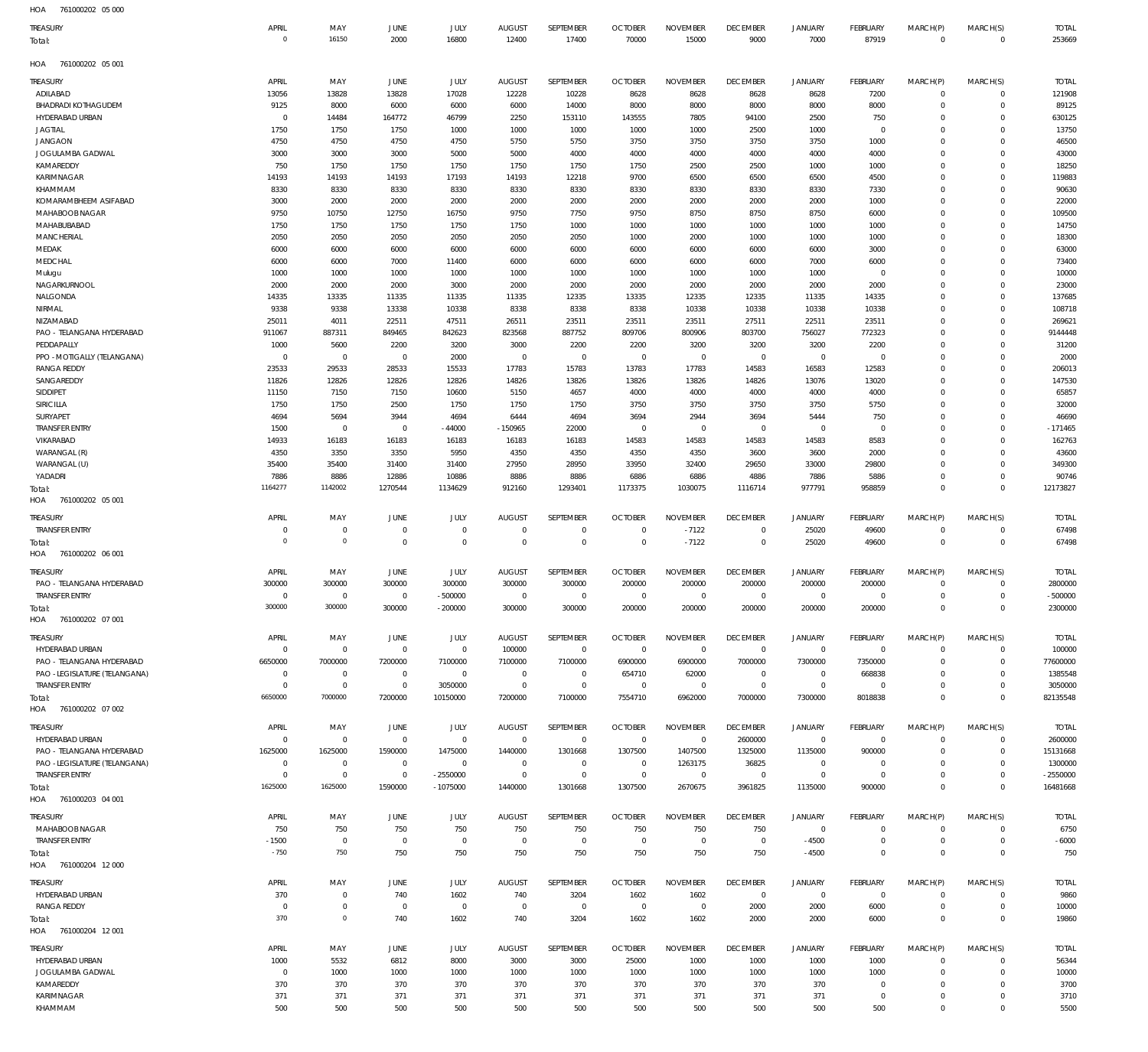| $H \cap \Lambda$ | 741000202 OF 000 |  |
|------------------|------------------|--|

| <b>TUA</b><br><b>JUIUUUZUZ UJUU</b> |                |                            |                                  |                |                |                |                |                 |                 |                |                 |             |                        |              |
|-------------------------------------|----------------|----------------------------|----------------------------------|----------------|----------------|----------------|----------------|-----------------|-----------------|----------------|-----------------|-------------|------------------------|--------------|
| <b>TREASURY</b>                     | APRIL          | MAY                        | JUNE                             | JULY           | <b>AUGUST</b>  | SEPTEMBER      | <b>OCTOBER</b> | <b>NOVEMBER</b> | <b>DECEMBER</b> | JANUARY        | <b>FEBRUARY</b> | MARCH(P)    | MARCH(S)               | <b>TOTAL</b> |
| Total:                              | $\overline{0}$ | 16150                      | 2000                             | 16800          | 12400          | 17400          | 70000          | 15000           | 9000            | 7000           | 87919           | $\mathbf 0$ | $\mathbf 0$            | 253669       |
|                                     |                |                            |                                  |                |                |                |                |                 |                 |                |                 |             |                        |              |
| HOA<br>761000202 05 001             |                |                            |                                  |                |                |                |                |                 |                 |                |                 |             |                        |              |
| Treasury                            | APRIL          | MAY                        | <b>JUNE</b>                      | JULY           | <b>AUGUST</b>  | SEPTEMBER      | <b>OCTOBER</b> | <b>NOVEMBER</b> | <b>DECEMBER</b> | <b>JANUARY</b> | <b>FEBRUARY</b> | MARCH(P)    | MARCH(S)               | <b>TOTAL</b> |
| ADILABAD                            | 13056          | 13828                      | 13828                            | 17028          | 12228          | 10228          | 8628           | 8628            | 8628            | 8628           | 7200            | 0           | $\mathbf 0$            | 121908       |
| <b>BHADRADI KOTHAGUDEM</b>          | 9125           | 8000                       | 6000                             | 6000           | 6000           | 14000          | 8000           | 8000            | 8000            | 8000           | 8000            | 0           | $\mathbf 0$            | 89125        |
| HYDERABAD URBAN                     | $\overline{0}$ | 14484                      | 164772                           | 46799          | 2250           | 153110         | 143555         | 7805            | 94100           | 2500           | 750             | $\Omega$    | $\mathbf 0$            | 630125       |
| <b>JAGTIAL</b>                      | 1750           | 1750                       | 1750                             | 1000           | 1000           | 1000           | 1000           | 1000            | 2500            | 1000           | $^{\circ}$      | $\Omega$    | $^{\circ}$             | 13750        |
| <b>JANGAON</b>                      | 4750           | 4750                       | 4750                             | 4750           | 5750           | 5750           | 3750           | 3750            | 3750            | 3750           | 1000            | $\Omega$    | $\mathbf 0$            | 46500        |
| JOGULAMBA GADWAL                    | 3000           | 3000                       | 3000                             | 5000           | 5000           | 4000           | 4000           | 4000            | 4000            | 4000           | 4000            | $\Omega$    | 0                      | 43000        |
| KAMAREDDY                           | 750            | 1750                       | 1750                             | 1750           | 1750           | 1750           | 1750           | 2500            | 2500            | 1000           | 1000            | $\Omega$    | $\mathbf 0$            | 18250        |
| KARIMNAGAR                          | 14193          | 14193                      | 14193                            | 17193          | 14193          | 12218          | 9700           | 6500            | 6500            | 6500           | 4500            | $\Omega$    | 0                      | 119883       |
| KHAMMAM                             | 8330           | 8330                       | 8330                             | 8330           | 8330           | 8330           | 8330           | 8330            | 8330            | 8330           | 7330            | $\Omega$    | $^{\circ}$             | 90630        |
| KOMARAMBHEEM ASIFABAD               | 3000           | 2000                       | 2000                             | 2000           | 2000           | 2000           | 2000           | 2000            | 2000            | 2000           | 1000            | $\Omega$    | $^{\circ}$             | 22000        |
| MAHABOOB NAGAR                      | 9750           | 10750                      | 12750                            | 16750          | 9750           | 7750           | 9750           | 8750            | 8750            | 8750           | 6000            | $\Omega$    | $\mathbf 0$            | 109500       |
| MAHABUBABAD                         | 1750           | 1750                       | 1750                             |                | 1750           | 1000           | 1000           | 1000            | 1000            |                | 1000            | $\Omega$    | 0                      | 14750        |
|                                     |                |                            |                                  | 1750           |                |                |                |                 |                 | 1000           |                 | $\Omega$    |                        |              |
| <b>MANCHERIAL</b>                   | 2050           | 2050                       | 2050                             | 2050           | 2050           | 2050           | 1000           | 2000            | 1000            | 1000           | 1000            |             | $\mathbf 0$            | 18300        |
| MEDAK                               | 6000           | 6000                       | 6000                             | 6000           | 6000           | 6000           | 6000           | 6000            | 6000            | 6000           | 3000            | $\Omega$    | 0                      | 63000        |
| MEDCHAL                             | 6000           | 6000                       | 7000                             | 11400          | 6000           | 6000           | 6000           | 6000            | 6000            | 7000           | 6000            | $\Omega$    | $\mathbf 0$            | 73400        |
| Mulugu                              | 1000           | 1000                       | 1000                             | 1000           | 1000           | 1000           | 1000           | 1000            | 1000            | 1000           | $^{\circ}$      | $\Omega$    | 0                      | 10000        |
| NAGARKURNOOL                        | 2000           | 2000                       | 2000                             | 3000           | 2000           | 2000           | 2000           | 2000            | 2000            | 2000           | 2000            | $\Omega$    | $\mathbf 0$            | 23000        |
| NALGONDA                            | 14335          | 13335                      | 11335                            | 11335          | 11335          | 12335          | 13335          | 12335           | 12335           | 11335          | 14335           | $\Omega$    | $^{\circ}$             | 137685       |
| NIRMAL                              | 9338           | 9338                       | 13338                            | 10338          | 8338           | 8338           | 8338           | 10338           | 10338           | 10338          | 10338           | $\Omega$    | $\mathbf 0$            | 108718       |
| NIZAMABAD                           | 25011          | 4011                       | 22511                            | 47511          | 26511          | 23511          | 23511          | 23511           | 27511           | 22511          | 23511           | $\Omega$    | 0                      | 269621       |
| PAO - TELANGANA HYDERABAD           | 911067         | 887311                     | 849465                           | 842623         | 823568         | 887752         | 809706         | 800906          | 803700          | 756027         | 772323          | $\Omega$    | $\mathbf 0$            | 9144448      |
| PEDDAPALLY                          | 1000           | 5600                       | 2200                             | 3200           | 3000           | 2200           | 2200           | 3200            | 3200            | 3200           | 2200            | $\Omega$    | 0                      | 31200        |
| PPO - MOTIGALLY (TELANGANA)         | $\overline{0}$ | $^{\circ}$                 | $\overline{0}$                   | 2000           | $\overline{0}$ | $\mathbf 0$    | $\overline{0}$ | $\mathbf 0$     | $\overline{0}$  | $\mathbf 0$    | $^{\circ}$      | $\Omega$    | $\mathbf 0$            | 2000         |
| <b>RANGA REDDY</b>                  | 23533          | 29533                      | 28533                            | 15533          | 17783          | 15783          | 13783          | 17783           | 14583           | 16583          | 12583           | $\Omega$    | 0                      | 206013       |
| SANGAREDDY                          | 11826          | 12826                      | 12826                            | 12826          | 14826          | 13826          | 13826          | 13826           | 14826           | 13076          | 13020           | $\Omega$    | $\mathbf 0$            | 147530       |
| SIDDIPET                            | 11150          | 7150                       | 7150                             | 10600          | 5150           | 4657           | 4000           | 4000            | 4000            | 4000           | 4000            | $\Omega$    | $^{\circ}$             | 65857        |
| SIRICILLA                           | 1750           | 1750                       | 2500                             | 1750           | 1750           | 1750           | 3750           | 3750            | 3750            | 3750           | 5750            | $\Omega$    | $\mathbf 0$            | 32000        |
| SURYAPET                            | 4694           | 5694                       | 3944                             | 4694           | 6444           | 4694           | 3694           | 2944            | 3694            | 5444           | 750             | $\Omega$    | $^{\circ}$             | 46690        |
| <b>TRANSFER ENTRY</b>               | 1500           | $^{\circ}$                 | $\overline{0}$                   | $-44000$       | -150965        | 22000          | $\overline{0}$ | $\mathbf 0$     | $\mathbf 0$     | $\mathbf 0$    | $^{\circ}$      | $\Omega$    | $\mathbf 0$            | $-171465$    |
| VIKARABAD                           | 14933          | 16183                      | 16183                            | 16183          | 16183          | 16183          | 14583          | 14583           | 14583           | 14583          | 8583            | $\Omega$    | 0                      | 162763       |
| WARANGAL (R)                        | 4350           | 3350                       | 3350                             | 5950           | 4350           | 4350           | 4350           | 4350            | 3600            | 3600           | 2000            | $\Omega$    | $\mathbf 0$            | 43600        |
| WARANGAL (U)                        | 35400          | 35400                      | 31400                            | 31400          | 27950          | 28950          | 33950          | 32400           | 29650           | 33000          | 29800           | $\Omega$    | $^{\circ}$             | 349300       |
| YADADRI                             | 7886           | 8886                       | 12886                            | 10886          | 8886           | 8886           | 6886           | 6886            | 4886            | 7886           | 5886            | 0           | $\mathbf 0$            | 90746        |
| Total:                              | 1164277        | 1142002                    | 1270544                          | 1134629        | 912160         | 1293401        | 1173375        | 1030075         | 1116714         | 977791         | 958859          | $\mathbf 0$ | $\mathbf 0$            | 12173827     |
| HOA 761000202 05 001                |                |                            |                                  |                |                |                |                |                 |                 |                |                 |             |                        |              |
| <b>TREASURY</b>                     | APRIL          | MAY                        | <b>JUNE</b>                      | JULY           | <b>AUGUST</b>  | SEPTEMBER      | <b>OCTOBER</b> | <b>NOVEMBER</b> | <b>DECEMBER</b> | <b>JANUARY</b> | <b>FEBRUARY</b> | MARCH(P)    |                        | <b>TOTAL</b> |
|                                     | $\overline{0}$ |                            |                                  | $\mathbf 0$    | $\overline{0}$ | $\mathbf 0$    | $\overline{0}$ |                 | $\mathbf 0$     |                |                 | $^{\circ}$  | MARCH(S)<br>$^{\circ}$ |              |
| <b>TRANSFER ENTRY</b>               | $\overline{0}$ | $\mathbf 0$<br>$\mathbf 0$ | $\overline{0}$<br>$\overline{0}$ | $\overline{0}$ | $\overline{0}$ | $\overline{0}$ | $\overline{0}$ | $-7122$         | $\mathbf 0$     | 25020          | 49600           | $\mathbf 0$ |                        | 67498        |
| Total:                              |                |                            |                                  |                |                |                |                | $-7122$         |                 | 25020          | 49600           |             | $\mathbf 0$            | 67498        |
| HOA<br>761000202 06 001             |                |                            |                                  |                |                |                |                |                 |                 |                |                 |             |                        |              |
| TREASURY                            | APRIL          | MAY                        | JUNE                             | JULY           | <b>AUGUST</b>  | SEPTEMBER      | <b>OCTOBER</b> | <b>NOVEMBER</b> | <b>DECEMBER</b> | <b>JANUARY</b> | <b>FEBRUARY</b> | MARCH(P)    | MARCH(S)               | <b>TOTAL</b> |
| PAO - TELANGANA HYDERABAD           | 300000         | 300000                     | 300000                           | 300000         | 300000         | 300000         | 200000         | 200000          | 200000          | 200000         | 200000          | $^{\circ}$  | $^{\circ}$             | 2800000      |
| <b>TRANSFER ENTRY</b>               | $\mathbf{0}$   | $\mathbf{0}$               | $^{\circ}$                       | $-500000$      | $\mathbf 0$    | $\mathbf 0$    | $\overline{0}$ | $\mathbf 0$     | $\mathbf 0$     | $\mathbf 0$    | $\mathbf 0$     | $\mathbf 0$ | $\mathbf 0$            | $-500000$    |
| Total:                              | 300000         | 300000                     | 300000                           | $-200000$      | 300000         | 300000         | 200000         | 200000          | 200000          | 200000         | 200000          | $\Omega$    | $\Omega$               | 2300000      |
| HOA<br>761000202 07 001             |                |                            |                                  |                |                |                |                |                 |                 |                |                 |             |                        |              |
|                                     |                |                            |                                  |                |                |                |                |                 |                 |                |                 |             |                        |              |
| TREASURY                            | APRIL          | MAY                        | <b>JUNE</b>                      | JULY           | <b>AUGUST</b>  | SEPTEMBER      | <b>OCTOBER</b> | <b>NOVEMBER</b> | <b>DECEMBER</b> | <b>JANUARY</b> | <b>FEBRUARY</b> | MARCH(P)    | MARCH(S)               | <b>TOTAL</b> |
| HYDERABAD URBAN                     | $\mathbf{0}$   | $\mathbf{0}$               | $\overline{0}$                   | $\overline{0}$ | 100000         | $\overline{0}$ | $\overline{0}$ | $\mathbf{0}$    | $\overline{0}$  | $\mathbb O$    | $\overline{0}$  | $\mathbf 0$ | $\mathbf 0$            | 100000       |
| PAO - TELANGANA HYDERABAD           | 6650000        | 7000000                    | 7200000                          | 7100000        | 7100000        | 7100000        | 6900000        | 6900000         | 7000000         | 7300000        | 7350000         | $\mathbf 0$ | $\mathbf 0$            | 77600000     |
| PAO -LEGISLATURE (TELANGANA)        | $\mathbf{0}$   | $^{\circ}$                 | $\overline{0}$                   | $^{\circ}$     | $\overline{0}$ | $^{\circ}$     | 654710         | 62000           | $\overline{0}$  | $^{\circ}$     | 668838          | 0           | $^{\circ}$             | 1385548      |
| <b>TRANSFER ENTRY</b>               | $\overline{0}$ | $\mathbf{0}$               | $\overline{0}$                   | 3050000        | $\overline{0}$ | $\mathbf 0$    | $\overline{0}$ | $\mathbf{0}$    | $\overline{0}$  | $\mathbf 0$    | $\overline{0}$  | 0           | $^{\circ}$             | 3050000      |
| Total:                              | 6650000        | 7000000                    | 7200000                          | 10150000       | 7200000        | 7100000        | 7554710        | 6962000         | 7000000         | 7300000        | 8018838         | $\mathbf 0$ | $\Omega$               | 82135548     |
| HOA<br>761000202 07 002             |                |                            |                                  |                |                |                |                |                 |                 |                |                 |             |                        |              |
| <b>TREASURY</b>                     | APRIL          | MAY                        | <b>JUNE</b>                      | JULY           | <b>AUGUST</b>  | SEPTEMBER      | <b>OCTOBER</b> | <b>NOVEMBER</b> | <b>DECEMBER</b> | <b>JANUARY</b> | <b>FEBRUARY</b> | MARCH(P)    | MARCH(S)               | TOTAL        |
| HYDERABAD URBAN                     | $^{\circ}$     | $^{\circ}$                 | $\overline{0}$                   | $\mathbf 0$    | $\overline{0}$ | $^{\circ}$     | $\overline{0}$ | $\overline{0}$  | 2600000         | $^{\circ}$     | $^{\circ}$      | $^{\circ}$  | $\mathbf 0$            | 2600000      |
| PAO - TELANGANA HYDERABAD           | 1625000        | 1625000                    | 1590000                          | 1475000        | 1440000        | 1301668        | 1307500        | 1407500         | 1325000         | 1135000        | 900000          | 0           | $\mathbf 0$            | 15131668     |
| PAO -LEGISLATURE (TELANGANA)        | $^{\circ}$     | $\overline{0}$             | $\overline{0}$                   | $^{\circ}$     | $\overline{0}$ | $^{\circ}$     | $\overline{0}$ | 1263175         | 36825           | $^{\circ}$     | $\overline{0}$  | 0           | $\mathbf 0$            | 1300000      |
| <b>TRANSFER ENTRY</b>               | $\mathbf{0}$   | $\mathbf{0}$               | $\overline{0}$                   | $-2550000$     | $\overline{0}$ | $\mathbf 0$    | $\overline{0}$ | $\mathbf 0$     | $\mathbf 0$     | $\mathbf 0$    | $\overline{0}$  | $\mathbf 0$ | $^{\circ}$             | $-2550000$   |
| Total:                              | 1625000        | 1625000                    | 1590000                          | $-1075000$     | 1440000        | 1301668        | 1307500        | 2670675         | 3961825         | 1135000        | 900000          | $\mathbf 0$ | $^{\circ}$             | 16481668     |
| HOA 761000203 04 001                |                |                            |                                  |                |                |                |                |                 |                 |                |                 |             |                        |              |
|                                     |                |                            |                                  |                |                |                |                |                 |                 |                |                 |             |                        |              |
| Treasury                            | APRIL          | MAY                        | <b>JUNE</b>                      | JULY           | <b>AUGUST</b>  | SEPTEMBER      | <b>OCTOBER</b> | <b>NOVEMBER</b> | <b>DECEMBER</b> | <b>JANUARY</b> | <b>FEBRUARY</b> | MARCH(P)    | MARCH(S)               | <b>TOTAL</b> |
| MAHABOOB NAGAR                      | 750            | 750                        | 750                              | 750            | 750            | 750            | 750            | 750             | 750             | $^{\circ}$     | $\overline{0}$  | $\mathbf 0$ | $\mathbf 0$            | 6750         |
| <b>TRANSFER ENTRY</b>               | $-1500$        | $\overline{0}$             | $\overline{0}$                   | $\overline{0}$ | $\overline{0}$ | $\overline{0}$ | $\overline{0}$ | $\overline{0}$  | $\overline{0}$  | $-4500$        | $\overline{0}$  | $\mathbf 0$ | $^{\circ}$             | $-6000$      |
| Total:                              | $-750$         | 750                        | 750                              | 750            | 750            | 750            | 750            | 750             | 750             | $-4500$        | $\overline{0}$  | $\mathbf 0$ | $\mathbf 0$            | 750          |
| HOA<br>761000204 12000              |                |                            |                                  |                |                |                |                |                 |                 |                |                 |             |                        |              |
| <b>TREASURY</b>                     | APRIL          | MAY                        | <b>JUNE</b>                      | JULY           | <b>AUGUST</b>  | SEPTEMBER      | <b>OCTOBER</b> | <b>NOVEMBER</b> | <b>DECEMBER</b> | <b>JANUARY</b> | <b>FEBRUARY</b> | MARCH(P)    | MARCH(S)               | <b>TOTAL</b> |
| HYDERABAD URBAN                     | 370            | $\mathbf 0$                | 740                              | 1602           | 740            | 3204           | 1602           | 1602            | $^{\circ}$      | $\overline{0}$ | $\overline{0}$  | $\mathbf 0$ | $^{\circ}$             | 9860         |
| RANGA REDDY                         | $\mathbf{0}$   | $\mathbf 0$                | $\overline{0}$                   | $\overline{0}$ | $\overline{0}$ | $\mathbf 0$    | $\overline{0}$ | $\mathbf 0$     | 2000            | 2000           | 6000            | $^{\circ}$  | $^{\circ}$             | 10000        |
|                                     | 370            | $\mathbf 0$                | 740                              | 1602           | 740            | 3204           | 1602           | 1602            | 2000            | 2000           | 6000            | $\mathbf 0$ | $\mathbf 0$            | 19860        |
| Total:                              |                |                            |                                  |                |                |                |                |                 |                 |                |                 |             |                        |              |
| HOA 761000204 12 001                |                |                            |                                  |                |                |                |                |                 |                 |                |                 |             |                        |              |
| <b>TREASURY</b>                     | APRIL          | MAY                        | <b>JUNE</b>                      | JULY           | <b>AUGUST</b>  | SEPTEMBER      | <b>OCTOBER</b> | <b>NOVEMBER</b> | <b>DECEMBER</b> | <b>JANUARY</b> | <b>FEBRUARY</b> | MARCH(P)    | MARCH(S)               | TOTAL        |
| HYDERABAD URBAN                     | 1000           | 5532                       | 6812                             | 8000           | 3000           | 3000           | 25000          | 1000            | 1000            | 1000           | 1000            | $^{\circ}$  | $^{\circ}$             | 56344        |
| JOGULAMBA GADWAL                    | $\overline{0}$ | 1000                       | 1000                             | 1000           | 1000           | 1000           | 1000           | 1000            | 1000            | 1000           | 1000            | $^{\circ}$  | $^{\circ}$             | 10000        |
| KAMAREDDY                           | 370            | 370                        | 370                              | 370            | 370            | 370            | 370            | 370             | 370             | 370            | $^{\circ}$      |             | $^{\circ}$             | 3700         |
|                                     |                |                            |                                  |                |                |                |                |                 |                 |                |                 | 0           |                        |              |
| KARIMNAGAR                          | 371            | 371                        | 371                              | 371            | 371            | 371            | 371            | 371             | 371             | 371            | $^{\circ}$      | $^{\circ}$  | $^{\circ}$             | 3710         |
| KHAMMAM                             | 500            | 500                        | 500                              | 500            | 500            | 500            | 500            | 500             | 500             | 500            | 500             | $\mathbf 0$ | $\mathbf 0$            | 5500         |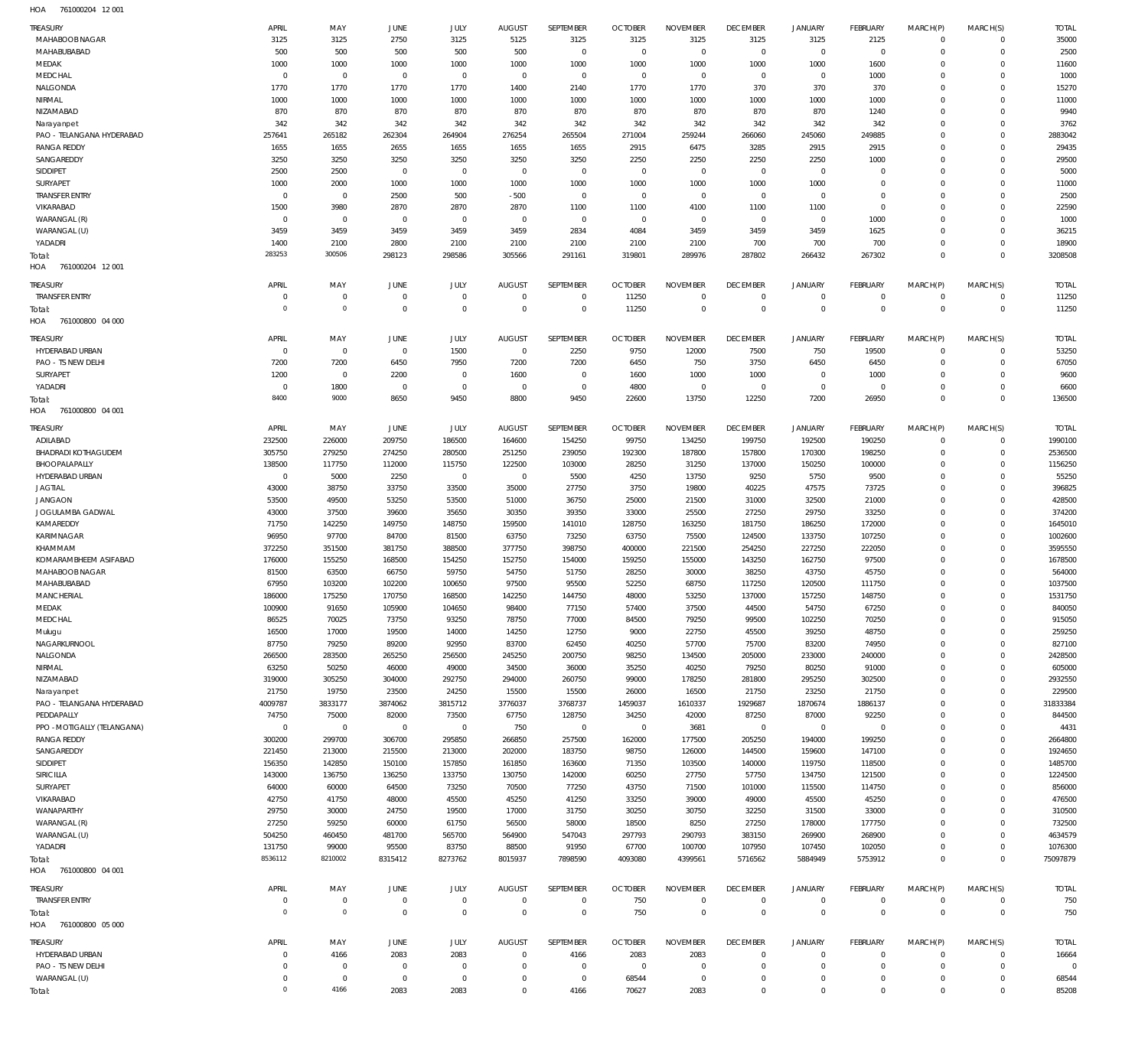761000204 12 001 HOA

| <b>TREASURY</b>                                   | APRIL                      | MAY                      | <b>JUNE</b>              | JULY                | <b>AUGUST</b>           | SEPTEMBER                | <b>OCTOBER</b>           | <b>NOVEMBER</b>     | <b>DECEMBER</b>               | <b>JANUARY</b>             | <b>FEBRUARY</b>                  | MARCH(P)                  | MARCH(S)                 | <b>TOTAL</b>     |
|---------------------------------------------------|----------------------------|--------------------------|--------------------------|---------------------|-------------------------|--------------------------|--------------------------|---------------------|-------------------------------|----------------------------|----------------------------------|---------------------------|--------------------------|------------------|
| MAHABOOB NAGAR                                    | 3125                       | 3125                     | 2750                     | 3125                | 5125                    | 3125                     | 3125                     | 3125                | 3125                          | 3125                       | 2125                             | $\Omega$                  | $\mathbf{0}$             | 35000            |
| MAHABUBABAD                                       | 500<br>1000                | 500                      | 500                      | 500<br>1000         | 500<br>1000             | $\mathbf 0$<br>1000      | $\overline{0}$<br>1000   | $\Omega$<br>1000    | $\mathbf 0$                   | $\mathbf 0$                | $\overline{0}$<br>1600           | $\Omega$<br>$\Omega$      | $\mathbf 0$<br>$\Omega$  | 2500             |
| MEDAK<br>MEDCHAL                                  | $\mathbf 0$                | 1000<br>$\mathbf 0$      | 1000<br>$\overline{0}$   | $\mathbf 0$         | $\overline{0}$          | $\mathbf 0$              | $\overline{0}$           | $\mathbf 0$         | 1000<br>$\overline{0}$        | 1000<br>$\mathbf 0$        | 1000                             | $\Omega$                  | $\Omega$                 | 11600<br>1000    |
| NALGONDA                                          | 1770                       | 1770                     | 1770                     | 1770                | 1400                    | 2140                     | 1770                     | 1770                | 370                           | 370                        | 370                              | $\Omega$                  | $\Omega$                 | 15270            |
| NIRMAL                                            | 1000                       | 1000                     | 1000                     | 1000                | 1000                    | 1000                     | 1000                     | 1000                | 1000                          | 1000                       | 1000                             | $\Omega$                  | $\Omega$                 | 11000            |
| NIZAMABAD                                         | 870                        | 870                      | 870                      | 870                 | 870                     | 870                      | 870                      | 870                 | 870                           | 870                        | 1240                             | $\Omega$                  | $\Omega$                 | 9940             |
| Narayanpet                                        | 342                        | 342                      | 342                      | 342                 | 342                     | 342                      | 342                      | 342                 | 342                           | 342                        | 342                              | $\Omega$                  | $\Omega$                 | 3762             |
| PAO - TELANGANA HYDERABAD                         | 257641                     | 265182                   | 262304                   | 264904              | 276254                  | 265504                   | 271004                   | 259244              | 266060                        | 245060                     | 249885                           | $\Omega$                  | $\Omega$                 | 2883042          |
| <b>RANGA REDDY</b>                                | 1655                       | 1655                     | 2655                     | 1655                | 1655                    | 1655                     | 2915                     | 6475                | 3285                          | 2915                       | 2915                             | $\Omega$                  | $\Omega$                 | 29435            |
| SANGAREDDY                                        | 3250                       | 3250                     | 3250                     | 3250                | 3250                    | 3250                     | 2250                     | 2250                | 2250                          | 2250                       | 1000                             | $\Omega$                  | $\Omega$                 | 29500            |
| SIDDIPET<br>SURYAPET                              | 2500<br>1000               | 2500<br>2000             | $\overline{0}$<br>1000   | $\mathbf 0$<br>1000 | $\overline{0}$<br>1000  | $\mathbf 0$<br>1000      | $\overline{0}$<br>1000   | $\mathbf 0$<br>1000 | $\overline{0}$<br>1000        | $\mathbf 0$<br>1000        | $^{\circ}$<br>$^{\circ}$         | $\Omega$<br>$\Omega$      | $\Omega$<br>$\Omega$     | 5000<br>11000    |
| <b>TRANSFER ENTRY</b>                             | $\circ$                    | $\mathbf 0$              | 2500                     | 500                 | $-500$                  | $\mathbf 0$              | $\overline{0}$           | $\mathbf 0$         | $\overline{0}$                | $\mathbf 0$                | $\mathbf 0$                      | $\Omega$                  | $\Omega$                 | 2500             |
| VIKARABAD                                         | 1500                       | 3980                     | 2870                     | 2870                | 2870                    | 1100                     | 1100                     | 4100                | 1100                          | 1100                       | $\overline{0}$                   | $\Omega$                  | $\Omega$                 | 22590            |
| WARANGAL (R)                                      | $\mathbf 0$                | $\mathbf 0$              | $\overline{0}$           | $\mathbf 0$         | $\overline{0}$          | $\mathbf 0$              | $\overline{0}$           | $\mathbf 0$         | $\overline{0}$                | $\mathbf 0$                | 1000                             | $\Omega$                  | $\Omega$                 | 1000             |
| WARANGAL (U)                                      | 3459                       | 3459                     | 3459                     | 3459                | 3459                    | 2834                     | 4084                     | 3459                | 3459                          | 3459                       | 1625                             | $\Omega$                  | $\Omega$                 | 36215            |
| YADADRI                                           | 1400                       | 2100                     | 2800                     | 2100                | 2100                    | 2100                     | 2100                     | 2100                | 700                           | 700                        | 700                              | $\Omega$                  | $\mathbf 0$              | 18900            |
| Total:                                            | 283253                     | 300506                   | 298123                   | 298586              | 305566                  | 291161                   | 319801                   | 289976              | 287802                        | 266432                     | 267302                           | $\Omega$                  | $\Omega$                 | 3208508          |
| HOA 761000204 12001                               |                            |                          |                          |                     |                         |                          |                          |                     |                               |                            |                                  |                           |                          |                  |
| TREASURY                                          | APRIL                      | MAY                      | JUNE                     | JULY                | <b>AUGUST</b>           | SEPTEMBER                | <b>OCTOBER</b>           | <b>NOVEMBER</b>     | <b>DECEMBER</b>               | <b>JANUARY</b>             | <b>FEBRUARY</b>                  | MARCH(P)                  | MARCH(S)                 | <b>TOTAL</b>     |
| <b>TRANSFER ENTRY</b>                             | 0                          | $\mathbf 0$              | $\overline{0}$           | $\mathbf 0$         | $\overline{0}$          | $\mathbf 0$              | 11250                    | $\mathbf 0$         | $\overline{0}$                | $\overline{0}$             | $\overline{0}$                   | $^{\circ}$                | $\mathbf{0}$             | 11250            |
| Total:                                            | $\overline{0}$             | $\mathbf 0$              | $\overline{0}$           | $\mathbf 0$         | $\overline{0}$          | $\mathbf 0$              | 11250                    | $\mathbf 0$         | $\overline{0}$                | $\mathbf 0$                | $\overline{0}$                   | $\mathbf 0$               | $\overline{0}$           | 11250            |
| 761000800 04 000<br>HOA                           |                            |                          |                          |                     |                         |                          |                          |                     |                               |                            |                                  |                           |                          |                  |
| TREASURY                                          | APRIL                      | MAY                      | JUNE                     | <b>JULY</b>         | <b>AUGUST</b>           | SEPTEMBER                | <b>OCTOBER</b>           | <b>NOVEMBER</b>     | <b>DECEMBER</b>               | <b>JANUARY</b>             | FEBRUARY                         | MARCH(P)                  | MARCH(S)                 | <b>TOTAL</b>     |
| HYDERABAD URBAN                                   | $\mathbf 0$                | $\mathbf 0$              | $\overline{0}$           | 1500                | $\overline{0}$          | 2250                     | 9750                     | 12000               | 7500                          | 750                        | 19500                            | $\Omega$                  | $\mathbf 0$              | 53250            |
| PAO - TS NEW DELHI                                | 7200                       | 7200                     | 6450                     | 7950                | 7200                    | 7200                     | 6450                     | 750                 | 3750                          | 6450                       | 6450                             | $\Omega$                  | $^{\circ}$               | 67050            |
| SURYAPET                                          | 1200                       | $\mathbf 0$              | 2200                     | $\mathbf 0$         | 1600                    | $\mathbf 0$              | 1600                     | 1000                | 1000                          | $\mathbf 0$                | 1000                             | $\Omega$                  | $\mathbf 0$              | 9600             |
| YADADRI                                           | $\mathbf 0$                | 1800                     | $\overline{0}$           | $\mathbf 0$         | $^{\circ}$              | $\mathbf 0$              | 4800                     | $\mathbf 0$         | $\overline{0}$                | $\mathbf 0$                | $\overline{0}$                   | $\Omega$                  | $\mathbf 0$              | 6600             |
| Total:                                            | 8400                       | 9000                     | 8650                     | 9450                | 8800                    | 9450                     | 22600                    | 13750               | 12250                         | 7200                       | 26950                            | $\Omega$                  | $\mathbf 0$              | 136500           |
| HOA 761000800 04 001                              |                            |                          |                          |                     |                         |                          |                          |                     |                               |                            |                                  |                           |                          |                  |
| TREASURY                                          | APRIL                      | MAY                      | <b>JUNE</b>              | JULY                | <b>AUGUST</b>           | SEPTEMBER                | <b>OCTOBER</b>           | <b>NOVEMBER</b>     | <b>DECEMBER</b>               | <b>JANUARY</b>             | <b>FEBRUARY</b>                  | MARCH(P)                  | MARCH(S)                 | <b>TOTAL</b>     |
| ADILABAD                                          | 232500                     | 226000                   | 209750                   | 186500              | 164600                  | 154250                   | 99750                    | 134250              | 199750                        | 192500                     | 190250                           | $\Omega$                  | $^{\circ}$               | 1990100          |
| <b>BHADRADI KOTHAGUDEM</b>                        | 305750                     | 279250                   | 274250                   | 280500              | 251250                  | 239050                   | 192300                   | 187800              | 157800                        | 170300                     | 198250                           | $\Omega$                  | $\mathbf{0}$             | 2536500          |
| BHOOPALAPALLY                                     | 138500                     | 117750                   | 112000                   | 115750              | 122500                  | 103000                   | 28250                    | 31250               | 137000                        | 150250                     | 100000                           | $\Omega$                  | $\mathbf{0}$             | 1156250          |
| HYDERABAD URBAN                                   | $\overline{0}$             | 5000                     | 2250                     | $\,0\,$             | $\overline{0}$          | 5500                     | 4250                     | 13750               | 9250                          | 5750                       | 9500                             | $\Omega$                  | $\Omega$                 | 55250            |
| <b>JAGTIAL</b><br><b>JANGAON</b>                  | 43000<br>53500             | 38750<br>49500           | 33750<br>53250           | 33500<br>53500      | 35000<br>51000          | 27750<br>36750           | 3750<br>25000            | 19800<br>21500      | 40225<br>31000                | 47575<br>32500             | 73725<br>21000                   | $\Omega$<br>$\Omega$      | $\mathbf 0$<br>$\Omega$  | 396825<br>428500 |
| JOGULAMBA GADWAL                                  | 43000                      | 37500                    | 39600                    | 35650               | 30350                   | 39350                    | 33000                    | 25500               | 27250                         | 29750                      | 33250                            | $\Omega$                  | $\mathbf 0$              | 374200           |
| KAMAREDDY                                         | 71750                      | 142250                   | 149750                   | 148750              | 159500                  | 141010                   | 128750                   | 163250              | 181750                        | 186250                     | 172000                           | $\Omega$                  | $\mathbf 0$              | 1645010          |
| KARIMNAGAR                                        | 96950                      | 97700                    | 84700                    | 81500               | 63750                   | 73250                    | 63750                    | 75500               | 124500                        | 133750                     | 107250                           | $\Omega$                  | $\mathbf 0$              | 1002600          |
| KHAMMAM                                           | 372250                     | 351500                   | 381750                   | 388500              | 377750                  | 398750                   | 400000                   | 221500              | 254250                        | 227250                     | 222050                           | $\Omega$                  | $\mathbf 0$              | 3595550          |
| KOMARAMBHEEM ASIFABAD                             | 176000                     | 155250                   | 168500                   | 154250              | 152750                  | 154000                   | 159250                   | 155000              | 143250                        | 162750                     | 97500                            | $\Omega$                  | $\mathbf 0$              | 1678500          |
| MAHABOOB NAGAR                                    | 81500                      | 63500                    | 66750                    | 59750               | 54750                   | 51750                    | 28250                    | 30000               | 38250                         | 43750                      | 45750                            | $\Omega$                  | $\Omega$                 | 564000           |
| MAHABUBABAD                                       | 67950                      | 103200                   | 102200                   | 100650              | 97500                   | 95500                    | 52250                    | 68750               | 117250                        | 120500                     | 111750                           | 0                         | $^{\circ}$               | 1037500          |
| <b>MANCHERIAL</b>                                 | 186000                     | 175250                   | 170750                   | 168500              | 142250                  | 144750                   | 48000                    | 53250               | 137000                        | 157250                     | 148750                           | $\Omega$                  | $\Omega$                 | 1531750          |
| MEDAK                                             | 100900                     | 91650                    | 105900                   | 104650              | 98400                   | 77150                    | 57400                    | 37500               | 44500                         | 54750                      | 67250                            | $\Omega$                  | $\Omega$<br>$\mathbf{0}$ | 840050           |
| MEDCHAL<br>Mulugu                                 | 86525<br>16500             | 70025<br>17000           | 73750<br>19500           | 93250<br>14000      | 78750<br>14250          | 77000<br>12750           | 84500<br>9000            | 79250<br>22750      | 99500<br>45500                | 102250<br>39250            | 70250<br>48750                   | $^{\circ}$<br>$\mathbf 0$ | $\mathbf{0}$             | 915050<br>259250 |
| NAGARKURNOOL                                      | 87750                      | 79250                    | 89200                    | 92950               | 83700                   | 62450                    | 40250                    | 57700               | 75700                         | 83200                      | 74950                            | $\Omega$                  | $\mathbf 0$              | 827100           |
| NALGONDA                                          | 266500                     | 283500                   | 265250                   | 256500              | 245250                  | 200750                   | 98250                    | 134500              | 205000                        | 233000                     | 240000                           | $\Omega$                  | $\mathbf{0}$             | 2428500          |
| NIRMAL                                            | 63250                      | 50250                    | 46000                    | 49000               | 34500                   | 36000                    | 35250                    | 40250               | 79250                         | 80250                      | 91000                            | $\Omega$                  | $\mathbf 0$              | 605000           |
| NIZAMABAD                                         | 319000                     | 305250                   | 304000                   | 292750              | 294000                  | 260750                   | 99000                    | 178250              | 281800                        | 295250                     | 302500                           | $\Omega$                  | $\mathbf{0}$             | 2932550          |
| Narayanpet                                        | 21750                      | 19750                    | 23500                    | 24250               | 15500                   | 15500                    | 26000                    | 16500               | 21750                         | 23250                      | 21750                            | $\Omega$                  | $\mathbf{0}$             | 229500           |
| PAO - TELANGANA HYDERABAD                         | 4009787                    | 3833177                  | 3874062                  | 3815712             | 3776037                 | 3768737                  | 1459037                  | 1610337             | 1929687                       | 1870674                    | 1886137                          | $\Omega$                  | $\circ$                  | 31833384         |
| PEDDAPALLY                                        | 74750                      | 75000                    | 82000                    | 73500               | 67750                   | 128750                   | 34250                    | 42000               | 87250                         | 87000                      | 92250                            | $\Omega$                  | $\Omega$                 | 844500           |
| PPO - MOTIGALLY (TELANGANA)<br><b>RANGA REDDY</b> | $\overline{0}$<br>300200   | $\overline{0}$<br>299700 | $\overline{0}$<br>306700 | $\,0\,$<br>295850   | 750<br>266850           | $\overline{0}$<br>257500 | $\overline{0}$<br>162000 | 3681<br>177500      | $\overline{0}$<br>205250      | $\overline{0}$<br>194000   | $\overline{0}$<br>199250         | $\Omega$<br>$\Omega$      | $\mathbf{0}$<br>$\Omega$ | 4431<br>2664800  |
| SANGAREDDY                                        | 221450                     | 213000                   | 215500                   | 213000              | 202000                  | 183750                   | 98750                    | 126000              | 144500                        | 159600                     | 147100                           | $\Omega$                  | $\mathbf{0}$             | 1924650          |
| SIDDIPET                                          | 156350                     | 142850                   | 150100                   | 157850              | 161850                  | 163600                   | 71350                    | 103500              | 140000                        | 119750                     | 118500                           | $\Omega$                  | $\mathbf 0$              | 1485700          |
| SIRICILLA                                         | 143000                     | 136750                   | 136250                   | 133750              | 130750                  | 142000                   | 60250                    | 27750               | 57750                         | 134750                     | 121500                           | $\Omega$                  | $\mathbf{0}$             | 1224500          |
| SURYAPET                                          | 64000                      | 60000                    | 64500                    | 73250               | 70500                   | 77250                    | 43750                    | 71500               | 101000                        | 115500                     | 114750                           | 0                         | $\mathbf{0}$             | 856000           |
| VIKARABAD                                         | 42750                      | 41750                    | 48000                    | 45500               | 45250                   | 41250                    | 33250                    | 39000               | 49000                         | 45500                      | 45250                            | $\Omega$                  | $\mathbf 0$              | 476500           |
| WANAPARTHY                                        | 29750                      | 30000                    | 24750                    | 19500               | 17000                   | 31750                    | 30250                    | 30750               | 32250                         | 31500                      | 33000                            | $\Omega$                  | $\mathbf{0}$             | 310500           |
| WARANGAL (R)                                      | 27250                      | 59250                    | 60000                    | 61750               | 56500                   | 58000                    | 18500                    | 8250                | 27250                         | 178000                     | 177750                           | $\Omega$                  | $\mathbf{0}$             | 732500           |
| WARANGAL (U)                                      | 504250                     | 460450                   | 481700                   | 565700              | 564900                  | 547043                   | 297793                   | 290793              | 383150                        | 269900                     | 268900                           | $\Omega$                  | $\Omega$                 | 4634579          |
| YADADRI                                           | 131750                     | 99000                    | 95500                    | 83750               | 88500                   | 91950                    | 67700                    | 100700              | 107950                        | 107450                     | 102050                           | $\mathbf 0$               | $\mathbf{0}$             | 1076300          |
| Total:<br>HOA 761000800 04 001                    | 8536112                    | 8210002                  | 8315412                  | 8273762             | 8015937                 | 7898590                  | 4093080                  | 4399561             | 5716562                       | 5884949                    | 5753912                          | $\mathbf 0$               | $\Omega$                 | 75097879         |
|                                                   |                            |                          |                          |                     |                         |                          |                          |                     |                               |                            |                                  |                           |                          |                  |
| TREASURY                                          | APRIL                      | MAY                      | <b>JUNE</b>              | JULY                | <b>AUGUST</b>           | SEPTEMBER                | <b>OCTOBER</b>           | <b>NOVEMBER</b>     | <b>DECEMBER</b>               | <b>JANUARY</b>             | FEBRUARY                         | MARCH(P)                  | MARCH(S)                 | <b>TOTAL</b>     |
| <b>TRANSFER ENTRY</b>                             | $\overline{0}$             | $\mathbf 0$              | $\overline{0}$           | $\mathbf 0$         | $\overline{0}$          | $\mathbf 0$              | 750                      | $\mathbf 0$         | $\overline{0}$                | $\overline{0}$             | $\overline{0}$                   | $\mathbf{0}$              | $\overline{0}$           | 750              |
| Total:                                            | $\mathbf 0$                | $\mathsf{O}\xspace$      | $\overline{0}$           | $\mathbf 0$         | $\overline{0}$          | $\mathbf 0$              | 750                      | $\overline{0}$      | $\overline{0}$                | $\mathbf 0$                | $\overline{0}$                   | $\overline{0}$            | $\overline{0}$           | 750              |
| HOA 761000800 05 000                              |                            |                          |                          |                     |                         |                          |                          |                     |                               |                            |                                  |                           |                          |                  |
| <b>TREASURY</b>                                   | APRIL                      | MAY                      | <b>JUNE</b>              | JULY                | <b>AUGUST</b>           | SEPTEMBER                | <b>OCTOBER</b>           | <b>NOVEMBER</b>     | <b>DECEMBER</b>               | <b>JANUARY</b>             | FEBRUARY                         | MARCH(P)                  | MARCH(S)                 | <b>TOTAL</b>     |
| HYDERABAD URBAN                                   | $\overline{0}$             | 4166                     | 2083                     | 2083                | $\overline{0}$          | 4166                     | 2083                     | 2083                | $\overline{0}$                | $\overline{0}$             | $\overline{0}$                   | $^{\circ}$                | $\overline{0}$           | 16664            |
| PAO - TS NEW DELHI                                | $\mathbf 0$                | $\overline{0}$           | $\overline{0}$           | $\overline{0}$      | $\overline{0}$          | $\overline{0}$           | $\overline{0}$           | $^{\circ}$          | $\overline{0}$                | $\mathbf 0$                | $\overline{0}$                   | $\mathbf 0$               | $\mathbf{0}$             | O                |
| WARANGAL (U)                                      | $\mathbf 0$<br>$\mathbf 0$ | $\mathbf 0$<br>4166      | $\overline{0}$<br>2083   | $\mathbf 0$<br>2083 | $\mathbf 0$<br>$\Omega$ | $\mathbf 0$<br>4166      | 68544<br>70627           | $\mathbf 0$<br>2083 | $\overline{0}$<br>$\mathbb O$ | $\mathbf 0$<br>$\mathbf 0$ | $\overline{0}$<br>$\overline{0}$ | 0<br>$\Omega$             | $\circ$<br>$\mathbb O$   | 68544<br>85208   |
| Total:                                            |                            |                          |                          |                     |                         |                          |                          |                     |                               |                            |                                  |                           |                          |                  |